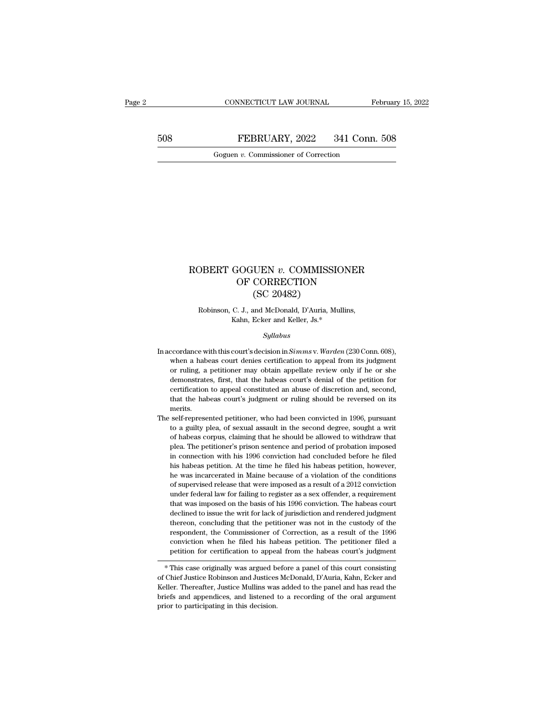CONNECTICUT LAW JOURNAL February 15, 2022<br>508 FEBRUARY, 2022 341 Conn. 508<br>Goguen v. Commissioner of Correction CONNECTICUT LAW JOURNAL FREBRUARY, 2022 341 Conn.<br>Goguen *v*. Commissioner of Correction

### ROBERT GOGUEN *v.* COMMISSIONER<br>OF CORRECTION<br>CC 20482)  $\begin{array}{l} \text{GOGUEN}\ v.\ \text{COMMISSIONER} \\ \text{OF CORRECTION} \\ \text{(SC 20482)} \end{array}$ UEN v. COMMISSI<br>CORRECTION<br>(SC 20482)<br>and McDonald, D'Auria, M OBERT GOGUEN *v*. COMMISSIONER<br>
OF CORRECTION<br>
(SC 20482)<br>
Robinson, C. J., and McDonald, D'Auria, Mullins,<br>
Kahn, Ecker and Keller, Js.\* GOGUEN  $v$ . COMMISSION<br>
OF CORRECTION<br>
(SC 20482)<br>
C. J., and McDonald, D'Auria, Mullins<br>
Kahn, Ecker and Keller, Js.\*<br>
Sullabus

### *Syllabus*

- Robinson, C. J., and McDonald, D'Auria, Mullins,<br>Kahn, Ecker and Keller, Js.\*<br>*Syllabus*<br>In accordance with this court's decision in *Simms* v. *Warden* (230 Conn. 608),<br>when a habeas court denies certification to appeal f Robinson, C. J., and McDonald, D'Auria, Mullins,<br>Kahn, Ecker and Keller, Js.\*<br>Syllabus<br>coordance with this court's decision in Simms v. Warden (230 Conn. 608),<br>when a habeas court denies certification to appeal from its ju Kahn, Ecker and Keller, Js.\*<br>Syllabus<br>coordance with this court's decision in Simms v. Warden (230 Conn. 608),<br>when a habeas court denies certification to appeal from its judgment<br>or ruling, a petitioner may obtain appella *Syllabus*<br>coordance with this court's decision in *Simms* v. *Warden* (230 Conn. 608),<br>when a habeas court denies certification to appeal from its judgment<br>or ruling, a petitioner may obtain appellate review only if he or *Syllabus*<br>ccordance with this court's decision in *Simms* v. *Warden* (230 Conn. 608),<br>when a habeas court denies certification to appeal from its judgment<br>or ruling, a petitioner may obtain appellate review only if he o ccordance with this court's decision in *Simms* v. *Warden* (230 Conn. 608), when a habeas court denies certification to appeal from its judgment or ruling, a petitioner may obtain appellate review only if he or she demons merits. or ruling, a petitioner may obtain appellate review only if he or she demonstrates, first, that the habeas court's denial of the petition for certification to appeal constituted an abuse of discretion and, second, that the of running, a peakant may be backed as court's denial of the petition for dertification to appeal constituted an abuse of discretion and, second, that the habeas court's judgment or ruling should be reversed on its merits.
- certification to appeal constituted an abuse of discretion and, second, that the habeas court's judgment or ruling should be reversed on its merits.<br>self-represented petitioner, who had been convicted in 1996, pursuant to extractioner's petitioner's judgment or ruling should be reversed on its<br>merits.<br>self-represented petitioner, who had been convicted in 1996, pursuant<br>to a guilty plea, of sexual assault in the second degree, sought a writ merits.<br>
self-represented petitioner, who had been convicted in 1996, pursuant<br>
to a guilty plea, of sexual assault in the second degree, sought a writ<br>
of habeas corpus, claiming that he should be allowed to withdraw that self-represented petitioner, who had been convicted in 1996, pursuant to a guilty plea, of sexual assault in the second degree, sought a writ of habeas corpus, claiming that he should be allowed to withdraw that plea. The to a guilty plea, of sexual assault in the second degree, sought a writ of habeas corpus, claiming that he should be allowed to withdraw that plea. The petitioner's prison sentence and period of probation imposed in connec of habeas corpus, claiming that he should be allowed to withdraw that plea. The petitioner's prison sentence and period of probation imposed in connection with his 1996 conviction had concluded before he filed his habeas p plea. The petitioner's prison sentence and period of probation imposed in connection with his 1996 conviction had concluded before he filed his habeas petition. At the time he filed his habeas petition, however, he was inc in connection with his 1996 conviction had concluded before he filed his habeas petition. At the time he filed his habeas petition, however, he was incarcerated in Maine because of a violation of the conditions of supervis his habeas petition. At the time he filed his habeas petition, however, he was incarcerated in Maine because of a violation of the conditions of supervised release that were imposed as a result of a 2012 conviction under f the was incarcerated in Maine because of a violation of the conditions<br>of supervised release that were imposed as a result of a 2012 conviction<br>under federal law for failing to register as a sex offender, a requirement<br>tha respondent and were imposed as a result of a 2012 conviction<br>under federal law for failing to register as a sex offender, a requirement<br>that was imposed on the basis of his 1996 conviction. The habeas court<br>declined to iss conviction when the filed his habeas petition. The habeas court declined to issue the writ for lack of jurisdiction and rendered judgment declined to issue the writ for lack of jurisdiction and rendered judgment thereon, c able to approach the habeas court declined to issue the writ for lack of jurisdiction and rendered judgment thereon, concluding that the petitioner was not in the custody of the respondent, the Commissioner of Correction, Intereon, concluding that the petitioner was not in the custody of the respondent, the Commissioner of Correction, as a result of the 1996 conviction when he filed his habeas petition. The petitioner filed a petition for c

respondent, the Continues of Correction, as a result of the 1996<br>conviction when he filed his habeas petition. The petitioner filed a<br>petition for certification to appeal from the habeas court's judgment<br>\* This case origin conviction with the filed his habeas petition. The petitioner filed a<br>petition for certification to appeal from the habeas court's judgment<br> $*$  This case originally was argued before a panel of this court consisting<br>of Chi petution for certification to appear<br>
\* This case originally was argued bof<br>
of Chief Justice Robinson and Justices<br>
Keller. Thereafter, Justice Mullins was<br>
briefs and appendices, and listened<br>
prior to participating in t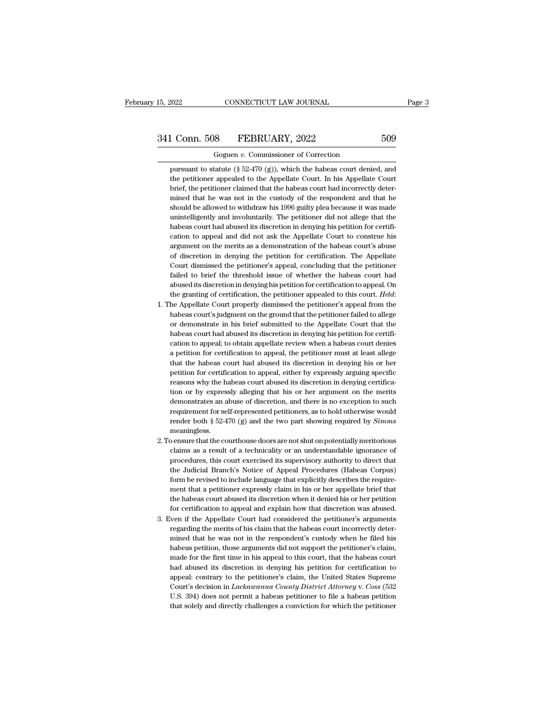# 15, 2022 CONNECTICUT LAW JOURNAL Page 3<br>341 Conn. 508 FEBRUARY, 2022 509<br>Goguen v. Commissioner of Correction

CONNECTICUT LAW JOURNAL<br>
8 FEBRUARY, 2022<br>
Goguen *v.* Commissioner of Correction<br>
tatute (§ 52-470 (g)), which the habeas court denie 1 Conn. 508 FEBRUARY, 2022 509<br>
Goguen v. Commissioner of Correction<br>
pursuant to statute (§ 52-470 (g)), which the habeas court denied, and<br>
the petitioner appealed to the Appellate Court. In his Appellate Court the petitioner appealed to the Appellate Court. In his Appellate Court.<br>
The petitioner appealed to the Appellate Court. In his Appellate Court<br>
Solomontoner appealed to the Appellate Court. In his Appellate Court<br>
Solomo **brief, the petitioner commissioner of Correction**<br>Goguen v. Commissioner of Correction<br>pursuant to statute  $(\frac{8}{2}2470)(g)$ , which the habeas court denied, and<br>the petitioner appealed to the Appellate Court. In his Appel Goguen v. Commissioner of Correction<br>pursuant to statute  $(\S 52-470 (g))$ , which the habeas court denied, and<br>the petitioner appealed to the Appellate Court. In his Appellate Court<br>brief, the petitioner claimed that the hab Goguen v. Commissioner of Correction<br>pursuant to statute (§ 52-470 (g)), which the habeas court denied, and<br>the petitioner appealed to the Appellate Court. In his Appellate Court<br>brief, the petitioner claimed that the hab pursuant to statute (§ 52-470 (g)), which the habeas court denied, and the petitioner appealed to the Appellate Court. In his Appellate Court brief, the petitioner claimed that the habeas court had incorrectly determined the petitioner appealed to the Appellate Court. In his Appellate Court brief, the petitioner claimed that the habeas court had incorrectly determined that he was not in the custody of the respondent and that he should be a brief, the petitioner claimed that the habeas court had incorrectly determined that he was not in the custody of the respondent and that he should be allowed to withdraw his 1996 guilty plea because it was made unintellige mined that he was not in the custody of the respondent and that he should be allowed to withdraw his 1996 guilty plea because it was made unintelligently and involuntarily. The petitioner did not allege that the habeas cou should be allowed to withdraw his 1996 guilty plea because it was made<br>unintelligently and involuntarily. The petitioner did not allege that the<br>habeas court had abused its discretion in denying his petition for certifi-<br>c unintelligently and involuntarily. The petitioner did not allege that the habeas court had abused its discretion in denying his petition for certification to appeal and did not ask the Appellate Court to construe his argum habeas court had abused its discretion in denying his petition for certification to appeal and did not ask the Appellate Court to construe his argument on the merits as a demonstration of the habeas court's abuse of discretion in denying the petition for certification. The Appellate Court dismi are grament on the merits as a demonstration of the habeas court's abuse<br>of discretion in denying the petitioner's appeal, concluding that the petitioner<br>failed to brief the threshold issue of whether the habeas court had<br> Court dismissed the petitioner's appeal, concluding that the petitioner failed to brief the threshold issue of whether the habeas court had abused its discretion in denying his petition for certification to appeal. On the

- failed to brief the threshold issue of whether the habeas court had abused its discretion in denying his petition for certification to appeal. On the granting of certification, the petitioner appealed to this court. *Held* the granting of certification, the petitioner appealed to this court. Held:<br>The Appellate Court properly dismissed the petitioner's appeal from the<br>habeas court's judgment on the ground that the petitioner failed to allege the granting of certification, the petitioner appealed to this court. Held:<br>he Appellate Court properly dismissed the petitioner's appeal from the<br>habeas court's judgment on the ground that the petitioner failed to allege<br> he Appellate Court properly dismissed the petitioner's appeal from the habeas court's judgment on the ground that the petitioner failed to allege or demonstrate in his brief submitted to the Appellate Court that the habeas habeas court's judgment on the ground that the petitioner failed to allege<br>or demonstrate in his brief submitted to the Appellate Court that the<br>habeas court had abused its discretion in denying his petition for certifi-<br>c or demonstrate in his brief submitted to the Appellate Court that the habeas court had abused its discretion in denying his petition for certification to appeal, to obtain appellate review when a habeas court denies a peti habeas court had abused its discretion in denying his petition for certification to appeal; to obtain appellate review when a habeas court denies a petition for certification to appeal, the petitioner must at least allege cation to appeal; to obtain appellate review when a habeas court denies<br>a petition for certification to appeal, the petitioner must at least allege<br>that the habeas court had abused its discretion in denying his or her<br>peti a petition for certification to appeal, the petitioner must at least allege<br>that the habeas court had abused its discretion in denying his or her<br>petition for certification to appeal, either by expressly arguing specific<br>r that the habeas court had abused its discretion in denying his or her petition for certification to appeal, either by expressly arguing specific reasons why the habeas court abused its discretion in denying certification petition for certification to appeal, either by expressly arguing specific reasons why the habeas court abused its discretion in denying certification or by expressly alleging that his or her argument on the merits demonst meaningless. tion or by expressly alleging that his or her argument on the merits demonstrates an abuse of discretion, and there is no exception to such requirement for self-represented petitioners, as to hold otherwise would render b demonstrates an abuse of discretion, and there is no exception to such requirement for self-represented petitioners, as to hold otherwise would render both  $\S 52-470$  (g) and the two part showing required by *Simms* meani
- requirement for self-represented petitioners, as to hold otherwise would<br>render both  $\S$  52-470 (g) and the two part showing required by *Simms*<br>meaningless.<br>ensure that the courthouse doors are not shut on potentially me render both  $\S$  52-470 (g) and the two part showing required by *Simms* meaningless.<br>
bensure that the courthouse doors are not shut on potentially meritorious<br>
claims as a result of a technicality or an understandable ig meaningless.<br>
be ensure that the courthouse doors are not shut on potentially meritorious<br>
claims as a result of a technicality or an understandable ignorance of<br>
procedures, this court exercised its supervisory authority between that the courthouse doors are not shut on potentially meritorious claims as a result of a technicality or an understandable ignorance of procedures, this court exercised its supervisory authority to direct that the claims as a result of a technicality or an understandable ignorance of procedures, this court exercised its supervisory authority to direct that the Judicial Branch's Notice of Appeal Procedures (Habeas Corpus) form be rev procedures, this court exercised its supervisory authority to direct that<br>the Judicial Branch's Notice of Appeal Procedures (Habeas Corpus)<br>form be revised to include language that explicitly describes the require-<br>ment th the Judicial Branch's Notice of Appeal Procedures (Habeas Corpus)<br>form be revised to include language that explicitly describes the require-<br>ment that a petitioner expressly claim in his or her appellate brief that<br>the hab the Judicial Branch's Notice of Appeal Procedures (Habeas Corpus)<br>form be revised to include language that explicitly describes the require-<br>ment that a petitioner expressly claim in his or her appellate brief that<br>the hab
- ment that a petitioner expressly claim in his or her appellate brief that<br>the habeas court abused its discretion when it denied his or her petition<br>for certification to appeal and explain how that discretion was abused.<br>ve the habeas court abused its discretion when it denied his or her petition for certification to appeal and explain how that discretion was abused.<br>Veen if the Appellate Court had considered the petitioner's arguments regard for certification to appeal and explain how that discretion was abused.<br>Ven if the Appellate Court had considered the petitioner's arguments<br>regarding the merits of his claim that the habeas court incorrectly deter-<br>mined iven if the Appellate Court had considered the petitioner's arguments regarding the merits of his claim that the habeas court incorrectly determined that he was not in the respondent's custody when he filed his habeas peti regarding the merits of his claim that the habeas court incorrectly deter-<br>mined that he was not in the respondent's custody when he filed his<br>habeas petition, those arguments did not support the petitioner's claim,<br>made f mined that he was not in the respondent's custody when he filed his<br>habeas petition, those arguments did not support the petitioner's claim,<br>made for the first time in his appeal to this court, that the habeas court<br>had ab habeas petition, those arguments did not support the petitioner's claim,<br>made for the first time in his appeal to this court, that the habeas court<br>had abused its discretion in denying his petition for certification to<br>app made for the first time in his appeal to this court, that the habeas court<br>had abused its discretion in denying his petition for certification to<br>appeal: contrary to the petitioner's claim, the United States Supreme<br>Court'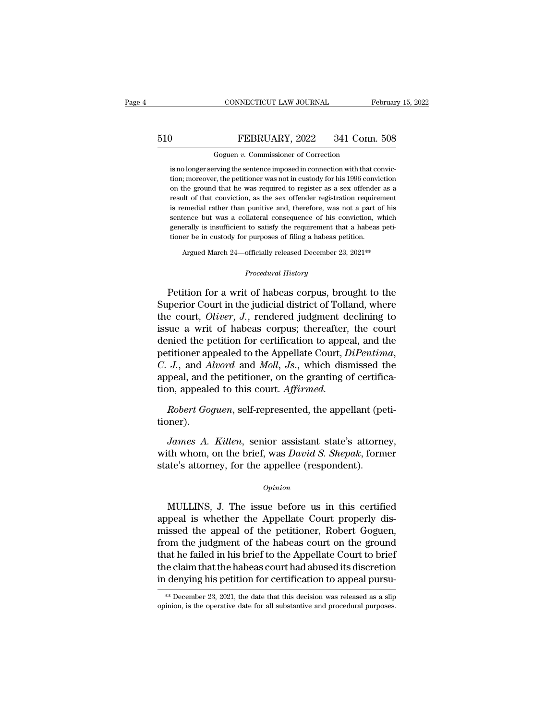# CONNECTICUT LAW JOURNAL February 15, 2022<br>510 FEBRUARY, 2022 341 Conn. 508<br>Goguen v. Commissioner of Correction CONNECTICUT LAW JOURNAL February 15, 2022<br>
Goguen *v.* Commissioner of Correction<br>
is no longer serving the sentence imposed in connection with that convic-

FEBRUARY, 2022 341 Conn. 508<br>
Goguen v. Commissioner of Correction<br>
is no longer serving the sentence imposed in connection with that convic-<br>
tion; moreover, the petitioner was not in custody for his 1996 conviction FEBRUARY, 2022 341 Conn. 508<br>Goguen v. Commissioner of Correction<br>is no longer serving the sentence imposed in connection with that conviction;<br>moreover, the petitioner was not in custody for his 1996 conviction<br>on the gro **FEBRUARY, 2022** 341 Conn. 508<br>Goguen v. Commissioner of Correction<br>is no longer serving the sentence imposed in connection with that convic-<br>tion; moreover, the petitioner was not in custody for his 1996 conviction<br>on the Goguen  $v$ . Commissioner of Correction<br>is no longer serving the sentence imposed in connection with that convic-<br>tion; moreover, the petitioner was not in custody for his 1996 conviction<br>on the ground that he was required Goguen  $v$ . Commissioner of Correction<br>is no longer serving the sentence imposed in connection with that convic-<br>tion; moreover, the petitioner was not in custody for his 1996 conviction<br>on the ground that he was required is no longer serving the sentence imposed in connection with that conviction; moreover, the petitioner was not in custody for his 1996 conviction on the ground that he was required to register as a sex offender as a result tion; moreover, the petitioner was not in custody for his 1996 conviction<br>on the ground that he was required to register as a sex offender as a<br>result of that conviction, as the sex offender registration requirement<br>is rem on the ground that he was required to register as a sex offender as a result of that conviction, as the sex offender registration requirement is remedial rather than punitive and, therefore, was not a part of his sentence is remedial rather than punitive and, therefore, was not a part of his sentence but was a collateral consequence of his conviction, which generally is insufficient to satisfy the requirement that a habeas petitioner be in

Argued March 24—officially released December 23, 2021<sup>\*\*</sup><br>*Procedural History*<br>Petition for a writ of habeas corpus, brought to the sentence but was a conateral consequence of his conviction, which<br>generally is insufficient to satisfy the requirement that a habeas peti-<br>tioner be in custody for purposes of filing a habeas petition.<br>Argued March 24—offi Superior Court in the judicial district of Tolland, where<br>the court, Oliver, J., rendered judgment declining to<br>the court, Oliver, J., rendered judgment declining to<br>issue a writ of habeas corpus; thereoffer the court<br>issu Argued March 24—officially released December 23, 2021<sup>\*\*</sup><br> *Procedural History*<br> **Petition for a writ of habeas corpus, brought to the<br>
Superior Court in the judicial district of Tolland, where<br>
the court,** *Oliver***,** *J***.,** Frocedural History<br>
Procedural History<br>
Procedural History<br>
Petition for a writ of habeas corpus, brought to the<br>
Superior Court in the judicial district of Tolland, where<br>
the court, *Oliver*, *J*., rendered judgment decl Procedural History<br>
Petition for a writ of habeas corpus, brought to the<br>
Superior Court in the judicial district of Tolland, where<br>
the court, *Oliver*, *J*., rendered judgment declining to<br>
issue a writ of habeas corpus; Petition for a writ of habeas corpus, brought to the<br>Superior Court in the judicial district of Tolland, where<br>the court, *Oliver*, *J.*, rendered judgment declining to<br>issue a writ of habeas corpus; thereafter, the court<br> Superior Court in the judicial district of Tolland, where<br>the court, *Oliver*, *J*., rendered judgment declining to<br>issue a writ of habeas corpus; thereafter, the court<br>denied the petition for certification to appeal, and the court, *Oliver*, *J.*, rendered judgment de<br>issue a writ of habeas corpus; thereafter,<br>denied the petition for certification to appea<br>petitioner appealed to the Appellate Court, *D*<br>*C. J.*, and *Alvord* and *Moll*, *J* inded the petition for certification to appeal, and the ditioner appealed to the Appellate Court, *DiPentima*, *J.*, and *Alvord* and *Moll*, *Js.*, which dismissed the peal, and the petitioner, on the granting of certific *J.*, and *Attora* and *Mou*, *Js.*, which disturssed the<br>peal, and the petitioner, on the granting of certifica-<br>*Robert Goguen*, self-represented, the appellant (peti-<br>*James A. Killen*, senior assistant state's attorney

tioner).

appear, and the petitioner, on the granting of certification, appealed to this court. Affirmed.<br> *Robert Goguen*, self-represented, the appellant (petitioner).<br> *James A. Killen*, senior assistant state's attorney,<br>
with w state's attorney, self-represented, the appellant (performer).<br> *James A. Killen*, senior assistant state's attorney with whom, on the brief, was *David S. Shepak*, form state's attorney, for the appellee (respondent). *James A. Killen*, senior assistant state's attorney,<br>th whom, on the brief, was *David S. Shepak*, former<br>ate's attorney, for the appellee (respondent).<br>*Opinion*<br>MULLINS, J. The issue before us in this certified<br>peal is

### *Opinion*

banks 21. Hatch, senior assistant state s attorney,<br>with whom, on the brief, was *David S. Shepak*, former<br>state's attorney, for the appellee (respondent).<br> $o$ <sub>*opinion*<br>MULLINS, J. The issue before us in this certified<br>a</sub> mind whom, on the brief, was *Babbard S. Shepan*, former<br>state's attorney, for the appellee (respondent).<br>Opinion<br>MULLINS, J. The issue before us in this certified<br>appeal is whether the Appellate Court properly dis-<br>missed opinion<br>
opinion<br>
MULLINS, J. The issue before us in this certified<br>
appeal is whether the Appellate Court properly dis-<br>
missed the appeal of the petitioner, Robert Goguen,<br>
from the judgment of the habeas court on the gr Opinion<br>
MULLINS, J. The issue before us in this certified<br>
appeal is whether the Appellate Court properly dis-<br>
missed the appeal of the petitioner, Robert Goguen,<br>
from the judgment of the habeas court on the ground<br>
tha MULLINS, J. The issue before us in this certified<br>appeal is whether the Appellate Court properly dis-<br>missed the appeal of the petitioner, Robert Goguen,<br>from the judgment of the habeas court on the ground<br>that he failed i MULLINS, J. The issue before us in this certified<br>appeal is whether the Appellate Court properly dis-<br>missed the appeal of the petitioner, Robert Goguen,<br>from the judgment of the habeas court on the ground<br>that he failed i that he failed in his brief to the Appellate Court to brief<br>the claim that the habeas court had abused its discretion<br>in denying his petition for certification to appeal pursu-<br>\*\* December 23, 2021, the date that this deci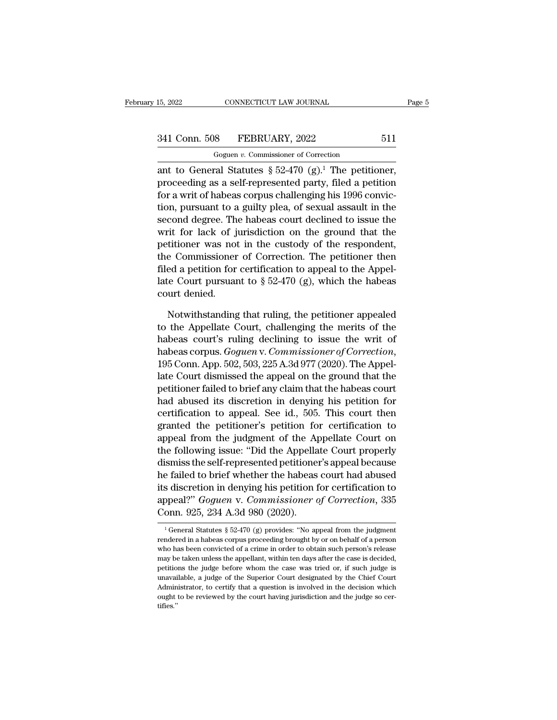# 15, 2022 CONNECTICUT LAW JOURNAL Page 5<br>341 Conn. 508 FEBRUARY, 2022 511<br>Goguen v. Commissioner of Correction

CONNECTICUT LAW JOURNAL<br>
8 FEBRUARY, 2022<br>
Goguen *v.* Commissioner of Correction<br>
17 Statutes 8 52-470 (g)<sup>1</sup> The netities 15, 2022 CONNECTICUT LAW JOURNAL Pag<br>
341 Conn. 508 FEBRUARY, 2022 511<br>
Goguen v. Commissioner of Correction<br>
ant to General Statutes § 52-470 (g).<sup>1</sup> The petitioner,<br>
proceeding as a self-represented party, filed a petiti 341 Conn. 508 FEBRUARY, 2022 511<br>
Goguen v. Commissioner of Correction<br>
ant to General Statutes § 52-470 (g).<sup>1</sup> The petitioner,<br>
proceeding as a self-represented party, filed a petition<br>
for a writ of habeas corpus chall 341 Conn. 508 FEBRUARY, 2022 511<br>
Goguen v. Commissioner of Correction<br>
ant to General Statutes  $\S 52-470$  (g).<sup>1</sup> The petitioner,<br>
proceeding as a self-represented party, filed a petition<br>
for a writ of habeas corpus cha 341 Conn. 508 FEBRUARY, 2022 511<br>
Goguen v. Commissioner of Correction<br>
ant to General Statutes § 52-470 (g).<sup>1</sup> The petitioner,<br>
proceeding as a self-represented party, filed a petition<br>
for a writ of habeas corpus chall Goguen v. Commissioner of Correction<br>
ant to General Statutes § 52-470 (g).<sup>1</sup> The petitioner,<br>
proceeding as a self-represented party, filed a petition<br>
for a writ of habeas corpus challenging his 1996 convic-<br>
tion, pur write is commissional of conceasing<br>ant to General Statutes § 52-470 (g).<sup>1</sup> The petitioner,<br>proceeding as a self-represented party, filed a petition<br>for a writ of habeas corpus challenging his 1996 convic-<br>tion, pursuant ant to General Statutes  $\S$  52-470 (g).<sup>1</sup> The petitioner,<br>proceeding as a self-represented party, filed a petition<br>for a writ of habeas corpus challenging his 1996 convic-<br>tion, pursuant to a guilty plea, of sexual assau proceeding as a self-represented party, filed a petition<br>for a writ of habeas corpus challenging his 1996 convic-<br>tion, pursuant to a guilty plea, of sexual assault in the<br>second degree. The habeas court declined to issue for a writ of habeas corpus challenging his 1996 conviction, pursuant to a guilty plea, of sexual assault in the second degree. The habeas court declined to issue the writ for lack of jurisdiction on the ground that the p tion, pursuant to a guilty plea, of sexual assault in the second degree. The habeas court declined to issue the writ for lack of jurisdiction on the ground that the petitioner was not in the custody of the respondent, the second degree. Th<br>writ for lack of j<br>petitioner was not<br>the Commissioner<br>filed a petition for<br>late Court pursuar<br>court denied.<br>Notwithstanding titioner was not in the custody of the respondent,<br>e Commissioner of Correction. The petitioner then<br>ed a petition for certification to appeal to the Appel-<br>le Court pursuant to  $\S 52-470$  (g), which the habeas<br>wurt denie the Commissioner of Correction. The petitioner then<br>filed a petition for certification to appeal to the Appellate Court pursuant to  $\S 52-470$  (g), which the habeas<br>court denied.<br>Notwithstanding that ruling, the petitione

filed a petition for certification to appeal to the Appellate Court pursuant to § 52-470 (g), which the habeas court denied.<br>
Notwithstanding that ruling, the petitioner appealed<br>
to the Appellate Court, challenging the m late Court pursuant to § 52-470 (g), which the habeas<br>court denied.<br>*Notwithstanding that ruling, the petitioner appealed*<br>to the Appellate Court, challenging the merits of the<br>habeas court's ruling declining to issue the Notwithstanding that ruling, the petitioner appealed<br>to the Appellate Court, challenging the merits of the<br>habeas court's ruling declining to issue the writ of<br>habeas corpus. *Goguen* v. *Commissioner of Correction*,<br>195 C Notwithstanding that ruling, the petitioner appealed<br>to the Appellate Court, challenging the merits of the<br>habeas court's ruling declining to issue the writ of<br>habeas corpus. *Goguen* v. *Commissioner of Correction*,<br>195 to the Appellate Court, challenging the merits of the<br>habeas court's ruling declining to issue the writ of<br>habeas corpus. *Goguen* v. *Commissioner of Correction*,<br>195 Conn. App. 502, 503, 225 A.3d 977 (2020). The Appel-<br>l habeas court's ruling declining to issue the writ of<br>habeas corpus. *Goguen* v. *Commissioner of Correction*,<br>195 Conn. App. 502, 503, 225 A.3d 977 (2020). The Appel-<br>late Court dismissed the appeal on the ground that the<br> habeas corpus. *Goguen v. Commissioner of Correction*,<br>195 Conn. App. 502, 503, 225 A.3d 977 (2020). The Appel-<br>late Court dismissed the appeal on the ground that the<br>petitioner failed to brief any claim that the habeas co 195 Conn. App. 502, 503, 225 A.3d  $977$  (2020). The Appellate Court dismissed the appeal on the ground that the petitioner failed to brief any claim that the habeas court had abused its discretion in denying his petition late Court dismissed the appeal on the ground that the<br>petitioner failed to brief any claim that the habeas court<br>had abused its discretion in denying his petition for<br>certification to appeal. See id., 505. This court then petitioner failed to brief any claim that the habeas court<br>had abused its discretion in denying his petition for<br>certification to appeal. See id., 505. This court then<br>granted the petitioner's petition for certification to he failed to brief whether the habeas court then<br>pranted the petitioner's petition for certification to<br>appeal from the judgment of the Appellate Court on<br>the following issue: "Did the Appellate Court properly<br>dismiss the certification to appeal. See id., 505. This court then<br>granted the petitioner's petition for certification to<br>appeal from the judgment of the Appellate Court on<br>the following issue: "Did the Appellate Court properly<br>dismis granted the petitioner's petition for certification to<br>appeal from the judgment of the Appellate Court on<br>the following issue: "Did the Appellate Court properly<br>dismiss the self-represented petitioner's appeal because<br>he f appear from the judgment of the Appella<br>the following issue: "Did the Appella<br>dismiss the self-represented petitione:<br>he failed to brief whether the habeas<br>its discretion in denying his petition f<br>appeal?" *Goguen v. Comm* 1 he failed to brief whether the habeas court had abused<br>its discretion in denying his petition for certification to<br>appeal?" *Goguen v. Commissioner of Correction*, 335<br>Conn. 925, 234 A.3d 980 (2020).<br> $\frac{1}{1}$  General S its discretion in denying his petition for certification to<br>appeal?" *Goguen v. Commissioner of Correction*, 335<br>Conn. 925, 234 A.3d 980 (2020).<br> $\frac{1}{1}$  General Statutes § 52-470 (g) provides: "No appeal from the judgme

appeal?" *Goguen v. Commissioner of Correction*, 335<br>Conn. 925, 234 A.3d 980 (2020).<br> $\frac{1}{1}$  General Statutes § 52-470 (g) provides: "No appeal from the judgment<br>rendered in a habeas corpus proceeding brought by or on b Conn. 925, 234 A.3d 980 (2020).<br>
<sup>1</sup> General Statutes § 52-470 (g) provides: "No appeal from the judgment rendered in a habeas corpus proceeding brought by or on behalf of a person who has been convicted of a crime in ord **PERTURE 1920, 204 A.00 900 (2020).**<br>
<sup>1</sup> General Statutes § 52-470 (g) provides: "No appeal from the judgment rendered in a habeas corpus proceeding brought by or on behalf of a person who has been convicted of a crime i <sup>1</sup> General Statutes § 52-470 (g) provides: "No appeal from the judgment rendered in a habeas corpus proceeding brought by or on behalf of a person who has been convicted of a crime in order to obtain such person's releas Frendered in a habeas corpus proceeding brought by or on behalf of a person who has been convicted of a crime in order to obtain such person's release may be taken unless the appellant, within ten days after the case is d who has been convicted of a crime in order to obtain such person's release may be taken unless the appellant, within ten days after the case is decided, petitions the judge before whom the case was tried or, if such judge tifies.''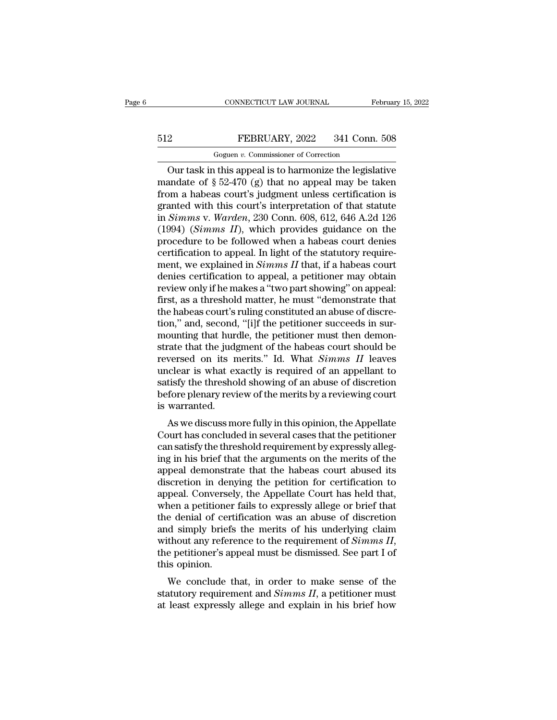# CONNECTICUT LAW JOURNAL February 15, 2022<br>512 FEBRUARY, 2022 341 Conn. 508<br>Goguen v. Commissioner of Correction CONNECTICUT LAW JOURNAL<br>FEBRUARY, 2022 341 Conn.<br>Goguen *v.* Commissioner of Correction<br>It this anneal is to harmonize the legisl:

CONNECTICUT LAW JOURNAL February 15, 2022<br>
PEBRUARY, 2022 341 Conn. 508<br>
Goguen v. Commissioner of Correction<br>
Our task in this appeal is to harmonize the legislative<br>
andate of § 52-470 (g) that no appeal may be taken FEBRUARY, 2022 341 Conn. 508<br>
Goguen v. Commissioner of Correction<br>
Our task in this appeal is to harmonize the legislative<br>
mandate of § 52-470 (g) that no appeal may be taken<br>
from a habeas court's judgment unless certif FEBRUARY, 2022 341 Conn. 508<br>
Goguen v. Commissioner of Correction<br>
Our task in this appeal is to harmonize the legislative<br>
mandate of  $\S 52-470$  (g) that no appeal may be taken<br>
from a habeas court's judgment unless cer FEBRUARY, 2022 341 Conn. 508<br>
Goguen v. Commissioner of Correction<br>
Our task in this appeal is to harmonize the legislative<br>
mandate of § 52-470 (g) that no appeal may be taken<br>
from a habeas court's judgment unless certi Goguen v. Commissioner of Correction<br>
Our task in this appeal is to harmonize the legislative<br>
mandate of § 52-470 (g) that no appeal may be taken<br>
from a habeas court's judgment unless certification is<br>
granted with this Goguen v. Commissioner of Correction<br>
Our task in this appeal is to harmonize the legislative<br>
mandate of § 52-470 (g) that no appeal may be taken<br>
from a habeas court's judgment unless certification is<br>
granted with this Our task in this appeal is to harmonize the legislative<br>mandate of  $\S 52-470$  (g) that no appeal may be taken<br>from a habeas court's judgment unless certification is<br>granted with this court's interpretation of that statute mandate of § 52-470 (g) that no appeal may be taken<br>from a habeas court's judgment unless certification is<br>granted with this court's interpretation of that statute<br>in *Simms v. Warden*, 230 Conn. 608, 612, 646 A.2d 126<br>(1 from a habeas court's judgment unless certification is<br>granted with this court's interpretation of that statute<br>in *Simms v. Warden*, 230 Conn. 608, 612, 646 A.2d 126<br>(1994) (*Simms II*), which provides guidance on the<br>pro granted with this court's interpretation of that statute<br>in *Simms* v. *Warden*, 230 Conn. 608, 612, 646 A.2d 126<br>(1994) (*Simms II*), which provides guidance on the<br>procedure to be followed when a habeas court denies<br>cert in *Simms* v. *Warden*, 230 Conn. 608, 612, 646 A.2d 126 (1994) (*Simms II*), which provides guidance on the procedure to be followed when a habeas court denies certification to appeal. In light of the statutory requireme (1994) (*Simms II*), which provides guidance on the procedure to be followed when a habeas court denies certification to appeal. In light of the statutory requirement, we explained in *Simms II* that, if a habeas court de procedure to be followed when a habeas court denies<br>certification to appeal. In light of the statutory require-<br>ment, we explained in *Simms II* that, if a habeas court<br>denies certification to appeal, a petitioner may obt certification to appeal. In light of the statutory requirement, we explained in  $Simms II$  that, if a habeas court denies certification to appeal, a petitioner may obtain review only if he makes a "two part showing" on appeal: ment, we explained in *Simms II* that, if a habeas court denies certification to appeal, a petitioner may obtain review only if he makes a "two part showing" on appeal: first, as a threshold matter, he must "demonstrate t denies certification to appeal, a petitioner may obtain<br>review only if he makes a "two part showing" on appeal:<br>first, as a threshold matter, he must "demonstrate that<br>the habeas court's ruling constituted an abuse of disc review only if he makes a "two part showing" on appeal:<br>first, as a threshold matter, he must "demonstrate that<br>the habeas court's ruling constituted an abuse of discre-<br>tion," and, second, "[i]f the petitioner succeeds in first, as a threshold matter, he must "demonstrate that<br>the habeas court's ruling constituted an abuse of discre-<br>tion," and, second, "[i]f the petitioner succeeds in sur-<br>mounting that hurdle, the petitioner must then de the habeas court's ruling constituted an abuse of discretion," and, second, "[i]f the petitioner succeeds in surmounting that hurdle, the petitioner must then demonstrate that the judgment of the habeas court should be rev tion," and, second, "[i]f the petitioner succeeds in sur-<br>mounting that hurdle, the petitioner must then demon-<br>strate that the judgment of the habeas court should be<br>reversed on its merits." Id. What *Simms II* leaves<br>unc mounting that hure<br>strate that the judg<br>reversed on its n<br>unclear is what ex<br>satisfy the thresho<br>before plenary revi<br>is warranted.<br>As we discuss me are that the judgment of the habeas court should be<br>versed on its merits." Id. What *Simms II* leaves<br>idear is what exactly is required of an appellant to<br>tisfy the threshold showing of an abuse of discretion<br>fore plenary reversed on its mems. The what *Summs Tr* leaves<br>unclear is what exactly is required of an appellant to<br>satisfy the threshold showing of an abuse of discretion<br>before plenary review of the merits by a reviewing court<br>is wa

miclear is what exactly is required or an appenant to<br>satisfy the threshold showing of an abuse of discretion<br>before plenary review of the merits by a reviewing court<br>is warranted.<br>As we discuss more fully in this opinion, saisry the threshold showing of an abuse of discretion<br>before plenary review of the merits by a reviewing court<br>is warranted.<br>As we discuss more fully in this opinion, the Appellate<br>Court has concluded in several cases tha before pienary review of the hierns by a reviewing court<br>is warranted.<br>As we discuss more fully in this opinion, the Appellate<br>Court has concluded in several cases that the petitioner<br>can satisfy the threshold requirement is warranted.<br>As we discuss more fully in this opinion, the Appellate<br>Court has concluded in several cases that the petitioner<br>can satisfy the threshold requirement by expressly alleg-<br>ing in his brief that the arguments o As we discuss more fully in this opinion, the Appellate<br>Court has concluded in several cases that the petitioner<br>can satisfy the threshold requirement by expressly alleg-<br>ing in his brief that the arguments on the merits o Court has concluded in several cases that the petitioner<br>can satisfy the threshold requirement by expressly alleg-<br>ing in his brief that the arguments on the merits of the<br>appeal demonstrate that the habeas court abused it can satisfy the threshold requirement by expressly alleg-<br>ing in his brief that the arguments on the merits of the<br>appeal demonstrate that the habeas court abused its<br>discretion in denying the petition for certification to ing in his brief that the arguments on the merits of the<br>appeal demonstrate that the habeas court abused its<br>discretion in denying the petition for certification to<br>appeal. Conversely, the Appellate Court has held that,<br>wh appeal demonstrate that the habeas court abused its<br>discretion in denying the petition for certification to<br>appeal. Conversely, the Appellate Court has held that,<br>when a petitioner fails to expressly allege or brief that<br>t appeal. Conversel<br>when a petitioner<br>the denial of cert<br>and simply briefs<br>without any refere<br>the petitioner's ap<br>this opinion.<br>We conclude tl Len a petholen rans to expressly allege of brief that<br>e denial of certification was an abuse of discretion<br>d simply briefs the merits of his underlying claim<br>thout any reference to the requirement of *Simms II*,<br>e petitio and simply briefs the merits of his underlying claim<br>without any reference to the requirement of *Simms II*,<br>the petitioner's appeal must be dismissed. See part I of<br>this opinion.<br>We conclude that, in order to make sense o and sinply bries the hierts of its underlying claim<br>without any reference to the requirement of *Simms II*,<br>the petitioner's appeal must be dismissed. See part I of<br>this opinion.<br>We conclude that, in order to make sense o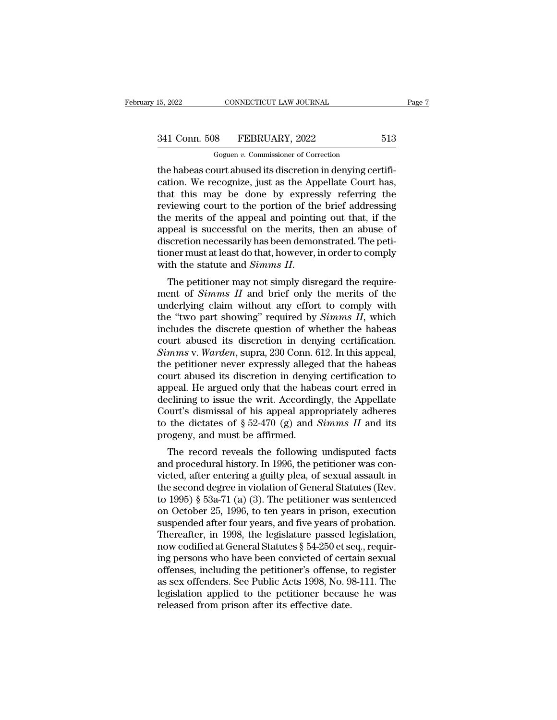EV. 2022 CONNECTICUT LAW JOURNAL<br>
Goguen *v.* Commissioner of Correction<br>
the habeas court abused its discretion in denying certifi-<br>
cation. We recognize, just as the Appellate Court has,<br>
that this may be done by express 341 Conn. 508 FEBRUARY, 2022 513<br>
Goguen v. Commissioner of Correction<br>
the habeas court abused its discretion in denying certification. We recognize, just as the Appellate Court has,<br>
that this may be done by expressly re 341 Conn. 508 FEBRUARY, 2022 513<br>
Goguen v. Commissioner of Correction<br>
the habeas court abused its discretion in denying certifi-<br>
cation. We recognize, just as the Appellate Court has,<br>
that this may be done by expressl 341 Conn. 508 FEBRUARY, 2022 513<br>
Goguen v. Commissioner of Correction<br>
the habeas court abused its discretion in denying certifi-<br>
cation. We recognize, just as the Appellate Court has,<br>
that this may be done by expressl Goguen v. Commissioner of Correction<br>the habeas court abused its discretion in denying certifi-<br>cation. We recognize, just as the Appellate Court has,<br>that this may be done by expressly referring the<br>reviewing court to th Goguen v. Commissioner of Correction<br>the habeas court abused its discretion in denying certifi-<br>cation. We recognize, just as the Appellate Court has,<br>that this may be done by expressly referring the<br>reviewing court to th the habeas court abused its discretion in denying certification. We recognize, just as the Appellate Court has, that this may be done by expressly referring the reviewing court to the portion of the brief addressing the m cation. We recognize, just as the Appellate Court has,<br>that this may be done by expressly referring the<br>reviewing court to the portion of the brief addressing<br>the merits of the appeal and pointing out that, if the<br>appeal that this may be done by expressly referring the<br>reviewing court to the portion of the brief addressing<br>the merits of the appeal and pointing out that, if the<br>appeal is successful on the merits, then an abuse of<br>discretion the merns of the appear and pointing out that, if the<br>appeal is successful on the merits, then an abuse of<br>discretion necessarily has been demonstrated. The peti-<br>tioner must at least do that, however, in order to comply<br>w

discretion necessarily has been demonstrated. The petitioner must at least do that, however, in order to comply<br>with the statute and *Simms II*.<br>The petitioner may not simply disregard the require-<br>ment of *Simms II* and the 'two part showing' required by *Simms II*, which the statute and *Simms II*, The petitioner may not simply disregard the requirement of *Simms II* and brief only the merits of the underlying claim without any effort to with the statute and *Simms II*.<br>The petitioner may not simply disregard the require-<br>ment of *Simms II* and brief only the merits of the<br>underlying claim without any effort to comply with<br>the "two part showing" required The petitioner may not simply disregard the requirement of *Simms II* and brief only the merits of the underlying claim without any effort to comply with the "two part showing" required by *Simms II*, which includes the d The petitioner may not simply disregard the requirement of *Simms II* and brief only the merits of the underlying claim without any effort to comply with the "two part showing" required by *Simms II*, which includes the di ment of *Simms II* and brief only the merits of the underlying claim without any effort to comply with the "two part showing" required by *Simms II*, which includes the discrete question of whether the habeas court abused underlying claim without any effort to comply with<br>the "two part showing" required by *Simms II*, which<br>includes the discrete question of whether the habeas<br>court abused its discretion in denying certification.<br>*Simms* v. the "two part showing" required by *Simms II*, which<br>includes the discrete question of whether the habeas<br>court abused its discretion in denying certification.<br>*Simms v. Warden*, supra, 230 Conn. 612. In this appeal,<br>the includes the discrete question of whether the habeas<br>court abused its discretion in denying certification.<br>Simms v. Warden, supra, 230 Conn. 612. In this appeal,<br>the petitioner never expressly alleged that the habeas<br>cour court abused its discretion in denying certification.<br>
Simms v. Warden, supra, 230 Conn. 612. In this appeal,<br>
the petitioner never expressly alleged that the habeas<br>
court abused its discretion in denying certification t Simms v. Warden, supra, 230 Conn. 612. In this appeal, the petitioner never expressly alleged that the habeas court abused its discretion in denying certification to appeal. He argued only that the habeas court erred in de the petitioner never expressly allege<br>court abused its discretion in denyin<br>appeal. He argued only that the habe<br>declining to issue the writ. Accordin<br>Court's dismissal of his appeal appr<br>to the dictates of  $\S 52-470$  (g) The record reveals the following undisputed facts of spreed after entering a smith put allowing the dictates of  $\S 52-470$  (g) and *Simms II* and its ogeny, and must be affirmed.<br>The record reveals the following undispute appear. The argued only that the habeas court erred in<br>declining to issue the writ. Accordingly, the Appellate<br>Court's dismissal of his appeal appropriately adheres<br>to the dictates of  $\S 52-470$  (g) and *Simms II* and its

declining to issue the with Accordingly, the Appendic<br>Court's dismissal of his appeal appropriately adheres<br>to the dictates of § 52-470 (g) and *Simms II* and its<br>progeny, and must be affirmed.<br>The record reveals the foll to the dictates of  $\S$  52-470 (g) and *Simms II* and its<br>progeny, and must be affirmed.<br>The record reveals the following undisputed facts<br>and procedural history. In 1996, the petitioner was con-<br>victed, after entering a g to the dictates of  $\S$  52-470 (g) and *Stimms 11* and its<br>progeny, and must be affirmed.<br>The record reveals the following undisputed facts<br>and procedural history. In 1996, the petitioner was con-<br>victed, after entering a progeny, and must be annihed.<br>
The record reveals the following undisputed facts<br>
and procedural history. In 1996, the petitioner was con-<br>
victed, after entering a guilty plea, of sexual assault in<br>
the second degree in v The record reveals the following undisputed facts<br>and procedural history. In 1996, the petitioner was con-<br>victed, after entering a guilty plea, of sexual assault in<br>the second degree in violation of General Statutes (Rev and procedural history. In 1996, the petitioner was convicted, after entering a guilty plea, of sexual assault in<br>the second degree in violation of General Statutes (Rev.<br>to 1995) § 53a-71 (a) (3). The petitioner was sente victed, after entering a guilty plea, of sexual assault in<br>the second degree in violation of General Statutes (Rev.<br>to 1995) § 53a-71 (a) (3). The petitioner was sentenced<br>on October 25, 1996, to ten years in prison, execu the second degree in violation of General Statutes (Rev.<br>to 1995) § 53a-71 (a) (3). The petitioner was sentenced<br>on October 25, 1996, to ten years in prison, execution<br>suspended after four years, and five years of probatio to 1995) § 53a-71 (a) (3). The petitioner was sentenced<br>on October 25, 1996, to ten years in prison, execution<br>suspended after four years, and five years of probation.<br>Thereafter, in 1998, the legislature passed legislatio on October 25, 1996, to ten years in prison, execution<br>suspended after four years, and five years of probation.<br>Thereafter, in 1998, the legislature passed legislation,<br>now codified at General Statutes § 54-250 et seq., re suspended after four years, and five years of probation.<br>Thereafter, in 1998, the legislature passed legislation,<br>now codified at General Statutes § 54-250 et seq., requir-<br>ing persons who have been convicted of certain se Thereafter, in 1998, the legislature passed lenow codified at General Statutes  $\S$  54-250 et seeing persons who have been convicted of cert offenses, including the petitioner's offense, the sex offenders. See Public Acts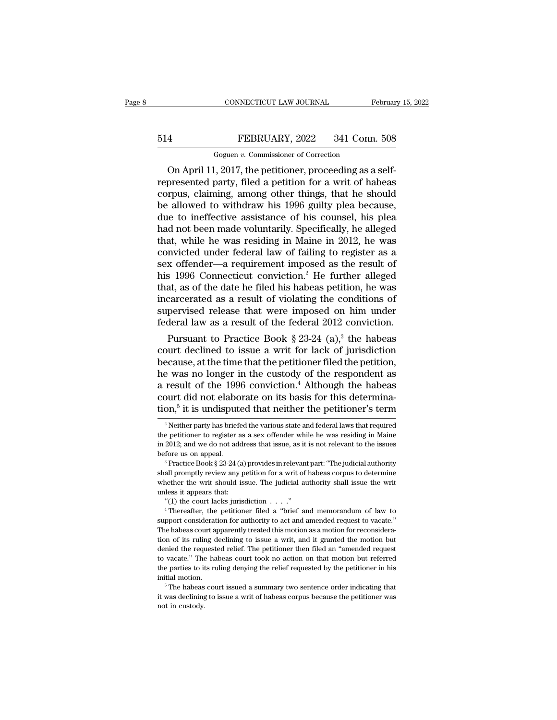# CONNECTICUT LAW JOURNAL February 15, 2022<br>514 FEBRUARY, 2022 341 Conn. 508<br>Goguen v. Commissioner of Correction CONNECTICUT LAW JOURNAL<br>FEBRUARY, 2022 341 Conn.<br>Goguen *v.* Commissioner of Correction<br>2017 the netitioner proceeding as a

CONNECTICUT LAW JOURNAL Februar<br>
4 FEBRUARY, 2022 341 Conn. 508<br>
Goguen v. Commissioner of Correction<br>
On April 11, 2017, the petitioner, proceeding as a self-<br>
presented party, filed a petition for a writ of habeas FEBRUARY, 2022 341 Conn. 508<br>
Goguen v. Commissioner of Correction<br>
On April 11, 2017, the petitioner, proceeding as a self-<br>
represented party, filed a petition for a writ of habeas<br>
corpus, claiming, among other things, EXERUARY, 2022 341 Conn. 508<br>
Goguen v. Commissioner of Correction<br>
On April 11, 2017, the petitioner, proceeding as a self-<br>
represented party, filed a petition for a writ of habeas<br>
corpus, claiming, among other things,  $\begin{array}{r} \text{514} & \text{FEBRUARY, 2022} & \text{341 Conn. 508} \\ \hline \text{Goguen } v. \text{ Commissioner of Correction} \\ \text{On April 11, 2017, the pertinent, proceeding as a self-represented party, filed a pertinent for a writ of habeas corpus, claiming, among other things, that he should be allowed to withdraw his 1996 guilty plea because, due to ineffective assistance of his course, his plea had not been made voluntary Snocifically, he allowed$ Goguen v. Commissioner of Correction<br>
On April 11, 2017, the petitioner, proceeding as a self-<br>
represented party, filed a petition for a writ of habeas<br>
corpus, claiming, among other things, that he should<br>
be allowed to Goguen v. Commissioner of Correction<br>
On April 11, 2017, the petitioner, proceeding as a self-<br>
represented party, filed a petition for a writ of habeas<br>
corpus, claiming, among other things, that he should<br>
be allowed to On April 11, 2017, the petitioner, proceeding as a self-<br>represented party, filed a petition for a writ of habeas<br>corpus, claiming, among other things, that he should<br>be allowed to withdraw his 1996 guilty plea because,<br>du represented party, filed a petition for a writ of habeas<br>corpus, claiming, among other things, that he should<br>be allowed to withdraw his 1996 guilty plea because,<br>due to ineffective assistance of his counsel, his plea<br>had corpus, claiming, among other things, that he should<br>be allowed to withdraw his 1996 guilty plea because,<br>due to ineffective assistance of his counsel, his plea<br>had not been made voluntarily. Specifically, he alleged<br>that, be allowed to withdraw his 1996 guilty plea because,<br>due to ineffective assistance of his counsel, his plea<br>had not been made voluntarily. Specifically, he alleged<br>that, while he was residing in Maine in 2012, he was<br>convi due to ineffective assistance of his counsel, his plea<br>had not been made voluntarily. Specifically, he alleged<br>that, while he was residing in Maine in 2012, he was<br>convicted under federal law of failing to register as a<br>se had not been made voluntarily. Specifically, he alleged<br>that, while he was residing in Maine in 2012, he was<br>convicted under federal law of failing to register as a<br>sex offender—a requirement imposed as the result of<br>his 1 that, while he was residing in Maine in 2012, he was<br>convicted under federal law of failing to register as a<br>sex offender—a requirement imposed as the result of<br>his 1996 Connecticut conviction.<sup>2</sup> He further alleged<br>that, convicted under federal law of failing to register as a<br>sex offender—a requirement imposed as the result of<br>his 1996 Connecticut conviction.<sup>2</sup> He further alleged<br>that, as of the date he filed his habeas petition, he was<br> x offender—a requirement imposed as the result of<br>s 1996 Connecticut conviction.<sup>2</sup> He further alleged<br>at, as of the date he filed his habeas petition, he was<br>carcerated as a result of violating the conditions of<br>pervised ms 1990 Connecticut conviction.<sup>2</sup> He further alleged<br>that, as of the date he filed his habeas petition, he was<br>incarcerated as a result of violating the conditions of<br>supervised release that were imposed on him under<br>fed

that, as of the date he filed his habeas petition, he was<br>incarcerated as a result of violating the conditions of<br>supervised release that were imposed on him under<br>federal law as a result of the federal 2012 conviction.<br>P mearcerated as a result of violating the conditions of<br>supervised release that were imposed on him under<br>federal law as a result of the federal 2012 conviction.<br>Pursuant to Practice Book § 23-24 (a),<sup>3</sup> the habeas<br>court d supervised release that were imposed on him under<br>federal law as a result of the federal 2012 conviction.<br>Pursuant to Practice Book § 23-24 (a),<sup>3</sup> the habeas<br>court declined to issue a writ for lack of jurisdiction<br>becaus rederal law as a result of the rederal 2012 conviction.<br>Pursuant to Practice Book § 23-24 (a),<sup>3</sup> the habeas<br>court declined to issue a writ for lack of jurisdiction<br>because, at the time that the petitioner filed the petit tion,<sup>5</sup> it is undisputed that neither the petitioner's term suant to Practice Book § 23-24 (a),<sup>3</sup> the habeas<br>declined to issue a writ for lack of jurisdiction<br>se, at the time that the petitioner filed the petition,<br>is no longer in the custody of the respondent as<br>all of the 1996 e was no longer in the custody of the respondent as<br>result of the 1996 conviction.<sup>4</sup> Although the habeas<br>ourt did not elaborate on its basis for this determina-<br>on,<sup>5</sup> it is undisputed that neither the petitioner's term<br> a result of the 1996 conviction.<sup>4</sup> Although the habeas court did not elaborate on its basis for this determination,<sup>5</sup> it is undisputed that neither the petitioner's term  $\frac{1}{2}$  Neither party has briefed the various s

court did not elaborate on its basis for this determination,<sup>5</sup> it is undisputed that neither the petitioner's term  $\frac{1}{2}$  Neither party has briefed the various state and federal laws that required the petitioner to re tion,<sup>5</sup> it is undisputed that neither the petitioner's term<br>
<sup>2</sup> Neither party has briefed the various state and federal laws that required<br>
the petitioner to register as a sex offender while he was residing in Maine<br>
in <sup>2</sup> Neither party has briefed the various state and federal laws that required the petitioner to register as a sex offender while he was residing in Maine in 2012; and we do not address that issue, as it is not relevant t

the petitioner to register as a sex offender while he was residing in Maine<br>in 2012; and we do not address that issue, as it is not relevant to the issues<br>before us on appeal.<br><sup>3</sup> Practice Book § 23-24 (a) provides in rele in 2012; and we do not address that issue, as it is not relevant to the issues<br>before us on appeal.<br><sup>3</sup> Practice Book § 23-24 (a) provides in relevant part: "The judicial authority<br>shall promptly review any petition for a fore us on appeal.<br>
<sup>3</sup> Practice Book § 23-24 (a) provides in relevant part: "The judicial authority all promptly review any petition for a writ of habeas corpus to determine eether the writ should issue. The judicial aut

support of a with the with shall promptly review any petition for a writ of habeas corpus to determine whether the writ should issue. The judicial authority shall issue the writ unless it appears that:<br>
"(1) the court lac whether the writ should issue. The judicial authority shall issue the writ<br>unless it appears that: "(1) the court lacks jurisdiction  $\ldots$ ."<br>"Thereafter, the petitioner filed a "brief and memorandum of law to<br>support cons unless it appears that:<br>
"(1) the court lacks jurisdiction . . . ."<br>
"Thereafter, the petitioner filed a "brief and memorandum of law to<br>
support consideration for authority to act and amended request to vacate."<br>
The habe "(1) the court lacks jurisdiction  $\ldots$ "<br>
"Thereafter, the petitioner filed a "brief and memorandum of law to<br>
support consideration for authority to act and amended request to vacate."<br>
The habeas court apparently treate <sup>4</sup> Thereafter, the petitioner filed a "brief and memorandum of law to support consideration for authority to act and amended request to vacate." The habeas court apparently treated this motion as a motion for reconsiderat support consideration for authority to act and amended request to vacate."<br>The habeas court apparently treated this motion as a motion for reconsideration of its ruling declining to issue a writ, and it granted the motion suppose that was court apparently treated this motion as a motion for reconsideration of its ruling declining to issue a writ, and it granted the motion but denied the requested relief. The petitioner then filed an "amende tion of its ruling declining to issue a writ, and it granted the motion but denied the requested relief. The petitioner then filed an "amended request to vacate." The habeas court took no action on that motion but referre to vacate." The habeas court took no action on that motion but referred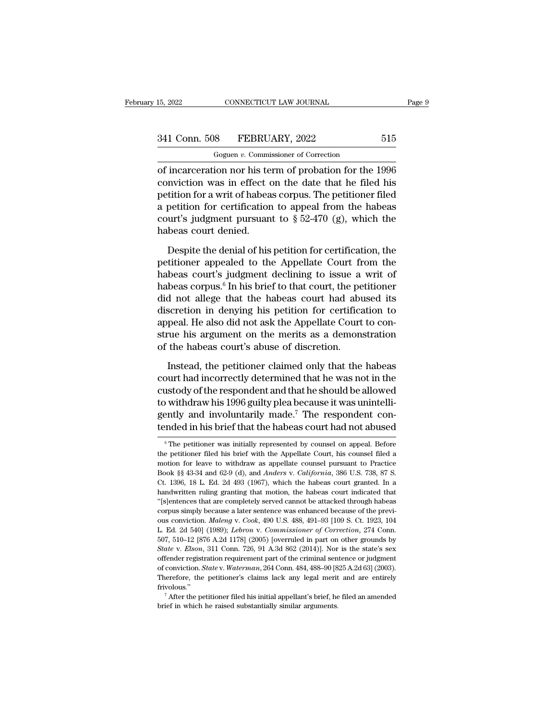CONNECTICUT LAW JOURNAL<br>
8 FEBRUARY, 2022<br>
Goguen *v.* Commissioner of Correction<br>
ion nor his term of probation for the of incarceration nor his term of probation for the 1996<br>
normalisation for the 1996<br>
conviction was in effect on the date that he filed his<br>
notifien for a unit of babase serves. The positioner filed 341 Conn. 508 FEBRUARY, 2022 515<br>
Goguen v. Commissioner of Correction<br>
of incarceration nor his term of probation for the 1996<br>
conviction was in effect on the date that he filed his<br>
petition for a writ of habeas corpus. 341 Conn. 508 FEBRUARY, 2022 515<br>
Goguen v. Commissioner of Correction<br>
of incarceration nor his term of probation for the 1996<br>
conviction was in effect on the date that he filed his<br>
petition for a writ of habeas corpus 341 Conn. 508 FEBRUARY, 2022 515<br>
Goguen v. Commissioner of Correction<br>
of incarceration nor his term of probation for the 1996<br>
conviction was in effect on the date that he filed his<br>
petition for a writ of habeas corpus Goguen v. Commissioner of Correction<br>
of incarceration nor his term of probation for the 1996<br>
conviction was in effect on the date that he filed his<br>
petition for a writ of habeas corpus. The petitioner filed<br>
a petition habeas court denied. mviction was in effect on the date that he filed his<br>tition for a writ of habeas corpus. The petitioner filed<br>petition for certification to appeal from the habeas<br>surt's judgment pursuant to  $\S 52-470$  (g), which the<br>beas petition for a writ of habeas corpus. The petitioner filed<br>a petition for certification to appeal from the habeas<br>court's judgment pursuant to  $\S 52-470$  (g), which the<br>habeas court denied.<br>Despite the denial of his petit

Fa petition for certification to appeal from the habeas<br>court's judgment pursuant to  $\S 52-470$  (g), which the<br>habeas court denied.<br>Despite the denial of his petition for certification, the<br>petitioner appealed to the Appe court's judgment pursuant to  $\S$  52-470 (g), which the<br>habeas court denied.<br>Despite the denial of his petition for certification, the<br>petitioner appealed to the Appellate Court from the<br>habeas court's judgment declining t habeas court denied.<br>
Despite the denial of his petition for certification, the<br>
petitioner appealed to the Appellate Court from the<br>
habeas court's judgment declining to issue a writ of<br>
habeas corpus.<sup>6</sup> In his brief to Despite the denial of his petition for certification, the petitioner appealed to the Appellate Court from the habeas court's judgment declining to issue a writ of habeas corpus.<sup>6</sup> In his brief to that court, the petitione Despite the denial of his petition for certification, the petitioner appealed to the Appellate Court from the habeas court's judgment declining to issue a writ of habeas corpus.<sup>6</sup> In his brief to that court, the petitione petitioner appealed to the Appellate Court from the<br>habeas court's judgment declining to issue a writ of<br>habeas corpus.<sup>6</sup> In his brief to that court, the petitioner<br>did not allege that the habeas court had abused its<br>disc habeas court's judgment declining to issue a<br>habeas corpus.<sup>6</sup> In his brief to that court, the pe<br>did not allege that the habeas court had abu<br>discretion in denying his petition for certifica<br>appeal. He also did not ask th In the period of that the habeas court had abused its<br>scretion in denying his petition for certification to<br>peal. He also did not ask the Appellate Court to con-<br>rue his argument on the merits as a demonstration<br>the habeas discretion in denying his petition for certification to<br>appeal. He also did not ask the Appellate Court to con-<br>strue his argument on the merits as a demonstration<br>of the habeas court's abuse of discretion.<br>Instead, the pe

appeal. He also did not ask the Appellate Court to construe his argument on the merits as a demonstration<br>of the habeas court's abuse of discretion.<br>Instead, the petitioner claimed only that the habeas<br>court had incorrect true his argument on the merits as a demonstration<br>of the habeas court's abuse of discretion.<br>Instead, the petitioner claimed only that the habeas<br>court had incorrectly determined that he was not in the<br>custody of the resp of the habeas court's abuse of discretion.<br>Instead, the petitioner claimed only that the habeas<br>court had incorrectly determined that he was not in the<br>custody of the respondent and that he should be allowed<br>to withdraw hi Instead, the petitioner claimed only that the habeas<br>court had incorrectly determined that he was not in the<br>custody of the respondent and that he should be allowed<br>to withdraw his 1996 guilty plea because it was unintell but withdraw his 1996 guilty plea because it was unintelliently and involuntarily made.<sup>7</sup> The respondent conducted in his brief that the habeas court had not abused  $\frac{1}{6}$  The petitioner was initially represented by c to withdraw his 1996 guilty plea because it was unintelli-<br>gently and involuntarily made.<sup>7</sup> The respondent con-<br>tended in his brief that the habeas court had not abused<br> $\frac{1}{\pi}$  The petitioner was initially represented

gently and involuntarily made.<sup>7</sup> The respondent contended in his brief that the habeas court had not abused  $\frac{1}{\pi}$  The petitioner was initially represented by counsel on appeal. Before the petitioner filed his brief tended in his brief that the habeas court had not abused<br>
<sup>6</sup> The petitioner was initially represented by counsel on appeal. Before<br>
the petitioner filed his brief with the Appellate Court, his counsel filed a<br>
motion for <sup>6</sup> The petitioner was initially represented by counsel on appeal. Before<br>the petitioner filed his brief with the Appellate Court, his counsel filed a<br>motion for leave to withdraw as appellate counsel pursuant to Practice<br> <sup>6</sup> The petitioner was initially represented by counsel on appeal. Before the petitioner filed his brief with the Appellate Court, his counsel filed a motion for leave to withdraw as appellate counsel pursuant to Practice the petitioner filed his brief with the Appellate Court, his coursel filed a motion for leave to withdraw as appellate coursel pursuant to Practice Book §§ 43-34 and 62-9 (d), and *Anders v. California*, 386 U.S. 738, 87 S motion for leave to withdraw as appellate counsel pursuant to Practice<br>Book §§ 43-34 and 62-9 (d), and *Anders v. California*, 386 U.S. 738, 87 S.<br>Ct. 1396, 18 L. Ed. 2d 493 (1967), which the habeas court granted. In a<br>ha Hook §§ 43-34 and 62-9 (d), and *Anders* v. *California*, 386 U.S. 738, 87 S.<br>Ct. 1396, 18 L. Ed. 2d 493 (1967), which the habeas court granted. In a<br>handwritten ruling granting that motion, the habeas court indicated that L. 1396, 18 L. Ed. 2d 493 (1967), which the habeas court granted. In a handwritten ruling granting that motion, the habeas court indicated that "[s]entences that are completely served cannot be attacked through habeas corp handwritten ruling granting that motion, the habeas court indicated that "[s]entences that are completely served cannot be attacked through habeas corpus simply because a later sentence was enhanced because of the previous "Sentences that are completely served cannot be attacked through habeas corpus simply because a later sentence was enhanced because of the previous conviction. *Maleng* v. *Cook*, 490 U.S. 488, 491–93 [109 S. Ct. 1923, 104 corpus simply because a later sentence was enhanced because of the previous conviction. *Maleng v. Cook*, 490 U.S. 488, 491–93 [109 S. Ct. 1923, 104 L. Ed. 2d 540] (1989); *Lebron v. Commissioner of Correction*, 274 Conn. ous conviction. *Maleng* v. *Cook*, 490 U.S. 488, 491–93 [109 S. Ct. 1923, 104<br>L. Ed. 2d 540] (1989); *Lebron v. Commissioner of Correction*, 274 Conn.<br>507, 510–12 [876 A.2d 1178] (2005) [overruled in part on other grounds L. Ed. 2d 540] (1989); *Lebron v. Commissioner of Correction*, 274 Conn.<br>
507, 510–12 [876 A.2d 1178] (2005) [overruled in part on other grounds by *State v. Elson*, 311 Conn. 726, 91 A.3d 862 (2014)]. Nor is the state's frivolous.'' *After LEIson*, 311 Conn. 726, 91 A.3d 862 (2014)]. Nor is the state's sex fender registration requirement part of the criminal sentence or judgment conviction. *State v. Waterman*, 264 Conn. 484, 488–90 [825 A.2d 63] (20 State v. Elson, 311 Conn. 726, 91 A.3d 862 (2014)]. Nor is the state's sex offender registration requirement part of the criminal sentence or judgment of conviction. *State* v. *Waterman*, 264 Conn. 484, 488–90 [825 A.2d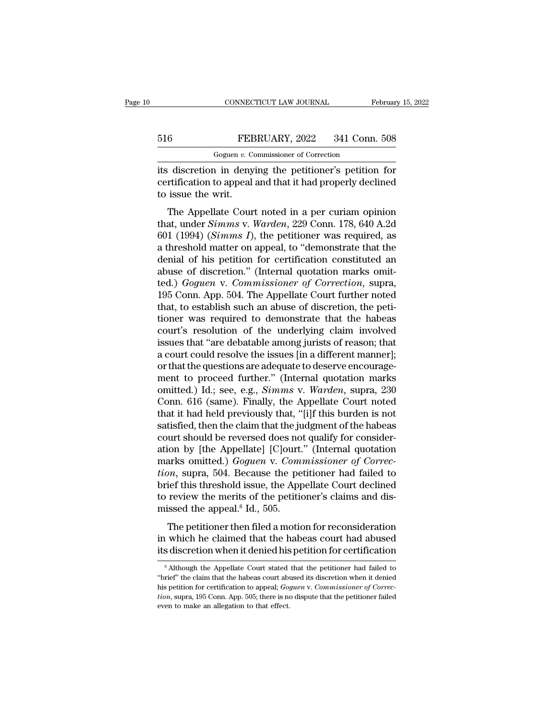# CONNECTICUT LAW JOURNAL February 15, 2022<br>516 FEBRUARY, 2022 341 Conn. 508<br>Goguen v. Commissioner of Correction CONNECTICUT LAW JOURNAL<br>FEBRUARY, 2022 341 Conn.<br>Goguen *v.* Commissioner of Correction<br>a in denving the petitioner's petition

CONNECTICUT LAW JOURNAL February 15, 2022<br>
FEBRUARY, 2022 341 Conn. 508<br>
Goguen v. Commissioner of Correction<br>
its discretion in denying the petitioner's petition for<br>
certification to appeal and that it had properly decli FEBRUARY, 2022 341 Conn. 508<br>Goguen v. Commissioner of Correction<br>its discretion in denying the petitioner's petition for<br>certification to appeal and that it had properly declined<br>to issue the writ.  $\begin{array}{c|l} \text{516} & \text{FEE} \end{array}$ <br>its discretion in deny certification to appeal to issue the writ.<br>The Appellate Cour FEBRUARY, 2022 341 Conn. 508<br>
Goguen v. Commissioner of Correction<br>
discretion in denying the petitioner's petition for<br>
rtification to appeal and that it had properly declined<br>
issue the writ.<br>
The Appellate Court noted

Goguen *v*. Commissioner of Correction<br>
its discretion in denying the petitioner's petition for<br>
certification to appeal and that it had properly declined<br>
to issue the writ.<br>
The Appellate Court noted in a per curiam opin its discretion in denying the petitioner's petition for<br>certification to appeal and that it had properly declined<br>to issue the writ.<br>The Appellate Court noted in a per curiam opinion<br>that, under *Simms v. Warden*, 229 Conn a threshold matter on appeal and that it had properly declined<br>to issue the writ.<br>The Appellate Court noted in a per curiam opinion<br>that, under *Simms* v. *Warden*, 229 Conn. 178, 640 A.2d<br>601 (1994) (*Simms I*), the petit to issue the writ.<br>
The Appellate Court noted in a per curiam opinion<br>
that, under *Simms* v. *Warden*, 229 Conn. 178, 640 A.2d<br>
601 (1994) (*Simms I*), the petitioner was required, as<br>
a threshold matter on appeal, to "d The Appellate Court noted in a per curiam opinion<br>that, under *Simms v. Warden*, 229 Conn. 178, 640 A.2d<br>601 (1994) (*Simms I*), the petitioner was required, as<br>a threshold matter on appeal, to "demonstrate that the<br>denia The Appellate Court noted in a per curiam opinion<br>that, under *Simms* v. *Warden*, 229 Conn. 178, 640 A.2d<br>601 (1994) (*Simms I*), the petitioner was required, as<br>a threshold matter on appeal, to "demonstrate that the<br>deni that, under *Simms* v. *Warden*, 229 Conn. 178, 640 A.2d 601 (1994) (*Simms I*), the petitioner was required, as a threshold matter on appeal, to "demonstrate that the denial of his petition for certification constituted a 601 (1994) (*Simms I*), the petitioner was required, as<br>a threshold matter on appeal, to "demonstrate that the<br>denial of his petition for certification constituted an<br>abuse of discretion." (Internal quotation marks omit-<br> a threshold matter on appeal, to "demonstrate that the<br>denial of his petition for certification constituted an<br>abuse of discretion." (Internal quotation marks omit-<br>ted.) *Goguen v. Commissioner of Correction*, supra,<br>195 denial of his petition for certification constituted an<br>abuse of discretion." (Internal quotation marks omit-<br>ted.) *Goguen v. Commissioner of Correction*, supra,<br>195 Conn. App. 504. The Appellate Court further noted<br>that, abuse of discretion." (Internal quotation marks omit-<br>ted.) *Goguen v. Commissioner of Correction*, supra,<br>195 Conn. App. 504. The Appellate Court further noted<br>that, to establish such an abuse of discretion, the peti-<br>tio ted.) *Goguen v. Commissioner of Correction*, supra, 195 Conn. App. 504. The Appellate Court further noted that, to establish such an abuse of discretion, the petitioner was required to demonstrate that the habeas court's 195 Conn. App. 504. The Appellate Court further noted<br>that, to establish such an abuse of discretion, the peti-<br>tioner was required to demonstrate that the habeas<br>court's resolution of the underlying claim involved<br>issues that, to establish such an abuse of discretion, the petitioner was required to demonstrate that the habeas court's resolution of the underlying claim involved issues that "are debatable among jurists of reason; that a cour tioner was required to demonstrate that the habeas<br>court's resolution of the underlying claim involved<br>issues that "are debatable among jurists of reason; that<br>a court could resolve the issues [in a different manner];<br>or t court's resolution of the underlying claim involved<br>issues that "are debatable among jurists of reason; that<br>a court could resolve the issues [in a different manner];<br>or that the questions are adequate to deserve encourage issues that "are debatable among jurists of reason; that<br>a court could resolve the issues [in a different manner];<br>or that the questions are adequate to deserve encourage-<br>ment to proceed further." (Internal quotation mark a court could resolve the issues [in a different manner];<br>or that the questions are adequate to deserve encourage-<br>ment to proceed further." (Internal quotation marks<br>omitted.) Id.; see, e.g., *Simms* v. Warden, supra, 230 or that the questions are adequate to deserve encouragement to proceed further." (Internal quotation marks omitted.) Id.; see, e.g., *Simms v. Warden*, supra, 230 Conn. 616 (same). Finally, the Appellate Court noted that i ment to proceed further." (Internal quotation marks<br>omitted.) Id.; see, e.g., *Simms* v. *Warden*, supra, 230<br>Conn. 616 (same). Finally, the Appellate Court noted<br>that it had held previously that, "[i]f this burden is not<br> omitted.) Id.; see, e.g., *Simms* v. *Warden*, supra, 230 Conn. 616 (same). Finally, the Appellate Court noted that it had held previously that, "[i]f this burden is not satisfied, then the claim that the judgment of the h Conn. 616 (same). Finally, the Appellate Court noted<br>that it had held previously that, "[i]f this burden is not<br>satisfied, then the claim that the judgment of the habeas<br>court should be reversed does not qualify for consid that it had held previously that, "[i]f this burden is not<br>satisfied, then the claim that the judgment of the habeas<br>court should be reversed does not qualify for consider-<br>ation by [the Appellate] [C]ourt." (Internal quot satisfied, then the claim that the judgment of the habeas<br>court should be reversed does not qualify for consider-<br>ation by [the Appellate] [C]ourt." (Internal quotation<br>marks omitted.) *Goguen* v. *Commissioner of Correc*court should be reversed does no<br>ation by [the Appellate] [C]ourt.<br>marks omitted.) *Goguen v. Com*<br>tion, supra, 504. Because the pe<br>brief this threshold issue, the App<br>to review the merits of the petitic<br>missed the appeal. The petitioner of Correction<br>arks omitted.) *Goguen v. Commissioner of Correction*, supra, 504. Because the petitioner had failed to<br>ief this threshold issue, the Appellate Court declined<br>review the merits of the petition From Summary 1997 and the petitioner had failed to<br>brief this threshold issue, the Appellate Court declined<br>to review the merits of the petitioner's claims and dis-<br>missed the appeal.<sup>8</sup> Id., 505.<br>The petitioner then file brief this threshold issue, the Appellate Court declined<br>to review the merits of the petitioner's claims and dis-<br>missed the appeal.<sup>8</sup> Id., 505.<br>The petitioner then filed a motion for reconsideration<br>in which he claimed

The petitioner then filed a motion for reconsideration<br>a which he claimed that the habeas court had abused<br>s discretion when it denied his petition for certification<br> $\frac{1}{8}$  Although the Appellate Court stated that the The petitioner then filed a motion for reconsideration<br>in which he claimed that the habeas court had abused<br>its discretion when it denied his petition for certification<br> $\frac{1}{100}$ <br> $\frac{1}{100}$   $\frac{1}{100}$  the Appellate Co

in which he claimed that the habeas court had abused<br>its discretion when it denied his petition for certification<br><sup>8</sup> Although the Appellate Court stated that the petitioner had failed to<br>"brief" the claim that the habeas *tis* discretion when it denied his petition for certification<br><sup>8</sup> Although the Appellate Court stated that the petitioner had failed to<br>"brief" the claim that the habeas court abused its discretion when it denied<br>his peti  $^8$  Although the Appellate Court stated that the petitioner had failed to "brief" the claim that the habeas court abused its discretion when it denied his petition for certification to appeal; *Goguen v. Commissioner of*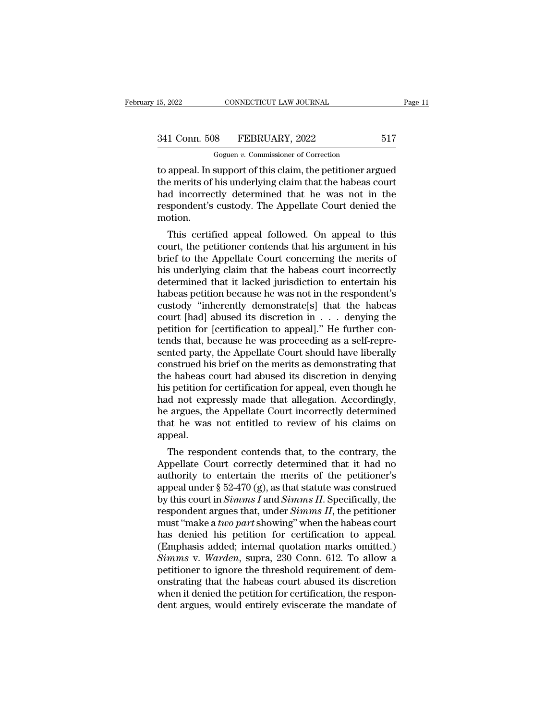CONNECTICUT LAW JOURNAL<br>
8 FEBRUARY, 2022<br>
Goguen *v.* Commissioner of Correction<br>
support of this claim, the petitioner arc 15, 2022 CONNECTICUT LAW JOURNAL Page 11<br>
341 Conn. 508 FEBRUARY, 2022 517<br>
Goguen v. Commissioner of Correction<br>
to appeal. In support of this claim, the petitioner argued<br>
the merits of his underlying claim that the habe 341 Conn. 508 FEBRUARY, 2022 517<br>
Goguen v. Commissioner of Correction<br>
to appeal. In support of this claim, the petitioner argued<br>
the merits of his underlying claim that the habeas court<br>
had incorrectly determined that  $\frac{341 \text{ Conn. } 508 \qquad \text{FEBRUARY, } 2022 \qquad \qquad 517 \qquad \qquad \text{Goguen } v. \text{ Commissioner of Correction}$ <br>to appeal. In support of this claim, the petitioner argued<br>the merits of his underlying claim that the habeas court<br>had incorrectly determined that he w 341 Conn. 508 FEBRUARY, 2022 517<br>
Goguen v. Commissioner of Correction<br>
to appeal. In support of this claim, the petitioner argued<br>
the merits of his underlying claim that the habeas court<br>
had incorrectly determined that motion. appeal. In support of this claim, the petitioner argued<br>e merits of his underlying claim that the habeas court<br>d incorrectly determined that he was not in the<br>spondent's custody. The Appellate Court denied the<br>otion.<br>This to appear. In support of this claim, the petitioner argued<br>the merits of his underlying claim that the habeas court<br>had incorrectly determined that he was not in the<br>respondent's custody. The Appellate Court denied the<br>mot

the merns of its underlying claim that the habeas court<br>had incorrectly determined that he was not in the<br>respondent's custody. The Appellate Court denied the<br>motion.<br>This certified appeal followed. On appeal to this<br>court had incorrectly determined that he was not in the<br>respondent's custody. The Appellate Court denied the<br>motion.<br>This certified appeal followed. On appeal to this<br>court, the petitioner contends that his argument in his<br>brief respondent's custody. The Appenate Court defined the<br>motion.<br>This certified appeal followed. On appeal to this<br>court, the petitioner contends that his argument in his<br>brief to the Appellate Court concerning the merits of<br>h This certified appeal followed. On appeal to this<br>court, the petitioner contends that his argument in his<br>brief to the Appellate Court concerning the merits of<br>his underlying claim that the habeas court incorrectly<br>determi This certified appeal followed. On appeal to this<br>court, the petitioner contends that his argument in his<br>brief to the Appellate Court concerning the merits of<br>his underlying claim that the habeas court incorrectly<br>determ court, the petitioner contends that his argument in his<br>brief to the Appellate Court concerning the merits of<br>his underlying claim that the habeas court incorrectly<br>determined that it lacked jurisdiction to entertain his<br>h brief to the Appellate Court concerning the merits of<br>his underlying claim that the habeas court incorrectly<br>determined that it lacked jurisdiction to entertain his<br>habeas petition because he was not in the respondent's<br>cu his underlying claim that the habeas court incorrectly<br>determined that it lacked jurisdiction to entertain his<br>habeas petition because he was not in the respondent's<br>custody "inherently demonstrate[s] that the habeas<br>court determined that it lacked jurisdiction to entertain his<br>habeas petition because he was not in the respondent's<br>custody "inherently demonstrate[s] that the habeas<br>court [had] abused its discretion in . . . denying the<br>petit habeas petition because he was not in the respondent's<br>custody "inherently demonstrate[s] that the habeas<br>court [had] abused its discretion in  $\dots$  denying the<br>petition for [certification to appeal]." He further con-<br>tend custody "inherently demonstrate[s] that the habeas<br>court [had] abused its discretion in . . . denying the<br>petition for [certification to appeal]." He further con-<br>tends that, because he was proceeding as a self-repre-<br>sent court [had] abused its discretion in . . . denying the<br>petition for [certification to appeal]." He further con-<br>tends that, because he was proceeding as a self-repre-<br>sented party, the Appellate Court should have liberally petition for [certification to appeal]." He further contends that, because he was proceeding as a self-represented party, the Appellate Court should have liberally construed his brief on the merits as demonstrating that th tends that, because he was proceeding as a self-repre-<br>sented party, the Appellate Court should have liberally<br>construed his brief on the merits as demonstrating that<br>the habeas court had abused its discretion in denying<br>h sented party, the Appellate Court should have liberally<br>construed his brief on the merits as demonstrating that<br>the habeas court had abused its discretion in denying<br>his petition for certification for appeal, even though h appeal. Solut had abused its discretion in deriying<br>spetition for certification for appeal, even though he<br>d not expressly made that allegation. Accordingly,<br>argues, the Appellate Court incorrectly determined<br>at he was not entitle Appellate Court incorrectly determined that he was not entitled to review of his claims on appeal.<br>The respondent contends that, to the contrary, the Appellate Court correctly determined that he was not entitled to review

Fracture and the expressiy made that an<br>egation. Accordingly, the argues, the Appellate Court incorrectly determined<br>that he was not entitled to review of his claims on<br>appeal.<br>The respondent contends that, to the contrar The argues, the Appenate Court incorrectly determined<br>that he was not entitled to review of his claims on<br>appeal.<br>The respondent contends that, to the contrary, the<br>Appellate Court correctly determined that it had no<br>auth that he was not entitled to review of his claims on<br>appeal.<br>The respondent contends that, to the contrary, the<br>Appellate Court correctly determined that it had no<br>authority to entertain the merits of the petitioner's<br>appea The respondent contends that, to the contrary, the<br>Appellate Court correctly determined that it had no<br>authority to entertain the merits of the petitioner's<br>appeal under § 52-470 (g), as that statute was construed<br>by this The respondent contends that, to the contrary, the<br>Appellate Court correctly determined that it had no<br>authority to entertain the merits of the petitioner's<br>appeal under § 52-470 (g), as that statute was construed<br>by this Appellate Court correctly determined that it had no<br>authority to entertain the merits of the petitioner's<br>appeal under § 52-470 (g), as that statute was construed<br>by this court in *Simms I* and *Simms II*. Specifically, t authority to entertain the merits of the petitioner's<br>appeal under § 52-470 (g), as that statute was construed<br>by this court in *Simms I* and *Simms II*. Specifically, the<br>respondent argues that, under *Simms II*, the pet appeal under § 52-470 (g), as that statute was construed<br>by this court in *Simms I* and *Simms II*. Specifically, the<br>respondent argues that, under *Simms II*, the petitioner<br>must "make a *two part* showing" when the habea by this court in *Simms I* and *Simms II*. Specifically, the respondent argues that, under *Simms II*, the petitioner must "make a *two part* showing" when the habeas court has denied his petition for certification to appe respondent argues that, under *Simms II*, the petitioner<br>must "make a *two part* showing" when the habeas court<br>has denied his petition for certification to appeal.<br>(Emphasis added; internal quotation marks omitted.)<br>*Sim* must "make a *two part* showing" when the habeas court<br>has denied his petition for certification to appeal.<br>(Emphasis added; internal quotation marks omitted.)<br> $Simms$  v. *Warden*, supra, 230 Conn. 612. To allow a<br>petitioner has denied his petition for certification to appeal.<br>(Emphasis added; internal quotation marks omitted.)<br>Simms v. Warden, supra, 230 Conn. 612. To allow a<br>petitioner to ignore the threshold requirement of dem-<br>onstrating t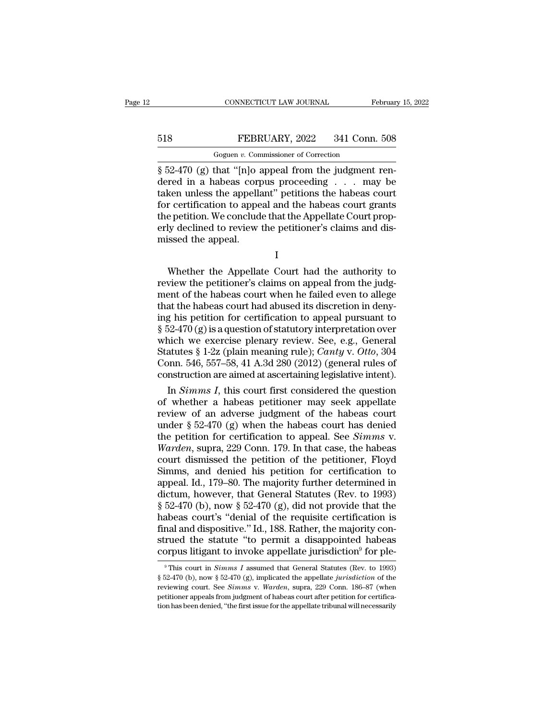# CONNECTICUT LAW JOURNAL February 15, 2022<br>518 FEBRUARY, 2022 341 Conn. 508<br>Goguen v. Commissioner of Correction CONNECTICUT LAW JOURNAL<br>FEBRUARY, 2022 341 Conn.<br>Goguen *v.* Commissioner of Correction<br>that "[n]o\_anneal\_from\_the\_judgment.

CONNECTICUT LAW JOURNAL Februar<br>
S18 FEBRUARY, 2022 341 Conn. 508<br>
Goguen v. Commissioner of Correction<br>
S52-470 (g) that "[n]o appeal from the judgment ren-<br>
dered in a habeas corpus proceeding . . . may be<br>
taken unless FEBRUARY, 2022 341 Conn. 508<br>
Goguen v. Commissioner of Correction<br>
§ 52-470 (g) that "[n]o appeal from the judgment rendered in a habeas corpus proceeding . . . may be<br>
taken unless the appellant" petitions the habeas cou 518 FEBRUARY, 2022 341 Conn. 508<br>
Goguen v. Commissioner of Correction<br>
§ 52-470 (g) that "[n]o appeal from the judgment rendered in a habeas corpus proceeding . . . may be<br>
taken unless the appellant" petitions the habea FEBRUARY, 2022 341 Conn. 508<br>
Goguen v. Commissioner of Correction<br>
§ 52-470 (g) that "[n]o appeal from the judgment rendered in a habeas corpus proceeding . . . may be<br>
taken unless the appellant" petitions the habeas co FEDECTRY, 2022 911 CORR. 300<br>  $\frac{1}{2}$  Goguen v. Commissioner of Correction<br>  $\frac{1}{2}$  52-470 (g) that "[n]o appeal from the judgment ren-<br>
dered in a habeas corpus proceeding . . . may be<br>
taken unless the appellant" pe Goguen v. Commissioner of Correction<br>
§ 52-470 (g) that "[n]o appeal from the judgment ren-<br>
dered in a habeas corpus proceeding . . . may be<br>
taken unless the appellant" petitions the habeas court<br>
for certification to a  $\S$  52-470 (g) that "[n]o a dered in a habeas corp taken unless the appella for certification to appellation. We conclude the petition. We conclude the appeal. r certification to appeal and the habeas court grants<br>r certification to appeal and the habeas court grants<br>e petition. We conclude that the Appellate Court prop-<br>ly declined to review the petitioner's claims and dis-<br>isse

I

review the petition. We conclude that the Appellate Court properly declined to review the petitioner's claims and dismissed the appeal.<br>
I<br>
Whether the Appellate Court had the authority to<br>
review the petitioner's claims o ment of the periods. We conclude that the happening of the periods and dismissed the appeal.<br>
I<br>
Whether the Appellate Court had the authority to<br>
review the petitioner's claims on appeal from the judg-<br>
ment of the habeas that the appeal.<br>
I<br>
Whether the Appellate Court had the authority to<br>
review the petitioner's claims on appeal from the judg-<br>
ment of the habeas court when he failed even to allege<br>
that the habeas court had abused its I<br>
Whether the Appellate Court had the authority to<br>
review the petitioner's claims on appeal from the judg-<br>
ment of the habeas court when he failed even to allege<br>
that the habeas court had abused its discretion in deny Whether the Appellate Court had the authority to<br>review the petitioner's claims on appeal from the judg-<br>ment of the habeas court when he failed even to allege<br>that the habeas court had abused its discretion in deny-<br>ing Whether the Appellate Court had the authority to<br>review the petitioner's claims on appeal from the judg-<br>ment of the habeas court when he failed even to allege<br>that the habeas court had abused its discretion in deny-<br>ing review the petitioner's claims on appeal from the judg-<br>ment of the habeas court when he failed even to allege<br>that the habeas court had abused its discretion in deny-<br>ing his petition for certification to appeal pursuant ment of the habeas court when he failed even to allege<br>that the habeas court had abused its discretion in deny-<br>ing his petition for certification to appeal pursuant to<br> $\S 52-470 (g)$  is a question of statutory interpretat that the habeas court had abused its discretion in denying his petition for certification to appeal pursuant to  $\S$  52-470 (g) is a question of statutory interpretation over which we exercise plenary review. See, e.g., Ge g his petition for certification to appeal pursuant to<br>52-470 (g) is a question of statutory interpretation over<br>nich we exercise plenary review. See, e.g., General<br>atutes § 1-2z (plain meaning rule); *Canty* v. *Otto*, 30 § 52-470 (g) is a question of statutory interpretation over<br>which we exercise plenary review. See, e.g., General<br>Statutes § 1-2z (plain meaning rule); *Canty v. Otto*, 304<br>Conn. 546, 557–58, 41 A.3d 280 (2012) (general ru

which we exercise plenary review. See, e.g., General<br>Statutes § 1-2z (plain meaning rule); *Canty* v. *Otto*, 304<br>Conn. 546, 557–58, 41 A.3d 280 (2012) (general rules of<br>construction are aimed at ascertaining legislative Statutes § 1-2z (plain meaning rule); *Canty v. Otto*, 304<br>Conn. 546, 557–58, 41 A.3d 280 (2012) (general rules of<br>construction are aimed at ascertaining legislative intent).<br>In *Simms I*, this court first considered the Conn. 546, 557–58, 41 A.3d 280 (2012) (general rules of<br>construction are aimed at ascertaining legislative intent).<br>In *Simms I*, this court first considered the question<br>of whether a habeas petitioner may seek appellate<br>r construction are aimed at ascertaining legislative intent).<br>
In *Simms I*, this court first considered the question<br>
of whether a habeas petitioner may seek appellate<br>
review of an adverse judgment of the habeas court<br>
und In *Simms I*, this court first considered the question<br>of whether a habeas petitioner may seek appellate<br>review of an adverse judgment of the habeas court<br>under § 52-470 (g) when the habeas court has denied<br>the petition f of whether a habeas petitioner may seek appellate<br>review of an adverse judgment of the habeas court<br>under  $\S 52-470$  (g) when the habeas court has denied<br>the petition for certification to appeal. See *Simms* v.<br>*Warden*, review of an adverse judgment of the habeas court<br>under § 52-470 (g) when the habeas court has denied<br>the petition for certification to appeal. See *Simms* v.<br>Warden, supra, 229 Conn. 179. In that case, the habeas<br>court d under § 52-470 (g) when the habeas court has denied<br>the petition for certification to appeal. See *Simms* v.<br>Warden, supra, 229 Conn. 179. In that case, the habeas<br>court dismissed the petition of the petitioner, Floyd<br>Sim the petition for certification to appeal. See *Simms* v.<br>Warden, supra, 229 Conn. 179. In that case, the habeas<br>court dismissed the petition of the petitioner, Floyd<br>Simms, and denied his petition for certification to<br>app Warden, supra, 229 Conn. 179. In that case, the habeas<br>court dismissed the petition of the petitioner, Floyd<br>Simms, and denied his petition for certification to<br>appeal. Id., 179–80. The majority further determined in<br>dictu court dismissed the petition of the petitioner, Floyd<br>Simms, and denied his petition for certification to<br>appeal. Id., 179–80. The majority further determined in<br>dictum, however, that General Statutes (Rev. to 1993)<br> $\S 52$ Simms, and denied his petition for certification to<br>appeal. Id., 179–80. The majority further determined in<br>dictum, however, that General Statutes (Rev. to 1993)<br> $§ 52-470$  (b), now  $§ 52-470$  (g), did not provide that th appeal. Id., 179–80. The majority further determined in dictum, however, that General Statutes (Rev. to 1993) § 52-470 (b), now § 52-470 (g), did not provide that the habeas court's "denial of the requisite certification abeas court's "denial of the requisite certification is<br>nal and dispositive." Id., 188. Rather, the majority con-<br>rued the statute "to permit a disappointed habeas<br>prpus litigant to invoke appellate jurisdiction<sup>9</sup> for ple final and dispositive." Id., 188. Rather, the majority construed the statute "to permit a disappointed habeas corpus litigant to invoke appellate jurisdiction<sup>9</sup> for ple-<br><sup>9</sup>This court in *Simms I* assumed that General St

strued the statute "to permit a disappointed habeas corpus litigant to invoke appellate jurisdiction<sup>9</sup> for ple-<br><sup>9</sup>This court in *Simms I* assumed that General Statutes (Rev. to 1993)<br>§ 52-470 (b), now § 52-470 (g), impli corpus litigant to invoke appellate jurisdiction<sup>9</sup> for ple-<br>
<sup>9</sup> This court in *Simms I* assumed that General Statutes (Rev. to 1993)<br>
§ 52-470 (b), now § 52-470 (g), implicated the appellate *jurisdiction* of the<br>
revie  $\S 52-470$  (b), now  $\S 52-470$  (g), implicated the appellate jurisdiction of the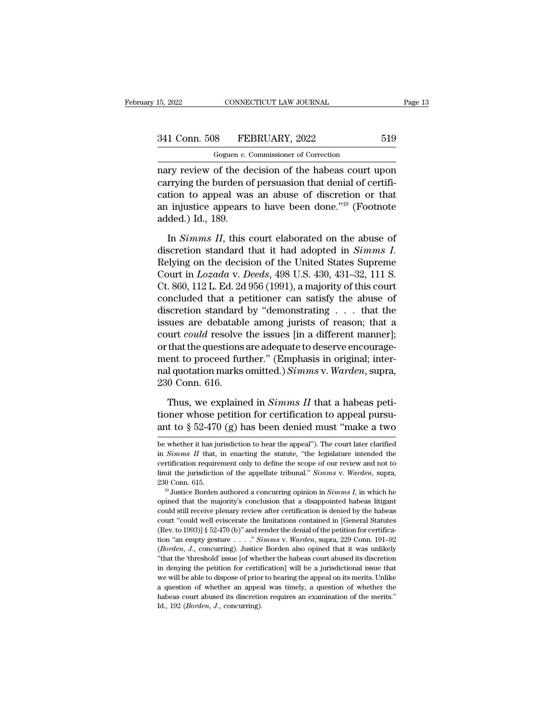# 15, 2022 CONNECTICUT LAW JOURNAL Page 13<br>341 Conn. 508 FEBRUARY, 2022 519<br>Goguen v. Commissioner of Correction

CONNECTICUT LAW JOURNAL<br>
8 FEBRUARY, 2022<br>
Goguen *v.* Commissioner of Correction<br>
of the decision of the babeas court i nary review of the decision of the habeas court upon<br>
any review of the decision of the habeas court upon<br>
carrying the burden of persuasion that denial of certifi-<br>
action to annoal was an abuse of discretion or that 341 Conn. 508 FEBRUARY, 2022 519<br>
Goguen v. Commissioner of Correction<br>
nary review of the decision of the habeas court upon<br>
carrying the burden of persuasion that denial of certifi-<br>
cation to appeal was an abuse of dis 341 Conn. 508 FEBRUARY, 2022 519<br>
Goguen v. Commissioner of Correction<br>
nary review of the decision of the habeas court upon<br>
carrying the burden of persuasion that denial of certifi-<br>
cation to appeal was an abuse of dis 341 Conn. 508 FEBRUARY, 2022 519<br>
Goguen v. Commissioner of Correction<br>
nary review of the decision of the habeas court upon<br>
carrying the burden of persuasion that denial of certifi-<br>
cation to appeal was an abuse of dis Goguen v. Coguen v. Coguen v. Coguen v. Coguen v. Coguen v. Contained a cation to appeal was an injustice appears added.) Id., 189.<br>In Simms II, this contained In *Simms II*, this court of the habeas court upon<br>
In prying the burden of persuasion that denial of certifi-<br>
In to appeal was an abuse of discretion or that<br>
Injustice appears to have been done."<sup>10</sup> (Footnote<br>
Ided.) I

carrying the burden of persuasion that denial of certification to appeal was an abuse of discretion or that<br>an injustice appears to have been done."<sup>10</sup> (Footnote<br>added.) Id., 189.<br>In *Simms II*, this court elaborated on t an injustice appears to have been done."<sup>10</sup> (Footnote added.) Id., 189.<br>In *Simms II*, this court elaborated on the abuse of discretion standard that it had adopted in *Simms I*.<br>Relying on the decision of the United Stat added.) Id., 189.<br>
In *Simms II*, this court elaborated on the abuse of<br>
discretion standard that it had adopted in *Simms I*.<br>
Relying on the decision of the United States Supreme<br>
Court in *Lozada* v. *Deeds*, 498 U.S. 4 In *Simms II*, this court elaborated on the abuse of discretion standard that it had adopted in *Simms I*. Relying on the decision of the United States Supreme Court in  $Lozada$  v. Deeds, 498 U.S. 430, 431–32, 111 S. Ct. 860 In *Simms II*, this court elaborated on the abuse of discretion standard that it had adopted in *Simms I*. Relying on the decision of the United States Supreme Court in *Lozada* v. *Deeds*, 498 U.S. 430, 431–32, 111 S. Ct discretion standard that it had adopted in *Simms I*.<br>Relying on the decision of the United States Supreme<br>Court in *Lozada* v. *Deeds*, 498 U.S. 430, 431–32, 111 S.<br>Ct. 860, 112 L. Ed. 2d 956 (1991), a majority of this c Relying on the decision of the United States Supreme<br>Court in *Lozada* v. *Deeds*, 498 U.S. 430, 431–32, 111 S.<br>Ct. 860, 112 L. Ed. 2d 956 (1991), a majority of this court<br>concluded that a petitioner can satisfy the abuse Court in *Lozada* v. *Deeds*, 498 U.S. 430, 431–32, 111 S.<br>Ct. 860, 112 L. Ed. 2d 956 (1991), a majority of this court<br>concluded that a petitioner can satisfy the abuse of<br>discretion standard by "demonstrating . . . that Ct. 860, 112 L. Ed. 2d 956 (1991), a majority of this court concluded that a petitioner can satisfy the abuse of discretion standard by "demonstrating  $\dots$  that the issues are debatable among jurists of reason; that a cou concluded that a petitioner can satisfy the abuse of discretion standard by "demonstrating . . . that the issues are debatable among jurists of reason; that a court *could* resolve the issues [in a different manner]; or th discretion standard<br>issues are debatabl<br>court *could* resolve<br>or that the questions<br>ment to proceed fur<br>nal quotation marks<br>230 Conn. 616.<br>Thus, we explaine urt *could* resolve the issues [in a different manner];<br>that the questions are adequate to deserve encourage-<br>ent to proceed further." (Emphasis in original; inter-<br>l quotation marks omitted.) *Simms v. Warden*, supra,<br>0 C % or that the questions are adequate to deserve encourage-<br>ment to proceed further." (Emphasis in original; inter-<br>nal quotation marks omitted.) Simms v. Warden, supra,<br>230 Conn. 616.<br>Thus, we explained in Simms II that a ment to proceed further." (Emphasis in original; inter-<br>nal quotation marks omitted.) *Simms* v. Warden, supra,<br>230 Conn. 616.<br>Thus, we explained in *Simms II* that a habeas peti-<br>tioner whose petition for certification t

Thus, we explained in *Simms II* that a habeas petitioner whose petition for certification to appeal pursu-<br>ant to  $\S 52-470$  (g) has been denied must "make a two<br>be whether it has jurisdiction to hear the appeal"). The c Thus, we explained in *Simms II* that a habeas petitioner whose petition for certification to appeal pursu-<br>ant to  $\S 52-470$  (g) has been denied must "make a two<br>be whether it has jurisdiction to hear the appeal"). The c

tioner whose petition for certification to appeal pursu-<br>ant to  $\S$  52-470 (g) has been denied must "make a two<br>be whether it has jurisdiction to hear the appeal"). The court later clarified<br>in *Simms II* that, in enactin ant to § 52-470 (g) has been denied must "make a two be whether it has jurisdiction to hear the appeal"). The court later clarified in *Simms II* that, in enacting the statute, "the legislature intended the certification be whether it has jurisdiction to hear the appeal"). The court later clarified<br>in *Simms II* that, in enacting the statute, "the legislature intended the<br>certification requirement only to define the scope of our review and on Simms II that, in enacting the statute, "the legislature intended the certification requirement only to define the scope of our review and not to limit the jurisdiction of the appellate tribunal." *Simms v. Warden*, su

could still receive planets are expected by the experiment only to define the scope of our review and not to limit the jurisdiction of the appellate tribunal." *Simms v. Warden*, supra, 230 Conn. 615.<br><sup>10</sup> Justice Borden a limit the jurisdiction of the appellate tribunal." *Simms v. Warden*, supra, 230 Conn. 615.<br><sup>10</sup> Justice Borden authored a concurring opinion in *Simms I*, in which he opined that the majority's conclusion that a disappoi 230 Conn. 615.<br>
<sup>10</sup> Justice Borden authored a concurring opinion in *Simms I*, in which he<br>
opined that the majority's conclusion that a disappointed habeas litigant<br>
could still receive plenary review after certificatio <sup>10</sup> Justice Borden authored a concurring opinion in *Simms I*, in which he opined that the majority's conclusion that a disappointed habeas litigant could still receive plenary review after certification is denied by the opined that the majority's conclusion that a disappointed habeas litigant<br>could still receive plenary review after certification is denied by the habeas<br>court "could well eviscerate the limitations contained in [General St becauld still receive plenary review after certification is denied by the habeas court "could well eviscerate the limitations contained in [General Statutes (Rev. to 1993)] § 52-470 (b)" and render the denial of the petit court "could well eviscerate the limitations contained in [General Statutes (Rev. to 1993)] § 52-470 (b)" and render the denial of the petition for certification "an empty gesture . . . . " *Simms* v. *Warden*, supra, 229 (Rev. to 1993)] § 52-470 (b)" and render the denial of the petition for certification "an empty gesture . . . ." Simms v. Warden, supra, 229 Conn. 191–92 (*Borden*, J., concurring). Justice Borden also opined that it was tion "an empty gesture  $\ldots$ " Simms v. Warden, supra, 229 Conn. 191–92 (*Borden*, *J*., concurring). Justice Borden also opined that it was unlikely "that the 'threshold' issue [of whether the habeas court abused its disc (*Borden, J.*, concurring). Justice Borden also opined that it was unlikely "that the 'threshold' issue [of whether the habeas court abused its discretion in denying the petition for certification] will be a jurisdictiona "that the 'threshold' issue [of whether the habeas court abused its discretion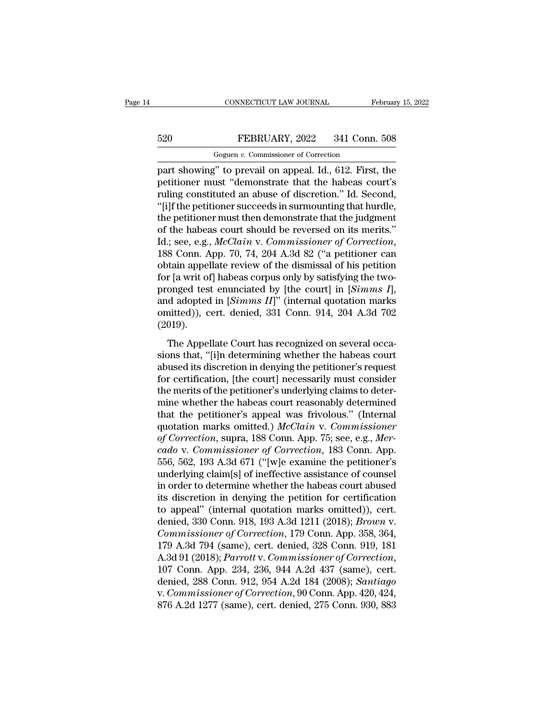# CONNECTICUT LAW JOURNAL February 15, 2022<br>520 FEBRUARY, 2022 341 Conn. 508<br>Goguen v. Commissioner of Correction CONNECTICUT LAW JOURNAL<br>FEBRUARY, 2022 341 Conn.<br>Goguen *v.* Commissioner of Correction<br>" to prevail on appeal Id. 612 First"

CONNECTICUT LAW JOURNAL February 15, 2022<br>
FEBRUARY, 2022 341 Conn. 508<br>
Goguen v. Commissioner of Correction<br>
part showing" to prevail on appeal. Id., 612. First, the<br>
petitioner must "demonstrate that the habeas court's<br> FEBRUARY, 2022 341 Conn. 508<br>
Goguen v. Commissioner of Correction<br>
part showing" to prevail on appeal. Id., 612. First, the<br>
petitioner must "demonstrate that the habeas court's<br>
ruling constituted an abuse of discretion. FEBRUARY, 2022 341 Conn. 508<br>
Goguen v. Commissioner of Correction<br>
part showing" to prevail on appeal. Id., 612. First, the<br>
petitioner must "demonstrate that the habeas court's<br>
ruling constituted an abuse of discretion  $520$  FEBRUARY, 2022 341 Conn. 508<br>
Goguen v. Commissioner of Correction<br>
part showing" to prevail on appeal. Id., 612. First, the<br>
petitioner must "demonstrate that the habeas court's<br>
ruling constituted an abuse of disc Goguen v. Commissioner of Correction<br>part showing" to prevail on appeal. Id., 612. First, the<br>petitioner must "demonstrate that the habeas court's<br>ruling constituted an abuse of discretion." Id. Second,<br>"[i]f the petition Goguen v. Commissioner of Correction<br>part showing" to prevail on appeal. Id., 612. First, the<br>petitioner must "demonstrate that the habeas court's<br>ruling constituted an abuse of discretion." Id. Second,<br>"[i]f the petition part showing" to prevail on appeal. Id., 612. First, the<br>petitioner must "demonstrate that the habeas court's<br>ruling constituted an abuse of discretion." Id. Second,<br>"[i]f the petitioner succeeds in surmounting that hurdle ruling constituted an abuse of discretion." Id. Second,<br>"[i]f the petitioner succeeds in surmounting that hurdle,<br>the petitioner must then demonstrate that the judgment<br>of the habeas court should be reversed on its merits "[i]f the petitioner succeeds in surmounting that hurdle,<br>the petitioner must then demonstrate that the judgment<br>of the habeas court should be reversed on its merits."<br>Id.; see, e.g., *McClain v. Commissioner of Correctio* the petitioner must then demonstrate that the judgment<br>of the habeas court should be reversed on its merits."<br>Id.; see, e.g., *McClain v. Commissioner of Correction*,<br>188 Conn. App. 70, 74, 204 A.3d 82 ("a petitioner can<br> of the habeas court should be reversed on its merits."<br>Id.; see, e.g., *McClain v. Commissioner of Correction*,<br>188 Conn. App. 70, 74, 204 A.3d 82 ("a petitioner can<br>obtain appellate review of the dismissal of his petition Id.; see, e.g., *McClain v. Commissioner of Correction*, 188 Conn. App. 70, 74, 204 A.3d 82 ("a petitioner can obtain appellate review of the dismissal of his petition for [a writ of] habeas corpus only by satisfying the (2019). % obtain appellate review of the dismissal of his petition<br>for [a writ of] habeas corpus only by satisfying the two-<br>pronged test enunciated by [the court] in [*Simms I*],<br>and adopted in [*Simms II*]" (internal quotation for  $[a$  *Mh* or<sub>]</sub> hascas corpas only by statinging are two<br>pronged test enunciated by [the court] in [*Simms I*],<br>and adopted in [*Simms II*]" (internal quotation marks<br>omitted)), cert. denied, 331 Conn. 914, 204 A.3d 70

and adopted in [*Simms II*]" (internal quotation marks omitted)), cert. denied, 331 Conn. 914, 204 A.3d 702 (2019).<br>The Appellate Court has recognized on several occasions that, "[i]n determining whether the habeas court for certification, cert. denied, 331 Conn. 914, 204 A.3d 702 (2019).<br>The Appellate Court has recognized on several occasions that, "[i]n determining whether the habeas court abused its discretion in denying the petitioner sions that, "[i]n determining whether the habeas court<br>abused its discretion in denying the petitioner's request<br>for certification, [the court] necessarily must consider<br>the merits of the petitioner's underlying claims to The Appellate Court has recognized on several occasions that, "[i]n determining whether the habeas court abused its discretion in denying the petitioner's request for certification, [the court] necessarily must consider t The Appellate Court has recognized on several occasions that, "[i]n determining whether the habeas court abused its discretion in denying the petitioner's request for certification, [the court] necessarily must consider t sions that, "[i]n determining whether the habeas court<br>abused its discretion in denying the petitioner's request<br>for certification, [the court] necessarily must consider<br>the merits of the petitioner's underlying claims to abused its discretion in denying the petitioner's request<br>for certification, [the court] necessarily must consider<br>the merits of the petitioner's underlying claims to deter-<br>mine whether the habeas court reasonably determi for certification, [the court] necessarily must consider<br>the merits of the petitioner's underlying claims to deter-<br>mine whether the habeas court reasonably determined<br>that the petitioner's appeal was frivolous." (Internal the merits of the petitioner's underlying claims to deter-<br>mine whether the habeas court reasonably determined<br>that the petitioner's appeal was frivolous." (Internal<br>quotation marks omitted.) McClain v. Commissioner<br>of Cor mine whether the habeas court reasonably determined<br>that the petitioner's appeal was frivolous." (Internal<br>quotation marks omitted.) McClain v. Commissioner<br>of Correction, supra, 188 Conn. App. 75; see, e.g., Mer-<br>cado v. that the petitioner's appeal was frivolous." (Internal<br>quotation marks omitted.) *McClain v. Commissioner*<br>of Correction, supra, 188 Conn. App. 75; see, e.g., *Mer-*<br>cado v. Commissioner of Correction, 183 Conn. App.<br>556, quotation marks omitted.) *McClain v. Commissioner*<br>of Correction, supra, 188 Conn. App. 75; see, e.g., *Mer-*<br>cado v. Commissioner of Correction, 183 Conn. App.<br>556, 562, 193 A.3d 671 ("[w]e examine the petitioner's<br>under of Correction, supra, 188 Conn. App. 75; see, e.g., *Mer-*<br>cado v. Commissioner of Correction, 183 Conn. App.<br>556, 562, 193 A.3d 671 ("[w]e examine the petitioner's<br>underlying claim[s] of ineffective assistance of counsel<br> cado v. Commissioner of Correction, 183 Conn. App.<br>556, 562, 193 A.3d 671 ("[w]e examine the petitioner's<br>underlying claim[s] of ineffective assistance of counsel<br>in order to determine whether the habeas court abused<br>its d 556, 562, 193 A.3d 671 ("[w]e examine the petitioner's underlying claim[s] of ineffective assistance of counsel<br>in order to determine whether the habeas court abused<br>its discretion in denying the petition for certification underlying claim[s] of ineffective assistance of counsel<br>in order to determine whether the habeas court abused<br>its discretion in denying the petition for certification<br>to appeal" (internal quotation marks omitted)), cert.<br> in order to determine whether the habeas court abused<br>its discretion in denying the petition for certification<br>to appeal" (internal quotation marks omitted)), cert.<br>denied, 330 Conn. 918, 193 A.3d 1211 (2018); *Brown v.<br>Co* to appeal" (internal quotation marks omitted)), cert.<br>denied, 330 Conn. 918, 193 A.3d 1211 (2018); *Brown v.*<br>Commissioner of Correction, 179 Conn. App. 358, 364,<br>179 A.3d 794 (same), cert. denied, 328 Conn. 919, 181<br>A.3d denied, 330 Conn. 918, 193 A.3d 1211 (2018); *Brown v.*<br> *Commissioner of Correction*, 179 Conn. App. 358, 364,<br>
179 A.3d 794 (same), cert. denied, 328 Conn. 919, 181<br>
A.3d 91 (2018); *Parrott v. Commissioner of Correction* Commissioner of Correction, 179 Conn. App. 358, 364, 179 A.3d 794 (same), cert. denied, 328 Conn. 919, 181<br>A.3d 91 (2018); *Parrott v. Commissioner of Correction*, 107 Conn. App. 234, 236, 944 A.2d 437 (same), cert. denied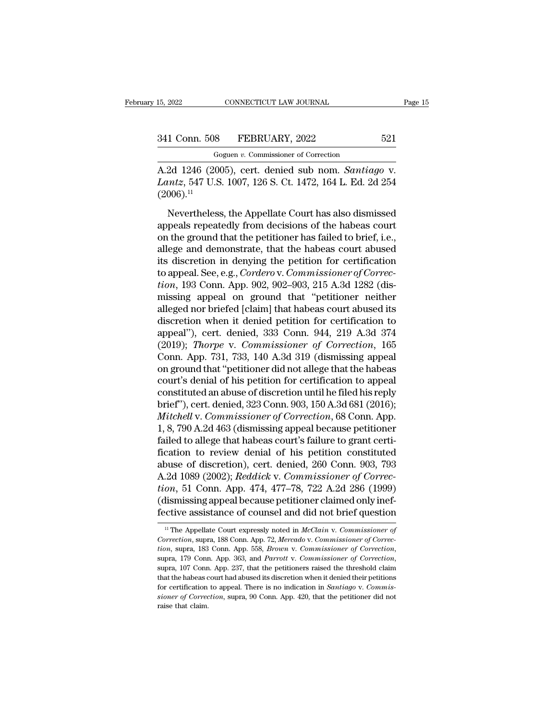# 15, 2022 CONNECTICUT LAW JOURNAL Page 15<br>341 Conn. 508 FEBRUARY, 2022 521<br>Goguen v. Commissioner of Correction

CONNECTICUT LAW JOURNAL<br>
8 FEBRUARY, 2022<br>
Goguen *v.* Commissioner of Correction<br>
(005) cert denied sub nom *Santiau* 15, 2022 CONNECTICUT LAW JOURNAL Page 15<br>
341 Conn. 508 FEBRUARY, 2022 521<br>
Goguen v. Commissioner of Correction<br>
A.2d 1246 (2005), cert. denied sub nom. *Santiago* v.<br> *Lantz*, 547 U.S. 1007, 126 S. Ct. 1472, 164 L. Ed. 2 **241 Conn. 508 FEBRUARY**, 2022 **521**<br> **Coguen v. Commissioner of Correction**<br> **A.2d 1246 (2005), cert. denied sub nom.** *Santiago* **v.<br>** *Lantz***, 547 U.S. 1007, 126 S. Ct. 1472, 164 L. Ed. 2d 254 (2006).<sup>11</sup>**  $(2006).$ <sup>11</sup>  $\frac{1}{1}$  Conn. 508 FEBRUARY, 2022 521<br>
Goguen v. Commissioner of Correction<br>
2d 1246 (2005), cert. denied sub nom. *Santiago* v.<br> *untz*, 547 U.S. 1007, 126 S. Ct. 1472, 164 L. Ed. 2d 254<br>
006).<sup>11</sup><br>
Nevertheless, the Ap

Goguen v. Commissioner of Correction<br>
A.2d 1246 (2005), cert. denied sub nom. *Santiago* v.<br> *Lantz*, 547 U.S. 1007, 126 S. Ct. 1472, 164 L. Ed. 2d 254<br>
(2006).<sup>11</sup><br>
Nevertheless, the Appellate Court has also dismissed<br>
a A.2d 1246 (2005), cert. denied sub nom. *Santiago* v.<br> *Lantz*, 547 U.S. 1007, 126 S. Ct. 1472, 164 L. Ed. 2d 254 (2006).<sup>11</sup><br>
Nevertheless, the Appellate Court has also dismissed<br>
appeals repeatedly from decisions of the Lantz, 547 U.S. 1007, 126 S. Ct. 1472, 164 L. Ed. 2d 254 (2006).<sup>11</sup><br>Nevertheless, the Appellate Court has also dismissed<br>appeals repeatedly from decisions of the habeas court<br>on the ground that the petitioner has failed (2006).<sup>11</sup><br>(2006).<sup>11</sup><br>Nevertheless, the Appellate Court has also dismissed<br>appeals repeatedly from decisions of the habeas court<br>on the ground that the petitioner has failed to brief, i.e.,<br>allege and demonstrate, that Nevertheless, the Appellate Court has also dismissed<br>appeals repeatedly from decisions of the habeas court<br>on the ground that the petitioner has failed to brief, i.e.,<br>allege and demonstrate, that the habeas court abused<br>i Nevertheless, the Appellate Court has also dismissed<br>appeals repeatedly from decisions of the habeas court<br>on the ground that the petitioner has failed to brief, i.e.,<br>allege and demonstrate, that the habeas court abused<br>i appeals repeatedly from decisions of the habeas court<br>on the ground that the petitioner has failed to brief, i.e.,<br>allege and demonstrate, that the habeas court abused<br>its discretion in denying the petition for certificati on the ground that the petitioner has failed to brief, i.e.,<br>allege and demonstrate, that the habeas court abused<br>its discretion in denying the petition for certification<br>to appeal. See, e.g., *Cordero* v. *Commissioner o* allege and demonstrate, that the habeas court abused<br>its discretion in denying the petition for certification<br>to appeal. See, e.g., *Cordero* v. *Commissioner of Correc-<br>tion*, 193 Conn. App. 902, 902–903, 215 A.3d 1282 (d its discretion in denying the petition for certification<br>to appeal. See, e.g., *Cordero* v. *Commissioner of Correction*, 193 Conn. App. 902, 902–903, 215 A.3d 1282 (dis-<br>missing appeal on ground that "petitioner neither<br> to appeal. See, e.g., *Cordero* v. *Commissioner of Correction*, 193 Conn. App. 902, 902–903, 215 A.3d 1282 (dismissing appeal on ground that "petitioner neither alleged nor briefed [claim] that habeas court abused its dis tion, 193 Conn. App. 902, 902–903, 215 A.3d 1282 (dis-<br>missing appeal on ground that "petitioner neither<br>alleged nor briefed [claim] that habeas court abused its<br>discretion when it denied petition for certification to<br>appe missing appeal on ground that "petitioner neither<br>alleged nor briefed [claim] that habeas court abused its<br>discretion when it denied petition for certification to<br>appeal"), cert. denied, 333 Conn. 944, 219 A.3d 374<br>(2019); alleged nor briefed [claim] that habeas court abused its<br>discretion when it denied petition for certification to<br>appeal"), cert. denied, 333 Conn. 944, 219 A.3d 374<br>(2019); *Thorpe v. Commissioner of Correction*, 165<br>Conn. discretion when it denied petition for certification to<br>appeal"), cert. denied, 333 Conn. 944, 219 A.3d 374<br>(2019); *Thorpe v. Commissioner of Correction*, 165<br>Conn. App. 731, 733, 140 A.3d 319 (dismissing appeal<br>on ground appeal"), cert. denied, 333 Conn. 944, 219 A.3d 374 (2019); *Thorpe v. Commissioner of Correction*, 165<br>Conn. App. 731, 733, 140 A.3d 319 (dismissing appeal<br>on ground that "petitioner did not allege that the habeas<br>court's (2019); *Thorpe v. Commissioner of Correction*, 165<br>Conn. App. 731, 733, 140 A.3d 319 (dismissing appeal<br>on ground that "petitioner did not allege that the habeas<br>court's denial of his petition for certification to appeal<br> Conn. App. 731, 733, 140 A.3d 319 (dismissing appeal<br>on ground that "petitioner did not allege that the habeas<br>court's denial of his petition for certification to appeal<br>constituted an abuse of discretion until he filed hi on ground that "petitioner did not allege that the habeas<br>court's denial of his petition for certification to appeal<br>constituted an abuse of discretion until he filed his reply<br>brief"), cert. denied, 323 Conn. 903, 150 A.3 court's denial of his petition for certification to appeal<br>constituted an abuse of discretion until he filed his reply<br>brief"), cert. denied, 323 Conn. 903, 150 A.3d 681 (2016);<br>*Mitchell* v. *Commissioner of Correction*, constituted an abuse of discretion until he filed his reply<br>brief"), cert. denied, 323 Conn. 903, 150 A.3d 681 (2016);<br>*Mitchell v. Commissioner of Correction*, 68 Conn. App.<br>1, 8, 790 A.2d 463 (dismissing appeal because p brief"), cert. denied, 323 Conn. 903, 150 A.3d 681 (2016);<br>*Mitchell* v. *Commissioner of Correction*, 68 Conn. App.<br>1, 8, 790 A.2d 463 (dismissing appeal because petitioner<br>failed to allege that habeas court's failure to *Mitchell v. Commissioner of Correction*, 68 Conn. App.<br>1, 8, 790 A.2d 463 (dismissing appeal because petitioner<br>failed to allege that habeas court's failure to grant certi-<br>fication to review denial of his petition consti 1, 8, 790 A.2d 463 (dismissing appeal because petitioner failed to allege that habeas court's failure to grant certification to review denial of his petition constituted abuse of discretion), cert. denied, 260 Conn. 903, 7 failed to allege that habeas court's failure to grant certification to review denial of his petition constituted<br>abuse of discretion), cert. denied, 260 Conn. 903, 793<br>A.2d 1089 (2002); *Reddick* v. *Commissioner of Corre* 21 1089 (2002); *Redatck v. Commissioner of Correction*, 51 Conn. App. 474, 477–78, 722 A.2d 286 (1999)<br>dismissing appeal because petitioner claimed only inef-<br>ctive assistance of counsel and did not brief question<br><sup>11</sup> Th *Correction*, 51 Conn. App. 474, 477–78, 722 A.2d 286 (1999)<br>
(dismissing appeal because petitioner claimed only ineffective assistance of counsel and did not brief question<br>
<sup>11</sup> The Appellate Court expressly noted in *Mc* 

<sup>(</sup>dismissing appeal because petitioner claimed only ineffective assistance of counsel and did not brief question<br>
<sup>11</sup> The Appellate Court expressly noted in *McClain v. Commissioner of* Correction, supra, 188 Conn. App. 7 <sup>11</sup> The Appellate Court expressly noted in *McClain v. Commissioner of Correction*, supra, 188 Conn. App. 72, *Mercado v. Commissioner of Correction*, supra, 183 Conn. App. 558, *Brown v. Commissioner of Correction*, sup Correction, supra, 188 Conn. App. 72, *Mercado v. Commissioner of Correction*, supra, 183 Conn. App. 558, *Brown v. Commissioner of Correction*, supra, 179 Conn. App. 363, and *Parrott v. Commissioner of Correction*, supra *tion*, supra, 183 Conn. App. 558, *Brown v. Commissioner of Correction*, supra, 179 Conn. App. 363, and Parrott v. Commissioner of Correction,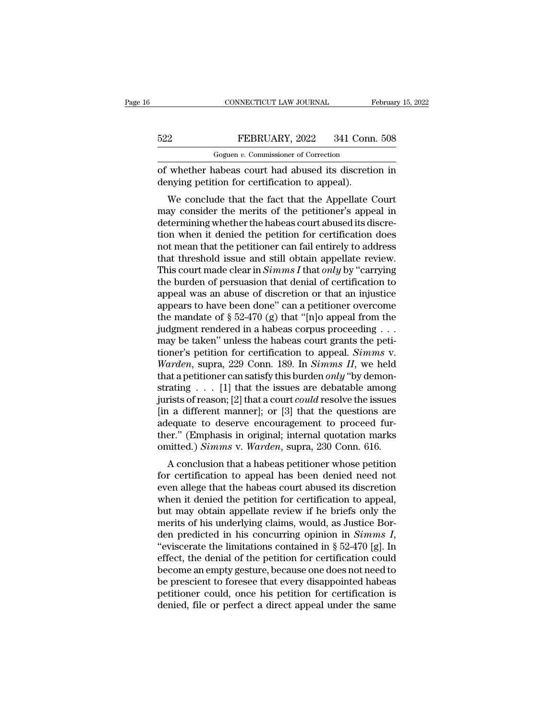|     | CONNECTICUT LAW JOURNAL                              | February 15, 2022 |
|-----|------------------------------------------------------|-------------------|
| 522 | FEBRUARY, 2022                                       | 341 Conn. 508     |
|     | Goguen v. Commissioner of Correction                 |                   |
|     | of whether habeas court had abused its discretion in |                   |

CONNECTICUT LAW JOURNAL February 15, 2022<br>
FEBRUARY, 2022 341 Conn. 508<br>
Goguen v. Commissioner of Correction<br>
of whether habeas court had abused its discretion in<br>
denying petition for certification to appeal). EXERUARY, 2022 341 Conn<br>
Goguen v. Commissioner of Correction<br>
of whether habeas court had abused its discretic<br>
denying petition for certification to appeal).<br>
We conclude that the fact that the Appellate (

EEBRUARY, 2022 341 Conn. 508<br>
Goguen v. Commissioner of Correction<br>
whether habeas court had abused its discretion in<br>
mying petition for certification to appeal).<br>
We conclude that the fact that the Appellate Court<br>
ay c FEBRUARY, 2022 341 Conn. 508<br>
Goguen v. Commissioner of Correction<br>
of whether habeas court had abused its discretion in<br>
denying petition for certification to appeal).<br>
We conclude that the fact that the Appellate Court<br> Goguen  $v$ . Commissioner of Correction<br>
of whether habeas court had abused its discretion in<br>
denying petition for certification to appeal).<br>
We conclude that the fact that the Appellate Court<br>
may consider the merits of of whether habeas court had abused its discretion in<br>denying petition for certification to appeal).<br>We conclude that the fact that the Appellate Court<br>may consider the merits of the petitioner's appeal in<br>determining wheth or whether habeas court had abused its discretion in<br>denying petition for certification to appeal).<br>We conclude that the fact that the Appellate Court<br>may consider the merits of the petitioner's appeal in<br>determining whet We conclude that the fact that the Appellate Court<br>may consider the merits of the petitioner's appeal in<br>determining whether the habeas court abused its discre-<br>tion when it denied the petition for certification does<br>not m We conclude that the fact that the Appellate Court<br>may consider the merits of the petitioner's appeal in<br>determining whether the habeas court abused its discre-<br>tion when it denied the petition for certification does<br>not m may consider the merits of the petitioner's appeal in<br>determining whether the habeas court abused its discre-<br>tion when it denied the petition for certification does<br>not mean that the petitioner can fail entirely to addres determining whether the habeas court abused its discretion when it denied the petition for certification does<br>not mean that the petitioner can fail entirely to address<br>that threshold issue and still obtain appellate revie tion when it denied the petition for certification does<br>not mean that the petitioner can fail entirely to address<br>that threshold issue and still obtain appellate review.<br>This court made clear in *Simms I* that *only* by " not mean that the petitioner can fail entirely to address<br>that threshold issue and still obtain appellate review.<br>This court made clear in *Simms I* that *only* by "carrying<br>the burden of persuasion that denial of certifi that threshold issue and still obtain appellate review.<br>This court made clear in *Simms I* that *only* by "carrying<br>the burden of persuasion that denial of certification to<br>appears to have been done" can a petitioner over This court made clear in *Simms I* that *only* by "carrying<br>the burden of persuasion that denial of certification to<br>appears to have been done" can a petitioner overcome<br>the mandate of § 52-470 (g) that "[n]o appeal from the burden of persuasion that denial of certification to<br>appeal was an abuse of discretion or that an injustice<br>appears to have been done" can a petitioner overcome<br>the mandate of § 52-470 (g) that "[n]o appeal from the<br>ju appeal was an abuse of discretion or that an injustice<br>appears to have been done" can a petitioner overcome<br>the mandate of § 52-470 (g) that "[n]o appeal from the<br>judgment rendered in a habeas corpus proceeding . . .<br>may b appears to have been done" can a petitioner overcome<br>the mandate of  $\S$  52-470 (g) that "[n]o appeal from the<br>judgment rendered in a habeas corpus proceeding . . .<br>may be taken" unless the habeas court grants the peti-<br>ti the mandate of § 52-470 (g) that "[n]o appeal from the<br>judgment rendered in a habeas corpus proceeding . . .<br>may be taken" unless the habeas court grants the peti-<br>tioner's petition for certification to appeal. *Simms v.* judgment rendered in a habeas corpus proceeding . . .<br>may be taken" unless the habeas court grants the peti-<br>tioner's petition for certification to appeal. *Simms v.*<br>Warden, supra, 229 Conn. 189. In *Simms II*, we held<br>th may be taken" unless the habeas court grants the petitioner's petition for certification to appeal. *Simms v.*<br> *Warden*, supra, 229 Conn. 189. In *Simms II*, we held<br>
that a petitioner can satisfy this burden *only* "by tioner's petition for certification to appeal. *Simms* v.<br>Warden, supra, 229 Conn. 189. In *Simms II*, we held<br>that a petitioner can satisfy this burden *only* "by demon-<br>strating . . . [1] that the issues are debatable a *Warden*, supra, 229 Conn. 189. In *Simms II*, we held that a petitioner can satisfy this burden *only* "by demonstrating . . . [1] that the issues are debatable among jurists of reason; [2] that a court *could* resolve t that a petitioner can satisfy this burden *only* "by demonstrating . . . [1] that the issues are debatable among jurists of reason; [2] that a court *could* resolve the issues [in a different manner]; or [3] that the ques A conclusion that a habeas court could resolve the issues<br>a different manner]; or [3] that the questions are<br>equate to deserve encouragement to proceed fur-<br>er." (Emphasis in original; internal quotation marks<br>nitted.) Si for a different manner]; or [3] that the questions are adequate to deserve encouragement to proceed further." (Emphasis in original; internal quotation marks omitted.) *Simms* v. *Warden*, supra, 230 Conn. 616.<br>A conclusi

Fir a unterent manner], or [5] that the questions are<br>adequate to deserve encouragement to proceed fur-<br>ther." (Emphasis in original; internal quotation marks<br>omitted.) Simms v. Warden, supra, 230 Conn. 616.<br>A conclusion adequate to deserve encouragement to proceed run-<br>ther." (Emphasis in original; internal quotation marks<br>omitted.) Simms v. Warden, supra, 230 Conn. 616.<br>A conclusion that a habeas petitioner whose petition<br>for certificati ther. (Entiphasis in original, internal quotation marks<br>omitted.) *Simms* v. *Warden*, supra, 230 Conn. 616.<br>A conclusion that a habeas petitioner whose petition<br>for certification to appeal has been denied need not<br>even al omitted.) *Simms* v. *Warden*, supra, 230 Conn. 616.<br>A conclusion that a habeas petitioner whose petition<br>for certification to appeal has been denied need not<br>even allege that the habeas court abused its discretion<br>when i A conclusion that a habeas petitioner whose petition<br>for certification to appeal has been denied need not<br>even allege that the habeas court abused its discretion<br>when it denied the petition for certification to appeal,<br>bu for certification to appeal has been denied need not<br>
even allege that the habeas court abused its discretion<br>
when it denied the petition for certification to appeal,<br>
but may obtain appellate review if he briefs only th even allege that the habeas court abused its discretion<br>when it denied the petition for certification to appeal,<br>but may obtain appellate review if he briefs only the<br>merits of his underlying claims, would, as Justice Borwhen it denied the petition for certification to appeal,<br>but may obtain appellate review if he briefs only the<br>merits of his underlying claims, would, as Justice Bor-<br>den predicted in his concurring opinion in *Simms I*,<br> but may obtain appellate review if he briefs only the<br>merits of his underlying claims, would, as Justice Bor-<br>den predicted in his concurring opinion in  $Simms I$ ,<br>"eviscerate the limitations contained in  $\S 52-470$  [g]. In<br>e merits of his underlying claims, would, as Justice Borden predicted in his concurring opinion in  $Simms I$ , "eviscerate the limitations contained in  $\S 52-470$  [g]. In effect, the denial of the petition for certification coul den predicted in his concurring opinion in  $Simms I$ , "eviscerate the limitations contained in  $\S 52-470$  [g]. In effect, the denial of the petition for certification could become an empty gesture, because one does not need t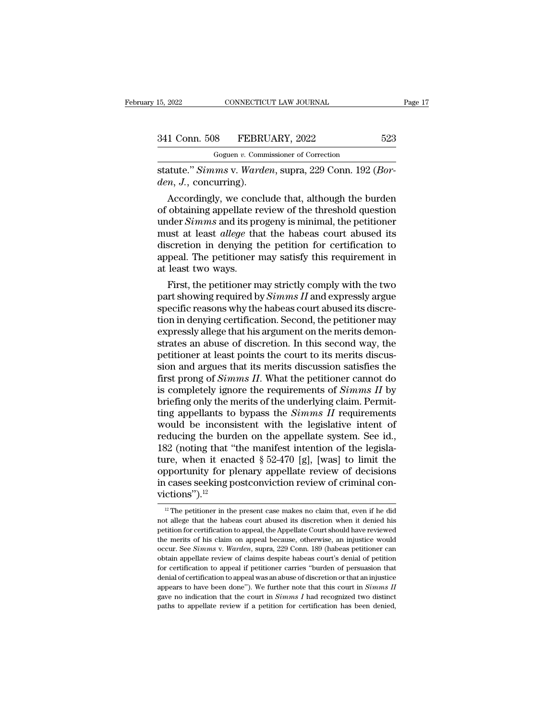CONNECTICUT LAW JOURNAL<br>
8 FEBRUARY, 2022<br>
Goguen *v.* Commissioner of Correction<br>
29 Conn 192

statute.'' *Simms* v. *Warden*, supra, 229 Conn. 192 (*Borden*, *J.*, concurring). *den*, *J.*, contributions of *Goguen v. Comm*<br> *den, J., concurring).*<br> *den, J., concurring).*<br> *Accordingly, we conclu* 

1 Conn. 508 FEBRUARY, 2022 523<br>
Goguen v. Commissioner of Correction<br>
atute." *Simms* v. *Warden*, supra, 229 Conn. 192 (*Bor-*<br> *m*, *J*., concurring).<br>
Accordingly, we conclude that, although the burden<br>
obtaining appell 341 Conn. 508 FEBRUARY, 2022 523<br>
Goguen v. Commissioner of Correction<br>
statute." *Simms v. Warden*, supra, 229 Conn. 192 (*Bor-*<br> *den, J.*, concurring).<br>
Accordingly, we conclude that, although the burden<br>
of obtaining Goguen *v.* Commissioner of Correction<br>
statute." Simms v. Warden, supra, 229 Conn. 192 (*Bor-*<br>
den, J., concurring).<br>
Accordingly, we conclude that, although the burden<br>
of obtaining appellate review of the threshold que statute." *Simms* v. *Warden*, supra, 229 Conn. 192 (*Borden, J.*, concurring).<br>Accordingly, we conclude that, although the burden<br>of obtaining appellate review of the threshold question<br>under *Simms* and its progeny is mi statute. Simms v. waraen, supra, 229 Conn. 192 (Bor-<br>den, J., concurring).<br>Accordingly, we conclude that, although the burden<br>of obtaining appellate review of the threshold question<br>under *Simms* and its progeny is minimal den, J., concurring).<br>Accordingly, we conclude that, although the burden<br>of obtaining appellate review of the threshold question<br>under *Simms* and its progeny is minimal, the petitioner<br>must at least *allege* that the habe Accordingly, we concof obtaining appellate reunder *Simms* and its pr<br>must at least *allege* that<br>discretion in denying t<br>appeal. The petitioner i<br>at least two ways.<br>First, the petitioner m ootaining appenate review of the threshold question<br>der *Simms* and its progeny is minimal, the petitioner<br>ust at least *allege* that the habeas court abused its<br>scretion in denying the petition for certification to<br>peal. under *Simms* and its progeny is minimal, the petitioner<br>must at least *allege* that the habeas court abused its<br>discretion in denying the petition for certification to<br>appeal. The petitioner may satisfy this requirement i

must at least *auege* that the nabeas court abused its<br>discretion in denying the petition for certification to<br>appeal. The petitioner may satisfy this requirement in<br>at least two ways.<br>First, the petitioner may strictly c discretion in denying the petition for certification to<br>appeal. The petitioner may satisfy this requirement in<br>at least two ways.<br>First, the petitioner may strictly comply with the two<br>part showing required by *Simms II* a appeal. The petitioner may satisfy this requirement in<br>at least two ways.<br>First, the petitioner may strictly comply with the two<br>part showing required by *Simms II* and expressly argue<br>specific reasons why the habeas court at least two ways.<br>First, the petitioner may strictly comply with the two<br>part showing required by *Simms II* and expressly argue<br>specific reasons why the habeas court abused its discre-<br>tion in denying certification. Seco First, the petitioner may strictly comply with the two<br>part showing required by *Simms II* and expressly argue<br>specific reasons why the habeas court abused its discre-<br>tion in denying certification. Second, the petitioner part showing required by *Simms II* and expressly argue<br>specific reasons why the habeas court abused its discre-<br>tion in denying certification. Second, the petitioner may<br>expressly allege that his argument on the merits d specific reasons why the habeas court abused its discretion in denying certification. Second, the petitioner may<br>expressly allege that his argument on the merits demonstrates an abuse of discretion. In this second way, the tion in denying certification. Second, the petitioner may<br>expressly allege that his argument on the merits demon-<br>strates an abuse of discretion. In this second way, the<br>petitioner at least points the court to its merits d expressly allege that his argument on the merits demonstrates an abuse of discretion. In this second way, the petitioner at least points the court to its merits discussion and argues that its merits discussion satisfies th strates an abuse of discretion. In this second way, the petitioner at least points the court to its merits discussion and argues that its merits discussion satisfies the first prong of *Simms II*. What the petitioner canno petitioner at least points the court to its merits discussion and argues that its merits discussion satisfies the<br>first prong of *Simms II*. What the petitioner cannot do<br>is completely ignore the requirements of *Simms II* sion and argues that its merits discussion satisfies the<br>first prong of *Simms II*. What the petitioner cannot do<br>is completely ignore the requirements of *Simms II* by<br>briefing only the merits of the underlying claim. Pe first prong of *Simms II*. What the petitioner cannot do<br>is completely ignore the requirements of *Simms II* by<br>briefing only the merits of the underlying claim. Permit-<br>ting appellants to bypass the *Simms II* requiremen is completely ignore the requirements of *Simms II* by<br>briefing only the merits of the underlying claim. Permit-<br>ting appellants to bypass the *Simms II* requirements<br>would be inconsistent with the legislative intent of<br>r briefing only the merits of the underlying claim. Permitting appellants to bypass the *Simms II* requirements would be inconsistent with the legislative intent of reducing the burden on the appellate system. See id., 182 ting appellants to bypass the *Simms II* requirements<br>would be inconsistent with the legislative intent of<br>reducing the burden on the appellate system. See id.,<br>182 (noting that "the manifest intention of the legisla-<br>tur victions").<sup>12</sup> 12 Ire, when it enacted § 52-470 [g], [was] to limit the poportunity for plenary appellate review of decisions cases seeking postconviction review of criminal conctions").<sup>12</sup><br><sup>12</sup> The petitioner in the present case makes % opportunity for plenary appellate review of decisions<br>in cases seeking postconviction review of criminal convictions").<sup>12</sup><br> $\frac{12}{12}$  The petitioner in the present case makes no claim that, even if he did<br>not allege t

in cases seeking postconviction review of criminal convictions").<sup>12</sup><br> $\frac{p}{p}$ The petitioner in the present case makes no claim that, even if he did not allege that the habeas court abused its discretion when it denied h **The merits of his claim on appeal because**, otherwise, an injustice would be merits of his claim on appeal because, otherwise, an injustice would because. See *Simms* v. *Warden*, supra, 229 Conn. 189 (habeas petitioner **FREE 7** The petitioner in the present case makes no claim that, even if he did not allege that the habeas court abused its discretion when it denied his petition for certification to appeal, the Appellate Court should hav <sup>12</sup> The petitioner in the present case makes no claim that, even if he did not allege that the habeas court abused its discretion when it denied his petition for certification to appeal, the Appellate Court should have r not allege that the habeas court abused its discretion when it denied his petition for certification to appeal, the Appellate Court should have reviewed the merits of his claim on appeal because, otherwise, an injustice w petition for certification to appeal, the Appellate Court should have reviewed<br>the merits of his claim on appeal because, otherwise, an injustice would<br>occur. See *Simms* v. *Warden*, supra, 229 Conn. 189 (habeas petitione the merits of his claim on appeal because, otherwise, an injustice would occur. See *Simms v. Warden*, supra, 229 Conn. 189 (habeas petitioner can obtain appellate review of claims despite habeas court's denial of petitio occur. See Simms v. Warden, supra, 229 Conn. 189 (habeas petitioner can obtain appellate review of claims despite habeas court's denial of petition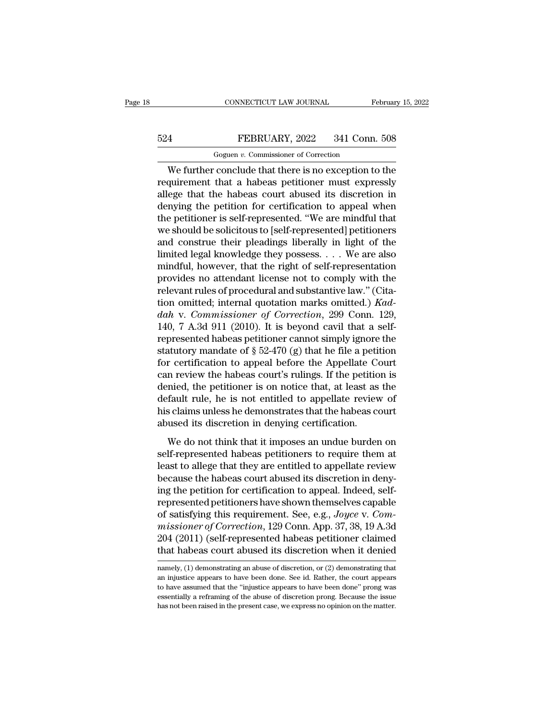# CONNECTICUT LAW JOURNAL February 15, 2022<br>524 FEBRUARY, 2022 341 Conn. 508<br>Goguen v. Commissioner of Correction CONNECTICUT LAW JOURNAL<br>FEBRUARY, 2022 341 Conn.<br>Goguen *v.* Commissioner of Correction<br>Conclude that there is no exception to

CONNECTICUT LAW JOURNAL February 15, 2022<br>
FEBRUARY, 2022 341 Conn. 508<br>
Goguen v. Commissioner of Correction<br>
We further conclude that there is no exception to the<br>
quirement that a habeas petitioner must expressly<br>
age t FEBRUARY, 2022 341 Conn. 508<br>
Goguen v. Commissioner of Correction<br>
We further conclude that there is no exception to the<br>
requirement that a habeas petitioner must expressly<br>
allege that the habeas court abused its discre  $\begin{array}{r} \n 524 \quad \text{FERUARY, 2022} \quad 341 \text{ Conn. } 508 \quad \text{Goguen } v. \text{ Commissioner of Correction} \\
 \hline\n \text{We further conclude that there is no exception to the requirement that a habeas pertinent must expressly alllege that the habeas court abused its discretion in denying the pettion for certification to appeal when the notification to a special work.} \n\end{array}$  $\begin{array}{r} \text{524} & \text{FEBRUARY, 2022} & \text{341 Conn. 508} \\ \hline \text{Goguen } v. \text{ Commissioner of Correction} \end{array}$ <br>We further conclude that there is no exception to the requirement that a habeas petitioner must expressly allege that the habeas court abused its dis Goguen v. Commissioner of Correction<br>
We further conclude that there is no exception to the<br>
requirement that a habeas petitioner must expressly<br>
allege that the habeas court abused its discretion in<br>
denying the petition We further conclude that there is no exception to the<br>requirement that a habeas petitioner must expressly<br>allege that the habeas court abused its discretion in<br>denying the petition for certification to appeal when<br>the pet We further conclude that there is no exception to the<br>requirement that a habeas petitioner must expressly<br>allege that the habeas court abused its discretion in<br>denying the petition for certification to appeal when<br>the peti requirement that a habeas petitioner must expressly<br>allege that the habeas court abused its discretion in<br>denying the petition for certification to appeal when<br>the petitioner is self-represented. "We are mindful that<br>we sh allege that the habeas court abused its discretion in<br>denying the petition for certification to appeal when<br>the petitioner is self-represented. "We are mindful that<br>we should be solicitous to [self-represented] petitioners denying the petition for certification to appeal when<br>the petitioner is self-represented. "We are mindful that<br>we should be solicitous to [self-represented] petitioners<br>and construe their pleadings liberally in light of t the petitioner is self-represented. "We are mindful that<br>we should be solicitous to [self-represented] petitioners<br>and construe their pleadings liberally in light of the<br>limited legal knowledge they possess. . . . We are we should be solicitous to [self-represented] petitioners<br>and construe their pleadings liberally in light of the<br>limited legal knowledge they possess. . . . We are also<br>mindful, however, that the right of self-representati and construe their pleadings liberally in light of the<br>limited legal knowledge they possess. . . . We are also<br>mindful, however, that the right of self-representation<br>provides no attendant license not to comply with the<br>re limited legal knowledge they possess. . . . We are also<br>mindful, however, that the right of self-representation<br>provides no attendant license not to comply with the<br>relevant rules of procedural and substantive law." (Cita mindful, however, that the right of self-representation<br>provides no attendant license not to comply with the<br>relevant rules of procedural and substantive law." (Cita-<br>tion omitted; internal quotation marks omitted.) Kad-<br> provides no attendant license not to comply with the<br>relevant rules of procedural and substantive law." (Cita-<br>tion omitted; internal quotation marks omitted.)  $Kad$ -<br> $dah$  v. Commissioner of Correction, 299 Conn. 129,<br>140, relevant rules of procedural and substantive law." (Citation omitted; internal quotation marks omitted.) *Kaddah* v. *Commissioner of Correction*, 299 Conn. 129, 140, 7 A.3d 911 (2010). It is beyond cavil that a self-<br>rep tion omitted; internal quotation marks omitted.) Kad-<br>dah v. Commissioner of Correction, 299 Conn. 129,<br>140, 7 A.3d 911 (2010). It is beyond cavil that a self-<br>represented habeas petitioner cannot simply ignore the<br>statut dah v. Commissioner of Correction, 299 Conn. 129,<br>140, 7 A.3d 911 (2010). It is beyond cavil that a self-<br>represented habeas petitioner cannot simply ignore the<br>statutory mandate of § 52-470 (g) that he file a petition<br>fo 140, 7 A.3d 911 (2010). It is beyond cavil that a self-<br>represented habeas petitioner cannot simply ignore the<br>statutory mandate of  $\S 52-470$  (g) that he file a petition<br>for certification to appeal before the Appellate C represented habeas petitioner cannot simply ignore the statutory mandate of  $\S$  52-470 (g) that he file a petition for certification to appeal before the Appellate Court can review the habeas court's rulings. If the petit statutory mandate of § 52-470 (g) that he file a petifor certification to appeal before the Appellate Co<br>can review the habeas court's rulings. If the petitio<br>denied, the petitioner is on notice that, at least as<br>default r In review the habeas court's rulings. If the petition is<br>mied, the petitioner is on notice that, at least as the<br>fault rule, he is not entitled to appellate review of<br>s claims unless he demonstrates that the habeas court<br>u denied, the petitioner is on notice that, at least as the default rule, he is not entitled to appellate review of his claims unless he demonstrates that the habeas court abused its discretion in denying certification.<br>We d

default rule, he is not entitled to appellate review of<br>his claims unless he demonstrates that the habeas court<br>abused its discretion in denying certification.<br>We do not think that it imposes an undue burden on<br>self-repres his claims unless he demonstrates that the habeas court<br>abused its discretion in denying certification.<br>We do not think that it imposes an undue burden on<br>self-represented habeas petitioners to require them at<br>least to all abused its discretion in denying certification.<br>We do not think that it imposes an undue burden on<br>self-represented habeas petitioners to require them at<br>least to allege that they are entitled to appellate review<br>because t We do not think that it imposes an undue burden on<br>self-represented habeas petitioners to require them at<br>least to allege that they are entitled to appellate review<br>because the habeas court abused its discretion in deny-<br> We do not think that it imposes an undue burden on<br>self-represented habeas petitioners to require them at<br>least to allege that they are entitled to appellate review<br>because the habeas court abused its discretion in deny-<br>i self-represented habeas petitioners to require them at<br>least to allege that they are entitled to appellate review<br>because the habeas court abused its discretion in deny-<br>ing the petition for certification to appeal. Indeed least to allege that they are entitled to appellate review<br>because the habeas court abused its discretion in deny-<br>ing the petition for certification to appeal. Indeed, self-<br>represented petitioners have shown themselves c because the habeas court abused its discretion in deny-<br>ing the petition for certification to appeal. Indeed, self-<br>represented petitioners have shown themselves capable<br>of satisfying this requirement. See, e.g., *Joyce* v or satisfying this requirement. See, e.g., *Joyce* v. Commissioner of Correction, 129 Conn. App. 37, 38, 19 A.3d 204 (2011) (self-represented habeas petitioner claimed that habeas court abused its discretion when it denied missioner of Correction, 129 Conn. App. 37, 38, 19 A.3d<br>204 (2011) (self-represented habeas petitioner claimed<br>that habeas court abused its discretion when it denied<br>namely, (1) demonstrating an abuse of discretion, or (2)

<sup>204 (2011) (</sup>self-represented habeas petitioner claimed<br>that habeas court abused its discretion when it denied<br>mamely, (1) demonstrating an abuse of discretion, or (2) demonstrating that<br>an injustice appears to have been do essentially a reframing an abuse of discretion when it denied<br>namely, (1) demonstrating an abuse of discretion, or (2) demonstrating that<br>an injustice appears to have been done. See id. Rather, the court appears<br>to have as namely, (1) demonstrating an abuse of discretion, or (2) demonstrating that an injustice appears to have been done. See id. Rather, the court appears to have assumed that the "injustice appears to have been done" prong wa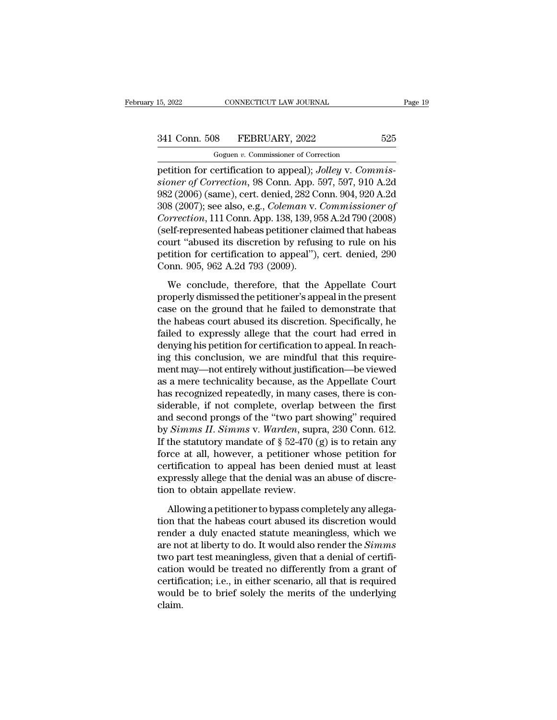# 15, 2022 CONNECTICUT LAW JOURNAL Page 19<br>341 Conn. 508 FEBRUARY, 2022 525<br>Goguen v. Commissioner of Correction

CONNECTICUT LAW JOURNAL<br>
8 FEBRUARY, 2022<br>
Goguen *v.* Commissioner of Correction<br>
Fertification to anneal): Jolley v. Comm period of the connectricurries of correction<br>
15, 2022<br>
16 Goguen v. Commissioner of Correction<br>
16 Goguen v. Commissioner of Correction<br>
16 Goguen v. Commis16 Goguen (16 Goguen 16 Goguen 16 Goguen 16 Goguen 16 Goguen 16 **341 Conn. 508 FEBRUARY**, 2022 525<br>
Goguen v. Commissioner of Correction<br>
petition for certification to appeal); Jolley v. Commissioner of Correction, 98 Conn. App. 597, 597, 910 A.2d<br>
982 (2006) (same), cert. denied, 28 341 Conn. 508 FEBRUARY, 2022 525<br>
Goguen v. Commissioner of Correction<br>
petition for certification to appeal); Jolley v. Commissioner of Correction, 98 Conn. App. 597, 597, 910 A.2d<br>
982 (2006) (same), cert. denied, 282 C 341 Conn. 508 FEBRUARY, 2022 525<br>
Goguen v. Commissioner of Correction<br>
petition for certification to appeal); *Jolley* v. *Commissioner of Correction*, 98 Conn. App. 597, 597, 910 A.2d<br>
982 (2006) (same), cert. denied, 28 *Goguen v. Commissioner of Correction*<br>
petition for certification to appeal); *Jolley v. Commissioner of Correction*, 98 Conn. App. 597, 597, 910 A.2d<br>
982 (2006) (same), cert. denied, 282 Conn. 904, 920 A.2d<br>
308 (2007); Goguen v. Commissioner of Correction<br>petition for certification to appeal); Jolley v. Commis-<br>sioner of Correction, 98 Conn. App. 597, 597, 910 A.2d<br>982 (2006) (same), cert. denied, 282 Conn. 904, 920 A.2d<br>308 (2007); see petition for certification to appeal); Jolley v. Commis-<br>sioner of Correction, 98 Conn. App. 597, 597, 910 A.2d<br>982 (2006) (same), cert. denied, 282 Conn. 904, 920 A.2d<br>308 (2007); see also, e.g., Coleman v. Commissioner o sioner of Correction, 98 Conn. App. 597, 597, 910 A.2d<br>982 (2006) (same), cert. denied, 282 Conn. 904, 920 A.2d<br>308 (2007); see also, e.g., *Coleman v. Commissioner of*<br>*Correction*, 111 Conn. App. 138, 139, 958 A.2d 790 (  $982$  (2006) (same), cert. denied, 282 C<br>308 (2007); see also, e.g., *Coleman v.<br>Correction*, 111 Conn. App. 138, 139, 9<br>(self-represented habeas petitioner cl:<br>court "abused its discretion by refus<br>petition for certifica by conception, 111 Conn. App. 138, 139, 958 A.2d 790 (2008)<br>elf-represented habeas petitioner claimed that habeas<br>urt "abused its discretion by refusing to rule on his<br>titition for certification to appeal"), cert. denied, (self-represented habeas petitioner claimed that habeas court "abused its discretion by refusing to rule on his petition for certification to appeal"), cert. denied, 290 Conn. 905, 962 A.2d 793 (2009).<br>We conclude, theref

court "abused its discretion by refusing to rule on his<br>petition for certification to appeal"), cert. denied, 290<br>Conn. 905, 962 A.2d 793 (2009).<br>We conclude, therefore, that the Appellate Court<br>properly dismissed the peti the habeas court abused is discretion of appearing the land, 290<br>Conn. 905, 962 A.2d 793 (2009).<br>We conclude, therefore, that the Appellate Court<br>properly dismissed the petitioner's appeal in the present<br>case on the ground Fraince, 905, 962 A.2d 793 (2009).<br>We conclude, therefore, that the Appellate Court<br>properly dismissed the petitioner's appeal in the present<br>case on the ground that he failed to demonstrate that<br>the habeas court abused it We conclude, therefore, that the Appellate Court<br>properly dismissed the petitioner's appeal in the present<br>case on the ground that he failed to demonstrate that<br>the habeas court abused its discretion. Specifically, he<br>fail We conclude, therefore, that the Appellate Court<br>properly dismissed the petitioner's appeal in the present<br>case on the ground that he failed to demonstrate that<br>the habeas court abused its discretion. Specifically, he<br>fail properly dismissed the petitioner's appeal in the present<br>case on the ground that he failed to demonstrate that<br>the habeas court abused its discretion. Specifically, he<br>failed to expressly allege that the court had erred i case on the ground that he failed to demonstrate that<br>the habeas court abused its discretion. Specifically, he<br>failed to expressly allege that the court had erred in<br>denying his petition for certification to appeal. In rea the habeas court abused its discretion. Specifically, he failed to expressly allege that the court had erred in denying his petition for certification to appeal. In reaching this conclusion, we are mindful that this requir failed to expressly allege that the court had erred in<br>denying his petition for certification to appeal. In reach-<br>ing this conclusion, we are mindful that this require-<br>ment may—not entirely without justification—be viewe denying his petition for certification to appeal. In reaching this conclusion, we are mindful that this requirement may—not entirely without justification—be viewed as a mere technicality because, as the Appellate Court h ing this conclusion, we are mindful that this requirement may—not entirely without justification—be viewed<br>as a mere technicality because, as the Appellate Court<br>has recognized repeatedly, in many cases, there is con-<br>side ment may—not entirely without justification—be viewed<br>as a mere technicality because, as the Appellate Court<br>has recognized repeatedly, in many cases, there is con-<br>siderable, if not complete, overlap between the first<br>and as a mere technicality because, as the Appellate Court<br>has recognized repeatedly, in many cases, there is con-<br>siderable, if not complete, overlap between the first<br>and second prongs of the "two part showing" required<br>by has recognized repeatedly, in many cases, there is considerable, if not complete, overlap between the first and second prongs of the "two part showing" required by *Simms II. Simms v. Warden*, supra, 230 Conn. 612. If the siderable, if not complete, overlap between the first<br>and second prongs of the "two part showing" required<br>by *Simms II. Simms* v. *Warden*, supra, 230 Conn. 612.<br>If the statutory mandate of  $\S 52-470$  (g) is to retain an and second prongs of the "two part s<br>by *Simms II. Simms v. Warden*, sup<br>If the statutory mandate of § 52-470 (<br>force at all, however, a petitioner w<br>certification to appeal has been der<br>expressly allege that the denial wa the statutory mandate of  $\S$  52-470 (g) is to retain any<br>rce at all, however, a petitioner whose petition for<br>rtification to appeal has been denied must at least<br>pressly allege that the denial was an abuse of discre-<br>on t force at all, however, a petitioner whose petition for<br>certification to appeal has been denied must at least<br>expressly allege that the denial was an abuse of discre-<br>tion to obtain appellate review.<br>Allowing a petitioner t

certification to appeal has been denied must at least<br>expressly allege that the denial was an abuse of discretion to obtain appellate review.<br>Allowing a petitioner to bypass completely any allega-<br>tion that the habeas cour expressly allege that the denial was an abuse of discretion to obtain appellate review.<br>Allowing a petitioner to bypass completely any allegation that the habeas court abused its discretion would<br>render a duly enacted stat expressly allege that the denial was an abuse of discretion to obtain appellate review.<br>Allowing a petitioner to bypass completely any allegation that the habeas court abused its discretion would render a duly enacted sta Allowing a petitioner to bypass completely any allega-<br>tion that the habeas court abused its discretion would<br>render a duly enacted statute meaningless, which we<br>are not at liberty to do. It would also render the *Simms*<br> Allowing a petitioner to bypass completely any allegation that the habeas court abused its discretion would render a duly enacted statute meaningless, which we are not at liberty to do. It would also render the *Simms* two tion that the habeas court abused its discretion would<br>render a duly enacted statute meaningless, which we<br>are not at liberty to do. It would also render the *Simms*<br>two part test meaningless, given that a denial of certif claim.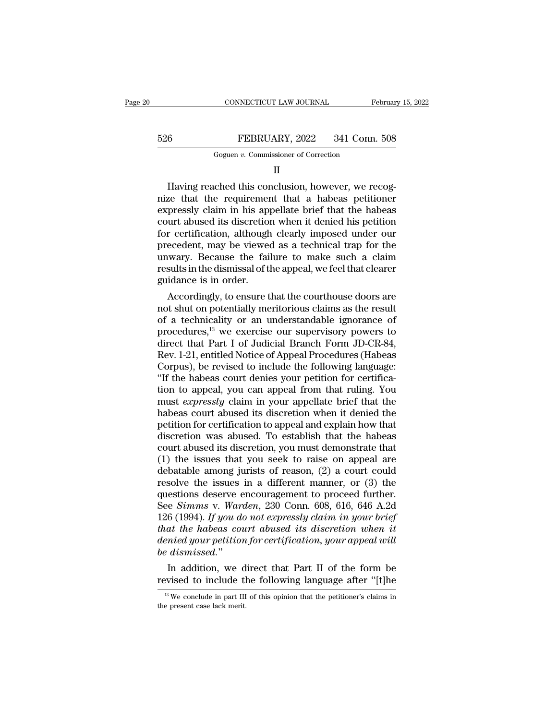|     | CONNECTICUT LAW JOURNAL                 | February 15, 2022 |  |
|-----|-----------------------------------------|-------------------|--|
|     |                                         |                   |  |
| 526 | FEBRUARY, 2022                          | 341 Conn. 508     |  |
|     | Goguen $v$ . Commissioner of Correction |                   |  |
|     |                                         |                   |  |

| Goguen v. Commissioner of Correction |  |
|--------------------------------------|--|
|--------------------------------------|--|

II

FEBRUARY, 2022 341 Conn. 508<br>
Goguen v. Commissioner of Correction<br>
II<br>
Having reached this conclusion, however, we recog-<br>
Example that the requirement that a habeas petitioner<br>
prossly claim in his appellate brief that t FEBRUARY, 2022 341 Conn. 508<br>
Goguen v. Commissioner of Correction<br>
II<br>
Having reached this conclusion, however, we recog-<br>
nize that the requirement that a habeas petitioner<br>
expressly claim in his appellate brief that t FEBRUARY, 2022 341 Conn. 508<br>
Goguen v. Commissioner of Correction<br>
II<br>
Having reached this conclusion, however, we recog-<br>
nize that the requirement that a habeas petitioner<br>
expressly claim in his appellate brief that t Goguen v. Commissioner of Correction<br>  $II$ <br>
Having reached this conclusion, however, we recog-<br>
nize that the requirement that a habeas petitioner<br>
expressly claim in his appellate brief that the habeas<br>
court abused its d II<br>
Having reached this conclusion, however, we recog-<br>
nize that the requirement that a habeas petitioner<br>
expressly claim in his appellate brief that the habeas<br>
court abused its discretion when it denied his petition<br>
f Having reached this conclusion, however, we recog-<br>nize that the requirement that a habeas petitioner<br>expressly claim in his appellate brief that the habeas<br>court abused its discretion when it denied his petition<br>for certi Having reached this conclusion, however, we recog-<br>nize that the requirement that a habeas petitioner<br>expressly claim in his appellate brief that the habeas<br>court abused its discretion when it denied his petition<br>for certi nize that the requirement that a habeas petitioner<br>expressly claim in his appellate brief that the habeas<br>court abused its discretion when it denied his petition<br>for certification, although clearly imposed under our<br>preced expressly claim in his approvent abused its discretion<br>for certification, although<br>precedent, may be viewed<br>unwary. Because the fail<br>results in the dismissal of tl<br>guidance is in order.<br>Accordingly, to ensure t Frequency and though clearly imposed under our ecedent, may be viewed as a technical trap for the wary. Because the failure to make such a claim sults in the dismissal of the appeal, we feel that clearer idance is in order For certification, although clearly imposed under our<br>precedent, may be viewed as a technical trap for the<br>unwary. Because the failure to make such a claim<br>results in the dismissal of the appeal, we feel that clearer<br>guida

precedent, may be viewed as a technical trap for the<br>unwary. Because the failure to make such a claim<br>results in the dismissal of the appeal, we feel that clearer<br>guidance is in order.<br>Accordingly, to ensure that the court mwary. Because the ranure to make such a claim<br>results in the dismissal of the appeal, we feel that clearer<br>guidance is in order.<br>Accordingly, to ensure that the courthouse doors are<br>not shut on potentially meritorious cl results in the dismissal of the appeal, we feel that clearer<br>guidance is in order.<br>Accordingly, to ensure that the courthouse doors are<br>not shut on potentially meritorious claims as the result<br>of a technicality or an under guidance is in order.<br>
Accordingly, to ensure that the courthouse doors are<br>
not shut on potentially meritorious claims as the result<br>
of a technicality or an understandable ignorance of<br>
procedures,<sup>13</sup> we exercise our su Accordingly, to ensure that the courthouse doors are<br>not shut on potentially meritorious claims as the result<br>of a technicality or an understandable ignorance of<br>procedures,<sup>13</sup> we exercise our supervisory powers to<br>direc not shut on potentially meritorious claims as the result<br>of a technicality or an understandable ignorance of<br>procedures,<sup>13</sup> we exercise our supervisory powers to<br>direct that Part I of Judicial Branch Form JD-CR-84,<br>Rev. 1 of a technicality or an understandable ignorance of<br>procedures,<sup>13</sup> we exercise our supervisory powers to<br>direct that Part I of Judicial Branch Form JD-CR-84,<br>Rev. 1-21, entitled Notice of Appeal Procedures (Habeas<br>Corpus) procedures,<sup>13</sup> we exercise our supervisory powers to<br>direct that Part I of Judicial Branch Form JD-CR-84,<br>Rev. 1-21, entitled Notice of Appeal Procedures (Habeas<br>Corpus), be revised to include the following language:<br>"If direct that Part I of Judicial Branch Form JD-CR-84,<br>Rev. 1-21, entitled Notice of Appeal Procedures (Habeas<br>Corpus), be revised to include the following language:<br>"If the habeas court denies your petition for certifica-<br>t Rev. 1-21, entitled Notice of Appeal Procedures (Habeas Corpus), be revised to include the following language:<br>"If the habeas court denies your petition for certification to appeal, you can appeal from that ruling. You<br>mus Corpus), be revised to include the following language:<br>"If the habeas court denies your petition for certifica-<br>tion to appeal, you can appeal from that ruling. You<br>must *expressly* claim in your appellate brief that the<br> "If the habeas court denies your petition for certification to appeal, you can appeal from that ruling. You must *expressly* claim in your appellate brief that the habeas court abused its discretion when it denied the pet tion to appeal, you can appeal from that ruling. You<br>must *expressly* claim in your appellate brief that the<br>habeas court abused its discretion when it denied the<br>petition for certification to appeal and explain how that<br> must *expressly* claim in your appellate brief that the<br>habeas court abused its discretion when it denied the<br>petition for certification to appeal and explain how that<br>discretion was abused. To establish that the habeas<br>c habeas court abused its discretion when it denied the<br>petition for certification to appeal and explain how that<br>discretion was abused. To establish that the habeas<br>court abused its discretion, you must demonstrate that<br>(1 petition for certification to appeal and explain how that<br>discretion was abused. To establish that the habeas<br>court abused its discretion, you must demonstrate that<br>(1) the issues that you seek to raise on appeal are<br>debat discretion was abused. To establish that the habeas<br>court abused its discretion, you must demonstrate that<br>(1) the issues that you seek to raise on appeal are<br>debatable among jurists of reason, (2) a court could<br>resolve th court abused its discretion, you must demonstrate that (1) the issues that you seek to raise on appeal are debatable among jurists of reason, (2) a court could resolve the issues in a different manner, or (3) the questions (1) the issues that you seek to raise on appeal are debatable among jurists of reason,  $(2)$  a court could resolve the issues in a different manner, or  $(3)$  the questions deserve encouragement to proceed further. See *Si* debatable among jurists of reason, (2) a court could<br>resolve the issues in a different manner, or (3) the<br>questions deserve encouragement to proceed further.<br>See *Simms v. Warden*, 230 Conn. 608, 616, 646 A.2d<br>126 (1994). resolve the issues in a different manner, or (3) the<br>questions deserve encouragement to proceed further.<br>See *Simms v. Warden*, 230 Conn. 608, 616, 646 A.2d<br>126 (1994). If you do not expressly claim in your brief<br>that the See Simms v. Warden, 230 Conn. 608, 616, 646 A.2d<br>126 (1994). If you do not expressly claim in your brief<br>that the habeas court abused its discretion when it<br>denied your petition for certification, your appeal will<br>be dis

2 dismissed."<br>
11 addition, we direct that Part II of the form be<br>
evised to include the following language after "[t]he<br>
<sup>13</sup> We conclude in part III of this opinion that the petitioner's claims in<br>
e present case lack m *the atomissed.*<br>In addition, we denote the present case lack merit.<br>The present case lack merit.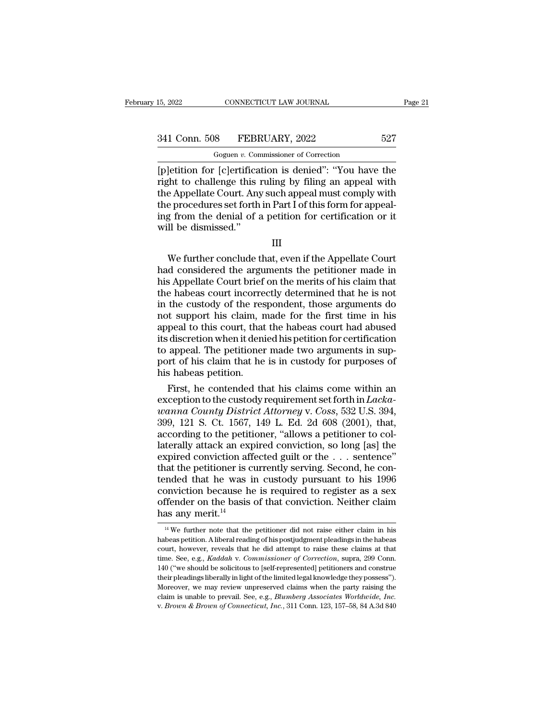CONNECTICUT LAW JOURNAL<br>
8 FEBRUARY, 2022<br>
Goguen *v.* Commissioner of Correction<br>
1 [c]ertification is denied''<sup>,</sup> "You have EVALUARY, 2022 EXAMPLE 15, 2022 EXAMPLE 15, 2022 EXAMPLE 16, 2009<br>
The Goguen v. Commissioner of Correction<br>
Example: ''You have the right to challenge this ruling by filing an appeal with<br>
the Annellate Court Any such ann 341 Conn. 508 FEBRUARY, 2022 527<br>
Goguen v. Commissioner of Correction<br>
[p]etition for [c]ertification is denied": "You have the<br>
right to challenge this ruling by filing an appeal with<br>
the Appellate Court. Any such appea 341 Conn. 508 FEBRUARY, 2022 527<br>
Goguen v. Commissioner of Correction<br>
[p]etition for [c]ertification is denied": "You have the<br>
right to challenge this ruling by filing an appeal with<br>
the Appellate Court. Any such appe 341 Conn. 508 FEBRUARY, 2022 527<br>
Goguen v. Commissioner of Correction<br>
[p]etition for [c]ertification is denied": "You have the<br>
right to challenge this ruling by filing an appeal with<br>
the Appellate Court. Any such appe Goguen v. Commissioner of Correction<br>
[p]etition for [c]ertification is denied": "You have the<br>
right to challenge this ruling by filing an appeal with<br>
the Appellate Court. Any such appeal must comply with<br>
the procedure  $\begin{array}{l} \text{Goguen } v. \text{ Con} \\ \text{[p]etition for [c]ertifica} \\ \text{right to challenge this:} \\ \text{the Appellate Court. Any} \\ \text{the procedures set forth} \\ \text{ing from the denial of a} \\ \text{will be dismissed."} \end{array}$ Fin to chancinge this runnig by filling an appear with<br>e Appellate Court. Any such appeal must comply with<br>e procedures set forth in Part I of this form for appeal-<br>g from the denial of a petition for certification or it<br>I

III

die Appenate Court. Any such appear must comply with<br>the procedures set forth in Part I of this form for appeal-<br>ing from the denial of a petition for certification or it<br>will be dismissed."<br>III<br>We further conclude that, e Front the denial of a petition for certification or it<br>will be dismissed."<br>III<br>We further conclude that, even if the Appellate Court<br>had considered the arguments the petitioner made in<br>his Appellate Court brief on the meri III<br>We further conclude that, even if the Appellate Court<br>had considered the arguments the petitioner made in<br>his Appellate Court brief on the merits of his claim that<br>the habeas court incorrectly determined that he is not III<br>
We further conclude that, even if the Appellate Court<br>
had considered the arguments the petitioner made in<br>
his Appellate Court brief on the merits of his claim that<br>
the habeas court incorrectly determined that he is III<br>We further conclude that, even if the Appellate Court<br>had considered the arguments the petitioner made in<br>his Appellate Court brief on the merits of his claim that<br>the habeas court incorrectly determined that he is not We further conclude that, even if the Appellate Court<br>had considered the arguments the petitioner made in<br>his Appellate Court brief on the merits of his claim that<br>the habeas court incorrectly determined that he is not<br>in had considered the arguments the petitioner made in<br>his Appellate Court brief on the merits of his claim that<br>the habeas court incorrectly determined that he is not<br>in the custody of the respondent, those arguments do<br>not his Appellate Court brief on the merits of his claim that<br>the habeas court incorrectly determined that he is not<br>in the custody of the respondent, those arguments do<br>not support his claim, made for the first time in his<br>ap the habeas court incorrectly determined that he is not<br>in the custody of the respondent, those arguments do<br>not support his claim, made for the first time in his<br>appeal to this court, that the habeas court had abused<br>its d in the custody of the res<br>not support his claim, n<br>appeal to this court, that<br>its discretion when it deni<br>to appeal. The petitioner<br>port of his claim that he<br>his habeas petition.<br>First, he contended th It support his claim, made for the first time in his<br>peal to this court, that the habeas court had abused<br>indicated discretion when it denied his petition for certification<br>appeal. The petitioner made two arguments in sup appeal to this court, that the habeas court had abused<br>its discretion when it denied his petition for certification<br>to appeal. The petitioner made two arguments in sup-<br>port of his claim that he is in custody for purposes

*x* its discretion when it denied his petition for certification<br>to appeal. The petitioner made two arguments in sup-<br>port of his claim that he is in custody for purposes of<br>his habeas petition.<br>First, he contended that hi to appeal. The petitioner made two arguments in support of his claim that he is in custody for purposes of<br>his habeas petition.<br>First, he contended that his claims come within an<br>exception to the custody requirement set f port of his claim that he is in custody for purposes of<br>his habeas petition.<br>First, he contended that his claims come within an<br>exception to the custody requirement set forth in *Lacka-*<br>wanna County District Attorney v. C his habeas petition.<br>
First, he contended that his claims come within an<br>
exception to the custody requirement set forth in *Lacka-*<br> *wanna County District Attorney v. Coss*, 532 U.S. 394,<br>
399, 121 S. Ct. 1567, 149 L. E First, he contended that his claims come within an exception to the custody requirement set forth in *Lackawanna County District Attorney* v. *Coss*, 532 U.S. 394, 399, 121 S. Ct. 1567, 149 L. Ed. 2d 608 (2001), that, acc exception to the custody requirement set forth in *Lacka-wanna County District Attorney v. Coss*, 532 U.S. 394, 399, 121 S. Ct. 1567, 149 L. Ed. 2d 608 (2001), that, according to the petitioner, "allows a petitioner to co wanna County District Attorney v. Coss, 532 U.S. 394,<br>399, 121 S. Ct. 1567, 149 L. Ed. 2d 608 (2001), that,<br>according to the petitioner, "allows a petitioner to col-<br>laterally attack an expired conviction, so long [as] the 399, 121 S. Ct. 1567, 149 L. Ed. 2d 608 (2001), that,<br>according to the petitioner, "allows a petitioner to col-<br>laterally attack an expired conviction, so long [as] the<br>expired conviction affected guilt or the  $\ldots$  sente according to the petitioner, "allows a petitioner to collaterally attack an expired conviction, so long [as] the expired conviction affected guilt or the  $\ldots$  sentence" that the petitioner is currently serving. Second, h laterally attack an experied conviction afficial that the petitioner is conviction because he offender on the basis has any merit.<sup>14</sup> mded that he was in custody pursuant to his 1996<br>onviction because he is required to register as a sex<br>ffender on the basis of that conviction. Neither claim<br>as any merit.<sup>14</sup><br><sup>14</sup> We further note that the petitioner did conviction because he is required to register as a sex<br>offender on the basis of that conviction. Neither claim<br>has any merit.<sup>14</sup><br> $\frac{14 \text{ We further note that the pertinent did not raise either claim in his  
habeas~petition. A liberal reading of his postjudgment pleadings in the habeas  
court, however, reveals that he did attempt to raise these claims at that$ 

offender on the basis of that conviction. Neither claim<br>has any merit.<sup>14</sup><br> $^{14}$ We further note that the petitioner did not raise either claim in his<br>habeas petition. A liberal reading of his postjudgment pleadings in th time. See, e.g., *Kaddah* v. *Commissioner of Correction*. Technic Claim in his habeas petition. A liberal reading of his postjudgment pleadings in the habeas court, however, reveals that he did attempt to raise these clai 1148  $\overline{a}$  and  $\overline{b}$  if the solution of that the petitioner did not raise either claim in his habeas petition. A liberal reading of his postjudgment pleadings in the habeas court, however, reveals that he did attemp <sup>14</sup> We further note that the petitioner did not raise either claim in his habeas petition. A liberal reading of his postjudgment pleadings in the habeas court, however, reveals that he did attempt to raise these claims a habeas petition. A liberal reading of his postjudgment pleadings in the habeas court, however, reveals that he did attempt to raise these claims at that time. See, e.g., *Kaddah v. Commissioner of Correction*, supra, 299 C claim is unable to prevail. See, e.g., *Blanch* is unable to preverience these claims at that time. See, e.g., *Raddah* v. *Commissioner of Correction*, supra, 299 Conn. 140 ("we should be solicitous to [self-represented]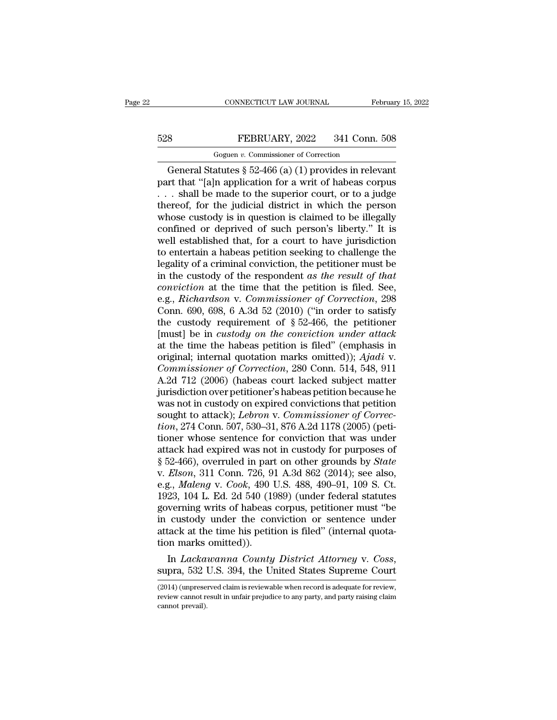# CONNECTICUT LAW JOURNAL February 15, 2022<br>528 FEBRUARY, 2022 341 Conn. 508<br>Goguen v. Commissioner of Correction CONNECTICUT LAW JOURNAL<br>FEBRUARY, 2022 341 Conn.<br>Goguen *v.* Commissioner of Correction<br>atutes § 52-466 (a) (1) provides in rele

CONNECTICUT LAW JOURNAL February 15, 202<br>
Separate FEBRUARY, 2022 341 Conn. 508<br>
Goguen v. Commissioner of Correction<br>
General Statutes § 52-466 (a) (1) provides in relevant<br>
Trt that "[a]n application for a writ of habeas FEBRUARY, 2022 341 Conn. 508<br>
Goguen v. Commissioner of Correction<br>
General Statutes § 52-466 (a) (1) provides in relevant<br>
part that "[a]n application for a writ of habeas corpus<br>
... shall be made to the superior court, 528 FEBRUARY, 2022 341 Conn. 508<br>
Goguen v. Commissioner of Correction<br>
General Statutes § 52-466 (a) (1) provides in relevant<br>
part that "[a]n application for a writ of habeas corpus<br>
... shall be made to the superior co 528 FEBRUARY, 2022 341 Conn. 508<br>
Goguen v. Commissioner of Correction<br>
General Statutes § 52-466 (a) (1) provides in relevant<br>
part that "[a]n application for a writ of habeas corpus<br>
... shall be made to the superior co Goguen v. Commissioner of Correction<br>General Statutes § 52-466 (a) (1) provides in relevant<br>part that "[a]n application for a writ of habeas corpus<br>... shall be made to the superior court, or to a judge<br>thereof, for the j Goguen v. Commissioner of Correction<br>General Statutes § 52-466 (a) (1) provides in relevant<br>part that "[a]n application for a writ of habeas corpus<br> $\dots$  shall be made to the superior court, or to a judge<br>thereof, for the General Statutes § 52-466 (a) (1) provides in relevant<br>part that "[a]n application for a writ of habeas corpus<br>... shall be made to the superior court, or to a judge<br>thereof, for the judicial district in which the person<br> part that "[a]n application for a writ of habeas corpus<br>  $\ldots$  shall be made to the superior court, or to a judge<br>
thereof, for the judicial district in which the person<br>
whose custody is in question is claimed to be ille ... shall be made to the superior court, or to a judge thereof, for the judicial district in which the person whose custody is in question is claimed to be illegally confined or deprived of such person's liberty." It is w thereof, for the judicial district in which the person<br>whose custody is in question is claimed to be illegally<br>confined or deprived of such person's liberty." It is<br>well established that, for a court to have jurisdiction<br>t whose custody is in question is claimed to be illegally confined or deprived of such person's liberty." It is well established that, for a court to have jurisdiction to entertain a habeas petition seeking to challenge the confined or deprived of such person's liberty." It is<br>well established that, for a court to have jurisdiction<br>to entertain a habeas petition seeking to challenge the<br>legality of a criminal conviction, the petitioner must b well established that, for a court to have jurisdiction<br>to entertain a habeas petition seeking to challenge the<br>legality of a criminal conviction, the petitioner must be<br>in the custody of the respondent as the result of t to entertain a habeas petition seeking to challenge the<br>legality of a criminal conviction, the petitioner must be<br>in the custody of the respondent *as the result of that*<br>*conviction* at the time that the petition is file legality of a criminal conviction, the petitioner must be<br>in the custody of the respondent as the result of that<br>conviction at the time that the petition is filed. See,<br>e.g., *Richardson v. Commissioner of Correction*, 298 in the custody of the respondent *as the result of that*<br>conviction at the time that the petition is filed. See,<br>e.g., *Richardson v. Commissioner of Correction*, 298<br>Conn. 690, 698, 6 A.3d 52 (2010) ("in order to satisfy conviction at the time that the petition is filed. See,<br>e.g., *Richardson v. Commissioner of Correction*, 298<br>Conn. 690, 698, 6 A.3d 52 (2010) ("in order to satisfy<br>the custody requirement of § 52-466, the petitioner<br>[must e.g., *Richardson* v. *Commissioner of Correction*, 298<br>Conn. 690, 698, 6 A.3d 52 (2010) ("in order to satisfy<br>the custody requirement of § 52-466, the petitioner<br>[must] be in *custody on the conviction under attack*<br>at th Conn. 690, 698, 6 A.3d 52 (2010) ("in order to satisfy<br>the custody requirement of § 52-466, the petitioner<br>[must] be in *custody on the conviction under attack*<br>at the time the habeas petition is filed" (emphasis in<br>origi the custody requirement of § 52-466, the petitioner<br>[must] be in *custody on the conviction under attack*<br>at the time the habeas petition is filed" (emphasis in<br>original; internal quotation marks omitted)); *Ajadi* v.<br>*Co* [must] be in *custody on the conviction under attack*<br>at the time the habeas petition is filed" (emphasis in<br>original; internal quotation marks omitted)); Ajadi v.<br>*Commissioner of Correction*, 280 Conn. 514, 548, 911<br>A.2 at the time the habeas petition is filed" (emphasis in original; internal quotation marks omitted)); *Ajadi* v. *Commissioner of Correction*, 280 Conn. 514, 548, 911 A.2d 712 (2006) (habeas court lacked subject matter juri original; internal quotation marks omitted)); *Ajadi* v.<br> *Commissioner of Correction*, 280 Conn. 514, 548, 911<br>
A.2d 712 (2006) (habeas court lacked subject matter<br>
jurisdiction over petitioner's habeas petition because h Commissioner of Correction, 280 Conn. 514, 548, 911<br>A.2d 712 (2006) (habeas court lacked subject matter<br>jurisdiction over petitioner's habeas petition because he<br>was not in custody on expired convictions that petition<br>soug A.2d 712 (2006) (habeas court lacked subject matter<br>jurisdiction over petitioner's habeas petition because he<br>was not in custody on expired convictions that petition<br>sought to attack); *Lebron* v. *Commissioner of Correc*jurisdiction over petitioner's habeas petition because he<br>was not in custody on expired convictions that petition<br>sought to attack); *Lebron v. Commissioner of Correc-<br>tion*, 274 Conn. 507, 530–31, 876 A.2d 1178 (2005) (pe was not in custody on expired convictions that petition<br>sought to attack); *Lebron* v. *Commissioner of Correc-<br>tion*, 274 Conn. 507, 530–31, 876 A.2d 1178 (2005) (peti-<br>tioner whose sentence for conviction that was under<br> sought to attack); *Lebron v. Commissioner of Correction*, 274 Conn. 507, 530–31, 876 A.2d 1178 (2005) (petitioner whose sentence for conviction that was under attack had expired was not in custody for purposes of § 52-466 *tion*, 274 Conn. 507, 530–31, 876 A.2d 1178 (2005) (petitioner whose sentence for conviction that was under attack had expired was not in custody for purposes of § 52-466), overruled in part on other grounds by *State* v tioner whose sentence for conviction that was under<br>attack had expired was not in custody for purposes of<br> $\S 52-466$ ), overruled in part on other grounds by *State*<br>v. *Elson*, 311 Conn. 726, 91 A.3d 862 (2014); see also, attack had expired was not in custody for purposes of<br>§ 52-466), overruled in part on other grounds by *State*<br>v. *Elson*, 311 Conn. 726, 91 A.3d 862 (2014); see also,<br>e.g., *Maleng* v. *Cook*, 490 U.S. 488, 490–91, 109 S. § 52-466), overruled in part on other grounds by *State* v. *Elson*, 311 Conn. 726, 91 A.3d 862 (2014); see also, e.g., *Maleng* v. *Cook*, 490 U.S. 488, 490–91, 109 S. Ct. 1923, 104 L. Ed. 2d 540 (1989) (under federal sta v. *Elson*, 311 Conn. 726, 9<br>e.g., *Maleng* v. *Cook*, 490 <sup>1</sup><br>1923, 104 L. Ed. 2d 540 (19<br>governing writs of habeas<br>in custody under the cor<br>attack at the time his petit<br>tion marks omitted)).<br>In *Lackawanna County* e.g., *Maleng* v. *Cook*, 490 U.S. 488, 490–91, 109 S. Ct.<br>1923, 104 L. Ed. 2d 540 (1989) (under federal statutes<br>governing writs of habeas corpus, petitioner must "be<br>in custody under the conviction or sentence under<br>atta

Find the time insepted on the different control of the time marks omitted)).<br>
In *Lackawanna County District Attorney v. Coss*,<br>
supra, 532 U.S. 394, the United States Supreme Court<br>
(2014) (unpreserved claim is reviewable

In *Lackawanna County District Attorney v. Coss*,<br>supra, 532 U.S. 394, the United States Supreme Court<br>(2014) (unpreserved claim is reviewable when record is adequate for review,<br>review cannot result in unfair prejudice to In  $Lacka$ <br>supra, 532 l<br>(2014) (unprese<br>review cannot revail).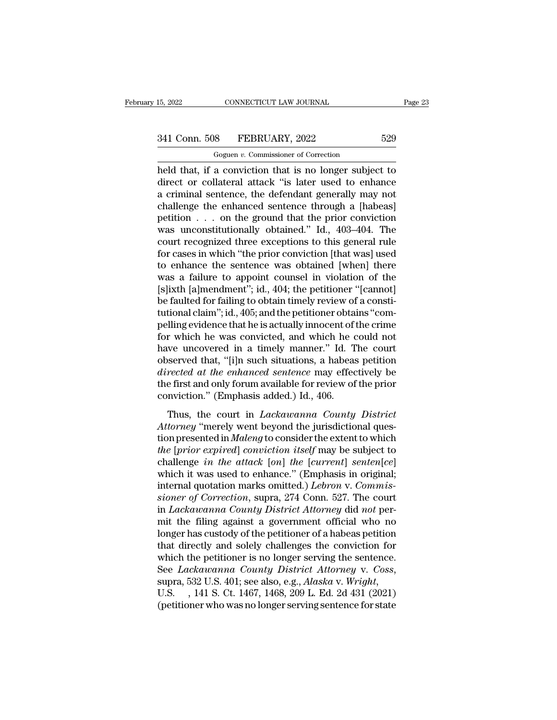CONNECTICUT LAW JOURNAL<br>
8 FEBRUARY, 2022<br>
Goguen *v.* Commissioner of Correction<br>
8 Conviction that is no longer subject 15, 2022 CONNECTICUT LAW JOURNAL Page 23<br>
341 Conn. 508 FEBRUARY, 2022 529<br>
Goguen v. Commissioner of Correction<br>
held that, if a conviction that is no longer subject to<br>
direct or collateral attack "is later used to enhan 341 Conn. 508 FEBRUARY, 2022 529<br>
Goguen v. Commissioner of Correction<br>
held that, if a conviction that is no longer subject to<br>
direct or collateral attack "is later used to enhance<br>
a criminal sentence, the defendant gen 341 Conn. 508 FEBRUARY, 2022 529<br>
Goguen v. Commissioner of Correction<br>
held that, if a conviction that is no longer subject to<br>
direct or collateral attack "is later used to enhance<br>
a criminal sentence, the defendant ge 341 Conn. 508 FEBRUARY, 2022 529<br>
Goguen v. Commissioner of Correction<br>
held that, if a conviction that is no longer subject to<br>
direct or collateral attack "is later used to enhance<br>
a criminal sentence, the defendant ge Goguen v. Commissioner of Correction<br>held that, if a conviction that is no longer subject to<br>direct or collateral attack "is later used to enhance<br>a criminal sentence, the defendant generally may not<br>challenge the enhance Goguen v. Commissioner of Correction<br>held that, if a conviction that is no longer subject to<br>direct or collateral attack "is later used to enhance<br>a criminal sentence, the defendant generally may not<br>challenge the enhance held that, if a conviction that is no longer subject to<br>direct or collateral attack "is later used to enhance<br>a criminal sentence, the defendant generally may not<br>challenge the enhanced sentence through a [habeas]<br>petition direct or collateral attack "is later used to enhance<br>a criminal sentence, the defendant generally may not<br>challenge the enhanced sentence through a [habeas]<br>petition . . . on the ground that the prior conviction<br>was uncon a criminal sentence, the defendant generally may not<br>challenge the enhanced sentence through a [habeas]<br>petition  $\ldots$  on the ground that the prior conviction<br>was unconstitutionally obtained." Id., 403–404. The<br>court reco challenge the enhanced sentence through a [habeas]<br>petition . . . on the ground that the prior conviction<br>was unconstitutionally obtained." Id.,  $403-404$ . The<br>court recognized three exceptions to this general rule<br>for ca petition . . . on the ground that the prior conviction<br>was unconstitutionally obtained." Id., 403–404. The<br>court recognized three exceptions to this general rule<br>for cases in which "the prior conviction [that was] used<br>to was unconstitutionally obtained." Id., 403–404. The<br>court recognized three exceptions to this general rule<br>for cases in which "the prior conviction [that was] used<br>to enhance the sentence was obtained [when] there<br>was a fa court recognized three exceptions to this general rule<br>for cases in which "the prior conviction [that was] used<br>to enhance the sentence was obtained [when] there<br>was a failure to appoint counsel in violation of the<br>[s]ixth for cases in which "the prior conviction [that was] used<br>to enhance the sentence was obtained [when] there<br>was a failure to appoint counsel in violation of the<br>[s]ixth [a]mendment"; id., 404; the petitioner "[cannot]<br>be fa to enhance the sentence was obtained [when] there<br>was a failure to appoint counsel in violation of the<br>[s]ixth [a]mendment"; id., 404; the petitioner "[cannot]<br>be faulted for failing to obtain timely review of a consti-<br>tu was a failure to appoint counsel in violation of the [s]ixth [a]mendment"; id., 404; the petitioner "[cannot] be faulted for failing to obtain timely review of a constitutional claim"; id., 405; and the petitioner obtains [s]ixth [a]mendment"; id., 404; the petitioner "[cannot]<br>be faulted for failing to obtain timely review of a consti-<br>tutional claim"; id., 405; and the petitioner obtains "com-<br>pelling evidence that he is actually innocen be faulted for failing to obtain timely review of a constitutional claim"; id., 405; and the petitioner obtains "compelling evidence that he is actually innocent of the crime for which he was convicted, and which he could tutional claim"; id., 405; and the petitioner obtains "compelling evidence that he is actually innocent of the crime<br>for which he was convicted, and which he could not<br>have uncovered in a timely manner." Id. The court<br>obse pelling evidence that he is actually innocent of<br>for which he was convicted, and which he c<br>have uncovered in a timely manner." Id. T<br>observed that, "[i]n such situations, a habeas<br>*directed at the enhanced sentence* may e which he was convicted, and which he could not<br>we uncovered in a timely manner." Id. The court<br>served that, "[i]n such situations, a habeas petition<br>rected at the enhanced sentence may effectively be<br>first and only forum a *Attorney in a tancey manner.* The coard observed that, "[i]n such situations, a habeas petition directed at the enhanced sentence may effectively be the first and only forum available for review of the prior conviction."

beserved and, [14] such situations, a nascelly perfectively be<br>directed at the enhanced sentence may effectively be<br>the first and only forum available for review of the prior<br>conviction." (Emphasis added.) Id., 406.<br>Thus, *the* first and only forum available for review of the prior<br>
conviction." (Emphasis added.) Id., 406.<br>
Thus, the court in *Lackawanna County District*<br> *Attorney* "merely went beyond the jurisdictional question presented conviction." (Emphasis added.) Id., 406.<br>Thus, the court in *Lackawanna County District*<br>Attorney "merely went beyond the jurisdictional ques-<br>tion presented in *Maleng* to consider the extent to which<br>the [prior expired] Thus, the court in *Lackawanna County District*<br>Attorney "merely went beyond the jurisdictional ques-<br>tion presented in *Maleng* to consider the extent to which<br>the [prior expired] conviction itself may be subject to<br>chal Thus, the court in *Lackawanna County District*<br>Attorney "merely went beyond the jurisdictional ques-<br>tion presented in *Maleng* to consider the extent to which<br>the [prior expired] conviction itself may be subject to<br>chall Attorney "merely went beyond the jurisdictional question presented in *Maleng* to consider the extent to which<br>*the [prior expired] conviction itself* may be subject to<br>challenge *in the attack* [*on*] *the* [*current*] se tion presented in *Maleng* to consider the extent to which<br>the [prior expired] conviction itself may be subject to<br>challenge in the attack [on] the [current] senten[ce]<br>which it was used to enhance." (Emphasis in original; the [prior expired] conviction itself may be subject to<br>challenge in the attack [on] the [current] senten[ce]<br>which it was used to enhance." (Emphasis in original;<br>internal quotation marks omitted.) Lebron v. Commis-<br>sione challenge *in the attack* [*on*] *the* [*current*] *senten*[*ce*]<br>which it was used to enhance." (Emphasis in original;<br>internal quotation marks omitted.) *Lebron* v. *Commissioner of Correction*, supra, 274 Conn. 527. The which it was used to enhance." (Emphasis in original;<br>internal quotation marks omitted.) *Lebron* v. *Commissioner of Correction*, supra, 274 Conn. 527. The court<br>in *Lackawanna County District Attorney* did *not* per-<br>mit internal quotation marks omitted.) *Lebron* v. Commis-<br>sioner of Correction, supra, 274 Conn. 527. The court<br>in *Lackawanna County District Attorney* did not per-<br>mit the filing against a government official who no<br>longer sioner of Correction, supra, 274 Conn. 527. The court<br>in *Lackawanna County District Attorney* did *not* per-<br>mit the filing against a government official who no<br>longer has custody of the petitioner of a habeas petition<br>th longer has custody of the petitioner of a habeas petition<br>that directly and solely challenges the conviction for<br>which the petitioner is no longer serving the sentence.<br>See *Lackawanna County District Attorney* v. *Coss*,<br>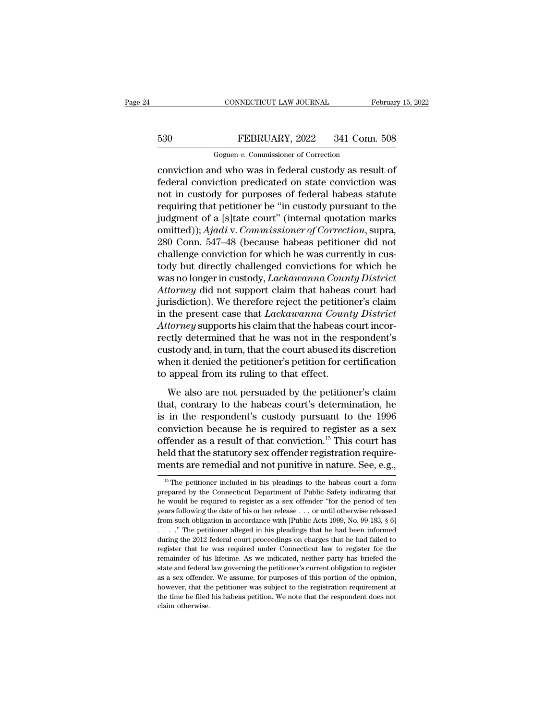# CONNECTICUT LAW JOURNAL February 15, 2022<br>530 FEBRUARY, 2022 341 Conn. 508<br>Goguen v. Commissioner of Correction

CONNECTICUT LAW JOURNAL<br>FEBRUARY, 2022 341 Conn.<br>Goguen *v.* Commissioner of Correction<br>nd who was in federal custody as resu CONNECTICUT LAW JOURNAL February 15, 202<br>
FEBRUARY, 2022 341 Conn. 508<br>
Goguen v. Commissioner of Correction<br>
Conviction and who was in federal custody as result of<br>
federal conviction predicated on state conviction was<br>
a FEBRUARY, 2022 341 Conn. 508<br>
Goguen v. Commissioner of Correction<br>
conviction and who was in federal custody as result of<br>
federal conviction predicated on state conviction was<br>
not in custody for purposes of federal habe FEBRUARY, 2022 341 Conn. 508<br>
Goguen v. Commissioner of Correction<br>
conviction and who was in federal custody as result of<br>
federal conviction predicated on state conviction was<br>
not in custody for purposes of federal hab FEBRUARY, 2022 341 Conn. 508<br>
Goguen v. Commissioner of Correction<br>
conviction and who was in federal custody as result of<br>
federal conviction predicated on state conviction was<br>
not in custody for purposes of federal hab Goguen v. Commissioner of Correction<br>
conviction and who was in federal custody as result of<br>
federal conviction predicated on state conviction was<br>
not in custody for purposes of federal habeas statute<br>
requiring that pe Goguen v. Commissioner of Correction<br>
conviction and who was in federal custody as result of<br>
federal conviction predicated on state conviction was<br>
not in custody for purposes of federal habeas statute<br>
requiring that pet conviction and who was in federal custody as result of<br>federal conviction predicated on state conviction was<br>not in custody for purposes of federal habeas statute<br>requiring that petitioner be "in custody pursuant to the<br>ju federal conviction predicated on state conviction was<br>not in custody for purposes of federal habeas statute<br>requiring that petitioner be "in custody pursuant to the<br>judgment of a [s]tate court" (internal quotation marks<br>om not in custody for purposes of federal habeas statute<br>requiring that petitioner be "in custody pursuant to the<br>judgment of a [s]tate court" (internal quotation marks<br>omitted)); Ajadi v. Commissioner of Correction, supra,<br>2 requiring that petitioner be "in custody pursuant to the<br>judgment of a [s]tate court" (internal quotation marks<br>omitted)); *Ajadi* v. *Commissioner of Correction*, supra,<br>280 Conn. 547–48 (because habeas petitioner did not judgment of a [s]tate court" (internal quotation marks<br>omitted)); *Ajadi* v. *Commissioner of Correction*, supra,<br>280 Conn. 547–48 (because habeas petitioner did not<br>challenge conviction for which he was currently in cus-<br> omitted)); Ajadi v. Commissioner of Correction, supra,<br>280 Conn. 547–48 (because habeas petitioner did not<br>challenge conviction for which he was currently in cus-<br>tody but directly challenged convictions for which he<br>was n 280 Conn. 547–48 (because habeas petitioner did not<br>challenge conviction for which he was currently in cus-<br>tody but directly challenged convictions for which he<br>was no longer in custody, *Lackawanna County District*<br>Attor challenge conviction for which he was currently in custody but directly challenged convictions for which he was no longer in custody, *Lackawanna County District Attorney* did not support claim that habeas court had jurisd tody but directly challenged convictions for which he<br>was no longer in custody, *Lackawanna County District*<br>Attorney did not support claim that habeas court had<br>jurisdiction). We therefore reject the petitioner's claim<br>in was no longer in custody, *Lackawanna County District*<br>Attorney did not support claim that habeas court had<br>jurisdiction). We therefore reject the petitioner's claim<br>in the present case that *Lackawanna County District*<br>At Attorney did not support claim that habeas court had<br>jurisdiction). We therefore reject the petitioner's claim<br>in the present case that *Lackawanna County District*<br>Attorney supports his claim that the habeas court incor-<br> jurisdiction). We therefore reject the petition<br>in the present case that *Lackawanna Couni*<br>Attorney supports his claim that the habeas c<br>rectly determined that he was not in the res<br>custody and, in turn, that the court ab torney supports his claim that the habeas court incor-<br>tly determined that he was not in the respondent's<br>stody and, in turn, that the court abused its discretion<br>nen it denied the petitioner's petition for certification<br>a that, determined that he was not in the respondent's<br>custody and, in turn, that the court abused its discretion<br>when it denied the petitioner's petition for certification<br>to appeal from its ruling to that effect.<br>We also a

custody and, in turn, that the court abused its discretion<br>custody and, in turn, that the court abused its discretion<br>to appeal from its ruling to that effect.<br>We also are not persuaded by the petitioner's claim<br>that, con when it denied the petitioner's petition for certification<br>to appeal from its ruling to that effect.<br>We also are not persuaded by the petitioner's claim<br>that, contrary to the habeas court's determination, he<br>is in the res We also are not persuaded by the petitioner's claim<br>that, contrary to the habeas court's determination, he<br>is in the respondent's custody pursuant to the 1996<br>conviction because he is required to register as a sex<br>offende We also are not persuaded by the petitioner's claim<br>that, contrary to the habeas court's determination, he<br>is in the respondent's custody pursuant to the 1996<br>conviction because he is required to register as a sex<br>offende We also are not persuaded by the petitioner's claim<br>that, contrary to the habeas court's determination, he<br>is in the respondent's custody pursuant to the 1996<br>conviction because he is required to register as a sex<br>offende MUCTION Decause he is required to register as a sex ffender as a result of that conviction.<sup>15</sup> This court has eld that the statutory sex offender registration require-<br>ents are remedial and not punitive in nature. See, e offender as a result of that conviction.<sup>15</sup> This court has<br>held that the statutory sex offender registration require-<br>ments are remedial and not punitive in nature. See, e.g.,<br><sup>15</sup> The petitioner included in his pleading

held that the statutory sex offender registration require-<br>ments are remedial and not punitive in nature. See, e.g.,<br> $\frac{15}{10}$  The petitioner included in his pleadings to the habeas court a form<br>prepared by the Connecti ments are remedial and not punitive in nature. See, e.g.,<br>
<sup>15</sup> The petitioner included in his pleadings to the habeas court a form<br>
prepared by the Connecticut Department of Public Safety indicating that<br>
he would be req <sup>15</sup> The petitioner included in his pleadings to the habeas court a form prepared by the Connecticut Department of Public Safety indicating that he would be required to register as a sex offender "for the period of ten ye <sup>15</sup> The petitioner included in his pleadings to the habeas court a form prepared by the Connecticut Department of Public Safety indicating that he would be required to register as a sex offender "for the period of ten ye prepared by the Connecticut Department of Public Safety indicating that<br>the would be required to register as a sex offender "for the period of ten<br>years following the date of his or her release ... or until otherwise rele Free would be required to register as a sex offender "for the period of ten<br>years following the date of his or her release . . . or until otherwise released<br>from such obligation in accordance with [Public Acts 1999, No. 9 remainder of his lifetime. As we indicated, neither party has briefed the state and federal control obligation in accordance with [Public Acts 1999, No. 99-183, § 6]  $\dots$  ." The petitioner alleged in his pleadings that he from such obligation in accordance with [Public Acts 1999, No. 99-183, § 6] . . . . " The petitioner alleged in his pleadings that he had been informed during the 2012 federal court proceedings on charges that he had fail ...." The petitioner alleged in his pleadings that he had been informed during the 2012 federal court proceedings on charges that he had failed to register that he was required under Connecticut law to register for the re during the 2012 federal court proceedings on charges that he had failed to register that he was required under Connecticut law to register for the remainder of his lifetime. As we indicated, neither party has briefed the s register that he was required under Connecticut law to register for the state and federal law governing the petitioner's current obligation to register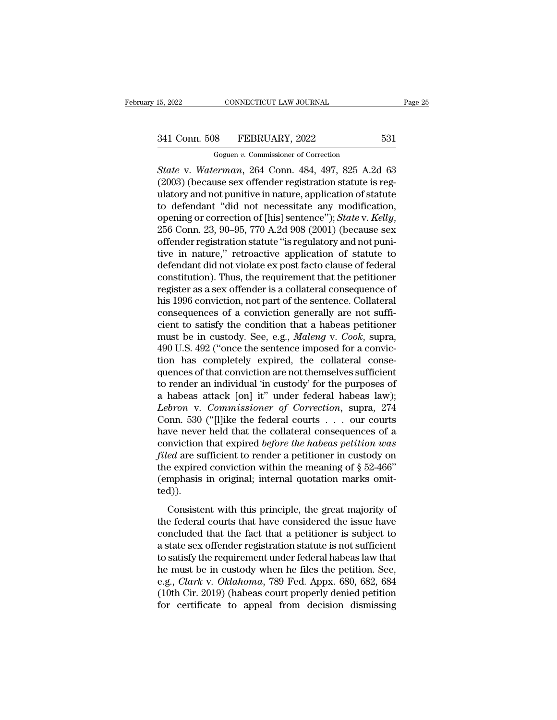EXECTICUT LAW JOURNAL<br>
18 FEBRUARY, 2022<br>
Goguen *v.* Commissioner of Correction<br> *erman.* 264 Conn. 484 497 825 A 2 <sup>15, 2022</sup> CONNECTICUT LAW JOURNAL<br>
<sup>Goguen v. Commissioner of Correction<br> *State* v. *Waterman*, 264 Conn. 484, 497, 825 A.2d 63<br>
(2003) (because sex offender registration statute is regulatory and not nunitive in nature,</sup> (2003) (because sex offender registration statute is reg-<br>diagram *v.* Commissioner of Correction<br>(2003) (because sex offender registration statute is reg-<br>ulatory and not punitive in nature, application of statute<br>to defe 341 Conn. 508 FEBRUARY, 2022 531<br>
Goguen v. Commissioner of Correction<br>
State v. Waterman, 264 Conn. 484, 497, 825 A.2d 63<br>
(2003) (because sex offender registration statute is regulatory and not punitive in nature, appli 341 Conn. 508 FEBRUARY, 2022 531<br>
Goguen v. Commissioner of Correction<br>
State v. Waterman, 264 Conn. 484, 497, 825 A.2d 63<br>
(2003) (because sex offender registration statute is regulatory and not punitive in nature, appli Goguen v. Commissioner of Correction<br>
State v. *Waterman*, 264 Conn. 484, 497, 825 A.2d 63<br>
(2003) (because sex offender registration statute is reg-<br>
ulatory and not punitive in nature, application of statute<br>
to defendan State v. Waterman, 264 Conn. 484, 497, 825 A.2d 63 (2003) (because sex offender registration statute is regulatory and not punitive in nature, application of statute to defendant "did not necessitate any modification, ope (2003) (because sex offender registration statute is regulatory and not punitive in nature, application of statute<br>to defendant "did not necessitate any modification,<br>opening or correction of [his] sentence"); *State* v. ulatory and not punitive in nature, application of statute<br>to defendant "did not necessitate any modification,<br>opening or correction of [his] sentence"); *State* v. *Kelly*,<br>256 Conn. 23, 90–95, 770 A.2d 908 (2001) (becaus to defendant "did not necessitate any modification,<br>opening or correction of [his] sentence"); *State* v. *Kelly*,<br>256 Conn. 23, 90–95, 770 A.2d 908 (2001) (because sex<br>offender registration statute "is regulatory and not opening or correction of [his] sentence"); *State* v. *Kelly*,<br>256 Conn. 23, 90–95, 770 A.2d 908 (2001) (because sex<br>offender registration statute "is regulatory and not puni-<br>tive in nature," retroactive application of st 256 Conn. 23, 90–95, 770 A.2d 908 (2001) (because sex<br>offender registration statute "is regulatory and not puni-<br>tive in nature," retroactive application of statute to<br>defendant did not violate ex post facto clause of fede offender registration statute "is regulatory and not punitive in nature," retroactive application of statute to defendant did not violate ex post facto clause of federal constitution). Thus, the requirement that the petit tive in nature," retroactive application of statute to<br>defendant did not violate ex post facto clause of federal<br>constitution). Thus, the requirement that the petitioner<br>register as a sex offender is a collateral consequen defendant did not violate ex post facto clause of federal<br>constitution). Thus, the requirement that the petitioner<br>register as a sex offender is a collateral consequence of<br>his 1996 conviction, not part of the sentence. Co constitution). Thus, the requirement that the petitioner register as a sex offender is a collateral consequence of his 1996 conviction, not part of the sentence. Collateral consequences of a conviction generally are not su register as a sex offender is a collateral consequence of<br>his 1996 conviction, not part of the sentence. Collateral<br>consequences of a conviction generally are not suffi-<br>cient to satisfy the condition that a habeas petitio his 1996 conviction, not part of the sentence. Collateral<br>consequences of a conviction generally are not suffi-<br>cient to satisfy the condition that a habeas petitioner<br>must be in custody. See, e.g., *Maleng* v. *Cook*, sup consequences of a conviction generally are not sufficient to satisfy the condition that a habeas petitioner<br>must be in custody. See, e.g., *Maleng* v. *Cook*, supra,<br>490 U.S. 492 ("once the sentence imposed for a convic-<br> cient to satisfy the condition that a habeas petitioner<br>must be in custody. See, e.g., *Maleng* v. *Cook*, supra,<br>490 U.S. 492 ("once the sentence imposed for a convic-<br>tion has completely expired, the collateral conse-<br>qu must be in custody. See, e.g., *Maleng* v. *Cook*, supra,<br>490 U.S. 492 ("once the sentence imposed for a conviction<br>has completely expired, the collateral conse-<br>quences of that conviction are not themselves sufficient<br>to 490 U.S. 492 ("once the sentence imposed for a conviction has completely expired, the collateral consequences of that conviction are not themselves sufficient to render an individual 'in custody' for the purposes of a hab tion has completely expired, the collateral consequences of that conviction are not themselves sufficient<br>to render an individual 'in custody' for the purposes of<br>a habeas attack [on] it" under federal habeas law);<br>*Lebro* quences of that conviction are not themselves sufficient<br>to render an individual 'in custody' for the purposes of<br>a habeas attack [on] it" under federal habeas law);<br>*Lebron* v. *Commissioner of Correction*, supra, 274<br>Con to render an individual 'in custody' for the purposes of<br>a habeas attack [on] it" under federal habeas law);<br>*Lebron* v. *Commissioner of Correction*, supra, 274<br>Conn. 530 ("[l]ike the federal courts . . . our courts<br>have a habeas attack [on] it" under federal habeas law);<br> *Lebron* v. *Commissioner of Correction*, supra, 274<br>
Conn. 530 ("[l]ike the federal courts . . . our courts<br>
have never held that the collateral consequences of a<br>
con Lebron v. Commissioner of Correction, supra, 274<br>Conn. 530 ("[l]ike the federal courts . . . our courts<br>have never held that the collateral consequences of a<br>conviction that expired *before the habeas petition was*<br>*filed* ted)). The movid in the separation is also always performance of a movidion that expired *before the habeas petition was*<br>*ed* are sufficient to render a petitioner in custody on<br>e expired conviction within the meaning of  $\S 52$ filed are sufficient to render a petitioner in custody on<br>the expired conviction within the meaning of  $\S$  52-466"<br>(emphasis in original; internal quotation marks omit-<br>ted)).<br>Consistent with this principle, the great maj

the expired conviction within the meaning of  $\S$  52-466"<br>(emphasis in original; internal quotation marks omit-<br>ted)).<br>Consistent with this principle, the great majority of<br>the federal courts that have considered the issue (emphasis in original; internal quotation marks omit-<br>ted)).<br>Consistent with this principle, the great majority of<br>the federal courts that have considered the issue have<br>concluded that the fact that a petitioner is subjec ted)).<br>
Consistent with this principle, the great majority of<br>
the federal courts that have considered the issue have<br>
concluded that the fact that a petitioner is subject to<br>
a state sex offender registration statute is Consistent with this principle, the great majority of<br>the federal courts that have considered the issue have<br>concluded that the fact that a petitioner is subject to<br>a state sex offender registration statute is not suffici Consistent with this principle, the great majority of<br>the federal courts that have considered the issue have<br>concluded that the fact that a petitioner is subject to<br>a state sex offender registration statute is not sufficie the federal courts that have considered the issue have<br>concluded that the fact that a petitioner is subject to<br>a state sex offender registration statute is not sufficient<br>to satisfy the requirement under federal habeas law concluded that the fact that a petitioner is subject to a state sex offender registration statute is not sufficient<br>to satisfy the requirement under federal habeas law that<br>he must be in custody when he files the petition.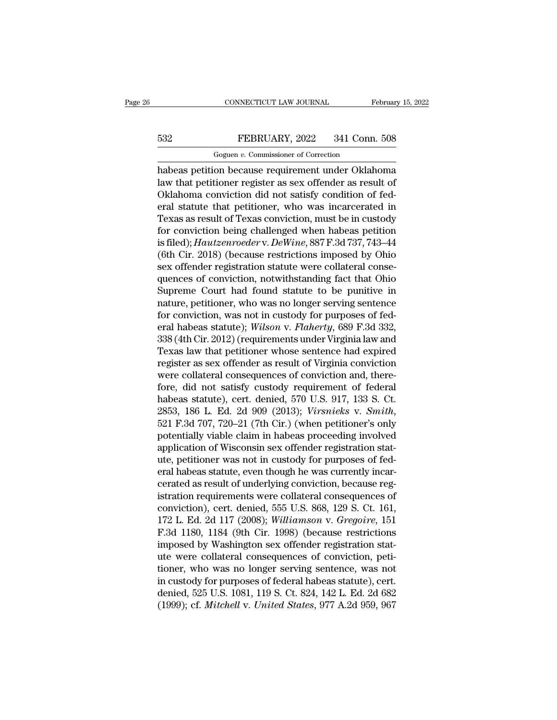# CONNECTICUT LAW JOURNAL February 15, 2022<br>532 FEBRUARY, 2022 341 Conn. 508<br>Goguen v. Commissioner of Correction

CONNECTICUT LAW JOURNAL<br>FEBRUARY, 2022 341 Conn.<br>Goguen *v.* Commissioner of Correction<br>on because requirement under Oklah CONNECTICUT LAW JOURNAL February 15, 2022<br>
FEBRUARY, 2022 341 Conn. 508<br>
Goguen v. Commissioner of Correction<br>
habeas petition because requirement under Oklahoma<br>
law that petitioner register as sex offender as result of<br> FEBRUARY, 2022 341 Conn. 508<br>
Goguen v. Commissioner of Correction<br>
habeas petition because requirement under Oklahoma<br>
law that petitioner register as sex offender as result of<br>
Oklahoma conviction did not satisfy conditi FEBRUARY, 2022 341 Conn. 508<br>
Goguen v. Commissioner of Correction<br>
habeas petition because requirement under Oklahoma<br>
law that petitioner register as sex offender as result of<br>
Oklahoma conviction did not satisfy condit EXERUARY, 2022 341 Conn. 508<br>
Goguen v. Commissioner of Correction<br>
habeas petition because requirement under Oklahoma<br>
law that petitioner register as sex offender as result of<br>
Oklahoma conviction did not satisfy condit Goguen v. Commissioner of Correction<br>
habeas petition because requirement under Oklahoma<br>
law that petitioner register as sex offender as result of<br>
Oklahoma conviction did not satisfy condition of fed-<br>
eral statute that For commissioner of conection<br>habeas petition because requirement under Oklahoma<br>law that petitioner register as sex offender as result of<br>Oklahoma conviction did not satisfy condition of fed-<br>eral statute that petitioner habeas petition because requirement under Oklahoma<br>law that petitioner register as sex offender as result of<br>Oklahoma conviction did not satisfy condition of fed-<br>eral statute that petitioner, who was incarcerated in<br>Texas law that petitioner register as sex offender as result of<br>Oklahoma conviction did not satisfy condition of fed-<br>eral statute that petitioner, who was incarcerated in<br>Texas as result of Texas conviction, must be in custody<br> Oklahoma conviction did not satisfy condition of federal statute that petitioner, who was incarcerated in Texas as result of Texas conviction, must be in custody for conviction being challenged when habeas petition is file eral statute that petitioner, who was incarcerated in<br>Texas as result of Texas conviction, must be in custody<br>for conviction being challenged when habeas petition<br>is filed); *Hautzenroeder* v. *DeWine*, 887 F.3d 737, 743–4 Texas as result of Texas conviction, must be in custody<br>for conviction being challenged when habeas petition<br>is filed); Hautzenroeder v. DeWine, 887 F.3d 737, 743–44<br>(6th Cir. 2018) (because restrictions imposed by Ohio<br>se for conviction being challenged when habeas petition<br>is filed); *Hautzenroeder* v. *DeWine*, 887 F.3d 737, 743–44<br>(6th Cir. 2018) (because restrictions imposed by Ohio<br>sex offender registration statute were collateral con is filed); *Hautzenroeder* v. *DeWine*, 887 F.3d 737, 743–44<br>(6th Cir. 2018) (because restrictions imposed by Ohio<br>sex offender registration statute were collateral conse-<br>quences of conviction, notwithstanding fact that O (6th Cir. 2018) (because restrictions imposed by Ohio<br>sex offender registration statute were collateral conse-<br>quences of conviction, notwithstanding fact that Ohio<br>Supreme Court had found statute to be punitive in<br>nature, sex offender registration statute were collateral consequences of conviction, notwithstanding fact that Ohio<br>Supreme Court had found statute to be punitive in<br>nature, petitioner, who was no longer serving sentence<br>for conv quences of conviction, notwithstanding fact that Ohio<br>Supreme Court had found statute to be punitive in<br>nature, petitioner, who was no longer serving sentence<br>for conviction, was not in custody for purposes of fed-<br>eral ha Supreme Court had found statute to be punitive in<br>nature, petitioner, who was no longer serving sentence<br>for conviction, was not in custody for purposes of fed-<br>eral habeas statute); *Wilson v. Flaherty*, 689 F.3d 332,<br>338 nature, petitioner, who was no longer serving sentence<br>for conviction, was not in custody for purposes of fed-<br>eral habeas statute); *Wilson v. Flaherty*, 689 F.3d 332,<br>338 (4th Cir. 2012) (requirements under Virginia law for conviction, was not in custody for purposes of federal habeas statute); *Wilson v. Flaherty*, 689 F.3d 332, 338 (4th Cir. 2012) (requirements under Virginia law and Texas law that petitioner whose sentence had expired eral habeas statute); *Wilson v. Flaherty*, 689 F.3d 332, 338 (4th Cir. 2012) (requirements under Virginia law and Texas law that petitioner whose sentence had expired register as sex offender as result of Virginia convict 338 (4th Cir. 2012) (requirements under Virginia law and<br>Texas law that petitioner whose sentence had expired<br>register as sex offender as result of Virginia conviction<br>were collateral consequences of conviction and, thereregister as sex offender as result of Virginia conviction<br>were collateral consequences of conviction and, there-<br>fore, did not satisfy custody requirement of federal<br>habeas statute), cert. denied, 570 U.S. 917, 133 S. Ct.<br> were collateral consequences of conviction and, therefore, did not satisfy custody requirement of federal<br>habeas statute), cert. denied, 570 U.S. 917, 133 S. Ct.<br>2853, 186 L. Ed. 2d 909 (2013); *Virsnieks* v. *Smith*,<br>521 fore, did not satisfy custody requirement of federal<br>habeas statute), cert. denied, 570 U.S. 917, 133 S. Ct.<br>2853, 186 L. Ed. 2d 909 (2013); *Virsnieks v. Smith*,<br>521 F.3d 707, 720–21 (7th Cir.) (when petitioner's only<br>pot habeas statute), cert. denied, 570 U.S. 917, 133 S. Ct.<br>2853, 186 L. Ed. 2d 909 (2013); *Virsnieks v. Smith*,<br>521 F.3d 707, 720–21 (7th Cir.) (when petitioner's only<br>potentially viable claim in habeas proceeding involved<br>a 2853, 186 L. Ed. 2d 909 (2013); *Virsnieks v. Smith*, 521 F.3d 707, 720–21 (7th Cir.) (when petitioner's only potentially viable claim in habeas proceeding involved application of Wisconsin sex offender registration statu 521 F.3d 707, 720–21 (7th Cir.) (when petitioner's only<br>potentially viable claim in habeas proceeding involved<br>application of Wisconsin sex offender registration stat-<br>ute, petitioner was not in custody for purposes of fe potentially viable claim in habeas proceeding involved<br>application of Wisconsin sex offender registration stat-<br>ute, petitioner was not in custody for purposes of fed-<br>eral habeas statute, even though he was currently inca application of Wisconsin sex offender registration stat-<br>ute, petitioner was not in custody for purposes of fed-<br>eral habeas statute, even though he was currently incar-<br>cerated as result of underlying conviction, because ute, petitioner was not in custody for purposes of federal habeas statute, even though he was currently incarcerated as result of underlying conviction, because registration requirements were collateral consequences of con eral habeas statute, even though he was currently incar-<br>cerated as result of underlying conviction, because reg-<br>istration requirements were collateral consequences of<br>conviction), cert. denied, 555 U.S. 868, 129 S. Ct. 1 cerated as result of underlying conviction, because registration requirements were collateral consequences of conviction), cert. denied, 555 U.S. 868, 129 S. Ct. 161, 172 L. Ed. 2d 117 (2008); *Williamson v. Gregoire*, 151 istration requirements were collateral consequences of<br>conviction), cert. denied, 555 U.S. 868, 129 S. Ct. 161,<br>172 L. Ed. 2d 117 (2008); *Williamson v. Gregoire*, 151<br>F.3d 1180, 1184 (9th Cir. 1998) (because restrictions<br> conviction), cert. denied, 555 U.S. 868, 129 S. Ct. 161,<br>172 L. Ed. 2d 117 (2008); *Williamson v. Gregoire*, 151<br>F.3d 1180, 1184 (9th Cir. 1998) (because restrictions<br>imposed by Washington sex offender registration stat-<br>u 172 L. Ed. 2d 117 (2008); *Williamson v. Gregoire*, 151<br>F.3d 1180, 1184 (9th Cir. 1998) (because restrictions<br>imposed by Washington sex offender registration stat-<br>ute were collateral consequences of conviction, peti-<br>tion F.3d 1180, 1184 (9th Cir. 1998) (because restrictions<br>imposed by Washington sex offender registration stat-<br>ute were collateral consequences of conviction, peti-<br>tioner, who was no longer serving sentence, was not<br>in custo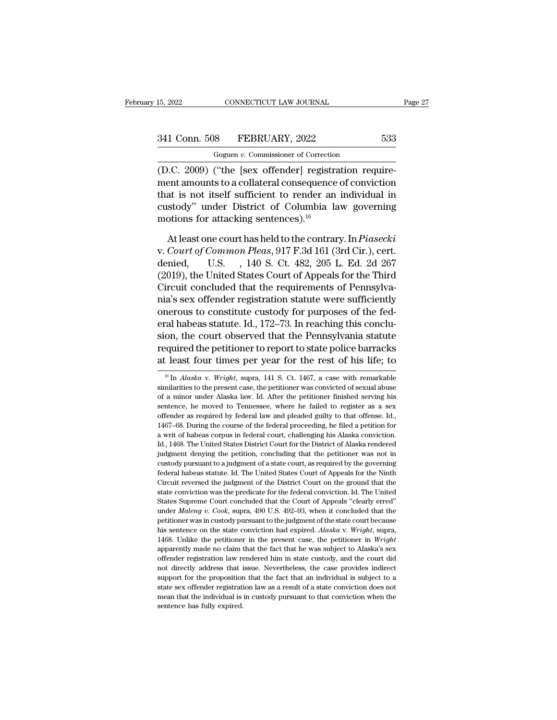CONNECTICUT LAW JOURNAL<br>18 FEBRUARY, 2022<br>Goguen *v.* Commissioner of Correction<br>(''the [sex\_offender] registration reg (15, 2022 CONNECTICUT LAW JOURNAL<br>
341 Conn. 508 FEBRUARY, 2022 533<br>
Goguen v. Commissioner of Correction<br>
(D.C. 2009) ("the [sex offender] registration require-<br>
ment amounts to a collateral consequence of conviction<br>
tha 341 Conn. 508 FEBRUARY, 2022 533<br>
Goguen v. Commissioner of Correction<br>
(D.C. 2009) ("the [sex offender] registration requirement amounts to a collateral consequence of conviction<br>
that is not itself sufficient to render a 341 Conn. 508 FEBRUARY, 2022 533<br>
Goguen v. Commissioner of Correction<br>
(D.C. 2009) ("the [sex offender] registration require-<br>
ment amounts to a collateral consequence of conviction<br>
that is not itself sufficient to rend 341 Conn. 508 FEBRUARY, 2022 533<br>
Goguen v. Commissioner of Correction<br>
(D.C. 2009) ("the [sex offender] registration requirement amounts to a collateral consequence of conviction<br>
that is not itself sufficient to render Goguen v. Commissioner of Correction<br>
(D.C. 2009) ("the [sex offender] registra<br>
ment amounts to a collateral consequence<br>
that is not itself sufficient to render an<br>
custody" under District of Columbia la<br>
motions for at At least offender] registration require-<br>ent amounts to a collateral consequence of conviction<br>at is not itself sufficient to render an individual in<br>stody" under District of Columbia law governing<br>otions for attacking sen ment amounts to a collateral consequence of conviction<br>that is not itself sufficient to render an individual in<br>custody" under District of Columbia law governing<br>motions for attacking sentences).<sup>16</sup><br>At least one court has

that is not itself sufficient to render an individual in<br>custody" under District of Columbia law governing<br>motions for attacking sentences).<sup>16</sup><br>At least one court has held to the contrary. In *Piasecki*<br>v. *Court of Commo* custody" under District of Columbia law governing<br>motions for attacking sentences).<sup>16</sup><br>At least one court has held to the contrary. In *Piasecki*<br>v. *Court of Common Pleas*, 917 F.3d 161 (3rd Cir.), cert.<br>denied, U.S. , 1 motions for attacking sentences).<sup>16</sup><br>At least one court has held to the contrary. In *Piasecki*<br>v. *Court of Common Pleas*, 917 F.3d 161 (3rd Cir.), cert.<br>denied, U.S. , 140 S. Ct. 482, 205 L. Ed. 2d 267<br>(2019), the Unit At least one court has held to the contrary. In *Piasecki*<br>v. Court of Common Pleas, 917 F.3d 161 (3rd Cir.), cert.<br>denied, U.S., 140 S. Ct. 482, 205 L. Ed. 2d 267<br>(2019), the United States Court of Appeals for the Third<br>C At least one court has held to the contrary. In *Piasecki*<br>v. Court of Common Pleas, 917 F.3d 161 (3rd Cir.), cert.<br>denied, U.S., 140 S. Ct. 482, 205 L. Ed. 2d 267<br>(2019), the United States Court of Appeals for the Third<br>C v. Court of Common Pleas, 917 F.3d 161 (3rd Cir.), cert.<br>denied, U.S., 140 S. Ct. 482, 205 L. Ed. 2d 267<br>(2019), the United States Court of Appeals for the Third<br>Circuit concluded that the requirements of Pennsylva-<br>nia's denied, U.S. , 140 S. Ct. 482, 205 L. Ed. 2d 267<br>(2019), the United States Court of Appeals for the Third<br>Circuit concluded that the requirements of Pennsylva-<br>nia's sex offender registration statute were sufficiently<br>oner (2019), the United States Court of Appeals for the Third<br>Circuit concluded that the requirements of Pennsylva-<br>nia's sex offender registration statute were sufficiently<br>onerous to constitute custody for purposes of the fed Circuit concluded that the requirements of Pennsylvania's sex offender registration statute were sufficiently<br>onerous to constitute custody for purposes of the fed-<br>eral habeas statute. Id., 172–73. In reaching this concl The rate of the court of the Pennsylvania statute<br>on, the court observed that the Pennsylvania statute<br>equired the petitioner to report to state police barracks<br>least four times per year for the rest of his life; to<br> $\frac{16$ sion, the court observed that the Pennsylvania statute<br>required the petitioner to report to state police barracks<br>at least four times per year for the rest of his life; to<br> $\frac{16}{16}$  In *Alaska* v. *Wright*, supra, 141 S

required the petitioner to report to state police barracks<br>at least four times per year for the rest of his life; to<br> $\frac{16}{10}$  In *Alaska* v. *Wright*, supra, 141 S. Ct. 1467, a case with remarkable<br>similarities to the at least four times per year for the rest of his life; to  $\frac{16}{16}$  In *Alaska* v. *Wright*, supra, 141 S. Ct. 1467, a case with remarkable similarities to the present case, the petitioner was convicted of sexual abuse at reast rout trines per year for the rest of his me, to  $\frac{16}{16}$  In *Alaska* v. *Wright*, supra, 141 S. Ct. 1467, a case with remarkable similarities to the present case, the petitioner was convicted of sexual abuse o <sup>16</sup> In *Alaska* v. *Wright*, supra, 141 S. Ct. 1467, a case with remarkable similarities to the present case, the petitioner was convicted of sexual abuse of a minor under Alaska law. Id. After the petitioner finished se in a writer of habeas corpus in the federal proceeding, he field to register as a sex offender as required by federal law and pleaded guilty to that offense. Id., 1467–68. During the course of the federal proceeding, he fi of a minor under Alaska law. Id. After the petitioner finished serving his sentence, he moved to Tennessee, where he failed to register as a sex offender as required by federal law and pleaded guilty to that offense. Id., sentence, he moved to Tennessee, where he failed to register as a sex offender as required by federal law and pleaded guilty to that offense. Id., 1467–68. During the course of the federal proceeding, he filed a petition f offender as required by federal law and pleaded guilty to that offense. Id., 1467–68. During the course of the federal proceeding, he filed a petition for a writ of habeas corpus in federal court, challenging his Alaska co 1467–68. During the course of the federal proceeding, he filed a petition for a writ of habeas corpus in federal court, challenging his Alaska conviction. Id., 1468. The United States District Court for the District of Ala The with of habeas corpus in federal court, challenging his Alaska conviction.<br>Id., 1468. The United States District Court for the District of Alaska conviction.<br>Id., 1468. The United States District Court for the District state Conviction was the predicate for the District of Alaska rendered judgment denying the petition, concluding that the petitioner was not in custody pursuant to a judgment of a state court, as required by the governing independent denying the petition, concluding that the petitioner was not in custody pursuant to a judgment of a state court, as required by the governing federal habeas statute. Id. The United States Court of Appeals for extody pursuant to a judgment of a state court, as required by the governing<br>custody pursuant to a judgment of a state court, as required by the governing<br>federal habeas statute. Id. The United States Court of Appeals for ederal habeas statute. Id. The United States Court of Appeals for the Ninh Circuit reversed the judgment of the District Court on the ground that the state conviction was the predicate for the federal conviction. Id. The U Circuit reversed the judgment of the District Court on the ground that the state conviction was the predicate for the federal conviction. Id. The United States Supreme Court concluded that the Court of Appeals "clearly err state conviction was the predicate for the federal conviction. Id. The United States Supreme Court concluded that the Court of Appeals "clearly erred" under *Maleng v. Cook*, supra, 490 U.S. 492–93, when it concluded that States Supreme Court concluded that the Court of Appeals "clearly erred" under *Maleng v. Cook*, supra, 490 U.S. 492–93, when it concluded that the petitioner was in custody pursuant to the judgment of the state court bec under *Maleng v. Cook*, supra, 490 U.S. 492–93, when it concluded that the petitioner was in custody pursuant to the judgment of the state court because his sentence on the state conviction had expired. *Alaska v. Wright* petitioner was in custody pursuant to the judgment of the state court because his sentence on the state conviction had expired. Alaska v. Wright, supra, 1468. Unlike the petitioner in the present case, the petitioner in W be sent for the state conviction had expired. Alaska v. Wright, supra, his sentence on the state conviction had expired. Alaska v. Wright, supra, 1468. Unlike the petitioner in the present case, the petitioner in Wright ap 1468. Unlike the petitioner in the present case, the petitioner in *Wright* apparently made no claim that the fact that he was subject to Alaska's sex offender registration law rendered him in state custody, and the court reparently made no claim that the fact that he was subject to Alaska's sex offender registration law rendered him in state custody, and the court did not directly address that issue. Nevertheless, the case provides indirec offender registration law rendered him in state custody, and the court did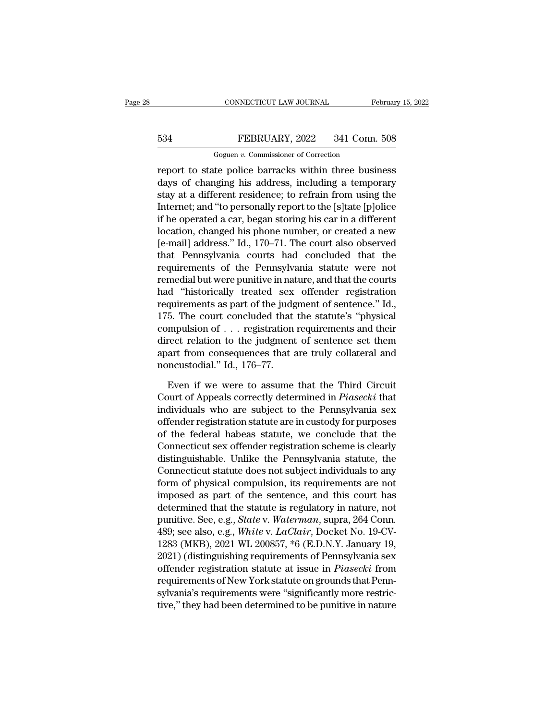# CONNECTICUT LAW JOURNAL February 15, 2022<br>534 FEBRUARY, 2022 341 Conn. 508<br>Goguen v. Commissioner of Correction CONNECTICUT LAW JOURNAL<br>FEBRUARY, 2022 341 Conn.<br>Goguen *v.* Commissioner of Correction<br>te police barracks within three busi

CONNECTICUT LAW JOURNAL February 15, 2022<br>
FEBRUARY, 2022 341 Conn. 508<br>
Goguen v. Commissioner of Correction<br>
Teport to state police barracks within three business<br>
days of changing his address, including a temporary<br>
sta FEBRUARY, 2022 341 Conn. 508<br>
Goguen v. Commissioner of Correction<br>
report to state police barracks within three business<br>
days of changing his address, including a temporary<br>
stay at a different residence; to refrain from FEBRUARY, 2022 341 Conn. 508<br>
Goguen v. Commissioner of Correction<br>
report to state police barracks within three business<br>
days of changing his address, including a temporary<br>
stay at a different residence; to refrain fro FEBRUARY, 2022 341 Conn. 508<br>
Goguen v. Commissioner of Correction<br>
Teport to state police barracks within three business<br>
days of changing his address, including a temporary<br>
stay at a different residence; to refrain fro Goguen v. Commissioner of Correction<br>
Feport to state police barracks within three business<br>
days of changing his address, including a temporary<br>
stay at a different residence; to refrain from using the<br>
Internet; and "to location, the phone phone is commissioner of conection<br>report to state police barracks within three business<br>days of changing his address, including a temporary<br>stay at a different residence; to refrain from using the<br>Inte report to state police barracks within three business<br>days of changing his address, including a temporary<br>stay at a different residence; to refrain from using the<br>Internet; and "to personally report to the [s]tate [p]olice days of changing his address, including a temporary<br>stay at a different residence; to refrain from using the<br>Internet; and "to personally report to the [s]tate [p]olice<br>if he operated a car, began storing his car in a diff stay at a different residence; to refrain from using the<br>Internet; and "to personally report to the [s]tate [p]olice<br>if he operated a car, began storing his car in a different<br>location, changed his phone number, or created Internet; and "to personally report to the [s]tate [p]olice<br>if he operated a car, began storing his car in a different<br>location, changed his phone number, or created a new<br>[e-mail] address." Id., 170–71. The court also obs if he operated a car, began storing his car in a different<br>location, changed his phone number, or created a new<br>[e-mail] address." Id., 170–71. The court also observed<br>that Pennsylvania courts had concluded that the<br>requir location, changed his phone number, or created a new<br>[e-mail] address." Id., 170–71. The court also observed<br>that Pennsylvania courts had concluded that the<br>requirements of the Pennsylvania statute were not<br>remedial but we [e-mail] address." Id., 170–71. The court also observed<br>that Pennsylvania courts had concluded that the<br>requirements of the Pennsylvania statute were not<br>remedial but were punitive in nature, and that the courts<br>had "histo that Pennsylvania courts had concluded that the<br>requirements of the Pennsylvania statute were not<br>remedial but were punitive in nature, and that the courts<br>had "historically treated sex offender registration<br>requirements a requirements of the Pennsylvania statute were not<br>remedial but were punitive in nature, and that the courts<br>had "historically treated sex offender registration<br>requirements as part of the judgment of sentence." Id.,<br>175. remedial but were punitive in nature, and that the courts<br>had "historically treated sex offender registration<br>requirements as part of the judgment of sentence." Id.,<br>175. The court concluded that the statute's "physical<br>co had "historically treated sex<br>requirements as part of the judg<br>175. The court concluded that<br>compulsion of . . . registration<br>direct relation to the judgment<br>apart from consequences that a<br>noncustodial." Id., 176–77.<br>Even 5. The court concluded that the statute's "physical<br>mpulsion of  $\ldots$  registration requirements and their<br>rect relation to the judgment of sentence set them<br>art from consequences that are truly collateral and<br>necustodial. compulsion of . . . registration requirements and their<br>direct relation to the judgment of sentence set them<br>apart from consequences that are truly collateral and<br>noncustodial." Id., 176–77.<br>Even if we were to assume that

direct relation to the judgment of sentence set them<br>apart from consequences that are truly collateral and<br>noncustodial." Id., 176–77.<br>Even if we were to assume that the Third Circuit<br>Court of Appeals correctly determined apart from consequences that are truly collateral and<br>noncustodial." Id., 176–77.<br>Even if we were to assume that the Third Circuit<br>Court of Appeals correctly determined in *Piasecki* that<br>individuals who are subject to the noncustodial." Id., 176–77.<br>
Even if we were to assume that the Third Circuit<br>
Court of Appeals correctly determined in *Piasecki* that<br>
individuals who are subject to the Pennsylvania sex<br>
offender registration statute ar Even if we were to assume that the Third Circuit<br>Court of Appeals correctly determined in *Piasecki* that<br>individuals who are subject to the Pennsylvania sex<br>offender registration statute are in custody for purposes<br>of the Even if we were to assume that the Third Circuit<br>Court of Appeals correctly determined in *Piasecki* that<br>individuals who are subject to the Pennsylvania sex<br>offender registration statute are in custody for purposes<br>of the Court of Appeals correctly determined in *Piasecki* that<br>individuals who are subject to the Pennsylvania sex<br>offender registration statute are in custody for purposes<br>of the federal habeas statute, we conclude that the<br>Co individuals who are subject to the Pennsylvania sex<br>offender registration statute are in custody for purposes<br>of the federal habeas statute, we conclude that the<br>Connecticut sex offender registration scheme is clearly<br>dist offender registration statute are in custody for purposes<br>of the federal habeas statute, we conclude that the<br>Connecticut sex offender registration scheme is clearly<br>distinguishable. Unlike the Pennsylvania statute, the<br>Co of the federal habeas statute, we conclude that the<br>Connecticut sex offender registration scheme is clearly<br>distinguishable. Unlike the Pennsylvania statute, the<br>Connecticut statute does not subject individuals to any<br>for Connecticut sex offender registration scheme is clearly<br>distinguishable. Unlike the Pennsylvania statute, the<br>Connecticut statute does not subject individuals to any<br>form of physical compulsion, its requirements are not<br>im distinguishable. Unlike the Pennsylvania statute, the<br>Connecticut statute does not subject individuals to any<br>form of physical compulsion, its requirements are not<br>imposed as part of the sentence, and this court has<br>determ Connecticut statute does not subject individuals to any<br>form of physical compulsion, its requirements are not<br>imposed as part of the sentence, and this court has<br>determined that the statute is regulatory in nature, not<br>pun form of physical compulsion, its requirements are not<br>imposed as part of the sentence, and this court has<br>determined that the statute is regulatory in nature, not<br>punitive. See, e.g., *State* v. *Waterman*, supra, 264 Conn imposed as part of the sentence, and this court has<br>determined that the statute is regulatory in nature, not<br>punitive. See, e.g., *State* v. *Waterman*, supra, 264 Conn.<br>489; see also, e.g., *White* v. *LaClair*, Docket No determined that the statute is regulatory in nature, not<br>punitive. See, e.g., *State* v. *Waterman*, supra, 264 Conn.<br>489; see also, e.g., *White* v. *LaClair*, Docket No. 19-CV-<br>1283 (MKB), 2021 WL 200857, \*6 (E.D.N.Y. Ja punitive. See, e.g., *State* v. *Waterman*, supra, 264 Conn.<br>489; see also, e.g., *White* v. *LaClair*, Docket No. 19-CV-<br>1283 (MKB), 2021 WL 200857, \*6 (E.D.N.Y. January 19,<br>2021) (distinguishing requirements of Pennsylva 489; see also, e.g., *White v. LaClair*, Docket No. 19-CV-1283 (MKB), 2021 WL 200857,  $*6$  (E.D.N.Y. January 19, 2021) (distinguishing requirements of Pennsylvania sex offender registration statute at issue in *Piasecki*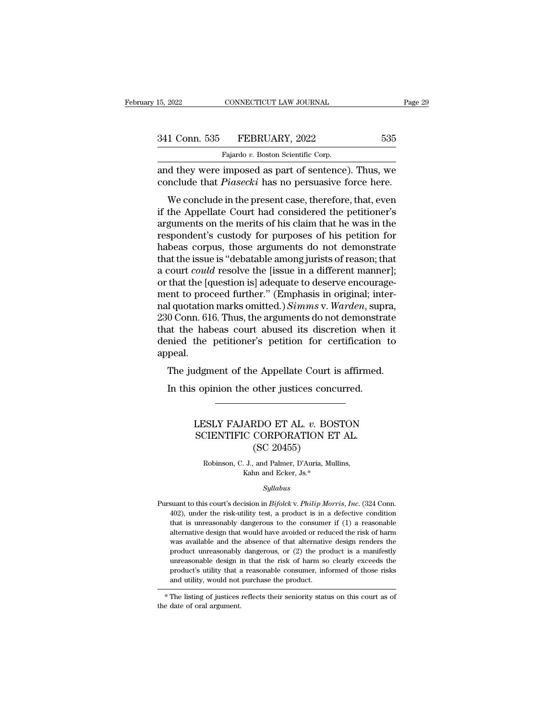| 15, 2022      | CONNECTICUT LAW JOURNAL            | Page 29 |  |
|---------------|------------------------------------|---------|--|
|               |                                    |         |  |
| 341 Conn. 535 | FEBRUARY, 2022                     | 535     |  |
|               | Fajardo v. Boston Scientific Corp. |         |  |

15, 2022 CONNECTICUT LAW JOURNAL<br>
341 Conn. 535 FEBRUARY, 2022 535<br>
Fajardo *v.* Boston Scientific Corp.<br>
and they were imposed as part of sentence). Thus, we and they were imposed as part of sentence). Thus, we<br>conclude that *Piasecki* has no persuasive force here. 341 Conn. 535 FEBRUARY, 2022 535<br>Fajardo v. Boston Scientific Corp.<br>and they were imposed as part of sentence). Thus, we<br>conclude that *Piasecki* has no persuasive force here.<br>We conclude in the present case, therefore, th

1 Conn. 535 FEBRUARY, 2022 535<br>
Fajardo v. Boston Scientific Corp.<br>
d they were imposed as part of sentence). Thus, we<br>
nclude that *Piasecki* has no persuasive force here.<br>
We conclude in the present case, therefore, that 341 Conn. 535 FEBRUARY, 2022 535<br>
Fajardo v. Boston Scientific Corp.<br>
and they were imposed as part of sentence). Thus, we<br>
conclude that *Piasecki* has no persuasive force here.<br>
We conclude in the present case, therefor Fajardo v. Boston Scientific Corp.<br>
and they were imposed as part of sentence). Thus, we<br>
conclude that *Piasecki* has no persuasive force here.<br>
We conclude in the present case, therefore, that, even<br>
if the Appellate Co and they were imposed as part of sentence). Thus, we conclude that *Piasecki* has no persuasive force here.<br>We conclude in the present case, therefore, that, even if the Appellate Court had considered the petitioner's argu and they were imposed as part of sentence). Thus, we<br>conclude that *Piasecki* has no persuasive force here.<br>We conclude in the present case, therefore, that, even<br>if the Appellate Court had considered the petitioner's<br>argu We conclude in the present case, therefore, that, even<br>if the Appellate Court had considered the petitioner's<br>arguments on the merits of his claim that he was in the<br>respondent's custody for purposes of his petition for<br>h We conclude in the present case, therefore, that, even<br>if the Appellate Court had considered the petitioner's<br>arguments on the merits of his claim that he was in the<br>respondent's custody for purposes of his petition for<br>ha if the Appellate Court had considered the petitioner's<br>arguments on the merits of his claim that he was in the<br>respondent's custody for purposes of his petition for<br>habeas corpus, those arguments do not demonstrate<br>that t arguments on the merits of his claim that he was in the respondent's custody for purposes of his petition for habeas corpus, those arguments do not demonstrate that the issue is "debatable among jurists of reason; that a c respondent's custody for purposes of his petition for<br>habeas corpus, those arguments do not demonstrate<br>that the issue is "debatable among jurists of reason; that<br>a court *could* resolve the [issue in a different manner];<br> habeas corpus, those arguments do not demonstrate<br>that the issue is "debatable among jurists of reason; that<br>a court *could* resolve the [issue in a different manner];<br>or that the [question is] adequate to deserve encourag that the issue is "debatable among jurists of reason; that<br>a court *could* resolve the [issue in a different manner];<br>or that the [question is] adequate to deserve encourage-<br>ment to proceed further." (Emphasis in origina a court *could* resolve the [issue in a different manner];<br>or that the [question is] adequate to deserve encourage-<br>ment to proceed further." (Emphasis in original; inter-<br>nal quotation marks omitted.) *Simms* v. Warden, s appeal. In the proceed rather. (Emphasis in original, inter-<br>I quotation marks omitted.) Simms v. Warden, supra,<br>0 Conn. 616. Thus, the arguments do not demonstrate<br>at the habeas court abused its discretion when it<br>mied the petiti U Conn. 616. Thus, the arguments do not demonstrat the habeas court abused its discretion when mied the petitioner's petition for certification peal.<br>The judgment of the Appellate Court is affirmed.<br>In this opinion the oth

### May algo the Appellate Court is affirmed.<br>
Sopinion the other justices concurred.<br>
LESLY FAJARDO ET AL. *v*. BOSTON<br>
SCIENTIFIC CORPORATION ET AL. dgment of the Appellate Court is affirmed<br>
opinion the other justices concurred.<br>
LESLY FAJARDO ET AL. v. BOSTON<br>
SCIENTIFIC CORPORATION ET AL.<br>
(SC 20455) other justices concerned to the property of the CORPORATION ET (SC 20455)<br>and Palmer, D'Auria, Multimediate ESLY FAJARDO ET AL. *v*. BOSTON<br>CIENTIFIC CORPORATION ET AL.<br>(SC 20455)<br>Robinson, C. J., and Palmer, D'Auria, Mullins,<br>Kahn and Ecker, Js.\* ARDO ET AL. *v*. BOS<br>
C CORPORATION ET<br>
(SC 20455)<br>
J., and Palmer, D'Auria, Mull<br>
Kahn and Ecker, Js.\*<br>
Sullabus

### *Syllabus*

(SC 20455)<br>
Robinson, C. J., and Palmer, D'Auria, Mullins,<br>
Kahn and Ecker, Js.\*<br> *Syllabus*<br>
Pursuant to this court's decision in *Bifolck* v. *Philip Morris*, *Inc.* (324 Conn.<br>
402), under the risk-utility test, a produ Robinson, C. J., and Palmer, D'Auria, Mullins,<br>Kahn and Ecker, Js.\*<br>Syllabus<br>suant to this court's decision in Bifolck v. Philip Morris, Inc. (324 Conn.<br>402), under the risk-utility test, a product is in a defective condi Kahn and Ecker, Js.\*<br>Syllabus<br>suant to this court's decision in  $Bifolek$  v. Philip Morris, Inc. (324 Conn.<br>402), under the risk-utility test, a product is in a defective condition<br>that is unreasonably dangerous to the consu *Syllabus*<br>suant to this court's decision in *Bifolck* v. *Philip Morris*, *Inc.* (324 Conn.<br>402), under the risk-utility test, a product is in a defective condition<br>that is unreasonably dangerous to the consumer if (1) a *Syllabus*<br>suant to this court's decision in *Bifolck v. Philip Morris, Inc.* (324 Conn.<br>402), under the risk-utility test, a product is in a defective condition<br>that is unreasonably dangerous to the consumer if (1) a rea suant to this court's decision in *Bifolck* v. *Philip Morris*, *Inc.* (324 Conn. 402), under the risk-utility test, a product is in a defective condition that is unreasonably dangerous to the consumer if (1) a reasonable 402), under the risk-utility test, a product is in a defective condition that is unreasonably dangerous to the consumer if  $(1)$  a reasonable alternative design that would have avoided or reduced the risk of harm was avai First, in the transfer of that is unreasonably dangerous to the consumer if (1) a reasonable alternative design that would have avoided or reduced the risk of harm was available and the absence of that alternative design and utility design that would have avoided or reduced the risk of harm<br>was available and the absence of that alternative design renders the<br>product unreasonably dangerous, or (2) the product is a manifestly<br>unreasonable de product unreasonably<br>unreasonable design i<br>product's utility that a<br>and utility, would not<br>\*The listing of justices<br>the date of oral argument.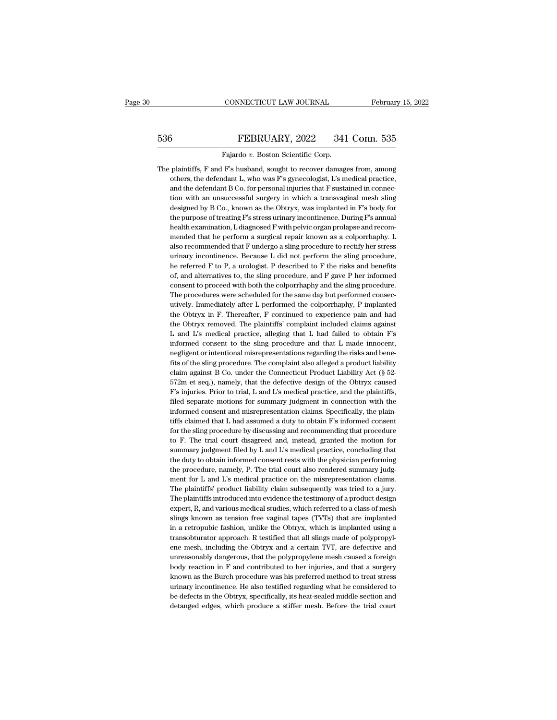# EXECUTE CONNECTICUT LAW JOURNAL February 15, 2022<br>536 FEBRUARY, 2022 341 Conn. 535<br>Fajardo v. Boston Scientific Corp. CONNECTICUT LAW JOURNAL<br>FEBRUARY, 2022 341<br>Fajardo *v.* Boston Scientific Corp.<br>F's husband, sought to recover damage

The plaintiffs, F and F's husband, sought to recover damages from, among<br>there, the defendant L, who was F's gynecologist, L's medical practice, FEBRUARY, 2022 341 Conn. 535<br>
Fajardo v. Boston Scientific Corp.<br>
plaintiffs, F and F's husband, sought to recover damages from, among<br>
others, the defendant L, who was F's gynecologist, L's medical practice,<br>
and the def FEBRUARY, 2022 341 Conn. 535<br>Fajardo v. Boston Scientific Corp.<br>plaintiffs, F and F's husband, sought to recover damages from, among<br>others, the defendant L, who was F's gynecologist, L's medical practice,<br>and the defenda Fajardo  $v$ . Boston Scientific Corp.<br>
plaintiffs, F and F's husband, sought to recover damages from, among<br>
others, the defendant L, who was F's gynecologist, L's medical practice,<br>
and the defendant B Co. for personal in Fajardo v. Boston Scientific Corp.<br>
plaintiffs, F and F's husband, sought to recover damages from, among<br>
others, the defendant L, who was F's gynecologist, L's medical practice,<br>
and the defendant B Co. for personal injur plaintiffs, F and F's husband, sought to recover damages from, among others, the defendant L, who was F's gynecologist, L's medical practice, and the defendant B Co. for personal injuries that F sustained in connection wit others, the defendant L, who was F's gynecologist, L's medical practice, and the defendant B Co. for personal injuries that F sustained in connection with an unsuccessful surgery in which a transvaginal mesh sling designed and the defendant B Co. for personal injuries that F sustained in connection with an unsuccessful surgery in which a transvaginal mesh sling designed by B Co., known as the Obtryx, was implanted in F's body for the purpose tion with an unsuccessful surgery in which a transvaginal mesh sling<br>designed by B Co., known as the Obtryx, was implanted in F's body for<br>the purpose of treating F's stress urinary incontinence. During F's annual<br>health e designed by B Co., known as the Obtryx, was implanted in F's body for<br>the purpose of treating F's stress urinary incontinence. During F's annual<br>health examination, L diagnosed F with pelvic organ prolapse and recom-<br>mende the purpose of treating F's stress urinary incontinence. During F's annual<br>health examination, L diagnosed F with pelvic organ prolapse and recom-<br>mended that he perform a surgical repair known as a colporrhaphy. L<br>also re health examination, L diagnosed F with pelvic organ prolapse and recommended that he perform a surgical repair known as a colporrhaphy. L also recommended that F undergo a sling procedure to rectify her stress urinary inco mended that he perform a surgical repair known as a colporrhaphy. L<br>also recommended that F undergo a sling procedure to rectify her stress<br>urinary incontinence. Because L did not perform the sling procedure,<br>he referred F also recommended that F undergo a sling procedure to rectify her stress<br>urinary incontinence. Because L did not perform the sling procedure,<br>he referred F to P, a urologist. P described to F the risks and benefits<br>of, and urinary incontinence. Because L did not perform the sling procedure,<br>he referred F to P, a urologist. P described to F the risks and benefits<br>of, and alternatives to, the sling procedure, and F gave P her informed<br>consent he referred F to P, a urologist. P described to F the risks and benefits of, and alternatives to, the sling procedure, and F gave P her informed consent to procedurib both the colporrhaphy and the sling procedure. The proc of, and alternatives to, the sling procedure, and F gave P her informed consent to proceed with both the colporrhaphy and the sling procedure. The procedures were scheduled for the same day but performed consecutively. Im consent to proceed with both the colporrhaphy and the sling procedure.<br>The procedures were scheduled for the same day but performed consecutively. Immediately after L performed the colporrhaphy, P implanted<br>the Obtryx in F The procedures were scheduled for the same day but performed consecutively. Immediately after L performed the colporrhaphy, P implanted the Obtryx in F. Thereafter, F continued to experience pain and had the Obtryx removed utively. Immediately after L performed the colporrhaphy, P implanted<br>the Obtryx in F. Thereafter, F continued to experience pain and had<br>the Obtryx removed. The plaintiffs' complaint included claims against<br>L and L's medi the Obtryx in F. Thereafter, F continued to experience pain and had<br>the Obtryx removed. The plaintiffs' complaint included claims against<br>L and L's medical practice, alleging that L had failed to obtain F's<br>informed consen the Obtryx removed. The plaintiffs' complaint included claims against<br>L and L's medical practice, alleging that L had failed to obtain F's<br>informed consent to the sling procedure and that L made innocent,<br>negligent or inte L and L's medical practice, alleging that L had failed to obtain  $\vec{F}$ 's informed consent to the sling procedure and that L made innocent, negligent or intentional misrepresentations regarding the risks and benefits of informed consent to the sling procedure and that L made innocent, negligent or intentional misrepresentations regarding the risks and benefits of the sling procedure. The complaint also alleged a product liability detain negligent or intentional misrepresentations regarding the risks and bene-<br>fits of the sling procedure. The complaint also alleged a product liability<br>claim against B Co. under the Connecticut Product Liability Act (§ 52-<br>5 fits of the sling procedure. The complaint also alleged a product liability claim against B Co. under the Connecticut Product Liability Act (§ 52-572m et seq.), namely, that the defective design of the Obtryx caused  $\mathbf{$ claim against B Co. under the Connecticut Product Liability Act (§ 52-572m et seq.), namely, that the defective design of the Obtryx caused F's injuries. Prior to trial, L and L's medical practice, and the plaintiffs, file 572m et seq.), namely, that the defective design of the Obtryx caused  $F$ 's injuries. Prior to trial, L and L's medical practice, and the plaintiffs, filed separate motions for summary judgment in connection with the info F's injuries. Prior to trial, L and L's medical practice, and the plaintiffs, filed separate motions for summary judgment in connection with the informed consent and misrepresentation claims. Specifically, the plaintiffs c filed separate motions for summary judgment in connection with the informed consent and misrepresentation claims. Specifically, the plaintiffs claimed that L had assumed a duty to obtain F's informed consent for the sling informed consent and misrepresentation claims. Specifically, the plain-<br>tiffs claimed that L had assumed a duty to obtain F's informed consent<br>for the sling procedure by discussing and recommending that procedure<br>to F. The tiffs claimed that L had assumed a duty to obtain  $F$ 's informed consent for the sling procedure by discussing and recommending that procedure to  $F$ . The trial court disagreed and, instead, granted the motion for summary for the sling procedure by discussing and recommending that procedure<br>to F. The trial court disagreed and, instead, granted the motion for<br>summary judgment filed by L and L's medical practice, concluding that<br>the duty to to F. The trial court disagreed and, instead, granted the motion for summary judgment filed by L and L's medical practice, concluding that the duty to obtain informed consent rests with the physician performing the procedu summary judgment filed by L and L's medical practice, concluding that<br>the duty to obtain informed consent rests with the physician performing<br>the procedure, namely, P. The trial court also rendered summary judg-<br>ment for L the duty to obtain informed consent rests with the physician performing<br>the procedure, namely, P. The trial court also rendered summary judg-<br>ment for L and L's medical practice on the misrepresentation claims.<br>The plainti the procedure, namely, P. The trial court also rendered summary judgment for L and L's medical practice on the misrepresentation claims.<br>The plaintiffs' product liability claim subsequently was tried to a jury.<br>The plainti ment for L and L's medical practice on the misrepresentation claims.<br>The plaintiffs' product liability claim subsequently was tried to a jury.<br>The plaintiffs introduced into evidence the testimony of a product design<br>exper The plaintiffs' product liability claim subsequently was tried to a jury.<br>The plaintiffs introduced into evidence the testimony of a product design<br>expert, R, and various medical studies, which referred to a class of mesh<br> The plaintiffs introduced into evidence the testimony of a product design expert, R, and various medical studies, which referred to a class of mesh slings known as tension free vaginal tapes (TVTs) that are implanted in a expert, R, and various medical studies, which referred to a class of mesh slings known as tension free vaginal tapes (TVTs) that are implanted in a retropubic fashion, unlike the Obtryx, which is implanted using a transobt slings known as tension free vaginal tapes (TVTs) that are implanted<br>in a retropubic fashion, unlike the Obtryx, which is implanted using a<br>transobturator approach. R testified that all slings made of polypropyl-<br>ene mesh, in a retropubic fashion, unlike the Obtryx, which is implanted using a transobturator approach. R testified that all slings made of polypropylene mesh, including the Obtryx and a certain TVT, are defective and unreasonably transobturator approach. R testified that all slings made of polypropylene mesh, including the Obtryx and a certain TVT, are defective and unreasonably dangerous, that the polypropylene mesh caused a foreign body reaction ene mesh, including the Obtryx and a certain TVT, are defective and unreasonably dangerous, that the polypropylene mesh caused a foreign body reaction in F and contributed to her injuries, and that a surgery known as the B unreasonably dangerous, that the polypropylene mesh caused a foreign<br>body reaction in  $F$  and contributed to her injuries, and that a surgery<br>known as the Burch procedure was his preferred method to treat stress<br>urinary i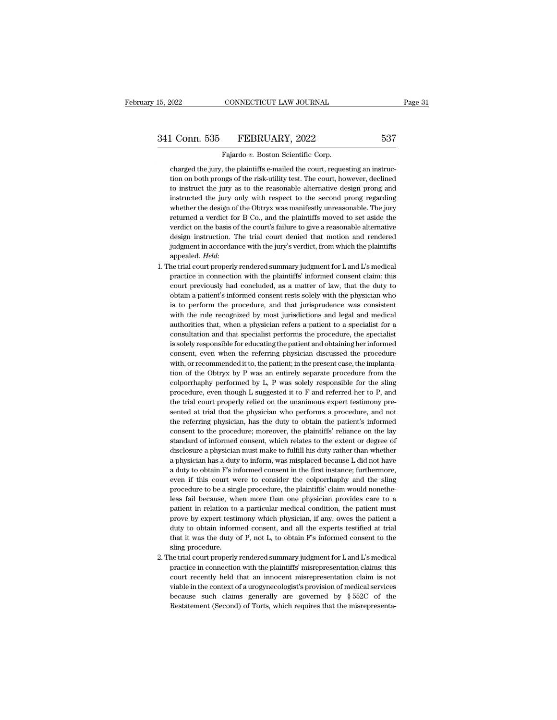341 Conn. 535 FEBRUARY, 2022 537<br>Fajardo v. Boston Scientific Corp.<br>charged the jury, the plaintiffs e-mailed the court, requesting an instruc-<br>tion on both prongs of the risk-utility test. The court, however, declined<br>to the Connection on both prongs of the risk-utility test. The court, requesting an instruction on both prongs of the risk-utility test. The court, however, declined to instruct the jury as to the reasonable alternative desig 1 Conn. 535 FEBRUARY, 2022 537<br>Fajardo v. Boston Scientific Corp.<br>Charged the jury, the plaintiffs e-mailed the court, requesting an instruction on both prongs of the risk-utility test. The court, however, declined<br>to inst Fajardo v. Boston Scientific Corp.<br>
charged the jury, the plaintiffs e-mailed the court, requesting an instruc-<br>
tion on both prongs of the risk-utility test. The court, however, declined<br>
to instruct the jury as to the re Fajardo v. Boston Scientific Corp.<br>
charged the jury, the plaintiffs e-mailed the court, requesting an instruc-<br>
tion on both prongs of the risk-utility test. The court, however, declined<br>
to instructe the jury as to the r charged the jury, the plaintiffs e-mailed the court, requesting an instruction on both prongs of the risk-utility test. The court, however, declined to instructed the jury as to the reasonable alternative design prong and tion on both prongs of the risk-utility test. The court, however, declined<br>to instruct the jury as to the reasonable alternative design prong and<br>instructed the jury only with respect to the second prong regarding<br>whether to instruct the jury as to the reasonable alternative design prong and instructed the jury only with respect to the second prong regarding whether the design of the Obtryx was manifestly unreasonable. The jury returned a v instructed the jury only with respect to the second prong regarding whether the design of the Obtryx was manifestly unreasonable. The jury returned a verdict for B Co., and the plaintiffs moved to set aside the verdict on returned a verdict for B Co., and the plaintiffs moved to set aside the verdict on the basis of the court's failure to give a reasonable alternative design instruction. The trial court denied that motion and rendered judgm verdict on the basis of the court's failure to give a reasonable alternative<br>design instruction. The trial court denied that motion and rendered<br>judgment in accordance with the jury's verdict, from which the plaintiffs<br>app

- design instruction. The trial court denied that motion and rendered<br>judgment in accordance with the jury's verdict, from which the plaintiffs<br>appealed. Held:<br>the trial court properly rendered summary judgment for L and L's judgment in accordance with the jury's verdict, from which the plaintiffs<br>appealed. Held:<br>he trial court properly rendered summary judgment for L and L's medical<br>practice in connection with the plaintiffs' informed consent appealed. Held:<br>he trial court properly rendered summary judgment for L and L's medical<br>practice in connection with the plaintiffs' informed consent claim: this<br>court previously had concluded, as a matter of law, that the he trial court properly rendered summary judgment for L and L's medical practice in connection with the plaintiffs' informed consent claim: this court previously had concluded, as a matter of law, that the duty to obtain a practice in connection with the plaintiffs' informed consent claim: this court previously had concluded, as a matter of law, that the duty to obtain a patient's informed consent rests solely with the physician who is to pe practice in connection with the plaintiffs' informed consent claim: this court previously had concluded, as a matter of law, that the duty to obtain a patient's informed consent rests solely with the physician who is to pe obtain a patient's informed consent rests solely with the physician who<br>is to perform the procedure, and that jurisprudence was consistent<br>with the rule recognized by most jurisdictions and legal and medical<br>authorities th is to perform the procedure, and that jurisprudence was consistent with the rule recognized by most jurisdictions and legal and medical authorities that, when a physician referrs a patient to a specialist for a consultatio with the rule recognized by most jurisdictions and legal and medical authorities that, when a physician refers a patient to a specialist for a consultation and that specialist performs the procedure, the specialist is sole authorities that, when a physician refers a patient to a specialist for a consultation and that specialist performs the procedure, the specialist is solely responsible for educating the patient and obtaining her informed c consultation and that specialist performs the procedure, the specialist<br>is solely responsible for educating the patient and obtaining her informed<br>consent, even when the referring physician discussed the procedure<br>with, or is solely responsible for educating the patient and obtaining her informed consent, even when the referring physician discussed the procedure with, or recommended it to, the patient; in the present case, the implantation consent, even when the referring physician discussed the procedure<br>with, or recommended it to, the patient; in the present case, the implanta-<br>tion of the Obtryx by P was an entirely separate procedure from the<br>colporrhaph with, or recommended it to, the patient; in the present case, the implantation of the Obtryx by P was an entirely separate procedure from the colporrhaphy performed by  $L$ , P was solely responsible for the sling procedure tion of the Obtryx by P was an entirely separate procedure from the colporrhaphy performed by L, P was solely responsible for the sling procedure, even though L suggested it to F and referred her to P, and the trial court colporrhaphy performed by L, P was solely responsible for the sling<br>procedure, even though L suggested it to F and referred her to P, and<br>the trial court properly relied on the unanimous expert testimony pre-<br>sented at tri procedure, even though L suggested it to F and referred her to P, and the trial court properly relied on the unanimous expert testimony presented at trial that the physician who performs a procedure, and not the referring the trial court properly relied on the unanimous expert testimony presented at trial that the physician who performs a procedure, and not the referring physician, has the duty to obtain the patient's informed consent to th sented at trial that the physician who performs a procedure, and not<br>the referring physician, has the duty to obtain the patient's informed<br>consent to the procedure; moreover, the plaintiffs' reliance on the lay<br>standard o the referring physician, has the duty to obtain the patient's informed consent to the procedure; moreover, the plaintiffs' reliance on the lay standard of informed consent, which relates to the extent or degree of disclosu consent to the procedure; moreover, the plaintiffs' reliance on the lay standard of informed consent, which relates to the extent or degree of disclosure a physician must make to fulfill his duty rather than whether a phys standard of informed consent, which relates to the extent or degree of disclosure a physician must make to fulfill his duty rather than whether a physician has a duty to inform, was misplaced because L did not have a duty disclosure a physician must make to fulfill his duty rather than whether<br>a physician has a duty to inform, was misplaced because L did not have<br>a duty to obtain F's informed consent in the first instance; furthermore,<br>even a physician has a duty to inform, was misplaced because L did not have a duty to obtain F's informed consent in the first instance; furthermore, even if this court were to consider the colporrhaphy and the sling procedure a duty to obtain F's informed consent in the first instance; furthermore, even if this court were to consider the colporrhaphy and the sling procedure to be a single procedure, the plaintiffs' claim would nonetheless fail a duty to obtain F's informed consent in the first instance; furthermore, even if this court were to consider the colporrhaphy and the sling procedure to be a single procedure, the plaintiffs' claim would nonetheless fail procedure to be a single procedure, the plaintiffs' claim would nonetheless fail because, when more than one physician provides care to a patient in relation to a particular medical condition, the patient must prove by exp less fail because, when more than one physician provides care to a patient in relation to a particular medical condition, the patient must prove by expert testimony which physician, if any, owes the patient a duty to obta patient in relation to a particular medical condition, the patient must<br>prove by expert testimony which physician, if any, owes the patient a<br>duty to obtain informed consent, and all the experts testified at trial<br>that it prove by expert testimony which physician, if any, owes the patient a duty to obtain informed consent, and all the experts testified at trial that it was the duty of P, not L, to obtain F's informed consent to the sling pr
- duty to obtain informed consent, and all the experts testified at trial<br>that it was the duty of P, not L, to obtain F's informed consent to the<br>sling procedure.<br>he trial court properly rendered summary judgment for L and L that it was the duty of P, not L, to obtain F's informed consent to the sling procedure.<br>
he trial court properly rendered summary judgment for L and L's medical<br>
practice in connection with the plaintiffs' misrepresentat sling procedure.<br>
he trial court properly rendered summary judgment for L and L's medical<br>
practice in connection with the plaintiffs' misrepresentation claims: this<br>
court recently held that an innocent misrepresentation the trial court properly rendered summary judgment for L and L's medical practice in connection with the plaintiffs' misrepresentation claims: this court recently held that an innocent misrepresentation claim is not viabl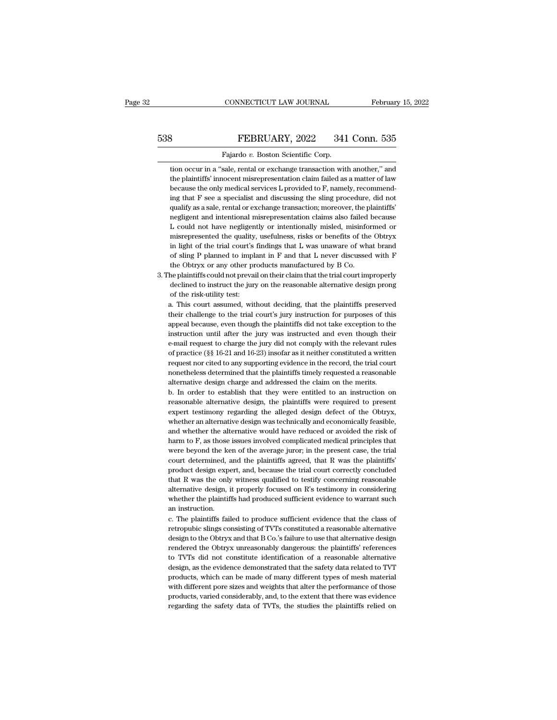# EXECUTE CONNECTICUT LAW JOURNAL February 15, 2022<br>538 FEBRUARY, 2022 341 Conn. 535<br>Fajardo v. Boston Scientific Corp. CONNECTICUT LAW JOURNAL Februar<br>Februar<br>FEBRUARY, 2022 341 Conn. 535<br>Fajardo *v.* Boston Scientific Corp.<br>tion occur in a "sale, rental or exchange transaction with another." and

FEBRUARY, 2022 341 Conn. 535<br>Fajardo v. Boston Scientific Corp.<br>tion occur in a "sale, rental or exchange transaction with another," and<br>the plaintiffs' innocent misrepresentation claim failed as a matter of law FEBRUARY, 2022 341 Conn. 535<br>Fajardo v. Boston Scientific Corp.<br>tion occur in a "sale, rental or exchange transaction with another," and<br>the plaintiffs' innocent misrepresentation claim failed as a matter of law<br>because th Because the only mediators of the only mediators of the only mediator of the plaintiffs' innocent misrepresentation claim failed as a matter of law because the only medical services L provided to F, namely, recommending th Fajardo v. Boston Scientific Corp.<br>
ion occur in a "sale, rental or exchange transaction with another," and<br>
the plaintiffs' innocent misrepresentation claim failed as a matter of law<br>
because the only medical services L p Fajardo v. Boston Scientific Corp.<br>
tion occur in a "sale, rental or exchange transaction with another," and<br>
the plaintiffs' innocent misrepresentation claim failed as a matter of law<br>
because the only medical services L tion occur in a "sale, rental or exchange transaction with another," and<br>the plaintiffs' innocent misrepresentation claim failed as a matter of law<br>because the only medical services L provided to F, namely, recommend-<br>ing the plaintiffs' innocent misrepresentation claim failed as a matter of law<br>because the only medical services L provided to F, namely, recommend-<br>ing that F see a specialist and discussing the sling procedure, did not<br>quali because the only medical services L provided to F, namely, recommending that F see a specialist and discussing the sling procedure, did not qualify as a sale, rental or exchange transaction; moreover, the plaintiffs' negli ing that F see a specialist and discussing the sling procedure, did not qualify as a sale, rental or exchange transaction; moreover, the plaintiffs' negligent and intentional misrepresentation claims also failed because qualify as a sale, rental or exchange transaction; moreover, the plaintiffs'<br>negligent and intentional misrepresentation claims also failed because<br>L could not have negligently or intentionally misled, misinformed or<br>misre negligent and intentional misrepresentation claims also failed L could not have negligently or intentionally misled, misinformisrepresented the quality, usefulness, risks or benefits of the in light of the trial court's fi 1. The plantiffs could not have negligently or intentionally misled, misinformed or misrepresented the quality, usefulness, risks or benefits of the Obtryx in light of the trial court's findings that L was unaware of what misrepresented the quality, usefulness, risks or benefits of the Obtryx<br>in light of the trial court's findings that L was unaware of what brand<br>of sling P planned to implant in F and that L never discussed with F<br>the Obtry misrepresented the quality, usefulness, risks or benefits of the Obtryx<br>in light of the trial court's findings that L was unaware of what brand<br>of sling P planned to implant in F and that L never discussed with F<br>the Obtr

% of sling P planned to implant in F and that L never discussed with F the Obtryx or any other products manufactured by B Co.<br>
he plaintiffs could not prevail on their claim that the trial court improperly<br>
declined to in

the Obtryx or any other products manufactured by B Co.<br>he plaintiffs could not prevail on their claim that the trial court improperly<br>declined to instruct the jury on the reasonable alternative design prong<br>of the risk-uti he plaintiffs could not prevail on their claim that the trial court improperly declined to instruct the jury on the reasonable alternative design prong of the risk-utility test:<br>a. This court assumed, without deciding, tha declined to instruct the jury on the reasonable alternative design prong<br>of the risk-utility test:<br>a. This court assumed, without deciding, that the plaintiffs preserved<br>their challenge to the trial court's jury instructio of the risk-utility test:<br>a. This court assumed, without deciding, that the plaintiffs preserved<br>their challenge to the trial court's jury instruction for purposes of this<br>appeal because, even though the plaintiffs did not a. This court assumed, without deciding, that the plaintiffs preserved<br>their challenge to the trial court's jury instruction for purposes of this<br>appeal because, even though the plaintiffs did not take exception to the<br>ins their challenge to the trial court's jury instruction for purposes of this appeal because, even though the plaintiffs did not take exception to the instruction until after the jury was instructed and even though their e-ma appeal because, even though the plaintiffs did not take exception to the instruction until after the jury was instructed and even though their e-mail request to charge the jury did not comply with the relevant rules of pra appeal because, even though the plaintiffs did not take exception to the instruction until after the jury was instructed and even though their e-mail request to charge the jury did not comply with the relevant rules of pr e-mail request to charge the jury did not comply with the relevant rules<br>of practice (§§ 16-21 and 16-23) insofar as it neither constituted a written<br>request nor cited to any supporting evidence in the record, the trial co of practice (§§ 16-21 and 16-23) insofar as it neither constituted a written<br>request nor cited to any supporting evidence in the record, the trial court<br>nonetheless determined that the plaintiffs timely requested a reasona

request nor cited to any supporting evidence in the record, the trial court nonetheless determined that the plaintiffs timely requested a reasonable alternative design charge and addressed the claim on the merits.<br>b. In or monetheless determined that the plaintiffs timely requested a reasonable alternative design charge and addressed the claim on the merits.<br>
b. In order to establish that they were entitled to an instruction on<br>
reasonable a alternative design charge and addressed the claim on the merits.<br>
b. In order to establish that they were entitled to an instruction on<br>
reasonable alternative design, the plaintiffs were required to present<br>
expert testim b. In order to establish that they were entitled to an instruction on reasonable alternative design, the plaintiffs were required to present expert testimony regarding the alleged design defect of the Obtryx, whether an al reasonable alternative design, the plaintiffs were required to present expert testimony regarding the alleged design defect of the Obtryx, whether an alternative design was technically and economically feasible, and whethe expert testimony regarding the alleged design defect of the Obtryx, whether an alternative design was technically and economically feasible, and whether the alternative would have reduced or avoided the risk of harm to F, whether an alternative design was technically and economically feasible, and whether the alternative would have reduced or avoided the risk of harm to F, as those issues involved complicated medical principles that were be and whether the alternative would have reduced or avoided the risk of harm to F, as those issues involved complicated medical principles that were beyond the ken of the average juror; in the present case, the trial court d harm to F, as those issues involved complicated medical principles that<br>were beyond the ken of the average juror; in the present case, the trial<br>court determined, and the plaintiffs agreed, that R was the plaintiffs'<br>produ were beyond the ken of the average juror; in the present case, the trial court determined, and the plaintiffs agreed, that R was the plaintiffs' product design expert, and, because the trial court correctly concluded that court determined, a<br>product design expendint R was the only<br>alternative design, i<br>whether the plaintif<br>an instruction.<br>c. The plaintiffs fail product design expert, and, because the trial court correctly concluded<br>that R was the only witness qualified to testify concerning reasonable<br>alternative design, it properly focused on R's testimony in considering<br>whether retractive design, it properly focused on R's testimony in considering alternative design, it properly focused on R's testimony in considering whether the plaintiffs had produced sufficient evidence to warrant such an inst

alternative design, it properly focused on R's testimony in considering<br>whether the plaintiffs had produced sufficient evidence to warrant such<br>an instruction.<br>c. The plaintiffs failed to produce sufficient evidence that t whether the plaintiffs had produced sufficient evidence to warrant such<br>an instruction.<br>c. The plaintiffs failed to produce sufficient evidence that the class of<br>retropubic slings consisting of TVTs constituted a reasonabl an instruction.<br>
c. The plaintiffs failed to produce sufficient evidence that the class of<br>
retropubic slings consisting of TVTs constituted a reasonable alternative<br>
design to the Obtryx and that B Co.'s failure to use th c. The plaintiffs failed to produce sufficient evidence that the class of retropubic slings consisting of TVTs constituted a reasonable alternative design to the Obtryx and that B Co.'s failure to use that alternative desi retropubic slings consisting of TVTs constituted a reasonable alternative design to the Obtryx and that B Co.'s failure to use that alternative design rendered the Obtryx unreasonably dangerous: the plaintiffs' references design to the Obtryx and that B Co.'s failure to use that alternative design<br>rendered the Obtryx unreasonably dangerous: the plaintiffs' references<br>to TVTs did not constitute identification of a reasonable alternative<br>desi rendered the Obtryx unreasonably dangerous: the plaintiffs' references<br>to TVTs did not constitute identification of a reasonable alternative<br>design, as the evidence demonstrated that the safety data related to TVT<br>products to TVTs did not constitute identification of a reasonable alternative design, as the evidence demonstrated that the safety data related to TVT products, which can be made of many different types of mesh material with diffe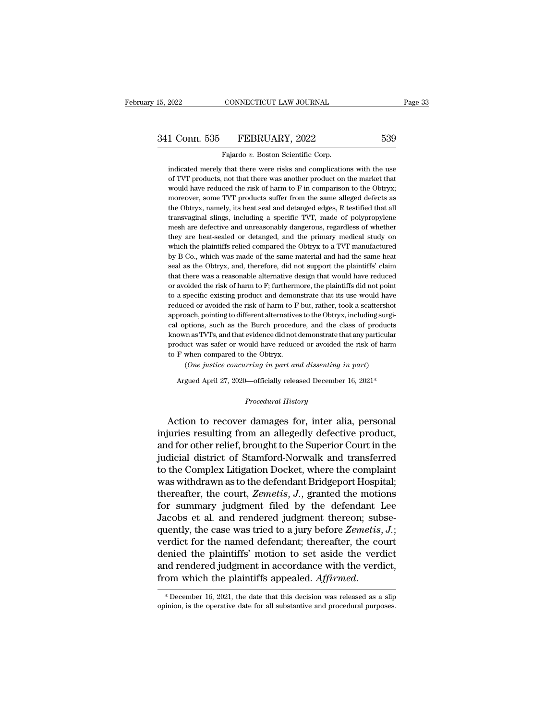FALL 2022 CONNECTICUT LAW JOURNAL<br>
1 Conn. 535 FEBRUARY, 2022 539<br>
Fajardo *v*. Boston Scientific Corp.<br>
indicated merely that there were risks and complications with the use 1 Conn. 535 FEBRUARY, 2022 539<br>Fajardo v. Boston Scientific Corp.<br>indicated merely that there were risks and complications with the use<br>of TVT products, not that there was another product on the market that 1 Conn. 535 FEBRUARY, 2022 539<br>Fajardo v. Boston Scientific Corp.<br>indicated merely that there were risks and complications with the use<br>of TVT products, not that there was another product on the market that<br>would have redu 1 Conn. 535 FEBRUARY, 2022 539<br>Fajardo v. Boston Scientific Corp.<br>indicated merely that there were risks and complications with the use<br>of TVT products, not that there was another product on the market that<br>would have redu Fajardo v. Boston Scientific Corp.<br>indicated merely that there were risks and complications with the use<br>of TVT products, not that there was another product on the market that<br>would have reduced the risk of harm to F in co Fajardo  $v$ . Boston Scientific Corp.<br>
indicated merely that there were risks and complications with the use<br>
of TVT products, not that there was another product on the market that<br>
would have reduced the risk of harm to F indicated merely that there were risks and complications with the use<br>of TVT products, not that there was another product on the market that<br>would have reduced the risk of harm to F in comparison to the Obtryx;<br>moreover, s of TVT products, not that there was another product on the market that<br>would have reduced the risk of harm to F in comparison to the Obtryx;<br>moreover, some TVT products suffer from the same alleged defects as<br>the Obtryx, n would have reduced the risk of harm to F in comparison to the Obtryx;<br>moreover, some TVT products suffer from the same alleged defects as<br>the Obtryx, namely, its heat seal and detanged edges, R testified that all<br>transvagi moreover, some TVT products suffer from the same alleged defects as<br>the Obtryx, namely, its heat seal and detanged edges, R testified that all<br>transvaginal slings, including a specific TVT, made of polypropylene<br>mesh are d the Obtryx, namely, its heat seal and detanged edges, R testified that all transvaginal slings, including a specific TVT, made of polypropylene mesh are defective and unreasonably dangerous, regardless of whether they are transvaginal slings, including a specific TVT, made of polypropylene<br>mesh are defective and unreasonably dangerous, regardless of whether<br>they are heat-sealed or detanged, and the primary medical study on<br>which the plainti mesh are defective and unreasonably dangerous, regardless of whether<br>they are heat-sealed or detanged, and the primary medical study on<br>which the plaintiffs relied compared the Obtryx to a TVT manufactured<br>by B Co., which they are heat-sealed or detanged, and the primary medical study on which the plaintiffs relied compared the Obtryx to a TVT manufactured by B Co., which was made of the same material and had the same heat seal as the Obtry which the plaintiffs relied compared the Obtryx to a TVT manufactured<br>by B Co., which was made of the same material and had the same heat<br>seal as the Obtryx, and, therefore, did not support the plaintiffs' claim<br>that there by B Co., which was made of the same material and had the same heat<br>seal as the Obtryx, and, therefore, did not support the plaintiffs' claim<br>that there was a reasonable alternative design that would have reduced<br>or avoide seal as the Obtryx, and, therefore, did not support the plaintiffs' claim<br>that there was a reasonable alternative design that would have reduced<br>or avoided the risk of harm to F; furthermore, the plaintiffs did not point<br>t that there was a reasonable alternative design that would have reduced<br>or avoided the risk of harm to F; furthermore, the plaintiffs did not point<br>to a specific existing product and demonstrate that its use would have<br>redu or avoided the risk of harm to F; furthermore, the plaintiffs did not point<br>to a specific existing product and demonstrate that its use would have<br>reduced or avoided the risk of harm to F but, rather, took a scattershot<br>ap to a specific existing product and demonstrate that its use would have reduced or avoided the risk of harm to F but, rather, took a scattershot approach, pointing to different alternatives to the Obtryx, including surgical reduced or avoided the risk of harm to F<br>approach, pointing to different alternative<br>cal options, such as the Burch procedu<br>known as TVTs, and that evidence did not a<br>product was safer or would have reduce<br>to F when compar bach, pointing to different alternatives to the Obtryx, including surgiptions, such as the Burch procedure, and the class of products in as TVTs, and that evidence did not demonstrate that any particular act was safer or w known as TVTs, and that evidence did not demonstrate that any particular product was safer or would have reduced or avoided the risk of harm to F when compared to the Obtryx.<br>
(One justice concurring in part and dissentin

Argued April 27, 2020—officially released December 16, 2021\*<br> *Procedural History*<br> **Action to recover damages for, inter alia, personal** Frocuct was sact of would have related of avoided the fisk of hail to F when compared to the Obtryx.<br>
(One justice concurring in part and dissenting in part)<br>
Argued April 27, 2020—officially released December 16, 2021\*<br>
P *Cone justice concurring in part and dissenting in part)*<br>Argued April 27, 2020—officially released December 16, 2021\*<br>*Procedural History*<br>**Action to recover damages for, inter alia, personal injuries resulting from an a** Argued April 27, 2020—officially released December 16, 2021\*<br>
Procedural History<br>
Action to recover damages for, inter alia, personal<br>
injuries resulting from an allegedly defective product,<br>
and for other relief, brought Frocedural History<br>
Procedural History<br>
Action to recover damages for, inter alia, personal<br>
injuries resulting from an allegedly defective product,<br>
and for other relief, brought to the Superior Court in the<br>
judicial dis *Procedural History*<br>Action to recover damages for, inter alia, personal<br>injuries resulting from an allegedly defective product,<br>and for other relief, brought to the Superior Court in the<br>judicial district of Stamford-Norw Action to recover damages for, inter alia, personal<br>injuries resulting from an allegedly defective product,<br>and for other relief, brought to the Superior Court in the<br>judicial district of Stamford-Norwalk and transferred<br>t Action to recover damages for, inter alia, personal<br>injuries resulting from an allegedly defective product,<br>and for other relief, brought to the Superior Court in the<br>judicial district of Stamford-Norwalk and transferred<br>t injuries resulting from an allegedly defective product,<br>and for other relief, brought to the Superior Court in the<br>judicial district of Stamford-Norwalk and transferred<br>to the Complex Litigation Docket, where the complaint and for other relief, brought to the Superior Court in the judicial district of Stamford-Norwalk and transferred to the Complex Litigation Docket, where the complaint was withdrawn as to the defendant Bridgeport Hospital; judicial district of Stamford-Norwalk and transferred<br>to the Complex Litigation Docket, where the complaint<br>was withdrawn as to the defendant Bridgeport Hospital;<br>thereafter, the court, *Zemetis*, *J*., granted the motions to the Complex Litigation Docket, where the complaint<br>was withdrawn as to the defendant Bridgeport Hospital;<br>thereafter, the court, *Zemetis*,  $J$ ., granted the motions<br>for summary judgment filed by the defendant Lee<br>Jaco was withdrawn as to the defendant Bridgeport Hospital;<br>thereafter, the court, *Zemetis*, *J*., granted the motions<br>for summary judgment filed by the defendant Lee<br>Jacobs et al. and rendered judgment thereon; subse-<br>quentl thereafter, the court, *Zemetis*, *J*., granted the motions<br>for summary judgment filed by the defendant Lee<br>Jacobs et al. and rendered judgment thereon; subse-<br>quently, the case was tried to a jury before *Zemetis*, *J*.; for summary judgment filed by the defendant Lee<br>Jacobs et al. and rendered judgment thereon; subse-<br>quently, the case was tried to a jury before Zemetis, J.;<br>verdict for the named defendant; thereafter, the court<br>denied th denied the plaintiffs' motion to set aside the verdict<br>and rendered judgment in accordance with the verdict,<br>from which the plaintiffs appealed. Affirmed.<br>\*December 16, 2021, the date that this decision was released as a s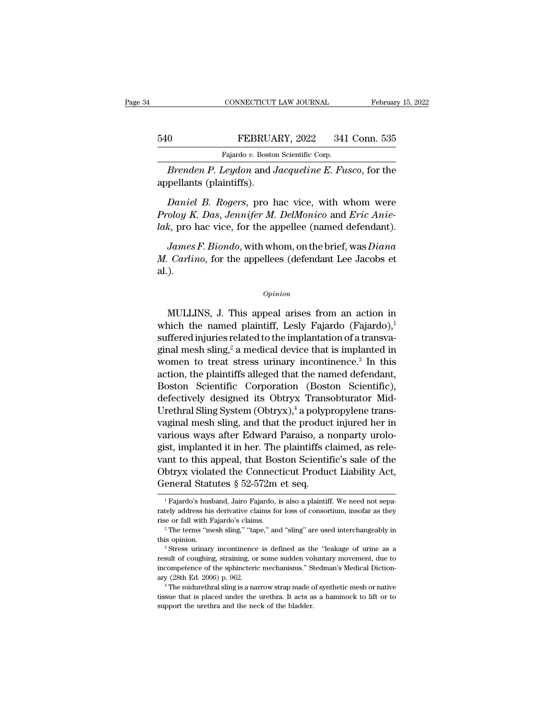# EXECUTE CONNECTICUT LAW JOURNAL February 15, 2022<br>540 FEBRUARY, 2022 341 Conn. 535<br>Fajardo v. Boston Scientific Corp. EXAMPLE CONNECTICUT LAW JOURNAL<br>Fajardo *v.* Boston Scientific Corp.<br>Fajardo *v.* Boston Scientific Corp.<br>Leudon and Jacqueline F. Fu.

*Brenden P. Leydon* and *Jacqueline E. Fusco*, for the pellants (plaintiffs). EBRUA<br>
Fajardo v. Boston<br> *Brenden P. Leydon* and J<br>
appellants (plaintiffs).<br> *Daniel B. Rogers*, pro

*Daniel B. Rogers, pro hac vice, with whom were*<br>*Daniel B. Rogers*, pro hac vice, with whom were<br>*Daniel B. Rogers*, pro hac vice, with whom were<br>*Daniel B. Rogers*, pro hac vice, with whom were<br>*Daniel B. Rogers*, pro ha *Prodom FEBRUART, 2022* 341 COMI. 353<br> *Proden P. Leydon and Jacqueline E. Fusco, for the appellants (plaintiffs).*<br> *Daniel B. Rogers, pro hac vice, with whom were Proloy K. Das, Jennifer M. DelMonico and Eric Anie-lak, p* Fajardo v. Boston Scientific Corp.<br> *Brenden P. Leydon* and *Jacqueline E. Fusco*, for the<br>
appellants (plaintiffs).<br> *Daniel B. Rogers*, pro hac vice, with whom were<br> *Proloy K. Das, Jennifer M. DelMonico* and *Eric Anie-James F. Leydon* and *Jacquetine E. Fusco*, for the pellants (plaintiffs).<br> *Daniel B. Rogers*, pro hac vice, with whom were<br> *doy K. Das, Jennifer M. DelMonico* and *Eric Anie-*<br> *k*, pro hac vice, for the appellee (name *Daniel B. Rogers*, pro hac vice, with whom were<br>*Proloy K. Das, Jennifer M. DelMonico* and *Eric Anie-*<br>*lak*, pro hac vice, for the appellee (named defendant).<br>*James F. Biondo*, with whom, on the brief, was *Diana*<br>*M.* 

al.). *James F. Biondo*, with whom, on the brief, was *Diana*<br> *Carlino*, for the appellees (defendant Lee Jacobs et<br>
).<br> *Opinion*<br>
MULLINS, J. This appeal arises from an action in<br>
nich the named plaintiff, Lesly Fajardo (Faja

### *Opinion*

*M. Carlino,* for the appellees (defendant Lee Jacobs et al.).<br>  $\omega_{pinion}$ <br>
MULLINS, J. This appeal arises from an action in which the named plaintiff, Lesly Fajardo (Fajardo),<sup>1</sup><br>
suffered injuries related to the implantat suffered in the interest contribution of a transvalue of the implantation of a transva-<br>suffered injuries related to the implantation of a transva-<br>ginal mesh sling,<sup>2</sup> a medical device that is implanted in<br>women to tract opinion<br>
mesh sling, and the manned plaintiff, Lesly Fajardo (Fajardo),<sup>1</sup><br>
suffered injuries related to the implantation of a transva-<br>
ginal mesh sling,<sup>2</sup> a medical device that is implanted in<br>
women to treat stress ur *Opinion*<br>
WULLINS, J. This appeal arises from an action in<br>
which the named plaintiff, Lesly Fajardo (Fajardo),<sup>1</sup><br>
suffered injuries related to the implantation of a transva-<br>
ginal mesh sling,<sup>2</sup> a medical device that MULLINS, J. This appeal arises from an action in<br>which the named plaintiff, Lesly Fajardo (Fajardo),<sup>1</sup><br>suffered injuries related to the implantation of a transva-<br>ginal mesh sling,<sup>2</sup> a medical device that is implanted i MULLINS, J. This appeal arises from an action in<br>which the named plaintiff, Lesly Fajardo (Fajardo),<sup>1</sup><br>suffered injuries related to the implantation of a transva-<br>ginal mesh sling,<sup>2</sup> a medical device that is implanted i which the named plaintiff, Lesly Fajardo (Fajardo),<br>suffered injuries related to the implantation of a transva-<br>ginal mesh sling,<sup>2</sup> a medical device that is implanted in<br>women to treat stress urinary incontinence.<sup>3</sup> In suffered injuries related to the implantation of a transvaginal mesh sling,<sup>2</sup> a medical device that is implanted in<br>women to treat stress urinary incontinence.<sup>3</sup> In this<br>action, the plaintiffs alleged that the named defe ginal mesh sling,<sup>2</sup> a medical device that is implanted in<br>women to treat stress urinary incontinence.<sup>3</sup> In this<br>action, the plaintiffs alleged that the named defendant,<br>Boston Scientific Corporation (Boston Scientific),<br> women to treat stress urinary incontinence.<sup>3</sup> In this<br>action, the plaintiffs alleged that the named defendant,<br>Boston Scientific Corporation (Boston Scientific),<br>defectively designed its Obtryx Transobturator Mid-<br>Urethra action, the plaintiffs alleged that the named defendant,<br>Boston Scientific Corporation (Boston Scientific),<br>defectively designed its Obtryx Transobturator Mid-<br>Urethral Sling System (Obtryx),<sup>4</sup> a polypropylene trans-<br>vagi Boston Scientific Corporation (Boston Scientific),<br>defectively designed its Obtryx Transobturator Mid-<br>Urethral Sling System (Obtryx),<sup>4</sup> a polypropylene trans-<br>vaginal mesh sling, and that the product injured her in<br>vario defectively designed its Obtryx Transobturator Mid-<br>Urethral Sling System (Obtryx),<sup>4</sup> a polypropylene trans-<br>vaginal mesh sling, and that the product injured her in<br>various ways after Edward Paraiso, a nonparty urolo-<br>gis Urethral Sling System (Obtryx),<sup>4</sup> a polyp vaginal mesh sling, and that the product various ways after Edward Paraiso, a regist, implanted it in her. The plaintiffs close vant to this appeal, that Boston Scientiff Obtryx gist, implanted it in her. The plaintiffs claimed, as relevant to this appeal, that Boston Scientific's sale of the Obtryx violated the Connecticut Product Liability Act, General Statutes  $\S 52-572m$  et seq.<br>
Tajardo's hu

Obtryx violated the Connecticut Product Liability Act,<br>General Statutes § 52-572m et seq.<br> $\frac{1}{1}$ Fajardo's husband, Jairo Fajardo, is also a plaintiff. We need not separately address his derivative claims for loss of co Obtryx violated the Connecticut Product Liability Act,<br>General Statutes § 52-572m et seq.<br> $\frac{1}{1}$ Fajardo's husband, Jairo Fajardo, is also a plaintiff. We need not separately address his derivative claims for loss of co The income is defined as the ''leakage of urine as a spaceter of consortion, insofar as they incorrectly address his derivative claims for loss of consortium, insofar as they is or fall with Fajardo's claims.<br>
<sup>2</sup> The ter

rately address his derivative claims for loss of consortium, insofar as they rise or fall with Fajardo's claims.<br>
<sup>2</sup> The terms "mesh sling," "tape," and "sling" are used interchangeably in this opinion.<br>
<sup>3</sup> Stress urinar rise or fall with Fajardo's claims.<br>
<sup>2</sup> The terms "mesh sling," "tape," and "sling" are used interchangeably in this opinion.<br>
<sup>3</sup> Stress urinary incontinence is defined as the "leakage of urine as a result of coughing, s <sup>22</sup> The terms "nesh sling," "tape," and "sling" are used interchangeably in this opinion.<br><sup>3</sup> Stress urinary incontinence is defined as the "leakage of urine as a result of coughing, straining, or some sudden voluntary mo <sup>13</sup> Stress urinary incontinence is defined as the "leakage of urine as a result of coughing, straining, or some sudden voluntary movement, due to incompetence of the sphincteric mechanisms." Stedman's Medical Dictionary result of coughing, straining, or some sudden voluncement<br>incompetence of the sphincteric mechanisms." Stary (28th Ed. 2006) p. 962.<br>
<sup>4</sup> The midurethral sling is a narrow strap made c<br>tissue that is placed under the ureth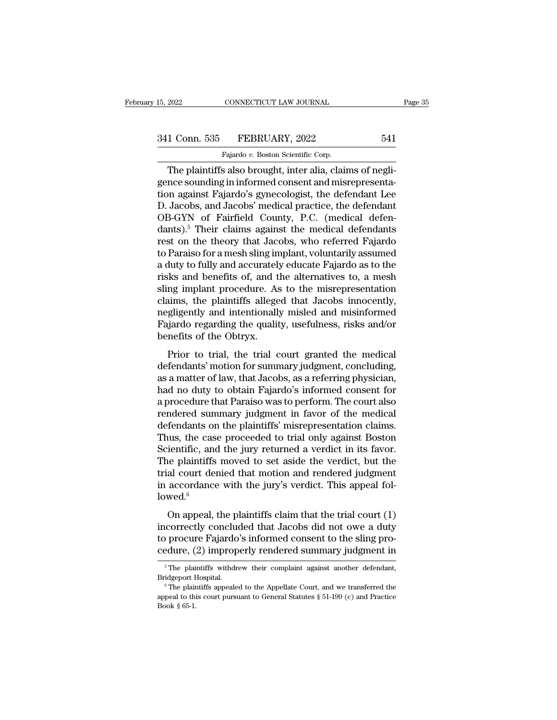# 15, 2022 CONNECTICUT LAW JOURNAL Page 35<br>341 Conn. 535 FEBRUARY, 2022 541<br>Fajardo v. Boston Scientific Corp. CONNECTICUT LAW JOURNAL<br>FEBRUARY, 2022<br>Fajardo *v.* Boston Scientific Corp.<br>s also brought inter alia clair

EXERT 2022 CONNECTICUT LAW JOURNAL<br>
1 Conn. 535 FEBRUARY, 2022 541<br>
Fajardo v. Boston Scientific Corp.<br>
The plaintiffs also brought, inter alia, claims of negli-<br>
nce sounding in informed consent and misrepresenta-341 Conn. 535 FEBRUARY, 2022 541<br>
Fajardo v. Boston Scientific Corp.<br>
The plaintiffs also brought, inter alia, claims of negligence sounding in informed consent and misrepresenta-<br>
tion against Fajardo's gynecologist, the 341 Conn. 535 FEBRUARY, 2022 541<br>
Fajardo's Boston Scientific Corp.<br>
The plaintiffs also brought, inter alia, claims of negligence sounding in informed consent and misrepresentation against Fajardo's gynecologist, the def 341 Conn. 535 FEBRUARY, 2022 541<br>
Fajardo v. Boston Scientific Corp.<br>
The plaintiffs also brought, inter alia, claims of negli-<br>
gence sounding in informed consent and misrepresenta-<br>
tion against Fajardo's gynecologist, Fajardo v. Boston Scientific Corp.<br>
The plaintiffs also brought, inter alia, claims of negligence sounding in informed consent and misrepresenta-<br>
tion against Fajardo's gynecologist, the defendant Lee<br>
D. Jacobs, and Jaco Fajardo v. Boston Scientific Corp.<br>
The plaintiffs also brought, inter alia, claims of negli-<br>
gence sounding in informed consent and misrepresenta-<br>
tion against Fajardo's gynecologist, the defendant Lee<br>
D. Jacobs, and The plaintiffs also brought, inter alia, claims of negli-<br>gence sounding in informed consent and misrepresenta-<br>tion against Fajardo's gynecologist, the defendant Lee<br>D. Jacobs, and Jacobs' medical practice, the defendant<br> gence sounding in informed consent and misrepresentation against Fajardo's gynecologist, the defendant Lee<br>D. Jacobs, and Jacobs' medical practice, the defendant<br>OB-GYN of Fairfield County, P.C. (medical defendants).<sup>5</sup> Th tion against Fajardo's gynecologist, the defendant Lee<br>D. Jacobs, and Jacobs' medical practice, the defendant<br>OB-GYN of Fairfield County, P.C. (medical defen-<br>dants).<sup>5</sup> Their claims against the medical defendants<br>rest on D. Jacobs, and Jacobs' medical practice, the defendant<br>OB-GYN of Fairfield County, P.C. (medical defendants).<sup>5</sup> Their claims against the medical defendants<br>rest on the theory that Jacobs, who referred Fajardo<br>to Paraiso f OB-GYN of Fairfield County, P.C. (medical defendants).<sup>5</sup> Their claims against the medical defendants<br>rest on the theory that Jacobs, who referred Fajardo<br>to Paraiso for a mesh sling implant, voluntarily assumed<br>a duty to dants).<sup>5</sup> Their claims against the medical defendants<br>rest on the theory that Jacobs, who referred Fajardo<br>to Paraiso for a mesh sling implant, voluntarily assumed<br>a duty to fully and accurately educate Fajardo as to the<br> rest on the theory that Jacobs, who referred Fajardo<br>to Paraiso for a mesh sling implant, voluntarily assumed<br>a duty to fully and accurately educate Fajardo as to the<br>risks and benefits of, and the alternatives to, a mesh<br> to Paraiso for a mesh sling implant, voluntarily assumed<br>a duty to fully and accurately educate Fajardo as to the<br>risks and benefits of, and the alternatives to, a mesh<br>sling implant procedure. As to the misrepresentation<br> a duty to fully and accurately<br>risks and benefits of, and t<br>sling implant procedure. As<br>claims, the plaintiffs allege<br>negligently and intentionally<br>Fajardo regarding the qualit<br>benefits of the Obtryx.<br>Prior to trial, the t Figure 1.1 Section 1.1 Section 1.1 Section 1.1 Section 1.1 Section 1.1 Section 1.1 Section 1.1 Section 1.1 Section 1.1 Section 1.1 Section 1.1 Section 1.1 Section 1.1 Section 1.1 Section 1.1 Section 1.1 Section 1.1 Section sing implant procedure. The to-the instepresentation<br>claims, the plaintiffs alleged that Jacobs innocently,<br>negligently and intentionally misled and misinformed<br>Fajardo regarding the quality, usefulness, risks and/or<br>benef

Edinis, the plaintins and ged that success influently,<br>negligently and intentionally misled and misinformed<br>Fajardo regarding the quality, usefulness, risks and/or<br>benefits of the Obtryx.<br>Prior to trial, the trial court gr Fajardo regarding the quality, usefulness, risks and/or<br>benefits of the Obtryx.<br>Prior to trial, the trial court granted the medical<br>defendants' motion for summary judgment, concluding,<br>as a matter of law, that Jacobs, as a regarding the quality, assessmess, risks and or<br>benefits of the Obtryx.<br>Prior to trial, the trial court granted the medical<br>defendants' motion for summary judgment, concluding,<br>as a matter of law, that Jacobs, as a referri Prior to trial, the trial court granted the medical<br>defendants' motion for summary judgment, concluding,<br>as a matter of law, that Jacobs, as a referring physician,<br>had no duty to obtain Fajardo's informed consent for<br>a pro Prior to trial, the trial court granted the medical<br>defendants' motion for summary judgment, concluding,<br>as a matter of law, that Jacobs, as a referring physician,<br>had no duty to obtain Fajardo's informed consent for<br>a pro defendants' motion for summary judgment, concluding,<br>as a matter of law, that Jacobs, as a referring physician,<br>had no duty to obtain Fajardo's informed consent for<br>a procedure that Paraiso was to perform. The court also<br>r as a matter of law, that Jacobs, as a referring physician,<br>had no duty to obtain Fajardo's informed consent for<br>a procedure that Paraiso was to perform. The court also<br>rendered summary judgment in favor of the medical<br>defe had no duty to obtain Fajardo's informed consent for<br>a procedure that Paraiso was to perform. The court also<br>rendered summary judgment in favor of the medical<br>defendants on the plaintiffs' misrepresentation claims.<br>Thus, t a procedure that Paraiso was to perform. The court also<br>rendered summary judgment in favor of the medical<br>defendants on the plaintiffs' misrepresentation claims.<br>Thus, the case proceeded to trial only against Boston<br>Scien rendered summary judgment in favor of the medical<br>defendants on the plaintiffs' misrepresentation claims.<br>Thus, the case proceeded to trial only against Boston<br>Scientific, and the jury returned a verdict in its favor.<br>The lowed. $6$ dus, the case proceeded to that only against boston<br>ientific, and the jury returned a verdict in its favor.<br>he plaintiffs moved to set aside the verdict, but the<br>al court denied that motion and rendered judgment<br>accordanc Exercise, and the Jury Tetunica a vertuce in its favor.<br>The plaintiffs moved to set aside the verdict, but the<br>trial court denied that motion and rendered judgment<br>in accordance with the jury's verdict. This appeal fol-<br>l

The plantims moved to set aside the verdict, but the<br>trial court denied that motion and rendered judgment<br>in accordance with the jury's verdict. This appeal fol-<br>lowed.<sup>6</sup><br>On appeal, the plaintiffs claim that the trial co in accordance with the jury's verdict. This appeal followed.<sup>6</sup><br>On appeal, the plaintiffs claim that the trial court (1)<br>incorrectly concluded that Jacobs did not owe a duty<br>to procure Fajardo's informed consent to the sl On appeal, the plaintiffs claim that the trial court (1) incorrectly concluded that Jacobs did not owe a duty to procure Fajardo's informed consent to the sling procedure, (2) improperly rendered summary judgment in  $\frac{1$ incorrectly concluded that Jacobs did not owe a duty<br>to procure Fajardo's informed consent to the sling pro-<br>cedure, (2) improperly rendered summary judgment in<br> $\frac{5}{\text{The plaintext}}$  in  $\frac{5}{\text{The plaintext}}$  is  $\frac{5}{\text{The plaintext}}$ .<br>Bridgeport

cedure, (2) improperly rendered summary judgment in<br>  $\frac{1}{100}$  in The plaintiffs withdrew their complaint against another defendant,<br>
Bridgeport Hospital.<br>  $\frac{1}{100}$  The plaintiffs appealed to the Appellate Court, and Example, Correct & Strate, Correct & Strategy & Strategy & Strategy & Strategy & Strategy & Strategy & Strategy & Strategy & Strategy & Strategy & Strategy & Strategy & Strategy & Strategy & Strategy & Strategy & Strategy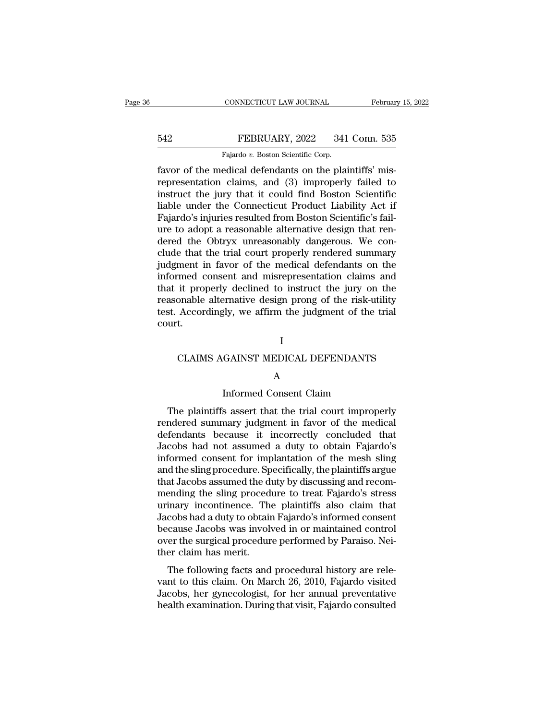FEBRUARY, 2022 341 Conn. 535<br>
Fajardo v. Boston Scientific Corp.<br>
Fajardo v. Boston Scientific Corp.<br>
Fayor of the medical defendants on the plaintiffs' mis-<br>
representation claims, and (3) improperly failed to FEBRUARY, 2022 341 Conn. 535<br>
Fajardo v. Boston Scientific Corp.<br>
Fayor of the medical defendants on the plaintiffs' mis-<br>
representation claims, and (3) improperly failed to<br>
instruct the jury that it could find Boston Sc FEBRUARY, 2022 341 Conn. 535<br>
Fajardo v. Boston Scientific Corp.<br>
favor of the medical defendants on the plaintiffs' mis-<br>
representation claims, and (3) improperly failed to<br>
instruct the jury that it could find Boston S FEBRUARY, 2022 341 Conn. 535<br>
Fajardo v. Boston Scientific Corp.<br>
favor of the medical defendants on the plaintiffs' mis-<br>
representation claims, and (3) improperly failed to<br>
instruct the jury that it could find Boston S Fajardo v. Boston Scientific Corp.<br>
Fayor of the medical defendants on the plaintiffs' mis-<br>
representation claims, and (3) improperly failed to<br>
instruct the jury that it could find Boston Scientific<br>
liable under the Co Fayardo v. Boston Scientific Corp.<br>
favor of the medical defendants on the plaintiffs' mis-<br>
representation claims, and (3) improperly failed to<br>
instruct the jury that it could find Boston Scientific<br>
liable under the Co favor of the medical defendants on the plaintiffs' mis-<br>representation claims, and (3) improperly failed to<br>instruct the jury that it could find Boston Scientific<br>liable under the Connecticut Product Liability Act if<br>Fajar representation claims, and (3) improperly failed to<br>instruct the jury that it could find Boston Scientific<br>liable under the Connecticut Product Liability Act if<br>Fajardo's injuries resulted from Boston Scientific's fail-<br>ur instruct the jury that it could find Boston Scientific<br>liable under the Connecticut Product Liability Act if<br>Fajardo's injuries resulted from Boston Scientific's fail-<br>ure to adopt a reasonable alternative design that renliable under the Connecticut Product Liability Act if<br>Fajardo's injuries resulted from Boston Scientific's fail-<br>ure to adopt a reasonable alternative design that ren-<br>dered the Obtryx unreasonably dangerous. We con-<br>clude Fajardo's injuries resulted from Boston Scientific's fail-<br>ure to adopt a reasonable alternative design that ren-<br>dered the Obtryx unreasonably dangerous. We con-<br>clude that the trial court properly rendered summary<br>judgme ure to adopt a reasonable alternative design that ren-<br>dered the Obtryx unreasonably dangerous. We con-<br>clude that the trial court properly rendered summary<br>judgment in favor of the medical defendants on the<br>informed conse dered the Obtryx unreasonably dangerous. We conclude that the trial court properly rendered summary judgment in favor of the medical defendants on the informed consent and misrepresentation claims and that it properly decl court. it properly declined to instruct the jury on the<br>onable alternative design prong of the risk-utility<br>Accordingly, we affirm the judgment of the trial<br>t.<br>I<br>CLAIMS AGAINST MEDICAL DEFENDANTS<br>A

### I

### A

I<br>
GAINST MEDICAL DEFENDANTS<br>
A<br>
Informed Consent Claim<br>
s assert that the trial court improperly I<br>CLAIMS AGAINST MEDICAL DEFENDANTS<br>A<br>Informed Consent Claim<br>The plaintiffs assert that the trial court improperly<br>ndered summary judgment in favor of the medical<br>fordants, bogause, it, incorrectly, concluded, that CLAIMS AGAINST MEDICAL DEFENDANTS<br>
A<br>
Informed Consent Claim<br>
The plaintiffs assert that the trial court improperly<br>
rendered summary judgment in favor of the medical<br>
defendants because it incorrectly concluded that<br>
Jaco defendants because it incorrectly concluded that<br>defendants because it incorrectly concluded that<br>Jacobs had not assumed a duty to obtain Fajardo's<br>informed concent for implentation of the mosh cling A<br>
Informed Consent Claim<br>
The plaintiffs assert that the trial court improperly<br>
rendered summary judgment in favor of the medical<br>
defendants because it incorrectly concluded that<br>
Jacobs had not assumed a duty to obtain Informed Consent Claim<br>
The plaintiffs assert that the trial court improperly<br>
rendered summary judgment in favor of the medical<br>
defendants because it incorrectly concluded that<br>
Jacobs had not assumed a duty to obtain Fa The plaintiffs assert that the trial court improperly<br>rendered summary judgment in favor of the medical<br>defendants because it incorrectly concluded that<br>Jacobs had not assumed a duty to obtain Fajardo's<br>informed consent fo The plaintiffs assert that the trial court improperly<br>rendered summary judgment in favor of the medical<br>defendants because it incorrectly concluded that<br>Jacobs had not assumed a duty to obtain Fajardo's<br>informed consent fo rendered summary judgment in favor of the medical<br>defendants because it incorrectly concluded that<br>Jacobs had not assumed a duty to obtain Fajardo's<br>informed consent for implantation of the mesh sling<br>and the sling procedu defendants because it incorrectly concluded that<br>Jacobs had not assumed a duty to obtain Fajardo's<br>informed consent for implantation of the mesh sling<br>and the sling procedure. Specifically, the plaintiffs argue<br>that Jacobs Jacobs had not assumed a duty to obtain Fajardo's<br>informed consent for implantation of the mesh sling<br>and the sling procedure. Specifically, the plaintiffs argue<br>that Jacobs assumed the duty by discussing and recom-<br>mendin informed consent for implantation of the mesh sling<br>and the sling procedure. Specifically, the plaintiffs argue<br>that Jacobs assumed the duty by discussing and recom-<br>mending the sling procedure to treat Fajardo's stress<br>ur and the sling procedure. Specifically, the plaintiffs argue<br>that Jacobs assumed the duty by discussing and recom-<br>mending the sling procedure to treat Fajardo's stress<br>urinary incontinence. The plaintiffs also claim that<br>J that Jacobs assumed the different<br>mending the sling proced<br>urinary incontinence. The<br>Jacobs had a duty to obtain<br>because Jacobs was involver the surgical procedur<br>ther claim has merit.<br>The following facts and Enting the sing procedule to treat Pajardo's stress<br>inary incontinence. The plaintiffs also claim that<br>cobs had a duty to obtain Fajardo's informed consent<br>cause Jacobs was involved in or maintained control<br>er the surgical urinary incontinence. The plaintins also claim that<br>Jacobs had a duty to obtain Fajardo's informed consent<br>because Jacobs was involved in or maintained control<br>over the surgical procedure performed by Paraiso. Nei-<br>ther cl

Bacobs had a duly to obtain Fajardo's informed consent<br>because Jacobs was involved in or maintained control<br>over the surgical procedure performed by Paraiso. Nei-<br>ther claim has merit.<br>The following facts and procedural hi because sacobs was involved in or maintained control<br>over the surgical procedure performed by Paraiso. Nei-<br>ther claim has merit.<br>The following facts and procedural history are rele-<br>vant to this claim. On March 26, 2010,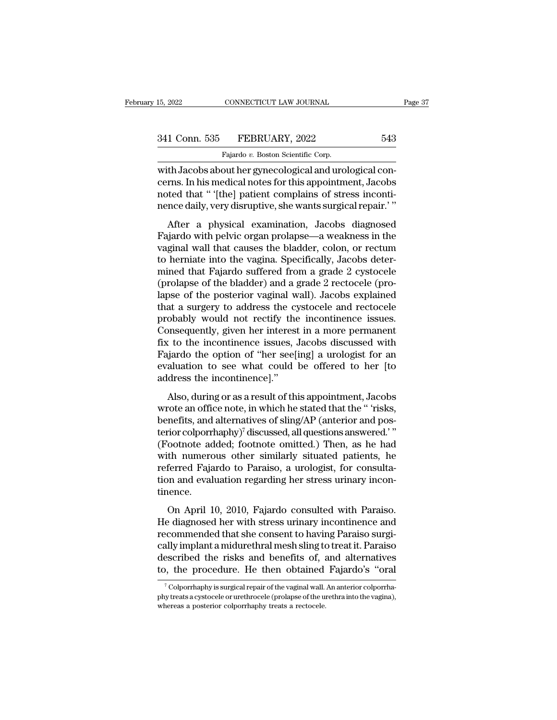CONNECTICUT LAW JOURNAL<br>FEBRUARY, 2022<br>Fajardo *v.* Boston Scientific Corp.<br>out her gynecological and uro 15, 2022 CONNECTICUT LAW JOURNAL<br>
341 Conn. 535 FEBRUARY, 2022 543<br>
Fajardo v. Boston Scientific Corp.<br>
with Jacobs about her gynecological and urological con-<br>
cerns. In his medical notes for this appointment, Jacobs<br>
not 341 Conn. 535 FEBRUARY, 2022 543<br>Fajardo v. Boston Scientific Corp.<br>With Jacobs about her gynecological and urological concerns. In his medical notes for this appointment, Jacobs<br>noted that " [the] patient complains of str 341 Conn. 535 FEBRUARY, 2022 543<br>Fajardo v. Boston Scientific Corp.<br>with Jacobs about her gynecological and urological concerns. In his medical notes for this appointment, Jacobs<br>noted that " '[the] patient complains of st 341 Conn. 535 FEBRUARY, 2022 543<br>Fajardo v. Boston Scientific Corp.<br>with Jacobs about her gynecological and urological concerns. In his medical notes for this appointment, Jacobs<br>noted that " '[the] patient complains of st Fajardo v. Boston Scientific Corp.<br>
th Jacobs about her gynecological and urological con-<br>
rms. In his medical notes for this appointment, Jacobs<br>
ted that " '[the] patient complains of stress inconti-<br>
nce daily, very di with Jacobs about her gynecological and urological concerns. In his medical notes for this appointment, Jacobs<br>noted that " '[the] patient complains of stress incontinence daily, very disruptive, she wants surgical repair.

warbacobs about her gynecological and uloogical con-<br>cerns. In his medical notes for this appointment, Jacobs<br>noted that " '[the] patient complains of stress inconti-<br>nence daily, very disruptive, she wants surgical repair to her into the vaginal wall the vaginal way the vaginal continence daily, very disruptive, she wants surgical repair.'"<br>After a physical examination, Jacobs diagnosed<br>Fajardo with pelvic organ prolapse—a weakness in the<br>v mence daily, very disruptive, she wants surgical repair.' "<br>After a physical examination, Jacobs diagnosed<br>Fajardo with pelvic organ prolapse—a weakness in the<br>vaginal wall that causes the bladder, colon, or rectum<br>to hern After a physical examination, Jacobs diagnosed<br>Fajardo with pelvic organ prolapse—a weakness in the<br>vaginal wall that causes the bladder, colon, or rectum<br>to herniate into the vagina. Specifically, Jacobs deter-<br>mined that After a physical examination, Jacobs diagnosed<br>Fajardo with pelvic organ prolapse—a weakness in the<br>vaginal wall that causes the bladder, colon, or rectum<br>to herniate into the vagina. Specifically, Jacobs deter-<br>mined that Fajardo with pelvic organ prolapse—a weakness in the<br>vaginal wall that causes the bladder, colon, or rectum<br>to herniate into the vagina. Specifically, Jacobs deter-<br>mined that Fajardo suffered from a grade 2 cystocele<br>(pro vaginal wall that causes the bladder, colon, or rectum<br>to herniate into the vagina. Specifically, Jacobs deter-<br>mined that Fajardo suffered from a grade 2 cystocele<br>(prolapse of the posterior vaginal wall). Jacobs explaine to herniate into the vagina. Specifically, Jacobs determined that Fajardo suffered from a grade 2 cystocele (prolapse of the bladder) and a grade 2 rectocele (prolapse of the posterior vaginal wall). Jacobs explained that mined that Fajardo suffered from a grade 2 cystocele (prolapse of the bladder) and a grade 2 rectocele (prolapse of the posterior vaginal wall). Jacobs explained that a surgery to address the cystocele and rectocele probab (prolapse of the bladder) and a grade 2 rectocele (pro-<br>lapse of the posterior vaginal wall). Jacobs explained<br>that a surgery to address the cystocele and rectocele<br>probably would not rectify the incontinence issues.<br>Conse lapse of the posterior vaginal wall). Jacobs explained<br>that a surgery to address the cystocele and rectocele<br>probably would not rectify the incontinence issues.<br>Consequently, given her interest in a more permanent<br>fix to t that a surgery to address the cyprobably would not rectify the Consequently, given her interest<br>fix to the incontinence issues, .<br>Fajardo the option of "her see[<br>evaluation to see what could<br>address the incontinence]."<br>Als based, would not recally the mechanicaties issues.<br>
Insequently, given her interest in a more permanent<br>
to the incontinence issues, Jacobs discussed with<br>
igardo the option of "her see[ing] a urologist for an<br>
aluation to fix to the incontinence issues, Jacobs discussed with<br>Fajardo the option of "her see[ing] a urologist for an<br>evaluation to see what could be offered to her [to<br>address the incontinence]."<br>Also, during or as a result of th

Fajardo the option of "her see[ing] a urologist for an evaluation to see what could be offered to her [to address the incontinence]."<br>Also, during or as a result of this appointment, Jacobs wrote an office note, in which Figure are option of the seeding) a allocation to the evaluation to see what could be offered to her [to address the incontinence]."<br>Also, during or as a result of this appointment, Jacobs wrote an office note, in which h Madates the incontinence]."<br>
Also, during or as a result of this appointment, Jacobs<br>
wrote an office note, in which he stated that the " 'risks,<br>
benefits, and alternatives of sling/AP (anterior and pos-<br>
terior colporrha Also, during or as a result of this appointment, Jacobs<br>wrote an office note, in which he stated that the " 'risks,<br>benefits, and alternatives of sling/AP (anterior and pos-<br>terior colporrhaphy)<sup>7</sup> discussed, all question Also, during or as a result of this appointment, Jacobs<br>wrote an office note, in which he stated that the " 'risks,<br>benefits, and alternatives of sling/AP (anterior and pos-<br>terior colporrhaphy)<sup>7</sup> discussed, all questions benefits, and alternatives of sling/AP (anterior and pos-<br>terior colporrhaphy)<sup>7</sup> discussed, all questions answered.' "<br>(Footnote added; footnote omitted.) Then, as he had<br>with numerous other similarly situated patients, h tinence. For corpormany) and associated and solven answered.<br>
Sootnote added; footnote omitted.) Then, as he had<br>
th numerous other similarly situated patients, he<br>
ferred Fajardo to Paraiso, a urologist, for consulta-<br>
and evaluat (1 bodiote dataca, 1 bodiote officients) Then, as he had<br>with numerous other similarly situated patients, he<br>referred Fajardo to Paraiso, a urologist, for consulta-<br>tion and evaluation regarding her stress urinary incon-<br>t

referred Fajardo to Paraiso, a urologist, for consulta-<br>tion and evaluation regarding her stress urinary incon-<br>tinence.<br>On April 10, 2010, Fajardo consulted with Paraiso.<br>He diagnosed her with stress urinary incontinence referred Feyardo to Faranso, a arologist, for constant<br>tion and evaluation regarding her stress urinary incon-<br>tinence.<br>On April 10, 2010, Fajardo consulted with Paraiso.<br>He diagnosed her with stress urinary incontinence a described that evaluation regarding her sacess annual, mesh tinence.<br>
On April 10, 2010, Fajardo consulted with Paraiso.<br>
He diagnosed her with stress urinary incontinence and<br>
recommended that she consent to having Parais On April 10, 2010, Fajardo consulted with Paraiso.<br>He diagnosed her with stress urinary incontinence and<br>recommended that she consent to having Paraiso surgi-<br>cally implant a midurethral mesh sling to treat it. Paraiso<br>des ecommended that she consent to having Paraiso surgi-<br>ally implant a midurethral mesh sling to treat it. Paraiso<br>escribed the risks and benefits of, and alternatives<br>b, the procedure. He then obtained Fajardo's "oral<br><sup>7</sup> Co cally implant a midurethral mesh sling to treat it. Paraiso<br>described the risks and benefits of, and alternatives<br>to, the procedure. He then obtained Fajardo's "oral<br><sup>7</sup>Colporrhaphy is surgical repair of the vaginal wall.

described the risks and benefits of, a<br>to, the procedure. He then obtained<br><sup>7</sup>Colporrhaphy is surgical repair of the vaginal wall.<br>phy treats a cystocele or urethrocele (prolapse of the ure<br>whereas a posterior colporrhaphy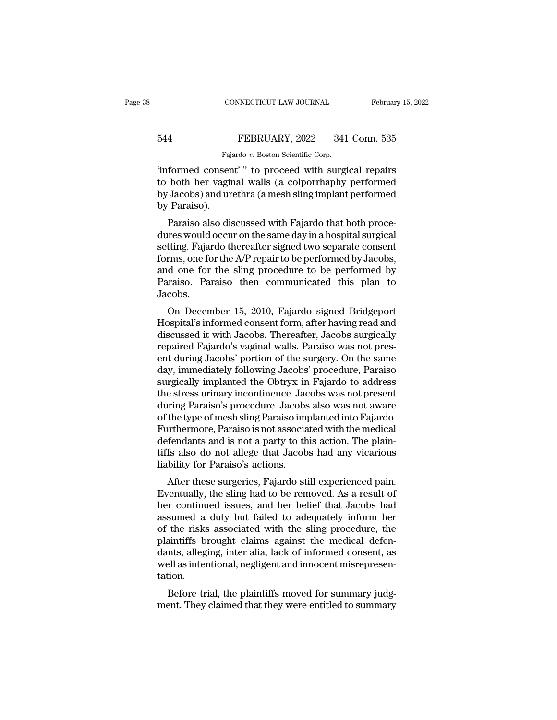CONNECTICUT LAW JOURNAL February 15, 2022<br>
FEBRUARY, 2022 341 Conn. 535<br>
Fajardo v. Boston Scientific Corp.<br>
"informed consent' " to proceed with surgical repairs<br>
to both her vaginal walls (a colporrhaphy performed<br>
by Ja FEBRUARY, 2022 341 Conn. 535<br>Fajardo v. Boston Scientific Corp.<br>"informed consent" " to proceed with surgical repairs<br>to both her vaginal walls (a colporrhaphy performed<br>by Jacobs) and urethra (a mesh sling implant perform FEBRUARY, 2022 341 Conn. 535<br>
Fajardo v. Boston Scientific Corp.<br>
"informed consent" " to proceed with surgical repairs<br>
to both her vaginal walls (a colporrhaphy performed<br>
by Jacobs) and urethra (a mesh sling implant per 544<br>Faja<br>"informed conser<br>to both her vagin<br>by Jacobs) and ur<br>by Paraiso).<br>Paraiso also dis Fajardo v. Boston Scientific Corp.<br>
formed consent' " to proceed with surgical repairs<br>
both her vaginal walls (a colporrhaphy performed<br>
Jacobs) and urethra (a mesh sling implant performed<br>
Paraiso).<br>
Paraiso also discuss informed consent'" to proceed with surgical repairs<br>to both her vaginal walls (a colporrhaphy performed<br>by Jacobs) and urethra (a mesh sling implant performed<br>by Paraiso).<br>Paraiso also discussed with Fajardo that both proc

morned consent To proceed with surgical repairs<br>to both her vaginal walls (a colporrhaphy performed<br>by Jacobs) and urethra (a mesh sling implant performed<br>by Paraiso ).<br>Paraiso also discussed with Fajardo that both proce-<br> for bounding to bound the Vagnian wants (a colportriaphy performed<br>by Jacobs) and urethra (a mesh sling implant performed<br>by Paraiso).<br>Paraiso also discussed with Fajardo that both proce-<br>dures would occur on the same day by Jacobs) and drettifa (a filesh sing implant performed<br>by Paraiso ).<br>Paraiso also discussed with Fajardo that both proce-<br>dures would occur on the same day in a hospital surgical<br>setting. Fajardo thereafter signed two se by Faraiso).<br>
Paraiso also discussed with Fajardo that both proce-<br>
dures would occur on the same day in a hospital surgical<br>
setting. Fajardo thereafter signed two separate consent<br>
forms, one for the A/P repair to be per Jacobs. res would occur on the same day in a hospital surgical<br>tting. Fajardo thereafter signed two separate consent<br>rms, one for the A/P repair to be performed by Jacobs,<br>d one for the sling procedure to be performed by<br>raiso. Pa Setting. Fajarto the Earter signed two separate consent<br>forms, one for the A/P repair to be performed by Jacobs,<br>and one for the sling procedure to be performed by<br>Paraiso. Paraiso then communicated this plan to<br>Jacobs.<br>On

Forms, one for the EVI Tepan to be performed by Jacobs,<br>and one for the sling procedure to be performed by<br>Paraiso. Paraiso then communicated this plan to<br>Jacobs.<br>On December 15, 2010, Fajardo signed Bridgeport<br>Hospital's and one for the sing procedure to be performed by<br>Paraiso. Paraiso then communicated this plan to<br>Jacobs.<br>On December 15, 2010, Fajardo signed Bridgeport<br>Hospital's informed consent form, after having read and<br>discussed it Faraiso. Taraiso then communicated this plan to<br>Jacobs.<br>On December 15, 2010, Fajardo signed Bridgeport<br>Hospital's informed consent form, after having read and<br>discussed it with Jacobs. Thereafter, Jacobs surgically<br>repair day, immediately following procedure, procedure, and the strong strategy Hospital's informed consent form, after having read and discussed it with Jacobs. Thereafter, Jacobs surgically repaired Fajardo's vaginal walls. Par On December 15, 2010, Fajardo signed Bridgeport<br>Hospital's informed consent form, after having read and<br>discussed it with Jacobs. Thereafter, Jacobs surgically<br>repaired Fajardo's vaginal walls. Paraiso was not pres-<br>ent du Hospital's informed consent form, after having read and<br>discussed it with Jacobs. Thereafter, Jacobs surgically<br>repaired Fajardo's vaginal walls. Paraiso was not pres-<br>ent during Jacobs' portion of the surgery. On the same discussed it with Jacobs. Thereafter, Jacobs surgically<br>repaired Fajardo's vaginal walls. Paraiso was not pres-<br>ent during Jacobs' portion of the surgery. On the same<br>day, immediately following Jacobs' procedure, Paraiso<br>s repaired Fajardo's vaginal walls. Paraiso was not present during Jacobs' portion of the surgery. On the same<br>day, immediately following Jacobs' procedure, Paraiso<br>surgically implanted the Obtryx in Fajardo to address<br>the s ent during Jacobs' portion of the surgery. On the same<br>day, immediately following Jacobs' procedure, Paraiso<br>surgically implanted the Obtryx in Fajardo to address<br>the stress urinary incontinence. Jacobs was not present<br>dur day, immediately following Jacobs' procedure, Paraiso<br>surgically implanted the Obtryx in Fajardo to address<br>the stress urinary incontinence. Jacobs was not present<br>during Paraiso's procedure. Jacobs also was not aware<br>of t surgically implanted the Obtryx in Fajardo to address<br>the stress urinary incontinence. Jacobs was not present<br>during Paraiso's procedure. Jacobs also was not aware<br>of the type of mesh sling Paraiso implanted into Fajardo.<br> the stress urinary incontinence. Jacobs<br>during Paraiso's procedure. Jacobs<br>of the type of mesh sling Paraiso im<br>Furthermore, Paraiso is not associa<br>defendants and is not a party to th<br>tiffs also do not allege that Jacob<br>li ring I araso's procedure. Jacobs also was not aware<br>the type of mesh sling Paraiso implanted into Fajardo.<br>urthermore, Paraiso is not associated with the medical<br>fendants and is not a party to this action. The plain-<br>fs al Furthermore, Paraiso is not associated with the medical<br>defendants and is not a party to this action. The plain-<br>tiffs also do not allege that Jacobs had any vicarious<br>liability for Paraiso's actions.<br>After these surgeries

Furthermore, Faraso is not associated with the medical<br>defendants and is not a party to this action. The plain-<br>tiffs also do not allege that Jacobs had any vicarious<br>liability for Paraiso's actions.<br>After these surgeries, defendants and is not a party to this action. The plant-<br>tiffs also do not allege that Jacobs had any vicarious<br>liability for Paraiso's actions.<br>After these surgeries, Fajardo still experienced pain.<br>Eventually, the sling liability for Paraiso's actions.<br>
After these surgeries, Fajardo still experienced pain.<br>
Eventually, the sling had to be removed. As a result of<br>
her continued issues, and her belief that Jacobs had<br>
assumed a duty but fa hability for 1 atasos actions.<br>After these surgeries, Fajardo still experienced pain.<br>Eventually, the sling had to be removed. As a result of<br>her continued issues, and her belief that Jacobs had<br>assumed a duty but failed t After these surgeries, Fajardo still experienced pain.<br>Eventually, the sling had to be removed. As a result of<br>her continued issues, and her belief that Jacobs had<br>assumed a duty but failed to adequately inform her<br>of the Eventually, the sling had to be removed. As a result of<br>her continued issues, and her belief that Jacobs had<br>assumed a duty but failed to adequately inform her<br>of the risks associated with the sling procedure, the<br>plaintif tation. Suited a duty but failed to adequately mornt her<br>the risks associated with the sling procedure, the<br>aintiffs brought claims against the medical defen-<br>nts, alleging, inter alia, lack of informed consent, as<br>ell as intentio of the fisks associated with the sing procedure, the<br>plaintiffs brought claims against the medical defen-<br>dants, alleging, inter alia, lack of informed consent, as<br>well as intentional, negligent and innocent misrepresen-<br>t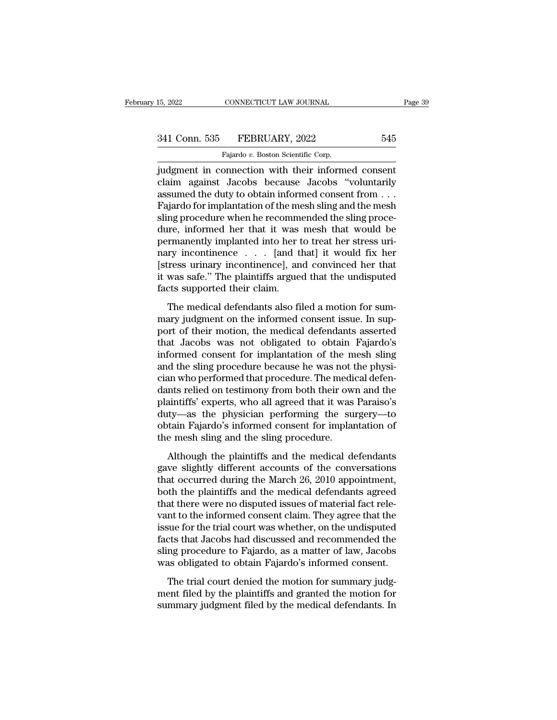15, 2022 CONNECTICUT LAW JOURNAL Page 3:<br>
341 Conn. 535 FEBRUARY, 2022 545<br>
Fajardo v. Boston Scientific Corp.<br>
judgment in connection with their informed consent<br>
claim against Jacobs because Jacobs "voluntarily<br>
assumed 341 Conn. 535 FEBRUARY, 2022 545<br>
Fajardo v. Boston Scientific Corp.<br>
judgment in connection with their informed consent<br>
claim against Jacobs because Jacobs "voluntarily<br>
assumed the duty to obtain informed consent from . 341 Conn. 535 FEBRUARY, 2022 545<br>
Fajardo v. Boston Scientific Corp.<br>
judgment in connection with their informed consent<br>
claim against Jacobs because Jacobs "voluntarily<br>
assumed the duty to obtain informed consent from  $\begin{array}{r} \text{341 Conn. } 535 \quad \text{FEBRUARY, } 2022 \quad \text{545} \ \text{7} \end{array}$ <br>
Fajardo v. Boston Scientific Corp.<br>
judgment in connection with their informed consent<br>
claim against Jacobs because Jacobs "voluntarily<br>
assumed the duty to obt Fajardo v. Boston Scientific Corp.<br>
judgment in connection with their informed consent<br>
claim against Jacobs because Jacobs "voluntarily<br>
assumed the duty to obtain informed consent from . . .<br>
Fajardo for implantation of Figure 1. Boston Scientific Corp.<br>
indigment in connection with their informed consent<br>
claim against Jacobs because Jacobs "voluntarily<br>
assumed the duty to obtain informed consent from . . .<br>
Fajardo for implantation of judgment in connection with their informed consent<br>claim against Jacobs because Jacobs "voluntarily<br>assumed the duty to obtain informed consent from ...<br>Fajardo for implantation of the mesh sling and the mesh<br>sling procedu claim against Jacobs because Jacobs "voluntarily<br>assumed the duty to obtain informed consent from . . .<br>Fajardo for implantation of the mesh sling and the mesh<br>sling procedure when he recommended the sling proce-<br>dure, in assumed the duty to obtain informed consent from . . .<br>Fajardo for implantation of the mesh sling and the mesh<br>sling procedure when he recommended the sling proce-<br>dure, informed her that it was mesh that would be<br>permanen Fajardo for implantation of the mesh sling and the mesh<br>sling procedure when he recommended the sling proce-<br>dure, informed her that it was mesh that would be<br>permanently implanted into her to treat her stress uri-<br>nary in sling procedure when he recomm<br>dure, informed her that it was<br>permanently implanted into her t<br>nary incontinence . . . [and t<br>[stress urinary incontinence], an<br>it was safe." The plaintiffs argue<br>facts supported their claim The medical defendants also filed a motion for sum-<br>The medical defendant and the medical defendant of the mess uri-<br>ry incontinence . . . [and that] it would fix her<br>ress urinary incontinence], and convinced her that<br>was permanently imprimed mo net to deal her satess are<br>nary incontinence . . . [and that] it would fix her<br>[stress urinary incontinence], and convinced her that<br>it was safe." The plaintiffs argued that the undisputed<br>facts sup

port of their motions are included the medical defendants also filed a motion for summary judgment on the informed consent issue. In support of their motion, the medical defendants asserted that Jacobs was not obligated t that was safe." The plaintiffs argued that the undisputed<br>facts supported their claim.<br>The medical defendants also filed a motion for sum-<br>mary judgment on the informed consent issue. In sup-<br>port of their motion, the medi Facts supported their claim.<br>
The medical defendants also filed a motion for summary judgment on the informed consent issue. In support of their motion, the medical defendants asserted<br>
that Jacobs was not obligated to obt The medical defendants also filed a motion for summary judgment on the informed consent issue. In support of their motion, the medical defendants asserted that Jacobs was not obligated to obtain Fajardo's informed consent The medical defendants also filed a motion for summary judgment on the informed consent issue. In support of their motion, the medical defendants asserted that Jacobs was not obligated to obtain Fajardo's informed consent mary judgment on the informed consent issue. In support of their motion, the medical defendants asserted<br>that Jacobs was not obligated to obtain Fajardo's<br>informed consent for implantation of the mesh sling<br>and the sling p port of their motion, the medical defendants asserted<br>that Jacobs was not obligated to obtain Fajardo's<br>informed consent for implantation of the mesh sling<br>and the sling procedure because he was not the physi-<br>cian who per that Jacobs was not obligated to obtain Fajardo's<br>informed consent for implantation of the mesh sling<br>and the sling procedure because he was not the physi-<br>cian who performed that procedure. The medical defen-<br>dants relied informed consent for implantation of the mesh sling<br>and the sling procedure because he was not the physi-<br>cian who performed that procedure. The medical defen-<br>dants relied on testimony from both their own and the<br>plaintif and the sling procedure because he was not t<br>cian who performed that procedure. The medi<br>dants relied on testimony from both their ow<br>plaintiffs' experts, who all agreed that it was<br>duty—as the physician performing the su<br> In this performed and procedure. The medical defent<br>ints relied on testimony from both their own and the<br>aintiffs' experts, who all agreed that it was Paraiso's<br>ity—as the physician performing the surgery—to<br>tain Fajardo's datas renea on essamony from soar area own and are<br>plaintiffs' experts, who all agreed that it was Paraiso's<br>duty—as the physician performing the surgery—to<br>obtain Fajardo's informed consent for implantation of<br>the mesh sl

plantatics experts, who an agreed and it was I analoged duty—as the physician performing the surgery—to obtain Fajardo's informed consent for implantation of the mesh sling and the sling procedure.<br>Although the plaintiffs botain Fajardo's informed consent for implantation of<br>the mesh sling and the sling procedure.<br>Although the plaintiffs and the medical defendants<br>gave slightly different accounts of the conversations<br>that occurred during th the mesh sling and the sling procedure.<br>
Although the plaintiffs and the medical defendants<br>
gave slightly different accounts of the conversations<br>
that occurred during the March 26, 2010 appointment,<br>
both the plaintiffs Although the plaintiffs and the medical defendants<br>gave slightly different accounts of the conversations<br>that occurred during the March 26, 2010 appointment,<br>both the plaintiffs and the medical defendants agreed<br>that there Although the plaintiffs and the medical defendants<br>gave slightly different accounts of the conversations<br>that occurred during the March 26, 2010 appointment,<br>both the plaintiffs and the medical defendants agreed<br>that there gave slightly different accounts of the conversations<br>that occurred during the March 26, 2010 appointment,<br>both the plaintiffs and the medical defendants agreed<br>that there were no disputed issues of material fact rele-<br>van that occurred during the March 26, 2010 appointment,<br>both the plaintiffs and the medical defendants agreed<br>that there were no disputed issues of material fact rele-<br>vant to the informed consent claim. They agree that the<br>i both the plaintiffs and the medical defendants agreed<br>that there were no disputed issues of material fact rele-<br>vant to the informed consent claim. They agree that the<br>issue for the trial court was whether, on the undisput In the informed consent claim. They agree that the<br>sue for the trial court was whether, on the undisputed<br>cts that Jacobs had discussed and recommended the<br>ng procedure to Fajardo, as a matter of law, Jacobs<br>as obligated t vant to the firstnical consent ending. They agree that the issue for the trial court was whether, on the undisputed facts that Jacobs had discussed and recommended the sling procedure to Fajardo, as a matter of law, Jacobs siste for the trial court was whether, on the dialispace<br>facts that Jacobs had discussed and recommended the<br>sling procedure to Fajardo, as a matter of law, Jacobs<br>was obligated to obtain Fajardo's informed consent.<br>The tr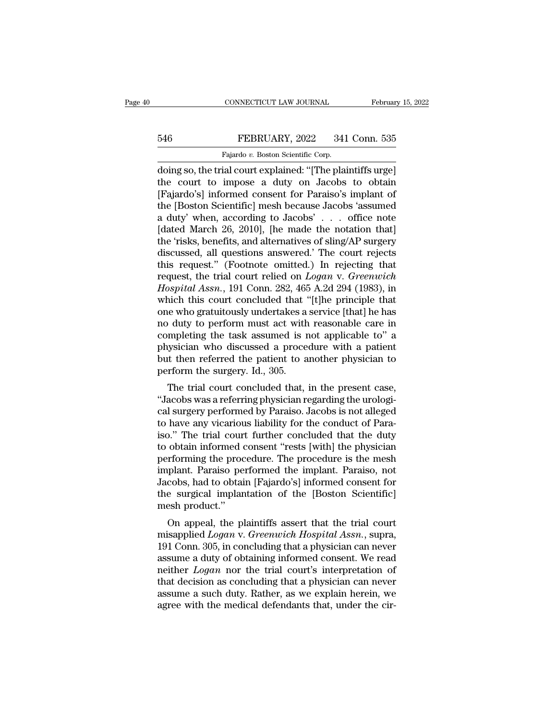## EXECUTE CONNECTICUT LAW JOURNAL February 15, 2022<br>546 FEBRUARY, 2022 341 Conn. 535<br>Fajardo v. Boston Scientific Corp. CONNECTICUT LAW JOURNAL<br>FEBRUARY, 2022 341<br>Fajardo *v.* Boston Scientific Corp.<br>ial court explained: "[The plai

CONNECTICUT LAW JOURNAL February 15, 202:<br>
546 FEBRUARY, 2022 341 Conn. 535<br>
Fajardo v. Boston Scientific Corp.<br>
doing so, the trial court explained: "[The plaintiffs urge]<br>
the court to impose a duty on Jacobs to obtain FEBRUARY, 2022 341 Conn. 535<br>
Fajardo v. Boston Scientific Corp.<br>
doing so, the trial court explained: "[The plaintiffs urge]<br>
the court to impose a duty on Jacobs to obtain<br>
[Fajardo's] informed consent for Paraiso's impl FEBRUARY, 2022 341 Conn. 535<br>
Fajardo v. Boston Scientific Corp.<br>
doing so, the trial court explained: "[The plaintiffs urge]<br>
the court to impose a duty on Jacobs to obtain<br>
[Fajardo's] informed consent for Paraiso's imp 546 FEBRUARY, 2022 341 Conn. 535<br>
Fajardo v. Boston Scientific Corp.<br>
doing so, the trial court explained: "[The plaintiffs urge]<br>
the court to impose a duty on Jacobs to obtain<br>
[Fajardo's] informed consent for Paraiso's Fajardo v. Boston Scientific Corp.<br>
doing so, the trial court explained: "[The plaintiffs urge]<br>
the court to impose a duty on Jacobs to obtain<br>
[Fajardo's] informed consent for Paraiso's implant of<br>
the [Boston Scientifi Fajardo v. Boston Scientific Corp.<br>
doing so, the trial court explained: "[The plaintiffs urge]<br>
the court to impose a duty on Jacobs to obtain<br>
[Fajardo's] informed consent for Paraiso's implant of<br>
the [Boston Scientific doing so, the trial court explained: "[The plaintiffs urge]<br>the court to impose a duty on Jacobs to obtain<br>[Fajardo's] informed consent for Paraiso's implant of<br>the [Boston Scientific] mesh because Jacobs 'assumed<br>a duty' the court to impose a duty on Jacobs to obtain [Fajardo's] informed consent for Paraiso's implant of the [Boston Scientific] mesh because Jacobs 'assumed a duty' when, according to Jacobs' . . . office note [dated March 2 [Fajardo's] informed consent for Paraiso's implant of<br>the [Boston Scientific] mesh because Jacobs 'assumed<br>a duty' when, according to Jacobs' . . . office note<br>[dated March 26, 2010], [he made the notation that]<br>the 'risk the [Boston Scientific] mesh because Jacobs 'assumed<br>a duty' when, according to Jacobs' . . . office note<br>[dated March 26, 2010], [he made the notation that]<br>the 'risks, benefits, and alternatives of sling/AP surgery<br>discu a duty' when, according to Jacobs' . . . office note<br>[dated March 26, 2010], [he made the notation that]<br>the 'risks, benefits, and alternatives of sling/AP surgery<br>discussed, all questions answered.' The court rejects<br>this [dated March 26, 2010], [he made the notation that]<br>the 'risks, benefits, and alternatives of sling/AP surgery<br>discussed, all questions answered.' The court rejects<br>this request.'' (Footnote omitted.) In rejecting that<br>re the 'risks, benefits, and alternatives of sling/AP surgery<br>discussed, all questions answered.' The court rejects<br>this request." (Footnote omitted.) In rejecting that<br>request, the trial court relied on *Logan* v. *Greenwich* discussed, all questions answered.' The court rejects<br>this request." (Footnote omitted.) In rejecting that<br>request, the trial court relied on *Logan* v. *Greenwich*<br>*Hospital Assn.*, 191 Conn. 282, 465 A.2d 294 (1983), in<br> this request." (Footnote omitted.) In rejecting that<br>request, the trial court relied on *Logan* v. *Greenwich*<br>*Hospital Assn.*, 191 Conn. 282, 465 A.2d 294 (1983), in<br>which this court concluded that "[t]he principle that<br> request, the trial court relied on *Logan v. Greenwich*<br>*Hospital Assn.*, 191 Conn. 282, 465 A.2d 294 (1983), in<br>which this court concluded that "[t]he principle that<br>one who gratuitously undertakes a service [that] he has Hospital Assn., 191 Conn. 282, 465 A.2d 294 (1983), in which this court concluded that "[t]he principle that one who gratuitously undertakes a service [that] he has no duty to perform must act with reasonable care in comp which this court concluded that '<br>one who gratuitously undertakes a<br>no duty to perform must act with<br>completing the task assumed is r<br>physician who discussed a proce<br>but then referred the patient to a<br>perform the surgery.  $\alpha$  buty to perform must act with reasonable care in mpleting the task assumed is not applicable to" a sysician who discussed a procedure with a patient then referred the patient to another physician to rform the surgery The duty to perform must act with reasonable care in<br>
completing the task assumed is not applicable to" a<br>
physician who discussed a procedure with a patient<br>
but then referred the patient to another physician to<br>
perform

completing the task assumed is not applicable to a<br>physician who discussed a procedure with a patient<br>but then referred the patient to another physician to<br>perform the surgery. Id., 305.<br>The trial court concluded that, in physician who discussed a procedule with a patient<br>but then referred the patient to another physician to<br>perform the surgery. Id., 305.<br>The trial court concluded that, in the present case,<br>"Jacobs was a referring physician but then referred the patient to another physician to<br>perform the surgery. Id., 305.<br>The trial court concluded that, in the present case,<br>"Jacobs was a referring physician regarding the urologi-<br>cal surgery performed by Pa periorin the surgery. Id., 505.<br>
The trial court concluded that, in the present case,<br>
"Jacobs was a referring physician regarding the urologi-<br>
cal surgery performed by Paraiso. Jacobs is not alleged<br>
to have any vicariou The trial court concluded that, in the present case,<br>"Jacobs was a referring physician regarding the urologi-<br>cal surgery performed by Paraiso. Jacobs is not alleged<br>to have any vicarious liability for the conduct of Para-"Jacobs was a referring physician regarding the urological surgery performed by Paraiso. Jacobs is not alleged<br>to have any vicarious liability for the conduct of Para-<br>iso." The trial court further concluded that the duty<br> cal surgery performed by Paraiso. Jacobs is not alleged<br>to have any vicarious liability for the conduct of Para-<br>iso." The trial court further concluded that the duty<br>to obtain informed consent "rests [with] the physician<br> to have any vicarious liability for the conduct of Paraiso." The trial court further concluded that the duty to obtain informed consent "rests [with] the physician performing the procedure. The procedure is the mesh implan iso." The trial cour<br>to obtain informed of<br>performing the proce<br>implant. Paraiso pe<br>Jacobs, had to obtai<br>the surgical implar<br>mesh product."<br>On appeal, the pl Froming the procedure. The procedure is the mesh<br>plant. Paraiso performed the implant. Paraiso, not<br>cobs, had to obtain [Fajardo's] informed consent for<br>e surgical implantation of the [Boston Scientific]<br>esh product."<br>On a performing the procedure. The procedure is the mesh<br>implant. Paraiso performed the implant. Paraiso, not<br>Jacobs, had to obtain [Fajardo's] informed consent for<br>the surgical implantation of the [Boston Scientific]<br>mesh prod

Inipiant. 1 at also performed the implant. 1 at also, not<br>Jacobs, had to obtain [Fajardo's] informed consent for<br>the surgical implantation of the [Boston Scientific]<br>mesh product."<br>On appeal, the plaintiffs assert that the Factor and the surgical implantation of the [Boston Scientific]<br>the surgical implantation of the [Boston Scientific]<br>mesh product."<br>On appeal, the plaintiffs assert that the trial court<br>misapplied *Logan* v. *Greenwich Ho* Inter Surgical Implantation of the [boston Scientinc]<br>
mesh product."<br>
On appeal, the plaintiffs assert that the trial court<br>
misapplied *Logan* v. *Greenwich Hospital Assn.*, supra,<br>
191 Conn. 305, in concluding that a ph on appeal, the plaintiffs assert that the trial court<br>misapplied *Logan* v. *Greenwich Hospital Assn.*, supra,<br>191 Conn. 305, in concluding that a physician can never<br>assume a duty of obtaining informed consent. We read<br>ne On appeal, the plaintiffs assert that the trial court<br>misapplied *Logan* v. *Greenwich Hospital Assn.*, supra,<br>191 Conn. 305, in concluding that a physician can never<br>assume a duty of obtaining informed consent. We read<br>n misapplied *Logan* v. *Greenwich Hospital Assn.*, supra, 191 Conn. 305, in concluding that a physician can never assume a duty of obtaining informed consent. We read neither *Logan* nor the trial court's interpretation of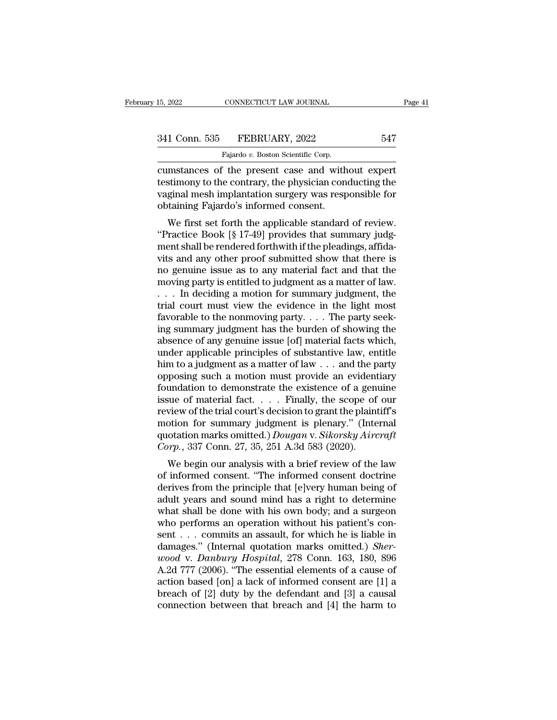CONNECTICUT LAW JOURNAL<br>FEBRUARY, 2022<br>Fajardo *v.* Boston Scientific Corp.<br>The present case and with EXECUTE 15, 2022<br>
CONNECTICUT LAW JOURNAL<br>
SALE CONNECTICUT LAW JOURNAL<br>
Tajardo v. Boston Scientific Corp.<br>
Cumstances of the present case and without expert<br>
testimony to the contrary, the physician conducting the<br>
syngi 341 Conn. 535 FEBRUARY, 2022 547<br>Fajardo v. Boston Scientific Corp.<br>Cumstances of the present case and without expert<br>testimony to the contrary, the physician conducting the<br>vaginal mesh implantation surgery was responsibl 341 Conn. 535 FEBRUARY, 2022 547<br>
Fajardo v. Boston Scientific Corp.<br>
cumstances of the present case and without expert<br>
testimony to the contrary, the physician conducting the<br>
vaginal mesh implantation surgery was respo 341 Conn. 535 FEBRUARY, 2022<br>Fajardo v. Boston Scientific Corp.<br>cumstances of the present case and with<br>testimony to the contrary, the physician con<br>vaginal mesh implantation surgery was resp<br>obtaining Fajardo's informed c Fajardo v. Boston Scientific Corp.<br>
Instances of the present case and without expert<br>
stimony to the contrary, the physician conducting the<br>
ginal mesh implantation surgery was responsible for<br>
taining Fajardo's informed c cumstances of the present case and without expert<br>testimony to the contrary, the physician conducting the<br>vaginal mesh implantation surgery was responsible for<br>obtaining Fajardo's informed consent.<br>We first set forth the a

cultured for the present case and without expert<br>testimony to the contrary, the physician conducting the<br>vaginal mesh implantation surgery was responsible for<br>obtaining Fajardo's informed consent.<br>We first set forth the ap vaginal mesh implantation surgery was responsible for<br>obtaining Fajardo's informed consent.<br>We first set forth the applicable standard of review.<br>"Practice Book [§ 17-49] provides that summary judg-<br>ment shall be rendered vaginal filest implantation surgery was responsible for<br>obtaining Fajardo's informed consent.<br>"Practice Book [§ 17-49] provides that summary judg-<br>ment shall be rendered forthwith if the pleadings, affida-<br>vits and any oth botanting Pajardo's informed consert.<br>
We first set forth the applicable standard of review.<br>
"Practice Book [§ 17-49] provides that summary judgment shall be rendered forthwith if the pleadings, affidavits<br>
and any other We first set forth the applicable standard of review.<br>
"Practice Book [§ 17-49] provides that summary judgment shall be rendered forthwith if the pleadings, affidavits and any other proof submitted show that there is<br>
no "Practice Book [§ 17-49] provides that summary judg-<br>ment shall be rendered forthwith if the pleadings, affida-<br>vits and any other proof submitted show that there is<br>no genuine issue as to any material fact and that the<br>m ment shall be rendered forthwith if the pleadings, affidavits and any other proof submitted show that there is<br>no genuine issue as to any material fact and that the<br>moving party is entitled to judgment as a matter of law. vits and any other proof submitted show that there is<br>no genuine issue as to any material fact and that the<br>moving party is entitled to judgment as a matter of law.<br> $\dots$  In deciding a motion for summary judgment, the<br>tria no genuine issue as to any material fact and that the<br>moving party is entitled to judgment as a matter of law.<br>... In deciding a motion for summary judgment, the<br>trial court must view the evidence in the light most<br>favora moving party is entitled to judgment as a matter of law.<br>  $\dots$  In deciding a motion for summary judgment, the<br>
trial court must view the evidence in the light most<br>
favorable to the nonmoving party.  $\dots$  The party seek-<br> . . . In deciding a motion for summary judgment, the<br>trial court must view the evidence in the light most<br>favorable to the nonmoving party. . . . The party seek-<br>ing summary judgment has the burden of showing the<br>absence trial court must view the evidence in the light most<br>favorable to the nonmoving party.... The party seek-<br>ing summary judgment has the burden of showing the<br>absence of any genuine issue [of] material facts which,<br>under ap favorable to the nonmoving party.... The party seeking summary judgment has the burden of showing the absence of any genuine issue [of] material facts which, under applicable principles of substantive law, entitle him to ing summary judgment has the burden of showing the<br>absence of any genuine issue [of] material facts which,<br>under applicable principles of substantive law, entitle<br>him to a judgment as a matter of law . . . and the party<br>op absence of any genuine issue [of] material facts which,<br>under applicable principles of substantive law, entitle<br>him to a judgment as a matter of law  $\dots$  and the party<br>opposing such a motion must provide an evidentiary<br>fo under applicable principles of substantive law, entitle<br>him to a judgment as a matter of law . . . and the party<br>opposing such a motion must provide an evidentiary<br>foundation to demonstrate the existence of a genuine<br>issu him to a judgment as a matter of law . . . and the party<br>opposing such a motion must provide an evidentiary<br>foundation to demonstrate the existence of a genuine<br>issue of material fact. . . . Finally, the scope of our<br>revie opposing such a motion must provide an evident foundation to demonstrate the existence of a genussue of material fact. . . . . Finally, the scope of review of the trial court's decision to grant the plaint motion for summa midation to demonstrate the existence of a genuine<br>sue of material fact.... Finally, the scope of our<br>view of the trial court's decision to grant the plaintiff's<br>otion for summary judgment is plenary." (Internal<br>otation m issue of infaterial ract.  $\ldots$  Finally, the scope of our review of the trial court's decision to grant the plaintiff's motion for summary judgment is plenary." (Internal quotation marks omitted.) *Dougan v. Sikorsky Airc* 

review of the trial court's decision to grant the plantin's<br>motion for summary judgment is plenary." (Internal<br>quotation marks omitted.) *Dougan v. Sikorsky Aircraft*<br>*Corp.*, 337 Conn. 27, 35, 251 A.3d 583 (2020).<br>We begi motion for summary judgment is plenary. (Internation marks omitted.) *Dougan v. Sikorsky Aircraft*<br>Corp., 337 Conn. 27, 35, 251 A.3d 583 (2020).<br>We begin our analysis with a brief review of the law<br>of informed consent. "T Gorp., 337 Conn. 27, 35, 251 A.3d 583 (2020).<br>
We begin our analysis with a brief review of the law<br>
of informed consent. "The informed consent doctrine<br>
derives from the principle that [e]very human being of<br>
adult years We begin our analysis with a brief review of the law<br>of informed consent. "The informed consent doctrine<br>derives from the principle that [e]very human being of<br>adult years and sound mind has a right to determine<br>what shal We begin our analysis with a brief review of the law<br>of informed consent. "The informed consent doctrine<br>derives from the principle that [e]very human being of<br>adult years and sound mind has a right to determine<br>what shal of informed consent. "The informed consent doctrine<br>derives from the principle that [e]very human being of<br>adult years and sound mind has a right to determine<br>what shall be done with his own body; and a surgeon<br>who perform derives from the principle that [e]very human being of<br>adult years and sound mind has a right to determine<br>what shall be done with his own body; and a surgeon<br>who performs an operation without his patient's con-<br>sent . . . adult years and sound mind has a right to determine<br>what shall be done with his own body; and a surgeon<br>who performs an operation without his patient's con-<br>sent . . . commits an assault, for which he is liable in<br>damages what shall be done with his own body; and a surgeon<br>who performs an operation without his patient's con-<br>sent . . . commits an assault, for which he is liable in<br>damages." (Internal quotation marks omitted.) *Sher-*<br>wood who performs an operation without his patient's consent . . . commits an assault, for which he is liable in damages." (Internal quotation marks omitted.) *Sherwood* v. *Danbury Hospital*, 278 Conn. 163, 180, 896 A.2d 777 sent . . . commits an assault, for which he is liable in damages." (Internal quotation marks omitted.) *Sherwood* v. *Danbury Hospital*, 278 Conn. 163, 180, 896 A.2d 777 (2006). "The essential elements of a cause of actio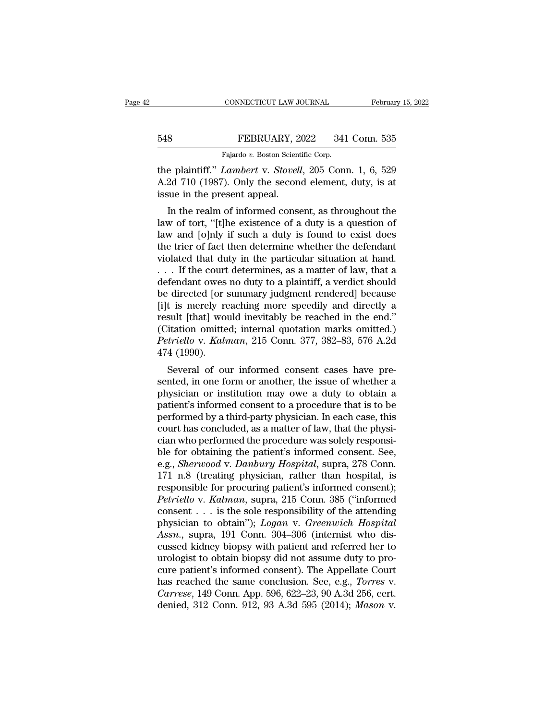## EXECUTE CONNECTICUT LAW JOURNAL February 15, 2022<br>548 FEBRUARY, 2022 341 Conn. 535<br>Fajardo v. Boston Scientific Corp. EXAMPLE CONNECTICUT LAW JOURNAL<br>Fajardo *v.* Boston Scientific Corp.<br>*Lambert v. Stovell* 205 Corp.

THE PROVIDE CONNECTICUT LAW JOURNAL February 15, 2022<br>
FEBRUARY, 2022 341 Conn. 535<br>
Fajardo v. Boston Scientific Corp.<br>
The plaintiff.'' *Lambert* v. *Stovell*, 205 Conn. 1, 6, 529<br>
A.2d 710 (1987). Only the second elemen FEBRUARY, 2022 341 Conn. 535<br>Fajardo v. Boston Scientific Corp.<br>The plaintiff." *Lambert* v. *Stovell*, 205 Conn. 1, 6, 529<br>A.2d 710 (1987). Only the second element, duty, is at<br>issue in the present appeal. FEBRUARY, 2<br>
Fajardo v. Boston Scient<br>
the plaintiff." *Lambert* v. *Stoveli*<br>
A.2d 710 (1987). Only the secon<br>
issue in the present appeal.<br>
In the realm of informed conse FEBRUARY, 2022 341 Conn. 535<br>
Fajardo v. Boston Scientific Corp.<br>
e plaintiff." *Lambert* v. *Stovell*, 205 Conn. 1, 6, 529<br>
2d 710 (1987). Only the second element, duty, is at<br>
sue in the present appeal.<br>
In the realm of

Fajardo v. Boston Scientific Corp.<br>
the plaintiff." *Lambert* v. *Stovell*, 205 Conn. 1, 6, 529<br>
A.2d 710 (1987). Only the second element, duty, is at<br>
issue in the present appeal.<br>
In the realm of informed consent, as th the plaintiff." *Lambert* v. *Stovell*, 205 Conn. 1, 6, 529<br>A.2d 710 (1987). Only the second element, duty, is at<br>issue in the present appeal.<br>In the realm of informed consent, as throughout the<br>law of tort, "[t]he existen the plant. Example *n* v. Stoch, 205 Colul. 1, 0, 329<br>A.2d 710 (1987). Only the second element, duty, is at<br>issue in the present appeal.<br>In the realm of informed consent, as throughout the<br>law of tort, "[t]he existence of A.2d 710 (1987). Only the second element, duty, is at issue in the present appeal.<br>
In the realm of informed consent, as throughout the law of tort, "[t]he existence of a duty is a question of law and [o]nly if such a dut In the present appear.<br>
In the realm of informed consent, as throughout the<br>
law of tort, "[t]he existence of a duty is a question of<br>
law and [o]nly if such a duty is found to exist does<br>
the trier of fact then determine In the realm of informed consent, as throughout the<br>law of tort, "[t]he existence of a duty is a question of<br>law and [o]nly if such a duty is found to exist does<br>the trier of fact then determine whether the defendant<br>viol here is a question of law of tort, "[t]he existence of a duty is a question of law and [o]nly if such a duty is found to exist does the trier of fact then determine whether the defendant violated that duty in the particul law and [o]nly if such a duty is found to exist does<br>the trier of fact then determine whether the defendant<br>violated that duty in the particular situation at hand.<br> $\dots$  If the court determines, as a matter of law, that a<br> the trier of fact then determine whether the defendant<br>violated that duty in the particular situation at hand.<br>... If the court determines, as a matter of law, that a<br>defendant owes no duty to a plaintiff, a verdict shoul violated that duty in the particular situation at hand.<br>
... If the court determines, as a matter of law, that a<br>
defendant owes no duty to a plaintiff, a verdict should<br>
be directed [or summary judgment rendered] because *Perriella Court determines, as a matter of law, that a* defendant owes no duty to a plaintiff, a verdict should be directed [or summary judgment rendered] because [i]t is merely reaching more speedily and directly a resul defendant owes<br>be directed [or :<br>[i]t is merely re<br>result [that] wou<br>(Citation omitte<br>*Petriello* v. *Kalr*<br>474 (1990).<br>Several of ou Function of summary judgment rendered because<br>t is merely reaching more speedily and directly a<br>sult [that] would inevitably be reached in the end."<br>itation omitted; internal quotation marks omitted.)<br>triello v. Kalman, 2 Figure is interely reaching interesting and directly a<br>result [that] would inevitably be reached in the end."<br>(Citation omitted; internal quotation marks omitted.)<br>*Petriello v. Kalman*, 215 Conn. 377, 382–83, 576 A.2d<br>47

physician or institution may be reached in the end.<br>
(Citation omitted; internal quotation marks omitted.)<br> *Petriello v. Kalman*, 215 Conn. 377, 382–83, 576 A.2d<br>
474 (1990).<br>
Several of our informed consent cases have pr patient of law that the physician consent to a procedure that is to be performed by a third-party physician or institution and patient's informed consent cases have presented, in one form or another, the issue of whether perferior v. Kalman, 215 Collit. 377, 382–83, 376 A.2d<br>474 (1990).<br>Several of our informed consent cases have pre-<br>sented, in one form or another, the issue of whether a<br>physician or institution may owe a duty to obtain a<br> Several of our informed consent cases have pre-<br>sented, in one form or another, the issue of whether a<br>physician or institution may owe a duty to obtain a<br>patient's informed consent to a procedure that is to be<br>performed b Several of our informed consent cases have presented, in one form or another, the issue of whether a physician or institution may owe a duty to obtain a patient's informed consent to a procedure that is to be performed by sented, in one form or another, the issue of whether a<br>physician or institution may owe a duty to obtain a<br>patient's informed consent to a procedure that is to be<br>performed by a third-party physician. In each case, this<br>co physician or institution may owe a duty to obtain a<br>patient's informed consent to a procedure that is to be<br>performed by a third-party physician. In each case, this<br>court has concluded, as a matter of law, that the physi-<br> patient's informed consent to a procedure that is to be<br>performed by a third-party physician. In each case, this<br>court has concluded, as a matter of law, that the physi-<br>cian who performed the procedure was solely responsi performed by a third-party physician. In each case, this<br>court has concluded, as a matter of law, that the physi-<br>cian who performed the procedure was solely responsi-<br>ble for obtaining the patient's informed consent. See, *Petriello* concluded, as a matter of law, that the physician who performed the procedure was solely responsible for obtaining the patient's informed consent. See, e.g., *Sherwood v. Danbury Hospital*, supra, 278 Conn. 171 cian who performed the procedure was solely responsi-<br>ble for obtaining the patient's informed consent. See,<br>e.g., *Sherwood v. Danbury Hospital*, supra, 278 Conn.<br>171 n.8 (treating physician, rather than hospital, is<br>resp ble for obtaining the patient's informed consent. See,<br>e.g., *Sherwood* v. *Danbury Hospital*, supra, 278 Conn.<br>171 n.8 (treating physician, rather than hospital, is<br>responsible for procuring patient's informed consent);<br> **e.g., Sherwood v. Danbury Hospital, supra, 278 Conn.**<br>171 n.8 (treating physician, rather than hospital, is<br>responsible for procuring patient's informed consent);<br>*Petriello v. Kalman*, supra, 215 Conn. 385 ("informed<br>con 171 n.8 (treating physician, rather than hospital, is<br>responsible for procuring patient's informed consent);<br>*Petriello v. Kalman*, supra, 215 Conn. 385 ("informed<br>consent . . . is the sole responsibility of the attending responsible for procuring patient's informed consent);<br> *Petriello* v. *Kalman*, supra, 215 Conn. 385 ("informed<br>
consent . . . is the sole responsibility of the attending<br>
physician to obtain"); *Logan* v. *Greenwich Hos* Petriello v. Kalman, supra, 215 Conn. 385 ("informed consent . . . is the sole responsibility of the attending physician to obtain"); *Logan v. Greenwich Hospital Assn.*, supra, 191 Conn. 304–306 (internist who discusse consent . . . is the sole responsibility of the attending<br>physician to obtain"); *Logan* v. *Greenwich Hospital*<br>*Assn.*, supra, 191 Conn. 304–306 (internist who dis-<br>cussed kidney biopsy with patient and referred her to<br>u physician to obtain"); *Logan v. Greenwich Hospital*<br>Assn., supra, 191 Conn. 304–306 (internist who discussed kidney biopsy with patient and referred her to<br>urologist to obtain biopsy did not assume duty to pro-<br>cure patie Assn., supra, 191 Conn. 304–306 (internist who discussed kidney biopsy with patient and referred her to urologist to obtain biopsy did not assume duty to procure patient's informed consent). The Appellate Court has reached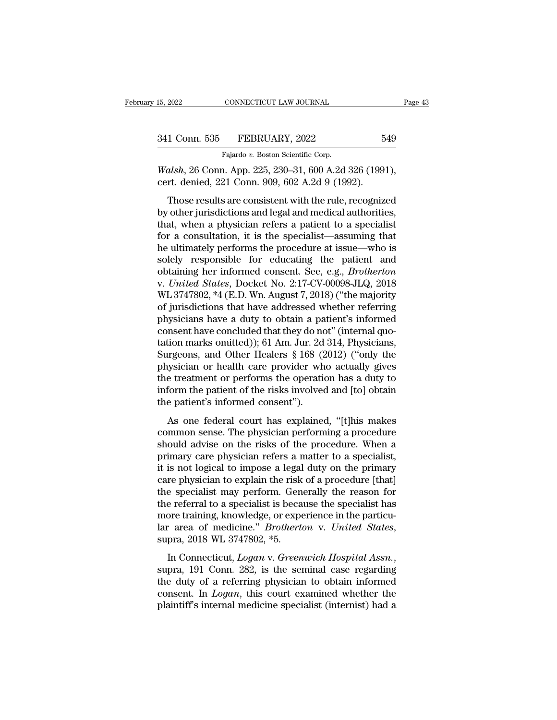CONNECTICUT LAW JOURNAL<br>FEBRUARY, 2022<br>Fajardo *v.* Boston Scientific Corp.<br>1 App. 225 230–31 600 A 2d

15, 2022 CONNECTICUT LAW JOURNAL Page<br>
341 Conn. 535 FEBRUARY, 2022 549<br>
Fajardo v. Boston Scientific Corp.<br> *Walsh*, 26 Conn. App. 225, 230–31, 600 A.2d 326 (1991),<br>
cert. denied, 221 Conn. 909, 602 A.2d 9 (1992). 341 Conn. 535 FEBRUARY, 2022 5<br>
Fajardo v. Boston Scientific Corp.<br>
Walsh, 26 Conn. App. 225, 230–31, 600 A.2d 326 (199<br>
cert. denied, 221 Conn. 909, 602 A.2d 9 (1992).<br>
Those results are consistent with the rule, recogniz

1 Conn. 535 FEBRUARY, 2022 549<br>
Fajardo v. Boston Scientific Corp.<br>
alsh, 26 Conn. App. 225, 230–31, 600 A.2d 326 (1991),<br>
rt. denied, 221 Conn. 909, 602 A.2d 9 (1992).<br>
Those results are consistent with the rule, recogniz  $\frac{341 \text{ Conn. } 535 \qquad \text{FEBRUARY, } 2022 \qquad \text{549}}{\text{Fajardo } v. \text{ Boston Scientific Corp.}}$ <br> *Walsh*, 26 Conn. App. 225, 230–31, 600 A.2d 326 (1991),<br>
cert. denied, 221 Conn. 909, 602 A.2d 9 (1992).<br>
Those results are consistent with the rule, recogn Fajardo v. Boston Scientific Corp.<br>
Walsh, 26 Conn. App. 225, 230–31, 600 A.2d 326 (1991),<br>
cert. denied, 221 Conn. 909, 602 A.2d 9 (1992).<br>
Those results are consistent with the rule, recognized<br>
by other jurisdictions a *Walsh*, 26 Conn. App. 225, 230–31, 600 A.2d 326 (1991),<br>cert. denied, 221 Conn. 909, 602 A.2d 9 (1992).<br>Those results are consistent with the rule, recognized<br>by other jurisdictions and legal and medical authorities,<br>tha mather, 20 collin. Tipp. 220, 260 61, 660 1.2d 626 (1661),<br>cert. denied, 221 Conn. 909, 602 A.2d 9 (1992).<br>Those results are consistent with the rule, recognized<br>by other jurisdictions and legal and medical authorities,<br>t Those results are consistent with the rule, recognized<br>by other jurisdictions and legal and medical authorities,<br>that, when a physician refers a patient to a specialist<br>for a consultation, it is the specialist—assuming th Those results are consistent with the rule, recognized<br>by other jurisdictions and legal and medical authorities,<br>that, when a physician refers a patient to a specialist<br>for a consultation, it is the specialist—assuming tha by other jurisdictions and legal and medical authorities,<br>that, when a physician refers a patient to a specialist<br>for a consultation, it is the specialist—assuming that<br>he ultimately performs the procedure at issue—who is<br> that, when a physician refers a patient to a specialist<br>for a consultation, it is the specialist—assuming that<br>he ultimately performs the procedure at issue—who is<br>solely responsible for educating the patient and<br>obtaining for a consultation, it is the specialist—assuming that<br>he ultimately performs the procedure at issue—who is<br>solely responsible for educating the patient and<br>obtaining her informed consent. See, e.g., *Brotherton*<br>v. *Unite* he ultimately performs the procedure at issue—who is<br>solely responsible for educating the patient and<br>obtaining her informed consent. See, e.g., *Brotherton*<br>v. *United States*, Docket No. 2:17-CV-00098-JLQ, 2018<br>WL 374780 solely responsible for educating the patient and<br>obtaining her informed consent. See, e.g., *Brotherton*<br>v. *United States*, Docket No. 2:17-CV-00098-JLQ, 2018<br>WL 3747802, \*4 (E.D. Wn. August 7, 2018) ("the majority<br>of jur obtaining her informed consent. See, e.g., *Brotherton*<br>v. United States, Docket No. 2:17-CV-00098-JLQ, 2018<br>WL 3747802, \*4 (E.D. Wn. August 7, 2018) ("the majority<br>of jurisdictions that have addressed whether referring<br>ph v. United States, Docket No. 2:17-CV-00098-JLQ, 2018<br>WL 3747802, \*4 (E.D. Wn. August 7, 2018) ("the majority<br>of jurisdictions that have addressed whether referring<br>physicians have a duty to obtain a patient's informed<br>cons WL 3747802, \*4 (E.D. Wn. August 7, 2018) ("the majority<br>of jurisdictions that have addressed whether referring<br>physicians have a duty to obtain a patient's informed<br>consent have concluded that they do not" (internal quo-<br>t of jurisdictions that have addressed whether referring<br>physicians have a duty to obtain a patient's informed<br>consent have concluded that they do not" (internal quo-<br>tation marks omitted)); 61 Am. Jur. 2d 314, Physicians,<br>S physicians have a duty to obtain a patient's informed<br>consent have concluded that they do not" (internal quo-<br>tation marks omitted)); 61 Am. Jur. 2d 314, Physicians,<br>Surgeons, and Other Healers § 168 (2012) ("only the<br>phys consent have concluded that they do notation marks omitted)); 61 Am. Jur. 2d<br>Surgeons, and Other Healers § 168 (2<br>physician or health care provider wh<br>the treatment or performs the operation<br>inform the patient of the risks From finance of the freelers § 168 (2012) ("only the system or health care provider who actually gives<br>a treatment or performs the operation has a duty to<br>form the patient of the risks involved and [to] obtain<br>e patient's composition or health care provider who actually gives<br>the treatment or performs the operation has a duty to<br>inform the patient of the risks involved and [to] obtain<br>the patient's informed consent").<br>As one federal court

priyshed of headar care provider who detailing gives<br>the treatment or performs the operation has a duty to<br>inform the patient's informed consent").<br>As one federal court has explained, "[t]his makes<br>common sense. The physic inform the patient of performs are operation rate a daily to<br>inform the patient of the risks involved and [to] obtain<br>the patient's informed consent").<br>As one federal court has explained, "[t]his makes<br>common sense. The ph it is not logical to the mass involved and [co] obtain<br>the patient's informed consent").<br>As one federal court has explained, "[t]his makes<br>common sense. The physician performing a procedure<br>should advise on the risks of th As one federal court has explained, "[t]his makes<br>common sense. The physician performing a procedure<br>should advise on the risks of the procedure. When a<br>primary care physician refers a matter to a specialist,<br>it is not log As one federal court has explained, "[t]his makes<br>common sense. The physician performing a procedure<br>should advise on the risks of the procedure. When a<br>primary care physician refers a matter to a specialist,<br>it is not log common sense. The physician performing a procedure<br>should advise on the risks of the procedure. When a<br>primary care physician refers a matter to a specialist,<br>it is not logical to impose a legal duty on the primary<br>care ph should advise on the risks of the procedure. When a<br>primary care physician refers a matter to a specialist,<br>it is not logical to impose a legal duty on the primary<br>care physician to explain the risk of a procedure [that]<br> primary care physician refers a matter to a specialist,<br>it is not logical to impose a legal duty on the primary<br>care physician to explain the risk of a procedure [that]<br>the specialist may perform. Generally the reason for<br> Leare physician to explain the risk of a procedure phase.<br>
the specialist may perform. Generally the reason for<br>
the referral to a specialist is because the specialist has<br>
more training, knowledge, or experience in the pa

the ference is a specialist is seculate are specialist has<br>more training, knowledge, or experience in the particu-<br>lar area of medicine." *Brotherton v. United States*,<br>supra, 2018 WL 3747802, \*5.<br>In Connecticut, *Logan v.* Iar area of medicine." *Brotherton v. United States*,<br>supra, 2018 WL 3747802, \*5.<br>In Connecticut, *Logan v. Greenwich Hospital Assn.*,<br>supra, 191 Conn. 282, is the seminal case regarding<br>the duty of a referring physician t and area of Included. *Brotherton V. Chuted Blattes*, supra, 2018 WL 3747802, \*5.<br>In Connecticut, *Logan* v. *Greenwich Hospital Assn.*, supra, 191 Conn. 282, is the seminal case regarding the duty of a referring physician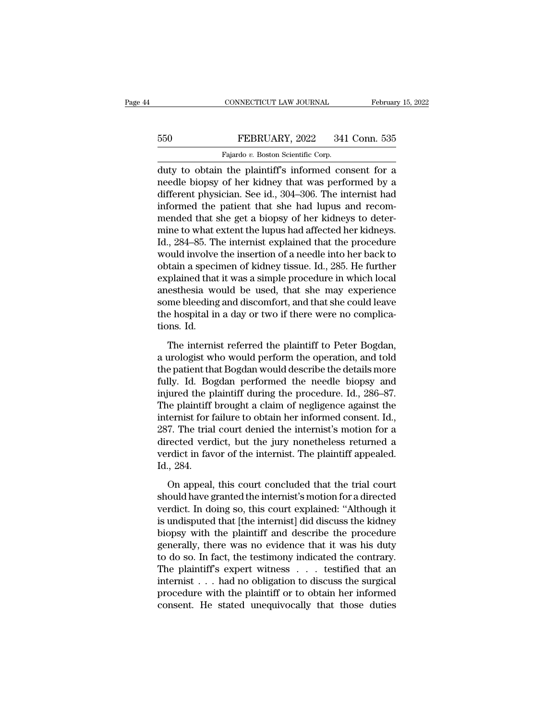## EXECUTE CONNECTICUT LAW JOURNAL February 15, 2022<br>550 FEBRUARY, 2022 341 Conn. 535<br>Fajardo v. Boston Scientific Corp. CONNECTICUT LAW JOURNAL<br>FEBRUARY, 2022 341<br>Fajardo *v.* Boston Scientific Corp.<br>the plaintiff's informed cor

CONNECTICUT LAW JOURNAL February 15, 2022<br>
FEBRUARY, 2022 341 Conn. 535<br>
Fajardo v. Boston Scientific Corp.<br>
duty to obtain the plaintiff's informed consent for a<br>
needle biopsy of her kidney that was performed by a<br>
diffe FEBRUARY, 2022 341 Conn. 535<br>Fajardo v. Boston Scientific Corp.<br>duty to obtain the plaintiff's informed consent for a<br>needle biopsy of her kidney that was performed by a<br>different physician. See id., 304–306. The internist Ferry 2022 341 Conn. 535<br>
Fajardo v. Boston Scientific Corp.<br>
duty to obtain the plaintiff's informed consent for a<br>
needle biopsy of her kidney that was performed by a<br>
different physician. See id., 304–306. The internis FEBRUARY, 2022 341 Conn. 535<br>
Fajardo v. Boston Scientific Corp.<br>
duty to obtain the plaintiff's informed consent for a<br>
needle biopsy of her kidney that was performed by a<br>
different physician. See id., 304–306. The inte Fajardo v. Boston Scientific Corp.<br>
duty to obtain the plaintiff's informed consent for a<br>
needle biopsy of her kidney that was performed by a<br>
different physician. See id., 304–306. The internist had<br>
informed the patien rajardo v. Boston scientific corp.<br>
duty to obtain the plaintiff's informed consent for a<br>
needle biopsy of her kidney that was performed by a<br>
different physician. See id., 304–306. The internist had<br>
informed the patien duty to obtain the plaintiff's informed consent for a<br>needle biopsy of her kidney that was performed by a<br>different physician. See id., 304–306. The internist had<br>informed the patient that she had lupus and recom-<br>mended t needle biopsy of her kidney that was performed by a<br>different physician. See id., 304–306. The internist had<br>informed the patient that she had lupus and recom-<br>mended that she get a biopsy of her kidneys to deter-<br>mine to different physician. See id., 304–306. The internist had<br>informed the patient that she had lupus and recom-<br>mended that she get a biopsy of her kidneys to deter-<br>mine to what extent the lupus had affected her kidneys.<br>Id., informed the patient that she had lupus and recom-<br>mended that she get a biopsy of her kidneys to deter-<br>mine to what extent the lupus had affected her kidneys.<br>Id., 284–85. The internist explained that the procedure<br>would mended that she get a biopsy of her kidneys to determine to what extent the lupus had affected her kidneys.<br>Id., 284–85. The internist explained that the procedure<br>would involve the insertion of a needle into her back to<br>o mine to what extent the lupus had affected her kidneys.<br>Id., 284–85. The internist explained that the procedure<br>would involve the insertion of a needle into her back to<br>obtain a specimen of kidney tissue. Id., 285. He furt Id., 284–85. The internist explained that the procedure<br>would involve the insertion of a needle into her back to<br>obtain a specimen of kidney tissue. Id., 285. He further<br>explained that it was a simple procedure in which lo would involve<br>obtain a speci<br>explained that<br>anesthesia wo<br>some bleeding<br>the hospital in<br>tions. Id.<br>The internis plained that it was a simple procedure in which local<br>esthesia would be used, that she may experience<br>me bleeding and discomfort, and that she could leave<br>e hospital in a day or two if there were no complica-<br>nns. Id.<br>The a urologist would be used, that she may experience<br>some bleeding and discomfort, and that she could leave<br>the hospital in a day or two if there were no complica-<br>tions. Id.<br>The internist referred the plaintiff to Peter Bog

some bleeding and discomfort, and that she could leave<br>the hospital in a day or two if there were no complica-<br>tions. Id.<br>The internist referred the plaintiff to Peter Bogdan,<br>a urologist who would perform the operation, the hospital in a day or two if there were no complications. Id.<br>The internist referred the plaintiff to Peter Bogdan,<br>a urologist who would perform the operation, and told<br>the patient that Bogdan would describe the detail tions. Id.<br>
The internist referred the plaintiff to Peter Bogdan,<br>
a urologist who would perform the operation, and told<br>
the patient that Bogdan would describe the details more<br>
fully. Id. Bogdan performed the needle biop The internist referred the plaintiff to Peter Bogdan,<br>a urologist who would perform the operation, and told<br>the patient that Bogdan would describe the details more<br>fully. Id. Bogdan performed the needle biopsy and<br>injured The internist referred the plaintiff to Peter Bogdan,<br>a urologist who would perform the operation, and told<br>the patient that Bogdan would describe the details more<br>fully. Id. Bogdan performed the needle biopsy and<br>injured a urologist who would perform the operation, and told<br>the patient that Bogdan would describe the details more<br>fully. Id. Bogdan performed the needle biopsy and<br>injured the plaintiff during the procedure. Id., 286–87.<br>The p the patient that Bogdan would describe the details more<br>fully. Id. Bogdan performed the needle biopsy and<br>injured the plaintiff during the procedure. Id., 286–87.<br>The plaintiff brought a claim of negligence against the<br>int fully. Id. Bogdan performed the needle biopsy and<br>injured the plaintiff during the procedure. Id., 286–87.<br>The plaintiff brought a claim of negligence against the<br>internist for failure to obtain her informed consent. Id.,<br> injured the p<br>The plaintiff<br>internist for f<br>287. The trial<br>directed verd<br>verdict in fav<br>Id., 284.<br>On appeal, Francer is for failure to obtain her informed consent. Id.,<br>
7. The trial court denied the internist's motion for a<br>
rected verdict, but the jury nonetheless returned a<br>
rdict in favor of the internist. The plaintiff appea 287. The trial court denied the internist's motion for a directed verdict, but the jury nonetheless returned a verdict in favor of the internist. The plaintiff appealed.<br>Id., 284.<br>On appeal, this court concluded that the t

directed verdict, but the jury nonetheless returned a<br>verdict in favor of the internist. The plaintiff appealed.<br>Id., 284.<br>On appeal, this court concluded that the trial court<br>should have granted the internist's motion for verdict in favor of the internist. The plaintiff appealed.<br>Id., 284.<br>On appeal, this court concluded that the trial court<br>should have granted the internist's motion for a directed<br>verdict. In doing so, this court explained Id., 284.<br>
On appeal, this court concluded that the trial court<br>
should have granted the internist's motion for a directed<br>
verdict. In doing so, this court explained: "Although it<br>
is undisputed that [the internist] did On appeal, this court concluded that the trial court<br>should have granted the internist's motion for a directed<br>verdict. In doing so, this court explained: "Although it<br>is undisputed that [the internist] did discuss the kid On appeal, this court concluded that the trial court<br>should have granted the internist's motion for a directed<br>verdict. In doing so, this court explained: "Although it<br>is undisputed that [the internist] did discuss the kid should have granted the internist's motion for a directed<br>verdict. In doing so, this court explained: "Although it<br>is undisputed that [the internist] did discuss the kidney<br>biopsy with the plaintiff and describe the proced verdict. In doing so, this court explained: "Although it<br>is undisputed that [the internist] did discuss the kidney<br>biopsy with the plaintiff and describe the procedure<br>generally, there was no evidence that it was his duty<br> is undisputed that [the internist] did discuss the kidney<br>biopsy with the plaintiff and describe the procedure<br>generally, there was no evidence that it was his duty<br>to do so. In fact, the testimony indicated the contrary. biopsy with the plaintiff and describe the procedure<br>generally, there was no evidence that it was his duty<br>to do so. In fact, the testimony indicated the contrary.<br>The plaintiff's expert witness  $\dots$  testified that an<br>int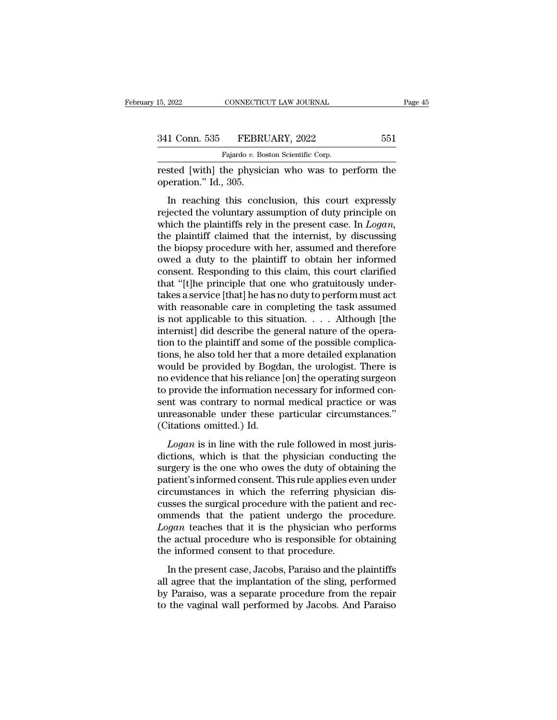rested [with] the physician who was to perform the operation." Id., 305. 341 Conn. 535 FEBRI<br>
Fajardo v. Box<br>
rested [with] the physic<br>
operation." Id., 305.<br>
In reaching this cond

1 Conn. 535 FEBRUARY, 2022 551<br>
Fajardo v. Boston Scientific Corp.<br>
Sted [with] the physician who was to perform the<br>
eration." Id., 305.<br>
In reaching this conclusion, this court expressly<br>
jected the voluntary assumption 341 Conn. 535 FEBRUARY, 2022 551<br>
Fajardo v. Boston Scientific Corp.<br>
rested [with] the physician who was to perform the<br>
operation." Id., 305.<br>
In reaching this conclusion, this court expressly<br>
rejected the voluntary as Fajardo v. Boston Scientific Corp.<br>
rested [with] the physician who was to perform the<br>
operation." Id., 305.<br>
In reaching this conclusion, this court expressly<br>
rejected the voluntary assumption of duty principle on<br>
whic rested [with] the physician who was to perform the<br>operation." Id., 305.<br>In reaching this conclusion, this court expressly<br>rejected the voluntary assumption of duty principle on<br>which the plaintiffs rely in the present cas tested [whir] the physician who was to perform the<br>operation." Id., 305.<br>In reaching this conclusion, this court expressly<br>rejected the voluntary assumption of duty principle on<br>which the plaintiffs rely in the present cas In reaching this conclusion, this court expressly<br>rejected the voluntary assumption of duty principle on<br>which the plaintiffs rely in the present case. In *Logan*,<br>the plaintiff claimed that the internist, by discussing<br>t In reaching this conclusion, this court expressly<br>rejected the voluntary assumption of duty principle on<br>which the plaintiffs rely in the present case. In  $Logan$ ,<br>the plaintiff claimed that the internist, by discussing<br>the rejected the voluntary assumption of duty principle on<br>which the plaintiffs rely in the present case. In *Logan*,<br>the plaintiff claimed that the internist, by discussing<br>the biopsy procedure with her, assumed and therefore which the plaintiffs rely in the present case. In *Logan*, the plaintiff claimed that the internist, by discussing the biopsy procedure with her, assumed and therefore owed a duty to the plaintiff to obtain her informed c the plaintiff claimed that the internist, by discussing<br>the biopsy procedure with her, assumed and therefore<br>owed a duty to the plaintiff to obtain her informed<br>consent. Responding to this claim, this court clarified<br>that the biopsy procedure with her, assumed and therefore<br>owed a duty to the plaintiff to obtain her informed<br>consent. Responding to this claim, this court clarified<br>that "[t]he principle that one who gratuitously under-<br>takes owed a duty to the plaintiff to obtain her informed<br>consent. Responding to this claim, this court clarified<br>that "[t]he principle that one who gratuitously under-<br>takes a service [that] he has no duty to perform must act<br>w consent. Responding to this claim, this court clarified<br>that "[t]he principle that one who gratuitously under-<br>takes a service [that] he has no duty to perform must act<br>with reasonable care in completing the task assumed<br> that "[t]he principle that one who gratuitously under-<br>takes a service [that] he has no duty to perform must act<br>with reasonable care in completing the task assumed<br>is not applicable to this situation. . . . . Although [th takes a service [that] he has no duty to perform must act<br>with reasonable care in completing the task assumed<br>is not applicable to this situation.  $\dots$  Although [the<br>internist] did describe the general nature of the opera with reasonable care in completing the task assumed<br>is not applicable to this situation. . . . Although [the<br>internist] did describe the general nature of the opera-<br>tion to the plaintiff and some of the possible complica is not applicable to this situation.  $\dots$  Although [the internist] did describe the general nature of the operation to the plaintiff and some of the possible complications, he also told her that a more detailed explanatio internist] did describe the general nature of the operation to the plaintiff and some of the possible complications, he also told her that a more detailed explanation would be provided by Bogdan, the urologist. There is no tion to the plaintiff and some of the possible complications, he also told her that a more detailed explanation would be provided by Bogdan, the urologist. There is no evidence that his reliance [on] the operating surgeon tions, he also told her that a<br>would be provided by Bogd<br>no evidence that his reliance<br>to provide the information ne<br>sent was contrary to norma<br>unreasonable under these  $\alpha$ <br>(Citations omitted.) Id.<br>Logan is in line with *Logan* is in line with the rule followed in most juris-<br>*Logan* is in line morning in more control was contrary to normal medical practice or was<br>reasonable under these particular circumstances."<br>itations omitted.) Id.<br>*L* to provide the information necessary for informed consent was contrary to normal medical practice or was<br>unreasonable under these particular circumstances."<br>(Citations omitted.) Id.<br>Logan is in line with the rule followed

sent was contrary to normal medical practice or was<br>unreasonable under these particular circumstances."<br>(Citations omitted.) Id.<br>Logan is in line with the rule followed in most juris-<br>dictions, which is that the physician patient was constantly to hormal medical practice of was<br>
unreasonable under these particular circumstances."<br>
(Citations omitted.) Id.<br> *Logan* is in line with the rule followed in most juris-<br>
dictions, which is that the citations omitted.) Id.<br>
Logan is in line with the rule followed in most juris-<br>
dictions, which is that the physician conducting the<br>
surgery is the one who owes the duty of obtaining the<br>
patient's informed consent. This Logan is in line with the rule followed in most juris-<br>dictions, which is that the physician conducting the<br>surgery is the one who owes the duty of obtaining the<br>patient's informed consent. This rule applies even under<br>ci Logan is in line with the rule followed in most juris-<br>dictions, which is that the physician conducting the<br>surgery is the one who owes the duty of obtaining the<br>patient's informed consent. This rule applies even under<br>ci dictions, which is that the physician conducting the<br>surgery is the one who owes the duty of obtaining the<br>patient's informed consent. This rule applies even under<br>circumstances in which the referring physician dis-<br>cusses surgery is the one who owes the duty of obtaining the patient's informed consent. This rule applies even under circumstances in which the referring physician discusses the surgical procedure with the patient and recommends patient's informed consent. This rule applies ev<br>circumstances in which the referring physicusses the surgical procedure with the patient<br>ommends that the patient undergo the pr<br>*Logan* teaches that it is the physician who In the referring physical discussions asses the surgical procedure with the patient and rec-<br>
annends that the patient undergo the procedure.<br> *gan* teaches that it is the physician who performs<br>
a catual procedure who is casses are surgical procedure what are patient and recommends that the patient undergo the procedure.<br>Logan teaches that it is the physician who performs<br>the actual procedure who is responsible for obtaining<br>the informed c

by Dancelong and the parameter and the physician who performs<br>the actual procedure who is responsible for obtaining<br>the informed consent to that procedure.<br>In the present case, Jacobs, Paraiso and the plaintiffs<br>all agree Legan educted that it is the physical who performed<br>the actual procedure who is responsible for obtaining<br>the informed consent to that procedure.<br>In the present case, Jacobs, Paraiso and the plaintiffs<br>all agree that the i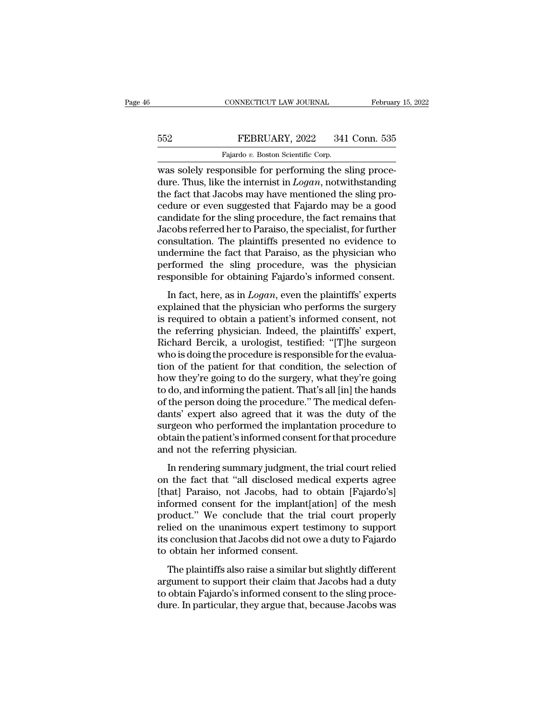# EXECUTE CONNECTICUT LAW JOURNAL February 15, 2022<br>552 FEBRUARY, 2022 341 Conn. 535<br>Fajardo v. Boston Scientific Corp.

CONNECTICUT LAW JOURNAL Februar<br>
Februar<br>
552 FEBRUARY, 2022 341 Conn. 535<br>
Fajardo *v.* Boston Scientific Corp.<br>
was solely responsible for performing the sling proce-CONNECTICUT LAW JOURNAL Februar<br>
Februar<br>
Fajardo v. Boston Scientific Corp.<br>
Was solely responsible for performing the sling proce-<br>
dure. Thus, like the internist in *Logan*, notwithstanding<br>
the fact that Jacobs may hav FEBRUARY, 2022 341 Conn. 535<br>Fajardo v. Boston Scientific Corp.<br>Was solely responsible for performing the sling proce-<br>dure. Thus, like the internist in *Logan*, notwithstanding<br>the fact that Jacobs may have mentioned the FEBRUARY, 2022 341 Conn. 535<br>
Fajardo v. Boston Scientific Corp.<br>
was solely responsible for performing the sling procedure. Thus, like the internist in  $Logan$ , notwithstanding<br>
the fact that Jacobs may have mentioned the s FEBRUARY, 2022 341 Conn. 535<br>
Fajardo v. Boston Scientific Corp.<br>
was solely responsible for performing the sling procedure. Thus, like the internist in *Logan*, notwithstanding<br>
the fact that Jacobs may have mentioned th Fajardo v. Boston Scientific Corp.<br>
was solely responsible for performing the sling proce-<br>
dure. Thus, like the internist in *Logan*, notwithstanding<br>
the fact that Jacobs may have mentioned the sling pro-<br>
cedure or even Figure of Boston Scientific Corp.<br>
Was solely responsible for performing the sling proce-<br>
dure. Thus, like the internist in *Logan*, notwithstanding<br>
the fact that Jacobs may have mentioned the sling pro-<br>
cedure or even was solely responsible for performing the sling procedure. Thus, like the internist in  $Logan$ , notwithstanding the fact that Jacobs may have mentioned the sling procedure or even suggested that Fajardo may be a good candida dure. Thus, like the internist in *Logan*, notwithstanding<br>the fact that Jacobs may have mentioned the sling pro-<br>cedure or even suggested that Fajardo may be a good<br>candidate for the sling procedure, the fact remains that the fact that Jacobs may have mentioned the sling procedure or even suggested that Fajardo may be a good candidate for the sling procedure, the fact remains that Jacobs referred her to Paraiso, the specialist, for further cedure or even suggested that Fajardo may be a good candidate for the sling procedure, the fact remains that Jacobs referred her to Paraiso, the specialist, for further consultation. The plaintiffs presented no evidence to reduction and the sing procedure, the fact remains that<br>cobs referred her to Paraiso, the specialist, for further<br>msultation. The plaintiffs presented no evidence to<br>dermine the fact that Paraiso, as the physician who<br>rfor explained that the physician who performed the sling procedure, was the physician who performed the sling procedure, was the physician responsible for obtaining Fajardo's informed consent.<br>In fact, here, as in *Logan*, eve

is undermine the fact that Paraiso, as the physician who<br>performed the sling procedure, was the physician<br>responsible for obtaining Fajardo's informed consent.<br>In fact, here, as in *Logan*, even the plaintiffs' experts<br>exp maternate the sling procedure, was the physician<br>responsible for obtaining Fajardo's informed consent.<br>In fact, here, as in *Logan*, even the plaintiffs' experts<br>explained that the physician who performs the surgery<br>is req responsible for obtaining Fajardo's informed consent.<br>
In fact, here, as in *Logan*, even the plaintiffs' experts<br>
explained that the physician who performs the surgery<br>
is required to obtain a patient's informed consent, In fact, here, as in *Logan*, even the plaintiffs' experts<br>explained that the physician who performs the surgery<br>is required to obtain a patient's informed consent, not<br>the referring physician. Indeed, the plaintiffs' expe In fact, here, as in *Logan*, even the plaintiffs' experts<br>explained that the physician who performs the surgery<br>is required to obtain a patient's informed consent, not<br>the referring physician. Indeed, the plaintiffs' expe explained that the physician who performs the surgery<br>is required to obtain a patient's informed consent, not<br>the referring physician. Indeed, the plaintiffs' expert,<br>Richard Bercik, a urologist, testified: "[T]he surgeon<br> is required to obtain a patient's informed consent, not<br>the referring physician. Indeed, the plaintiffs' expert,<br>Richard Bercik, a urologist, testified: "[T]he surgeon<br>who is doing the procedure is responsible for the eval the referring physician. Indeed, the plaintiffs' expert,<br>Richard Bercik, a urologist, testified: "[T]he surgeon<br>who is doing the procedure is responsible for the evalua-<br>tion of the patient for that condition, the selectio Richard Bercik, a urologist, testified: "[T]he surgeon<br>who is doing the procedure is responsible for the evalua-<br>tion of the patient for that condition, the selection of<br>how they're going to do the surgery, what they're go who is doing the procedure is responsible for the evaluation of the patient for that condition, the selection of how they're going to do the surgery, what they're going to do, and informing the patient. That's all [in] the tion of the patient for that condition, the selection of<br>how they're going to do the surgery, what they're going<br>to do, and informing the patient. That's all [in] the hands<br>of the person doing the procedure." The medical d how they're going to do the surgery, v<br>to do, and informing the patient. That's<br>of the person doing the procedure." T<br>dants' expert also agreed that it wa<br>surgeon who performed the implanta<br>obtain the patient's informed co In rendering summary judgment, that is an endical defen-<br>Ints' expert also agreed that it was the duty of the<br>rgeon who performed the implantation procedure to<br>tain the patient's informed consent for that procedure<br>d not or and person along are procedure. The included acter<br>dants' expert also agreed that it was the duty of the<br>surgeon who performed the implantation procedure<br>to obtain the patient's informed consent for that procedure<br>and n

alahas expert also agreed and it was are day of the<br>surgeon who performed the implantation procedure to<br>obtain the patient's informed consent for that procedure<br>and not the referring physician.<br>In rendering summary judgmen Exaggeent who performed and implantation procedure to<br>obtain the patient's informed consent for that procedure<br>and not the referring physician.<br>In rendering summary judgment, the trial court relied<br>on the fact that "all di and not the referring physician.<br>
In rendering summary judgment, the trial court relied<br>
on the fact that "all disclosed medical experts agree<br>
[that] Paraiso, not Jacobs, had to obtain [Fajardo's]<br>
informed consent for th In rendering physician.<br>In rendering summary judgment, the trial court relied<br>on the fact that "all disclosed medical experts agree<br>[that] Paraiso, not Jacobs, had to obtain [Fajardo's]<br>informed consent for the implant[ati In rendering summary judgment, the trial court relied<br>on the fact that "all disclosed medical experts agree<br>[that] Paraiso, not Jacobs, had to obtain [Fajardo's]<br>informed consent for the implant[ation] of the mesh<br>product. on the fact that "all disclosed medic<br>[that] Paraiso, not Jacobs, had to c<br>informed consent for the implant[at<br>product." We conclude that the tria<br>relied on the unanimous expert testi<br>its conclusion that Jacobs did not owe The plaintiffs also raise a similar but slightly different<br>general consent for the implant and court properly<br>lied on the unanimous expert testimony to support<br>conclusion that Jacobs did not owe a duty to Fajardo<br>obtain he mormed consent for are implant pastly of are mesh<br>product." We conclude that the trial court properly<br>relied on the unanimous expert testimony to support<br>its conclusion that Jacobs did not owe a duty to Fajardo<br>to obtain h

product. The concluded and the that court property<br>relied on the unanimous expert testimony to support<br>its conclusion that Jacobs did not owe a duty to Fajardo<br>to obtain her informed consent.<br>The plaintiffs also raise a si dure on the dialent of the distribution of the distribution of the separation of the plaintiffs also raise a similar but slightly different argument to support their claim that Jacobs had a duty to obtain Fajardo's informe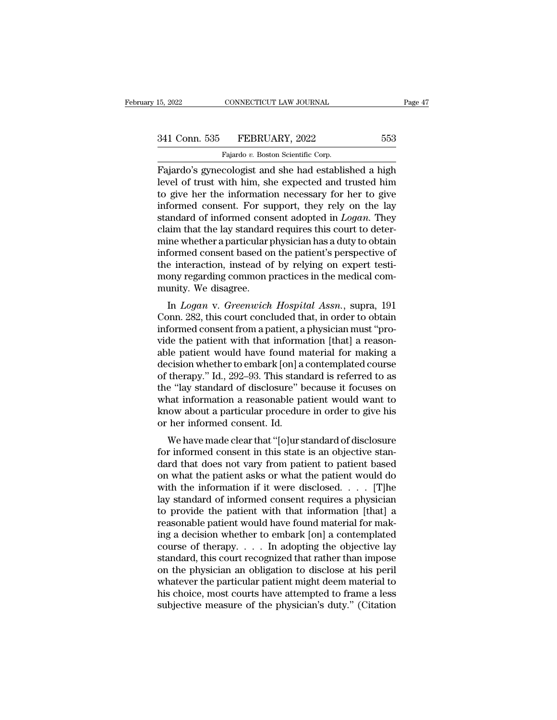Fajardo's gynecologist and she had established a high<br>Tajardo's gynecologist and she had established a high<br>Tajardo's gynecologist and she had established a high<br>The high the sheet of trust with him, she expected and trust 341 Conn. 535 FEBRUARY, 2022 553<br>
Fajardo v. Boston Scientific Corp.<br>
Fajardo's gynecologist and she had established a high<br>
level of trust with him, she expected and trusted him<br>
to give her the information necessary for 341 Conn. 535 FEBRUARY, 2022 553<br>
Fajardo v. Boston Scientific Corp.<br>
Fajardo's gynecologist and she had established a high<br>
level of trust with him, she expected and trusted him<br>
to give her the information necessary for 341 Conn. 535 FEBRUARY, 2022 553<br>
Fajardo v. Boston Scientific Corp.<br>
Fajardo's gynecologist and she had established a high<br>
level of trust with him, she expected and trusted him<br>
to give her the information necessary for Fajardo's gynecologist and she had established a high<br>level of trust with him, she expected and trusted him<br>to give her the information necessary for her to give<br>informed consent. For support, they rely on the lay<br>standard Fajardo's gynecologist and she had established a high<br>level of trust with him, she expected and trusted him<br>to give her the information necessary for her to give<br>informed consent. For support, they rely on the lay<br>standar Fajardo's gynecologist and she had established a high<br>level of trust with him, she expected and trusted him<br>to give her the information necessary for her to give<br>informed consent. For support, they rely on the lay<br>standar level of trust with him, she expected and trusted him<br>to give her the information necessary for her to give<br>informed consent. For support, they rely on the lay<br>standard of informed consent adopted in *Logan*. They<br>claim th to give her the information necessary for her to give<br>informed consent. For support, they rely on the lay<br>standard of informed consent adopted in *Logan*. They<br>claim that the lay standard requires this court to deter-<br>mine informed consent. For support, they rely on the lay standard of informed consent adopted in  $Logan$ . They claim that the lay standard requires this court to determine whether a particular physician has a duty to obtain infor standard of informed cons<br>claim that the lay standard<br>mine whether a particular p<br>informed consent based of<br>the interaction, instead of<br>mony regarding common p<br>munity. We disagree.<br>In *Logan* v. Greenwich In that the lay standard requires this court to deter-<br>ine whether a particular physician has a duty to obtain<br>formed consent based on the patient's perspective of<br>e interaction, instead of by relying on expert testi-<br>ony Finne whether a particular physician has a duty to obtain<br>informed consent based on the patient's perspective of<br>the interaction, instead of by relying on expert testi-<br>mony regarding common practices in the medical com-<br>m

muorined consent based on the patient s perspective of<br>the interaction, instead of by relying on expert testi-<br>mony regarding common practices in the medical com-<br>munity. We disagree.<br>In *Logan* v. *Greenwich Hospital Assn* the interaction, instead of by Ferying on expert test-<br>mony regarding common practices in the medical com-<br>munity. We disagree.<br>In *Logan* v. *Greenwich Hospital Assn.*, supra, 191<br>Conn. 282, this court concluded that, in munity. We disagree.<br>
In *Logan v. Greenwich Hospital Assn.*, supra, 191<br>
Conn. 282, this court concluded that, in order to obtain<br>
informed consent from a patient, a physician must "pro-<br>
vide the patient with that infor In Logan v. Greenwich Hospital Assn., supra, 191<br>Conn. 282, this court concluded that, in order to obtain<br>informed consent from a patient, a physician must "pro-<br>vide the patient with that information [that] a reason-<br>abl In *Logan* v. *Greenwich Hospital Assn.*, supra, 191<br>Conn. 282, this court concluded that, in order to obtain<br>informed consent from a patient, a physician must "pro-<br>vide the patient with that information [that] a reason-<br> Conn. 282, this court concluded that, in order to obtain<br>informed consent from a patient, a physician must "pro-<br>vide the patient with that information [that] a reason-<br>able patient would have found material for making a<br>d informed consent from a patient, a physician must "pro-<br>vide the patient with that information [that] a reason-<br>able patient would have found material for making a<br>decision whether to embark [on] a contemplated course<br>of t vide the patient with that information [that] a reason-<br>able patient would have found material for making a<br>decision whether to embark [on] a contemplated course<br>of therapy." Id., 292–93. This standard is referred to as<br>th able patient would have found n<br>decision whether to embark [on] a<br>of therapy." Id., 292–93. This stane<br>the "lay standard of disclosure" b<br>what information a reasonable pa<br>know about a particular procedur<br>or her informed co Elision whether to embark [on] a contemplated coulse<br>therapy." Id., 292–93. This standard is referred to as<br>e "lay standard of disclosure" because it focuses on<br>nat information a reasonable patient would want to<br>low about of therapy. Tu., 232–35. This standard is referred to as<br>the "lay standard of disclosure" because it focuses on<br>what information a reasonable patient would want to<br>know about a particular procedure in order to give his<br>or

der lay standard of disclosure because it focuses on<br>what information a reasonable patient would want to<br>know about a particular procedure in order to give his<br>or her informed consent. Id.<br>We have made clear that "[o]ur st what information a reasonable patient would want to<br>know about a particular procedure in order to give his<br>or her informed consent. Id.<br>We have made clear that "[o]ur standard of disclosure<br>for informed consent in this st Whow about a particular procedure in order to give its<br>or her informed consent. Id.<br>We have made clear that "[o]ur standard of disclosure<br>for informed consent in this state is an objective stan-<br>dard that does not vary fr We have made clear that "[o]ur standard of disclosure<br>for informed consent in this state is an objective stan-<br>dard that does not vary from patient to patient based<br>on what the patient asks or what the patient would do<br>wi We have made clear that "[o]ur standard of disclosure<br>for informed consent in this state is an objective stan-<br>dard that does not vary from patient to patient based<br>on what the patient asks or what the patient would do<br>wi for informed consent in this state is an objective standard that does not vary from patient to patient based<br>on what the patient asks or what the patient would do<br>with the information if it were disclosed. . . . [T]<br>he la dard that does not vary from patient to patient based<br>on what the patient asks or what the patient would do<br>with the information if it were disclosed. . . . . [T]he<br>lay standard of informed consent requires a physician<br>to on what the patient asks or what the patient would do<br>with the information if it were disclosed. . . . . [T]he<br>lay standard of informed consent requires a physician<br>to provide the patient with that information [that] a<br>re with the information if it were disclosed. . . . . [T]he<br>lay standard of informed consent requires a physician<br>to provide the patient with that information [that] a<br>reasonable patient would have found material for mak-<br>in lay standard of informed consent requires a physician<br>to provide the patient with that information [that] a<br>reasonable patient would have found material for mak-<br>ing a decision whether to embark [on] a contemplated<br>course to provide the patient with that information [that] a<br>reasonable patient would have found material for mak-<br>ing a decision whether to embark [on] a contemplated<br>course of therapy. . . . In adopting the objective lay<br>stand reasonable patient would have found material for making a decision whether to embark [on] a contemplated course of therapy.  $\dots$  In adopting the objective lay standard, this court recognized that rather than impose on the ing a decision whether to embark [on] a contemplated<br>course of the rapy.... In adopting the objective lay<br>standard, this court recognized that rather than impose<br>on the physician an obligation to disclose at his peril<br>wha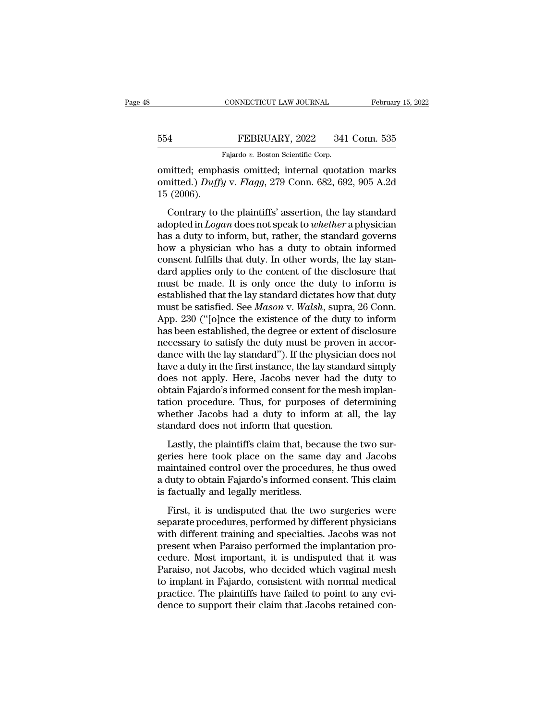## EXECUTE CONNECTICUT LAW JOURNAL February 15, 2022<br>554 FEBRUARY, 2022 341 Conn. 535<br>Fajardo v. Boston Scientific Corp. CONNECTICUT LAW JOURNAL<br>FEBRUARY, 2022 341<br>Fajardo *v.* Boston Scientific Corp.<br>asis\_omitted:\_internal\_quota

CONNECTICUT LAW JOURNAL February 15, 2022<br>
FEBRUARY, 2022 341 Conn. 535<br>
Fajardo v. Boston Scientific Corp.<br>
omitted; emphasis omitted; internal quotation marks<br>
omitted.) Duffy v. Flagg, 279 Conn. 682, 692, 905 A.2d<br>
15 ( FEBRUARY, 2022 341 Conn. 535<br>Fajardo v. Boston Scientific Corp.<br> **Omitted:** emphasis omitted; internal quotation marks<br>
omitted.) *Duffy* v. *Flagg*, 279 Conn. 682, 692, 905 A.2d<br>
15 (2006). 15 (2006). FEBRUARY, 2022 341 Conn. 535<br>
Fajardo v. Boston Scientific Corp.<br>
nitted; emphasis omitted; internal quotation marks<br>
nitted.) *Duffy* v. *Flagg*, 279 Conn. 682, 692, 905 A.2d<br>
(2006).<br>
Contrary to the plaintiffs' asserti

Fajardo v. Boston Scientific Corp.<br>
comitted; emphasis omitted; internal quotation marks<br>
comitted.) *Duffy* v. *Flagg*, 279 Conn. 682, 692, 905 A.2d<br>
15 (2006).<br>
Contrary to the plaintiffs' assertion, the lay standard<br>
ad omitted; emphasis omitted; internal quotation marks<br>
omitted.) *Duffy* v. *Flagg*, 279 Conn. 682, 692, 905 A.2d<br>
15 (2006).<br>
Contrary to the plaintiffs' assertion, the lay standard<br>
adopted in *Logan* does not speak to *w* omitted.) *Duffy* v. *Flagg*, 279 Conn. 682, 692, 905 A.2d<br>15 (2006).<br>Contrary to the plaintiffs' assertion, the lay standard<br>adopted in *Logan* does not speak to *whether* a physician<br>has a duty to inform, but, rather, t Contrary to the plaintiffs' assertion, the lay standard<br>adopted in *Logan* does not speak to *whether* a physician<br>has a duty to inform, but, rather, the standard governs<br>how a physician who has a duty to obtain informed<br> Contrary to the plaintiffs' assertion, the lay standard<br>adopted in *Logan* does not speak to *whether* a physician<br>has a duty to inform, but, rather, the standard governs<br>how a physician who has a duty to obtain informed<br> Contrary to the plaintiffs' assertion, the lay standard<br>adopted in *Logan* does not speak to *whether* a physician<br>has a duty to inform, but, rather, the standard governs<br>how a physician who has a duty to obtain informed<br> adopted in *Logan* does not speak to *whether* a physician<br>has a duty to inform, but, rather, the standard governs<br>how a physician who has a duty to obtain informed<br>consent fulfills that duty. In other words, the lay stanhas a duty to inform, but, rather, the standard governs<br>how a physician who has a duty to obtain informed<br>consent fulfills that duty. In other words, the lay stan-<br>dard applies only to the content of the disclosure that<br>mu how a physician who has a duty to obtain informed<br>consent fulfills that duty. In other words, the lay stan-<br>dard applies only to the content of the disclosure that<br>must be made. It is only once the duty to inform is<br>establ consent fulfills that duty. In other words, the lay stan-<br>dard applies only to the content of the disclosure that<br>must be made. It is only once the duty to inform is<br>established that the lay standard dictates how that duty dard applies only to the content of the disclosure that<br>must be made. It is only once the duty to inform is<br>established that the lay standard dictates how that duty<br>must be satisfied. See *Mason* v. *Walsh*, supra, 26 Conn must be made. It is only once the duty to inform is<br>established that the lay standard dictates how that duty<br>must be satisfied. See *Mason* v. *Walsh*, supra, 26 Conn.<br>App. 230 ("[o]nce the existence of the duty to inform<br> established that the lay standard dictates how that duty<br>must be satisfied. See *Mason* v. *Walsh*, supra, 26 Conn.<br>App. 230 ("[o]nce the existence of the duty to inform<br>has been established, the degree or extent of disclo must be satisfied. See *Mason* v. *Walsh*, supra, 26 Conn.<br>App. 230 ("[o]nce the existence of the duty to inform<br>has been established, the degree or extent of disclosure<br>necessary to satisfy the duty must be proven in acco App. 230 ("[o]nce the existence of the duty to inform<br>has been established, the degree or extent of disclosure<br>necessary to satisfy the duty must be proven in accor-<br>dance with the lay standard"). If the physician does not has been established, the degree or extent of disclosure<br>necessary to satisfy the duty must be proven in accor-<br>dance with the lay standard"). If the physician does not<br>have a duty in the first instance, the lay standard s necessary to satisfy the duty must be proven in accordance with the lay standard"). If the physician does not<br>have a duty in the first instance, the lay standard simply<br>does not apply. Here, Jacobs never had the duty to<br>ob dance with the lay standard"). If the physician<br>have a duty in the first instance, the lay standa<br>does not apply. Here, Jacobs never had the<br>obtain Fajardo's informed consent for the mes<br>tation procedure. Thus, for purpose Lastly, the plaintiffs claim that, because the two sur-<br>triangless not apply. Here, Jacobs never had the duty to<br>tain Fajardo's informed consent for the mesh implan-<br>tion procedure. Thus, for purposes of determining<br>nether geries here took places here that are day to<br>obtain Fajardo's informed consent for the mesh implan-<br>tation procedure. Thus, for purposes of determining<br>whether Jacobs had a duty to inform at all, the lay<br>standard does not

bount typical busined consent for the mean impute<br>tation procedure. Thus, for purposes of determining<br>whether Jacobs had a duty to inform at all, the lay<br>standard does not inform that question.<br>Lastly, the plaintiffs claim a during procedure. Thus, for purposes of determining<br>whether Jacobs had a duty to inform at all, the lay<br>standard does not inform that question.<br>Lastly, the plaintiffs claim that, because the two sur-<br>geries here took pla meand does not inform that questio<br>Lastly, the plaintiffs claim that, beca<br>geries here took place on the same<br>maintained control over the procedure<br>a duty to obtain Fajardo's informed con<br>is factually and legally meritless Lastly, the plaintiffs claim that, because the two sur-<br>ries here took place on the same day and Jacobs<br>aintained control over the procedures, he thus owed<br>duty to obtain Fajardo's informed consent. This claim<br>factually an Eastly, are planning elaminative, because are two sur-<br>geries here took place on the same day and Jacobs<br>maintained control over the procedures, he thus owed<br>a duty to obtain Fajardo's informed consent. This claim<br>is factu

maintained control over the procedures, he thus owed<br>a duty to obtain Fajardo's informed consent. This claim<br>is factually and legally meritless.<br>First, it is undisputed that the two surgeries were<br>separate procedures, perf manualised control over the procedures, the this owed<br>a duty to obtain Fajardo's informed consent. This claim<br>is factually and legally meritless.<br>First, it is undisputed that the two surgeries were<br>separate procedures, per is factually and legally meritless.<br>
First, it is undisputed that the two surgeries were<br>
separate procedures, performed by different physicians<br>
with different training and specialties. Jacobs was not<br>
present when Parais First, it is undisputed that the two surgeries were<br>separate procedures, performed by different physicians<br>with different training and specialties. Jacobs was not<br>present when Paraiso performed the implantation pro-<br>cedure First, it is undisputed that the two surgeries were<br>separate procedures, performed by different physicians<br>with different training and specialties. Jacobs was not<br>present when Paraiso performed the implantation pro-<br>cedure separate procedures, performed by different physicians<br>with different training and specialties. Jacobs was not<br>present when Paraiso performed the implantation pro-<br>cedure. Most important, it is undisputed that it was<br>Parai with different training and specialties. Jacobs was not present when Paraiso performed the implantation procedure. Most important, it is undisputed that it was Paraiso, not Jacobs, who decided which vaginal mesh to implant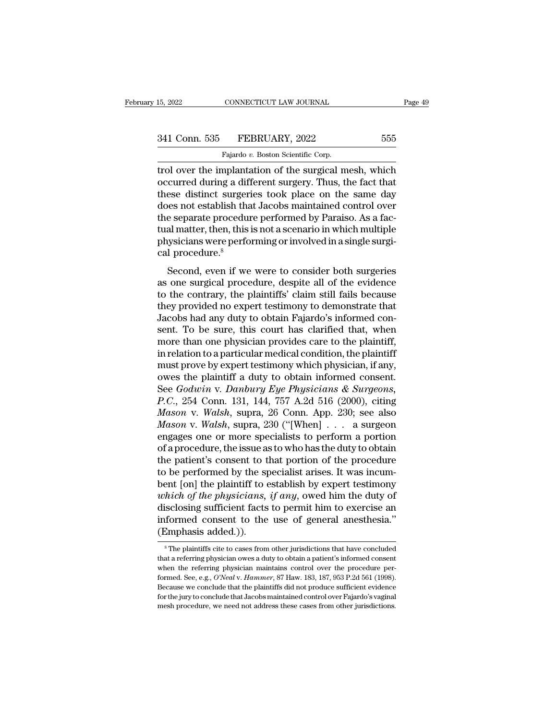trol over the implantation of the surgical mesh, which<br>trol over the implantation of the surgical mesh, which<br>occurred during a different surgery. Thus, the fact that<br>these distinct surgeries took place on the same day 341 Conn. 535 FEBRUARY, 2022 555<br>Fajardo v. Boston Scientific Corp.<br>Trol over the implantation of the surgical mesh, which<br>occurred during a different surgery. Thus, the fact that<br>these distinct surgeries took place on the 341 Conn. 535 FEBRUARY, 2022 555<br>
Fajardo v. Boston Scientific Corp.<br>
trol over the implantation of the surgical mesh, which<br>
occurred during a different surgery. Thus, the fact that<br>
these distinct surgeries took place o  $\begin{array}{c|c} \text{341 Conn. } 535 & \text{FEBRUARY, } 2022 & \text{555} \\ \hline \text{1} & \text{Fajardo } v. \text{ Boston Scientific Corp.} \\ \text{1} & \text{trol over the implantation of the surgical mesh, which} \\ \text{occurred during a different surgery. Thus, the fact that these distinct surgeries took place on the same day does not establish that Jacobs maintained control over the separate procedure performed by Paraiso. As a factorial matter, then this is not a scenario in which multiple.} \end{array}$ Fajardo v. Boston Scientific Corp.<br>
The separate performed by Paraison Scientific Corp.<br>
The separate during a different surgery. Thus, the fact that<br>
these distinct surgeries took place on the same day<br>
does not establis Figure of Boston Scientific Corp.<br>
trol over the implantation of the surgical mesh, which<br>
occurred during a different surgery. Thus, the fact that<br>
these distinct surgeries took place on the same day<br>
does not establish trol over the implantation of the surgical mesh, which<br>occurred during a different surgery. Thus, the fact that<br>these distinct surgeries took place on the same day<br>does not establish that Jacobs maintained control over<br>the occurred during a diff<br>these distinct surger.<br>does not establish tha<br>the separate procedur<br>tual matter, then, this<br>physicians were perfo<br>cal procedure.<sup>8</sup><br>Second, even if we Ese distinct sugenes took place on the same day<br>bes not establish that Jacobs maintained control over<br>e separate procedure performed by Paraiso. As a fac-<br>al matter, then, this is not a scenario in which multiple<br>ysicians does not establish that sacobs maintained control over<br>the separate procedure performed by Paraiso. As a fac-<br>tual matter, then, this is not a scenario in which multiple<br>physicians were performing or involved in a single s

the separate procedure performed by 1 araso. As a ractual matter, then, this is not a scenario in which multiple<br>physicians were performing or involved in a single surgical procedure.<sup>8</sup><br>Second, even if we were to consider they physicians were performing or involved in a single surgical procedure.<sup>8</sup><br>Second, even if we were to consider both surgeries<br>as one surgical procedure, despite all of the evidence<br>to the contrary, the plaintiffs' clai physicials were performing of involved in a single surge-<br>cal procedure.<sup>8</sup><br>Second, even if we were to consider both surgeries<br>as one surgical procedure, despite all of the evidence<br>to the contrary, the plaintiffs' claim s second, even if we were to consider both surgeries<br>as one surgical procedure, despite all of the evidence<br>to the contrary, the plaintiffs' claim still fails because<br>they provided no expert testimony to demonstrate that<br>Jac Second, even if we were to consider both surgeries<br>as one surgical procedure, despite all of the evidence<br>to the contrary, the plaintiffs' claim still fails because<br>they provided no expert testimony to demonstrate that<br>Jac as one surgical procedure, despite all of the evidence<br>to the contrary, the plaintiffs' claim still fails because<br>they provided no expert testimony to demonstrate that<br>Jacobs had any duty to obtain Fajardo's informed con-<br> to the contrary, the plaintiffs' claim still fails because<br>they provided no expert testimony to demonstrate that<br>Jacobs had any duty to obtain Fajardo's informed con-<br>sent. To be sure, this court has clarified that, when<br> they provided no expert testimony to demonstrate that<br>Jacobs had any duty to obtain Fajardo's informed consent. To be sure, this court has clarified that, when<br>more than one physician provides care to the plaintiff,<br>in re Jacobs had any duty to obtain Fajardo's informed consent. To be sure, this court has clarified that, when more than one physician provides care to the plaintiff, in relation to a particular medical condition, the plaintiff **Sent.** To be sure, this court has clarified that, when<br>more than one physician provides care to the plaintiff,<br>in relation to a particular medical condition, the plaintiff<br>must prove by expert testimony which physician, i more than one physician provides care to the plaintiff,<br>in relation to a particular medical condition, the plaintiff<br>must prove by expert testimony which physician, if any,<br>owes the plaintiff a duty to obtain informed cons in relation to a particular medical condition, the plaintiff<br>must prove by expert testimony which physician, if any,<br>owes the plaintiff a duty to obtain informed consent.<br>See *Godwin v. Danbury Eye Physicians & Surgeons*,<br> must prove by expert testimony which physician, if any,<br>owes the plaintiff a duty to obtain informed consent.<br>See *Godwin v. Danbury Eye Physicians & Surgeons*,<br>*P.C.*, 254 Conn. 131, 144, 757 A.2d 516 (2000), citing<br>*Maso* owes the plaintiff a duty to obtain informed consent.<br>See *Godwin v. Danbury Eye Physicians & Surgeons*,<br>*P.C.*, 254 Conn. 131, 144, 757 A.2d 516 (2000), citing<br>*Mason v. Walsh*, supra, 26 Conn. App. 230; see also<br>*Mason v* See *Godwin* v. *Danbury Eye Physicians & Surgeons,*<br>*P.C.*, 254 Conn. 131, 144, 757 A.2d 516 (2000), citing<br>*Mason* v. *Walsh*, supra, 26 Conn. App. 230; see also<br>*Mason* v. *Walsh*, supra, 230 ("[When] . . . a surgeon<br>e *P.C.*, 254 Conn. 131, 144, 757 A.2d 516 (2000), citing *Mason v. Walsh*, supra, 26 Conn. App. 230; see also *Mason v. Walsh*, supra, 230 ("[When] . . . a surgeon engages one or more specialists to perform a portion of a *Mason v. Walsh*, supra, 26 Conn. App. 230; see also<br> *Mason v. Walsh*, supra, 230 ("[When] . . . a surgeon<br>
engages one or more specialists to perform a portion<br>
of a procedure, the issue as to who has the duty to obtain *Mason v. Walsh*, supra, 230 ("[When] . . . . a surgeon<br>engages one or more specialists to perform a portion<br>of a procedure, the issue as to who has the duty to obtain<br>the patient's consent to that portion of the procedure engages one or more specialists to perform a portion<br>of a procedure, the issue as to who has the duty to obtain<br>the patient's consent to that portion of the procedure<br>to be performed by the specialist arises. It was incum of a procedure, the issue as to who has the duty to obtain<br>the patient's consent to that portion of the procedure<br>to be performed by the specialist arises. It was incum-<br>bent [on] the plaintiff to establish by expert testi the patient's consent to to<br>to be performed by the sp<br>bent [on] the plaintiff to  $\epsilon$ <br>which of the physicians,<br>disclosing sufficient facts<br>informed consent to the<br>(Emphasis added.)).<br> $\frac{}{\hbar}$ The plaintiffs cite to cases *Alter of the physicians, if any,* owed him the duty of isclosing sufficient facts to permit him to exercise an formed consent to the use of general anesthesia."<br>
Emphasis added.)).<br>
<sup>8</sup> The plaintiffs cite to cases from o disclosing sufficient facts to permit him to exercise an informed consent to the use of general anesthesia."<br>(Emphasis added.)).<br><sup>8</sup>The plaintiffs cite to cases from other jurisdictions that have concluded that a referring

informed consent to the use of general anesthesia."<br>
(Emphasis added.)).<br>
<sup>\*</sup>The plaintiffs cite to cases from other jurisdictions that have concluded<br>
that a referring physician owes a duty to obtain a patient's informed Formed. See, e.g., *O'Neal* v. *Hammer*, 87 Haw. 183, 187, 953 P.2d 561 (1998).<br>Because we concluded what a referring physician owes a duty to obtain a patient's informed consent when the referring physician maintains cont The plaintiffs cite to cases from other jurisdictions that have concluded<br>that a referring physician owes a duty to obtain a patient's informed consent<br>when the referring physician maintains control over the procedure per <sup>8</sup> The plaintiffs cite to cases from other jurisdictions that have concluded that a referring physician owes a duty to obtain a patient's informed consent when the referring physician maintains control over the procedure that a referring physician owes a duty to obtain a patient's informed consent<br>when the referring physician maintains control over the procedure per-<br>formed. See, e.g., *O'Neal v. Hammer*, 87 Haw. 183, 187, 953 P.2d 561 (19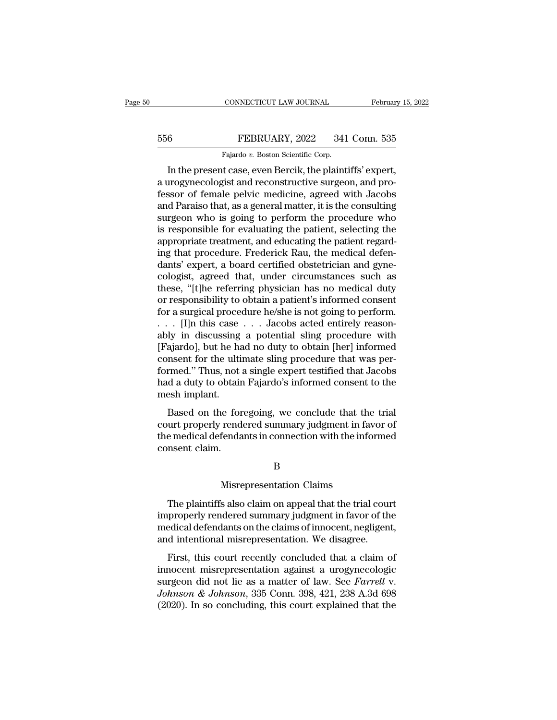# EXECUTE CONNECTICUT LAW JOURNAL February 15, 2022<br>556 FEBRUARY, 2022 341 Conn. 535<br>Fajardo v. Boston Scientific Corp.

CONNECTICUT LAW JOURNAL Februar<br>
Februar<br>
FEBRUARY, 2022 341 Conn. 535<br>
Fajardo *v.* Boston Scientific Corp.<br>
In the present case, even Bercik, the plaintiffs' expert, CONNECTICUT LAW JOURNAL February 15, 20<br>
FEBRUARY, 2022 341 Conn. 535<br>
Fajardo v. Boston Scientific Corp.<br>
In the present case, even Bercik, the plaintiffs' expert,<br>
arogynecologist and reconstructive surgeon, and pro-FEBRUARY, 2022 341 Conn. 535<br>
Fajardo v. Boston Scientific Corp.<br>
In the present case, even Bercik, the plaintiffs' expert,<br>
a urogynecologist and reconstructive surgeon, and pro-<br>
fessor of female pelvic medicine, agreed February, 2022 341 Conn. 535<br>
Fajardo v. Boston Scientific Corp.<br>
In the present case, even Bercik, the plaintiffs' expert,<br>
a urogynecologist and reconstructive surgeon, and pro-<br>
fessor of female pelvic medicine, agreed FEBRUARY, 2022 341 Conn. 535<br>
Fajardo v. Boston Scientific Corp.<br>
In the present case, even Bercik, the plaintiffs' expert,<br>
a urogynecologist and reconstructive surgeon, and pro-<br>
fessor of female pelvic medicine, agreed Fajardo v. Boston Scientific Corp.<br>
In the present case, even Bercik, the plaintiffs' expert,<br>
a urogynecologist and reconstructive surgeon, and pro-<br>
fessor of female pelvic medicine, agreed with Jacobs<br>
and Paraiso that, Figure of Exercise Formulation in the present case, even Bercik, the plaintiffs' expert,<br>a urogynecologist and reconstructive surgeon, and pro-<br>fessor of female pelvic medicine, agreed with Jacobs<br>and Paraiso that, as a g In the present case, even Bercik, the plaintiffs' expert,<br>a urogynecologist and reconstructive surgeon, and pro-<br>fessor of female pelvic medicine, agreed with Jacobs<br>and Paraiso that, as a general matter, it is the consult a urogynecologist and reconstructive surgeon, and professor of female pelvic medicine, agreed with Jacobs<br>and Paraiso that, as a general matter, it is the consulting<br>surgeon who is going to perform the procedure who<br>is res fessor of female pelvic medicine, agreed with Jacobs<br>and Paraiso that, as a general matter, it is the consulting<br>surgeon who is going to perform the procedure who<br>is responsible for evaluating the patient, selecting the<br>ap and Paraiso that, as a general matter, it is the consulting<br>surgeon who is going to perform the procedure who<br>is responsible for evaluating the patient, selecting the<br>appropriate treatment, and educating the patient regard surgeon who is going to perform the procedure who<br>is responsible for evaluating the patient, selecting the<br>appropriate treatment, and educating the patient regard-<br>ing that procedure. Frederick Rau, the medical defen-<br>dant is responsible for evaluating the patient, selecting the appropriate treatment, and educating the patient regarding that procedure. Frederick Rau, the medical defendants' expert, a board certified obstetrician and gynecolo appropriate treatment, and educating the patient regard-<br>ing that procedure. Frederick Rau, the medical defen-<br>dants' expert, a board certified obstetrician and gyne-<br>cologist, agreed that, under circumstances such as<br>thes ing that procedure. Frederick Rau, the medical defendants' expert, a board certified obstetrician and gyne-<br>cologist, agreed that, under circumstances such as<br>these, "[t]he referring physician has no medical duty<br>or respon dants' expert, a board certified obstetrician and gyne-<br>cologist, agreed that, under circumstances such as<br>these, "[t]he referring physician has no medical duty<br>or responsibility to obtain a patient's informed consent<br>for cologist, agreed that, under circumstances such as<br>these, "[t]he referring physician has no medical duty<br>or responsibility to obtain a patient's informed consent<br>for a surgical procedure he/she is not going to perform.<br>. . these, "[t]he referring physician has no medical duty<br>or responsibility to obtain a patient's informed consent<br>for a surgical procedure he/she is not going to perform.<br> $\ldots$  [I]n this case  $\ldots$  Jacobs acted entirely reas or responsibility to obtain a patient's informed consent<br>for a surgical procedure he/she is not going to perform.<br>. . . . [I]n this case . . . Jacobs acted entirely reason-<br>ably in discussing a potential sling procedure wi for a surgical procedure he/she is not going to perform.<br>  $\ldots$  [I]n this case  $\ldots$  Jacobs acted entirely reasonably in discussing a potential sling procedure with<br>
[Fajardo], but he had no duty to obtain [her] informed<br> . . . [I]n this case<br>ably in discussing<br>[Fajardo], but he ha<br>consent for the ulti<br>formed." Thus, not<br>had a duty to obtain<br>mesh implant.<br>Based on the for Based on the foregoing, we conclude that the trial<br>ajardo], but he had no duty to obtain [her] informed<br>msent for the ultimate sling procedure that was per-<br>rmed." Thus, not a single expert testified that Jacobs<br>d a duty t properties and the day to obtain prefigered consent for the ultimate sling procedure that was performed." Thus, not a single expert testified that Jacobs had a duty to obtain Fajardo's informed consent to the mesh implant.

the medical defendants in connection with the informed consent to the mesh implant.<br>Based on the foregoing, we conclude that the trial court properly rendered summary judgment in favor of the medical defendants in connecti France Conservation<br>had a duty to obtain<br>mesh implant.<br>Based on the for<br>court properly rend<br>the medical defenda<br>consent claim. ie foregoing, we conclude that the<br>rendered summary judgment in faver<br>fendants in connection with the information<br>B<br>Misrepresentation Claims<br>s also claim on appeal that the trial

B

Example 2013 and the informed ansent claim.<br>
B<br>
Misrepresentation Claims<br>
The plaintiffs also claim on appeal that the trial court<br>
properly rendered summary judgment in favor of the<br>
policel defendents on the claims of in EXEC IN MISTED SERVIE TO MISTED MANAGER SURFACT THE PLAINTIFFS also claim on appeal that the trial court<br>improperly rendered summary judgment in favor of the<br>medical defendants on the claims of innocent, negligent,<br>and int median of B<br>Misrepresentation Claims<br>The plaintiffs also claim on appeal that the trial court<br>improperly rendered summary judgment in favor of the<br>medical defendants on the claims of innocent, negligent,<br>and intentional mi B<br>
Misrepresentation Claims<br>
The plaintiffs also claim on appeal that the trial cour<br>
improperly rendered summary judgment in favor of th<br>
medical defendants on the claims of innocent, negligen<br>
and intentional misrepresen Misrepresentation Claims<br>The plaintiffs also claim on appeal that the trial court<br>properly rendered summary judgment in favor of the<br>edical defendants on the claims of innocent, negligent,<br>d intentional misrepresentation. The plaintiffs also claim on appeal that the trial court<br>improperly rendered summary judgment in favor of the<br>medical defendants on the claims of innocent, negligent,<br>and intentional misrepresentation. We disagree.<br>First,

Ine plantims also elaid of appear and are and court<br>improperly rendered summary judgment in favor of the<br>medical defendants on the claims of innocent, negligent,<br>and intentional misrepresentation. We disagree.<br>First, this *Johnson & Johnson,* 335 Conn. 398, 421, 238 A.3d 698 (2020). In so concluding, this court explained that a claim of innocent misrepresentation against a urogynecologic surgeon did not lie as a matter of law. See *Farrell* medical detendants of the elamb of infocent, hegingerity,<br>and intentional misrepresentation. We disagree.<br>First, this court recently concluded that a claim of<br>innocent misrepresentation against a urogynecologic<br>surgeon did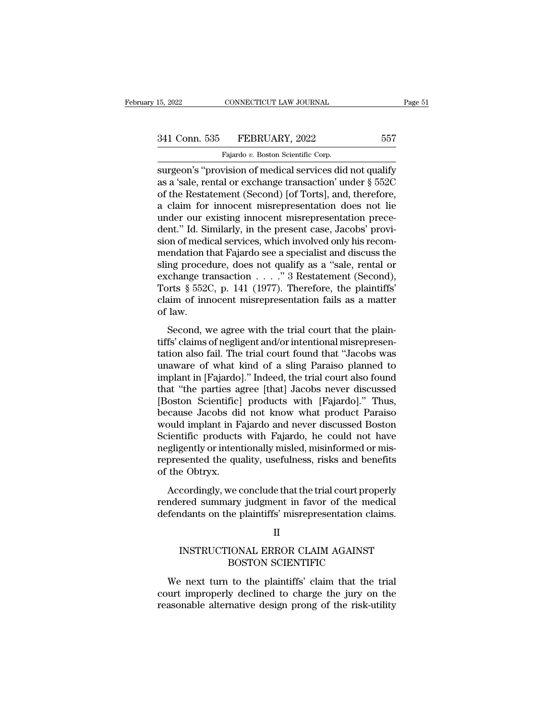CONNECTICUT LAW JOURNAL<br>FEBRUARY, 2022<br>Fajardo *v.* Boston Scientific Corp.<br>vision of medical services did surgeon's ''provision of medical services did not qualify<br>
as a 'sale, rental or exchange transaction' under § 552C<br>
and the Bostatement (Second) [of Tertal and therefore 341 Conn. 535 FEBRUARY, 2022 557<br>Fajardo v. Boston Scientific Corp.<br>Surgeon's "provision of medical services did not qualify<br>as a 'sale, rental or exchange transaction' under § 552C<br>of the Restatement (Second) [of Torts], 341 Conn. 535 FEBRUARY, 2022 557<br>
Fajardo v. Boston Scientific Corp.<br>
surgeon's "provision of medical services did not qualify<br>
as a 'sale, rental or exchange transaction' under  $\S$  552C<br>
of the Restatement (Second) [of T 341 Conn. 535 FEBRUARY, 2022 557<br>
Fajardo v. Boston Scientific Corp.<br>
surgeon's "provision of medical services did not qualify<br>
as a 'sale, rental or exchange transaction' under  $\S~552C$ <br>
of the Restatement (Second) [of T Fajardo v. Boston Scientific Corp.<br>
surgeon's "provision of medical services did not qualify<br>
as a 'sale, rental or exchange transaction' under  $\S$  552C<br>
of the Restatement (Second) [of Torts], and, therefore,<br>
a claim fo Falardo v. Boston Scientific Corp.<br>
surgeon's "provision of medical services did not qualify<br>
as a 'sale, rental or exchange transaction' under  $\S$  552C<br>
of the Restatement (Second) [of Torts], and, therefore,<br>
a claim fo surgeon's "provision of medical services did not qualify<br>as a 'sale, rental or exchange transaction' under § 552C<br>of the Restatement (Second) [of Torts], and, therefore,<br>a claim for innocent misrepresentation does not lie<br> as a 'sale, rental or exchange transaction' under § 552C<br>of the Restatement (Second) [of Torts], and, therefore,<br>a claim for innocent misrepresentation does not lie<br>under our existing innocent misrepresentation prece-<br>dent of the Restatement (Second) [of Torts], and, therefore,<br>a claim for innocent misrepresentation does not lie<br>under our existing innocent misrepresentation prece-<br>dent." Id. Similarly, in the present case, Jacobs' provi-<br>sio a claim for innocent misrepresentation does not lie<br>under our existing innocent misrepresentation prece-<br>dent." Id. Similarly, in the present case, Jacobs' provi-<br>sion of medical services, which involved only his recom-<br>m under our existing innocent misrepresentation prece-<br>dent." Id. Similarly, in the present case, Jacobs' provi-<br>sion of medical services, which involved only his recom-<br>mendation that Fajardo see a specialist and discuss th dent." Id. Similarly, in the present case, Jacobs' provision of medical services, which involved only his recommendation that Fajardo see a specialist and discuss the sling procedure, does not qualify as a "sale, rental or sion of medi<br>mendation t<br>sling proced<br>exchange tr:<br>Torts § 5520<br>claim of inn<br>of law.<br>Second, w Example 1 and 1 and 1 and 1 and 1 and 1 and 1 and 1 and 1 and 1 and 1 and 1 and 1 and 1 and 1 and 1 and 1 and 1 and 1 and 1 and 1 and 1 and 1 and 1 and 1 and 1 and 1 and 1 and 1 and 1 and 1 and 1 and 1 and 1 and 1 and 1 a sing procedure, does not quality as a safe, rend of<br>exchange transaction  $\ldots$ ." 3 Restatement (Second),<br>Torts § 552C, p. 141 (1977). Therefore, the plaintiffs'<br>claim of innocent misrepresentation fails as a matter<br>of law

Torts § 552C, p. 141 (1977). Therefore, the plaintiffs'<br>claim of innocent misrepresentation fails as a matter<br>of law.<br>Second, we agree with the trial court that the plain-<br>tiffs' claims of negligent and/or intentional mis For a space, p. 111 (1911). Therefore, are planning<br>claim of innocent misrepresentation fails as a matter<br>of law.<br>Second, we agree with the trial court that the plain-<br>tiffs' claims of negligent and/or intentional misrepr of law.<br>
Second, we agree with the trial court that the plain-<br>
tiffs' claims of negligent and/or intentional misrepresen-<br>
tation also fail. The trial court found that "Jacobs was<br>
unaware of what kind of a sling Paraiso Second, we agree with the trial court that the plain-<br>tiffs' claims of negligent and/or intentional misrepresen-<br>tation also fail. The trial court found that "Jacobs was<br>unaware of what kind of a sling Paraiso planned to<br>i Second, we agree with the trial court that the plain-<br>tiffs' claims of negligent and/or intentional misrepresen-<br>tation also fail. The trial court found that "Jacobs was<br>unaware of what kind of a sling Paraiso planned to<br>i tiffs' claims of negligent and/or intentional misrepresentation also fail. The trial court found that "Jacobs was<br>unaware of what kind of a sling Paraiso planned to<br>implant in [Fajardo]." Indeed, the trial court also found tation also fail. The trial court found that "Jacobs was<br>unaware of what kind of a sling Paraiso planned to<br>implant in [Fajardo]." Indeed, the trial court also found<br>that "the parties agree [that] Jacobs never discussed<br>[B unaware of what kind of a sling Paraiso planned to<br>implant in [Fajardo]." Indeed, the trial court also found<br>that "the parties agree [that] Jacobs never discussed<br>[Boston Scientific] products with [Fajardo]." Thus,<br>because implant in [Fajardo]." Indeed, the trial court also found that "the parties agree [that] Jacobs never discussed [Boston Scientific] products with [Fajardo]." Thus, because Jacobs did not know what product Paraiso would imp that "the parties agree [that] Jacobs never discussed<br>[Boston Scientific] products with [Fajardo]." Thus,<br>because Jacobs did not know what product Paraiso<br>would implant in Fajardo and never discussed Boston<br>Scientific prod [Boston Scientific]<br>because Jacobs dia<br>would implant in F<br>Scientific products<br>negligently or intent<br>represented the qua<br>of the Obtryx.<br>Accordingly, we c Figure 3. The trial court what product Tataso<br>and implant in Fajardo and never discussed Boston<br>ientific products with Fajardo, he could not have<br>gligently or intentionally misled, misinformed or mis-<br>presented the quality relative methods with Fajardo and never diseased boson Scientific products with Fajardo, he could not have negligently or intentionally misled, misinformed or mis-<br>represented the quality, usefulness, risks and benefits of betchante produces what Tagatdo, he codid not have<br>negligently or intentionally misled, misinformed or mis-<br>represented the quality, usefulness, risks and benefits<br>of the Obtryx.<br>Accordingly, we conclude that the trial cou

Cordingly, we conclude that the trial court properly<br>
ered summary judgment in favor of the medical<br>
Idants on the plaintiffs' misrepresentation claims.<br>
II<br>
INSTRUCTIONAL ERROR CLAIM AGAINST<br>
BOSTON SCIENTIFIC ve conclude that the trial court proper<br>ary judgment in favor of the medic<br>ne plaintiffs' misrepresentation clain<br>II<br>IONAL ERROR CLAIM AGAINST<br>BOSTON SCIENTIFIC<br>to the plaintiffs' claim that the tr

## II

Fendants on the plaintiffs' misrepresentation claims.<br>
II<br>
INSTRUCTIONAL ERROR CLAIM AGAINST<br>
BOSTON SCIENTIFIC<br>
We next turn to the plaintiffs' claim that the trial<br>
urt improperly declined to charge the jury on the<br>
ason INSTRUCTIONAL ERROR CLAIM AGAINST<br>BOSTON SCIENTIFIC<br>We next turn to the plaintiffs' claim that the trial<br>court improperly declined to charge the jury on the<br>reasonable alternative design prong of the risk-utility II<br>INSTRUCTIONAL ERROR CLAIM AGAINST<br>BOSTON SCIENTIFIC<br>We next turn to the plaintiffs' claim that the trial<br>court improperly declined to charge the jury on the<br>reasonable alternative design prong of the risk-utility<br>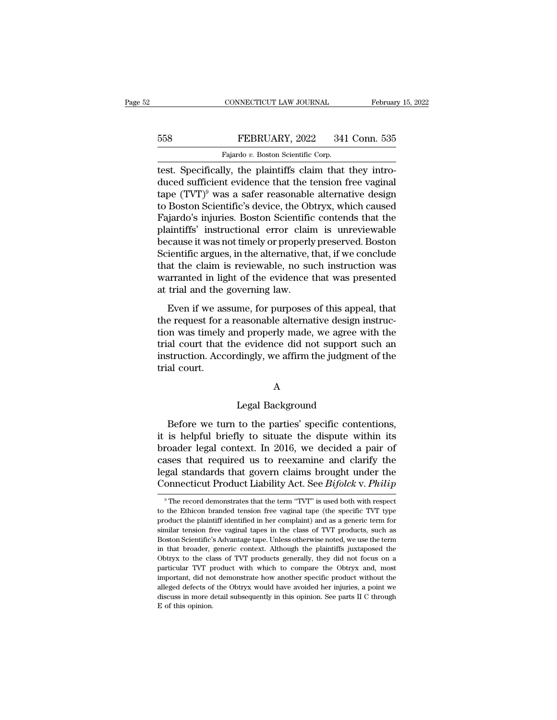## EXECUTE CONNECTICUT LAW JOURNAL February 15, 2022<br>558 FEBRUARY, 2022 341 Conn. 535<br>Fajardo v. Boston Scientific Corp. CONNECTICUT LAW JOURNAL<br>FEBRUARY, 2022 341<br>Fajardo *v.* Boston Scientific Corp.<br>Ilv the plaintiffs claim that

CONNECTICUT LAW JOURNAL Februar<br>
558 FEBRUARY, 2022 341 Conn. 535<br>
Fajardo v. Boston Scientific Corp.<br>
1991 Fest. Specifically, the plaintiffs claim that they intro-<br>
1990 Constant the tension free vaginal<br>
1990 CEVIN<sup>9</sup> W  $\begin{array}{r} \text{558} & \text{FEBRUARY, 2022} & \text{341 Conn. } 535 \\ \text{558} & \text{Fajardo } v. \text{ Boston Scientific Corp.} \\ \text{659} & \text{69} & \text{69} \end{array}$  test. Specifically, the plaintiffs claim that they introduced sufficient evidence that the tension free vaginal tape (TVT) FEBRUARY, 2022 341 Conn. 535<br>
Fajardo v. Boston Scientific Corp.<br>
test. Specifically, the plaintiffs claim that they intro-<br>
duced sufficient evidence that the tension free vaginal<br>
tape (TVT)<sup>9</sup> was a safer reasonable al 558 Fejardo v. Boston Scientific Corp.<br>
Fajardo v. Boston Scientific Corp.<br>
test. Specifically, the plaintiffs claim that they intro-<br>
duced sufficient evidence that the tension free vaginal<br>
tape (TVT)<sup>9</sup> was a safer rea Fajardo v. Boston Scientific Corp.<br>
Test. Specifically, the plaintiffs claim that they intro-<br>
duced sufficient evidence that the tension free vaginal<br>
tape (TVT)<sup>9</sup> was a safer reasonable alternative design<br>
to Boston Sc Fajardo v. Boston Scientiffs claim that they introduced sufficient evidence that the tension free vaginal<br>tape  $(TVT)^9$  was a safer reasonable alternative design<br>to Boston Scientific's device, the Obtryx, which caused<br>Fajar test. Specifically, the plaintiffs claim that they introduced sufficient evidence that the tension free vaginal<br>tape (TVT)<sup>9</sup> was a safer reasonable alternative design<br>to Boston Scientific's device, the Obtryx, which cause duced sufficient evidence that the tension free vaginal<br>tape (TVT)<sup>9</sup> was a safer reasonable alternative design<br>to Boston Scientific's device, the Obtryx, which caused<br>Fajardo's injuries. Boston Scientific contends that th tape (TVT)<sup>9</sup> was a safer reasonable alternative design<br>to Boston Scientific's device, the Obtryx, which caused<br>Fajardo's injuries. Boston Scientific contends that the<br>plaintiffs' instructional error claim is unreviewable<br> to Boston Scientific's device, the Obtryx, which caused Fajardo's injuries. Boston Scientific contends that the plaintiffs' instructional error claim is unreviewable because it was not timely or properly preserved. Boston Fajardo's injuries. Boston Scientific<br>plaintiffs' instructional error clain<br>because it was not timely or properly<br>Scientific argues, in the alternative, t<br>that the claim is reviewable, no su<br>warranted in light of the evide Even if was not timely or properly preserved. Boston<br>ientific argues, in the alternative, that, if we conclude<br>at the claim is reviewable, no such instruction was<br>arranted in light of the evidence that was presented<br>trial Scientific argues, in the alternative, that, if we conclude<br>that the claim is reviewable, no such instruction was<br>warranted in light of the evidence that was presented<br>at trial and the governing law.<br>Even if we assume, for

Extrained agres, in the thermal is, that, if we concluded<br>that the claim is reviewable, no such instruction was<br>warranted in light of the evidence that was presented<br>at trial and the governing law.<br>Even if we assume, for p The trial court is reflected. The such a statement was<br>warranted in light of the evidence that was presented<br>at trial and the governing law.<br>Even if we assume, for purposes of this appeal, that<br>the request for a reasonable Instruction in again of the chaotics that the presented<br>at trial and the governing law.<br>Even if we assume, for purposes of this appeal, that<br>the request for a reasonable alternative design instruc-<br>tion was timely and prop Even if we as<br>the request for a<br>tion was timely<br>trial court that<br>instruction. Acc<br>trial court. d properly made, we agree w<br>e evidence did not support s<br>dingly, we affirm the judgment<br>A<br>Legal Background<br>to the parties' specific conte

## A

struction. Accordingly, we affirm the judgment of the<br>al court.<br>A<br>legal Background<br>Before we turn to the parties' specific contentions,<br>is helpful briefly to situate the dispute within its<br>eader legal context. In 2016, we It is helpful briefly to situate the dispute within its<br>broader legal context. In 2016, we decided a pair of<br>cases that required us to reexamine and clarify the A<br>
Legal Background<br>
Before we turn to the parties' specific contentions,<br>
it is helpful briefly to situate the dispute within its<br>
broader legal context. In 2016, we decided a pair of<br>
cases that required us to reexamine Example 18 A<br>
Legal Background<br>
Refore we turn to the parties' specific contentions,<br>
it is helpful briefly to situate the dispute within its<br>
broader legal context. In 2016, we decided a pair of<br>
cases that required us t Legal Background<br>Before we turn to the parties' specific contentions,<br>it is helpful briefly to situate the dispute within its<br>broader legal context. In 2016, we decided a pair of<br>cases that required us to reexamine and cla Before we turn to the parties' specific contentions,<br>it is helpful briefly to situate the dispute within its<br>broader legal context. In 2016, we decided a pair of<br>cases that required us to reexamine and clarify the<br>legal st broader legal context. In 2016, we decided a pair of cases that required us to reexamine and clarify the legal standards that govern claims brought under the Connecticut Product Liability Act. See  $Bifolck$  v.  $Phi$  record dem cases that required us to reexamine and clarify the<br>legal standards that govern claims brought under the<br>Connecticut Product Liability Act. See *Bifolck* v. *Philip*<br><sup>9</sup> The record demonstrates that the term "TVT" is used

legal standards that govern claims brought under the<br>Connecticut Product Liability Act. See *Bifolck* v. *Philip*<br><sup>9</sup> The record demonstrates that the term "TVT" is used both with respect<br>to the Ethicon branded tension fre Connecticut Product Liability Act. See  $Bifolck$  v.  $Philip$ <br>
The record demonstrates that the term "TVT" is used both with respect<br>
to the Ethicon branded tension free vaginal tape (the specific TVT type<br>
product the plaintiff i The product is advantage tape. Unless otherwise noted, we use the term of  $\overline{\text{PQUCA}}$  with  $\overline{\text{PQUCA}}$  with respect to the Ethicon branded tension free vaginal tape (the specific TVT type product the plaintiff identif <sup>9</sup> The record demonstrates that the term "TVT" is used both with respect to the Ethicon branded tension free vaginal tape (the specific TVT type product the plaintiff identified in her complaint) and as a generic term fo to the Ethicon branded tension free vaginal tape (the specific TVT type product the plaintiff identified in her complaint) and as a generic term for similar tension free vaginal tapes in the class of TVT products, such as product the plaintiff identified in her complaint) and as a generic term for similar tension free vaginal tapes in the class of TVT products, such as Boston Scientific's Advantage tape. Unless otherwise noted, we use the t imilar tension free vaginal tapes in the class of TVT products, such as<br>Boston Scientific's Advantage tape. Unless otherwise noted, we use the term<br>in that broader, generic context. Although the plaintiffs juxtaposed the<br>O Boston Scientific's Advantage tape. Unless otherwise noted, we use the term<br>in that broader, generic context. Although the plaintiffs juxtaposed the<br>Obtryx to the class of TVT products generally, they did not focus on a<br>pa in that broader, generic context. Although the plaintiffs juxtaposed the Obtryx to the class of TVT products generally, they did not focus on a particular TVT product with which to compare the Obtryx and, most important, d Obtryx to the class of TVT products generally, they did not focus on a particular TVT product with which to compare the Obtryx and, most important, did not demonstrate how another specific product without the alleged defe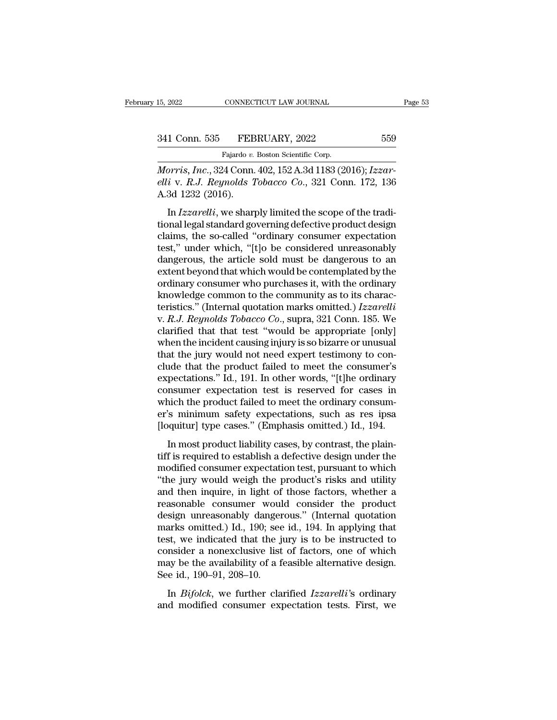EXAMPLE CONNECTICUT LAW JOURNAL<br>FEBRUARY, 2022<br>Fajardo *v.* Boston Scientific Corp.<br>24 Conn. 402, 152, A 3d 1183 (20 <sup>15, 2022</sup> CONNECTICUT LAW JOURNAL<br>
<sup>Fajardo</sup> v. Boston Scientific Corp.<br> *Morris, Inc.*, 324 Conn. 402, 152 A.3d 1183 (2016); *Izzar-*<br> *elli* v. *R.J. Reynolds Tobacco Co.*, 321 Conn. 172, 136<br>
A 3d 1932 (2016). *elli* v. *R.J. Reynolds Tobacco Co.*, 321 Conn. 172, 136<br>*Rajardo v. Boston Scientific Corp.*<br>*Morris, Inc.*, 324 Conn. 402, 152 A.3d 1183 (2016); *Izzar-*<br>*elli* v. *R.J. Reynolds Tobacco Co.*, 321 Conn. 172, 136<br>A.3d 12 341 Conn. 535 FEB<br>
Fajardo v.<br>
Morris, Inc., 324 Conn.<br>
elli v. R.J. Reynolds 1<br>
A.3d 1232 (2016).<br>
In Izzarelli, we sharp I Conn. 535 FEBRUARY, 2022 559<br>Fajardo v. Boston Scientific Corp.<br>*Prris*, *Inc.*, 324 Conn. 402, 152 A.3d 1183 (2016); *Izzar-*<br>*i* v. *R.J. Reynolds Tobacco Co.*, 321 Conn. 172, 136<br>3d 1232 (2016).<br>In *Izzarelli*, we sha

Fajardo v. Boston Scientific Corp.<br>
Morris, Inc., 324 Conn. 402, 152 A.3d 1183 (2016); Izzar-<br>
elli v. R.J. Reynolds Tobacco Co., 321 Conn. 172, 136<br>
A.3d 1232 (2016).<br>
In Izzarelli, we sharply limited the scope of the tra Morris, Inc., 324 Conn. 402, 152 A.3d 1183 (2016); Izzar-<br>elli v. R.J. Reynolds Tobacco Co., 321 Conn. 172, 136<br>A.3d 1232 (2016).<br>In Izzarelli, we sharply limited the scope of the tradi-<br>tional legal standard governing def then is, the star Controller which is the considered unreasonably<br>
deli v. R.J. Reynolds Tobacco Co., 321 Conn. 172, 136<br>
A.3d 1232 (2016).<br>
In *Izzarelli*, we sharply limited the scope of the tradi-<br>
tional legal standar A.3d 1232 (2016).<br>
In *Izzarelli*, we sharply limited the scope of the traditional legal standard governing defective product design<br>
claims, the so-called "ordinary consumer expectation<br>
test," under which, "[t]o be cons In *Izzarelli*, we sharply limited the scope of the traditional legal standard governing defective product design claims, the so-called "ordinary consumer expectation test," under which, "[t]o be considered unreasonably d In *Izzarelli*, we sharply limited the scope of the traditional legal standard governing defective product design claims, the so-called "ordinary consumer expectation test," under which, "[t]o be considered unreasonably d tional legal standard governing defective product design<br>claims, the so-called "ordinary consumer expectation<br>test," under which, "[t]o be considered unreasonably<br>dangerous, the article sold must be dangerous to an<br>extent claims, the so-called "ordinary consumer expectation<br>test," under which, "[t]o be considered unreasonably<br>dangerous, the article sold must be dangerous to an<br>extent beyond that which would be contemplated by the<br>ordinary c test," under which, "[t]o be considered unreasonably<br>dangerous, the article sold must be dangerous to an<br>extent beyond that which would be contemplated by the<br>ordinary consumer who purchases it, with the ordinary<br>knowledge dangerous, the article sold must be dangerous to an<br>extent beyond that which would be contemplated by the<br>ordinary consumer who purchases it, with the ordinary<br>knowledge common to the community as to its charac-<br>teristics. extent beyond that which would be contemplated by the ordinary consumer who purchases it, with the ordinary knowledge common to the community as to its characteristics." (Internal quotation marks omitted.) Izzarelli v. R.J ordinary consumer who purchases it, with the ordinary<br>knowledge common to the community as to its characteristics." (Internal quotation marks omitted.) Izzarelli<br>v. R.J. Reynolds Tobacco Co., supra, 321 Conn. 185. We<br>clar knowledge common to the community as to its characteristics." (Internal quotation marks omitted.) *Izzarelli* v. *R.J. Reynolds Tobacco Co.*, supra, 321 Conn. 185. We clarified that that test "would be appropriate [only] w teristics." (Internal quotation marks omitted.) Izzarelli<br>v. R.J. Reynolds Tobacco Co., supra, 321 Conn. 185. We<br>clarified that that test "would be appropriate [only]<br>when the incident causing injury is so bizarre or unusu v. R.J. Reynolds Tobacco Co., supra, 321 Conn. 185. We<br>clarified that that test "would be appropriate [only]<br>when the incident causing injury is so bizarre or unusual<br>that the jury would not need expert testimony to con-<br> clarified that that test "would be appropriate [only]<br>when the incident causing injury is so bizarre or unusual<br>that the jury would not need expert testimony to con-<br>clude that the product failed to meet the consumer's<br>exp when the incident causing injury is so bizarre or unusual<br>that the jury would not need expert testimony to con-<br>clude that the product failed to meet the consumer's<br>expectations." Id., 191. In other words, "[t]he ordinary<br> that the jury would not need expert testimony to conclude that the product failed to meet the consumer's expectations." Id., 191. In other words, "[t]he ordinary consumer expectation test is reserved for cases in which the clude that the product failed to meet the consumer's expectations." Id., 191. In other words, "[t]he ordinary consumer expectation test is reserved for cases in which the product failed to meet the ordinary consumer's mini Expectations. Tal, 191. In other words, [t]ne ordinary<br>consumer expectation test is reserved for cases in<br>which the product failed to meet the ordinary consum-<br>er's minimum safety expectations, such as res ipsa<br>[loquitur]

expectation test is reserved for eases in<br>which the product failed to meet the ordinary consum-<br>er's minimum safety expectations, such as res ipsa<br>[loquitur] type cases." (Emphasis omitted.) Id., 194.<br>In most product liabi which are product ranea to meet the originary consumer's minimum safety expectations, such as res ipsa [loquitur] type cases." (Emphasis omitted.) Id., 194.<br>In most product liability cases, by contrast, the plaintiff is re and the implementation of the those factors, the contrast input<br>
Iloquitur] type cases." (Emphasis omitted.) Id., 194.<br>
In most product liability cases, by contrast, the plain-<br>
tiff is required to establish a defective de In most product liability cases, by contrast, the plain-<br>tiff is required to establish a defective design under the<br>modified consumer expectation test, pursuant to which<br>"the jury would weigh the product's risks and utili In most product liability cases, by contrast, the plain-<br>tiff is required to establish a defective design under the<br>modified consumer expectation test, pursuant to which<br>"the jury would weigh the product's risks and utilit tiff is required to establish a defective design under the<br>modified consumer expectation test, pursuant to which<br>"the jury would weigh the product's risks and utility<br>and then inquire, in light of those factors, whether a<br> modified consumer expectation test, pursuant to which<br>"the jury would weigh the product's risks and utility<br>and then inquire, in light of those factors, whether a<br>reasonable consumer would consider the product<br>design unrea "the jury would weigh the product's risks and utility<br>and then inquire, in light of those factors, whether a<br>reasonable consumer would consider the product<br>design unreasonably dangerous." (Internal quotation<br>marks omitted and then inquire, in light of those factors, whether a<br>reasonable consumer would consider the product<br>design unreasonably dangerous." (Internal quotation<br>marks omitted.) Id., 190; see id., 194. In applying that<br>test, we in reasonable consumer would consider the product<br>design unreasonably dangerous." (Internal quotation<br>marks omitted.) Id., 190; see id., 194. In applying that<br>test, we indicated that the jury is to be instructed to<br>consider an *Bigh* an *Bifolck*, 190; see id., 194. In applying that st, we indicated that the jury is to be instructed to msider a nonexclusive list of factors, one of which ay be the availability of a feasible alternative design. Fig. 3. Fig. 3. For the state of the state and consider a nonexclusive list of factors, one of which may be the availability of a feasible alternative design.<br>See id., 190–91, 208–10.<br>In *Bifolck*, we further clarified *I*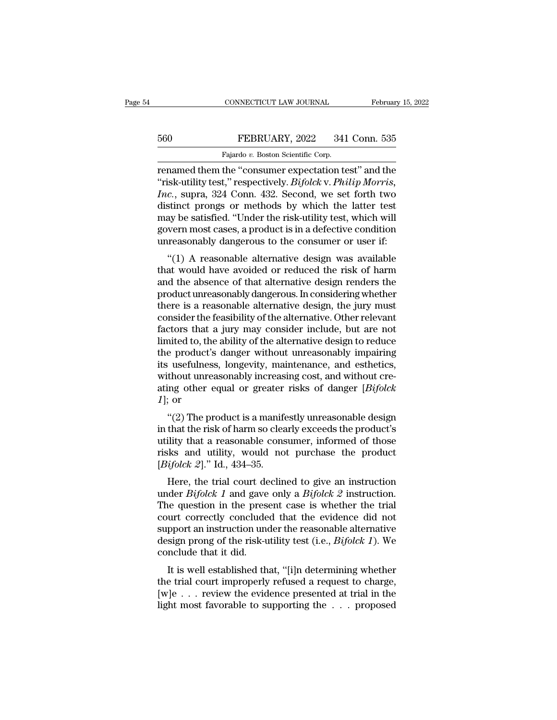## EXECUTE CONNECTICUT LAW JOURNAL February 15, 2022<br>560 FEBRUARY, 2022 341 Conn. 535<br>Fajardo v. Boston Scientific Corp. CONNECTICUT LAW JOURNAL<br>FEBRUARY, 2022 341<br>Fajardo *v.* Boston Scientific Corp.<br>the "consumer expectation to

CONNECTICUT LAW JOURNAL February 15, 2022<br>
FEBRUARY, 2022 341 Conn. 535<br>
Fajardo v. Boston Scientific Corp.<br>
Fenamed them the "consumer expectation test" and the<br>
"risk-utility test," respectively. *Bifolck* v. *Philip Mor* FEBRUARY, 2022 341 Conn. 535<br>
Fajardo v. Boston Scientific Corp.<br>
Fenamed them the "consumer expectation test" and the<br>
"risk-utility test," respectively. *Bifolck* v. *Philip Morris,*<br> *Inc.*, supra, 324 Conn. 432. Second *Fermalie Bookston Scientific Corp.*<br> *Inc.*, supra, 324 Conn. 535<br> *Inc.*, supra, 324 Conn. 432. Second, we set forth two<br>
distinct prongs or methods by which the latter test<br>
may be satisfied "Under the risk utility test February, 2022 341 Conn. 535<br>
Fajardo v. Boston Scientific Corp.<br>
Fenamed them the "consumer expectation test" and the<br>
"risk-utility test," respectively. *Bifolck* v. *Philip Morris*,<br> *Inc.*, supra, 324 Conn. 432. Second Fajardo v. Boston Scientific Corp.<br>
renamed them the "consumer expectation test" and the<br>
"risk-utility test," respectively. *Bifolck* v. *Philip Morris*,<br> *Inc.*, supra, 324 Conn. 432. Second, we set forth two<br>
distinct Falardo v. Boston Scientific Corp.<br>
Fenamed them the "consumer expectation test" and the<br>
"risk-utility test," respectively. *Bifolck* v. *Philip Morris*,<br> *Inc.*, supra, 324 Conn. 432. Second, we set forth two<br>
distinct renamed them the "consumer expectation test" and the<br>"risk-utility test," respectively. *Bifolck* v. *Philip Morris*,<br>*Inc.*, supra, 324 Conn. 432. Second, we set forth two<br>distinct prongs or methods by which the latter te Example alternative design was available at would have avoided the alternative design was available at would have avoided or reduced the risk of harm of the alternative design was available at would have avoided or reduced Finc., supra, 524 Colli. 452. Second, we set forth two<br>distinct prongs or methods by which the latter test<br>may be satisfied. "Under the risk-utility test, which will<br>govern most cases, a product is in a defective conditio

may be satisfied. "Under the risk-utility test, which will<br>govern most cases, a product is in a defective condition<br>unreasonably dangerous to the consumer or user if:<br>"(1) A reasonable alternative design was available<br>that may be satisfied. Under the risk-utinty test, which will<br>govern most cases, a product is in a defective condition<br>unreasonably dangerous to the consumer or user if:<br>"(1) A reasonable alternative design was available<br>that w govern most cases, a product is in a defective condition<br>unreasonably dangerous to the consumer or user if:<br>"(1) A reasonable alternative design, was available<br>that would have avoided or reduced the risk of harm<br>and the ab "(1) A reasonable alternative design was available<br>that would have avoided or reduced the risk of harm<br>and the absence of that alternative design renders the<br>product unreasonably dangerous. In considering whether<br>there is "(1) A reasonable alternative design was available<br>that would have avoided or reduced the risk of harm<br>and the absence of that alternative design renders the<br>product unreasonably dangerous. In considering whether<br>there is that would have avoided or reduced the risk of harm<br>and the absence of that alternative design renders the<br>product unreasonably dangerous. In considering whether<br>there is a reasonable alternative design, the jury must<br>cons and the absence of that alternative design renders the<br>product unreasonably dangerous. In considering whether<br>there is a reasonable alternative design, the jury must<br>consider the feasibility of the alternative. Other relev product unreasonably dangerous. In considering whether<br>there is a reasonable alternative design, the jury must<br>consider the feasibility of the alternative. Other relevant<br>factors that a jury may consider include, but are n there is a reasonable alternative design, the jury must<br>consider the feasibility of the alternative. Other relevant<br>factors that a jury may consider include, but are not<br>limited to, the ability of the alternative design t consider the feasibility of the alternative. Other relevant<br>factors that a jury may consider include, but are not<br>limited to, the ability of the alternative design to reduce<br>the product's danger without unreasonably impair factors that a<br>limited to, the<br>the product's<br>its usefulness<br>without unrea<br>ating other e<br>*1*]; or<br>"(2) The pr the product's danger without unreasonably impairing<br>
is usefulness, longevity, maintenance, and esthetics,<br>
thout unreasonably increasing cost, and without cre-<br>
ing other equal or greater risks of danger [*Bifolck*<br>
; or<br> its usefulness, longevity, maintenance, and esthetics,<br>without unreasonably increasing cost, and without cre-<br>ating other equal or greater risks of danger [ $Bifolck$ <br> $I$ ]; or<br>"(2) The product is a manifestly unreasonable des

Its userimess, longevity, maintenance, and esthetics,<br>without unreasonably increasing cost, and without cre-<br>ating other equal or greater risks of danger [*Bifolck*<br>1]; or<br>"(2) The product is a manifestly unreasonable des whilout unleasonably increasing cost, and whilout creating other equal or greater risks of danger [*Bifolck* 1]; or<br>"(2) The product is a manifestly unreasonable design<br>in that the risk of harm so clearly exceeds the prod Fig. 3. The product is a manifered *I*]; or<br>
"(2) The product is a maniferent in that the risk of harm so clear<br>
utility that a reasonable cons<br>
risks and utility, would no<br>
[*Bifolck 2*]." Id., 434–35.<br>
Here, the trial co "(2) The product is a manifestly unreasonable design<br>that the risk of harm so clearly exceeds the product's<br>ility that a reasonable consumer, informed of those<br>ks and utility, would not purchase the product<br>ifolck 2]." Id (2) The product is a mannestry direasonable design<br>in that the risk of harm so clearly exceeds the product's<br>utility that a reasonable consumer, informed of those<br>risks and utility, would not purchase the product<br> $[Bifolck 2]$ 

In that the fisk of harm so clearly exceeds the product s<br>tuility that a reasonable consumer, informed of those<br>risks and utility, would not purchase the product<br> $[Bifolck 2]$ ." Id., 434–35.<br>Here, the trial court declined to triangleright consumer, informed or those<br>risks and utility, would not purchase the product<br>[*Bifolck 2*]." Id., 434–35.<br>Here, the trial court declined to give an instruction<br>under *Bifolck 1* and gave only a *Bifolck 2* Example 18 ISSS and during, would not purchase the product [Bifolck 2]." Id., 434–35.<br>
Here, the trial court declined to give an instruction under Bifolck 1 and gave only a Bifolck 2 instruction.<br>
The question in the pres Here, the trial court declined to give an instruction<br>under  $Bifolck$  *1* and gave only a  $Bifolck$  *2* instruction.<br>The question in the present case is whether the trial<br>court correctly concluded that the evidence did not<br>supp Here, the trial court de<br>under  $Bifolck$   $1$  and gave<br>The question in the press<br>court correctly conclude<br>support an instruction und<br>design prong of the risk-u<br>conclude that it did.<br>It is well established th It is well established that, "[i]n determining whether the trial urt correctly concluded that the evidence did not pport an instruction under the reasonable alternative sign prong of the risk-utility test (i.e., *Bifolck* The question in the present case is whether the that<br>court correctly concluded that the evidence did not<br>support an instruction under the reasonable alternative<br>design prong of the risk-utility test (i.e., *Bifolck 1*). W

Equivalent confectly concluded that the evidence did not support an instruction under the reasonable alternative design prong of the risk-utility test (i.e., *Bifolck 1*). We conclude that it did.<br>It is well established t Support an instruction under the reasonable anternative<br>design prong of the risk-utility test (i.e., *Bifolck 1*). We<br>conclude that it did.<br>It is well established that, "[i]n determining whether<br>the trial court improperly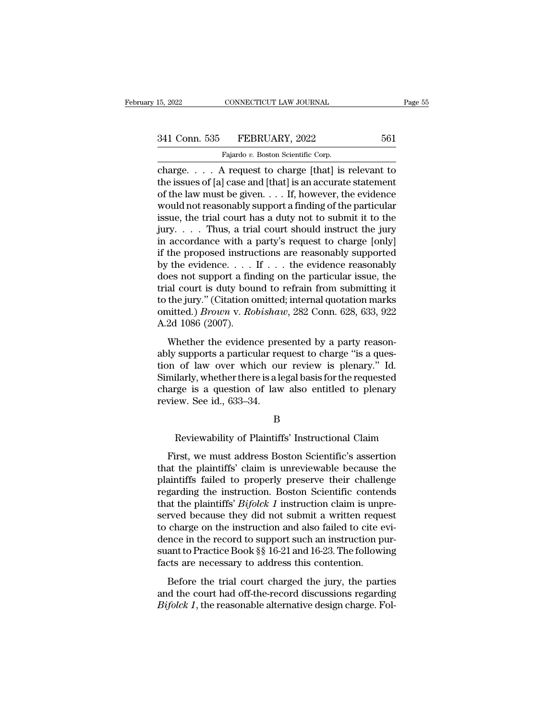# 15, 2022 CONNECTICUT LAW JOURNAL Page 55<br>341 Conn. 535 FEBRUARY, 2022 561<br>Fajardo v. Boston Scientific Corp.

CONNECTICUT LAW JOURNAL<br>FEBRUARY, 2022<br>Fajardo *v.* Boston Scientific Corp.<br>A request to charge [that] is EXERICUT LAW JOURNAL Page 55<br>
241 Conn. 535 FEBRUARY, 2022 561<br>
Fajardo v. Boston Scientific Corp.<br>
Charge. . . . A request to charge [that] is relevant to<br>
the issues of [a] case and [that] is an accurate statement<br>
of th 341 Conn. 535 FEBRUARY, 2022 561<br>
Fajardo v. Boston Scientific Corp.<br>
charge.... A request to charge [that] is relevant to<br>
the issues of [a] case and [that] is an accurate statement<br>
of the law must be given.... If, howe 341 Conn. 535 FEBRUARY, 2022 561<br>
Fajardo v. Boston Scientific Corp.<br>
charge.... A request to charge [that] is relevant to<br>
the issues of [a] case and [that] is an accurate statement<br>
of the law must be given.... If, howe 341 Conn. 535 FEBRUARY, 2022 561<br>
Fajardo v. Boston Scientific Corp.<br>
charge.... A request to charge [that] is relevant to<br>
the issues of [a] case and [that] is an accurate statement<br>
of the law must be given.... If, howe Fajardo v. Boston Scientific Corp.<br>
charge.... A request to charge [that] is relevant to<br>
the issues of [a] case and [that] is an accurate statement<br>
of the law must be given.... If, however, the evidence<br>
would not reaso Figure 8. . . . . A request to charge [that] is relevant to<br>the issues of [a] case and [that] is an accurate statement<br>of the law must be given. . . . If, however, the evidence<br>would not reasonably support a finding of th charge. . . . A request to charge [that] is relevant to<br>the issues of [a] case and [that] is an accurate statement<br>of the law must be given. . . . If, however, the evidence<br>would not reasonably support a finding of the pa the issues of [a] case and [that] is an accurate statement<br>of the law must be given. . . . If, however, the evidence<br>would not reasonably support a finding of the particular<br>issue, the trial court has a duty not to submit of the law must be given. . . . If, however, the evidence<br>would not reasonably support a finding of the particular<br>issue, the trial court has a duty not to submit it to the<br>jury. . . . Thus, a trial court should instruct would not reasonably support a finding of the particular<br>issue, the trial court has a duty not to submit it to the<br>jury.....Thus, a trial court should instruct the jury<br>in accordance with a party's request to charge [only issue, the trial court has a duty not to submit it to the<br>jury.... Thus, a trial court should instruct the jury<br>in accordance with a party's request to charge [only]<br>if the proposed instructions are reasonably supported<br>b jury. . . . Thus, a trial court should instruct the jury<br>in accordance with a party's request to charge [only]<br>if the proposed instructions are reasonably supported<br>by the evidence. . . . If . . . the evidence reasonably<br> in accordance with a party's request to charge [only]<br>if the proposed instructions are reasonably supported<br>by the evidence. . . . If . . . the evidence reasonably<br>does not support a finding on the particular issue, the<br>t if the proposed instruct<br>by the evidence. . . .<br>does not support a final court is duty bout<br>to the jury." (Citation of<br>omitted.) *Brown v. Ro*<br>A.2d 1086 (2007).<br>Whether the evidence different conditions. The evidence reasonably<br>the al court is duty bound to refrain from submitting it<br>the jury." (Citation omitted; internal quotation marks<br>nitted.) *Brown v. Robishaw*, 282 Conn. 628, 633, 922<br>2d 1086 ( ably support a many on the particular result, the<br>trial court is duty bound to refrain from submitting it<br>to the jury." (Citation omitted; internal quotation marks<br>omitted.) *Brown v. Robishaw*, 282 Conn. 628, 633, 922<br>A.2

that coart is dary boand to ferrain from sabinating it<br>to the jury." (Citation omitted; internal quotation marks<br>omitted.) *Brown* v. *Robishaw*, 282 Conn. 628, 633, 922<br>A.2d 1086 (2007).<br>Whether the evidence presented by onitted.) *Brown* v. *Robishaw*, 282 Conn. 628, 633, 922<br>A.2d 1086 (2007).<br>Whether the evidence presented by a party reason-<br>ably supports a particular request to charge "is a ques-<br>tion of law over which our review is pl A.2d 1086 (2007).<br>A.2d 1086 (2007).<br>Whether the evidence presented by a party reason-<br>ably supports a particular request to charge "is a ques-<br>tion of law over which our review is plenary." Id.<br>Similarly, whether there is Whether the evidence pre<br>ably supports a particular rea<br>tion of law over which ou<br>Similarly, whether there is a le<br>charge is a question of law<br>review. See id., 633–34. of law over which our review is plenary." Id.<br>
ilarly, whether there is a legal basis for the requested<br>
rge is a question of law also entitled to plenary<br>
ew. See id., 633–34.<br>
B<br>
Reviewability of Plaintiffs' Instructiona

## B

First, we must address Boston Scientific's assertion<br>arge is a question of law also entitled to plenary<br>view. See id., 633–34.<br>B<br>Reviewability of Plaintiffs' Instructional Claim<br>First, we must address Boston Scientific's a that the plantiffs' claim is unreview. See id., 633–34.<br>
B<br>
Reviewability of Plaintiffs' Instructional Claim<br>
First, we must address Boston Scientific's assertion<br>
that the plaintiffs' claim is unreviewable because the<br>
pl B<br>
B<br>
Reviewability of Plaintiffs' Instructional Claim<br>
First, we must address Boston Scientific's assertion<br>
that the plaintiffs' claim is unreviewable because the<br>
plaintiffs failed to properly preserve their challenge<br> B<br>Reviewability of Plaintiffs' Instructional Claim<br>First, we must address Boston Scientific's assertion<br>that the plaintiffs' claim is unreviewable because the<br>plaintiffs failed to properly preserve their challenge<br>regardin Reviewability of Plaintiffs' Instructional Claim<br>First, we must address Boston Scientific's assertion<br>that the plaintiffs' claim is unreviewable because the<br>plaintiffs failed to properly preserve their challenge<br>regarding First, we must address Boston Scientific's assertion<br>that the plaintiffs' claim is unreviewable because the<br>plaintiffs failed to properly preserve their challenge<br>regarding the instruction. Boston Scientific contends<br>that First, we must address Boston Scientific's assertion<br>that the plaintiffs' claim is unreviewable because the<br>plaintiffs failed to properly preserve their challenge<br>regarding the instruction. Boston Scientific contends<br>that that the plaintiffs' claim is unreviewable because the plaintiffs failed to properly preserve their challenge regarding the instruction. Boston Scientific contends that the plaintiffs'  $Bifolck 1$  instruction claim is unpres plaintiffs failed to properly preserve their challenge<br>regarding the instruction. Boston Scientific contends<br>that the plaintiffs' *Bifolck 1* instruction claim is unpre-<br>served because they did not submit a written request regarding the instruction. Boston Scientific conten<br>that the plaintiffs' *Bifolck 1* instruction claim is unpi<br>served because they did not submit a written reque<br>to charge on the instruction and also failed to cite e<br>dence reflexands and the planning  $Dy$  and  $T$  instances to charge the trial court of the instruction and also failed to cite evi-<br>note in the record to support such an instruction pur-<br>ant to Practice Book §§ 16-21 and 16-23. between because andy and not submit a written request<br>to charge on the instruction and also failed to cite evi-<br>dence in the record to support such an instruction pur-<br>suant to Practice Book §§ 16-21 and 16-23. The followi be enarge of the instruction and also fance to che evidence in the record to support such an instruction pursuant to Practice Book §§ 16-21 and 16-23. The following facts are necessary to address this contention.<br>Before th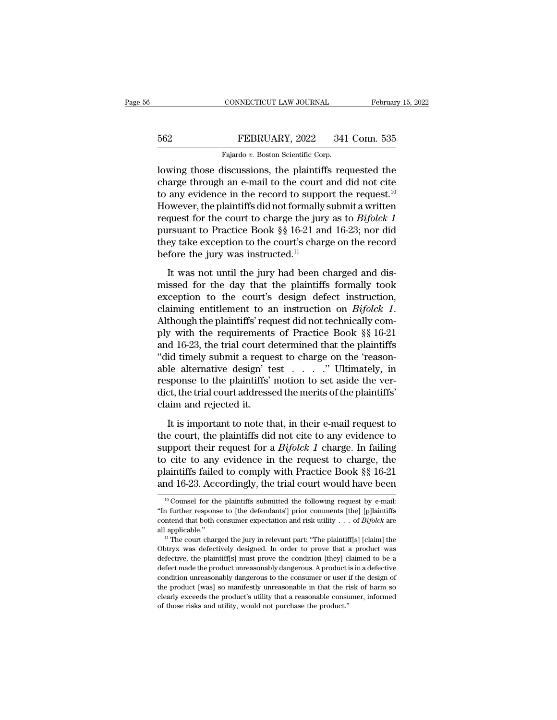# EXECUTE CONNECTICUT LAW JOURNAL February 15, 2022<br>562 FEBRUARY, 2022 341 Conn. 535<br>Fajardo v. Boston Scientific Corp.

CONNECTICUT LAW JOURNAL Februar<br>
Februar<br>
562 FEBRUARY, 2022 341 Conn. 535<br>
Fajardo *v.* Boston Scientific Corp.<br>
Iowing those discussions, the plaintiffs requested the CONNECTICUT LAW JOURNAL February 15, 2022<br>
FEBRUARY, 2022 341 Conn. 535<br>
Fajardo v. Boston Scientific Corp.<br>
Iowing those discussions, the plaintiffs requested the<br>
charge through an e-mail to the court and did not cite<br>
t EEBRUARY, 2022 341 Conn. 535<br>
Fajardo v. Boston Scientific Corp.<br>
Iowing those discussions, the plaintiffs requested the<br>
charge through an e-mail to the court and did not cite<br>
to any evidence in the record to support the FEBRUARY, 2022 341 Conn. 535<br>
Fajardo v. Boston Scientific Corp.<br>
Iowing those discussions, the plaintiffs requested the<br>
charge through an e-mail to the court and did not cite<br>
to any evidence in the record to support th FEBRUARY, 2022 341 Conn. 535<br>
Fajardo v. Boston Scientific Corp.<br>
Iowing those discussions, the plaintiffs requested the<br>
charge through an e-mail to the court and did not cite<br>
to any evidence in the record to support th Fajardo v. Boston Scientific Corp.<br>
lowing those discussions, the plaintiffs requested the<br>
charge through an e-mail to the court and did not cite<br>
to any evidence in the record to support the request.<sup>10</sup><br>
However, the p **Prajardo** *v*. Boston scientiffs requested the charge through an e-mail to the court and did not cite to any evidence in the record to support the request.<sup>10</sup> However, the plaintiffs did not formally submit a written re lowing those discussions, the plaintiffs requested the charge through an e-mail to the court and did not cite to any evidence in the record to support the request.<sup>10</sup> However, the plaintiffs did not formally submit a wri charge through an e-mail to the court<br>to any evidence in the record to suppo<br>However, the plaintiffs did not formally<br>request for the court to charge the jury<br>pursuant to Practice Book §§ 16-21 an<br>they take exception to th It was not until the jury had been charged and dis-<br>It was not until the court to charge the jury as to *Bifolck 1*<br>It was not until the jury had been charged and dis-<br>Seed for the day that the plaintiffs formally took<br>co request for the court to charge the jury as to *Bifolck 1*<br>pursuant to Practice Book §§ 16-21 and 16-23; nor did<br>they take exception to the court's charge on the record<br>before the jury was instructed.<sup>11</sup><br>It was not until

pursuant to Practice Book §§ 16-21 and 16-23; nor did<br>they take exception to the court's charge on the record<br>before the jury was instructed.<sup>11</sup><br>It was not until the jury had been charged and dis-<br>missed for the day that claiming entitlement to an instruction on *Bifolck 1*.<br>
It was not until the jury had been charged and dis-<br>
missed for the day that the plaintiffs formally took<br>
exception to the court's design defect instruction,<br>
claimi It was not until the jury had been charged and dis-<br>missed for the day that the plaintiffs formally took<br>exception to the court's design defect instruction,<br>claiming entitlement to an instruction on *Bifolck 1*.<br>Although It was not until the jury had been charged and dis-<br>missed for the day that the plaintiffs formally took<br>exception to the court's design defect instruction,<br>claiming entitlement to an instruction on *Bifolck 1*.<br>Although t missed for the day that the plaintiffs formally took<br>exception to the court's design defect instruction,<br>claiming entitlement to an instruction on *Bifolck 1*.<br>Although the plaintiffs' request did not technically com-<br>ply exception to the court's design defect instruction,<br>claiming entitlement to an instruction on *Bifolck 1*.<br>Although the plaintiffs' request did not technically com-<br>ply with the requirements of Practice Book §§ 16-21<br>and claiming entitlement to an instruction on *Bifolck 1*.<br>Although the plaintiffs' request did not technically com-<br>ply with the requirements of Practice Book §§ 16-21<br>and 16-23, the trial court determined that the plaintiff Although the plaintiffs' request did not technically comply with the requirements of Practice Book §§ 16-21 and 16-23, the trial court determined that the plaintiffs "did timely submit a request to charge on the 'reasonabl ply with the requirements<br>and 16-23, the trial court d<br>"did timely submit a reque<br>able alternative design' to<br>response to the plaintiffs'<br>dict, the trial court addresse<br>claim and rejected it.<br>It is important to note th It is important to note that, in their e-mail request to charge on the 'reason-<br>le alternative design' test  $\ldots$ . " Ultimately, in<br>sponse to the plaintiffs' motion to set aside the ver-<br>ct, the trial court addressed the able alternative design' test  $\dots$   $\ddots$  " Ultimately, in response to the plaintiffs' motion to set aside the verdict, the trial court addressed the merits of the plaintiffs' claim and rejected it.<br>It is important to note

suppose to the plaintiffs' motion to set aside the ver-<br>dict, the trial court addressed the merits of the plaintiffs'<br>claim and rejected it.<br>It is important to note that, in their e-mail request to<br>the court, the plaintiff dict, the trial court addressed the merits of the plaintiffs'<br>claim and rejected it.<br>It is important to note that, in their e-mail request to<br>the court, the plaintiffs did not cite to any evidence to<br>support their request claim and rejected it.<br>
It is important to note that, in their e-mail request to<br>
the court, the plaintiffs did not cite to any evidence to<br>
support their request for a *Bifolck 1* charge. In failing<br>
to cite to any evide It is important to note that, in their e-mail request to<br>the court, the plaintiffs did not cite to any evidence to<br>support their request for a *Bifolck 1* charge. In failing<br>to cite to any evidence in the request to charg 10 proport their request for a *BiJolck 1* charge. In failing<br>10 cite to any evidence in the request to charge, the<br>11 clinitiffs failed to comply with Practice Book §§ 16-21<br>11 d 16-23. Accordingly, the trial court would ''In further response to [the defendants'] prior comments [the] [p]laintiffs

plaintiffs failed to comply with Practice Book §§ 16-21<br>and 16-23. Accordingly, the trial court would have been<br><sup>10</sup> Counsel for the plaintiffs submitted the following request by e-mail:<br>"In further response to [the defen and 16-23. Accordingly, the trial court would have been<br>
<sup>10</sup> Counsel for the plaintiffs submitted the following request by e-mail:<br>
"In further response to [the defendants'] prior comments [the] [p]laintiffs<br>
contend tha <sup>10</sup> Counsel for the plaintiffs submitted the following request by e-mail:<br>
"In further response to [the defendants'] prior comments [the] [p]laintiffs<br>
contend that both consumer expectation and risk utility . . . of *Bi* 

<sup>&</sup>quot;In further response to [the defendants'] prior comments [the] [p]laintiffs contend that both consumer expectation and risk utility . . . of *Bifolck* are all applicable."<br>
<sup>11</sup> The court charged the jury in relevant part contend that both consumer expectation and risk utility  $\ldots$  of *Bifolck* are contend that both consumer expectation and risk utility  $\ldots$  of *Bifolck* are all applicable."<br><sup>11</sup> The court charged the jury in relevant pa contend that both consumer expectation and risk utility . . . of *Bifolck* are all applicable."<br>
<sup>11</sup> The court charged the jury in relevant part: "The plaintiff[s] [claim] the Obtryx was defectively designed. In order to <sup>11</sup> The court charged the jury in relevant part: "The plaintiff[s] [claim] the<br>Obtryx was defectively designed. In order to prove that a product was<br>defective, the plaintiff[s] must prove the condition [they] claimed to b Obtryx was defectively designed. In order to prove that a product was defective, the plaintiff[s] must prove the condition [they] claimed to be a defective, the plaintiff[s] must prove the condition [they] claimed to be a defective, the plaintiff[s] must prove the condition [they] claimed to be a defect made the product unreasonably dangerous. A product is in a defective condition unreasonably dangerous to the consumer or user if the design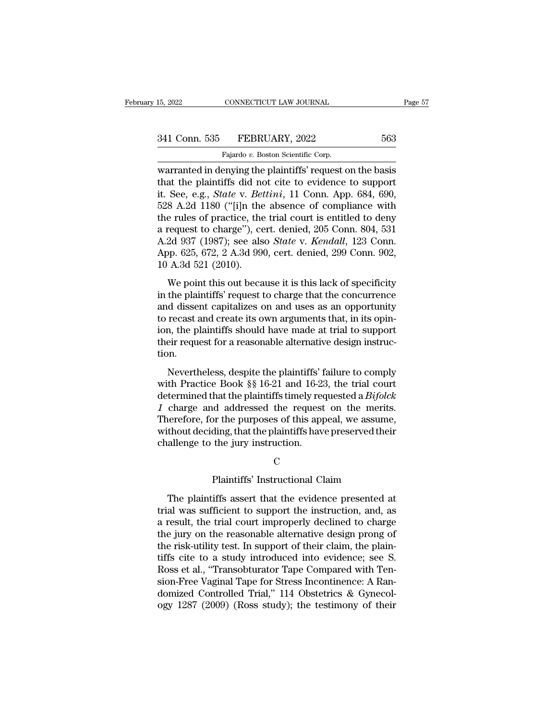15, 2022 CONNECTICUT LAW JOURNAL Page 57<br>
341 Conn. 535 FEBRUARY, 2022 563<br>
Fajardo v. Boston Scientific Corp.<br>
warranted in denying the plaintiffs' request on the basis<br>
that the plaintiffs did not cite to evidence to sup 341 Conn. 535 FEBRUARY, 2022 563<br>Fajardo v. Boston Scientific Corp.<br>Warranted in denying the plaintiffs' request on the basis<br>that the plaintiffs did not cite to evidence to support<br>it. See, e.g., *State* v. *Bettini*, 11 <sup>341</sup> Conn. 535 FEBRUARY, 2022 563<br>
Fajardo v. Boston Scientific Corp.<br>
warranted in denying the plaintiffs' request on the basis<br>
that the plaintiffs did not cite to evidence to support<br>
it. See, e.g., *State* v. *Bettini* 341 Conn. 535 FEBRUARY, 2022 563<br>
Fajardo v. Boston Scientific Corp.<br>
warranted in denying the plaintiffs' request on the basis<br>
that the plaintiffs did not cite to evidence to support<br>
it. See, e.g., *State* v. *Bettini* Fajardo v. Boston Scientific Corp.<br>
warranted in denying the plaintiffs' request on the basis<br>
that the plaintiffs did not cite to evidence to support<br>
it. See, e.g., *State* v. *Bettini*, 11 Conn. App. 684, 690,<br>
528 A.2 Figure of Exercise Corp.<br>
warranted in denying the plaintiffs' request on the basis<br>
that the plaintiffs did not cite to evidence to support<br>
it. See, e.g., *State* v. *Bettini*, 11 Conn. App. 684, 690,<br>
528 A.2d 1180 ("[ warranted in denying the plaintiffs' request on the basis<br>that the plaintiffs did not cite to evidence to support<br>it. See, e.g., *State* v. *Bettini*, 11 Conn. App. 684, 690,<br>528 A.2d 1180 ("[i]n the absence of compliance that the plaintiffs did not cite to evidence to support<br>it. See, e.g., *State* v. *Bettini*, 11 Conn. App. 684, 690,<br>528 A.2d 1180 ("[i]n the absence of compliance with<br>the rules of practice, the trial court is entitled to it. See, e.g., *State* v. *Bet*<br>528 A.2d 1180 ("[i]n the<br>the rules of practice, the<br>a request to charge"), ce<br>A.2d 937 (1987); see als<br>App. 625, 672, 2 A.3d 99<br>10 A.3d 521 (2010).<br>We point this out beca e rules of practice, the trial court is entitled to deny<br>request to charge"), cert. denied, 205 Conn. 804, 531<br>2d 937 (1987); see also *State* v. *Kendall*, 123 Conn.<br>p. 625, 672, 2 A.3d 990, cert. denied, 299 Conn. 902,<br> are ruies or practice, the that court is emitted to deriy<br>a request to charge"), cert. denied, 205 Conn. 804, 531<br>A.2d 937 (1987); see also *State* v. *Kendall*, 123 Conn.<br>App. 625, 672, 2 A.3d 990, cert. denied, 299 Conn.

a request to charge *j*, een. achied, 269 comit of 1, 691, 691<br>A.2d 937 (1987); see also *State* v. *Kendall*, 123 Conn.<br>App. 625, 672, 2 A.3d 990, cert. denied, 299 Conn. 902,<br>10 A.3d 521 (2010).<br>We point this out becaus App. 625, 672, 2 A.3d 990, cert. denied, 299 Conn. 902, 10 A.3d 521 (2010).<br>We point this out because it is this lack of specificity<br>in the plaintiffs' request to charge that the concurrence<br>and dissent capitalizes on and The plantiffs should have made at trial to support<br>in the plaintiffs' request to charge that the concurrence<br>and dissent capitalizes on and uses as an opportunity<br>to recast and create its own arguments that, in its opin-<br> To A.5d 521 (2010).<br>We point this out because it is this lack of specificity<br>in the plaintiffs' request to charge that the concurrence<br>and dissent capitalizes on and uses as an opportunity<br>to recast and create its own argu tion. In the plainting request to entage that the concurrence<br>d dissent capitalizes on and uses as an opportunity<br>recast and create its own arguments that, in its opin-<br>n, the plaintiffs should have made at trial to support<br>eir to recast and create its own arguments that, in its opin-<br>ion, the plaintiffs should have made at trial to support<br>their request for a reasonable alternative design instruc-<br>tion.<br>Nevertheless, despite the plaintiffs' fai

ion, the plaintiffs should have made at trial to support<br>their request for a reasonable alternative design instruc-<br>tion.<br>Nevertheless, despite the plaintiffs' failure to comply<br>with Practice Book §§ 16-21 and 16-23, the t Forther request for a reasonable alternative design instruction.<br> *Nevertheless, despite the plaintiffs'* failure to comply<br>
with Practice Book §§ 16-21 and 16-23, the trial court<br>
determined that the plaintiffs timely req Therefore, for a reasonable attribute the sign instruction.<br>
Nevertheless, despite the plaintiffs' failure to comply<br>
with Practice Book §§ 16-21 and 16-23, the trial court<br>
determined that the plaintiffs timely requested Nevertheless, despite the plaintiffs' failure to comply<br>with Practice Book §§ 16-21 and 16-23, the trial court<br>determined that the plaintiffs timely requested a *Bifolck*<br>1 charge and addressed the request on the merits.<br> Nevertheless, despite the plaintiffs' if with Practice Book  $\S$  16-21 and 16-23 determined that the plaintiffs timely red 1 charge and addressed the request Therefore, for the purposes of this app without deciding, that t d addressed the request on the merits.<br>
Sor the purposes of this appeal, we assume,<br>
ding, that the plaintiffs have preserved their<br>
the jury instruction.<br>
C<br>
Plaintiffs' Instructional Claim<br>
iffs assert that the evidence

## C<sub>c</sub>

The plaintiffs have preserved their<br>thout deciding, that the plaintiffs have preserved their<br>allenge to the jury instruction.<br>C<br>Plaintiffs' Instructional Claim<br>The plaintiffs assert that the evidence presented at<br>al was su trial challenge to the jury instruction.<br>
C<br>
Plaintiffs' Instructional Claim<br>
The plaintiffs assert that the evidence presented at<br>
trial was sufficient to support the instruction, and, as<br>
a result, the trial court improp C<br>
C<br>
Plaintiffs' Instructional Claim<br>
The plaintiffs assert that the evidence presented at<br>
trial was sufficient to support the instruction, and, as<br>
a result, the trial court improperly declined to charge<br>
the jury on th C<br>
Plaintiffs' Instructional Claim<br>
The plaintiffs assert that the evidence presented at<br>
trial was sufficient to support the instruction, and, as<br>
a result, the trial court improperly declined to charge<br>
the jury on the r Plaintiffs' Instructional Claim<br>The plaintiffs assert that the evidence presented at<br>trial was sufficient to support the instruction, and, as<br>a result, the trial court improperly declined to charge<br>the jury on the reasonab The plaintiffs assert that the evidence presented at<br>trial was sufficient to support the instruction, and, as<br>a result, the trial court improperly declined to charge<br>the jury on the reasonable alternative design prong of<br>t The plaintiffs assert that the evidence presented at<br>trial was sufficient to support the instruction, and, as<br>a result, the trial court improperly declined to charge<br>the jury on the reasonable alternative design prong of<br>t trial was sufficient to support the instruction, and, as<br>a result, the trial court improperly declined to charge<br>the jury on the reasonable alternative design prong of<br>the risk-utility test. In support of their claim, the a result, the trial court improperly declined to charge<br>the jury on the reasonable alternative design prong of<br>the risk-utility test. In support of their claim, the plain-<br>tiffs cite to a study introduced into evidence; se the jury on the reasonable alternative design prong of<br>the risk-utility test. In support of their claim, the plain-<br>tiffs cite to a study introduced into evidence; see S.<br>Ross et al., "Transobturator Tape Compared with Ten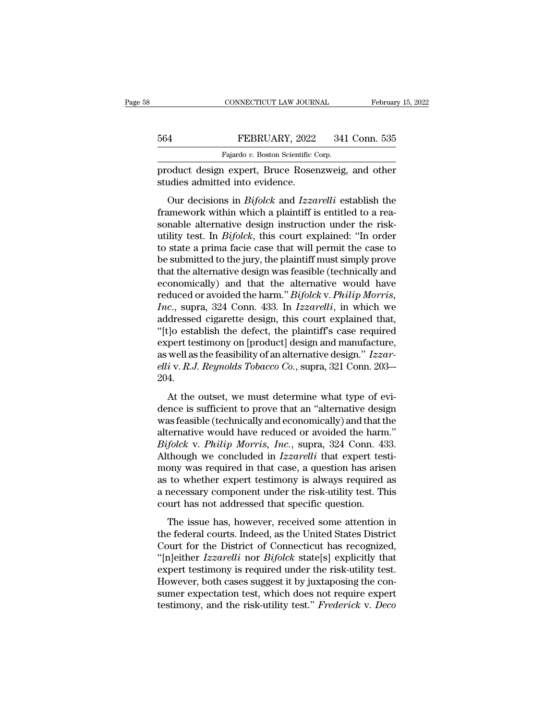|     | CONNECTICUT LAW JOURNAL                            | February 15, 2022 |
|-----|----------------------------------------------------|-------------------|
|     |                                                    |                   |
| 564 | FEBRUARY, 2022                                     | 341 Conn. 535     |
|     | Fajardo v. Boston Scientific Corp.                 |                   |
|     | product design expert. Bruce Rosenzweig, and other |                   |

February 15, 2022<br>
FEBRUARY, 2022 341 Conn. 535<br>
Fajardo v. Boston Scientific Corp.<br>
product design expert, Bruce Rosenzweig, and other<br>
studies admitted into evidence. 564 FEBRUARY, 2022<br>Fajardo v. Boston Scientific Corpoduct design expert, Bruce Roser<br>studies admitted into evidence.<br>Our decisions in *Bifolck* and *Izza* 

FEBRUARY, 2022 341 Conn. 535<br>
Fajardo v. Boston Scientific Corp.<br> **Oduct design expert, Bruce Rosenzweig, and other**<br>
rudies admitted into evidence.<br>
Our decisions in *Bifolck* and *Izzarelli* establish the<br>
imework within FEBRUARY, 2022 341 Conn. 535<br>
Fajardo v. Boston Scientific Corp.<br>
product design expert, Bruce Rosenzweig, and other<br>
studies admitted into evidence.<br>
Our decisions in *Bifolck* and *Izzarelli* establish the<br>
framework wi Fajardo v. Boston Scientific Corp.<br>
product design expert, Bruce Rosenzweig, and other<br>
studies admitted into evidence.<br>
Our decisions in *Bifolck* and *Izzarelli* establish the<br>
framework within which a plaintiff is entit product design expert, Bruce Rosenzweig, and other<br>studies admitted into evidence.<br>Our decisions in *Bifolck* and *Izzarelli* establish the<br>framework within which a plaintiff is entitled to a rea-<br>sonable alternative desig studies admitted into evidence.<br>
Our decisions in *Bifolck* and *Izzarelli* establish the<br>
framework within which a plaintiff is entitled to a reasonable alternative design instruction under the risk-<br>
utility test. In *B* be such that the submitted three videositions.<br>
Our decisions in *Bifolck* and *Izzarelli* establish the<br>
framework within which a plaintiff is entitled to a reasonable alternative design instruction under the risk-<br>
util Our decisions in *Bifolck* and *Izzarelli* establish the<br>framework within which a plaintiff is entitled to a rea-<br>sonable alternative design instruction under the risk-<br>utility test. In *Bifolck*, this court explained: "I framework within which a plaintiff is entitled to a reasonable alternative design instruction under the risk-<br>utility test. In *Bifolck*, this court explained: "In order<br>to state a prima facie case that will permit the ca sonable alternative design instruction under the risk-<br>utility test. In *Bifolck*, this court explained: "In order<br>to state a prima facie case that will permit the case to<br>be submitted to the jury, the plaintiff must simpl utility test. In *Bifolck*, this court explained: "In order<br>to state a prima facie case that will permit the case to<br>be submitted to the jury, the plaintiff must simply prove<br>that the alternative design was feasible (techn to state a prima facie case that will permit the case to<br>be submitted to the jury, the plaintiff must simply prove<br>that the alternative design was feasible (technically and<br>economically) and that the alternative would hav be submitted to the jury, the plaintiff must simply prove<br>
that the alternative design was feasible (technically and<br>
economically) and that the alternative would have<br>
reduced or avoided the harm." Bifolck v. Philip Morri that the alternative design was feasible (technically and<br>economically) and that the alternative would have<br>reduced or avoided the harm." *Bifolck* v. *Philip Morris,*<br>Inc., supra, 324 Conn. 433. In Izzarelli, in which we economically) and that the alternative would have<br>reduced or avoided the harm." *Bifolck* v. *Philip Morris,*<br>*Inc.*, supra, 324 Conn. 433. In *Izzarelli*, in which we<br>addressed cigarette design, this court explained that, reduced or avoided the harm." *Bifolck* v. *Philip Morris,*<br>*Inc.*, supra, 324 Conn. 433. In *Izzarelli*, in which we<br>addressed cigarette design, this court explained that,<br>"[t]o establish the defect, the plaintiff's case 204. At the outset, we must determine what type of evi-<br>flow the outset test important detect, the plaintiff's case required<br>pert testimony on [product] design and manufacture,<br>well as the feasibility of an alternative design. expert testimony on [product] design and manufacture,<br>as well as the feasibility of an alternative design."  $Izzar$ -<br>elli v. R.J. Reynolds Tobacco Co., supra, 321 Conn. 203—<br>204.<br>At the outset, we must determine what type o

as well as the feasibility of an alternative design."  $Izzar$ -<br>elli v. R.J. Reynolds Tobacco Co., supra, 321 Conn. 203—<br>204.<br>At the outset, we must determine what type of evi-<br>dence is sufficient to prove that an "alternati as well as the redusionly of direct ridiry design. The reduced  $l$  is v. R.J. Reynolds Tobacco Co., supra, 321 Conn. 203—204.<br>At the outset, we must determine what type of evidence is sufficient to prove that an "alternat *Bifolck* v. *Philip Morris*, *Philip Morris, 109*<br>*Bifolck* v. *Philip Morris, we must determine what type of evidence is sufficient to prove that an "alternative design was feasible (technically and economically) and tha* 201.<br>
At the outset, we must determine what type of evi-<br>
dence is sufficient to prove that an "alternative design<br>
was feasible (technically and economically) and that the<br>
alternative would have reduced or avoided the ha At the outset, we must determine what type of evi-<br>dence is sufficient to prove that an "alternative design<br>was feasible (technically and economically) and that the<br>alternative would have reduced or avoided the harm."<br> $Bifolck$ dence is sufficient to prove that an "alternative design<br>was feasible (technically and economically) and that the<br>alternative would have reduced or avoided the harm."<br>Bifolck v. Philip Morris, Inc., supra, 324 Conn. 433.<br>A was feasible (technically and economically) and that the alternative would have reduced or avoided the harm."<br>Bifolck v. Philip Morris, Inc., supra, 324 Conn. 433.<br>Although we concluded in Izzarelli that expert testi-<br>mon alternative would have reduced or avoided the harm<br> *Bifolck v. Philip Morris, Inc.*, supra, 324 Conn. 43<br>
Although we concluded in *Izzarelli* that expert tes<br>
mony was required in that case, a question has arise<br>
as to w The issue has, however, received some attention in the federal courts. Indeed, a question has arisen to whether expert testimony is always required as necessary component under the risk-utility test. This urt has not addr the federal contracted in the federal conduction and the same as to whether expert testimony is always required as<br>a necessary component under the risk-utility test. This<br>court has not addressed that specific question.<br>The

mony was required in that ease, a question has tristed as<br>as to whether expert testimony is always required as<br>a necessary component under the risk-utility test. This<br>court has not addressed that specific question.<br>The iss as as *undeled capera assuming* is amays required as<br>a necessary component under the risk-utility test. This<br>court has not addressed that specific question.<br>The issue has, however, received some attention in<br>the federal co experience that specific question.<br>The issue has, however, received some attention in<br>the federal courts. Indeed, as the United States District<br>Court for the District of Connecticut has recognized,<br>"[n]either *Izzarelli* n The issue has hovedancessed and specific question.<br>The issue has, however, received some attention in<br>the federal courts. Indeed, as the United States District<br>Court for the District of Connecticut has recognized,<br>"[n]eit The issue has, however, received some attention in<br>the federal courts. Indeed, as the United States District<br>Court for the District of Connecticut has recognized,<br>"[n]either *Izzarelli* nor *Bifolck* state[s] explicitly th the federal courts. Indeed, as the United States District Court for the District of Connecticut has recognized, "[n]either *Izzarelli* nor *Bifolck* state[s] explicitly that expert testimony is required under the risk-util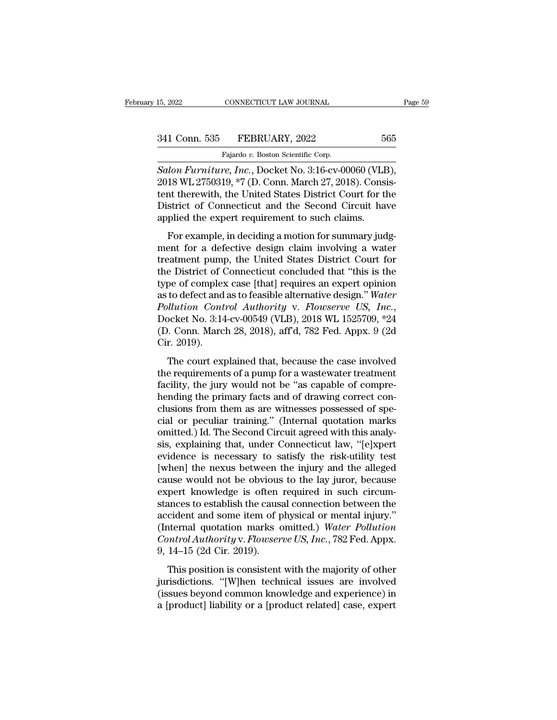CONNECTICUT LAW JOURNAL<br>FEBRUARY, 2022<br>Fajardo *v.* Boston Scientific Corp.<br>Fe Inc. Docket No. 3:16-cv-00 <sup>15, 2022</sup> CONNECTICUT LAW JOURNAL Page<br>
<sup>24</sup> S41 Conn. 535 FEBRUARY, 2022 565<br>
<sup>Fajardo</sup> *v*. Boston Scientific Corp.<br> *Salon Furniture, Inc.*, Docket No. 3:16-cv-00060 (VLB),<br>
2018 WL 2750319, \*7 (D. Conn. March 27, 2018 341 Conn. 535 FEBRUARY, 2022 565<br>
Fajardo v. Boston Scientific Corp.<br>
Salon Furniture, Inc., Docket No. 3:16-cv-00060 (VLB),<br>
2018 WL 2750319, \*7 (D. Conn. March 27, 2018). Consistent therewith, the United States District 341 Conn. 535 FEBRUARY, 2022 565<br>
Fajardo v. Boston Scientific Corp.<br>
Salon Furniture, Inc., Docket No. 3:16-cv-00060 (VLB),<br>
2018 WL 2750319, \*7 (D. Conn. March 27, 2018). Consistent therewith, the United States District 341 Conn. 535 FEBRUARY, 2022 565<br>
Fajardo v. Boston Scientific Corp.<br>
Salon Furniture, Inc., Docket No. 3:16-cv-00060 (VLB),<br>
2018 WL 2750319, \*7 (D. Conn. March 27, 2018). Consistent therewith, the United States District Fajardo v. Boston Scientific Corp.<br>
Salon Furniture, Inc., Docket No. 3:16-cv-00060 (VLE<br>
2018 WL 2750319, \*7 (D. Conn. March 27, 2018). Consitent therewith, the United States District Court for the<br>
District of Connecticu Ion Furniture, Inc., Docket No. 3:16-cv-00060 (VLB),<br>18 WL 2750319, \*7 (D. Conn. March 27, 2018). Consistent therewith, the United States District Court for the<br>strict of Connecticut and the Second Circuit have<br>plied the e  $2018$  WL 2750319,  $*7$  (D. Conn. March 27, 2018). Consistent therewith, the United States District Court for the District of Connecticut and the Second Circuit have applied the expert requirement to such claims.<br>For exam

EVID WELFOSED, T(D. COMI. Material, 2010). CONSIST<br>tent therewith, the United States District Court for the<br>District of Connecticut and the Second Circuit have<br>applied the expert requirement to such claims.<br>For example, in District of Connecticut and the Second Circuit have<br>applied the expert requirement to such claims.<br>For example, in deciding a motion for summary judg-<br>ment for a defective design claim involving a water<br>treatment pump, the positive of connectical and the second chean have<br>applied the expert requirement to such claims.<br>For example, in deciding a motion for summary judg-<br>ment for a defective design claim involving a water<br>treatment pump, the For example, in deciding a motion for summary judgment for a defective design claim involving a water<br>treatment pump, the United States District Court for<br>the District of Connecticut concluded that "this is the<br>type of com For example, in deciding a motion for summary judgment for a defective design claim involving a water treatment pump, the United States District Court for the District of Connecticut concluded that "this is the type of com treatment pump, the United States District Court for<br>the District of Connecticut concluded that "this is the<br>type of complex case [that] requires an expert opinion<br>as to defect and as to feasible alternative design." Water the District of (<br>type of complex<br>as to defect and<br>*Pollution Cont*<br>Docket No. 3:14<br>(D. Conn. Marc<br>Cir. 2019).<br>The court exp to defect and as to feasible alternative design." Water<br>to defect and as to feasible alternative design." Water<br>lluttion Control Authority v. Flowserve US, Inc.,<br>ocket No. 3:14-cv-00549 (VLB), 2018 WL 1525709, \*24<br>o. Conn the requirements of a pump for a wastewater treatment<br>follution Control Authority v. Flowserve US, Inc.,<br>Docket No. 3:14-cv-00549 (VLB), 2018 WL 1525709, \*24<br>(D. Conn. March 28, 2018), aff'd, 782 Fed. Appx. 9 (2d<br>Cir. 2019

Facility, the jury would not be "as capable of compressional policies" (D. Conn. March 28, 2018), aff'd, 782 Fed. Appx. 9 (2d Cir. 2019).<br>The court explained that, because the case involved the requirements of a pump for (D. Conn. March 28, 2018), aff'd, 782 Fed. Appx. 9 (2d Cir. 2019).<br>The court explained that, because the case involved<br>the requirements of a pump for a wastewater treatment<br>facility, the jury would not be "as capable of c Cir. 2019).<br>
The court explained that, because the case involved<br>
the requirements of a pump for a wastewater treatment<br>
facility, the jury would not be "as capable of compre-<br>
hending the primary facts and of drawing cor chic 2010).<br>The court explained that, because the case involved<br>the requirements of a pump for a wastewater treatment<br>facility, the jury would not be "as capable of compre-<br>hending the primary facts and of drawing correct The court explained that, because the case involved<br>the requirements of a pump for a wastewater treatment<br>facility, the jury would not be "as capable of compre-<br>hending the primary facts and of drawing correct con-<br>clusion the requirements of a pump for a wastewater treatment<br>facility, the jury would not be "as capable of comprehending the primary facts and of drawing correct conclusions from them as are witnesses possessed of special or pec facility, the jury would not be "as capable of comprehending the primary facts and of drawing correct conclusions from them as are witnesses possessed of special or peculiar training." (Internal quotation marks omitted.) I hending the primary facts and of drawing correct conclusions from them as are witnesses possessed of special or peculiar training." (Internal quotation marks omitted.) Id. The Second Circuit agreed with this analysis, expl clusions from them as are witnesses possessed of special or peculiar training." (Internal quotation marks omitted.) Id. The Second Circuit agreed with this analysis, explaining that, under Connecticut law, "[e]xpert eviden cial or peculiar training." (Internal quotation marks<br>omitted.) Id. The Second Circuit agreed with this analy-<br>sis, explaining that, under Connecticut law, "[e]xpert<br>evidence is necessary to satisfy the risk-utility test<br>[ omitted.) Id. The Second Circuit agreed with this analysis, explaining that, under Connecticut law, "[e]xpert evidence is necessary to satisfy the risk-utility test [when] the nexus between the injury and the alleged cause sis, explaining that, under Connecticut law, "[e]xpert<br>evidence is necessary to satisfy the risk-utility test<br>[when] the nexus between the injury and the alleged<br>cause would not be obvious to the lay juror, because<br>expert evidence is necessary to satisfy the risk-utility test<br>[when] the nexus between the injury and the alleged<br>cause would not be obvious to the lay juror, because<br>expert knowledge is often required in such circum-<br>stances to [when] the nexus between the injury and the alleged cause would not be obvious to the lay juror, because expert knowledge is often required in such circumstances to establish the causal connection between the accident and cause would not be obvious<br>expert knowledge is often<br>stances to establish the caus<br>accident and some item of p<br>(Internal quotation marks of<br>*Control Authority* v. Flowser<br>9, 14–15 (2d Cir. 2019).<br>This position is consisten From an extraction is consistent with the majority of other<br>tendent and some item of physical or mental injury."<br>ternal quotation marks omitted.) Water Pollution<br>mtrol Authority v. Flowserve US, Inc., 782 Fed. Appx.<br>14–15 stances to establish are causal estimated for the charge accident and some item of physical or mental injury."<br>(Internal quotation marks omitted.) Water Pollution<br>Control Authority v. Flowserve US, Inc., 782 Fed. Appx.<br>9,

decriteria and some nem or physical or memal nyary.<br>
(Internal quotation marks omitted.) Water Pollution<br>
Control Authority v. Flowserve US, Inc., 782 Fed. Appx.<br>
9, 14–15 (2d Cir. 2019).<br>
This position is consistent with Control Authority v. Flowserve US, Inc., 782 Fed. Appx.<br>9, 14–15 (2d Cir. 2019).<br>This position is consistent with the majority of other<br>jurisdictions. "[W]hen technical issues are involved<br>(issues beyond common knowledge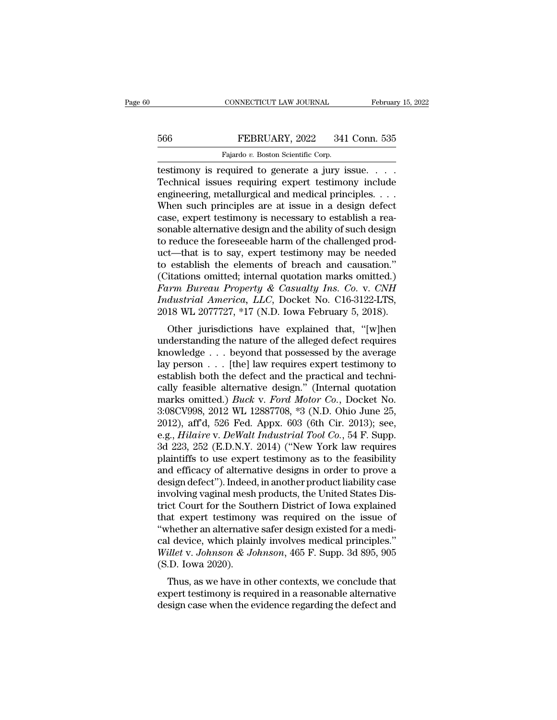## EXECUTE CONNECTICUT LAW JOURNAL February 15, 2022<br>566 FEBRUARY, 2022 341 Conn. 535<br>Fajardo v. Boston Scientific Corp. CONNECTICUT LAW JOURNAL<br>FEBRUARY, 2022 341<br>Fajardo *v.* Boston Scientific Corp.<br>Pequired to generate a jury is

CONNECTICUT LAW JOURNAL February 15, 2<br>
February 15, 2<br>
566 FEBRUARY, 2022 341 Conn. 535<br>
Fajardo v. Boston Scientific Corp.<br>
Testimony is required to generate a jury issue. . . .<br>
Technical issues requiring expert testimo FEBRUARY, 2022 341 Conn. 535<br>
Fajardo v. Boston Scientific Corp.<br>
Technical issues requiring expert testimony include<br>
engineering, metallurgical and medical principles. . . .<br>
Whon such principles are at issue in a dosign engineering, metallurgical and medical principles. . . . FEBRUARY, 2022 341 Conn. 535<br>
Fajardo v. Boston Scientific Corp.<br>
Testimony is required to generate a jury issue. . . .<br>
Technical issues requiring expert testimony include<br>
engineering, metallurgical and medical principl Fajardo v. Boston Scientific Corp.<br>
testimony is required to generate a jury issue.....<br>
Technical issues requiring expert testimony include<br>
engineering, metallurgical and medical principles....<br>
When such principles are Fajardo v. Boston Scientific Corp.<br>
Technical issues requiring expert testimony include<br>
engineering, metallurgical and medical principles.  $\dots$ <br>
When such principles are at issue in a design defect<br>
case, expert testimon testimony is required to generate a jury issue. . . . Technical issues requiring expert testimony include engineering, metallurgical and medical principles. . . . When such principles are at issue in a design defect case, Technical issues requiring expert testimony include<br>engineering, metallurgical and medical principles. . . .<br>When such principles are at issue in a design defect<br>case, expert testimony is necessary to establish a rea-<br>son engineering, metallurgical and medical principles....<br>When such principles are at issue in a design defect<br>case, expert testimony is necessary to establish a rea-<br>sonable alternative design and the ability of such design<br> When such principles are at issue in a design defect case, expert testimony is necessary to establish a reasonable alternative design and the ability of such design to reduce the foreseeable harm of the challenged product *Farm Bureau Property & Casualty Ins. Co. v. <i>CNH*<br> *Farm Bureau Property and the ability of such design to reduce the foreseeable harm of the challenged product—that is to say, expert testimony may be needed<br>
<i>Farm Bureau Industrial America, LLC, Docket No. C16-3122-LTS,* 2018 WL 2077727, \*17 (N.D. Iowa February 5, 2018). to reduce the foreseeable harm of the challenged product—that is to say, expert testimony may be needed<br>to establish the elements of breach and causation."<br>(Citations omitted; internal quotation marks omitted.)<br>Farm Bureau Contributed: the elements of breach and causation."<br>
itations omitted; internal quotation marks omitted.)<br> *Irm Bureau Property & Casualty Ins. Co. v. CNH*<br> *dustrial America, LLC*, Docket No. C16-3122-LTS,<br>
18 WL 2077727 to establish the elements of bleach and causation.<br>
(Citations omitted; internal quotation marks omitted.)<br> *Farm Bureau Property & Casualty Ins. Co. v. CNH*<br> *Industrial America*, *LLC*, Docket No. C16-3122-LTS,<br>
2018 WL

Farm Bureau Property & Casualty Ins. Co. v. CNH<br>Industrial America, LLC, Docket No. C16-3122-LTS,<br>2018 WL 2077727, \*17 (N.D. Iowa February 5, 2018).<br>Other jurisdictions have explained that, "[w]hen<br>understanding the natur Furm Bareaa Troperty & Casaatty Ins. Co. V. CNIT<br>Industrial America, LLC, Docket No. C16-3122-LTS,<br>2018 WL 2077727, \*17 (N.D. Iowa February 5, 2018).<br>Other jurisdictions have explained that, "[w]hen<br>understanding the natu maastride America, EEC, Docket No. C10-5122-L15,<br>
2018 WL 2077727, \*17 (N.D. Iowa February 5, 2018).<br>
Other jurisdictions have explained that, "[w]hen<br>
understanding the nature of the alleged defect requires<br>
knowledge . 2018 WE 2011121, '11 (N.D. Iowa February 5, 2018).<br>
Other jurisdictions have explained that, "[w]hen<br>
understanding the nature of the alleged defect requires<br>
knowledge . . . beyond that possessed by the average<br>
lay pers Other jurisdictions have explained that, "[w]hen<br>understanding the nature of the alleged defect requires<br>knowledge . . . beyond that possessed by the average<br>lay person . . . [the] law requires expert testimony to<br>establis understanding the nature of the alleged defect requires<br>knowledge . . . beyond that possessed by the average<br>lay person . . . [the] law requires expert testimony to<br>establish both the defect and the practical and techni-<br> knowledge . . . beyond that possessed by the average<br>lay person . . . [the] law requires expert testimony to<br>establish both the defect and the practical and techni-<br>cally feasible alternative design." (Internal quotation<br> lay person . . . [the] law requires expert testimony to<br>establish both the defect and the practical and techni-<br>cally feasible alternative design." (Internal quotation<br>marks omitted.) *Buck v. Ford Motor Co.*, Docket No.<br>3 establish both the defect and the practical and technically feasible alternative design." (Internal quotation marks omitted.) *Buck v. Ford Motor Co.*, Docket No.<br>3:08CV998, 2012 WL 12887708, \*3 (N.D. Ohio June 25, 2012), cally feasible alternative design." (Internal quotation<br>marks omitted.) *Buck v. Ford Motor Co.*, Docket No.<br>3:08CV998, 2012 WL 12887708, \*3 (N.D. Ohio June 25,<br>2012), aff'd, 526 Fed. Appx. 603 (6th Cir. 2013); see,<br>e.g., marks omitted.) *Buck v. Ford Motor Co.*, Docket No.<br>3:08CV998, 2012 WL 12887708, \*3 (N.D. Ohio June 25,<br>2012), aff'd, 526 Fed. Appx. 603 (6th Cir. 2013); see,<br>e.g., *Hilaire v. DeWalt Industrial Tool Co.*, 54 F. Supp.<br>3d 3:08CV998, 2012 WL 12887708, \*3 (N.D. Ohio June 25,<br>2012), aff'd, 526 Fed. Appx. 603 (6th Cir. 2013); see,<br>e.g., *Hilaire* v. *DeWalt Industrial Tool Co.*, 54 F. Supp.<br>3d 223, 252 (E.D.N.Y. 2014) ("New York law requires<br>pl 2012), aff'd, 526 Fed. Appx. 603 (6th Cir. 2013); see, e.g., *Hilaire v. DeWalt Industrial Tool Co.*, 54 F. Supp. 3d 223, 252 (E.D.N.Y. 2014) ("New York law requires plaintiffs to use expert testimony as to the feasibility e.g., *Hilaire* v. *DeWalt Industrial Tool Co.*, 54 F. Supp.<br>3d 223, 252 (E.D.N.Y. 2014) ("New York law requires<br>plaintiffs to use expert testimony as to the feasibility<br>and efficacy of alternative designs in order to prov 3d 223, 252 (E.D.N.Y. 2014) ("New York law requires<br>plaintiffs to use expert testimony as to the feasibility<br>and efficacy of alternative designs in order to prove a<br>design defect"). Indeed, in another product liability cas plaintiffs to use expert testimony as to the feasibility<br>and efficacy of alternative designs in order to prove a<br>design defect"). Indeed, in another product liability case<br>involving vaginal mesh products, the United States and efficacy of alternative designs in order to prove a<br>design defect"). Indeed, in another product liability case<br>involving vaginal mesh products, the United States Dis-<br>trict Court for the Southern District of Iowa expla design defect"). Indeed, in another product liability case<br>involving vaginal mesh products, the United States Dis-<br>trict Court for the Southern District of Iowa explained<br>that expert testimony was required on the issue of<br> involving vaginal mesh<br>trict Court for the Sou<br>that expert testimony<br>"whether an alternative<br>cal device, which plain<br>Willet v. Johnson & Jo<br>(S.D. Iowa 2020).<br>Thus, as we have in o ext count for the southern District of fowa explained<br>at expert testimony was required on the issue of<br>the ran alternative safer design existed for a medi-<br>idevice, which plainly involves medical principles."<br>illet v. John that expert testimony was required on the issue of<br>
"whether an alternative safer design existed for a medi-<br>
cal device, which plainly involves medical principles."<br>
Willet v. Johnson & Johnson, 465 F. Supp. 3d 895, 905<br> whether an atternative safer design existed for a hiedrical device, which plainly involves medical principles."<br>Willet v. Johnson & Johnson, 465 F. Supp. 3d 895, 905<br>(S.D. Iowa 2020).<br>Thus, as we have in other contexts, we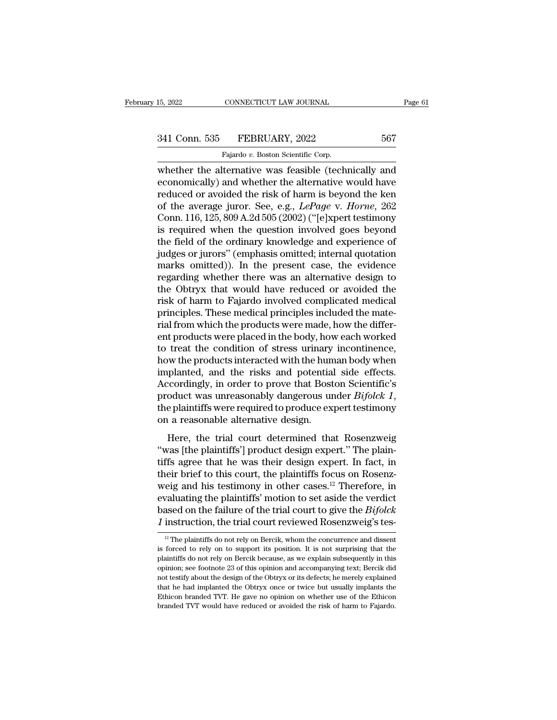# 15, 2022 CONNECTICUT LAW JOURNAL Page 61<br>341 Conn. 535 FEBRUARY, 2022 567<br>Fajardo v. Boston Scientific Corp.

15, 2022 CONNECTICUT LAW JOURNAL<br>
341 Conn. 535 FEBRUARY, 2022 567<br>
Fajardo *v.* Boston Scientific Corp.<br>
whether the alternative was feasible (technically and EVALUARY ISLEX THE SERIE OF THE SERIE OF THE SALE OF THE SALE OF THE SALE OF THE SALE OF THE ALTERNATIVE WAS FEASIble (technically and economically) and whether the alternative would have reduced or avoided the risk of har 341 Conn. 535 FEBRUARY, 2022 567<br>Fajardo v. Boston Scientific Corp.<br>whether the alternative was feasible (technically and<br>economically) and whether the alternative would have<br>reduced or avoided the risk of harm is beyond 341 Conn. 535 FEBRUARY, 2022 567<br>
Fajardo v. Boston Scientific Corp.<br>
whether the alternative was feasible (technically and<br>
economically) and whether the alternative would have<br>
reduced or avoided the risk of harm is bey <sup>241</sup> Conn. 535 FEBRUARY, 2022 567<br>
<sup>Fajardo</sup> *v*. Boston Scientific Corp.<br>
whether the alternative was feasible (technically and<br>
economically) and whether the alternative would have<br>
reduced or avoided the risk of harm i Fajardo v. Boston Scientific Corp.<br>
whether the alternative was feasible (technically and<br>
economically) and whether the alternative would have<br>
reduced or avoided the risk of harm is beyond the ken<br>
of the average juror. Fajardo v. Boston Scientific Corp.<br>
whether the alternative was feasible (technically and<br>
economically) and whether the alternative would have<br>
reduced or avoided the risk of harm is beyond the ken<br>
of the average juror. whether the alternative was feasible (technically and<br>economically) and whether the alternative would have<br>reduced or avoided the risk of harm is beyond the ken<br>of the average juror. See, e.g.,  $LePage$  v. Horne, 262<br>Conn. 11 economically) and whether the alternative would have<br>reduced or avoided the risk of harm is beyond the ken<br>of the average juror. See, e.g., *LePage* v. *Horne*, 262<br>Conn. 116, 125, 809 A.2d 505 (2002) ("[e]xpert testimony<br> reduced or avoided the risk of harm is beyond the ken<br>of the average juror. See, e.g., *LePage* v. *Horne*, 262<br>Conn. 116, 125, 809 A.2d 505 (2002) ("[e]xpert testimony<br>is required when the question involved goes beyond<br>th of the average juror. See, e.g., *LePage* v. *Horne*, 262<br>Conn. 116, 125, 809 A.2d 505 (2002) ("[e]xpert testimony<br>is required when the question involved goes beyond<br>the field of the ordinary knowledge and experience of<br>ju Conn. 116, 125, 809 A.2d 505 (2002) ("[e]xpert testimony<br>is required when the question involved goes beyond<br>the field of the ordinary knowledge and experience of<br>judges or jurors" (emphasis omitted; internal quotation<br>mark is required when the question involved goes beyond<br>the field of the ordinary knowledge and experience of<br>judges or jurors" (emphasis omitted; internal quotation<br>marks omitted)). In the present case, the evidence<br>regarding the field of the ordinary knowledge and experience of judges or jurors" (emphasis omitted; internal quotation marks omitted)). In the present case, the evidence regarding whether there was an alternative design to the Obtr judges or jurors" (emphasis omitted; internal quotation marks omitted)). In the present case, the evidence regarding whether there was an alternative design to the Obtryx that would have reduced or avoided the risk of harm marks omitted)). In the present case, the evidence<br>regarding whether there was an alternative design to<br>the Obtryx that would have reduced or avoided the<br>risk of harm to Fajardo involved complicated medical<br>principles. The regarding whether there was an alternative design to<br>the Obtryx that would have reduced or avoided the<br>risk of harm to Fajardo involved complicated medical<br>principles. These medical principles included the mate-<br>rial from the Obtryx that would have reduced or avoided the<br>risk of harm to Fajardo involved complicated medical<br>principles. These medical principles included the mate-<br>rial from which the products were made, how the differ-<br>ent pro risk of harm to Fajardo involved complicated medical<br>principles. These medical principles included the mate-<br>rial from which the products were made, how the differ-<br>ent products were placed in the body, how each worked<br>to principles. These medical principles included the mate-<br>rial from which the products were made, how the differ-<br>ent products were placed in the body, how each worked<br>to treat the condition of stress urinary incontinence,<br>h rial from which the products were made, how the different products were placed in the body, how each worked<br>to treat the condition of stress urinary incontinence,<br>how the products interacted with the human body when<br>implan to treat the condition of stress urinary<br>how the products interacted with the hun<br>implanted, and the risks and potentia<br>Accordingly, in order to prove that Bost<br>product was unreasonably dangerous ur<br>the plaintiffs were req We are produced what are maintait body when<br>planted, and the risks and potential side effects.<br>coordingly, in order to prove that Boston Scientific's<br>oduct was unreasonably dangerous under  $Bifolck 1$ ,<br>e plaintiffs were requ Accordingly, in order to prove that Boston Scientific's<br>
product was unreasonably dangerous under *Bifolck 1*,<br>
the plaintiffs were required to produce expert testimony<br>
on a reasonable alternative design.<br>
Here, the tria

product was unreasonably dangerous under *Bifolck 1*,<br>the plaintiffs were required to produce expert testimony<br>on a reasonable alternative design.<br>Here, the trial court determined that Rosenzweig<br>"was [the plaintiffs'] pr the plaintiffs were required to produce expert testimony<br>on a reasonable alternative design.<br>Here, the trial court determined that Rosenzweig<br>"was [the plaintiffs'] product design expert." The plain-<br>tiffs agree that he w on a reasonable alternative design.<br>
Here, the trial court determined that Rosenzweig<br>
"was [the plaintiffs'] product design expert." The plain-<br>
tiffs agree that he was their design expert. In fact, in<br>
their brief to th Here, the trial court determined that Rosenzweig<br>
"was [the plaintiffs'] product design expert." The plain-<br>
tiffs agree that he was their design expert. In fact, in<br>
their brief to this court, the plaintiffs focus on Ros Here, the trial court determined that Rosenzweig<br>
"was [the plaintiffs'] product design expert." The plain-<br>
tiffs agree that he was their design expert. In fact, in<br>
their brief to this court, the plaintiffs focus on Ros "was [the plaintiffs'] product design expert." The plaintiffs agree that he was their design expert. In fact, in their brief to this court, the plaintiffs focus on Rosenzweig and his testimony in other cases.<sup>12</sup> Therefor eig and his testimony in other cases.<sup>12</sup> Therefore, in valuating the plaintiffs' motion to set aside the verdict ased on the failure of the trial court to give the *Bifolck* instruction, the trial court reviewed Rosenzwe evaluating the plaintiffs' motion to set aside the verdict<br>based on the failure of the trial court to give the *Bifolck*<br>*I* instruction, the trial court reviewed Rosenzweig's tes-<br> $\frac{12}{12}$  The plaintiffs do not rely o

based on the failure of the trial court to give the *Bifolck* 1 instruction, the trial court reviewed Rosenzweig's tes-<br> $\frac{12}{12}$  The plaintiffs do not rely on Bercik, whom the concurrence and dissent is forced to rely *I* instruction, the trial court reviewed Rosenzweig's tes-<br>
<sup>12</sup> The plaintiffs do not rely on Bercik, whom the concurrence and dissent<br>
is forced to rely on to support its position. It is not surprising that the<br>
plaint Thistruction, the trial court reviewed Rosenzwerg s tes-<br>
<sup>12</sup> The plaintiffs do not rely on Bercik, whom the concurrence and dissent<br>
is forced to rely on to support its position. It is not surprising that the<br>
plaintiff <sup>12</sup> The plaintiffs do not rely on Bercik, whom the concurrence and dissent is forced to rely on to support its position. It is not surprising that the plaintiffs do not rely on Bercik because, as we explain subsequently is forced to rely on to support its position. It is not surprising that the plaintiffs do not rely on Bercik because, as we explain subsequently in this opinion; see footnote 23 of this opinion and accompanying text; Berci is forced to rely on to support its position. It is not surprising that the plaintiffs do not rely on Bercik because, as we explain subsequently in this opinion; see footnote 23 of this opinion and accompanying text; Berc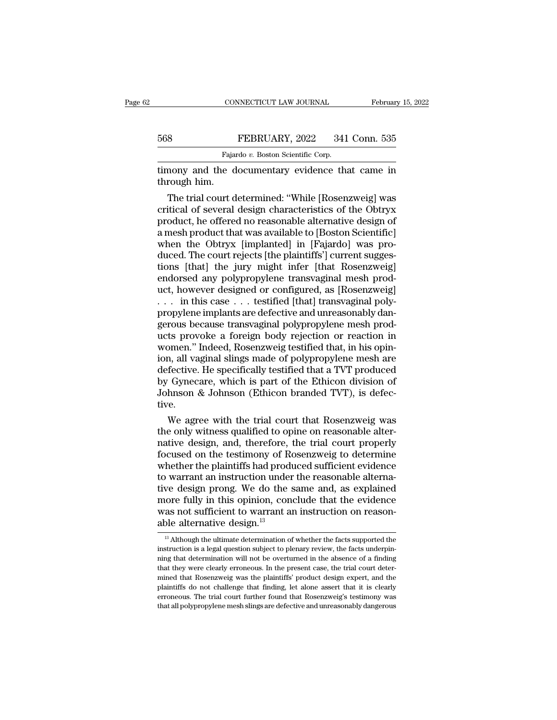## EXECUTE CONNECTICUT LAW JOURNAL February 15, 2022<br>568 FEBRUARY, 2022 341 Conn. 535<br>Fajardo v. Boston Scientific Corp. CONNECTICUT LAW JOURNAL<br>FEBRUARY, 2022 341<br>Fajardo *v.* Boston Scientific Corp.<br>e documentary evidence the

THE CONNECTICUT LAW JOURNAL February 15, 2022<br>
FEBRUARY, 2022 341 Conn. 535<br>
Fajardo v. Boston Scientific Corp.<br>
Etimony and the documentary evidence that came in through him. Example 1868<br>
The University of the Section of the Section 1968<br>
The trial court d

Fajardo v. Boston Scientific Corp.<br>
Fajardo v. Boston Scientific Corp.<br>
mony and the documentary evidence that came in<br>
rough him.<br>
The trial court determined: "While [Rosenzweig] was<br>
itical of several design characterist FEBRUARY, 2022 341 Conn. 535<br>
Fajardo v. Boston Scientific Corp.<br>
timony and the documentary evidence that came in<br>
through him.<br>
The trial court determined: "While [Rosenzweig] was<br>
critical of several design characterist Fajardo v. Boston Scientific Corp.<br>
imony and the documentary evidence that came in<br>
through him.<br>
The trial court determined: "While [Rosenzweig] was<br>
critical of several design characteristics of the Obtryx<br>
product, he Figure 8: Essista Scientific Cape.<br>
timony and the documentary evidence that came in<br>
through him.<br>
The trial court determined: "While [Rosenzweig] was<br>
critical of several design characteristics of the Obtryx<br>
product, he timony and the documentary evidence that came in<br>through him.<br>The trial court determined: "While [Rosenzweig] was<br>critical of several design characteristics of the Obtryx<br>product, he offered no reasonable alternative desig through him.<br>
The trial court determined: "While [Rosenzweig] was<br>
critical of several design characteristics of the Obtryx<br>
product, he offered no reasonable alternative design of<br>
a mesh product that was available to [Bo The trial court determined: "While [Rosenzweig] was<br>critical of several design characteristics of the Obtryx<br>product, he offered no reasonable alternative design of<br>a mesh product that was available to [Boston Scientific]<br> critical of several design characteristics of the Obtryx<br>product, he offered no reasonable alternative design of<br>a mesh product that was available to [Boston Scientific]<br>when the Obtryx [implanted] in [Fajardo] was pro-<br>du product, he offered no reasonable alternative design of<br>a mesh product that was available to [Boston Scientific]<br>when the Obtryx [implanted] in [Fajardo] was pro-<br>duced. The court rejects [the plaintiffs'] current sugges-<br> a mesh product that was available to [Boston Scientific]<br>when the Obtryx [implanted] in [Fajardo] was pro-<br>duced. The court rejects [the plaintiffs'] current sugges-<br>tions [that] the jury might infer [that Rosenzweig]<br>endo when the Obtryx [implanted] in [Fajardo] was pro-<br>duced. The court rejects [the plaintiffs'] current sugges-<br>tions [that] the jury might infer [that Rosenzweig]<br>endorsed any polypropylene transvaginal mesh prod-<br>uct, howev duced. The court rejects [the plaintiffs'] current suggestions [that] the jury might infer [that Rosenzweig]<br>endorsed any polypropylene transvaginal mesh prod-<br>uct, however designed or configured, as [Rosenzweig]<br>... in th tions [that] the jury might infer [that Rosenzweig]<br>endorsed any polypropylene transvaginal mesh prod-<br>uct, however designed or configured, as [Rosenzweig]<br>... in this case ... testified [that] transvaginal poly-<br>propylene endorsed any polypropylene transvaginal mesh product, however designed or configured, as [Rosenzweig]<br>  $\dots$  in this case  $\dots$  testified [that] transvaginal poly-<br>
propylene implants are defective and unreasonably dangerou uct, however designed or configured, as [Rosenzweig]<br>
... in this case ... testified [that] transvaginal poly-<br>
propylene implants are defective and unreasonably dan-<br>
gerous because transvaginal polypropylene mesh prod-<br> . . . in this case . . . testified [that] transvaginal poly-<br>propylene implants are defective and unreasonably dan-<br>gerous because transvaginal polypropylene mesh prod-<br>ucts provoke a foreign body rejection or reaction in<br> propylene implants are defective and unreasonably dangerous because transvaginal polypropylene mesh products provoke a foreign body rejection or reaction in women." Indeed, Rosenzweig testified that, in his opinion, all va gerous because transvaginal polypropylene mesh products provoke a foreign body rejection or reaction in women." Indeed, Rosenzweig testified that, in his opinion, all vaginal slings made of polypropylene mesh are defective tive. bomen." Indeed, Rosenzweig testified that, in his opin-<br>n, all vaginal slings made of polypropylene mesh are<br>fective. He specifically testified that a TVT produced<br>Gynecare, which is part of the Ethicon division of<br>hnson & ion, all vaginal slings made of polypropylene mesh are<br>defective. He specifically testified that a TVT produced<br>by Gynecare, which is part of the Ethicon division of<br>Johnson & Johnson (Ethicon branded TVT), is defec-<br>tive.

defective. He specifically testified that a TVT produced<br>by Gynecare, which is part of the Ethicon division of<br>Johnson & Johnson (Ethicon branded TVT), is defec-<br>tive.<br>We agree with the trial court that Rosenzweig was<br>the by Gynecare, which is part of the Ethicon division of<br>Johnson & Johnson (Ethicon branded TVT), is defec-<br>tive.<br>We agree with the trial court that Rosenzweig was<br>the only witness qualified to opine on reasonable alter-<br>nati Johnson & Johnson (Ethicon branded TVT), is defec-<br>tive.<br>We agree with the trial court that Rosenzweig was<br>the only witness qualified to opine on reasonable alter-<br>native design, and, therefore, the trial court properly<br>fo tive.<br>We agree with the trial court that Rosenzweig was<br>the only witness qualified to opine on reasonable alter-<br>native design, and, therefore, the trial court properly<br>focused on the testimony of Rosenzweig to determine<br>w We agree with the trial court that Rosenzweig was<br>the only witness qualified to opine on reasonable alter-<br>native design, and, therefore, the trial court properly<br>focused on the testimony of Rosenzweig to determine<br>whether the only witness qualified to opine on reasonable alternative design, and, therefore, the trial court properly focused on the testimony of Rosenzweig to determine whether the plaintiffs had produced sufficient evidence to native design, and, therefore, the trial court properly<br>focused on the testimony of Rosenzweig to determine<br>whether the plaintiffs had produced sufficient evidence<br>to warrant an instruction under the reasonable alterna-<br>ti focused on the testimony of R whether the plaintiffs had prod<br>to warrant an instruction under<br>tive design prong. We do the sense more fully in this opinion, con<br>was not sufficient to warrant a<br>able alternative design.<sup>13</sup> we design prong. We do the same and, as explained<br>iore fully in this opinion, conclude that the evidence<br>as not sufficient to warrant an instruction on reason-<br>ple alternative design.<sup>13</sup><br><sup>13</sup> Although the ultimate determi more fully in this opinion, conclude that the evidence was not sufficient to warrant an instruction on reason-<br>able alternative design.<sup>13</sup><br><sup>13</sup> Although the ultimate determination of whether the facts supported the instr

was not sufficient to warrant an instruction on reason-<br>able alternative design.<sup>13</sup><br> $\frac{13}{12}$  Although the ultimate determination of whether the facts supported the<br>instruction is a legal question subject to plenary re was not sumerous of warrant an instruction on reason-<br>able alternative design.<sup>13</sup><br> $\frac{13}{13}$  Although the ultimate determination of whether the facts supported the<br>instruction is a legal question subject to plenary revi able atternative design.<sup>23</sup><br><sup>13</sup> Although the ultimate determination of whether the facts supported the<br>instruction is a legal question subject to plenary review, the facts underpin-<br>ining that determination will not be o  $^{13}$  Although the ultimate determination of whether the facts supported the instruction is a legal question subject to plenary review, the facts underpinding that determination will not be overturned in the absence of a instruction is a legal question subject to plenary review, the facts underpin-<br>ning that determination will not be overturned in the absence of a finding<br>that they were clearly erroneous. In the present case, the trial cou ning that determination will not be overturned in the absence of a finding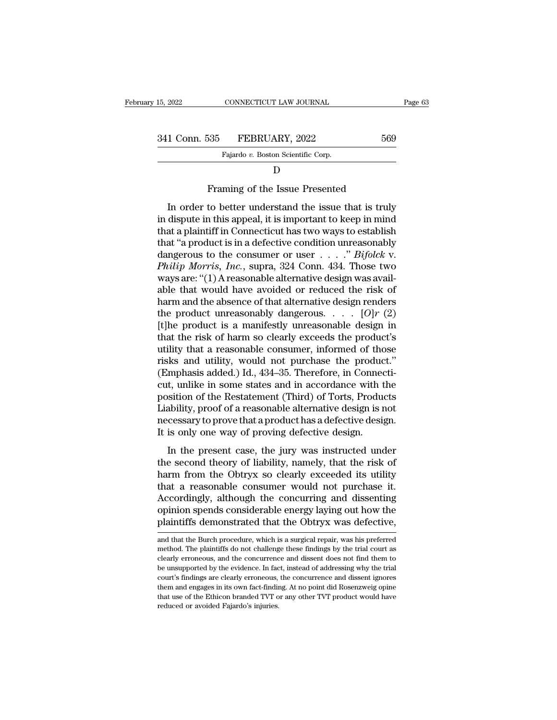| 15, 2022      | CONNECTICUT LAW JOURNAL                               |     | Page 63 |
|---------------|-------------------------------------------------------|-----|---------|
|               |                                                       |     |         |
| 341 Conn. 535 | FEBRUARY, 2022                                        | 569 |         |
|               | Fajardo v. Boston Scientific Corp.                    |     |         |
|               |                                                       |     |         |
|               | Framing of the Issue Presented                        |     |         |
|               | In order to better understand the issue that is truly |     |         |

## D<sub>D</sub>

1 Conn. 535 FEBRUARY, 2022 569<br>Fajardo v. Boston Scientific Corp.<br>D<br>Framing of the Issue Presented<br>In order to better understand the issue that is truly<br>dispute in this appeal, it is important to keep in mind<br>at a plaintif Fajardo v. Boston Scientific Corp.<br>
D<br>
Framing of the Issue Presented<br>
In order to better understand the issue that is truly<br>
in dispute in this appeal, it is important to keep in mind<br>
that a plaintiff in Connecticut has Fragado *i*. Boson scientiff corp.<br>
D<br>
Framing of the Issue Presented<br>
In order to better understand the issue that is truly<br>
in dispute in this appeal, it is important to keep in mind<br>
that a plaintiff in Connecticut has D<br>
Framing of the Issue Presented<br>
In order to better understand the issue that is truly<br>
in dispute in this appeal, it is important to keep in mind<br>
that a plaintiff in Connecticut has two ways to establish<br>
that "a prod Framing of the Issue Presented<br>In order to better understand the issue that is truly<br>in dispute in this appeal, it is important to keep in mind<br>that a plaintiff in Connecticut has two ways to establish<br>that "a product is i *Philip Morris, Inc.*, supra, 324 Conn. 434. Those two ways are: "(1) A reasonable alternative design was available that would have avaided or reduced the risk of the two ways to extend the ways are: "(1) A reasonable alte In order to better understand the issue that is truly<br>in dispute in this appeal, it is important to keep in mind<br>that a plaintiff in Connecticut has two ways to establish<br>that "a product is in a defective condition unreas in dispute in this appeal, it is important to keep in mind<br>that a plaintiff in Connecticut has two ways to establish<br>that "a product is in a defective condition unreasonably<br>dangerous to the consumer or user  $\ldots$ " Bifolc that a plaintiff in Connecticut has two ways to establish<br>that "a product is in a defective condition unreasonably<br>dangerous to the consumer or user . . . . ." *Bifolck* v.<br>*Philip Morris, Inc.*, supra, 324 Conn. 434. Tho that "a product is in a defective condition unreasonably<br>dangerous to the consumer or user . . . . " *Bifolck v.*<br>*Philip Morris, Inc.*, supra, 324 Conn. 434. Those two<br>ways are: "(1) A reasonable alternative design was a dangerous to the consumer or user . . . . . " *Bifolck v.*<br> *Philip Morris, Inc.*, supra, 324 Conn. 434. Those two<br>
ways are: "(1) A reasonable alternative design was avail-<br>
able that would have avoided or reduced the ri Philip Morris, Inc., supra, 324 Conn. 434. Those two<br>ways are: "(1) A reasonable alternative design was available that would have avoided or reduced the risk of<br>harm and the absence of that alternative design renders<br>the ways are: "(1) A reasonable alternative design was available that would have avoided or reduced the risk of harm and the absence of that alternative design renders the product unreasonably dangerous. . . . .  $[O]r$  (2) [t able that would have avoided or reduced the risk of harm and the absence of that alternative design renders<br>the product unreasonably dangerous....  $[O]r$  (2)<br>[t]he product is a manifestly unreasonable design in<br>that the r harm and the absence of that alternative design renders<br>the product unreasonably dangerous. . . . .  $[O]r(2)$ <br>[t]he product is a manifestly unreasonable design in<br>that the risk of harm so clearly exceeds the product's<br>uti the product unreasonably dangerous. . . . .  $[O]r(2)$ <br>[t]he product is a manifestly unreasonable design in<br>that the risk of harm so clearly exceeds the product's<br>utility that a reasonable consumer, informed of those<br>risks [t]he product is a manifestly unreasonable design in<br>that the risk of harm so clearly exceeds the product's<br>utility that a reasonable consumer, informed of those<br>risks and utility, would not purchase the product."<br>(Emphasi that the risk of harm so clearly exceeds the product's<br>utility that a reasonable consumer, informed of those<br>risks and utility, would not purchase the product."<br>(Emphasis added.) Id., 434–35. Therefore, in Connecti-<br>cut, u utility that a reasonable consumer, informed of those<br>risks and utility, would not purchase the product."<br>(Emphasis added.) Id., 434–35. Therefore, in Connecti-<br>cut, unlike in some states and in accordance with the<br>positio risks and utility, would not purchase the produc<br>(Emphasis added.) Id., 434–35. Therefore, in Connec<br>cut, unlike in some states and in accordance with t<br>position of the Restatement (Third) of Torts, Produc<br>Liability, proof In the in some states and in accordance with the<br>ition of the Restatement (Third) of Torts, Products<br>ability, proof of a reasonable alternative design is not<br>cessary to prove that a product has a defective design.<br>is only East, that is some states and in accordance what are<br>position of the Restatement (Third) of Torts, Products<br>Liability, proof of a reasonable alternative design is not<br>necessary to prove that a product has a defective desig

Liability, proof of a reasonable alternative design is not<br>necessary to prove that a product has a defective design.<br>It is only one way of proving defective design.<br>In the present case, the jury was instructed under<br>the se matter, proof of a reasonable and that a redesign is not<br>necessary to prove that a product has a defective design.<br>It is only one way of proving defective design.<br>In the present case, the jury was instructed under<br>the seco It is only one way of proving defective design.<br>
It is only one way of proving defective design.<br>
In the present case, the jury was instructed under<br>
the second theory of liability, namely, that the risk of<br>
harm from the In the present case, the jury was instructed under<br>the second theory of liability, namely, that the risk of<br>harm from the Obtryx so clearly exceeded its utility<br>that a reasonable consumer would not purchase it.<br>Accordingly In the present case, the jury was instructed under<br>the second theory of liability, namely, that the risk of<br>harm from the Obtryx so clearly exceeded its utility<br>that a reasonable consumer would not purchase it.<br>Accordingly that a reasonable consumer would not purchase it.<br>Accordingly, although the concurring and dissenting<br>opinion spends considerable energy laying out how the<br>plaintiffs demonstrated that the Obtryx was defective,<br>and that th Accordingly, although the concurring and dissenting<br>opinion spends considerable energy laying out how the<br>plaintiffs demonstrated that the Obtryx was defective,<br>and that the Burch procedure, which is a surgical repair, was

opinion spends considerable energy laying out how the<br>plaintiffs demonstrated that the Obtryx was defective,<br>and that the Burch procedure, which is a surgical repair, was his preferred<br>method. The plaintiffs do not challen plaintiffs demonstrated that the Obtryx was defective,<br>and that the Burch procedure, which is a surgical repair, was his preferred<br>method. The plaintiffs do not challenge these findings by the trial court as<br>clearly errone and that the Burch procedure, which is a surgical repair, was his preferred method. The plaintiffs do not challenge these findings by the trial court as clearly erroneous, and the concurrence and dissent does not find them and that the Burch procedure, which is a surgical repair, was his preferred method. The plaintiffs do not challenge these findings by the trial court as clearly erroneous, and the concurrence and dissent does not find them method. The plaintiffs do not challenge these findings by the trial court as clearly erroneous, and the concurrence and dissent does not find them to be unsupported by the evidence. In fact, instead of addressing why the t clearly erroneous, and the concurrence and dissent does not find them to be unsupported by the evidence. In fact, instead of addressing why the trial court's findings are clearly erroneous, the concurrence and dissent igno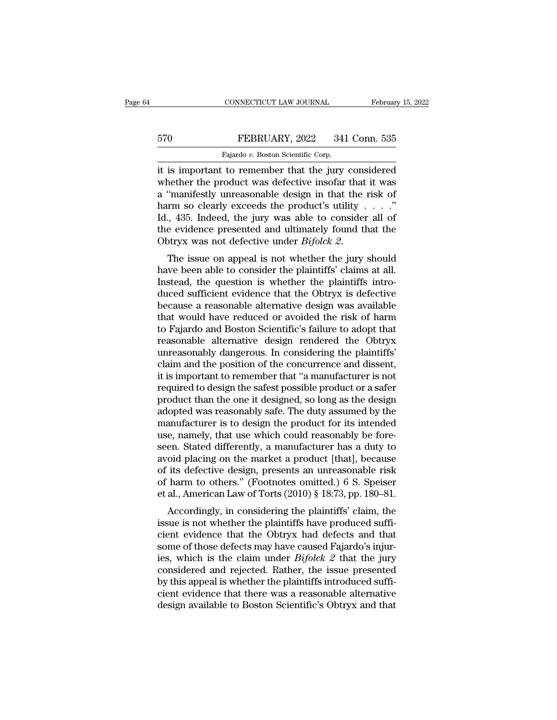## EXECUTE CONNECTICUT LAW JOURNAL February 15, 2022<br>570 FEBRUARY, 2022 341 Conn. 535<br>Fajardo v. Boston Scientific Corp. CONNECTICUT LAW JOURNAL<br>Fajardo *v.* Boston Scientific Corp.<br>To remember that the jury

CONNECTICUT LAW JOURNAL February 15, 2022<br>
FEBRUARY, 2022 341 Conn. 535<br>
Fajardo v. Boston Scientific Corp.<br>
it is important to remember that the jury considered<br>
whether the product was defective insofar that it was FEBRUARY, 2022 341 Conn. 535<br>Fajardo v. Boston Scientific Corp.<br>it is important to remember that the jury considered<br>whether the product was defective insofar that it was<br>a "manifestly unreasonable design in that the risk FEBRUARY, 2022 341 Conn. 535<br>
Fajardo v. Boston Scientific Corp.<br>
it is important to remember that the jury considered<br>
whether the product was defective insofar that it was<br>
a "manifestly unreasonable design in that the FEBRUARY, 2022 341 Conn. 535<br>
Fajardo v. Boston Scientific Corp.<br>
it is important to remember that the jury considered<br>
whether the product was defective insofar that it was<br>
a "manifestly unreasonable design in that the Fajardo v. Boston Scientific Corp.<br>
It is important to remember that the jury considered<br>
whether the product was defective insofar that it was<br>
a "manifestly unreasonable design in that the risk of<br>
harm so clearly excee Figure 1. Boston Scientific Corp.<br>it is important to remember that the jury considered<br>whether the product was defective insofar that it was<br>a "manifestly unreasonable design in that the risk of<br>harm so clearly exceeds th it is important to remember that the jury considered<br>whether the product was defective insofar that it was<br>a "manifestly unreasonable design in that the risk of<br>harm so clearly exceeds the product's utility . . . ."<br>Id., a mannestry unreasonable design in that the risk of<br>harm so clearly exceeds the product's utility . . . ."<br>Id., 435. Indeed, the jury was able to consider all of<br>the evidence presented and ultimately found that the<br>Obtryx

Instituted, the jury was able to consider all of<br>the evidence presented and ultimately found that the<br>Obtryx was not defective under *Bifolck 2*.<br>The issue on appeal is not whether the jury should<br>have been able to consid duced sufficient evidence that the Obtryx was not defective under  $Bifolck$  2.<br>The issue on appeal is not whether the jury should<br>have been able to consider the plaintiffs' claims at all.<br>Instead, the question is whether the The evidence presented and unimately found that the<br>Obtryx was not defective under *Bifolck 2*.<br>The issue on appeal is not whether the jury should<br>have been able to consider the plaintiffs' claims at all.<br>Instead, the que The issue on appeal is not whether the jury should<br>have been able to consider the plaintiffs' claims at all.<br>Instead, the question is whether the plaintiffs intro-<br>duced sufficient evidence that the Obtryx is defective<br>be The issue on appeal is not whether the jury should<br>have been able to consider the plaintiffs' claims at all.<br>Instead, the question is whether the plaintiffs intro-<br>duced sufficient evidence that the Obtryx is defective<br>bec have been able to consider the plaintiffs' claims at all.<br>Instead, the question is whether the plaintiffs intro-<br>duced sufficient evidence that the Obtryx is defective<br>because a reasonable alternative design was available<br> Instead, the question is whether the plaintiffs introduced sufficient evidence that the Obtryx is defective<br>because a reasonable alternative design was available<br>that would have reduced or avoided the risk of harm<br>to Fajar duced sufficient evidence that the Obtryx is defective<br>because a reasonable alternative design was available<br>that would have reduced or avoided the risk of harm<br>to Fajardo and Boston Scientific's failure to adopt that<br>reas because a reasonable alternative design was available<br>that would have reduced or avoided the risk of harm<br>to Fajardo and Boston Scientific's failure to adopt that<br>reasonable alternative design rendered the Obtryx<br>unreasona that would have reduced or avoided the risk of harm<br>to Fajardo and Boston Scientific's failure to adopt that<br>reasonable alternative design rendered the Obtryx<br>unreasonably dangerous. In considering the plaintiffs'<br>claim an to Fajardo and Boston Scientific's failure to adopt that<br>reasonable alternative design-rendered the Obtryx<br>unreasonably dangerous. In considering the plaintiffs'<br>claim and the position of the concurrence and dissent,<br>it is reasonable alternative design rendered the Obtryx<br>unreasonably dangerous. In considering the plaintiffs'<br>claim and the position of the concurrence and dissent,<br>it is important to remember that "a manufacturer is not<br>requir unreasonably dangerous. In considering the plaintiffs'<br>claim and the position of the concurrence and dissent,<br>it is important to remember that "a manufacturer is not<br>required to design the safest possible product or a safe claim and the position of the concurrence and dissent,<br>it is important to remember that "a manufacturer is not<br>required to design the safest possible product or a safer<br>product than the one it designed, so long as the desi it is important to remember that "a manufacturer is not<br>required to design the safest possible product or a safer<br>product than the one it designed, so long as the design<br>adopted was reasonably safe. The duty assumed by the required to design the safest possible product or a safer<br>product than the one it designed, so long as the design<br>adopted was reasonably safe. The duty assumed by the<br>manufacturer is to design the product for its intended<br> product than the one it designed, so long as the design<br>adopted was reasonably safe. The duty assumed by the<br>manufacturer is to design the product for its intended<br>use, namely, that use which could reasonably be fore-<br>seen adopted was reasonably safe. The duty assumed by the<br>manufacturer is to design the product for its intended<br>use, namely, that use which could reasonably be fore-<br>seen. Stated differently, a manufacturer has a duty to<br>avoid manufacturer is to design the product for its intended<br>use, namely, that use which could reasonably be fore-<br>seen. Stated differently, a manufacturer has a duty to<br>avoid placing on the market a product [that], because<br>of i e, namely, that use which could reasonably be fore-<br>en. Stated differently, a manufacturer has a duty to<br>oid placing on the market a product [that], because<br>its defective design, presents an unreasonable risk<br>harm to other seen. Stated unterently, a manufacturer has a duly to<br>avoid placing on the market a product [that], because<br>of its defective design, presents an unreasonable risk<br>of harm to others." (Footnotes omitted.) 6 S. Speiser<br>et al

avoid placing on the market a product [that], because<br>of its defective design, presents an unreasonable risk<br>of harm to others." (Footnotes omitted.) 6 S. Speiser<br>et al., American Law of Torts (2010) § 18:73, pp. 180–81.<br> of harm to others." (Footnotes omitted.) 6 S. Speiser<br>et al., American Law of Torts (2010) § 18:73, pp. 180–81.<br>Accordingly, in considering the plaintiffs' claim, the<br>issue is not whether the plaintiffs have produced suff or narm to others. (Foothotes onfitted.) 6 5. Speser<br>et al., American Law of Torts (2010) § 18:73, pp. 180–81.<br>Accordingly, in considering the plaintiffs' claim, the<br>issue is not whether the plaintiffs have produced suffiet an, American Law of Torts (2010) § 16.75, pp. 160–61.<br>
Accordingly, in considering the plaintiffs' claim, the<br>
issue is not whether the plaintiffs have produced suffi-<br>
cient evidence that the Obtryx had defects and th Accordingly, in considering the plaintiffs' claim, the issue is not whether the plaintiffs have produced sufficient evidence that the Obtryx had defects and that some of those defects may have caused Fajardo's injuries, w issue is not whether the plaintiffs have produced sufficient evidence that the Obtryx had defects and that some of those defects may have caused Fajardo's injuries, which is the claim under  $Bifolck$  2 that the jury considere cient evidence that the Obtryx had defects and that some of those defects may have caused Fajardo's injuries, which is the claim under  $Bifolck 2$  that the jury considered and rejected. Rather, the issue presented by this ap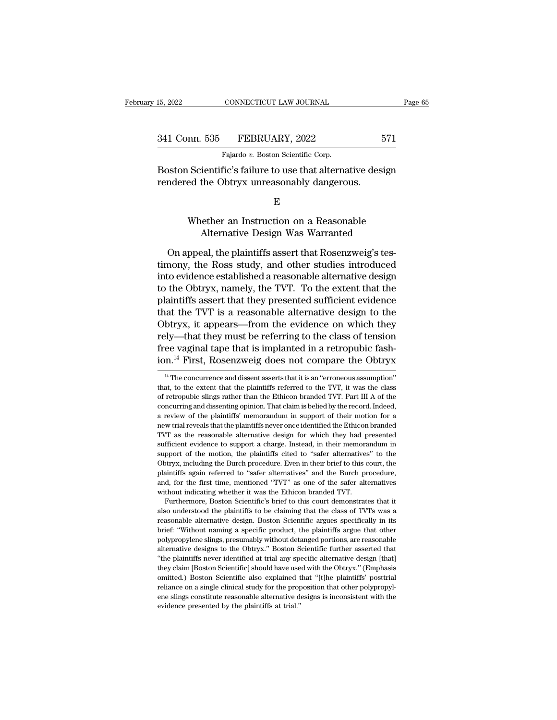| 15, 2022      | CONNECTICUT LAW JOURNAL            | Page 65 |  |
|---------------|------------------------------------|---------|--|
|               |                                    |         |  |
| 341 Conn. 535 | FEBRUARY, 2022                     | 571     |  |
|               | Fajardo v. Boston Scientific Corp. |         |  |

15, 2022 CONNECTICUT LAW JOURNAL<br>
341 Conn. 535 FEBRUARY, 2022 571<br>
Fajardo *v.* Boston Scientific Corp.<br>
Boston Scientific's failure to use that alternative design EMBER 15, 2022 15, 2022<br>
Boston Scientific's failure to use that alternative design<br>
Fendered the Obtryx unreasonably dangerous. 341 Conn. 535 FEBRUARY, 2022<br>Fajardo v. Boston Scientific Corp.<br>Boston Scientific's failure to use that alternative des<br>rendered the Obtryx unreasonably dangerous.<br>E  $\begin{tabular}{l} \hline \textbf{Fajardo $v$. Boston Scientific Corp.} \\ \hline Scientific's failure to use that alternative design  
ed the Obtryx unreasonable dangerous. \\ \hline \end{tabular}$  <br> Whether an Instruction on a Reasonable <br> Alternative Design Was Warranted Figure 1 Decision Decision Design<br>
ientific's failure to use that alternative design<br>
the Obtryx unreasonably dangerous.<br>
E<br>
ether an Instruction on a Reasonable<br>
Alternative Design Was Warranted<br>
eal, the plaintiffs asser

E<sub>c</sub> and the set of  $\mathbf{E}$ 

ndered the Obtryx unreasonably dangerous.<br>
E<br>
Whether an Instruction on a Reasonable<br>
Alternative Design Was Warranted<br>
On appeal, the plaintiffs assert that Rosenzweig's tes-<br>
nony, the Ross study, and other studies intro E<br>
Whether an Instruction on a Reasonable<br>
Alternative Design Was Warranted<br>
On appeal, the plaintiffs assert that Rosenzweig's tes-<br>
timony, the Ross study, and other studies introduced<br>
into evidence established a reason E<br>Whether an Instruction on a Reasonable<br>Alternative Design Was Warranted<br>On appeal, the plaintiffs assert that Rosenzweig's tes-<br>timony, the Ross study, and other studies introduced<br>into evidence established a reasonable Whether an Instruction on a Reasonable<br>Alternative Design Was Warranted<br>On appeal, the plaintiffs assert that Rosenzweig's tes-<br>timony, the Ross study, and other studies introduced<br>into evidence established a reasonable al Alternative Design Was Warranted<br>
On appeal, the plaintiffs assert that Rosenzweig's tes-<br>
timony, the Ross study, and other studies introduced<br>
into evidence established a reasonable alternative design<br>
to the Obtryx, nam On appeal, the plaintiffs assert that Rosenzweig's tes-<br>timony, the Ross study, and other studies introduced<br>into evidence established a reasonable alternative design<br>to the Obtryx, namely, the TVT. To the extent that the<br> On appeal, the plaintiffs assert that Rosenzweig's tes-<br>timony, the Ross study, and other studies introduced<br>into evidence established a reasonable alternative design<br>to the Obtryx, namely, the TVT. To the extent that the<br> timony, the Ross study, and other studies introduced<br>into evidence established a reasonable alternative design<br>to the Obtryx, namely, the TVT. To the extent that the<br>plaintiffs assert that they presented sufficient evidenc into evidence established a reasonable alternative design<br>to the Obtryx, namely, the TVT. To the extent that the<br>plaintiffs assert that they presented sufficient evidence<br>that the TVT is a reasonable alternative design to to the Obtryx, namely, the TVT. To the extent that the plaintiffs assert that they presented sufficient evidence that the TVT is a reasonable alternative design to the Obtryx, it appears—from the evidence on which they re btryx, it appears—from the evidence on which they<br>ely—that they must be referring to the class of tension<br>ee vaginal tape that is implanted in a retropubic fash-<br>n.<sup>14</sup> First, Rosenzweig does not compare the Obtryx<br><sup>14</sup> Th rely—that they must be referring to the class of tension<br>free vaginal tape that is implanted in a retropubic fash-<br>ion.<sup>14</sup> First, Rosenzweig does not compare the Obtryx<br><sup>14</sup> The concurrence and dissent asserts that it is

between the Burch procedure, plaintiffs again referred to "safer alternatives" and the Burch procedure, and, for the first time, mentioned "TVT" as one of the safer alternatives without indicating whether it was the Ethico and, for the first time, mentioned "TVT" as one of the safer alternatives<br>without indicating whether it was the Ethicon branded TVT.<br>Furthermore, Boston Scientific's brief to this court demonstrates that it<br>also understood without indicating whether it was the Ethicon branded TVT.<br>Furthermore, Boston Scientific's brief to this court demonstrates that it<br>also understood the plaintiffs to be claiming that the class of TVTs was a<br>reasonable alt Furthermore, Boston Scientific's brief to this court demonstrates that it also understood the plaintiffs to be claiming that the class of TVTs was a reasonable alternative design. Boston Scientific argues specifically in i <sup>2</sup> also understood the plaintiffs to be claiming that the class of TVTs was a reasonable alternative design. Boston Scientific argues specifically in its brief: "Without naming a specific product, the plaintiffs argue tha reasonable alternative design. Boston Scientific argues specifically in its brief: "Without naming a specific product, the plaintiffs argue that other polypropylene slings, presumably without detanged portions, are reasona brief: "Without naming a specific product, the plaintiffs argue that other polypropylene slings, presumably without detanged portions, are reasonable alternative designs to the Obtryx." Boston Scientific further asserted t polypropylene slings, presumably without detanged portions, are reasonable alternative designs to the Obtryx." Boston Scientific further asserted that "the plaintiffs never identified at trial any specific alternative desi ene slings to the Obtryx." Boston Scientific further asserted that alternative designs to the Obtryx." Boston Scientific further asserted that "the plaintiffs never identified at trial any specific alternative design [that "the plaintiffs never identified at trial any specific alternative design [that]

free vaginal tape that is implanted in a retropubic fashion.<sup>14</sup> First, Rosenzweig does not compare the Obtryx<br><sup>14</sup> The concurrence and dissent asserts that it is an "erroneous assumption"<br>that, to the extent that the pla ion.<sup>14</sup> First, Rosenzweig does not compare the Obtryx  $\frac{14}{1}$  The concurrence and dissent asserts that it is an "erroneous assumption" that, to the extent that the plaintiffs referred to the TVT, it was the class of r <sup>14</sup> The concurrence and dissent asserts that it is an "erroneous assumption"<br><sup>14</sup> The concurrence and dissent asserts that it is an "erroneous assumption"<br>that, to the extent that the plaintiffs' referred to the TVT, it <sup>14</sup> The concurrence and dissent asserts that it is an "erroneous assumption" that, to the extent that the plaintiffs referred to the TVT, it was the class of retropubic slings rather than the Ethicon branded TVT. Part II THE THE EXECT AS the extent that the plaintiffs referred to the TVT, it was the class of retropubic slings rather than the Ethicon branded TVT. Part III A of the concurring and dissenting opinion. That claim is belied by t of retropubic slings rather than the Ethicon branded TVT. Part III A of the concurring and dissenting opinion. That claim is belied by the record. Indeed, a review of the plaintiffs' memorandum in support of their motion f concurring and dissenting opinion. That claim is belied by the record. Indeed, a review of the plaintiffs' memorandum in support of their motion for a new trial reveals that the plaintiffs never once identified the Ethicon a review of the plaintiffs' memorandum in support of their motion for a neview of the plaintiffs' memorandum in support of their motion for a new trial reveals that the plaintiffs never once identified the Ethicon branded new trial reveals that the plaintiffs never once identified the Ethicon branded TVT as the reasonable alternative design for which they had presented sufficient evidence to support a charge. Instead, in their memorandum in TVT as the reasonable alternative design for which they had presented sufficient evidence to support a charge. Instead, in their memorandum in support of the motion, the plaintiffs cited to "safer alternatives" to the Obtr TVT as the reasonable alternative design for which they had presented sufficient evidence to support a charge. Instead, in their memorandum in support of the motion, the plaintiffs cited to "safer alternatives" to the Obt proof of the motion, the plaintiffs cited to "safer alternatives" to the buryx, including the Burch procedure. Even in their brief to this court, the aintiffs again referred to "safer alternatives" and the Burch procedure, Suppryx, including the Burch procedure. Even in their brief to this court, the plaintiffs again referred to "safer alternatives" and the Burch procedure, and, for the first time, mentioned "TVT" as one of the safer alterna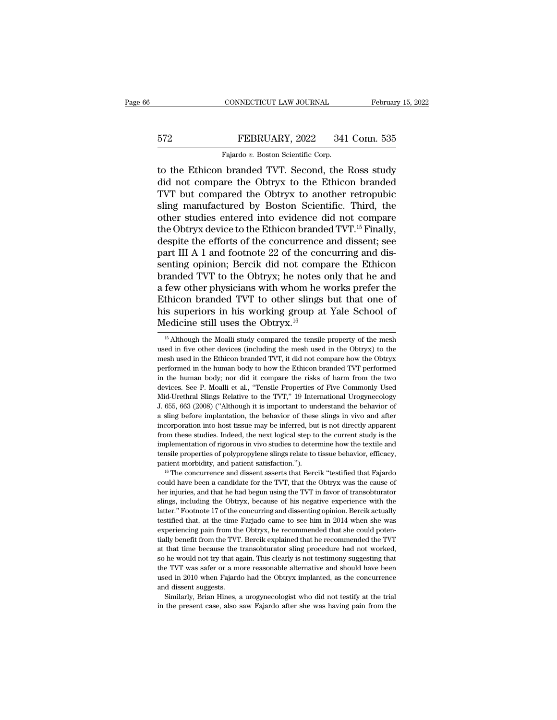## EXECUTE CONNECTICUT LAW JOURNAL February 15, 2022<br>572 FEBRUARY, 2022 341 Conn. 535<br>Fajardo v. Boston Scientific Corp. CONNECTICUT LAW JOURNAL<br>Fajardo *v.* Boston Scientific Corp.<br>Pajardo *v.* Boston Scientific Corp.<br>branded TVT Second the

CONNECTICUT LAW JOURNAL February 15, 2022<br>
FEBRUARY, 2022 341 Conn. 535<br>
Fajardo v. Boston Scientific Corp.<br>
The Ethicon branded TVT. Second, the Ross study<br>
did not compare the Obtryx to the Ethicon branded<br>
TVT but compa FEBRUARY, 2022 341 Conn. 535<br>Fajardo v. Boston Scientific Corp.<br>The Obtryx to the Ross study<br>did not compare the Obtryx to the Ethicon branded<br>TVT but compared the Obtryx to another retropubic<br>sling manufactured by Boston FEBRUARY, 2022 341 Conn. 535<br>
Fajardo v. Boston Scientific Corp.<br>
to the Ethicon branded TVT. Second, the Ross study<br>
did not compare the Obtryx to the Ethicon branded<br>
TVT but compared the Obtryx to another retropubic<br>
s FEBRUARY, 2022 341 Conn. 535<br>
Fajardo v. Boston Scientific Corp.<br>
to the Ethicon branded TVT. Second, the Ross study<br>
did not compare the Obtryx to the Ethicon branded<br>
TVT but compared the Obtryx to another retropubic<br>
s Fajardo v. Boston Scientific Corp.<br>
to the Ethicon branded TVT. Second, the Ross study<br>
did not compare the Obtryx to the Ethicon branded<br>
TVT but compared the Obtryx to another retropubic<br>
sling manufactured by Boston Sc Fajardo v. Boston Scientific Corp.<br>
to the Ethicon branded TVT. Second, the Ross study<br>
did not compare the Obtryx to the Ethicon branded<br>
TVT but compared the Obtryx to another retropubic<br>
sling manufactured by Boston Sc to the Ethicon branded TVT. Second, the Ross study<br>did not compare the Obtryx to the Ethicon branded<br>TVT but compared the Obtryx to another retropubic<br>sling manufactured by Boston Scientific. Third, the<br>other studies enter did not compare the Obtryx to the Ethicon branded TVT but compared the Obtryx to another retropubic<br>sling manufactured by Boston Scientific. Third, the<br>other studies entered into evidence did not compare<br>the Obtryx device TVT but compared the Obtryx to another retropubic<br>sling manufactured by Boston Scientific. Third, the<br>other studies entered into evidence did not compare<br>the Obtryx device to the Ethicon branded TVT.<sup>15</sup> Finally,<br>despite t sling manufactured by Boston Scientific. Third, the<br>other studies entered into evidence did not compare<br>the Obtryx device to the Ethicon branded TVT.<sup>15</sup> Finally,<br>despite the efforts of the concurrence and dissent; see<br>par other studies entered into evidence did not compare<br>the Obtryx device to the Ethicon branded TVT.<sup>15</sup> Finally,<br>despite the efforts of the concurrence and dissent; see<br>part III A 1 and footnote 22 of the concurring and disthe Obtryx device to the Ethicon branded TVT.<sup>15</sup> Finally,<br>despite the efforts of the concurrence and dissent; see<br>part III A 1 and footnote 22 of the concurring and dis-<br>senting opinion; Bercik did not compare the Ethico despite the efforts of the concurrence and dissent; see<br>part III A 1 and footnote 22 of the concurring and dis-<br>senting opinion; Bercik did not compare the Ethicon<br>branded TVT to the Obtryx; he notes only that he and<br>a fe part III A 1 and footnote 22 of the consenting opinion; Bercik did not comp<br>branded TVT to the Obtryx; he notes a<br>a few other physicians with whom he v<br>Ethicon branded TVT to other slings<br>his superiors in his working grou few other physicians with whom he works prefer the<br>thicon branded TVT to other slings but that one of<br>is superiors in his working group at Yale School of<br>fedicine still uses the Obtryx.<sup>16</sup><br><sup>15</sup> Although the Moalli study Ethicon branded TVT to other slings but that one of<br>his superiors in his working group at Yale School of<br>Medicine still uses the Obtryx.<sup>16</sup><br> $\frac{15}{15}$  Although the Moalli study compared the tensile property of the mesh<br>

his superiors in his working group at Yale School of Medicine still uses the Obtryx.<sup>16</sup><br> $^{16}$  Although the Moalli study compared the tensile property of the mesh used in five other devices (including the mesh used in th **Medicine still uses the Obtryx.**<sup>16</sup><br>
<sup>15</sup> Although the Moalli study compared the tensile property of the mesh<br>
used in five other devices (including the mesh used in the Obtryx) to the<br>
mesh used in the Ethicon branded <sup>15</sup> Although the Moalli study compared the tensile property of the mesh used in five other devices (including the mesh used in the Obtryx) to the mesh used in the Ethicon branded TVT, it did not compare how the Obtryx pe  $^{15}$  Although the Moalli study compared the tensile property of the mesh used in five other devices (including the mesh used in the Obtryx) to the mesh used in the Ethicon branded TVT, it did not compare how the Obtryx used in five other devices (including the mesh used in the Obtryx) to the mesh used in the Ethicon branded TVT, it did not compare how the Obtryx performed in the human body to how the Ethicon branded TVT performed in the mesh used in the Ethicon branded TVT, it did not compare how the Obtryx<br>performed in the human body to how the Ethicon branded TVT performed<br>in the human body, nor did it compare the risks of harm from the two<br>devices. See meetive in the human body to how the Ethicon branded TVT performed in the human body; nor did it compare the risks of harm from the two devices. See P. Moalli et al., "Tensile Properties of Five Commonly Used Mid-Urethral in the human body; nor did it compare the risks of harm from the two<br>devices. See P. Moalli et al., "Tensile Properties of Five Commonly Used<br>Mid-Urethral Slings Relative to the TVT," 19 International Urogynecology<br>J. 655, from these studies. See P. Moalli et al., "Tensile Properties of Five Commonly Used Mid-Urethral Slings Relative to the TVT," 19 International Urogynecology J. 655, 663 (2008) ("Although it is important to understand the b Mid-Urethral Slings Relative to the TVT," 19 International Urogynecology<br>J. 655, 663 (2008) ("Although it is important to understand the behavior of<br>a sling before implantation, the behavior of these slings in vivo and aft J. 655, 663 (2008) ("Although it is important to understand the behavior of a sling before implantation, the behavior of these slings in vivo and after incorporation into host tissue may be inferred, but is not directly a patient morbidity, and patient satisfaction.''). The concurrence and dissent more proporation into host tissue may be inferred, but is not directly apparent from these studies. Indeed, the next logical step to the current from these studies. Indeed, the next logical step to the current study is the implementation of rigorous in vivo studies to determine how the textile and tensile properties of polypropylene slings relate to tissue behavior

implementation of rigorous in vivo studies to determine how the textile and tensile properties of polypropylene slings relate to tissue behavior, efficacy, patient morbidity, and patient satisfaction.").<br>
<sup>16</sup> The concurr mention properties of polypropylene slings relate to tissue behavior, efficacy, patient morbidity, and patient satisfaction.").<br><sup>16</sup> The concurrence and dissent asserts that Bercik "testified that Fajardo could have been a patient morbidity, and patient satisfaction.").<br>
<sup>16</sup> The concurrence and dissent asserts that Bercik "testified that Fajardo<br>
could have been a candidate for the TVT, that the Obtryx was the cause of<br>
her injuries, and t <sup>16</sup> The concurrence and dissent asserts that Bercik "testified that Fajardo could have been a candidate for the TVT, that the Obtryx was the cause of her injuries, and that he had begun using the TVT in favor of transobt experiencing pain from the Obtryx, here we five could have been a candidate for the TVT, that the Obtryx was the cause of her injuries, and that he had begun using the TVT in favor of transobturator slings, including the O there in the from the had begun using the TVT in favor of transobturator slings, including the Obtryx, because of his negative experience with the latter." Footnote 17 of the concurring and dissenting opinion. Bercik actua slings, including the Obtryx, because of his negative experience with the latter." Footnote 17 of the concurring and dissenting opinion. Bercik actually testified that, at the time Farjado came to see him in 2014 when she share." Footnote 17 of the concurring and dissenting opinion. Bercik actually testified that, at the time Farjado came to see him in 2014 when she was experiencing pain from the Obtryx, he recommended that she could potent testified that, at the time Farjado came to see him in 2014 when she was experiencing pain from the Obtryx, he recommended that she could potentially benefit from the TVT. Bercik explained that he recommended the TVT at th experiencing pain from the Obtryx, he recommended that she could potentially benefit from the TVT. Bercik explained that he recommended the TVT at that time because the transobturator sling procedure had not worked, so he experiencing pain from the Obtryx, he recommended that she could potentially benefit from the TVT. Bercik explained that he recommended the TVT at that time because the transobturator sling procedure had not worked, so he at that time because the transobturator sling procedure had not worked, so he would not try that again. This clearly is not testimony suggesting that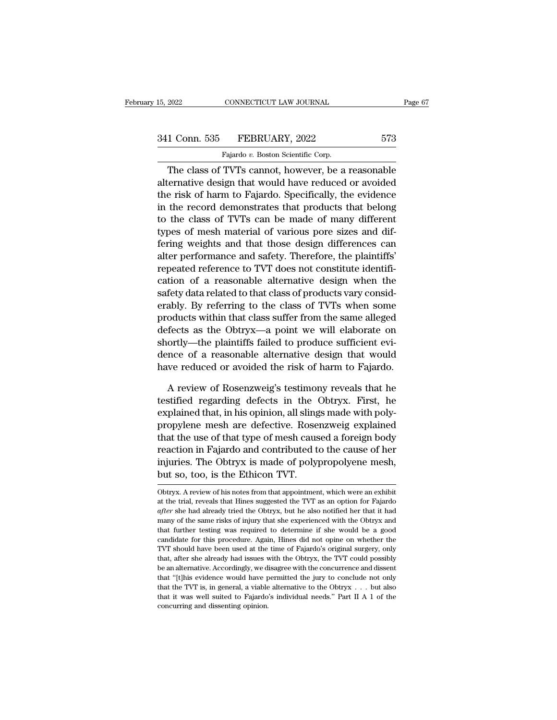The class of TVTs cannot, however, be a reasonable<br>
The class of TVTs cannot, however, be a reasonable<br>
ternative design that would have reduced or avoided<br>
The class of TVTs cannot, however, be a reasonable<br>
ternative des 341 Conn. 535 FEBRUARY, 2022 573<br>Fajardo v. Boston Scientific Corp.<br>The class of TVTs cannot, however, be a reasonable<br>alternative design that would have reduced or avoided<br>the risk of harm to Fajardo. Specifically, the ev 341 Conn. 535 FEBRUARY, 2022 573<br>
Fajardo v. Boston Scientific Corp.<br>
The class of TVTs cannot, however, be a reasonable<br>
alternative design that would have reduced or avoided<br>
the risk of harm to Fajardo. Specifically, t 341 Conn. 535 FEBRUARY, 2022 573<br>
Fajardo v. Boston Scientific Corp.<br>
The class of TVTs cannot, however, be a reasonable<br>
alternative design that would have reduced or avoided<br>
the risk of harm to Fajardo. Specifically, t Fajardo v. Boston Scientific Corp.<br>
The class of TVTs cannot, however, be a reasonable<br>
alternative design that would have reduced or avoided<br>
the risk of harm to Fajardo. Specifically, the evidence<br>
in the record demonst The class of TVTs cannot, however, be a reasonable<br>alternative design that would have reduced or avoided<br>the risk of harm to Fajardo. Specifically, the evidence<br>in the record demonstrates that products that belong<br>to the The class of TVTs cannot, however, be a reasonable<br>alternative design that would have reduced or avoided<br>the risk of harm to Fajardo. Specifically, the evidence<br>in the record demonstrates that products that belong<br>to the c alternative design that would have reduced or avoided<br>the risk of harm to Fajardo. Specifically, the evidence<br>in the record demonstrates that products that belong<br>to the class of TVTs can be made of many different<br>types of the risk of harm to Fajardo. Specifically, the evidence<br>in the record demonstrates that products that belong<br>to the class of TVTs can be made of many different<br>types of mesh material of various pore sizes and dif-<br>fering w in the record demonstrates that products that belong<br>to the class of TVTs can be made of many different<br>types of mesh material of various pore sizes and dif-<br>fering weights and that those design differences can<br>alter perf to the class of TVTs can be made of many different<br>types of mesh material of various pore sizes and dif-<br>fering weights and that those design differences can<br>alter performance and safety. Therefore, the plaintiffs'<br>repeate types of mesh material of various pore sizes and differing weights and that those design differences can<br>alter performance and safety. Therefore, the plaintiffs'<br>repeated reference to TVT does not constitute identifi-<br>cati fering weights and that those design differences can<br>alter performance and safety. Therefore, the plaintiffs'<br>repeated reference to TVT does not constitute identifi-<br>cation of a reasonable alternative design when the<br>safet alter performance and safety. Therefore, the plaintiffs<br>repeated reference to TVT does not constitute identifi-<br>cation of a reasonable alternative design when the<br>safety data related to that class of products vary consid-<br> repeated reference to TVT does not constitute identification of a reasonable alternative design when the safety data related to that class of products vary considerably. By referring to the class of TVTs when some products cation of a reasonable alternative design when the<br>safety data related to that class of products vary consid-<br>erably. By referring to the class of TVTs when some<br>products within that class suffer from the same alleged<br>defe satety data related to that class of products vary considerably. By referring to the class of TVTs when some<br>products within that class suffer from the same alleged<br>defects as the Obtryx—a point we will elaborate on<br>shortl oducts within that class suffer from the same alleged<br>fects as the Obtryx—a point we will elaborate on<br>ortly—the plaintiffs failed to produce sufficient evi-<br>nce of a reasonable alternative design that would<br>we reduced or defects as the Obtryx—a point we will elaborate on<br>shortly—the plaintiffs failed to produce sufficient evi-<br>dence of a reasonable alternative design that would<br>have reduced or avoided the risk of harm to Fajardo.<br>A review

shortly—the plaintiffs failed to produce sufficient evidence of a reasonable alternative design that would<br>have reduced or avoided the risk of harm to Fajardo.<br>A review of Rosenzweig's testimony reveals that he<br>testified r dence of a reasonable alternative design that would<br>have reduced or avoided the risk of harm to Fajardo.<br>A review of Rosenzweig's testimony reveals that he<br>testified regarding defects in the Obtryx. First, he<br>explained tha have reduced or avoided the risk of harm to Fajardo.<br>A review of Rosenzweig's testimony reveals that he<br>testified regarding defects in the Obtryx. First, he<br>explained that, in his opinion, all slings made with poly-<br>propyl A review of Rosenzweig's testimony reveals that he<br>testified regarding defects in the Obtryx. First, he<br>explained that, in his opinion, all slings made with poly-<br>propylene mesh are defective. Rosenzweig explained<br>that the A review of Rosenzweig's testimony reveals that he<br>testified regarding defects in the Obtryx. First, he<br>explained that, in his opinion, all slings made with poly-<br>propylene mesh are defective. Rosenzweig explained<br>that the testified regarding defects in the Comparison explained that, in his opinion, all sling propylene mesh are defective. Rose that the use of that type of mesh cause reaction in Fajardo and contributed to injuries. The Obtryx that the use of that type of mesh caused a foreign body<br>reaction in Fajardo and contributed to the cause of her<br>injuries. The Obtryx is made of polypropolyene mesh,<br>but so, too, is the Ethicon TVT.<br>Obtryx. A review of his reaction in Fajardo and contributed to the cause of her<br>injuries. The Obtryx is made of polypropolyene mesh,<br>but so, too, is the Ethicon TVT.<br>Obtryx. A review of his notes from that appointment, which were an exhibit<br>at th

injuries. The Obtryx is made of polypropolyene mesh,<br>
but so, too, is the Ethicon TVT.<br>
Obtryx. A review of his notes from that appointment, which were an exhibit<br>
at the trial, reveals that Hines suggested the TVT as an o but so, too, is the Ethicon TVT.<br>
Obtryx. A review of his notes from that appointment, which were an exhibit<br>
at the trial, reveals that Hines suggested the TVT as an option for Fajardo<br>
after she had already tried the Obt Out SO, COO, IS LITE ELITE COIT IVI.<br>
Obtryx. A review of his notes from that appointment, which were an exhibit<br>
at the trial, reveals that Hines suggested the TVT as an option for Fajardo<br>
after she had already tried the Obtryx. A review of his notes from that appointment, which were an exhibit at the trial, reveals that Hines suggested the TVT as an option for Fajardo *after* she had already tried the Obtryx, but he also notified her that at the trial, reveals that Hines suggested the TVT as an option for Fajardo *after* she had already tried the Obtryx, but he also notified her that it had many of the same risks of injury that she experienced with the Obtr after she had already tried the Obtryx, but he also notified her that it had many of the same risks of injury that she experienced with the Obtryx and that further testing was required to determine if she would be a good c many of the same risks of injury that she experienced with the Obtryx and that further testing was required to determine if she would be a good candidate for this procedure. Again, Hines did not opine on whether the TVT s that 'turther testing was required to determine if she would be a good candidate for this procedure. Again, Hines did not opine on whether the TVT should have been used at the time of Fajardo's original surgery, only that candidate for this procedure. Again, Hines did not opine on whether the TVT should have been used at the time of Fajardo's original surgery, only that, after she already had issues with the Obtryx, the TVT could possibly b TVT should have been used at the time of Fajardo's original surgery, only that, after she already had issues with the Obtryx, the TVT could possibly be an alternative. Accordingly, we disagree with the concurrence and dis that, after she already had issues with the Obtryx, the TVT could possibly be an alternative. Accordingly, we disagree with the concurrence and dissent that "[t]his evidence would have permitted the jury to conclude not o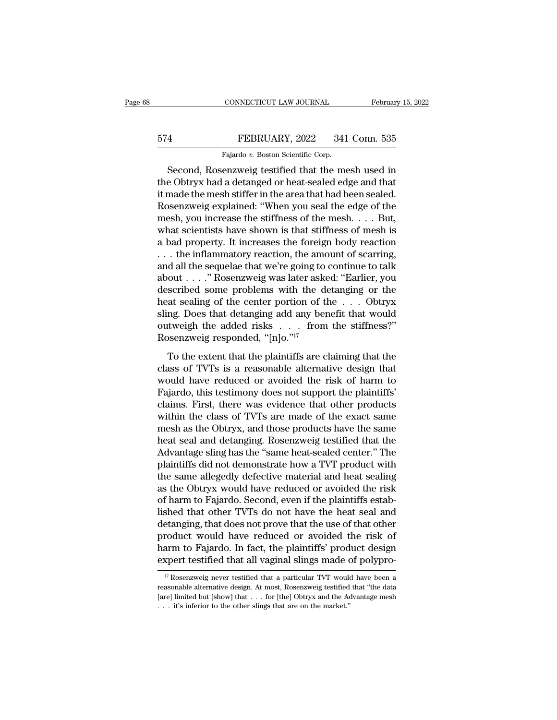## EXECUTE CONNECTICUT LAW JOURNAL February 15, 2022<br>574 FEBRUARY, 2022 341 Conn. 535<br>Fajardo v. Boston Scientific Corp. CONNECTICUT LAW JOURNAL<br>FEBRUARY, 2022 341<br>Fajardo *v.* Boston Scientific Corp.<br>Prizweig testified that the me

CONNECTICUT LAW JOURNAL February 15, 2022<br>
Second, Rosenzweig testified that the mesh used in<br>
Second, Rosenzweig testified that the mesh used in<br>
EQ Obtryx had a detanged or heat-sealed edge and that<br>
Rosenzweig testified FEBRUARY, 2022 341 Conn. 535<br>Fajardo v. Boston Scientific Corp.<br>Second, Rosenzweig testified that the mesh used in<br>the Obtryx had a detanged or heat-sealed edge and that<br>it made the mesh stiffer in the area that had been s February, 2022 341 Conn. 535<br>
Fajardo v. Boston Scientific Corp.<br>
Second, Rosenzweig testified that the mesh used in<br>
the Obtryx had a detanged or heat-sealed edge and that<br>
it made the mesh stiffer in the area that had b FEBRUARY, 2022 341 Conn. 535<br>
Fajardo v. Boston Scientific Corp.<br>
Second, Rosenzweig testified that the mesh used in<br>
the Obtryx had a detanged or heat-sealed edge and that<br>
it made the mesh stiffer in the area that had be Fajardo v. Boston Scientific Corp.<br>
Second, Rosenzweig testified that the mesh used in<br>
the Obtryx had a detanged or heat-sealed edge and that<br>
it made the mesh stiffer in the area that had been sealed.<br>
Rosenzweig explai Fajarao v. Boston scientific corp.<br>
Second, Rosenzweig testified that the mesh used in<br>
the Obtryx had a detanged or heat-sealed edge and that<br>
it made the mesh stiffer in the area that had been sealed.<br>
Rosenzweig explai Second, Rosenzweig testified that the mesh used in<br>the Obtryx had a detanged or heat-sealed edge and that<br>it made the mesh stiffer in the area that had been sealed.<br>Rosenzweig explained: "When you seal the edge of the<br>mes the Obtryx had a detanged or heat-sealed edge and that<br>it made the mesh stiffer in the area that had been sealed.<br>Rosenzweig explained: "When you seal the edge of the<br>mesh, you increase the stiffness of the mesh. . . . But it made the mesh stiffer in the area that had been sealed.<br>Rosenzweig explained: "When you seal the edge of the<br>mesh, you increase the stiffness of the mesh. . . . But,<br>what scientists have shown is that stiffness of mesh Rosenzweig explained: "When you seal the edge of the<br>mesh, you increase the stiffness of the mesh.... But,<br>what scientists have shown is that stiffness of mesh is<br>a bad property. It increases the foreign body reaction<br>... mesh, you increase the stiffness of the mesh. . . . But,<br>what scientists have shown is that stiffness of mesh is<br>a bad property. It increases the foreign body reaction<br>. . . the inflammatory reaction, the amount of scarri what scientists have shown is that stiffness of mesh is<br>a bad property. It increases the foreign body reaction<br>... the inflammatory reaction, the amount of scarring,<br>and all the sequelae that we're going to continue to ta a bad property. It increases the foreign body reaction<br>
... the inflammatory reaction, the amount of scarring,<br>
and all the sequelae that we're going to continue to talk<br>
about ...." Rosenzweig was later asked: "Earlier, ... the inflammatory reaction, the amount of scarring,<br>and all the sequelae that we're going to continue to talk<br>about ...." Rosenzweig was later asked: "Earlier, you<br>described some problems with the detanging or the<br>heat and all the sequelae that we're going to<br>about . . . . " Rosenzweig was later ask<br>described some problems with the d<br>heat sealing of the center portion of t<br>sling. Does that detanging add any be<br>outweigh the added risks . Scribed some problems with the detanging or the<br>at sealing of the center portion of the  $\dots$  Obtryx<br>ng. Does that detanging add any benefit that would<br>tweigh the added risks  $\dots$  from the stiffness?"<br>Seenzweig responded, Fractional in the content of the  $\ldots$  obtryx<br>sling. Does that detanging add any benefit that would<br>outweigh the added risks  $\ldots$  from the stiffness?"<br>Rosenzweig responded, "[n]o."<sup>17</sup><br>To the extent that the plaintiffs a

sling. Does that detanging add any benefit that would<br>outweigh the added risks . . . from the stiffness?"<br>Rosenzweig responded, "[n]o."<sup>17</sup><br>To the extent that the plaintiffs are claiming that the<br>class of TVTs is a reason Fairly Failure and Fairly Patter and Western outweigh the added risks . . . from the stiffness?"<br>Rosenzweig responded, "[n]o."<sup>17</sup><br>To the extent that the plaintiffs are claiming that the<br>class of TVTs is a reasonable alte Example 2012 and 2013. First, there was evidence that the plaintiffs are claiming that the class of TVTs is a reasonable alternative design that would have reduced or avoided the risk of harm to Fajardo, this testimony doe To the extent that the plaintiffs are claiming that the<br>class of TVTs is a reasonable alternative design that<br>would have reduced or avoided the risk of harm to<br>Fajardo, this testimony does not support the plaintiffs'<br>clai To the extent that the plaintiffs are claiming that the<br>class of TVTs is a reasonable alternative design that<br>would have reduced or avoided the risk of harm to<br>Fajardo, this testimony does not support the plaintiffs'<br>claim class of TVTs is a reasonable alternative design that<br>would have reduced or avoided the risk of harm to<br>Fajardo, this testimony does not support the plaintiffs'<br>claims. First, there was evidence that other products<br>within would have reduced or avoided the risk of harm to<br>Fajardo, this testimony does not support the plaintiffs'<br>claims. First, there was evidence that other products<br>within the class of TVTs are made of the exact same<br>mesh as t Fajardo, this testimony does not support the plaintiffs'<br>claims. First, there was evidence that other products<br>within the class of TVTs are made of the exact same<br>mesh as the Obtryx, and those products have the same<br>heat s claims. First, there was evidence that other products<br>within the class of TVTs are made of the exact same<br>mesh as the Obtryx, and those products have the same<br>heat seal and detanging. Rosenzweig testified that the<br>Advantag within the class of TVTs are made of the exact same<br>mesh as the Obtryx, and those products have the same<br>heat seal and detanging. Rosenzweig testified that the<br>Advantage sling has the "same heat-sealed center." The<br>plainti mesh as the Obtryx, and those products have the same<br>heat seal and detanging. Rosenzweig testified that the<br>Advantage sling has the "same heat-sealed center." The<br>plaintiffs did not demonstrate how a TVT product with<br>the s heat seal and detanging. Rosenzweig testified that the<br>Advantage sling has the "same heat-sealed center." The<br>plaintiffs did not demonstrate how a TVT product with<br>the same allegedly defective material and heat sealing<br>as Advantage sling has the "same heat-sealed center." The plaintiffs did not demonstrate how a TVT product with the same allegedly defective material and heat sealing as the Obtryx would have reduced or avoided the risk of ha plaintiffs did not demonstrate how a TVT product with<br>the same allegedly defective material and heat sealing<br>as the Obtryx would have reduced or avoided the risk<br>of harm to Fajardo. Second, even if the plaintiffs estab-<br>li the same allegedly defective material and heat sealing<br>as the Obtryx would have reduced or avoided the risk<br>of harm to Fajardo. Second, even if the plaintiffs estab-<br>lished that other TVTs do not have the heat seal and<br>det as the Obtryx would have reduced or avoided the risk<br>of harm to Fajardo. Second, even if the plaintiffs estab-<br>lished that other TVTs do not have the heat seal and<br>detanging, that does not prove that the use of that other etanging, that does not prove that the use of that other<br>roduct would have reduced or avoided the risk of<br>arm to Fajardo. In fact, the plaintiffs' product design<br>xpert testified that all vaginal slings made of polypro-<br><sup>17</sup> product would have reduced or avoided the risk of<br>harm to Fajardo. In fact, the plaintiffs' product design<br>expert testified that all vaginal slings made of polypro-<br> $\frac{17}{17}$  Rosenzweig never testified that a particular

harm to Fajardo. In fact, the plaintiffs' product design<br>expert testified that all vaginal slings made of polypro-<br> $\frac{17}{17}$ Rosenzweig never testified that a particular TVT would have been a<br>reasonable alternative desig Expert testified that all vaginal slings made of  $\frac{17}{17}$  Rosenzweig never testified that a particular TVT would reasonable alternative design. At most, Rosenzweig testified [are] limited but [show] that . . . for [the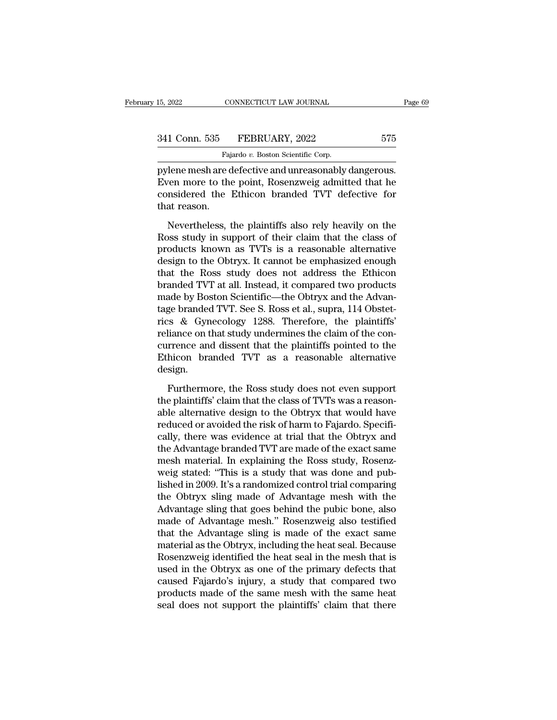15, 2022 CONNECTICUT LAW JOURNAL Page<br>
341 Conn. 535 FEBRUARY, 2022 575<br>
Fajardo v. Boston Scientific Corp.<br>
pylene mesh are defective and unreasonably dangerous.<br>
Even more to the point, Rosenzweig admitted that he<br>
consi 341 Conn. 535 FEBRUARY, 2022 575<br>Fajardo v. Boston Scientific Corp.<br>pylene mesh are defective and unreasonably dangerous.<br>Even more to the point, Rosenzweig admitted that he<br>considered the Ethicon branded TVT defective for 341 Conn. 535 FEBRUARY, 2022 575<br>
Fajardo v. Boston Scientific Corp.<br>
pylene mesh are defective and unreasonably dangerous.<br>
Even more to the point, Rosenzweig admitted that he<br>
considered the Ethicon branded TVT defectiv 341 Conn. 535<br>
Pylene mesh are c<br>
Even more to the<br>
considered the<br>
that reason.<br>
Nevertheless, t Fajardo v. Boston Scientific Corp.<br>
Then mesh are defective and unreasonably dangerous.<br>
Then more to the point, Rosenzweig admitted that he<br>
msidered the Ethicon branded TVT defective for<br>
at reason.<br>
Nevertheless, the p pylene mesh are defective and unreasonably dangerous.<br>Even more to the point, Rosenzweig admitted that he considered the Ethicon branded TVT defective for<br>that reason.<br>Nevertheless, the plaintiffs also rely heavily on the<br>

products and allows the point, Rosenzweig admitted that he considered the Ethicon branded TVT defective for that reason.<br>Nevertheless, the plaintiffs also rely heavily on the Ross study in support of their claim that the c Even more to the point, researching admitted that net considered the Ethicon branded TVT defective for that reason.<br>Nevertheless, the plaintiffs also rely heavily on the Ross study in support of their claim that the class that reason.<br>
Nevertheless, the plaintiffs also rely heavily on the<br>
Ross study in support of their claim that the class of<br>
products known as TVTs is a reasonable alternative<br>
design to the Obtryx. It cannot be emphasized Nevertheless, the plaintiffs also rely heavily on the<br>Ross study in support of their claim that the class of<br>products known as TVTs is a reasonable alternative<br>design to the Obtryx. It cannot be emphasized enough<br>that the Nevertheless, the plaintiffs also rely heavily on the<br>Ross study in support of their claim that the class of<br>products known as TVTs is a reasonable alternative<br>design to the Obtryx. It cannot be emphasized enough<br>that the Ross study in support of their claim that the class of<br>products known as TVTs is a reasonable alternative<br>design to the Obtryx. It cannot be emphasized enough<br>that the Ross study does not address the Ethicon<br>branded TVT at products known as TVTs is a reasonable alternative<br>design to the Obtryx. It cannot be emphasized enough<br>that the Ross study does not address the Ethicon<br>branded TVT at all. Instead, it compared two products<br>made by Boston design to the Obtryx. It cannot be emphasized enough<br>that the Ross study does not address the Ethicon<br>branded TVT at all. Instead, it compared two products<br>made by Boston Scientific—the Obtryx and the Advan-<br>tage branded T that the Ross study does not address the Ethicon<br>branded TVT at all. Instead, it compared two products<br>made by Boston Scientific—the Obtryx and the Advan-<br>tage branded TVT. See S. Ross et al., supra, 114 Obstet-<br>rics & Gyn branded TVT at all. Instead, it compared two products<br>made by Boston Scientific—the Obtryx and the Advan-<br>tage branded TVT. See S. Ross et al., supra, 114 Obstet-<br>rics & Gynecology 1288. Therefore, the plaintiffs'<br>reliance design. Furthermore, the Ross study does not even support<br>liance on that study undermines the claim of the con-<br>prence and dissent that the plaintiffs pointed to the<br>hicon branded TVT as a reasonable alternative<br>sign.<br>Furthermore, reliance on that study undermines the claim of the concurrence and dissent that the plaintiffs pointed to the Ethicon branded TVT as a reasonable alternative design.<br>Furthermore, the Ross study does not even support the pl

currence and dissent that the plaintiffs pointed to the Ethicon branded TVT as a reasonable alternative design.<br>Furthermore, the Ross study does not even support the plaintiffs' claim that the class of TVTs was a reasonabl Ethicon branded TVT as a reasonable alternative<br>design.<br>Furthermore, the Ross study does not even support<br>the plaintiffs' claim that the class of TVTs was a reason-<br>able alternative design to the Obtryx that would have<br>red design.<br>Furthermore, the Ross study does not even support<br>the plaintiffs' claim that the class of TVTs was a reason-<br>able alternative design to the Obtryx that would have<br>reduced or avoided the risk of harm to Fajardo. Spe Furthermore, the Ross study does not even support<br>the plaintiffs' claim that the class of TVTs was a reason-<br>able alternative design to the Obtryx that would have<br>reduced or avoided the risk of harm to Fajardo. Specifi-<br>ca Furthermore, the Ross study does not even support<br>the plaintiffs' claim that the class of TVTs was a reason-<br>able alternative design to the Obtryx that would have<br>reduced or avoided the risk of harm to Fajardo. Specifi-<br>ca the plaintiffs' claim that the class of TVTs was a reasonable alternative design to the Obtryx that would have reduced or avoided the risk of harm to Fajardo. Specifically, there was evidence at trial that the Obtryx and t able alternative design to the Obtryx that would have<br>reduced or avoided the risk of harm to Fajardo. Specifi-<br>cally, there was evidence at trial that the Obtryx and<br>the Advantage branded TVT are made of the exact same<br>mes reduced or avoided the risk of harm to Fajardo. Specifically, there was evidence at trial that the Obtryx and<br>the Advantage branded TVT are made of the exact same<br>mesh material. In explaining the Ross study, Rosenz-<br>weig s cally, there was evidence at trial that the Obtryx and<br>the Advantage branded TVT are made of the exact same<br>mesh material. In explaining the Ross study, Rosenz-<br>weig stated: "This is a study that was done and pub-<br>lished i the Advantage branded TVT are made of the exact same<br>mesh material. In explaining the Ross study, Rosenz-<br>weig stated: "This is a study that was done and pub-<br>lished in 2009. It's a randomized control trial comparing<br>the O mesh material. In explaining the Ross study, Rosenz-<br>weig stated: "This is a study that was done and pub-<br>lished in 2009. It's a randomized control trial comparing<br>the Obtryx sling made of Advantage mesh with the<br>Advantage weig stated: "This is a study that was done and pub-<br>lished in 2009. It's a randomized control trial comparing<br>the Obtryx sling made of Advantage mesh with the<br>Advantage sling that goes behind the pubic bone, also<br>made of lished in 2009. It's a randomized control trial comparing<br>the Obtryx sling made of Advantage mesh with the<br>Advantage sling that goes behind the pubic bone, also<br>made of Advantage mesh." Rosenzweig also testified<br>that the A the Obtryx sling made of Advantage mesh with the<br>Advantage sling that goes behind the pubic bone, also<br>made of Advantage mesh." Rosenzweig also testified<br>that the Advantage sling is made of the exact same<br>material as the O Advantage sling that goes behind the pubic bone, also<br>made of Advantage mesh." Rosenzweig also testified<br>that the Advantage sling is made of the exact same<br>material as the Obtryx, including the heat seal. Because<br>Rosenzwei made of Advantage mesh." Rosenzweig also testified<br>that the Advantage sling is made of the exact same<br>material as the Obtryx, including the heat seal. Because<br>Rosenzweig identified the heat seal in the mesh that is<br>used in that the Advantage sling is made of the exact same<br>material as the Obtryx, including the heat seal. Because<br>Rosenzweig identified the heat seal in the mesh that is<br>used in the Obtryx as one of the primary defects that<br>caus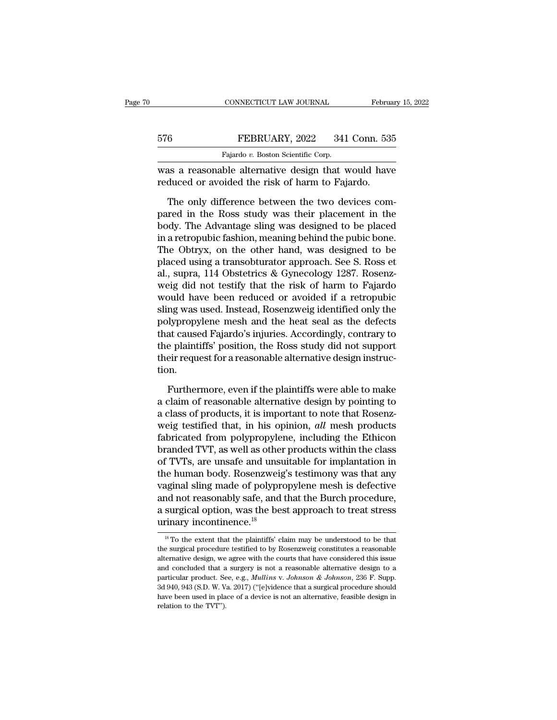|     | CONNECTICUT LAW JOURNAL                                                                                | February 15, 2022 |
|-----|--------------------------------------------------------------------------------------------------------|-------------------|
| 576 | FEBRUARY, 2022                                                                                         | 341 Conn. 535     |
|     | Fajardo v. Boston Scientific Corp.                                                                     |                   |
|     | was a reasonable alternative design that would have<br>reduced or avoided the risk of harm to Fajardo. |                   |
|     | The only difference between the two devices com-                                                       |                   |

FEBRUARY, 2022 341 Conn. 535<br>
Fajardo v. Boston Scientific Corp.<br>
as a reasonable alternative design that would have<br>
duced or avoided the risk of harm to Fajardo.<br>
The only difference between the two devices com-<br>
red in Pared in the Rosson Scientific Corp.<br>
Fajardo v. Boston Scientific Corp.<br>
was a reasonable alternative design that would have<br>
reduced or avoided the risk of harm to Fajardo.<br>
The only difference between the two devices c Fajardo v. Boston Scientific Corp.<br>
was a reasonable alternative design that would have<br>
reduced or avoided the risk of harm to Fajardo.<br>
The only difference between the two devices com-<br>
pared in the Ross study was their was a reasonable alternative design that would have<br>reduced or avoided the risk of harm to Fajardo.<br>The only difference between the two devices com-<br>pared in the Ross study was their placement in the<br>body. The Advantage sl reduced or avoided the risk of harm to Fajardo.<br>The only difference between the two devices compared in the Ross study was their placement in the<br>body. The Advantage sling was designed to be placed<br>in a retropubic fashion, The only difference between the two devices com-<br>pared in the Ross study was their placement in the<br>body. The Advantage sling was designed to be placed<br>in a retropubic fashion, meaning behind the pubic bone.<br>The Obtryx, on The only difference between the two devices compared in the Ross study was their placement in the body. The Advantage sling was designed to be placed in a retropubic fashion, meaning behind the pubic bone. The Obtryx, on t pared in the Ross study was their placement in the<br>body. The Advantage sling was designed to be placed<br>in a retropubic fashion, meaning behind the pubic bone.<br>The Obtryx, on the other hand, was designed to be<br>placed using body. The Advantage sling was designed to be placed<br>in a retropubic fashion, meaning behind the pubic bone.<br>The Obtryx, on the other hand, was designed to be<br>placed using a transobturator approach. See S. Ross et<br>al., supr in a retropubic fashion, meaning behind the pubic bone.<br>The Obtryx, on the other hand, was designed to be<br>placed using a transobturator approach. See S. Ross et<br>al., supra, 114 Obstetrics & Gynecology 1287. Rosenz-<br>weig di The Obtryx, on the other hand, was designed to be<br>placed using a transobturator approach. See S. Ross et<br>al., supra, 114 Obstetrics & Gynecology 1287. Rosenz-<br>weig did not testify that the risk of harm to Fajardo<br>would hav placed using a transobturator approach. See S. Ross et<br>al., supra, 114 Obstetrics & Gynecology 1287. Rosenz-<br>weig did not testify that the risk of harm to Fajardo<br>would have been reduced or avoided if a retropubic<br>sling wa al., supra, 114 Obstetrics & Gynecology 1287. Rosenz-<br>weig did not testify that the risk of harm to Fajardo<br>would have been reduced or avoided if a retropubic<br>sling was used. Instead, Rosenzweig identified only the<br>polypro weig did not testify that the risk of harm to Fajardo would have been reduced or avoided if a retropubic sling was used. Instead, Rosenzweig identified only the polypropylene mesh and the heat seal as the defects that caus tion. Hypropylene mesh and the heat seal as the defects<br>at caused Fajardo's injuries. Accordingly, contrary to<br>e plaintiffs' position, the Ross study did not support<br>eir request for a reasonable alternative design instruc-<br>n.<br>Fu that caused Fajardo's injuries. Accordingly, contrary to<br>the plaintiffs' position, the Ross study did not support<br>their request for a reasonable alternative design instruc-<br>tion.<br>Furthermore, even if the plaintiffs were a

the plaintiffs' position, the Ross study did not support<br>their request for a reasonable alternative design instruc-<br>tion.<br>Furthermore, even if the plaintiffs were able to make<br>a claim of reasonable alternative design by p their request for a reasonable alternative design instruction.<br>
Furthermore, even if the plaintiffs were able to make<br>
a claim of reasonable alternative design by pointing to<br>
a class of products, it is important to note t furthermore, even if the plaintiffs were able to make<br>a claim of reasonable alternative design by pointing to<br>a class of products, it is important to note that Rosenz-<br>weig testified that, in his opinion, *all* mesh produ Furthermore, even if the plaintiffs were able to make<br>a claim of reasonable alternative design by pointing to<br>a class of products, it is important to note that Rosenz-<br>weig testified that, in his opinion, *all* mesh produc Furthermore, even if the plaintiffs were able to make<br>a claim of reasonable alternative design by pointing to<br>a class of products, it is important to note that Rosenz-<br>weig testified that, in his opinion, *all* mesh produc a claim of reasonable alternative design by pointing to<br>a class of products, it is important to note that Rosenz-<br>weig testified that, in his opinion, *all* mesh products<br>fabricated from polypropylene, including the Ethico a class of products, it is important to note that Rosenz-<br>weig testified that, in his opinion, *all* mesh products<br>fabricated from polypropylene, including the Ethicon<br>branded TVT, as well as other products within the clas weig testified that, in his opinion, *all* mesh products fabricated from polypropylene, including the Ethicon branded TVT, as well as other products within the class of TVTs, are unsafe and unsuitable for implantation in fabricated from polypropylene, including the Ethicon<br>branded TVT, as well as other products within the class<br>of TVTs, are unsafe and unsuitable for implantation in<br>the human body. Rosenzweig's testimony was that any<br>vagina branded TVT, as well as other<br>of TVTs, are unsafe and unst<br>the human body. Rosenzweig<br>vaginal sling made of polyprand not reasonably safe, and<br>a surgical option, was the bes<br>urinary incontinence.<sup>18</sup> External sums made of polypropylene mesh is defective<br>
and not reasonably safe, and that the Burch procedure,<br>
surgical option, was the best approach to treat stress<br>
rinary incontinence.<sup>18</sup><br>
<sup>18</sup> To the extent that the and not reasonably safe, and that the Burch procedure,<br>a surgical option, was the best approach to treat stress<br>urinary incontinence.<sup>18</sup><br> $\frac{18}{10}$  To the extent that the plaintiffs' claim may be understood to be that<br>t

a surgical option, was the best approach to treat stress<br>urinary incontinence.<sup>18</sup><br> $\frac{18}{10}$  To the extent that the plaintiffs' claim may be understood to be that<br>the surgical procedure testified to by Rosenzweig consti and concluded that a surgery is not a reasonable alternative design, we agree with the courts that have considered this issue and concluded that a surgery is not a reasonable alternative design to a particular product. Se <sup>18</sup> To the extent that the plaintiffs' claim may be understood to be that the surgical procedure testified to by Rosenzweig constitutes a reasonable alternative design, we agree with the courts that have considered this i <sup>18</sup> To the extent that the plaintiffs' claim may be understood to be that the surgical procedure testified to by Rosenzweig constitutes a reasonable alternative design, we agree with the courts that have considered this the surgical procedure testified to by Rosenzweig constitutes a reasonable alternative design, we agree with the courts that have considered this issue and concluded that a surgery is not a reasonable alternative design to the surgical procedure testified to by Rosenzweig constitutes a reasonable alternative design, we agree with the courts that have considered this issue and concluded that a surgery is not a reasonable alternative design t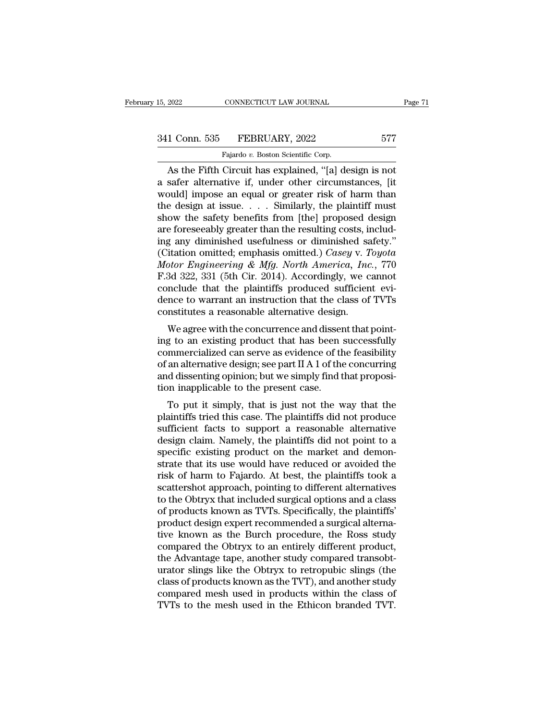## 15, 2022 CONNECTICUT LAW JOURNAL Page 71<br>341 Conn. 535 FEBRUARY, 2022 577<br>Fajardo v. Boston Scientific Corp. CONNECTICUT LAW JOURNAL<br>FEBRUARY, 2022<br>Fajardo *v.* Boston Scientific Corp.<br>Circuit has explained "[a] de

EXERED 2022 CONNECTICUT LAW JOURNAL Page 7<br>
1 Conn. 535 FEBRUARY, 2022 577<br>
Fajardo v. Boston Scientific Corp.<br>
As the Fifth Circuit has explained, "[a] design is not<br>
safer alternative if, under other circumstances, [it<br> 341 Conn. 535 FEBRUARY, 2022 577<br>
Fajardo v. Boston Scientific Corp.<br>
As the Fifth Circuit has explained, "[a] design is not<br>
a safer alternative if, under other circumstances, [it<br>
would] impose an equal or greater risk o 341 Conn. 535 FEBRUARY, 2022 577<br>
Fajardo v. Boston Scientific Corp.<br>
As the Fifth Circuit has explained, "[a] design is not<br>
a safer alternative if, under other circumstances, [it<br>
would] impose an equal or greater risk 341 Conn. 535 FEBRUARY, 2022 577<br>
Fajardo v. Boston Scientific Corp.<br>
As the Fifth Circuit has explained, "[a] design is not<br>
a safer alternative if, under other circumstances, [it<br>
would] impose an equal or greater risk Fajardo v. Boston Scientific Corp.<br>
As the Fifth Circuit has explained, "[a] design is not<br>
a safer alternative if, under other circumstances, [it<br>
would] impose an equal or greater risk of harm than<br>
the design at issue.. Falardo v. Boston Scientific Corp.<br>
As the Fifth Circuit has explained, "[a] design is not<br>
a safer alternative if, under other circumstances, [it<br>
would] impose an equal or greater risk of harm than<br>
the design at issue. As the Fifth Circuit has explained, "[a] design is not<br>a safer alternative if, under other circumstances, [it<br>would] impose an equal or greater risk of harm than<br>the design at issue.... Similarly, the plaintiff must<br>show a safer alternative if, under other circumstances, [it would] impose an equal or greater risk of harm than<br>the design at issue. . . . Similarly, the plaintiff must<br>show the safety benefits from [the] proposed design<br>are fo *Motor Engineering & Mfg. North America, Inc.*, 770<br> *Motor Engineering & Mg. 2013*<br> *Motor Engineering & Mfg. North America, Inc.*, 770<br> *Motor Engineering & Mfg. North America, Inc.*, 770<br> *F.3d* 322, 331 (5th Cir. 2014) the design at issue. . . . Similarly, the plaintiff must<br>show the safety benefits from [the] proposed design<br>are foreseeably greater than the resulting costs, includ-<br>ing any diminished usefulness or diminished safety."<br>( show the safety benefits from [the] proposed design<br>are foreseeably greater than the resulting costs, includ-<br>ing any diminished usefulness or diminished safety."<br>(Citation omitted; emphasis omitted.) *Casey v. Toyota*<br> $Motor$ are foreseeably greater than the resulting costs, includ-<br>ing any diminished usefulness or diminished safety."<br>(Citation omitted; emphasis omitted.) *Casey v. Toyota*<br>Motor Engineering & Mfg. North America, Inc., 770<br>F.3d ing any diminished usefulness or diminished sa<br>(Citation omitted; emphasis omitted.) Casey v. T<br>Motor Engineering & Mfg. North America, Inc<br>F.3d 322, 331 (5th Cir. 2014). Accordingly, we c<br>conclude that the plaintiffs pro Tradition of interest, emphasis of the concurrence and dissent that the plaintiffs produced sufficient evi-<br>neclude that the plaintiffs produced sufficient evi-<br>nec to warrant an instruction that the class of TVTs<br>nstitut motor Engineering & mgg. North America, The., 110<br>F.3d 322, 331 (5th Cir. 2014). Accordingly, we cannot<br>conclude that the plaintiffs produced sufficient evi-<br>dence to warrant an instruction that the class of TVTs<br>constitu

F.3d 322, 351 (3th Ch. 2014). Accordingly, we cannot conclude that the plaintiffs produced sufficient evidence to warrant an instruction that the class of TVTs constitutes a reasonable alternative design.<br>We agree with th conclude that the plaintins produced sufficient evidence to warrant an instruction that the class of TVTs<br>constitutes a reasonable alternative design.<br>We agree with the concurrence and dissent that point-<br>ing to an existin dence to warrant an instruction that the class of TVTs<br>constitutes a reasonable alternative design.<br>We agree with the concurrence and dissent that point-<br>ing to an existing product that has been successfully<br>commercialized We agree with the concurrence and disser<br>ing to an existing product that has been<br>commercialized can serve as evidence of th<br>of an alternative design; see part II A 1 of the<br>and dissenting opinion; but we simply find t<br>tio we agree with the concurrence and ussent that point-<br>g to an existing product that has been successfully<br>mmercialized can serve as evidence of the feasibility<br>an alternative design; see part II A 1 of the concurring<br>d diss ing to an existing product that has been successity<br>commercialized can serve as evidence of the feasibility<br>of an alternative design; see part II A 1 of the concurring<br>and dissenting opinion; but we simply find that propos

commercialized can serve as evidence of the reasonity<br>of an alternative design; see part II A 1 of the concurring<br>and dissenting opinion; but we simply find that proposi-<br>tion inapplicable to the present case.<br>To put it si or an atternative design, see part if A T of the concurring<br>and dissenting opinion; but we simply find that proposi-<br>tion inapplicable to the present case.<br>To put it simply, that is just not the way that the<br>plaintiffs tri and dissenting opinion, but we simply find that proposition inapplicable to the present case.<br>To put it simply, that is just not the way that the plaintiffs tried this case. The plaintiffs did not produce<br>sufficient facts To put it simply, that is just not the way that the<br>plaintiffs tried this case. The plaintiffs did not produce<br>sufficient facts to support a reasonable alternative<br>design claim. Namely, the plaintiffs did not point to a<br>sp To put it simply, that is just not the way that the plaintiffs tried this case. The plaintiffs did not produce sufficient facts to support a reasonable alternative design claim. Namely, the plaintiffs did not point to a sp plaintiffs tried this case. The plaintiffs did not produce<br>sufficient facts to support a reasonable alternative<br>design claim. Namely, the plaintiffs did not point to a<br>specific existing product on the market and demon-<br>str sufficient facts to support a reasonable alternative<br>design claim. Namely, the plaintiffs did not point to a<br>specific existing product on the market and demon-<br>strate that its use would have reduced or avoided the<br>risk of design claim. Namely, the plaintiffs did not point to a<br>specific existing product on the market and demon-<br>strate that its use would have reduced or avoided the<br>risk of harm to Fajardo. At best, the plaintiffs took a<br>scatt specific existing product on the market and demonstrate that its use would have reduced or avoided the risk of harm to Fajardo. At best, the plaintiffs took a scattershot approach, pointing to different alternatives to the strate that its use would have reduced or avoided the<br>risk of harm to Fajardo. At best, the plaintiffs took a<br>scattershot approach, pointing to different alternatives<br>to the Obtryx that included surgical options and a clas risk of harm to Fajardo. At best, the plaintiffs took a<br>scattershot approach, pointing to different alternatives<br>to the Obtryx that included surgical options and a class<br>of products known as TVTs. Specifically, the plainti scattershot approach, pointing to different alternatives<br>to the Obtryx that included surgical options and a class<br>of products known as TVTs. Specifically, the plaintiffs'<br>product design expert recommended a surgical altern to the Obtryx that included surgical options and a class<br>of products known as TVTs. Specifically, the plaintiffs'<br>product design expert recommended a surgical alterna-<br>tive known as the Burch procedure, the Ross study<br>comp of products known as TVTs. Specifically, the plaintiffs'<br>product design expert recommended a surgical alterna-<br>tive known as the Burch procedure, the Ross study<br>compared the Obtryx to an entirely different product,<br>the Adv product design expert recommended a surgical alternative known as the Burch procedure, the Ross study compared the Obtryx to an entirely different product, the Advantage tape, another study compared transobturator slings l tive known as the Burch procedure, the Ross study<br>compared the Obtryx to an entirely different product,<br>the Advantage tape, another study compared transobt-<br>urator slings like the Obtryx to retropubic slings (the<br>class of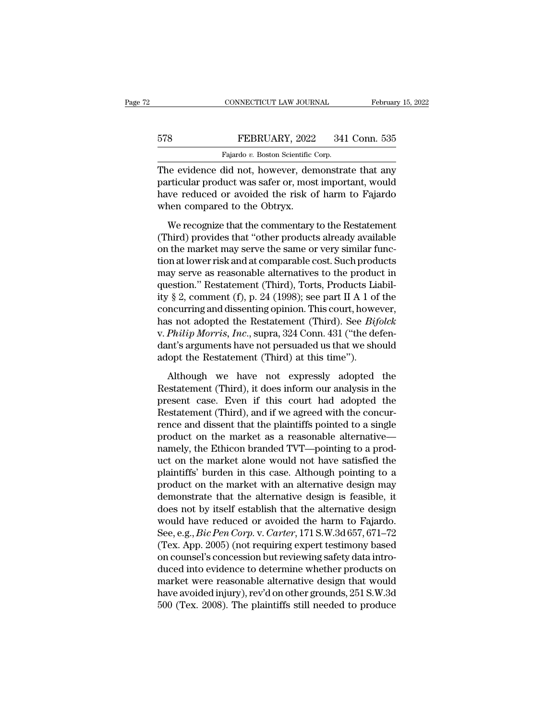## EXECUTE CONNECTICUT LAW JOURNAL February 15, 2022<br>578 FEBRUARY, 2022 341 Conn. 535<br>Fajardo v. Boston Scientific Corp. CONNECTICUT LAW JOURNAL<br>FEBRUARY, 2022 341<br>Fajardo *v.* Boston Scientific Corp.<br>Hid not however demonstra

CONNECTICUT LAW JOURNAL February 15, 2022<br>
FEBRUARY, 2022 341 Conn. 535<br>
Fajardo v. Boston Scientific Corp.<br>
The evidence did not, however, demonstrate that any<br>
particular product was safer or, most important, would<br>
howe FEBRUARY, 2022 341 Conn. 535<br>Fajardo v. Boston Scientific Corp.<br>The evidence did not, however, demonstrate that any<br>particular product was safer or, most important, would<br>have reduced or avoided the risk of harm to Fajardo FEBRUARY, 2022 341 Conn. 535<br>
Fajardo v. Boston Scientific Corp.<br>
The evidence did not, however, demonstrate that any<br>
particular product was safer or, most important, would<br>
have reduced or avoided the risk of harm to Fa FEBRUARY, 2022<br>Fajardo v. Boston Scientific O<br>The evidence did not, however, den<br>particular product was safer or, most<br>have reduced or avoided the risk o<br>when compared to the Obtryx.<br>We recognize that the commentary Fajardo v. Boston Scientific Corp.<br>
He evidence did not, however, demonstrate that any<br>
rticular product was safer or, most important, would<br>
ve reduced or avoided the risk of harm to Fajardo<br>
nen compared to the Obtryx.<br>

The evidence did not, however, demonstrate that any<br>particular product was safer or, most important, would<br>have reduced or avoided the risk of harm to Fajardo<br>when compared to the Obtryx.<br>We recognize that the commentary t The container and nee, notice it, althousing matricular product was safer or, most important, would<br>have reduced or avoided the risk of harm to Fajardo<br>when compared to the Obtryx.<br>We recognize that the commentary to the R For a collect was safet by, most important, would<br>have reduced or avoided the risk of harm to Fajardo<br>when compared to the Obtryx.<br>We recognize that the commentary to the Restatement<br>(Third) provides that "other products a may readed of another the risk of them to regards<br>when compared to the Obtryx.<br>We recognize that the commentary to the Restatement<br>(Third) provides that "other products already available<br>on the market may serve the same o We recognize that the commentary to the Restatement<br>
(Third) provides that "other products already available<br>
on the market may serve the same or very similar func-<br>
tion at lower risk and at comparable cost. Such product We recognize that the commentary to the Restatement (Third) provides that "other products already available<br>on the market may serve the same or very similar func-<br>tion at lower risk and at comparable cost. Such products<br>m (Third) provides that "other products already available<br>on the market may serve the same or very similar func-<br>tion at lower risk and at comparable cost. Such products<br>may serve as reasonable alternatives to the product i on the market may serve the same or very similar function at lower risk and at comparable cost. Such products<br>may serve as reasonable alternatives to the product in<br>question." Restatement (Third), Torts, Products Liabil-<br>i tion at lower risk and at comparable cost. Such products<br>may serve as reasonable alternatives to the product in<br>question." Restatement (Third), Torts, Products Liabil-<br>ity § 2, comment (f), p. 24 (1998); see part II A 1 of may serve as reasonable alternatives to the product in question." Restatement (Third), Torts, Products Liability § 2, comment (f), p. 24 (1998); see part II A 1 of the concurring and dissenting opinion. This court, howeve question." Restatement (Third), Torts, Products Liaity § 2, comment (f), p. 24 (1998); see part II A 1 of concurring and dissenting opinion. This court, howe has not adopted the Restatement (Third). See *Bif* v. *Philip M* ncurring and dissenting opinion. This court, however,<br>s not adopted the Restatement (Third). See *Bifolck*<br>*Philip Morris, Inc.*, supra, 324 Conn. 431 ("the defen-<br>nt's arguments have not persuaded us that we should<br>opt t has not adopted the Restatement (Third). See *Bifolck* v. *Philip Morris, Inc.*, supra, 324 Conn. 431 ("the defendant's arguments have not persuaded us that we should adopt the Restatement (Third) at this time").<br>Although

v. *Philip Morris, Inc.*, supra, 324 Conn. 431 ("the defendant's arguments have not persuaded us that we should adopt the Restatement (Third) at this time").<br>Although we have not expressly adopted the Restatement (Third), dant's arguments have not persuaded us that we should<br>adopt the Restatement (Third) at this time").<br>Although we have not expressly adopted the<br>Restatement (Third), it does inform our analysis in the<br>present case. Even if t adopt the Restatement (Third) at this time").<br>
Although we have not expressly adopted the<br>
Restatement (Third), it does inform our analysis in the<br>
present case. Even if this court had adopted the<br>
Restatement (Third), an Although we have not expressly adopted the<br>Restatement (Third), it does inform our analysis in the<br>present case. Even if this court had adopted the<br>Restatement (Third), and if we agreed with the concur-<br>rence and dissent t Although we have not expressly adopted the<br>Restatement (Third), it does inform our analysis in the<br>present case. Even if this court had adopted the<br>Restatement (Third), and if we agreed with the concur-<br>rence and dissent t Restatement (Third), it does inform our analysis in the<br>present case. Even if this court had adopted the<br>Restatement (Third), and if we agreed with the concur-<br>rence and dissent that the plaintiffs pointed to a single<br>prod present case. Even if this court had adopted the<br>Restatement (Third), and if we agreed with the concur-<br>rence and dissent that the plaintiffs pointed to a single<br>product on the market as a reasonable alternative—<br>namely, t Restatement (Third), and if we agreed with the concur-<br>rence and dissent that the plaintiffs pointed to a single<br>product on the market as a reasonable alternative—<br>namely, the Ethicon branded TVT—pointing to a prod-<br>uct on rence and dissent that the plaintiffs pointed to a single<br>product on the market as a reasonable alternative—<br>namely, the Ethicon branded TVT—pointing to a prod-<br>uct on the market alone would not have satisfied the<br>plaintif product on the market as a reasonable alternative—<br>namely, the Ethicon branded TVT—pointing to a prod-<br>uct on the market alone would not have satisfied the<br>plaintiffs' burden in this case. Although pointing to a<br>product o namely, the Ethicon branded TVT—pointing to a product on the market alone would not have satisfied the plaintiffs' burden in this case. Although pointing to a product on the market with an alternative design may demonstrat uct on the market alone would not have satisfied the<br>plaintiffs' burden in this case. Although pointing to a<br>product on the market with an alternative design may<br>demonstrate that the alternative design is feasible, it<br>does plaintiffs' burden in this case. Although pointing to a<br>product on the market with an alternative design may<br>demonstrate that the alternative design is feasible, it<br>does not by itself establish that the alternative design<br> product on the market with an alternative design may<br>demonstrate that the alternative design is feasible, it<br>does not by itself establish that the alternative design<br>would have reduced or avoided the harm to Fajardo.<br>See, demonstrate that the alternative design is feasible, it<br>does not by itself establish that the alternative design<br>would have reduced or avoided the harm to Fajardo.<br>See, e.g., *Bic Pen Corp.* v. *Carter*, 171 S.W.3d 657, 6 does not by itself establish that the alternative design<br>would have reduced or avoided the harm to Fajardo.<br>See, e.g., *Bic Pen Corp.* v. *Carter*, 171 S.W.3d 657, 671–72<br>(Tex. App. 2005) (not requiring expert testimony ba would have reduced or avoided the harm to Fajardo.<br>See, e.g., *Bic Pen Corp*. v. *Carter*, 171 S.W.3d 657, 671–72<br>(Tex. App. 2005) (not requiring expert testimony based<br>on counsel's concession but reviewing safety data int See, e.g., *Bic Pen Corp.* v. *Carter*, 171 S.W.3d 657, 671–72<br>(Tex. App. 2005) (not requiring expert testimony based<br>on counsel's concession but reviewing safety data intro-<br>duced into evidence to determine whether produc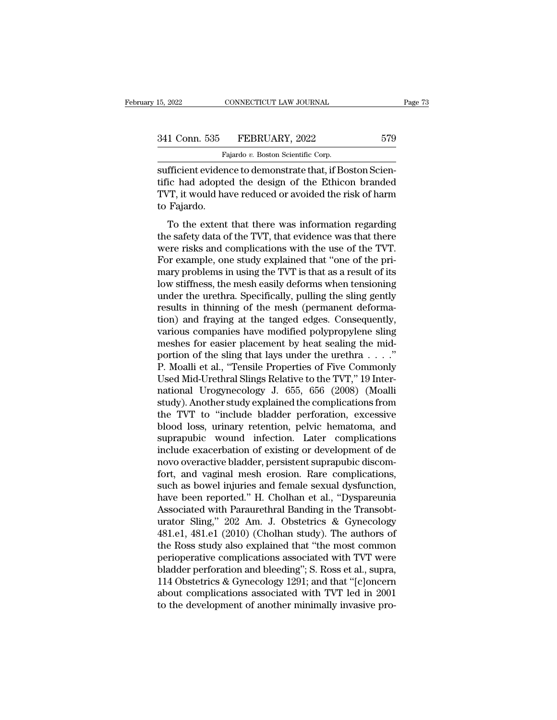## 15, 2022 CONNECTICUT LAW JOURNAL Page 73<br>341 Conn. 535 FEBRUARY, 2022 579<br>Fajardo v. Boston Scientific Corp. CONNECTICUT LAW JOURNAL<br>FEBRUARY, 2022<br>Fajardo *v.* Boston Scientific Corp.<br>Price to demonstrate that if Bo

sufficient evidence to demonstrate that, if Boston Scien-<br>sufficient evidence to demonstrate that, if Boston Scien-<br>tific had adopted the design of the Ethicon branded<br>TVT it would have reduced or avoided the risk of harm 341 Conn. 535 FEBRUARY, 2022 579<br>Fajardo v. Boston Scientific Corp.<br>sufficient evidence to demonstrate that, if Boston Scientific had adopted the design of the Ethicon branded<br>TVT, it would have reduced or avoided the risk 341 Conn. 535 FEBRUARY, 2022 579<br>Fajardo v. Boston Scientific Corp.<br>sufficient evidence to demonstrate that, if Boston Scientific had adopted the design of the Ethicon branded<br>TVT, it would have reduced or avoided the risk 341 Conn. 535<br>
Faufficient eviden<br>
sufficient eviden<br>
tific had adopte<br>
TVT, it would ha<br>
to Fajardo.<br>
To the extent Fajardo v. Boston Scientific Corp.<br>
fficient evidence to demonstrate that, if Boston Scien-<br>
ic had adopted the design of the Ethicon branded<br>  $T$ , it would have reduced or avoided the risk of harm<br>
Fajardo.<br>
To the exten sufficient evidence to demonstrate that, if Boston Scientific had adopted the design of the Ethicon branded<br>TVT, it would have reduced or avoided the risk of harm<br>to Fajardo.<br>To the extent that there was information regard

Buttering via and adopted the design of the Ethicon branded TVT, it would have reduced or avoided the risk of harm<br>to Fajardo.<br>To the extent that there was information regarding<br>the safety data of the TVT, that evidence w FORT, it would have reduced or avoided the risk of harm<br>TVT, it would have reduced or avoided the risk of harm<br>to Fajardo.<br>To the extent that there was information regarding<br>the safety data of the TVT, that evidence was th The results in the reduced of abolidation of names to Fajardo.<br>To the extent that there was information regarding<br>the safety data of the TVT, that evidence was that there<br>were risks and complications with the use of the TV To the extent that there was information regarding<br>the safety data of the TVT, that evidence was that there<br>were risks and complications with the use of the TVT.<br>For example, one study explained that "one of the pri-<br>mary To the extent that there was information regarding<br>the safety data of the TVT, that evidence was that there<br>were risks and complications with the use of the TVT.<br>For example, one study explained that "one of the pri-<br>mary the safety data of the TVT, that evidence was that there were risks and complications with the use of the TVT.<br>For example, one study explained that "one of the primary problems in using the TVT is that as a result of its<br> were risks and complications with the use of the TVT.<br>For example, one study explained that "one of the primary problems in using the TVT is that as a result of its<br>low stiffness, the mesh easily deforms when tensioning<br>un For example, one study explained that "one of the pri-<br>mary problems in using the TVT is that as a result of its<br>low stiffness, the mesh easily deforms when tensioning<br>under the urethra. Specifically, pulling the sling gen mary problems in using the TVT is that as a result of its<br>low stiffness, the mesh easily deforms when tensioning<br>under the urethra. Specifically, pulling the sling gently<br>results in thinning of the mesh (permanent deforma low stiffness, the mesh easily deforms when tensioning<br>under the urethra. Specifically, pulling the sling gently<br>results in thinning of the mesh (permanent deforma-<br>tion) and fraying at the tanged edges. Consequently,<br>vari under the urethra. Specifically, pulling the sling gently<br>results in thinning of the mesh (permanent deforma-<br>tion) and fraying at the tanged edges. Consequently,<br>various companies have modified polypropylene sling<br>meshes results in thinning of the mesh (permanent deformation) and fraying at the tanged edges. Consequently, various companies have modified polypropylene sling meshes for easier placement by heat sealing the midportion of the s tion) and fraying at the tanged edges. Consequently,<br>various companies have modified polypropylene sling<br>meshes for easier placement by heat sealing the mid-<br>portion of the sling that lays under the urethra  $\dots$ ."<br>P. Moal various companies have modified polypropylene sling<br>meshes for easier placement by heat sealing the mid-<br>portion of the sling that lays under the urethra . . . ."<br>P. Moalli et al., "Tensile Properties of Five Commonly<br>Used meshes for easier placement by heat sealing the mid-<br>portion of the sling that lays under the urethra . . . ."<br>P. Moalli et al., "Tensile Properties of Five Commonly<br>Used Mid-Urethral Slings Relative to the TVT," 19 Interportion of the sling that lays under the urethra  $\dots$ ."<br>P. Moalli et al., "Tensile Properties of Five Commonly<br>Used Mid-Urethral Slings Relative to the TVT," 19 Inter-<br>national Urogynecology J. 655, 656 (2008) (Moalli<br>stu P. Moalli et al., "Tensile Properties of Five Commonly<br>Used Mid-Urethral Slings Relative to the TVT," 19 Inter-<br>national Urogynecology J. 655, 656 (2008) (Moalli<br>study). Another study explained the complications from<br>the T Used Mid-Urethral Slings Relative to the TVT," 19 International Urogynecology J. 655, 656 (2008) (Moalli study). Another study explained the complications from the TVT to "include bladder perforation, excessive blood loss, national Urogynecology J. 655, 656 (2008) (Moalli<br>study). Another study explained the complications from<br>the TVT to "include bladder perforation, excessive<br>blood loss, urinary retention, pelvic hematoma, and<br>suprapubic wou study). Another study explained the complications from<br>the TVT to "include bladder perforation, excessive<br>blood loss, urinary retention, pelvic hematoma, and<br>suprapubic wound infection. Later complications<br>include exacerba the TVT to "include bladder perforation, excessive<br>blood loss, urinary retention, pelvic hematoma, and<br>suprapubic wound infection. Later complications<br>include exacerbation of existing or development of de<br>novo overactive b blood loss, urinary retention, pelvic hematoma, and<br>suprapubic wound infection. Later complications<br>include exacerbation of existing or development of de<br>novo overactive bladder, persistent suprapubic discom-<br>fort, and vag suprapubic wound infection. Later complications<br>include exacerbation of existing or development of de<br>novo overactive bladder, persistent suprapubic discom-<br>fort, and vaginal mesh erosion. Rare complications,<br>such as bowel include exacerbation of existing or development of de<br>novo overactive bladder, persistent suprapubic discom-<br>fort, and vaginal mesh erosion. Rare complications,<br>such as bowel injuries and female sexual dysfunction,<br>have be novo overactive bladder, persistent suprapubic discom-<br>fort, and vaginal mesh erosion. Rare complications,<br>such as bowel injuries and female sexual dysfunction,<br>have been reported." H. Cholhan et al., "Dyspareunia<br>Associat fort, and vaginal mesh erosion. Rare complications,<br>such as bowel injuries and female sexual dysfunction,<br>have been reported." H. Cholhan et al., "Dyspareunia<br>Associated with Paraurethral Banding in the Transobt-<br>urator Sl such as bowel injuries and female sexual dysfunction,<br>have been reported." H. Cholhan et al., "Dyspareunia<br>Associated with Paraurethral Banding in the Transobt-<br>urator Sling," 202 Am. J. Obstetrics & Gynecology<br>481.e1, 481 have been reported." H. Cholhan et al., "Dyspareunia<br>Associated with Paraurethral Banding in the Transobt-<br>urator Sling," 202 Am. J. Obstetrics & Gynecology<br>481.e1, 481.e1 (2010) (Cholhan study). The authors of<br>the Ross st Associated with Paraurethral Banding in the Transobturator Sling," 202 Am. J. Obstetrics & Gynecology 481.e1, 481.e1 (2010) (Cholhan study). The authors of the Ross study also explained that "the most common perioperative urator Sling," 202 Am. J. Obstetrics & Gynecology<br>481.e1, 481.e1 (2010) (Cholhan study). The authors of<br>the Ross study also explained that "the most common<br>perioperative complications associated with TVT were<br>bladder perfo 481.e1, 481.e1 (2010) (Cholhan study). The authors of<br>the Ross study also explained that "the most common<br>perioperative complications associated with TVT were<br>bladder perforation and bleeding"; S. Ross et al., supra,<br>114 O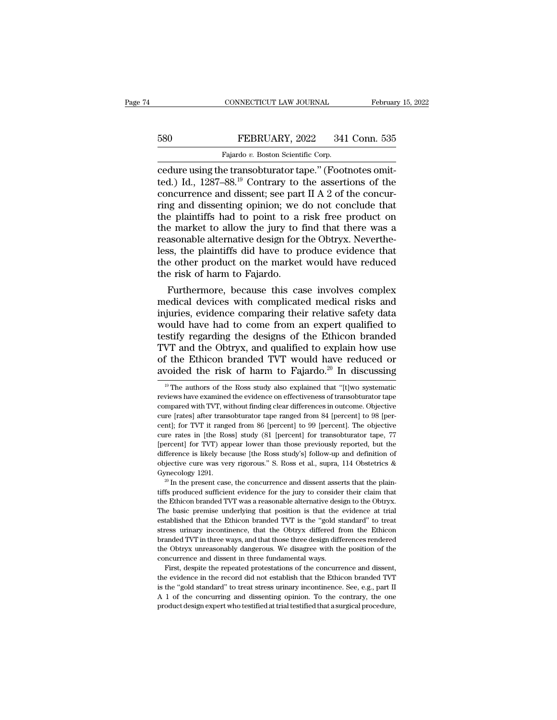## EXECUTE CONNECTICUT LAW JOURNAL February 15, 2022<br>580 FEBRUARY, 2022 341 Conn. 535<br>Fajardo v. Boston Scientific Corp. CONNECTICUT LAW JOURNAL<br>FEBRUARY, 2022 341<br>Fajardo *v.* Boston Scientific Corp.<br>Je transobturator tane " (Foot

CONNECTICUT LAW JOURNAL Februar<br>
Februar<br>
Fajardo v. Boston Scientific Corp.<br>
Cedure using the transobturator tape.'' (Footnotes omit-<br>
ted.) Id., 1287–88.<sup>19</sup> Contrary to the assertions of the<br>
concurrence and dissent: se FEBRUARY, 2022 341 Conn. 535<br>
Fajardo v. Boston Scientific Corp.<br>
Cedure using the transobturator tape." (Footnotes omit-<br>
ted.) Id., 1287–88.<sup>19</sup> Contrary to the assertions of the<br>
concurrence and dissenti, see part II A EXECUARY, 2022 341 Conn. 535<br>
Fajardo v. Boston Scientific Corp.<br>
cedure using the transobturator tape." (Footnotes omit-<br>
ted.) Id., 1287–88.<sup>19</sup> Contrary to the assertions of the<br>
concurrence and dissent; see part II A Figure 8. FEBRUARY, 2022 341 Conn. 535<br>
Fajardo v. Boston Scientific Corp.<br>
cedure using the transobturator tape." (Footnotes omit-<br>
ted.) Id., 1287–88.<sup>19</sup> Contrary to the assertions of the<br>
concurrence and dissent; see Fajardo v. Boston Scientific Corp.<br>
cedure using the transobturator tape." (Footnotes omit-<br>
ted.) Id., 1287–88.<sup>19</sup> Contrary to the assertions of the<br>
concurrence and dissent; see part II A 2 of the concur-<br>
ring and dis Fajardo v. Boston Scientific Corp.<br>
cedure using the transobturator tape." (Footnotes omit-<br>
ted.) Id., 1287–88.<sup>19</sup> Contrary to the assertions of the<br>
concurrence and dissenti; see part II A 2 of the concur-<br>
ring and di cedure using the transobturator tape." (Footnotes omit-<br>ted.) Id., 1287–88.<sup>19</sup> Contrary to the assertions of the<br>concurrence and dissent; see part II A 2 of the concur-<br>ring and dissenting opinion; we do not conclude that ted.) Id., 1287–88.<sup>19</sup> Contrary to the assertions of the concurrence and dissent; see part II A 2 of the concurring and dissenting opinion; we do not conclude that the plaintiffs had to point to a risk free product on the concurrence and dissent; see part II A 2 of the concurring and dissenting opinion; we do not conclude that<br>the plaintiffs had to point to a risk free product on<br>the market to allow the jury to find that there was a<br>reasona ring and dissenting opinion; we defined the plaintiffs had to point to a the market to allow the jury to 1 reasonable alternative design for the step of her product on the market the risk of harm to Fajardo. Furthermore, b e plaintiffs had to point to a risk free product on<br>e market to allow the jury to find that there was a<br>asonable alternative design for the Obtryx. Neverthe-<br>ss, the plaintiffs did have to produce evidence that<br>e other pro the market to allow the jury to find that there was a<br>reasonable alternative design for the Obtryx. Neverthe-<br>less, the plaintiffs did have to produce evidence that<br>the other product on the market would have reduced<br>the ri

reasonable alternative design for the Obtryx. Nevertheless, the plaintiffs did have to produce evidence that<br>the other product on the market would have reduced<br>the risk of harm to Fajardo.<br>Furthermore, because this case in less, the plaintiffs did have to produce evidence that<br>the other product on the market would have reduced<br>the risk of harm to Fajardo.<br>Furthermore, because this case involves complex<br>medical devices with complicated medica the other product on the market would have reduced<br>the risk of harm to Fajardo.<br>Furthermore, because this case involves complex<br>medical devices with complicated medical risks and<br>injuries, evidence comparing their relative the risk of harm to Fajardo.<br>
Furthermore, because this case involves complex<br>
medical devices with complicated medical risks and<br>
injuries, evidence comparing their relative safety data<br>
would have had to come from an exp Furthermore, because this case involves complex<br>medical devices with complicated medical risks and<br>injuries, evidence comparing their relative safety data<br>would have had to come from an expert qualified to<br>testify regardin medical devices with complicated medical risks and<br>injuries, evidence comparing their relative safety data<br>would have had to come from an expert qualified to<br>testify regarding the designs of the Ethicon branded<br>TVT and th stify regarding the designs of the Ethicon branded<br>VT and the Obtryx, and qualified to explain how use<br>f the Ethicon branded TVT would have reduced or<br>voided the risk of harm to Fajardo.<sup>20</sup> In discussing<br><sup>19</sup> The authors TVT and the Obtryx, and qualified to explain how use<br>of the Ethicon branded TVT would have reduced or<br>avoided the risk of harm to Fajardo.<sup>20</sup> In discussing<br> $\frac{19}{19}$  The authors of the Ross study also explained that "[

The Ethicon branded TVT was a reasonable alternative design to the Obtriction of objective cure was very rigorous." S. Ross et al., supra, 114 Obstetrics & Gynecology 1291.<br><sup>20</sup> In the present case, the concurrence and dis objective cure was very rigorous." S. Ross et al., supra, 114 Obstetrics & Gynecology 1291.<br><sup>20</sup> In the present case, the concurrence and dissent asserts that the plain-<br>tiffs produced sufficient evidence for the jury to Expection of the present case, the concurrence and dissent asserts that the plain-<br><sup>20</sup> In the present case, the concurrence and dissent asserts that the plain-<br>tiffs produced sufficient evidence for the jury to consider stress urinary and the present case, the concurrence and dissent asserts that the plaintiffs produced sufficient evidence for the jury to consider their claim that the Ethicon branded TVT was a reasonable alternative desi tiffs produced sufficient evidence for the jury to consider their claim that the Ethicon branded TVT was a reasonable alternative design to the Obtryx. The basic premise underlying that position is that the evidence at tri the Ethicon branded TVT was a reasonable alternative design to the Obtryx.<br>The basic premise underlying that position is that the evidence at trial<br>established that the Ethicon branded TVT is the "gold standard" to treat<br>s The basic premise underlying that position is that the established that the Ethicon branded TVT is the "gold st<br>stress urinary incontinence, that the Obtryx differed fit<br>branded TVT in three ways, and that those three desi established that the Ethicon branded TVT is the "gold standard" to treat stress urinary incontinence, that the Obtryx differed from the Ethicon branded TVT in three ways, and that those three design differences rendered t stress urinary incontinence, that the Obtryx differed from the Ethicon branded TVT in three ways, and that those three design differences rendered the Obtryx unreasonably dangerous. We disagree with the position of the con

branded TVT in three ways, and that those three design differences rendered<br>the Obtryx unreasonably dangerous. We disagree with the position of the<br>concurrence and dissent in three fundamental ways.<br>First, despite the rep From the obtryx unreasonably dangerous. We disagree with the position of the concurrence and dissent in three fundamental ways.<br>First, despite the repeated protestations of the concurrence and dissent, the evidence in the First, despite the repeated protestations of the concurrence and dissent,

of the Ethicon branded TVT would have reduced or avoided the risk of harm to Fajardo.<sup>20</sup> In discussing  $\frac{10}{10}$  The authors of the Ross study also explained that "[t]wo systematic reviews have examined the evidence on currently after the risk of harm to Fajardo.<sup>20</sup> In discussing<br><sup>19</sup> The authors of the Ross study also explained that "[t]wo systematic<br>reviews have examined the evidence on effectiveness of transobturator tape<br>compared w avoided the risk of harm to rajardo. The discussing<br> $\frac{19}{19}$  The authors of the Ross study also explained that "[t]wo systematic<br>reviews have examined the evidence on effectiveness of transobturator tape<br>compared with <sup>19</sup> The authors of the Ross study also explained that "[t]wo systematic reviews have examined the evidence on effectiveness of transobturator tape compared with TVT, without finding clear differences in outcome. Objectiv reviews have examined the evidence on effectiveness of transobturator tape<br>compared with TVT, without finding clear differences in outcome. Objective<br>cure [rates] after transobturator tape ranged from 84 [percent] to 98 [p reviews have examined the evidence on effectiveness of transobturator tape compared with TVT, without finding clear differences in outcome. Objective cure [rates] after transobturator tape ranged from 84 [percent] to 98 [ oure [rates] after transobturator tape ranged from 84 [percent] to 98 [percent]; for TVT it ranged from 86 [percent] to 99 [percent]. The objective cure rates in [the Ross] study (81 [percent] for transobturator tape, 77 [ centl; for TVT it ranged from 86 [percent] to 99 [percent]. The objective cure rates in [the Ross] study (81 [percent] for transobturator tape, 77 [percent] for TVT) appear lower than those previously reported, but the di Example 1 For the means of percent of the percent of the difference is likely because [the Ross study's] follow-up and definition of objective cure was very rigorous." S. Ross et al., supra, 114 Obstetrics & Gynecology 12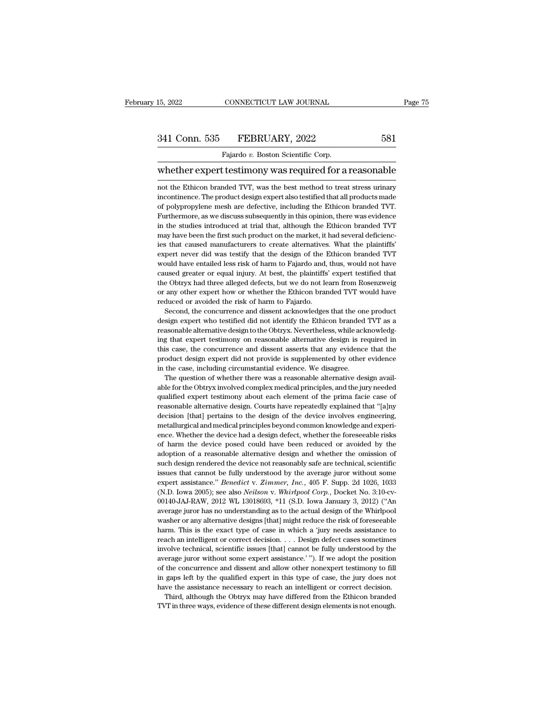15, 2022 CONNECTICUT LAW JOURNAL Page 75<br>
341 Conn. 535 FEBRUARY, 2022 581<br>
Fajardo v. Boston Scientific Corp.<br>
whether expert testimony was required for a reasonable<br>
not the Ethicon branded TVT, was the best method to tr 341 Conn. 535 FEBRUARY, 2022 581<br>Fajardo v. Boston Scientific Corp.<br>Whether expert testimony was required for a reasonable<br>not the Ethicon branded TVT, was the best method to treat stress urinary<br>incontinence. The product Fajardo v. Boston Scientific Corp.<br>
Whether expert testimony was required for a reasonable<br>
not the Ethicon branded TVT, was the best method to treat stress urinary<br>
incontinence. The product design expert also testified t Fajardo v. Boston Scientific Corp.<br>
Whether expert testimony was required for a reasonable<br>
not the Ethicon branded TVT, was the best method to treat stress urinary<br>
incontinence. The product design expert also testified t whether expert testimony was required for a reasonable<br>not the Ethicon branded TVT, was the best method to treat stress urinary<br>incontinence. The product design expert also testified that all products made<br>of polypropylene mot the Ethicon branded TVT, was the best method to treat stress urinary<br>incontinence. The product design expert also testified that all products made<br>of polypropylene mesh are defective, including the Ethicon branded TVT. of polypropylene mesh are defective, including the Ethicon branded TVT. Furthermore, as we discuss subsequently in this opinion, there was evidence in the studies introduced at trial that, although the Ethicon branded TVT incontinence. The product design expert also testified that all products made of polypropylene mesh are defective, including the Ethicon branded TVT. Furthermore, as we discuss subsequently in this opinion, there was evide of polypropylene mesh are defective, including the Ethicon branded TVT.<br>Furthermore, as we discuss subsequently in this opinion, there was evidence<br>in the studies introduced at trial that, although the Ethicon branded TVT<br> or polypropy. As we discuss subsequently in this opinon, there was evidence in the studies introduced at trial that, although the Ethicon branded TVT may have been the first such product on the market, it had several defic r and the studies introduced at trial that, although the Ethicon branded TVT may have been the first such product on the market, it had several deficiencies that caused manufacturers to create alternatives. What the plaint the Maximum and the market, it had several deficiencies that caused nanufacturers to create alternatives. What the plaintiffs' expert never did was testify that the design of the Ethicon branded TVT would have entailed les mey hat caused manufacturers to create alternatives. What the plaintiffs' expert never did was testify that the design of the Ethicon branded TVT would have entailed less risk of harm to Fajardo and, thus, would not have c expert never did was testify that the design of the I<br>expert never did was testify that the design of the I<br>would have entailed less risk of harm to Fajardo and,<br>caused greater or equal injury. At best, the plaintiffs<br>the % would have entailed less risk of harm to Fajardo and, thus, would not have caused greater or equal injury. At best, the plaintiffs' expert testified that the Obtryx had three alleged defects, but we do not learn from Ro caused greater or equal injury. At best, the plaintiffs' expert testified that<br>the Obtryx had three alleged defects, but we do not learn from Rosenzweig<br>or any other expert how or whether the Ethicon branded TVT would have

reasonable alternative design to the Obtryx had three alleged defects, but we do not learn from Rosenzweig or any other expert how or whether the Ethicon branded TVT would have reduced or avoided the risk of harm to Fajard or any other expert how or whether the Ethicon branded TVT would have reduced or avoided the risk of harm to Fajardo.<br>Second, the concurrence and dissent acknowledges that the one product design expert who testified did no The concurrence and dissent asserts that the one product design expert who testified did not identify the Ethicon branded TVT as a reasonable alternative design to the Obtryx. Nevertheless, while acknowledging that expert Second, the concurrence and dissent acknowledges that the one product design expert who testified did not identify the Ethicon branded TVT as a reasonable alternative design to the Obtryx. Nevertheless, while acknowledging design expert who testified did not identify the Ethicon branded design expert who testified did not identify the Ethicon branded reasonable alternative design to the Obtryx. Nevertheless, while acking that expert testimon reasonable alternative design to the Obtryx. Nevertheless, while acknowledging that expert testimony on reasonable alternative design is required in this case, the concurrence and dissent asserts that any evidence that the readed in this case, the concurrence and dissent asserts that any evidence that the product design expert did not provide is supplemented by other evidence in the case, including circumstantial evidence. We disagree.<br>The q

this case, the concurrence and dissent asserts that any evidence that the product design expert did not provide is supplemented by other evidence in the case, including circumstantial evidence. We disagree.<br>The question o are understanding alternative design expert did not provide is supplemented by other evidence in the case, including circumstantial evidence. We disagree.<br>The question of whether there was a reasonable alternative design a Frocus the case, including circumstantial evidence. We disagree.<br>
The question of whether there was a reasonable alternative design available for the Obtryx involved complex medical principles, and the jury needed<br>
qualifi able for the Obtryx involved complex medical principles, and the jury needed qualified expert testimony about each element of the prima facie case of reasonable alternative design. Courts have repeatedly explained that "[a able for the Obtryx involved complex medical principles, and the jury needed qualified expert testimony about each element of the prima facie case of reasonable alternative design. Courts have repeatedly explained that "[a qualified expert testimony about each element of the prima facie case of<br>reasonable alternative design. Courts have repeatedly explained that "[a]ny<br>decision [that] pertains to the design of the device involves engineering reasonable alternative design. Courts have repeatedly explained that "[a]ny decision [that] pertains to the design of the device involves engineering, metallurgical and medical principles beyond common knowledge and experi such decision [that] pertains to the design of the device involves engineering, metallurgical and medical principles beyond common knowledge and experience. Whether the device had a design defect, whether the foreseeable r metallurgical and medical principles beyond common knowledge and experience. Whether the device had a design defect, whether the foreseeable risks of harm the device posed could have been reduced or avoided by the adoption experience. Whether the device had a design defect, whether the foreseeable risks<br>of harm the device posed could have been reduced or avoided by the<br>adoption of a reasonable alternative design and whether the omission of<br>s of harm the device posed could have been reduced or avoided by the adoption of a reasonable alternative design and whether the omission of such design rendered the device not reasonably safe are technical, scientific issue adoption of a reasonable alternative design and whether the omission of such design rendered the device not reasonably safe are technical, scientific issues that cannot be fully understood by the average juror without some such design rendered the device not reasonably safe are technical, scientific<br>issues that cannot be fully understood by the average juror without some<br>expert assistance." *Benedict v. Zimmer, Inc.*, 405 F. Supp. 2d 1026, 1 issues that cannot be fully understood by the average juror without some expert assistance." *Benedict* v. Zimmer, Inc., 405 F. Supp. 2d 1026, 1033 (N.D. Iowa 2005); see also *Neilson* v. *Whirhpool Corp.*, Docket No. 3:1 expert assistance." *Benedict v. Zimmer, Inc.*, 405 F. Supp. 2d 1026, 1033 (N.D. Iowa 2005); see also *Neilson v. Whirlpool Corp.*, Docket No. 3:10-cv-00140-JAJ-RAW, 2012 WL 13018693, \*11 (S.D. Iowa January 3, 2012) ("An a (N.D. Iowa 2005); see also *Neilson* v. *Whirlpool Corp.*, Docket No. 3:10-cv-00140-JAJ-RAW, 2012 WL 13018693, \*11 (S.D. Iowa January 3, 2012) ("An average juror has no understanding as to the actual design of the Whirlpo 00140-JAJ-RAW, 2012 WL 13018693, \*11 (S.D. Iowa January 3, 2012) ("An average juror has no understanding as to the actual design of the Whirlpool washer or any alternative designs [that] might reduce the risk of foreseeab average juror has no understanding as to the actual design of the Whirlpool washer or any alternative designs [that] might reduce the risk of foreseeable harm. This is the exact type of case in which a 'jury needs assistan something the concurrence and dissent and allow other nonexpert and allow the concurrence and intelligent or correct decision. . . . Design defect cases sometimes involve technical, scientific issues [that] cannot be fully harm. This is the exact type of case in which a 'jury needs assistance to reach an intelligent or correct decision. . . . Design defect cases sometimes involve technical, scientific issues [that] cannot be fully understoo reach an intelligent or correct decision. . . . Design defect cases sometimes involve technical, scientific issues [that] cannot be fully understood by the average juror without some expert assistance.'"). If we adopt the wolve technical, scientific issues [that] cannot be fully understood by the erage juror without some expert assistance.'"). If we adopt the position the concurrence and dissent and allow other nonexpert testimony to fill g average juror without some expert assistance.'"). If we adopt the position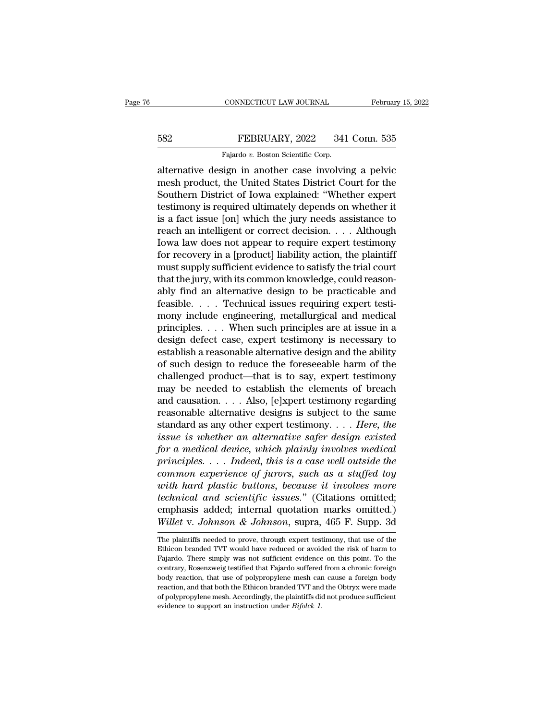# EXECUTE CONNECTICUT LAW JOURNAL February 15, 2022<br>582 FEBRUARY, 2022 341 Conn. 535<br>Fajardo v. Boston Scientific Corp.

CONNECTICUT LAW JOURNAL Februar<br>
Februar<br>
582 FEBRUARY, 2022 341 Conn. 535<br>
Fajardo *v.* Boston Scientific Corp.<br>
alternative design in another case involving a pelvic CONNECTICUT LAW JOURNAL February 15, 2022<br>
FEBRUARY, 2022 341 Conn. 535<br>
Fajardo v. Boston Scientific Corp.<br>
Externative design in another case involving a pelvic<br>
The product, the United States District Court for the<br>
Sou FEBRUARY, 2022 341 Conn. 535<br>
Fajardo v. Boston Scientific Corp.<br>
alternative design in another case involving a pelvic<br>
mesh product, the United States District Court for the<br>
Southern District of Iowa explained: "Whether February, 2022 341 Conn. 535<br>
Fajardo v. Boston Scientific Corp.<br>
alternative design in another case involving a pelvic<br>
mesh product, the United States District Court for the<br>
Southern District of Iowa explained: "Whethe FEBRUARY, 2022 341 Conn. 535<br>
Fajardo v. Boston Scientific Corp.<br>
alternative design in another case involving a pelvic<br>
mesh product, the United States District Court for the<br>
Southern District of Iowa explained: "Whethe Fajardo v. Boston Scientific Corp.<br>
alternative design in another case involving a pelvic<br>
mesh product, the United States District Court for the<br>
Southern District of Iowa explained: "Whether expert<br>
testimony is require regardo v. Boston scientific Corp.<br>
alternative design in another case involving a pelvic<br>
mesh product, the United States District Court for the<br>
Southern District of Iowa explained: "Whether expert<br>
testimony is require alternative design in another case involving a pelvic<br>mesh product, the United States District Court for the<br>Southern District of Iowa explained: "Whether expert<br>testimony is required ultimately depends on whether it<br>is a mesh product, the United States District Court for the<br>Southern District of Iowa explained: "Whether expert<br>testimony is required ultimately depends on whether it<br>is a fact issue [on] which the jury needs assistance to<br>rea Southern District of Iowa explained: "Whether expert<br>testimony is required ultimately depends on whether it<br>is a fact issue [on] which the jury needs assistance to<br>reach an intelligent or correct decision. . . . Although<br>I testimony is required ultimately depends on whether it<br>is a fact issue [on] which the jury needs assistance to<br>reach an intelligent or correct decision. . . . Although<br>Iowa law does not appear to require expert testimony<br>f is a fact issue [on] which the jury needs assistance to<br>reach an intelligent or correct decision. . . . Although<br>Iowa law does not appear to require expert testimony<br>for recovery in a [product] liability action, the plaint reach an intelligent or correct decision. . . . . Although<br>Iowa law does not appear to require expert testimony<br>for recovery in a [product] liability action, the plaintiff<br>must supply sufficient evidence to satisfy the tri Iowa law does not appear to require expert testimony<br>for recovery in a [product] liability action, the plaintiff<br>must supply sufficient evidence to satisfy the trial court<br>that the jury, with its common knowledge, could re for recovery in a [product] liability action, the plaintiff<br>must supply sufficient evidence to satisfy the trial court<br>that the jury, with its common knowledge, could reason-<br>ably find an alternative design to be practica must supply sufficient evidence to satisfy the trial court<br>that the jury, with its common knowledge, could reason-<br>ably find an alternative design to be practicable and<br>feasible.... Technical issues requiring expert testithat the jury, with its common knowledge, could reasonably find an alternative design to be practicable and feasible. . . . Technical issues requiring expert testimony include engineering, metallurgical and medical princi ably find an alternative design to be practicable and<br>feasible.... Technical issues requiring expert testi-<br>mony include engineering, metallurgical and medical<br>principles.... When such principles are at issue in a<br>design d feasible.... Technical issues requiring expert testi-<br>mony include engineering, metallurgical and medical<br>principles.... When such principles are at issue in a<br>design defect case, expert testimony is necessary to<br>establish mony include engineering, metallurgical and medical<br>principles.... When such principles are at issue in a<br>design defect case, expert testimony is necessary to<br>establish a reasonable alternative design and the ability<br>of s principles. . . . When such principles are at issue in a<br>design defect case, expert testimony is necessary to<br>establish a reasonable alternative design and the ability<br>of such design to reduce the foreseeable harm of the<br> design defect case, expert testimony is necessary to<br>establish a reasonable alternative design and the ability<br>of such design to reduce the foreseeable harm of the<br>challenged product—that is to say, expert testimony<br>may b establish a reasonable alternative design and the ability<br>of such design to reduce the foreseeable harm of the<br>challenged product—that is to say, expert testimony<br>may be needed to establish the elements of breach<br>and causa of such design to reduce the foreseeable harm of the<br>challenged product—that is to say, expert testimony<br>may be needed to establish the elements of breach<br>and causation.... Also, [e]xpert testimony regarding<br>reasonable alt challenged product—that is to say, expert testimony<br>may be needed to establish the elements of breach<br>and causation.... Also, [e]xpert testimony regarding<br>reasonable alternative designs is subject to the same<br>standard as may be needed to establish the elements of breach<br>and causation. . . . Also, [e]xpert testimony regarding<br>reasonable alternative designs is subject to the same<br>standard as any other expert testimony. . . . *Here, the*<br>*iss* and causation.  $\ldots$  Also, [e]xpert testimony regarding<br>reasonable alternative designs is subject to the same<br>standard as any other expert testimony.  $\ldots$  *Here, the*<br>issue is whether an alternative safer design existed<br> reasonable alternative designs is subject to the same<br>standard as any other expert testimony. . . . *Here, the*<br>issue is whether an alternative safer design existed<br>for a medical device, which plainly involves medical<br>prin *technical as any other expert testimony.*... *Here, the*<br> *issue is whether an alternative safer design existed*<br> *for a medical device, which plainly involves medical*<br> *principles.... Indeed, this is a case well outsid* issue is whether an alternative safer design existed<br>for a medical device, which plainly involves medical<br>principles.... Indeed, this is a case well outside the<br>common experience of jurors, such as a stuffed toy<br>with hard *for a medical device, which plainly involves medical*<br>*principles.... Indeed, this is a case well outside the*<br>*common experience of jurors, such as a stuffed toy*<br>*with hard plastic buttons, because it involves more*<br> with hard plastic buttons, because it involves more<br>technical and scientific issues." (Citations omitted;<br>emphasis added; internal quotation marks omitted.)<br>Willet v. Johnson & Johnson, supra, 465 F. Supp. 3d<br>The plaintif technical and scientific issues." (Citations omitted;<br>emphasis added; internal quotation marks omitted.)<br>Willet v. Johnson & Johnson, supra, 465 F. Supp. 3d<br>The plaintiffs needed to prove, through expert testimony, that us

emphasis added; internal quotation marks omitted.)<br>Willet v. Johnson & Johnson, supra, 465 F. Supp. 3d<br>The plaintiffs needed to prove, through expert testimony, that use of the<br>Ethicon branded TVT would have reduced or avo *Willet v. Johnson & Johnson*, supra,  $465$  F. Supp. 3d<br>The plaintiffs needed to prove, through expert testimony, that use of the<br>Ethicon branded TVT would have reduced or avoided the risk of harm to<br>Fajardo. There simply **body** reaction, and that both the Ethicon branded TVT and the Obtry. Supplementation branded TVT would have reduced or avoided the risk of harm to Fajardo. There simply was not sufficient evidence on this point. To the co The plaintiffs needed to prove, through expert testimony, that use of the Ethicon branded TVT would have reduced or avoided the risk of harm to Fajardo. There simply was not sufficient evidence on this point. To the contra Ethicon branded TVT would have reduced or avoided the risk of harm to Fajardo. There simply was not sufficient evidence on this point. To the contrary, Rosenzweig testified that Fajardo suffered from a chronic foreign bod Fajardo. There simply was not sufficient evidence on this point. To the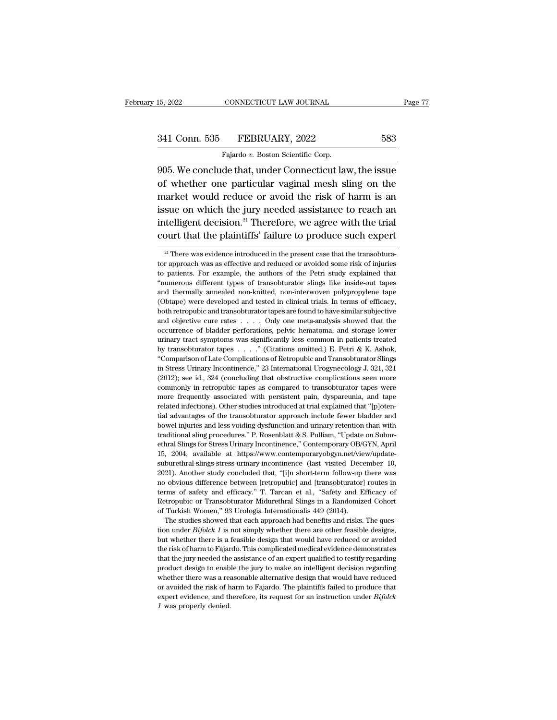CONNECTICUT LAW JOURNAL<br>FEBRUARY, 2022<br>Fajardo *v.* Boston Scientific Corp.<br>de that under Connecticut lay 905. We conclude that, under Connecticut law, the issue<br>1905. We conclude that, under Connecticut law, the issue<br>1905. We conclude that, under Connecticut law, the issue<br>1905. We conclude that, under Connecticut law, the i 341 Conn. 535 FEBRUARY, 2022 583<br>
Fajardo v. Boston Scientific Corp.<br>
905. We conclude that, under Connecticut law, the issue<br>
of whether one particular vaginal mesh sling on the<br>
market would reduce or avoid the risk of h 341 Conn. 535 FEBRUARY, 2022 583<br>Fajardo v. Boston Scientific Corp.<br>905. We conclude that, under Connecticut law, the issue<br>of whether one particular vaginal mesh sling on the<br>market would reduce or avoid the risk of harm 341 Conn. 535 FEBRUARY, 2022 583<br>
Fajardo v. Boston Scientific Corp.<br>
905. We conclude that, under Connecticut law, the issue<br>
of whether one particular vaginal mesh sling on the<br>
market would reduce or avoid the risk of Fajardo v. Boston Scientific Corp.<br>905. We conclude that, under Connecticut law, the issue<br>of whether one particular vaginal mesh sling on the<br>market would reduce or avoid the risk of harm is an<br>issue on which the jury ne 905. We conclude that, under Connecticut law, the issue<br>of whether one particular vaginal mesh sling on the<br>market would reduce or avoid the risk of harm is an<br>issue on which the jury needed assistance to reach an<br>intelli market would reduce or avoid the risk of harm is an issue on which the jury needed assistance to reach an intelligent decision.<sup>21</sup> Therefore, we agree with the trial court that the plaintiffs' failure to produce such exp

intelligent decision.<sup>21</sup> Therefore, we agree with the trial<br>court that the plaintiffs' failure to produce such expert<br> $\frac{1}{2}$ <br> $\frac{1}{2}$  There was evidence introduced in the present case that the transobtura-<br>tor approa intelligent decision.<sup>21</sup> Therefore, we agree with the trial<br>court that the plaintiffs' failure to produce such expert<br> $\frac{21}{1}$  There was evidence introduced in the present case that the transobtura-<br>tor approach was as court that the plaintiffs' failure to produce such expert<br> $\frac{1}{2}$  There was evidence introduced in the present case that the transobtura-<br>tor approach was as effective and reduced or avoided some risk of injuries<br>to pat <sup>21</sup> There was evidence introduced in the present case that the transobturator approach was as effective and reduced or avoided some risk of injuries to patients. For example, the authors of the Petri study explained that <sup>21</sup> There was evidence introduced in the present case that the transobturator approach was as effective and reduced or avoided some risk of injuries to patients. For example, the authors of the Petri study explained that for approach was as effective and reduced or avoided some risk of injuries<br>to patients. For example, the authors of the Petri study explained that<br>"numerous different types of transobturator slings like inside-out tapes<br>an and pairware working the authors of the Petri study explained that "numerous different types of transobturator slings like inside-out tapes and thermally annealed non-knitted, non-interwoven polypropylene tape (Obtape) wer "numerous different types of transobturator slings like inside-out tapes<br>"numerous different types of transobturator slings like inside-out tapes<br>(Obtape) were developed and tested in clinical trials. In terms of efficacy, and thermally annealed non-knitted, non-interwoven polypropylene tape (Obtape) were developed and tested in clinical trials. In terms of efficacy, both retropubic and transobturator tapes are found to have similar subject (Obtape) were developed and tested in clinical trials. In terms of efficacy, both retropubic and transobturator tapes are found to have similar subjective and objective cure rates . . . . Only one meta-analysis showed tha (booking the complication of Late Complications of Retropublic and Transobturator tapes are found to have similar subjective and objective cure rates  $\ldots$ . Only one meta-analysis showed that the occurrence of bladder per and objective cure rates  $\dots$  Only one meta-analysis showed that the occurrence of bladder perforations, pelvic hematoma, and storage lower urinary tract symptoms was significantly less common in patients treated by trans occurrence of bladder perforations, pelvic hematoma, and storage lower urinary tract symptoms was significantly less common in patients treated by transobturator tapes . . . . " (Citations omitted.) E. Petri & K. Ashok, "C urinary tract symptoms was significantly less common in patients treated<br>by transobturator tapes  $\ldots$ ." (Citations omitted.) E. Petri & K. Ashok,<br>"Comparison of Late Complications of Retropubic and Transobturator Slings<br> many area by transoburator tapes  $\ldots$  " (Citations omitted.) E. Petri & K. Ashok, "Comparison of Late Complications of Retropubic and Transoburator Slings in Stress Urinary Incontinence," 23 International Urogynecology J "Comparison of Late Complications of Retropubic and Transobturator Slings<br>in Stress Urinary Incontinence,"  $23$  International Urogyne<br>cology J.  $321$ ,  $321$ <br> $(2012)$ ; see id.,  $324$  (concluding that obstructive complicati in Stress Urinary Incontinence," 23 International Urogynecology J. 321, 321 (2012); see id., 324 (concluding that obstructive complications seen more commonly in retropubic tapes as compared to transobturator tapes were mo  $(2012)$ ; see id., 324 (concluding that obstructive complications seen more commonly in retropubic tapes as compared to transobturator tapes were more frequently associated with persistent pain, dyspareunia, and tape rela more frequently associated with persistent pain, dyspareunia, and tape related infections). Other studies introduced at trial explained that "[p]otential advantages of the transobturator approach include fewer bladder and more frequently associated with persistent pain, dyspareunia, and tape<br>related infections). Other studies introduced at trial explained that "[p]oten-<br>tial advantages of the transobturator approach include fewer bladder an bowel injuries and less voiding dysfunction and urinary retention than with traditional sling procedures." P. Rosenblatt & S. Pulliam, "Update on Suburethral Slings for Stress Urinary Incontinence," Contemporary OB/GYN, Ap is a divinity and less voiding dysfunction and urinary retention than with traditional sling procedures." P. Rosenblatt & S. Pulliam, "Update on Subur-<br>ethnal Slings for Stress Urinary Incontinence," Contemporary OB/GYN, A bowel injuries and less voiding dysfunction and urinary retention than with traditional sling procedures." P. Rosenblatt & S. Pulliam, "Update on Subur-<br>ethral Slings for Stress Urinary Incontinence," Contemporary OB/GYN, by a manifer and single procedures." P. Rosenblatt & S. Pulliam, "Update on Subur-<br>tehral Slings for Stress Urinary Incontinence," Contemporary OB/GYN, April<br>15, 2004, available at https://www.contemporaryobgyn.net/view/up ethral Slings for Stress Urinary Incontinence," Contemporary OB/GYN, April<br>15, 2004, available at https://www.contemporaryobgyn.net/view/update-<br>suburethral-slings-stress-urinary-incontinence (last visited December 10,<br>202 15, 2004, available at https://www.contemporaryobgyn.net/view/update-<br>suburethral-slings-stress-urinary-incontinence (last visited December 10,<br>2021). Another study concluded that, "[i]n short-term follow-up there was<br>no o suburethal-slings-stress-urinary-incontinence (last visited December 2021). Another study concluded that, "[i]n short-term follow-up no obvious difference between [retropubic] and [transobturator] terms of safety and effic 21). Another study concluded that, "[i]n short-term follow-up there was obvious difference between [retropubic] and [transobturator] routes in the studies of state and efficacy." T. Tarcan et al., "Safety and Efficacy of **Example 10** in the bifolch is not simple the therm obvious difference between [retropubic] and [transobturator] routes in terms of safety and efficacy." T. Tarcan et al., "Safety and Efficacy of Retropubic or Transobtura

terms of safety and efficacy." T. Tarcan et al., "Safety and Efficacy of Retropubic or Transobturator Midurethral Slings in a Randomized Cohort of Turkish Women," 93 Urologia Internationalis 449 (2014). The studies showed Retropubic or Transobturator Midurethral Slings in a Randomized Cohort of Turkish Women," 93 Urologia Internationalis 449 (2014). The studies showed that each approach had benefits and risks. The question under  $Bifolck 1$  is for Turkish Women," 93 Urologia Internationalis 449 (2014).<br>The studies showed that each approach had benefits and risks. The question under  $Bifolck 1$  is not simply whether there are other feasible designs, but whether ther The studies showed that each approach had benefits and risks. The question under  $Bifolek 1$  is not simply whether there are other feasible designs, but whether there is a feasible design that would have reduced or avoided th From under *Bifolck 1* is not simply whether there are other feasible designs, but whether there is a feasible design that would have reduced or avoided the risk of harm to Fajardo. This complicated medical evidence demon but whether there is a feasible design that would have reduced or avoided the risk of harm to Fajardo. This complicated medical evidence demonstrates that the jury needed the assistance of an expert qualified to testify r the risk of harm to Fajardo. This complicated medical evidence demonstrates that the jury needed the assistance of an expert qualified to testify regarding product design to enable the jury to make an intelligent decision that the jury needed the assistance of an expert qualified to testify regarding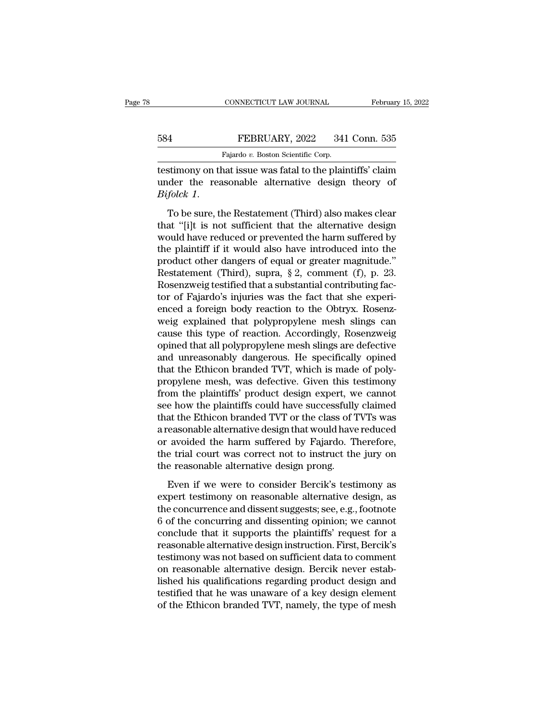## EXECUTE CONNECTICUT LAW JOURNAL February 15, 2022<br>584 FEBRUARY, 2022 341 Conn. 535<br>Fajardo v. Boston Scientific Corp. CONNECTICUT LAW JOURNAL<br>FEBRUARY, 2022 341<br>Fajardo *v.* Boston Scientific Corp.<br>nat issue was fatal to the plair

CONNECTICUT LAW JOURNAL February 15, 2022<br>
FEBRUARY, 2022 341 Conn. 535<br>
Fajardo v. Boston Scientific Corp.<br>
Testimony on that issue was fatal to the plaintiffs' claim<br>
under the reasonable alternative design theory of<br>
Pa EBRUARY, 2022 341 Conn. 535<br>Fajardo v. Boston Scientific Corp.<br>Testimony on that issue was fatal to the plaintiffs' claim<br>under the reasonable alternative design theory of<br>Bifolck 1. *Bifolck 1.* To be sure, the Restatement (Third) also makes clear that "[i]t is not sufficient that the alternative design and "[i]t is not sufficient that the alternative design would have reduced or prevented the harm su

Fajardo v. Boston Scientific Corp.<br>
testimony on that issue was fatal to the plaintiffs' claim<br>
under the reasonable alternative design theory of<br>  $Bifolck 1$ .<br>
To be sure, the Restatement (Third) also makes clear<br>
that "[i] testimony on that issue was fatal to the plaintiffs' claim<br>under the reasonable alternative design theory of<br>Bifolck 1.<br>To be sure, the Restatement (Third) also makes clear<br>that "[i]t is not sufficient that the alternative the plant of the plant of the plant of the plant of the product of Bifolck 1.<br>To be sure, the Restatement (Third) also makes clear<br>that "[i]t is not sufficient that the alternative design<br>would have reduced or prevented t *Bifolck 1.*<br>To be sure, the Restatement (Third) also makes clear<br>that "[i]t is not sufficient that the alternative design<br>would have reduced or prevented the harm suffered by<br>the plaintiff if it would also have introduce To be sure, the Restatement (Third) also makes clear<br>that "[i]t is not sufficient that the alternative design<br>would have reduced or prevented the harm suffered by<br>the plaintiff if it would also have introduced into the<br>pr To be sure, the Restatement (Third) also makes clear<br>that "[i]t is not sufficient that the alternative design<br>would have reduced or prevented the harm suffered by<br>the plaintiff if it would also have introduced into the<br>pro that "[i]t is not sufficient that the alternative design<br>would have reduced or prevented the harm suffered by<br>the plaintiff if it would also have introduced into the<br>product other dangers of equal or greater magnitude."<br>Re would have reduced or prevented the harm suffered by<br>the plaintiff if it would also have introduced into the<br>product other dangers of equal or greater magnitude."<br>Restatement (Third), supra, § 2, comment (f), p. 23.<br>Rosenz the plaintiff if it would also have introduced into the<br>product other dangers of equal or greater magnitude."<br>Restatement (Third), supra, § 2, comment (f), p. 23.<br>Rosenzweig testified that a substantial contributing fac-<br>t product other dangers of equal or greater magnitude."<br>Restatement (Third), supra, § 2, comment (f), p. 23.<br>Rosenzweig testified that a substantial contributing fac-<br>tor of Fajardo's injuries was the fact that she experi-<br>e Restatement (Third), supra, § 2, comment (f), p. 23.<br>Rosenzweig testified that a substantial contributing fac-<br>tor of Fajardo's injuries was the fact that she experi-<br>enced a foreign body reaction to the Obtryx. Rosenz-<br>w Rosenzweig testified that a substantial contributing factor of Fajardo's injuries was the fact that she experienced a foreign body reaction to the Obtryx. Rosenzweig explained that polypropylene mesh slings can cause this tor of Fajardo's injuries was the fact that she experienced a foreign body reaction to the Obtryx. Rosenz-<br>weig explained that polypropylene mesh slings can<br>cause this type of reaction. Accordingly, Rosenzweig<br>opined that enced a foreign body reaction to the Obtryx. Rosenz-<br>weig explained that polypropylene mesh slings can<br>cause this type of reaction. Accordingly, Rosenzweig<br>opined that all polypropylene mesh slings are defective<br>and unreas weig explained that polypropylene mesh slings can<br>cause this type of reaction. Accordingly, Rosenzweig<br>opined that all polypropylene mesh slings are defective<br>and unreasonably dangerous. He specifically opined<br>that the Eth cause this type of reaction. Accordingly, Rosenzweig<br>opined that all polypropylene mesh slings are defective<br>and unreasonably dangerous. He specifically opined<br>that the Ethicon branded TVT, which is made of poly-<br>propylene opined that all polypropylene mesh slings are defective<br>and unreasonably dangerous. He specifically opined<br>that the Ethicon branded TVT, which is made of poly-<br>propylene mesh, was defective. Given this testimony<br>from the p and unreasonably dangerous. He specifically opined<br>that the Ethicon branded TVT, which is made of poly-<br>propylene mesh, was defective. Given this testimony<br>from the plaintiffs' product design expert, we cannot<br>see how the that the Ethicon branded TVT, which is made of poly-<br>propylene mesh, was defective. Given this testimony<br>from the plaintiffs' product design expert, we cannot<br>see how the plaintiffs could have successfully claimed<br>that the propylene mesh, was defective. Given this testimony<br>from the plaintiffs' product design expert, we cannot<br>see how the plaintiffs could have successfully claimed<br>that the Ethicon branded TVT or the class of TVTs was<br>a reaso from the plaintiffs' product design expert, w<br>see how the plaintiffs could have successfully<br>that the Ethicon branded TVT or the class of T<br>a reasonable alternative design that would have<br>or avoided the harm suffered by Fa at the Ethicon branded TVT or the class of TVTs was<br>easonable alternative design that would have reduced<br>avoided the harm suffered by Fajardo. Therefore,<br>e trial court was correct not to instruct the jury on<br>e reasonable a a reasonable alternative design that would have reduced<br>or avoided the harm suffered by Fajardo. Therefore,<br>the trial court was correct not to instruct the jury on<br>the reasonable alternative design prong.<br>Even if we were t

or avoided the harm suffered by Fajardo. Therefore,<br>the trial court was correct not to instruct the jury on<br>the reasonable alternative design prong.<br>Even if we were to consider Bercik's testimony as<br>expert testimony on rea the trial court was correct not to instruct the jury on<br>the reasonable alternative design prong.<br>Even if we were to consider Bercik's testimony as<br>expert testimony on reasonable alternative design, as<br>the concurrence and d the reasonable alternative design prong.<br>
Even if we were to consider Bercik's testimony as<br>
expert testimony on reasonable alternative design, as<br>
the concurrence and dissent suggests; see, e.g., footnote<br>
6 of the concur Even if we were to consider Bercik's testimony as<br>expert testimony on reasonable alternative design, as<br>the concurrence and dissent suggests; see, e.g., footnote<br>6 of the concurring and dissenting opinion; we cannot<br>conclu Even if we were to consider Bercik's testimony as<br>expert testimony on reasonable alternative design, as<br>the concurrence and dissent suggests; see, e.g., footnote<br>6 of the concurring and dissenting opinion; we cannot<br>conclu expert testimony on reasonable alternative design, as<br>the concurrence and dissent suggests; see, e.g., footnote<br>6 of the concurring and dissenting opinion; we cannot<br>conclude that it supports the plaintiffs' request for a<br> the concurrence and dissent suggests; see, e.g., footnote<br>6 of the concurring and dissenting opinion; we cannot<br>conclude that it supports the plaintiffs' request for a<br>reasonable alternative design instruction. First, Berc 6 of the concurring and dissenting opinion; we cannot conclude that it supports the plaintiffs' request for a reasonable alternative design instruction. First, Bercik's testimony was not based on sufficient data to comment conclude that it supports the plaintiffs' request for a<br>reasonable alternative design instruction. First, Bercik's<br>testimony was not based on sufficient data to comment<br>on reasonable alternative design. Bercik never estab-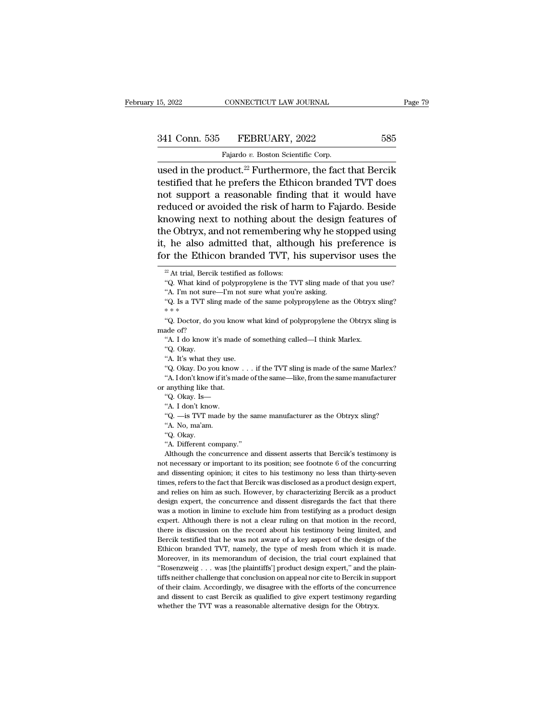| 15, 2022      | CONNECTICUT LAW JOURNAL            | Page 79 |  |
|---------------|------------------------------------|---------|--|
|               |                                    |         |  |
| 341 Conn. 535 | FEBRUARY, 2022                     | 585     |  |
|               | Fajardo v. Boston Scientific Corp. |         |  |

15, 2022 CONNECTICUT LAW JOURNAL<br>
341 Conn. 535 FEBRUARY, 2022 585<br>
Fajardo *v.* Boston Scientific Corp.<br>
used in the product.<sup>22</sup> Furthermore, the fact that Bercik 15, 2022 CONNECTICUT LAW JOURNAL Page 79<br>
341 Conn. 535 FEBRUARY, 2022 585<br>
Fajardo v. Boston Scientific Corp.<br>
used in the product.<sup>22</sup> Furthermore, the fact that Bercik<br>
testified that he prefers the Ethicon branded TVT 341 Conn. 535 FEBRUARY, 2022 585<br>Fajardo v. Boston Scientific Corp.<br>weed in the product.<sup>22</sup> Furthermore, the fact that Bercik<br>testified that he prefers the Ethicon branded TVT does<br>not support a reasonable finding that i 341 Conn. 535 FEBRUARY, 2022 585<br>
Fajardo v. Boston Scientific Corp.<br>
used in the product.<sup>22</sup> Furthermore, the fact that Bercik<br>
testified that he prefers the Ethicon branded TVT does<br>
not support a reasonable finding th 341 Conn. 535 FEBRUARY, 2022 585<br>
Fajardo v. Boston Scientific Corp.<br>
used in the product.<sup>22</sup> Furthermore, the fact that Bercik<br>
testified that he prefers the Ethicon branded TVT does<br>
not support a reasonable finding th Fajardo v. Boston Scientific Corp.<br>
used in the product.<sup>22</sup> Furthermore, the fact that Bercik<br>
testified that he prefers the Ethicon branded TVT does<br>
not support a reasonable finding that it would have<br>
reduced or avoid Fajato *v.* Boston scientiffic corp.<br>
used in the product.<sup>22</sup> Furthermore, the fact that Bercik<br>
testified that he prefers the Ethicon branded TVT does<br>
not support a reasonable finding that it would have<br>
reduced or avo used in the product.<sup>22</sup> Furthermore, the fact that Bercik<br>testified that he prefers the Ethicon branded TVT does<br>not support a reasonable finding that it would have<br>reduced or avoided the risk of harm to Fajardo. Beside<br>k testified that he prefers the Ethicon branded TVT does<br>not support a reasonable finding that it would have<br>reduced or avoided the risk of harm to Fajardo. Beside<br>knowing next to nothing about the design features of<br>the Ob knowing next to nothing about the design features of<br>the Obtryx, and not remembering why he stopped using<br>it, he also admitted that, although his preference is<br>for the Ethicon branded TVT, his supervisor uses the<br> $\frac{1}{2}$ (e) Obtryx, and not remembering why he stopped using<br>
, he also admitted that, although his preference is<br>
or the Ethicon branded TVT, his supervisor uses the<br>
<sup>22</sup> At trial, Bercik testified as follows:<br>
"Q. What kind of %, he also admitted that, although his provided TVT, his supervised as follows:<br>
"At trial, Bercik testified as follows:<br>
"Q. What kind of polypropylene is the TVT sling made of "A. I'm not sure—I'm not sure what you're a

for the Ethicon branded TVT, his supervisor uses the  $\frac{1}{2}$ At trial, Bercik testified as follows:<br>"Q. What kind of polypropylene is the TVT sling made of that you use? "A. I'm not sure—I'm not sure what you're asking.

<sup>22</sup> At trial, Ber<br>
<sup>22</sup> At trial, Ber<br>
"Q. What kind<br>
"A. I'm not su<br>
"4. Is a TVT s<br>
\*\*\*

<sup>22</sup> At trial, Bercik testified as follows:<br>
"Q. What kind of polypropylene is the TVT sling made of that you use?<br>
"A. I'm not sure—I'm not sure what you're asking.<br>
"Q. Is a TVT sling made of the same polypropylene as t "Q. What kind c<br>
"A. I'm not sure<br>
"Q. Is a TVT sline"<br>
"Q. Doctor, do y<br>
made of?<br>
"A. I do know it "A. I'm not sure—I'm not sure what you're asking.<br>"A. I'm not sure—I'm not sure what you're asking.<br>"Q. Is a TVT sling made of the same polypropylene as the Obtryx s<br>\* \* \*<br>"Q. Doctor, do you know what kind of polypropylene We have the way to the way with the set of the wave of the same of the same of the same of the same of the same they use. The same was the same wave the same of the same same was the same of the same same was the same of t

made of?<br>
"A. I do know it's made of something called—I think Marlex.<br>
"Q. Okay.<br>
"A. It's what they use.<br>
"Q. Okay. Do you know . . . if the TVT sling is made of the same Marlex? "Q. Doctor, do you know what kind of polypropylene the Obtryx sling is<br>ade of?<br>"A. I do know it's made of something called—I think Marlex.<br>"Q. Okay.<br>"A. It's what they use.<br>"Q. Okay. Do you know . . . if the TVT sling is m The same of?<br>
"A. I do know it's made of something called—I think Marlex.<br>
"Q. Okay.<br>
"A. It's what they use.<br>
"Q. Okay. Do you know . . . if the TVT sling is made of the same Marlex?<br>"A. I don't know if it's made of the s A. I do know it's made<br>
"A. I do know it's made<br>
"A. It's what they use.<br>
"Q. Okay. Do you know<br>
"A. I don't know if it's may<br>
or anything like that.<br>
"Q. Okay. Is— "Q. Okay.<br>"Q. Okay. Do you know . . . if the 1<br>"Q. Okay. Do you know . . . if the 1<br>"A. Idon't know if it's made of the sa<br>anything like that.<br>"Q. Okay. Is—<br>"A. I don't know. "A. It's what they use.<br>"A. It's what they use."<br>"A. I don't know if it's n<br>anything like that."<br>Q. Okay. Is—<br>"A. I don't know."<br>Q. —is TVT made by "Q. Okay. Do you know . . . if the TVT sling is made of the same Marlex?<br>"A. Idon't know if it's made of the same—like, from the same manufacturer anything like that.<br>"Q. Okay. Is—"<br>"A. I don't know.<br>"Q. —is TVT made by th "A. Idon't know if it's<br>
"A. Idon't know if it's<br>
"Q. Okay. Is—<br>"A. I don't know.<br>
"Q. —is TVT made !"<br>A. No, ma'am.<br>"Q. Okay.

or anything like that.<br>
"Q. Okay. Is—<br>
"A. I don't know.<br>
"Q. —is TVT made by the same manufacturer as the Obtryx sling?<br>
"A. No, ma'am.<br>
"Q. Okay.<br>
"A. Different company."<br>
Although the concurrence and dissent asserts tha

"Q.  $-\text{is}$  TVT made by the same manufacturer as the Obtryx sling?<br>
"A. No, ma'am.<br>
"Q. Okay.<br>
"A. Different company."<br>
Although the concurrence and dissent asserts that Bercik's testimony is<br>
not necessary or important t "A. I don't know.<br>"Q. —is TVT made by the same manufacturer as the Obtryx sling?<br>"A. No, ma'am.<br>"Q. Okay.<br>"A. Different company."<br>Although the concurrence and dissent asserts that Bercik's testimony is<br>t necessary or impor "<br>
"Q. —is TVT made by the same manufacturer as the Obtryx sling?<br>
"Q. Okay.<br>
"A. Different company."<br>
Ahough the concurrence and dissent asserts that Bercik's testimony is<br>
not necessary or important to its position; see 4. No, ma'am.<br>
"A. No, ma'am.<br>
"A. Different company."<br>
Although the concurrence and dissent asserts that Bercik's testimony is<br>
not necessary or important to its position; see footnote 6 of the concurring<br>
and dissenting "A. Different company."<br>"A. Different company."<br>Although the concurrence and dissent asserts that Bercik's testimony is<br>not necessary or important to its position; see footnote 6 of the concurring<br>and dissenting opinion; i 4. Different company."<br>Although the concurrence and dissent asserts that Bercik's testimony is<br>not necessary or important to its position; see footnote 6 of the concurring<br>and dissenting opinion; it cites to his testimony Although the concurrence and dissent asserts that Bercik's testimony is<br>not necessary or important to its position; see footnote 6 of the concurring<br>and dissenting opinion; it cites to his testimony no less than thirty-sev not necessary or important to its position; see footnote 6 of the concurring<br>and dissenting opinion; it cites to his testimony no less than thirty-seven<br>times, refers to the fact that Bercik was disclosed as a product desi and dissenting opinion; it cites to his testimony no less than thirty-seven<br>times, refers to the fact that Bercik was disclosed as a product design expert,<br>and relies on him as such. However, by characterizing Bercik as a times, refers to the fact that Bercik was disclosed as a product design expert, and relies on him as such. However, by characterizing Bercik as a product design expert, the concurrence and dissent disregards the fact that and relies on him as such. However, by characterizing Bercik as a product design expert, the concurrence and dissent disregards the fact that there was a motion in limine to exclude him from testifying as a product design design expert, the concurrence and dissent disregards the fact that there was a motion in limine to exclude him from testifying as a product design expert. Although there is not a clear ruling on that motion in the record, was a motion in limine to exclude him from testifying as a product design expert. Although there is not a clear ruling on that motion in the record, there is discussion on the record about his testimony being limited, and expert. Although there is not a clear ruling on that motion in the record, there is discussion on the record about his testimony being limited, and Bercik testified that he was not aware of a key aspect of the design of t there is discussion on the record about his testimony being limited, and Bercik testified that he was not aware of a key aspect of the design of the Ethicon branded TVT, namely, the type of mesh from which it is made. Mor Bercik testified that he was not aware of a key aspect of the design of the Ethicon branded TVT, namely, the type of mesh from which it is made. Moreover, in its memorandum of decision, the trial court explained that "Rose Ethicon branded TVT, namely, the type of mesh from which it is made.<br>Moreover, in its memorandum of decision, the trial court explained that "Rosenzweig  $\ldots$  was [the plaintiffs'] product design expert," and the plaintif Moreover, in its memorandum of decision, the trial court explained that "Rosenzweig  $\ldots$  was [the plaintiffs'] product design expert," and the plaintiffs neither challenge that conclusion on appeal nor cite to Bercik in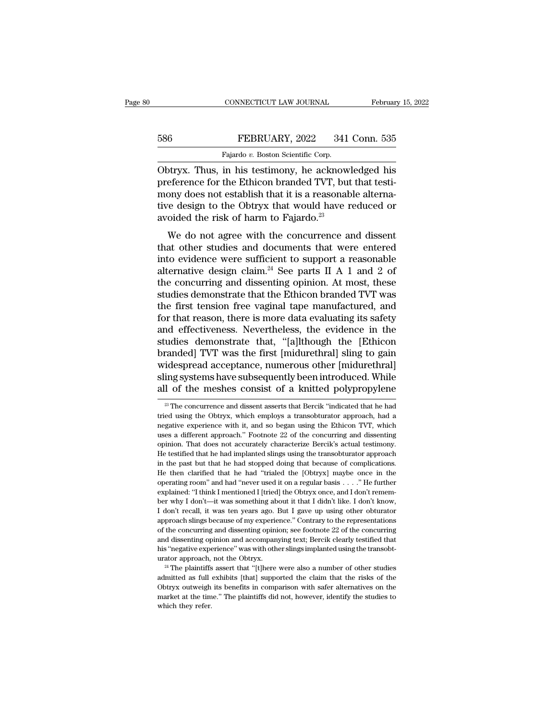### EXECUTE CONNECTICUT LAW JOURNAL February 15, 2022<br>586 FEBRUARY, 2022 341 Conn. 535<br>Fajardo v. Boston Scientific Corp. EXPRECTICUT LAW JOURNAL Februar<br>FEBRUARY, 2022 341 Conn. 535<br>Fajardo *v.* Boston Scientific Corp.

CONNECTICUT LAW JOURNAL February 15, 2022<br>
586 FEBRUARY, 2022 341 Conn. 535<br>
Fajardo v. Boston Scientific Corp.<br>
Obtryx. Thus, in his testimony, he acknowledged his<br>
preference for the Ethicon branded TVT, but that testimo FEBRUARY, 2022 341 Conn. 535<br>
Fajardo v. Boston Scientific Corp.<br>
Obtryx. Thus, in his testimony, he acknowledged his<br>
preference for the Ethicon branded TVT, but that testi-<br>
mony does not establish that it is a reasonabl 586 FEBRUARY, 2022 341 Conn. 535<br>Fajardo v. Boston Scientific Corp.<br>Obtryx. Thus, in his testimony, he acknowledged his<br>preference for the Ethicon branded TVT, but that testi-<br>mony does not establish that it is a reasonab 586 FEBRUARY, 2022 341 Conn. 535<br>
Fajardo v. Boston Scientific Corp.<br>
Obtryx. Thus, in his testimony, he acknowledged his<br>
preference for the Ethicon branded TVT, but that testi-<br>
mony does not establish that it is a reas Fajardo v. Boston Scientific Corp.<br>
Obtryx. Thus, in his testimony, he acknow!<br>
preference for the Ethicon branded TVT, but<br>
mony does not establish that it is a reasonab<br>
tive design to the Obtryx that would have r<br>
avoi by doty at Thus, in his testimony, he acknowledged his<br>eference for the Ethicon branded TVT, but that testi-<br>ony does not establish that it is a reasonable alterna-<br>re design to the Obtryx that would have reduced or<br>oided bodyx. Thus, in his testinony, he acknowedged his<br>preference for the Ethicon branded TVT, but that testi-<br>mony does not establish that it is a reasonable alterna-<br>tive design to the Obtryx that would have reduced or<br>avoid

preference for the Ethicon branded TVT, but that test-<br>mony does not establish that it is a reasonable alterna-<br>tive design to the Obtryx that would have reduced or<br>avoided the risk of harm to Fajardo.<sup>23</sup><br>We do not agree mony does not establish that it is a reasonable attentative design to the Obtryx that would have reduced or avoided the risk of harm to Fajardo.<sup>23</sup><br>We do not agree with the concurrence and dissent that other studies and the costraint worst have reduced of<br>avoided the risk of harm to Fajardo.<sup>23</sup><br>We do not agree with the concurrence and dissent<br>that other studies and documents that were entered<br>into evidence were sufficient to support a r We do not agree with the concurrence and dissent<br>that other studies and documents that were entered<br>into evidence were sufficient to support a reasonable<br>alternative design claim.<sup>24</sup> See parts II A 1 and 2 of<br>the concurr We do not agree with the concurrence and dissent<br>that other studies and documents that were entered<br>into evidence were sufficient to support a reasonable<br>alternative design claim.<sup>24</sup> See parts II A 1 and 2 of<br>the concurr that other studies and documents that were entered<br>into evidence were sufficient to support a reasonable<br>alternative design claim.<sup>24</sup> See parts II A 1 and 2 of<br>the concurring and dissenting opinion. At most, these<br>studies into evidence were sufficient to support a reasonable<br>alternative design claim.<sup>24</sup> See parts II A 1 and 2 of<br>the concurring and dissenting opinion. At most, these<br>studies demonstrate that the Ethicon branded TVT was<br>the alternative design claim.<sup>24</sup> See parts II A 1 and 2 of<br>the concurring and dissenting opinion. At most, these<br>studies demonstrate that the Ethicon branded TVT was<br>the first tension free vaginal tape manufactured, and<br>for t the concurring and dissenting opinion. At most, these<br>studies demonstrate that the Ethicon branded TVT was<br>the first tension free vaginal tape manufactured, and<br>for that reason, there is more data evaluating its safety<br>and studies demonstrate that the Ethicon branded TVT was<br>the first tension free vaginal tape manufactured, and<br>for that reason, there is more data evaluating its safety<br>and effectiveness. Nevertheless, the evidence in the<br>stud the first tension free vaginal tape manufactured, and<br>for that reason, there is more data evaluating its safety<br>and effectiveness. Nevertheless, the evidence in the<br>studies demonstrate that, "[a]lthough the [Ethicon<br>brande for that reason, there is more data evaluating its safety<br>and effectiveness. Nevertheless, the evidence in the<br>studies demonstrate that, "[a]lthough the [Ethicon<br>branded] TVT was the first [midurethral] sling to gain<br>wide branded] TVT was the first [midurethral] sling to gain widespread acceptance, numerous other [midurethral] sling systems have subsequently been introduced. While all of the meshes consist of a knitted polypropylene  $\frac{1}{$ widespread acceptance, numerous other [midurethral]<br>sling systems have subsequently been introduced. While<br>all of the meshes consist of a knitted polypropylene<br> $\frac{1}{2}$ The concurrence and dissent asserts that Bercik "indi

sling systems have subsequently been introduced. While<br>all of the meshes consist of a knitted polypropylene<br><sup>28</sup>The concurrence and dissent asserts that Bercik "indicated that he had<br>tried using the Obtryx, which employs a all of the meshes consist of a knitted polypropylene<br>
<sup>23</sup> The concurrence and dissent asserts that Bercik "indicated that he had<br>
tried using the Obtryx, which employs a transobturator approach, had a<br>
negative experience <sup>23</sup> The concurrence and dissent asserts that Bercik "indicated that he had tried using the Obtryx, which employs a transobturator approach, had a negative experience with it, and so began using the Ethicon TVT, which uses <sup>23</sup> The concurrence and dissent asserts that Bercik "indicated that he had tried using the Obtryx, which employs a transobturator approach, had a negative experience with it, and so began using the Ethicon TVT, which use in the using the Obtryx, which employs a transobturator approach, had a negative experience with it, and so began using the Ethicon TVT, which uses a different approach." Footnote 22 of the concurring and dissenting opinio megative experience with it, and so began using the Ethicon TVT, which<br>uses a different approach." Footnote 22 of the concurring and dissenting<br>opinion. That does not accurately characterize Bercik's actual testimony.<br>He t operation of the concurring and dissenting<br>uses a different approach." Footnote 22 of the concurring and dissenting<br>opinion. That does not accurately characterize Bercik's actual testimony.<br>He testified that he had implant uses a different approach." Footnote 22 of the concurring and dissenting opinion. That does not accurately characterize Bercik's actual testimony. He testified that he had implanted slings using the transobturator approac He testified that he had implanted slings using the transobturator approach<br>in the past but that he had implanted slings using the transobturator approach<br>in the past but that he had 'trialed the [Obtryx] maybe once in th In the past but that he had stopped doing that because of complications.<br>He then clarified that he had 'trialed the [Obtryx] maybe once in the operating room" and had "never used it on a regular basis  $\ldots$ ." He further e approach slings because of my experience.'' Contrary to the representations of the then clarified that he had "trialed the [Obtryx] maybe once in the operating room" and had "never used it on a regular basis . . . ." He f of the concurring and had "never used it on a regular basis  $\ldots$ ." He further explained: "I think I mentioned I [tried] the Obtryx once, and I don't remember why I don't—it was something about it that I didn't like. I don explained: "I think I mentioned I [tried] the Obtryx once, and I don't remember why I don't—it was something about it that I didn't like. I don't know, I don't recall, it was ten years ago. But I gave up using other obtura her why I don't—it was something about it that I didn't like. I don't know, I don't recall, it was ten years ago. But I gave up using other obturator approach slings because of my experience." Contrary to the representatio If don't recall, it was ten years ago. But I gave up using other obturator approach slings because of my experience." Contrary to the representations of the concurring and dissenting opinion; see footnote 22 of the concur admitted as full exhibits [that] supported the claim that the risks of the concurring and dissenting opinion; see footnote 22 of the concurring and dissenting opinion and accompanying text; Bercik clearly testified that hi

and dissenting opinion and accompanying text; Bercik clearly testified that his "negative experience" was with other slings implanted using the transobturator approach, not the Obtryx.<br><sup>24</sup> The plaintiffs assert that "[t]h market at the time." Was with other slings implanted using the transobturator approach, not the Obtryx.<br><sup>24</sup> The plaintiffs assert that "[t]here were also a number of other studies admitted as full exhibits [that] supporte his "negative experience" was with other slings implanted using the transobturator approach, not the Obtryx.<br><sup>24</sup> The plaintiffs assert that "[t]here were also a number of other studies admitted as full exhibits [that] su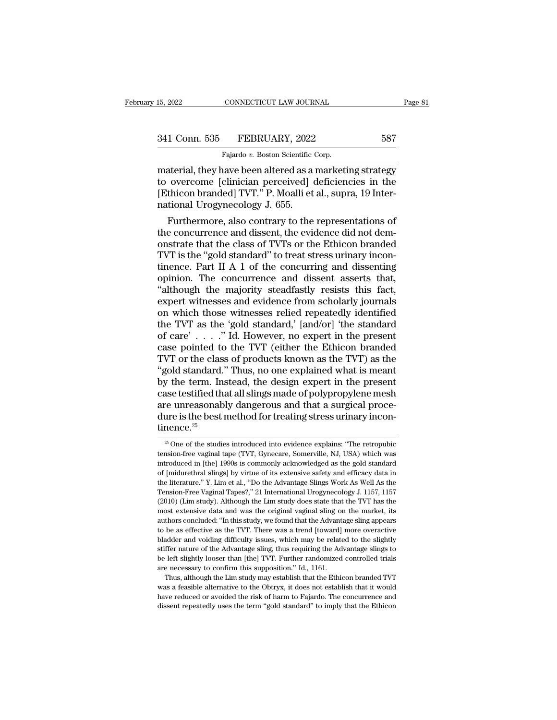| 15, 2022      | CONNECTICUT LAW JOURNAL                                 | Page 81 |
|---------------|---------------------------------------------------------|---------|
| 341 Conn. 535 | FEBRUARY, 2022                                          | 587     |
|               | Fajardo v. Boston Scientific Corp.                      |         |
|               | material they have been altered as a marketing strategy |         |

ER 2022 CONNECTICUT LAW JOURNAL Page 81<br>
341 Conn. 535 FEBRUARY, 2022 587<br>
Fajardo v. Boston Scientific Corp.<br>
material, they have been altered as a marketing strategy<br>
to overcome [clinician perceived] deficiencies in the 341 Conn. 535 FEBRUARY, 2022 587<br>Fajardo v. Boston Scientific Corp.<br>material, they have been altered as a marketing strategy<br>to overcome [clinician perceived] deficiencies in the<br>[Ethicon branded] TVT." P. Moalli et al., s 341 Conn. 535 FEBRUARY, 2022 587<br>Fajardo v. Boston Scientific Corp.<br>material, they have been altered as a marketing strategy<br>to overcome [clinician perceived] deficiencies in the<br>[Ethicon branded] TVT." P. Moalli et al., s 341 Conn. 535 FEBRUARY, 2022<br>Fajardo v. Boston Scientific (material, they have been altered as a<br>to overcome [clinician perceived] (<br>[Ethicon branded] TVT." P. Moalli et<br>national Urogynecology J. 655.<br>Furthermore, also con Fajardo v. Boston Scientific Corp.<br>
atterial, they have been altered as a marketing strategy<br>
overcome [clinician perceived] deficiencies in the<br>
thicon branded] TVT." P. Moalli et al., supra, 19 Inter-<br>
tional Urogynecol Tayato at Basan scannal earp.<br>
material, they have been altered as a marketing strategy<br>
to overcome [clinician perceived] deficiencies in the<br>
[Ethicon branded] TVT." P. Moalli et al., supra, 19 Inter-<br>
national Urogyneco

material, they have been altered as a marketing strategy<br>to overcome [clinician perceived] deficiencies in the<br>[Ethicon branded] TVT." P. Moalli et al., supra, 19 Inter-<br>national Urogynecology J. 655.<br>Furthermore, also con to overcome [clinician perceived] deficiencies in the<br>[Ethicon branded] TVT." P. Moalli et al., supra, 19 Inter-<br>national Urogynecology J. 655.<br>Furthermore, also contrary to the representations of<br>the concurrence and disse [Ethicon branded] TVT." P. Moalli et al., supra, 19 Inter-<br>national Urogynecology J. 655.<br>Furthermore, also contrary to the representations of<br>the concurrence and dissent, the evidence did not dem-<br>onstrate that the class national Urogynecology J. 655.<br>Furthermore, also contrary to the representations of<br>the concurrence and dissent, the evidence did not dem-<br>onstrate that the class of TVTs or the Ethicon branded<br>TVT is the "gold standard" t Furthermore, also contrary to the representations of<br>the concurrence and dissent, the evidence did not dem-<br>onstrate that the class of TVTs or the Ethicon branded<br>TVT is the "gold standard" to treat stress urinary incon-<br>t the concurrence and dissent, the evidence did not demonstrate that the class of TVTs or the Ethicon branded TVT is the "gold standard" to treat stress urinary incontinence. Part II A 1 of the concurring and dissenting opin on trate that the class of TVTs or the Ethicon branded<br>TVT is the "gold standard" to treat stress urinary incon-<br>tinence. Part II A 1 of the concurring and dissenting<br>opinion. The concurrence and dissent asserts that,<br>"alt TVT is the "gold standard" to treat stress urinary incontinence. Part II A 1 of the concurring and dissenting<br>opinion. The concurrence and dissent asserts that,<br>"although the majority steadfastly resists this fact,<br>expert tinence. Part II A 1 of the concurring and dissenting<br>opinion. The concurrence and dissent asserts that,<br>"although the majority steadfastly resists this fact,<br>expert witnesses and evidence from scholarly journals<br>on which opinion. The concurrence and dissent asserts that,<br>
"although the majority steadfastly resists this fact,<br>
expert witnesses and evidence from scholarly journals<br>
on which those witnesses relied repeatedly identified<br>
the "although the majority steadfastly resists this fact,<br>expert witnesses and evidence from scholarly journals<br>on which those witnesses relied repeatedly identified<br>the TVT as the 'gold standard,' [and/or] 'the standard<br>of c expert witnesses and evidence from scholarly journals<br>on which those witnesses relied repeatedly identified<br>the TVT as the 'gold standard,' [and/or] 'the standard<br>of care'  $\ldots$  ." Id. However, no expert in the present<br>ca on which those witnesses relied repeatedly identified<br>the TVT as the 'gold standard,' [and/or] 'the standard<br>of care'  $\ldots$  ." Id. However, no expert in the present<br>case pointed to the TVT (either the Ethicon branded<br>TVT the TVT as the 'gold standard,' [and/or] 'the standard<br>of care'  $\ldots$  ." Id. However, no expert in the present<br>case pointed to the TVT (either the Ethicon branded<br>TVT or the class of products known as the TVT) as the<br>"gol the TVT as the 'gold standard,' [and/or] 'the standard<br>of care' . . . . ." Id. However, no expert in the present<br>case pointed to the TVT (either the Ethicon branded<br>TVT or the class of products known as the TVT) as the<br>"g case pointed to the TVT (either the Ethicon branded TVT or the class of products known as the TVT) as the "gold standard." Thus, no one explained what is meant by the term. Instead, the design expert in the present case t tinence.<sup>25</sup> ase testified that all slings made of polypropylene mesh<br>re unreasonably dangerous and that a surgical proce-<br>ure is the best method for treating stress urinary incon-<br>nence.<sup>25</sup><br><sup>25</sup> One of the studies introduced into evi are unreasonably dangerous and that a surgical procedure is the best method for treating stress urinary incontinence.<sup>25</sup><br> $\frac{25}{5}$  One of the studies introduced into evidence explains: "The retropubic tension-free vagin

dure is the best method for treating stress urinary incontinence.<sup>25</sup><br>  $\frac{1}{25}$  One of the studies introduced into evidence explains: "The retropubic<br>
tension-free vaginal tape (TVT, Gynecare, Somerville, NJ, USA) which tinence.<sup>25</sup><br> $\frac{1}{25}$  One of the studies introduced into evidence explains: "The retropubic<br>tension-free vaginal tape (TVT, Gynecare, Somerville, NJ, USA) which was<br>introduced in [the] 1990s is commonly acknowledged as The literature.''<br>
<sup>25</sup> One of the studies introduced into evidence explains: "The retropubic<br>
tension-free vaginal tape (TVT, Gynecare, Somerville, NJ, USA) which was<br>
introduced in [the] 1990s is commonly acknowledged a <sup>25</sup> One of the studies introduced into evidence explains: "The retropubic tension-free vaginal tape (TVT, Gynecare, Somerville, NJ, USA) which was introduced in [the] 1990s is commonly acknowledged as the gold standard o tension-free vaginal tape (TVT, Gynecare, Somerville, NJ, USA) which was introduced in [the] 1990s is commonly acknowledged as the gold standard of [midurethral slings] by virtue of its extensive safety and efficacy data i introduced in [the] 1990s is commonly acknowledged as the gold standard of [midurethral slings] by virtue of its extensive safety and efficacy data in the literature." Y. Lim et al., "Do the Advantage Slings Work As Well authors concluded: ''In this study, we found that the Advantage slings work As Well As the literature.'' Y. Lim et al., ''Do the Advantage Slings Work As Well As the Tension-Free Vaginal Tapes?,'' 21 International Urogynec of the literature." Y. Lim et al., "Do the Advantage Slings Work As Well As the Tension-Free Vaginal Tapes?," 21 International Urogynecology J. 1157, 1157 (2010) (Lim study). Although the Lim study does state that the TVT Tension-Free Vaginal Tapes?," 21 International Urogynecology J. 1157, 1157 (2010) (Lim study). Although the Lim study does state that the TVT has the most extensive data and was the original vaginal sling on the market, it (2010) (Lim study). Although the Lim study does state that the TVT has the most extensive data and was the original vaginal sling on the market, its authors concluded: "In this study, we found that the Advantage sling app (Love) cannot extensive data and was the original vaginal sling on the market, its authors concluded: "In this study, we found that the Advantage sling appears to be as effective as the TVT. There was a trend [toward] more authors concluded: "In this study, we found that the Advantage sling appears to be as effective as the TVT. There was a trend [toward] more overactive bladder and voiding difficulty issues, which may be related to the slig the as effective as the TVT. There was a trend [toward] more overactive adder and voiding difficulty issues, which may be related to the slightly ffer nature of the Advantage sling, thus requiring the Advantage slings to l bladder and voiding difficulty issues, which may be related to the slightly stiffer nature of the Advantage sling, thus requiring the Advantage slings to be left slightly looser than [the] TVT. Further randomized controlle

stiffer nature of the Advantage sling, thus requiring the Advantage slings to be left slightly looser than [the] TVT. Further randomized controlled trials are necessary to confirm this supposition." Id., 1161. Thus, altho be left slightly looser than [the] TVT. Further randomized controlled trials<br>are necessary to confirm this supposition." Id., 1161.<br>Thus, although the Lim study may establish that the Ethicon branded TVT<br>was a feasible alt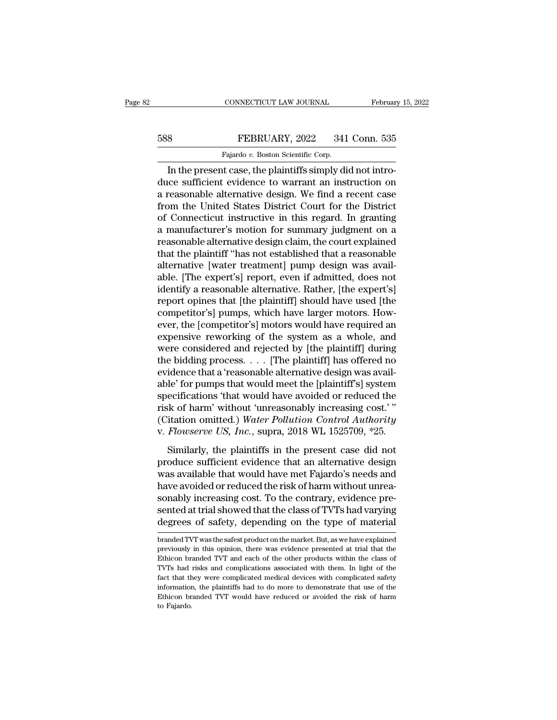## EXECUTE CONNECTICUT LAW JOURNAL February 15, 2022<br>588 FEBRUARY, 2022 341 Conn. 535<br>Fajardo v. Boston Scientific Corp. CONNECTICUT LAW JOURNAL<br>FEBRUARY, 2022 341<br>Fajardo *v.* Boston Scientific Corp.<br>It case the plaintiffs simply di

CONNECTICUT LAW JOURNAL Februar<br>
8<br> **In the present case, the plaintiffs simply did not intro-**<br>
In the present case, the plaintiffs simply did not intro-<br>
In the present case, the plaintiffs simply did not intro-<br>
ce suff FEBRUARY, 2022 341 Conn. 535<br>Fajardo v. Boston Scientific Corp.<br>In the present case, the plaintiffs simply did not intro-<br>duce sufficient evidence to warrant an instruction on<br>a reasonable alternative design. We find a rec FEBRUARY, 2022 341 Conn. 535<br>
Fajardo v. Boston Scientific Corp.<br>
In the present case, the plaintiffs simply did not intro-<br>
duce sufficient evidence to warrant an instruction on<br>
a reasonable alternative design. We find FROM STATE STATE STATE STATE STATE STATE STATE STATE ON THE UNITED STATE OF THE UNITED STATE OF STATE OF STATE OF CONDUCT STATE STATE STATE STATE OF CONNECTION OF CONNECTION OF CONNECTION CONNECTION CONNECTION CONNECTION Fajardo v. Boston Scientific Corp.<br>
In the present case, the plaintiffs simply did not intro-<br>
duce sufficient evidence to warrant an instruction on<br>
a reasonable alternative design. We find a recent case<br>
from the United Fajardo v. Boston Scientific Corp.<br>
In the present case, the plaintiffs simply did not intro-<br>
duce sufficient evidence to warrant an instruction on<br>
a reasonable alternative design. We find a recent case<br>
from the United In the present case, the plaintiffs simply did not introduce sufficient evidence to warrant an instruction on<br>a reasonable alternative design. We find a recent case<br>from the United States District Court for the District<br>of duce sufficient evidence to warrant an instruction on<br>a reasonable alternative design. We find a recent case<br>from the United States District Court for the District<br>of Connecticut instructive in this regard. In granting<br>a m a reasonable alternative design. We find a recent case<br>from the United States District Court for the District<br>of Connecticut instructive in this regard. In granting<br>a manufacturer's motion for summary judgment on a<br>reasona from the United States District Court for the District<br>of Connecticut instructive in this regard. In granting<br>a manufacturer's motion for summary judgment on a<br>reasonable alternative design claim, the court explained<br>that of Connecticut instructive in this regard. In granting<br>a manufacturer's motion for summary judgment on a<br>reasonable alternative design claim, the court explained<br>that the plaintiff "has not established that a reasonable<br>al a manufacturer's motion for summary judgment on a<br>reasonable alternative design claim, the court explained<br>that the plaintiff "has not established that a reasonable<br>alternative [water treatment] pump design was avail-<br>able reasonable alternative design claim, the court explained<br>that the plaintiff "has not established that a reasonable<br>alternative [water treatment] pump design was avail-<br>able. [The expert's] report, even if admitted, does no that the plaintiff "has not established that a reasonable<br>alternative [water treatment] pump design was avail-<br>able. [The expert's] report, even if admitted, does not<br>identify a reasonable alternative. Rather, [the expert' alternative [water treatment] pump design was available. [The expert's] report, even if admitted, does not<br>identify a reasonable alternative. Rather, [the expert's]<br>report opines that [the plaintiff] should have used [the<br> able. [The expert's] report, even if admitted, does not<br>identify a reasonable alternative. Rather, [the expert's]<br>report opines that [the plaintiff] should have used [the<br>competitor's] pumps, which have larger motors. Howidentify a reasonable alternative. Rather, [the expert's]<br>report opines that [the plaintiff] should have used [the<br>competitor's] pumps, which have larger motors. How-<br>ever, the [competitor's] motors would have required an<br> report opines that [the plaintiff] should have used [the competitor's] pumps, which have larger motors. However, the [competitor's] motors would have required an expensive reworking of the system as a whole, and were consi competitor's] pumps, which have larger motors. How-<br>ever, the [competitor's] motors would have required an<br>expensive reworking of the system as a whole, and<br>were considered and rejected by [the plaintiff] during<br>the biddin ever, the [competitor's] motors would have required an<br>expensive reworking of the system as a whole, and<br>were considered and rejected by [the plaintiff] during<br>the bidding process. . . . [The plaintiff] has offered no<br>evid expensive reworking of the system as a whole, and<br>were considered and rejected by [the plaintiff] during<br>the bidding process.... [The plaintiff] has offered no<br>evidence that a 'reasonable alternative design was avail-<br>abl were considered and rejected by [the plaintiff] during<br>the bidding process. . . . [The plaintiff] has offered no<br>evidence that a 'reasonable alternative design was avail-<br>able' for pumps that would meet the [plaintiff's] s the bidding process. . . . [The plaintiff] has offered no<br>evidence that a 'reasonable alternative design was avail-<br>able' for pumps that would meet the [plaintiff's] system<br>specifications 'that would have avoided or reduce delice that a reasonable distributive design was ditated<br>le' for pumps that would meet the [plaintiff's] system<br>ecifications 'that would have avoided or reduced the<br>sk of harm' without 'unreasonably increasing cost.'"<br>itat specifications 'that would have avoided or reduced the<br>risk of harm' without 'unreasonably increasing cost.'"<br>(Citation omitted.) Water Pollution Control Authority<br>v. Flowserve US, Inc., supra, 2018 WL 1525709, \*25.<br>Simila

risk of harm' without 'unreasonably increasing cost.'"<br>(Citation omitted.) Water Pollution Control Authority<br>v. Flowserve US, Inc., supra, 2018 WL 1525709, \*25.<br>Similarly, the plaintiffs in the present case did not<br>produce Have a networking cost.<br>
(Citation omitted.) Water Pollution Control Authority<br>
v. Flowserve US, Inc., supra, 2018 WL 1525709, \*25.<br>
Similarly, the plaintiffs in the present case did not<br>
produce sufficient evidence that a v. *Flowserve US*, *Inc.*, supra, 2018 WL 1525709, \*25.<br>Similarly, the plaintiffs in the present case did not<br>produce sufficient evidence that an alternative design<br>was available that would have met Fajardo's needs and<br>hav Similarly, the plaintiffs in the present case did not<br>produce sufficient evidence that an alternative design<br>was available that would have met Fajardo's needs and<br>have avoided or reduced the risk of harm without unrea-<br>son Similarly, the plaintiffs in the present case did not<br>produce sufficient evidence that an alternative design<br>was available that would have met Fajardo's needs and<br>have avoided or reduced the risk of harm without unrea-<br>son have avoided or reduced the risk of harm without unreasonably increasing cost. To the contrary, evidence presented at trial showed that the class of TVTs had varying degrees of safety, depending on the type of material bra sonably increasing cost. To the contrary, evidence pre-<br>sented at trial showed that the class of TVTs had varying<br>degrees of safety, depending on the type of material<br>branded TVT was the safest product on the market. But,

sented at trial showed that the class of TVTs had varying<br>degrees of safety, depending on the type of material<br>branded TVT was the safest product on the market. But, as we have explained<br>previously in this opinion, there w degrees of safety, depending on the type of material<br>branded TVT was the safest product on the market. But, as we have explained<br>previously in this opinion, there was evidence presented at trial that the<br>Ethicon branded TV fact that they were complicated medical devices with complicated medical devices with the Ethicon branded TVT and each of the other products within the class of TVTs had risks and complications associated with them. In lig branded TVT was the safest product on the market. But, as we have explained previously in this opinion, there was evidence presented at trial that the Ethicon branded TVT and each of the other products within the class of previously in this opinion, there was evidence presented at trial that the Ethicon branded TVT and each of the other products within the class of TVTs had risks and complications associated with them. In light of the fact Ethicon branded TVT and each of the other products within the class of TVTs had risks and complications associated with them. In light of the fact that they were complicated medical devices with complicated safety informat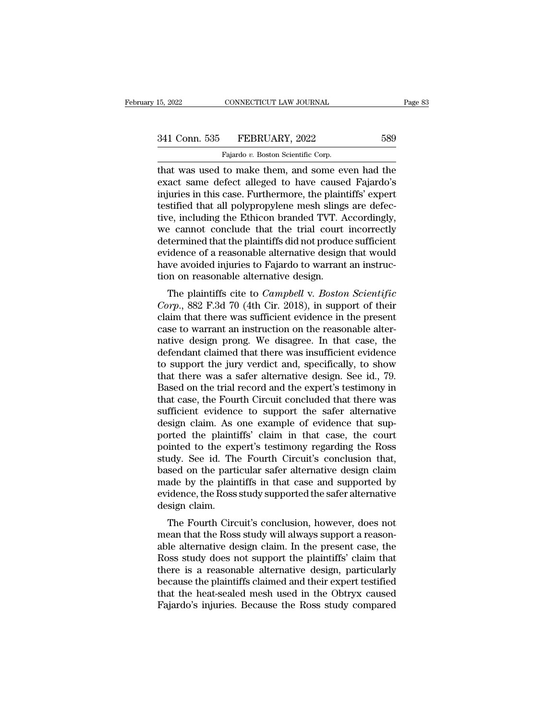| 15, 2022      | CONNECTICUT LAW JOURNAL                          | Page 83 |  |
|---------------|--------------------------------------------------|---------|--|
| 341 Conn. 535 | FEBRUARY, 2022                                   | 589     |  |
|               | Fajardo v. Boston Scientific Corp.               |         |  |
|               | that was used to make them and some even had the |         |  |

THE 2022 CONNECTICUT LAW JOURNAL Page 83<br>
341 Conn. 535 FEBRUARY, 2022 589<br>
Fajardo v. Boston Scientific Corp.<br>
That was used to make them, and some even had the<br>
exact same defect alleged to have caused Fajardo's<br>
injurie exact same defect alleged to have caused Fajardo's<br>
Fajardo'v. Boston Scientific Corp.<br>
That was used to make them, and some even had the<br>
exact same defect alleged to have caused Fajardo's<br>
injuries in this case. Furtherm 341 Conn. 535 FEBRUARY, 2022 589<br>
Fajardo v. Boston Scientific Corp.<br>
that was used to make them, and some even had the<br>
exact same defect alleged to have caused Fajardo's<br>
injuries in this case. Furthermore, the plaintif 341 Conn. 535 FEBRUARY, 2022 589<br>Fajardo v. Boston Scientific Corp.<br>that was used to make them, and some even had the<br>exact same defect alleged to have caused Fajardo's<br>injuries in this case. Furthermore, the plaintiffs' e Fajardo v. Boston Scientific Corp.<br>
That was used to make them, and some even had the<br>
exact same defect alleged to have caused Fajardo's<br>
injuries in this case. Furthermore, the plaintiffs' expert<br>
testified that all poly Figure of Exercise Boston Scientific Corp.<br>
that was used to make them, and some even had the<br>
exact same defect alleged to have caused Fajardo's<br>
injuries in this case. Furthermore, the plaintiffs' expert<br>
testified that that was used to make them, and some even had the exact same defect alleged to have caused Fajardo's<br>injuries in this case. Furthermore, the plaintiffs' expert<br>testified that all polypropylene mesh slings are defec-<br>tive, exact same defect alleged to have caused Fajardo's<br>injuries in this case. Furthermore, the plaintiffs' expert<br>testified that all polypropylene mesh slings are defec-<br>tive, including the Ethicon branded TVT. Accordingly,<br>we injuries in this case. Furthermore, the plaintiffs' expert<br>testified that all polypropylene mesh slings are defec-<br>tive, including the Ethicon branded TVT. Accordingly,<br>we cannot conclude that the trial court incorrectly<br>d testified that all polypropylene mesh slings<br>tive, including the Ethicon branded TVT. A<br>we cannot conclude that the trial court<br>determined that the plaintiffs did not produc<br>evidence of a reasonable alternative design<br>have e, including the Ethicon branded TVT. Accordingly,<br>e cannot conclude that the trial court incorrectly<br>termined that the plaintiffs did not produce sufficient<br>idence of a reasonable alternative design that would<br>we avoided we cannot conclude that the that court incorrectly<br>determined that the plaintiffs did not produce sufficient<br>evidence of a reasonable alternative design that would<br>have avoided injuries to Fajardo to warrant an instruc-<br>ti

determined that the plaintins durity produce sufficient<br>evidence of a reasonable alternative design that would<br>have avoided injuries to Fajardo to warrant an instruc-<br>tion on reasonable alternative design.<br>The plaintiffs c evidence of a reasonable alternative design that would<br>have avoided injuries to Fajardo to warrant an instruc-<br>tion on reasonable alternative design.<br>The plaintiffs cite to *Campbell v. Boston Scientific*<br>*Corp.*, 882 F.3d nation on reasonable alternative design.<br>
The plaintiffs cite to *Campbell v. Boston Scientific*<br> *Corp.*, 882 F.3d 70 (4th Cir. 2018), in support of their<br>
claim that there was sufficient evidence in the present<br>
case to The plaintiffs cite to *Campbell v. Boston Scientific*<br> *Corp.*, 882 F.3d 70 (4th Cir. 2018), in support of their<br>
claim that there was sufficient evidence in the present<br>
case to warrant an instruction on the reasonable The plaintiffs cite to *Campbell* v. *Boston Scientific*<br>Corp., 882 F.3d 70 (4th Cir. 2018), in support of their<br>claim that there was sufficient evidence in the present<br>case to warrant an instruction on the reasonable alte Corp., 882 F.3d 70 (4th Cir. 2018), in support of their claim that there was sufficient evidence in the present case to warrant an instruction on the reasonable alternative design prong. We disagree. In that case, the defe claim that there was sufficient evidence in the present<br>case to warrant an instruction on the reasonable alter-<br>native design prong. We disagree. In that case, the<br>defendant claimed that there was insufficient evidence<br>to case to warrant an instruction on the reasonable alternative design prong. We disagree. In that case, the defendant claimed that there was insufficient evidence to support the jury verdict and, specifically, to show that t native design prong. We disagree. In that case, the<br>defendant claimed that there was insufficient evidence<br>to support the jury verdict and, specifically, to show<br>that there was a safer alternative design. See id., 79.<br>Base defendant claimed that there was insufficient evidence<br>to support the jury verdict and, specifically, to show<br>that there was a safer alternative design. See id., 79.<br>Based on the trial record and the expert's testimony in<br> to support the jury verdict and, specifically, to show<br>that there was a safer alternative design. See id., 79.<br>Based on the trial record and the expert's testimony in<br>that case, the Fourth Circuit concluded that there was<br> that there was a safer alternative design. See id., 79.<br>Based on the trial record and the expert's testimony in<br>that case, the Fourth Circuit concluded that there was<br>sufficient evidence to support the safer alternative<br>de Based on the trial record and the expert's testimony in<br>that case, the Fourth Circuit concluded that there was<br>sufficient evidence to support the safer alternative<br>design claim. As one example of evidence that sup-<br>ported that case, the Fourth Circuit concluded that there was<br>sufficient evidence to support the safer alternative<br>design claim. As one example of evidence that sup-<br>ported the plaintiffs' claim in that case, the court<br>pointed to sufficient evidence to support the safer alternative<br>design claim. As one example of evidence that sup-<br>ported the plaintiffs' claim in that case, the court<br>pointed to the expert's testimony regarding the Ross<br>study. See i design claim. As one example of evidence that sup-<br>ported the plaintiffs' claim in that case, the court<br>pointed to the expert's testimony regarding the Ross<br>study. See id. The Fourth Circuit's conclusion that,<br>based on the ported the plaint<br>pointed to the exp<br>study. See id. The<br>based on the parti<br>made by the plain<br>evidence, the Ross<br>design claim.<br>The Fourth Circ Fourth Circuit's conclusion that,<br>and the particular safer alternative design claim<br>ade by the plaintiffs in that case and supported by<br>idence, the Ross study supported the safer alternative<br>sign claim.<br>The Fourth Circuit' study. See Id. The Fourth Chroth's conclusion that,<br>based on the particular safer alternative design claim<br>made by the plaintiffs in that case and supported by<br>evidence, the Ross study supported the safer alternative<br>desig

based on the particular safer anternative design claim.<br>
made by the plaintiffs in that case and supported by<br>
evidence, the Ross study supported the safer alternative<br>
design claim.<br>
The Fourth Circuit's conclusion, howev radic by the plaintins in that case and supported by<br>evidence, the Ross study supported the safer alternative<br>design claim.<br>The Fourth Circuit's conclusion, however, does not<br>mean that the Ross study will always support a evidence, the Ross study supported the safer atternative<br>design claim.<br>The Fourth Circuit's conclusion, however, does not<br>mean that the Ross study will always support a reason-<br>able alternative design, claim. In the presen design claim.<br>
The Fourth Circuit's conclusion, however, does not<br>
mean that the Ross study will always support a reason-<br>
able alternative design claim. In the present case, the<br>
Ross study does not support the plaintiffs The Fourth Circuit's conclusion, however, does not<br>mean that the Ross study will always support a reason-<br>able alternative design claim. In the present case, the<br>Ross study does not support the plaintiffs' claim that<br>there mean that the Ross study will always support a reasonable alternative design claim. In the present case, the Ross study does not support the plaintiffs' claim that there is a reasonable alternative design, particularly bec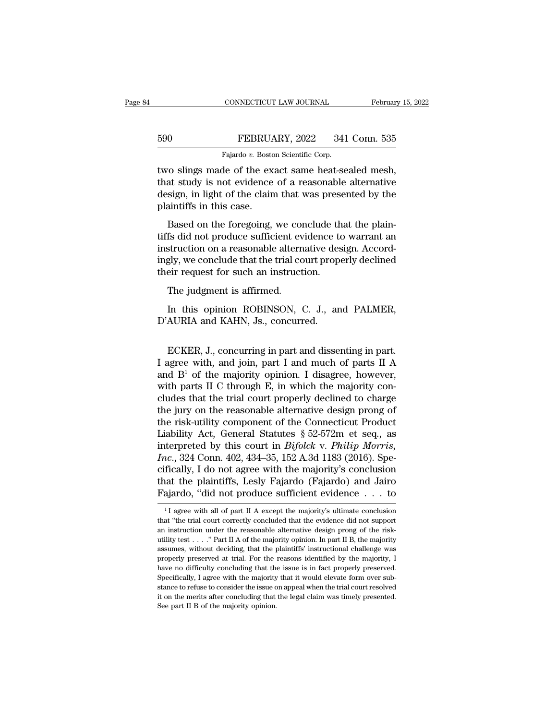|     | CONNECTICUT LAW JOURNAL                            | February 15, 2022 |
|-----|----------------------------------------------------|-------------------|
|     |                                                    |                   |
| 590 | FEBRUARY, 2022                                     | 341 Conn. 535     |
|     | Fajardo v. Boston Scientific Corp.                 |                   |
|     | two slings made of the exact same heat-sealed mesh |                   |

CONNECTICUT LAW JOURNAL February 15, 20<br>
FEBRUARY, 2022 341 Conn. 535<br>
Fajardo v. Boston Scientific Corp.<br>
Two slings made of the exact same heat-sealed mesh,<br>
that study is not evidence of a reasonable alternative<br>
docity FEBRUARY, 2022 341 Conn. 535<br>
Fajardo v. Boston Scientific Corp.<br>
two slings made of the exact same heat-sealed mesh,<br>
that study is not evidence of a reasonable alternative<br>
design, in light of the claim that was presente FEBRUARY, 2022 341 Conn. 535<br>
Fajardo v. Boston Scientific Corp.<br>
two slings made of the exact same heat-sealed mesh,<br>
that study is not evidence of a reasonable alternative<br>
design, in light of the claim that was present FEBRUA<br>
Fajardo v. Bosto<br>
two slings made of the ex<br>
that study is not evidence<br>
design, in light of the clain<br>
plaintiffs in this case.<br>
Based on the foregoing, Fajardo v. Boston Scientific Corp.<br>
To slings made of the exact same heat-sealed mesh,<br>
at study is not evidence of a reasonable alternative<br>
sign, in light of the claim that was presented by the<br>
aintiffs in this case.<br> two slings made of the exact same heat-sealed mesh,<br>that study is not evidence of a reasonable alternative<br>design, in light of the claim that was presented by the<br>plaintiffs in this case.<br>Based on the foregoing, we conclud

In the same of the claim hat was beated mess,<br>that study is not evidence of a reasonable alternative<br>design, in light of the claim that was presented by the<br>plaintiffs in this case.<br>Based on the foregoing, we conclude that design, in light of the claim that was presented by the plaintiffs in this case.<br>Based on the foregoing, we conclude that the plaintiffs did not produce sufficient evidence to warrant an instruction on a reasonable alterna design, in fight of the ending material was presenting probabilitiffs in this case.<br>Based on the foregoing, we conclude the tiffs did not produce sufficient evidence to instruction on a reasonable alternative desingly, we Based on the foregoing, we confs did not produce sufficient evert<br>struction on a reasonable alterned.<br>gly, we conclude that the trial co<br>eir request for such an instruct<br>The judgment is affirmed.<br>In this opinion ROBINSON, Its did not produce sufficient evidence to warrant an<br>struction on a reasonable alternative design. Accord-<br>gly, we conclude that the trial court properly declined<br>eir request for such an instruction.<br>The judgment is affir instruction on a reasonable alternative desingly, we conclude that the trial court prop<br>their request for such an instruction.<br>The judgment is affirmed.<br>In this opinion ROBINSON, C. J., ar<br>D'AURIA and KAHN, Js., concurred.

The judgment is affirmed.<br>
In this opinion ROBINSON, C. J., and PALMER,<br>
AURIA and KAHN, Js., concurred.<br>
ECKER, J., concurring in part and dissenting in part.<br>
agree with, and join, part I and much of parts II A<br>  $A^{R^1}$ The judgment is affirmed.<br>
In this opinion ROBINSON, C. J., and PALMER,<br>
D'AURIA and KAHN, Js., concurred.<br>
ECKER, J., concurring in part and dissenting in part.<br>
I agree with, and join, part I and much of parts II A<br>
and In this opinion ROBINSON, C. J., and PALMER,<br>D'AURIA and KAHN, Js., concurred.<br>ECKER, J., concurring in part and dissenting in part.<br>I agree with, and join, part I and much of parts II A<br>and  $B^1$  of the majority opinion. In this opinion Robinson, e. s., and Trimina,<br>D'AURIA and KAHN, Js., concurred.<br>ECKER, J., concurring in part and dissenting in part.<br>I agree with, and join, part I and much of parts II A<br>and  $B^1$  of the majority opinion ECKER, J., concurring in part and dissenting in part.<br>I agree with, and join, part I and much of parts II A<br>and  $B^1$  of the majority opinion. I disagree, however,<br>with parts II C through E, in which the majority con-<br>clu ECKER, J., concurring in part and dissenting in part.<br>I agree with, and join, part I and much of parts II A<br>and  $B^1$  of the majority opinion. I disagree, however,<br>with parts II C through E, in which the majority con-<br>clu ECKER, J., concurring in part and dissenting in part.<br>I agree with, and join, part I and much of parts II A<br>and  $B^1$  of the majority opinion. I disagree, however,<br>with parts II C through E, in which the majority con-<br>clu I agree with, and join, part I and much of parts II A<br>and B<sup>1</sup> of the majority opinion. I disagree, however,<br>with parts II C through E, in which the majority con-<br>cludes that the trial court properly declined to charge<br>th and B<sup>1</sup> of the majority opinion. I disagree, however,<br>with parts II C through E, in which the majority con-<br>cludes that the trial court properly declined to charge<br>the jury on the reasonable alternative design prong of<br>th with parts II C through E, in which the majority concludes that the trial court properly declined to charge the jury on the reasonable alternative design prong of the risk-utility component of the Connecticut Product Liabi cludes that the trial court properly declined to charge<br>the jury on the reasonable alternative design prong of<br>the risk-utility component of the Connecticut Product<br>Liability Act, General Statutes § 52-572m et seq., as<br>int the jury on the reasonable alternative design prong of<br>the risk-utility component of the Connecticut Product<br>Liability Act, General Statutes § 52-572m et seq., as<br>interpreted by this court in *Bifolck* v. *Philip Morris*, the risk-utility component of the Connecticut Product<br>Liability Act, General Statutes § 52-572m et seq., as<br>interpreted by this court in *Bifolck* v. *Philip Morris*,<br>*Inc.*, 324 Conn. 402, 434–35, 152 A.3d 1183 (2016). S *Inc.*, 324 Conn. 402, 434–35, 152 A.3d 1183 (2016). Specifically, I do not agree with the majority's conclusion that the plaintiffs, Lesly Fajardo (Fajardo) and Jairo Fajardo, "did not produce sufficient evidence  $\dots$  to cifically, I do not agree with the majority's conclusion<br>that the plaintiffs, Lesly Fajardo (Fajardo) and Jairo<br>Fajardo, "did not produce sufficient evidence  $\dots$  to<br> $\frac{1}{1}$  agree with all of part II A except the majori

that the plaintiffs, Lesly Fajardo (Fajardo) and Jairo Fajardo, "did not produce sufficient evidence  $\ldots$  to  $\frac{1}{1}$  agree with all of part II A except the majority's ultimate conclusion that "the trial court correctly Fajardo, "did not produce sufficient evidence . . . to<br>  $\frac{1}{1}$  agree with all of part II A except the majority's ultimate conclusion<br>
that "the trial court correctly concluded that the evidence did not support<br>
an inst Fajaruo, the Hot produce sufficient evidence  $\cdot \cdot \cdot \cdot$  to  $\cdot \cdot \cdot$  is a standard of part II A except the majority's ultimate conclusion that "the trial court correctly concluded that the evidence did not support an instr <sup>1</sup> I agree with all of part II A except the majority's ultimate conclusion that "the trial court correctly concluded that the evidence did not support an instruction under the reasonable alternative design prong of the r that "the trial court correctly concluded that the evidence did not support an instruction under the reasonable alternative design prong of the risk-<br>utility test  $\ldots$ ." Part II A of the majority opinion. In part II B, t an instruction under the reasonable alternative design prong of the risk-<br>utility test . . . ." Part II A of the majority opinion. In part II B, the majority<br>assumes, without deciding, that the plaintiffs' instructional c utility test . . . . " Part II A of the majority opinion. In part II B, the majority assumes, without deciding, that the plaintiffs' instructional challenge was properly preserved at trial. For the reasons identified by th assumes, without deciding, that the plaintiffs' instructional challenge was properly preserved at trial. For the reasons identified by the majority, I have no difficulty concluding that the issue is in fact properly preser properly preserved at trial. For the reasons identified by the majority, I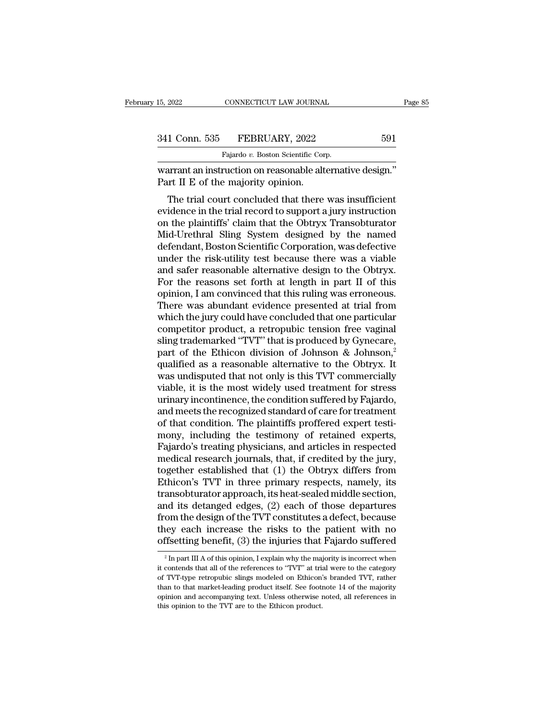| 15, 2022      | CONNECTICUT LAW JOURNAL                                   |     | Page 85 |
|---------------|-----------------------------------------------------------|-----|---------|
|               |                                                           |     |         |
| 341 Conn. 535 | FEBRUARY, 2022                                            | 591 |         |
|               | Fajardo v. Boston Scientific Corp.                        |     |         |
|               | warrant an instruction on reasonable alternative design " |     |         |

15, 2022 CONNECTICUT LAW JOURNAL Page<br>
341 Conn. 535 FEBRUARY, 2022 591<br>
Fajardo v. Boston Scientific Corp.<br>
warrant an instruction on reasonable alternative design."<br>
Part II E of the majority opinion. 341 Conn. 535 FEBRUARY, 2022<br>Fajardo v. Boston Scientific Corn<br>Warrant an instruction on reasonable alt<br>Part II E of the majority opinion.<br>The trial court concluded that there

1 Conn. 535 FEBRUARY, 2022 591<br>
Fajardo v. Boston Scientific Corp.<br>
arrant an instruction on reasonable alternative design."<br>
The trial court concluded that there was insufficient<br>
idence in the trial record to support a j 341 Conn. 535 FEBRUARY, 2022 591<br>
Fajardo v. Boston Scientific Corp.<br>
warrant an instruction on reasonable alternative design."<br>
Part II E of the majority opinion.<br>
The trial court concluded that there was insufficient<br>
e Fajardo  $v$ . Boston Scientific Corp.<br>
warrant an instruction on reasonable alternative design."<br>
Part II E of the majority opinion.<br>
The trial court concluded that there was insufficient<br>
evidence in the trial record to s warrant an instruction on reasonable alternative design."<br>Part II E of the majority opinion.<br>The trial court concluded that there was insufficient<br>evidence in the trial record to support a jury instruction<br>on the plaintiff wariant an instruction on reasonable attentiative design.<br>Part II E of the majority opinion.<br>The trial court concluded that there was insufficient<br>evidence in the trial record to support a jury instruction<br>on the plaintiff The trial court concluded that there was insufficient<br>evidence in the trial record to support a jury instruction<br>on the plaintiffs' claim that the Obtryx Transobturator<br>Mid-Urethral Sling System designed by the named<br>defen The trial court concluded that there was insufficient<br>evidence in the trial record to support a jury instruction<br>on the plaintiffs' claim that the Obtryx Transobturator<br>Mid-Urethral Sling System designed by the named<br>defen evidence in the trial record to support a jury instruction<br>on the plaintiffs' claim that the Obtryx Transobturator<br>Mid-Urethral Sling System designed by the named<br>defendant, Boston Scientific Corporation, was defective<br>und on the plaintiffs' claim that the Obtryx Transobturator<br>Mid-Urethral Sling System designed by the named<br>defendant, Boston Scientific Corporation, was defective<br>under the risk-utility test because there was a viable<br>and saf Mid-Urethral Sling System designed by the named<br>defendant, Boston Scientific Corporation, was defective<br>under the risk-utility test because there was a viable<br>and safer reasonable alternative design to the Obtryx.<br>For the defendant, Boston Scientific Corporation, was defective<br>under the risk-utility test because there was a viable<br>and safer reasonable alternative design to the Obtryx.<br>For the reasons set forth at length in part II of this<br>o under the risk-utility test because there was a viable<br>and safer reasonable alternative design to the Obtryx.<br>For the reasons set forth at length in part II of this<br>opinion, I am convinced that this ruling was erroneous.<br>T and safer reasonable alternative design to the Obtryx.<br>For the reasons set forth at length in part II of this<br>opinion, I am convinced that this ruling was erroneous.<br>There was abundant evidence presented at trial from<br>whic For the reasons set forth at length in part II of this<br>opinion, I am convinced that this ruling was erroneous.<br>There was abundant evidence presented at trial from<br>which the jury could have concluded that one particular<br>co opinion, I am convinced that this ruling was erroneous.<br>There was abundant evidence presented at trial from<br>which the jury could have concluded that one particular<br>competitor product, a retropubic tension free vaginal<br>slin There was abundant evidence presented at trial from<br>which the jury could have concluded that one particular<br>competitor product, a retropubic tension free vaginal<br>sling trademarked "TVT" that is produced by Gynecare,<br>part o which the jury could have concluded that one particular<br>competitor product, a retropubic tension free vaginal<br>sling trademarked "TVT" that is produced by Gynecare,<br>part of the Ethicon division of Johnson & Johnson,<sup>2</sup><br>qual competitor product, a retropubic tension free vaginal<br>sling trademarked "TVT" that is produced by Gynecare,<br>part of the Ethicon division of Johnson & Johnson,<sup>2</sup><br>qualified as a reasonable alternative to the Obtryx. It<br>was sling trademarked "TVT" that is produced by Gynecare,<br>part of the Ethicon division of Johnson & Johnson,<sup>2</sup><br>qualified as a reasonable alternative to the Obtryx. It<br>was undisputed that not only is this TVT commercially<br>viab part of the Ethicon division of Johnson & Johnson,<sup>2</sup> qualified as a reasonable alternative to the Obtryx. It was undisputed that not only is this TVT commercially viable, it is the most widely used treatment for stress ur qualified as a reasonable alternative to the Obtryx. It<br>was undisputed that not only is this TVT commercially<br>viable, it is the most widely used treatment for stress<br>urinary incontinence, the condition suffered by Fajardo, was undisputed that not only is this TVT commercially<br>viable, it is the most widely used treatment for stress<br>urinary incontinence, the condition suffered by Fajardo,<br>and meets the recognized standard of care for treatment viable, it is the most widely used treatment for stress<br>urinary incontinence, the condition suffered by Fajardo,<br>and meets the recognized standard of care for treatment<br>of that condition. The plaintiffs proffered expert te urinary incontinence, the condition suffered by Fajardo,<br>and meets the recognized standard of care for treatment<br>of that condition. The plaintiffs proffered expert testi-<br>mony, including the testimony of retained experts,<br> and meets the recognized standard of care for treatment<br>of that condition. The plaintiffs proffered expert testi-<br>mony, including the testimony of retained experts,<br>Fajardo's treating physicians, and articles in respected<br> of that condition. The plaintiffs proffered expert testi-<br>mony, including the testimony of retained experts,<br>Fajardo's treating physicians, and articles in respected<br>medical research journals, that, if credited by the jury mony, including the testimony of retained experts,<br>Fajardo's treating physicians, and articles in respected<br>medical research journals, that, if credited by the jury,<br>together established that (1) the Obtryx differs from<br>Et Fajardo's treating physicians, and articles in respected<br>medical research journals, that, if credited by the jury,<br>together established that (1) the Obtryx differs from<br>Ethicon's TVT in three primary respects, namely, its<br> medical research journals, that, if credited by the jury,<br>together established that (1) the Obtryx differs from<br>Ethicon's TVT in three primary respects, namely, its<br>transobturator approach, its heat-sealed middle section,<br> together established that (1) the Obtryx differs from<br>Ethicon's TVT in three primary respects, namely, its<br>transobturator approach, its heat-sealed middle section,<br>and its detanged edges, (2) each of those departures<br>from and its detanged edges, (2) each of those departures<br>from the design of the TVT constitutes a defect, because<br>they each increase the risks to the patient with no<br>offsetting benefit, (3) the injuries that Fajardo suffered<br> from the design of the TVT constitutes a defect, because<br>they each increase the risks to the patient with no<br>offsetting benefit, (3) the injuries that Fajardo suffered<br> $\frac{1}{2}$  In part III A of this opinion, I explain wh

they each increase the risks to the patient with no<br>offsetting benefit, (3) the injuries that Fajardo suffered<br> $\frac{1}{2}$  In part III A of this opinion, I explain why the majority is incorrect when<br>it contends that all of offsetting benefit, (3) the injuries that Fajardo suffered<br>
<sup>2</sup> In part III A of this opinion, I explain why the majority is incorrect when<br>
it contends that all of the references to "TVT" at trial were to the category<br>
o <sup>2</sup> In part III A of this opinion, I explain why the majority is incorrect when it contends that all of the references to "TVT" at trial were to the category of TVT-type retropubic slings modeled on Ethicon's branded TVT, <sup>2</sup> In part III A of this opinion, I explain why the main to contends that all of the references to "TVT" at trior of TVT-type retropubic slings modeled on Ethicon product itself. See footopinion and accompanying text. Un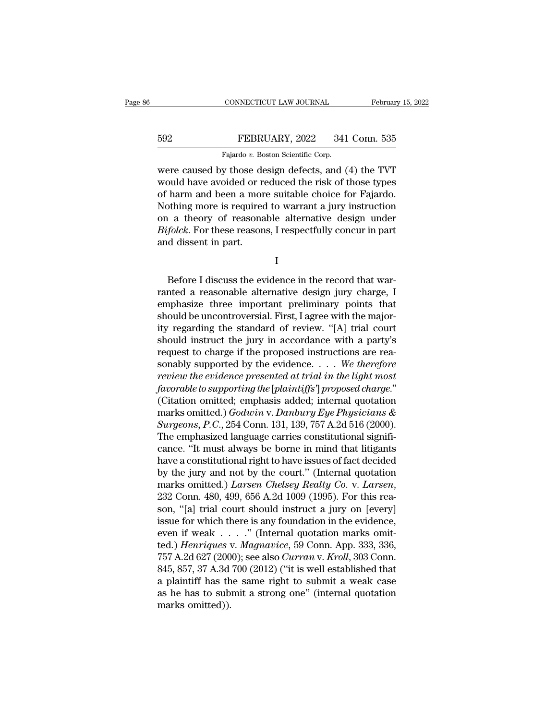## EXECUTE CONNECTICUT LAW JOURNAL February 15, 2022<br>592 FEBRUARY, 2022 341 Conn. 535<br>Fajardo v. Boston Scientific Corp. CONNECTICUT LAW JOURNAL<br>FEBRUARY, 2022 341<br>Fajardo *v.* Boston Scientific Corp.<br>v. those design defects and (

CONNECTICUT LAW JOURNAL February 15, 2022<br>
FEBRUARY, 2022 341 Conn. 535<br>
Fajardo v. Boston Scientific Corp.<br>
Were caused by those design defects, and (4) the TVT<br>
would have avoided or reduced the risk of those types<br>
of h FEBRUARY, 2022 341 Conn. 535<br>Fajardo v. Boston Scientific Corp.<br>Were caused by those design defects, and (4) the TVT<br>would have avoided or reduced the risk of those types<br>of harm and been a more suitable choice for Fajardo FEBRUARY, 2022 341 Conn. 535<br>
Fajardo v. Boston Scientific Corp.<br>
were caused by those design defects, and (4) the TVT<br>
would have avoided or reduced the risk of those types<br>
of harm and been a more suitable choice for Fa FEBRUARY, 2022 341 Conn. 535<br>
Fajardo v. Boston Scientific Corp.<br>
Were caused by those design defects, and (4) the TVT<br>
would have avoided or reduced the risk of those types<br>
of harm and been a more suitable choice for Fa Fajardo v. Boston Scientific Corp.<br>
were caused by those design defects, and (4) the TVT<br>
would have avoided or reduced the risk of those types<br>
of harm and been a more suitable choice for Fajardo.<br>
Nothing more is requir *Bifolck*. Bifolch Scientific Corp.<br> *Bigonon* Scientific Corp.<br> *Bifolch* are avoided or reduced the risk of those types<br>
of harm and been a more suitable choice for Fajardo.<br> *Rothing more is required to warrant a jury i* were caused by those de<br>would have avoided or re<br>of harm and been a mor<br>Nothing more is required<br>on a theory of reasona<br>Bifolck. For these reason<br>and dissent in part. Before I discuss the evidence in the record that war-

I

on a theory of reasonable alternative design under<br> *Bifolck*. For these reasons, I respectfully concur in part<br>
and dissent in part.<br>
I<br>
Before I discuss the evidence in the record that war-<br>
ranted a reasonable alternati  $\begin{array}{l} \textit{Byjolek.} \text{ For these reasons, I respectively, concur in part,} \ \textit{and} \textit{dissent in part.} \ \end{array}$ <br>
I<br>
Before I discuss the evidence in the record that warranted a reasonable alternative design jury charge, I<br>
emphasize three important preliminary points that<br> I<br>I<br>Before I discuss the evidence in the record that warranted a reasonable alternative design jury charge, I<br>emphasize three important preliminary points that<br>should be uncontroversial. First, I agree with the major-<br>ity I<br>
Before I discuss the evidence in the record that warranted a reasonable alternative design jury charge, I<br>
emphasize three important preliminary points that<br>
should be uncontroversial. First, I agree with the major-<br>
it Before I discuss the evidence in the record that warranted a reasonable alternative design jury charge, I<br>emphasize three important preliminary points that<br>should be uncontroversial. First, I agree with the major-<br>ity reg Before I discuss the evidence in the record that warranted a reasonable alternative design jury charge, I<br>emphasize three important preliminary points that<br>should be uncontroversial. First, I agree with the major-<br>ity reg ranted a reasonable alternative design jury charge, I<br>emphasize three important preliminary points that<br>should be uncontroversial. First, I agree with the major-<br>ity regarding the standard of review. "[A] trial court<br>shoul emphasize three important preliminary points that<br>should be uncontroversial. First, I agree with the major-<br>ity regarding the standard of review. "[A] trial court<br>should instruct the jury in accordance with a party's<br>reque *fall to such to supportional determinate in the majority regarding the standard of review.* "[A] trial court should instruct the jury in accordance with a party's request to charge if the proposed instructions are reasona ity regarding the standard of review. "[A] trial court<br>should instruct the jury in accordance with a party's<br>request to charge if the proposed instructions are rea-<br>sonably supported by the evidence.... We therefore<br>revie should instruct the jury in accordance with a party's<br>request to charge if the proposed instructions are rea-<br>sonably supported by the evidence. . . . We therefore<br>review the evidence presented at trial in the light most<br>f request to charge if the proposed instructions are reasonably supported by the evidence. . . . We therefore<br>*review the evidence presented at trial in the light most*<br>*favorable to supporting the [plaintiffs'] proposed cha* sonably supported by the evidence. . . . . We therefore<br>review the evidence presented at trial in the light most<br>favorable to supporting the [plaintiffs'] proposed charge."<br>(Citation omitted; emphasis added; internal quot review the evidence presented at trial in the light most<br>favorable to supporting the [plaintiffs'] proposed charge."<br>(Citation omitted; emphasis added; internal quotation<br>marks omitted.) Godwin v. Danbury Eye Physicians &<br> favorable to supporting the [plaintiffs'] proposed charge."<br>
(Citation omitted; emphasis added; internal quotation<br>
marks omitted.) Godwin v. Danbury Eye Physicians &<br>
Surgeons, P.C., 254 Conn. 131, 139, 757 A.2d 516 (200 (Citation omitted; emphasis added; internal quotation<br>marks omitted.)  $Godwin$  v.  $Danbury$   $Eye$   $Physicians$   $\&$   $Surgeons$ ,  $P.C., 254$  Conn. 131, 139, 757 A.2d 516 (2000).<br>The emphasized language carries constitutional significance. "It mus marks omitted.) *Godwin v. Danbury Eye Physicians &*<br> *Surgeons, P.C.*, 254 Conn. 131, 139, 757 A.2d 516 (2000).<br>
The emphasized language carries constitutional significance. "It must always be borne in mind that litigants The emphasized language carries constitutional significance. "It must always be borne in mind that litigants<br>have a constitutional right to have issues of fact decided<br>by the jury and not by the court." (Internal quotation cance. "It must always be borne in mind that litigants<br>have a constitutional right to have issues of fact decided<br>by the jury and not by the court." (Internal quotation<br>marks omitted.) *Larsen Chelsey Realty Co. v. Larsen* have a constitutional right to have issues of fact decided<br>by the jury and not by the court." (Internal quotation<br>marks omitted.) *Larsen Chelsey Realty Co.* v. *Larsen*,<br>232 Conn. 480, 499, 656 A.2d 1009 (1995). For this by the jury and not by the court." (Internal quotation<br>marks omitted.) *Larsen Chelsey Realty Co.* v. *Larsen*,<br>232 Conn. 480, 499, 656 A.2d 1009 (1995). For this rea-<br>son, "[a] trial court should instruct a jury on [every marks omitted.) *Larsen Chelsey Realty Co. v. Larsen,*<br>232 Conn. 480, 499, 656 A.2d 1009 (1995). For this reason, "[a] trial court should instruct a jury on [every]<br>issue for which there is any foundation in the evidence,<br> 232 Conn. 480, 499, 656 A.2d 1009 (1995). For this reason, "[a] trial court should instruct a jury on [every] issue for which there is any foundation in the evidence, even if weak  $\ldots$  ." (Internal quotation marks omitte son, "[a] trial court should instruct a jury on [every]<br>issue for which there is any foundation in the evidence,<br>even if weak . . . . ." (Internal quotation marks omit-<br>ted.) *Henriques* v. *Magnavice*, 59 Conn. App. 333, issue for which there is any foundation in the evidence,<br>even if weak . . . . " (Internal quotation marks omit-<br>ted.) *Henriques* v. *Magnavice*, 59 Conn. App. 333, 336,<br>757 A.2d 627 (2000); see also *Curran* v. *Kroll*, even if weak . . . ." (Internal quotation marks omitted.) *Henriques* v. *Magnavice*, 59 Conn. App. 333, 336, 757 A.2d 627 (2000); see also *Curran* v. *Kroll*, 303 Conn. 845, 857, 37 A.3d 700 (2012) ("it is well establis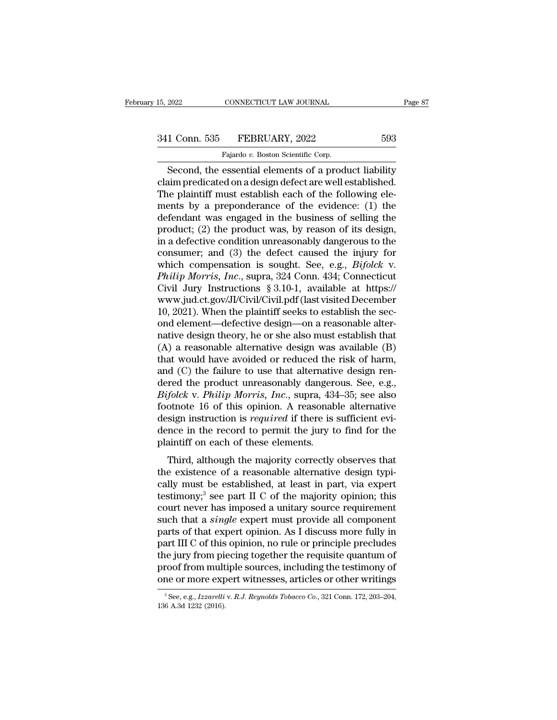## 15, 2022 CONNECTICUT LAW JOURNAL Page 87<br>341 Conn. 535 FEBRUARY, 2022 593<br>Fajardo v. Boston Scientific Corp. CONNECTICUT LAW JOURNAL<br>FEBRUARY, 2022<br>Fajardo *v.* Boston Scientific Corp.<br>essential elements of a produ

EXECUTE 2022 2022<br>
Second, the essential elements of a product liability<br>
Second, the essential elements of a product liability<br>
Second, the essential elements of a product liability<br>
aim predicated on a design defect are 341 Conn. 535 FEBRUARY, 2022 593<br>Fajardo v. Boston Scientific Corp.<br>Second, the essential elements of a product liability<br>claim predicated on a design defect are well established.<br>The plaintiff must establish each of the f 341 Conn. 535 FEBRUARY, 2022 593<br>
Fajardo v. Boston Scientific Corp.<br>
Second, the essential elements of a product liability<br>
claim predicated on a design defect are well established.<br>
The plaintiff must establish each of 341 Conn. 535 FEBRUARY, 2022 593<br>
Fajardo v. Boston Scientific Corp.<br>
Second, the essential elements of a product liability<br>
claim predicated on a design defect are well established.<br>
The plaintiff must establish each of Fajardo v. Boston Scientific Corp.<br>
Second, the essential elements of a product liability<br>
claim predicated on a design defect are well established.<br>
The plaintiff must establish each of the following ele-<br>
ments by a pre Fajardo v. Boston Scientific Corp.<br>
Second, the essential elements of a product liability<br>
claim predicated on a design defect are well established.<br>
The plaintiff must establish each of the following ele-<br>
ments by a pre Second, the essential elements of a product liability<br>claim predicated on a design defect are well established.<br>The plaintiff must establish each of the following ele-<br>ments by a preponderance of the evidence: (1) the<br>def claim predicated on a design defect are well established.<br>The plaintiff must establish each of the following ele-<br>ments by a preponderance of the evidence: (1) the<br>defendant was engaged in the business of selling the<br>prod The plaintiff must establish each of the following ele-<br>ments by a preponderance of the evidence: (1) the<br>defendant was engaged in the business of selling the<br>product; (2) the product was, by reason of its design,<br>in a def ments by a preponderance of the evidence: (1) the<br>defendant was engaged in the business of selling the<br>product; (2) the product was, by reason of its design,<br>in a defective condition unreasonably dangerous to the<br>consumer; defendant was engaged in the business of selling the<br>product; (2) the product was, by reason of its design,<br>in a defective condition unreasonably dangerous to the<br>consumer; and (3) the defect caused the injury for<br>which c product; (2) the product was, by reason of its design,<br>in a defective condition unreasonably dangerous to the<br>consumer; and (3) the defect caused the injury for<br>which compensation is sought. See, e.g., *Bifolck* v.<br>*Philip* in a defective condition unreasonably dangerous to the consumer; and (3) the defect caused the injury for which compensation is sought. See, e.g., *Bifolck* v. *Philip Morris, Inc.*, supra, 324 Conn. 434; Connecticut Civi consumer; and (3) the defect caused the injury for<br>which compensation is sought. See, e.g., *Bifolck v.*<br>*Philip Morris, Inc.*, supra, 324 Conn. 434; Connecticut<br>Civil Jury Instructions § 3.10-1, available at https://<br>www which compensation is sought. See, e.g., *Bifolck v.*<br>*Philip Morris, Inc.*, supra, 324 Conn. 434; Connecticut<br>Civil Jury Instructions § 3.10-1, available at https://<br>www.jud.ct.gov/JI/Civil/Civil.pdf (last visited Decemb Philip Morris, Inc., supra, 324 Conn. 434; Connecticut<br>Civil Jury Instructions § 3.10-1, available at https://<br>www.jud.ct.gov/JI/Civil/Civil.pdf (last visited December<br>10, 2021). When the plaintiff seeks to establish the Civil Jury Instructions § 3.10-1, available at https://<br>www.jud.ct.gov/JI/Civil/Civil.pdf (last visited December<br>10, 2021). When the plaintiff seeks to establish the sec-<br>ond element—defective design—on a reasonable alter www.jud.ct.gov/JJ/Civil/Civil.pdf (last visited December 10, 2021). When the plaintiff seeks to establish the second element—defective design—on a reasonable alternative design theory, he or she also must establish that ( 10, 2021). When the plaintiff seeks to establish the second element—defective design—on a reasonable alternative design theory, he or she also must establish that (A) a reasonable alternative design was available (B) that ond element—defective design—on a reasonable alternative design theory, he or she also must establish that (A) a reasonable alternative design was available (B) that would have avoided or reduced the risk of harm, and (C) native design theory, he or she also must establish that (A) a reasonable alternative design was available (B) that would have avoided or reduced the risk of harm, and (C) the failure to use that alternative design rendere (A) a reasonable alternative design was available (B) that would have avoided or reduced the risk of harm, and (C) the failure to use that alternative design rendered the product unreasonably dangerous. See, e.g.,  $Bifolck$  that would have avoided or reduced the risk of harm,<br>and (C) the failure to use that alternative design ren-<br>dered the product unreasonably dangerous. See, e.g.,<br>Bifolck v. Philip Morris, Inc., supra, 434–35; see also<br>foot and (C) the failure to use that alternative<br>dered the product unreasonably dangere<br>Bifolck v. Philip Morris, Inc., supra, 434<br>footnote 16 of this opinion. A reasonab<br>design instruction is *required* if there is<br>dence in th folck v. *Philip Morris*, *Inc.*, supra, 434–35; see also<br>otnote 16 of this opinion. A reasonable alternative<br>sign instruction is *required* if there is sufficient evi-<br>nce in the record to permit the jury to find for the<br>  $E_{\text{g}}$  och v. That p not test, the existence of a reasonable alternative design instruction is *required* if there is sufficient evidence in the record to permit the jury to find for the plaintiff on each of these elem

collistic to of any opinion. The reasonable distributed design instruction is *required* if there is sufficient evidence in the record to permit the jury to find for the plaintiff on each of these elements.<br>Third, although design instruction is *required* in there is summer on<br>dence in the record to permit the jury to find for the<br>plaintiff on each of these elements.<br>Third, although the majority correctly observes that<br>the existence of a rea plaintiff on each of these elements.<br>Third, although the majority correctly observes that<br>the existence of a reasonable alternative design typi-<br>cally must be established, at least in part, via expert<br>testimony;<sup>3</sup> see par Third, although the majority correctly observes that<br>the existence of a reasonable alternative design typi-<br>cally must be established, at least in part, via expert<br>testimony;<sup>3</sup> see part II C of the majority opinion; this<br> Third, although the majority correctly observes that<br>the existence of a reasonable alternative design typi-<br>cally must be established, at least in part, via expert<br>testimony;<sup>3</sup> see part II C of the majority opinion; this the existence of a reasonable alternative design typically must be established, at least in part, via expert<br>testimony;<sup>3</sup> see part II C of the majority opinion; this<br>court never has imposed a unitary source requirement<br>su cally must be established, at least in part, via expert<br>testimony;<sup>3</sup> see part II C of the majority opinion; this<br>court never has imposed a unitary source requirement<br>such that a *single* expert must provide all component<br> testimony;<sup>3</sup> see part II C of the majority opinion; this court never has imposed a unitary source requirement such that a *single* expert must provide all component parts of that expert opinion. As I discuss more fully in court never has imposed a unitary source requirement<br>such that a *single* expert must provide all component<br>parts of that expert opinion. As I discuss more fully in<br>part III C of this opinion, no rule or principle preclud part III C of this opinion, no rule or principle precludes<br>the jury from piecing together the requisite quantum of<br>proof from multiple sources, including the testimony of<br>one or more expert witnesses, articles or other wri one or more expert witnesses, articles or other writings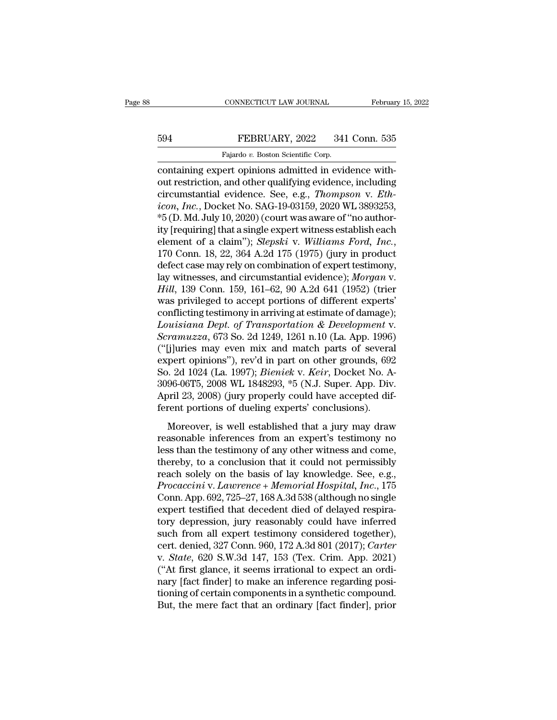## EXECUTE CONNECTICUT LAW JOURNAL February 15, 2022<br>594 FEBRUARY, 2022 341 Conn. 535<br>Fajardo v. Boston Scientific Corp. CONNECTICUT LAW JOURNAL<br>FEBRUARY, 2022 341<br>Fajardo *v.* Boston Scientific Corp.<br>ert opinions admitted in evid

CONNECTICUT LAW JOURNAL Februar<br>
FEBRUARY, 2022 341 Conn. 535<br>
Fajardo v. Boston Scientific Corp.<br>
Containing expert opinions admitted in evidence with-<br>
out restriction, and other qualifying evidence, including<br>
circumsta EBRUARY, 2022 341 Conn. 535<br>
Fajardo v. Boston Scientific Corp.<br>
containing expert opinions admitted in evidence with-<br>
out restriction, and other qualifying evidence, including<br>
circumstantial evidence. See, e.g., *Thomps* EBRUARY, 2022 341 Conn. 535<br>
Fajardo v. Boston Scientific Corp.<br>
containing expert opinions admitted in evidence with-<br>
out restriction, and other qualifying evidence, including<br>
circumstantial evidence. See, e.g., *Thomps Fejardo v. Boston Scientific Corp.*<br> *Fajardo v. Boston Scientific Corp.*<br>
containing expert opinions admitted in evidence without restriction, and other qualifying evidence, including<br>
circumstantial evidence. See, e.g., Fajardo v. Boston Scientific Corp.<br>
containing expert opinions admitted in evidence with-<br>
out restriction, and other qualifying evidence, including<br>
circumstantial evidence. See, e.g., *Thompson v. Eth-*<br>
icon, *Inc.*, Do Fajardo v. Boston Scientific Corp.<br>
containing expert opinions admitted in evidence with-<br>
out restriction, and other qualifying evidence, including<br>
circumstantial evidence. See, e.g., *Thompson v. Eth-*<br>
icon, *Inc.*, D containing expert opinions admitted in evidence with-<br>out restriction, and other qualifying evidence, including<br>circumstantial evidence. See, e.g., *Thompson v. Eth-*<br>icon, *Inc.*, Docket No. SAG-19-03159, 2020 WL 3893253, circumstantial evidence. See, e.g., *Thompson v. Eth-*<br>icon, *Inc.*, Docket No. SAG-19-03159, 2020 WL 3893253,<br>\*5 (D. Md. July 10, 2020) (court was aware of "no author-<br>ity [requiring] that a single expert witness establi icon, Inc., Docket No. SAG-19-03159, 2020 WL 3893253,<br>\*5 (D. Md. July 10, 2020) (court was aware of "no author-<br>ity [requiring] that a single expert witness establish each<br>element of a claim"); *Slepski* v. Williams Ford, <sup>\*5</sup> (D. Md. July 10, 2020) (court was aware of "no authority [requiring] that a single expert witness establish each element of a claim"); *Slepski* v. *Williams Ford, Inc.*, 170 Conn. 18, 22, 364 A.2d 175 (1975) (jury in ity [requiring] that a single expert witness establish each<br>element of a claim"); *Slepski* v. *Williams Ford, Inc.*,<br>170 Conn. 18, 22, 364 A.2d 175 (1975) (jury in product<br>defect case may rely on combination of expert tes element of a claim"); *Slepski* v. Williams Ford, Inc., 170 Conn. 18, 22, 364 A.2d 175 (1975) (jury in product defect case may rely on combination of expert testimony, lay witnesses, and circumstantial evidence); *Morgan* 170 Conn. 18, 22, 364 A.2d 175 (1975) (jury in product<br>defect case may rely on combination of expert testimony,<br>lay witnesses, and circumstantial evidence); *Morgan v.*<br>*Hill*, 139 Conn. 159, 161–62, 90 A.2d 641 (1952) (tr defect case may rely on combination of expert testimony,<br>*Iay* witnesses, and circumstantial evidence); *Morgan v.*<br>*Hill*, 139 Conn. 159, 161–62, 90 A.2d 641 (1952) (trier<br>was privileged to accept portions of different ex lay witnesses, and circumstantial evidence); Morgan v.<br>
Hill, 139 Conn. 159, 161–62, 90 A.2d 641 (1952) (trier<br>
was privileged to accept portions of different experts'<br>
conflicting testimony in arriving at estimate of dam Hill, 139 Conn. 159, 161–62, 90 A.2d 641 (1952) (trier<br>was privileged to accept portions of different experts'<br>conflicting testimony in arriving at estimate of damage);<br>Louisiana Dept. of Transportation & Development v.<br>S was privileged to accept portions of different experts'<br>conflicting testimony in arriving at estimate of damage);<br>*Louisiana Dept. of Transportation & Development v.*<br>*Scramuzza*, 673 So. 2d 1249, 1261 n.10 (La. App. 1996) conflicting testimony in arriving at estimate of damage);<br> *Louisiana Dept. of Transportation & Development v.*<br> *Scramuzza*, 673 So. 2d 1249, 1261 n.10 (La. App. 1996)<br>
("[j]uries may even mix and match parts of several<br> Louisiana Dept. of Transportation & Development v.<br>Scramuzza, 673 So. 2d 1249, 1261 n.10 (La. App. 1996)<br>("[j]uries may even mix and match parts of several<br>expert opinions"), rev'd in part on other grounds, 692<br>So. 2d 1024 Scramuzza, 673 So. 2d 1249, 1261 n.10 (La. App. 1996)<br>("[j]uries may even mix and match parts of severa<br>expert opinions"), rev'd in part on other grounds, 692<br>So. 2d 1024 (La. 1997); *Bieniek* v. *Keir*, Docket No. A<br>3096pert opinions"), rev'd in part on other grounds, 692<br>
0. 2d 1024 (La. 1997); *Bieniek* v. *Keir*, Docket No. A-<br>
96-06T5, 2008 WL 1848293, \*5 (N.J. Super. App. Div.<br>
oril 23, 2008) (jury properly could have accepted dif-<br> Expert's phristis f, i.e. a in part off strict grounds, see<br>So. 2d 1024 (La. 1997); *Bieniek* v. *Keir*, Docket No. A-<br>3096-06T5, 2008 WL 1848293, \*5 (N.J. Super. App. Div.<br>April 23, 2008) (jury properly could have accepte

So. Ed 1021 (La. 1991), Beshies than, Bocket 10311<br>3096-06T5, 2008 WL 1848293, \*5 (N.J. Super. App. Div.<br>April 23, 2008) (jury properly could have accepted dif-<br>ferent portions of dueling experts' conclusions).<br>Moreover, i April 23, 2008) (jury properly could have accepted dif-<br>ferent portions of dueling experts' conclusions).<br>Moreover, is well established that a jury may draw<br>reasonable inferences from an expert's testimony no<br>less than th Fight 25, 2005) (jar.) property collia have accepted and<br>ferent portions of dueling experts' conclusions).<br>Moreover, is well established that a jury may draw<br>reasonable inferences from an expert's testimony no<br>less than t *Procaccini* v. *Lawrences* from an experts estimately.<br> *Procaccinal Hospital, a lawrences* from an expert's testimony no<br>
less than the testimony of any other witness and come,<br>
thereby, to a conclusion that it could not Moreover, is well established that a jury may draw<br>reasonable inferences from an expert's testimony no<br>less than the testimony of any other witness and come,<br>thereby, to a conclusion that it could not permissibly<br>reach sol reasonable inferences from an expert's testimony no<br>less than the testimony of any other witness and come,<br>thereby, to a conclusion that it could not permissibly<br>reach solely on the basis of lay knowledge. See, e.g.,<br>*Proc* less than the testimony of any other witness and come,<br>thereby, to a conclusion that it could not permissibly<br>reach solely on the basis of lay knowledge. See, e.g.,<br> $Procaccini$  v.  $Lawrence + Memorial Hospital, Inc., 175$ <br>Conn. App. 692, 725–27, 168 A.3 thereby, to a conclusion that it could not permissibly<br>reach solely on the basis of lay knowledge. See, e.g.,<br>*Procaccini* v. *Lawrence* + *Memorial Hospital*, *Inc.*, 175<br>Conn. App. 692, 725–27, 168 A.3d 538 (although no reach solely on the basis of lay knowledge. See, e.g.,<br>*Procaccini* v. *Lawrence* + *Memorial Hospital*, *Inc.*, 175<br>Conn. App. 692, 725–27, 168 A.3d 538 (although no single<br>expert testified that decedent died of delayed r Procaccini v. *Lawrence* + *Memorial Hospital, Inc.*, 175<br>Conn. App. 692, 725–27, 168 A.3d 538 (although no single<br>expert testified that decedent died of delayed respira-<br>tory depression, jury reasonably could have inferre Conn. App. 692, 725–27, 168 A.3d 538 (although no single expert testified that decedent died of delayed respiratory depression, jury reasonably could have inferred such from all expert testimony considered together), cert. expert testified that decedent died of delayed respiratory depression, jury reasonably could have inferred such from all expert testimony considered together), cert. denied, 327 Conn. 960, 172 A.3d 801 (2017); *Carter* v. tory depression, jury reasonably could have inferred<br>such from all expert testimony considered together),<br>cert. denied, 327 Conn. 960, 172 A.3d 801 (2017); Carter<br>v. State, 620 S.W.3d 147, 153 (Tex. Crim. App. 2021)<br>("At f such from all expert testimony considered together),<br>cert. denied, 327 Conn. 960, 172 A.3d 801 (2017); Carter<br>v. *State*, 620 S.W.3d 147, 153 (Tex. Crim. App. 2021)<br>("At first glance, it seems irrational to expect an ordi-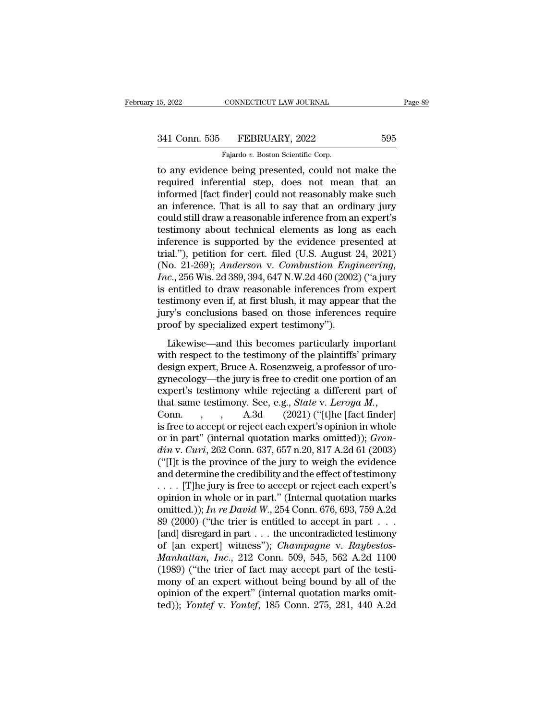CONNECTICUT LAW JOURNAL<br>FEBRUARY, 2022<br>Fajardo *v.* Boston Scientific Corp.<br>Pe being presented could no THE 2022 CONNECTICUT LAW JOURNAL Page 89<br>
341 Conn. 535 FEBRUARY, 2022 595<br>
Fajardo v. Boston Scientific Corp.<br>
The any evidence being presented, could not make the<br>
required inferential step, does not mean that an<br>
inform 341 Conn. 535 FEBRUARY, 2022 595<br>Fajardo v. Boston Scientific Corp.<br>The any evidence being presented, could not make the<br>required inferential step, does not mean that an<br>informed [fact finder] could not reasonably make suc 341 Conn. 535 FEBRUARY, 2022 595<br>
Fajardo v. Boston Scientific Corp.<br>
to any evidence being presented, could not make the<br>
required inferential step, does not mean that an<br>
informed [fact finder] could not reasonably make 341 Conn. 535 FEBRUARY, 2022 595<br>
Fajardo v. Boston Scientific Corp.<br>
to any evidence being presented, could not make the<br>
required inferential step, does not mean that an<br>
informed [fact finder] could not reasonably make Fajardo v. Boston Scientific Corp.<br>
to any evidence being presented, could not make the<br>
required inferential step, does not mean that an<br>
informed [fact finder] could not reasonably make such<br>
an inference. That is all to Fajardo v. Boston Scientific Corp.<br>to any evidence being presented, could not make the<br>required inferential step, does not mean that an<br>informed [fact finder] could not reasonably make such<br>an inference. That is all to sa to any evidence being presented, could not make the<br>required inferential step, does not mean that an<br>informed [fact finder] could not reasonably make such<br>an inference. That is all to say that an ordinary jury<br>could still required inferential step, does not mean that an informed [fact finder] could not reasonably make such an inference. That is all to say that an ordinary jury could still draw a reasonable inference from an expert's testim informed [fact finder] could not reasonably make such<br>an inference. That is all to say that an ordinary jury<br>could still draw a reasonable inference from an expert's<br>testimony about technical elements as long as each<br>infer an inference. That is all to say that an ordinary jury<br>could still draw a reasonable inference from an expert's<br>testimony about technical elements as long as each<br>inference is supported by the evidence presented at<br>trial." could still draw a reasonable inference from an expert's<br>testimony about technical elements as long as each<br>inference is supported by the evidence presented at<br>trial."), petition for cert. filed (U.S. August 24, 2021)<br>(No. testimony about technical elements as long as each<br>inference is supported by the evidence presented at<br>trial."), petition for cert. filed (U.S. August 24, 2021)<br>(No. 21-269); *Anderson* v. *Combustion Engineering*,<br>*Inc.*, inference is supported by the evidence presented at<br>trial."), petition for cert. filed (U.S. August 24, 2021)<br>(No. 21-269); *Anderson* v. *Combustion Engineering*,<br>*Inc.*, 256 Wis. 2d 389, 394, 647 N.W.2d 460 (2002) ("a ju trial."), petition for cert. filed (U.S. August 2 (No. 21-269); *Anderson v. Combustion Engi Inc.*, 256 Wis. 2d 389, 394, 647 N.W.2d 460 (2002 is entitled to draw reasonable inferences from testimony even if, at first bl c., 256 Wis. 2d 389, 394, 647 N.W.2d 460 (2002) ("a jury<br>c., 256 Wis. 2d 389, 394, 647 N.W.2d 460 (2002) ("a jury<br>entitled to draw reasonable inferences from expert<br>stimony even if, at first blush, it may appear that the<br> is entitled to draw reasonable inferences from expert<br>testimony even if, at first blush, it may appear that the<br>jury's conclusions based on those inferences require<br>proof by specialized expert testimony'').<br>Likewise—and t

destimony even if, at first blush, it may appear that the<br>jury's conclusions based on those inferences require<br>proof by specialized expert testimony").<br>Likewise—and this becomes particularly important<br>with respect to the t gynecology—the jury is free to credit one portion of the experiment proof by specialized expert testimony").<br>Likewise—and this becomes particularly important with respect to the testimony of the plaintiffs' primary design proof by specialized expert testimony").<br>
Likewise—and this becomes particularly important<br>
with respect to the testimony of the plaintiffs' primary<br>
design expert, Bruce A. Rosenzweig, a professor of uro-<br>
gynecology—the Likewise—and this becomes particularly important<br>with respect to the testimony of the plaintiffs' primary<br>design expert, Bruce A. Rosenzweig, a professor of uro-<br>gynecology—the jury is free to credit one portion of an<br>expe with respect to the testimony of the plaintiffs' primary<br>design expert, Bruce A. Rosenzweig, a professor of uro-<br>gynecology—the jury is free to credit one portion of an<br>expert's testimony while rejecting a different part design expert, Bruce A. Rosenzweig, a professor of uro-<br>gynecology—the jury is free to credit one portion of an<br>expert's testimony while rejecting a different part of<br>that same testimony. See, e.g., *State* v. Leroya M.,<br>C gynecology—the jury is free to credit one portion of an<br>expert's testimony while rejecting a different part of<br>that same testimony. See, e.g., *State* v. *Leroya M.*,<br>Conn. , , , , A.3d (2021) ("[t]he [fact finder]<br>is free (''[I]t is the province of the jury to weigh the evidence that same testimony. See, e.g., *State v. Leroya M.*,<br>Conn. , , , A.3d (2021) ("[t]he [fact finder]<br>is free to accept or reject each expert's opinion in whole<br>or in part" (internal quotation marks omitted)); *Gron-<br>din v.* Conn. , , A.3d (2021) ("[t]he [fact finder]<br>is free to accept or reject each expert's opinion in whole<br>or in part" (internal quotation marks omitted)); *Gron-<br>din* v. *Curi*, 262 Conn. 637, 657 n.20, 817 A.2d 61 (2003)<br>(" is free to accept or reject each expert's opinion in whole<br>or in part" (internal quotation marks omitted)); *Gron-<br>din* v. *Curi*, 262 Conn. 637, 657 n.20, 817 A.2d 61 (2003)<br>("[I]t is the province of the jury to weigh th or in part" (internal quotation marks omitted)); *Grondin v. Curi*, 262 Conn. 637, 657 n.20, 817 A.2d 61 (2003)<br>("[I]t is the province of the jury to weigh the evidence<br>and determine the credibility and the effect of testi din v. Curi, 262 Conn. 637, 657 n.20, 817 A.2d 61 (2003)<br>("[I]t is the province of the jury to weigh the evidence<br>and determine the credibility and the effect of testimony<br>... [T]he jury is free to accept or reject each e ("[I]t is the province of the jury to weigh the evidence<br>and determine the credibility and the effect of testimony<br>.... [T]he jury is free to accept or reject each expert's<br>opinion in whole or in part." (Internal quotatio and determine the credibility and the effect of testimony<br>
.... [T]he jury is free to accept or reject each expert's<br>
opinion in whole or in part." (Internal quotation marks<br>
omitted.)); *In re David W.*, 254 Conn. 676, 69 *Manhattan, Inc.*, 212 Conn. 509, 545, 562 A.2d 1100 (1989) ("the trier of fact may accept part"). The meconitied of the trier is entitled to accept in part . . .<br>
[and] disregard in part . . . the uncontradicted testimony opinion in whole or in part." (Internal quotation marks<br>
omitted.)); *In re David W.*, 254 Conn. 676, 693, 759 A.2d<br>
89 (2000) ("the trier is entitled to accept in part . . .<br>
[and] disregard in part . . . the uncontradic omitted.)); In re David W., 254 Conn. 676, 693, 759 A.2d<br>
89 (2000) ("the trier is entitled to accept in part . . .<br>
[and] disregard in part . . . the uncontradicted testimony<br>
of [an expert] witness"); *Champagne* v. Ray 89 (2000) ("the trier is entitled to accept in part . . . [and] disregard in part . . . the uncontradicted testimony of [an expert] witness"); *Champagne* v. *Raybestos-Manhattan, Inc.*, 212 Conn. 509, 545, 562 A.2d 1100 [and] disregard in part . . . the uncontradicted testimony<br>of [an expert] witness"); *Champagne* v. *Raybestos-<br>Manhattan*, *Inc.*, 212 Conn. 509, 545, 562 A.2d 1100<br>(1989) ("the trier of fact may accept part of the testi-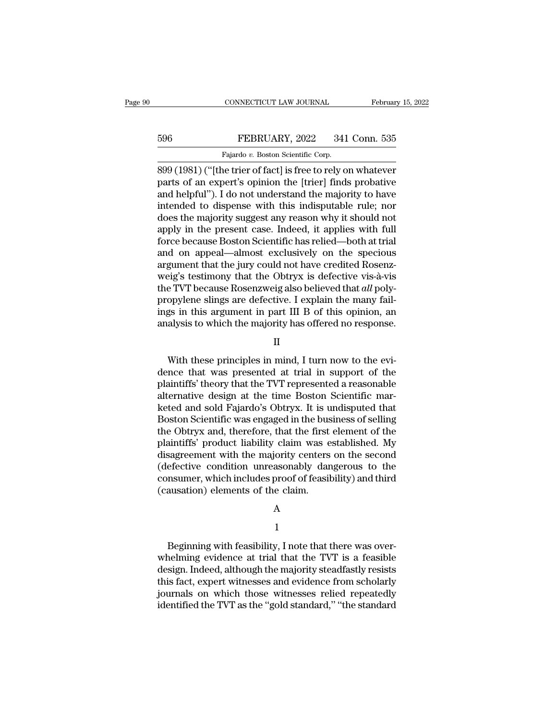## EXECUTE CONNECTICUT LAW JOURNAL February 15, 2022<br>596 FEBRUARY, 2022 341 Conn. 535<br>Fajardo v. Boston Scientific Corp. CONNECTICUT LAW JOURNAL<br>FEBRUARY, 2022 341<br>Fajardo *v.* Boston Scientific Corp.<br>ne trier of factl is free to rely o

CONNECTICUT LAW JOURNAL February 15, 2022<br>
596 FEBRUARY, 2022 341 Conn. 535<br>
Fajardo v. Boston Scientific Corp.<br>
899 (1981) ("[the trier of fact] is free to rely on whatever<br>
parts of an expert's opinion the [trier] finds FEBRUARY, 2022 341 Conn. 535<br>
Fajardo v. Boston Scientific Corp.<br>
899 (1981) ("[the trier of fact] is free to rely on whatever<br>
parts of an expert's opinion the [trier] finds probative<br>
and helpful"). I do not understand t FEBRUARY, 2022 341 Conn. 535<br>
Fajardo v. Boston Scientific Corp.<br>
899 (1981) ("[the trier of fact] is free to rely on whatever<br>
parts of an expert's opinion the [trier] finds probative<br>
and helpful''). I do not understand FEBRUARY, 2022 341 Conn. 535<br>
Fajardo v. Boston Scientific Corp.<br>
899 (1981) ("[the trier of fact] is free to rely on whatever<br>
parts of an expert's opinion the [trier] finds probative<br>
and helpful"). I do not understand t Fajardo v. Boston Scientific Corp.<br>
899 (1981) ("[the trier of fact] is free to rely on whatever<br>
parts of an expert's opinion the [trier] finds probative<br>
and helpful"). I do not understand the majority to have<br>
intended Fajardo v. Boston Scientific Corp.<br>
899 (1981) ("[the trier of fact] is free to rely on whatever<br>
parts of an expert's opinion the [trier] finds probative<br>
and helpful"). I do not understand the majority to have<br>
intended 899 (1981) ("[the trier of fact] is free to rely on whatever<br>parts of an expert's opinion the [trier] finds probative<br>and helpful"). I do not understand the majority to have<br>intended to dispense with this indisputable rule parts of an expert's opinion the [trier] finds probative<br>and helpful"). I do not understand the majority to have<br>intended to dispense with this indisputable rule; nor<br>does the majority suggest any reason why it should not<br> and helpful"). I do not understand the majority to have<br>intended to dispense with this indisputable rule; nor<br>does the majority suggest any reason why it should not<br>apply in the present case. Indeed, it applies with full<br>f intended to dispense with this indisputable rule; nor<br>does the majority suggest any reason why it should not<br>apply in the present case. Indeed, it applies with full<br>force because Boston Scientific has relied—both at trial<br> does the majority suggest any reason why it should not<br>apply in the present case. Indeed, it applies with full<br>force because Boston Scientific has relied—both at trial<br>and on appeal—almost exclusively on the specious<br>argum apply in the present case. Indeed, it applies with full force because Boston Scientific has relied—both at trial<br>and on appeal—almost exclusively on the specious<br>argument that the jury could not have credited Rosenz-<br>weig' force because Boston Scientific has relied—both at trial<br>and on appeal—almost exclusively on the specious<br>argument that the jury could not have credited Rosenz-<br>weig's testimony that the Obtryx is defective vis-à-vis<br>the T and on appeal—almost exclusively on the specious<br>argument that the jury could not have credited Rosenz-<br>weig's testimony that the Obtryx is defective vis-à-vis<br>the TVT because Rosenzweig also believed that *all* poly-<br>prop e TVT because Rosenzweig also believed that *all* poly-<br>opylene slings are defective. I explain the many fail-<br>gs in this argument in part III B of this opinion, an<br>alysis to which the majority has offered no response.<br>II<br>

### II

propylene slings are defective. I explain the many fail-<br>ings in this argument in part III B of this opinion, an<br>analysis to which the majority has offered no response.<br>II<br>With these principles in mind, I turn now to the e ings in this argument in part III B of this opinion, an<br>analysis to which the majority has offered no response.<br>II<br>With these principles in mind, I turn now to the evi-<br>dence that was presented at trial in support of the<br>p analysis to which the majority has offered no response.<br>
II<br>
With these principles in mind, I turn now to the evi-<br>
dence that was presented at trial in support of the<br>
plaintiffs' theory that the TVT represented a reasona II<br>With these principles in mind, I turn now to the evi-<br>dence that was presented at trial in support of the<br>plaintiffs' theory that the TVT represented a reasonable<br>alternative design at the time Boston Scientific mar-<br>ke With these principles in mind, I turn now to the evi-<br>dence that was presented at trial in support of the<br>plaintiffs' theory that the TVT represented a reasonable<br>alternative design at the time Boston Scientific mar-<br>keted With these principles in mind, I turn now to the evi-<br>dence that was presented at trial in support of the<br>plaintiffs' theory that the TVT represented a reasonable<br>alternative design at the time Boston Scientific mar-<br>keted dence that was presented at trial in support of the<br>plaintiffs' theory that the TVT represented a reasonable<br>alternative design at the time Boston Scientific mar-<br>keted and sold Fajardo's Obtryx. It is undisputed that<br>Bost plaintiffs' theory that the TVT represented a reasonable<br>alternative design at the time Boston Scientific mar-<br>keted and sold Fajardo's Obtryx. It is undisputed that<br>Boston Scientific was engaged in the business of selling alternative design at the time Boston Scientific marketed and sold Fajardo's Obtryx. It is undisputed that<br>Boston Scientific was engaged in the business of selling<br>the Obtryx and, therefore, that the first element of the<br>p keted and sold Fajardo's Obtryx. It is undisputed that<br>Boston Scientific was engaged in the business of selling<br>the Obtryx and, therefore, that the first element of the<br>plaintiffs' product liability claim was established. Boston Scientific was engaged in the bus<br>the Obtryx and, therefore, that the first<br>plaintiffs' product liability claim was e<br>disagreement with the majority centers<br>(defective condition unreasonably dar<br>consumer, which incl

### A

### 1

model includes proof of feasibility) and third<br>ausation) elements of the claim.<br>A<br> $1$ <br>Beginning with feasibility, I note that there was over-<br>nelming evidence at trial that the TVT is a feasible (causation) elements of the claim.<br>
A<br>
1<br>
Beginning with feasibility, I note that there was over-<br>
whelming evidence at trial that the TVT is a feasible<br>
design. Indeed, although the majority steadfastly resists<br>
this feat design. Indeed, although the majority steadfastly resists<br>the majority steadfastly resists this fact, expert witnesses and evidence from scholarly<br>indeed, although the majority steadfastly resists<br>this fact, expert witness A<br>
H<br>
Beginning with feasibility, I note that there was over-<br>
whelming evidence at trial that the TVT is a feasible<br>
design. Indeed, although the majority steadfastly resists<br>
this fact, expert witnesses and evidence from 1<br>Beginning with feasibility, I note that there was over-<br>whelming evidence at trial that the TVT is a feasible<br>design. Indeed, although the majority steadfastly resists<br>this fact, expert witnesses and evidence from schola Beginning with feasibility, I note that there was overwhelming evidence at trial that the TVT is a feasible design. Indeed, although the majority steadfastly resists this fact, expert witnesses and evidence from scholarly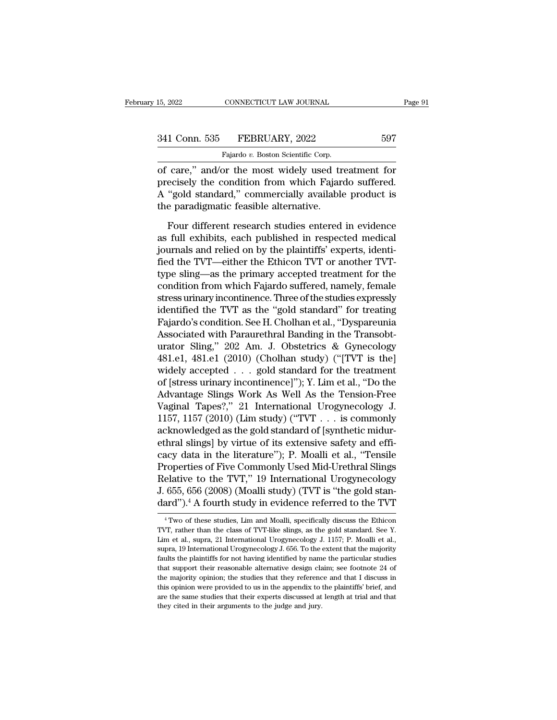15, 2022 CONNECTICUT LAW JOURNAL<br>
341 Conn. 535 FEBRUARY, 2022 597<br>
Fajardo *v.* Boston Scientific Corp.<br>
of care," and/or the most widely used treatment for EVALUARY OF CONNECTICUT LAW JOURNAL Page 91<br>
341 Conn. 535 FEBRUARY, 2022 597<br>
Fajardo v. Boston Scientific Corp.<br>
of care," and/or the most widely used treatment for<br>
precisely the condition from which Fajardo suffered. 341 Conn. 535 FEBRUARY, 2022 597<br>Fajardo v. Boston Scientific Corp.<br>of care," and/or the most widely used treatment for<br>precisely the condition from which Fajardo suffered.<br>A "gold standard," commercially available product  $\frac{341 \text{ Conn. } 535 \qquad \text{FEBRUARY, } 2022 \qquad \qquad 597}{\text{Fajardo } v. \text{ Boston Scientific Corp.}}$ <br>
of care," and/or the most widely used treatment for<br>
precisely the condition from which Fajardo suffered.<br>
A "gold standard," commercially available product 341 Conn. 535 FEBRUARY, 2022<br>
Fajardo v. Boston Scientific Corp.<br>
of care," and/or the most widely used tr<br>
precisely the condition from which Fajar<br>
A "gold standard," commercially available<br>
the paradigmatic feasible al Fajardo v. Boston Scientific Corp.<br>
care," and/or the most widely used treatment for<br>
ecisely the condition from which Fajardo suffered.<br>
"gold standard," commercially available product is<br>
e paradigmatic feasible alterna of care," and/or the most widely used treatment for<br>precisely the condition from which Fajardo suffered.<br>A "gold standard," commercially available product is<br>the paradigmatic feasible alternative.<br>Four different research s

precisely the condition from which Fajardo suffered.<br>A "gold standard," commercially available product is<br>the paradigmatic feasible alternative.<br>Four different research studies entered in evidence<br>as full exhibits, each pu A "gold standard," commercially available product is<br>the paradigmatic feasible alternative.<br>Four different research studies entered in evidence<br>as full exhibits, each published in respected medical<br>journals and relied on b the paradigmatic feasible alternative.<br>
Four different research studies entered in evidence<br>
as full exhibits, each published in respected medical<br>
journals and relied on by the plaintiffs' experts, identi-<br>
fied the TVT—e Four different research studies entered in evidence<br>as full exhibits, each published in respected medical<br>journals and relied on by the plaintiffs' experts, identi-<br>fied the TVT—either the Ethicon TVT or another TVT-<br>type Four different research studies entered in evidence<br>as full exhibits, each published in respected medical<br>journals and relied on by the plaintiffs' experts, identi-<br>fied the TVT—either the Ethicon TVT or another TVT-<br>type as full exhibits, each published in respected medical<br>journals and relied on by the plaintiffs' experts, identi-<br>fied the TVT—either the Ethicon TVT or another TVT-<br>type sling—as the primary accepted treatment for the<br>cond journals and relied on by the plaintiffs' experts, identified the TVT—either the Ethicon TVT or another TVT-<br>type sling—as the primary accepted treatment for the<br>condition from which Fajardo suffered, namely, female<br>stress fied the TVT—either the Ethicon TVT or another TVT-<br>type sling—as the primary accepted treatment for the<br>condition from which Fajardo suffered, namely, female<br>stress urinary incontinence. Three of the studies expressly<br>ide type sling—as the primary accepted treatment for the<br>condition from which Fajardo suffered, namely, female<br>stress urinary incontinence. Three of the studies expressly<br>identified the TVT as the "gold standard" for treating<br> condition from which Fajardo suffered, namely, female<br>stress urinary incontinence. Three of the studies expressly<br>identified the TVT as the "gold standard" for treating<br>Fajardo's condition. See H. Cholhan et al., "Dyspareu stress urinary incontinence. Three of the studies expressly<br>identified the TVT as the "gold standard" for treating<br>Fajardo's condition. See H. Cholhan et al., "Dyspareunia<br>Associated with Paraurethral Banding in the Transo identified the TVT as the "gold standard" for treating<br>Fajardo's condition. See H. Cholhan et al., "Dyspareunia<br>Associated with Paraurethral Banding in the Transobt-<br>urator Sling," 202 Am. J. Obstetrics & Gynecology<br>481.e1 Fajardo's condition. See H. Cholhan et al., "Dyspareunia<br>Associated with Paraurethral Banding in the Transobt-<br>urator Sling," 202 Am. J. Obstetrics & Gynecology<br>481.e1, 481.e1 (2010) (Cholhan study) ("[TVT is the]<br>widely a Associated with Paraurethral Banding in the Transobturator Sling," 202 Am. J. Obstetrics & Gynecology<br>481.e1, 481.e1 (2010) (Cholhan study) ("[TVT is the]<br>widely accepted . . . gold standard for the treatment<br>of [stress ur urator Sling," 202 Am. J. Obstetrics & Gynecology<br>481.e1, 481.e1 (2010) (Cholhan study) ("[TVT is the]<br>widely accepted . . . gold standard for the treatment<br>of [stress urinary incontinence]"); Y. Lim et al., "Do the<br>Advant 481.e1, 481.e1 (2010) (Cholhan study) ("[TVT is the]<br>widely accepted . . . gold standard for the treatment<br>of [stress urinary incontinence]"); Y. Lim et al., "Do the<br>Advantage Slings Work As Well As the Tension-Free<br>Vagin widely accepted . . . gold standard for the treatment<br>of [stress urinary incontinence]"); Y. Lim et al., "Do the<br>Advantage Slings Work As Well As the Tension-Free<br>Vaginal Tapes?," 21 International Urogynecology J.<br>1157, 11 of [stress urinary incontinence]"); Y. Lim et al., "Do the<br>Advantage Slings Work As Well As the Tension-Free<br>Vaginal Tapes?," 21 International Urogynecology J.<br>1157, 1157 (2010) (Lim study) ("TVT . . . is commonly<br>acknowle Advantage Slings Work As Well As the Tension-Free<br>Vaginal Tapes?," 21 International Urogynecology J.<br>1157, 1157 (2010) (Lim study) ("TVT . . . is commonly<br>acknowledged as the gold standard of [synthetic midur-<br>ethral slin Vaginal Tapes?," 21 International Urogynecology J.<br>1157, 1157 (2010) (Lim study) ("TVT . . . is commonly<br>acknowledged as the gold standard of [synthetic midur-<br>ethral slings] by virtue of its extensive safety and effi-<br>cac 1157, 1157 (2010) (Lim study) ("TVT  $\ldots$  is commonly acknowledged as the gold standard of [synthetic midurethral slings] by virtue of its extensive safety and efficacy data in the literature"); P. Moalli et al., "Tensile acknowledged as the gold standard of [synthetic midurethral slings] by virtue of its extensive safety and efficacy data in the literature"); P. Moalli et al., "Tensile Properties of Five Commonly Used Mid-Urethral Slings R Properties of Five Commonly Used Mid-Urethral Slings<br>Relative to the TVT," 19 International Urogynecology<br>J. 655, 656 (2008) (Moalli study) (TVT is "the gold stan-<br>dard").<sup>4</sup> A fourth study in evidence referred to the TVT<br> Relative to the TVT," 19 International Urogynecology<br>J. 655, 656 (2008) (Moalli study) (TVT is "the gold stan-<br>dard").<sup>4</sup> A fourth study in evidence referred to the TVT<br><sup>4</sup> Two of these studies, Lim and Moalli, specificall

J. 655, 656 (2008) (Moalli study) (TVT is "the gold standard").<sup>4</sup> A fourth study in evidence referred to the TVT<br><sup>4</sup> Two of these studies, Lim and Moalli, specifically discuss the Ethicon<br>TVT, rather than the class of TVT dard").<sup>4</sup> A fourth study in evidence referred to the TVT  $\overline{r}$  who of these studies, Lim and Moalli, specifically discuss the Ethicon TVT, rather than the class of TVT-like slings, as the gold standard. See Y. Lim et Faultrice is the plant of the plant of the plant of the plant of the plant of the plant of the plant of the plant of the particular studies of the particular studies of the particular studies of the particular studies stu <sup>4</sup> Two of these studies, Lim and Moalli, specifically discuss the Ethicon TVT, rather than the class of TVT-like slings, as the gold standard. See Y. Lim et al., supra, 21 International Urogynecology J. 1157; P. Moalli e TVT, rather than the class of TVT-like slings, as the gold standard. See Y.<br>Lim et al., supra, 21 International Urogynecology J. 1157; P. Moalli et al.,<br>supra, 19 International Urogynecology J. 656. To the extent that the Fig. 1. The state of the appendix of the extent that the majority of all, supra, 19 International Urogynecology J. 056. To the extent that the majority faults the plaintiffs for not having identified by name the particular supra, 19 International Urogynecology J. 656. To the extent that the majority faults the plaintiffs for not having identified by name the particular studies that support their reasonable alternative design claim; see foot faults the plaintiffs for not having identified by name the particular studies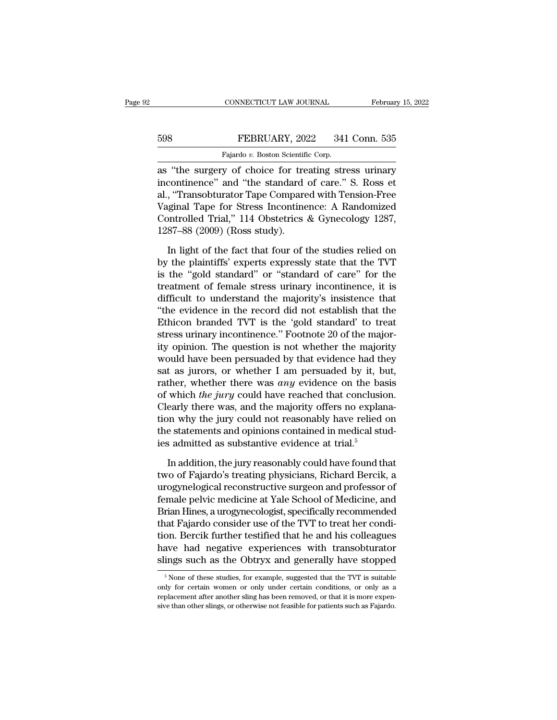## EXECUTE CONNECTICUT LAW JOURNAL February 15, 2022<br>598 FEBRUARY, 2022 341 Conn. 535<br>Fajardo v. Boston Scientific Corp. CONNECTICUT LAW JOURNAL<br>FEBRUARY, 2022 341<br>Fajardo *v.* Boston Scientific Corp.<br>V. of choice for treating stre

CONNECTICUT LAW JOURNAL February 15, 2022<br>
FEBRUARY, 2022 341 Conn. 535<br>
Fajardo v. Boston Scientific Corp.<br>
as "the surgery of choice for treating stress urinary<br>
incontinence" and "the standard of care." S. Ross et<br>
al " FEBRUARY, 2022 341 Conn. 535<br>
Fajardo v. Boston Scientific Corp.<br>
as "the surgery of choice for treating stress urinary<br>
incontinence" and "the standard of care." S. Ross et<br>
al., "Transobturator Tape Compared with Tension FEBRUARY, 2022 341 Conn. 535<br>
Fajardo v. Boston Scientific Corp.<br>
as "the surgery of choice for treating stress urinary<br>
incontinence" and "the standard of care." S. Ross et<br>
al., "Transobturator Tape Compared with Tensio FEBRUARY, 2022 341 Conn. 535<br>
Fajardo v. Boston Scientific Corp.<br>
as "the surgery of choice for treating stress urinary<br>
incontinence" and "the standard of care." S. Ross et<br>
al., "Transobturator Tape Compared with Tension Fajardo v. Boston Scientific Corp.<br>
as "the surgery of choice for treating stress urinary<br>
incontinence" and "the standard of care." S. Ross et<br>
al., "Transobturator Tape Compared with Tension-Free<br>
Vaginal Tape for Stress rajado v. Boston Scientin<br>as "the surgery of choice for tre<br>incontinence" and "the standard<br>al., "Transobturator Tape Compare<br>Vaginal Tape for Stress Incontine<br>Controlled Trial," 114 Obstetrics<br>1287–88 (2009) (Ross study). continence" and "the standard of care." S. Ross et<br>, "Transobturator Tape Compared with Tension-Free<br>ginal Tape for Stress Incontinence: A Randomized<br>ontrolled Trial," 114 Obstetrics & Gynecology 1287,<br>87–88 (2009) (Ross s al., "Transobturator Tape Compared with Tension-Free<br>Vaginal Tape for Stress Incontinence: A Randomized<br>Controlled Trial," 114 Obstetrics & Gynecology 1287,<br>1287–88 (2009) (Ross study).<br>In light of the fact that four of th

Vaginal Tape for Stress Incontinence: A Randomized<br>Controlled Trial," 114 Obstetrics & Gynecology 1287,<br>1287–88 (2009) (Ross study).<br>In light of the fact that four of the studies relied on<br>by the plaintiffs' experts expres Controlled Trial," 114 Obstetrics & Gynecology 1287,<br>1287–88 (2009) (Ross study).<br>In light of the fact that four of the studies relied on<br>by the plaintiffs' experts expressly state that the TVT<br>is the "gold standard" or "s 1287–88 (2009) (Ross study).<br>
In light of the fact that four of the studies relied on<br>
by the plaintiffs' experts expressly state that the TVT<br>
is the "gold standard" or "standard of care" for the<br>
treatment of female str In light of the fact that four of the studies relied on<br>by the plaintiffs' experts expressly state that the TVT<br>is the "gold standard" or "standard of care" for the<br>treatment of female stress urinary incontinence, it is<br>di In light of the fact that four of the studies relied on<br>by the plaintiffs' experts expressly state that the TVT<br>is the "gold standard" or "standard of care" for the<br>treatment of female stress urinary incontinence, it is<br>di by the plaintiffs' experts expressly state that the TVT<br>is the "gold standard" or "standard of care" for the<br>treatment of female stress urinary incontinence, it is<br>difficult to understand the majority's insistence that<br>"th is the "gold standard" or "standard of care" for the<br>treatment of female stress urinary incontinence, it is<br>difficult to understand the majority's insistence that<br>"the evidence in the record did not establish that the<br>Ethi treatment of female stress urinary incontinence, it is<br>difficult to understand the majority's insistence that<br>"the evidence in the record did not establish that the<br>Ethicon branded TVT is the 'gold standard' to treat<br>stres difficult to understand the majority's insistence that<br>
"the evidence in the record did not establish that the<br>
Ethicon branded TVT is the 'gold standard' to treat<br>
stress urinary incontinence." Footnote 20 of the majorit "the evidence in the record did not establish that the Ethicon branded TVT is the 'gold standard' to treat stress urinary incontinence." Footnote 20 of the majority opinion. The question is not whether the majority would Ethicon branded TVT is the 'gold standard' to treat<br>stress urinary incontinence." Footnote 20 of the major-<br>ity opinion. The question is not whether the majority<br>would have been persuaded by that evidence had they<br>sat as j stress urinary incontinence." Footnote 20 of the majority opinion. The question is not whether the majority would have been persuaded by that evidence had they sat as jurors, or whether I am persuaded by it, but, rather, ity opinion. The question is not whether the majority<br>would have been persuaded by that evidence had they<br>sat as jurors, or whether I am persuaded by it, but,<br>rather, whether there was *any* evidence on the basis<br>of which would have been persuaded by that evidence had they<br>sat as jurors, or whether I am persuaded by it, but,<br>rather, whether there was *any* evidence on the basis<br>of which *the jury* could have reached that conclusion.<br>Clearl sat as jurors, or whether I am persuaded by it, b<br>rather, whether there was *any* evidence on the ba<br>of which *the jury* could have reached that conclusio<br>Clearly there was, and the majority offers no explai<br>tion why the which *the jury* could have reached that conclusion.<br>early there was, and the majority offers no explana-<br>on why the jury could not reasonably have relied on<br>e statements and opinions contained in medical stud-<br>admitted a Clearly there was, and the majority offers no explanation why the jury could not reasonably have relied on the statements and opinions contained in medical studies admitted as substantive evidence at trial.<sup>5</sup><br>In addition,

tion why the jury could not reasonably have relied on<br>the statements and opinions contained in medical stud-<br>ies admitted as substantive evidence at trial.<sup>5</sup><br>In addition, the jury reasonably could have found that<br>two of F the statements and opinions contained in medical stud-<br>ies admitted as substantive evidence at trial.<sup>5</sup><br>In addition, the jury reasonably could have found that<br>two of Fajardo's treating physicians, Richard Bercik, a<br>urogyn ies admitted as substantive evidence at trial.<sup>5</sup><br>In addition, the jury reasonably could have found that<br>two of Fajardo's treating physicians, Richard Bercik, a<br>urogynelogical reconstructive surgeon and professor of<br>female In addition, the jury reasonably could have found that<br>two of Fajardo's treating physicians, Richard Bercik, a<br>urogynelogical reconstructive surgeon and professor of<br>female pelvic medicine at Yale School of Medicine, and<br>B In addition, the jury reasonably could have found that<br>two of Fajardo's treating physicians, Richard Bercik, a<br>urogynelogical reconstructive surgeon and professor of<br>female pelvic medicine at Yale School of Medicine, and<br>B two of Fajardo's treating physicians, Richard Bercik, a<br>urogynelogical reconstructive surgeon and professor of<br>female pelvic medicine at Yale School of Medicine, and<br>Brian Hines, a urogynecologist, specifically recommended urogynelogical reconstructive surgeon and professor of<br>female pelvic medicine at Yale School of Medicine, and<br>Brian Hines, a urogynecologist, specifically recommended<br>that Fajardo consider use of the TVT to treat her condi at Fajardo consider use of the TVT to treat her condi-<br>on. Bercik further testified that he and his colleagues<br>ave had negative experiences with transobturator<br>ings such as the Obtryx and generally have stopped<br><sup>5</sup>None of tion. Bercik further testified that he and his colleagues<br>have had negative experiences with transobturator<br>slings such as the Obtryx and generally have stopped<br> $\frac{5}{100}$  None of these studies, for example, suggested th

have had negative experiences with transobturator<br>slings such as the Obtryx and generally have stopped<br><sup>5</sup>None of these studies, for example, suggested that the TVT is suitable<br>only for certain women or only under certain slings such as the Obtryx and generally have stopped<br>
<sup>5</sup> None of these studies, for example, suggested that the TVT is suitable<br>
only for certain women or only under certain conditions, or only as a<br>
replacement after ano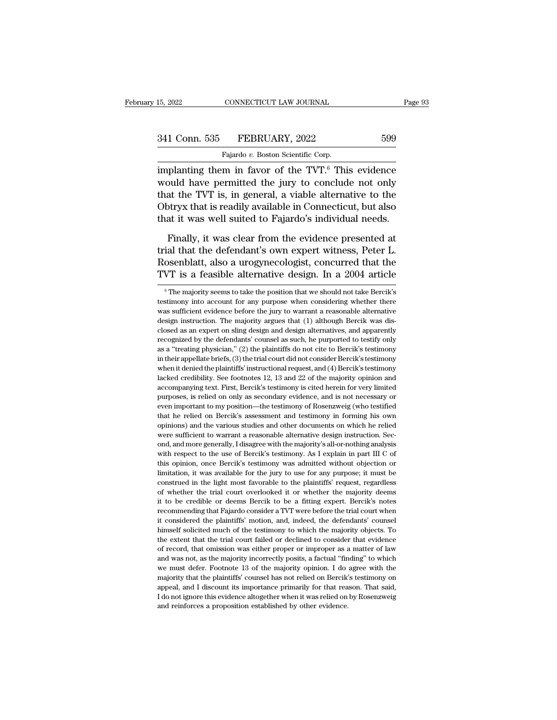| 15, 2022      | CONNECTICUT LAW JOURNAL            | Page 93 |  |
|---------------|------------------------------------|---------|--|
| 341 Conn. 535 | FEBRUARY, 2022                     | 599     |  |
|               | Fajardo v. Boston Scientific Corp. |         |  |

15, 2022 CONNECTICUT LAW JOURNAL<br>
341 Conn. 535 FEBRUARY, 2022 599<br>
Fajardo *v.* Boston Scientific Corp.<br>
implanting them in favor of the TVT.<sup>6</sup> This evidence  $\begin{array}{r|l} \text{15, 2022} & \text{CONNECTICUT LAW JOURNAL} & \text{Page 93} \ \hline \text{341 Conn. } 535 & \text{FEBRUARY, 2022} & 599 \ \hline \text{Fajardo } v. \text{ Boston Scientific Corp.} & \text{implanting them in favor of the TVT.}^6 \text{ This evidence would have permitted the jury to conclude not only that the TWT is in general, a visible alternative to the other.} \end{array}$  $341$  Conn. 535 FEBRUARY, 2022 599<br>Fajardo v. Boston Scientific Corp.<br>implanting them in favor of the TVT.<sup>6</sup> This evidence<br>would have permitted the jury to conclude not only<br>that the TVT is, in general, a viable alternat 341 Conn. 535 FEBRUARY, 2022 599<br>
Fajardo v. Boston Scientific Corp.<br>
implanting them in favor of the TVT.<sup>6</sup> This evidence<br>
would have permitted the jury to conclude not only<br>
that the TVT is, in general, a viable altern  $\begin{array}{ll} \text{341 Conn. } 535 & \text{FEBRUARY, } 2022 & 599 \\ \hline \text{Fajardo } v. \text{ Boston Scientific Corp.} \text{implanting them in favor of the TVT.}^6 \text{ This evidence would have permitted the jury to conclude not only that the TVT is, in general, a viable alternative to the Obtryx that is readily available in Connecticut, but also that it was well suited to Fajardo's individual needs.} \end{array}$ Fajardo  $v$ . Boston Scientific Corp.<br>
implanting them in favor of the TVT.<sup>6</sup> This evidence<br>
would have permitted the jury to conclude not only<br>
that the TVT is, in general, a viable alternative to the<br>
Obtryx that is rea planting them in favor of the TVT.<sup>6</sup> This evidence<br>buld have permitted the jury to conclude not only<br>at the TVT is, in general, a viable alternative to the<br>btryx that is readily available in Connecticut, but also<br>at it wa would have permitted the jury to conclude not only<br>that the TVT is, in general, a viable alternative to the<br>Obtryx that is readily available in Connecticut, but also<br>that it was well suited to Fajardo's individual needs.<br>F

that the TVT is, in general, a viable alternative to the Obtryx that is readily available in Connecticut, but also that it was well suited to Fajardo's individual needs.<br>Finally, it was clear from the evidence presented at Obtryx that is readily available in Connecticut, but also<br>that it was well suited to Fajardo's individual needs.<br>Finally, it was clear from the evidence presented at<br>trial that the defendant's own expert witness, Peter L.<br> Finally, it was clear from the evidence presented at<br>ial that the defendant's own expert witness, Peter L.<br>osenblatt, also a urogynecologist, concurred that the<br>WT is a feasible alternative design. In a 2004 article<br><sup>6</sup>The trial that the defendant's own expert witness, Peter L.<br>Rosenblatt, also a urogynecologist, concurred that the<br>TVT is a feasible alternative design. In a 2004 article<br><sup>6</sup>The majority seems to take the position that we shou

Rosenblatt, also a urogynecologist, concurred that the TVT is a feasible alternative design. In a 2004 article<br>
<sup>®</sup>The majority seems to take the position that we should not take Bercik's testimony into account for any pur TVT is a feasible alternative design. In a 2004 article<br>  $\overline{ }$  <sup>6</sup> The majority seems to take the position that we should not take Bercik's<br>
testimony into account for any purpose when considering whether there<br>
was suf TVT IS a Teasible alternative design. In a 2004 and<br>Close  $\overline{a}$  is the majority seems to take the position that we should not take Bercik's<br>testimony into account for any purpose when considering whether there<br>was suff <sup>6</sup> The majority seems to take the position that we should not take Bercik's testimony into account for any purpose when considering whether there was sufficient evidence before the jury to warrant a reasonable alternativ testimony into account for any purpose when considering whether there was sufficient evidence before the jury to warrant a reasonable alternative design instruction. The majority argues that (1) although Bercik was disclos was sufficient evidence before the jury to warrant a reasonable alternative design instruction. The majority argues that (1) although Bercik was disclosed as an expert on sling design and design alternatives, and apparentl when it denied the plaintiffs' instructional request, and apparently recognized by the defendants' counsel as such, he purported to testify only recognized by the defendants' counsel as such, he purported to testify only closed as an expert on sling design and design alternatives, and apparently recognized by the defendants' counsel as such, he purported to testify only as a "treating physician," (2) the plaintiffs do not cite to Bercik's recognized by the defendants' counsel as such, he purported to testify only as a "treating physician," (2) the plaintiffs do not cite to Bercik's testimony in their appellate briefs, (3) the trial court did not consider Be recognized by the defendants' counsel as such, he purported to testify only as a "treating physician," (2) the plaintiffs do not cite to Bercik's testimony in their appellate briefs, (3) the trial court did not consider B For their appellate briefs, (3) the trial court did not consider Bercik's testimony when it denied the plaintiffs' instructional request, and (4) Bercik's testimony lacked credibility. See footnotes 12, 13 and 22 of the m the relievant of the plaintiffs' instructional request, and (4) Bercik's testimony lacked credibility. See footnotes 12, 13 and 22 of the majority opinion and accompanying text. First, Bercik's testimony is cited herein fo and accompanying text. First, Bercihotes 12, 13 and 22 of the majority opinion and accompanying text. First, Bercik's testimony is cited herein for very limited purposes, is relied on only as secondary evidence, and is not accompanying text. First, Bercik's testimony is cited herein for very limited<br>purposes, is relied on only as secondary evidence, and is not necessary or<br>even important to my position—the testimony of Rosenzweig (who testif purposes, is relied on only as secondary evidence, and is not necessary or even important to my position—the testimony of Rosenzweig (who testified that he relied on Bercik's assessment and testimony in forming his own opi even important to my position—the testimony of Rosenzweig (who testified that he relied on Bercik's assessment and testimony in forming his own opinions) and the various studies and other documents on which he relied were between that he relied on Bercik's assessment and testimony in forming his own opinions) and the various studies and other documents on which he relied were sufficient to warrant a reasonable alternative design instruction differences) and the various studies and other documents on which he relied were sufficient to warrant a reasonable alternative design instruction. Second, and more generally, I disagree with the majority's all-or-nothing between sufficient to warrant a reasonable alternative design instruction. Second, and more generally, I disagree with the majority's all-or-nothing analysis with respect to the use of Bercik's testimony. As I explain in p ord, and more generally, I disagree with the majority's all-or-nothing analysis with respect to the use of Bercik's testimony. As I explain in part III C of this opinion, once Bercik's testimony was admitted without object in the respect to the use of Bercik's testimony. As I explain in part III C of this opinion, once Bercik's testimony was admitted without objection or limitation, it was available for the jury to use for any purpose; it mu recommending that Fajardo consider a TVT were before the trial court when the disconstruct in the light most favorable to the plaintiffs' request, regardless of whether the trial court overlooked it or whether the majority imitation, it was available for the jury to use for any purpose; it must be construed in the light most favorable to the plaintiffs' request, regardless of whether the trial court overlooked it or whether the majority deem construed in the light most favorable to the plaintiffs' request, regardless of whether the trial court overlooked it or whether the majority deems it to be credible or deems Bercik to be a fitting expert. Bercik's notes r of whether the trial court overlooked it or whether the majority deems<br>it to be credible or deems Bercik to be a fitting expert. Bercik's notes<br>recommending that Fajardo consider a TVT were before the trial court when<br>it c it to be credible or deems Bercik to be a fitting expert. Bercik's notes<br>recommending that Fajardo consider a TVT were before the trial court when<br>it considered the plaintiffs' motion, and, indeed, the defendants' counsel<br> recommending that Fajardo consider a TVT were before the trial court when<br>it considered the plaintiffs' motion, and, indeed, the defendants' counsel<br>himself solicited much of the testimony to which the majority objects. To it considered the plaintiffs' motion, and, indeed, the defendants' counsel<br>timeself solicited much of the testimony to which the majority objects. To<br>the extent that the trial court failed or declined to consider that evid mate in the extent defined much of the testimony to which the majority objects. To the extent that the trial court failed or declined to consider that evidence of record, that omission was either proper or improper as a ma himself solicited much of the testimony to which the majority objects. To the extent that the trial court failed or declined to consider that evidence of record, that omission was either proper or improper as a matter of l I do not ignore this evidence altogether when it was relief of law<br>and was not, as the majority incorrectly posits, a factual "finding" to which<br>we must defer. Footnote 13 of the majority opinion. I do agree with the<br>major and was not, as the majority incorrectly posits, a factual "finding" to which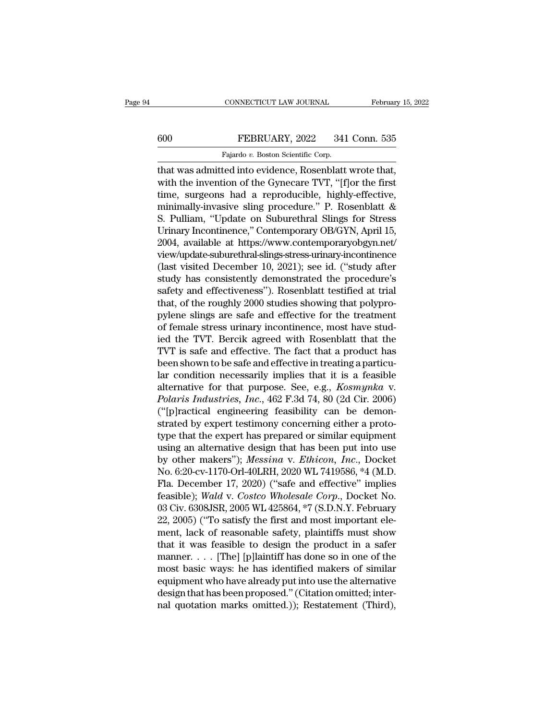## CONNECTICUT LAW JOURNAL February 15, 2022<br>600 FEBRUARY, 2022 341 Conn. 535<br>Fajardo v. Boston Scientific Corp. CONNECTICUT LAW JOURNAL<br>FEBRUARY, 2022 341<br>Fajardo *v.* Boston Scientific Corp.<br>Fed into evidence Rosenblatt

CONNECTICUT LAW JOURNAL February 15, 2<br>
FEBRUARY, 2022 341 Conn. 535<br>
Fajardo v. Boston Scientific Corp.<br>
That was admitted into evidence, Rosenblatt wrote that,<br>
with the invention of the Gynecare TVT, "[f]or the first<br>
t 600 FEBRUARY, 2022 341 Conn. 535<br>Fajardo v. Boston Scientific Corp.<br>that was admitted into evidence, Rosenblatt wrote that,<br>with the invention of the Gynecare TVT, "[f]or the first<br>time, surgeons had a reproducible, highl 600 FEBRUARY, 2022 341 Conn. 535<br>
Fajardo v. Boston Scientific Corp.<br>
that was admitted into evidence, Rosenblatt wrote that,<br>
with the invention of the Gynecare TVT, "[f]or the first<br>
time, surgeons had a reproducible, h 600 FEBRUARY, 2022 341 Conn. 535<br>
Fajardo v. Boston Scientific Corp.<br>
that was admitted into evidence, Rosenblatt wrote that,<br>
with the invention of the Gynecare TVT, "[f]or the first<br>
time, surgeons had a reproducible, h Fajardo v. Boston Scientific Corp.<br>
that was admitted into evidence, Rosenblatt wrote that,<br>
with the invention of the Gynecare TVT, "[f]or the first<br>
time, surgeons had a reproducible, highly-effective,<br>
minimally-invasi rajatio v. Boston scientine Corp.<br>
that was admitted into evidence, Rosenblatt wrote that,<br>
with the invention of the Gynecare TVT, "[f]or the first<br>
time, surgeons had a reproducible, highly-effective,<br>
minimally-invasiv that was admitted into evidence, Rosenblatt wrote that,<br>with the invention of the Gynecare TVT, "[f]or the first<br>time, surgeons had a reproducible, highly-effective,<br>minimally-invasive sling procedure." P. Rosenblatt &<br>S. view/update-suburethral-slings-stress-urinary-incontinence time, surgeons had a reproducible, highly-effective,<br>minimally-invasive sling procedure." P. Rosenblatt &<br>S. Pulliam, "Update on Suburethral Slings for Stress<br>Urinary Incontinence," Contemporary OB/GYN, April 15,<br>2004, ava minimally-invasive sling procedure." P. Rosenblatt &<br>S. Pulliam, "Update on Suburethral Slings for Stress<br>Urinary Incontinence," Contemporary OB/GYN, April 15,<br>2004, available at https://www.contemporaryobgyn.net/<br>view/upd S. Pulliam, "Update on Suburethral Slings for Stress<br>Urinary Incontinence," Contemporary OB/GYN, April 15,<br>2004, available at https://www.contemporaryobgyn.net/<br>view/update-suburethral-slings-stress-urinary-incontinence<br>(l Urinary Incontinence," Contemporary OB/GYN, April 15,<br>2004, available at https://www.contemporaryobgyn.net/<br>view/update-suburethral-slings-stress-urinary-incontinence<br>(last visited December 10, 2021); see id. ("study after 2004, available at https://www.contemporaryobgyn.net/<br>view/update-suburethral-slings-stress-urinary-incontinence<br>(last visited December 10, 2021); see id. ("study after<br>study has consistently demonstrated the procedure's<br>s view/update-suburethral-slings-stress-urinary-incontinence (last visited December 10, 2021); see id. ("study after study has consistently demonstrated the procedure's safety and effectiveness"). Rosenblatt testified at tri (last visited December 10, 2021); see id. ("study after<br>study has consistently demonstrated the procedure's<br>safety and effectiveness"). Rosenblatt testified at trial<br>that, of the roughly 2000 studies showing that polypro-<br> study has consistently demonstrated the procedure's<br>safety and effectiveness''). Rosenblatt testified at trial<br>that, of the roughly 2000 studies showing that polypro-<br>pylene slings are safe and effective for the treatment<br> safety and effectiveness"). Rosenblatt testified at trial<br>that, of the roughly 2000 studies showing that polypro-<br>pylene slings are safe and effective for the treatment<br>of female stress urinary incontinence, most have stu that, of the roughly 2000 studies showing that polypro-<br>pylene slings are safe and effective for the treatment<br>of female stress urinary incontinence, most have stud-<br>ied the TVT. Bercik agreed with Rosenblatt that the<br>TVT pylene slings are safe and effective for the treatment<br>of female stress urinary incontinence, most have stud-<br>ied the TVT. Bercik agreed with Rosenblatt that the<br>TVT is safe and effective. The fact that a product has<br>been of female stress urinary incontinence, most have stud-<br>ied the TVT. Bercik agreed with Rosenblatt that the<br>TVT is safe and effective. The fact that a product has<br>been shown to be safe and effective in treating a particu-<br>l ied the TVT. Bercik agreed with Rosenblatt that the<br>TVT is safe and effective. The fact that a product has<br>been shown to be safe and effective in treating a particu-<br>lar condition necessarily implies that it is a feasible<br> TVT is safe and effective. The fact that a product has<br>been shown to be safe and effective in treating a particu-<br>lar condition necessarily implies that it is a feasible<br>alternative for that purpose. See, e.g., *Kosmynka* been shown to be safe and effective in treating a particular<br>lar condition necessarily implies that it is a feasible<br>alternative for that purpose. See, e.g., *Kosmynka* v.<br>*Polaris Industries, Inc.*, 462 F.3d 74, 80 (2d Ci lar condition necessarily implies that it is a feasible<br>alternative for that purpose. See, e.g., *Kosmynka v.*<br>Polaris Industries, Inc., 462 F.3d 74, 80 (2d Cir. 2006)<br>("[p]ractical engineering feasibility can be demon-<br>s alternative for that purpose. See, e.g., *Kosmynka v.*<br> *Polaris Industries, Inc.*, 462 F.3d 74, 80 (2d Cir. 2006)<br>
("[p]ractical engineering feasibility can be demonstrated by expert testimony concerning either a proto-<br> Polaris Industries, Inc., 462 F.3d 74, 80 (2d Cir. 2006)<br>("[p]ractical engineering feasibility can be demonstrated by expert testimony concerning either a proto-<br>type that the expert has prepared or similar equipment<br>usin ("[p]ractical engineering feasibility can be demonstrated by expert testimony concerning either a prototype that the expert has prepared or similar equipment using an alternative design that has been put into use by other strated by expert testimony concerning either a proto-<br>type that the expert has prepared or similar equipment<br>using an alternative design that has been put into use<br>by other makers"); *Messina* v. *Ethicon*, *Inc.*, Docket type that the expert has prepared or similar equipment<br>using an alternative design that has been put into use<br>by other makers"); *Messina* v. *Ethicon*, *Inc.*, Docket<br>No. 6:20-cv-1170-Orl-40LRH, 2020 WL 7419586, \*4 (M.D.<br> using an alternative design that has been put into use<br>by other makers"); *Messina v. Ethicon, Inc.*, Docket<br>No. 6:20-cv-1170-Orl-40LRH, 2020 WL 7419586, \*4 (M.D.<br>Fla. December 17, 2020) ("safe and effective" implies<br>feasi by other makers"); *Messina* v. *Ethicon*, *Inc.*, Docket<br>No. 6:20-cv-1170-Orl-40LRH, 2020 WL 7419586, \*4 (M.D.<br>Fla. December 17, 2020) ("safe and effective" implies<br>feasible); *Wald* v. *Costco Wholesale Corp.*, Docket No No. 6:20-cv-1170-Orl-40LRH, 2020 WL 7419586, \*4 (M.D.<br>Fla. December 17, 2020) ("safe and effective" implies<br>feasible); *Wald v. Costco Wholesale Corp.*, Docket No.<br>03 Civ. 6308JSR, 2005 WL 425864, \*7 (S.D.N.Y. February<br>22, Fla. December 17, 2020) ("safe and effective" implies<br>feasible); Wald v. Costco Wholesale Corp., Docket No.<br>03 Civ. 6308JSR, 2005 WL 425864, \*7 (S.D.N.Y. February<br>22, 2005) ("To satisfy the first and most important ele-<br>m feasible); Wald v. Costco Wholesale Corp., Docket No.<br>03 Civ. 6308JSR, 2005 WL 425864, \*7 (S.D.N.Y. February<br>22, 2005) ("To satisfy the first and most important ele-<br>ment, lack of reasonable safety, plaintiffs must show<br>t 03 Civ. 6308JSR, 2005 WL 425864, \*7 (S.D.N.Y. February<br>22, 2005) ("To satisfy the first and most important ele-<br>ment, lack of reasonable safety, plaintiffs must show<br>that it was feasible to design the product in a safer<br>m 22, 2005) ("To satisfy the first and most important element, lack of reasonable safety, plaintiffs must show that it was feasible to design the product in a safer manner.... [The] [p]laintiff has done so in one of the mos ment, lack of reasonable safety, plaintiffs must show<br>that it was feasible to design the product in a safer<br>manner.... [The] [p]laintiff has done so in one of the<br>most basic ways: he has identified makers of similar<br>equipm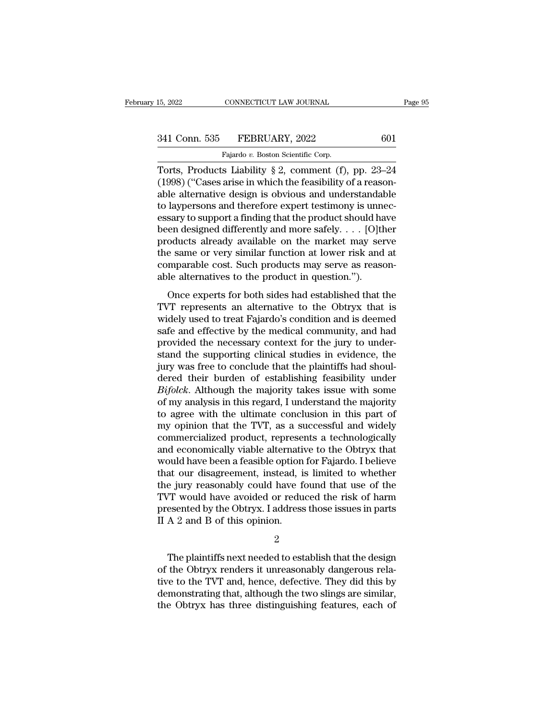Torts, Products Liability § 2, comment (f), pp. 23–24<br>
Torts, Products Liability § 2, comment (f), pp. 23–24<br>
Torts, Products Liability § 2, comment (f), pp. 23–24<br>
(1998) ("Cases arise in which the feasibility of a reason (1998) (''Cases arise in which the feasibility of a reason-<br>
(1998) (''Cases arise in which the feasibility of a reason-<br>
able alternative design is obvious and understandable<br>
to layorsons and therefore expect to time is 341 Conn. 535 FEBRUARY, 2022 601<br>
Fajardo v. Boston Scientific Corp.<br>
Torts, Products Liability § 2, comment (f), pp. 23–24<br>
(1998) ("Cases arise in which the feasibility of a reason-<br>
able alternative design is obvious a 341 Conn. 535 FEBRUARY, 2022 601<br>
Fajardo v. Boston Scientific Corp.<br>
Torts, Products Liability § 2, comment (f), pp. 23–24<br>
(1998) ("Cases arise in which the feasibility of a reason-<br>
able alternative design is obvious a Fajardo v. Boston Scientific Corp.<br>
Torts, Products Liability § 2, comment (f), pp. 23–24<br>
(1998) ("Cases arise in which the feasibility of a reason-<br>
able alternative design is obvious and understandable<br>
to laypersons a Fajardo v. Boston Scientific Corp.<br>
Torts, Products Liability § 2, comment (f), pp. 23–24<br>
(1998) ("Cases arise in which the feasibility of a reason-<br>
able alternative design is obvious and understandable<br>
to laypersons a Torts, Products Liability § 2, comment (f), pp. 23–24<br>(1998) ("Cases arise in which the feasibility of a reason-<br>able alternative design is obvious and understandable<br>to laypersons and therefore expert testimony is unnec-(1998) ("Cases arise in which the feasibility of a reasonable alternative design is obvious and understandable<br>to laypersons and therefore expert testimony is unnec-<br>essary to support a finding that the product should hav able alternative design is obvious and understandable<br>to laypersons and therefore expert testimony is unnec-<br>essary to support a finding that the product should have<br>been designed differently and more safely. . . . [O]<br>th to lay<br>persons and therefore expert testimony is unnessary to support a finding that the product should ha<br>been designed differently and more safely.  $\dots$  [O]<br>the products already available on the market may ser<br>the same Example 3 support a maniform side of product should have<br>endesigned differently and more safely. . . . [O]<br>therefore same or very similar function at lower risk and at<br>mparable cost. Such products may serve as reason-<br>lea products already available on the market may serve<br>the same or very similar function at lower risk and at<br>comparable cost. Such products may serve as reason-<br>able alternatives to the product in question.").<br>Once experts f

produces aready available on the market may serve<br>the same or very similar function at lower risk and at<br>comparable cost. Such products may serve as reason-<br>able alternatives to the product in question.").<br>Once experts for safe band of very similar random at rower risk and as<br>comparable cost. Such products may serve as reason-<br>able alternatives to the product in question.").<br>Once experts for both sides had established that the<br>TVT represents somparative cost. Such products may serve as reason<br>able alternatives to the product in question.").<br>Once experts for both sides had established that the<br>TVT represents an alternative to the Obtryx that is<br>widely used to t once experts for both sides had established that the<br>TVT represents an alternative to the Obtryx that is<br>widely used to treat Fajardo's condition and is deemed<br>safe and effective by the medical community, and had<br>provided Once experts for both sides had established that the TVT represents an alternative to the Obtryx that is widely used to treat Fajardo's condition and is deemed safe and effective by the medical community, and had provided TVT represents an alternative to the Obtryx that is<br>widely used to treat Fajardo's condition and is deemed<br>safe and effective by the medical community, and had<br>provided the necessary context for the jury to under-<br>stand th widely used to treat Fajardo's condition and is deemed<br>safe and effective by the medical community, and had<br>provided the necessary context for the jury to under-<br>stand the supporting clinical studies in evidence, the<br>jury safe and effective by the medical community, and had<br>provided the necessary context for the jury to under-<br>stand the supporting clinical studies in evidence, the<br>jury was free to conclude that the plaintiffs had shoul-<br>der provided the necessary context for the jury to understand the supporting clinical studies in evidence, the jury was free to conclude that the plaintiffs had shouldered their burden of establishing feasibility under *Bifolc* stand the supporting clinical studies in evidence, the<br>jury was free to conclude that the plaintiffs had shoul-<br>dered their burden of establishing feasibility under<br> $Bifolck$ . Although the majority takes issue with some<br>of my jury was free to conclude that the plaintiffs had shouldered their burden of establishing feasibility under *Bifolck*. Although the majority takes issue with some of my analysis in this regard, I understand the majority to dered their burden of establishing feasibility under<br>Bifolck. Although the majority takes issue with some<br>of my analysis in this regard, I understand the majority<br>to agree with the ultimate conclusion in this part of<br>my op Bifolck. Although the majority takes issue with some<br>of my analysis in this regard, I understand the majority<br>to agree with the ultimate conclusion in this part of<br>my opinion that the TVT, as a successful and widely<br>commer of my analysis in this regard, I understand the majority<br>to agree with the ultimate conclusion in this part of<br>my opinion that the TVT, as a successful and widely<br>commercialized product, represents a technologically<br>and ec to agree with the ultimate conclusion in this part of<br>my opinion that the TVT, as a successful and widely<br>commercialized product, represents a technologically<br>and economically viable alternative to the Obtryx that<br>would ha my opinion that the TVT, as a successful and widely<br>commercialized product, represents a technologically<br>and economically viable alternative to the Obtryx that<br>would have been a feasible option for Fajardo. I believe<br>that commercialized product, represents a technologically<br>and economically viable alternative to the Obtryx that<br>would have been a feasible option for Fajardo. I believe<br>that our disagreement, instead, is limited to whether<br>the and economically viable alternative<br>would have been a feasible option<br>that our disagreement, instead, is<br>the jury reasonably could have f<br>TVT would have avoided or redu<br>presented by the Obtryx. I address<br>II A 2 and B of th e jury reasonably could have found that use of the<br>
T would have avoided or reduced the risk of harm<br>
esented by the Obtryx. I address those issues in parts<br>
A 2 and B of this opinion.<br>
2<br>
The plaintiffs next needed to est

2

TVT would have avoided or reduced the risk of harm<br>presented by the Obtryx. I address those issues in parts<br>II A 2 and B of this opinion.<br>2<br>The plaintiffs next needed to establish that the design<br>of the Obtryx renders it u presented by the Obtryx. I address those issues in parts<br>II A 2 and B of this opinion.<br>2<br>The plaintiffs next needed to establish that the design<br>of the Obtryx renders it unreasonably dangerous rela-<br>tive to the TVT and, he  $\begin{array}{l} 1 \ \text{H\ A\ 2} \ \text{and}\ \text{B\ of\ this\ opinion}. \end{array}$ <br>  $\begin{array}{l} 2 \ \text{The\ } \text{plaintext}\ \text{needed to establish that the design} \end{array}$  of the Obtryx renders it unreasonably dangerous relative to the TVT and, hence, defective. They did this by demonstrating that, although 2<br>The plaintiffs next needed to establish that the design<br>of the Obtryx renders it unreasonably dangerous rela-<br>tive to the TVT and, hence, defective. They did this by<br>demonstrating that, although the two slings are simila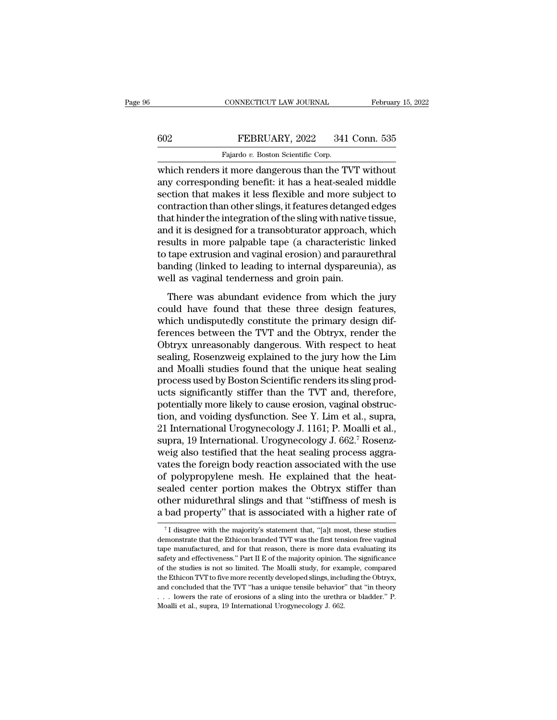## CONNECTICUT LAW JOURNAL February 15, 2022<br>602 FEBRUARY, 2022 341 Conn. 535<br>Fajardo v. Boston Scientific Corp. CONNECTICUT LAW JOURNAL<br>FEBRUARY, 2022 341<br>Fajardo *v.* Boston Scientific Corp.<br>it more dangerous than the T

CONNECTICUT LAW JOURNAL February 15, 202<br>
FEBRUARY, 2022 341 Conn. 535<br>
Fajardo v. Boston Scientific Corp.<br>
which renders it more dangerous than the TVT without<br>
any corresponding benefit: it has a heat-sealed middle<br>
soct FEBRUARY, 2022 341 Conn. 535<br>
Fajardo v. Boston Scientific Corp.<br>
which renders it more dangerous than the TVT without<br>
any corresponding benefit: it has a heat-sealed middle<br>
section that makes it less flexible and more s  $\begin{tabular}{l} \hline \textbf{602} & \textbf{FEBRUARY}, 2022 & 341 \textbf{ Conn. } 535 \\ \hline \textbf{Fajardo } v. \textbf{ Boston Scientific Corp.} \\ \hline \textbf{which renders it more dangerous than the TVT without any corresponding benefit: it has a heat-scaled middle section that makes it less flexible and more subject to contraction than other slings, it features detanged edges that hidden the interaction of the slip with native tissue. \end{tabular}$ FEBRUARY, 2022 341 Conn. 535<br>
Fajardo v. Boston Scientific Corp.<br>
which renders it more dangerous than the TVT without<br>
any corresponding benefit: it has a heat-sealed middle<br>
section that makes it less flexible and more Fajardo  $v$ . Boston Scientific Corp.<br>
which renders it more dangerous than the TVT without<br>
any corresponding benefit: it has a heat-sealed middle<br>
section that makes it less flexible and more subject to<br>
contraction than Fajardo v. Boston scientiff Corp.<br>
which renders it more dangerous than the TVT without<br>
any corresponding benefit: it has a heat-sealed middle<br>
section that makes it less flexible and more subject to<br>
contraction than ot which renders it more dangerous than the TVT without<br>any corresponding benefit: it has a heat-sealed middle<br>section that makes it less flexible and more subject to<br>contraction than other slings, it features detanged edges<br> any corresponding benefit: it has a heat-sealed middle<br>section that makes it less flexible and more subject to<br>contraction than other slings, it features detanged edges<br>that hinder the integration of the sling with native section that makes it less flexible and more subject to<br>contraction than other slings, it features detanged edges<br>that hinder the integration of the sling with native tissue,<br>and it is designed for a transobturator approac contraction than other slings, it features detanged<br>that hinder the integration of the sling with native<br>and it is designed for a transobturator approach,<br>results in more palpable tape (a characteristic<br>to tape extrusion a Maximizer are megnantic rate sing maximum exists),<br>
d it is designed for a transobturator approach, which<br>
sults in more palpable tape (a characteristic linked<br>
tape extrusion and vaginal erosion) and paraurethral<br>
nding ( man the designed for a transformation approach, which<br>results in more palpable tape (a characteristic linked<br>to tape extrusion and vaginal erosion) and paraurethral<br>banding (linked to leading to internal dyspareunia), as<br>w

For the extrusion and vaginal erosion) and paraurethral<br>banding (linked to leading to internal dyspareunia), as<br>well as vaginal tenderness and groin pain.<br>There was abundant evidence from which the jury<br>could have found th Ferences between the TVT and the Obtryx, render the Obtryx unreasonably dangerous. With respect to heat soling Posenzweis evaluate the primary design differences between the TVT and the Obtryx, render the Obtryx unreasonab Figure 2011 and the collection of the same of the set of the set of the set of the set of the set of the set of the set of the primary design differences between the TVT and the Obtryx, render the Obtryx unreasonably dange There was abundant evidence from which the jury<br>could have found that these three design features,<br>which undisputedly constitute the primary design dif-<br>ferences between the TVT and the Obtryx, render the<br>Obtryx unreasonab There was abundant evidence from which the jury<br>could have found that these three design features,<br>which undisputedly constitute the primary design dif-<br>ferences between the TVT and the Obtryx, render the<br>Obtryx unreasonab could have found that these three design features,<br>which undisputedly constitute the primary design dif-<br>ferences between the TVT and the Obtryx, render the<br>Obtryx unreasonably dangerous. With respect to heat<br>sealing, Rose which undisputedly constitute the primary design differences between the TVT and the Obtryx, render the Obtryx unreasonably dangerous. With respect to heat sealing, Rosenzweig explained to the jury how the Lim and Moalli s ferences between the TVT and the Obtryx, render the Obtryx unreasonably dangerous. With respect to heat sealing, Rosenzweig explained to the jury how the Lim and Moalli studies found that the unique heat sealing process us Obtryx unreasonably dangerous. With respect to heat<br>sealing, Rosenzweig explained to the jury how the Lim<br>and Moalli studies found that the unique heat sealing<br>process used by Boston Scientific renders its sling prod-<br>ucts sealing, Rosenzweig explained to the jury how the Lim<br>and Moalli studies found that the unique heat sealing<br>process used by Boston Scientific renders its sling prod-<br>ucts significantly stiffer than the TVT and, therefore,<br> and Moalli studies found that the unique heat sealing<br>process used by Boston Scientific renders its sling prod-<br>ucts significantly stiffer than the TVT and, therefore,<br>potentially more likely to cause erosion, vaginal obst process used by Boston Scientific renders its sling products significantly stiffer than the TVT and, therefore, potentially more likely to cause erosion, vaginal obstruction, and voiding dysfunction. See Y. Lim et al., sup ucts significantly stiffer than the TVT and, therefore,<br>potentially more likely to cause erosion, vaginal obstruc-<br>tion, and voiding dysfunction. See Y. Lim et al., supra,<br>21 International Urogynecology J. 1161; P. Moalli potentially more likely to cause erosion, vaginal obstruction, and voiding dysfunction. See Y. Lim et al., supra, 21 International Urogynecology J. 1161; P. Moalli et al., supra, 19 International. Urogynecology J. 662.<sup>7</sup> tion, and voiding dysfunction. See Y. Lim et al., supra,<br>21 International Urogynecology J. 1161; P. Moalli et al.,<br>supra, 19 International. Urogynecology J. 662.<sup>7</sup> Rosenz-<br>weig also testified that the heat sealing process 21 International Urogynecology J. 1161; P. Moalli et al.,<br>supra, 19 International. Urogynecology J. 662.<sup>7</sup> Rosenz-<br>weig also testified that the heat sealing process aggra-<br>vates the foreign body reaction associated with t supra, 19 International. Urogynecology J. 662.<sup>7</sup> Rosenz-<br>weig also testified that the heat sealing process aggra-<br>vates the foreign body reaction associated with the use<br>of polypropylene mesh. He explained that the heatr polypropylene mesn. He explained that the neat-<br>ealed center portion makes the Obtryx stiffer than<br>ther midurethral slings and that "stiffness of mesh is<br>bad property" that is associated with a higher rate of<br> $\frac{7}{1}$  sealed center portion makes the Obtryx stiffer than<br>other midurethral slings and that "stiffness of mesh is<br>a bad property" that is associated with a higher rate of<br> $\frac{7}{1}$  disagree with the majority's statement that, "

other midurethral slings and that "stiffness of mesh is<br>a bad property" that is associated with a higher rate of<br> $\frac{1}{1}$  disagree with the majority's statement that, "[a]t most, these studies<br>demonstrate that the Ethico a bad property" that is associated with a higher rate of  $\frac{1}{1}$  is associated with a higher rate of  $\frac{1}{1}$  is associated with the majority's statement that, "[a]t most, these studies demonstrate that the Ethicon bra  $\sigma$  T disagree with the majority's statement that, "[a]t most, these studies<br>demonstrate that the Ethicon branded TVT was the first tension free vaginal<br>dape manufactured, and for that reason, there is more data evaluati  $^\tau$ I disagree with the majority's statement that, "[a]t most, these studies demonstrate that the Ethicon branded TVT was the first tension free vaginal tape manufactured, and for that reason, there is more data evaluatin demonstrate that the Ethicon branded TVT was the first tension free vaginal<br>tape manufactured, and for that reason, there is more data evaluating its<br>safety and effectiveness." Part II E of the majority opinion. The signif tape manufactured, and for that reason, there is more data evaluating its safety and effectiveness." Part II E of the majority opinion. The significance of the studies is not so limited. The Moalli study, for example, com safety and effectiveness." Part II E of the majority opinion. The significance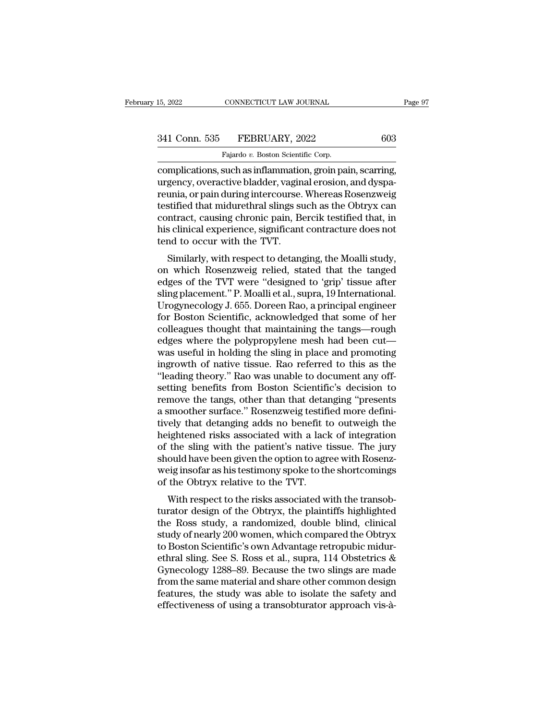## 15, 2022 CONNECTICUT LAW JOURNAL Page 97<br>341 Conn. 535 FEBRUARY, 2022 603<br>Fajardo v. Boston Scientific Corp. CONNECTICUT LAW JOURNAL<br>FEBRUARY, 2022<br>Fajardo *v.* Boston Scientific Corp.<br>such as inflammation groin na

EREGALE CONNECTICUT LAW JOURNAL Page<br>
341 Conn. 535 FEBRUARY, 2022 603<br>
Fajardo v. Boston Scientific Corp.<br>
complications, such as inflammation, groin pain, scarring,<br>
urgency, overactive bladder, vaginal erosion, and dysp 341 Conn. 535 FEBRUARY, 2022 603<br>Fajardo v. Boston Scientific Corp.<br>Complications, such as inflammation, groin pain, scarring,<br>urgency, overactive bladder, vaginal erosion, and dyspa-<br>reunia, or pain during intercourse. Wh 341 Conn. 535 FEBRUARY, 2022 603<br>
Fajardo v. Boston Scientific Corp.<br>
complications, such as inflammation, groin pain, scarring,<br>
urgency, overactive bladder, vaginal erosion, and dyspa-<br>
reunia, or pain during intercours 341 Conn. 535 FEBRUARY, 2022 603<br>Fajardo v. Boston Scientific Corp.<br>Complications, such as inflammation, groin pain, scarring,<br>urgency, overactive bladder, vaginal erosion, and dyspa-<br>reunia, or pain during intercourse. Wh Fajardo v. Boston Scientific Corp.<br>
complications, such as inflammation, groin pain, scarring,<br>
urgency, overactive bladder, vaginal erosion, and dyspa-<br>
reunia, or pain during intercourse. Whereas Rosenzweig<br>
testified th Fajardo v. Boston Scientific Corp.<br>
complications, such as inflammation, groin pain, scarring,<br>
urgency, overactive bladder, vaginal erosion, and dyspa-<br>
reunia, or pain during intercourse. Whereas Rosenzweig<br>
testified th complications, such as inflammatiourgency, overactive bladder, vagin<br>reunia, or pain during intercourse.<br>testified that midurethral slings su<br>contract, causing chronic pain, Be<br>his clinical experience, significant<br>tend to Eventy, overactive biauder, vaginal erosion, and dyspaninia, or pain during intercourse. Whereas Rosenzweig<br>stified that midurethral slings such as the Obtryx can<br>ntract, causing chronic pain, Bercik testified that, in<br>scl reuna, or pain during intercourse. Whereas Rosenzweig<br>testified that midurethral slings such as the Obtryx can<br>contract, causing chronic pain, Bercik testified that, in<br>his clinical experience, significant contracture does

estined that indufferent and sings such as the Obtryx Can<br>contract, causing chronic pain, Bercik testified that, in<br>his clinical experience, significant contracture does not<br>tend to occur with the TVT.<br>Similarly, with resp contract, causing chronic pain, Bercik testined triat, in<br>his clinical experience, significant contracture does not<br>tend to occur with the TVT.<br>Similarly, with respect to detanging, the Moalli study,<br>on which Rosenzweig re Ins childred experience, significant contracture does not<br>tend to occur with the TVT.<br>Similarly, with respect to detanging, the Moalli study,<br>on which Rosenzweig relied, stated that the tanged<br>edges of the TVT were "design for Boston Scientific, acknowledged that some cycles where the new conservation which Rosenzweig relied, stated that the tanged edges of the TVT were "designed to 'grip' tissue after sling placement." P. Moalli et al., sup Similarly, with respect to detanging, the Moalli study,<br>on which Rosenzweig relied, stated that the tanged<br>edges of the TVT were "designed to 'grip' tissue after<br>sling placement." P. Moalli et al., supra, 19 International. on which Rosenzweig relied, stated that the tanged<br>edges of the TVT were "designed to 'grip' tissue after<br>sling placement." P. Moalli et al., supra, 19 International.<br>Urogynecology J. 655. Doreen Rao, a principal engineer<br> edges of the TVT were "designed to 'grip' tissue after<br>sling placement." P. Moalli et al., supra, 19 International.<br>Urogynecology J. 655. Doreen Rao, a principal engineer<br>for Boston Scientific, acknowledged that some of he sling placement." P. Moalli et al., supra, 19 International.<br>Urogynecology J. 655. Doreen Rao, a principal engineer<br>for Boston Scientific, acknowledged that some of her<br>colleagues thought that maintaining the tangs—rough<br>e Urogynecology J. 655. Doreen Rao, a principal engineer<br>for Boston Scientific, acknowledged that some of her<br>colleagues thought that maintaining the tangs—rough<br>edges where the polypropylene mesh had been cut—<br>was useful in for Boston Scientific, acknowledged that some of her colleagues thought that maintaining the tangs—rough edges where the polypropylene mesh had been cut—<br>was useful in holding the sling in place and promoting ingrowth of n colleagues thought that maintaining the tangs—rough<br>edges where the polypropylene mesh had been cut—<br>was useful in holding the sling in place and promoting<br>ingrowth of native tissue. Rao referred to this as the<br>"leading th edges where the polypropylene mesh had been cut—<br>was useful in holding the sling in place and promoting<br>ingrowth of native tissue. Rao referred to this as the<br>"leading theory." Rao was unable to document any off-<br>setting b was useful in holding the sling in place and promoting<br>ingrowth of native tissue. Rao referred to this as the<br>"leading theory." Rao was unable to document any off-<br>setting benefits from Boston Scientific's decision to<br>remo ingrowth of native tissue. Rao referred to this as the "leading theory." Rao was unable to document any offsetting benefits from Boston Scientific's decision to remove the tangs, other than that detanging "presents a smoot "leading theory." Rao was unable to document any off-<br>setting benefits from Boston Scientific's decision to<br>remove the tangs, other than that detanging "presents<br>a smoother surface." Rosenzweig testified more defini-<br>tivel setting benefits from Boston Scientific's decision to<br>remove the tangs, other than that detanging "presents<br>a smoother surface." Rosenzweig testified more defini-<br>tively that detanging adds no benefit to outweigh the<br>heigh remove the tangs, other than that detanging "presents<br>a smoother surface." Rosenzweig testified more defini-<br>tively that detanging adds no benefit to outweigh the<br>heightened risks associated with a lack of integration<br>of t a smoother surface." Rosenzweig testifitively that detanging adds no benefit t<br>heightened risks associated with a lacl<br>of the sling with the patient's native t<br>should have been given the option to agr<br>weig insofar as his t Fightened risks associated with a lack of integration<br>the sling with the patient's native tissue. The jury<br>ould have been given the option to agree with Rosenz-<br>eig insofar as his testimony spoke to the shortcomings<br>the Ob the sling with the patient's native tissue. The jury<br>should have been given the option to agree with Rosenz-<br>weig insofar as his testimony spoke to the shortcomings<br>of the Obtryx relative to the TVT.<br>With respect to the ri

of the sing with the patient's harve tissue. The jury<br>should have been given the option to agree with Rosenz-<br>weig insofar as his testimony spoke to the shortcomings<br>of the Obtryx relative to the TVT.<br>With respect to the r should have been given the option to agree with Rosenz-<br>weig insofar as his testimony spoke to the shortcomings<br>of the Obtryx relative to the TVT.<br>With respect to the risks associated with the transob-<br>turator design of th weig insolar as his testimoly spoke to the shortcomings<br>of the Obtryx relative to the TVT.<br>With respect to the risks associated with the transob-<br>turator design of the Obtryx, the plaintiffs highlighted<br>the Ross study, a r of the Obtryx relative to the TVT.<br>With respect to the risks associated with the transob-<br>turator design of the Obtryx, the plaintiffs highlighted<br>the Ross study, a randomized, double blind, clinical<br>study of nearly 200 wo With respect to the risks associated with the transob-<br>turator design of the Obtryx, the plaintiffs highlighted<br>the Ross study, a randomized, double blind, clinical<br>study of nearly 200 women, which compared the Obtryx<br>to B turator design of the Obtryx, the plaintiffs highlighted<br>the Ross study, a randomized, double blind, clinical<br>study of nearly 200 women, which compared the Obtryx<br>to Boston Scientific's own Advantage retropubic midur-<br>ethr the Ross study, a randomized, double blind, clinical<br>study of nearly 200 women, which compared the Obtryx<br>to Boston Scientific's own Advantage retropubic midur-<br>ethral sling. See S. Ross et al., supra, 114 Obstetrics &<br>Gyn study of nearly 200 women, which compared the Obtryx<br>to Boston Scientific's own Advantage retropubic midur-<br>ethral sling. See S. Ross et al., supra, 114 Obstetrics &<br>Gynecology 1288–89. Because the two slings are made<br>from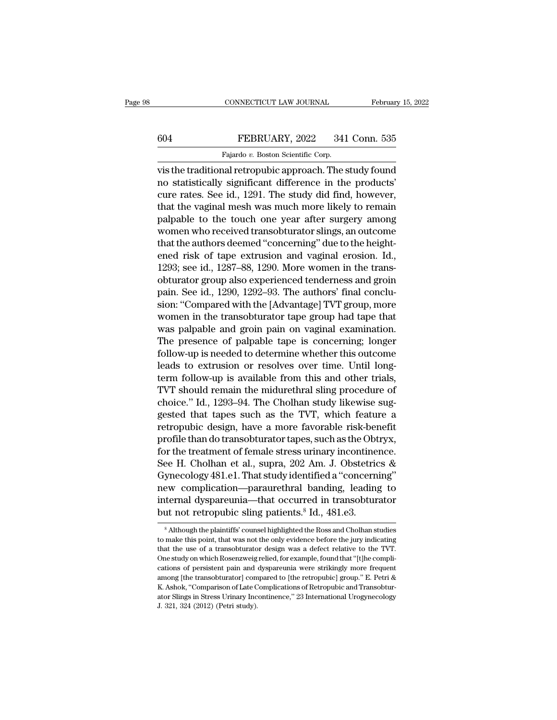## CONNECTICUT LAW JOURNAL February 15, 2022<br>604 FEBRUARY, 2022 341 Conn. 535<br>Fajardo v. Boston Scientific Corp. CONNECTICUT LAW JOURNAL<br>FEBRUARY, 2022 341<br>Fajardo *v.* Boston Scientific Corp.<br>nal retronubic approach. The s

CONNECTICUT LAW JOURNAL February 15, 2022<br>
FEBRUARY, 2022 341 Conn. 535<br>
Fajardo v. Boston Scientific Corp.<br>
Vis the traditional retropubic approach. The study found<br>
no statistically significant difference in the products FEBRUARY, 2022 341 Conn. 535<br>Fajardo v. Boston Scientific Corp.<br>Vis the traditional retropubic approach. The study found<br>no statistically significant difference in the products'<br>cure rates. See id., 1291. The study did fin EXERUARY, 2022 341 Conn. 535<br>
Fajardo v. Boston Scientific Corp.<br>
vis the traditional retropubic approach. The study found<br>
no statistically significant difference in the products'<br>
cure rates. See id., 1291. The study di that the vaginal mesh was much more likely to remain Fajardo  $v$ . Boston Scientific Corp.<br>
vis the traditional retropubic approach. The study found<br>
no statistically significant difference in the products'<br>
cure rates. See id., 1291. The study did find, however,<br>
that the v Fajato  $v$ . Boston scientiff corp.<br>
vis the traditional retropubic approach. The study found<br>
no statistically significant difference in the products'<br>
cure rates. See id., 1291. The study did find, however,<br>
that the vag vis the traditional retropubic approach. The study found<br>no statistically significant difference in the products'<br>cure rates. See id., 1291. The study did find, however,<br>that the vaginal mesh was much more likely to remain no statistically significant difference in the products'<br>cure rates. See id., 1291. The study did find, however,<br>that the vaginal mesh was much more likely to remain<br>palpable to the touch one year after surgery among<br>women cure rates. See id., 1291. The study did find, however,<br>that the vaginal mesh was much more likely to remain<br>palpable to the touch one year after surgery among<br>women who received transobturator slings, an outcome<br>that the that the vaginal mesh was much more likely to remain<br>palpable to the touch one year after surgery among<br>women who received transobturator slings, an outcome<br>that the authors deemed "concerning" due to the height-<br>ened ris palpable to the touch one year after surgery among<br>women who received transobturator slings, an outcome<br>that the authors deemed "concerning" due to the height-<br>ened risk of tape extrusion and vaginal erosion. Id.,<br>1293; se women who received transobturator slings, an outcome<br>that the authors deemed "concerning" due to the height-<br>ened risk of tape extrusion and vaginal erosion. Id.,<br>1293; see id., 1287–88, 1290. More women in the trans-<br>obtu that the authors deemed "concerning" due to the height-<br>ened risk of tape extrusion and vaginal erosion. Id.,<br>1293; see id., 1287–88, 1290. More women in the trans-<br>obturator group also experienced tenderness and groin<br>pai ened risk of tape extrusion and vaginal erosion. Id.,<br>1293; see id., 1287–88, 1290. More women in the trans-<br>obturator group also experienced tenderness and groin<br>pain. See id., 1290, 1292–93. The authors' final conclu-<br>si 1293; see id., 1287–88, 1290. More women in the trans-<br>obturator group also experienced tenderness and groin<br>pain. See id., 1290, 1292–93. The authors' final conclu-<br>sion: "Compared with the [Advantage] TVT group, more<br>wom obturator group also experienced tenderness and groin<br>pain. See id., 1290, 1292–93. The authors' final conclu-<br>sion: "Compared with the [Advantage] TVT group, more<br>women in the transobturator tape group had tape that<br>was p pain. See id., 1290, 1292–93. The authors' final conclusion: "Compared with the [Advantage] TVT group, more women in the transobturator tape group had tape that was palpable and groin pain on vaginal examination. The prese sion: "Compared with the [Advantage] TVT group, more<br>women in the transobturator tape group had tape that<br>was palpable and groin pain on vaginal examination.<br>The presence of palpable tape is concerning; longer<br>follow-up is women in the transobturator tape group had tape that<br>was palpable and groin pain on vaginal examination.<br>The presence of palpable tape is concerning; longer<br>follow-up is needed to determine whether this outcome<br>leads to ex was palpable and groin pain on vaginal examination.<br>The presence of palpable tape is concerning; longer<br>follow-up is needed to determine whether this outcome<br>leads to extrusion or resolves over time. Until long-<br>term follo The presence of palpable tape is concerning; longer<br>follow-up is needed to determine whether this outcome<br>leads to extrusion or resolves over time. Until long-<br>term follow-up is available from this and other trials,<br>TVT sh follow-up is needed to determine whether this outcome<br>leads to extrusion or resolves over time. Until long-<br>term follow-up is available from this and other trials,<br>TVT should remain the midurethral sling procedure of<br>choic leads to extrusion or resolves over time. Until long-<br>term follow-up is available from this and other trials,<br>TVT should remain the midurethral sling procedure of<br>choice." Id., 1293–94. The Cholhan study likewise sug-<br>ges term follow-up is available from this and other trials,<br>TVT should remain the midurethral sling procedure of<br>choice." Id., 1293–94. The Cholhan study likewise sug-<br>gested that tapes such as the TVT, which feature a<br>retropu TVT should remain the midurethral sling procedure of<br>choice." Id., 1293–94. The Cholhan study likewise sug-<br>gested that tapes such as the TVT, which feature a<br>retropubic design, have a more favorable risk-benefit<br>profile t choice." Id., 1293–94. The Cholhan study likewise suggested that tapes such as the TVT, which feature a retropubic design, have a more favorable risk-benefit profile than do transobturator tapes, such as the Obtryx, for th gested that tapes such as the TVT, which feature a<br>retropubic design, have a more favorable risk-benefit<br>profile than do transobturator tapes, such as the Obtryx,<br>for the treatment of female stress urinary incontinence.<br>Se retropubic design, have a more favorable risk-benefit<br>profile than do transobturator tapes, such as the Obtryx,<br>for the treatment of female stress urinary incontinence.<br>See H. Cholhan et al., supra, 202 Am. J. Obstetrics & profile than do transobturator tapes, such as the Obt<br>for the treatment of female stress urinary incontine<br>See H. Cholhan et al., supra, 202 Am. J. Obstetric<br>Gynecology 481.e1. That study identified a "concern<br>new complica ynecology 481.e1. I hat study identified a concerning<br>ew complication—paraurethral banding, leading to<br>ternal dyspareunia—that occurred in transobturator<br>int not retropubic sling patients.<sup>8</sup> Id., 481.e3.<br><sup>8</sup> Although the new complication—paraurethral banding, leading to<br>internal dyspareunia—that occurred in transobturator<br>but not retropubic sling patients.<sup>8</sup> Id., 481.e3.<br><sup>8</sup> Although the plaintiffs' counsel highlighted the Ross and Cholha

internal dyspareunia—that occurred in transobturator<br>but not retropubic sling patients.<sup>8</sup> Id., 481.e3.<br><sup>8</sup> Although the plaintiffs' counsel highlighted the Ross and Cholhan studies<br>to make this point, that was not the onl **Solution and the study of the plaintiffs' counsel highlighted the Ross and Cholhan studies**<br><sup>8</sup> Although the plaintiffs' counsel highlighted the Ross and Cholhan studies<br>to make this point, that was not the only evidence of a sum of the persistent pain and dysparents. Tul., 401.60.<br>
<sup>8</sup> Although the plaintiffs' counsel highlighted the Ross and Cholhan studies<br>
to make this point, that was not the only evidence before the jury indicating<br>
t <sup>8</sup> Although the plaintiffs' counsel highlighted the Ross and Cholhan studies<br>to make this point, that was not the only evidence before the jury indicating<br>that the use of a transobturator design was a defect relative to to make this point, that was not the only evidence before the jury indicating<br>that the use of a transobturator design was a defect relative to the TVT.<br>One study on which Rosenzweig relied, for example, found that "[t]he c be matter use of a transobturator design was a defect relative to the TVT.<br>One study on which Rosenzweig relied, for example, found that "[t]he complications of persistent pain and dyspareunia were strikingly more frequent that the use of a transobturator design was a defect relative to the TVT.<br>One study on which Rosenzweig relied, for example, found that "[t]he complications of persistent pain and dyspareunia were strikingly more frequent<br>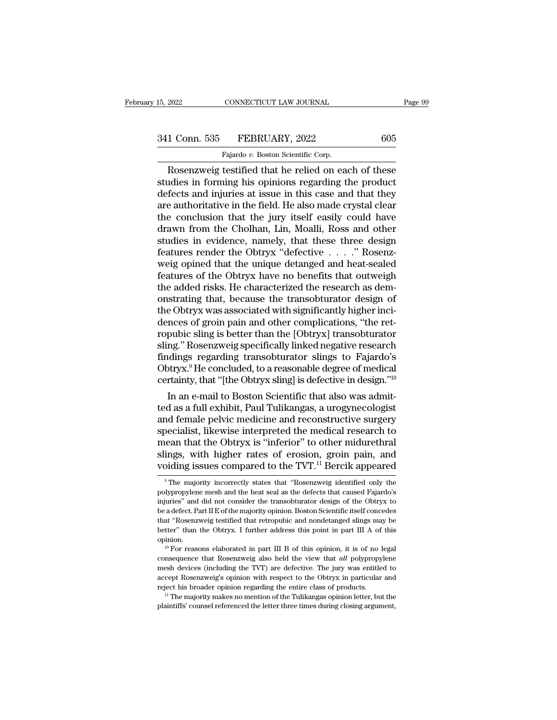# 15, 2022 CONNECTICUT LAW JOURNAL Page 99<br>341 Conn. 535 FEBRUARY, 2022 605<br>Fajardo v. Boston Scientific Corp.

FALLET 2022 CONNECTICUT LAW JOURNAL<br>
1 Conn. 535 FEBRUARY, 2022 605<br>
Fajardo *v.* Boston Scientific Corp.<br>
Rosenzweig testified that he relied on each of these EXECTIVE TRANSFORMAL Page 99<br>
1 Conn. 535 FEBRUARY, 2022 605<br>
Fajardo v. Boston Scientific Corp.<br>
Rosenzweig testified that he relied on each of these<br>
udies in forming his opinions regarding the product<br>
focts and injurie 341 Conn. 535 FEBRUARY, 2022 605<br>Fajardo v. Boston Scientific Corp.<br>Rosenzweig testified that he relied on each of these<br>studies in forming his opinions regarding the product<br>defects and injuries at issue in this case and  $\begin{array}{r} \text{341 Conn. } 535 \quad \text{FEBRUARY, } 2022 \quad \text{605} \\ \hline \text{Fajardo } v. \text{ Boston Scientific Corp.} \\ \hline \text{Rosenzweig testified that he relied on each of these studies in forming his opinions regarding the product defects and injuries at issue in this case and that they are authoritative in the field. He also made crystal clear the conclusion that the jury itself easily could have.} \end{array}$ 341 Conn. 535 FEBRUARY, 2022 605<br>
Fajardo v. Boston Scientific Corp.<br>
Rosenzweig testified that he relied on each of these<br>
studies in forming his opinions regarding the product<br>
defects and injuries at issue in this case Fajardo v. Boston Scientific Corp.<br>
Rosenzweig testified that he relied on each of these<br>
studies in forming his opinions regarding the product<br>
defects and injuries at issue in this case and that they<br>
are authoritative i Fajardo v. Boston Scientific Corp.<br>
Rosenzweig testified that he relied on each of these<br>
studies in forming his opinions regarding the product<br>
defects and injuries at issue in this case and that they<br>
are authoritative Rosenzweig testified that he relied on each of these<br>studies in forming his opinions regarding the product<br>defects and injuries at issue in this case and that they<br>are authoritative in the field. He also made crystal clea studies in forming his opinions regarding the product<br>defects and injuries at issue in this case and that they<br>are authoritative in the field. He also made crystal clear<br>the conclusion that the jury itself easily could hav defects and injuries at issue in this case and that they<br>are authoritative in the field. He also made crystal clear<br>the conclusion that the jury itself easily could have<br>drawn from the Cholhan, Lin, Moalli, Ross and other<br> are authoritative in the field. He also made crystal clear<br>the conclusion that the jury itself easily could have<br>drawn from the Cholhan, Lin, Moalli, Ross and other<br>studies in evidence, namely, that these three design<br>feat the conclusion that the jury itself easily could have<br>drawn from the Cholhan, Lin, Moalli, Ross and other<br>studies in evidence, namely, that these three design<br>features render the Obtryx "defective  $\ldots$ ." Rosenz-<br>weig opi drawn from the Cholhan, Lin, Moalli, Ross and other<br>studies in evidence, namely, that these three design<br>features render the Obtryx "defective . . . . ." Rosenz-<br>weig opined that the unique detanged and heat-sealed<br>feature studies in evidence, namely, that these three design<br>features render the Obtryx "defective  $\ldots$  ." Rosenz-<br>weig opined that the unique detanged and heat-sealed<br>features of the Obtryx have no benefits that outweigh<br>the ad features render the Obtryx "defective . . . . ." Rosenz-<br>weig opined that the unique detanged and heat-sealed<br>features of the Obtryx have no benefits that outweigh<br>the added risks. He characterized the research as dem-<br>ons weig opined that the unique detanged and heat-sealed<br>features of the Obtryx have no benefits that outweigh<br>the added risks. He characterized the research as dem-<br>onstrating that, because the transobturator design of<br>the Ob features of the Obtryx have no benefits that outweigh<br>the added risks. He characterized the research as demonstrating that, because the transobturator design of<br>the Obtryx was associated with significantly higher inci-<br>den the added risks. He characterized the research as demonstrating that, because the transobturator design of<br>the Obtryx was associated with significantly higher inci-<br>dences of groin pain and other complications, "the ret-<br>r onstrating that, because the transobturator design of<br>the Obtryx was associated with significantly higher inci-<br>dences of groin pain and other complications, "the ret-<br>ropubic sling is better than the [Obtryx] transobturat the Obtryx was associated with significantly higher inci-<br>dences of groin pain and other complications, "the ret-<br>ropubic sling is better than the [Obtryx] transobturator<br>sling." Rosenzweig specifically linked negative res nces of grom pain and other complications, "the ret-<br>pubic sling is better than the [Obtryx] transobturator<br>ng." Rosenzweig specifically linked negative research<br>dings regarding transobturator slings to Fajardo's<br>obtryx.<sup>9</sup> ropublic sling is better than the [Obtryx] transobturator<br>sling." Rosenzweig specifically linked negative research<br>findings regarding transobturator slings to Fajardo's<br>Obtryx.<sup>9</sup> He concluded, to a reasonable degree of me

sling." Rosenzweig specifically linked negative research<br>findings regarding transobturator slings to Fajardo's<br>Obtryx.<sup>9</sup> He concluded, to a reasonable degree of medical<br>certainty, that "[the Obtryx sling] is defective in Indings regarding transobturator slings to Fajardo's<br>Obtryx.<sup>9</sup> He concluded, to a reasonable degree of medical<br>certainty, that "[the Obtryx sling] is defective in design."<sup>10</sup><br>In an e-mail to Boston Scientific that also w Obtryx." He concluded, to a reasonable degree of medical<br>certainty, that "[the Obtryx sling] is defective in design."<sup>10</sup><br>In an e-mail to Boston Scientific that also was admit-<br>ted as a full exhibit, Paul Tulikangas, a ur certainty, that "[the Obtryx sling] is defective in design."<sup>36</sup><br>In an e-mail to Boston Scientific that also was admit-<br>ted as a full exhibit, Paul Tulikangas, a urogynecologist<br>and female pelvic medicine and reconstructiv In an e-mail to Boston Scientific that also was admitted as a full exhibit, Paul Tulikangas, a urogynecologist<br>and female pelvic medicine and reconstructive surgery<br>specialist, likewise interpreted the medical research to becialist, likewise interpreted the medical research to<br>ean that the Obtryx is "inferior" to other midurethral<br>ings, with higher rates of erosion, groin pain, and<br>piding issues compared to the TVT.<sup>11</sup> Bercik appeared<br><sup>9</sup>T mean that the Obtryx is "inferior" to other midurethral<br>slings, with higher rates of erosion, groin pain, and<br>voiding issues compared to the TVT.<sup>11</sup> Bercik appeared<br><sup>9</sup>The majority incorrectly states that "Rosenzweig iden

slings, with higher rates of erosion, groin pain, and voiding issues compared to the TVT.<sup>11</sup> Bercik appeared  $\overline{ }$  The majority incorrectly states that "Rosenzweig identified only the polypropylene mesh and the heat se voiding issues compared to the TVT.<sup>11</sup> Bercik appeared<br>
<sup>9</sup> The majority incorrectly states that "Rosenzweig identified only the<br>
polypropylene mesh and the heat seal as the defects that caused Fajardo's<br>
injuries" and d From a Supersity incorrectly states that "Rosenzweig identified only the polypropylene mesh and the heat seal as the defects that caused Fajardo's injuries" and did not consider the transobturator design of the Obtryx to <sup>9</sup> The majority incorrectly states that "Rosenzweig identified only the polypropylene mesh and the heat seal as the defects that caused Fajardo's injuries" and did not consider the transobturator design of the Obtryx to opinion. in the "sum of the observation" of the Universe "and did not consider the transobturator design of the Obtryx to a defect. Part II E of the majority opinion. Boston Scientific itself concedes at "Rosenzweig testified that expansion and He adefect. Part II E of the majority opinion. Boston Scientific itself concedes that "Rosenzweig testified that retropubic and nondetanged slings may be better" than the Obtryx. I further address this point

better" than the Obtryx. I further address this point in part III A of this opinion.<br>
<sup>10</sup> For reasons elaborated in part III B of this opinion, it is of no legal<br>
consequence that Rosenzweig also held the view that *all* better" than the Obtryx. I further address this point in part III A of this opinion.<br><sup>10</sup> For reasons elaborated in part III B of this opinion, it is of no legal<br>consequence that Rosenzweig also held the view that *all* po point on the set of the entire that the set of this opinion, it is of no legal consequence that Rosenzweig also held the view that *all* polypropylene mesh devices (including the TVT) are defective. The jury was entitled <sup>10</sup> For reasons elaborated in part III B of this opinion, it is of no legal consequence that Rosenzweig also held the view that *all* polypropylene mesh devices (including the TVT) are defective. The jury was entitled to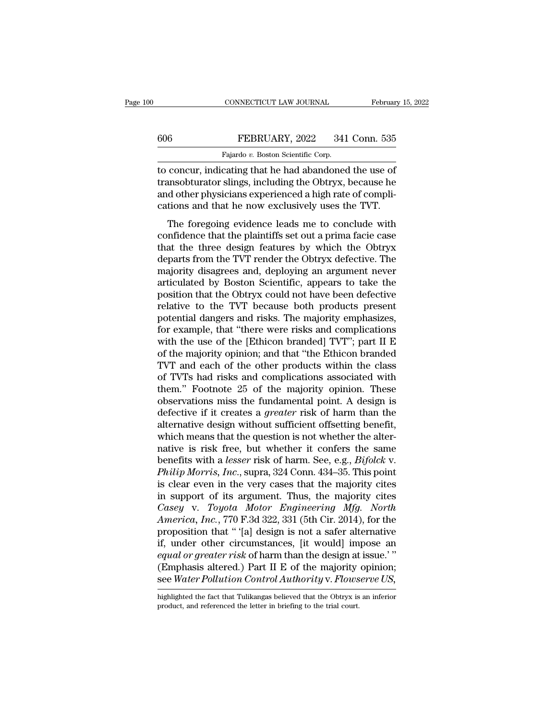## CONNECTICUT LAW JOURNAL February 15, 2022<br>606 FEBRUARY, 2022 341 Conn. 535<br>Fajardo v. Boston Scientific Corp. CONNECTICUT LAW JOURNAL<br>FEBRUARY, 2022 341<br>Fajardo *v.* Boston Scientific Corp.<br>cating that he had abandoned

CONNECTICUT LAW JOURNAL February 15, 202<br>
FEBRUARY, 2022 341 Conn. 535<br>
Fajardo v. Boston Scientific Corp.<br>
To concur, indicating that he had abandoned the use of<br>
transobturator slings, including the Obtryx, because he<br>
a FEBRUARY, 2022 341 Conn. 535<br>
Fajardo v. Boston Scientific Corp.<br>
to concur, indicating that he had abandoned the use of<br>
transobturator slings, including the Obtryx, because he<br>
and other physicians experienced a high rat  $\begin{tabular}{l} 606 & FEBRUARY, 2022 & 341 Conn. 535 \\ \hline \hline \textbf{Fajardo } v. Boston Scientific Corp. \\ \hline \textbf{to concur, indicating that he had abandoned the use of transobturator slings, including the Obtryx, because he and other physicians experienced a high rate of complications and that he now exclusively uses the TVT. \end{tabular}$ Fajardo v. Boston Scientific Corp.<br>
Fajardo v. Boston Scientific Corp.<br>
to concur, indicating that he had abandoned the use of<br>
transobturator slings, including the Obtryx, because he<br>
and other physicians experienced a hi Fajardo  $v$ . Boston Scientific Corp.<br>
concur, indicating that he had abandoned the use of<br>
insobturator slings, including the Obtryx, because he<br>
d other physicians experienced a high rate of compli-<br>
tions and that he no to concur, indicating that he had abandoned the use of<br>transobturator slings, including the Obtryx, because he<br>and other physicians experienced a high rate of compli-<br>cations and that he now exclusively uses the TVT.<br>The f

transobturator slings, including the Obtryx, because he<br>and other physicians experienced a high rate of compli-<br>cations and that he now exclusively uses the TVT.<br>The foregoing evidence leads me to conclude with<br>confidence ransolutator sings, including the Obtryx, because he<br>and other physicians experienced a high rate of compli-<br>cations and that he now exclusively uses the TVT.<br>The foregoing evidence leads me to conclude with<br>confidence tha and other physicials experienced a high rate of compin-<br>cations and that he now exclusively uses the TVT.<br>The foregoing evidence leads me to conclude with<br>confidence that the plaintiffs set out a prima facie case<br>that the The foregoing evidence leads me to conclude with<br>confidence that the plaintiffs set out a prima facie case<br>that the three design features by which the Obtryx<br>departs from the TVT render the Obtryx defective. The<br>majority d The foregoing evidence leads me to conclude with<br>confidence that the plaintiffs set out a prima facie case<br>that the three design features by which the Obtryx<br>departs from the TVT render the Obtryx defective. The<br>majority d confidence that the plaintiffs set out a prima facie case<br>that the three design features by which the Obtryx<br>departs from the TVT render the Obtryx defective. The<br>majority disagrees and, deploying an argument never<br>articul that the three design features by which the Obtryx<br>departs from the TVT render the Obtryx defective. The<br>majority disagrees and, deploying an argument never<br>articulated by Boston Scientific, appears to take the<br>position th departs from the TVT render the Obtryx defective. The<br>majority disagrees and, deploying an argument never<br>articulated by Boston Scientific, appears to take the<br>position that the Obtryx could not have been defective<br>relativ majority disagrees and, deploying an argument never<br>articulated by Boston Scientific, appears to take the<br>position that the Obtryx could not have been defective<br>relative to the TVT because both products present<br>potential d articulated by Boston Scientific, appears to take the<br>position that the Obtryx could not have been defective<br>relative to the TVT because both products present<br>potential dangers and risks. The majority emphasizes,<br>for examp position that the Obtryx could not have been defective<br>relative to the TVT because both products present<br>potential dangers and risks. The majority emphasizes,<br>for example, that "there were risks and complications<br>with the relative to the TVT because both products present<br>potential dangers and risks. The majority emphasizes,<br>for example, that "there were risks and complications<br>with the use of the [Ethicon branded] TVT"; part II E<br>of the maj potential dangers and risks. The majority emphasizes,<br>for example, that "there were risks and complications<br>with the use of the [Ethicon branded] TVT"; part II E<br>of the majority opinion; and that "the Ethicon branded<br>TVT a for example, that "there were risks and complications<br>with the use of the [Ethicon branded] TVT"; part II E<br>of the majority opinion; and that "the Ethicon branded<br>TVT and each of the other products within the class<br>of TVTs with the use of the [Ethicon branded] TVT"; part II E<br>of the majority opinion; and that "the Ethicon branded<br>TVT and each of the other products within the class<br>of TVTs had risks and complications associated with<br>them." Fo of the majority opinion; and that "the Ethicon branded TVT and each of the other products within the class<br>of TVTs had risks and complications associated with<br>them." Footnote 25 of the majority opinion. These<br>observations TVT and each of the other products within the class<br>of TVTs had risks and complications associated with<br>them." Footnote 25 of the majority opinion. These<br>observations miss the fundamental point. A design is<br>defective if i of TVTs had risks and complications associated with<br>them." Footnote 25 of the majority opinion. These<br>observations miss the fundamental point. A design is<br>defective if it creates a *greater* risk of harm than the<br>alternat them." Footnote 25 of the majority opinion. These<br>observations miss the fundamental point. A design is<br>defective if it creates a *greater* risk of harm than the<br>alternative design without sufficient offsetting benefit,<br>whi observations miss the fundamental point. A design is<br>defective if it creates a *greater* risk of harm than the<br>alternative design without sufficient offsetting benefit,<br>which means that the question is not whether the alte defective if it creates a *greater* risk of harm than the alternative design without sufficient offsetting benefit, which means that the question is not whether the alternative is risk free, but whether it confers the same alternative design without sufficient offsetting benefit,<br>which means that the question is not whether the alter-<br>native is risk free, but whether it confers the same<br>benefits with a *lesser* risk of harm. See, e.g., *Bif* which means that the question is not whether the alternative is risk free, but whether it confers the same<br>benefits with a *lesser* risk of harm. See, e.g., *Bifolck* v.<br>*Philip Morris, Inc.*, supra, 324 Conn. 434–35. This native is risk free, but whether it confers the same<br>benefits with a *lesser* risk of harm. See, e.g., *Bifolck* v.<br>*Philip Morris, Inc.*, supra, 324 Conn. 434–35. This point<br>is clear even in the very cases that the majori benefits with a *lesser* risk of harm. See, e.g., *Bifolck v.*<br> *Philip Morris, Inc.*, supra, 324 Conn. 434–35. This point<br>
is clear even in the very cases that the majority cites<br>
in support of its argument. Thus, the maj *Philip Morris, Inc.*, supra, 324 Conn. 434–35. This point<br>is clear even in the very cases that the majority cites<br>in support of its argument. Thus, the majority cites<br>*Casey* v. *Toyota Motor Engineering Mfg. North*<br>*Ame* is clear even in the very cases that the majority cites<br>in support of its argument. Thus, the majority cites<br>*Casey* v. *Toyota Motor Engineering Mfg. North*<br>*America*, *Inc.*, 770 F.3d 322, 331 (5th Cir. 2014), for the<br>pr in support of its argument. Thus, the majority cites<br>Casey v. Toyota Motor Engineering Mfg. North<br>America, Inc., 770 F.3d 322, 331 (5th Cir. 2014), for the<br>proposition that " '[a] design is not a safer alternative<br>if, unde Casey v. *Toyota Motor Engineering Mfg. North*<br>America, Inc., 770 F.3d 322, 331 (5th Cir. 2014), for the<br>proposition that " '[a] design is not a safer alternative<br>if, under other circumstances, [it would] impose an<br>equal o if, under other circumstances, [it would] impose an *equal or greater risk* of harm than the design at issue.'" (Emphasis altered.) Part II E of the majority opinion; see *Water Pollution Control Authority v. Flowserve US* see Water Pollution Control Authority v. Flowserve US,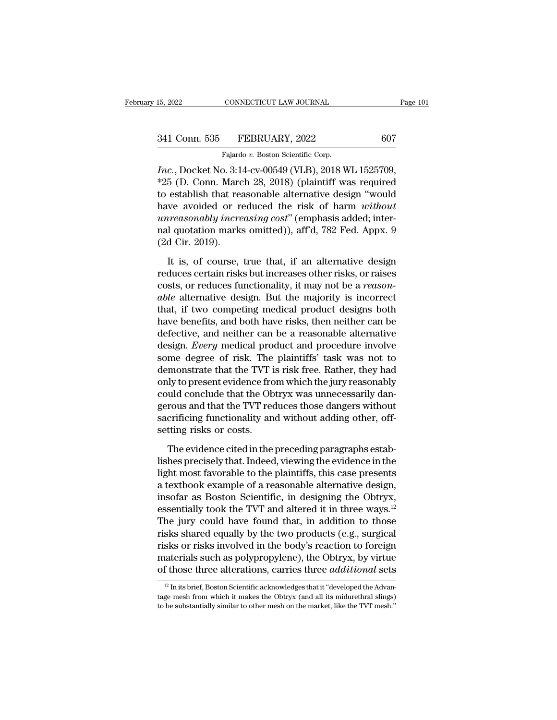CONNECTICUT LAW JOURNAL<br>FEBRUARY, 2022<br>Fajardo *v.* Boston Scientific Corp.<br>2. 3:14-cv-00549 (VLB) 2018 W <sup>15, 2022</sup> CONNECTICUT LAW JOURNAL Page<br>
<sup>21</sup> Conn. 535 FEBRUARY, 2022 607<br>
<sup>21</sup> Fajardo v. Boston Scientific Corp.<br> *Inc.*, Docket No. 3:14-cv-00549 (VLB), 2018 WL 1525709,<br>
<sup>22</sup>5 (D. Conn. March 28, 2018) (plaintiff was 341 Conn. 535 FEBRUARY, 2022 607<br>Fajardo v. Boston Scientific Corp.<br>Inc., Docket No. 3:14-cv-00549 (VLB), 2018 WL 1525709,<br>\*25 (D. Conn. March 28, 2018) (plaintiff was required<br>to establish that reasonable alternative desi 341 Conn. 535 FEBRUARY, 2022 607<br>
Fajardo v. Boston Scientific Corp.<br> *Inc.*, Docket No. 3:14-cv-00549 (VLB), 2018 WL 1525709,<br>
\*25 (D. Conn. March 28, 2018) (plaintiff was required<br>
to establish that reasonable alternati Fajardo v. Boston Scientific Corp.<br>
Fajardo v. Boston Scientific Corp.<br> *Inc.*, Docket No. 3:14-cv-00549 (VLB), 2018 WL 1525709,<br>
\*25 (D. Conn. March 28, 2018) (plaintiff was required<br>
to establish that reasonable alternat Fajardo v. Boston Scientific Corp.<br> *Inc.*, Docket No. 3:14-cv-00549 (VLB), 2018 WL 1525709,<br>
\*25 (D. Conn. March 28, 2018) (plaintiff was required<br>
to establish that reasonable alternative design "would<br>
have avoided or r rajardo v. Boston Scientiff Corp.<br> *Inc.*, Docket No. 3:14-cv-00549 (VLB), 2018 WL 1525709,<br>
\*25 (D. Conn. March 28, 2018) (plaintiff was required<br>
to establish that reasonable alternative design "would<br>
have avoided or r *Inc.*, Docket No. 3:1<br>\*25 (D. Conn. Marc<br>to establish that rea<br>have avoided or rearreasonably increasonably increasonably increase (2d Cir. 2019).<br>It is, of course, establish that reasonable alternative design "would<br>ve avoided or reduced the risk of harm *without*<br>irreasonably increasing cost" (emphasis added; inter-<br>I quotation marks omitted)), aff'd, 782 Fed. Appx. 9<br>d Cir. 2019). that a second or reduced the risk of harm without<br>
unreasonably increasing cost" (emphasis added; inter-<br>
reduces online risks on the pair of  $782$  Fed. Appx. 9<br>
(2d Cir. 2019).<br>
It is, of course, true that, if an alterna

For Fig. 2019).<br>
Interasonably increasing cost" (emphasis added; inter-<br>
ral quotation marks omitted)), aff<sup>7</sup>d, 782 Fed. Appx. 9<br>
(2d Cir. 2019).<br>
It is, of course, true that, if an alternative design<br>
reduces certain ris rad quotation marks omitted)), aff<sup>d</sup>, 782 Fed. Appx. 9<br>(2d Cir. 2019).<br>It is, of course, true that, if an alternative design<br>reduces certain risks but increases other risks, or raises<br>costs, or reduces functionality, it m (2d Cir. 2019).<br>It is, of course, true that, if an alternative design<br>reduces certain risks but increases other risks, or raises<br>costs, or reduces functionality, it may not be a *reason-<br>able* alternative design. But the It is, of course, true that, if an alternative design<br>reduces certain risks but increases other risks, or raises<br>costs, or reduces functionality, it may not be a *reason-<br>able* alternative design. But the majority is incor It is, of course, true that, if an alternative design<br>reduces certain risks but increases other risks, or raises<br>costs, or reduces functionality, it may not be a *reason-<br>able* alternative design. But the majority is incor reduces certain risks but increases other risks, or raises<br>costs, or reduces functionality, it may not be a *reason-<br>able* alternative design. But the majority is incorrect<br>that, if two competing medical product designs bo costs, or reduces functionality, it may not be a *reason-*<br>able alternative design. But the majority is incorrect<br>that, if two competing medical product designs both<br>have benefits, and both have risks, then neither can be<br> able alternative design. But the majority is incorrect<br>that, if two competing medical product designs both<br>have benefits, and both have risks, then neither can be<br>defective, and neither can be a reasonable alternative<br>desi that, if two competing medical product designs both<br>have benefits, and both have risks, then neither can be<br>defective, and neither can be a reasonable alternative<br>design. *Every* medical product and procedure involve<br>some have benefits, and both have risks, then neither can be defective, and neither can be a reasonable alternative design. *Every* medical product and procedure involve some degree of risk. The plaintiffs' task was not to demo defective, and neither can be a reasonable alternative<br>design. *Every* medical product and procedure involve<br>some degree of risk. The plaintiffs' task was not to<br>demonstrate that the TVT is risk free. Rather, they had<br>only design. *Every* medical product and procedure involve<br>some degree of risk. The plaintiffs' task was not to<br>demonstrate that the TVT is risk free. Rather, they had<br>only to present evidence from which the jury reasonably<br>cou some degree of risk. The<br>demonstrate that the TVT i<br>only to present evidence fro<br>could conclude that the Ob<br>gerous and that the TVT rec<br>sacrificing functionality an<br>setting risks or costs.<br>The evidence cited in the ly to present evidence from which the jury reasonably<br>uld conclude that the Obtryx was unnecessarily dan-<br>rous and that the TVT reduces those dangers without<br>crificing functionality and without adding other, off-<br>tting ris could conclude that the Obtryx was unnecessarily dangerous and that the TVT reduces those dangers without<br>sacrificing functionality and without adding other, off-<br>setting risks or costs.<br>The evidence cited in the preceding

gerous and that the TVT reduces those dangers without<br>sacrificing functionality and without adding other, off-<br>setting risks or costs.<br>The evidence cited in the preceding paragraphs estab-<br>lishes precisely that. Indeed, vi sacrificing functionality and without adding other, off-<br>setting risks or costs.<br>The evidence cited in the preceding paragraphs estab-<br>lishes precisely that. Indeed, viewing the evidence in the<br>light most favorable to the setting risks or costs.<br>
The evidence cited in the preceding paragraphs establishes precisely that. Indeed, viewing the evidence in the<br>
light most favorable to the plaintiffs, this case presents<br>
a textbook example of a The evidence cited in the preceding paragraphs establishes precisely that. Indeed, viewing the evidence in the light most favorable to the plaintiffs, this case presents a textbook example of a reasonable alternative desi The evidence cited in the preceding paragraphs establishes precisely that. Indeed, viewing the evidence in the light most favorable to the plaintiffs, this case presents a textbook example of a reasonable alternative desig lishes precisely that. Indeed, viewing the evidence in the<br>light most favorable to the plaintiffs, this case presents<br>a textbook example of a reasonable alternative design,<br>insofar as Boston Scientific, in designing the Ob light most favorable to the plaintiffs, this case presents<br>a textbook example of a reasonable alternative design,<br>insofar as Boston Scientific, in designing the Obtryx,<br>essentially took the TVT and altered it in three ways a textbook example of a reasonable alternative design,<br>insofar as Boston Scientific, in designing the Obtryx,<br>essentially took the TVT and altered it in three ways.<sup>12</sup><br>The jury could have found that, in addition to those<br> insofar as Boston Scientific, in designing the Obtryx,<br>essentially took the TVT and altered it in three ways.<sup>12</sup><br>The jury could have found that, in addition to those<br>risks shared equally by the two products (e.g., surgica sks snared equally by the two products (e.g., surgical<br>sks or risks involved in the body's reaction to foreign<br>aterials such as polypropylene), the Obtryx, by virtue<br>f those three alterations, carries three *additional* s risks or risks involved in the body's reaction to foreign<br>materials such as polypropylene), the Obtryx, by virtue<br>of those three alterations, carries three *additional* sets<br> $\frac{12 \text{ In its brief, Boston Scientific acknowledges that it "developed the Advan-  
tage mesh from which it makes the Obtryx (and all its midurethral$ 

materials such as polypropylene), the Obtryx, by virtue<br>of those three alterations, carries three *additional* sets<br> $\frac{12 \text{ In its brief, Boston Scientific acknowledges that it "developed the Advan-  
tage mesh from which it makes the Obtryx (and all its midurethral slings)  
to be substantially similar to other mesh on the market, like the TVT mesh."$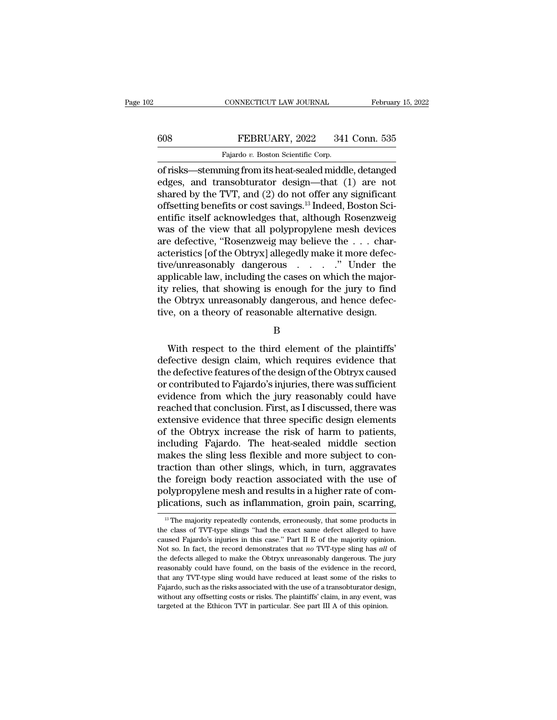CONNECTICUT LAW JOURNAL February 15, 2022<br>
FEBRUARY, 2022 341 Conn. 535<br>
Fajardo v. Boston Scientific Corp.<br>
of risks—stemming from its heat-sealed middle, detanged<br>
edges, and transobturator design—that (1) are not<br>
share EEBRUARY, 2022 341 Conn. 535<br>
Fajardo v. Boston Scientific Corp.<br>
of risks—stemming from its heat-sealed middle, detanged<br>
edges, and transobturator design—that (1) are not<br>
shared by the TVT, and (2) do not offer any sign FEBRUARY, 2022 341 Conn. 535<br>
Fajardo v. Boston Scientific Corp.<br>
of risks—stemming from its heat-sealed middle, detanged<br>
edges, and transobturator design—that (1) are not<br>
shared by the TVT, and (2) do not offer any sig 608 FEBRUARY, 2022 341 Conn. 535<br>
Fajardo v. Boston Scientific Corp.<br>
of risks—stemming from its heat-sealed middle, detanged<br>
edges, and transobturator design—that (1) are not<br>
shared by the TVT, and (2) do not offer any Fajardo v. Boston Scientific Corp.<br>
of risks—stemming from its heat-sealed middle, detanged<br>
edges, and transobturator design—that (1) are not<br>
shared by the TVT, and (2) do not offer any significant<br>
offsetting benefits Fajardo v. Boston Scientific Corp.<br>
of risks—stemming from its heat-sealed middle, detanged<br>
edges, and transobturator design—that (1) are not<br>
shared by the TVT, and (2) do not offer any significant<br>
offsetting benefits of risks—stemming from its heat-sealed middle, detanged<br>edges, and transobturator design—that (1) are not<br>shared by the TVT, and (2) do not offer any significant<br>offsetting benefits or cost savings.<sup>13</sup> Indeed, Boston Sciedges, and transobturator design—that (1) are not<br>shared by the TVT, and (2) do not offer any significant<br>offsetting benefits or cost savings.<sup>13</sup> Indeed, Boston Sci-<br>entific itself acknowledges that, although Rosenzweig<br>w shared by the TVT, and (2) do not offer any significant<br>offsetting benefits or cost savings.<sup>13</sup> Indeed, Boston Sci-<br>entific itself acknowledges that, although Rosenzweig<br>was of the view that all polypropylene mesh devices offsetting benefits or cost savings.<sup>13</sup> Indeed, Boston Scientific itself acknowledges that, although Rosenzweig<br>was of the view that all polypropylene mesh devices<br>are defective, "Rosenzweig may believe the . . . char-<br>ac entific itself acknowledges that, although Rosenzweig<br>was of the view that all polypropylene mesh devices<br>are defective, "Rosenzweig may believe the . . . char-<br>acteristics [of the Obtryx] allegedly make it more defec-<br>tiv was of the view that all polypropylene mesh devices<br>are defective, "Rosenzweig may believe the  $\dots$  char-<br>acteristics [of the Obtryx] allegedly make it more defec-<br>tive/unreasonably dangerous  $\dots$ ." Under the<br>applicable l acteristics [of the Obtryx] allegedly make it more defective/unreasonably dangerous  $\ldots$   $\ldots$  " Under the applicable law, including the cases on which the majority relies, that showing is enough for the jury to find the plicable law, including the cases on which the major-<br>
relies, that showing is enough for the jury to find<br>
e Obtryx unreasonably dangerous, and hence defec-<br>
re, on a theory of reasonable alternative design.<br>
B<br>
With resp

B

ity relies, that showing is enough for the jury to find<br>the Obtryx unreasonably dangerous, and hence defec-<br>tive, on a theory of reasonable alternative design.<br>B<br>With respect to the third element of the plaintiffs'<br>defecti the Obtryx unreasonably dangerous, and hence defective, on a theory of reasonable alternative design.<br>
B<br>
With respect to the third element of the plaintiffs'<br>
defective design claim, which requires evidence that<br>
the defe tive, on a theory of reasonable alternative design.<br>
B<br>
With respect to the third element of the plaintiffs'<br>
defective design claim, which requires evidence that<br>
the defective features of the design of the Obtryx caused<br> B<br>With respect to the third element of the plaintiffs'<br>defective design claim, which requires evidence that<br>the defective features of the design of the Obtryx caused<br>or contributed to Fajardo's injuries, there was sufficie With respect to the third element of the plaintiffs'<br>defective design claim, which requires evidence that<br>the defective features of the design of the Obtryx caused<br>or contributed to Fajardo's injuries, there was sufficient With respect to the third element of the plaintiffs'<br>defective design claim, which requires evidence that<br>the defective features of the design of the Obtryx caused<br>or contributed to Fajardo's injuries, there was sufficient defective design claim, which requires evidence that<br>the defective features of the design of the Obtryx caused<br>or contributed to Fajardo's injuries, there was sufficient<br>evidence from which the jury reasonably could have<br>r the defective features of the design of the Obtryx caused<br>or contributed to Fajardo's injuries, there was sufficient<br>evidence from which the jury reasonably could have<br>reached that conclusion. First, as I discussed, there or contributed to Fajardo's injuries, there was sufficient<br>evidence from which the jury reasonably could have<br>reached that conclusion. First, as I discussed, there was<br>extensive evidence that three specific design elements evidence from which the jury reasonably could have<br>reached that conclusion. First, as I discussed, there was<br>extensive evidence that three specific design elements<br>of the Obtryx increase the risk of harm to patients,<br>inclu reached that conclusion. First, as I discussed, there was<br>extensive evidence that three specific design elements<br>of the Obtryx increase the risk of harm to patients,<br>including Fajardo. The heat-sealed middle section<br>makes extensive evidence that three specific design elements<br>of the Obtryx increase the risk of harm to patients,<br>including Fajardo. The heat-sealed middle section<br>makes the sling less flexible and more subject to con-<br>traction of the Obtryx increase the risk of harm to patients,<br>including Fajardo. The heat-sealed middle section<br>makes the sling less flexible and more subject to con-<br>traction than other slings, which, in turn, aggravates<br>the forei traction than other slings, which, in turn, aggravates<br>the foreign body reaction associated with the use of<br>polypropylene mesh and results in a higher rate of com-<br>plications, such as inflammation, groin pain, scarring,<br> $\$ the foreign body reaction associated with the use of polypropylene mesh and results in a higher rate of complications, such as inflammation, groin pain, scarring,  $^{13}$  The majority repeatedly contends, erroneously, that

polypropylene mesh and results in a higher rate of complications, such as inflammation, groin pain, scarring,<br> $\frac{18}{10}$  The majority repeatedly contends, erroneously, that some products in the class of TVT-type slings " plications, such as inflammation, groin pain, scarring,<br><sup>13</sup> The majority repeatedly contends, erroneously, that some products in<br>the class of TVT-type slings "had the exact same defect alleged to have<br>caused Fajardo's inj The majority repeatedly contends, erroneously, that some products in the class of TVT-type slings "had the exact same defect alleged to have caused Fajardo's injuries in this case." Part II E of the majority opinion. Not <sup>13</sup> The majority repeatedly contends, erroneously, that some products in the class of TVT-type slings "had the exact same defect alleged to have caused Fajardo's injuries in this case." Part II E of the majority opinion. the class of TVT-type slings "had the exact same defect alleged to have caused Fajardo's injuries in this case." Part II E of the majority opinion. Not so. In fact, the record demonstrates that *no* TVT-type sling has *all* caused Fajardo's injuries in this case." Part II E of the majority opinion. Not so. In fact, the record demonstrates that *no* TVT-type sling has *all* of the defects alleged to make the Obtryx unreasonably dangerous. The Not so. In fact, the record demonstrates that no TVT-type sling has all of the defects alleged to make the Obtryx unreasonably dangerous. The jury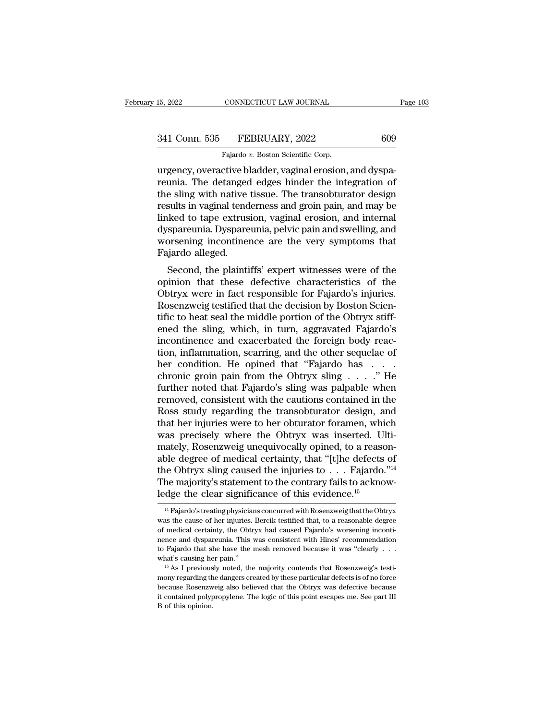## 15, 2022 CONNECTICUT LAW JOURNAL Page 103<br>341 Conn. 535 FEBRUARY, 2022 609<br>Fajardo v. Boston Scientific Corp. CONNECTICUT LAW JOURNAL<br>FEBRUARY, 2022<br>Fajardo *v.* Boston Scientific Corp.<br>ctive bladder vaginal erosion

urgency, overactive bladder, vaginal erosion, and dyspa-<br>
urgency, overactive bladder, vaginal erosion, and dyspa-<br>
urgency, overactive bladder, vaginal erosion, and dyspa-<br>
reunia. The detanged edges hinder the integratio 341 Conn. 535 FEBRUARY, 2022 609<br>Fajardo v. Boston Scientific Corp.<br>urgency, overactive bladder, vaginal erosion, and dyspareunia. The detanged edges hinder the integration of<br>the sling with native tissue. The transobturat 341 Conn. 535 FEBRUARY, 2022 609<br>
Fajardo v. Boston Scientific Corp.<br>
urgency, overactive bladder, vaginal erosion, and dyspareunia. The detanged edges hinder the integration of<br>
the sling with native tissue. The transobt 341 Conn. 535 FEBRUARY, 2022 609<br>Fajardo v. Boston Scientific Corp.<br>urgency, overactive bladder, vaginal erosion, and dyspareunia. The detanged edges hinder the integration of<br>the sling with native tissue. The transobturat Fajardo v. Boston Scientific Corp.<br>
urgency, overactive bladder, vaginal erosion, and dyspareunia. The detanged edges hinder the integration of<br>
the sling with native tissue. The transobturator design<br>
results in vaginal t Fajardo v. Boston Scientific Corp.<br>
urgency, overactive bladder, vaginal erosion, and dyspareunia. The detanged edges hinder the integration of<br>
the sling with native tissue. The transobturator design<br>
results in vaginal t urgency, overactive bladder, vaginal erosion, and dyspareunia. The detanged edges hinder the integration of the sling with native tissue. The transobturator design results in vaginal tenderness and groin pain, and may be l reunia. The detanged<br>the sling with native<br>results in vaginal tend<br>linked to tape extrus<br>dyspareunia. Dyspare<br>worsening incontiner<br>Fajardo alleged.<br>Second, the plainti is sing with harve ussue. The transoordrator design<br>sults in vaginal tenderness and groin pain, and may be<br>ked to tape extrusion, vaginal erosion, and internal<br>spareunia. Dyspareunia, pelvic pain and swelling, and<br>orsening results in vaginal tenderness and groin pain, and may be<br>linked to tape extrusion, vaginal erosion, and internal<br>dyspareunia. Dyspareunia, pelvic pain and swelling, and<br>worsening incontinence are the very symptoms that<br>Faj

miked to tape extrusion, vaginal erosion, and internat<br>dyspareunia. Dyspareunia, pelvic pain and swelling, and<br>worsening incontinence are the very symptoms that<br>Fajardo alleged.<br>Second, the plaintiffs' expert witnesses wer results. Dyspareunia, pervice paint and sweming, and worsening incontinence are the very symptoms that Fajardo alleged.<br>
Second, the plaintiffs' expert witnesses were of the opinion that these defective characteristics of Fajardo alleged.<br>
Second, the plaintiffs' expert witnesses were of the<br>
opinion that these defective characteristics of the<br>
Obtryx were in fact responsible for Fajardo's injuries.<br>
Rosenzweig testified that the decision b Fajardo aneged.<br>
Second, the plaintiffs' expert witnesses were of the<br>
opinion that these defective characteristics of the<br>
Obtryx were in fact responsible for Fajardo's injuries.<br>
Rosenzweig testified that the decision by Second, the plaintiffs' expert witnesses were of the opinion that these defective characteristics of the Obtryx were in fact responsible for Fajardo's injuries.<br>Rosenzweig testified that the decision by Boston Scientific t opinion that these defective characteristics of the<br>Obtryx were in fact responsible for Fajardo's injuries.<br>Rosenzweig testified that the decision by Boston Scien-<br>tific to heat seal the middle portion of the Obtryx stiff-Obtryx were in fact responsible for Fajardo's injuries.<br>Rosenzweig testified that the decision by Boston Scientific to heat seal the middle portion of the Obtryx stiffered the sling, which, in turn, aggravated Fajardo's<br>in Rosenzweig testified that the decision by Boston Scientific to heat seal the middle portion of the Obtryx stiffered the sling, which, in turn, aggravated Fajardo's incontinence and exacerbated the foreign body reaction, in tific to heat seal the middle portion of the Obtryx stifferned the sling, which, in turn, aggravated Fajardo's<br>incontinence and exacerbated the foreign body reac-<br>tion, inflammation, scarring, and the other sequelae of<br>her ened the sling, which, in turn, aggravated Fajardo's<br>incontinence and exacerbated the foreign body reaction, inflammation, scarring, and the other sequelae of<br>her condition. He opined that "Fajardo has . . . .<br>chronic groi incontinence and exacerbated the foreign body reaction, inflammation, scarring, and the other sequelae of<br>her condition. He opined that "Fajardo has  $\dots$  ."<br>chronic groin pain from the Obtryx sling  $\dots$ ." He<br>further noted tion, inflammation, scarring, and the other sequelae of<br>her condition. He opined that "Fajardo has  $\dots$  her chronic groin pain from the Obtryx sling  $\dots$ ." He<br>further noted that Fajardo's sling was palpable when<br>removed, was precisely where the Obtryx was inserted. Ultichronic groin pain from the Obtryx sling  $\ldots$  . . ." He<br>further noted that Fajardo's sling was palpable when<br>removed, consistent with the cautions contained in the<br>Ross study regarding the transobturator design, and<br>that further noted that Fajardo's sling was palpable when<br>removed, consistent with the cautions contained in the<br>Ross study regarding the transobturator design, and<br>that her injuries were to her obturator foramen, which<br>was pre removed, consistent with the cautions contained in the Ross study regarding the transobturator design, and that her injuries were to her obturator foramen, which was precisely where the Obtryx was inserted. Ultimately, Ro Ross study regarding the transobturator design, and<br>that her injuries were to her obturator foramen, which<br>was precisely where the Obtryx was inserted. Ulti-<br>mately, Rosenzweig unequivocally opined, to a reason-<br>able degr that her injuries were to her obturator foramen, whis was precisely where the Obtryx was inserted. Ul mately, Rosenzweig unequivocally opined, to a reaso able degree of medical certainty, that "[t]he defects the Obtryx sl ble degree of medical certainty, that "[t]he defects of<br>the Obtryx sling caused the injuries to . . . Fajardo."<sup>14</sup><br>the majority's statement to the contrary fails to acknow-<br>dge the clear significance of this evidence.<sup>15</sup> the Obtryx sling caused the injuries to  $\,\ldots\,$  Fajardo."<sup>14</sup><br>The majority's statement to the contrary fails to acknow-<br>ledge the clear significance of this evidence.<sup>15</sup><br><sup>14</sup> Fajardo's treating physicians concurred with

The majority's statement to the contrary fails to acknowledge the clear significance of this evidence.<sup>15</sup><br> $\frac{14}{16}$  Fajardo's treating physicians concurred with Rosenzweig that the Obtryx was the cause of her injuries. Ledge the clear significance of this evidence.<sup>15</sup><br>
<sup>14</sup> Fajardo's treating physicians concurred with Rosenzweig that the Obtryx<br>
was the cause of her injuries. Bercik testified that, to a reasonable degree<br>
of medical ce was the cause of her injuries. Bercik testified that, to a reasonable degree of medical certainty, the Obtryx had caused Fajardo's worsening incontinence and dyspareunia. This was consistent with Hines' recommendation to <sup>14</sup> Fajardo's treating physicians concurred with Rosenzweig that the Obtryx was the cause of her injuries. Bercik testified that, to a reasonable degree of medical certainty, the Obtryx had caused Fajardo's worsening inc mony regarding the obtryx had caused Fajardo's worsening incontinence and dyspareunia. This was consistent with Hines' recommendation to Fajardo that she have the mesh removed because it was "clearly . . . what's causing h what's causing her pain."

because Rosenzweig also believed that the Obtryx was defective because<br>that's causing her pain."<br>
What's causing her pain."<br>
<sup>15</sup> As I previously noted, the majority contends that Rosenzweig's testi-<br>
mony regarding the da to Fajardo that she have the mesh removed because it was "clearly . . . what's causing her pain."<br>
"  $\frac{15}{15}$  As I previously noted, the majority contends that Rosenzweig's testimony regarding the dangers created by th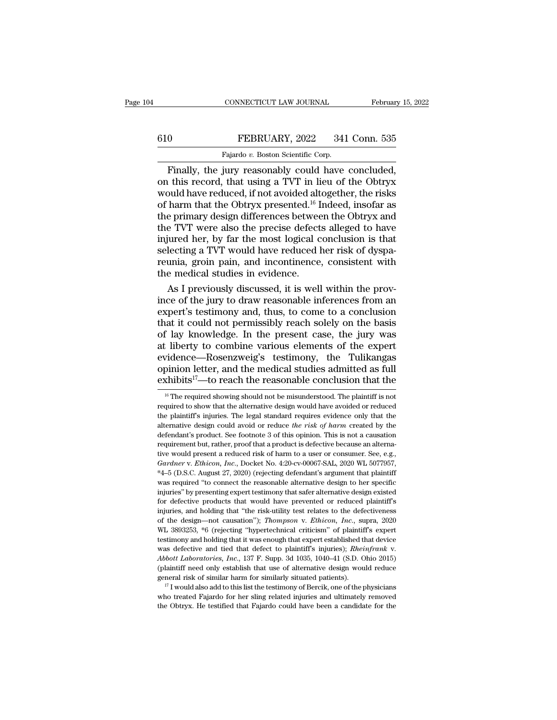# CONNECTICUT LAW JOURNAL February 15, 2022<br>610 FEBRUARY, 2022 341 Conn. 535<br>Fajardo v. Boston Scientific Corp.

CONNECTICUT LAW JOURNAL Februar<br>
Februar<br>
Fajardo *v.* Boston Scientific Corp.<br>
Finally, the jury reasonably could have concluded. CONNECTICUT LAW JOURNAL February 15, 2<br>
FEBRUARY, 2022 341 Conn. 535<br>
Fajardo v. Boston Scientific Corp.<br>
Finally, the jury reasonably could have concluded,<br>
this record, that using a TVT in lieu of the Obtryx<br>
could have 610 FEBRUARY, 2022 341 Conn. 535<br>Fajardo v. Boston Scientific Corp.<br>Finally, the jury reasonably could have concluded,<br>on this record, that using a TVT in lieu of the Obtryx<br>would have reduced, if not avoided altogether, Finally, the jury reasonably could have concluded,<br>Finally, the jury reasonably could have concluded,<br>on this record, that using a TVT in lieu of the Obtryx<br>would have reduced, if not avoided altogether, the risks<br>of harm 610 FEBRUARY, 2022 341 Conn. 535<br>
Fajardo v. Boston Scientific Corp.<br>
Finally, the jury reasonably could have concluded,<br>
on this record, that using a TVT in lieu of the Obtryx<br>
would have reduced, if not avoided altogeth Fajardo v. Boston Scientific Corp.<br>
Finally, the jury reasonably could have concluded,<br>
on this record, that using a TVT in lieu of the Obtryx<br>
would have reduced, if not avoided altogether, the risks<br>
of harm that the Ob Finally, the jury reasonably could have concluded,<br>on this record, that using a TVT in lieu of the Obtryx<br>would have reduced, if not avoided altogether, the risks<br>of harm that the Obtryx presented.<sup>16</sup> Indeed, insofar as<br> Finally, the jury reasonably could have concluded,<br>on this record, that using a TVT in lieu of the Obtryx<br>would have reduced, if not avoided altogether, the risks<br>of harm that the Obtryx presented.<sup>16</sup> Indeed, insofar as<br>t on this record, that using a TVT in lieu of the Obtryx<br>would have reduced, if not avoided altogether, the risks<br>of harm that the Obtryx presented.<sup>16</sup> Indeed, insofar as<br>the primary design differences between the Obtryx an would have reduced, if not avoided altogether, the risks<br>of harm that the Obtryx presented.<sup>16</sup> Indeed, insofar as<br>the primary design differences between the Obtryx and<br>the TVT were also the precise defects alleged to have of harm that the Obtryx presented.<sup>16</sup> I<br>the primary design differences betwee<br>the TVT were also the precise defect<br>injured her, by far the most logical c<br>selecting a TVT would have reduced l<br>reunia, groin pain, and incont e primary design differences between the Obtryx and<br>e TVT were also the precise defects alleged to have<br>jured her, by far the most logical conclusion is that<br>lecting a TVT would have reduced her risk of dyspa-<br>unia, groin the TVT were also the precise defects alleged to have<br>injured her, by far the most logical conclusion is that<br>selecting a TVT would have reduced her risk of dyspa-<br>reunia, groin pain, and incontinence, consistent with<br>the

injured her, by far the most logical conclusion is that<br>selecting a TVT would have reduced her risk of dyspa-<br>reunia, groin pain, and incontinence, consistent with<br>the medical studies in evidence.<br>As I previously discussed selecting a TVT would have reduced her risk of dyspareunia, groin pain, and incontinence, consistent with<br>the medical studies in evidence.<br>As I previously discussed, it is well within the prov-<br>ince of the jury to draw rea reunia, groin pain, and incontinence, consistent with<br>the medical studies in evidence.<br>As I previously discussed, it is well within the prov-<br>ince of the jury to draw reasonable inferences from an<br>expert's testimony and, t the medical studies in evidence.<br>
As I previously discussed, it is well within the prov-<br>
ince of the jury to draw reasonable inferences from an<br>
expert's testimony and, thus, to come to a conclusion<br>
that it could not per As I previously discussed, it is well within the prov-<br>ince of the jury to draw reasonable inferences from an<br>expert's testimony and, thus, to come to a conclusion<br>that it could not permissibly reach solely on the basis<br>o ince of the jury to draw reasonable inferences from an expert's testimony and, thus, to come to a conclusion that it could not permissibly reach solely on the basis of lay knowledge. In the present case, the jury was at l expert's testimony and, thus, to come to a conclusion<br>that it could not permissibly reach solely on the basis<br>of lay knowledge. In the present case, the jury was<br>at liberty to combine various elements of the expert<br>evidenc 16 Iberty to combine various elements of the expert vidence—Rosenzweig's testimony, the Tulikangas pinion letter, and the medical studies admitted as full schibits<sup>17</sup>—to reach the reasonable conclusion that the  $\frac{16}{16$ evidence—Rosenzweig's testimony, the Tulikangas opinion letter, and the medical studies admitted as full exhibits<sup>17</sup>—to reach the reasonable conclusion that the  $\frac{16}{16}$  The required showing should not be misunderstoo

opinion letter, and the medical studies admitted as full exhibits<sup>17</sup>—to reach the reasonable conclusion that the  $\frac{16}{16}$  The required showing should not be misunderstood. The plaintiff is not required to show that th exhibits<sup>17</sup>—to reach the reasonable conclusion that the exhibits<sup>17</sup>—to reach the reasonable conclusion that the <sup>16</sup> The required showing should not be misunderstood. The plaintiff is not reduced the plaintiff's injuries EXIMDILS —U TEACH LITE TEASOHADIE CONCLUSION THAT THE TEAM of the plaintiff is not required to show that the alternative design would have avoided or reduced the plaintiff's injuries. The legal standard requires evidence <sup>16</sup> The required showing should not be misunderstood. The plaintiff is not required to show that the alternative design would have avoided or reduced the plaintiff's injuries. The legal standard requires evidence only th required to show that the alternative design would have avoided or reduced the plaintiff's injuries. The legal standard requires evidence only that the alternative design could avoid or reduce *the risk of harm* created b <sup>Et</sup> Plaintiff's injuries. The legal standard requires evidence only that the alternative design could avoid or reduce *the risk of harm* created by the defendant's product. See footnote 3 of this opinion. This is not a ca atternative design could avoid or reduce the risk of harm created by the defendant's product. See footnote 3 of this opinion. This is not a causation requirement but, rather, proof that a product is defective because an a defendant's product. See footnote 3 of this opinion. This is not a causation<br>requirement but, rather, proof that a product is defective because an alterna-<br>tive would present a reduced risk of harm to a user or consumer. S requirement but, rather, proof that a product is defective because an alternative would present a reduced risk of harm to a user or consumer. See, e.g., *Gardner v. Ethicon, Inc.*, Docket No. 4:20-cv-00067-SAL, 2020 WL 507 For would present a reduced risk of harm to a user or consumer. See, e.g.,  $Gardner$  v. *Ethicon*, *Inc.*, Docket No. 4:20-cv-00067-SAL, 2020 WL 5077957,  $*4-5$  (D.S.C. August 27, 2020) (rejecting defendant's argument that pl Gardner v. Ethicon, Inc., Docket No. 4:20-cv-00067-SAL, 2020 WL 5077957,<br>
\*4–5 (D.S.C. August 27, 2020) (rejecting defendant's argument that plaintiff<br>
\*4–5 (D.S.C. August 27, 2020) (rejecting defendant's argument that pla station. The design—not causation''); *Thompson* v. *Ethicon, Inc.*, super-<br> *The design to her specific* injuries'' by presenting expert testimony that safer alternative design to her specific<br>
injuries'' by presenting ex was required "to connect the reasonable alternative design to her specific injuries" by presenting expert testimony that safer alternative design existed for defective products that would have prevented or reduced plaintif injuries" by presenting expert testimony that safer alternative design existed for defective products that would have prevented or reduced plaintiff's injuries, and holding that "the risk-utility test relates to the defec for defective products that would have prevented or reduced plaintiff's injuries, and holding that "the risk-utility test relates to the defectiveness of the design—not causation"); *Thompson v. Ethicon, Inc.*, supra, 2020 for the design—not causation"); *Thompson v. Ethicon, Inc.*, supra, 2020<br>WL 3893253, \*6 (rejecting "hypertechnical criticism" of plaintiff's expert<br>testimony and holding that it was enough that expert established that devi WL 3893253,  $*6$  (rejecting "hypertechnical criticism" of plaintiff's expert testimony and holding that it was enough that expert established that device was defective and tied that defect to plaintiff's injuries); *Rhein* was defective and tied that defect to plaintiff's injuries); *Rheinfrank* v.<br>Abbott Laboratories, Inc., 137 F. Supp. 3d 1035, 1040–41 (S.D. Ohio 2015)<br>(plaintiff need only establish that use of alternative design would re was defective and tied that defect to plaint<br>iff's injuries); *Rheinfrank* v. *Abbott Laboratories, Inc.*, 137 F. Supp. 3d 1035, 1040–41 (S.D. Ohio 2015) (plaint<br>iff need only establish that use of alternative design woul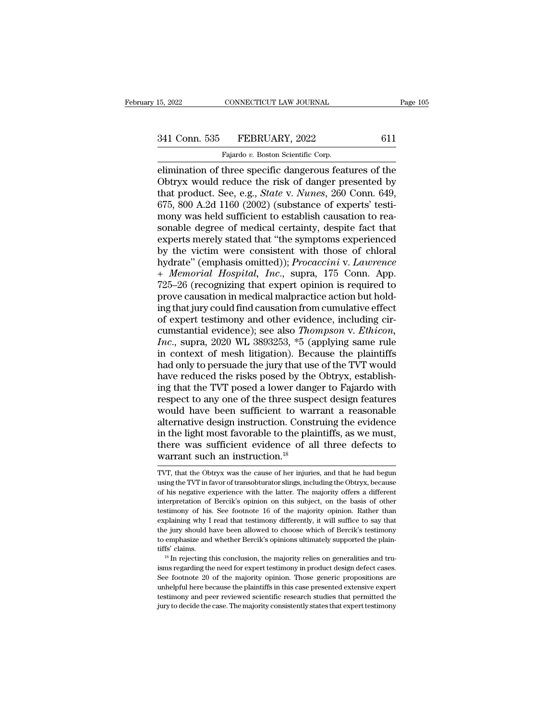# 15, 2022 CONNECTICUT LAW JOURNAL Page 105<br>341 Conn. 535 FEBRUARY, 2022 611<br>Fajardo v. Boston Scientific Corp.

CONNECTICUT LAW JOURNAL<br>FEBRUARY, 2022<br>Fajardo *v.* Boston Scientific Corp.<br>three specific dangerous feat Elimination of three specific dangerous features of the<br>dimination of three specific dangerous features of the<br>obtryx would reduce the risk of danger presented by<br>that product See e.g. State y. Names 260 Conn. 649 341 Conn. 535 FEBRUARY, 2022 611<br>Fajardo v. Boston Scientific Corp.<br>Elimination of three specific dangerous features of the<br>Obtryx would reduce the risk of danger presented by<br>that product. See, e.g., *State v. Nunes*, 260 341 Conn. 535 FEBRUARY, 2022 611<br>Fajardo v. Boston Scientific Corp.<br>elimination of three specific dangerous features of the<br>Obtryx would reduce the risk of danger presented by<br>that product. See, e.g., *State* v. *Nunes*, 2  $\begin{array}{r} \text{341 Conn. 535} & \text{FEBRUARY, 2022} \qquad \qquad \text{611} \ \hline \text{Fajardo } v. \text{ Boston Scientific Corp.} \ \hline \text{elimination of three specific dangerous features of the Obtryx would reduce the risk of danger presented by that product. See, e.g., *State v. Nunes*, 260 Conn. 649, 675, 800 A.2d 1160 (2002) (substance of experts' testing) for the sample degree of medical certainty.$ Fajardo v. Boston Scientific Corp.<br>
Elimination of three specific dangerous features of the<br>
Obtryx would reduce the risk of danger presented by<br>
that product. See, e.g., *State* v. *Nunes*, 260 Conn. 649,<br>
675, 800 A.2d Fajardo v. Boston Scientific Corp.<br>
elimination of three specific dangerous features of the<br>
Obtryx would reduce the risk of danger presented by<br>
that product. See, e.g., *State* v. *Nunes*, 260 Conn. 649,<br>
675, 800 A.2d 1 elimination of three specific dangerous features of the<br>Obtryx would reduce the risk of danger presented by<br>that product. See, e.g., *State* v. *Nunes*, 260 Conn. 649,<br>675, 800 A.2d 1160 (2002) (substance of experts' testi Obtryx would reduce the risk of danger presented by<br>that product. See, e.g., *State* v. *Nunes*, 260 Conn. 649,<br>675, 800 A.2d 1160 (2002) (substance of experts' testi-<br>mony was held sufficient to establish causation to re that product. See, e.g., *State* v. *Nunes*, 260 Conn. 649, 675, 800 A.2d 1160 (2002) (substance of experts' testi-<br>mony was held sufficient to establish causation to reasonable degree of medical certainty, despite fact th 675, 800 A.2d 1160 (2002) (substance of experts' testi-<br>mony was held sufficient to establish causation to rea-<br>sonable degree of medical certainty, despite fact that<br>experts merely stated that "the symptoms experienced<br>by mony was held sufficient to establish causation to reasonable degree of medical certainty, despite fact that<br>experts merely stated that "the symptoms experienced<br>by the victim were consistent with those of chloral<br>hydrate" sonable degree of medical certainty, despite fact that<br>experts merely stated that "the symptoms experienced<br>by the victim were consistent with those of chloral<br>hydrate" (emphasis omitted)); *Procaccini* v. Lawrence<br>+ Memor experts merely stated that "the symptoms experienced<br>by the victim were consistent with those of chloral<br>hydrate" (emphasis omitted)); *Procaccini* v. Lawrence<br>+ Memorial Hospital, Inc., supra, 175 Conn. App.<br>725–26 (reco by the victim were consistent with those of chloral<br>hydrate" (emphasis omitted)); *Procaccini* v. Lawrence<br>+ Memorial Hospital, Inc., supra, 175 Conn. App.<br>725–26 (recognizing that expert opinion is required to<br>prove caus hydrate" (emphasis omitted)); *Procaccini* v. *Lawrence*<br>+ *Memorial Hospital, Inc.,* supra, 175 Conn. App.<br>725–26 (recognizing that expert opinion is required to<br>prove causation in medical malpractice action but hold-<br>ing *I Memorial Hospital, Inc.,* supra, 175 Conn. App.<br>
725–26 (recognizing that expert opinion is required to<br>
prove causation in medical malpractice action but hold-<br>
ing that jury could find causation from cumulative effe 725–26 (recognizing that expert opinion is required to<br>prove causation in medical malpractice action but hold-<br>ing that jury could find causation from cumulative effect<br>of expert testimony and other evidence, including ci prove causation in medical malpractice action but hold-<br>ing that jury could find causation from cumulative effect<br>of expert testimony and other evidence, including cir-<br>cumstantial evidence); see also *Thompson v. Ethicon,* prove causation in medical malpractice action but holding that jury could find causation from cumulative effect of expert testimony and other evidence, including circumstantial evidence); see also *Thompson v. Ethicon, In* of expert testimony and other evidence, including circumstantial evidence); see also *Thompson v. Ethicon,*<br>*Inc.*, supra, 2020 WL 3893253, \*5 (applying same rule<br>in context of mesh litigation). Because the plaintiffs<br>had cumstantial evidence); see also *Thompson v. Ethicon,*<br>*Inc.*, supra, 2020 WL 3893253, \*5 (applying same rule<br>in context of mesh litigation). Because the plaintiffs<br>had only to persuade the jury that use of the TVT would<br>h *Inc.*, supra, 2020 WL 3893253,  $*5$  (applying same rule<br>in context of mesh litigation). Because the plaintiffs<br>had only to persuade the jury that use of the TVT would<br>have reduced the risks posed by the Obtryx, establish in context of mesh litigation). Because the plaintiffs<br>had only to persuade the jury that use of the TVT would<br>have reduced the risks posed by the Obtryx, establish-<br>ing that the TVT posed a lower danger to Fajardo with<br>re had only to persuade the jury that use of the TVT would<br>have reduced the risks posed by the Obtryx, establish-<br>ing that the TVT posed a lower danger to Fajardo with<br>respect to any one of the three suspect design features<br>w have reduced the risks posed by the Obtryx, establishing that the TVT posed a lower danger to Fajardo with respect to any one of the three suspect design features would have been sufficient to warrant a reasonable alternat ing that the TVT posed a lower dang<br>respect to any one of the three suspe<br>would have been sufficient to war<br>alternative design instruction. Const<br>in the light most favorable to the plat<br>there was sufficient evidence of al<br> alternative design instruction. Construing the evidence<br>in the light most favorable to the plaintiffs, as we must,<br>there was sufficient evidence of all three defects to<br>warrant such an instruction.<sup>18</sup><br>TVT, that the Obtryx in the light most favorable to the plaintiffs, as we must,<br>there was sufficient evidence of all three defects to<br>warrant such an instruction.<sup>18</sup><br>TVT, that the Obtryx was the cause of her injuries, and that he had begun<br>us

there was sufficient evidence of all three defects to<br>warrant such an instruction.<sup>18</sup><br>TVT, that the Obtryx was the cause of her injuries, and that he had begun<br>using the TVT in favor of transobturator slings, including th interpretation of Bercik's opinion on this subject, on the basis of other than the basis of his negative experience with the latter. The majority offers a different interpretation of Bercik's opinion on this subject, on th Warrantt Sucri and Instruction.<sup>19</sup><br>TVT, that the Obtryx was the cause of her injuries, and that he had begun<br>using the TVT in favor of transobturator slings, including the Obtryx, because<br>of his negative experience with t TVT, that the Obtryx was the cause of her injuries, and that he had begun using the TVT in favor of transobturator slings, including the Obtryx, because of his negative experience with the latter. The majority offers a dif The interpretation of transobturator slings, including the Obtryx, because<br>of his negative experience with the latter. The majority offers a different<br>interpretation of Bercik's opinion on this subject, on the basis of oth of his negative experience with the latter. The majority offers a different interpretation of Bercik's opinion on this subject, on the basis of other testimony of his. See footnote 16 of the majority opinion. Rather than e interpretation of Bercik's opinion on this subject, on the basis of other testimony of his. See footnote 16 of the majority opinion. Rather than explaining why I read that testimony differently, it will suffice to say that explaining why I read that testimony differently, it will suffice to say that the jury should have been allowed to choose which of Bercik's testimony to emphasize and whether Bercik's opinions ultimately supported the plai

See footnote 20 of the majority opinion. Those generic stessinon are majority or the jury should have been allowed to choose which of Bercik's testimony to emphasize and whether Bercik's opinions ultimately supported the p to emphasize and whether Bercik's opinions ultimately supported the plaintiffs' claims.<br><sup>18</sup> In rejecting this conclusion, the majority relies on generalities and tru-<br>18 in rejecting the need for expert testimony in produ tiffs' claims.<br><sup>18</sup> In rejecting this conclusion, the majority relies on generalities and tru-<br><sup>18</sup> In rejecting this conclusion, the majority relies on generalities and tru-<br>18 See footnote 20 of the majority opinion. Tho isms regarding the need for expert testimony in product design defect cases.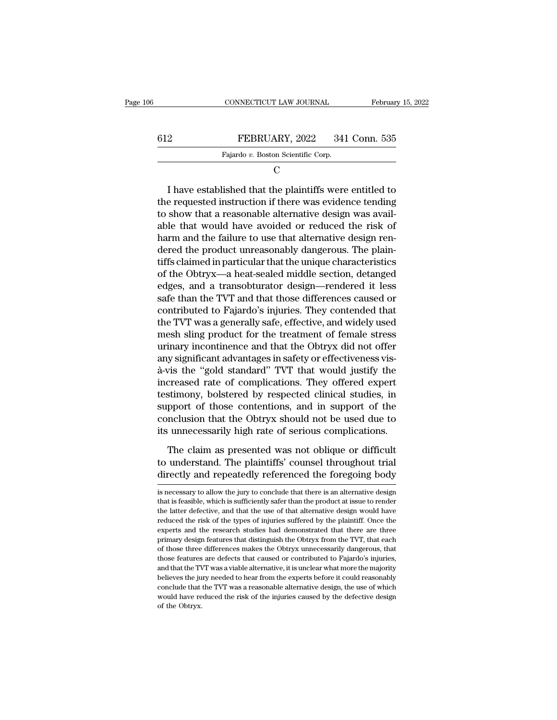| 6   | CONNECTICUT LAW JOURNAL            | February 15, 2022 |
|-----|------------------------------------|-------------------|
| 612 | FEBRUARY, 2022                     | 341 Conn. 535     |
|     | Fajardo v. Boston Scientific Corp. |                   |
|     |                                    |                   |

C<sub>c</sub>

FEBRUARY, 2022 341 Conn. 535<br>
Fajardo v. Boston Scientific Corp.<br>
C<br>
I have established that the plaintiffs were entitled to<br>
e requested instruction if there was evidence tending<br>
show that a reasonable alternative design FEBRUARY, 2022 341 Conn. 535<br>
Fajardo v. Boston Scientific Corp.<br>
C<br>
I have established that the plaintiffs were entitled to<br>
the requested instruction if there was evidence tending<br>
to show that a reasonable alternative FEBRUARY, 2022 341 Conn. 535<br>
Fajardo v. Boston Scientific Corp.<br>
C<br>
I have established that the plaintiffs were entitled to<br>
the requested instruction if there was evidence tending<br>
to show that a reasonable alternative d Fajardo v. Boston Scientific Corp.<br>
C<br>  $\Gamma$ <br>
I have established that the plaintiffs were entitled to<br>
the requested instruction if there was evidence tending<br>
to show that a reasonable alternative design was avail-<br>
able C<br>
I have established that the plaintiffs were entitled to<br>
the requested instruction if there was evidence tending<br>
to show that a reasonable alternative design was avail-<br>
able that would have avoided or reduced the risk I have established that the plaintiffs were entitled to<br>the requested instruction if there was evidence tending<br>to show that a reasonable alternative design was avail-<br>able that would have avoided or reduced the risk of<br>ha I have established that the plaintiffs were entitled to<br>the requested instruction if there was evidence tending<br>to show that a reasonable alternative design was avail-<br>able that would have avoided or reduced the risk of<br>ha the requested instruction if there was evidence tending<br>to show that a reasonable alternative design was avail-<br>able that would have avoided or reduced the risk of<br>harm and the failure to use that alternative design ren-<br>d to show that a reasonable alternative design was available that would have avoided or reduced the risk of harm and the failure to use that alternative design rendered the product unreasonably dangerous. The plaintiffs clai able that would have avoided or reduced the risk of<br>harm and the failure to use that alternative design ren-<br>dered the product unreasonably dangerous. The plain-<br>tiffs claimed in particular that the unique characteristics<br> harm and the failure to use that alternative design rendered the product unreasonably dangerous. The plaintiffs claimed in particular that the unique characteristics of the Obtryx—a heat-sealed middle section, detanged edg dered the product unreasonably dangerous. The plain-<br>tiffs claimed in particular that the unique characteristics<br>of the Obtryx—a heat-sealed middle section, detanged<br>edges, and a transobturator design—rendered it less<br>safe tiffs claimed in particular that the unique characteristics<br>of the Obtryx—a heat-sealed middle section, detanged<br>edges, and a transobturator design—rendered it less<br>safe than the TVT and that those differences caused or<br>co of the Obtryx—a heat-sealed middle section, detanged<br>edges, and a transobturator design—rendered it less<br>safe than the TVT and that those differences caused or<br>contributed to Fajardo's injuries. They contended that<br>the TVT edges, and a transobturator design—rendered it less<br>safe than the TVT and that those differences caused or<br>contributed to Fajardo's injuries. They contended that<br>the TVT was a generally safe, effective, and widely used<br>mes safe than the TVT and that those differences caused or<br>contributed to Fajardo's injuries. They contended that<br>the TVT was a generally safe, effective, and widely used<br>mesh sling product for the treatment of female stress<br>u contributed to Fajardo's injuries. They contended that<br>the TVT was a generally safe, effective, and widely used<br>mesh sling product for the treatment of female stress<br>urinary incontinence and that the Obtryx did not offer<br>a the TVT was a generally safe, effective, and widely used<br>mesh sling product for the treatment of female stress<br>urinary incontinence and that the Obtryx did not offer<br>any significant advantages in safety or effectiveness vi mesh sling product for the treatment of female stress<br>urinary incontinence and that the Obtryx did not offer<br>any significant advantages in safety or effectiveness vis-<br>à-vis the "gold standard" TVT that would justify the<br>i urinary incontinence and that the Obtryx did not offer<br>any significant advantages in safety or effectiveness vis-<br>à-vis the "gold standard" TVT that would justify the<br>increased rate of complications. They offered expert<br>te any significant advantages in safety or effectiveness vis-<br>à-vis the "gold standard" TVT that would justify the<br>increased rate of complications. They offered expert<br>testimony, bolstered by respected clinical studies, in<br>su creased rate of complications. They offered expert<br>stimony, bolstered by respected clinical studies, in<br>pport of those contentions, and in support of the<br>nclusion that the Obtryx should not be used due to<br>unnecessarily hig testimony, bolstered by respected clinical studies, in<br>support of those contentions, and in support of the<br>conclusion that the Obtryx should not be used due to<br>its unnecessarily high rate of serious complications.<br>The clai support of those contentions, and in support of the conclusion that the Obtryx should not be used due to its unnecessarily high rate of serious complications.<br>The claim as presented was not oblique or difficult to understa

The claim as presented was not oblique or difficult<br>to understand. The plaintiffs' counsel throughout trial<br>directly and repeatedly referenced the foregoing body<br>is necessary to allow the jury to conclude that there is an The claim as presented was not oblique or difficult<br>to understand. The plaintiffs' counsel throughout trial<br>directly and repeatedly referenced the foregoing body<br>is necessary to allow the jury to conclude that there is an

to understand. The plaintiffs' counsel throughout trial<br>directly and repeatedly referenced the foregoing body<br>is necessary to allow the jury to conclude that there is an alternative design<br>that is feasible, which is suffic directly and repeatedly referenced the foregoing body<br>is necessary to allow the jury to conclude that there is an alternative design<br>that is feasible, which is sufficiently safer than the product at issue to render<br>the lat experts and tepeatedly referenced the foregoing body<br>is necessary to allow the jury to conclude that there is an alternative design<br>that is feasible, which is sufficiently safer than the product at issue to render<br>the latt is necessary to allow the jury to conclude that there is an alternative design<br>that is feasible, which is sufficiently safer than the product at issue to render<br>the latter defective, and that the use of that alternative de that is feasible, which is sufficiently safer than the product at issue to render the latter defective, and that the use of that alternative design would have reduced the risk of the types of injuries suffered by the plain the latter defective, and that the use of that alternative design would have reduced the risk of the types of injuries suffered by the plaintiff. Once the experts and the research studies had demonstrated that there are th reduced the risk of the types of injuries suffered by the plaintiff. Once the experts and the research studies had demonstrated that there are three primary design features that distinguish the Obtryx from the TVT, that ea experts and the research studies had demonstrated that there are three experts and the research studies had demonstrated that there are three primary design features that distinguish the Obtryx from the TVT, that each of t experimally design features that distinguish the Obtryx from the TVT, that each of those three differences makes the Obtryx unnecessarily dangerous, that those features are defects that caused or contributed to Fajardo's i primally dangerous, that these differences makes the Obtryx unnecessarily dangerous, that those features are defects that caused or contributed to Fajardo's injuries, and that the TVT was a viable alternative, it is unclea of those three differences makes the Obtryx unnecessarily dangerous, that those features are defects that caused or contributed to Fajardo's injuries, and that the TVT was a viable alternative, it is unclear what more the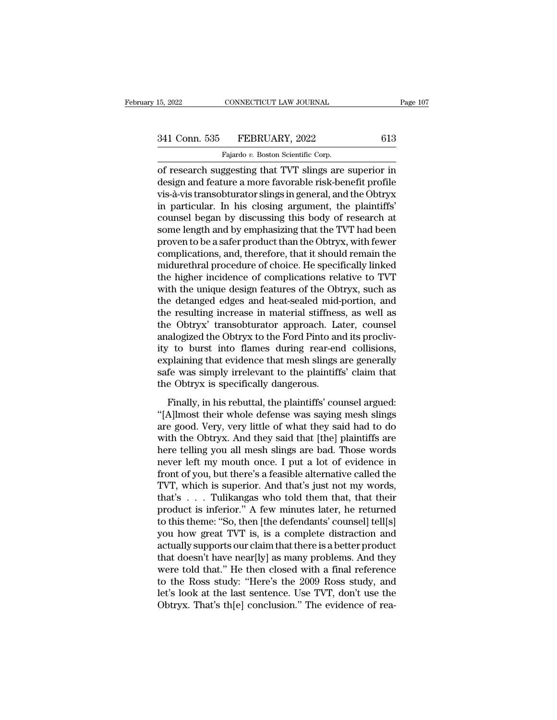## 15, 2022 CONNECTICUT LAW JOURNAL Page 107<br>341 Conn. 535 FEBRUARY, 2022 613<br>Fajardo v. Boston Scientific Corp. CONNECTICUT LAW JOURNAL<br>FEBRUARY, 2022<br>Fajardo *v.* Boston Scientific Corp.<br>ggesting that TVT slings are

15, 2022 CONNECTICUT LAW JOURNAL Page 107<br>
341 Conn. 535 FEBRUARY, 2022 613<br>
Fajardo v. Boston Scientific Corp.<br>
of research suggesting that TVT slings are superior in<br>
design and feature a more favorable risk-benefit prof 341 Conn. 535 FEBRUARY, 2022 613<br>Fajardo v. Boston Scientific Corp.<br>of research suggesting that TVT slings are superior in<br>design and feature a more favorable risk-benefit profile<br>vis-à-vis transobturator slings in general 341 Conn. 535 FEBRUARY, 2022 613<br>
Fajardo v. Boston Scientific Corp.<br>
of research suggesting that TVT slings are superior in<br>
design and feature a more favorable risk-benefit profile<br>
vis-à-vis transobturator slings in ge 341 Conn. 535 FEBRUARY, 2022 613<br>
Fajardo v. Boston Scientific Corp.<br>
of research suggesting that TVT slings are superior in<br>
design and feature a more favorable risk-benefit profile<br>
vis-à-vis transobturator slings in ge Fajardo v. Boston Scientific Corp.<br>
The Fajardo v. Boston Scientific Corp.<br>
design and feature a more favorable risk-benefit profile<br>
vis-à-vis transobturator slings in general, and the Obtryx<br>
in particular. In his closin Fajardo v. Boston Scientific Corp.<br>
of research suggesting that TVT slings are superior in<br>
design and feature a more favorable risk-benefit profile<br>
vis-à-vis transobturator slings in general, and the Obtryx<br>
in particula of research suggesting that TVT slings are superior in<br>design and feature a more favorable risk-benefit profile<br>vis-à-vis transobturator slings in general, and the Obtryx<br>in particular. In his closing argument, the plainti design and feature a more favorable risk-benefit profile<br>vis-à-vis transobturator slings in general, and the Obtryx<br>in particular. In his closing argument, the plaintiffs'<br>counsel began by discussing this body of research vis-à-vis transobturator slings in general, and the Obtryx<br>in particular. In his closing argument, the plaintiffs'<br>counsel began by discussing this body of research at<br>some length and by emphasizing that the TVT had been<br>p in particular. In his closing argument, the plaintiffs'<br>counsel began by discussing this body of research at<br>some length and by emphasizing that the TVT had been<br>proven to be a safer product than the Obtryx, with fewer<br>com counsel began by discussing this body of research at<br>some length and by emphasizing that the TVT had been<br>proven to be a safer product than the Obtryx, with fewer<br>complications, and, therefore, that it should remain the<br>mi some length and by emphasizing that the TVT had been<br>proven to be a safer product than the Obtryx, with fewer<br>complications, and, therefore, that it should remain the<br>midurethral procedure of choice. He specifically linked proven to be a safer product than the Obtryx, with fewer<br>complications, and, therefore, that it should remain the<br>midurethral procedure of choice. He specifically linked<br>the higher incidence of complications relative to TV complications, and, therefore, that it should remain the<br>midurethral procedure of choice. He specifically linked<br>the higher incidence of complications relative to TVT<br>with the unique design features of the Obtryx, such as<br> midurethral procedure of choice. He specifically linked<br>the higher incidence of complications relative to TVT<br>with the unique design features of the Obtryx, such as<br>the detanged edges and heat-sealed mid-portion, and<br>the r the higher incidence of complications relative to TVT<br>with the unique design features of the Obtryx, such as<br>the detanged edges and heat-sealed mid-portion, and<br>the resulting increase in material stiffness, as well as<br>the with the unique design features of the Obtryx, such as<br>the detanged edges and heat-sealed mid-portion, and<br>the resulting increase in material stiffness, as well as<br>the Obtryx' transobturator approach. Later, counsel<br>analog the detanged edges and heat-sealed mid-portion, and<br>the resulting increase in material stiffness, as well as<br>the Obtryx' transobturator approach. Later, counsel<br>analogized the Obtryx to the Ford Pinto and its procliv-<br>ity the resulting increase in material stiffness<br>the Obtryx' transobturator approach. La<br>analogized the Obtryx to the Ford Pinto an<br>ity to burst into flames during rear-en<br>explaining that evidence that mesh slings :<br>safe was s Finally, in his rebuttal, the plaintiffs' counsel alogized the Obtryx to the Ford Pinto and its proclivity to burst into flames during rear-end collisions, plaining that evidence that mesh slings are generally fe was simpl The burst into flames during rear-end collisions,<br>
explaining that evidence that mesh slings are generally<br>
safe was simply irrelevant to the plaintiffs' claim that<br>
the Obtryx is specifically dangerous.<br>
Finally, in his r

are good. Wery, we have the mean single can consider,<br>explaining that evidence that mesh slings are generally<br>safe was simply irrelevant to the plaintiffs' claim that<br>the Obtryx is specifically dangerous.<br>Finally, in his r Expraining and evidence and mesh sings are generally<br>safe was simply irrelevant to the plaintiffs' claim that<br>the Obtryx is specifically dangerous.<br>Finally, in his rebuttal, the plaintiffs' counsel argued:<br>"[A]lmost their the Obtryx is specifically dangerous.<br>
Finally, in his rebuttal, the plaintiffs' counsel argued:<br>
"[A]lmost their whole defense was saying mesh slings<br>
are good. Very, very little of what they said had to do<br>
with the Obtr Finally, in his rebuttal, the plaintiffs' counsel argued:<br>
"[A]lmost their whole defense was saying mesh slings<br>
are good. Very, very little of what they said had to do<br>
with the Obtryx. And they said that [the] plaintiffs Finally, in his rebuttal, the plaintiffs' counsel argued:<br>"[A]lmost their whole defense was saying mesh slings<br>are good. Very, very little of what they said had to do<br>with the Obtryx. And they said that [the] plaintiffs ar "[A]lmost their whole defense was saying mesh slings<br>are good. Very, very little of what they said had to do<br>with the Obtryx. And they said that [the] plaintiffs are<br>here telling you all mesh slings are bad. Those words<br>ne are good. Very, very little of what they said had to do<br>with the Obtryx. And they said that [the] plaintiffs are<br>here telling you all mesh slings are bad. Those words<br>never left my mouth once. I put a lot of evidence in<br>fr with the Obtryx. And they said that [the] plaintiffs are<br>here telling you all mesh slings are bad. Those words<br>never left my mouth once. I put a lot of evidence in<br>front of you, but there's a feasible alternative called th here telling you all mesh slings are bad. Those words<br>never left my mouth once. I put a lot of evidence in<br>front of you, but there's a feasible alternative called the<br>TVT, which is superior. And that's just not my words,<br>t never left my mouth once. I put a lot of evidence in<br>front of you, but there's a feasible alternative called the<br>TVT, which is superior. And that's just not my words,<br>that's . . . Tulikangas who told them that, that their<br> front of you, but there's a feasible alternative called the TVT, which is superior. And that's just not my words, that's . . . Tulikangas who told them that, that their product is inferior." A few minutes later, he return TVT, which is superior. And that's just not my words,<br>that's . . . Tulikangas who told them that, that their<br>product is inferior." A few minutes later, he returned<br>to this theme: "So, then [the defendants' counsel] tell[s that's . . . Tulikangas who told them that, that their<br>product is inferior." A few minutes later, he returned<br>to this theme: "So, then [the defendants' counsel] tell[s]<br>you how great TVT is, is a complete distraction and<br> product is inferior." A few minutes later, he returned<br>to this theme: "So, then [the defendants' counsel] tell[s]<br>you how great TVT is, is a complete distraction and<br>actually supports our claim that there is a better produ to this theme: "So, then [the defendants' counsel] tell[s]<br>you how great TVT is, is a complete distraction and<br>actually supports our claim that there is a better product<br>that doesn't have near[ly] as many problems. And the you how great TVT is, is a complete distraction and<br>actually supports our claim that there is a better product<br>that doesn't have near[ly] as many problems. And they<br>were told that." He then closed with a final reference<br>to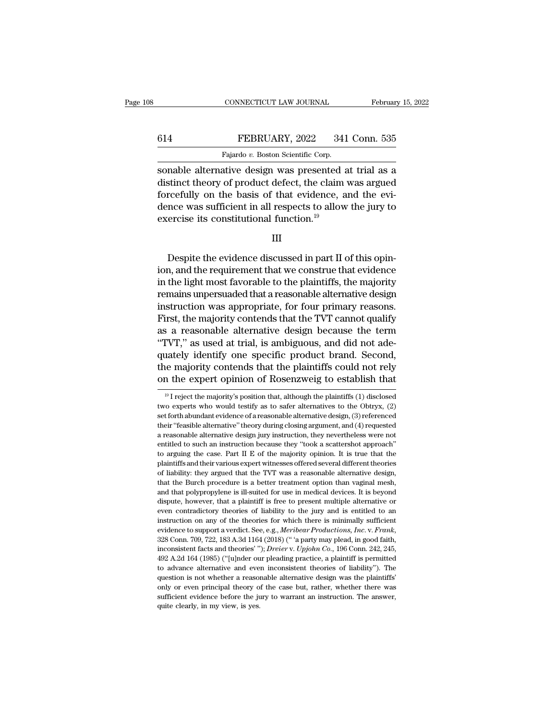## CONNECTICUT LAW JOURNAL February 15, 2022<br>614 FEBRUARY, 2022 341 Conn. 535<br>Fajardo v. Boston Scientific Corp. CONNECTICUT LAW JOURNAL Februar<br>
FEBRUARY, 2022 341 Conn. 535<br>
Fajardo *v.* Boston Scientific Corp.<br>
Sonable alternative design was presented at trial as a

CONNECTICUT LAW JOURNAL February 15, 2022<br>
FEBRUARY, 2022 341 Conn. 535<br>
Fajardo v. Boston Scientific Corp.<br>
Sonable alternative design was presented at trial as a<br>
distinct theory of product defect, the claim was argued<br> FEBRUARY, 2022 341 Conn. 535<br>Fajardo v. Boston Scientific Corp.<br>Sonable alternative design was presented at trial as a distinct theory of product defect, the claim was argued<br>forcefully on the basis of that evidence, and Forcefully on the basis of that evidence, and the jury to the basis of that evidence, and the evidence was sufficient in all respects to allow the jury to exercise its constitutional function  $19$ 614 FEBRUARY, 2022 341 Conn. 535<br>
Fajardo v. Boston Scientific Corp.<br>
sonable alternative design was presented at trial as a<br>
distinct theory of product defect, the claim was argued<br>
forcefully on the basis of that eviden Fajardo  $v$ . Boston Scientific Corp.<br>
sonable alternative design was presented and distinct theory of product defect, the claim<br>
forcefully on the basis of that evidence, a<br>
dence was sufficient in all respects to allow<br> Example the evidence discussed in part II of this opin-<br>Despite the evidence discussed in part II of this opin-<br>Despite the evidence discussed in part II of this opin-<br>n, and the requirement that we construe that evidence<br>

III

forcefully on the basis of that evidence, and the evidence was sufficient in all respects to allow the jury to exercise its constitutional function.<sup>19</sup><br>III<br>III<br>Despite the evidence discussed in part II of this opin-<br>ion, dence was sufficient in all respects to allow the jury to<br>exercise its constitutional function.<sup>19</sup><br>III<br>Despite the evidence discussed in part II of this opin-<br>ion, and the requirement that we construe that evidence<br>in the Exercise its constitutional function.<br>
III<br>
Under the evidence discussed in part II of this opin-<br>
ion, and the requirement that we construe that evidence<br>
in the light most favorable to the plaintiffs, the majority<br>
remai III<br>Despite the evidence discussed in part II of this opin-<br>ion, and the requirement that we construe that evidence<br>in the light most favorable to the plaintiffs, the majority<br>remains unpersuaded that a reasonable alternat Despite the evidence discussed in part II of this opin-<br>ion, and the requirement that we construe that evidence<br>in the light most favorable to the plaintiffs, the majority<br>remains unpersuaded that a reasonable alternative Despite the evidence discussed in part II of this opin-<br>ion, and the requirement that we construe that evidence<br>in the light most favorable to the plaintiffs, the majority<br>remains unpersuaded that a reasonable alternative ion, and the requirement that we construe that evidence<br>in the light most favorable to the plaintiffs, the majority<br>remains unpersuaded that a reasonable alternative design<br>instruction was appropriate, for four primary rea in the light most favorable to the plaintiffs, the majority<br>remains unpersuaded that a reasonable alternative design<br>instruction was appropriate, for four primary reasons.<br>First, the majority contends that the TVT cannot q remains unpersuaded that a reasonable alternative design<br>instruction was appropriate, for four primary reasons.<br>First, the majority contends that the TVT cannot qualify<br>as a reasonable alternative design because the term<br>" instruction was appropriate, for four primary reasons.<br>First, the majority contends that the TVT cannot qualify<br>as a reasonable alternative design because the term<br>"TVT," as used at trial, is ambiguous, and did not ade-<br>q "TVT," as used at trial, is ambiguous, and did not adequately identify one specific product brand. Second, the majority contends that the plaintiffs could not rely on the expert opinion of Rosenzweig to establish that  $\frac$ quately identify one specific product brand. Second,<br>the majority contends that the plaintiffs could not rely<br>on the expert opinion of Rosenzweig to establish that<br> $\frac{19}{1}$  reject the majority's position that, although

the majority contends that the plaintiffs could not rely<br>on the expert opinion of Rosenzweig to establish that<br> $\frac{19}{1}$  reject the majority's position that, although the plaintiffs (1) disclosed<br>two experts who would te on the expert opinion of Rosenzweig to establish that  $\frac{19}{1}$  reject the majority's position that, although the plaintiffs (1) disclosed two experts who would testify as to safer alternatives to the Obtryx, (2) set for a reasonable alternative design jury instruction, they nevertheless were not entitled to such an instruction because they "took a scattershot approach"  $(3)$  referenced their "feasible alternative" theory during closing a <sup>19</sup> I reject the majority's position that, although the plaintiffs (1) disclosed two experts who would testify as to safer alternatives to the Obtryx, (2) set forth abundant evidence of a reasonable alternative design, ( two experts who would testify as to safer alternatives to the Obtryx, (2) set forth abundant evidence of a reasonable alternative design, (3) referenced their "feasible alternative" theory during closing argument, and (4) set forth abundant evidence of a reasonable alternative design, (3) referenced their "feasible alternative" theory during closing argument, and (4) requested a reasonable alternative design jury instruction, they neverthel being their "feasible alternative" theory during closing argument, and (4) requested a reasonable alternative design jury instruction, they nevertheless were not entitled to such an instruction because they "took a scatte are assonable alternative design jury instruction, they nevertheless were not entitled to such an instruction because they "took a scattershot approach" to arguing the case. Part II E of the majority opinion. It is true th and that bouch an instruction because they "took a scattershot approach" to arguing the case. Part II E of the majority opinion. It is true that the plaintiffs and their various expert witnesses offered several different t to arguing the case. Part II E of the majority opinion. It is true that the plaintiffs and their various expert witnesses offered several different theories of liability: they argued that the TVT was a reasonable alternati plaintiffs and their various expert witnesses offered several different theories of liability: they argued that the TVT was a reasonable alternative design, that the Burch procedure is a better treatment option than vagina for liability: they argued that the TVT was a reasonable alternative design, of liability: they argued that the TVT was a reasonable alternative design, and that polypropylene is ill-suited for use in medical devices. It evidence to support a verdict. See, e.g., *Meribear Productions, Inc. a verdiction* than vaginal mesh, and that polypropylene is ill-suited for use in medical devices. It is beyond dispute, however, that a plaintiff is f dispute, however, that a plaintiff is free to present multiple alternative or<br>even contradictory theories of liability to the jury and is entitled to an<br>instruction on any of the theories for which there is minimally suffi are contradictory theories of liability to the jury and is entitled to an instruction on any of the theories for which there is minimally sufficient evidence to support a verdict. See, e.g., *Meribear Productions, Inc. v.* instruction on any of the theories for which there is minimally sufficient evidence to support a verdict. See, e.g., *Meribear Productions*, *Inc.* v. *Frank*, 328 Conn. 709, 722, 183 A.3d 1164 (2018) (" a party may plead, instruction on any of the theories for which there is minimally sufficient evidence to support a verdict. See, e.g., *Meribear Productions, Inc.* v. *Frank*, 328 Conn. 709, 722, 183 A.3d 1164 (2018) ("'a party may plead, 328 Conn. 709, 722, 183 A.3d 1164 (2018) ("'a party may plead, in good faith, inconsistent facts and theories'"); *Dreier* v. *Upjohn Co.*, 196 Conn. 242, 245, 492 A.2d 164 (1985) ("[u]nder our pleading practice, a plaint inconsistent facts and theories'"); Dreier v. Upjohn Co., 196 Conn. 242, 245, 492 A.2d 164 (1985) ("[u]nder our pleading practice, a plaintiff is permitted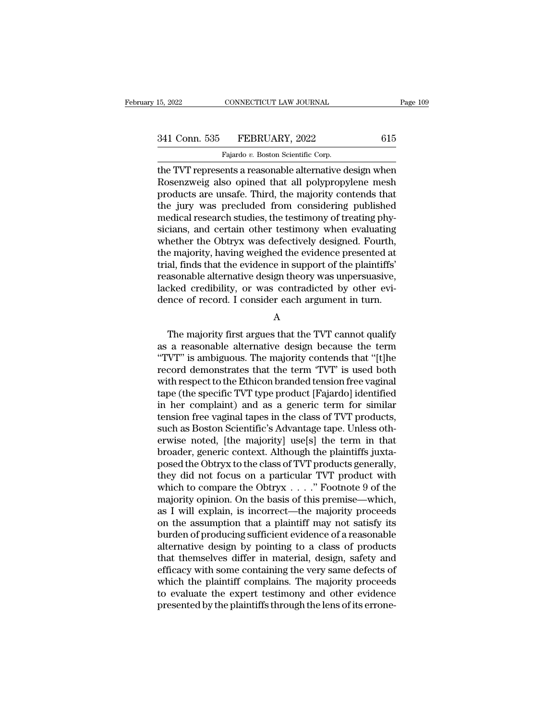# 15, 2022 CONNECTICUT LAW JOURNAL Page 109<br>341 Conn. 535 FEBRUARY, 2022 615<br>Fajardo v. Boston Scientific Corp.

15, 2022 CONNECTICUT LAW JOURNAL<br>
341 Conn. 535 FEBRUARY, 2022 615<br>
Fajardo *v.* Boston Scientific Corp.<br>
the TVT represents a reasonable alternative design when 15, 2022 CONNECTICUT LAW JOURNAL Page 109<br>
341 Conn. 535 FEBRUARY, 2022 615<br>
Fajardo v. Boston Scientific Corp.<br>
the TVT represents a reasonable alternative design when<br>
Rosenzweig also opined that all polypropylene mesh<br> 341 Conn. 535 FEBRUARY, 2022 615<br>Fajardo v. Boston Scientific Corp.<br>The TVT represents a reasonable alternative design when<br>Rosenzweig also opined that all polypropylene mesh<br>products are unsafe. Third, the majority conten  $\begin{array}{r} \text{341 Conn. } 535 \quad \text{FEBRUARY, } 2022 \quad \text{615} \ \text{15} \ \text{16} \ \text{17} \ \text{17} \ \text{18} \ \text{18} \ \text{19} \ \text{19} \ \text{19} \ \text{19} \ \text{19} \ \text{19} \ \text{19} \ \text{19} \ \text{19} \ \text{19} \ \text{19} \ \text{19} \ \text{19} \ \text{19} \ \text{19} \ \text{19} \ \text{19} \ \text{19} \ \text{19}$ 341 Conn. 535 FEBRUARY, 2022 615<br>
Fajardo v. Boston Scientific Corp.<br>
the TVT represents a reasonable alternative design when<br>
Rosenzweig also opined that all polypropylene mesh<br>
products are unsafe. Third, the majority c Fajardo v. Boston Scientific Corp.<br>
The TVT represents a reasonable alternative design when<br>
Rosenzweig also opined that all polypropylene mesh<br>
products are unsafe. Third, the majority contends that<br>
the jury was preclud Figure of Boston Scientific Corp.<br>
the TVT represents a reasonable alternative design when<br>
Rosenzweig also opined that all polypropylene mesh<br>
products are unsafe. Third, the majority contends that<br>
the jury was preclude the TVT represents a reasonable alternative design when<br>Rosenzweig also opined that all polypropylene mesh<br>products are unsafe. Third, the majority contends that<br>the jury was precluded from considering published<br>medical re Rosenzweig also opined that all polypropylene mesh<br>products are unsafe. Third, the majority contends that<br>the jury was precluded from considering published<br>medical research studies, the testimony of treating phy-<br>sicians, products are unsafe. Third, the majority contends that<br>the jury was precluded from considering published<br>medical research studies, the testimony of treating phy-<br>sicians, and certain other testimony when evaluating<br>whether the jury was precluded from considering published<br>medical research studies, the testimony of treating phy-<br>sicians, and certain other testimony when evaluating<br>whether the Obtryx was defectively designed. Fourth,<br>the major medical research studies, the testimony of treating physicians, and certain other testimony when evaluating<br>whether the Obtryx was defectively designed. Fourth,<br>the majority, having weighed the evidence presented at<br>trial, sicians, and certain other testimony when evaluating<br>whether the Obtryx was defectively designed. Fourth,<br>the majority, having weighed the evidence presented at<br>trial, finds that the evidence in support of the plaintiffs'<br> al, finds that the evidence in support of the plaintiffs'<br>asonable alternative design theory was unpersuasive,<br>cked credibility, or was contradicted by other evi-<br>nce of record. I consider each argument in turn.<br>A<br>The majo

A

reasonable alternative design theory was unpersuasive,<br>lacked credibility, or was contradicted by other evi-<br>dence of record. I consider each argument in turn.<br>A<br>The majority first argues that the TVT cannot qualify<br>as a r lacked credibility, or was contradicted by other evi-<br>dence of record. I consider each argument in turn.<br>A<br>The majority first argues that the TVT cannot qualify<br>as a reasonable alternative design because the term<br>"TVT" is dence of record. I consider each argument in turn.<br>
A<br>
The majority first argues that the TVT cannot qualify<br>
as a reasonable alternative design because the term<br>
"TVT" is ambiguous. The majority contends that "[t]he<br>
reco A<br>
The majority first argues that the TVT cannot qualify<br>
as a reasonable alternative design because the term<br>
"TVT" is ambiguous. The majority contends that "[t]he<br>
record demonstrates that the term "TVT" is used both<br>
wi The majority first argues that the TVT cannot qualify<br>as a reasonable alternative design because the term<br>"TVT" is ambiguous. The majority contends that "[t]he<br>record demonstrates that the term "TVT" is used both<br>with res The majority first argues that the TVT cannot qualify<br>as a reasonable alternative design because the term<br>"TVT" is ambiguous. The majority contends that "[t]he<br>record demonstrates that the term "TVT" is used both<br>with resp as a reasonable alternative design because the term<br>
"TVT" is ambiguous. The majority contends that "[t]he<br>
record demonstrates that the term "TVT" is used both<br>
with respect to the Ethicon branded tension free vaginal<br>
ta "TVT" is ambiguous. The majority contends that "[t]he<br>record demonstrates that the term "TVT" is used both<br>with respect to the Ethicon branded tension free vaginal<br>tape (the specific TVT type product [Fajardo] identified<br>i record demonstrates that the term 'TVT' is used both<br>with respect to the Ethicon branded tension free vaginal<br>tape (the specific TVT type product [Fajardo] identified<br>in her complaint) and as a generic term for similar<br>ten with respect to the Ethicon branded tension free vaginal<br>tape (the specific TVT type product [Fajardo] identified<br>in her complaint) and as a generic term for similar<br>tension free vaginal tapes in the class of TVT products, tape (the specific TVT type product [Fajardo] identified<br>in her complaint) and as a generic term for similar<br>tension free vaginal tapes in the class of TVT products,<br>such as Boston Scientific's Advantage tape. Unless oth-<br> in her complaint) and as a generic term for similar<br>tension free vaginal tapes in the class of TVT products,<br>such as Boston Scientific's Advantage tape. Unless oth-<br>erwise noted, [the majority] use[s] the term in that<br>bro tension free vaginal tapes in the class of TVT products,<br>such as Boston Scientific's Advantage tape. Unless oth-<br>erwise noted, [the majority] use[s] the term in that<br>broader, generic context. Although the plaintiffs juxtasuch as Boston Scientific's Advantage tape. Unless otherwise noted, [the majority] use[s] the term in that<br>broader, generic context. Although the plaintiffs juxta-<br>posed the Obtryx to the class of TVT products generally,<br>t erwise noted, [the majority] use[s] the term in that<br>broader, generic context. Although the plaintiffs juxta-<br>posed the Obtryx to the class of TVT products generally,<br>they did not focus on a particular TVT product with<br>wh broader, generic context. Although the plaintiffs juxtaposed the Obtryx to the class of TVT products generally,<br>they did not focus on a particular TVT product with<br>which to compare the Obtryx  $\dots$ ." Footnote 9 of the<br>majo posed the Obtryx to the class of TVT products generally,<br>they did not focus on a particular TVT product with<br>which to compare the Obtryx  $\dots$ ." Footnote 9 of the<br>majority opinion. On the basis of this premise—which,<br>as I they did not focus on a particular TVT product with<br>which to compare the Obtryx  $\dots$ ." Footnote 9 of the<br>majority opinion. On the basis of this premise—which,<br>as I will explain, is incorrect—the majority proceeds<br>on the a which to compare the Obtryx  $\dots$ ." Footnote 9 of the<br>majority opinion. On the basis of this premise—which,<br>as I will explain, is incorrect—the majority proceeds<br>on the assumption that a plaintiff may not satisfy its<br>burde majority opinion. On the basis of this premise—which,<br>as I will explain, is incorrect—the majority proceeds<br>on the assumption that a plaintiff may not satisfy its<br>burden of producing sufficient evidence of a reasonable<br>alt as I will explain, is incorrect—the majority proceeds<br>on the assumption that a plaintiff may not satisfy its<br>burden of producing sufficient evidence of a reasonable<br>alternative design by pointing to a class of products<br>tha on the assumption that a plaintiff may not satisfy its<br>burden of producing sufficient evidence of a reasonable<br>alternative design by pointing to a class of products<br>that themselves differ in material, design, safety and<br>ef burden of producing sufficient evidence of a reasonable alternative design by pointing to a class of products that themselves differ in material, design, safety and efficacy with some containing the very same defects of wh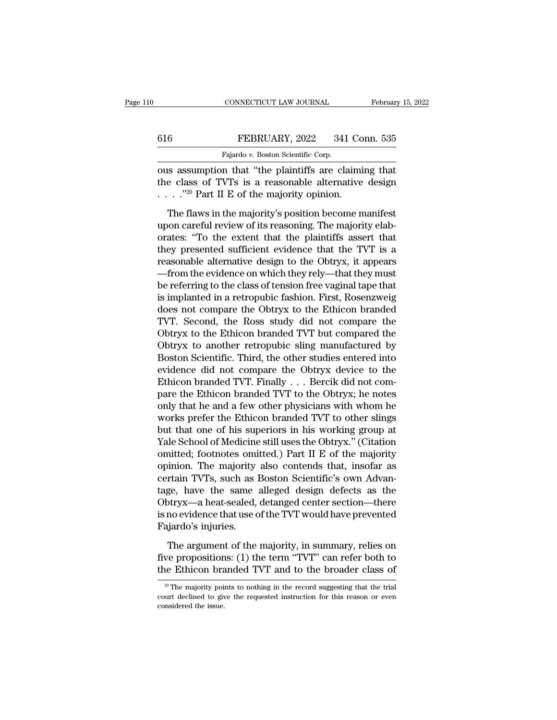|     | CONNECTICUT LAW JOURNAL                               | February 15, 2022 |
|-----|-------------------------------------------------------|-------------------|
|     |                                                       |                   |
| 616 | FEBRUARY, 2022                                        | 341 Conn. 535     |
|     | Fajardo v. Boston Scientific Corp.                    |                   |
|     | ous assumption that "the plaintiffs are claiming that |                   |

CONNECTICUT LAW JOURNAL February 15, 202<br>
February 15, 202<br>
Figure 15, 2022 341 Conn. 535<br>
Fajardo v. Boston Scientific Corp.<br>
The plaintiffs are claiming that<br>
the class of TVTs is a reasonable alternative design<br>
The cla 616 FEBRUARY, 2022 341 Conn. 535<br>Fajardo v. Boston Scientific Corp.<br>
ous assumption that "the plaintiffs are claiming that<br>
the class of TVTs is a reasonable alternative design<br>
....."<sup>20</sup> Part II E of the majority opinio 616 FEBRUARY, 2022 341 Co<br>
Fajardo v. Boston Scientific Corp.<br>
ous assumption that "the plaintiffs are claimi<br>
the class of TVTs is a reasonable alternative<br>  $\ldots$  ."<sup>20</sup> Part II E of the majority opinion.<br>
The flaws in t THEBRUARY, 2022 341 Conn. 535<br>
Fajardo v. Boston Scientific Corp.<br>
Is assumption that "the plaintiffs are claiming that<br>
e class of TVTs is a reasonable alternative design<br>
..."<sup>20</sup> Part II E of the majority opinion.<br>
The

Fajardo v. Boston Scientific Corp.<br>
ous assumption that "the plaintiffs are claiming that<br>
the class of TVTs is a reasonable alternative design<br>  $\ldots$  ."<sup>20</sup> Part II E of the majority opinion.<br>
The flaws in the majority's ous assumption that "the plaintiffs are claiming that<br>the class of TVTs is a reasonable alternative design<br> $\cdots$ ."<sup>20</sup> Part II E of the majority opinion.<br>The flaws in the majority's position become manifest<br>upon careful r the class of TVTs is a reasonable alternative design<br>  $\cdots$ ."<sup>20</sup> Part II E of the majority opinion.<br>
The flaws in the majority's position become manifest<br>
upon careful review of its reasoning. The majority elaborates: "T The flaws in the majority's position become manifest<br>upon careful review of its reasoning. The majority elaborates: "To the extent that the plaintiffs assert that<br>they presented sufficient evidence that the TVT is a<br>reaso The flaws in the majority's position become manifest<br>upon careful review of its reasoning. The majority elab-<br>orates: "To the extent that the plaintiffs assert that<br>they presented sufficient evidence that the TVT is a<br>reas The flaws in the majority's position become manifest<br>upon careful review of its reasoning. The majority elab-<br>orates: "To the extent that the plaintiffs assert that<br>they presented sufficient evidence that the TVT is a<br>reas upon careful review of its reasoning. The majority elaborates: "To the extent that the plaintiffs assert that<br>they presented sufficient evidence that the TVT is a<br>reasonable alternative design to the Obtryx, it appears<br>—fr orates: "To the extent that the plaintiffs assert that<br>they presented sufficient evidence that the TVT is a<br>reasonable alternative design to the Obtryx, it appears<br>—from the evidence on which they rely—that they must<br>be re they presented sufficient evidence that the TVT is a<br>reasonable alternative design to the Obtryx, it appears<br>—from the evidence on which they rely—that they must<br>be referring to the class of tension free vaginal tape that<br> reasonable alternative design to the Obtryx, it appears<br>—from the evidence on which they rely—that they must<br>be referring to the class of tension free vaginal tape that<br>is implanted in a retropubic fashion. First, Rosenzwe —from the evidence on which they rely—that they must<br>be referring to the class of tension free vaginal tape that<br>is implanted in a retropubic fashion. First, Rosenzweig<br>does not compare the Obtryx to the Ethicon branded<br>TV be referring to the class of tension free vaginal tape that<br>is implanted in a retropubic fashion. First, Rosenzweig<br>does not compare the Obtryx to the Ethicon branded<br>TVT. Second, the Ross study did not compare the<br>Obtryx is implanted in a retropubic fashion. First, Rosenzweig<br>does not compare the Obtryx to the Ethicon branded<br>TVT. Second, the Ross study did not compare the<br>Obtryx to the Ethicon branded TVT but compared the<br>Obtryx to anothe does not compare the Obtryx to the Ethicon branded TVT. Second, the Ross study did not compare the Obtryx to the Ethicon branded TVT but compared the Obtryx to another retropubic sling manufactured by Boston Scientific. Th TVT. Second, the Ross study did not compare the<br>Obtryx to the Ethicon branded TVT but compared the<br>Obtryx to another retropubic sling manufactured by<br>Boston Scientific. Third, the other studies entered into<br>evidence did n Obtryx to the Ethicon branded TVT but compared the<br>Obtryx to another retropubic sling manufactured by<br>Boston Scientific. Third, the other studies entered into<br>evidence did not compare the Obtryx device to the<br>Ethicon brand Obtryx to another retropubic sling manufactured by<br>Boston Scientific. Third, the other studies entered into<br>evidence did not compare the Obtryx device to the<br>Ethicon branded TVT. Finally . . . Bercik did not com-<br>pare the Boston Scientific. Third, the other studies entered into<br>evidence did not compare the Obtryx device to the<br>Ethicon branded TVT. Finally . . . Bercik did not com-<br>pare the Ethicon branded TVT to the Obtryx; he notes<br>only t evidence did not compare the Obtryx device to the<br>Ethicon branded TVT. Finally . . . Bercik did not com-<br>pare the Ethicon branded TVT to the Obtryx; he notes<br>only that he and a few other physicians with whom he<br>works prefe Ethicon branded TVT. Finally . . . Bercik did not compare the Ethicon branded TVT to the Obtryx; he notes<br>only that he and a few other physicians with whom he<br>works prefer the Ethicon branded TVT to other slings<br>but that o pare the Ethicon branded TVT to the Obtryx; he notes<br>only that he and a few other physicians with whom he<br>works prefer the Ethicon branded TVT to other slings<br>but that one of his superiors in his working group at<br>Yale Scho only that he and a few other physicians with whom he<br>works prefer the Ethicon branded TVT to other slings<br>but that one of his superiors in his working group at<br>Yale School of Medicine still uses the Obtryx." (Citation<br>omit works prefer the Ethicon branded TVT to other slings<br>but that one of his superiors in his working group at<br>Yale School of Medicine still uses the Obtryx." (Citation<br>omitted; footnotes omitted.) Part II E of the majority<br>op but that one of his superiors in his working group at<br>Yale School of Medicine still uses the Obtryx." (Citation<br>omitted; footnotes omitted.) Part II E of the majority<br>opinion. The majority also contends that, insofar as<br>ce Yale School of Medicine still uses the Obtryx." (Citation<br>omitted; footnotes omitted.) Part II E of the majority<br>opinion. The majority also contends that, insofar as<br>certain TVTs, such as Boston Scientific's own Advan-<br>tag omitted; footnotes ominopinion. The majority<br>certain TVTs, such as lage, have the same<br>Obtryx—a heat-sealed,<br>is no evidence that use of<br>Fajardo's injuries.<br>The argument of the rtain TVTs, such as Boston Scientific's own Advan-<br>ge, have the same alleged design defects as the<br>otryx—a heat-sealed, detanged center section—there<br>no evidence that use of the TVT would have prevented<br>giardo's injuries.<br> tage, have the same alleged design defects as the<br>Obtryx—a heat-sealed, detanged center section—there<br>is no evidence that use of the TVT would have prevented<br>Fajardo's injuries.<br>The argument of the majority, in summary, re Obtryx—a heat-sealed, detanged center section—there is no evidence that use of the TVT would have prevented Fajardo's injuries.<br>The argument of the majority, in summary, relies on five propositions: (1) the term "TVT" can

The argument of the majority, in summary, relies on<br>we propositions: (1) the term "TVT" can refer both to<br>the Ethicon branded TVT and to the broader class of<br> $\frac{20}{10}$  The majority points to nothing in the record sugges The argument of the majority, in summary, relies on five propositions: (1) the term "TVT" can refer both to the Ethicon branded TVT and to the broader class of  $\frac{1}{20}$  The majority points to nothing in the record sugge five proposition<br>the Ethicon bra<br> $\frac{20 \text{ T} \text{m}}{20 \text{ T}}$  majority poincourt declined to given<br>considered the issue.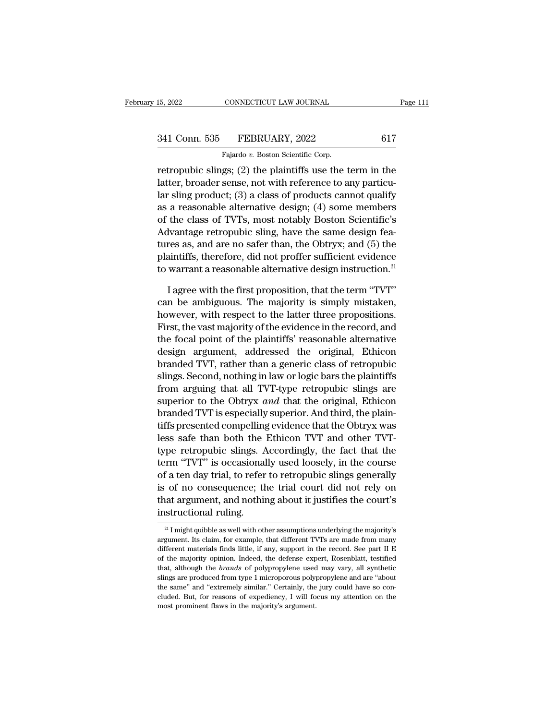retropubic slings; (2) the plaintiffs use the term in the<br>article slings; (2) the plaintiffs use the term in the<br>latter, broader sense, not with reference to any particular cling mechanic (2) a close of mechanic counct suc 341 Conn. 535 FEBRUARY, 2022 617<br>
Fajardo v. Boston Scientific Corp.<br>
retropubic slings; (2) the plaintiffs use the term in the<br>
latter, broader sense, not with reference to any particu-<br>
lar sling product; (3) a class of 341 Conn. 535 FEBRUARY, 2022 617<br>
Fajardo v. Boston Scientific Corp.<br>
retropubic slings; (2) the plaintiffs use the term in the<br>
latter, broader sense, not with reference to any particu-<br>
lar sling product; (3) a class of 341 Conn. 535 FEBRUARY, 2022 617<br>
Fajardo v. Boston Scientific Corp.<br>
retropubic slings; (2) the plaintiffs use the term in the<br>
latter, broader sense, not with reference to any particu-<br>
lar sling product; (3) a class of Fajardo v. Boston Scientific Corp.<br>
retropubic slings; (2) the plaintiffs use the term in the<br>
latter, broader sense, not with reference to any particu-<br>
lar sling product; (3) a class of products cannot qualify<br>
as a rea retropubic slings; (2) the plaintiffs use the term in the latter, broader sense, not with reference to any particular sling product; (3) a class of products cannot qualify as a reasonable alternative design; (4) some memb retropubic slings; (2) the plaintiffs use the term in the<br>latter, broader sense, not with reference to any particu-<br>lar sling product; (3) a class of products cannot qualify<br>as a reasonable alternative design; (4) some mem latter, broader sense, not with reference to any particu-<br>lar sling product; (3) a class of products cannot qualify<br>as a reasonable alternative design; (4) some members<br>of the class of TVTs, most notably Boston Scientific' Figure 1 are simpled atternative design; (4) some members<br>of the class of TVTs, most notably Boston Scientific's<br>Advantage retropubic sling, have the same design fea-<br>tures as, and are no safer than, the Obtryx; and (5) t the class of TVTs, most notably Boston Scientific's<br>dvantage retropubic sling, have the same design fea-<br>res as, and are no safer than, the Obtryx; and (5) the<br>aintiffs, therefore, did not proffer sufficient evidence<br>warra Advantage retropubic sling, have the same design fea-<br>tures as, and are no safer than, the Obtryx; and (5) the<br>plaintiffs, therefore, did not proffer sufficient evidence<br>to warrant a reasonable alternative design instruct

tures as, and are no safer than, the Obtryx; and (5) the plaintiffs, therefore, did not proffer sufficient evidence to warrant a reasonable alternative design instruction.<sup>21</sup> I agree with the first proposition, that the t plaintiffs, therefore, did not proffer sufficient evidence<br>to warrant a reasonable alternative design instruction.<sup>21</sup><br>I agree with the first proposition, that the term "TVT"<br>can be ambiguous. The majority is simply mistak to warrant a reasonable alternative design instruction.<sup>21</sup><br>
I agree with the first proposition, that the term "TVT"<br>
can be ambiguous. The majority is simply mistaken,<br>
however, with respect to the latter three propositi I agree with the first proposition, that the term "TVT"<br>can be ambiguous. The majority is simply mistaken,<br>however, with respect to the latter three propositions.<br>First, the vast majority of the evidence in the record, and I agree with the first proposition, that the term "TVT"<br>can be ambiguous. The majority is simply mistaken,<br>however, with respect to the latter three propositions.<br>First, the vast majority of the evidence in the record, an can be ambiguous. The majority is simply mistaken,<br>however, with respect to the latter three propositions.<br>First, the vast majority of the evidence in the record, and<br>the focal point of the plaintiffs' reasonable alternati however, with respect to the latter three propositions.<br>First, the vast majority of the evidence in the record, and<br>the focal point of the plaintiffs' reasonable alternative<br>design argument, addressed the original, Ethicon First, the vast majority of the evidence in the record, and<br>the focal point of the plaintiffs' reasonable alternative<br>design argument, addressed the original, Ethicon<br>branded TVT, rather than a generic class of retropubic<br> the tocal point of the plaintiffs' reasonable alternative<br>design argument, addressed the original, Ethicon<br>branded TVT, rather than a generic class of retropubic<br>slings. Second, nothing in law or logic bars the plaintiffs<br> design argument, addressed the original, Ethicon<br>branded TVT, rather than a generic class of retropubic<br>slings. Second, nothing in law or logic bars the plaintiffs<br>from arguing that all TVT-type retropubic slings are<br>super branded TVT, rather than a generic class of retropubic<br>slings. Second, nothing in law or logic bars the plaintiffs<br>from arguing that all TVT-type retropubic slings are<br>superior to the Obtryx *and* that the original, Ethico slings. Second, nothing in law or logic bars the plaintiffs<br>from arguing that all TVT-type retropubic slings are<br>superior to the Obtryx and that the original, Ethicon<br>branded TVT is especially superior. And third, the plai trom argung that all TVT-type retropublic slings are<br>superior to the Obtryx *and* that the original, Ethicon<br>branded TVT is especially superior. And third, the plain-<br>tiffs presented compelling evidence that the Obtryx was superior to the Obtryx *and* that the original, Ethicon<br>branded TVT is especially superior. And third, the plain-<br>tiffs presented compelling evidence that the Obtryx was<br>less safe than both the Ethicon TVT and other TVT-<br>t branded TVT is especially superior. And third, the plain-<br>tiffs presented compelling evidence that the Obtryx was<br>less safe than both the Ethicon TVT and other TVT-<br>type retropubic slings. Accordingly, the fact that the<br>te that argument argument and the Unity was less safe than both the Ethicon TVT and other TVT-<br>type retropubic slings. Accordingly, the fact that the<br>term "TVT" is occasionally used loosely, in the course<br>of a ten day trial, iess sate than both the<br>type retropubic slings. A<br>term "TVT" is occasional<br>of a ten day trial, to refer<br>is of no consequence; the<br>that argument, and nothin<br>instructional ruling. 21 I might quibble as well with other assumptions underlying the majority's astructional ruling.<br>
21 I might quibble as well with other assumptions underlying the majority's gument. Its claim, for example, that different T is of no consequence; the trial court did not rely on<br>that argument, and nothing about it justifies the court's<br>instructional ruling.<br> $\frac{21 \text{ I might qubble as well with other assumptions underlying the majority's}\text{argument. Its claim, for example, that different TVTs are made from many\text{different materials finds little, if any, support in the record. See part II E}$ 

that argument, and nothing about it justifies the court's<br>instructional ruling.<br> $\frac{1}{2}$  I might quibble as well with other assumptions underlying the majority's<br>argument. Its claim, for example, that different TVTs are **instructional ruling.**<br>
<sup>21</sup> I might quibble as well with other assumptions underlying the majority's argument. Its claim, for example, that different TVTs are made from many different materials finds little, if any, sup <sup>21</sup> I might quibble as well with other assumptions underlying the majority's argument. Its claim, for example, that different TVTs are made from many different materials finds little, if any, support in the record. See pa <sup>21</sup> I might quibble as well with other assumptions underlying the majority's argument. Its claim, for example, that different TVTs are made from many different materials finds little, if any, support in the record. See p argument. Its claim, for example, that different TVTs are made from many different materials finds little, if any, support in the record. See part II E of the majority opinion. Indeed, the defense expert, Rosenblatt, test different materials finds little, if any, support in the record. See part II E of the majority opinion. Indeed, the defense expert, Rosenblatt, testified that, although the *brands* of polypropylene used may vary, all synt of the majority opinion. Indeed, the defense expert, Rosenblatt, testified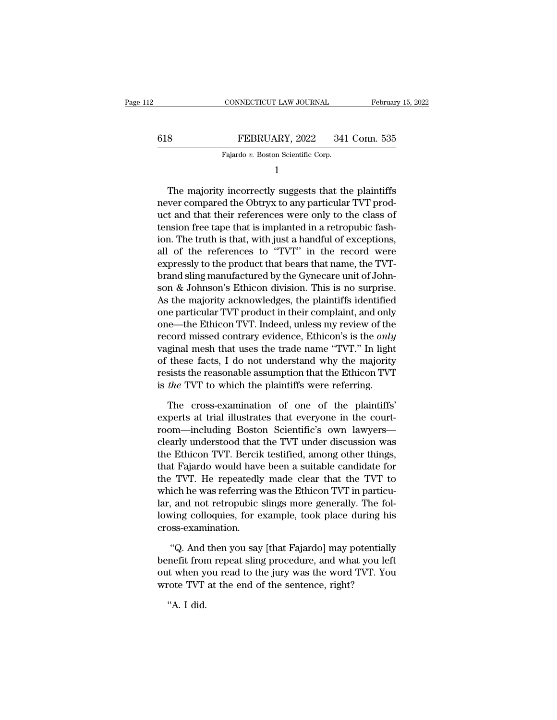| l2  | CONNECTICUT LAW JOURNAL            | February 15, 2022 |
|-----|------------------------------------|-------------------|
| 618 | FEBRUARY, 2022                     | 341 Conn. 535     |
|     | Fajardo v. Boston Scientific Corp. |                   |
|     |                                    |                   |

1

FEBRUARY, 2022 341 Conn. 535<br>
Fajardo v. Boston Scientific Corp.<br>
1<br>
The majority incorrectly suggests that the plaintiffs<br>
ver compared the Obtryx to any particular TVT prod-FEBRUARY, 2022 341 Conn. 535<br>
Fajardo v. Boston Scientific Corp.<br>
1<br>
The majority incorrectly suggests that the plaintiffs<br>
never compared the Obtryx to any particular TVT prod-<br>
uct and that their references were only to FEBROART, 2022 341 COMP. 355<br>Fajardo v. Boston Scientific Corp.<br>1<br>The majority incorrectly suggests that the plaintiffs<br>never compared the Obtryx to any particular TVT prod-<br>uct and that their references were only to the c Fajardo v. Boston Scientific Corp.<br>
1<br>
The majority incorrectly suggests that the plaintiffs<br>
never compared the Obtryx to any particular TVT prod-<br>
uct and that their references were only to the class of<br>
tension free ta <sup>1</sup><br>The majority incorrectly suggests that the plaintiffs<br>never compared the Obtryx to any particular TVT prod-<br>uct and that their references were only to the class of<br>tension free tape that is implanted in a retropubic fa The majority incorrectly suggests that the plaintiffs<br>never compared the Obtryx to any particular TVT prod-<br>uct and that their references were only to the class of<br>tension free tape that is implanted in a retropubic fash-<br> The majority incorrectly suggests that the plaintiffs<br>never compared the Obtryx to any particular TVT prod-<br>uct and that their references were only to the class of<br>tension free tape that is implanted in a retropubic fash-<br> never compared the Obtryx to any particular TVT product and that their references were only to the class of tension free tape that is implanted in a retropubic fashion. The truth is that, with just a handful of exceptions, uct and that their references were only to the class of<br>tension free tape that is implanted in a retropubic fash-<br>ion. The truth is that, with just a handful of exceptions,<br>all of the references to "TVT" in the record were tension free tape that is implanted in a retropubic fash-<br>ion. The truth is that, with just a handful of exceptions,<br>all of the references to "TVT" in the record were<br>expressly to the product that bears that name, the TVTion. The truth is that, with just a handful of exceptions,<br>all of the references to "TVT" in the record were<br>expressly to the product that bears that name, the TVT-<br>brand sling manufactured by the Gynecare unit of John-<br>so all of the references to "TVT" in the record were<br>expressly to the product that bears that name, the TVT-<br>brand sling manufactured by the Gynecare unit of John-<br>son & Johnson's Ethicon division. This is no surprise.<br>As the expressly to the product that bears that name, the TVT-<br>brand sling manufactured by the Gynecare unit of John-<br>son & Johnson's Ethicon division. This is no surprise.<br>As the majority acknowledges, the plaintiffs identified<br> brand sling manufactured by the Gynecare unit of Johnson & Johnson's Ethicon division. This is no surprise.<br>As the majority acknowledges, the plaintiffs identified<br>one particular TVT product in their complaint, and only<br>on son & Johnson's Ethicon division. This is no surprise.<br>As the majority acknowledges, the plaintiffs identified<br>one particular TVT product in their complaint, and only<br>one—the Ethicon TVT. Indeed, unless my review of the<br>re As the majority acknowledges, the plaintiffs identified<br>one particular TVT product in their complaint, and only<br>one—the Ethicon TVT. Indeed, unless my review of the<br>record missed contrary evidence, Ethicon's is the *only* one particular TVT product in their complaint, and only<br>
one—the Ethicon TVT. Indeed, unless my review of the<br>
record missed contrary evidence, Ethicon's is the *only*<br>
vaginal mesh that uses the trade name "TVT." In light cord missed contrary evidence, Ethicon's is the *only*<br>ginal mesh that uses the trade name "TVT." In light<br>these facts, I do not understand why the majority<br>sists the reasonable assumption that the Ethicon TVT<br>*the* TVT to vaginal mesh that uses the trade name "TVT." In light<br>of these facts, I do not understand why the majority<br>resists the reasonable assumption that the Ethicon TVT<br>is *the* TVT to which the plaintiffs were referring.<br>The cro

of these facts, I do not understand why the majority<br>resists the reasonable assumption that the Ethicon TVT<br>is *the* TVT to which the plaintiffs were referring.<br>The cross-examination of one of the plaintiffs'<br>experts at tr resists the reasonable assumption that the Ethicon TVT<br>is *the* TVT to which the plaintiffs were referring.<br>The cross-examination of one of the plaintiffs'<br>experts at trial illustrates that everyone in the court-<br>room—incl is *the* TVT to which the plaintiffs were referring.<br>The cross-examination of one of the plaintiffs'<br>experts at trial illustrates that everyone in the court-<br>room—including Boston Scientific's own lawyers—<br>clearly underst The cross-examination of one of the plaintiffs'<br>experts at trial illustrates that everyone in the court-<br>room—including Boston Scientific's own lawyers—<br>clearly understood that the TVT under discussion was<br>the Ethicon TVT. The cross-examination of one of the plaintiffs'<br>experts at trial illustrates that everyone in the court-<br>room—including Boston Scientific's own lawyers—<br>clearly understood that the TVT under discussion was<br>the Ethicon TVT. experts at trial illustrates that everyone in the court-<br>room—including Boston Scientific's own lawyers—<br>clearly understood that the TVT under discussion was<br>the Ethicon TVT. Bercik testified, among other things,<br>that Faja room—including Boston Scientific's own lawyers—<br>clearly understood that the TVT under discussion was<br>the Ethicon TVT. Bercik testified, among other things,<br>that Fajardo would have been a suitable candidate for<br>the TVT. He clearly understood that the TVT under discussion was<br>the Ethicon TVT. Bercik testified, among other things,<br>that Fajardo would have been a suitable candidate for<br>the TVT. He repeatedly made clear that the TVT to<br>which he w cross-examination. P. TVT. He repeatedly made clear that the TVT to<br>ich he was referring was the Ethicon TVT in particu-<br>, and not retropubic slings more generally. The fol-<br>ving colloquies, for example, took place during his<br>sss-examination which he was referring was the Ethicon TVT in particu-<br>lar, and not retropubic slings more generally. The fol-<br>lowing colloquies, for example, took place during his<br>cross-examination.<br>"Q. And then you say [that Fajardo] ma

lar, and not retropubic slings more generally. The fol-<br>lowing colloquies, for example, took place during his<br>cross-examination.<br>"Q. And then you say [that Fajardo] may potentially<br>benefit from repeat sling procedure, and lowing colloquies, for example, took place during his<br>cross-examination.<br>"Q. And then you say [that Fajardo] may potentially<br>benefit from repeat sling procedure, and what you left<br>out when you read to the jury was the word "Q. And<br>"Q. And<br>nefit fror<br>t when y<br>"A. I did.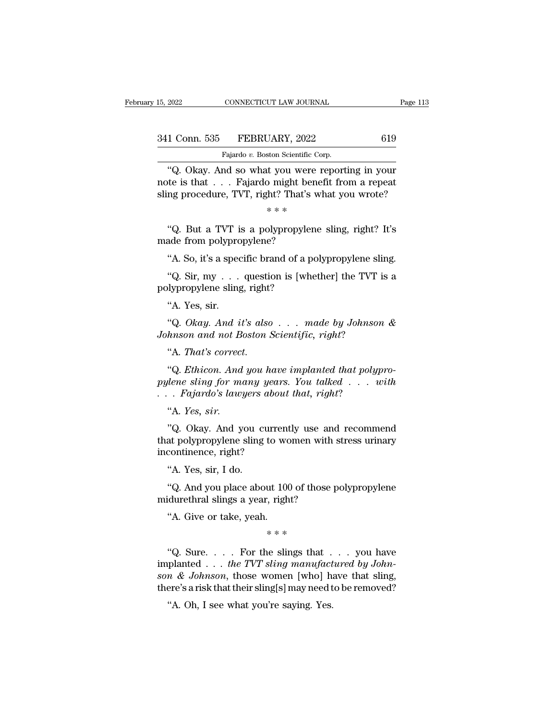| 15, 2022      | CONNECTICUT LAW JOURNAL                     | Page 113 |
|---------------|---------------------------------------------|----------|
| 341 Conn. 535 | FEBRUARY, 2022                              | 619      |
|               | Fajardo v. Boston Scientific Corp.          |          |
| $``\Omega$    | Okay And so what you were reporting in your |          |

<sup>2022</sup> CONNECTICUT LAW JOURNAL Page 113<br>
1 Conn. 535 FEBRUARY, 2022 619<br>
Fajardo v. Boston Scientific Corp.<br>
"Q. Okay. And so what you were reporting in your<br>
te is that . . . Fajardo might benefit from a repeat<br>
ng proced 341 Conn. 535 FEBRUARY, 2022 619<br>Fajardo v. Boston Scientific Corp.<br>"Q. Okay. And so what you were reporting in your note is that . . . Fajardo might benefit from a repeat sling procedure, TVT, right? That's what you wrote 341 Conn. 535 FEBRUARY, 2022 619<br>
Fajardo v. Boston Scientific Corp.<br>
"Q. Okay. And so what you were reporting in your note is that . . . Fajardo might benefit from a repeat sling procedure, TVT, right? That's what you wr Fajardo v. Boston Scientific Corp.<br>
"Q. Okay. And so what you were reporting in your note is that . . . Fajardo might benefit from a repeat sling procedure, TVT, right? That's what you wrote?<br>  $* * *$ <br>
"Q. But a TVT is a po Fajardo v. Boston Scientific Corp.<br>
"Q. Okay. And so what you were reporting in your<br>
te is that . . . Fajardo might benefit from a repeat<br>
ng procedure, TVT, right? That's what you wrote?<br>  $\ast \ast \ast$ <br>
"Q. But a TVT is a po "Q. Okay. And so what you were<br>note is that . . . Fajardo might ber<br>sling procedure, TVT, right? That's<br> $**$ <br>"Q. But a TVT is a polypropylene<br>made from polypropylene?<br>"A. So, it's a specific brand of a po

The issuance of the issuance of the state of the state. TVT, right? That's what you wrote?<br>  $**$ <br>
"Q. But a TVT is a polypropylene sling, right? It's<br>
ade from polypropylene?<br>
"A. So, it's a specific brand of a polypropylen  $** *$ <br>
"Q. But a TVT is a polypropylene sling, right? It's<br>
ade from polypropylene?<br>
"A. So, it's a specific brand of a polypropylene sling.<br>
"Q. Sir, my . . . question is [whether] the TVT is a<br>
dypropylene sling, right? "Q. But a TVT is a polypropylem<br>made from polypropylene?<br>"A. So, it's a specific brand of a po<br>"Q. Sir, my . . . question is [whe<br>polypropylene sling, right?<br>"A. Yes, sir.

made from polypropylene?<br>
"A. So, it's a specific brand of a polypropylene sling.<br>
"Q. Sir, my . . . question is [whether] the TVT is a polypropylene sling, right?<br>
"A. Yes, sir.<br>
"Q. Okay. And it's also . . . made by Joh % A. So, it's a specific brand of a polypropylene sling.<br>
"Q. Sir, my . . . question is [whether] the TVT is a<br>
dypropylene sling, right?<br>
"A. Yes, sir.<br>
"Q. *Okay. And it's also . . . made by Johnson &*<br> *hnson and not Bo A.* 50, it's a specific brand of a polypropylene sine "Q. Sir, my . . . question is [whether] the TVT is polypropylene sling, right?<br>"A. Yes, sir. "Q. Okay. And it's also . . . made by Johnson Johnson and not Boston Scien

Johnson and not Boston Scientific, right?<br>"A. *That's correct*.

A. Yes, sir.<br>
"Q. *Okay. And it's also* . . . made by Johnson &<br>
hnson and not Boston Scientific, right?<br>"A. That's correct.<br>"Q. Ethicon. And you have implanted that polypro-<br>
dene sling for many years. You talked . . . wi *Paylong Fig. 31.*<br> *pylene sling in the sling for many years. You talked . . . with*<br> *phnson and not Boston Scientific, right?*<br> *pylene sling for many years. You talked . . . with*<br> *pylene sling for many years. You tal A. Okay. And it's also* . . . made by Johnson<br>Johnson and not Boston Scientific, right?<br>
"A. That's correct.<br>
"Q. Ethicon. And you have implanted that polyp<br>
pylene sling for many years. You talked . . . w<br>
. . . Fajardo' rmson ana not Be<br>"A. *That's correct"*<br>"Q. *Ethicon. And*<br>*lene sling for mo<br>. Fajardo's lawy*<br>"A. *Yes, sir.*<br>"Q. Okay. And you A. Thut's correct.<br>
"Q. Ethicon. And you have implanted that polypro-<br>
ilene sling for many years. You talked . . . with<br>
. Fajardo's lawyers about that, right?<br>
"A. Yes, sir.<br>
"Q. Okay. And you currently use and recommend

"Q. Ethicon. And you have implanted that polypro-<br>pylene sling for many years. You talked . . . with<br>. . . Fajardo's lawyers about that, right?<br>"A. Yes, sir.<br>"Q. Okay. And you currently use and recommend<br>that polypropylen pylene sling for many year.<br>
. . . Fajardo's lawyers abou<br>
"A. Yes, sir.<br>
"Q. Okay. And you currenthat polypropylene sling to wincontinence, right?<br>
"A. Yes, sir, I do. Tujarao's tatypers<br>
"A. *Yes, sir.*<br>
"Q. Okay. And you continence, right?"<br>
A. Yes, sir, I do.<br>
"Q. And you place abo A. 1es, str.<br>
"Q. Okay. And you currently use and recommend<br>
at polypropylene sling to women with stress urinary<br>
continence, right?<br>
"A. Yes, sir, I do.<br>
"Q. And you place about 100 of those polypropylene<br>
idurethral slin "Q. Okay. And you currently use and<br>that polypropylene sling to women with s<br>incontinence, right?<br>"A. Yes, sir, I do.<br>"Q. And you place about 100 of those p<br>midurethral slings a year, right?<br>"A. Give or take, yeah.

at polypropylene sing to we<br>
continence, right?<br>
"A. Yes, sir, I do.<br>
"Q. And you place about 100<br>
idurethral slings a year, righ<br>"A. Give or take, yeah.<br>\*\*\* ut 100 of those<br>', right?<br>\* \* \*<br>e slings that

"Q. And you place about 100 of those polypropylene<br>
idurethral slings a year, right?<br>
"A. Give or take, yeah.<br>  $**$ <br>
"Q. Sure.... For the slings that ... you have<br>
planted ... *the TVT sling manufactured by John-*<br>  $\frac{R}{1$ Let the Bings a year, right?<br>
"A. Give or take, yeah.<br>
"A. Give or take, yeah.<br>
"A. Sive or take, yeah.<br>
"A. Sive or take, yeah.<br>
"A. Sive or take, yeah.<br>
"A. Sive or take, yeah.<br>
"A. Sive or take, yeah.<br>
"A. Sive or take, <sup>8</sup> A. Give or take, yeah.<br>
<sup>\*</sup> \* \*<br>
<sup>\*</sup> Q. Sure. . . . . For the slings that . . . you have implanted . . . the TVT sling manufactured by Johnson & Johnson, those women [who] have that sling, there's a risk that their sli "A. Give or take, yeah.<br>  $***$ <br>
"Q. Sure. . . . For the slings that . . . you have<br>
implanted . . . the TVT sling manufactured by John-<br>
son & Johnson, those women [who] have that sling,<br>
there's a risk that their sling[s]  $**$ <br>
"Q. Sure. . . . For the slings that .<br>
planted . . . the TVT sling manufact<br>
m & Johnson, those women [who] h:<br>
ere's a risk that their sling[s] may need t<br>
"A. Oh, I see what you're saying. Yes.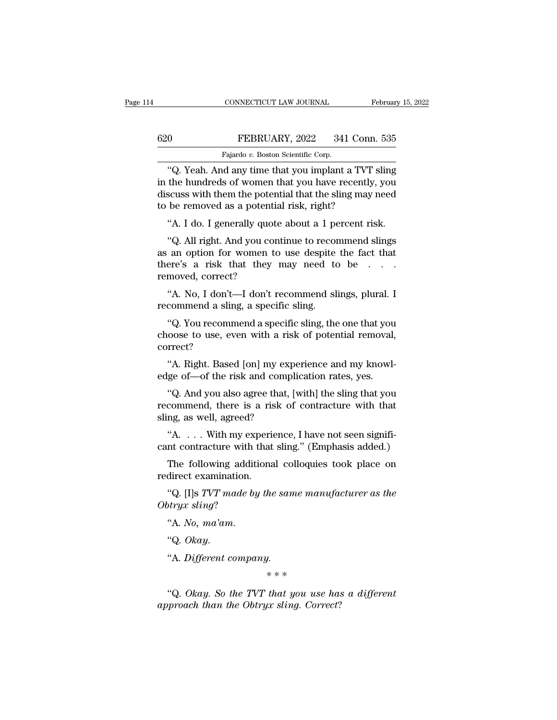## CONNECTICUT LAW JOURNAL February 15, 2022<br>620 FEBRUARY, 2022 341 Conn. 535<br>Fajardo v. Boston Scientific Corp. CONNECTICUT LAW JOURNAL Februar<br>
Februar<br>
Fajardo *v.* Boston Scientific Corp.<br>
"Q. Yeah. And any time that you implant a TVT sling

CONNECTICUT LAW JOURNAL February 15, 2022<br>
O FEBRUARY, 2022 341 Conn. 535<br>
Fajardo v. Boston Scientific Corp.<br>
"Q. Yeah. And any time that you implant a TVT sling<br>
the hundreds of women that you have recently, you FEBRUARY, 2022 341 Conn. 535<br>Fajardo v. Boston Scientific Corp.<br>"Q. Yeah. And any time that you implant a TVT sling<br>in the hundreds of women that you have recently, you<br>discuss with them the potential that the sling may ne 620 FEBRUARY, 2022 341 Conn. 535<br>Fajardo v. Boston Scientific Corp.<br>"Q. Yeah. And any time that you implant a TVT sling<br>in the hundreds of women that you have recently, you<br>discuss with them the potential that the sling m FEBRUARY, 2022 341 Conn<br>Fajardo v. Boston Scientific Corp.<br>"Q. Yeah. And any time that you implant a TVT<br>in the hundreds of women that you have recently<br>discuss with them the potential that the sling may<br>to be removed as a Fajardo v. Boston Scientific Corp.<br>
"Q. Yeah. And any time that you implant a TVT sling<br>
the hundreds of women that you have recently, you<br>
scuss with them the potential that the sling may need<br>
be removed as a potential "Q. Yeah. And any time that you implant a TVT sling<br>the hundreds of women that you have recently, you<br>scuss with them the potential that the sling may need<br>be removed as a potential risk, right?<br>"A. I do. I generally quote

in the hundreds of women that you have recently, you<br>discuss with them the potential that the sling may need<br>to be removed as a potential risk, right?<br>"A. I do. I generally quote about a 1 percent risk.<br>"Q. All right. And discuss with them the potential that the sling may need<br>to be removed as a potential risk, right?<br>"A. I do. I generally quote about a 1 percent risk.<br>"Q. All right. And you continue to recommend slings<br>as an option for wom to be removed as a potenti<br>
"A. I do. I generally quot<br>
"Q. All right. And you cor<br>
as an option for women to<br>
there's a risk that they<br>
removed, correct?<br>
"A. No, I don't—I don't r "A. I do. I generally quote about a 1 percent risk.<br>"Q. All right. And you continue to recommend slings<br>an option for women to use despite the fact that<br>ere's a risk that they may need to be . . .<br>moved, correct?<br>"A. No, I "Q. All right. And you continue to recompase an option for women to use despite<br>there's a risk that they may need to<br>removed, correct?<br>"A. No, I don't—I don't recommend sl<br>recommend a sling, a specific sling.<br>"Q. You recom an option for women to use despite the fact that<br>
ere's a risk that they may need to be . . .<br>
"A. No, I don't—I don't recommend slings, plural. I<br>
commend a sling, a specific sling.<br>
"Q. You recommend a specific sling, th

there's a risk that they may need to be . . . .<br>removed, correct?<br>"A. No, I don't—I don't recommend slings, plural. I<br>recommend a sling, a specific sling.<br>"Q. You recommend a specific sling, the one that you<br>choose to use, correct? "A. No, I don't—I don't recommend slings, plural. I<br>recommend a sling, a specific sling.<br>"Q. You recommend a specific sling, the one that you<br>choose to use, even with a risk of potential removal,<br>correct?<br>"A. Right. Based recommend a sling, a specific sling.<br>
"Q. You recommend a specific sling, the one that you<br>
choose to use, even with a risk of potential removal,<br>
correct?<br>
"A. Right. Based [on] my experience and my knowl-<br>
edge of—of the "Q. You recommend a specific sling, the one that you<br>coose to use, even with a risk of potential removal,<br>rrect?<br>"A. Right. Based [on] my experience and my knowl-<br>ge of—of the risk and complication rates, yes.<br>"Q. And you

correct?<br>
"A. Right. Based [on] my experience and my knowl-<br>
edge of—of the risk and complication rates, yes.<br>
"Q. And you also agree that, [with] the sling that you<br>
recommend, there is a risk of contracture with that<br>
sl correct?<br>
"A. Right. Based [on] my exp<br>
edge of—of the risk and comp!<br>
"Q. And you also agree that, |<br>
recommend, there is a risk of<br>
sling, as well, agreed?<br>
"A. . . . With my experience "Q. And you also agree that, [with] the sling that you<br>recommend, there is a risk of contracture with that<br>sling, as well, agreed?<br>"A. . . . With my experience, I have not seen signifi-<br>cant contracture with that sling." ( edge of—of the risk and complication rates, yes.<br>
"Q. And you also agree that, [with] the sling that you<br>
recommend, there is a risk of contracture with that<br>
sling, as well, agreed?<br>
"A. . . . With my experience, I have n "Q. And you also agree that, [with] the sling that you<br>commend, there is a risk of contracture with that<br>ng, as well, agreed?<br>"A. . . . With my experience, I have not seen signifi-<br>nt contracture with that sling." (Emphasi recommend, there is a ris<br>sling, as well, agreed?<br>"A. . . . With my experies<br>cant contracture with that<br>The following additional<br>redirect examination.<br>"Q. [I]s *TVT made by the* 

<sup>1</sup>g, as wen, agreed:<br>
"A. . . . With my experience, I have not seen signifi-<br>
nt contracture with that sling." (Emphasis added.)<br>
The following additional colloquies took place on<br>
direct examination.<br>
"Q. [I]s *TVT made* "A. . . . With my exp<br>cant contracture with t<br>The following additi<br>redirect examination.<br>"Q. [I]s *TVT made by*<br>Obtryx sling?<br>"A. No, ma'am. In contracture with the following addition<br>direct examination.<br>"Q. [I]s *TVT made by*<br>*Mryx sling*?<br>"A. *No, ma'am.*<br>"Q. *Okay.* 

"Q. [I]s *TVT made by the sam*<br>*otryx sling*?<br>"A. *No, ma'am.*<br>"Q. *Okay.*<br>"A. *Different company.* 

''Q. *Okay*.

 $^{\ast}$  \*  $^{\ast}$  \*  $^{\ast}$ <br>that you use "A. *No, ma*'am.<br>"Q. *Okay.*<br>"A. *Different company.*<br>"So the TVT that you use has a different<br>"Q. *Okay. So the TVT that you use has a different*<br>proach than the *Obtryx sling. Correct*? *approach than the Obtryx sling. Correct*?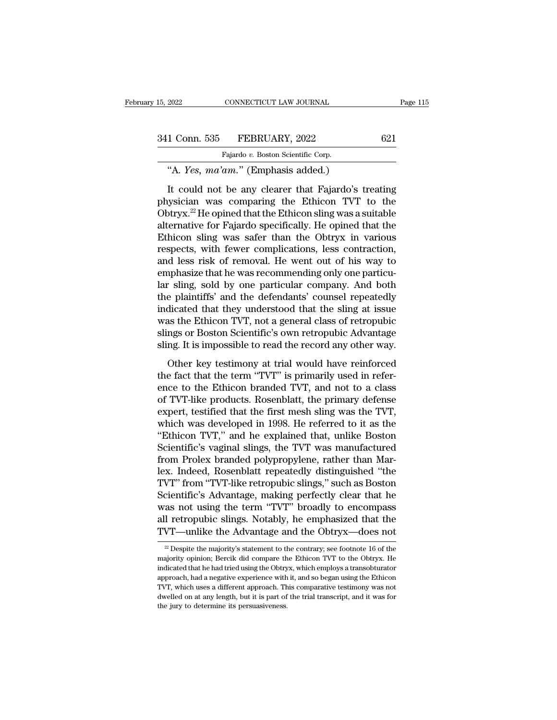| 341 Conn. 535 | FEBRUARY, 2022 |  |
|---------------|----------------|--|
|               |                |  |

| 15, 2022      | CONNECTICUT LAW JOURNAL                             | Page 115 |
|---------------|-----------------------------------------------------|----------|
|               |                                                     |          |
| 341 Conn. 535 | FEBRUARY, 2022                                      | 621      |
|               | Fajardo v. Boston Scientific Corp.                  |          |
|               | "A. Yes, ma'am." (Emphasis added.)                  |          |
|               | It could not be any clearer that Fajardo's treating |          |

1 Conn. 535 FEBRUARY, 2022 621<br>
Fajardo v. Boston Scientific Corp.<br>
"A. *Yes, ma'am*." (Emphasis added.)<br>
It could not be any clearer that Fajardo's treating<br>
sysician was comparing the Ethicon TVT to the<br>
stray  $^{22}$  He 341 Conn. 535 FEBRUARY, 2022 621<br>
Fajardo v. Boston Scientific Corp.<br>
"A. *Yes, ma'am*." (Emphasis added.)<br>
It could not be any clearer that Fajardo's treating<br>
physician was comparing the Ethicon TVT to the<br>
Obtryx.<sup>22</sup> 341 Conn. 535 FEBRUARY, 2022 621<br>
Fajardo v. Boston Scientific Corp.<br>
"A. *Yes, ma'am.*" (Emphasis added.)<br>
It could not be any clearer that Fajardo's treating<br>
physician was comparing the Ethicon TVT to the<br>
Obtryx.<sup>22</sup> Fajardo v. Boston Scientific Corp.<br>
"A. *Yes*,  $ma'am$ ." (Emphasis added.)<br>
It could not be any clearer that Fajardo's treating<br>
physician was comparing the Ethicon TVT to the<br>
Obtryx.<sup>22</sup> He opined that the Ethicon sling w "A. *Yes, ma'am.*" (Emphasis added.)<br>It could not be any clearer that Fajardo's treating<br>physician was comparing the Ethicon TVT to the<br>Obtryx.<sup>22</sup> He opined that the Ethicon sling was a suitable<br>alternative for Fajardo s It could not be any clearer that Fajardo's treating<br>physician was comparing the Ethicon TVT to the<br>Obtryx.<sup>22</sup> He opined that the Ethicon sling was a suitable<br>alternative for Fajardo specifically. He opined that the<br>Ethico It could not be any clearer that Fajardo's treating<br>physician was comparing the Ethicon TVT to the<br>Obtryx.<sup>22</sup> He opined that the Ethicon sling was a suitable<br>alternative for Fajardo specifically. He opined that the<br>Ethico physician was comparing the Ethicon TVT to the<br>Obtryx.<sup>22</sup> He opined that the Ethicon sling was a suitable<br>alternative for Fajardo specifically. He opined that the<br>Ethicon sling was safer than the Obtryx in various<br>respect Obtryx.<sup>22</sup> He opined that the Ethicon sling was a suitable<br>alternative for Fajardo specifically. He opined that the<br>Ethicon sling was safer than the Obtryx in various<br>respects, with fewer complications, less contraction,<br> alternative for Fajardo specifically. He opined that the<br>Ethicon sling was safer than the Obtryx in various<br>respects, with fewer complications, less contraction,<br>and less risk of removal. He went out of his way to<br>emphasiz Ethicon sling was safer than the Obtryx in various<br>respects, with fewer complications, less contraction,<br>and less risk of removal. He went out of his way to<br>emphasize that he was recommending only one particu-<br>lar sling, s respects, with fewer complications, less contraction,<br>and less risk of removal. He went out of his way to<br>emphasize that he was recommending only one particu-<br>lar sling, sold by one particular company. And both<br>the plainti and less risk of removal. He went out of his way to<br>emphasize that he was recommending only one particu-<br>lar sling, sold by one particular company. And both<br>the plaintiffs' and the defendants' counsel repeatedly<br>indicated emphasize that he was recommending only one particular sling, sold by one particular company. And both the plaintiffs' and the defendants' counsel repeatedly indicated that they understood that the sling at issue was the E Example 18 and the defendants' counsel repeatedly<br>
e plaintiffs' and the defendants' counsel repeatedly<br>
dicated that they understood that the sling at issue<br>
as the Ethicon TVT, not a general class of retropubic<br>
mgs or B the plaintiffs' and the defendants' counsel repeatedly<br>indicated that they understood that the sling at issue<br>was the Ethicon TVT, not a general class of retropubic<br>slings or Boston Scientific's own retropubic Advantage<br>sl

mateured that they and the comparison that the sang at size<br>was the Ethicon TVT, not a general class of retropubic<br>slings or Boston Scientific's own retropubic Advantage<br>sling. It is impossible to read the record any other slings or Boston Scientific's own retropubic Advantage<br>sling. It is impossible to read the record any other way.<br>Other key testimony at trial would have reinforced<br>the fact that the term "TVT" is primarily used in refer-<br> experience that the record any other way.<br>
Other key testimony at trial would have reinforced<br>
the fact that the term "TVT" is primarily used in refer-<br>
ence to the Ethicon branded TVT, and not to a class<br>
of TVT-like prod Other key testimony at trial would have reinforced<br>the fact that the term "TVT" is primarily used in refer-<br>ence to the Ethicon branded TVT, and not to a class<br>of TVT-like products. Rosenblatt, the primary defense<br>expert, Other key testimony at trial would have reinforced<br>the fact that the term "TVT" is primarily used in refer-<br>ence to the Ethicon branded TVT, and not to a class<br>of TVT-like products. Rosenblatt, the primary defense<br>expert, the fact that the term "TVT" is primarily used in reference to the Ethicon branded TVT, and not to a class<br>of TVT-like products. Rosenblatt, the primary defense<br>expert, testified that the first mesh sling was the TVT,<br>whic ence to the Ethicon branded TVT, and not to a class<br>of TVT-like products. Rosenblatt, the primary defense<br>expert, testified that the first mesh sling was the TVT,<br>which was developed in 1998. He referred to it as the<br>"Ethi of TVT-like products. Rosenblatt, the primary defense<br>expert, testified that the first mesh sling was the TVT,<br>which was developed in 1998. He referred to it as the<br>"Ethicon TVT," and he explained that, unlike Boston<br>Scien expert, testified that the first mesh sling was the TVT,<br>which was developed in 1998. He referred to it as the<br>"Ethicon TVT," and he explained that, unlike Boston<br>Scientific's vaginal slings, the TVT was manufactured<br>from which was developed in 1998. He referred to it as the "Ethicon TVT," and he explained that, unlike Boston<br>Scientific's vaginal slings, the TVT was manufactured<br>from Prolex branded polypropylene, rather than Mar-<br>lex. Indee "Ethicon TVT," and he explained that, unlike Boston<br>Scientific's vaginal slings, the TVT was manufactured<br>from Prolex branded polypropylene, rather than Mar-<br>lex. Indeed, Rosenblatt repeatedly distinguished "the<br>TVT" from Scientific's vaginal slings, the TVT was manufactured<br>from Prolex branded polypropylene, rather than Mar-<br>lex. Indeed, Rosenblatt repeatedly distinguished "the<br>TVT" from "TVT-like retropubic slings," such as Boston<br>Scienti from Prolex branded polypropylene, rather than Marlex. Indeed, Rosenblatt repeatedly distinguished "the TVT" from "TVT-like retropubic slings," such as Boston Scientific's Advantage, making perfectly clear that he was not clentifics Advantage, making perfectly clear that net<br>as not using the term "TVT" broadly to encompass<br>1 retropubic slings. Notably, he emphasized that the<br>VT—unlike the Advantage and the Obtryx—does not<br><sup>22</sup> Despite the m was not using the term "TVT" broadly to encompass<br>all retropubic slings. Notably, he emphasized that the<br>TVT—unlike the Advantage and the Obtryx—does not<br> $\frac{2}{x}$  Despite the majority's statement to the contrary; see foo

all retropubic slings. Notably, he emphasized that the TVT—unlike the Advantage and the Obtryx—does not  $\frac{1}{2}$  Despite the majority's statement to the contrary; see footnote 16 of the majority opinion; Bercik did compa TVT—unlike the Advantage and the Obtryx—does not<br> $\frac{20}{2}$  Despite the majority's statement to the contrary; see footnote 16 of the<br>majority opinion; Bercik did compare the Ethicon TVT to the Obtryx. He<br>indicated that he TVT—utilike the Advantage and the Obtryx—does not<br><sup>22</sup> Despite the majority's statement to the contrary; see footnote 16 of the<br>majority opinion; Bercik did compare the Ethicon TVT to the Obtryx. He<br>indicated that he had <sup>22</sup> Despite the majority's statement to the contrary; see footnote 16 of the majority opinion; Bercik did compare the Ethicon TVT to the Obtryx. He indicated that he had tried using the Obtryx, which employs a transobtur majority opinion; Bercik did compare the Ethicon TVT to the Obtryx. He indicated that he had tried using the Obtryx, which employs a transobturator approach, had a negative experience with it, and so began using the Ethico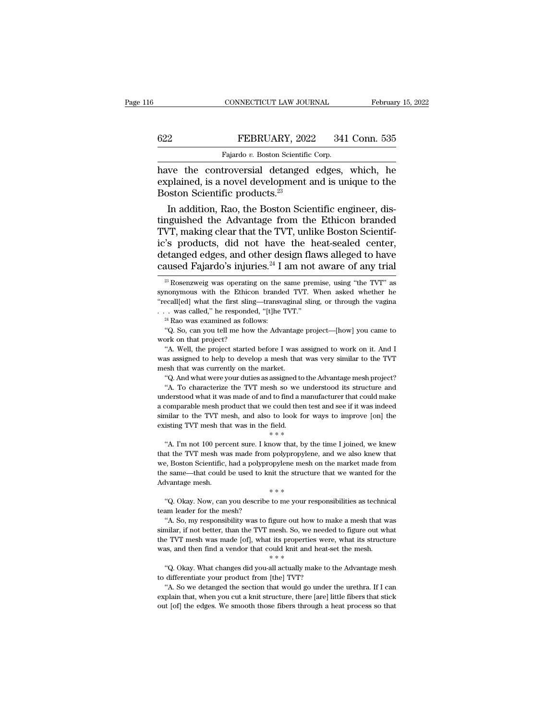### EXECUTE CONNECTICUT LAW JOURNAL February 15, 2022<br>
FEBRUARY, 2022 341 Conn. 535<br>
Fajardo v. Boston Scientific Corp. CONNECTICUT LAW JOURNAL<br>FEBRUARY, 2022 341<br>Fajardo *v.* Boston Scientific Corp.<br>Troversial detanged edges

CONNECTICUT LAW JOURNAL February 15, 2022<br>
FEBRUARY, 2022 341 Conn. 535<br>
Fajardo v. Boston Scientific Corp.<br>
have the controversial detanged edges, which, he<br>
explained, is a novel development and is unique to the<br>
Boston EXPLARY, 2022 341 Conn. 535<br>
Fajardo v. Boston Scientific Corp.<br>
have the controversial detanged edges, which, he<br>
explained, is a novel development and is unique to the<br>
Boston Scientific products.<sup>23</sup>  $\begin{tabular}{ll} \multicolumn{1}{l}{{\bf \textcolor{red}{B3}B}\text{EBRUARY, 202}}\\ \hline \multicolumn{1}{l}{\textcolor{red}{\bf \textcolor{green}{Fajardo $v$. Boston Scientific} }}\\ \hline \multicolumn{1}{l}{\textbf \textcolor{red}{have the controversial detanged}}\\ \textbf{explained, is a novel development} \\ \hline \multicolumn{1}{l}{\textbf \textcolor{red}{Boston Scientific products.}}^{23} \\ \hline \multicolumn{1}{l}{\textbf \textcolor{red}{In addition, Rao, the Boston Science}}\\ \end{tabular}$ FEBRUARY, 2022 341 Conn. 535<br>
Fajardo v. Boston Scientific Corp.<br>
We the controversial detanged edges, which, he<br>
plained, is a novel development and is unique to the<br>
pston Scientific products.<sup>23</sup><br>
In addition, Rao, the

Fajardo v. Boston Scientific Corp.<br>
have the controversial detanged edges, which, he<br>
explained, is a novel development and is unique to the<br>
Boston Scientific products.<sup>23</sup><br>
In addition, Rao, the Boston Scientific engine Tagado *t.* Essan Scienchic Corp.<br>
have the controversial detanged edges, which, he<br>
explained, is a novel development and is unique to the<br>
Boston Scientific products.<sup>23</sup><br>
In addition, Rao, the Boston Scientific enginee have the controversial detanged edges, which, he<br>explained, is a novel development and is unique to the<br>Boston Scientific products.<sup>23</sup><br>In addition, Rao, the Boston Scientific engineer, dis-<br>tinguished the Advantage from t explained, is a novel development and is unique to the<br>Boston Scientific products.<sup>23</sup><br>In addition, Rao, the Boston Scientific engineer, dis-<br>tinguished the Advantage from the Ethicon branded<br>TVT, making clear that the TVT Boston Scientific products.<sup>23</sup><br>In addition, Rao, the Boston Scientific engineer, dis-<br>tinguished the Advantage from the Ethicon branded<br>TVT, making clear that the TVT, unlike Boston Scientif-<br>ic's products, did not have VT, making clear that the TVT, unlike Boston Scientif-<br>
's products, did not have the heat-sealed center,<br>
etanged edges, and other design flaws alleged to have<br>
aused Fajardo's injuries.<sup>24</sup> I am not aware of any trial<br> ic's products, did not have the heat-sealed center,<br>detanged edges, and other design flaws alleged to have<br>caused Fajardo's injuries.<sup>24</sup> I am not aware of any trial<br> $\frac{1}{2}$ Rosenzweig was operating on the same premise,

detanged edges, and other design flaws alleged to have caused Fajardo's injuries.<sup>24</sup> I am not aware of any trial  $\frac{1}{2}$ Rosenzweig was operating on the same premise, using "the TVT" as synonymous with the Ethicon brand caused Fajardo's injuries.<sup>24</sup> I am not aware of any trial  $\frac{1}{28}$  Rosenzweig was operating on the same premise, using "the TVT" as synonymous with the Ethicon branded TVT. When asked whether he "recall[ed] what the fi <sup>23</sup> Rosenzweig was operating on the same premise, using "the TVT" as nonymous with the Ethicon branded TVT. When asked whether he ecall[ed] what the first sling—transvaginal sling, or through the vagina . was called," he

<sup>24</sup> Rao was examined as follows:<br>
"Q. So, can you tell me how the Advantage project—[how] you came to work on that project?<br>
"A. Well, the project started before I was assigned to work on it. And I was assigned to help t ecall[ed] what the first sling—transvaginal sling, or through the vagina<br>
. was called," he responded, "[t]he TVT."<br>
<sup>24</sup> Rao was examined as follows:<br>
"Q. So, can you tell me how the Advantage project—[how] you came to<br>
o was called," he responded, "[t]he TVT."<br>
<sup>24</sup> Rao was examined as follows:<br>
"Q. So, can you tell me how the Advantage project—[how] you came to<br>
work on that project?<br>
"A. Well, the project started before I was assigned to <sup>24</sup> Rao was examined as follows:<br><sup>24</sup> Rao was examined as follows:<br>"Q. So, can you tell me how the Advantage<br>work on that project?<br>"A. Well, the project started before I was was assigned to help to develop a mesh that<br>mes "Q. So, can you tell me how the Advantage project—[how] you came to ork on that project?"<br>A. Well, the project started before I was assigned to work on it. And I<br>"A. Well, the project started before I was assigned to work The contracterize the TVT mesh so we understood its structure and derstood what it was made of and to the AVT mesh so we understood its structure and derstood what it was made of and to find a manufacture that could make

"A. Well, the project started before I was assigned to work on it. And I was assigned to help to develop a mesh that was very similar to the TVT mesh that was currently on the market.<br>"Q. And what were your duties as assi a comparable mesh product that we could then test and see if it was indeed similar to the TVT mesh that was currently on the market.<br>
"Q. And what were your duties as assigned to the Advantage mesh project?<br>
"A. To charact similar to the market.<br>
"Q. And what were your duties as assigned to the Advantage mesh project?<br>
"A. To characterize the TVT mesh so we understood its structure and<br>
understood what it was made of and to find a manufactur "Q. And what were your duties as assigned to the "A. To characterize the TVT mesh so we understood what it was made of and to find a mar a comparable mesh product that we could then te similar to the TVT mesh, and also to Interaction what it was made of and to find a manufacturer that could make<br>
interaction what it was made of and to find a manufacturer that could make<br>
interaction was in the field.<br>
Surface in the time I joined, we knew<br> a comparable mesh product that we could then test and see if it was indeed similar to the TVT mesh, and also to look for ways to improve [on] the existing TVT mesh that was in the field.<br>  $* * *$ <br>
"A. I'm not 100 percent su

we compute much the TVT mesh, and also to look for ways to improve [on] the existing TVT mesh that was in the field.<br>  $**$ <br>
"A. I'm not 100 percent sure. I know that, by the time I joined, we knew that the TVT mesh was mad existing TVT mesh that was in the field.<br>  $**$ <br>
"A. I'm not 100 percent sure. I know that, by the time I joined, we knew<br>
that the TVT mesh was made from polypropylene, and we also knew that<br>
we, Boston Scientific, had a p All the TVT mesh was in the theorem  $**$ <br>  $**$ <br>  $**$   $**$ <br>  $**$   $**$ <br>  $**$   $**$ <br>  $**$   $**$ <br>
A. I'm not 100 percent sure. I know that, by the  $**$ <br>  $**$   $**$   $**$ <br>  $**$   $**$ <br>
Advantage mesh.<br>  $**$ <br>  $*$   $**$ <br>  $``Q. Okay. Now, can you describe to me your re$ At the TVT mesh was made from polypropylene, and we also knew that<br>
at the TVT mesh was made from polypropylene, and we also knew that<br>
e, Boston Scientific, had a polypropylene mesh on the market made from<br>
same—that coul the extra the transformation and the mesh we, Boston Scientific, had a polyprothe same—that could be used to know Advantage mesh.<br>"(Q. Okay. Now, can you describe team leader for the mesh? "A. So, my responsibility was to

between that could be used to knit the structure that we wanted for the branches as seechnical was to figure out how to make a mesh that was milar, if not better, than the TVT mesh. So, we needed to figure out what was mi shows that we call the better of the better of the shocked of the Malvantage mesh.<br>  $**$ <br>
"Q. Okay. Now, can you describe to me your responsibilities as technical<br>
team leader for the mesh?<br>
"A. So, my responsibility was to  $**$ <br>
"Q. Okay. Now, can you describe to me your responsibilities as technical<br>
team leader for the mesh?<br>
"A. So, my responsibility was to figure out how to make a mesh that was<br>
similar, if not better, than the TVT mesh. % Okay. Now, can you describe to me your responsibilities as technic team leader for the mesh. "<br>
"A. So, my responsibility was to figure out how to make a mesh that w<br>
similar, if not better, than the TVT mesh. So, we ne "A. So, my responsibility was to figure out how to make a mesh that was milar, if not better, than the TVT mesh. So, we needed to figure out what e TVT mesh was made [of], what its properties were, what its structure as, the two differentiate your product from the TVT mesh. So, we need<br>the TVT mesh was made [of], what its properties were<br>was, and then find a vendor that could knit and heat-s<br> $*$  "Q. Okay. What changes did you-all actually

The section that collect the section that is properties were, what its structure as, and then find a vendor that could knit and heat-set the mesh.<br>
"Q. Okay. What changes did you-all actually make to the Advantage mesh di explain that, when you cut a knit structure, there [are] little fibers that structure, when you cut a knit structure, there [are] little fibers that stick out [of] the edges. We smooth those fibers through a heat process was, and then find a vendor that could knit and heat-set the mesh.<br>  $***$ <br>
"Q. Okay. What changes did you-all actually make to the Advantage mesh<br>
to differentiate your product from [the] TVT?<br>
"A. So we detanged the sectio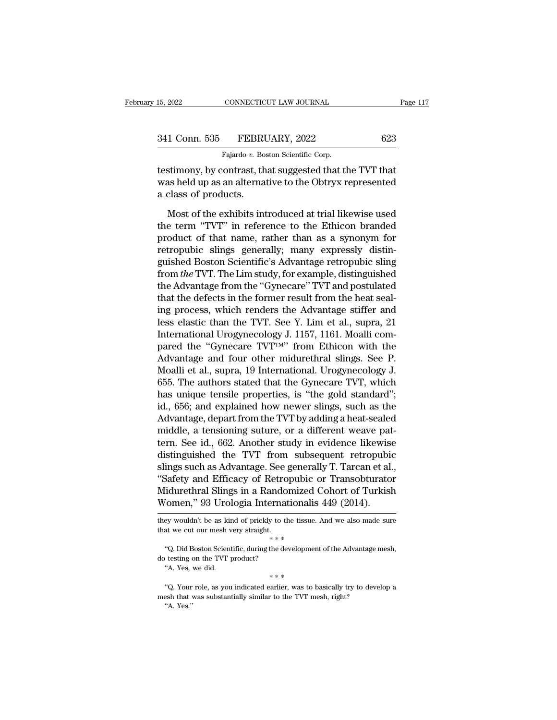| 15, 2022      | CONNECTICUT LAW JOURNAL                                | Page 117 |
|---------------|--------------------------------------------------------|----------|
|               |                                                        |          |
| 341 Conn. 535 | FEBRUARY, 2022                                         | 623      |
|               | Fajardo v. Boston Scientific Corp.                     |          |
|               | testimony_by contrast_that suggested that the TVT that |          |

testimony, by contrast, that suggested that the TVT that<br>and the Distribution of the Sian Scientific Corp.<br>testimony, by contrast, that suggested that the TVT that<br>was held up as an alternative to the Obtryx represented<br>a 341 Conn. 535 FEBRUARY, 2022 623<br>Fajardo v. Boston Scientific Corp.<br>Testimony, by contrast, that suggested that the TVT that<br>was held up as an alternative to the Obtryx represented<br>a class of products.  $\frac{\text{341 } \text{Conn. } 535 \qquad \text{FEBRU}}{\text{Fajardo } v. \text{ Box}}$ <br>testimony, by contrast, then was held up as an alternadient a class of products. Fajardo v. Boston Scientific Corp.<br>
Fajardo v. Boston Scientific Corp.<br>
Stimony, by contrast, that suggested that the TVT that<br>
as held up as an alternative to the Obtryx represented<br>
class of products.<br>
Most of the exhibi

Fajardo v. Boston Scientific Corp.<br>
testimony, by contrast, that suggested that the TVT that<br>
was held up as an alternative to the Obtryx represented<br>
a class of products.<br>
Most of the exhibits introduced at trial likewis testimony, by contrast, that suggested that the TVT that<br>was held up as an alternative to the Obtryx represented<br>a class of products.<br>Most of the exhibits introduced at trial likewise used<br>the term "TVT" in reference to th was held up as an alternative to the Obtryx represented<br>a class of products.<br>Most of the exhibits introduced at trial likewise used<br>the term "TVT" in reference to the Ethicon branded<br>product of that name, rather than as a a class of products.<br>
Most of the exhibits introduced at trial likewise used<br>
the term "TVT" in reference to the Ethicon branded<br>
product of that name, rather than as a synonym for<br>
retropubic slings generally; many expres Most of the exhibits introduced at trial likewise used<br>the term "TVT" in reference to the Ethicon branded<br>product of that name, rather than as a synonym for<br>retropubic slings generally; many expressly distin-<br>guished Bosto Most of the exhibits introduced at trial likewise used<br>the term "TVT" in reference to the Ethicon branded<br>product of that name, rather than as a synonym for<br>retropubic slings generally; many expressly distin-<br>guished Bosto the term "TVT" in reference to the Ethicon branded<br>product of that name, rather than as a synonym for<br>retropubic slings generally; many expressly distin-<br>guished Boston Scientific's Advantage retropubic sling<br>from the TVT. product of that name, rather than as a synonym for<br>retropubic slings generally; many expressly distin-<br>guished Boston Scientific's Advantage retropubic sling<br>from the TVT. The Lim study, for example, distinguished<br>the Adva retropubic slings generally; many expressly distinguished Boston Scientific's Advantage retropubic sling<br>from *the* TVT. The Lim study, for example, distinguished<br>the Advantage from the "Gynecare" TVT and postulated<br>that t guished Boston Scientific's Advantage retropubic sling<br>from the TVT. The Lim study, for example, distinguished<br>the Advantage from the "Gynecare" TVT and postulated<br>that the defects in the former result from the heat seal-<br> from *the* TVT. The Lim study, for example, distinguished<br>the Advantage from the "Gynecare" TVT and postulated<br>that the defects in the former result from the heat seal-<br>ing process, which renders the Advantage stiffer and the Advantage from the "Gynecare" TVT and postulated<br>that the defects in the former result from the heat seal-<br>ing process, which renders the Advantage stiffer and<br>less elastic than the TVT. See Y. Lim et al., supra, 21<br>In that the defects in the former result from the heat seal-<br>ing process, which renders the Advantage stiffer and<br>less elastic than the TVT. See Y. Lim et al., supra, 21<br>International Urogynecology J. 1157, 1161. Moalli com-<br> ing process, which renders the Advantage stiffer and<br>less elastic than the TVT. See Y. Lim et al., supra, 21<br>International Urogynecology J. 1157, 1161. Moalli com-<br>pared the "Gynecare TVT™" from Ethicon with the<br>Advantage less elastic than the TVT. See Y. Lim et al., supra, 21<br>International Urogynecology J. 1157, 1161. Moalli com-<br>pared the "Gynecare TVT™" from Ethicon with the<br>Advantage and four other midurethral slings. See P.<br>Moalli et a International Urogynecology J. 1157, 1161. Moalli compared the "Gynecare TVT<sup>TM</sup>" from Ethicon with the Advantage and four other midurethral slings. See P.<br>Moalli et al., supra, 19 International. Urogynecology J.<br>655. The pared the "Gynecare TVT<sup>TM"</sup> from Ethicon with the<br>Advantage and four other midurethral slings. See P.<br>Moalli et al., supra, 19 International. Urogynecology J.<br>655. The authors stated that the Gynecare TVT, which<br>has uniqu Advantage and four other midurethral slings. See P.<br>Moalli et al., supra, 19 International. Urogynecology J.<br>655. The authors stated that the Gynecare TVT, which<br>has unique tensile properties, is "the gold standard";<br>id., Moalli et al., supra, 19 International. Urogynecology J.<br>655. The authors stated that the Gynecare TVT, which<br>has unique tensile properties, is "the gold standard";<br>id., 656; and explained how newer slings, such as the<br>Adv 655. The authors stated that the Gynecare TVT, which<br>has unique tensile properties, is "the gold standard";<br>id., 656; and explained how newer slings, such as the<br>Advantage, depart from the TVT by adding a heat-sealed<br>middl has unique tensile properties, is "the gold standard";<br>id., 656; and explained how newer slings, such as the<br>Advantage, depart from the TVT by adding a heat-sealed<br>middle, a tensioning suture, or a different weave pat-<br>ter id., 656; and explained how newer slings, such as the<br>Advantage, depart from the TVT by adding a heat-sealed<br>middle, a tensioning suture, or a different weave pat-<br>tern. See id., 662. Another study in evidence likewise<br>dis Advantage, depart from the TVT by adding a heat-sealed<br>middle, a tensioning suture, or a different weave pat-<br>tern. See id., 662. Another study in evidence likewise<br>distinguished the TVT from subsequent retropubic<br>slings s middle, a tensioning suture, or a different weave pat<br>tern. See id., 662. Another study in evidence likewise<br>distinguished the TVT from subsequent retropubic<br>slings such as Advantage. See generally T. Tarcan et al.<br>"Safety slings such as Advantage. See generally T. Tarcan et al., "Safety and Efficacy of Retropubic or Transobturator<br>Midurethral Slings in a Randomized Cohort of Turkish<br>Women," 93 Urologia Internationalis 449 (2014).<br>they would Midurethral Slings in a Randomized Cohort of Turkish

<sup>\*\*</sup><br>
"Q. Did Boston Scientific, during the development of the Advantage mesh,<br>
testing on the TVT product?<br>
"A. Yes, we did.<br>
\*\*\*<br>
"Q. Your role, as you indicated earlier, was to basically try to develop a<br>
stab that was "Q. Did Boston Scientific, during the development of the Advantage mesh, do testing on the TVT product?<br>
"A. Yes, we did.<br>  $***$ " (Q. Your role, as you indicated earlier, was to basically try to develop a mesh that was subs

Fraction Comen," 93 Urologia Internationalis 449 (2014).<br>
Evaluative as kind of prickly to the tissue. And we also made sure<br>
at we cut our mesh very straight.<br>
"Q. Did Boston Scientific, during the development of the Adv % ey wouldn't be as kind of prickly to the tissue<br>
at we cut our mesh very straight.<br>
\* \* \*<br>
"Q. Did Boston Scientific, during the developme<br>
testing on the TVT product?<br>
"A. Yes, we did.<br>
\* \* \*<br>
"Q. Your role, as you indi

WOTHEN, 35 UTOLOGIA HITCHIA<br>they wouldn't be as kind of prickly to the TVT straight.<br>that we cut our mesh very straight.<br>"Q. Did Boston Scientific, during the de-<br>do testing on the TVT product?<br>"A. Yes, we did. do testing on the TVT product?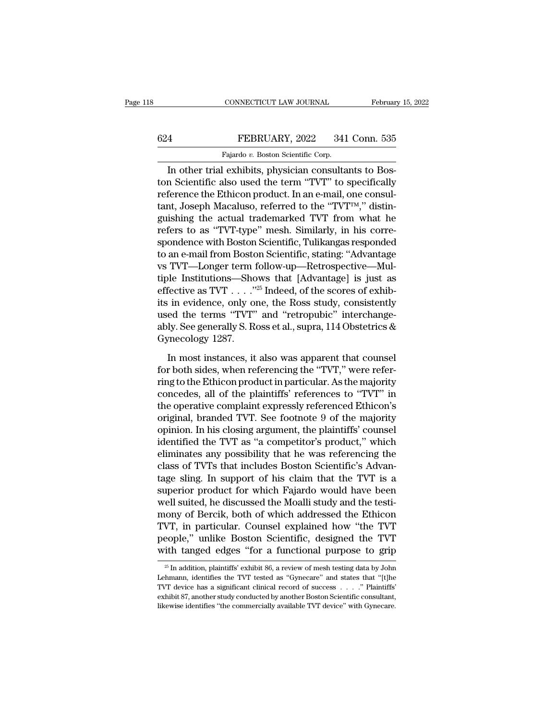# CONNECTICUT LAW JOURNAL February 15, 2022<br>624 FEBRUARY, 2022 341 Conn. 535<br>Fajardo v. Boston Scientific Corp.

CONNECTICUT LAW JOURNAL Februar<br>
Februar<br>
FEBRUARY, 2022 341 Conn. 535<br>
Fajardo *v.* Boston Scientific Corp.<br>
In other trial exhibits, physician consultants to Bos-CONNECTICUT LAW JOURNAL Februar<br>
In other trial exhibits, physician consultants to Bos-<br>
In other trial exhibits, physician consultants to Bos-<br>
In other trial exhibits, physician consultants to Bos-<br>
In Scientific also us FEBRUARY, 2022 341 Conn. 535<br>
Fajardo v. Boston Scientific Corp.<br>
In other trial exhibits, physician consultants to Boston Scientific also used the term "TVT" to specifically<br>
reference the Ethicon product. In an e-mail, o FEBRUARY, 2022 341 Conn. 535<br>
Fajardo v. Boston Scientific Corp.<br>
In other trial exhibits, physician consultants to Boston Scientific also used the term "TVT" to specifically<br>
reference the Ethicon product. In an e-mail, FEBRUARY, 2022 341 Conn. 535<br>
Fajardo v. Boston Scientific Corp.<br>
In other trial exhibits, physician consultants to Boston Scientific also used the term "TVT" to specifically<br>
reference the Ethicon product. In an e-mail, Fajardo v. Boston Scientific Corp.<br>
In other trial exhibits, physician consultants to Boston Scientific also used the term "TVT" to specifically<br>
reference the Ethicon product. In an e-mail, one consul-<br>
tant, Joseph Maca rajardo v. Boston Scientific Corp.<br>In other trial exhibits, physician consultants to Boston Scientific also used the term "TVT" to specifically<br>reference the Ethicon product. In an e-mail, one consul-<br>tant, Joseph Macalus In other trial exhibits, physician consultants to Boston Scientific also used the term "TVT" to specifically<br>reference the Ethicon product. In an e-mail, one consultant, Joseph Macaluso, referred to the "TVT<sup>TM</sup>," distingu ton Scientific also used the term "TVT" to specifically<br>reference the Ethicon product. In an e-mail, one consul-<br>tant, Joseph Macaluso, referred to the "TVT™," distin-<br>guishing the actual trademarked TVT from what he<br>refer reference the Ethicon product. In an e-mail, one consultant, Joseph Macaluso, referred to the "TVT<sup>rm</sup>," distinguishing the actual trademarked TVT from what he refers to as "TVT-type" mesh. Similarly, in his correspondence tant, Joseph Macaluso, referred to the "TVT<sup>TM</sup>," distinguishing the actual trademarked TVT from what he refers to as "TVT-type" mesh. Similarly, in his correspondence with Boston Scientific, Tulikangas responded to an eguishing the actual trademarked TVT from what he<br>refers to as "TVT-type" mesh. Similarly, in his corre-<br>spondence with Boston Scientific, Tulikangas responded<br>to an e-mail from Boston Scientific, stating: "Advantage<br>vs TVT refers to as "TVT-type" mesh. Similarly, in his corre-<br>spondence with Boston Scientific, Tulikangas responded<br>to an e-mail from Boston Scientific, stating: "Advantage<br>vs TVT—Longer term follow-up—Retrospective—Mul-<br>tiple I spondence with Boston Scientific, Tulikangas responded<br>to an e-mail from Boston Scientific, stating: "Advantage<br>vs TVT—Longer term follow-up—Retrospective—Mul-<br>tiple Institutions—Shows that [Advantage] is just as<br>effective to an e-mail from Boston Scientific, stating: "Advantage<br>vs TVT—Longer term follow-up—Retrospective—Mul-<br>tiple Institutions—Shows that [Advantage] is just as<br>effective as TVT . . . . "<sup>25</sup> Indeed, of the scores of exhib-<br>i vs TVT—Longer term 1<br>tiple Institutions—Sho<br>effective as TVT . . . ."<br>its in evidence, only or<br>used the terms "TVT"<br>ably. See generally S. Re<br>Gynecology 1287.<br>In most instances, it fective as TVT  $\ldots$  ."<sup>25</sup> Indeed, of the scores of exhibition in evidence, only one, the Ross study, consistently ed the terms "TVT" and "retropubic" interchangely. See generally S. Ross et al., supra, 114 Obstetrics & its in evidence, only one, the Ross study, consistently<br>used the terms "TVT" and "retropubic" interchange-<br>ably. See generally S. Ross et al., supra, 114 Obstetrics &<br>Gynecology 1287.<br>In most instances, it also was apparen

used the terms "TVT" and "retropubic" interchange-<br>ably. See generally S. Ross et al., supra, 114 Obstetrics &<br>Gynecology 1287.<br>In most instances, it also was apparent that counsel<br>for both sides, when referencing the "TVT ably. See generally S. Ross et al., supra, 114 Obstetrics &<br>Gynecology 1287.<br>In most instances, it also was apparent that counsel<br>for both sides, when referencing the "TVT," were refer-<br>ring to the Ethicon product in part Gynecology 1287.<br>
In most instances, it also was apparent that counsel<br>
for both sides, when referencing the "TVT," were refer-<br>
ring to the Ethicon product in particular. As the majority<br>
concedes, all of the plaintiffs' In most instances, it also was apparent that counsel<br>for both sides, when referencing the "TVT," were refer-<br>ring to the Ethicon product in particular. As the majority<br>concedes, all of the plaintiffs' references to "TVT" In most instances, it also was apparent that counsel<br>for both sides, when referencing the "TVT," were refer-<br>ring to the Ethicon product in particular. As the majority<br>concedes, all of the plaintiffs' references to "TVT" i for both sides, when referencing the "TVT," were refer-<br>ring to the Ethicon product in particular. As the majority<br>concedes, all of the plaintiffs' references to "TVT" in<br>the operative complaint expressly referenced Ethico ring to the Ethicon product in particular. As the majority<br>concedes, all of the plaintiffs' references to "TVT" in<br>the operative complaint expressly referenced Ethicon's<br>original, branded TVT. See footnote 9 of the majorit concedes, all of the plaintiffs' references to "TVT" in<br>the operative complaint expressly referenced Ethicon's<br>original, branded TVT. See footnote 9 of the majority<br>opinion. In his closing argument, the plaintiffs' counsel the operative complaint expressly referenced Ethicon's<br>original, branded TVT. See footnote 9 of the majority<br>opinion. In his closing argument, the plaintiffs' counsel<br>identified the TVT as "a competitor's product," which<br>e original, branded TVT. See footnote 9 of the majority<br>opinion. In his closing argument, the plaintiffs' counsel<br>identified the TVT as "a competitor's product," which<br>eliminates any possibility that he was referencing the<br>c opinion. In his closing argument, the plaintiffs' counsel<br>identified the TVT as "a competitor's product," which<br>eliminates any possibility that he was referencing the<br>class of TVTs that includes Boston Scientific's Advan-<br> identified the TVT as "a competitor's product," which<br>eliminates any possibility that he was referencing the<br>class of TVTs that includes Boston Scientific's Advan-<br>tage sling. In support of his claim that the TVT is a<br>supe eliminates any possibility that he was referencing the<br>class of TVTs that includes Boston Scientific's Advan-<br>tage sling. In support of his claim that the TVT is a<br>superior product for which Fajardo would have been<br>well su class of TVTs that includes Boston Scientific's Advantage sling. In support of his claim that the TVT is a superior product for which Fajardo would have been well suited, he discussed the Moalli study and the testimony of tage sling. In support of his claim that the TVT is a<br>superior product for which Fajardo would have been<br>well suited, he discussed the Moalli study and the testi-<br>mony of Bercik, both of which addressed the Ethicon<br>TVT, i ony of Bercik, both of which addressed the Ethicon<br>VT, in particular. Counsel explained how "the TVT<br>eople," unlike Boston Scientific, designed the TVT<br>ith tanged edges "for a functional purpose to grip<br> $\frac{25}{5}$  In addit TVT, in particular. Counsel explained how "the TVT<br>people," unlike Boston Scientific, designed the TVT<br>with tanged edges "for a functional purpose to grip<br> $\frac{1}{25}$  In addition, plaintiffs' exhibit 86, a review of mesh t

people," unlike Boston Scientific, designed the TVT<br>with tanged edges "for a functional purpose to grip<br> $\frac{1}{100}$  The addition, plaintiffs' exhibit 86, a review of mesh testing data by John<br>Lehmann, identifies the TVT te with tanged edges "for a functional purpose to grip<br>  $\frac{25 \text{ In addition, plaintiffs' exhibit 86, a review of mesh testing data by John Lehmann, identifies the TVT tested as "Gynecare" and states that "[t]he TVT device has a significant clinical record of success . . . . "Plaintiffs" exhibit 87, another study conducted by another Boston Scientific consultant, likewise identifies "the commercially available TVT device" with Gynecare.$ <sup>25</sup> In addition, plaintiffs' exhibit 86, a review of mesh testing data by John Lehmann, identifies the TVT tested as "Gynecare" and states that "[t]he TVT device has a significant clinical record of success  $\ldots$ ." Plain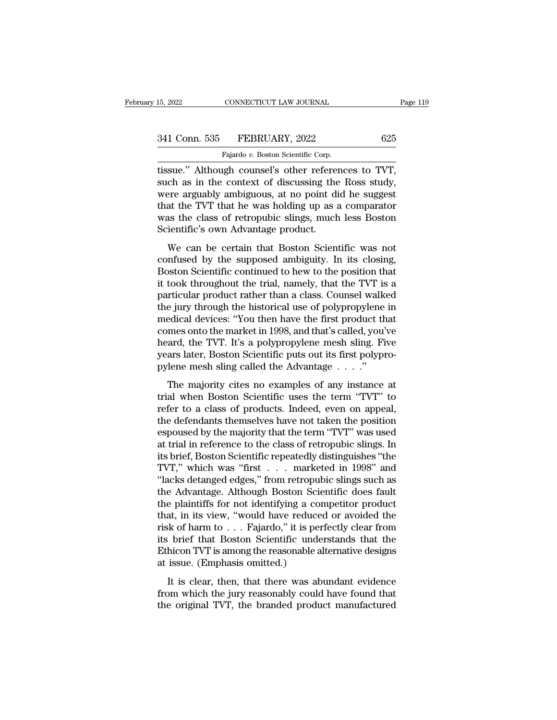CONNECTICUT LAW JOURNAL<br>FEBRUARY, 2022<br>Fajardo *v.* Boston Scientific Corp.<br>19th counsel's other referenc 15, 2022 CONNECTICUT LAW JOURNAL Page<br>
341 Conn. 535 FEBRUARY, 2022 625<br>
Fajardo v. Boston Scientific Corp.<br>
tissue.'' Although counsel's other references to TVT,<br>
such as in the context of discussing the Ross study,<br>
were 341 Conn. 535 FEBRUARY, 2022 625<br>Fajardo v. Boston Scientific Corp.<br>Itissue." Although counsel's other references to TVT,<br>such as in the context of discussing the Ross study,<br>were arguably ambiguous, at no point did he sug 341 Conn. 535 FEBRUARY, 2022 625<br>
Fajardo v. Boston Scientific Corp.<br>
tissue." Although counsel's other references to TVT,<br>
such as in the context of discussing the Ross study,<br>
were arguably ambiguous, at no point did he 341 Conn. 535 FEBRUARY, 2022 625<br>
Fajardo v. Boston Scientific Corp.<br>
tissue." Although counsel's other references to TVT,<br>
such as in the context of discussing the Ross study,<br>
were arguably ambiguous, at no point did he Fajardo v. Boston Scientific Corp.<br>
Itissue." Although counsel's other references to TVT,<br>
such as in the context of discussing the Ross study,<br>
were arguably ambiguous, at no point did he suggest<br>
that the TVT that he was Fajardo v. Boston Scientific Corp.<br>
tissue." Although counsel's other referent<br>
such as in the context of discussing the<br>
were arguably ambiguous, at no point di<br>
that the TVT that he was holding up as a<br>
was the class of Suc. Thinough coursers outer references to TVT,<br>ch as in the context of discussing the Ross study,<br>ree arguably ambiguous, at no point did he suggest<br>at the TVT that he was holding up as a comparator<br>as the class of retrop such as in the context of diseasing the ross stady,<br>were arguably ambiguous, at no point did he suggest<br>that the TVT that he was holding up as a comparator<br>was the class of retropubic slings, much less Boston<br>Scientific's

Were arguably ambiguous, at no point that it suggest<br>that the TVT that he was holding up as a comparator<br>was the class of retropubic slings, much less Boston<br>Scientific's own Advantage product.<br>We can be certain that Bosto Final the TVT that it was holding up as a complantor<br>was the class of retropubic slings, much less Boston<br>Scientific's own Advantage product.<br>We can be certain that Boston Scientific was not<br>confused by the supposed ambigu was are erass of realpy sings, mathemolytocomes Scientific's own Advantage product.<br>
We can be certain that Boston Scientific was not confused by the supposed ambiguity. In its closing,<br>
Boston Scientific continued to hew We can be certain that Boston Scientific was not<br>confused by the supposed ambiguity. In its closing,<br>Boston Scientific continued to hew to the position that<br>it took throughout the trial, namely, that the TVT is a<br>particula We can be certain that Boston Scientific was not confused by the supposed ambiguity. In its closing, Boston Scientific continued to hew to the position that it took throughout the trial, namely, that the TVT is a particula confused by the supposed ambiguity. In its closing,<br>Boston Scientific continued to hew to the position that<br>it took throughout the trial, namely, that the TVT is a<br>particular product rather than a class. Counsel walked<br>the Boston Scientific continued to hew to the position that<br>it took throughout the trial, namely, that the TVT is a<br>particular product rather than a class. Counsel walked<br>the jury through the historical use of polypropylene in it took throughout the trial, namely, that the TVT is a<br>particular product rather than a class. Counsel walked<br>the jury through the historical use of polypropylene in<br>medical devices: "You then have the first product that<br> particular product rather than a class. Counsel walk<br>the jury through the historical use of polypropylene<br>medical devices: "You then have the first product th<br>comes onto the market in 1998, and that's called, you'<br>heard, t Equal devices: "You then have the first product that<br>edical devices: "You then have the first product that<br>mes onto the market in 1998, and that's called, you've<br>ard, the TVT. It's a polypropylene mesh sling. Five<br>ars lat trial when the market in 1998, and that's called, you've<br>heard, the TVT. It's a polypropylene mesh sling. Five<br>years later, Boston Scientific puts out its first polypro-<br>pylene mesh sling called the Advantage . . . ."<br>The

From the TVT. It's a polypropylene mesh sling. Five<br>pears later, Boston Scientific puts out its first polypro-<br>pylene mesh sling called the Advantage  $\ldots$ ."<br>The majority cites no examples of any instance at<br>trial when Bo the defendants of the defendants themselves have not taken the position-<br>the majority cites no examples of any instance at<br>trial when Boston Scientific uses the term "TVT" to<br>refer to a class of products. Indeed, even on pylene mesh sling called the Advantage  $\dots$ ."<br>The majority cites no examples of any instance at<br>trial when Boston Scientific uses the term "TVT" to<br>refer to a class of products. Indeed, even on appeal,<br>the defendants them The majority cites no examples of any instance at<br>trial when Boston Scientific uses the term "TVT" to<br>refer to a class of products. Indeed, even on appeal,<br>the defendants themselves have not taken the position<br>espoused by The majority cites no examples of any instance at<br>trial when Boston Scientific uses the term "TVT" to<br>refer to a class of products. Indeed, even on appeal,<br>the defendants themselves have not taken the position<br>espoused by trial when Boston Scientific uses the term "TVT" to<br>refer to a class of products. Indeed, even on appeal,<br>the defendants themselves have not taken the position<br>espoused by the majority that the term "TVT" was used<br>at trial refer to a class of products. Indeed, even on appeal,<br>the defendants themselves have not taken the position<br>espoused by the majority that the term "TVT" was used<br>at trial in reference to the class of retropubic slings. In<br> the defendants themselves have not taken the position<br>espoused by the majority that the term "TVT" was used<br>at trial in reference to the class of retropubic slings. In<br>its brief, Boston Scientific repeatedly distinguishes espoused by the majority that the term "TVT" was used<br>at trial in reference to the class of retropubic slings. In<br>its brief, Boston Scientific repeatedly distinguishes "the<br>TVT," which was "first . . . marketed in 1998" an at trial in reference to the class of retropubic slings. In<br>its brief, Boston Scientific repeatedly distinguishes "the<br>TVT," which was "first . . . marketed in 1998" and<br>"lacks detanged edges," from retropubic slings such its brief, Boston Scientific repeatedly distinguishes "the<br>TVT," which was "first . . . . marketed in 1998" and<br>"lacks detanged edges," from retropubic slings such as<br>the Advantage. Although Boston Scientific does fault<br>th TVT," which was "first . . . . marketed in 1998" and "lacks detanged edges," from retropubic slings such as the Advantage. Although Boston Scientific does fault the plaintiffs for not identifying a competitor product that "lacks detanged edges," from retropubic slings such as<br>the Advantage. Although Boston Scientific does fault<br>the plaintiffs for not identifying a competitor product<br>that, in its view, "would have reduced or avoided the<br>risk the Advantage. Although Boston Science the plaintiffs for not identifying a complete that, in its view, "would have reduce risk of harm to . . . Fajardo," it is pent its brief that Boston Scientific under Ethicon TVT is am at, in its view, "would have reduced or avoided the<br>sk of harm to  $\ldots$  Fajardo," it is perfectly clear from<br>brief that Boston Scientific understands that the<br>hicon TVT is among the reasonable alternative designs<br>issue. ( from the intervals and the reasonable alternative reason in the set of alternative designs its brief that Boston Scientific understands that the Ethicon TVT is among the reasonable alternative designs at issue. (Emphasis the original TVT, the branded product manifestive designs at issue. (Emphasis omitted.)<br>It is clear, then, that there was abundant evidence from which the jury reasonably could have found that the original TVT, the brande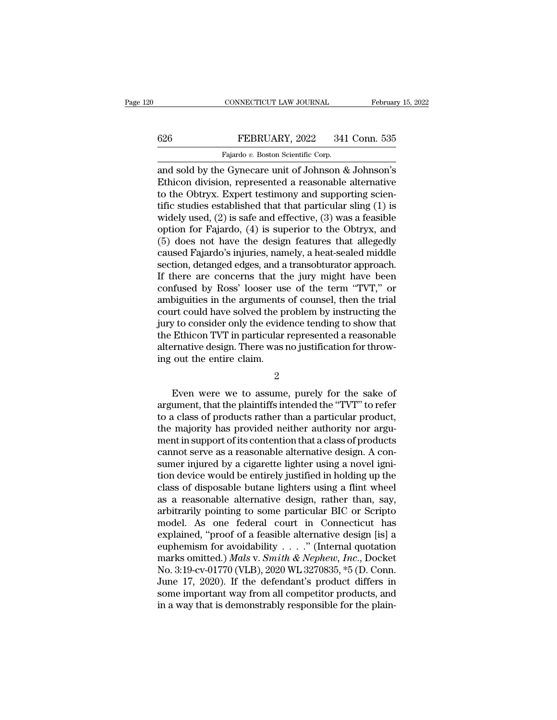### CONNECTICUT LAW JOURNAL February 15, 2022<br>626 FEBRUARY, 2022 341 Conn. 535<br>Fajardo v. Boston Scientific Corp. CONNECTICUT LAW JOURNAL<br>Fajardo *v.* Boston Scientific Corp.<br>Pajardo *v.* Boston Scientific Corp.<br>Pe Gymecare unit of Johnson &

CONNECTICUT LAW JOURNAL February 15, 2022<br>
FEBRUARY, 2022 341 Conn. 535<br>
Fajardo v. Boston Scientific Corp.<br>
and sold by the Gynecare unit of Johnson & Johnson's<br>
Ethicon division, represented a reasonable alternative<br>
to ETHERUARY, 2022 341 Conn. 535<br>
Fajardo v. Boston Scientific Corp.<br>
and sold by the Gynecare unit of Johnson & Johnson's<br>
Ethicon division, represented a reasonable alternative<br>
to the Obtryx. Expert testimony and supportin 626 FEBRUARY, 2022 341 Conn. 535<br>
Fajardo v. Boston Scientific Corp.<br>
and sold by the Gynecare unit of Johnson & Johnson's<br>
Ethicon division, represented a reasonable alternative<br>
to the Obtryx. Expert testimony and suppo FEBRUARY, 2022 341 Conn. 535<br>
Fajardo v. Boston Scientific Corp.<br>
and sold by the Gynecare unit of Johnson & Johnson's<br>
Ethicon division, represented a reasonable alternative<br>
to the Obtryx. Expert testimony and supportin Fajardo v. Boston Scientific Corp.<br>
and sold by the Gynecare unit of Johnson & Johnson's<br>
Ethicon division, represented a reasonable alternative<br>
to the Obtryx. Expert testimony and supporting scien-<br>
tific studies establ Fajardo v. Boston Scientific Corp.<br>
and sold by the Gynecare unit of Johnson & Johnson's<br>
Ethicon division, represented a reasonable alternative<br>
to the Obtryx. Expert testimony and supporting scien-<br>
tific studies establ and sold by the Gynecare unit of Johnson & Johnson's<br>Ethicon division, represented a reasonable alternative<br>to the Obtryx. Expert testimony and supporting scien-<br>tific studies established that that particular sling (1) is<br> Ethicon division, represented a reasonable alternative<br>to the Obtryx. Expert testimony and supporting scien-<br>tific studies established that that particular sling (1) is<br>widely used, (2) is safe and effective, (3) was a fea to the Obtryx. Expert testimony and supporting scientific studies established that that particular sling (1) is widely used, (2) is safe and effective, (3) was a feasible option for Fajardo, (4) is superior to the Obtryx, tific studies established that that particular sling (1) is<br>widely used, (2) is safe and effective, (3) was a feasible<br>option for Fajardo, (4) is superior to the Obtryx, and<br>(5) does not have the design features that alleg widely used, (2) is safe and effective, (3) was a feasible<br>option for Fajardo, (4) is superior to the Obtryx, and<br>(5) does not have the design features that allegedly<br>caused Fajardo's injuries, namely, a heat-sealed middle option for Fajardo, (4) is superior to the Obtryx, and<br>(5) does not have the design features that allegedly<br>caused Fajardo's injuries, namely, a heat-sealed middle<br>section, detanged edges, and a transobturator approach.<br>If (5) does not have the design features that allegedly<br>caused Fajardo's injuries, namely, a heat-sealed middle<br>section, detanged edges, and a transobturator approach.<br>If there are concerns that the jury might have been<br>conf caused Fajardo's injuries, namely, a heat-sealed middle<br>section, detanged edges, and a transobturator approach.<br>If there are concerns that the jury might have been<br>confused by Ross' looser use of the term "TVT," or<br>ambigui section, detanged edges, and a transobturator approach.<br>If there are concerns that the jury might have been<br>confused by Ross' looser use of the term "TVT," or<br>ambiguities in the arguments of counsel, then the trial<br>court c If there are concerns that the jury might have been<br>confused by Ross' looser use of the term "TVT," or<br>ambiguities in the arguments of counsel, then the trial<br>court could have solved the problem by instructing the<br>jury to confused by Ross' looser us<br>ambiguities in the arguments<br>court could have solved the p<br>jury to consider only the evide<br>the Ethicon TVT in particular<br>alternative design. There was ing out the entire claim.<br>2 It is consider only the evidence tending to show that<br>
Ethicon TVT in particular represented a reasonable<br>
ernative design. There was no justification for throw-<br>
out the entire claim.<br>
2<br>
Even were we to assume, purely fo

2

the Ethicon TVT in particular represented a reasonable<br>alternative design. There was no justification for throw-<br>ing out the entire claim.<br>2<br>Even were we to assume, purely for the sake of<br>argument, that the plaintiffs inte alternative design. There was no justification for throw-<br>ing out the entire claim.<br> $\frac{2}{100}$ <br>Even were we to assume, purely for the sake of<br>argument, that the plaintiffs intended the "TVT" to refer<br>to a class of product ing out the entire claim.<br>
<sup>2</sup><br>
Even were we to assume, purely for the sake of<br>
argument, that the plaintiffs intended the "TVT" to refer<br>
to a class of products rather than a particular product,<br>
the majority has provided 2<br>Even were we to assume, purely for the sake of<br>argument, that the plaintiffs intended the "TVT" to refer<br>to a class of products rather than a particular product,<br>the majority has provided neither authority nor argu-<br>ment Even were we to assume, purely for the sake of argument, that the plaintiffs intended the "TVT" to refer to a class of products rather than a particular product, the majority has provided neither authority nor argument in Even were we to assume, purely for the sake of argument, that the plaintiffs intended the "TVT" to refer to a class of products rather than a particular product, the majority has provided neither authority nor argument in argument, that the plaintiffs intended the "TVT" to refer<br>to a class of products rather than a particular product,<br>the majority has provided neither authority nor argu-<br>ment in support of its contention that a class of pro to a class of products rather than a particular product,<br>the majority has provided neither authority nor argu-<br>ment in support of its contention that a class of products<br>cannot serve as a reasonable alternative design. A c the majority has provided neither authority nor argument in support of its contention that a class of products<br>cannot serve as a reasonable alternative design. A con-<br>sumer injured by a cigarette lighter using a novel igni ment in support of its contention that a class of products<br>cannot serve as a reasonable alternative design. A con-<br>sumer injured by a cigarette lighter using a novel igni-<br>tion device would be entirely justified in holding cannot serve as a reasonable alternative design. A consumer injured by a cigarette lighter using a novel ignition device would be entirely justified in holding up the class of disposable butane lighters using a flint wheel sumer injured by a cigarette lighter using a novel ignition device would be entirely justified in holding up the class of disposable butane lighters using a flint wheel as a reasonable alternative design, rather than, say tion device would be entirely justified in holding up the<br>class of disposable butane lighters using a flint wheel<br>as a reasonable alternative design, rather than, say,<br>arbitrarily pointing to some particular BIC or Script class of disposable butane lighters using a flint wheel<br>as a reasonable alternative design, rather than, say,<br>arbitrarily pointing to some particular BIC or Scripto<br>model. As one federal court in Connecticut has<br>explained, as a reasonable alternative design, rather than, say,<br>arbitrarily pointing to some particular BIC or Scripto<br>model. As one federal court in Connecticut has<br>explained, "proof of a feasible alternative design [is] a<br>euphemi arbitrarily pointing to some particular BIC or Scripto<br>model. As one federal court in Connecticut has<br>explained, "proof of a feasible alternative design [is] a<br>euphemism for avoidability . . . ." (Internal quotation<br>marks model. As one federal court in Connecticut has<br>explained, "proof of a feasible alternative design [is] a<br>euphemism for avoidability . . . ." (Internal quotation<br>marks omitted.) *Mals v. Smith & Nephew, Inc.*, Docket<br>No. 3 explained, "proof of a feasible alternative design [is] a<br>euphemism for avoidability . . . . " (Internal quotation<br>marks omitted.) *Mals v. Smith & Nephew, Inc.*, Docket<br>No. 3:19-cv-01770 (VLB), 2020 WL 3270835, \*5 (D. Co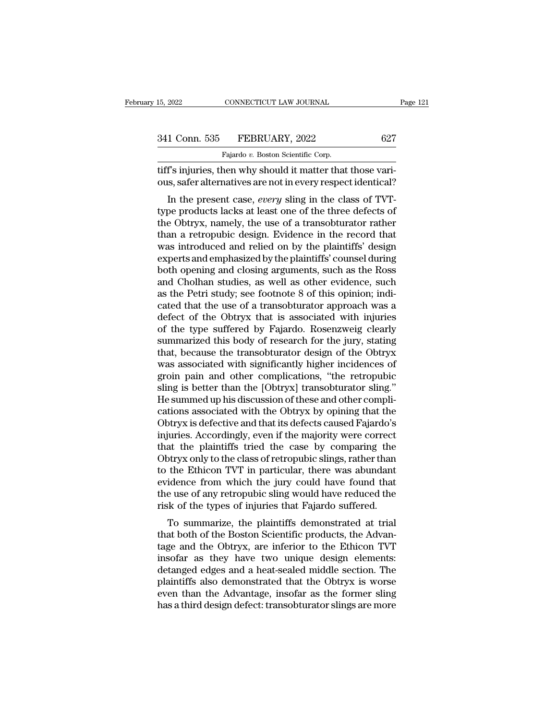| 15, 2022      | CONNECTICUT LAW JOURNAL                                     | Page 121 |
|---------------|-------------------------------------------------------------|----------|
| 341 Conn. 535 | FEBRUARY, 2022                                              | 627      |
|               | Fajardo v. Boston Scientific Corp.                          |          |
|               | tiff's injuries, then why should it matter that those vari- |          |

tifier 15, 2022<br>
15, 2022<br>
1627<br>
1627<br>
1627<br>
1627<br>
1627<br>
1627<br>
1627<br>
1635<br>
1627<br>
1635<br>
1635<br>
1636<br>
1632<br>
1632<br>
1632<br>
1637<br>
1645<br>
1645<br>
1645<br>
1645<br>
1645<br>
1645<br>
1645<br>
1645<br>
1645<br>
1645<br>
1645<br>
1645<br>
1645<br>
1645<br>
1645<br>
1645<br>
164 341 Conn. 535 FEBRUARY, 2022 627<br>Fajardo v. Boston Scientific Corp.<br>Tiff's injuries, then why should it matter that those vari-<br>ous, safer alternatives are not in every respect identical?<br>In the present case, every sling i

1 Conn. 535 **FEBRUARY**, 2022 627<br>
Fajardo v. Boston Scientific Corp.<br> **T's injuries, then why should it matter that those vari-**<br>
is, safer alternatives are not in every respect identical?<br>
In the present case, *every* sli 341 Conn. 535 FEBRUARY, 2022 627<br>
Fajardo v. Boston Scientific Corp.<br>
tiff's injuries, then why should it matter that those vari-<br>
ous, safer alternatives are not in every respect identical?<br>
In the present case, *every* Fajardo v. Boston Scientific Corp.<br>
tiff's injuries, then why should it matter that those vari-<br>
ous, safer alternatives are not in every respect identical?<br>
In the present case, *every* sling in the class of TVT-<br>
type p tiff's injuries, then why should it matter that those various, safer alternatives are not in every respect identical?<br>
In the present case, *every* sling in the class of TVT-<br>
type products lacks at least one of the three In s lightles, their why should it inatter that those van-<br>ous, safer alternatives are not in every respect identical?<br>In the present case, *every* sling in the class of TVT-<br>type products lacks at least one of the three d ous, safer alternatives are not in every respect identical:<br>
In the present case, *every* sling in the class of TVT-<br>
type products lacks at least one of the three defects of<br>
the Obtryx, namely, the use of a transobturato In the present case, *every* sling in the class of TVT-<br>type products lacks at least one of the three defects of<br>the Obtryx, namely, the use of a transobturator rather<br>than a retropubic design. Evidence in the record that<br> type products lacks at least one of the three defects of<br>the Obtryx, namely, the use of a transobturator rather<br>than a retropubic design. Evidence in the record that<br>was introduced and relied on by the plaintiffs' design<br>e the Obtryx, namely, the use of a transobturator rather<br>than a retropubic design. Evidence in the record that<br>was introduced and relied on by the plaintiffs' design<br>experts and emphasized by the plaintiffs' counsel during<br>b than a retropubic design. Evidence in the record that<br>was introduced and relied on by the plaintiffs' design<br>experts and emphasized by the plaintiffs' counsel during<br>both opening and closing arguments, such as the Ross<br>and was introduced and relied on by the plaintiffs' design<br>experts and emphasized by the plaintiffs' counsel during<br>both opening and closing arguments, such as the Ross<br>and Cholhan studies, as well as other evidence, such<br>as t experts and emphasized by the plaintiffs' counsel during<br>both opening and closing arguments, such as the Ross<br>and Cholhan studies, as well as other evidence, such<br>as the Petri study; see footnote 8 of this opinion; indi-<br>c both opening and closing arguments, such as the Ross<br>and Cholhan studies, as well as other evidence, such<br>as the Petri study; see footnote 8 of this opinion; indi-<br>cated that the use of a transobturator approach was a<br>defe and Cholhan studies, as well as other evidence, such<br>as the Petri study; see footnote 8 of this opinion; indi-<br>cated that the use of a transobturator approach was a<br>defect of the Obtryx that is associated with injuries<br>of as the Petri study; see footnote 8 of this opinion; indicated that the use of a transobturator approach was a defect of the Obtryx that is associated with injuries of the type suffered by Fajardo. Rosenzweig clearly summar cated that the use of a transobturator approach was a<br>defect of the Obtryx that is associated with injuries<br>of the type suffered by Fajardo. Rosenzweig clearly<br>summarized this body of research for the jury, stating<br>that, b defect of the Obtryx that is associated with injuries<br>of the type suffered by Fajardo. Rosenzweig clearly<br>summarized this body of research for the jury, stating<br>that, because the transobturator design of the Obtryx<br>was ass of the type suffered by Fajardo. Rosenzweig clearly<br>summarized this body of research for the jury, stating<br>that, because the transobturator design of the Obtryx<br>was associated with significantly higher incidences of<br>groin summarized this body of research for the jury, stating<br>that, because the transobturator design of the Obtryx<br>was associated with significantly higher incidences of<br>groin pain and other complications, "the retropubic<br>sling that, because the transobturator design of the Obtryx<br>was associated with significantly higher incidences of<br>groin pain and other complications, "the retropubic<br>sling is better than the [Obtryx] transobturator sling."<br>He s was associated with significantly higher incidences of<br>groin pain and other complications, "the retropubic<br>sling is better than the [Obtryx] transobturator sling."<br>He summed up his discussion of these and other compli-<br>cat groin pain and other complications, "the retropubic<br>sling is better than the [Obtryx] transobturator sling."<br>He summed up his discussion of these and other compli-<br>cations associated with the Obtryx by opining that the<br>Obt sling is better than the [Obtryx] transobturator sling."<br>He summed up his discussion of these and other complications associated with the Obtryx by opining that the<br>Obtryx is defective and that its defects caused Fajardo's He summed up his discussion of these and other complications associated with the Obtryx by opining that the Obtryx is defective and that its defects caused Fajardo's injuries. Accordingly, even if the majority were correct cations associated with the Obtryx by opining that the<br>Obtryx is defective and that its defects caused Fajardo's<br>injuries. Accordingly, even if the majority were correct<br>that the plaintiffs tried the case by comparing the<br> Obtryx is defective and that its defects caused Fajardo's<br>injuries. Accordingly, even if the majority were correct<br>that the plaintiffs tried the case by comparing the<br>Obtryx only to the class of retropubic slings, rather t injuries. Accordingly, even if the majority were correct<br>that the plaintiffs tried the case by comparing the<br>Obtryx only to the class of retropubic slings, rather than<br>to the Ethicon TVT in particular, there was abundant<br>e at the plaintins thed the case by compaing the<br>otryx only to the class of retropubic slings, rather than<br>the Ethicon TVT in particular, there was abundant<br>idence from which the jury could have found that<br>e use of any retro botyx only to the class of retropuble sings, rather than<br>to the Ethicon TVT in particular, there was abundant<br>evidence from which the jury could have found that<br>the use of any retropubic sling would have reduced the<br>risk o

to the Ethicon TVT in particular, there was abundant<br>evidence from which the jury could have found that<br>the use of any retropubic sling would have reduced the<br>risk of the types of injuries that Fajardo suffered.<br>To summari Evidence front which the jury could have found that<br>the use of any retropubic sling would have reduced the<br>risk of the types of injuries that Fajardo suffered.<br>To summarize, the plaintiffs demonstrated at trial<br>that both o risk of the types of injuries that Fajardo suffered.<br>To summarize, the plaintiffs demonstrated at trial<br>that both of the Boston Scientific products, the Advan-<br>tage and the Obtryx, are inferior to the Ethicon TVT<br>insofar a To summarize, the plaintiffs demonstrated at trial<br>that both of the Boston Scientific products, the Advan-<br>tage and the Obtryx, are inferior to the Ethicon TVT<br>insofar as they have two unique design elements:<br>detanged edge To summarize, the plaintiffs demonstrated at trial<br>that both of the Boston Scientific products, the Advan-<br>tage and the Obtryx, are inferior to the Ethicon TVT<br>insofar as they have two unique design elements:<br>detanged edge that both of the Boston Scientific products, the Advantage and the Obtryx, are inferior to the Ethicon TVT insofar as they have two unique design elements: detanged edges and a heat-sealed middle section. The plaintiffs al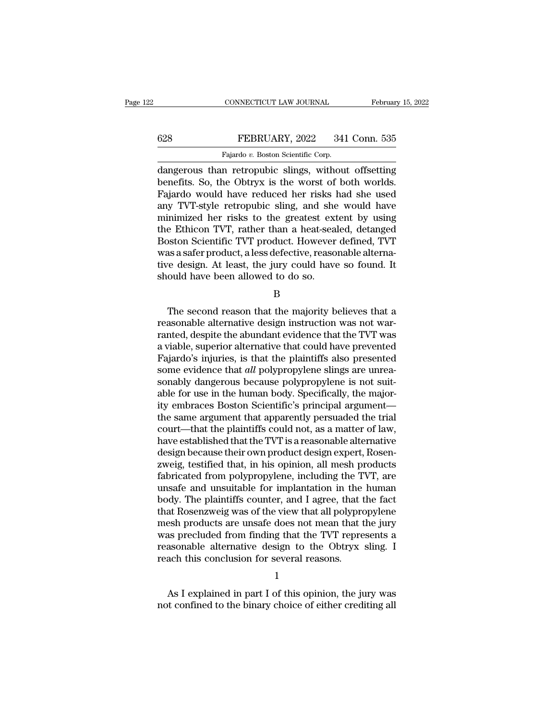### CONNECTICUT LAW JOURNAL February 15, 2022<br>628 FEBRUARY, 2022 341 Conn. 535<br>Fajardo v. Boston Scientific Corp. CONNECTICUT LAW JOURNAL<br>FEBRUARY, 2022 341<br>Fajardo *v.* Boston Scientific Corp.<br>n. retropublic, slings, without

CONNECTICUT LAW JOURNAL February 15, 2022<br>
FEBRUARY, 2022 341 Conn. 535<br>
Fajardo v. Boston Scientific Corp.<br>
dangerous than retropubic slings, without offsetting<br>
benefits. So, the Obtryx is the worst of both worlds.<br>
Faja 628 FEBRUARY, 2022 341 Conn. 535<br>Fajardo v. Boston Scientific Corp.<br>dangerous than retropubic slings, without offsetting<br>benefits. So, the Obtryx is the worst of both worlds.<br>Fajardo would have reduced her risks had she us Fajardo v. Boston Scientific Corp.<br>
Fajardo v. Boston Scientific Corp.<br>
dangerous than retropubic slings, without offsetting<br>
benefits. So, the Obtryx is the worst of both worlds.<br>
Fajardo would have reduced her risks had FEBRUARY, 2022 341 Conn. 535<br>
Fajardo v. Boston Scientific Corp.<br>
dangerous than retropubic slings, without offsetting<br>
benefits. So, the Obtryx is the worst of both worlds.<br>
Fajardo would have reduced her risks had she us Fajardo v. Boston Scientific Corp.<br>
dangerous than retropubic slings, without offsetting<br>
benefits. So, the Obtryx is the worst of both worlds.<br>
Fajardo would have reduced her risks had she used<br>
any TVT-style retropubic s Fajardo v. Boston Scientific Corp.<br>
dangerous than retropubic slings, without offsetting<br>
benefits. So, the Obtryx is the worst of both worlds.<br>
Fajardo would have reduced her risks had she used<br>
any TVT-style retropubic s dangerous than retropubic slings, without offsetting<br>benefits. So, the Obtryx is the worst of both worlds.<br>Fajardo would have reduced her risks had she used<br>any TVT-style retropubic sling, and she would have<br>minimized her benefits. So, the Obtryx is the worst of both worlds.<br>Fajardo would have reduced her risks had she used<br>any TVT-style retropubic sling, and she would have<br>minimized her risks to the greatest extent by using<br>the Ethicon TVT Fajardo would have reduced her risks had she used<br>any TVT-style retropubic sling, and she would have<br>minimized her risks to the greatest extent by using<br>the Ethicon TVT, rather than a heat-sealed, detanged<br>Boston Scientifi any TVT-style retropubic sling, and she<br>minimized her risks to the greatest ext<br>the Ethicon TVT, rather than a heat-sea.<br>Boston Scientific TVT product. However<br>was a safer product, a less defective, reaso<br>tive design. At l Solvet a Scientific TVT product. However defined, TVT<br>as a safer product, a less defective, reasonable alterna-<br>reading. At least, the jury could have so found. It<br>ould have been allowed to do so.<br>B<br>The second reason that

B

was a safer product, a less defective, reasonable alternative design. At least, the jury could have so found. It should have been allowed to do so.<br>B<br>The second reason that the majority believes that a reasonable alternati tive design. At least, the jury could have so found. It<br>should have been allowed to do so.<br>B<br>The second reason that the majority believes that a<br>reasonable alternative design instruction was not war-<br>ranted, despite the ab should have been allowed to do so.<br>
B<br>
The second reason that the majority believes that a<br>
reasonable alternative design instruction was not war-<br>
ranted, despite the abundant evidence that the TVT was<br>
a viable, superior B<br>
The second reason that the majority believes that a<br>
reasonable alternative design instruction was not war-<br>
ranted, despite the abundant evidence that the TVT was<br>
a viable, superior alternative that could have prevent B<br>The second reason that the majority believes that a<br>reasonable alternative design instruction was not war-<br>ranted, despite the abundant evidence that the TVT was<br>a viable, superior alternative that could have prevented<br>F The second reason that the majority believes that a<br>reasonable alternative design instruction was not war-<br>ranted, despite the abundant evidence that the TVT was<br>a viable, superior alternative that could have prevented<br>Faj reasonable alternative design instruction was not warranted, despite the abundant evidence that the TVT was<br>a viable, superior alternative that could have prevented<br>Fajardo's injuries, is that the plaintiffs also presented ranted, despite the abundant evidence that the TVT was<br>a viable, superior alternative that could have prevented<br>Fajardo's injuries, is that the plaintiffs also presented<br>some evidence that *all* polypropylene slings are un a viable, superior alternative that could have prevented<br>Fajardo's injuries, is that the plaintiffs also presented<br>some evidence that *all* polypropylene slings are unrea-<br>sonably dangerous because polypropylene is not sui Fajardo's injuries, is that the plaintiffs also presented<br>some evidence that *all* polypropylene slings are unrea-<br>sonably dangerous because polypropylene is not suit-<br>able for use in the human body. Specifically, the majo some evidence that *all* polypropylene slings are unreasonably dangerous because polypropylene is not suitable for use in the human body. Specifically, the majority embraces Boston Scientific's principal argument—<br>the same sonably dangerous because polypropylene is not suit-<br>able for use in the human body. Specifically, the major-<br>ity embraces Boston Scientific's principal argument—<br>the same argument that apparently persuaded the trial<br>court able for use in the human body. Specifically, the majority embraces Boston Scientific's principal argument—<br>the same argument that apparently persuaded the trial<br>court—that the plaintiffs could not, as a matter of law,<br>hav ity embraces Boston Scientific's principal argument—<br>the same argument that apparently persuaded the trial<br>court—that the plaintiffs could not, as a matter of law,<br>have established that the TVT is a reasonable alternative<br> the same argument that apparently persuaded the trial<br>court—that the plaintiffs could not, as a matter of law,<br>have established that the TVT is a reasonable alternative<br>design because their own product design expert, Rosen court—that the plaintiffs could not, as a matter of law,<br>have established that the TVT is a reasonable alternative<br>design because their own product design expert, Rosen-<br>zweig, testified that, in his opinion, all mesh prod have established that the TVT is a reasonable alternative<br>design because their own product design expert, Rosen-<br>zweig, testified that, in his opinion, all mesh products<br>fabricated from polypropylene, including the TVT, ar design because their own product design expert, Rosen-<br>zweig, testified that, in his opinion, all mesh products<br>fabricated from polypropylene, including the TVT, are<br>unsafe and unsuitable for implantation in the human<br>body zweig, testified that, in his opinion, all mesh products<br>fabricated from polypropylene, including the TVT, are<br>unsafe and unsuitable for implantation in the human<br>body. The plaintiffs counter, and I agree, that the fact<br>th fabricated from polypropylene, including the TVT, are<br>unsafe and unsuitable for implantation in the human<br>body. The plaintiffs counter, and I agree, that the fact<br>that Rosenzweig was of the view that all polypropylene<br>mesh unsafe and unsuitable for implantation in the<br>body. The plaintiffs counter, and I agree, that t<br>that Rosenzweig was of the view that all polypre<br>mesh products are unsafe does not mean that t<br>was precluded from finding that recluded from finding that the TVT represents a<br>asonable alternative design to the Obtryx sling. I<br>ach this conclusion for several reasons.<br>1<br>As I explained in part I of this opinion, the jury was<br>t confined to the binary was precluded from finding that the TVT represents a reasonable alternative design to the Obtryx sling. I<br>reach this conclusion for several reasons.<br>1<br>As I explained in part I of this opinion, the jury was<br>not confined to

1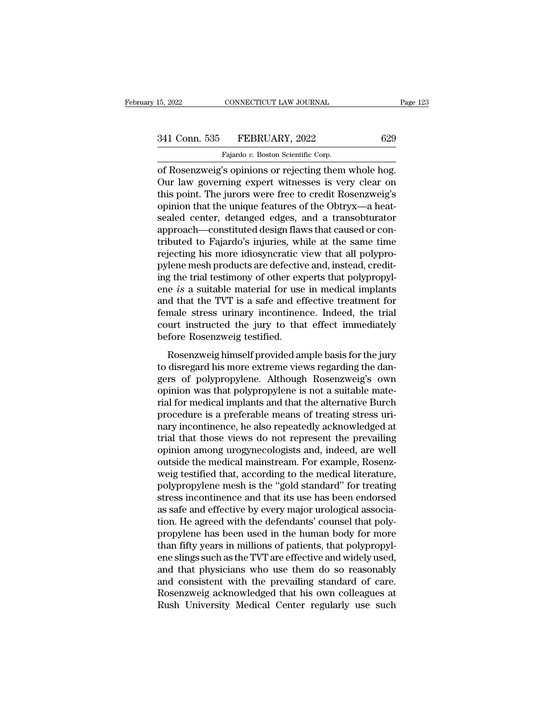15, 2022 CONNECTICUT LAW JOURNAL<br>
341 Conn. 535 FEBRUARY, 2022 629<br>
Fajardo *v.* Boston Scientific Corp.<br>
of Rosenzweig's opinions or rejecting them whole hog. of Rosenzweig's opinions or rejecting them whole hog.<br>
Tajardo v. Boston Scientific Corp.<br>
Tajardo v. Boston Scientific Corp.<br>
The Rosenzweig's opinions or rejecting them whole hog.<br>
Our law governing expert witnesses is v 341 Conn. 535 FEBRUARY, 2022 629<br>Fajardo v. Boston Scientific Corp.<br>Our law governing expert witnesses is very clear on<br>this point. The jurors were free to credit Rosenzweig's<br>oninion that the unique features of the Obtray 341 Conn. 535 FEBRUARY, 2022 629<br>
Fajardo v. Boston Scientific Corp.<br>
of Rosenzweig's opinions or rejecting them whole hog.<br>
Our law governing expert witnesses is very clear on<br>
this point. The jurors were free to credit 341 Conn. 535 FEBRUARY, 2022 629<br>
Fajardo v. Boston Scientific Corp.<br>
of Rosenzweig's opinions or rejecting them whole hog.<br>
Our law governing expert witnesses is very clear on<br>
this point. The jurors were free to credit Fajardo v. Boston Scientific Corp.<br>
The Cornel of Rosenzweig's opinions or rejecting them whole hog.<br>
Our law governing expert witnesses is very clear on<br>
this point. The jurors were free to credit Rosenzweig's<br>
opinion th Falardo v. Boston Scientific Corp.<br>
of Rosenzweig's opinions or rejecting them whole hog.<br>
Our law governing expert witnesses is very clear on<br>
this point. The jurors were free to credit Rosenzweig's<br>
opinion that the uni of Rosenzweig's opinions or rejecting them whole hog.<br>Our law governing expert witnesses is very clear on<br>this point. The jurors were free to credit Rosenzweig's<br>opinion that the unique features of the Obtryx—a heat-<br>seale Our law governing expert witnesses is very clear on<br>this point. The jurors were free to credit Rosenzweig's<br>opinion that the unique features of the Obtryx—a heat-<br>sealed center, detanged edges, and a transobturator<br>approac this point. The jurors were free to credit Rosenzweig's<br>opinion that the unique features of the Obtryx—a heat-<br>sealed center, detanged edges, and a transobturator<br>approach—constituted design flaws that caused or con-<br>tribu opinion that the unique features of the Obtryx—a heat-<br>sealed center, detanged edges, and a transobturator<br>approach—constituted design flaws that caused or con-<br>tributed to Fajardo's injuries, while at the same time<br>reject sealed center, detanged edges, and a transobturator<br>approach—constituted design flaws that caused or con-<br>tributed to Fajardo's injuries, while at the same time<br>rejecting his more idiosyncratic view that all polypro-<br>pylen approach—constituted design flaws that caused or contributed to Fajardo's injuries, while at the same time<br>rejecting his more idiosyncratic view that all polypro-<br>pylene mesh products are defective and, instead, credit-<br>in tributed to Fajardo's injuries, while at the same time<br>rejecting his more idiosyncratic view that all polypro-<br>pylene mesh products are defective and, instead, credit-<br>ing the trial testimony of other experts that polyprop rejecting his more idiosyncratic view that all polypro-<br>pylene mesh products are defective and, instead, credit-<br>ing the trial testimony of other experts that polypropyl-<br>ene *is* a suitable material for use in medical imp pylene mesh products are defectively<br>ing the trial testimony of other expense is a suitable material for use<br>and that the TVT is a safe and ef<br>female stress urinary incontinen<br>court instructed the jury to tha<br>before Rosenz  $\epsilon$  is a suitable material for use in medical implants<br>d that the TVT is a safe and effective treatment for<br>male stress urinary incontinence. Indeed, the trial<br>urt instructed the jury to that effect immediately<br>fore Rose and that the TVT is a safe and effective treatment for<br>female stress urinary incontinence. Indeed, the trial<br>court instructed the jury to that effect immediately<br>before Rosenzweig testified.<br>Rosenzweig himself provided amp

Female stress urinary incontinence. Indeed, the trial<br>court instructed the jury to that effect immediately<br>before Rosenzweig testified.<br>Rosenzweig himself provided ample basis for the jury<br>to disregard his more extreme vie France Satess drindly inconducted. Indeed, the dial<br>court instructed the jury to that effect immediately<br>before Rosenzweig testified.<br>Rosenzweig himself provided ample basis for the jury<br>to disregard his more extreme views before Rosenzweig testified.<br>
Rosenzweig himself provided ample basis for the jury<br>
to disregard his more extreme views regarding the dan-<br>
gers of polypropylene. Although Rosenzweig's own<br>
opinion was that polypropylene i Rosenzweig himself provided ample basis for the jury<br>to disregard his more extreme views regarding the dangers of polypropylene. Although Rosenzweig's own<br>opinion was that polypropylene is not a suitable mate-<br>rial for med Rosenzweig himself provided ample basis for the jury<br>to disregard his more extreme views regarding the dan-<br>gers of polypropylene. Although Rosenzweig's own<br>opinion was that polypropylene is not a suitable mate-<br>rial for m to disregard his more extreme views regarding the dangers of polypropylene. Although Rosenzweig's own<br>opinion was that polypropylene is not a suitable mate-<br>rial for medical implants and that the alternative Burch<br>procedur gers of polypropylene. Although Rosenzweig's own<br>opinion was that polypropylene is not a suitable mate-<br>rial for medical implants and that the alternative Burch<br>procedure is a preferable means of treating stress uri-<br>nary opinion was that polypropylene is not a suitable mate-<br>rial for medical implants and that the alternative Burch<br>procedure is a preferable means of treating stress uri-<br>nary incontinence, he also repeatedly acknowledged at<br> rial for medical implants and that the alternative Burch<br>procedure is a preferable means of treating stress uri-<br>nary incontinence, he also repeatedly acknowledged at<br>trial that those views do not represent the prevailing<br> procedure is a preferable means of treating stress uri-<br>nary incontinence, he also repeatedly acknowledged at<br>trial that those views do not represent the prevailing<br>opinion among urogynecologists and, indeed, are well<br>outs nary incontinence, he also repeatedly acknowledged at<br>trial that those views do not represent the prevailing<br>opinion among urogynecologists and, indeed, are well<br>outside the medical mainstream. For example, Rosenz-<br>weig te trial that those views do not represent the prevailing<br>opinion among urogynecologists and, indeed, are well<br>outside the medical mainstream. For example, Rosenz-<br>weig testified that, according to the medical literature,<br>pol opinion among urogynecologists and, indeed, are well<br>outside the medical mainstream. For example, Rosenz-<br>weig testified that, according to the medical literature,<br>polypropylene mesh is the "gold standard" for treating<br>str outside the medical mainstream. For example, Rosenz-<br>weig testified that, according to the medical literature,<br>polypropylene mesh is the "gold standard" for treating<br>stress incontinence and that its use has been endorsed<br>a weig testified that, according to the medical literature,<br>polypropylene mesh is the "gold standard" for treating<br>stress incontinence and that its use has been endorsed<br>as safe and effective by every major urological associ polypropylene mesh is the "gold standard" for treating<br>stress incontinence and that its use has been endorsed<br>as safe and effective by every major urological associa-<br>tion. He agreed with the defendants' counsel that polystress incontinence and that its use has been endorsed<br>as safe and effective by every major urological associa-<br>tion. He agreed with the defendants' counsel that poly-<br>propylene has been used in the human body for more<br>tha as safe and effective by every major urological association. He agreed with the defendants' counsel that poly-<br>propylene has been used in the human body for more<br>than fifty years in millions of patients, that polypropyl-<br>e tion. He agreed with the defendants' counsel that poly-<br>propylene has been used in the human body for more<br>than fifty years in millions of patients, that polypropyl-<br>ene slings such as the TVT are effective and widely used propylene has been used in the human body for more<br>than fifty years in millions of patients, that polypropyl-<br>ene slings such as the TVT are effective and widely used,<br>and that physicians who use them do so reasonably<br>and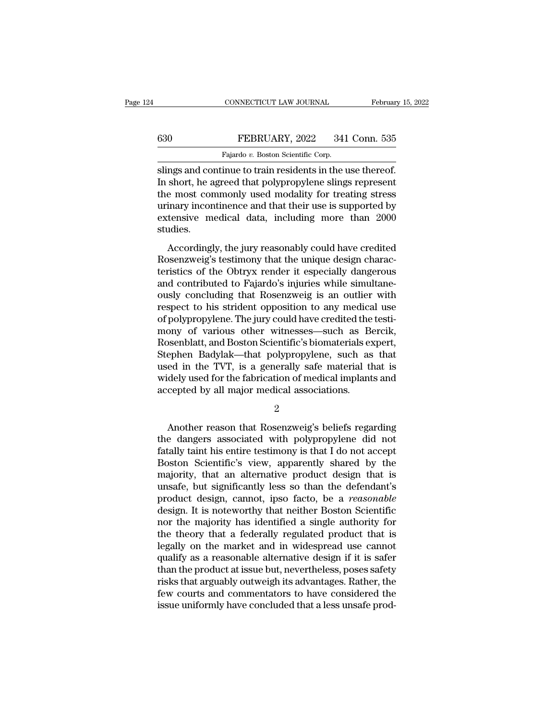### CONNECTICUT LAW JOURNAL February 15, 2022<br>630 FEBRUARY, 2022 341 Conn. 535<br>Fajardo v. Boston Scientific Corp. CONNECTICUT LAW JOURNAL<br>FEBRUARY, 2022 341<br>Fajardo *v*. Boston Scientific Corp.<br>inue to train residents in the **1**

CONNECTICUT LAW JOURNAL February 15, 2<br>
Slings and continue to train residents in the use thereof.<br>
The short, he agreed that polypropylene slings represent<br>
The most commonly used modelity for troping stress FEBRUARY, 2022 341 Conn. 535<br>Fajardo v. Boston Scientific Corp.<br>Slings and continue to train residents in the use thereof.<br>In short, he agreed that polypropylene slings represent<br>the most commonly used modality for treatin  $\begin{tabular}{ll} \hline & \multicolumn{1}{l}{\textbf{FEBRUARY, 2022 \quad \ \ \, 341 Conn. 535}}\\ \hline \hline \multicolumn{1}{l}{\textbf{Fajardo $v$. Boston Scientific Corp.}}\\ \hline \multicolumn{1}{l}{\textbf{Slings and continue to train residents in the use thereof.}}\\ \hline \multicolumn{1}{l}{\textbf{In short, he agreed that polypropylene slings represent}}\\ \hline \multicolumn{1}{l}{\textbf{the most commonly used modality for treating stress}}\\ \hline \multicolumn{1}{l}{\textbf{urating stored by}}\\ \hline \multicolumn{1}{l}{\textbf{avtonsive modified} that their use$ FEBRUARY, 2022 341 Conn. 535<br>
Fajardo v. Boston Scientific Corp.<br>
Slings and continue to train residents in the use thereof.<br>
In short, he agreed that polypropylene slings represent<br>
the most commonly used modality for tre Fajardo v. Boston Scientific Corp.<br>
Slings and continue to train residents in the use thereof.<br>
In short, he agreed that polypropylene slings represent<br>
the most commonly used modality for treating stress<br>
urinary incontin studies. reasonably could have credited<br>short, he agreed that polypropylene slings represent<br>e most commonly used modality for treating stress<br>inary incontinence and that their use is supported by<br>tensive medical data, including mo In shore, he agreed and polypropylene sings represent<br>the most commonly used modality for treating stress<br>urinary incontinence and that their use is supported by<br>extensive medical data, including more than 2000<br>studies.<br>Ac

the most confinently used modality for treating stress<br>urinary incontinence and that their use is supported by<br>extensive medical data, including more than 2000<br>studies.<br>Accordingly, the jury reasonably could have credited<br> and contributed to Fajardo's including more than 2000<br>studies.<br>Accordingly, the jury reasonably could have credited<br>Rosenzweig's testimony that the unique design charac-<br>teristics of the Obtryx render it especially dangero studies.<br>
Accordingly, the jury reasonably could have credited<br>
Rosenzweig's testimony that the unique design charac-<br>
teristics of the Obtryx render it especially dangerous<br>
and contributed to Fajardo's injuries while sim Accordingly, the jury reasonably could have credited<br>Rosenzweig's testimony that the unique design charac-<br>teristics of the Obtryx render it especially dangerous<br>and contributed to Fajardo's injuries while simultane-<br>ously Accordingly, the jury reasonably could have credited<br>Rosenzweig's testimony that the unique design charac-<br>teristics of the Obtryx render it especially dangerous<br>and contributed to Fajardo's injuries while simultane-<br>ously Rosenzweig's testimony that the unique design characteristics of the Obtryx render it especially dangerous<br>and contributed to Fajardo's injuries while simultane-<br>ously concluding that Rosenzweig is an outlier with<br>respect teristics of the Obtryx render it especially dangerous<br>and contributed to Fajardo's injuries while simultane-<br>ously concluding that Rosenzweig is an outlier with<br>respect to his strident opposition to any medical use<br>of pol and contributed to Fajardo's injuries while simultane-<br>ously concluding that Rosenzweig is an outlier with<br>respect to his strident opposition to any medical use<br>of polypropylene. The jury could have credited the testi-<br>mon ously concluding that Rosenzweig is an outlier with<br>respect to his strident opposition to any medical use<br>of polypropylene. The jury could have credited the testi-<br>mony of various other witnesses—such as Bercik,<br>Rosenblatt respect to his strident opposition to any medical use<br>of polypropylene. The jury could have credited the testi-<br>mony of various other witnesses—such as Bercik,<br>Rosenblatt, and Boston Scientific's biomaterials expert,<br>Steph of polypropylene. The jury could have credited the<br>mony of various other witnesses—such as B<br>Rosenblatt, and Boston Scientific's biomaterials es<br>Stephen Badylak—that polypropylene, such as<br>used in the TVT, is a generally s ephen Badylak—that polypropylene, such as that<br>ed in the TVT, is a generally safe material that is<br>dely used for the fabrication of medical implants and<br>cepted by all major medical associations.<br>2<br>Another reason that Rosen

2

used in the TVT, is a generally safe material that is<br>widely used for the fabrication of medical implants and<br>accepted by all major medical associations.<br>2<br>Another reason that Rosenzweig's beliefs regarding<br>the dangers ass widely used for the fabrication of medical implants and<br>accepted by all major medical associations.<br> $\frac{2}{100}$ <br>Another reason that Rosenzweig's beliefs regarding<br>the dangers associated with polypropylene did not<br>fatally t accepted by all major medical associations.<br>
2<br>
Another reason that Rosenzweig's beliefs regarding<br>
the dangers associated with polypropylene did not<br>
fatally taint his entire testimony is that I do not accept<br>
Boston Scie 2<br>
Another reason that Rosenzweig's beliefs regarding<br>
the dangers associated with polypropylene did not<br>
fatally taint his entire testimony is that I do not accept<br>
Boston Scientific's view, apparently shared by the<br>
majo Another reason that Rosenzweig's beliefs regarding<br>the dangers associated with polypropylene did not<br>fatally taint his entire testimony is that I do not accept<br>Boston Scientific's view, apparently shared by the<br>majority, t Another reason that Rosenzweig's beliefs regarding<br>the dangers associated with polypropylene did not<br>fatally taint his entire testimony is that I do not accept<br>Boston Scientific's view, apparently shared by the<br>majority, t the dangers associated with polypropylene did not<br>fatally taint his entire testimony is that I do not accept<br>Boston Scientific's view, apparently shared by the<br>majority, that an alternative product design that is<br>unsafe, b fatally taint his entire testimony is that I do not accept<br>Boston Scientific's view, apparently shared by the<br>majority, that an alternative product design that is<br>unsafe, but significantly less so than the defendant's<br>prod Boston Scientific's view, apparently shared by the<br>majority, that an alternative product design that is<br>unsafe, but significantly less so than the defendant's<br>product design, cannot, ipso facto, be a *reasonable*<br>design. I majority, that an alternative product design that is<br>unsafe, but significantly less so than the defendant's<br>product design, cannot, ipso facto, be a *reasonable*<br>design. It is noteworthy that neither Boston Scientific<br>nor unsafe, but significantly less so than the defendant's<br>product design, cannot, ipso facto, be a *reasonable*<br>design. It is noteworthy that neither Boston Scientific<br>nor the majority has identified a single authority for<br>th product design, cannot, ipso facto, be a *reasonable*<br>design. It is noteworthy that neither Boston Scientific<br>nor the majority has identified a single authority for<br>the theory that a federally regulated product that is<br>leg design. It is noteworthy that neither Boston Scientific<br>nor the majority has identified a single authority for<br>the theory that a federally regulated product that is<br>legally on the market and in widespread use cannot<br>qualif nor the majority has identified a single authority for<br>the theory that a federally regulated product that is<br>legally on the market and in widespread use cannot<br>qualify as a reasonable alternative design if it is safer<br>than the theory that a federally regulated product that is<br>legally on the market and in widespread use cannot<br>qualify as a reasonable alternative design if it is safer<br>than the product at issue but, nevertheless, poses safety<br>r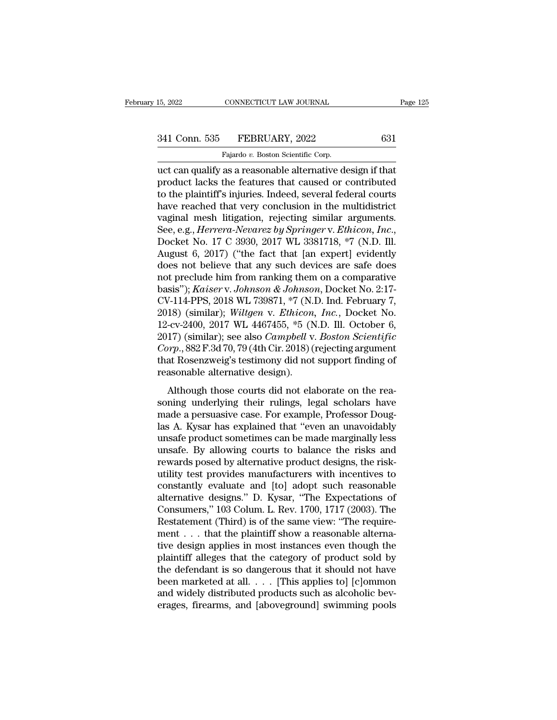# 15, 2022 CONNECTICUT LAW JOURNAL Page 125<br>341 Conn. 535 FEBRUARY, 2022 631<br>Fajardo v. Boston Scientific Corp.

15, 2022 CONNECTICUT LAW JOURNAL<br>
341 Conn. 535 FEBRUARY, 2022 631<br>
Fajardo *v.* Boston Scientific Corp.<br>
uct can qualify as a reasonable alternative design if that 15, 2022 CONNECTICUT LAW JOURNAL Page 12<br>
341 Conn. 535 FEBRUARY, 2022 631<br>
Fajardo v. Boston Scientific Corp.<br>
uct can qualify as a reasonable alternative design if that<br>
product lacks the features that caused or contribu 341 Conn. 535 FEBRUARY, 2022 631<br>Fajardo v. Boston Scientific Corp.<br>uct can qualify as a reasonable alternative design if that<br>product lacks the features that caused or contributed<br>to the plaintiff's injuries. Indeed, seve 341 Conn. 535 FEBRUARY, 2022 631<br>
Fajardo v. Boston Scientific Corp.<br>
uct can qualify as a reasonable alternative design if that<br>
product lacks the features that caused or contributed<br>
to the plaintiff's injuries. Indeed, 341 Conn. 535 FEBRUARY, 2022 631<br>
Fajardo v. Boston Scientific Corp.<br>
uct can qualify as a reasonable alternative design if that<br>
product lacks the features that caused or contributed<br>
to the plaintiff's injuries. Indeed, Fajardo v. Boston Scientific Corp.<br>
uct can qualify as a reasonable alternative design if that<br>
product lacks the features that caused or contributed<br>
to the plaintiff's injuries. Indeed, several federal courts<br>
have reach Fajardo v. Boston Scientific Corp.<br>
uct can qualify as a reasonable alternative design if that<br>
product lacks the features that caused or contributed<br>
to the plaintiff's injuries. Indeed, several federal courts<br>
have reach product lacks the features that caused or contributed<br>to the plaintiff's injuries. Indeed, several federal courts<br>have reached that very conclusion in the multidistrict<br>vaginal mesh litigation, rejecting similar arguments. to the plaintiff's injuries. Indeed, several federal courts<br>have reached that very conclusion in the multidistrict<br>vaginal mesh litigation, rejecting similar arguments.<br>See, e.g., *Herrera-Nevarez by Springer* v. *Ethicon* have reached that very conclusion in the multidistrict<br>vaginal mesh litigation, rejecting similar arguments.<br>See, e.g., *Herrera-Nevarez by Springer* v. *Ethicon*, *Inc.*,<br>Docket No. 17 C 3930, 2017 WL 3381718, \*7 (N.D. Il vaginal mesh litigation, rejecting similar arguments.<br>See, e.g., *Herrera-Nevarez by Springer* v. *Ethicon*, *Inc.*,<br>Docket No. 17 C 3930, 2017 WL 3381718, \*7 (N.D. Ill.<br>August 6, 2017) ("the fact that [an expert] evidentl See, e.g., *Herrera-Nevarez by Springer* v. *Ethicon*, *Inc.*, Docket No. 17 C 3930, 2017 WL 3381718, \*7 (N.D. Ill. August 6, 2017) ("the fact that [an expert] evidently does not believe that any such devices are safe does Docket No. 17 C 3930, 2017 WL 3381718, \*7 (N.D. Ill.<br>August 6, 2017) ("the fact that [an expert] evidently<br>does not believe that any such devices are safe does<br>not preclude him from ranking them on a comparative<br>basis"); August 6, 2017) ("the fact that [an expert] evidently<br>does not believe that any such devices are safe does<br>not preclude him from ranking them on a comparative<br>basis"); *Kaiser v. Johnson & Johnson*, Docket No. 2:17-<br>CV-11 does not believe that any such devices are safe does<br>not preclude him from ranking them on a comparative<br>basis"); *Kaiser* v. *Johnson & Johnson*, Docket No. 2:17-<br>CV-114-PPS, 2018 WL 739871, \*7 (N.D. Ind. February 7,<br>2018 not preclude him from ranking them on a comparative<br>basis"); *Kaiser* v. *Johnson & Johnson*, Docket No. 2:17-<br>CV-114-PPS, 2018 WL 739871, \*7 (N.D. Ind. February 7,<br>2018) (similar); *Wiltgen* v. *Ethicon, Inc.*, Docket No. basis"); *Kaiser* v. Johnson & Johnson, Docket No. 2:17-<br>CV-114-PPS, 2018 WL 739871, \*7 (N.D. Ind. February 7,<br>2018) (similar); *Wiltgen* v. *Ethicon, Inc.*, Docket No.<br>12-cv-2400, 2017 WL 4467455, \*5 (N.D. Ill. October 6, CV-114-PPS, 2018 WL 739871, \*7 (N. 2018) (similar); Wiltgen v. Ethicon, 12-cv-2400, 2017 WL 4467455, \*5 (N. 2017) (similar); see also *Campbell* v. *Corp.*, 882 F.3d 70, 79 (4th Cir. 2018) (that Rosenzweig's testimony did For example, *Produces, Theory Calthong, Waygen V. Entrecon, Theory Cover 10*.<br>
-cv-2400, 2017 WL 4467455, \*5 (N.D. Ill. October 6,<br>
17) (similar); see also *Campbell v. Boston Scientific*<br>
orp., 882 F.3d 70, 79 (4th Cir. 12 ev 2100, 2011 will 1101159,  $\sigma$  (1.1.9. m. eccesser 0,<br>2017) (similar); see also *Campbell v. Boston Scientific*<br>*Corp.*, 882 F.3d 70, 79 (4th Cir. 2018) (rejecting argument<br>that Rosenzweig's testimony did not support

Lorry (Shimary, See also Campbear v. Double Botchingto<br>
Corp., 882 F.3d 70, 79 (4th Cir. 2018) (rejecting argument<br>
that Rosenzweig's testimony did not support finding of<br>
reasonable alternative design).<br>
Although those co Las A. Kysar has explained that Hosenzweig's testimony did not support finding of<br>reasonable alternative design).<br>Although those courts did not elaborate on the reasoning underlying their rulings, legal scholars have<br>made reasonable alternative design).<br>
Although those courts did not elaborate on the reasoning underlying their rulings, legal scholars have<br>
made a persuasive case. For example, Professor Doug-<br>
las A. Kysar has explained that Although those courts did not elaborate on the reasoning underlying their rulings, legal scholars have<br>made a persuasive case. For example, Professor Douglas A. Kysar has explained that "even an unavoidably<br>unsafe product Although those courts did not elaborate on the reasoning underlying their rulings, legal scholars have made a persuasive case. For example, Professor Douglas A. Kysar has explained that "even an unavoidably unsafe product soning underlying their rulings, legal scholars have<br>made a persuasive case. For example, Professor Doug-<br>las A. Kysar has explained that "even an unavoidably<br>unsafe product sometimes can be made marginally less<br>unsafe. By made a persuasive case. For example, Professor Douglas A. Kysar has explained that "even an unavoidably<br>unsafe product sometimes can be made marginally less<br>unsafe. By allowing courts to balance the risks and<br>rewards posed las A. Kysar has explained that "even an unavoidably<br>unsafe product sometimes can be made marginally less<br>unsafe. By allowing courts to balance the risks and<br>rewards posed by alternative product designs, the risk-<br>utility unsafe product sometimes can be made marginally less<br>unsafe. By allowing courts to balance the risks and<br>rewards posed by alternative product designs, the risk-<br>utility test provides manufacturers with incentives to<br>consta unsafe. By allowing courts to balance the risks and<br>rewards posed by alternative product designs, the risk-<br>utility test provides manufacturers with incentives to<br>constantly evaluate and [to] adopt such reasonable<br>alternat rewards posed by alternative product designs, the risk-<br>utility test provides manufacturers with incentives to<br>constantly evaluate and  $[to]$  adopt such reasonable<br>alternative designs." D. Kysar, "The Expectations of<br>Consu utility test provides manufacturers with incentives to<br>constantly evaluate and [to] adopt such reasonable<br>alternative designs." D. Kysar, "The Expectations of<br>Consumers," 103 Colum. L. Rev. 1700, 1717 (2003). The<br>Restateme constantly evaluate and [to] adopt such reasonable<br>alternative designs." D. Kysar, "The Expectations of<br>Consumers," 103 Colum. L. Rev. 1700, 1717 (2003). The<br>Restatement (Third) is of the same view: "The require-<br>ment . . alternative designs." D. Kysar, "The Expectations of<br>Consumers," 103 Colum. L. Rev. 1700, 1717 (2003). The<br>Restatement (Third) is of the same view: "The require-<br>ment . . . that the plaintiff show a reasonable alterna-<br>tiv Consumers," 103 Colum. L. Rev. 1700, 1717 (2003). The<br>Restatement (Third) is of the same view: "The require-<br>ment . . . that the plaintiff show a reasonable alterna-<br>tive design applies in most instances even though the<br>p Restatement (Third) is of the same view: "The requirement . . . that the plaintiff show a reasonable alternative design applies in most instances even though the plaintiff alleges that the category of product sold by the ment . . . that the plaintiff show a reasonable alternative design applies in most instances even though the plaintiff alleges that the category of product sold by the defendant is so dangerous that it should not have bee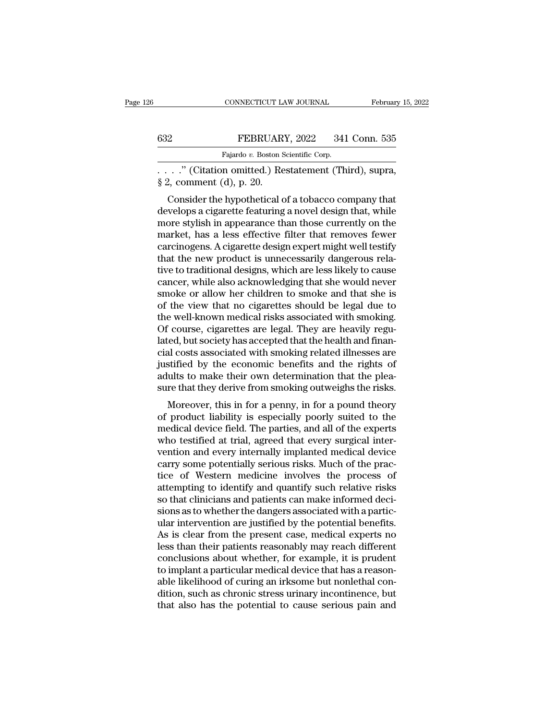|     | CONNECTICUT LAW JOURNAL                  | February 15, 2022 |
|-----|------------------------------------------|-------------------|
|     |                                          |                   |
| 632 | FEBRUARY, 2022                           | 341 Conn. 535     |
|     | Fajardo v. Boston Scientific Corp.       |                   |
|     | " (Citation omitted) Restatement (Third) | sunra             |

. . . .'' (Citation omitted.) Restatement (Third), supra, EEBRUAR<br>
Fajardo v. Boston S<br>
Fajardo v. Boston S<br>
§ 2, comment (d), p. 20.<br>
Consider the hypothetical c

FEBRUARY, 2022 341 Conn. 535<br>
Fajardo v. Boston Scientific Corp.<br>
. ." (Citation omitted.) Restatement (Third), supra,<br>
2, comment (d), p. 20.<br>
Consider the hypothetical of a tobacco company that<br>
velops a cigarette featur FEBRUARY, 2022 341 Conn. 535<br>
Fajardo v. Boston Scientific Corp.<br>
....." (Citation omitted.) Restatement (Third), supra,<br>
§ 2, comment (d), p. 20.<br>
Consider the hypothetical of a tobacco company that<br>
develops a cigarette Fajardo v. Boston Scientific Corp.<br>
. . . . . " (Citation omitted.) Restatement (Third), supra,<br>
§ 2, comment (d), p. 20.<br>
Consider the hypothetical of a tobacco company that<br>
develops a cigarette featuring a novel design  $\therefore$   $\therefore$  " (Citation omitted.) Restatement (Third), supra,<br>
§ 2, comment (d), p. 20.<br>
Consider the hypothetical of a tobacco company that<br>
develops a cigarette featuring a novel design that, while<br>
more stylish in appe  $\S$  2, comment (d), p. 20.<br>
S 2, comment (d), p. 20.<br>
Consider the hypothetical of a tobacco company that<br>
develops a cigarette featuring a novel design that, while<br>
more stylish in appearance than those currently on the<br> s 2, comment (u), p. 20.<br>Consider the hypothetical of a tobacco company that<br>develops a cigarette featuring a novel design that, while<br>more stylish in appearance than those currently on the<br>market, has a less effective fil Consider the hypothetical of a tobacco company that<br>develops a cigarette featuring a novel design that, while<br>more stylish in appearance than those currently on the<br>market, has a less effective filter that removes fewer<br>ca develops a cigarette featuring a novel design that, while<br>more stylish in appearance than those currently on the<br>market, has a less effective filter that removes fewer<br>carcinogens. A cigarette design expert might well test more stylish in appearance than those currently on the market, has a less effective filter that removes fewer carcinogens. A cigarette design expert might well testify that the new product is unnecessarily dangerous relati market, has a less effective filter that removes fewer<br>carcinogens. A cigarette design expert might well testify<br>that the new product is unnecessarily dangerous rela-<br>tive to traditional designs, which are less likely to c carcinogens. A cigarette design expert might well testify<br>that the new product is unnecessarily dangerous rela-<br>tive to traditional designs, which are less likely to cause<br>cancer, while also acknowledging that she would ne that the new product is unnecessarily dangerous relative to traditional designs, which are less likely to cause cancer, while also acknowledging that she would never smoke or allow her children to smoke and that she is of tive to traditional designs, which are less likely to cause<br>cancer, while also acknowledging that she would never<br>smoke or allow her children to smoke and that she is<br>of the view that no cigarettes should be legal due to<br>t cancer, while also acknowledging that she would never<br>smoke or allow her children to smoke and that she is<br>of the view that no cigarettes should be legal due to<br>the well-known medical risks associated with smoking.<br>Of cour smoke or allow her children to smoke and that she is<br>of the view that no cigarettes should be legal due to<br>the well-known medical risks associated with smoking.<br>Of course, cigarettes are legal. They are heavily regu-<br>lated of the view that no cigarettes should be legal due to<br>the well-known medical risks associated with smoking.<br>Of course, cigarettes are legal. They are heavily regu-<br>lated, but society has accepted that the health and finanthe well-known medical risks associated with smoking.<br>Of course, cigarettes are legal. They are heavily regulated, but society has accepted that the health and finan-<br>cial costs associated with smoking related illnesses ar Fourse, cigarettes are legal. They are heavily regu-<br>ed, but society has accepted that the health and finan-<br>al costs associated with smoking related illnesses are<br>stified by the economic benefits and the rights of<br>ults to rated, but society has accepted that the health and mian-<br>cial costs associated with smoking related illnesses are<br>justified by the economic benefits and the rights of<br>adults to make their own determination that the plea-<br>

clai costs associated with shloking related imlesses are<br>justified by the economic benefits and the rights of<br>adults to make their own determination that the plea-<br>sure that they derive from smoking outweighs the risks.<br>Mo diated by the economic benefits and the rights of<br>adults to make their own determination that the plea-<br>sure that they derive from smoking outweighs the risks.<br>Moreover, this in for a penny, in for a pound theory<br>of produc adities to make their own determination that the pleasure that they derive from smoking outweighs the risks.<br>Moreover, this in for a penny, in for a pound theory<br>of product liability is especially poorly suited to the<br>medi sure that they derive from shlowing outwerghts the risks.<br>Moreover, this in for a penny, in for a pound theory<br>of product liability is especially poorly suited to the<br>medical device field. The parties, and all of the exper Moreover, this in for a penny, in for a pound theory<br>of product liability is especially poorly suited to the<br>medical device field. The parties, and all of the experts<br>who testified at trial, agreed that every surgical inte of product liability is especially poorly suited to the<br>medical device field. The parties, and all of the experts<br>who testified at trial, agreed that every surgical inter-<br>vention and every internally implanted medical dev medical device field. The parties, and all of the experts<br>who testified at trial, agreed that every surgical inter-<br>vention and every internally implanted medical device<br>carry some potentially serious risks. Much of the pr who testified at trial, agreed that every surgical inter-<br>vention and every internally implanted medical device<br>carry some potentially serious risks. Much of the prac-<br>tice of Western medicine involves the process of<br>attem vention and every internally implanted medical device<br>carry some potentially serious risks. Much of the prac-<br>tice of Western medicine involves the process of<br>attempting to identify and quantify such relative risks<br>so that carry some potentially serious risks. Much of the practice of Western medicine involves the process of attempting to identify and quantify such relative risks so that clinicians and patients can make informed decisions as tice of Western medicine involves the process of<br>attempting to identify and quantify such relative risks<br>so that clinicians and patients can make informed deci-<br>sions as to whether the dangers associated with a partic-<br>ula attempting to identify and quantify such relative risks<br>so that clinicians and patients can make informed deci-<br>sions as to whether the dangers associated with a partic-<br>ular intervention are justified by the potential ben so that clinicians and patients can make informed decisions as to whether the dangers associated with a particular intervention are justified by the potential benefits.<br>As is clear from the present case, medical experts no sions as to whether the dangers associated with a particular intervention are justified by the potential benefits.<br>As is clear from the present case, medical experts no<br>less than their patients reasonably may reach differe ular intervention are justified by the potential benefits.<br>As is clear from the present case, medical experts no<br>less than their patients reasonably may reach different<br>conclusions about whether, for example, it is prudent As is clear from the present case, medical experts no<br>less than their patients reasonably may reach different<br>conclusions about whether, for example, it is prudent<br>to implant a particular medical device that has a reason-<br>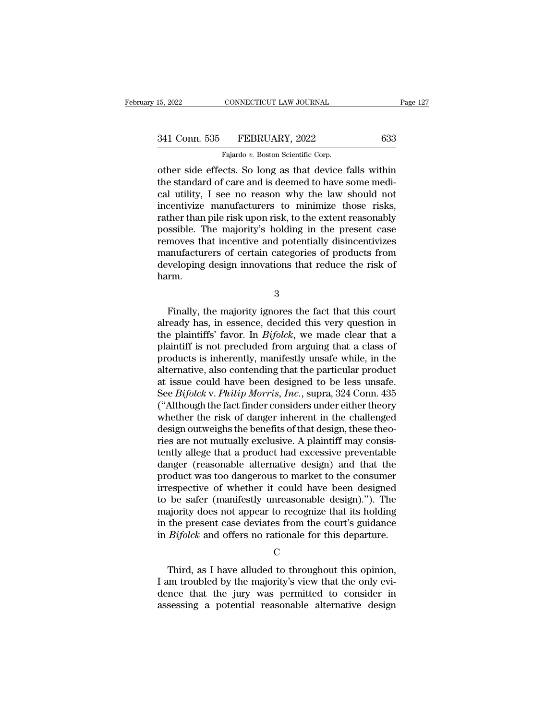| 15, 2022      | CONNECTICUT LAW JOURNAL            | Page 127 |
|---------------|------------------------------------|----------|
| 341 Conn. 535 | FEBRUARY, 2022                     | 633      |
|               | Fajardo v. Boston Scientific Corp. |          |

15, 2022 CONNECTICUT LAW JOURNAL<br>
341 Conn. 535 FEBRUARY, 2022 633<br>
Fajardo *v.* Boston Scientific Corp.<br>
other side effects. So long as that device falls within 15, 2022 CONNECTICUT LAW JOURNAL Page 127<br>
341 Conn. 535 FEBRUARY, 2022 633<br>
Fajardo v. Boston Scientific Corp.<br>
50 Other side effects. So long as that device falls within<br>
the standard of care and is deemed to have some m 341 Conn. 535 FEBRUARY, 2022 633<br>
Fajardo v. Boston Scientific Corp.<br>
other side effects. So long as that device falls within<br>
the standard of care and is deemed to have some medi-<br>
cal utility, I see no reason why the la 341 Conn. 535 FEBRUARY, 2022 633<br>
Fajardo v. Boston Scientific Corp.<br>
other side effects. So long as that device falls within<br>
the standard of care and is deemed to have some medi-<br>
cal utility, I see no reason why the la 341 Conn. 535 FEBRUARY, 2022 633<br>
Fajardo v. Boston Scientific Corp.<br>
other side effects. So long as that device falls within<br>
the standard of care and is deemed to have some medi-<br>
cal utility, I see no reason why the la Fajardo v. Boston Scientific Corp.<br>
The reason Scientific Corp.<br>
The standard of care and is deemed to have some medical utility, I see no reason why the law should not<br>
incentivize manufacturers to minimize those risks,<br> Figure of Boston Scientific Corp.<br>
other side effects. So long as that device falls within<br>
the standard of care and is deemed to have some medi-<br>
cal utility, I see no reason why the law should not<br>
incentivize manufactu other side effects. So long as that device falls within<br>the standard of care and is deemed to have some medi-<br>cal utility, I see no reason why the law should not<br>incentivize manufacturers to minimize those risks,<br>rather th the standard of care and is deemed to have some medical utility, I see no reason why the law should not<br>incentivize manufacturers to minimize those risks,<br>rather than pile risk upon risk, to the extent reasonably<br>possible. cal utility, I see no reason why the law should not<br>incentivize manufacturers to minimize those risks,<br>rather than pile risk upon risk, to the extent reasonably<br>possible. The majority's holding in the present case<br>removes harm. moves that incentive and potentially disincentivizes<br>
inveloping design innovations that reduce the risk of<br>
Finally, the majority ignores the fact that this court<br>
ready has, in essence, decided this very question in<br>
con

3

manufacturers of certain categories of products from<br>developing design innovations that reduce the risk of<br>harm.<br>3<br>Finally, the majority ignores the fact that this court<br>already has, in essence, decided this very question developing design innovations that reduce the risk of<br>harm.<br> $\frac{3}{3}$ <br>Finally, the majority ignores the fact that this court<br>already has, in essence, decided this very question in<br>the plaintiffs' favor. In *Bifolck*, we ma Finally, the majority ignores the fact that this court<br>already has, in essence, decided this very question in<br>the plaintiffs' favor. In *Bifolck*, we made clear that a<br>plaintiff is not precluded from arguing that a class  $\frac{3}{2}$ <br>Finally, the majority ignores the fact that this court<br>already has, in essence, decided this very question in<br>the plaintiffs' favor. In *Bifolck*, we made clear that a<br>plaintiff is not precluded from arguing tha Finally, the majority ignores the fact that this court<br>already has, in essence, decided this very question in<br>the plaintiffs' favor. In *Bifolck*, we made clear that a<br>plaintiff is not precluded from arguing that a class Finally, the majority ignores the fact that this court<br>already has, in essence, decided this very question in<br>the plaintiffs' favor. In *Bifolck*, we made clear that a<br>plaintiff is not precluded from arguing that a class already has, in essence, decided this very question in<br>the plaintiffs' favor. In *Bifolck*, we made clear that a<br>plaintiff is not precluded from arguing that a class of<br>products is inherently, manifestly unsafe while, in t the plaintiffs' favor. In *Bifolck*, we made clear that a plaintiff is not precluded from arguing that a class of products is inherently, manifestly unsafe while, in the alternative, also contending that the particular pro plaintiff is not precluded from arguing that a class of<br>products is inherently, manifestly unsafe while, in the<br>alternative, also contending that the particular product<br>at issue could have been designed to be less unsafe.<br> products is inherently, manifestly unsafe while, in the alternative, also contending that the particular product<br>at issue could have been designed to be less unsafe.<br>See *Bifolck* v. *Philip Morris, Inc.*, supra, 324 Conn. alternative, also contending that the particular product<br>at issue could have been designed to be less unsafe.<br>See *Bifolck* v. *Philip Morris, Inc.*, supra, 324 Conn. 435<br>("Although the fact finder considers under either t at issue could have been designed to be less unsafe.<br>See *Bifolck* v. *Philip Morris, Inc.*, supra, 324 Conn. 435<br>("Although the fact finder considers under either theory<br>whether the risk of danger inherent in the challeng See *Bifolck* v. *Philip Morris, Inc.*, supra, 324 Conn. 435<br>("Although the fact finder considers under either theory<br>whether the risk of danger inherent in the challenged<br>design outweighs the benefits of that design, thes ("Although the fact finder considers under either theory<br>whether the risk of danger inherent in the challenged<br>design outweighs the benefits of that design, these theo-<br>ries are not mutually exclusive. A plaintiff may con whether the risk of danger inherent in the challenged<br>design outweighs the benefits of that design, these theo-<br>ries are not mutually exclusive. A plaintiff may consis-<br>tently allege that a product had excessive preventabl design outweighs the benefits of that design, these theories are not mutually exclusive. A plaintiff may consistently allege that a product had excessive preventable danger (reasonable alternative design) and that the prod ries are not mutually exclusive. A plaintiff may consistently allege that a product had excessive preventable<br>danger (reasonable alternative design) and that the<br>product was too dangerous to market to the consumer<br>irrespec tently allege that a product had excessive preventable<br>danger (reasonable alternative design) and that the<br>product was too dangerous to market to the consumer<br>irrespective of whether it could have been designed<br>to be safer danger (reasonable alternative design) and that the<br>product was too dangerous to market to the consumer<br>irrespective of whether it could have been designed<br>to be safer (manifestly unreasonable design)."). The<br>majority does be safer (manifestly unreasonable design)."). The<br>ajority does not appear to recognize that its holding<br>the present case deviates from the court's guidance<br> $Bifolck$  and offers no rationale for this departure.<br>C<br>Third, as I

C<sub>c</sub>

majority does not appear to recognize that its holding<br>in the present case deviates from the court's guidance<br>in  $Bifolk$  and offers no rationale for this departure.<br> $C$ <br>Third, as I have alluded to throughout this opinion,<br>I in the present case deviates from the court's guidance<br>in  $Bifolck$  and offers no rationale for this departure.<br> $C$ <br>Third, as I have alluded to throughout this opinion,<br>I am troubled by the majority's view that the only eviin *Bifolck* and offers no rationale for this departure.<br>  $C$ <br>
Third, as I have alluded to throughout this opinion,<br>
I am troubled by the majority's view that the only evidence that the jury was permitted to consider in<br>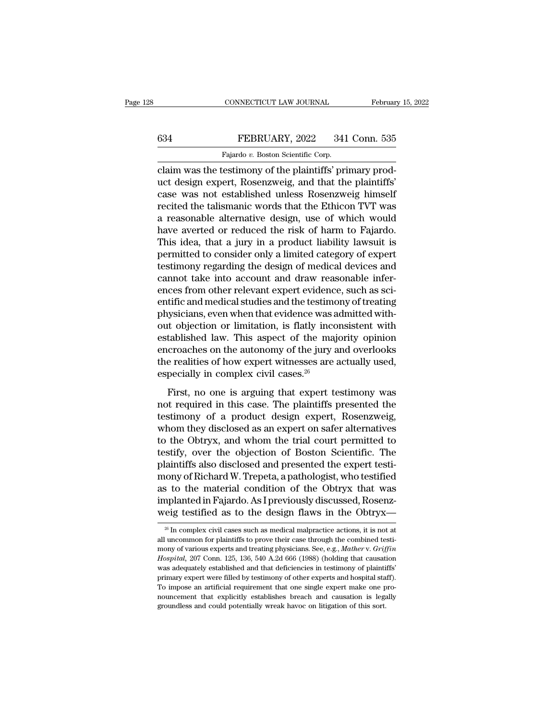### CONNECTICUT LAW JOURNAL February 15, 2022<br>634 FEBRUARY, 2022 341 Conn. 535<br>Fajardo v. Boston Scientific Corp. CONNECTICUT LAW JOURNAL<br>FEBRUARY, 2022 341<br>Fajardo *v.* Boston Scientific Corp.<br>restimony of the plaintiffs' pri

CONNECTICUT LAW JOURNAL Februar<br>
634 FEBRUARY, 2022 341 Conn. 535<br>
Fajardo v. Boston Scientific Corp.<br>
Claim was the testimony of the plaintiffs' primary prod-<br>
uct design expert, Rosenzweig, and that the plaintiffs' EBRUARY, 2022 341 Conn. 535<br>Fajardo v. Boston Scientific Corp.<br>Claim was the testimony of the plaintiffs' primary product<br>design expert, Rosenzweig, and that the plaintiffs'<br>case was not established unless Rosenzweig himse EXERUARY, 2022 341 Conn. 535<br>
Fajardo v. Boston Scientific Corp.<br>
claim was the testimony of the plaintiffs' primary product design expert, Rosenzweig, and that the plaintiffs'<br>
case was not established unless Rosenzweig FEBRUARY, 2022 341 Conn. 535<br>
Fajardo v. Boston Scientific Corp.<br>
claim was the testimony of the plaintiffs' primary product design expert, Rosenzweig, and that the plaintiffs'<br>
case was not established unless Rosenzweig Fajardo v. Boston Scientific Corp.<br>
claim was the testimony of the plaintiffs' primary prod-<br>
uct design expert, Rosenzweig, and that the plaintiffs'<br>
case was not established unless Rosenzweig himself<br>
recited the talism Fajardo v. Boston scientiffs' primary product design expert, Rosenzweig, and that the plaintiffs'<br>case was not established unless Rosenzweig himself<br>recited the talismanic words that the Ethicon TVT was<br>a reasonable alter claim was the testimony of the plaintiffs' primary product design expert, Rosenzweig, and that the plaintiffs'<br>case was not established unless Rosenzweig himself<br>recited the talismanic words that the Ethicon TVT was<br>a reas uct design expert, Rosenzweig, and that the plaintiffs'<br>case was not established unless Rosenzweig himself<br>recited the talismanic words that the Ethicon TVT was<br>a reasonable alternative design, use of which would<br>have aver case was not established unless Rosenzweig himself<br>recited the talismanic words that the Ethicon TVT was<br>a reasonable alternative design, use of which would<br>have averted or reduced the risk of harm to Fajardo.<br>This idea, t recited the talismanic words that the Ethicon TVT was<br>a reasonable alternative design, use of which would<br>have averted or reduced the risk of harm to Fajardo.<br>This idea, that a jury in a product liability lawsuit is<br>permit a reasonable alternative design, use of which would<br>have averted or reduced the risk of harm to Fajardo.<br>This idea, that a jury in a product liability lawsuit is<br>permitted to consider only a limited category of expert<br>test have averted or reduced the risk of harm to Fajardo.<br>This idea, that a jury in a product liability lawsuit is<br>permitted to consider only a limited category of expert<br>testimony regarding the design of medical devices and<br>ca This idea, that a jury in a product liability lawsuit is<br>permitted to consider only a limited category of expert<br>testimony regarding the design of medical devices and<br>cannot take into account and draw reasonable infer-<br>enc permitted to consider only a limited category of expert<br>testimony regarding the design of medical devices and<br>cannot take into account and draw reasonable infer-<br>ences from other relevant expert evidence, such as sci-<br>enti testimony regarding the design of medical devices and<br>cannot take into account and draw reasonable infer-<br>ences from other relevant expert evidence, such as sci-<br>entific and medical studies and the testimony of treating<br>ph cannot take into account and draw reasonable infer-<br>ences from other relevant expert evidence, such as sci-<br>entific and medical studies and the testimony of treating<br>physicians, even when that evidence was admitted with-<br>o ences from other relevant expert evidence, such as scientific and medical studies and the testimony of treating<br>physicians, even when that evidence was admitted with-<br>out objection or limitation, is flatly inconsistent wit entific and medical studies and the testime<br>physicians, even when that evidence was a<br>out objection or limitation, is flatly ince<br>established law. This aspect of the maj<br>encroaches on the autonomy of the jury a<br>the realit If objection or limitation, is flatly inconsistent with<br>tablished law. This aspect of the majority opinion<br>croaches on the autonomy of the jury and overlooks<br>e realities of how expert witnesses are actually used,<br>pecially established law. This aspect of the majority opinion<br>encroaches on the autonomy of the jury and overlooks<br>the realities of how expert witnesses are actually used,<br>especially in complex civil cases.<sup>26</sup><br>First, no one is ar

the realities of how expert of the majority spation<br>encroaches on the autonomy of the jury and overlooks<br>the realities of how expert witnesses are actually used,<br>especially in complex civil cases.<sup>26</sup><br>First, no one is arg the realities of how expert witnesses are actually used,<br>the realities of how expert witnesses are actually used,<br>especially in complex civil cases.<sup>26</sup><br>First, no one is arguing that expert testimony was<br>not required in t the Fourtes of Ref. expect Mateuses at e-actually discussed.<br>
First, no one is arguing that expert testimony was<br>
not required in this case. The plaintiffs presented the<br>
testimony of a product design expert, Rosenzweig,<br> First, no one is arguing that expert testimony was<br>not required in this case. The plaintiffs presented the<br>testimony of a product design expert, Rosenzweig,<br>whom they disclosed as an expert on safer alternatives<br>to the Obt First, no one is arguing that expert testimony was<br>not required in this case. The plaintiffs presented the<br>testimony of a product design expert, Rosenzweig,<br>whom they disclosed as an expert on safer alternatives<br>to the Obt not required in this case. The plaintiffs presented the<br>testimony of a product design expert, Rosenzweig,<br>whom they disclosed as an expert on safer alternatives<br>to the Obtryx, and whom the trial court permitted to<br>testify, testimony of a product design expert, Rosenzweig,<br>whom they disclosed as an expert on safer alternatives<br>to the Obtryx, and whom the trial court permitted to<br>testify, over the objection of Boston Scientific. The<br>plaintiffs whom they disclosed as an expert on safer alternatives<br>to the Obtryx, and whom the trial court permitted to<br>testify, over the objection of Boston Scientific. The<br>plaintiffs also disclosed and presented the expert testi-<br>mo to the Obtryx, and whom the trial court permitted to<br>testify, over the objection of Boston Scientific. The<br>plaintiffs also disclosed and presented the expert testi-<br>mony of Richard W. Trepeta, a pathologist, who testified mony of Richard W. Trepeta, a pathologist, who testified<br>as to the material condition of the Obtryx that was<br>implanted in Fajardo. As I previously discussed, Rosenz-<br>weig testified as to the design flaws in the Obtryx—<br> $\$ as to the material condition of the Obtryx that was<br>implanted in Fajardo. As I previously discussed, Rosenz-<br>weig testified as to the design flaws in the Obtryx—<br> $\frac{26}{5}$  In complex civil cases such as medical malpracti

implanted in Fajardo. As I previously discussed, Rosenz-<br>weig testified as to the design flaws in the Obtryx—<br><sup>26</sup> In complex civil cases such as medical malpractice actions, it is not at<br>all uncommon for plaintiffs to pro **Hospital, 207 Conn. 125, 136, 540 A.2d 666 (1988) (holding that causation was adequately established and that deficiencies in testimony of paintiffs to prove their case through the combined testimony of various experts an** werg testified as to the design haws in the ODHy $x$ —<br><sup>26</sup> In complex civil cases such as medical malpractice actions, it is not at<br>all uncommon for plaintiffs to prove their case through the combined testi-<br>mony of variou <sup>26</sup> In complex civil cases such as medical malpractice actions, it is not at all uncommon for plaintiffs to prove their case through the combined testimony of various experts and treating physicians. See, e.g., *Mather v* all uncommon for plaintiffs to prove their case through the combined testimony of various experts and treating physicians. See, e.g., *Mather v. Griffin Hospital*, 207 Conn. 125, 136, 540 A.2d 666 (1988) (holding that cau and mony of various experts and treating physicians. See, e.g., *Mather v. Griffin Hospital*, 207 Conn. 125, 136, 540 A.2d 666 (1988) (holding that causation was adequately established and that deficiencies in testimony Hospital, 207 Conn. 125, 136, 540 A.2d 666 (1988) (holding that causation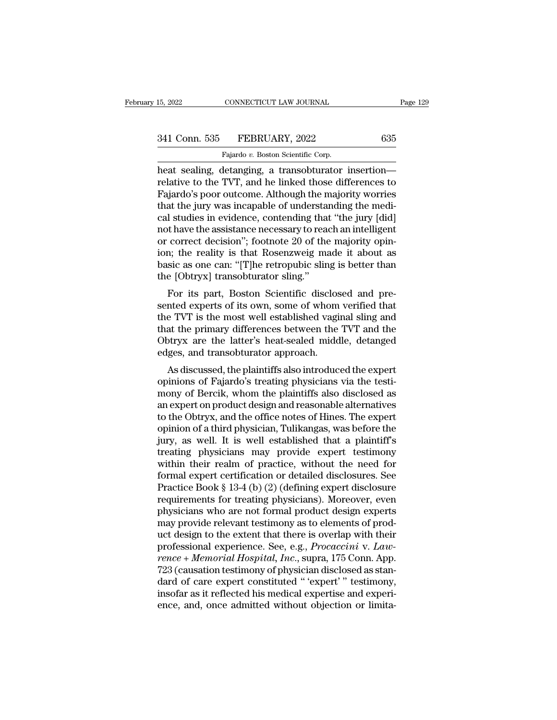| 15, 2022      | CONNECTICUT LAW JOURNAL            | Page 129 |
|---------------|------------------------------------|----------|
| 341 Conn. 535 | FEBRUARY, 2022                     | 635      |
|               | Fajardo v. Boston Scientific Corp. |          |

15, 2022 CONNECTICUT LAW JOURNAL<br>
341 Conn. 535 FEBRUARY, 2022 635<br>
Fajardo *v.* Boston Scientific Corp.<br>
heat sealing, detanging, a transobturator insertion— 15, 2022 CONNECTICUT LAW JOURNAL Page 129<br>
341 Conn. 535 FEBRUARY, 2022 635<br>
Fajardo v. Boston Scientific Corp.<br>
heat sealing, detanging, a transobturator insertion—<br>
relative to the TVT, and he linked those differences to 341 Conn. 535 FEBRUARY, 2022 635<br>Fajardo v. Boston Scientific Corp.<br>heat sealing, detanging, a transobturator insertion—<br>relative to the TVT, and he linked those differences to<br>Fajardo's poor outcome. Although the majority  $\begin{array}{r} \text{341 Conn. } 535 \quad \text{FEBRUARY, } 2022 \quad \text{635} \ \text{141} \quad \text{153} \quad \text{163} \quad \text{174} \quad \text{175} \quad \text{76} \quad \text{77} \quad \text{78} \quad \text{79} \quad \text{79} \quad \text{70} \quad \text{70} \quad \text{70} \quad \text{70} \quad \text{71} \quad \text{70} \quad \text{71} \quad \text{72} \quad \text{73} \quad \text{74} \quad \text{75} \quad \$ 341 Conn. 535 FEBRUARY, 2022 635<br>
Fajardo v. Boston Scientific Corp.<br>
heat sealing, detanging, a transobturator insertion—<br>
relative to the TVT, and he linked those differences to<br>
Fajardo's poor outcome. Although the maj Fajardo v. Boston Scientific Corp.<br>
heat sealing, detanging, a transobturator insertion—<br>
relative to the TVT, and he linked those differences to<br>
Fajardo's poor outcome. Although the majority worries<br>
that the jury was in Fajardo v. Boston Scientific Corp.<br>
heat sealing, detanging, a transobturator insertion—<br>
relative to the TVT, and he linked those differences to<br>
Fajardo's poor outcome. Although the majority worries<br>
that the jury was in heat sealing, detanging, a transobturator insertion—<br>relative to the TVT, and he linked those differences to<br>Fajardo's poor outcome. Although the majority worries<br>that the jury was incapable of understanding the medi-<br>cal relative to the TVT, and he linked those differences to<br>Fajardo's poor outcome. Although the majority worries<br>that the jury was incapable of understanding the medi-<br>cal studies in evidence, contending that "the jury [did]<br> Fajardo's poor outcome. Although the majority worries<br>that the jury was incapable of understanding the medi-<br>cal studies in evidence, contending that "the jury [did]<br>not have the assistance necessary to reach an intelligen that the jury was incapable of understa<br>cal studies in evidence, contending that<br>not have the assistance necessary to read<br>or correct decision"; footnote 20 of the<br>ion; the reality is that Rosenzweig ma<br>basic as one can: " For its part, Boston Scientific disclosed and pre-<br>the assistance necessary to reach an intelligent<br>correct decision"; footnote 20 of the majority opin-<br>n; the reality is that Rosenzweig made it about as<br>sic as one can: "[ sented that the assistance increases y to reach an intengent<br>or correct decision"; footnote 20 of the majority opin-<br>ion; the reality is that Rosenzweig made it about as<br>basic as one can: "[T]he retropubic sling is better

or correct decision, a roothote 20 or the majority opin-<br>ion; the reality is that Rosenzweig made it about as<br>basic as one can: "[T]he retropubic sling is better than<br>the [Obtryx] transobturator sling."<br>For its part, Bosto fort, the Feanty is that Rosenzweig made it about as<br>basic as one can: "[T]he retropubic sling is better than<br>the [Obtryx] transobturator sling."<br>For its part, Boston Scientific disclosed and pre-<br>sented experts of its own basic as one can.  $\lfloor 1 \rfloor$  he retropuble sing is better than<br>the [Obtryx] transobturator sling."<br>For its part, Boston Scientific disclosed and pre-<br>sented experts of its own, some of whom verified that<br>the TVT is the mo the [Obuyx] transobturator sing.<br>For its part, Boston Scientific disclos<br>sented experts of its own, some of whom<br>the TVT is the most well established vagit<br>that the primary differences between the<br>Obtryx are the latter's h For its part, boston scientific disclosed and pre-<br>hted experts of its own, some of whom verified that<br>e TVT is the most well established vaginal sling and<br>at the primary differences between the TVT and the<br>btryx are the l sented experts of its own, some of whom vertiled that<br>the TVT is the most well established vaginal sling and<br>that the primary differences between the TVT and the<br>Obtryx are the latter's heat-sealed middle, detanged<br>edges,

that the primary differences between the TVT and the<br>Obtryx are the latter's heat-sealed middle, detanged<br>edges, and transobturator approach.<br>As discussed, the plaintiffs also introduced the expert<br>opinions of Fajardo's tr that the printary differences between the TVT and the<br>Obtryx are the latter's heat-sealed middle, detanged<br>edges, and transobturator approach.<br>As discussed, the plaintiffs also introduced the expert<br>opinions of Fajardo's t Obtryx are the latter's heat-sealed middle, detailed<br>edges, and transobturator approach.<br>As discussed, the plaintiffs also introduced the expert<br>opinions of Fajardo's treating physicians via the testi-<br>mony of Bercik, whom euges, and transolutrator approach.<br>
As discussed, the plaintiffs also introduced the expert<br>
opinions of Fajardo's treating physicians via the testi-<br>
mony of Bercik, whom the plaintiffs also disclosed as<br>
an expert on pr As discussed, the plaintiffs also introduced the expert<br>opinions of Fajardo's treating physicians via the testi-<br>mony of Bercik, whom the plaintiffs also disclosed as<br>an expert on product design and reasonable alternatives opinions of Fajardo's treating physicians via the testi-<br>mony of Bercik, whom the plaintiffs also disclosed as<br>an expert on product design and reasonable alternatives<br>to the Obtryx, and the office notes of Hines. The exper mony of Bercik, whom the plaintiffs also disclosed as<br>an expert on product design and reasonable alternatives<br>to the Obtryx, and the office notes of Hines. The expert<br>opinion of a third physician, Tulikangas, was before t an expert on product design and reasonable alternatives<br>to the Obtryx, and the office notes of Hines. The expert<br>opinion of a third physician, Tulikangas, was before the<br>jury, as well. It is well established that a plainti to the Obtryx, and the office notes of Hines. The expert<br>opinion of a third physician, Tulikangas, was before the<br>jury, as well. It is well established that a plaintiff's<br>treating physicians may provide expert testimony<br>wi opinion of a third physician, Tulikangas, was before the<br>jury, as well. It is well established that a plaintiff's<br>treating physicians may provide expert testimony<br>within their realm of practice, without the need for<br>formal jury, as well. It is well established that a plaintiff's<br>treating physicians may provide expert testimony<br>within their realm of practice, without the need for<br>formal expert certification or detailed disclosures. See<br>Practi treating physicians may provide expert testimony<br>within their realm of practice, without the need for<br>formal expert certification or detailed disclosures. See<br>Practice Book § 13-4 (b) (2) (defining expert disclosure<br>requi within their realm of practice, without the need for<br>formal expert certification or detailed disclosures. See<br>Practice Book § 13-4 (b) (2) (defining expert disclosure<br>requirements for treating physicians). Moreover, even<br> formal expert certification or detailed disclosures. See<br>Practice Book § 13-4 (b) (2) (defining expert disclosure<br>requirements for treating physicians). Moreover, even<br>physicians who are not formal product design experts<br>m Practice Book § 13-4 (b) (2) (defining expert disclosure<br>requirements for treating physicians). Moreover, even<br>physicians who are not formal product design experts<br>may provide relevant testimony as to elements of prod-<br>uct requirements for treating physicians). Moreover, even<br>physicians who are not formal product design experts<br>may provide relevant testimony as to elements of prod-<br>uct design to the extent that there is overlap with their<br>pr physicians who are not formal product design experts<br>may provide relevant testimony as to elements of prod-<br>uct design to the extent that there is overlap with their<br>professional experience. See, e.g., *Procaccini* v. *Law* may provide relevant testimony as to elements of product design to the extent that there is overlap with their<br>professional experience. See, e.g., *Procaccini* v. Law-<br>*rence* + *Memorial Hospital*, *Inc.*, supra, 175 Conn uct design to the extent that there is overlap with their<br>professional experience. See, e.g., *Procaccini* v. Law-<br>rence + Memorial Hospital, Inc., supra, 175 Conn. App.<br>723 (causation testimony of physician disclosed as s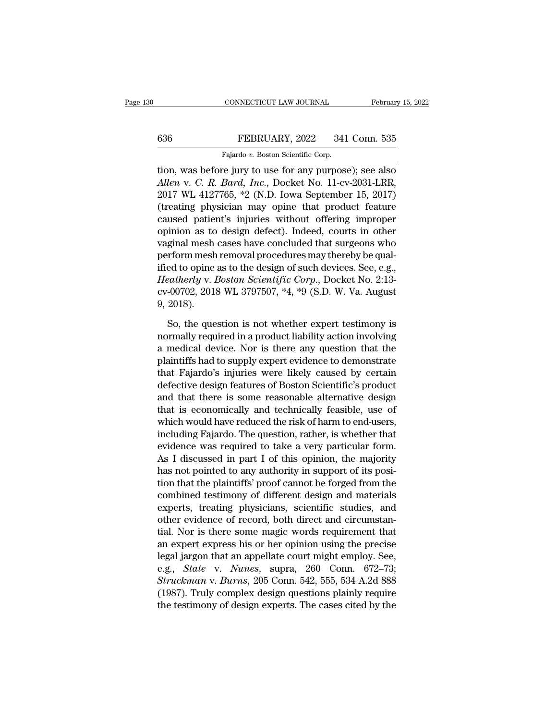# CONNECTICUT LAW JOURNAL February 15, 2022<br>636 FEBRUARY, 2022 341 Conn. 535<br>Fajardo v. Boston Scientific Corp.

CONNECTICUT LAW JOURNAL Februar<br>Februar<br>636 FEBRUARY, 2022 341 Conn. 535<br>Fajardo *v.* Boston Scientific Corp.<br>tion, was before jury to use for any purpose); see also CONNECTICUT LAW JOURNAL February 15, 2022<br>
FEBRUARY, 2022 341 Conn. 535<br>
Fajardo v. Boston Scientific Corp.<br>
Tion, was before jury to use for any purpose); see also<br>
Allen v. C. R. Bard, Inc., Docket No. 11-cv-2031-LRR,<br>
2 *Allen* v. Boston Scientific Corp.<br> *Allen* v. *C. R. Bard, Inc.*, Docket No. 11-cv-2031-LRR, 2017 WL 4127765, \*2 (N.D. Iowa September 15, 2017) Example 1917 WL 4127765, \*2 (N.D. Iowa September 15, 2017<br>
2017 WL 4127765, \*2 (N.D. Iowa September 15, 2017)<br>
2017 WL 4127765, \*2 (N.D. Iowa September 15, 2017)<br>
2017 WL 4127765, \*2 (N.D. Iowa September 15, 2017)<br>
(treati FEBRUARY, 2022 341 Conn. 535<br>
Fajardo v. Boston Scientific Corp.<br>
tion, was before jury to use for any purpose); see also<br>
Allen v. C. R. Bard, Inc., Docket No. 11-cv-2031-LRR,<br>
2017 WL 4127765, \*2 (N.D. Iowa September 15, Fajardo v. Boston Scientific Corp.<br>
tion, was before jury to use for any purpose); see also<br>
Allen v. C. R. Bard, Inc., Docket No. 11-cv-2031-LRR,<br>
2017 WL 4127765, \*2 (N.D. Iowa September 15, 2017)<br>
(treating physician ma rajado *v.* Boston scientific corp.<br>
tion, was before jury to use for any purpose); see also<br>
Allen v. C. R. Bard, Inc., Docket No. 11-cv-2031-LRR,<br>
2017 WL 4127765, \*2 (N.D. Iowa September 15, 2017)<br>
(treating physician tion, was before jury to use for any purpose); see also<br>
Allen v. C. R. Bard, Inc., Docket No. 11-cv-2031-LRR,<br>
2017 WL 4127765, \*2 (N.D. Iowa September 15, 2017)<br>
(treating physician may opine that product feature<br>
cause Allen v. C. R. Bard, Inc., Docket No. 11-cv-2031-LRR, 2017 WL 4127765, \*2 (N.D. Iowa September 15, 2017) (treating physician may opine that product feature caused patient's injuries without offering improper opinion as to 2017 WL 4127765,  $*2$  (N.D. lowa September 15, 2017)<br>(treating physician may opine that product feature<br>caused patient's injuries without offering improper<br>opinion as to design defect). Indeed, courts in other<br>vaginal mes (treating physician may opine that product feature<br>caused patient's injuries without offering improper<br>opinion as to design defect). Indeed, courts in other<br>vaginal mesh cases have concluded that surgeons who<br>perform mesh caused patient's injuries without offering improper<br>opinion as to design defect). Indeed, courts in other<br>vaginal mesh cases have concluded that surgeons who<br>perform mesh removal procedures may thereby be qual-<br>ified to op opinion as to<br>vaginal mesh<br>perform mesh<br>ified to opine<br>*Heatherly* v. *1*<br>cv-00702, 2013<br>9, 2018).<br>So, the que rform mesh removal procedures may thereby be qual-<br>ed to opine as to the design of such devices. See, e.g.,<br>eatherly v. Boston Scientific Corp., Docket No. 2:13-<br>-00702, 2018 WL 3797507, \*4, \*9 (S.D. W. Va. August<br>2018).<br>S ified to opine as to the design of such devices. See, e.g.,<br> *Heatherly* v. *Boston Scientific Corp.*, Docket No. 2:13-<br>  $cv$ -00702, 2018 WL 3797507, \*4, \*9 (S.D. W. Va. August<br>
9, 2018).<br>
So, the question is not whether e

Heatherly v. Boston Scientific Corp., Docket No. 2:13-<br>cv-00702, 2018 WL 3797507, \*4, \*9 (S.D. W. Va. August<br>9, 2018).<br>So, the question is not whether expert testimony is<br>normally required in a product liability action inv cv-00702, 2018 WL 3797507, \*4, \*9 (S.D. W. Va. August<br>9, 2018).<br>So, the question is not whether expert testimony is<br>normally required in a product liability action involving<br>a medical device. Nor is there any question that 9, 2018).<br>
So, the question is not whether expert testimony is<br>
normally required in a product liability action involving<br>
a medical device. Nor is there any question that the<br>
plaintiffs had to supply expert evidence to d So, the question is not whether expert testimony is<br>normally required in a product liability action involving<br>a medical device. Nor is there any question that the<br>plaintiffs had to supply expert evidence to demonstrate<br>tha So, the question is not whether expert testimony is<br>normally required in a product liability action involving<br>a medical device. Nor is there any question that the<br>plaintiffs had to supply expert evidence to demonstrate<br>tha normally required in a product liability action involving<br>a medical device. Nor is there any question that the<br>plaintiffs had to supply expert evidence to demonstrate<br>that Fajardo's injuries were likely caused by certain<br>d a medical device. Nor is there any question that the plaintiffs had to supply expert evidence to demonstrate that Fajardo's injuries were likely caused by certain defective design features of Boston Scientific's product an plaintiffs had to supply expert evidence to demonstrate<br>that Fajardo's injuries were likely caused by certain<br>defective design features of Boston Scientific's product<br>and that there is some reasonable alternative design<br>th that Fajardo's injuries were likely caused by certain<br>defective design features of Boston Scientific's product<br>and that there is some reasonable alternative design<br>that is economically and technically feasible, use of<br>whic defective design features of Boston Scientific's product<br>and that there is some reasonable alternative design<br>that is economically and technically feasible, use of<br>which would have reduced the risk of harm to end-users,<br>in and that there is some reasonable alternative design<br>that is economically and technically feasible, use of<br>which would have reduced the risk of harm to end-users,<br>including Fajardo. The question, rather, is whether that<br>ev that is economically and technically feasible, use of<br>which would have reduced the risk of harm to end-users,<br>including Fajardo. The question, rather, is whether that<br>evidence was required to take a very particular form.<br>A which would have reduced the risk of harm to end-users,<br>including Fajardo. The question, rather, is whether that<br>evidence was required to take a very particular form.<br>As I discussed in part I of this opinion, the majority<br> including Fajardo. The question, rather, is whether that<br>evidence was required to take a very particular form.<br>As I discussed in part I of this opinion, the majority<br>has not pointed to any authority in support of its posievidence was required to take a very particular form.<br>As I discussed in part I of this opinion, the majority<br>has not pointed to any authority in support of its posi-<br>tion that the plaintiffs' proof cannot be forged from th As I discussed in part I of this opinion, the majority<br>has not pointed to any authority in support of its posi-<br>tion that the plaintiffs' proof cannot be forged from the<br>combined testimony of different design and materials has not pointed to any authority in support of its position that the plaintiffs' proof cannot be forged from the combined testimony of different design and materials experts, treating physicians, scientific studies, and o tion that the plaintiffs' proof cannot be forged from the combined testimony of different design and materials experts, treating physicians, scientific studies, and other evidence of record, both direct and circumstantial combined testimony of different design and materials<br>experts, treating physicians, scientific studies, and<br>other evidence of record, both direct and circumstan-<br>tial. Nor is there some magic words requirement that<br>an exper experts, treating physicians, scientific studies, and<br>other evidence of record, both direct and circumstan-<br>tial. Nor is there some magic words requirement that<br>an expert express his or her opinion using the precise<br>legal other evidence of record, both direct and circumstantial. Nor is there some magic words requirement that<br>an expert express his or her opinion using the precise<br>legal jargon that an appellate court might employ. See,<br>e.g., tial. Nor is there some magic words requirement that<br>an expert express his or her opinion using the precise<br>legal jargon that an appellate court might employ. See,<br>e.g., State v. Nunes, supra, 260 Conn. 672–73;<br>Struckman v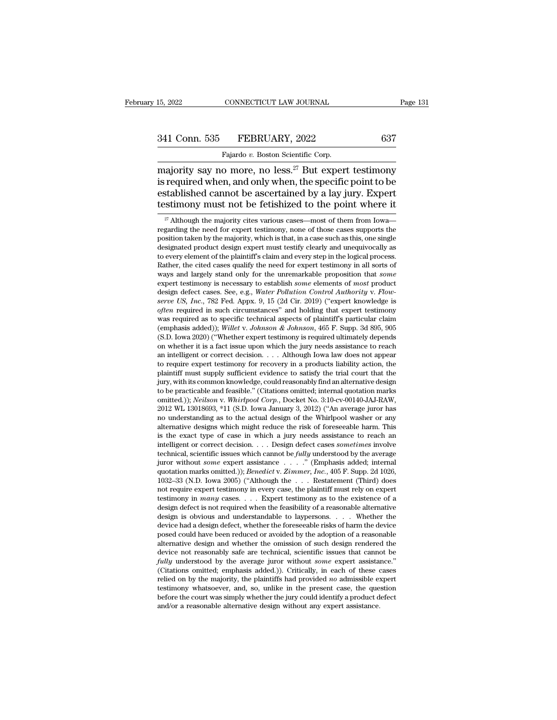# 15, 2022 CONNECTICUT LAW JOURNAL Page 131<br>341 Conn. 535 FEBRUARY, 2022 637<br>Fajardo v. Boston Scientific Corp.

15, 2022 CONNECTICUT LAW JOURNAL<br>
341 Conn. 535 FEBRUARY, 2022 637<br>
Fajardo *v.* Boston Scientific Corp.<br>
majority say no more, no less.<sup>27</sup> But expert testimony  $\begin{array}{lll} \text{m} & \text{non-1} \ \text{m} & \text{non-2} \ \text{m} & \text{non-3} \ \text{m} & \text{non-3} \ \text{m} & \text{non-3} \ \text{m} & \text{non-3} \ \text{m} & \text{non-3} \ \text{m} & \text{non-3} \ \text{m} & \text{non-3} \ \text{m} & \text{m} & \text{non-3} \ \text{m} & \text{m} & \text{m} & \text{m} & \text{m} \ \text{m} & \text{m} & \text{m} & \text{m} & \text{m} \ \text{m} &$ 341 Conn. 535 FEBRUARY, 2022 637<br>
Fajardo v. Boston Scientific Corp.<br>
majority say no more, no less.<sup>27</sup> But expert testimony<br>
is required when, and only when, the specific point to be<br>
established cannot be ascertained b 341 Conn. 535 FEBRUARY, 2022 637<br>
Fajardo v. Boston Scientific Corp.<br>
majority say no more, no less.<sup>27</sup> But expert testimony<br>
is required when, and only when, the specific point to be<br>
established cannot be ascertained b 341 Conn. 535 FEBRUARY, 2022 637<br>
Fajardo v. Boston Scientific Corp.<br>
majority say no more, no less.<sup>27</sup> But expert testimony<br>
is required when, and only when, the specific point to be<br>
established cannot be ascertained b ajority say no more, no less.<sup>27</sup> But expert testimony<br>required when, and only when, the specific point to be<br>stablished cannot be ascertained by a lay jury. Expert<br>stimony must not be fetishized to the point where it<br> $\frac$ is required when, and only when, the specific point to be established cannot be ascertained by a lay jury. Expert testimony must not be fetishized to the point where it  $\frac{1}{x}$  Although the majority cites various cases—

is required when, and only when, the specific point to be established cannot be ascertained by a lay jury. Expert testimony must not be fetishized to the point where it  $\frac{\pi}{4}$  Although the majority cites various cases established cannot be ascertained by a lay jury. Expert<br>testimony must not be fetishized to the point where it<br> $\frac{\pi}{4}$  Although the majority cites various cases—most of them from Iowa—<br>regarding the need for expert test testimony must not be fetishized to the point where it  $\frac{1}{x}$  Although the majority cites various cases—most of them from Iowa—<br>regarding the need for expert testimony, none of those cases supports the<br>position taken b <sup>27</sup> Although the majority cites various cases—most of them from Iowa—<br>regarding the need for expert testimony, none of those cases supports the<br>position taken by the majority, which is that, in a case such as this, one s <sup>21</sup> Athough the majority cites various cases—most of them from lowa—regarding the need for expert testimony, none of those cases supports the position taken by the majority, which is that, in a case such as this, one sing position taken by the majority, which is that, in a case such as this, one single designated product design expert must testify clearly and unequivocally as to every element of the plaintiff's claim and every step in the l designated product design expert must testify clearly and unequivocally as<br>to every element of the plaintiff's claim and every step in the logical process.<br>Rather, the cited cases qualify the need for expert testimony in a to every element of the plantiff's claim and every step in the logical process.<br>
Rather, the cited cases qualify the need for expert testimony in all sorts of<br>
ways and largely stand only for the unremarkable proposition t Kather, the cited cases quality the need for expert testimony in all sorts of ways and largely stand only for the unremarkable proposition that *some* expert testimony is necessary to establish *some* elements of *most* p ways and largely stand only for the unremarkable proposition that *some* expert testimony is necessary to establish *some* elements of *most* product design defect cases. See, e.g., *Water Pollution Control Authority v. Fl* expert testimony is necessary to establish *some* elements of *most* product<br>design defect cases. See, e.g., *Water Pollution Control Authority v. Flow-<br>serve US, Inc., 782 Fed. Appx.* 9, 15 (2d Cir. 2019) ("expert knowled design detect cases. See, e.g., *Water Polution Control Authority v. Flow*-<br>*serve US, Inc.*, 782 Fed. Appx. 9, 15 (2d Cir. 2019) ("expert knowledge is<br>*often* required in such circumstances" and holding that expert testi serve US, Inc., 782 Fed. Appx. 9, 15 (2d Cir. 2019) ("expert knowledge is often required in such circumstances" and holding that expert testimony was required as to specific technical aspects of plaintiff's particular clai often required in such circumstances" and holding that expert testimony<br>was required as to specific technical aspects of plaintiff's particular claim<br>(emphasis added)); Willet v. Johnson & Johnson, 465 F. Supp. 3d 895, 905 was required as to specific technical aspects of plaintiff s particular claim (emphasis added)); Willet v. Johnson & Johnson, 465 F. Supp. 3d 895, 905 (S.D. Iowa 2020) ("Whether expert testimony is required ultimately dep (emphasis added)); *Willet v. Johnson & Johnson*, 465 F. Supp. 3d 895, 905 (S.D. Iowa 2020) ("Whether expert testimony is required ultimately depends on whether it is a fact issue upon which the jury needs assistance to r (S.D. Iowa 2020) ("Whether expert testimony is required ultimately depends<br>on whether it is a fact issue upon which the jury needs assistance to reach<br>an intelligent or correct decision. . . . Although Iowa law does not a om whether it is a fact issue upon which the jury needs assistance to reach<br>an intelligent or correct decision. . . . Although Iowa law does not appear<br>to require expert testimony for recovery in a products liability actio an intelligent or correct decision. . . . Although lowa law does not appear<br>to require expert testimony for recovery in a products liability action, the<br>plaintiff must supply sufficient evidence to satisfy the trial court to require expert testimony for recovery in a products liability action, the plaintiff must supply sufficient evidence to satisfy the trial court that the jury, with its common knowledge, could reasonably find an alternat jury, with its common knowledge, could reasonably find an alternative design to be practicable and feasible." (Citations omitted; internal quotation marks omitted.)); *Neilson* v. *Whirlpool Corp.*, Docket No. 3:10-cv-001 jury, with its common knowledge, could reasonably find an alternative design<br>to be practicable and feasible." (Citations omitted, internal quotation marks<br>omitted.)); *Neilson v. Whirlpool Corp.*, Docket No. 3:10-cv-00140to be practicable and feasible." (Citations omitted; internal quotation marks omitted.)); *Neilson v. Whirlpool Corp.*, Docket No. 3:10-cv-00140-JAJ-RAW, 2012 WL 13018693, \*11 (S.D. Iowa January 3, 2012) ("An average juro omitted.)); *Neuson v. Whirtpool Corp.*, Docket No. 3:10-cv-00140-JAJ-KAW, 2012 WL 13018693, \*11 (S.D. Iowa January 3, 2012) ("An average juror has no understanding as to the actual design of the Whirlpool washer or any al 2012 WL 13018693, \*11 (S.D. Iowa January 3, 2012) ("An average juror has<br>no understanding as to the actual design of the Whirlpool washer or any<br>alternative designs which might reduce the risk of foreseeable harm. This<br>is no understanding as to the actual design of the Whirlpool washer or any<br>alternative designs which might reduce the risk of foreseeable harm. This<br>is the exact type of case in which a jury needs assistance to reach an<br>intel atternative designs which might reduce the risk of foreseeable harm. This<br>is the exact type of case in which a jury needs assistance to reach an<br>intelligent or correct decision. . . . Design defect cases *sometimes* invol is the exact type of case in which a jury needs assistance to reach an intelligent or correct decision. . . . Design defect cases *sometimes* involve technical, scientific issues which cannot be *fully* understood by the Intelligent or correct decision. . . . Design defect cases *sometimes* involve technical, scientific issues which cannot be *fully* understood by the average juror without *some* expert assistance . . . . ." (Emphasis adde technical, scientific issues which cannot be *fully* understood by the average<br>juror without *some* expert assistance . . . . " (Emphasis added; internal<br>quotation marks omitted.)); *Benedict* v. *Zimmer*, *Inc.*, 405 F. juror without *some* expert assistance . . . . . " (Emphasis added; internal quotation marks omitted.)); *Benedict* v. *Zimmer*, *Inc.*, 405 F. Supp. 2d 1026, 1032–33 (N.D. Iowa 2005) ("Although the . . . Restatement (Thi quotation marks omitted.)); *Benedict* v. Zimmer, *Inc.*, 405 F. Supp. 2d 1026, 1032–33 (N.D. Iowa 2005) ("Although the ... Restatement (Third) does not require expert testimony in every case, the plaintiff must rely on e 1032–33 (N.D. Iowa 2005) ("Although the  $\ldots$  Restatement (Third) does not require expert testimony in every case, the plaintiff must rely on expert testimony in *many* cases.  $\ldots$  Expert testimony as to the existence of not require expert testimony in every case, the plaintiff must rely on expert testimony in *many* cases. . . . Expert testimony as to the existence of a design defect is not required when the feasibility of a reasonable a testimony in *many* cases.  $\ldots$  Expert testimony as to the existence of a design defect is not required when the feasibility of a reasonable alternative design is obvious and understandable to laypersons.  $\ldots$  Whether t design defect is not required when the feasibility of a reasonable alternative<br>design is obvious and understandable to laypersons. . . . Whether the<br>device had a design defect, whether the foreseeable risks of harm the dev design is obvious and understandable to laypersons. . . . Whether the device had a design defect, whether the foreseeable risks of harm the device posed could have been reduced or avoided by the adoption of a reasonable a device had a design defect, whether the foreseeable risks of harm the device<br>posed could have been reduced or avoided by the adoption of a reasonable<br>alternative design and whether the omission of such design rendered the<br> posed could have been reduced or avoided by the adoption of a reasonable alternative design and whether the omission of such design rendered the device not reasonably safe are technical, scientific issues that cannot be atternative design and whether the omission of such design rendered the device not reasonably safe are technical, scientific issues that cannot be *fully* understood by the average juror without *some* expert assistance." device not reasonably safe are technical, scientific issues that cannot be *fully* understood by the average juror without *some* expert assistance." (Citations omitted; emphasis added.)). Critically, in each of these cas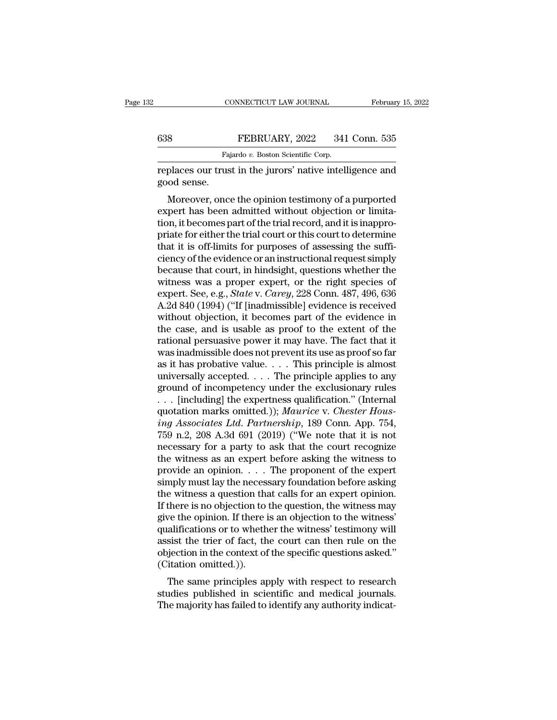|     | CONNECTICUT LAW JOURNAL                                   | February 15, 2022 |
|-----|-----------------------------------------------------------|-------------------|
|     |                                                           |                   |
| 638 | FEBRUARY, 2022                                            | 341 Conn. 535     |
|     | Fajardo v. Boston Scientific Corp.                        |                   |
|     | replaces our trust in the jurors' native intelligence and |                   |

CONNECTICUT LAW JOURNAL February 15, 2022<br>
FEBRUARY, 2022 341 Conn. 535<br>
Fajardo v. Boston Scientific Corp.<br>
Feplaces our trust in the jurors' native intelligence and good sense. Examples 28<br>
Faj<br>
replaces our trus<br>
good sense.<br>
Moreover, once

FEBRUARY, 2022 341 Conn. 535<br>
Fajardo v. Boston Scientific Corp.<br>
places our trust in the jurors' native intelligence and<br>
od sense.<br>
Moreover, once the opinion testimony of a purported<br>
pert has been admitted without obje  $\begin{tabular}{l} \hline \textbf{638} & \textbf{FEBRUARY, 2022} & 341 \textbf{ Conn. } 535 \\ \hline \textbf{Fajardo } v. \textbf{ Boston Scientific Corp.} \\ \hline \textbf{replaces our trust in the jurors' native intelligence and good sense.} \\ \hline \textbf{Moreover, once the opinion testimony of a purported expert has been admitted without objection or limitation, it becomes part of the trial record, and it is inappropriate for either the trial court or this court to determine the performance of the main. \\ \hline \end{tabular}$ Fajardo  $v$ . Boston Scientific Corp.<br>
replaces our trust in the jurors' native intelligence and<br>
good sense.<br>
Moreover, once the opinion testimony of a purported<br>
expert has been admitted without objection or limita-<br>
tio replaces our trust in the jurors' native intelligence and<br>good sense.<br>Moreover, once the opinion testimony of a purported<br>expert has been admitted without objection or limita-<br>tion, it becomes part of the trial record, and replaces our trust in the jurors harve inteingence and<br>good sense.<br>Moreover, once the opinion testimony of a purported<br>expert has been admitted without objection or limita-<br>tion, it becomes part of the trial record, and it Moreover, once the opinion testimony of a purported<br>expert has been admitted without objection or limita-<br>tion, it becomes part of the trial record, and it is inappro-<br>priate for either the trial court or this court to det Moreover, once the opinion testimony of a purported<br>expert has been admitted without objection or limita-<br>tion, it becomes part of the trial record, and it is inappro-<br>priate for either the trial court or this court to de expert has been admitted without objection or limitation, it becomes part of the trial record, and it is inappropriate for either the trial court or this court to determine that it is off-limits for purposes of assessing t tion, it becomes part of the trial record, and it is inappro-<br>priate for either the trial court or this court to determine<br>that it is off-limits for purposes of assessing the suffi-<br>ciency of the evidence or an instruction priate for either the trial court or this court to determine<br>that it is off-limits for purposes of assessing the suffi-<br>ciency of the evidence or an instructional request simply<br>because that court, in hindsight, questions that it is off-limits for purposes of assessing the sufficiency of the evidence or an instructional request simply<br>because that court, in hindsight, questions whether the<br>witness was a proper expert, or the right species ciency of the evidence or an instructional request simply<br>because that court, in hindsight, questions whether the<br>witness was a proper expert, or the right species of<br>expert. See, e.g., *State* v. *Carey*, 228 Conn. 487, 4 because that court, in hindsight, questions whether the<br>witness was a proper expert, or the right species of<br>expert. See, e.g., *State* v. *Carey*, 228 Conn. 487, 496, 636<br>A.2d 840 (1994) ("If [inadmissible] evidence is re witness was a proper expert, or the right species of<br>expert. See, e.g., *State* v. *Carey*, 228 Conn. 487, 496, 636<br>A.2d 840 (1994) ("If [inadmissible] evidence is received<br>without objection, it becomes part of the eviden expert. See, e.g., *State* v. *Carey*, 228 Conn. 487, 496, 636<br>A.2d 840 (1994) ("If [inadmissible] evidence is received<br>without objection, it becomes part of the evidence in<br>the case, and is usable as proof to the extent A.2d 840 (1994) ("If [inadmissible] evidence is received<br>without objection, it becomes part of the evidence in<br>the case, and is usable as proof to the extent of the<br>rational persuasive power it may have. The fact that it<br>w without objection, it becomes part of the evidence in<br>the case, and is usable as proof to the extent of the<br>rational persuasive power it may have. The fact that it<br>was inadmissible does not prevent its use as proof so far the case, and is usable as proof to the extent of the rational persuasive power it may have. The fact that it was inadmissible does not prevent its use as proof so far as it has probative value.... This principle is almos rational persuasive power it may have. The fact that it<br>was inadmissible does not prevent its use as proof so far<br>as it has probative value. . . . This principle is almost<br>universally accepted. . . . The principle applies *inal* missible does not prevent its use as proof so far as it has probative value. . . . This principle is almost universally accepted. . . . The principle applies to any ground of incompetency under the exclusionary rule as it has probative value. . . . This principle is almost<br>universally accepted. . . . The principle applies to any<br>ground of incompetency under the exclusionary rules<br>. . . [including] the expertness qualification." (Inte universally accepted. . . . The principle applies to any<br>ground of incompetency under the exclusionary rules<br>. . . [including] the expertness qualification." (Internal<br>quotation marks omitted.)); *Maurice* v. *Chester Hou* ground of incompetency under the exclusionary rules<br>
... [including] the expertness qualification." (Internal<br>
quotation marks omitted.)); *Maurice* v. *Chester Hous-<br>
ing Associates Ltd. Partnership*, 189 Conn. App. 754, . . . [including] the expertness qualification." (Internal quotation marks omitted.)); *Maurice* v. *Chester Housing Associates Ltd. Partnership*, 189 Conn. App. 754, 759 n.2, 208 A.3d 691 (2019) ("We note that it is not quotation marks omitted.)); *Maurice v. Chester Hous-*<br>*ing Associates Ltd. Partnership*, 189 Conn. App. 754,<br>759 n.2, 208 A.3d 691 (2019) ("We note that it is not<br>necessary for a party to ask that the court recognize<br>the ing Associates Ltd. Partnership, 189 Conn. App. 754, 759 n.2, 208 A.3d 691 (2019) ("We note that it is not necessary for a party to ask that the court recognize the witness as an expert before asking the witness to provid 759 n.2, 208 A.3d 691 (2019) ("We note that it is not<br>necessary for a party to ask that the court recognize<br>the witness as an expert before asking the witness to<br>provide an opinion. . . . The proponent of the expert<br>simpl necessary for a party to ask that the court recognize<br>the witness as an expert before asking the witness to<br>provide an opinion. . . . The proponent of the expert<br>simply must lay the necessary foundation before asking<br>the w the witness as an expert before asking the witness to<br>provide an opinion. . . . The proponent of the expert<br>simply must lay the necessary foundation before asking<br>the witness a question that calls for an expert opinion.<br>I provide an opinion. . . . . The proponent of the expert<br>simply must lay the necessary foundation before asking<br>the witness a question that calls for an expert opinion.<br>If there is no objection to the question, the witness simply must lay the necessary foundation before asking<br>the witness a question that calls for an expert opinion.<br>If there is no objection to the question, the witness may<br>give the opinion. If there is an objection to the wi the witness a question that<br>If there is no objection to<br>give the opinion. If there i<br>qualifications or to wheth<br>assist the trier of fact, th<br>objection in the context of<br>(Citation omitted.)).<br>The same principles ap There is no objection to the question, the witness may<br>be the opinion. If there is an objection to the witness'<br>alifications or to whether the witness' testimony will<br>sist the trier of fact, the court can then rule on the<br> give the opmon. If there is an objection to the wiress<br>qualifications or to whether the witness' testimony will<br>assist the trier of fact, the court can then rule on the<br>objection in the context of the specific questions as quantications of to whether the witness testimoly will<br>assist the trier of fact, the court can then rule on the<br>objection in the context of the specific questions asked."<br>(Citation omitted.)).<br>The same principles apply wit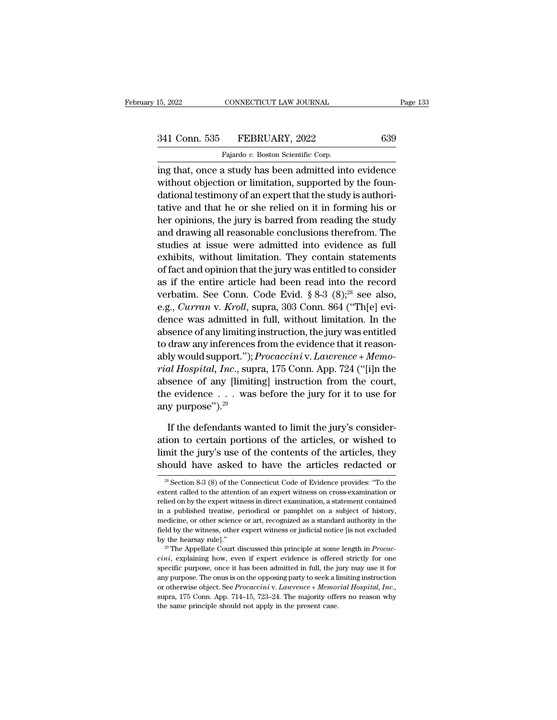### 15, 2022 CONNECTICUT LAW JOURNAL Page 133<br>341 Conn. 535 FEBRUARY, 2022 639<br>Fajardo v. Boston Scientific Corp. CONNECTICUT LAW JOURNAL<br>FEBRUARY, 2022<br>Fajardo *v.* Boston Scientific Corp.<br>Rastudy has been admitted int

15, 2022 CONNECTICUT LAW JOURNAL Page 133<br>
341 Conn. 535 FEBRUARY, 2022 639<br>
Fajardo v. Boston Scientific Corp.<br>
ing that, once a study has been admitted into evidence<br>
without objection or limitation, supported by the fou 341 Conn. 535 FEBRUARY, 2022 639<br>Fajardo v. Boston Scientific Corp.<br>ing that, once a study has been admitted into evidence<br>without objection or limitation, supported by the foun-<br>dational testimony of an expert that the s dational testimony of an expert that the study is authori-341 Conn. 535 FEBRUARY, 2022 639<br>
Fajardo v. Boston Scientific Corp.<br>
ing that, once a study has been admitted into evidence<br>
without objection or limitation, supported by the foun-<br>
dational testimony of an expert that t Fajardo v. Boston Scientific Corp.<br>
ing that, once a study has been admitted into evidence<br>
without objection or limitation, supported by the foun-<br>
dational testimony of an expert that the study is authori-<br>
tative and t ragade *theses in Excelance corp.*<br>
ing that, once a study has been admitted into evidence<br>
without objection or limitation, supported by the foun-<br>
dational testimony of an expert that the study is authori-<br>
tative and th ing that, once a study has been admitted into evidence<br>without objection or limitation, supported by the foun-<br>dational testimony of an expert that the study is authori-<br>tative and that he or she relied on it in forming hi without objection or imitation, supported by the roun-<br>dational testimony of an expert that the study is authori-<br>tative and that he or she relied on it in forming his or<br>her opinions, the jury is barred from reading the s dational testimony of an expert that the study is authoritative and that he or she relied on it in forming his or<br>her opinions, the jury is barred from reading the study<br>and drawing all reasonable conclusions therefrom. T tative and that he or sne relied on it in forming his or<br>her opinions, the jury is barred from reading the study<br>and drawing all reasonable conclusions therefrom. The<br>studies at issue were admitted into evidence as full<br>e ner opmions, the jury is barred from reading the study<br>and drawing all reasonable conclusions therefrom. The<br>studies at issue were admitted into evidence as full<br>exhibits, without limitation. They contain statements<br>of fac and drawing all reasonable conclusions therefrom. The<br>studies at issue were admitted into evidence as full<br>exhibits, without limitation. They contain statements<br>of fact and opinion that the jury was entitled to consider<br>as studies at issue were admitted into evidence as full exhibits, without limitation. They contain statements of fact and opinion that the jury was entitled to consider as if the entire article had been read into the record exhibits, without imitation. They contain statements<br>of fact and opinion that the jury was entitled to consider<br>as if the entire article had been read into the record<br>verbatim. See Conn. Code Evid. § 8-3 (8);<sup>28</sup> see also or ract and opinion that the jury was entitled to consider<br>as if the entire article had been read into the record<br>verbatim. See Conn. Code Evid. § 8-3 (8);<sup>28</sup> see also,<br>e.g., *Curran* v. *Kroll*, supra, 303 Conn. 864 ("T as if the entire article had been read into the record<br>verbatim. See Conn. Code Evid. § 8-3 (8);<sup>28</sup> see also,<br>e.g., *Curran* v. *Kroll*, supra, 303 Conn. 864 ("Th[e] evi-<br>dence was admitted in full, without limitation. In *reform.* See Conn. Code Evid. § 8-3 (8);<sup>25</sup> see also,<br> *e.g., Curran* v. *Kroll*, supra, 303 Conn. 864 ("Th[e] evi-<br>
dence was admitted in full, without limitation. In the<br>
absence of any limiting instruction, the jury w e.g., *Curran v. Krou*, supra, 303 Conn. 864 ("Tn[e] evidence was admitted in full, without limitation. In the absence of any limiting instruction, the jury was entitled to draw any inferences from the evidence that it re dence was admitted in rull, without limitation. In the absence of any limiting instruction, the jury was entitled to draw any inferences from the evidence that it reasonably would support."); *Procaccini* v. *Lawrence* + absence of any imiting<br>to draw any inferences<br>ably would support.");<br>*rial Hospital, Inc.*, sup<br>absence of any [limiti<br>the evidence  $\dots$  was<br>any purpose").<sup>29</sup><br>If the defendants wa Iy would support."); *Procaccini* v. Lawrence + Memo-<br>al Hospital, Inc., supra, 175 Conn. App. 724 ("[i]n the<br>sence of any [limiting] instruction from the court,<br>e evidence . . . was before the jury for it to use for<br>y pu *rial Hospital, Inc.*, supra, 175 Conn. App. 724 ("[i]n the absence of any [limiting] instruction from the court, the evidence  $\ldots$  was before the jury for it to use for any purpose").<sup>29</sup><br>If the defendants wanted to lim

absence of any [limiting] instruction from the court,<br>the evidence . . . was before the jury for it to use for<br>any purpose").<sup>29</sup><br>If the defendants wanted to limit the jury's consider-<br>ation to certain portions of the art the evidence . . . was before the jury for it to use for<br>any purpose").<sup>29</sup><br>If the defendants wanted to limit the jury's consider-<br>ation to certain portions of the articles, or wished to<br>limit the jury's use of the conten If the defendants wanted to limit the jury's consideration to certain portions of the articles, or wished to limit the jury's use of the contents of the articles, they should have asked to have the articles redacted or  $\$ ation to certain portions of the articles, or wished to<br>limit the jury's use of the contents of the articles, they<br>should have asked to have the articles redacted or<br> $\frac{1}{2}$  section 8-3 (8) of the Connecticut Code of Evi

limit the jury's use of the contents of the articles, they<br>should have asked to have the articles redacted or<br> $\frac{1}{2}$ <br> $\frac{1}{2}$  section 8-3 (8) of the Connecticut Code of Evidence provides: "To the<br>extent called to the should have asked to have the articles redacted or  $\frac{1}{28}$  Section 8-3 (8) of the Connecticut Code of Evidence provides: "To the extent called to the attention of an expert witness on cross-examination or relied on by <sup>28</sup> Section 8-3 (8) of the Connecticut Code of Evidence provides: "To the extent called to the attention of an expert witness on cross-examination or relied on by the expert witness in direct examination, a statement cont <sup>28</sup> Section 8-3 (8) of the Connecticut Code of Evidence provides: "To the extent called to the attention of an expert witness on cross-examination or relied on by the expert witness in direct examination, a statement con extent called to the attention of an expert witness on cross-examination or relied on by the expert witness in direct examination, a statement contained in a published treatise, periodical or pamphlet on a subject of histo in a published treatise, periodical or pamphlet on a subject of history, medicine, or other science or art, recognized as a standard authority in the field by the witness, other expert witness or judicial notice [is not ex

in a purpose, once it has been admitted in full, the jury may use it for any purpose. The Appellate Court discussed this principle at some length in *Procaccini*, explaining how, even if expert evidence is offered strictly Field by the witness, other expert witness or judicial notice [is not excluded by the hearsay rule]."<br><sup>29</sup> The Appellate Court discussed this principle at some length in *Procaccini*, explaining how, even if expert eviden by the hearsay rule]."<br>
<sup>29</sup> The Appellate Court discussed this principle at some length in *Procaccini*, explaining how, even if expert evidence is offered strictly for one<br>
specific purpose, once it has been admitted in *cini*, explaining how, even if expert evidence is offered principle show, even if expert evidence is offered specific purpose, once it has been admitted in full, the j any purpose. The onus is on the opposing party to se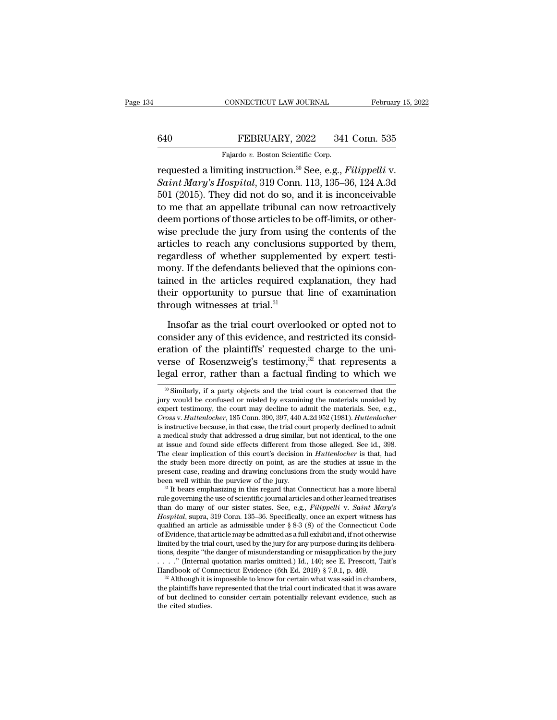### CONNECTICUT LAW JOURNAL February 15, 2022<br>640 FEBRUARY, 2022 341 Conn. 535<br>Fajardo v. Boston Scientific Corp. CONNECTICUT LAW JOURNAL<br>FEBRUARY, 2022 341<br>Fajardo *v.* Boston Scientific Corp.<br>hiting instruction <sup>30</sup> See e.g. *I*

CONNECTICUT LAW JOURNAL February 15, 20<br>
FEBRUARY, 2022 341 Conn. 535<br>
Fajardo v. Boston Scientific Corp.<br>
requested a limiting instruction.<sup>30</sup> See, e.g., *Filippelli* v.<br>
Saint Mary's Hospital, 319 Conn. 113, 135–36, 124 *Saint Mary's Hospital*, 319 Conn. 535<br> *Saint Mary's Hospital*, 319 Conn. 113, 135–36, 124 A.3d<br> *Saint Mary's Hospital*, 319 Conn. 113, 135–36, 124 A.3d<br>
501 (2015). They did not do so, and it is inconceivable<br>
to me tha 540 FEBRUARY, 2022 341 Conn. 535<br>
Fajardo v. Boston Scientific Corp.<br>
Trequested a limiting instruction.<sup>30</sup> See, e.g., *Filippelli v.*<br>
Saint Mary's Hospital, 319 Conn. 113, 135–36, 124 A.3d<br>
501 (2015). They did not do FEBRUARY, 2022 341 Conn. 535<br>
Fajardo v. Boston Scientific Corp.<br>
requested a limiting instruction.<sup>30</sup> See, e.g., *Filippelli* v.<br> *Saint Mary's Hospital*, 319 Conn. 113, 135–36, 124 A.3d<br>
501 (2015). They did not do so, Fajardo v. Boston Scientific Corp.<br>
requested a limiting instruction.<sup>30</sup> See, e.g., *Filippelli v.*<br> *Saint Mary's Hospital*, 319 Conn. 113, 135–36, 124 A.3d<br>
501 (2015). They did not do so, and it is inconceivable<br>
to m requested a limiting instruction.<sup>30</sup> See, e.g., *Filippelli v.*<br>Saint Mary's Hospital, 319 Conn. 113, 135–36, 124 A.3d<br>501 (2015). They did not do so, and it is inconceivable<br>to me that an appellate tribunal can now retr requested a limiting instruction.<sup>30</sup> See, e.g., *Filippelli v.*<br>
Saint Mary's Hospital, 319 Conn. 113, 135–36, 124 A.3d<br>
501 (2015). They did not do so, and it is inconceivable<br>
to me that an appellate tribunal can now r Saint Mary's Hospital, 319 Conn. 113, 135–36, 124 A.3d 501 (2015). They did not do so, and it is inconceivable<br>to me that an appellate tribunal can now retroactively<br>deem portions of those articles to be off-limits, or ot boll (2015). They did not do so, and it is inconceivable<br>to me that an appellate tribunal can now retroactively<br>deem portions of those articles to be off-limits, or other-<br>wise preclude the jury from using the contents of to me that an appellate tribunal can now retroactively<br>deem portions of those articles to be off-limits, or other-<br>wise preclude the jury from using the contents of the<br>articles to reach any conclusions supported by them,<br> deem portions of those articles to be off-limits, or other-<br>wise preclude the jury from using the contents of the<br>articles to reach any conclusions supported by them,<br>regardless of whether supplemented by expert testi-<br>mon wise preclude the jury from using<br>articles to reach any conclusions<br>regardless of whether supplemer<br>mony. If the defendants believed t<br>tained in the articles required ex<br>their opportunity to pursue that<br>through witnesses a gardless of whether supplemented by expert testi-<br>ony. If the defendants believed that the opinions con-<br>ined in the articles required explanation, they had<br>eir opportunity to pursue that line of examination<br>rough witnesse mony. If the defendants believed that the opinions contained in the articles required explanation, they had their opportunity to pursue that line of examination through witnesses at trial.<sup>31</sup> Insofar as the trial court ov

tained in the articles required explanation, they had<br>their opportunity to pursue that line of examination<br>through witnesses at trial.<sup>31</sup><br>Insofar as the trial court overlooked or opted not to<br>consider any of this evidence their opportunity to pursue that line of examination<br>through witnesses at trial.<sup>31</sup><br>Insofar as the trial court overlooked or opted not to<br>consider any of this evidence, and restricted its consid-<br>eration of the plaintiff through witnesses at trial.<sup>31</sup><br>Insofar as the trial court overlooked or opted not to<br>consider any of this evidence, and restricted its consid-<br>eration of the plaintiffs' requested charge to the uni-<br>verse of Rosenzweig's consider any of this evidence, and restricted its consideration of the plaintiffs' requested charge to the universe of Rosenzweig's testimony,<sup>32</sup> that represents a legal error, rather than a factual finding to which we eration of the plaintiffs' requested charge to the universe of Rosenzweig's testimony,<sup>32</sup> that represents a legal error, rather than a factual finding to which we  $\frac{1}{\sqrt{2}}$  Similarly, if a party objects and the trial

verse of Rosenzweig's testimony,<sup>32</sup> that represents a legal error, rather than a factual finding to which we  $\frac{1}{\sqrt{2}}$  Similarly, if a party objects and the trial court is concerned that the jury would be confused or **Legal error, rather than a factual finding to which we**<br><sup>30</sup> Similarly, if a party objects and the trial court is concerned that the jury would be confused or misled by examining the materials unaided by expert testimony, **is instruct than a factual finding to which we**<br> **is Similarly, if a party objects and the trial court is concerned that the** jury would be confused or misled by examining the materials unaided by expert testimony, the c <sup>30</sup> Similarly, if a party objects and the trial court is concerned that the jury would be confused or misled by examining the materials unaided by expert testimony, the court may decline to admit the materials. See, e.g. <sup>as</sup> Similarly, it a party objects and the trial court is concerned that the jury would be confused or misled by examining the materials unaided by expert testimony, the court may decline to admit the materials. See, e.g. Jury would be contused or misled by examining the materials unaided by<br>expert testimony, the court may decline to admit the materials. See, e.g.,<br>*Cross v. Huttenlocher*, 185 Conn. 390, 397, 440 A.2d 952 (1981). *Huttenloc* expert testimony, the court may decline to admit the materials. See, e.g., Cross v. Huttenlocher, 185 Conn. 390, 397, 440 A.2d 952 (1981). Huttenlocher is instructive because, in that case, the trial court properly decline Cross v. Huttenlocher, 185 Conn. 390, 397, 440 A.2d 952 (1981). Huttenlocher is instructive because, in that case, the trial court properly declined to admit a medical study that addressed a drug similar, but not identica is instructive because, in that case, the trial court property declined to admit<br>a medical study that addressed a drug similar, but not identical, to the one<br>at issue and found side effects different from those alleged. S at issue and found side effects different from those alleged. See id., 398.<br>The clear implication of this court's decision in *Huttenlocher* is that, had<br>the study been more directly on point, as are the studies at issue

The clear mplication of this court's decision in *Huttenlocher* is that, had<br>the study been more directly on point, as are the studies at issue in the<br>present case, reading and drawing conclusions from the study would have the study been more directly on point, as are the studies at issue in the present case, reading and drawing conclusions from the study would have been well within the purview of the jury.<br><sup>31</sup> It bears emphasizing in this present case, reading and drawing conclusions from the study would have<br>been well within the purview of the jury.<br><sup>31</sup> It bears emphasizing in this regard that Connecticut has a more liberal<br>rule governing the use of scie been well within the purview of the jury.<br><sup>31</sup> It bears emphasizing in this regard that Connecticut has a more liberal<br>rule governing the use of scientific journal articles and other learned treatises<br>than do many of our <sup>16</sup> It bears emphasizing in this regard that Connecticut has a more inferal rule governing the use of scientific journal articles and other learned treatises than do many of our sister states. See, e.g., *Filippelli v. S* rule governing the use of scientific journal articles and other learned treatises<br>than do many of our sister states. See, e.g., *Filippelli v. Saint Mary's*<br>*Hospital*, supra, 319 Conn. 135–36. Specifically, once an exper than do many of our sister states. See, e.g., *Fulippelli v. Saint Mary's*<br> *Hospital*, supra, 319 Conn. 135–36. Specifically, once an expert witness has<br>
qualified an article as admissible under § 8-3 (8) of the Connecti *Hospital*, supra, 319 Conn. 135–36. Specifically, once an expert witness has qualified an article as admissible under § 8-3 (8) of the Connecticut Code of Evidence, that article may be admitted as a full exhibit and, if of Evidence, that article may be admitted as a full exhibit and, if not otherwise<br>limited by the trial court, used by the jury for any purpose during its delibera-<br>tions, despite "the danger of misunderstanding or misappl

imuted by the trial court, used by the jury for any purpose during its deliberations, despite "the danger of misunderstanding or misapplication by the jury . . . ." (Internal quotation marks omitted.) Id., 140; see E. Pre tions, despite "the danger of misunderstanding or misapplication by the jury . . . . " (Internal quotation marks omitted.) Id., 140; see E. Prescott, Tait's Handbook of Connecticut Evidence (6th Ed. 2019) § 7.9.1, p. 469.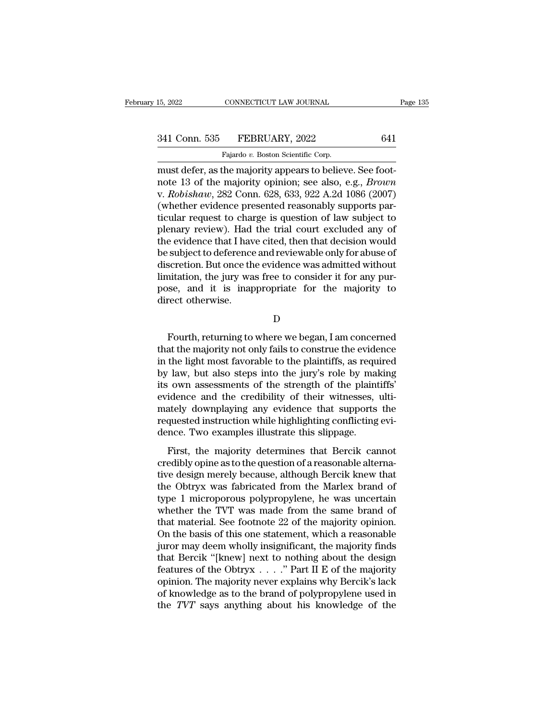### 15, 2022 CONNECTICUT LAW JOURNAL Page 135<br>341 Conn. 535 FEBRUARY, 2022 641<br>Fajardo v. Boston Scientific Corp. CONNECTICUT LAW JOURNAL<br>FEBRUARY, 2022<br>Fajardo *v.* Boston Scientific Corp.<br>the majority appears to believ

15, 2022 CONNECTICUT LAW JOURNAL<br>
341 Conn. 535 FEBRUARY, 2022 641<br>
Fajardo v. Boston Scientific Corp.<br>
must defer, as the majority appears to believe. See foot-<br>
note 13 of the majority opinion; see also, e.g., *Brown*<br>
w 341 Conn. 535 FEBRUARY, 2022 641<br>Fajardo v. Boston Scientific Corp.<br>must defer, as the majority appears to believe. See foot-<br>note 13 of the majority opinion; see also, e.g., *Brown*<br>v. *Robishaw*, 282 Conn. 628, 633, 922 341 Conn. 535 FEBRUARY, 2022 641<br>
Fajardo v. Boston Scientific Corp.<br>
must defer, as the majority appears to believe. See foot-<br>
note 13 of the majority opinion; see also, e.g., *Brown*<br>
v. *Robishaw*, 282 Conn. 628, 633, 341 Conn. 535 FEBRUARY, 2022 641<br>
Fajardo v. Boston Scientific Corp.<br>
must defer, as the majority appears to believe. See foot-<br>
note 13 of the majority opinion; see also, e.g., *Brown*<br>
v. *Robishaw*, 282 Conn. 628, 633, Fajardo v. Boston Scientific Corp.<br>
must defer, as the majority appears to believe. See foot-<br>
note 13 of the majority opinion; see also, e.g., *Brown*<br>
v. *Robishaw*, 282 Conn. 628, 633, 922 A.2d 1086 (2007)<br>
(whether evi Fajardo v. Boston Scientific Corp.<br>must defer, as the majority appears to believe. See foot-<br>note 13 of the majority opinion; see also, e.g., *Brown*<br>v. *Robishaw*, 282 Conn. 628, 633, 922 A.2d 1086 (2007)<br>(whether eviden must defer, as the majority appears to believe. See foot-<br>note 13 of the majority opinion; see also, e.g., *Brown*<br>v. *Robishaw*, 282 Conn. 628, 633, 922 A.2d 1086 (2007)<br>(whether evidence presented reasonably supports par note 13 of the majority opinion; see also, e.g., *Brown*<br>v. *Robishaw*, 282 Conn. 628, 633, 922 A.2d 1086 (2007)<br>(whether evidence presented reasonably supports par-<br>ticular request to charge is question of law subject to<br> v. *Robishaw*, 282 Conn. 628, 633, 922 A.2d 1086 (2007)<br>(whether evidence presented reasonably supports par-<br>ticular request to charge is question of law subject to<br>plenary review). Had the trial court excluded any of<br>the (whether evidence presented reasonably supports particular request to charge is question of law subject to plenary review). Had the trial court excluded any of the evidence that I have cited, then that decision would be su ticular request to charge is question of law subject to<br>plenary review). Had the trial court excluded any of<br>the evidence that I have cited, then that decision would<br>be subject to deference and reviewable only for abuse of plenary review). Had<br>the evidence that I hav<br>be subject to deference<br>discretion. But once th<br>limitation, the jury wa<br>pose, and it is inap<br>direct otherwise. scretion. But once the evidence was admitted without<br>nitation, the jury was free to consider it for any pur-<br>se, and it is inappropriate for the majority to<br>rect otherwise.<br>D<br>Fourth, returning to where we began, I am conce

D<sub>D</sub>

limitation, the jury was free to consider it for any pur-<br>pose, and it is inappropriate for the majority to<br>direct otherwise.<br>D<br>Fourth, returning to where we began, I am concerned<br>that the majority not only fails to constr pose, and it is inappropriate for the majority to<br>direct otherwise.<br>D<br>Fourth, returning to where we began, I am concerned<br>that the majority not only fails to construe the evidence<br>in the light most favorable to the plainti D<br>
D<br>
Fourth, returning to where we began, I am concerned<br>
that the majority not only fails to construe the evidence<br>
in the light most favorable to the plaintiffs, as required<br>
by law, but also steps into the jury's role D<br>
D<br>
Fourth, returning to where we began, I am concerned<br>
that the majority not only fails to construe the evidence<br>
in the light most favorable to the plaintiffs, as required<br>
by law, but also steps into the jury's role Fourth, returning to where we began, I am concerned<br>that the majority not only fails to construe the evidence<br>in the light most favorable to the plaintiffs, as required<br>by law, but also steps into the jury's role by making Fourth, returning to where we began, I am concerned<br>that the majority not only fails to construe the evidence<br>in the light most favorable to the plaintiffs, as required<br>by law, but also steps into the jury's role by making that the majority not only fails to construe the evidence<br>in the light most favorable to the plaintiffs, as required<br>by law, but also steps into the jury's role by making<br>its own assessments of the strength of the plaintif in the light most favorable to the plaintiffs, as requely law, but also steps into the jury's role by malits own assessments of the strength of the plaint evidence and the credibility of their witnesses, mately downplaying First, the majority determines that Bercik cannot<br>dience and the credibility of their witnesses, ulti-<br>ately downplaying any evidence that supports the<br>quested instruction while highlighting conflicting evi-<br>nce. Two exam credibly downplaying any evidence that supports the<br>requested instruction while highlighting conflicting evidence. Two examples illustrate this slippage.<br>First, the majority determines that Bercik cannot<br>credibly opine as

Existed and are creationly of aten witnesses, and<br>mately downplaying any evidence that supports the<br>requested instruction while highlighting conflicting evi-<br>dence. Two examples illustrate this slippage.<br>First, the majorit the Obtryx was fabricated from the came brand of<br>the Obtryx was fabricated from the Marletten evidence. Two examples illustrate this slippage.<br>First, the majority determines that Bercik cannot<br>credibly opine as to the ques First, the majority determines that Bercik cannot<br>
redence. Two examples illustrate this slippage.<br>
First, the majority determines that Bercik cannot<br>
credibly opine as to the question of a reasonable alterna-<br>
tive design First, the majority determines that Bercik cannot<br>credibly opine as to the question of a reasonable alterna-<br>tive design merely because, although Bercik knew that<br>the Obtryx was fabricated from the Marlex brand of<br>type 1 m First, the majority determines that Bercik cannot<br>credibly opine as to the question of a reasonable alterna-<br>tive design merely because, although Bercik knew that<br>the Obtryx was fabricated from the Marlex brand of<br>type 1 m credibly opine as to the question of a reasonable alternative design merely because, although Bercik knew that<br>the Obtryx was fabricated from the Marlex brand of<br>type 1 microporous polypropylene, he was uncertain<br>whether t tive design merely because, although Bercik knew that<br>the Obtryx was fabricated from the Marlex brand of<br>type 1 microporous polypropylene, he was uncertain<br>whether the TVT was made from the same brand of<br>that material. See the Obtryx was fabricated from the Marlex brand of<br>type 1 microporous polypropylene, he was uncertain<br>whether the TVT was made from the same brand of<br>that material. See footnote 22 of the majority opinion.<br>On the basis of type 1 microporous polypropylene, he was uncertain<br>whether the TVT was made from the same brand of<br>that material. See footnote 22 of the majority opinion.<br>On the basis of this one statement, which a reasonable<br>juror may de whether the TVT was made from the same brand of<br>that material. See footnote 22 of the majority opinion.<br>On the basis of this one statement, which a reasonable<br>juror may deem wholly insignificant, the majority finds<br>that B that material. See footnote 22 of the majority opinion.<br>On the basis of this one statement, which a reasonable<br>juror may deem wholly insignificant, the majority finds<br>that Bercik "[knew] next to nothing about the design<br>f On the basis of this one statement, which a reasonable<br>juror may deem wholly insignificant, the majority finds<br>that Bercik "[knew] next to nothing about the design<br>features of the Obtryx  $\dots$ ." Part II E of the majority<br>o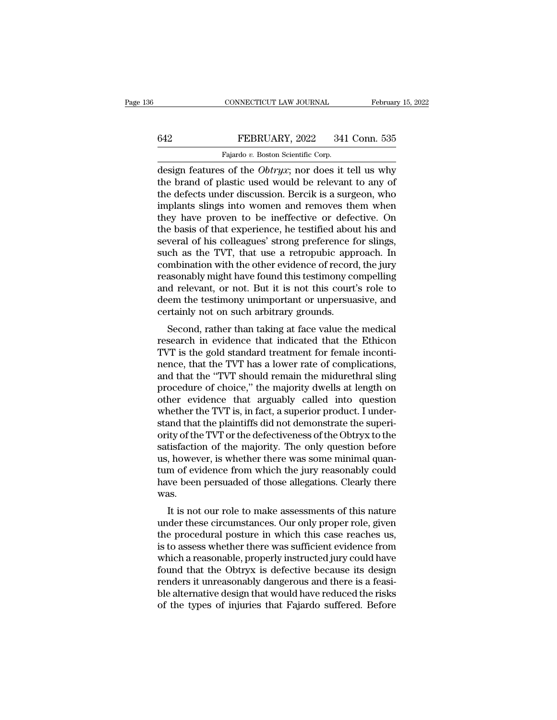### CONNECTICUT LAW JOURNAL February 15, 2022<br>642 FEBRUARY, 2022 341 Conn. 535<br>Fajardo v. Boston Scientific Corp. CONNECTICUT LAW JOURNAL<br>Fajardo *v.* Boston Scientific Corp.<br>8 of the *Obtrur*: nor does it

CONNECTICUT LAW JOURNAL February 15, 2022<br>
FEBRUARY, 2022 341 Conn. 535<br>
Fajardo v. Boston Scientific Corp.<br>
design features of the *Obtryx*; nor does it tell us why<br>
the brand of plastic used would be relevant to any of<br> FEBRUARY, 2022 341 Conn. 535<br>
Fajardo v. Boston Scientific Corp.<br>
design features of the *Obtryx*; nor does it tell us why<br>
the brand of plastic used would be relevant to any of<br>
the defects under discussion. Bercik is a s FEBRUARY, 2022 341 Conn. 535<br>
Fajardo v. Boston Scientific Corp.<br>
design features of the *Obtryx*; nor does it tell us why<br>
the brand of plastic used would be relevant to any of<br>
the defects under discussion. Bercik is a FEBRUARY, 2022 341 Conn. 535<br>
Fajardo v. Boston Scientific Corp.<br>
design features of the *Obtryx*; nor does it tell us why<br>
the brand of plastic used would be relevant to any of<br>
the defects under discussion. Bercik is a Fajardo v. Boston Scientific Corp.<br>
design features of the *Obtryx*; nor does it tell us why<br>
the brand of plastic used would be relevant to any of<br>
the defects under discussion. Bercik is a surgeon, who<br>
implants slings i Fajardo v. Boston Scientific Corp.<br>
design features of the *Obtryx*; nor does it tell us why<br>
the brand of plastic used would be relevant to any of<br>
the defects under discussion. Bercik is a surgeon, who<br>
implants slings design features of the *Obtryx*; nor does it tell us why<br>the brand of plastic used would be relevant to any of<br>the defects under discussion. Bercik is a surgeon, who<br>implants slings into women and removes them when<br>they ha the brand of plastic used would be relevant to any of<br>the defects under discussion. Bercik is a surgeon, who<br>implants slings into women and removes them when<br>they have proven to be ineffective or defective. On<br>the basis of the defects under discussion. Bercik is a surgeon, who implants slings into women and removes them when<br>they have proven to be ineffective or defective. On<br>the basis of that experience, he testified about his and<br>several o implants slings into women and removes them when<br>they have proven to be ineffective or defective. On<br>the basis of that experience, he testified about his and<br>several of his colleagues' strong preference for slings,<br>such as they have proven to be ineffective or defective. On<br>the basis of that experience, he testified about his and<br>several of his colleagues' strong preference for slings,<br>such as the TVT, that use a retropubic approach. In<br>comb the basis of that experience, he testified about his and<br>several of his colleagues' strong preference for slings,<br>such as the TVT, that use a retropubic approach. In<br>combination with the other evidence of record, the jury<br> several of his colleagues' strong preference f<br>such as the TVT, that use a retropubic appi<br>combination with the other evidence of record<br>reasonably might have found this testimony co<br>and relevant, or not. But it is not thi of as the TV1, that use a Tetropuble approach. In<br>mbination with the other evidence of record, the jury<br>asonably might have found this testimony compelling<br>d relevant, or not. But it is not this court's role to<br>em the test combination with the other evidence of record, the jury<br>reasonably might have found this testimony compelling<br>and relevant, or not. But it is not this court's role to<br>deem the testimony unimportant or unpersuasive, and<br>cer

reasonably hight have found this testimoly compening<br>and relevant, or not. But it is not this court's role to<br>deem the testimony unimportant or unpersuasive, and<br>certainly not on such arbitrary grounds.<br>Second, rather than and relevant, or not. But it is not this court's role to<br>deem the testimony unimportant or unpersuasive, and<br>certainly not on such arbitrary grounds.<br>Second, rather than taking at face value the medical<br>research in evidenc deem the testhoody dimitional of dipersuasive, and<br>certainly not on such arbitrary grounds.<br>Second, rather than taking at face value the medical<br>research in evidence that indicated that the Ethicon<br>TVT is the gold standard becausing into on such aboutaly grounds.<br>
Second, rather than taking at face value the medical<br>
research in evidence that indicated that the Ethicon<br>
TVT is the gold standard treatment for female inconti-<br>
nence, that the Second, rather than taking at face value the medical<br>research in evidence that indicated that the Ethicon<br>TVT is the gold standard treatment for female inconti-<br>nence, that the TVT has a lower rate of complications,<br>and th research in evidence that indicated that the Ethicon TVT is the gold standard treatment for female inconti-<br>nence, that the TVT has a lower rate of complications,<br>and that the "TVT should remain the midurethral sling<br>proce TVT is the gold standard treatment for female incontinence, that the TVT has a lower rate of complications, and that the "TVT should remain the midurethral sling procedure of choice," the majority dwells at length on other nence, that the TVT has a lower rate of complications,<br>and that the "TVT should remain the midurethral sling<br>procedure of choice," the majority dwells at length on<br>other evidence that arguably called into question<br>whether and that the "TVT should remain the midurethral sling<br>procedure of choice," the majority dwells at length on<br>other evidence that arguably called into question<br>whether the TVT is, in fact, a superior product. I under-<br>stand procedure of choice," the majority dwells at length on<br>other evidence that arguably called into question<br>whether the TVT is, in fact, a superior product. I under-<br>stand that the plaintiffs did not demonstrate the superi-<br>o other evidence that arguably called into question<br>whether the TVT is, in fact, a superior product. I under-<br>stand that the plaintiffs did not demonstrate the superi-<br>ority of the TVT or the defectiveness of the Obtryx to t whether the TVT is, in fact, a superior product. I understand that the plaintiffs did not demonstrate the superiority of the TVT or the defectiveness of the Obtryx to the satisfaction of the majority. The only question bef was. Its faction of the majority. The only question before<br>
, however, is whether there was some minimal quan-<br>
m of evidence from which the jury reasonably could<br>
we been persuaded of those allegations. Clearly there<br>
as.<br>
It sausiaction of the majority. The only question before<br>us, however, is whether there was some minimal quan-<br>tum of evidence from which the jury reasonably could<br>have been persuaded of those allegations. Clearly there<br>was.<br>I

the procedural posture in which the jury reasonably could<br>have been persuaded of those allegations. Clearly there<br>was.<br>It is not our role to make assessments of this nature<br>under these circumstances. Our only proper role, Figure 1 and the settlement of evidence from which the jury reasonably could<br>have been persuaded of those allegations. Clearly there<br>was.<br>It is not our role to make assessments of this nature<br>under these circumstances. Our rate been persuaded of those anegations. Clearly there<br>was.<br>It is not our role to make assessments of this nature<br>under these circumstances. Our only proper role, given<br>the procedural posture in which this case reaches us, was.<br>It is not our role to make assessments of this nature<br>under these circumstances. Our only proper role, given<br>the procedural posture in which this case reaches us,<br>is to assess whether there was sufficient evidence fro It is not our role to make assessments of this nature<br>under these circumstances. Our only proper role, given<br>the procedural posture in which this case reaches us,<br>is to assess whether there was sufficient evidence from<br>whi under these circumstances. Our only proper role, given<br>the procedural posture in which this case reaches us,<br>is to assess whether there was sufficient evidence from<br>which a reasonable, properly instructed jury could have<br>f the procedural posture in which this case reaches us,<br>is to assess whether there was sufficient evidence from<br>which a reasonable, properly instructed jury could have<br>found that the Obtryx is defective because its design<br>re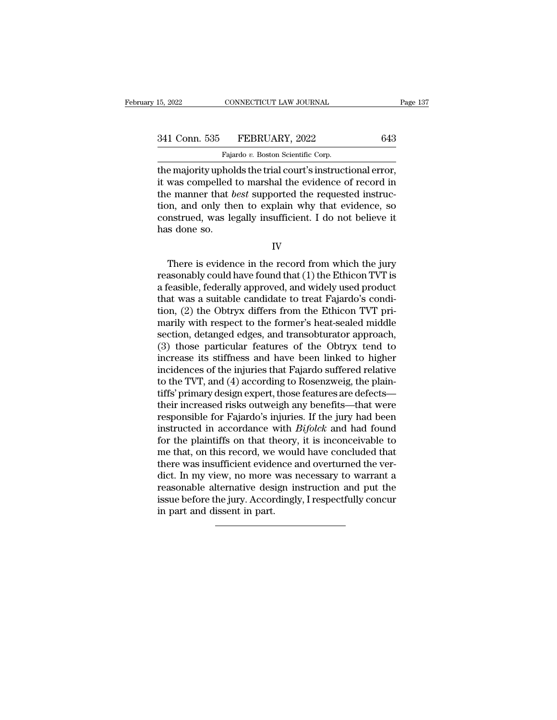15, 2022 CONNECTICUT LAW JOURNAL<br>
341 Conn. 535 FEBRUARY, 2022 643<br>
Fajardo *v.* Boston Scientific Corp.<br>
the majority upholds the trial court's instructional error, THE MAGNET MANUARY SERIES THE MANUARY ON THE MAGNET MANUARY SERIES THE MAGNET MANUARY SERIES THE MAJORITY OF MA<br>Trajardo v. Boston Scientific Corp.<br>The majority upholds the trial court's instructional error,<br>it was compell 341 Conn. 535 FEBRUARY, 2022 643<br>Fajardo v. Boston Scientific Corp.<br>the majority upholds the trial court's instructional error,<br>it was compelled to marshal the evidence of record in<br>the manner that *best* supported the req 341 Conn. 535 FEBRUARY, 2022 643<br>
Fajardo v. Boston Scientific Corp.<br>
the majority upholds the trial court's instructional error,<br>
it was compelled to marshal the evidence of record in<br>
the manner that *best* supported the 341 Conn. 535 FEBRUARY, 2022 643<br>
Fajardo v. Boston Scientific Corp.<br>
the majority upholds the trial court's instructional error,<br>
it was compelled to marshal the evidence of record in<br>
the manner that *best* supported th Fajardo v. Boston Scientific Corp.<br>The majority upholds the trial court's instructional error,<br>it was compelled to marshal the evidence of record in<br>the manner that *best* supported the requested instruc-<br>tion, and only th  $\frac{1}{100}$  rays the majority upholit was compelled<br>the manner that *b* tion, and only the<br>construed, was le<br>has done so. External means that *best* supported the requested instruction, and only then to explain why that evidence, so instrued, was legally insufficient. I do not believe it is done so.<br>IV<br>There is evidence in the record from whi

IV

reasonstrued, was legally insufficient. I do not believe it<br>has done so.<br>IV<br>There is evidence in the record from which the jury<br>reasonably could have found that (1) the Ethicon TVT is<br>a feasible, federally approved, and wi construed, was legally insufficient. I do not believe it<br>has done so.<br>IV<br>There is evidence in the record from which the jury<br>reasonably could have found that (1) the Ethicon TVT is<br>a feasible, federally approved, and widel IV<br>IV<br>There is evidence in the record from which the jury<br>reasonably could have found that (1) the Ethicon TVT is<br>a feasible, federally approved, and widely used product<br>that was a suitable candidate to treat Fajardo's con IV<br>There is evidence in the record from which the jury<br>reasonably could have found that (1) the Ethicon TVT is<br>a feasible, federally approved, and widely used product<br>that was a suitable candidate to treat Fajardo's condi-There is evidence in the record from which the jury<br>reasonably could have found that  $(1)$  the Ethicon TVT is<br>a feasible, federally approved, and widely used product<br>that was a suitable candidate to treat Fajardo's condi-There is evidence in the record from which the jury<br>reasonably could have found that (1) the Ethicon TVT is<br>a feasible, federally approved, and widely used product<br>that was a suitable candidate to treat Fajardo's condi-<br>ti reasonably could have found that (1) the Ethicon TVT is<br>a feasible, federally approved, and widely used product<br>that was a suitable candidate to treat Fajardo's condi-<br>tion, (2) the Obtryx differs from the Ethicon TVT pria feasible, federally approved, and widely used product<br>that was a suitable candidate to treat Fajardo's condi-<br>tion, (2) the Obtryx differs from the Ethicon TVT pri-<br>marily with respect to the former's heat-sealed middle<br> that was a suitable candidate to treat Fajardo's condi-<br>tion, (2) the Obtryx differs from the Ethicon TVT pri-<br>marily with respect to the former's heat-sealed middle<br>section, detanged edges, and transobturator approach,<br>(3 tion, (2) the Obtryx differs from the Ethicon TVT pri-<br>marily with respect to the former's heat-sealed middle<br>section, detanged edges, and transobturator approach,<br>(3) those particular features of the Obtryx tend to<br>increa marily with respect to the former's heat-sealed middle<br>section, detanged edges, and transobturator approach,<br>(3) those particular features of the Obtryx tend to<br>increase its stiffness and have been linked to higher<br>inciden section, detanged edges, and transobturator approach,<br>
(3) those particular features of the Obtryx tend to<br>
increase its stiffness and have been linked to higher<br>
incidences of the injuries that Fajardo suffered relative<br> (3) those particular features of the Obtryx tend to<br>increase its stiffness and have been linked to higher<br>incidences of the injuries that Fajardo suffered relative<br>to the TVT, and (4) according to Rosenzweig, the plain-<br>t increase its stiffness and have been linked to higher<br>incidences of the injuries that Fajardo suffered relative<br>to the TVT, and (4) according to Rosenzweig, the plain-<br>tiffs' primary design expert, those features are defec incidences of the injuries that Fajardo suffered relative<br>to the TVT, and (4) according to Rosenzweig, the plain-<br>tiffs' primary design expert, those features are defects—<br>their increased risks outweigh any benefits—that w to the TVT, and (4) according to Rosenzweig, the plaintiffs' primary design expert, those features are defects—<br>their increased risks outweigh any benefits—that were<br>responsible for Fajardo's injuries. If the jury had bee tiffs' primary design expert, those features are defects—<br>their increased risks outweigh any benefits—that were<br>responsible for Fajardo's injuries. If the jury had been<br>instructed in accordance with *Bifolck* and had found their increased risks outweigh any benefits—that were<br>responsible for Fajardo's injuries. If the jury had been<br>instructed in accordance with  $Bifolck$  and had found<br>for the plaintiffs on that theory, it is inconceivable to<br>me responsible for Fajardo's injuries. If the jury had been<br>instructed in accordance with  $Bifolck$  and had found<br>for the plaintiffs on that theory, it is inconceivable to<br>me that, on this record, we would have concluded that<br>th instructed in accordance with *Bifolck* and had found<br>for the plaintiffs on that theory, it is inconceivable to<br>me that, on this record, we would have concluded that<br>there was insufficient evidence and overturned the ver-<br> for the plaintiffs on that the<br>me that, on this record, we<br>there was insufficient evide<br>dict. In my view, no more<br>reasonable alternative desi<br>issue before the jury. Accor<br>in part and dissent in part.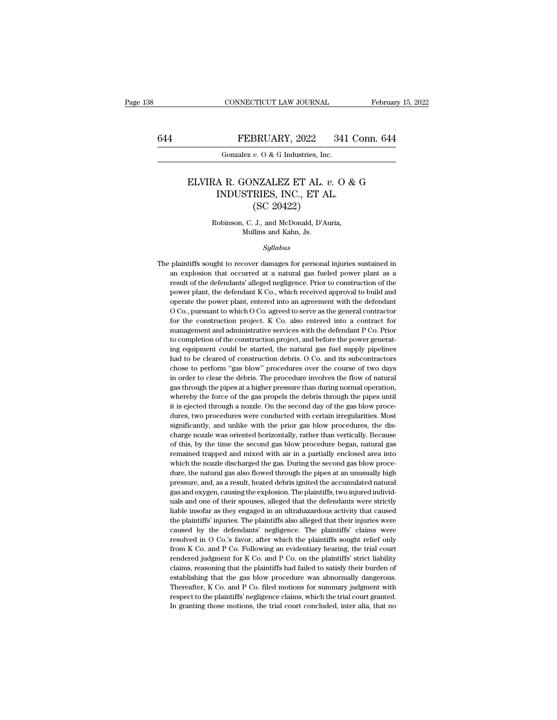### CONNECTICUT LAW JOURNAL February 15, 2022<br>644 FEBRUARY, 2022 341 Conn. 644<br>601 Gonzalez v. 0 & G Industries, Inc. CONNECTICUT LAW JOURNAL<br>FEBRUARY, 2022 341<br>Gonzalez *v.* O & G Industries, Inc.

### FEBRUARY, 2022 341 Conn. 644<br>
Gonzalez *v.* 0 & G Industries, Inc.<br>
ELVIRA R. GONZALEZ ET AL. *v.* 0 & G<br>
INDUSTRIES, INC., ET AL.<br>
(SC 20422) FEBRUARY, 2022 341 C<br>
Gonzalez v. 0 & G Industries, Inc.<br>
A R. GONZALEZ ET AL. v. 0 &<br>
INDUSTRIES, INC., ET AL.<br>
(SC 20422)  $\frac{1}{2}$ <br>  $\frac{1}{2}$ <br>  $\frac{1}{2}$ <br>  $\frac{1}{2}$ <br>  $\frac{1}{2}$ <br>  $\frac{1}{2}$ <br>  $\frac{1}{2}$ <br>  $\frac{1}{2}$ <br>  $\frac{1}{2}$ <br>  $\frac{1}{2}$ <br>  $\frac{1}{2}$ <br>  $\frac{1}{2}$ <br>  $\frac{1}{2}$ <br>  $\frac{1}{2}$ <br>  $\frac{1}{2}$ <br>  $\frac{1}{2}$ <br>  $\frac{1}{2}$ <br>  $\frac{1}{2}$ <br>  $\frac{1}{2}$ <br>  $\frac{1}{2}$ <br> ELVIRA R. GONZALEZ ET AL.  $v$ . O & G<br>INDUSTRIES, INC., ET AL.<br>(SC 20422)<br>Robinson, C. J., and McDonald, D'Auria,<br>Mullins and Kahn, Js. INDUSTRIES, INC., ET AL.

### *Syllabus*

Robinson, C. J., and McDonald, D'Auria,<br>Mullins and Kahn, Js.<br>Syllabus<br>The plaintiffs sought to recover damages for personal injuries sustained in<br>an explosion that occurred at a natural gas fueled power plant as a Robinson, C. J., and McDonald, D'Auria,<br>Mullins and Kahn, Js.<br>Syllabus<br>plaintiffs sought to recover damages for personal injuries sustained in<br>an explosion that occurred at a natural gas fueled power plant as a<br>result of t Mullins and Kahn, Js.<br>Syllabus<br>plaintiffs sought to recover damages for personal injuries sustained in<br>an explosion that occurred at a natural gas fueled power plant as a<br>result of the defendants' alleged negligence. Prior Syllabus<br>plaintiffs sought to recover damages for personal injuries sustained in<br>an explosion that occurred at a natural gas fueled power plant as a<br>result of the defendants' alleged negligence. Prior to construction of th Syllabus<br>plaintiffs sought to recover damages for personal injuries sustained in<br>an explosion that occurred at a natural gas fueled power plant as a<br>result of the defendants' alleged negligence. Prior to construction of th plaintiffs sought to recover damages for personal injuries sustained in<br>an explosion that occurred at a natural gas fueled power plant as a<br>result of the defendants' alleged negligence. Prior to construction of the<br>power p for the construction that occurred at a natural gas fueled power plant as a result of the defendants' alleged negligence. Prior to construction of the power plant, the defendant K Co., which received approval to build and entified to the defendants' alleged negligence. Prior to construction of the power plant, the defendant K Co., which received approval to build and operate the power plant, entered into an agreement with the defendant O Co result of the defendants' alleged negligence. Prior to construction of the power plant, the defendant K Co., which received approval to build and operate the power plant, entered into an agreement with the defendant O Co. operate the power plant, entered into an agreement with the defendant O Co., pursuant to which O Co. agreed to serve as the general contractor for the construction project. K Co. also entered into a contract for management  $\overline{O}$  Co., pursuant to which  $\overline{O}$  Co. agreed to serve as the general contractor for the construction project. K Co. also entered into a contract for management and administrative services with the defendant P Co. P For the construction project. K Co. also entered into a contract for management and administrative services with the defendant P Co. Prior to completion of the construction project, and before the power generating equipme in an agement and administrative services with the defendant P Co. Prior to completion of the construction project, and before the power generating equipment could be started, the natural gas fuel supply pipelines had to b the completion of the construction project, and before the power generating equipment could be started, the natural gas fuel supply pipelines had to be cleared of construction debris. O Co. and its subcontractors chose to whereby the force of the gas propels the second day of the gas blow procedures thad to be cleared of construction debris. O Co. and its subcontractors chose to perform "gas blow" procedures over the course of two days in o  $\frac{1}{10}$  suggest through a notice through a non-text of the second through a node to perform "gas blow" procedures over the course of two days in order to clear the debris. The procedures over the course of two days as chose to perform "gas blow" procedures over the course of two days<br>in order to clear the debris. The procedure involves the flow of natural<br>gas through the pipes at a higher pressure than during normal operation,<br>whereby t in order to clear the debris. The procedure involves the flow of natural gas through the pipes at a higher pressure than during normal operation, whereby the force of the gas propels the debris through the pipes until it i raw as through the pipes at a higher pressure than during normal operation, whereby the force of the gas propels the debris through the pipes until it is ejected through a nozzle. On the second day of the gas blow procedur whereby the force of the gas propels the debris through the pipes until it is ejected through a nozzle. On the second day of the gas blow procedures, two procedures were conducted with certain irregularities. Most signific it is ejected through a nozzle. On the second day of the gas blow procedures, two procedures were conducted with certain irregularities. Most significantly, and unlike with the prior gas blow procedures, the discharge nozz it is ejected through a nozzle. On the second day of the gas blow procedures, two procedures were conducted with certain irregularities. Most significantly, and unlike with the prior gas blow procedures, the discharge nozz significantly, and unlike with the prior gas blow procedures, the discharge nozzle was oriented horizontally, rather than vertically. Because of this, by the time the second gas blow procedure began, natural gas remained t charge nozzle was oriented horizontally, rather than vertically. Because of this, by the time the second gas blow procedure began, natural gas remained trapped and mixed with air in a partially enclosed area into which the of this, by the time the second gas blow procedure began, natural gas be the main of trapped and mixed with air in a partially enclosed area into which the nozzle discharged the gas. During the second gas blow procedure, the natural gas also flowed through the pipes at an unusually high pres which the nozzle discharged the gas. During the second gas blow procedure, the natural gas also flowed through the pipes at an unusually high pressure, and, as a result, heated debris ignited the accumulated natural gas an the natural gas also flowed through the pipes at an unusually high pressure, and, as a result, heated debris ignited the accumulated natural gas and oxygen, causing the explosion. The plaintiffs, two injured individuals an are, and, as a result, heated debris ignited the accumulated natural<br>gas and oxygen, causing the explosion. The plaintiffs, two injured individuals<br>and one of their spouses, alleged that the defendants were strictly<br>liable gas and oxygen, causing the explosion. The plaintiffs, two injured individuals and one of their spouses, alleged that the defendants were strictly liable insofar as they engaged in an ultrahazardous activity that caused th liable insofar as they engaged in an ultrahazardous activity that caused<br>the plaintiffs' injuries. The plaintiffs also alleged that their injuries were<br>caused by the defendants' negligence. The plaintiffs' claims were<br>res liable insofar as they engaged in an ultrahazardous activity that caused<br>the plaintiffs' injuries. The plaintiffs also alleged that their injuries were<br>caused by the defendants' negligence. The plaintiffs' claims were<br>reso the plaintiffs' injuries. The plaintiffs also alleged that their injuries were caused by the defendants' negligence. The plaintiffs' claims were resolved in O Co.'s favor, after which the plaintiffs sought relief only fro caused by the defendants' negligence. The plaintiffs' claims were resolved in O Co.'s favor, after which the plaintiffs sought relief only from K Co. and P Co. Following an evidentiary hearing, the trial court rendered ju resolved in O Co.'s favor, after which the plaintiffs sought relief only from K Co. and P Co. Following an evidentiary hearing, the trial court rendered judgment for K Co. and P Co. on the plaintiffs' strict liability clai from K Co. and P Co. Following an evidentiary hearing, the trial court rendered judgment for K Co. and P Co. on the plaintiffs' strict liability claims, reasoning that the plaintiffs had failed to satisfy their burden of e rendered judgment for K Co. and P Co. on the plaintiffs' strict liability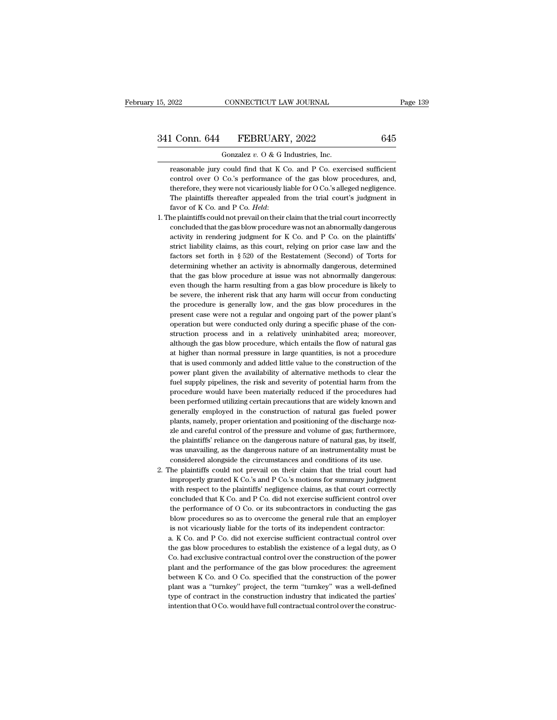CONNECTICUT LAW JOURNAL<br>
1 Conn. 644 FEBRUARY, 2022 645<br>
Gonzalez *v.* O & G Industries, Inc.<br>
reasonable jury could find that K Co. and P Co. exercised sufficient 1 Conn. 644 FEBRUARY, 2022 645<br>
Gonzalez v. O & G Industries, Inc.<br>
reasonable jury could find that K Co. and P Co. exercised sufficient<br>
control over O Co.'s performance of the gas blow procedures, and, Conn. 644 FEBRUARY, 2022 645<br>Gonzalez v. 0 & G Industries, Inc.<br>reasonable jury could find that K Co. and P Co. exercised sufficient<br>control over O Co.'s performance of the gas blow procedures, and,<br>therefore, they were no 1 Conn. 644 FEBRUARY, 2022 645<br>
Gonzalez v. 0 & G Industries, Inc.<br>
reasonable jury could find that K Co. and P Co. exercised sufficient<br>
control over O Co.'s performance of the gas blow procedures, and,<br>
therefore, they w Gonzalez  $v$ . O & G Industries, Inc.<br>
reasonable jury could find that K Co. and P Co. exercised sufficient<br>
control over O Co.'s performance of the gas blow procedures, and,<br>
therefore, they were not vicariously liable fo favores of K Co. and P Co. exercised sufficient<br>control over O Co.'s performance of the gas blow procedures, and,<br>therefore, they were not vicariously liable for O Co.'s alleged negligence.<br>The plaintiffs thereafter appeal control over O Co.'s performance of the gas blow procedures, and,<br>therefore, they were not vicariously liable for O Co.'s alleged negligence.<br>The plaintiffs thereafter appealed from the trial court's judgment in<br>favor of K

- therefore, they were not vicariously liable for O Co.'s alleged negligence.<br>The plaintiffs thereafter appealed from the trial court's judgment in<br>favor of K Co. and P Co. *Held*:<br>ne plaintiffs could not prevail on their cl The plaintiffs thereafter appealed from the trial court's judgment in favor of K Co. and P Co. *Held*:<br>ne plaintiffs could not prevail on their claim that the trial court incorrectly<br>concluded that the gas blow procedure favor of K Co. and P Co. *Held*:<br>ne plaintiffs could not prevail on their claim that the trial court incorrectly<br>concluded that the gas blow procedure was not an abnormally dangerous<br>activity in rendering judgment for K C he plaintiffs could not prevail on their claim that the trial court incorrectly concluded that the gas blow procedure was not an abnormally dangerous activity in rendering judgment for K Co. and P Co. on the plaintiffs' st concluded that the gas blow procedure was not an abnormally dangerous activity in rendering judgment for K Co. and P Co. on the plaintiffs' strict liability claims, as this court, relying on prior case law and the factors activity in rendering judgment for K Co. and P Co. on the plaintiffs'<br>strict liability claims, as this court, relying on prior case law and the<br>factors set forth in § 520 of the Restatement (Second) of Torts for<br>determinin strict liability claims, as this court, relying on prior case law and the factors set forth in  $\S 520$  of the Restatement (Second) of Torts for determining whether an activity is abnormally dangerous, determined that the factors set forth in  $\S$  520 of the Restatement (Second) of Torts for determining whether an activity is abnormally dangerous, determined that the gas blow procedure at issue was not abnormally dangerous: even though the determining whether an activity is abnormally dangerous, determined<br>that the gas blow procedure at issue was not abnormally dangerous:<br>even though the harm resulting from a gas blow procedure is likely to<br>be severe, the in that the gas blow procedure at issue was not abnormally dangerous:<br>even though the harm resulting from a gas blow procedure is likely to<br>be severe, the inherent risk that any harm will occur from conducting<br>the procedure i even though the harm resulting from a gas blow procedure is likely to<br>be severe, the inherent risk that any harm will occur from conducting<br>the procedure is generally low, and the gas blow procedures in the<br>present case we be severe, the inherent risk that any harm will occur from conducting the procedure is generally low, and the gas blow procedures in the present case were not a regular and ongoing part of the power plant's operation but w the procedure is generally low, and the gas blow procedures in the present case were not a regular and ongoing part of the power plant's operation but were conducted only during a specific phase of the construction process present case were not a regular and ongoing part of the power plant's operation but were conducted only during a specific phase of the construction process and in a relatively uninhabited area; moreover, although the gas b operation but were conducted only during a specific phase of the construction process and in a relatively uninhabited area; moreover, although the gas blow procedure, which entails the flow of natural gas at higher than no fuely supply uninhabited area; moreover, although the gas blow procedure, which entails the flow of natural gas at higher than normal pressure in large quantities, is not a procedure that is used commonly and added little although the gas blow procedure, which entails the flow of natural gas<br>at higher than normal pressure in large quantities, is not a procedure<br>that is used commonly and added little value to the construction of the<br>power pl at higher than normal pressure in large quantities, is not a procedure<br>that is used commonly and added little value to the construction of the<br>power plant given the availability of alternative methods to clear the<br>fuel sup that is used commonly and added little value to the construction of the power plant given the availability of alternative methods to clear the fuel supply pipelines, the risk and severity of potential harm from the procedu power plant given the availability of alternative methods to clear the fuel supply pipelines, the risk and severity of potential harm from the procedure would have been materially reduced if the procedures had been perform fuel supply pipelines, the risk and severity of potential harm from the procedure would have been materially reduced if the procedures had been performed utilizing certain precautions that are widely known and generally em procedure would have been materially reduced if the procedures had<br>been performed utilizing certain precautions that are widely known and<br>generally employed in the construction of natural gas fueled power<br>plants, namely, p been performed utilizing certain precautions that are widely known and generally employed in the construction of natural gas fueled power plants, namely, proper orientation and positioning of the discharge noz-<br>zle and car generally employed in the construction of natural gas fueled power<br>plants, namely, proper orientation and positioning of the discharge noz-<br>zle and careful control of the pressure and volume of gas; furthermore,<br>the plaint plants, namely, proper orientation and positioning of the discharge noz-<br>zle and careful control of the pressure and volume of gas; furthermore,<br>the plaintiffs' reliance on the dangerous nature of natural gas, by itself,<br>w zle and careful control of the pressure and volume of gas; furthermore, the plaintiffs' reliance on the dangerous nature of natural gas, by itself, was unavailing, as the dangerous nature of an instrumentality must be cons
- the plaintiffs' reliance on the dangerous nature of natural gas, by itself, was unavailing, as the dangerous nature of an instrumentality must be considered alongside the circumstances and conditions of its use. The plaint was unavailing, as the dangerous nature of an instrumentality must be considered alongside the circumstances and conditions of its use.<br>he plaintiffs could not prevail on their claim that the trial court had<br>improperly gra considered alongside the circumstances and conditions of its use.<br>he plaintiffs could not prevail on their claim that the trial court had<br>improperly granted K Co.'s and P Co.'s motions for summary judgment<br>with respect to he plaintiffs could not prevail on their claim that the trial court had improperly granted K Co.'s and P Co.'s motions for summary judgment with respect to the plaintiffs' negligence claims, as that court correctly conclud improperly granted K Co.'s and P Co.'s motions for summary judgment with respect to the plaintiffs' negligence claims, as that court correctly concluded that K Co. and P Co. did not exercise sufficient control over the pe with respect to the plaintiffs' negligence claims, as that court correctly concluded that K Co. and P Co. did not exercise sufficient control over the performance of O Co. or its subcontractors in conducting the gas blow concluded that K Co. and P Co. did not exercise sufficient control over<br>the performance of O Co. or its subcontractors in conducting the gas<br>blow procedures so as to overcome the general rule that an employer<br>is not vicar

the performance of O Co. or its subcontractors in conducting the gas<br>blow procedures so as to overcome the general rule that an employer<br>is not vicariously liable for the torts of its independent contractor:<br>a. K Co. and P blow procedures so as to overcome the general rule that an employer<br>is not vicariously liable for the torts of its independent contractor:<br>a. K Co. and P Co. did not exercise sufficient contractual control over<br>the gas blo is not vicariously liable for the torts of its independent contractor:<br>a. K Co. and P Co. did not exercise sufficient contractual control over<br>the gas blow procedures to establish the existence of a legal duty, as O<br>Co. h a. K Co. and P Co. did not exercise sufficient contractual control over<br>the gas blow procedures to establish the existence of a legal duty, as O<br>Co. had exclusive contractual control over the construction of the power<br>plan the gas blow procedures to establish the existence of a legal duty, as O<br>Co. had exclusive contractual control over the construction of the power<br>plant and the performance of the gas blow procedures: the agreement<br>between plant and the performance of the gas blow procedures: the agreement between K Co. and O Co. specified that the construction of the power plant was a "turnkey" project, the term "turnkey" was a well-defined type of contrac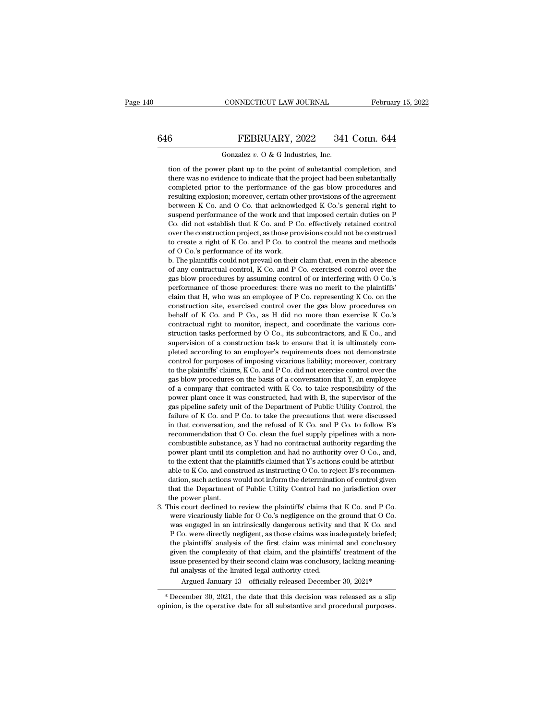### CONNECTICUT LAW JOURNAL February 15, 2022<br>646 FEBRUARY, 2022 341 Conn. 644<br>601 Gonzalez v. 0 & G Industries, Inc. CONNECTICUT LAW JOURNAL Februar<br>
Gonzalez *v.* O & G Industries, Inc.<br>
tion of the power plant up to the point of substantial completion, and

FEBRUARY, 2022 341 Conn. 644<br>
Gonzalez v. O & G Industries, Inc.<br>
tion of the power plant up to the point of substantial completion, and<br>
there was no evidence to indicate that the project had been substantially FEBRUARY, 2022 341 Conn. 644<br>
Gonzalez v. 0 & G Industries, Inc.<br>
tion of the power plant up to the point of substantial completion, and<br>
there was no evidence to indicate that the project had been substantially<br>
complete  $6$  FEBRUARY, 2022 341 Conn. 644<br>Gonzalez v. 0 & G Industries, Inc.<br>tion of the power plant up to the point of substantial completion, and<br>there was no evidence to indicate that the project had been substantially<br>complete FEDECTREET, ESSENTING SET SOME STRING THE COMMUNITY COMMUNITY (SOMETHER) CONSIDENT ON A SUBSEMINITY CONSIDENT And there was no evidence to indicate that the project had been substantially completed prior to the performanc Gonzalez  $v$ . O & G Industries, Inc.<br>tion of the power plant up to the point of substantial completion, and<br>there was no evidence to indicate that the project had been substantially<br>completed prior to the performance of t tion of the power plant up to the point of substantial completion, and<br>there was no evidence to indicate that the project had been substantially<br>completed prior to the performance of the gas blow procedures and<br>resulting e There was no evidence to indicate that the project had been substantially completed prior to the performance of the gas blow procedures and resulting explosion; moreover, certain other provisions of the agreement between K there was no evidence to indicate that the project had been substantially<br>completed prior to the performance of the gas blow procedures and<br>resulting explosion; moreover, certain other provisions of the agreement<br>between K completed prior to the performance of the gas blow procedures and<br>resulting explosion; moreover, certain other provisions of the agreement<br>between K Co. and O Co. that acknowledged K Co.'s general right to<br>suspend performa resulting explosion; moreover, certain other provisions of the agreement<br>between K Co. and O Co. that acknowledged K Co.'s general right to<br>suspend performance of the work and that imposed certain duties on P<br>Co. did not between K Co. and O Co. that acknowledged K Co. s general right to suspend performance of the work and that imposed certain duties on P Co. did not establish that K Co. and P Co. effectively retained control over the const suspend performance of the work and that imposed certain duties on P<br>Co. did not establish that K Co. and P Co. effectively retained control<br>over the construction project, as those provisions could not be construed<br>to crea

Co. and not establish that K Co. and P Co. ellectively retained control<br>over the construction project, as those provisions could not be construed<br>to create a right of K Co. and P Co. to control the means and methods<br>of O C ber the construction project, as those provisions could not be construed<br>to create a right of K Co. and P Co. to control the means and methods<br>of O Co.'s performance of its work.<br>b. The plaintiffs could not prevail on thei to create a right of K Co. and P Co. to control the means and methods<br>of O Co.'s performance of its work.<br>b. The plaintiffs could not prevail on their claim that, even in the absence<br>of any contractual control, K Co. and P of O Co. s performance of its work.<br>
b. The plaintiffs could not prevail on their claim that, even in the absence<br>
of any contractual control, K Co. and P Co. exercised control over the<br>
gas blow procedures by assuming co behalf of K Co. and P Co., as H did no more than exercise K Co.'s<br>contractual control, K Co. and P Co. exercised control over the<br>gas blow procedures by assuming control of or interfering with O Co.'s<br>performance of those gas blow procedures by assuming control of or interfering with O Co.'s performance of those procedures: there was no merit to the plaintiffs' claim that H, who was an employee of P Co. representing K Co. on the constructi gas blow procedures by assuming control of or interfering with O Co. s<br>performance of those procedures: there was no merit to the plaintiffs'<br>claim that H, who was an employee of P Co. representing K Co. on the<br>constructio behalf of K Co. and P Co., as H did no more than exercise K Co.'s contractual right to monitor, inspect, and coordinate the various construction tasks performed by O Co., its subcontractors, and K Co., and supervision of a cianti that H, who was an employee of P Co. representing K Co. on the construction site, exercised control over the gas blow procedures on behalf of K Co. and P Co., as H did no more than exercise K Co.'s contractual right construction site, exercised control over the gas blow procedures on<br>behalf of K Co. and P Co., as H did no more than exercise K Co.'s<br>contractual right to monitor, inspect, and coordinate the various con-<br>struction tasks behall of K Co. and P Co., as H did not interest the various construction tasks performed by O Co., its subcontractors, and K Co., and supervision of a construction task to ensure that it is ultimately completed according contractual right to monitor, inspect, and coordinate the various con-<br>struction tasks performed by O Co., its subcontractors, and K Co., and<br>supervision of a construction task to ensure that it is ultimately com-<br>pleted a struction tasks performed by  $O$  Co., its subcontractors, and K Co., and<br>supervision of a construction task to ensure that it is ultimately com-<br>pleted according to an employer's requirements does not demonstrate<br>control supervision of a construction task to ensure that it is unimately con-<br>pleted according to an employer's requirements does not demonstrate<br>control for purposes of imposing vicarious liability; moreover, contrary<br>to the pla pieted according to an employer's requirements does not demonstrate<br>control for purposes of imposing vicarious liability; moreover, contrary<br>to the plaintiffs' claims, K Co. and P Co. did not exercise control over the<br>gas failure of K Co. and P Co. to take the precautions that Y, an employee the plaintiffs' claims, K Co. and P Co. did not exercise control over the gas blow procedures on the basis of a conversation that Y, an employee of a c in that conversation, and the refusal of K Co. and P Co. That is also been dependent of the power plant once it was constructed, had with B, the supervisor of the power plant once it was constructed, had with B, the superv gas blow procedules on the basis of a conversation that *r*, an employee of a company that contracted with *K* Co. to take responsibility of the power plant once it was constructed, had with *B*, the supervisor of the gas of a company mat contracted with K Co. to take responsibility of the power plant once it was constructed, had with B, the supervisor of the gas pipeline safety unit of the Department of Public Utility Control, the failure power plant unter it was constructed, had with B, the supervisor of the gas pipeline safety unit of the Department of Public Utility Control, the failure of K Co. and P Co. to take the precautions that were discussed in th gas pipeline salety unt of the Department of Public Unity Control, the failure of K Co. and P Co. to take the precautions that were discussed<br>in that conversation, and the refusal of K Co. and P Co. to follow B's<br>recommend in that conversation, and the refusal of K Co. and P Co. to follow B's recommendation that O Co. clean the fuel supply pipelines with a non-combustible substance, as Y had no contractual authority regarding the power plan In that conversation, and the retusal of K Co. and P Co. to follow B s<br>recommendation that O Co. clean the fuel supply pipelines with a non-<br>combustible substance, as Y had no contractual authority regarding the<br>power pla recommendation that O Co. clean the fluel supply pipelines with a non-<br>combustible substance, as Y had no contractual authority regarding the<br>power plant until its completion and had no authority over O Co., and,<br>to the ex power plant until its completion and had no authority over O Co., and,<br>to the extent that the plaintiffs claimed that Y's actions could be attribut-<br>able to K Co. and construed as instructing O Co. to reject B's recommen-<br> by power plant until its completion and had no authority over O Co., and,<br>to the extent that the plaintiffs claimed that Y's actions could be attribut-<br>able to K Co. and construed as instructing O Co. to reject B's recomme o the extent that the plaintiffs claimed that Y is actions could be attributable to K Co. and construed as instructing O Co. to reject B's recommendation, such actions would not inform the determination of control given th

ble to K Co. and construed as instructing O Co. to reject B s recommen-<br>lation, such actions would not inform the determination of control given<br>hat the Department of Public Utility Control had no jurisdiction over<br>the pow iation, such actions would not inform the determination of control given<br>hat the Department of Public Utility Control had no jurisdiction over<br>he power plant.<br>his court declined to review the plaintiffs' claims that K Co. The power plant. The perturn of Public Utility Control had no jurisdiction over<br>the power plant.<br>his court declined to review the plaintiffs' claims that K Co. and P Co.<br>was engaged in an intrinsically dangerous activity a the power plant.<br>
his court declined to review the plaintiffs' claims that K Co. and P Co.<br>
were vicariously liable for O Co.'s negligence on the ground that O Co.<br>
was engaged in an intrinsically dangerous activity and th ms court decimed to review the plaintins claims that K Co. and P Co.<br>were vicariously liable for O Co.'s negligence on the ground that O Co.<br>was engaged in an intrinsically dangerous activity and that K Co. and<br>P Co. were were vicariously habie for O Co. S hegitgence on the<br>was engaged in an intrinsically dangerous activity a<br>P Co. were directly negligent, as those claims was in<br>the plaintiffs' analysis of the first claim was minim<br>given th P Co. were directly negligent, as those claims was inadequately briefed;<br>the plaintiffs' analysis of the first claim was minimal and conclusory<br>given the complexity of that claim, and the plaintiffs' treatment of the<br>issu the plantifis' analysis of the first claim was minimal and conclusory<br>given the complexity of that claim, and the plaintiffs' treatment of the<br>issue presented by their second claim was conclusory, lacking meaning-<br>ful ana given the complexity of that claim, and the plaintiffs treatment of the<br>issue presented by their second claim was conclusory, lacking meaning-<br>ful analysis of the limited legal authority cited.<br>Argued January 13—officially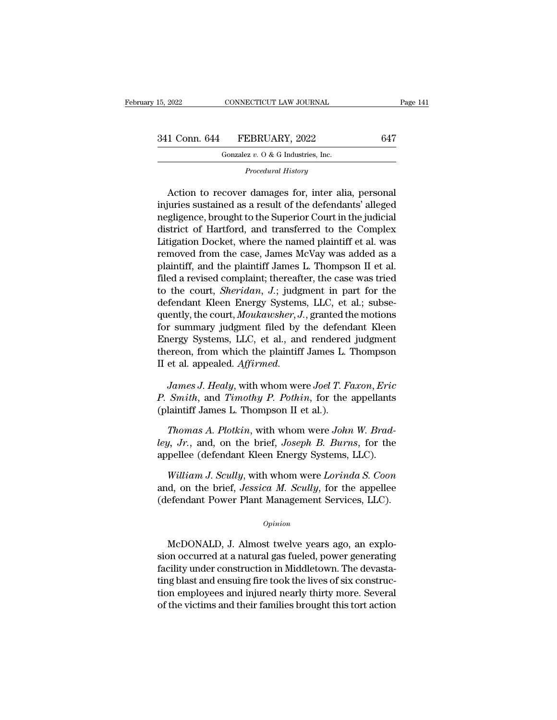1 Conn. 644 FEBRUARY, 2022 647<br>
Gonzalez v. 0 & G Industries, Inc.<br>
Procedural History<br>
Action to recover damages for, inter alia, personal<br>
juries sustained as a result of the defendants' alleged<br>
gligoneo brought to the 341 Conn. 644 FEBRUARY, 2022 647<br>
Gonzalez v. 0 & G Industries, Inc.<br>
Procedural History<br>
Action to recover damages for, inter alia, personal<br>
injuries sustained as a result of the defendants' alleged<br>
negligence, brought Gonzalez v. O & G Industries, Inc.<br>
Frocedural History<br>
Action to recover damages for, inter alia, personal<br>
injuries sustained as a result of the defendants' alleged<br>
negligence, brought to the Superior Court in the judi Gonzalez v. O & G Industries, Inc.<br>
Procedural History<br>
Action to recover damages for, inter alia, personal<br>
injuries sustained as a result of the defendants' alleged<br>
negligence, brought to the Superior Court in the judi Procedural History<br>
Action to recover damages for, inter alia, personal<br>
injuries sustained as a result of the defendants' alleged<br>
negligence, brought to the Superior Court in the judicial<br>
district of Hartford, and trans Action to recover damages for, inter alia, personal<br>injuries sustained as a result of the defendants' alleged<br>negligence, brought to the Superior Court in the judicial<br>district of Hartford, and transferred to the Complex<br>L Action to recover damages for, inter alia, personal<br>injuries sustained as a result of the defendants' alleged<br>negligence, brought to the Superior Court in the judicial<br>district of Hartford, and transferred to the Complex<br>L injuries sustained as a result of the defendants' alleged<br>negligence, brought to the Superior Court in the judicial<br>district of Hartford, and transferred to the Complex<br>Litigation Docket, where the named plaintiff et al. w negligence, brought to the Superior Court in the judicial<br>district of Hartford, and transferred to the Complex<br>Litigation Docket, where the named plaintiff et al. was<br>removed from the case, James McVay was added as a<br>plain district of Hartford, and transferred to the Complex<br>Litigation Docket, where the named plaintiff et al. was<br>removed from the case, James McVay was added as a<br>plaintiff, and the plaintiff James L. Thompson II et al.<br>filed Litigation Docket, where the named plaintiff et al. was<br>removed from the case, James McVay was added as a<br>plaintiff, and the plaintiff James L. Thompson II et al.<br>filed a revised complaint; thereafter, the case was tried<br>t removed from the case, James McVay was added as a<br>plaintiff, and the plaintiff James L. Thompson II et al.<br>filed a revised complaint; thereafter, the case was tried<br>to the court, *Sheridan*, J.; judgment in part for the<br>de plaintiff, and the plaintiff James L. Thompson II et al.<br>filed a revised complaint; thereafter, the case was tried<br>to the court, *Sheridan*, J.; judgment in part for the<br>defendant Kleen Energy Systems, LLC, et al.; subse-<br> filed a revised complaint; thereafter, the case was tried<br>to the court, *Sheridan*, J.; judgment in part for the<br>defendant Kleen Energy Systems, LLC, et al.; subse-<br>quently, the court, *Moukawsher*, J., granted the motions to the court, *Sheridan*, *J.*; judgment in part for the defendant Kleen Energy Systems, LLC, et al.; subsequently, the court, *Moukawsher*, *J.*, granted the motions for summary judgment filed by the defendant Kleen Energ *James J. Healy, the court, Moukawsher, J., granted the motions*<br> *P. J. Healy*, Systems, LLC, et al., and rendered judgment<br> *Precon, from which the plaintiff James L. Thompson*<br> *P. James J. Healy, with whom were Joel T. For summary judgment filed by the defendant Kleen*<br> *P. Energy Systems, LLC, et al., and rendered judgment*<br> *P. thereon, from which the plaintiff James L. Thompson*<br> *II et al. appealed. Affirmed.*<br> *James J. Healy, with* Energy Systems, LLC, et al., and rendered<br>thereon, from which the plaintiff James L.<br>II et al. appealed. *Affirmed.*<br>James J. Healy, with whom were Joel T. F.<br>P. Smith, and Timothy P. Pothin, for the<br>(plaintiff James L. Th

*Thomas A. Healy, with whom were <i>Joel T. Faxon, Eric Smith, and Timothy P. Pothin, for the appellants* laintiff James L. Thompson II et al.).<br> *Thomas A. Plotkin, with whom were John W. Brad-*<br> *J. Jr., and, on the brie lewist Competer Lightanics, James J. Healy, with whom were Joel T. Faxon, Eric* P. *Smith, and Timothy P. Pothin, for the appellants* (plaintiff James L. Thompson II et al.).<br>*Thomas A. Plotkin, with whom were John W. Bra* James J. Healy, with whom were Joel T. Faxon, Eric<br>P. Smith, and Timothy P. Pothin, for the appellants<br>(plaintiff James L. Thompson II et al.).<br>Thomas A. Plotkin, with whom were John W. Brad-<br>ley, Jr., and, on the brief, J

*Mindrey 1: 1 Johnn*, for the appendies<br>*Thomas A. Plotkin*, with whom were *John W. Brad-*<br>*J. Jr.*, and, on the brief, *Joseph B. Burns*, for the<br>pellee (defendant Kleen Energy Systems, LLC).<br>*William J. Scully*, with wh

Thomas A. Plotkin, with whom were *John W. Brad-ley, Jr.*, and, on the brief, *Joseph B. Burns*, for the appellee (defendant Kleen Energy Systems, LLC).<br>William J. Scully, with whom were *Lorinda S. Coon* and, on the brief Thomas A. Plotkin, with whom were John W. Brad-<br>ley, Jr., and, on the brief, Joseph B. Burns, for the<br>appellee (defendant Kleen Energy Systems, LLC).<br>William J. Scully, with whom were Lorinda S. Coon<br>and, on the brief, Jes William J. Scully, with whom were Lorinda S. Coon<br>d, on the brief, Jessica M. Scully, for the appellee<br>efendant Power Plant Management Services, LLC).<br> $o$ <sub>pinion</sub><br>McDONALD, J. Almost twelve years ago, an explo-<br>pn occurred

*Opinion*

and, on the brief, *Jessica M. Scully*, for the appellee<br>
(defendant Power Plant Management Services, LLC).<br> *Opinion*<br>
McDONALD, J. Almost twelve years ago, an explosion occurred at a natural gas fueled, power generating<br> (defendant Power Plant Management Services, LLC).<br>
opinion<br>
McDONALD, J. Almost twelve years ago, an explosion occurred at a natural gas fueled, power generating<br>
facility under construction in Middletown. The devasta-<br>
ti opinion<br>
McDONALD, J. Almost twelve years ago, an explo-<br>
sion occurred at a natural gas fueled, power generating<br>
facility under construction in Middletown. The devasta-<br>
ting blast and ensuing fire took the lives of six opinion<br>McDONALD, J. Almost twelve years ago, an explo-<br>sion occurred at a natural gas fueled, power generating<br>facility under construction in Middletown. The devasta-<br>ting blast and ensuing fire took the lives of six cons McDONALD, J. Almost twelve years ago, an explosion occurred at a natural gas fueled, power generating facility under construction in Middletown. The devastating blast and ensuing fire took the lives of six construction emp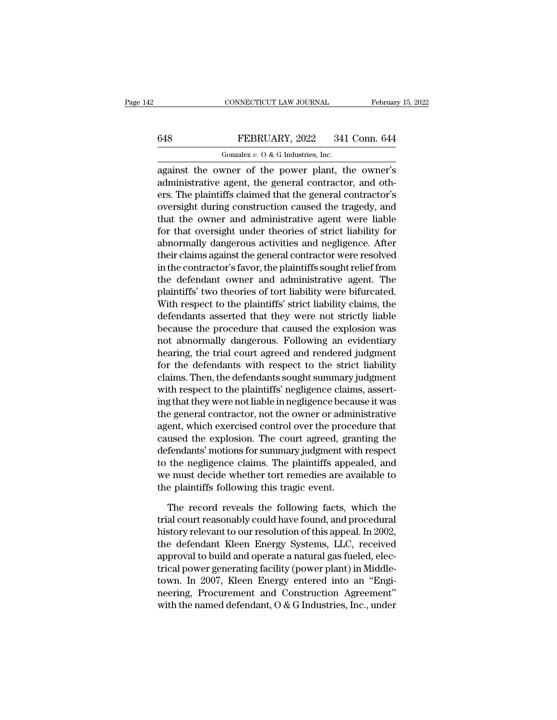### CONNECTICUT LAW JOURNAL February 15, 2022<br>648 FEBRUARY, 2022 341 Conn. 644<br>601 Gonzalez v. 0 & G Industries, Inc. CONNECTICUT LAW JOURNAL<br>FEBRUARY, 2022 341<br>Gonzalez *v.* O & G Industries, Inc.<br>wner of the nower plant the

CONNECTICUT LAW JOURNAL February 15, 2022<br>
FEBRUARY, 2022 341 Conn. 644<br>
Gonzalez v. 0 & G Industries, Inc.<br>
against the owner of the power plant, the owner's<br>
administrative agent, the general contractor, and others. The 648 FEBRUARY, 2022 341 Conn. 644<br>
Gonzalez v. 0 & G Industries, Inc.<br>
against the owner of the power plant, the owner's<br>
administrative agent, the general contractor, and oth-<br>
ers. The plaintiffs claimed that the general ERRUARY, 2022 341 Conn. 644<br>
Gonzalez v. O & G Industries, Inc.<br>
against the owner of the power plant, the owner's<br>
administrative agent, the general contractor, and others. The plaintiffs claimed that the general contrac **EXERUARY, 2022** 341 Conn. 644<br> **EXERUARY, 2022** 341 Conn. 644<br> **EXERUARY, 2022** 341 Conn. 644<br> **EXERUARY, 2022** 341 Conn. 644<br> **EXERUARY, 2022** 341 Conn. 644<br> **EXERUARY, 2022** 341 Conn. 644<br> **EXERUARY, 2022** 341 Conn. 64 Gonzalez  $v$ . O & G Industries, Inc.<br>
against the owner of the power plant, the owner's<br>
administrative agent, the general contractor, and oth-<br>
ers. The plaintiffs claimed that the general contractor's<br>
oversight during For the owner of the power plant, the owner's<br>administrative agent, the general contractor, and others. The plaintiffs claimed that the general contractor's<br>oversight during construction caused the tragedy, and<br>that the o against the owner of the power plant, the owner's<br>administrative agent, the general contractor, and oth-<br>ers. The plaintiffs claimed that the general contractor's<br>oversight during construction caused the tragedy, and<br>that administrative agent, the general contractor, and others. The plaintiffs claimed that the general contractor's<br>oversight during construction caused the tragedy, and<br>that the owner and administrative agent were liable<br>for t ers. The plaintiffs claimed that the general contractor's<br>oversight during construction caused the tragedy, and<br>that the owner and administrative agent were liable<br>for that oversight under theories of strict liability for<br> oversight during construction caused the tragedy, and<br>that the owner and administrative agent were liable<br>for that oversight under theories of strict liability for<br>abnormally dangerous activities and negligence. After<br>thei that the owner and administrative agent were liable<br>for that oversight under theories of strict liability for<br>abnormally dangerous activities and negligence. After<br>their claims against the general contractor were resolved<br> for that oversight under theories of strict liability for<br>abnormally dangerous activities and negligence. After<br>their claims against the general contractor were resolved<br>in the contractor's favor, the plaintiffs sought rel abnormally dangerous activities and negligence. After<br>their claims against the general contractor were resolved<br>in the contractor's favor, the plaintiffs sought relief from<br>the defendant owner and administrative agent. The their claims against the general contractor were resolved<br>in the contractor's favor, the plaintiffs sought relief from<br>the defendant owner and administrative agent. The<br>plaintiffs' two theories of tort liability were bifur in the contractor's favor, the plaintiffs sought relief from<br>the defendant owner and administrative agent. The<br>plaintiffs' two theories of tort liability were bifurcated.<br>With respect to the plaintiffs' strict liability cl the defendant owner and administrative agent. The<br>plaintiffs' two theories of tort liability were bifurcated.<br>With respect to the plaintiffs' strict liability claims, the<br>defendants asserted that they were not strictly lia plaintiffs' two theories of tort liability were bifurcated.<br>With respect to the plaintiffs' strict liability claims, the<br>defendants asserted that they were not strictly liable<br>because the procedure that caused the explosio With respect to the plaintiffs' strict liability claims, the<br>defendants asserted that they were not strictly liable<br>because the procedure that caused the explosion was<br>not abnormally dangerous. Following an evidentiary<br>hea defendants asserted that they were not strictly liable<br>because the procedure that caused the explosion was<br>not abnormally dangerous. Following an evidentiary<br>hearing, the trial court agreed and rendered judgment<br>for the de because the procedure that caused the explosion was<br>not abnormally dangerous. Following an evidentiary<br>hearing, the trial court agreed and rendered judgment<br>for the defendants with respect to the strict liability<br>claims. T not abnormally dangerous. Following an evidentiary<br>hearing, the trial court agreed and rendered judgment<br>for the defendants with respect to the strict liability<br>claims. Then, the defendants sought summary judgment<br>with res hearing, the trial court agreed and rendered judgment<br>for the defendants with respect to the strict liability<br>claims. Then, the defendants sought summary judgment<br>with respect to the plaintiffs' negligence claims, assert-<br> for the defendants with respect to the strict liability<br>claims. Then, the defendants sought summary judgment<br>with respect to the plaintiffs' negligence claims, assert-<br>ing that they were not liable in negligence because it claims. Then, the defendants sought summary judgment<br>with respect to the plaintiffs' negligence claims, assert-<br>ing that they were not liable in negligence because it was<br>the general contractor, not the owner or administra with respect to the plaintiffs' negligence claims, asserting that they were not liable in negligence because it was<br>the general contractor, not the owner or administrative<br>agent, which exercised control over the procedure ing that they were not liable in negligence because it was<br>the general contractor, not the owner or administrative<br>agent, which exercised control over the procedure that<br>caused the explosion. The court agreed, granting the the general contractor, not the owner or adminited agent, which exercised control over the proce caused the explosion. The court agreed, gradefendants' motions for summary judgment wit<br>to the negligence claims. The plainti used the explosion. The court agreed, granting the<br>fendants' motions for summary judgment with respect<br>the negligence claims. The plaintiffs appealed, and<br>e must decide whether tort remedies are available to<br>e plaintiffs f defendants' motions for summary judgment with respect<br>to the negligence claims. The plaintiffs appealed, and<br>we must decide whether tort remedies are available to<br>the plaintiffs following this tragic event.<br>The record reve

to the negligence claims. The plaintiffs appealed, and<br>we must decide whether tort remedies are available to<br>the plaintiffs following this tragic event.<br>The record reveals the following facts, which the<br>trial court reasona we must decide whether tort remedies are available to<br>the plaintiffs following this tragic event.<br>The record reveals the following facts, which the<br>trial court reasonably could have found, and procedural<br>history relevant t the plaintiffs following this tragic event.<br>The record reveals the following facts, which the<br>trial court reasonably could have found, and procedural<br>history relevant to our resolution of this appeal. In 2002,<br>the defendan The record reveals the following facts, which the<br>trial court reasonably could have found, and procedural<br>history relevant to our resolution of this appeal. In 2002,<br>the defendant Kleen Energy Systems, LLC, received<br>approv The record reveals the following facts, which the<br>trial court reasonably could have found, and procedural<br>history relevant to our resolution of this appeal. In 2002,<br>the defendant Kleen Energy Systems, LLC, received<br>approv trial court reasonably could have found, and procedural<br>history relevant to our resolution of this appeal. In 2002,<br>the defendant Kleen Energy Systems, LLC, received<br>approval to build and operate a natural gas fueled, elec history relevant to our resolution of this appeal. In 2002,<br>the defendant Kleen Energy Systems, LLC, received<br>approval to build and operate a natural gas fueled, elec-<br>trical power generating facility (power plant) in Midd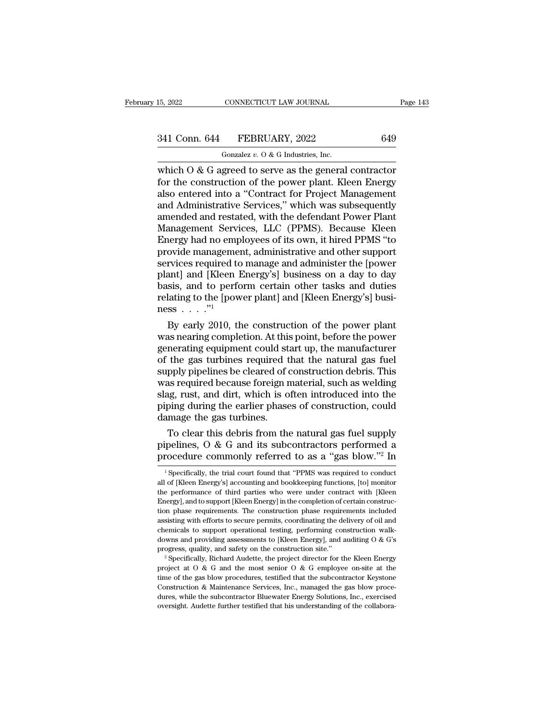### 15, 2022 CONNECTICUT LAW JOURNAL Page 143<br>341 Conn. 644 FEBRUARY, 2022 649<br>Gonzalez v. 0 & G Industries, Inc. CONNECTICUT LAW JOURNAL<br>FEBRUARY, 2022<br>Gonzalez *v.* O & G Industries, Inc.<br>Treed to serve as the general

15, 2022 CONNECTICUT LAW JOURNAL Page 143<br>
341 Conn. 644 FEBRUARY, 2022 649<br>
Gonzalez v. 0 & G Industries, Inc.<br>
which O & G agreed to serve as the general contractor<br>
for the construction of the power plant. Kleen Energy<br> For the construction of the power plant. See the power plant of the construction of the power plant. Kleen Energy also entered into a "Contract for Project Management<br>and Administrative Services " which was subsequently 341 Conn. 644 FEBRUARY, 2022 649<br>
Gonzalez v. 0 & G Industries, Inc.<br>
which O & G agreed to serve as the general contractor<br>
for the construction of the power plant. Kleen Energy<br>
also entered into a "Contract for Project 341 Conn. 644 FEBRUARY, 2022 649<br>
Gonzalez v. 0 & G Industries, Inc.<br>
which O & G agreed to serve as the general contractor<br>
for the construction of the power plant. Kleen Energy<br>
also entered into a "Contract for Project Gonzalez v. O & G Industries, Inc.<br>
which O & G agreed to serve as the general contractor<br>
for the construction of the power plant. Kleen Energy<br>
also entered into a "Contract for Project Management<br>
and Administrative Se Gonzalez  $v$ . O & G Industries, Inc.<br>
which O & G agreed to serve as the general contractor<br>
for the construction of the power plant. Kleen Energy<br>
also entered into a "Contract for Project Management<br>
and Administrative which O & G agreed to serve as the general contractor<br>for the construction of the power plant. Kleen Energy<br>also entered into a "Contract for Project Management<br>and Administrative Services," which was subsequently<br>amended for the construction of the power plant. Kleen Energy<br>also entered into a "Contract for Project Management<br>and Administrative Services," which was subsequently<br>amended and restated, with the defendant Power Plant<br>Managemen also entered into a "Contract for Project Management<br>and Administrative Services," which was subsequently<br>amended and restated, with the defendant Power Plant<br>Management Services, LLC (PPMS). Because Kleen<br>Energy had no em and Administrative Services," which was subsequently<br>amended and restated, with the defendant Power Plant<br>Management Services, LLC (PPMS). Because Kleen<br>Energy had no employees of its own, it hired PPMS "to<br>provide managem amended and restated, with the defendant Power Plant<br>Management Services, LLC (PPMS). Because Kleen<br>Energy had no employees of its own, it hired PPMS "to<br>provide management, administrative and other support<br>services requir Management Services, LLC (PPMS). Because Kleen<br>Energy had no employees of its own, it hired PPMS "to<br>provide management, administrative and other support<br>services required to manage and administer the [power<br>plant] and [K Energy had no emp<br>provide management<br>services required to<br>plant] and [Kleen ]<br>basis, and to perfor<br>relating to the [powness . . . . .''<sup>1</sup><br>By early 2010, the ovide management, administrative and other support<br>rvices required to manage and administer the [power<br>ant] and [Kleen Energy's] business on a day to day<br>sis, and to perform certain other tasks and duties<br>lating to the [p services required to manage and administer the [power<br>plant] and [Kleen Energy's] business on a day to day<br>basis, and to perform certain other tasks and duties<br>relating to the [power plant] and [Kleen Energy's] busi-<br>ness

plant] and [Kleen Energy's] business on a day to day<br>basis, and to perform certain other tasks and duties<br>relating to the [power plant] and [Kleen Energy's] busi-<br>ness . . . . "<br>By early 2010, the construction of the powe basis, and to perform certain other tasks and duties<br>relating to the [power plant] and [Kleen Energy's] busi-<br>ness  $\ldots$ ."<br>By early 2010, the construction of the power plant<br>was nearing completion. At this point, before t relating to the [power plant] and [Kleen Energy's] business  $\ldots$ ."<br>By early 2010, the construction of the power plant<br>was nearing completion. At this point, before the power<br>generating equipment could start up, the manuf ness  $\ldots$  ..."<br>By early 2010, the construction of the power plant<br>was nearing completion. At this point, before the power<br>generating equipment could start up, the manufacturer<br>of the gas turbines required that the natura By early 2010, the construction of the power plant<br>was nearing completion. At this point, before the power<br>generating equipment could start up, the manufacturer<br>of the gas turbines required that the natural gas fuel<br>supply was nearing completion. At this point, before the power<br>generating equipment could start up, the manufacturer<br>of the gas turbines required that the natural gas fuel<br>supply pipelines be cleared of construction debris. This<br> generating equipment could start of the gas turbines required to supply pipelines be cleared of conservation of was required because foreign r slag, rust, and dirt, which is o piping during the earlier phase damage the gas the gas turbines required that the natural gas fuel<br>pply pipelines be cleared of construction debris. This<br>as required because foreign material, such as welding<br>g, rust, and dirt, which is often introduced into the<br>ping d supply pipelines be cleared of construction debris. This<br>was required because foreign material, such as welding<br>slag, rust, and dirt, which is often introduced into the<br>piping during the earlier phases of construction, cou was required because foreign material, such as welding<br>slag, rust, and dirt, which is often introduced into the<br>piping during the earlier phases of construction, could<br>damage the gas turbines.<br>To clear this debris from th

To clear this debris from the natural gas fuel supply<br>pelines, O & G and its subcontractors performed a<br>rocedure commonly referred to as a "gas blow."<sup>2</sup> In<br><sup>1</sup>Specifically, the trial court found that "PPMS was required t To clear this debris from the natural gas fuel supply<br>pipelines, O & G and its subcontractors performed a<br>procedure commonly referred to as a "gas blow."<sup>2</sup> In<br> $\frac{1}{1}$  Specifically, the trial court found that "PPMS was

pipelines,  $\overline{O}$  &  $\overline{G}$  and its subcontractors performed a procedure commonly referred to as a "gas blow."<sup>2</sup> In  $^{-1}$  Specifically, the trial court found that "PPMS was required to conduct all of [Kleen Energy's] procedure commonly referred to as a "gas blow."<sup>2</sup> In  $\frac{1}{2}$  Specifically, the trial court found that "PPMS was required to conduct all of [Kleen Energy's] accounting and bookkeeping functions, [to] monitor the perform procedure commonly referred to as a gas blow. The procedure commonly referred to as a gas blow. The specifically, the trial court found that "PPMS was required to conduct all of [Kleen Energy's] accounting and bookkeeping <sup>1</sup> Specifically, the trial court found that "PPMS was required to conduct all of [Kleen Energy's] accounting and bookkeeping functions, [to] monitor the performance of third parties who were under contract with [Kleen En all of [Kleen Energy's] accounting and bookkeeping functions, [to] monitor<br>the performance of third parties who were under contract with [Kleen<br>Energy], and to support [Kleen Energy] in the completion of certain constructhe performance of third parties who were under contract with [Kleen Energy], and to support [Kleen Energy] in the completion of certain construction phase requirements. The construction phase requirements included assist Energy], and to support [Kleen Energy] in the completion of certain construction phase requirements. The construction phase requirements included assisting with efforts to secure permits, coordinating the delivery of oil assisting with efforts to secure permits, coordinating the delivery of oil and chemicals to support operational testing, performing construction walk-downs and providing assessments to [Kleen Energy], and auditing O & G's

chemicals to support operational testing, performing construction walk-<br>downs and providing assessments to [Kleen Energy], and auditing 0 & G's<br>progress, quality, and safety on the construction site."<br> $2^{\circ}$  Specifically chemicals to support operational testing, performing construction walk-<br>downs and providing assessments to [Kleen Energy], and auditing O & G's<br>progress, quality, and safety on the construction site."<br>
<sup>2</sup> Specifically, R progress, quality, and safety on the construction site."<br>
<sup>2</sup> Specifically, Richard Audette, the project director for the Kleen Energy<br>
project at O & G and the most senior O & G employee on-site at the<br>
time of the gas b <sup>2</sup> Specifically, Richard Audette, the project director for the Kleen Energy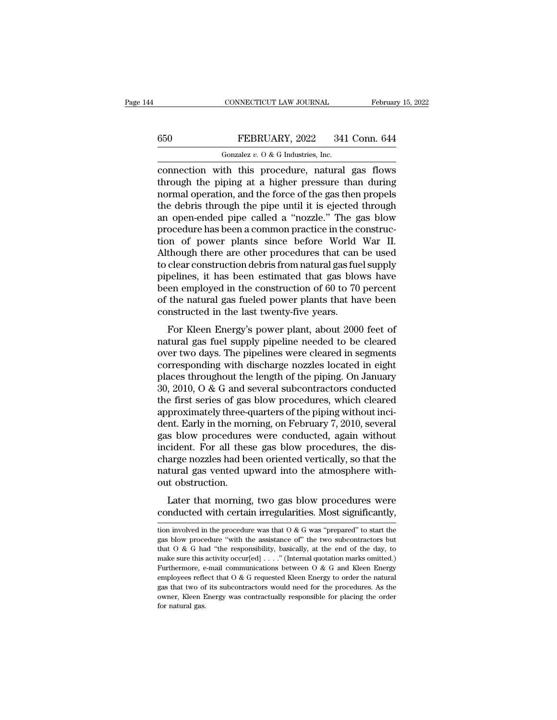### CONNECTICUT LAW JOURNAL February 15, 2022<br>650 FEBRUARY, 2022 341 Conn. 644<br>601 Gonzalez v. 0 & G Industries, Inc. CONNECTICUT LAW JOURNAL<br>FEBRUARY, 2022 341<br>Gonzalez *v.* O & G Industries, Inc.<br>ith this procedure natural

CONNECTICUT LAW JOURNAL February 15, 2022<br>
FEBRUARY, 2022 341 Conn. 644<br>
Gonzalez v. 0 & G Industries, Inc.<br>
connection with this procedure, natural gas flows<br>
through the piping at a higher pressure than during<br>
normal o  $t = 650$  FEBRUARY, 2022 341 Conn. 644<br>  $t = 600$  Gonzalez v. 0 & G Industries, Inc.<br>
connection with this procedure, natural gas flows<br>
through the piping at a higher pressure than during<br>
normal operation, and the force o 650 FEBRUARY, 2022 341 Conn. 644<br>
Conzalez v. 0 & G Industries, Inc.<br>
connection with this procedure, natural gas flows<br>
through the piping at a higher pressure than during<br>
normal operation, and the force of the gas then FEBRUARY, 2022 341 Conn. 644<br>
Gonzalez v. 0 & G Industries, Inc.<br>
connection with this procedure, natural gas flows<br>
through the piping at a higher pressure than during<br>
normal operation, and the force of the gas then pro Gonzalez v. O & G Industries, Inc.<br>
connection with this procedure, natural gas flows<br>
through the piping at a higher pressure than during<br>
normal operation, and the force of the gas then propels<br>
the debris through the p Force in this procedure, natural gas flows<br>connection with this procedure, natural gas flows<br>through the piping at a higher pressure than during<br>normal operation, and the force of the gas then propels<br>the debris through t connection with this procedure, natural gas flows<br>through the piping at a higher pressure than during<br>normal operation, and the force of the gas then propels<br>the debris through the pipe until it is ejected through<br>an openthrough the piping at a higher pressure than during<br>normal operation, and the force of the gas then propels<br>the debris through the pipe until it is ejected through<br>an open-ended pipe called a "nozzle." The gas blow<br>procedu normal operation, and the force of the gas then propels<br>the debris through the pipe until it is ejected through<br>an open-ended pipe called a "nozzle." The gas blow<br>procedure has been a common practice in the construc-<br>tion the debris through the pipe until it is ejected through<br>an open-ended pipe called a "nozzle." The gas blow<br>procedure has been a common practice in the construc-<br>tion of power plants since before World War II.<br>Although ther an open-ended pipe called a "nozzle." The gas blow<br>procedure has been a common practice in the construc-<br>tion of power plants since before World War II.<br>Although there are other procedures that can be used<br>to clear constru procedure has been a common practice in the construction of power plants since before World War II.<br>Although there are other procedures that can be used<br>to clear construction debris from natural gas fuel supply<br>pipelines, tion of power plants since before World<br>Although there are other procedures that can<br>to clear construction debris from natural gas fue<br>pipelines, it has been estimated that gas blob<br>been employed in the construction of 60 Frought field are other procedures that can be used<br>clear construction debris from natural gas fuel supply<br>pelines, it has been estimated that gas blows have<br>en employed in the construction of 60 to 70 percent<br>the natural to cicar construction debts from hadd a gas fuel supply<br>pipelines, it has been estimated that gas blows have<br>been employed in the construction of 60 to 70 percent<br>of the natural gas fueled power plants that have been<br>const

pipelines, it has been estimated that gas blows have<br>been employed in the construction of 60 to 70 percent<br>of the natural gas fueled power plants that have been<br>constructed in the last twenty-five years.<br>For Kleen Energy's been employed in the construction of 60 to 10 percent<br>of the natural gas fueled power plants that have been<br>constructed in the last twenty-five years.<br>For Kleen Energy's power plant, about 2000 feet of<br>natural gas fuel su or the hatural gas fueled power plants that have been<br>constructed in the last twenty-five years.<br>For Kleen Energy's power plant, about 2000 feet of<br>natural gas fuel supply pipeline needed to be cleared<br>over two days. The p For Kleen Energy's power plant, about 2000 feet of<br>natural gas fuel supply pipeline needed to be cleared<br>over two days. The pipelines were cleared in segments<br>corresponding with discharge nozzles located in eight<br>places t For Kleen Energy's power plant, about 2000 feet of<br>natural gas fuel supply pipeline needed to be cleared<br>over two days. The pipelines were cleared in segments<br>corresponding with discharge nozzles located in eight<br>places t natural gas fuel supply pipeline needed to be cleared<br>over two days. The pipelines were cleared in segments<br>corresponding with discharge nozzles located in eight<br>places throughout the length of the piping. On January<br>30, 2 over two days. The pipelines were cleared in segments<br>corresponding with discharge nozzles located in eight<br>places throughout the length of the piping. On January<br>30, 2010, O & G and several subcontractors conducted<br>the fi corresponding with discharge nozzles located in eight<br>places throughout the length of the piping. On January<br>30, 2010, O & G and several subcontractors conducted<br>the first series of gas blow procedures, which cleared<br>appro places throughout the length of the piping. On January 30, 2010, O & G and several subcontractors conducted<br>the first series of gas blow procedures, which cleared<br>approximately three-quarters of the piping without inci-<br>de 30, 2010, O & G and several subcontractors conducted<br>the first series of gas blow procedures, which cleared<br>approximately three-quarters of the piping without inci-<br>dent. Early in the morning, on February 7, 2010, several<br> the first series of gas blow procedures, which cleared<br>approximately three-quarters of the piping without inci-<br>dent. Early in the morning, on February 7, 2010, several<br>gas blow procedures were conducted, again without<br>inc approximately three-<br>dent. Early in the mor<br>gas blow procedures<br>incident. For all thes<br>charge nozzles had be<br>natural gas vented up<br>out obstruction.<br>Later that morning Inc. Early in the morning, on February 1, 2010, several<br>s blow procedures were conducted, again without<br>cident. For all these gas blow procedures, the dis-<br>arge nozzles had been oriented vertically, so that the<br>tural gas v incident. For all these gas blow procedures, the discharge nozzles had been oriented vertically, so that the natural gas vented upward into the atmosphere without obstruction.<br>Later that morning, two gas blow procedures w

out obstruction.<br>
Later that morning, two gas blow procedures were<br>
conducted with certain irregularities. Most significantly,<br>
tion involved in the procedure was that O & G was "prepared" to start the<br>
gas blow procedure Later that morning, two gas blow procedures were conducted with certain irregularities. Most significantly,<br>tion involved in the procedure was that  $0 < G$  was "prepared" to start the gas blow procedure "with the assistan Later that morning, two gas blow procedures were<br>conducted with certain irregularities. Most significantly,<br>tion involved in the procedure was that  $0 \& G$  was "prepared" to start the<br>gas blow procedure "with the assistanc conducted with certain irregularities. Most significantly,<br>tion involved in the procedure was that  $0 \& G$  was "prepared" to start the<br>gas blow procedure "with the assistance of" the two subcontractors but<br>that  $0 \& G$  had Furthermore, e-mail communications between O & G and Kleen Energy employees reflect that O & G requested Kleen Energy conder the analysis of  $\mathbb{R}^n$  and "the responsibility, basically, at the end of the day, to make su tion involved in the procedure was that O & G was "prepared" to start the gas blow procedure "with the assistance of" the two subcontractors but that O & G had "the responsibility, basically, at the end of the day, to mak gas blow procedure "with the assistance of" the two subcontractors but<br>that  $O \& G$  had "the responsibility, basically, at the end of the day, to<br>make sure this activity occur[ed] . . . ." (Internal quotation marks omitt that O & G had "the responsibility, basically, at the end of the day, to make sure this activity occur[ed] . . . ." (Internal quotation marks omitted.) Furthermore, e-mail communications between O & G and Kleen Energy emp make sure this activity occur[ed] . . . ." (Internal quotation marks omitted.)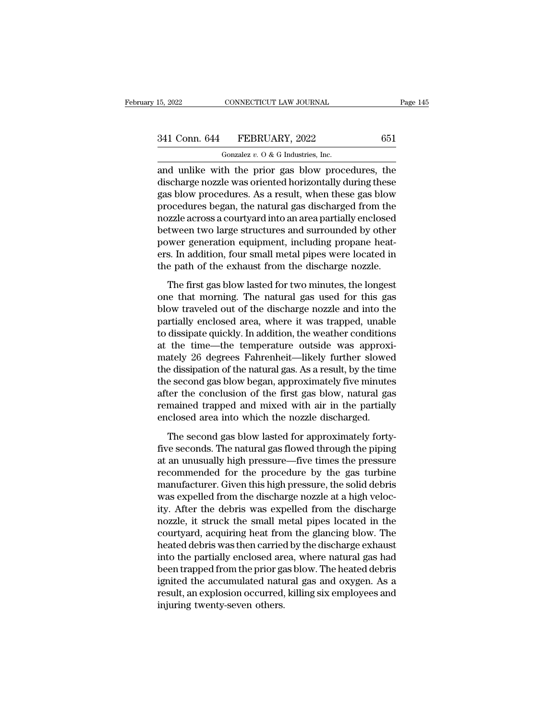# 15, 2022 CONNECTICUT LAW JOURNAL Page 145<br>341 Conn. 644 FEBRUARY, 2022 651<br>Gonzalez v. 0 & G Industries, Inc.

CONNECTICUT LAW JOURNAL<br>FEBRUARY, 2022<br>Gonzalez *v.* O & G Industries, Inc.<br>th the prior gas blow proce 15, 2022 CONNECTICUT LAW JOURNAL Page 145<br>
341 Conn. 644 FEBRUARY, 2022 651<br>
Gonzalez v. 0 & G Industries, Inc.<br>
and unlike with the prior gas blow procedures, the<br>
discharge nozzle was oriented horizontally during these<br>  $\begin{array}{r} \text{341 Conn.}\ \text{644} \hspace{0.1in} \text{FEBRUARY, 2022} \hspace{0.1in} \text{651} \ \text{Gonzalez } v. \text{O & G Industries, Inc.} \ \text{and unlike with the prior gas blow procedures, the discharge nozzle was oriented horizontally during these gas blow procedures. As a result, when these gas blow procedures began the natural gas discharged from the data.} \end{array}$ 341 Conn. 644 FEBRUARY, 2022 651<br>
Gonzalez v. 0 & G Industries, Inc.<br>
and unlike with the prior gas blow procedures, the<br>
discharge nozzle was oriented horizontally during these<br>
gas blow procedures. As a result, when the 341 Conn. 644 FEBRUARY, 2022 651<br>
Gonzalez v. 0 & G Industries, Inc.<br>
and unlike with the prior gas blow procedures, the<br>
discharge nozzle was oriented horizontally during these<br>
gas blow procedures. As a result, when the Gonzalez  $v$ . O & G Industries, Inc.<br>
and unlike with the prior gas blow procedures, the<br>
discharge nozzle was oriented horizontally during these<br>
gas blow procedures. As a result, when these gas blow<br>
procedures began, t Forzalez v. 0 & G maustries, mc.<br>and unlike with the prior gas blow procedures, the<br>discharge nozzle was oriented horizontally during these<br>gas blow procedures. As a result, when these gas blow<br>procedures began, the natur and unlike with the prior gas blow procedures, the<br>discharge nozzle was oriented horizontally during these<br>gas blow procedures. As a result, when these gas blow<br>procedures began, the natural gas discharged from the<br>nozzle discharge nozzle was oriented horizontally during these<br>gas blow procedures. As a result, when these gas blow<br>procedures began, the natural gas discharged from the<br>nozzle across a courtyard into an area partially enclosed<br> gas blow procedures. As a result, when these gas blow<br>procedures began, the natural gas discharged from the<br>nozzle across a courtyard into an area partially enclosed<br>between two large structures and surrounded by other<br>pow Experience for the first gas and surrounded by other<br>experiment word large structures and surrounded by other<br>wer generation equipment, including propane heat-<br>s. In addition, four small metal pipes were located in<br>e path between two large structures and surrounded by other<br>power generation equipment, including propane heat-<br>ers. In addition, four small metal pipes were located in<br>the path of the exhaust from the discharge nozzle.<br>The first

blower generation equipment, including propane heat-<br>ers. In addition, four small metal pipes were located in<br>the path of the exhaust from the discharge nozzle.<br>The first gas blow lasted for two minutes, the longest<br>one th partially enclosed area, where it was trapped, unable to dissipate quickly. In addition, the weather original metal pipes were located in the partial gas blow lasted for two minutes, the longest one that morning. The natur the path of the exhaust from the discharge nozzle.<br>The first gas blow lasted for two minutes, the longest<br>one that morning. The natural gas used for this gas<br>blow traveled out of the discharge nozzle and into the<br>partially The first gas blow lasted for two minutes, the longest<br>one that morning. The natural gas used for this gas<br>blow traveled out of the discharge nozzle and into the<br>partially enclosed area, where it was trapped, unable<br>to dis The first gas blow lasted for two minutes, the longest<br>one that morning. The natural gas used for this gas<br>blow traveled out of the discharge nozzle and into the<br>partially enclosed area, where it was trapped, unable<br>to dis one that morning. The natural gas used for this gas<br>blow traveled out of the discharge nozzle and into the<br>partially enclosed area, where it was trapped, unable<br>to dissipate quickly. In addition, the weather conditions<br>at blow traveled out of the discharge nozzle and into the<br>partially enclosed area, where it was trapped, unable<br>to dissipate quickly. In addition, the weather conditions<br>at the time—the temperature outside was approxi-<br>mately partially enclosed area, where it was trapped, unable<br>to dissipate quickly. In addition, the weather conditions<br>at the time—the temperature outside was approxi-<br>mately 26 degrees Fahrenheit—likely further slowed<br>the dissip to dissipate quickly. In addition, the weather conditions<br>at the time—the temperature outside was approxi-<br>mately 26 degrees Fahrenheit—likely further slowed<br>the dissipation of the natural gas. As a result, by the time<br>the at the time—the temperature outside was approximately 26 degrees Fahrenheit—likely further slowed<br>the dissipation of the natural gas. As a result, by the time<br>the second gas blow began, approximately five minute<br>after the e dissipation of the natural gas. As a result, by the time<br>e second gas blow began, approximately five minutes<br>ter the conclusion of the first gas blow, natural gas<br>mained trapped and mixed with air in the partially<br>closed the second gas blow began, approximately five minutes<br>after the conclusion of the first gas blow, natural gas<br>remained trapped and mixed with air in the partially<br>enclosed area into which the nozzle discharged.<br>The second

after the conclusion of the first gas blow, natural gas<br>remained trapped and mixed with air in the partially<br>enclosed area into which the nozzle discharged.<br>The second gas blow lasted for approximately forty-<br>five seconds. remained trapped and mixed with air in the partially<br>enclosed area into which the nozzle discharged.<br>The second gas blow lasted for approximately forty-<br>five seconds. The natural gas flowed through the piping<br>at an unusual enclosed area into which the nozzle discharged.<br>The second gas blow lasted for approximately forty-<br>five seconds. The natural gas flowed through the piping<br>at an unusually high pressure—five times the pressure<br>recommended The second gas blow lasted for approximately forty-<br>five seconds. The natural gas flowed through the piping<br>at an unusually high pressure—five times the pressure<br>recommended for the procedure by the gas turbine<br>manufacture The second gas blow lasted for approximately forty-<br>five seconds. The natural gas flowed through the piping<br>at an unusually high pressure—five times the pressure<br>recommended for the procedure by the gas turbine<br>manufacture five seconds. The natural gas flowed through the piping<br>at an unusually high pressure—five times the pressure<br>recommended for the procedure by the gas turbine<br>manufacturer. Given this high pressure, the solid debris<br>was ex at an unusually high pressure—five times the pressure<br>recommended for the procedure by the gas turbine<br>manufacturer. Given this high pressure, the solid debris<br>was expelled from the discharge nozzle at a high veloc-<br>ity. A recommended for the procedure by the gas turbine<br>manufacturer. Given this high pressure, the solid debris<br>was expelled from the discharge nozzle at a high veloc-<br>ity. After the debris was expelled from the discharge<br>nozzle manufacturer. Given this high pressure, the solid debris<br>was expelled from the discharge nozzle at a high veloc-<br>ity. After the debris was expelled from the discharge<br>nozzle, it struck the small metal pipes located in the<br> was expelled from the discharge nozzle at a high velocity. After the debris was expelled from the discharge nozzle, it struck the small metal pipes located in the courtyard, acquiring heat from the glancing blow. The heate ity. After the debris was expelled from the discharge<br>nozzle, it struck the small metal pipes located in the<br>courtyard, acquiring heat from the glancing blow. The<br>heated debris was then carried by the discharge exhaust<br>int nozzle, it struck the small metal pipes located in the courtyard, acquiring heat from the glancing blow. The heated debris was then carried by the discharge exhaust into the partially enclosed area, where natural gas had b courtyard, acquiring heat from<br>heated debris was then carried<br>into the partially enclosed are<br>been trapped from the prior ga<br>ignited the accumulated natu<br>result, an explosion occurred,<br>injuring twenty-seven others.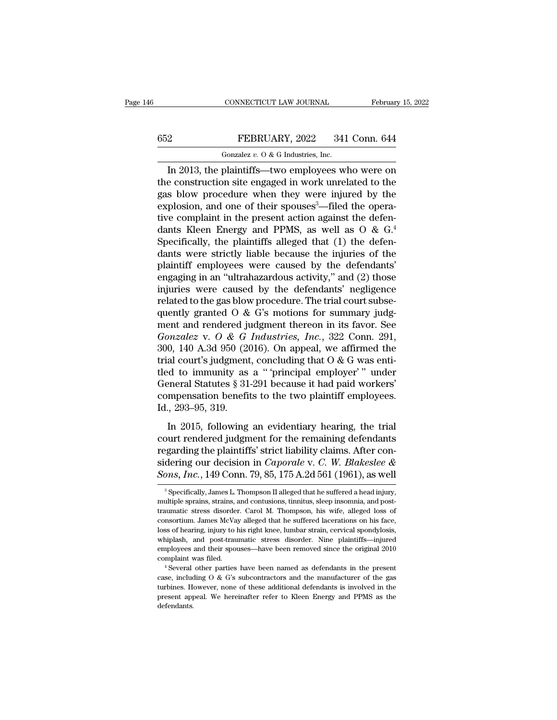# CONNECTICUT LAW JOURNAL February 15, 2022<br>652 FEBRUARY, 2022 341 Conn. 644<br>601 Gonzalez v. 0 & G Industries, Inc.

CONNECTICUT LAW JOURNAL Februar<br>
FEBRUARY, 2022 341 Conn. 644<br>
Gonzalez *v.* O & G Industries, Inc.<br>
In 2013, the plaintiffs—two employees who were on CONNECTICUT LAW JOURNAL February 15, 2022<br> **IN 2013, the plaintiffs—two employees who were one construction site engaged in work unrelated to the** the construction site engaged in work unrelated to the construction site engaged in work unrelated to the explosion and one of their spences<sup>3</sup> filed the operator of the explosion and one of their spences<sup>3</sup> filed the ope FEBRUARY, 2022 341 Conn. 644<br>
Gonzalez v. 0 & G Industries, Inc.<br>
In 2013, the plaintiffs—two employees who were on<br>
the construction site engaged in work unrelated to the<br>
gas blow procedure when they were injured by the EXPLOSE FEBRUARY, 2022 341 Conn. 644<br>
Gonzalez v. 0 & G Industries, Inc.<br>
In 2013, the plaintiffs—two employees who were on<br>
the construction site engaged in work unrelated to the<br>
gas blow procedure when they were injure Gonzalez v. 0 & G Industries, Inc.<br>In 2013, the plaintiffs—two employees who were on<br>the construction site engaged in work unrelated to the<br>gas blow procedure when they were injured by the<br>explosion, and one of their spou Formulate *t*. 0 & G maustries, mc.<br>
In 2013, the plaintiffs—two employees who were on<br>
the construction site engaged in work unrelated to the<br>
gas blow procedure when they were injured by the<br>
explosion, and one of their In 2013, the plaintiffs—two employees who were on<br>the construction site engaged in work unrelated to the<br>gas blow procedure when they were injured by the<br>explosion, and one of their spouses<sup>3</sup>—filed the opera-<br>tive compla the construction site engaged in work unrelated to the<br>gas blow procedure when they were injured by the<br>explosion, and one of their spouses<sup>3</sup>—filed the opera-<br>tive complaint in the present action against the defen-<br>dants gas blow procedure when they were injured by the explosion, and one of their spouses<sup>3</sup>—filed the operative complaint in the present action against the defendants Kleen Energy and PPMS, as well as  $O \& G$ .<sup>4</sup> Specifically, explosion, and one of their spouses<sup>3</sup>—filed the operative complaint in the present action against the defendants Kleen Energy and PPMS, as well as  $O \& G$ .<sup>4</sup><br>Specifically, the plaintiffs alleged that (1) the defendants w tive complaint in the present action against the defendants Kleen Energy and PPMS, as well as  $O \& G$ .<sup>4</sup><br>Specifically, the plaintiffs alleged that (1) the defendants were strictly liable because the injuries of the<br>plaint dants Kleen Energy and PPMS, as well as  $O \& G$ .<sup>4</sup><br>Specifically, the plaintiffs alleged that (1) the defen-<br>dants were strictly liable because the injuries of the<br>plaintiff employees were caused by the defendants'<br>engagin Specifically, the plaintiffs alleged that (1) the defendants were strictly liable because the injuries of the plaintiff employees were caused by the defendants' engaging in an "ultrahazardous activity," and (2) those inju dants were strictly liable because the injuries of the plaintiff employees were caused by the defendants' engaging in an "ultrahazardous activity," and (2) those injuries were caused by the defendants' negligence related plaintiff employees were caused by the defendants'<br>engaging in an "ultrahazardous activity," and (2) those<br>injuries were caused by the defendants' negligence<br>related to the gas blow procedure. The trial court subse-<br>quentl engaging in an "ultrahazardous activity," and (2) those<br>injuries were caused by the defendants' negligence<br>related to the gas blow procedure. The trial court subse-<br>quently granted O & G's motions for summary judg-<br>ment a injuries were caused by the defendants' negligence<br>related to the gas blow procedure. The trial court subse-<br>quently granted O & G's motions for summary judg-<br>ment and rendered judgment thereon in its favor. See<br>*Gonzalez* related to the gas blow procedure. The trial court subsequently granted O & G's motions for summary judgment and rendered judgment thereon in its favor. See *Gonzalez* v. O & *G Industries, Inc.*, 322 Conn. 291, 300, 140 quently granted O & G's motions for summary judgment and rendered judgment thereon in its favor. See *Gonzalez* v. O & *G Industries*, *Inc.*, 322 Conn. 291, 300, 140 A.3d 950 (2016). On appeal, we affirmed the trial cour ment and rendered judgment thereon in its favor. See<br>Gonzalez v. O & G Industries, Inc., 322 Conn. 291,<br>300, 140 A.3d 950 (2016). On appeal, we affirmed the<br>trial court's judgment, concluding that O & G was enti-<br>tled to Gonzalez v. O & G<br>300, 140 A.3d 950 (20<br>trial court's judgment<br>tled to immunity as<br>General Statutes § 31<br>compensation benefi<br>Id., 293–95, 319.<br>In 2015, following al court's judgment, concluding that  $0 < 0$  was enti-<br>al court's judgment, concluding that  $0 < 0$  was enti-<br>eneral Statutes § 31-291 because it had paid workers'<br>mpensation benefits to the two plaintiff employees.<br>., course judgment, concreasing and  $\sigma \propto \sigma$  was charged the red to immunity as a "principal employer"" under General Statutes § 31-291 because it had paid workers' compensation benefits to the two plaintiff employees.<br>Id.,

France of Entimately 8 31-291 because it had paid workers'<br>
compensation benefits to the two plaintiff employees.<br>
Id., 293–95, 319.<br>
In 2015, following an evidentiary hearing, the trial<br>
court rendered judgment for the r compensation benefits to the two plaintiff employees.<br>Id., 293–95, 319.<br>In 2015, following an evidentiary hearing, the trial<br>court rendered judgment for the remaining defendants<br>regarding the plaintiffs' strict liability c Id., 293–95, 319.<br>In 2015, following an evidentiary hearing, the trial<br>court rendered judgment for the remaining defendants<br>regarding the plaintiffs' strict liability claims. After con-<br>sidering our decision in *Caporale* burt rendered judgment for the remaining detendants<br>garding the plaintiffs' strict liability claims. After con-<br>dering our decision in *Caporale* v. *C*. *W. Blakeslee &*<br> $\frac{20}{3}$ ,  $\frac{5}{3}$ ,  $\frac{1}{2}$  Conn. 79, 85, 175 regarding the plaintiffs' strict liability claims. After considering our decision in *Caporale* v. *C. W. Blakeslee & Sons, Inc.*, 149 Conn. 79, 85, 175 A.2d 561 (1961), as well a specifically, James L. Thompson II alle

sidering our decision in *Caporale* v. C. W. Blakeslee &<br>Sons, Inc., 149 Conn. 79, 85, 175 A.2d 561 (1961), as well<br><sup>3</sup> Specifically, James L. Thompson II alleged that he suffered a head injury,<br>multiple sprains, strains, **Sons, Inc., 149 Conn. 79, 85, 175 A.2d 561 (1961), as well**<br><sup>3</sup> Specifically, James L. Thompson II alleged that he suffered a head injury, multiple sprains, strains, and contusions, timitus, sleep insomnia, and post-<br>tra  $^\text{3}$  Specifically, James L. Thompson II alleged that he suffered a head injury, multiple sprains, strains, and contusions, tinnitus, sleep insomnia, and post-traumatic stress disorder. Carol M. Thompson, his wife, alle <sup>3</sup> Specifically, James L. Thompson II alleged that he suffered a head injury, multiple sprains, strains, and contusions, tinnitus, sleep insomnia, and post-traumatic stress disorder. Carol M. Thompson, his wife, alleged multiple sprains, strains, and contusions, tinnitus, sleep insomnia, and post-<br>traumatic stress disorder. Carol M. Thompson, his wife, alleged loss of<br>consortium. James McVay alleged that he suffered lacerations on his fac complaint was filed. The summatic stress disorder. Carol M. Thompson, his wife, alleged loss of consortium. James McVay alleged that he suffered lacerations on his face, loss of hearing, injury to his right knee, lumbar st loss of hearing, injury to his right knee, lumbar strain, cervical spondylosis, whiplash, and post-traumatic stress disorder. Nine plaintiffs—injured employees and their spouses—have been removed since the original 2010 c

the present appear of these additional defendants is involved in the present applying employees and their spouses—have been removed since the original 2010 complaint was filed.<br>
<sup>4</sup> Several other parties have been named as employees and their spouses—have been removed since the original 2010 complaint was filed.<br>  $\triangleq$  Several other parties have been named as defendants in the present case, including O & G's subcontractors and the manufactu defendants.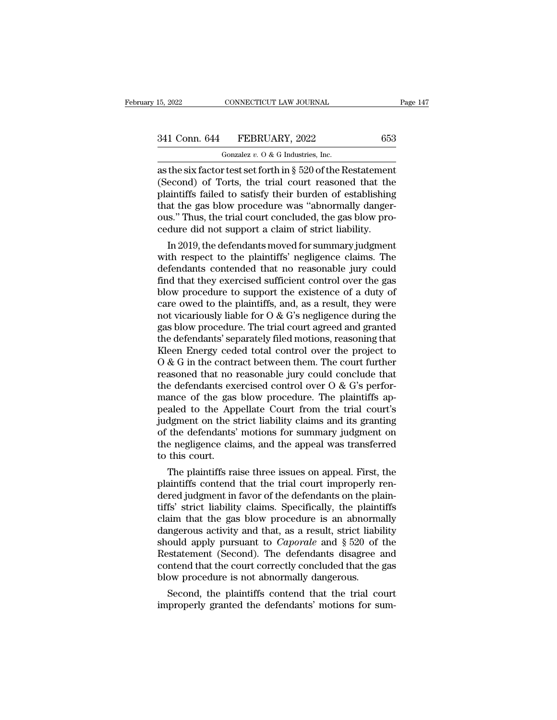# 15, 2022 CONNECTICUT LAW JOURNAL Page 147<br>341 Conn. 644 FEBRUARY, 2022 653<br>Gonzalez v. 0 & G Industries, Inc.

CONNECTICUT LAW JOURNAL<br>FEBRUARY, 2022<br>Gonzalez *v.* O & G Industries, Inc.<br>r test set forth in 8 520 of the R 15, 2022 CONNECTICUT LAW JOURNAL Page 14'<br>  $\begin{array}{r}\n 341 \text{ Conn. } 644 \quad \text{FEBRUARY, } 2022 \qquad \qquad 653 \\
 \hline\n \text{Gonzalez } v. O & G \text{ Industries, Inc.} \\
 \hline\n \text{as the six factor test set forth in § } 520 \text{ of the Restatement} \\
 \text{(Second) of Torts, the trial court reasoned that the  
relivitiffe failed to satisfy their burden of establishing.} \n\end{array}$ (Second) of Torts, the trial court reasoned that the plaintiffs failed to satisfy their burden of establishing<br>that the das beam procedure was "abnormally danger"<br>that the das blow procedure was "abnormally danger" 341 Conn. 644 FEBRUARY, 2022 653<br>
Gonzalez v. 0 & G Industries, Inc.<br>
as the six factor test set forth in § 520 of the Restatement<br>
(Second) of Torts, the trial court reasoned that the<br>
plaintiffs failed to satisfy their 341 Conn. 644 FEBRUARY, 2022 653<br>
Gonzalez v. 0 & G Industries, Inc.<br>
as the six factor test set forth in § 520 of the Restatement<br>
(Second) of Torts, the trial court reasoned that the<br>
plaintiffs failed to satisfy their Gonzalez v. 0 & G Industries, Inc.<br>
as the six factor test set forth in § 520 of the Restatement<br>
(Second) of Torts, the trial court reasoned that the<br>
plaintiffs failed to satisfy their burden of establishing<br>
that the g Gonzalez v. O & G Industries, Inc.<br>as the six factor test set forth in § 520 of the Restatemen<br>(Second) of Torts, the trial court reasoned that the<br>plaintiffs failed to satisfy their burden of establishing<br>that the gas bl the six ractor test set forth in § 520 of the Restatement<br>econd) of Torts, the trial court reasoned that the<br>aintiffs failed to satisfy their burden of establishing<br>at the gas blow procedure was "abnormally danger-<br>s." Thu (second) of forts, the trial court reasoned that the<br>plaintiffs failed to satisfy their burden of establishing<br>that the gas blow procedure was "abnormally danger-<br>ous." Thus, the trial court concluded, the gas blow pro-<br>ce

plaintins railed to satisfy their burden of establishing<br>that the gas blow procedure was "abnormally danger-<br>ous." Thus, the trial court concluded, the gas blow pro-<br>cedure did not support a claim of strict liability.<br>In 2 that the gas blow procedure was abnormally danger-<br>ous." Thus, the trial court concluded, the gas blow pro-<br>cedure did not support a claim of strict liability.<br>In 2019, the defendants moved for summary judgment<br>with respec ous. Thus, the trial court concluded, the gas blow procedure did not support a claim of strict liability.<br>
In 2019, the defendants moved for summary judgment<br>
with respect to the plaintiffs' negligence claims. The<br>
defend cedure did not support a claim of strict hability.<br>
In 2019, the defendants moved for summary judgment<br>
with respect to the plaintiffs' negligence claims. The<br>
defendants contended that no reasonable jury could<br>
find that In 2019, the defendants moved for summary judgment<br>with respect to the plaintiffs' negligence claims. The<br>defendants contended that no reasonable jury could<br>find that they exercised sufficient control over the gas<br>blow pr with respect to the plaintiffs' negligence claims. The<br>defendants contended that no reasonable jury could<br>find that they exercised sufficient control over the gas<br>blow procedure to support the existence of a duty of<br>care o defendants contended that no reasonable jury could<br>find that they exercised sufficient control over the gas<br>blow procedure to support the existence of a duty of<br>care owed to the plaintiffs, and, as a result, they were<br>not find that they exercised sufficient control over the gas<br>blow procedure to support the existence of a duty of<br>care owed to the plaintiffs, and, as a result, they were<br>not vicariously liable for  $O & G$ 's negligence during t blow procedure to support the existence of a duty of<br>care owed to the plaintiffs, and, as a result, they were<br>not vicariously liable for O & G's negligence during the<br>gas blow procedure. The trial court agreed and granted care owed to the plaintiffs, and, as a result, they were<br>not vicariously liable for  $O & G$ 's negligence during the<br>gas blow procedure. The trial court agreed and granted<br>the defendants' separately filed motions, reasoning not vicariously liable for  $O$  & G's negligence during the<br>gas blow procedure. The trial court agreed and granted<br>the defendants' separately filed motions, reasoning that<br>Kleen Energy ceded total control over the project gas blow procedure. The trial court agreed and granted<br>the defendants' separately filed motions, reasoning that<br>Kleen Energy ceded total control over the project to<br>O & G in the contract between them. The court further<br>rea the defendants' separately filed motions, reasoning that<br>Kleen Energy ceded total control over the project to<br>O & G in the contract between them. The court further<br>reasoned that no reasonable jury could conclude that<br>the Kleen Energy ceded total control over the project to  $O & G$  in the contract between them. The court further reasoned that no reasonable jury could conclude that the defendants exercised control over  $O & G$ 's performance  $\overline{O}$  & G in the contract between them. The court further reasoned that no reasonable jury could conclude that the defendants exercised control over  $\overline{O}$  & G's performance of the gas blow procedure. The plaintiffs reasoned that no reasonable jury could conclude that<br>the defendants exercised control over O & G's perfor-<br>mance of the gas blow procedure. The plaintiffs ap-<br>pealed to the Appellate Court from the trial court's<br>judgment o the defendants exemance of the gas<br>pealed to the App<br>judgment on the s<br>of the defendants'<br>the negligence cla<br>to this court.<br>The plaintiffs ra alled to the gas blow procedure. The plaintiffs appears and the strict liability claims and its granting the defendants' motions for summary judgment on e negligence claims, and the appeal was transferred this court.<br>The p pealed to the Appellate Court from the trial court's<br>judgment on the strict liability claims and its granting<br>of the defendants' motions for summary judgment on<br>the negligence claims, and the appeal was transferred<br>to this

quagment on the strict hability claims and its granting<br>of the defendants' motions for summary judgment on<br>the negligence claims, and the appeal was transferred<br>to this court.<br>The plaintiffs raise three issues on appeal. F or the detendants motions for summary judgment on<br>the negligence claims, and the appeal was transferred<br>to this court.<br>The plaintiffs raise three issues on appeal. First, the<br>plaintiffs contend that the trial court imprope the negligence claims, and the appeal was transferred<br>to this court.<br>The plaintiffs raise three issues on appeal. First, the<br>plaintiffs contend that the trial court improperly ren-<br>dered judgment in favor of the defendant to this court.<br>
The plaintiffs raise three issues on appeal. First, the<br>
plaintiffs contend that the trial court improperly ren-<br>
dered judgment in favor of the defendants on the plaintiffs<br>
claim that the gas blow proced The plaintiffs raise three issues on appeal. First, the plaintiffs contend that the trial court improperly rendered judgment in favor of the defendants on the plaintiffs' strict liability claims. Specifically, the plaintif plaintiffs contend that the trial court improperly ren-<br>dered judgment in favor of the defendants on the plain-<br>tiffs' strict liability claims. Specifically, the plaintiffs<br>claim that the gas blow procedure is an abnormall dered judgment in favor of the defendants on the plain-<br>tiffs' strict liability claims. Specifically, the plaintiffs<br>claim that the gas blow procedure is an abnormally<br>dangerous activity and that, as a result, strict liabi tiffs' strict liability claims. Specifically, the plaintiffs<br>claim that the gas blow procedure is an abnormally<br>dangerous activity and that, as a result, strict liability<br>should apply pursuant to *Caporale* and  $\S 520$  of Figure 1 and above procedure is an abnormally ingerous activity and that, as a result, strict liability ould apply pursuant to *Caporale* and  $\S$  520 of the statement (Second). The defendants disagree and intend that the dangerous activity and that, as a result, strict hability<br>should apply pursuant to *Caporale* and  $\S$  520 of the<br>Restatement (Second). The defendants disagree and<br>contend that the court correctly concluded that the gas<br>bl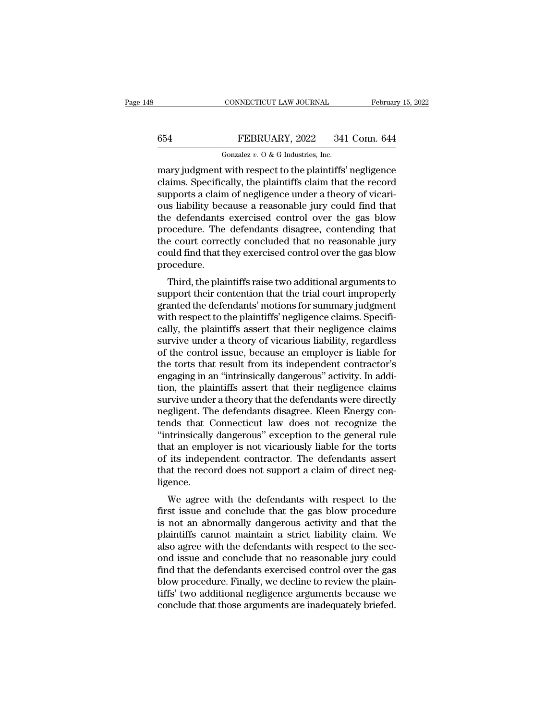## CONNECTICUT LAW JOURNAL February 15, 2022<br>654 FEBRUARY, 2022 341 Conn. 644<br>601 Gonzalez v. 0 & G Industries, Inc. CONNECTICUT LAW JOURNAL<br>FEBRUARY, 2022 341<br>Gonzalez *v.* O & G Industries, Inc.<br>with respect to the plaintiffs'

CONNECTICUT LAW JOURNAL February 15, 2022<br>
FEBRUARY, 2022 341 Conn. 644<br>
Gonzalez v. 0 & G Industries, Inc.<br>
mary judgment with respect to the plaintiffs' negligence<br>
claims. Specifically, the plaintiffs claim that the rec EXECUARY, 2022 341 Conn. 644<br>
Gonzalez v. 0 & G Industries, Inc.<br>
mary judgment with respect to the plaintiffs' negligence<br>
claims. Specifically, the plaintiffs claim that the record<br>
supports a claim of negligence under  $\begin{tabular}{ll} \multicolumn{1}{l}{{\bf \textcolor{red}{\bf S}54}} & {\bf \textcolor{red}{\bf FEBRUARY}, 2022} & 341 {\bf \textcolor{red}{\bf Con. 644}}\\ \hline & \multicolumn{1}{l}{\bf \textcolor{red}{Gonzalez $v. 0 & G hadustries, Inc.}}\\ \hline \multicolumn{1}{l}{\bf \textcolor{red}{\bf many judgment with respect to the plaintiffs' negligible}}\\ \hline \multicolumn{1}{l}{\bf \textcolor{red}{\bf claims. Specifically, the plaintiffs claim that the record supports a claim of negligible under a theory of vicari-} \\ \hline \multicolumn{1}{l}{\bf \textcolor{red}{\$ **EBRUARY**, 2022 341 Conn. 644<br>
Gonzalez v. 0 & G Industries, Inc.<br>
mary judgment with respect to the plaintiffs' negligence<br>
claims. Specifically, the plaintiffs claim that the record<br>
supports a claim of negligence under Gonzalez v.  $0$  & G Industries, Inc.<br>
mary judgment with respect to the plaintiffs' negligence<br>
claims. Specifically, the plaintiffs claim that the record<br>
supports a claim of negligence under a theory of vicari-<br>
ous lia Fonzalez  $v$ . O & G Industries, Inc.<br>
mary judgment with respect to the plaintiffs' negligence<br>
claims. Specifically, the plaintiffs claim that the record<br>
supports a claim of negligence under a theory of vicari-<br>
ous lia mary judgment with respect to the plaintiffs' negligence<br>claims. Specifically, the plaintiffs claim that the record<br>supports a claim of negligence under a theory of vicari-<br>ous liability because a reasonable jury could fin claims. Specifically, the plaintiffs claim that the record<br>supports a claim of negligence under a theory of vicari-<br>ous liability because a reasonable jury could find that<br>the defendants exercised control over the gas blow procedure. is habiny because a reasonable jury could find that<br>e defendants exercised control over the gas blow<br>ocedure. The defendants disagree, contending that<br>e court correctly concluded that no reasonable jury<br>uld find that they the defendants exercised control over the gas blow<br>procedure. The defendants disagree, contending that<br>the court correctly concluded that no reasonable jury<br>could find that they exercised control over the gas blow<br>procedur

procedure. The defendants' disagree, contending that<br>the court correctly concluded that no reasonable jury<br>could find that they exercised control over the gas blow<br>procedure.<br>Third, the plaintiffs raise two additional argu the court correctly concluded that ho reasonable jury<br>could find that they exercised control over the gas blow<br>procedure.<br>Third, the plaintiffs raise two additional arguments to<br>support their contention that the trial cour could find that they exercised control over the gas blow<br>procedure.<br>Third, the plaintiffs raise two additional arguments to<br>support their contention that the trial court improperly<br>granted the defendants' motions for summa Frocedure.<br>Third, the plaintiffs raise two additional arguments to<br>support their contention that the trial court improperly<br>granted the defendants' motions for summary judgment<br>with respect to the plaintiffs' negligence cl Third, the plaintiffs raise two additional arguments to<br>support their contention that the trial court improperly<br>granted the defendants' motions for summary judgment<br>with respect to the plaintiffs' negligence claims. Speci support their contention that the trial court improperly<br>granted the defendants' motions for summary judgment<br>with respect to the plaintiffs' negligence claims. Specifi-<br>cally, the plaintiffs assert that their negligence c granted the defendants' motions for summary judgment<br>with respect to the plaintiffs' negligence claims. Specifi-<br>cally, the plaintiffs assert that their negligence claims<br>survive under a theory of vicarious liability, rega with respect to the plaintiffs' negligence claims. Specifically, the plaintiffs assert that their negligence claims<br>survive under a theory of vicarious liability, regardless<br>of the control issue, because an employer is lia cally, the plaintiffs assert that their negligence claims<br>survive under a theory of vicarious liability, regardless<br>of the control issue, because an employer is liable for<br>the torts that result from its independent contrac survive under a theory of vicarious liability, regardless<br>of the control issue, because an employer is liable for<br>the torts that result from its independent contractor's<br>engaging in an "intrinsically dangerous" activity. I of the control issue, because an employer is liable for<br>the torts that result from its independent contractor's<br>engaging in an "intrinsically dangerous" activity. In addi-<br>tion, the plaintiffs assert that their negligence the torts that result from its independent contractor's<br>
engaging in an "intrinsically dangerous" activity. In addi-<br>
tion, the plaintiffs assert that their negligence claims<br>
survive under a theory that the defendants wer engaging in an "intrinsically dangerous" activity. In addition, the plaintiffs assert that their negligence claims<br>survive under a theory that the defendants were directly<br>negligent. The defendants disagree. Kleen Energy c tion, the plaintiffs assert that their negligence claims<br>survive under a theory that the defendants were directly<br>negligent. The defendants disagree. Kleen Energy con-<br>tends that Connecticut law does not recognize the<br>"int survive under a theory that the defendants were directly negligent. The defendants disagree. Kleen Energy contends that Connecticut law does not recognize the "intrinsically dangerous" exception to the general rule that an ligence. It is that Confecticut law does not recognize the<br>trimsically dangerous" exception to the general rule<br>at an employer is not vicariously liable for the torts<br>its independent contractor. The defendants assert<br>at the record final an employer is not vicariously liable for the torts<br>of its independent contractor. The defendants assert<br>that the record does not support a claim of direct neg-<br>ligence.<br>We agree with the defendants with respect to t

that an employer is not vicariously habie for the torts<br>of its independent contractor. The defendants assert<br>that the record does not support a claim of direct neg-<br>ligence.<br>We agree with the defendants with respect to the or its independent contractor. The defendants assert<br>that the record does not support a claim of direct neg-<br>ligence.<br>We agree with the defendants with respect to the<br>first issue and conclude that the gas blow procedure<br>is ligence.<br>We agree with the defendants with respect to the<br>first issue and conclude that the gas blow procedure<br>is not an abnormally dangerous activity and that the<br>plaintiffs cannot maintain a strict liability claim. We<br>al We agree with the defendants with respect to the<br>first issue and conclude that the gas blow procedure<br>is not an abnormally dangerous activity and that the<br>plaintiffs cannot maintain a strict liability claim. We<br>also agree We agree with the defendants with respect to the<br>first issue and conclude that the gas blow procedure<br>is not an abnormally dangerous activity and that the<br>plaintiffs cannot maintain a strict liability claim. We<br>also agree first issue and conclude that the gas blow procedure<br>is not an abnormally dangerous activity and that the<br>plaintiffs cannot maintain a strict liability claim. We<br>also agree with the defendants with respect to the sec-<br>ond is not an abnormally dangerous activity and that the plaintiffs cannot maintain a strict liability claim. We also agree with the defendants with respect to the second issue and conclude that no reasonable jury could find t plaintiffs cannot maintain a strict liability claim. We<br>also agree with the defendants with respect to the sec-<br>ond issue and conclude that no reasonable jury could<br>find that the defendants exercised control over the gas<br>b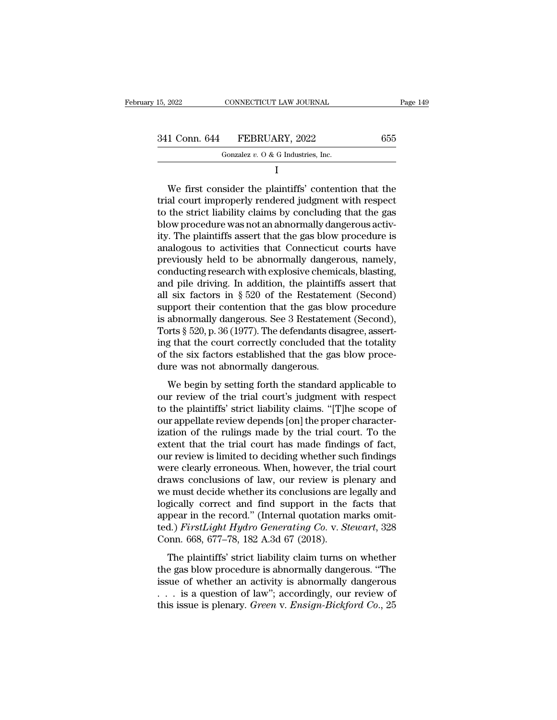| 341 Conn. 644<br>FEBRUARY, 2022 |  |  |
|---------------------------------|--|--|
|---------------------------------|--|--|

| 15, 2022      | CONNECTICUT LAW JOURNAL              | Page 149 |
|---------------|--------------------------------------|----------|
|               |                                      |          |
| 341 Conn. 644 | FEBRUARY, 2022                       | 655      |
|               | Gonzalez $v.$ O & G Industries, Inc. |          |
|               |                                      |          |

I

1 Conn. 644 FEBRUARY, 2022 655<br>
Gonzalez v. 0 & G Industries, Inc.<br>
I<br>
We first consider the plaintiffs' contention that the<br>
al court improperly rendered judgment with respect<br>
the strict liability claims by concluding t 341 Conn. 644 FEBRUARY, 2022 655<br>
Gonzalez v. 0 & G Industries, Inc.<br>
I<br>
We first consider the plaintiffs' contention that the<br>
trial court improperly rendered judgment with respect<br>
to the strict liability claims by conc 341 Conn. 644 FEBRUARY, 2022 655<br>
Gonzalez v. 0 & G Industries, Inc.<br>
I<br>
We first consider the plaintiffs' contention that the<br>
trial court improperly rendered judgment with respect<br>
to the strict liability claims by conc We first consider the plaintiffs' contention that the<br>trial court improperly rendered judgment with respect<br>to the strict liability claims by concluding that the gas<br>blow procedure was not an abnormally dangerous activ-<br>it I<br>
We first consider the plaintiffs' contention that the<br>
trial court improperly rendered judgment with respect<br>
to the strict liability claims by concluding that the gas<br>
blow procedure was not an abnormally dangerous act We first consider the plaintiffs' contention that the<br>trial court improperly rendered judgment with respect<br>to the strict liability claims by concluding that the gas<br>blow procedure was not an abnormally dangerous activ-<br>it We first consider the plaintiffs' contention that the<br>trial court improperly rendered judgment with respect<br>to the strict liability claims by concluding that the gas<br>blow procedure was not an abnormally dangerous activ-<br>it trial court improperly rendered judgment with respect<br>to the strict liability claims by concluding that the gas<br>blow procedure was not an abnormally dangerous activ-<br>ity. The plaintiffs assert that the gas blow procedure i to the strict liability claims by concluding that the gas<br>blow procedure was not an abnormally dangerous activity. The plaintiffs assert that the gas blow procedure is<br>analogous to activities that Connecticut courts have<br> blow procedure was not an abnormally dangerous activity. The plaintiffs assert that the gas blow procedure is<br>analogous to activities that Connecticut courts have<br>previously held to be abnormally dangerous, namely,<br>conduct ity. The plaintiffs assert that the gas blow procedure is<br>analogous to activities that Connecticut courts have<br>previously held to be abnormally dangerous, namely,<br>conducting research with explosive chemicals, blasting,<br>and analogous to activities that Connecticut courts have<br>previously held to be abnormally dangerous, namely,<br>conducting research with explosive chemicals, blasting,<br>and pile driving. In addition, the plaintiffs assert that<br>all previously held to be abnormally dangerous, namely, conducting research with explosive chemicals, blasting, and pile driving. In addition, the plaintiffs assert that all six factors in § 520 of the Restatement (Second) sup conducting research with explosive chemicals, blasting,<br>and pile driving. In addition, the plaintiffs assert that<br>all six factors in § 520 of the Restatement (Second)<br>support their contention that the gas blow procedure<br>is and pile driving. In addition, the plaintiffs assert that all six factors in  $\S 520$  of the Restatement (Second) support their contention that the gas blow procedure is abnormally dangerous. See 3 Restatement (Second), To all six factors in § 520 of the Restateme<br>support their contention that the gas blov<br>is abnormally dangerous. See 3 Restateme<br>Torts § 520, p. 36 (1977). The defendants dis<br>ing that the court correctly concluded tha<br>of the pport and contention and are gas sitow procedure<br>abnormally dangerous. See 3 Restatement (Second),<br>orts § 520, p. 36 (1977). The defendants disagree, assert-<br>g that the court correctly concluded that the totality<br>the six f s associating diagerous: see 5 restaurant (second),<br>Torts § 520, p. 36 (1977). The defendants disagree, assert-<br>ing that the court correctly concluded that the totality<br>of the six factors established that the gas blow proc

to the six factors established that the plank the totality<br>of the six factors established that the gas blow proce-<br>dure was not abnormally dangerous.<br>We begin by setting forth the standard applicable to<br>our review of the of the six factors established that the gas blow procedure was not abnormally dangerous.<br>We begin by setting forth the standard applicable to our review of the trial court's judgment with respect to the plaintiffs' strict of the six ideas established that the gas sion procedure was not abnormally dangerous.<br>We begin by setting forth the standard applicable to<br>our review of the trial court's judgment with respect<br>to the plaintiffs' strict li We begin by setting forth the standard applicable to<br>our review of the trial court's judgment with respect<br>to the plaintiffs' strict liability claims. "[T]he scope of<br>our appellate review depends [on] the proper character-We begin by setting forth the standard applicable to<br>our review of the trial court's judgment with respect<br>to the plaintiffs' strict liability claims. "[T]he scope of<br>our appellate review depends [on] the proper characterour review of the trial court's judgment with respect<br>to the plaintiffs' strict liability claims. "[T]he scope of<br>our appellate review depends [on] the proper character-<br>ization of the rulings made by the trial court. To t to the plaintiffs' strict liability claims. "[T]he scope of<br>our appellate review depends [on] the proper character-<br>ization of the rulings made by the trial court. To the<br>extent that the trial court has made findings of fa our appellate review depends [on] the proper characterization of the rulings made by the trial court. To the extent that the trial court has made findings of fact, our review is limited to deciding whether such findings we ization of the rulings made by the trial court. To the extent that the trial court has made findings of fact, our review is limited to deciding whether such findings were clearly erroneous. When, however, the trial court extent that the trial court has made findings of fact,<br>our review is limited to deciding whether such findings<br>were clearly erroneous. When, however, the trial court<br>draws conclusions of law, our review is plenary and<br>we our review is limited to deciding whether such findings<br>were clearly erroneous. When, however, the trial court<br>draws conclusions of law, our review is plenary and<br>we must decide whether its conclusions are legally and<br>logi were clearly erroneous. When, however, the<br>draws conclusions of law, our review is pl<br>we must decide whether its conclusions are<br>logically correct and find support in the<br>appear in the record." (Internal quotation m<br>ted.) Example 2012 and the plaintiffs' strict liability claim turns on whether<br>the planning strict and find support in the facts that<br>pear in the record." (Internal quotation marks omit-<br>d.) FirstLight Hydro Generating Co. v. St the gas blow procedure is concluded at eigally data<br>appear in the record." (Internal quotation marks omit-<br>ted.) FirstLight Hydro Generating Co. v. Stewart, 328<br>Conn. 668, 677–78, 182 A.3d 67 (2018).<br>The plaintiffs' stric

is above that that support in the mass share<br>appear in the record." (Internal quotation marks omit-<br>ted.) FirstLight Hydro Generating Co. v. Stewart, 328<br>Conn. 668, 677–78, 182 A.3d 67 (2018).<br>The plaintiffs' strict liabi Lefted.) FirstLight Hydro Generating Co. v. Stewart, 328<br>Conn. 668, 677–78, 182 A.3d 67 (2018).<br>The plaintiffs' strict liability claim turns on whether<br>the gas blow procedure is abnormally dangerous. "The<br>issue of whether this issue is plenary. *Green* v. *Ensignal* Engine Conn. 668, 677–78, 182 A.3d 67 (2018).<br>The plaintiffs' strict liability claim turns on whether the gas blow procedure is abnormally dangerous. "The issue of whether an ac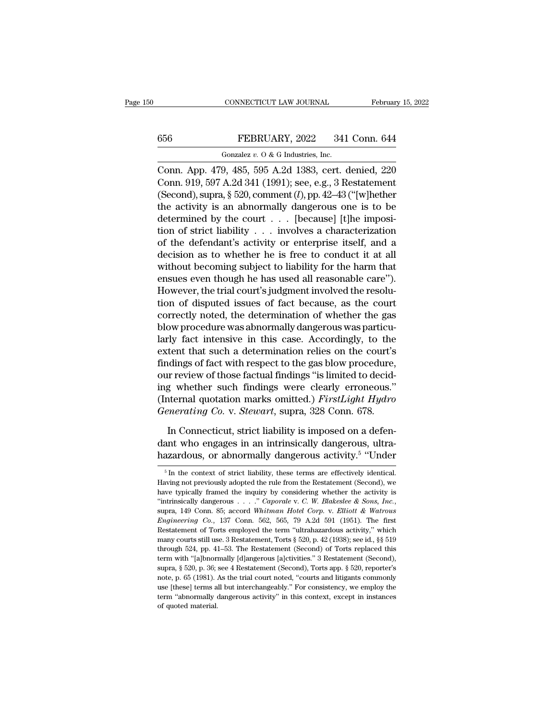# CONNECTICUT LAW JOURNAL February 15, 2022<br>656 FEBRUARY, 2022 341 Conn. 644<br>60121 Gonzalez v. 0 & G Industries, Inc.

CONNECTICUT LAW JOURNAL Februar<br>
Gonzalez *v.* O & G Industries, Inc.<br>
Conn. App. 479, 485, 595 A.2d 1383, cert. denied, 220 CONNECTICUT LAW JOURNAL February 15, 2022<br>
656 FEBRUARY, 2022 341 Conn. 644<br>
60nzalez v. 0 & G Industries, Inc.<br>
Conn. App. 479, 485, 595 A.2d 1383, cert. denied, 220<br>
Conn. 919, 597 A.2d 341 (1991); see, e.g., 3 Restateme 656 FEBRUARY, 2022 341 Conn. 644<br>
Gonzalez v. 0 & G Industries, Inc.<br>
Conn. App. 479, 485, 595 A.2d 1383, cert. denied, 220<br>
Conn. 919, 597 A.2d 341 (1991); see, e.g., 3 Restatement<br>
(Second), supra, § 520, comment (*l*), (Second), supra, § 520, comment (*l*), pp. 42–43 ("[w]hether the activity is an abnormally dangerous one is to be determined by the sourt (because little imposition of the matrix of  $\mu$ ),  $\mu$  and  $\mu$  and  $\mu$  and  $\mu$  656 FEBRUARY, 2022 341 Conn. 644<br>
Gonzalez v. 0 & G Industries, Inc.<br>
Conn. App. 479, 485, 595 A.2d 1383, cert. denied, 220<br>
Conn. 919, 597 A.2d 341 (1991); see, e.g., 3 Restatement<br>
(Second), supra, § 520, comment (*l*), Gonzalez v. 0 & G Industries, Inc.<br>Conn. App. 479, 485, 595 A.2d 1383, cert. denied, 220<br>Conn. 919, 597 A.2d 341 (1991); see, e.g., 3 Restatement<br>(Second), supra, § 520, comment (*l*), pp. 42–43 ("[w]hether<br>the activity i Gonzaez v. 0 & G mausines, mc.<br>
Conn. App. 479, 485, 595 A.2d 1383, cert. denied, 220<br>
Conn. 919, 597 A.2d 341 (1991); see, e.g., 3 Restatement<br>
(Second), supra, § 520, comment (*l*), pp. 42–43 ("[w]hether<br>
the activity i Conn. App. 479, 485, 595 A.2d 1383, cert. denied, 220<br>
Conn. 919, 597 A.2d 341 (1991); see, e.g., 3 Restatement<br>
(Second), supra, § 520, comment (*l*), pp. 42–43 ("[w]hether<br>
the activity is an abnormally dangerous one is Conn. 919, 597 A.2d 341 (1991); see, e.g., 3 Restatement<br>(Second), supra, § 520, comment (*l*), pp. 42–43 ("[w]hether<br>the activity is an abnormally dangerous one is to be<br>determined by the court . . . [because] [t]he impo (Second), supra, § 520, comment  $(l)$ , pp. 42–43 ("[w]hether<br>the activity is an abnormally dangerous one is to be<br>determined by the court  $\ldots$  [because] [t]he imposi-<br>tion of strict liability  $\ldots$  involves a characteriza the activity is an abnormally dangerous one is to be determined by the court  $\ldots$  [because] [t]he imposition of strict liability  $\ldots$  involves a characterization of the defendant's activity or enterprise itself, and a d determined by the court . . . [because] [t]he imposition of strict liability . . . involves a characterization of the defendant's activity or enterprise itself, and a decision as to whether he is free to conduct it at all tion of strict liability  $\ldots$  involves a characterization<br>of the defendant's activity or enterprise itself, and a<br>decision as to whether he is free to conduct it at all<br>without becoming subject to liability for the harm of the defendant's activity or enterprise itself, and a<br>decision as to whether he is free to conduct it at all<br>without becoming subject to liability for the harm that<br>ensues even though he has used all reasonable care'').<br> decision as to whether he is free to conduct it at all<br>without becoming subject to liability for the harm that<br>ensues even though he has used all reasonable care").<br>However, the trial court's judgment involved the resolu-<br> without becoming subject to liability for the harm that<br>ensues even though he has used all reasonable care").<br>However, the trial court's judgment involved the resolu-<br>tion of disputed issues of fact because, as the court<br>c ensues even though he has used all reasonable care").<br>However, the trial court's judgment involved the resolution of disputed issues of fact because, as the court<br>correctly noted, the determination of whether the gas<br>blow However, the trial court's judgment involved the resolution of disputed issues of fact because, as the court<br>correctly noted, the determination of whether the gas<br>blow procedure was abnormally dangerous was particu-<br>larly tion of disputed issues of fact because, as the court<br>correctly noted, the determination of whether the gas<br>blow procedure was abnormally dangerous was particu-<br>larly fact intensive in this case. Accordingly, to the<br>exten correctly noted, the determination of whether the gas<br>blow procedure was abnormally dangerous was particu-<br>larly fact intensive in this case. Accordingly, to the<br>extent that such a determination relies on the court's<br>findi blow procedure was abnormally dangerous was particularly fact intensive in this case. Accordingly, to the extent that such a determination relies on the court's findings of fact with respect to the gas blow procedure, our larly fact intensive in this case. Accordingly, to the extent that such a determination relies on the court's findings of fact with respect to the gas blow procedure, our review of those factual findings "is limited to dec In Altington Sof fact with respect to the gas blow procedure,<br>
In review of those factual findings "is limited to decid-<br>
In Connecticut, marks omitted.) FirstLight Hydro<br>
In Connecticut, strict liability is imposed on a d our review of those factual findings "is limited to deciding whether such findings were clearly erroneous."<br>(Internal quotation marks omitted.) *FirstLight Hydro*<br>*Generating Co.* v. *Stewart*, supra, 328 Conn. 678.<br>In Con ing whether such findings were clearly erroneous<br>(Internal quotation marks omitted.) *FirstLight Hyda*<br>*Generating Co.* v. *Stewart*, supra, 328 Conn. 678.<br>In Connecticut, strict liability is imposed on a defe<br>dant who en

hazardous, or abnormally dangerous activity.<sup>5</sup> "Under In Connecticut, strict liability is imposed on a defen-<br>ant who engages in an intrinsically dangerous, ultra-<br>azardous, or abnormally dangerous activity.<sup>5</sup> "Under<br> $\frac{5 \text{ In the context of strict liability, these terms are effectively identical.}$  wing not previously adopted the r In Connecticut, strict liability is imposed on a defendant who engages in an intrinsically dangerous, ultra-<br>hazardous, or abnormally dangerous activity.<sup>5</sup> "Under<br> $\frac{1}{10}$  in the context of strict liability, these term

dant who engages in an intrinsically dangerous, ultra-<br>hazardous, or abnormally dangerous activity.<sup>5</sup> "Under<br> $\frac{1}{\pi}$  in the context of strict liability, these terms are effectively identical.<br>Having not previously ado hazardous, or abnormally dangerous activity.<sup>5</sup> "Under<br>
<sup>5</sup> In the context of strict liability, these terms are effectively identical.<br>
Having not previously adopted the rule from the Restatement (Second), we<br>
have typical <sup>5</sup> In the context of strict liability, these terms are effectively identical.<br>Having not previously adopted the rule from the Restatement (Second), we have typically framed the inquiry by considering whether the activity Having not previously adopted the rule from the Restatement (Second), we have typically framed the inquiry by considering whether the activity is "intrinsically dangerous . . . ." *Caporale v. C. W. Blakeslee & Sons, Inc.* have typically framed the inquiry by considering whether the activity is "intrinsically dangerous  $\ldots$ ." *Caporale v. C. W. Blakeslee & Sons, Inc.*, supra, 149 Conn. 85; accord *Whitman Hotel Corp. v. Elliott & Watrous E* "intrinsically dangerous . . . . " Caporale v. C. W. Blakeslee & Sons, Inc., supra, 149 Conn. 85; accord Whitman Hotel Corp. v. Elliott & Watrous Engineering Co., 137 Conn. 562, 565, 79 A.2d 591 (1951). The first Restatem supra, 149 Conn. 85; accord Whitman Hotel Corp. v. Elliott & Watrous Engineering Co., 137 Conn. 562, 565, 79 A.2d 591 (1951). The first Restatement of Torts employed the term "ultrahazardous activity," which many courts s *Engineering Co.*, 137 Conn. 562, 565, 79 A.2d 591 (1951). The first Restatement of Torts employed the term "ultrahazardous activity," which many courts still use. 3 Restatement, Torts § 520, p. 42 (1938); see id., §§ 519 Existement of Torts employed the term "ultrahazardous activity," which<br>many courts still use. 3 Restatement, Torts § 520, p. 42 (1938); see id., §§ 519<br>through 524, pp. 41–53. The Restatement (Second) of Torts replaced thi many courts still use. 3 Restatement, Torts § 520, p. 42 (1938); see id., §§ 519 through 524, pp. 41–53. The Restatement (Second) of Torts replaced this term with "[a]bnormally [d]angerous [a]ctivities." 3 Restatement (Se through 524, pp. 41–53. The Restatement (Second) of Torts replaced this term with "[a]bnormally [d]angerous [a]ctivities." 3 Restatement (Second), supra,  $\S$  520, p. 36; see 4 Restatement (Second), Torts app.  $\S$  520, rep term with "[a]bnormally [d]angerous [a]ctivities." 3 Restatement (Second),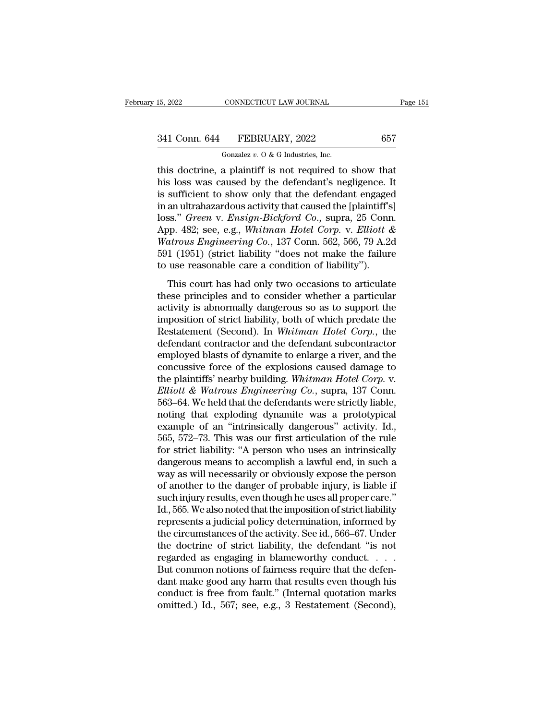CONNECTICUT LAW JOURNAL<br>FEBRUARY, 2022<br>Gonzalez *v.* O & G Industries, Inc.<br>a plaintiff is not required to the 15, 2022 CONNECTICUT LAW JOURNAL Page 15<br>
341 Conn. 644 FEBRUARY, 2022 657<br>
60nzalez v. 0 & G Industries, Inc.<br>
this doctrine, a plaintiff is not required to show that<br>
his loss was caused by the defendant's negligence 341 Conn. 644 FEBRUARY, 2022 657<br>
Gonzalez v. 0 & G Industries, Inc.<br>
this doctrine, a plaintiff is not required to show that<br>
his loss was caused by the defendant's negligence. It<br>
is sufficient to show only that the def 341 Conn. 644 FEBRUARY, 2022 657<br>
Gonzalez v. 0 & G Industries, Inc.<br>
this doctrine, a plaintiff is not required to show that<br>
his loss was caused by the defendant's negligence. It<br>
is sufficient to show only that the def 341 Conn. 644 FEBRUARY, 2022 657<br>
Gonzalez v. 0 & G Industries, Inc.<br>
this doctrine, a plaintiff is not required to show that<br>
his loss was caused by the defendant's negligence. It<br>
is sufficient to show only that the def Gonzalez *v.* O & G Industries, Inc.<br>
this doctrine, a plaintiff is not required to show that<br>
his loss was caused by the defendant's negligence. It<br>
is sufficient to show only that the defendant engaged<br>
in an ultrahazard Gonzalez v. O & G Industries, Inc.<br>
this doctrine, a plaintiff is not required to show that<br>
his loss was caused by the defendant's negligence. It<br>
is sufficient to show only that the defendant engaged<br>
in an ultrahazardou this doctrine, a plaintiff is not required to show that<br>his loss was caused by the defendant's negligence. It<br>is sufficient to show only that the defendant engaged<br>in an ultrahazardous activity that caused the [plaintiff's his loss was caused by the defendant's negligence. It<br>is sufficient to show only that the defendant engaged<br>in an ultrahazardous activity that caused the [plaintiff's]<br>loss." *Green v. Ensign-Bickford Co.*, supra, 25 Conn is sufficient to show only that the defendant engage<br>in an ultrahazardous activity that caused the [plaintiff's<br>loss." *Green* v. *Ensign-Bickford Co.*, supra, 25 Conn<br>App. 482; see, e.g., *Whitman Hotel Corp.* v. *Elliot* an antanaza abus activity and caused are [plantain 5]<br>ss." Green v. Ensign-Bickford Co., supra, 25 Conn.<br>pp. 482; see, e.g., Whitman Hotel Corp. v. Elliott &<br>atrous Engineering Co., 137 Conn. 562, 566, 79 A.2d<br>1 (1951) (s App. 482; see, e.g., Whitman Hotel Corp. v. Elliott &<br>Watrous Engineering Co., 137 Conn. 562, 566, 79 A.2d<br>591 (1951) (strict liability "does not make the failure<br>to use reasonable care a condition of liability").<br>This co

Experimentally is about the fighter in the Boston Comparation Watrows Engineering Co., 137 Conn. 562, 566, 79 A.2d 591 (1951) (strict liability "does not make the failure to use reasonable care a condition of liability"). imposition of strict liability "does not make the failure<br>to use reasonable care a condition of liability").<br>This court has had only two occasions to articulate<br>these principles and to consider whether a particular<br>activi For (1691) (safet hashing does not hake the randic<br>to use reasonable care a condition of liability").<br>This court has had only two occasions to articulate<br>these principles and to consider whether a particular<br>activity is ab This court has had only two occasions to articulate<br>these principles and to consider whether a particular<br>activity is abnormally dangerous so as to support the<br>imposition of strict liability, both of which predate the<br>Res This court has had only two occasions to articulate<br>these principles and to consider whether a particular<br>activity is abnormally dangerous so as to support the<br>imposition of strict liability, both of which predate the<br>Rest these principles and to consider whether a particular<br>activity is abnormally dangerous so as to support the<br>imposition of strict liability, both of which predate the<br>Restatement (Second). In *Whitman Hotel Corp*., the<br>def activity is abnormally dangerous so as to support the<br>imposition of strict liability, both of which predate the<br>Restatement (Second). In *Whitman Hotel Corp.*, the<br>defendant contractor and the defendant subcontractor<br>emplo imposition of strict liability, both of which predate the Restatement (Second). In *Whitman Hotel Corp.*, the defendant contractor and the defendant subcontractor employed blasts of dynamite to enlarge a river, and the con Restatement (Second). In *Whitman Hotel Corp.*, the<br>defendant contractor and the defendant subcontractor<br>employed blasts of dynamite to enlarge a river, and the<br>concussive force of the explosions caused damage to<br>the plain defendant contractor and the defendant subcontractor<br>employed blasts of dynamite to enlarge a river, and the<br>concussive force of the explosions caused damage to<br>the plaintiffs' nearby building. Whitman Hotel Corp. v.<br>Ellio employed blasts of dynamite to enlarge a river, and the concussive force of the explosions caused damage to the plaintiffs' nearby building. *Whitman Hotel Corp.* v. *Elliott & Watrous Engineering Co.*, supra, 137 Conn. 56 concussive force of the explosions caused damage to<br>the plaintiffs' nearby building. Whitman Hotel Corp. v.<br>Elliott & Watrous Engineering Co., supra, 137 Conn.<br>563–64. We held that the defendants were strictly liable,<br>noti the plaintiffs' nearby building. Whitman Hotel Corp. v.<br>Elliott & Watrous Engineering Co., supra, 137 Conn.<br>563–64. We held that the defendants were strictly liable,<br>noting that exploding dynamite was a prototypical<br>exampl *Elliott* & *Watrous Engineering Co.*, supra, 137 Conn.<br>563–64. We held that the defendants were strictly liable,<br>noting that exploding dynamite was a prototypical<br>example of an "intrinsically dangerous" activity. Id.,<br>56 563–64. We held that the defendants were strictly liable,<br>noting that exploding dynamite was a prototypical<br>example of an "intrinsically dangerous" activity. Id.,<br>565, 572–73. This was our first articulation of the rule<br>fo noting that exploding dynamite was a prototypical<br>example of an "intrinsically dangerous" activity. Id.,<br>565, 572–73. This was our first articulation of the rule<br>for strict liability: "A person who uses an intrinsically<br>da example of an "intrinsically dangerous" activity. Id.,<br>565, 572–73. This was our first articulation of the rule<br>for strict liability: "A person who uses an intrinsically<br>dangerous means to accomplish a lawful end, in such 565, 572–73. This was our first articulation of the rule<br>for strict liability: "A person who uses an intrinsically<br>dangerous means to accomplish a lawful end, in such a<br>way as will necessarily or obviously expose the perso for strict liability: "A person who uses an intrinsically dangerous means to accomplish a lawful end, in such a<br>way as will necessarily or obviously expose the person<br>of another to the danger of probable injury, is liable dangerous means to accomplish a lawful end, in such a<br>way as will necessarily or obviously expose the person<br>of another to the danger of probable injury, is liable if<br>such injury results, even though he uses all proper car way as will necessarily or obviously expose the person<br>of another to the danger of probable injury, is liable if<br>such injury results, even though he uses all proper care."<br>Id., 565. We also noted that the imposition of str of another to the danger of probable injury, is liable if<br>such injury results, even though he uses all proper care."<br>Id., 565. We also noted that the imposition of strict liability<br>represents a judicial policy determinatio such injury results, even though he uses all proper care."<br>Id., 565. We also noted that the imposition of strict liability<br>represents a judicial policy determination, informed by<br>the circumstances of the activity. See id., Id., 565. We also noted that the imposition of strict liability<br>represents a judicial policy determination, informed by<br>the circumstances of the activity. See id., 566–67. Under<br>the doctrine of strict liability, the defen represents a judicial policy determination, informed by<br>the circumstances of the activity. See id., 566–67. Under<br>the doctrine of strict liability, the defendant "is not<br>regarded as engaging in blameworthy conduct....<br>But the circumstances of the activity. See id., 566–67. Under<br>the doctrine of strict liability, the defendant "is not<br>regarded as engaging in blameworthy conduct....<br>But common notions of fairness require that the defen-<br>dant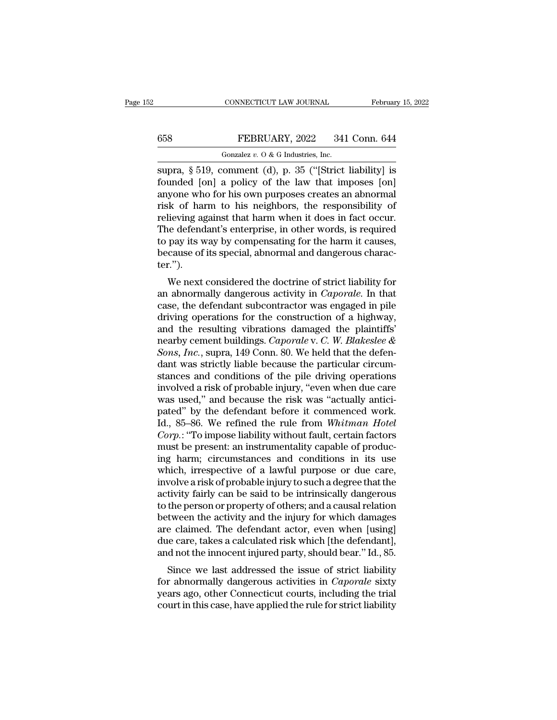# CONNECTICUT LAW JOURNAL February 15, 2022<br>658 FEBRUARY, 2022 341 Conn. 644<br>60120 Gonzalez v. 0 & G Industries, Inc.

CONNECTICUT LAW JOURNAL Februar<br>
Gonzalez *v.* O & G Industries, Inc.<br>
Supra, § 519, comment (d), p. 35 ("[Strict liability] is CONNECTICUT LAW JOURNAL February 15, 2022<br>
Supra, § 519, comment (d), p. 35 ("[Strict liability] is<br>
founded [on] a policy of the law that imposes [on]<br>
Supra, § 519, comment (d), p. 35 ("[Strict liability] is<br>
supra, who FEBRUARY, 2022 341 Conn. 644<br>
Gonzalez v. 0 & G Industries, Inc.<br>
supra, § 519, comment (d), p. 35 ("[Strict liability] is<br>
founded [on] a policy of the law that imposes [on]<br>
anyone who for his own purposes creates an ab 658 FEBRUARY, 2022 341 Conn. 644<br>
Gonzalez v. 0 & G Industries, Inc.<br>
supra, § 519, comment (d), p. 35 ("[Strict liability] is<br>
founded [on] a policy of the law that imposes [on]<br>
anyone who for his own purposes creates a FEBRUARY, 2022 341 Conn. 644<br>
Gonzalez v. 0 & G Industries, Inc.<br>
supra, § 519, comment (d), p. 35 ("[Strict liability] is<br>
founded [on] a policy of the law that imposes [on]<br>
anyone who for his own purposes creates an ab Gonzalez v. O & G Industries, Inc.<br>
supra, § 519, comment (d), p. 35 ("[Strict liability] is<br>
founded [on] a policy of the law that imposes [on]<br>
anyone who for his own purposes creates an abnormal<br>
risk of harm to his ne Gonzalez v. O & G Industries, Inc.<br>
supra, § 519, comment (d), p. 35 ("[Strict liability] is<br>
founded [on] a policy of the law that imposes [on]<br>
anyone who for his own purposes creates an abnormal<br>
risk of harm to his ne supra, § 519, comment (d), p. 35 ("[Strict liability] is<br>founded [on] a policy of the law that imposes [on]<br>anyone who for his own purposes creates an abnormal<br>risk of harm to his neighbors, the responsibility of<br>relieving founded [on] a policy of the law that imposes [on] anyone who for his own purposes creates an abnormal risk of harm to his neighbors, the responsibility of relieving against that harm when it does in fact occur. The defend ter.''). We of harm to fils herghoots, the responsionly of<br>lieving against that harm when it does in fact occur.<br>e defendant's enterprise, in other words, is required<br>pay its way by compensating for the harm it causes,<br>cause of it reneving against that harm when it does in fact occur.<br>The defendant's enterprise, in other words, is required<br>to pay its way by compensating for the harm it causes,<br>because of its special, abnormal and dangerous charac-<br>t

The defendant subterprise, in other words, is required<br>to pay its way by compensating for the harm it causes,<br>because of its special, abnormal and dangerous charac-<br>ter.").<br>We next considered the doctrine of strict liabili to pay its way by compensating for the narm it causes,<br>because of its special, abnormal and dangerous character.").<br>We next considered the doctrine of strict liability for<br>an abnormally dangerous activity in *Caporale*. I because of its special, abiliting and dangerous character.").<br>We next considered the doctrine of strict liability for<br>an abnormally dangerous activity in *Caporale*. In that<br>case, the defendant subcontractor was engaged i We next considered the doctrine of strict liability for<br>an abnormally dangerous activity in *Caporale*. In that<br>case, the defendant subcontractor was engaged in pile<br>driving operations for the construction of a highway,<br>an We next considered the doctrine of strict liability for<br>an abnormally dangerous activity in *Caporale*. In that<br>case, the defendant subcontractor was engaged in pile<br>driving operations for the construction of a highway,<br>an an abnormally dangerous activity in *Caporale*. In that case, the defendant subcontractor was engaged in pile driving operations for the construction of a highway, and the resulting vibrations damaged the plaintiffs' nearb case, the defendant subcontractor was engaged in pile<br>driving operations for the construction of a highway,<br>and the resulting vibrations damaged the plaintiffs'<br>nearby cement buildings. *Caporale* v. *C. W. Blakeslee &*<br>*S* driving operations for the construction of a highway,<br>and the resulting vibrations damaged the plaintiffs'<br>nearby cement buildings. *Caporale* v. *C*. *W. Blakeslee &*<br>*Sons, Inc.*, supra, 149 Conn. 80. We held that the de and the resulting vibrations damaged the plaintiffs'<br>nearby cement buildings. *Caporale* v. *C. W. Blakeslee &*<br>*Sons, Inc.*, supra, 149 Conn. 80. We held that the defen-<br>dant was strictly liable because the particular cir nearby cement buildings. *Caporale* v. *C. W. Blakeslee &*<br> *Sons, Inc.*, supra, 149 Conn. 80. We held that the defendant was strictly liable because the particular circumstances and conditions of the pile driving operatio Sons, *Inc.*, supra, 149 Conn. 80. We held that the defendant was strictly liable because the particular circumstances and conditions of the pile driving operations involved a risk of probable injury, "even when due care w dant was strictly liable because the particular circum-<br>stances and conditions of the pile driving operations<br>involved a risk of probable injury, "even when due care<br>was used," and because the risk was "actually antici-<br>pa stances and conditions of the pile driving operations<br>involved a risk of probable injury, "even when due care<br>was used," and because the risk was "actually antici-<br>pated" by the defendant before it commenced work.<br>Id., 85– involved a risk of probable injury, "even when due care<br>was used," and because the risk was "actually antici-<br>pated" by the defendant before it commenced work.<br>Id., 85–86. We refined the rule from *Whitman Hotel*<br>*Corp*.: was used," and because the risk was "actually antici-<br>pated" by the defendant before it commenced work.<br>Id., 85–86. We refined the rule from *Whitman Hotel*<br>*Corp*.: "To impose liability without fault, certain factors<br>must pated" by the defendant before it commenced work.<br>Id., 85–86. We refined the rule from *Whitman Hotel*<br>Corp.: "To impose liability without fault, certain factors<br>must be present: an instrumentality capable of produc-<br>ing h Id., 85–86. We refined the rule from *Whitman Hotel Corp*.: "To impose liability without fault, certain factors must be present: an instrumentality capable of producing harm; circumstances and conditions in its use which, Corp.: "To impose liability without fault, certain factors<br>must be present: an instrumentality capable of produc-<br>ing harm; circumstances and conditions in its use<br>which, irrespective of a lawful purpose or due care,<br>invol must be present: an instrumentality capable of producing harm; circumstances and conditions in its use<br>which, irrespective of a lawful purpose or due care,<br>involve a risk of probable injury to such a degree that the<br>activi ing harm; circumstances and conditions in its use<br>which, irrespective of a lawful purpose or due care,<br>involve a risk of probable injury to such a degree that the<br>activity fairly can be said to be intrinsically dangerous<br>t which, irrespective of a lawful purpose or due care,<br>involve a risk of probable injury to such a degree that the<br>activity fairly can be said to be intrinsically dangerous<br>to the person or property of others; and a causal r involve a risk of probable injury to such a degree that the activity fairly can be said to be intrinsically dangerous to the person or property of others; and a causal relation between the activity and the injury for which tivity fairly can be said to be intrinsically dangerous<br>the person or property of others; and a causal relation<br>tween the activity and the injury for which damages<br>e claimed. The defendant actor, even when [using]<br>le care, for the person of property of others, and a causal relation<br>between the activity and the injury for which damages<br>are claimed. The defendant actor, even when [using]<br>due care, takes a calculated risk which [the defendant],

between the activity and the hijury for which dantages<br>are claimed. The defendant actor, even when [using]<br>due care, takes a calculated risk which [the defendant],<br>and not the innocent injured party, should bear." Id., 85. are claimed. The defendant actor, even when [using]<br>due care, takes a calculated risk which [the defendant],<br>and not the innocent injured party, should bear." Id., 85.<br>Since we last addressed the issue of strict liability<br>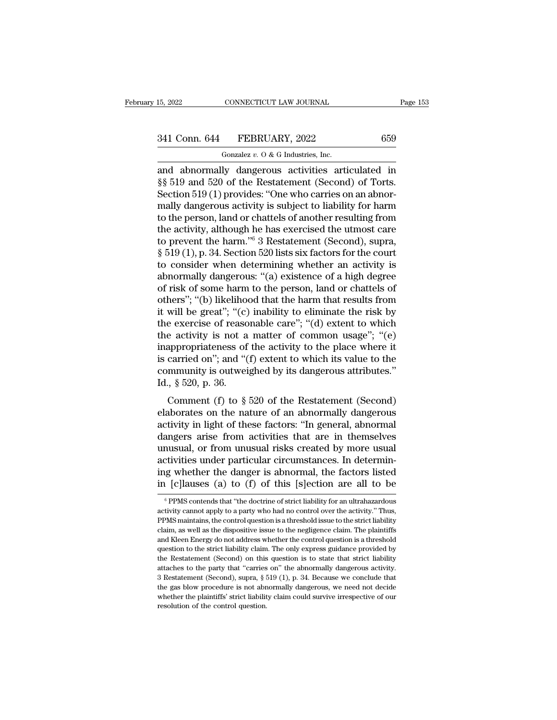# 15, 2022 CONNECTICUT LAW JOURNAL Page 153<br>341 Conn. 644 FEBRUARY, 2022 659<br>Gonzalez v. 0 & G Industries, Inc.

CONNECTICUT LAW JOURNAL<br>FEBRUARY, 2022<br>Gonzalez *v.* O & G Industries, Inc.<br>Jy dangerous activities arti 15, 2022 CONNECTICUT LAW JOURNAL Page 153<br>
341 Conn. 644 FEBRUARY, 2022 659<br>
Gonzalez v. 0 & G Industries, Inc.<br>
and abnormally dangerous activities articulated in<br>
\$§ 519 and 520 of the Restatement (Second) of Torts.<br>
Sec  $\begin{array}{r} \text{341 Conn. 644} \quad \text{FEBRUARY, 2022} \qquad \qquad 659 \ \text{G onzalez } v. 0 & G \text{ Industries, Inc.} \ \text{and \text{abnormally dangerous activities articulated in } \S \S 519 \text{ and } 520 \text{ of the Restatement (Second) of Torts.} \ \text{Section 519 (1) provides: "One who carries on an abnormally dangerous activity is subject to liability for harm.} \end{array}$ 341 Conn. 644 FEBRUARY, 2022 659<br>
Gonzalez v. 0 & G Industries, Inc.<br>
and abnormally dangerous activities articulated in<br>  $\S$  519 and 520 of the Restatement (Second) of Torts.<br>
Section 519 (1) provides: "One who carries o 341 Conn. 644 FEBRUARY, 2022 659<br>
Gonzalez v. 0 & G Industries, Inc.<br>
and abnormally dangerous activities articulated in<br>  $\S$  519 and 520 of the Restatement (Second) of Torts.<br>
Section 519 (1) provides: "One who carries o Gonzalez v. 0 & G Industries, Inc.<br>
and abnormally dangerous activities articulated in<br>
§§ 519 and 520 of the Restatement (Second) of Torts.<br>
Section 519 (1) provides: "One who carries on an abnor-<br>
mally dangerous activi Gonzalez v. 0 & G Industries, Inc.<br>
and abnormally dangerous activities articulated in<br>
§§ 519 and 520 of the Restatement (Second) of Torts.<br>
Section 519 (1) provides: "One who carries on an abnor-<br>
mally dangerous activi and abnormally dangerous activities articulated in<br>§§ 519 and 520 of the Restatement (Second) of Torts.<br>Section 519 (1) provides: "One who carries on an abnor-<br>mally dangerous activity is subject to liability for harm<br>to t §§ 519 and 520 of the Restatement (Second) of Torts.<br>Section 519 (1) provides: "One who carries on an abnormally dangerous activity is subject to liability for harm<br>to the person, land or chattels of another resulting fro Section 519 (1) provides: "One who carries on an abnormally dangerous activity is subject to liability for harm<br>to the person, land or chattels of another resulting from<br>the activity, although he has exercised the utmost mally dangerous activity is subject to liability for harm<br>to the person, land or chattels of another resulting from<br>the activity, although he has exercised the utmost care<br>to prevent the harm."<sup>6</sup> 3 Restatement (Second), s to the person, land or chattels of another resulting from<br>the activity, although he has exercised the utmost care<br>to prevent the harm."<sup>6</sup> 3 Restatement (Second), supra,<br> $\S 519 (1)$ , p. 34. Section 520 lists six factors fo the activity, although he has exercised the utmost care<br>to prevent the harm."<sup>6</sup> 3 Restatement (Second), supra,<br>§ 519 (1), p. 34. Section 520 lists six factors for the court<br>to consider when determining whether an activity to prevent the harm."<sup>6</sup> 3 Restatement (Second), supra,  $\S$  519 (1), p. 34. Section 520 lists six factors for the court<br>to consider when determining whether an activity is<br>abnormally dangerous: "(a) existence of a high de § 519 (1), p. 34. Section 520 lists six factors for the court<br>to consider when determining whether an activity is<br>abnormally dangerous: "(a) existence of a high degree<br>of risk of some harm to the person, land or chattels to consider when determining whether an activity is<br>abnormally dangerous: "(a) existence of a high degree<br>of risk of some harm to the person, land or chattels of<br>others"; "(b) likelihood that the harm that results from<br>it abnormally dangerous: "(a) existence of a high degree<br>of risk of some harm to the person, land or chattels of<br>others"; "(b) likelihood that the harm that results from<br>it will be great"; "(c) inability to eliminate the ris of risk of some harm to the person, land or chattels of<br>others"; "(b) likelihood that the harm that results from<br>it will be great"; "(c) inability to eliminate the risk by<br>the exercise of reasonable care"; "(d) extent to others"; "(b) likelihood that the harm that results from<br>it will be great"; "(c) inability to eliminate the risk by<br>the exercise of reasonable care"; "(d) extent to which<br>the activity is not a matter of common usage"; "(e it will be great"; "(c) inability to eliminate the risk by<br>the exercise of reasonable care"; "(d) extent to which<br>the activity is not a matter of common usage"; "(e)<br>inappropriateness of the activity to the place where it Exercise of reasonable earce,  $\alpha$  (d) extend to which<br>
e activity is not a matter of common usage"; "(e)<br>
appropriateness of the activity to the place where it<br>
carried on"; and "(f) extent to which its value to the<br>
mmu inappropriateness of the activity to the place where it<br>is carried on"; and "(f) extent to which its value to the<br>community is outweighed by its dangerous attributes."<br>Id., § 520, p. 36.<br>Comment (f) to § 520 of the Restat

action of the set of the set of the scarce is carried on"; and "(f) extent to which its value to the community is outweighed by its dangerous attributes."<br>Id.,  $\S$  520, p. 36.<br>Comment (f) to  $\S$  520 of the Restatement (Se dance of , and (1) extent to which is value to the<br>community is outweighed by its dangerous attributes."<br>Id., § 520, p. 36.<br>Comment (f) to § 520 of the Restatement (Second)<br>elaborates on the nature of an abnormally danger Id.,  $\S$  520, p. 36.<br>
Comment (f) to  $\S$  520 of the Restatement (Second)<br>
elaborates on the nature of an abnormally dangerous<br>
activity in light of these factors: "In general, abnormal<br>
dangers arise from activities that cally solution. The Restatement (Second)<br>elaborates on the nature of an abnormally dangerous<br>activity in light of these factors: "In general, abnormal<br>dangers arise from activities that are in themselves<br>unusual, or from Comment (f) to  $\S$  520 of the Restatement (Second)<br>elaborates on the nature of an abnormally dangerous<br>activity in light of these factors: "In general, abnormal<br>dangers arise from activities that are in themselves<br>unusual elaborates on the nature of an abnormally dangerous<br>activity in light of these factors: "In general, abnormal<br>dangers arise from activities that are in themselves<br>unusual, or from unusual risks created by more usual<br>activi unusual, or from unusual risks created by more usual activities under particular circumstances. In determining whether the danger is abnormal, the factors listed in [c]lauses (a) to (f) of this [s]ection are all to be  $\frac$ activities under particular circumstances. In determining whether the danger is abnormal, the factors listed<br>in [c]lauses (a) to (f) of this [s]ection are all to be<br> $\frac{1}{\pi}$ <br> $\frac{1}{\pi}$ PPMS contends that "the doctrine of

ing whether the danger is abnormal, the factors listed<br>in [c]lauses (a) to (f) of this [s]ection are all to be<br><sup>6</sup> PPMS contends that "the doctrine of strict liability for an ultrahazardous<br>activity cannot apply to a party in [c] lauses (a) to (f) of this [s] ection are all to be<br>  $\overline{ }$   $\overline{ }$   $\overline{ }$   $\overline{ }$   $\overline{ }$   $\overline{ }$   $\overline{ }$   $\overline{ }$   $\overline{ }$   $\overline{ }$   $\overline{ }$   $\overline{ }$   $\overline{ }$   $\overline{ }$   $\overline{ }$   $\overline{ }$   $\overline{ }$   $\overline{ }$   $\overline{ }$   $\overline{ }$   $\$ The particular control over the activity cannot apply to a party who had no control over the activity." Thus, ppMS maintains, the control question is a threshold issue to the strict liability claim, as well as the disposi  $^\circ$  PPMS contends that "the doctrine of strict liability for an ultrahazardous activity cannot apply to a party who had no control over the activity." Thus, PPMS maintains, the control question is a threshold issue to th activity cannot apply to a party who had no control over the activity." Thus, PPMS maintains, the control question is a threshold issue to the strict liability claim, as well as the dispositive issue to the negligence clai PPMS maintains, the control question is a threshold issue to the strict liability claim, as well as the dispositive issue to the negligence claim. The plaintiffs and Kleen Energy do not address whether the control questio claim, as well as the dispositive issue to the negligence claim. The plaintiffs and Kleen Energy do not address whether the control question is a threshold question to the strict liability claim. The only express guidance and Kleen Energy do not address whether the control question is a threshold question to the strict liability claim. The only express guidance provided by the Restatement (Second) on this question is to state that strict l question to the strict liability claim. The only express guidance provided by the Restatement (Second) on this question is to state that strict liability attaches to the party that "carries on" the abnormally dangerous ac the Restatement (Second) on this question is to state that strict liability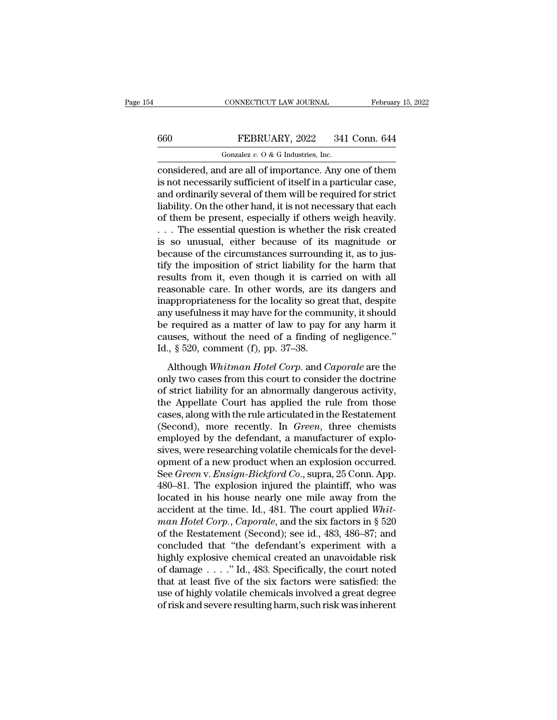## CONNECTICUT LAW JOURNAL February 15, 2022<br>660 FEBRUARY, 2022 341 Conn. 644<br>6022 Gonzalez v. 0 & G Industries, Inc. CONNECTICUT LAW JOURNAL<br>FEBRUARY, 2022 341<br>Gonzalez *v.* O & G Industries, Inc.<br>d are all of importance Any c

CONNECTICUT LAW JOURNAL February 15, 2022<br>
FEBRUARY, 2022 341 Conn. 644<br>
Gonzalez v. 0 & G Industries, Inc.<br>
considered, and are all of importance. Any one of them<br>
is not necessarily sufficient of itself in a particular c 660 FEBRUARY, 2022 341 Conn. 644<br>
Gonzalez v. 0 & G Industries, Inc.<br>
considered, and are all of importance. Any one of them<br>
is not necessarily sufficient of itself in a particular case,<br>
and ordinarily several of them w 660 FEBRUARY, 2022 341 Conn. 644<br>
Gonzalez v. O & G Industries, Inc.<br>
considered, and are all of importance. Any one of them<br>
is not necessarily sufficient of itself in a particular case,<br>
and ordinarily several of them w **EXECUARY, 2022** 341 Conn. 644<br>
Gonzalez v. 0 & G Industries, Inc.<br>
considered, and are all of importance. Any one of them<br>
is not necessarily sufficient of itself in a particular case,<br>
and ordinarily several of them wil Gonzalez v. O & G Industries, Inc.<br>
considered, and are all of importance. Any one of them<br>
is not necessarily sufficient of itself in a particular case,<br>
and ordinarily several of them will be required for strict<br>
liabil Gonzalez v. O & G industries, inc.<br>
considered, and are all of importance. Any one of them<br>
is not necessarily sufficient of itself in a particular case,<br>
and ordinarily several of them will be required for strict<br>
liabil considered, and are all of importance. Any one of them<br>is not necessarily sufficient of itself in a particular case,<br>and ordinarily several of them will be required for strict<br>liability. On the other hand, it is not neces is not necessarily sufficient of itself in a particular case,<br>and ordinarily several of them will be required for strict<br>liability. On the other hand, it is not necessary that each<br>of them be present, especially if others and ordinarily several of them will be required for strict<br>liability. On the other hand, it is not necessary that each<br>of them be present, especially if others weigh heavily.<br> $\ldots$  The essential question is whether the ri liability. On the other hand, it is not necessary that each<br>of them be present, especially if others weigh heavily.<br> $\dots$  The essential question is whether the risk created<br>is so unusual, either because of its magnitude or of them be present, especially if others weigh heavily.<br>  $\dots$  The essential question is whether the risk created<br>
is so unusual, either because of its magnitude or<br>
because of the circumstances surrounding it, as to jus-<br> . . . The essential question is whether the risk created<br>is so unusual, either because of its magnitude or<br>because of the circumstances surrounding it, as to jus-<br>tify the imposition of strict liability for the harm that<br>r is so unusual, either because of its magnitude or<br>because of the circumstances surrounding it, as to jus-<br>tify the imposition of strict liability for the harm that<br>results from it, even though it is carried on with all<br>rea because of the circumstances surrounding it, as to jus-<br>tify the imposition of strict liability for the harm that<br>results from it, even though it is carried on with all<br>reasonable care. In other words, are its dangers and tify the imposition of strict liability for the harm that<br>results from it, even though it is carried on with all<br>reasonable care. In other words, are its dangers and<br>inappropriateness for the locality so great that, despit results from it, even though it is carrificant<br>reasonable care. In other words, are if<br>inappropriateness for the locality so gree<br>any usefulness it may have for the comm<br>be required as a matter of law to pay 1<br>causes, wit Morasonaste care. In other words, are as dangers and<br>appropriateness for the locality so great that, despite<br>y usefulness it may have for the community, it should<br>required as a matter of law to pay for any harm it<br>uses, wi mappropriateness for all bocality so great anal, despite<br>any usefulness it may have for the community, it should<br>be required as a matter of law to pay for any harm it<br>causes, without the need of a finding of negligence."<br>I

be required as a matter of law to pay for any harm it causes, without the need of a finding of negligence."<br>Id.,  $\S$  520, comment (f), pp. 37–38.<br>Although *Whitman Hotel Corp*. and *Caporale* are the only two cases from t the Appellate Court has applied the rule from the Restatement (Second), more recently In *Green*, through the rule from the court of strict liability for an abnormally dangerous activity, the Appellate Court has applied t Id., § 520, comment (f), pp. 37–38.<br>
Although *Whitman Hotel Corp*. and *Caporale* are the<br>
only two cases from this court to consider the doctrine<br>
of strict liability for an abnormally dangerous activity,<br>
the Appellate Although Whitman Hotel Corp. and Caporale are the<br>only two cases from this court to consider the doctrine<br>of strict liability for an abnormally dangerous activity,<br>the Appellate Court has applied the rule from those<br>cases, Although Whitman Hotel Corp. and Caporale are the<br>only two cases from this court to consider the doctrine<br>of strict liability for an abnormally dangerous activity,<br>the Appellate Court has applied the rule from those<br>cases, only two cases from this court to consider the doctrine<br>of strict liability for an abnormally dangerous activity,<br>the Appellate Court has applied the rule from those<br>cases, along with the rule articulated in the Restatemen of strict liability for an abnormally dangerous activity,<br>the Appellate Court has applied the rule from those<br>cases, along with the rule articulated in the Restatement<br>(Second), more recently. In *Green*, three chemists<br>em the Appellate Court has applied the rule from those cases, along with the rule articulated in the Restatement (Second), more recently. In *Green*, three chemists employed by the defendant, a manufacturer of explosives, wer cases, along with the rule articulated in the Restatement<br>(Second), more recently. In *Green*, three chemists<br>employed by the defendant, a manufacturer of explo-<br>sives, were researching volatile chemicals for the devel-<br>op (Second), more recently. In *Green*, three chemists<br>employed by the defendant, a manufacturer of explo-<br>sives, were researching volatile chemicals for the devel-<br>opment of a new product when an explosion occurred.<br>See *Gr* employed by the defendant, a manufacturer of explosives, were researching volatile chemicals for the development of a new product when an explosion occurred.<br>See *Green* v. *Ensign-Bickford Co.*, supra, 25 Conn. App.<br>480–8 sives, were researching volatile chemicals for the development of a new product when an explosion occurred.<br>
See *Green* v. *Ensign-Bickford Co.*, supra, 25 Conn. App.<br>
480–81. The explosion injured the plaintiff, who was<br> opment of a new product when an explosion occurred.<br>See *Green* v. *Ensign-Bickford Co.*, supra, 25 Conn. App.<br>480–81. The explosion injured the plaintiff, who was<br>located in his house nearly one mile away from the<br>acciden See *Green* v. *Ensign-Bickford Co.*, supra, 25 Conn. App.<br>480–81. The explosion injured the plaintiff, who was<br>located in his house nearly one mile away from the<br>accident at the time. Id., 481. The court applied *Whit-<br>m* 480–81. The explosion injured the plaintiff, who was<br>located in his house nearly one mile away from the<br>accident at the time. Id., 481. The court applied *Whit-<br>man Hotel Corp.*, *Caporale*, and the six factors in § 520<br>o located in his house nearly one mile away from the accident at the time. Id., 481. The court applied *Whit-man Hotel Corp.*, *Caporale*, and the six factors in § 520 of the Restatement (Second); see id., 483, 486–87; and accident at the time. Id., 481. The court applied Whit-<br>man Hotel Corp., Caporale, and the six factors in § 520<br>of the Restatement (Second); see id., 483, 486–87; and<br>concluded that "the defendant's experiment with a<br>high man Hotel Corp., Caporale, and the six factors in § 520<br>of the Restatement (Second); see id., 483, 486–87; and<br>concluded that "the defendant's experiment with a<br>highly explosive chemical created an unavoidable risk<br>of dam of the Restatement (Second); see id., 483, 486–87; and concluded that "the defendant's experiment with a highly explosive chemical created an unavoidable risk of damage . . . ." Id., 483. Specifically, the court noted that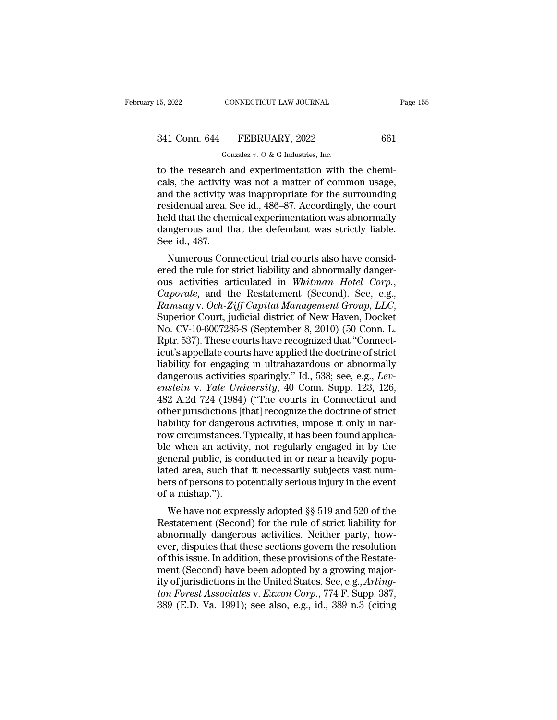| 15, 2022      | CONNECTICUT LAW JOURNAL                             | Page 155 |
|---------------|-----------------------------------------------------|----------|
| 341 Conn. 644 | FEBRUARY, 2022                                      | 661      |
|               | Gonzalez $v$ . O & G Industries, Inc.               |          |
|               | to the research and experimentation with the chemi- |          |

15, 2022 CONNECTICUT LAW JOURNAL<br>
341 Conn. 644 FEBRUARY, 2022 661<br>
661<br>
601 Gonzalez v. 0 & G Industries, Inc.<br>
to the research and experimentation with the chemi-<br>
cals, the activity was not a matter of common usage,<br>
a 341 Conn. 644 FEBRUARY, 2022 661<br>
Gonzalez v. 0 & G Industries, Inc.<br>
to the research and experimentation with the chemicals, the activity was not a matter of common usage,<br>
and the activity was inappropriate for the surr 341 Conn. 644 FEBRUARY, 2022 661<br>
Gonzalez v. 0 & G Industries, Inc.<br>
to the research and experimentation with the chemicals, the activity was not a matter of common usage,<br>
and the activity was inappropriate for the surr 341 Conn. 644 FEBRUARY, 2022 661<br>
Gonzalez v. 0 & G Industries, Inc.<br>
to the research and experimentation with the chemicals, the activity was not a matter of common usage,<br>
and the activity was inappropriate for the surr Gonzalez v. O & G Industries, Inc.<br>to the research and experimentation with the chemicals, the activity was not a matter of common usage,<br>and the activity was inappropriate for the surrounding<br>residential area. See id., 4 Gonzalez v. O & G Industries, Inc.<br>to the research and experimentation with the chemi-<br>cals, the activity was not a matter of common usage,<br>and the activity was inappropriate for the surrounding<br>residential area. See id., to the research a<br>cals, the activity<br>and the activity v<br>residential area. S<br>held that the chen<br>dangerous and tl<br>See id., 487.<br>Numerous Con is, the activity was not a matter or common usage,<br>d the activity was inappropriate for the surrounding<br>sidential area. See id., 486–87. Accordingly, the court<br>ld that the chemical experimentation was abnormally<br>ngerous an and the activity was happropriate for the surfounding<br>residential area. See id., 486–87. Accordingly, the court<br>held that the chemical experimentation was abnormally<br>dangerous and that the defendant was strictly liable.<br>Se

Fesidential area. See id., 480–87. Accordingly, the court<br>held that the chemical experimentation was abnormally<br>dangerous and that the defendant was strictly liable.<br>See id., 487.<br>Numerous Connecticut trial courts also hav *Ramsay* v. *Och-Ziff Capital Management Group, Let* Connecticut trial courts also have considered the rule for strict liability and abnormally dangerous activities articulated in *Whitman Hotel Corp.*, *Caporale*, and the Numerous Connecticut trial courts also have considered the rule for strict liability and abnormally dangerous activities articulated in *Whitman Hotel Corp.*, *Caporale*, and the Restatement (Second). See, e.g., *Ramsay* v ered the rule for strict liability and abnormally danger-<br>ous activities articulated in *Whitman Hotel Corp.,*<br>*Caporale,* and the Restatement (Second). See, e.g.,<br>*Ramsay* v. *Och-Ziff Capital Management Group, LLC,*<br>Supe ous activities articulated in Whitman Hotel Corp.,<br>
Caporale, and the Restatement (Second). See, e.g.,<br>
Ramsay v. Och-Ziff Capital Management Group, LLC,<br>
Superior Court, judicial district of New Haven, Docket<br>
No. CV-10-6 Caporale, and the Restatement (Second). See, e.g.,<br>
Ramsay v. Och-Ziff Capital Management Group, LLC,<br>
Superior Court, judicial district of New Haven, Docket<br>
No. CV-10-6007285-S (September 8, 2010) (50 Conn. L.<br>
Rptr. 537 Ramsay v. Och-Ziff Capital Management Group, LLC,<br>Superior Court, judicial district of New Haven, Docket<br>No. CV-10-6007285-S (September 8, 2010) (50 Conn. L.<br>Rptr. 537). These courts have recognized that "Connect-<br>icut's a Superior Court, judicial district of New Haven, Docket<br>No. CV-10-6007285-S (September 8, 2010) (50 Conn. L.<br>Rptr. 537). These courts have recognized that "Connect-<br>icut's appellate courts have applied the doctrine of stric No. CV-10-6007285-S (September 8, 2010) (50 Conn. L.<br>Rptr. 537). These courts have recognized that "Connect-<br>icut's appellate courts have applied the doctrine of strict<br>liability for engaging in ultrahazardous or abnormall Rptr. 537). These courts have recognized that "Connecticut's appellate courts have applied the doctrine of strict liability for engaging in ultrahazardous or abnormally dangerous activities sparingly." Id., 538; see, e.g., icut's appellate courts have applied the doctrine of strict<br>liability for engaging in ultrahazardous or abnormally<br>dangerous activities sparingly." Id., 538; see, e.g., *Lev-<br>enstein* v. *Yale University*, 40 Conn. Supp. 1 liability for engaging in ultrahazardous or abnormally<br>dangerous activities sparingly." Id., 538; see, e.g., *Levenstein* v. *Yale University*, 40 Conn. Supp. 123, 126,<br>482 A.2d 724 (1984) ("The courts in Connecticut and<br>o dangerous activities sparingly." Id., 538; see, e.g., *Levenstein* v. *Yale University*, 40 Conn. Supp. 123, 126, 482 A.2d 724 (1984) ("The courts in Connecticut and other jurisdictions [that] recognize the doctrine of str enstein v. *Yale University*, 40 Conn. Supp. 123, 126, 482 A.2d 724 (1984) ("The courts in Connecticut and other jurisdictions [that] recognize the doctrine of strict liability for dangerous activities, impose it only in n 482 A.2d 724 (1984) ("The courts in Connecticut and<br>other jurisdictions [that] recognize the doctrine of strict<br>liability for dangerous activities, impose it only in nar-<br>row circumstances. Typically, it has been found app other jurisdictions [that] recognize the doctrine of strict<br>liability for dangerous activities, impose it only in nar-<br>row circumstances. Typically, it has been found applica-<br>ble when an activity, not regularly engaged in liability for dangero<br>row circumstances.'<br>ble when an activity<br>general public, is co<br>lated area, such tha<br>bers of persons to po<br>of a mishap.'').<br>We have not expre we chromistances. Typicany, it has been found applicate when an activity, not regularly engaged in by the neral public, is conducted in or near a heavily poputed area, such that it necessarily subjects vast num-<br>rs of pers ble when an activity, not regularly engaged in by the<br>general public, is conducted in or near a heavily populated area, such that it necessarily subjects vast num-<br>bers of persons to potentially serious injury in the event

general public, is conducted in of hear a heavily populated area, such that it necessarily subjects vast numbers of persons to potentially serious injury in the event of a mishap.").<br>We have not expressly adopted §§ 519 an rated area, such that it necessarily subjects vast humbers of persons to potentially serious injury in the event<br>of a mishap.").<br>We have not expressly adopted §§ 519 and 520 of the<br>Restatement (Second) for the rule of stri bers of persons to potentially serious figury in the event<br>of a mishap.").<br>We have not expressly adopted §§ 519 and 520 of the<br>Restatement (Second) for the rule of strict liability for<br>abnormally dangerous activities. Neit We have not expressly adopted  $\S$  519 and 520 of the<br>Restatement (Second) for the rule of strict liability for<br>abnormally dangerous activities. Neither party, how-<br>ever, disputes that these sections govern the resolution<br> We have not expressly adopted §§ 519 and 520 of the<br>Restatement (Second) for the rule of strict liability for<br>abnormally dangerous activities. Neither party, how-<br>ever, disputes that these sections govern the resolution<br>of Restatement (Second) for the rule of strict liability for<br>abnormally dangerous activities. Neither party, how-<br>ever, disputes that these sections govern the resolution<br>of this issue. In addition, these provisions of the Re abnormally dangerous activities. Neither party, how-<br>ever, disputes that these sections govern the resolution<br>of this issue. In addition, these provisions of the Restate-<br>ment (Second) have been adopted by a growing major-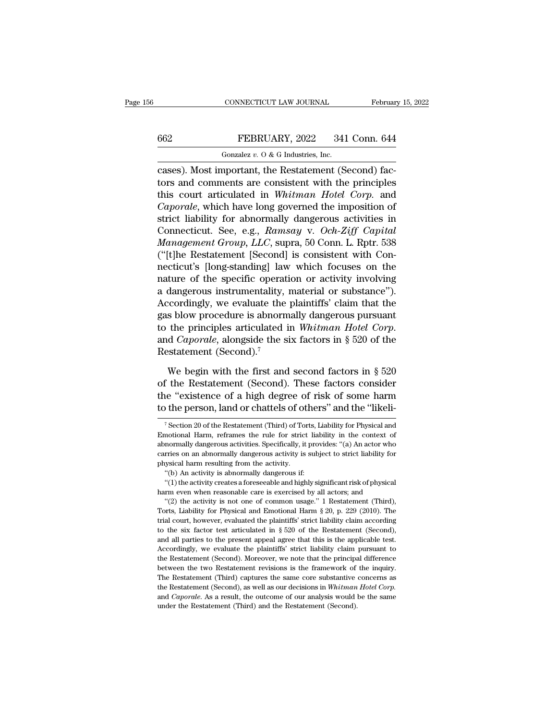## CONNECTICUT LAW JOURNAL February 15, 2022<br>662 FEBRUARY, 2022 341 Conn. 644<br>601 Gonzalez v. 0 & G Industries, Inc. CONNECTICUT LAW JOURNAL<br>FEBRUARY, 2022 341<br>Gonzalez *v.* O & G Industries, Inc.<br>mportant the Restatement (Se

CONNECTICUT LAW JOURNAL Februar<br>
FEBRUARY, 2022 341 Conn. 644<br>
Gonzalez v. 0 & G Industries, Inc.<br>
Cases). Most important, the Restatement (Second) fac-<br>
tors and comments are consistent with the principles<br>
this sourt ext FEBRUARY, 2022 341 Conn. 644<br>
Gonzalez v. 0 & G Industries, Inc.<br>
cases). Most important, the Restatement (Second) fac-<br>
tors and comments are consistent with the principles<br>
this court articulated in *Whitman Hotel Corp* FEBRUARY, 2022 341 Conn. 644<br>
Conzalez v. O & G Industries, Inc.<br>
Cases). Most important, the Restatement (Second) fac-<br>
tors and comments are consistent with the principles<br>
this court articulated in *Whitman Hotel Corp Caporales v. O & G Industries, Inc.*<br> *Cases Caporales v. O & G Industries, Inc.*<br> *Cases Caporale, Which the Restatement (Second) factors and comments are consistent with the principles*<br> *Caporale, which have long g* Gonzalez v. O & G Industries, Inc.<br>
cases). Most important, the Restatement (Second) fac-<br>
tors and comments are consistent with the principles<br>
this court articulated in *Whitman Hotel Corp*. and<br> *Caporale*, which have Gonzaez *v.* O & G maustries, mc.<br>
cases). Most important, the Restatement (Second) fac-<br>
tors and comments are consistent with the principles<br>
this court articulated in *Whitman Hotel Corp.* and<br> *Caporale*, which have lo cases). Most important, the Restatement (Second) factors and comments are consistent with the principles<br>this court articulated in *Whitman Hotel Corp*. and<br>*Caporale*, which have long governed the imposition of<br>strict lia tors and comments are consistent with the principles<br>this court articulated in *Whitman Hotel Corp*. and<br>*Caporale*, which have long governed the imposition of<br>strict liability for abnormally dangerous activities in<br>Connec this court articulated in Whitman Hotel Corp. and<br>
Caporale, which have long governed the imposition of<br>
strict liability for abnormally dangerous activities in<br>
Connecticut. See, e.g., Ramsay v. Och-Ziff Capital<br>
Manageme Caporale, which have long governed the imposition of<br>strict liability for abnormally dangerous activities in<br>Connecticut. See, e.g., Ramsay v. Och-Ziff Capital<br>Management Group, LLC, supra, 50 Conn. L. Rptr. 538<br>("[t]he Re strict liability for abnormally dangerous activities in<br>Connecticut. See, e.g., Ramsay v. Och-Ziff Capital<br>Management Group, LLC, supra, 50 Conn. L. Rptr. 538<br>("[t]he Restatement [Second] is consistent with Con-<br>necticut's Connecticut. See, e.g., Ramsay v. Och-Ziff Capital<br>Management Group, LLC, supra, 50 Conn. L. Rptr. 538<br>("[t]he Restatement [Second] is consistent with Con-<br>necticut's [long-standing] law which focuses on the<br>nature of the Management Group, LLC, supra, 50 Conn. L. Rptr. 538<br>("[t]he Restatement [Second] is consistent with Connecticut's [long-standing] law which focuses on the<br>nature of the specific operation or activity involving<br>a dangerous ("[t]he Restatement [Second] is consistent with Connecticut's [long-standing] law which focuses on the nature of the specific operation or activity involving a dangerous instrumentality, material or substance"). Accordingl nature of the specific operat<br>a dangerous instrumentality,<br>Accordingly, we evaluate the<br>gas blow procedure is abnorm<br>to the principles articulated i<br>and *Caporale*, alongside the s<br>Restatement (Second).<sup>7</sup><br>We begin with th coordingly, we evaluate the plaintiffs' claim that the<br>s blow procedure is abnormally dangerous pursuant<br>the principles articulated in *Whitman Hotel Corp*.<br>d *Caporale*, alongside the six factors in § 520 of the<br>statemen gas blow procedure is abnormally dangerous pursuant<br>to the principles articulated in *Whitman Hotel Corp*.<br>and *Caporale*, alongside the six factors in § 520 of the<br>Restatement (Second).<sup>7</sup><br>We begin with the first and sec

to the principles articulated in *Whitman Hotel Corp*.<br>and *Caporale*, alongside the six factors in § 520 of the<br>Restatement (Second).<sup>7</sup><br>We begin with the first and second factors in § 520<br>of the Restatement (Second). Th and *Caporale*, alongside the six factors in § 520 of the<br>Restatement (Second).<sup>7</sup><br>We begin with the first and second factors in § 520<br>of the Restatement (Second). These factors consider<br>the "existence of a high degree of We begin with the first and second factors in § 520<br>f the Restatement (Second). These factors consider<br>ne "existence of a high degree of risk of some harm<br>the person, land or chattels of others" and the "likeli-<br><sup>7</sup> Sectio of the Restatement (Second). These factors consider<br>the "existence of a high degree of risk of some harm<br>to the person, land or chattels of others" and the "likeli-<br><sup>7</sup> Section 20 of the Restatement (Third) of Torts, Liabi

the "existence of a high degree of risk of some harm<br>to the person, land or chattels of others" and the "likeli-<br><sup>7</sup>Section 20 of the Restatement (Third) of Torts, Liability for Physical and<br>Emotional Harm, reframes the ru to the person, land or chattels of others" and the "likeli-<br>
<sup>7</sup> Section 20 of the Restatement (Third) of Torts, Liability for Physical and<br>
Emotional Harm, reframes the rule for strict liability in the context of<br>
abnorm  $\frac{1}{\sqrt{2}}$  isotion 20 of the Restatement (Third) of Tom Emotional Harm, reframes the rule for strict abnormally dangerous activities. Specifically, it carries on an abnormally dangerous activity is physical harm resulti <sup>7</sup> Section 20 of the Restatement (Third) of Torts, I<br>motional Harm, reframes the rule for strict liat<br>normally dangerous activities. Specifically, it prov<br>rries on an abnormally dangerous activity is subj<br>ysical harm res notional Harm, reframes the rule for strict liability in the context of normally dangerous activities. Specifically, it provides: "(a) An actor who rries on an abnormally dangerous activity is subject to strict liability f abormally dangerous activities. Specifically, it provides: "(a) An actor who carries on an abnormally dangerous activity is subject to strict liability for physical harm resulting from the activity.<br>"(b) An activity is ab

The activity is not one of common usage.'' 1 Restatement (Third), "<br>
"(b) An activity is abnormally dangerous activity.<br>
"(b) An activity is abnormally dangerous if:<br>
"(1) the activity creates a foreseeable and highly sig physical harm resulting from the activity.<br>
"(b) An activity is abnormally dangerous if:<br>
"(1) the activity creates a foreseeable and highly significant risk of physical<br>
harm even when reasonable care is exercised by all "(b) An activity is abnormally dangerous if:<br>
"(1) the activity creates a foreseeable and highly significant risk of physical<br>
harm even when reasonable care is exercised by all actors; and<br>
"(2) the activity is not one o (1) the activity creates a foreseeable and highly significant risk of physical harm even when reasonable care is exercised by all actors; and "(2) the activity is not one of common usage." 1 Restatement (Third), Torts, Li harm even when reasonable care is exercised by all actors; and <br>
"(2) the activity is not one of common usage." 1 Restatement (Third),<br>
Torts, Liability for Physical and Emotional Harm § 20, p. 229 (2010). The<br>
trial court "(2) the activity is not one of common usage." 1 Restatement (Third), Torts, Liability for Physical and Emotional Harm § 20, p. 229 (2010). The trial court, however, evaluated the plaintiffs' strict liability claim accord Torts, Liability for Physical and Emotional Harm § 20, p. 229 (2010). The trial court, however, evaluated the plaintiffs' strict liability claim according to the six factor test articulated in § 520 of the Restatement (Se trial court, however, evaluated the plaintiffs' strict liability claim according to the six factor test articulated in § 520 of the Restatement (Second), and all parties to the present appeal agree that this is the applic to the six factor test articulated in § 520 of the Restatement (Second), and all parties to the present appeal agree that this is the applicable test. Accordingly, we evaluate the plaintiffs' strict liability claim pursua and all parties to the present appeal agree that this is the applicable test. Accordingly, we evaluate the plaintiffs' strict liability claim pursuant to the Restatement (Second). Moreover, we note that the principal diffe are and *Accordingly*, we evaluate the plaintiffs' strict liability claim pursuant to the Restatement (Second). Moreover, we note that the principal difference between the two Restatement revisions is the framework of the the Restatement (Second). Moreover, we note that the principal difference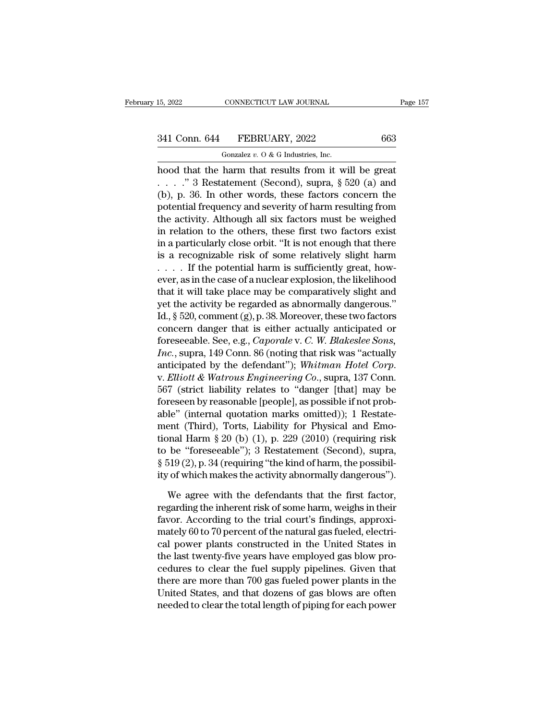# 15, 2022 CONNECTICUT LAW JOURNAL Page 157<br>341 Conn. 644 FEBRUARY, 2022 663<br>Gonzalez v. 0 & G Industries, Inc.

15, 2022 CONNECTICUT LAW JOURNAL<br>
341 Conn. 644 FEBRUARY, 2022 663<br>
Gonzalez *v.* O & G Industries, Inc.<br>
hood that the harm that results from it will be great 15, 2022 CONNECTICUT LAW JOURNAL Page 15'<br>
341 Conn. 644 FEBRUARY, 2022 663<br>
Gonzalez v. 0 & G Industries, Inc.<br>
hood that the harm that results from it will be great<br>
...." 3 Restatement (Second), supra, § 520 (a) and<br>
( 341 Conn. 644 FEBRUARY, 2022 663<br>
Gonzalez v. 0 & G Industries, Inc.<br>
hood that the harm that results from it will be great<br>
....." 3 Restatement (Second), supra, § 520 (a) and<br>
(b), p. 36. In other words, these factors c (b), 341 Conn. 644 FEBRUARY, 2022 663<br>
(conzalez v. 0 & G Industries, Inc.<br>
hood that the harm that results from it will be great<br>  $\ldots$  and  $\qquad$   $\qquad$   $\qquad$   $\qquad$   $\qquad$   $\qquad$   $\qquad$   $\qquad$   $\qquad$   $\qquad$   $\qquad$   $\qquad$   $\qquad$   $\$ 341 Conn. 644 FEBRUARY, 2022 663<br>
Gonzalez v. 0 & G Industries, Inc.<br>
hood that the harm that results from it will be great<br>
....." 3 Restatement (Second), supra, § 520 (a) and<br>
(b), p. 36. In other words, these factors c Gonzalez v.  $0$  & G Industries, Inc.<br>
hood that the harm that results from it will be great<br>  $\ldots$   $\ldots$   $\cdot$  3 Restatement (Second), supra, § 520 (a) and<br>
(b), p. 36. In other words, these factors concern the<br>
potential **in relative to the other is a metallicial to the other is a metallic of summanned in the other words, these factors concern the potential frequency and severity of harm resulting from the activity. Although all six facto** hood that the harm that results from it will be great<br>  $\ldots$  ." 3 Restatement (Second), supra, § 520 (a) and<br>
(b), p. 36. In other words, these factors concern the<br>
potential frequency and severity of harm resulting from<br>  $\ldots$   $\ldots$   $\ddot{\text{ }}$  3 Restatement (Second), supra, § 520 (a) and<br>(b), p. 36. In other words, these factors concern the<br>potential frequency and severity of harm resulting from<br>the activity. Although all six factors must (b), p. 36. In other words, these factors concern the potential frequency and severity of harm resulting from the activity. Although all six factors must be weighed in relation to the others, these first two factors exist potential frequency and severity of harm resulting from<br>the activity. Although all six factors must be weighed<br>in relation to the others, these first two factors exist<br>in a particularly close orbit. "It is not enough that the activity. Although all six factors must be weighed<br>in relation to the others, these first two factors exist<br>in a particularly close orbit. "It is not enough that there<br>is a recognizable risk of some relatively slight in relation to the others, these first two factors exist<br>in a particularly close orbit. "It is not enough that there<br>is a recognizable risk of some relatively slight harm<br> $\ldots$  If the potential harm is sufficiently great, in a particularly close orbit. "It is not enough that there<br>is a recognizable risk of some relatively slight harm<br> $\ldots$  If the potential harm is sufficiently great, how-<br>ever, as in the case of a nuclear explosion, the li is a recognizable risk of some relatively slight harm<br>
.... If the potential harm is sufficiently great, how-<br>
ever, as in the case of a nuclear explosion, the likelihood<br>
that it will take place may be comparatively slig Foreseeable. See, e.g., *Caporale* v. *C. W. Blakeslee Sons, Inc.*, supraised by the differential by the activity be regarded as abnormally dangerous."<br>Id., § 520, comment (g), p. 38. Moreover, these two factors concern da ever, as in the case of a nuclear explosion, the likelihood<br>that it will take place may be comparatively slight and<br>yet the activity be regarded as abnormally dangerous."<br>Id., § 520, comment (g), p. 38. Moreover, these two that it will take place may be comparatively slight and<br>yet the activity be regarded as abnormally dangerous."<br>Id., § 520, comment (g), p. 38. Moreover, these two factors<br>concern danger that is either actually anticipated 1d., § 520, comment (g), p. 38. Moreover, these two factors<br>concern danger that is either actually anticipated or<br>foreseeable. See, e.g., *Caporale* v. *C. W. Blakeslee Sons,*<br>*Inc.*, supra, 149 Conn. 86 (noting that risk concern danger that is either actually anticipated or<br>foreseeable. See, e.g., *Caporale* v. *C. W. Blakeslee Sons*,<br>*Inc.*, supra, 149 Conn. 86 (noting that risk was "actually<br>anticipated by the defendant"); *Whitman Hotel* foreseeable. See, e.g., *Caporale* v. *C. W. Blakeslee Sons*, *Inc.*, supra, 149 Conn. 86 (noting that risk was "actually anticipated by the defendant"); *Whitman Hotel Corp.* v. *Elliott* & *Watrous Engineering Co.*, sup *Inc.*, supra, 149 Conn. 86 (noting that risk was "actually anticipated by the defendant"); *Whitman Hotel Corp.*<br>v. *Elliott & Watrous Engineering Co.*, supra, 137 Conn. 567 (strict liability relates to "danger [that] ma anticipated by the defendant"); *Whitman Hotel Corp.*<br>v. *Elliott & Watrous Engineering Co.*, supra, 137 Conn.<br>567 (strict liability relates to "danger [that] may be<br>foreseen by reasonable [people], as possible if not pro v. *Elliott & Watrous Engineering Co.*, supra, 137 Conn.<br>567 (strict liability relates to "danger [that] may be<br>foreseen by reasonable [people], as possible if not prob-<br>able" (internal quotation marks omitted)); 1 Restat b67 (strict liability relates to "danger [that] may be foreseen by reasonable [people], as possible if not probable" (internal quotation marks omitted)); 1 Restatement (Third), Torts, Liability for Physical and Emotional H foreseen by reasonable [people], as possible if not prob-<br>able" (internal quotation marks omitted)); 1 Restate-<br>ment (Third), Torts, Liability for Physical and Emo-<br>tional Harm § 20 (b) (1), p. 229 (2010) (requiring risk<br>t ent (Third), Torts, Liability for Physical and Emo-<br>nal Harm § 20 (b) (1), p. 229 (2010) (requiring risk<br>be "foreseeable"); 3 Restatement (Second), supra,<br>519 (2), p. 34 (requiring "the kind of harm, the possibil-<br>of which tional Harm § 20 (b) (1), p. 229 (2010) (requiring risk<br>to be "foreseeable"); 3 Restatement (Second), supra,<br>§ 519 (2), p. 34 (requiring "the kind of harm, the possibil-<br>ity of which makes the activity abnormally dangerou

to be "foreseeable"); 3 Restatement (Second), supra,  $\S 519 (2)$ , p. 34 (requiring "the kind of harm, the possibility of which makes the activity abnormally dangerous").<br>We agree with the defendants that the first factor,  $\S$  519 (2), p. 34 (requiring "the kind of harm, the possibility of which makes the activity abnormally dangerous").<br>We agree with the defendants that the first factor, regarding the inherent risk of some harm, weighs in ity of which makes the activity abnormally dangerous").<br>We agree with the defendants that the first factor,<br>regarding the inherent risk of some harm, weighs in their<br>favor. According to the trial court's findings, approxi-We agree with the defendants that the first factor,<br>regarding the inherent risk of some harm, weighs in their<br>favor. According to the trial court's findings, approxi-<br>mately 60 to 70 percent of the natural gas fueled, elec We agree with the defendants that the first factor,<br>regarding the inherent risk of some harm, weighs in their<br>favor. According to the trial court's findings, approxi-<br>mately 60 to 70 percent of the natural gas fueled, elec regarding the inherent risk of some harm, weighs in their<br>favor. According to the trial court's findings, approxi-<br>mately 60 to 70 percent of the natural gas fueled, electri-<br>cal power plants constructed in the United Stat favor. According to the trial court's findings, approximately 60 to 70 percent of the natural gas fueled, electrical power plants constructed in the United States in the last twenty-five years have employed gas blow proced mately 60 to 70 percent of the natural gas fueled, electrical power plants constructed in the United States in<br>the last twenty-five years have employed gas blow pro-<br>cedures to clear the fuel supply pipelines. Given that<br>t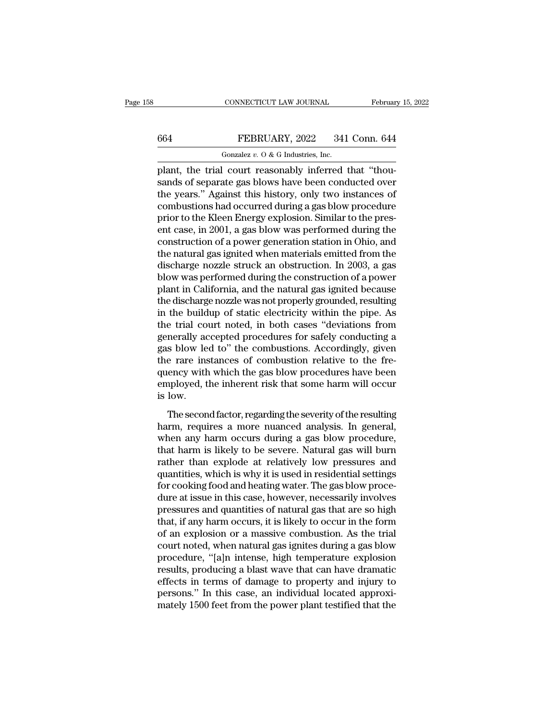## CONNECTICUT LAW JOURNAL February 15, 2022<br>664 FEBRUARY, 2022 341 Conn. 644<br>601 Gonzalez v. 0 & G Industries, Inc. CONNECTICUT LAW JOURNAL<br>FEBRUARY, 2022 341<br>Gonzalez *v.* O & G Industries, Inc.<br>Court reasonably inferred

CONNECTICUT LAW JOURNAL Februar<br>
FEBRUARY, 2022 341 Conn. 644<br>
Gonzalez v. 0 & G Industries, Inc.<br>
plant, the trial court reasonably inferred that "thou-<br>
sands of separate gas blows have been conducted over<br>
the years." A EBRUARY, 2022 341 Conn. 644<br>
Gonzalez v. 0 & G Industries, Inc.<br>
plant, the trial court reasonably inferred that "thou-<br>
sands of separate gas blows have been conducted over<br>
the years." Against this history, only two inst FEBRUARY, 2022 341 Conn. 644<br>
Gonzalez v. O & G Industries, Inc.<br>
plant, the trial court reasonably inferred that "thousands of separate gas blows have been conducted over<br>
the years." Against this history, only two insta 664 FEBRUARY, 2022 341 Conn. 644<br>
Gonzalez v. 0 & G Industries, Inc.<br>
plant, the trial court reasonably inferred that "thou-<br>
sands of separate gas blows have been conducted over<br>
the years." Against this history, only tw FIRENCELL, THE CALC THE CALC THE CALC TRANSPARED (Sondalize v. 0 & G Industries, Inc.<br>
plant, the trial court reasonably inferred that "thou-<br>
sands of separate gas blows have been conducted over<br>
the years." Against this Gonzalez v. O & G maustries, inc.<br>
plant, the trial court reasonably inferred that "thou-<br>
sands of separate gas blows have been conducted over<br>
the years." Against this history, only two instances of<br>
combustions had occ plant, the trial court reasonably inferred that "thou-<br>sands of separate gas blows have been conducted over<br>the years." Against this history, only two instances of<br>combustions had occurred during a gas blow procedure<br>prior sands of separate gas blows have been conducted over<br>the years." Against this history, only two instances of<br>combustions had occurred during a gas blow procedure<br>prior to the Kleen Energy explosion. Similar to the pres-<br>en the years." Against this history, only two instances of<br>combustions had occurred during a gas blow procedure<br>prior to the Kleen Energy explosion. Similar to the pres-<br>ent case, in 2001, a gas blow was performed during the<br> combustions had occurred during a gas blow procedure<br>prior to the Kleen Energy explosion. Similar to the pres-<br>ent case, in 2001, a gas blow was performed during the<br>construction of a power generation station in Ohio, and<br> prior to the Kleen Energy explosion. Similar to the present case, in 2001, a gas blow was performed during the construction of a power generation station in Ohio, and the natural gas ignited when materials emitted from the ent case, in 2001, a gas blow was performed during the construction of a power generation station in Ohio, and the natural gas ignited when materials emitted from the discharge nozzle struck an obstruction. In 2003, a gas construction of a power generation station in Ohio, and<br>the natural gas ignited when materials emitted from the<br>discharge nozzle struck an obstruction. In 2003, a gas<br>blow was performed during the construction of a power<br>p the natural gas ignited when materials emitted from the<br>discharge nozzle struck an obstruction. In 2003, a gas<br>blow was performed during the construction of a power<br>plant in California, and the natural gas ignited because<br> discharge nozzle struck an obstruction. In 2003, a gas<br>blow was performed during the construction of a power<br>plant in California, and the natural gas ignited because<br>the discharge nozzle was not properly grounded, resultin blow was performed during the construction of a power<br>plant in California, and the natural gas ignited because<br>the discharge nozzle was not properly grounded, resulting<br>in the buildup of static electricity within the pipe. plant in California, and the natural gas ignited because<br>the discharge nozzle was not properly grounded, resulting<br>in the buildup of static electricity within the pipe. As<br>the trial court noted, in both cases "deviations f the discharge nozzle was not properly grounded, resulting<br>in the buildup of static electricity within the pipe. As<br>the trial court noted, in both cases "deviations from<br>generally accepted procedures for safely conducting a in the buildup of static electricity within the pipe. As<br>the trial court noted, in both cases "deviations from<br>generally accepted procedures for safely conducting a<br>gas blow led to" the combustions. Accordingly, given<br>the the trial co<br>generally ac<br>gas blow le<br>the rare ins<br>quency with<br>employed, t<br>is low.<br>The secon The second factor, regarding the severity of the resulting a<br>property with which the gas blow procedures have been<br>ployed, the inherent risk that some harm will occur<br>low.<br>The second factor, regarding the severity of the r gas sion rea to the combustors. Incordingly, given<br>the rare instances of combustion relative to the fre-<br>quency with which the gas blow procedures have been<br>employed, the inherent risk that some harm will occur<br>is low.<br>The

are rare instances of comsussion relative to the reducement of the distribution of the enemployed, the inherent risk that some harm will occur is low.<br>The second factor, regarding the severity of the resulting harm, requir quericy with which are gas slow procedures have seen<br>employed, the inherent risk that some harm will occur<br>is low.<br>The second factor, regarding the severity of the resulting<br>harm, requires a more nuanced analysis. In gener rather than explorers and some narrow with security is low.<br>The second factor, regarding the severity of the resulting<br>harm, requires a more nuanced analysis. In general,<br>when any harm occurs during a gas blow procedure,<br>t The second factor, regarding the severity of the resulting<br>harm, requires a more nuanced analysis. In general,<br>when any harm occurs during a gas blow procedure,<br>that harm is likely to be severe. Natural gas will burn<br>rathe The second factor, regarding the severity of the resulting<br>harm, requires a more nuanced analysis. In general,<br>when any harm occurs during a gas blow procedure,<br>that harm is likely to be severe. Natural gas will burn<br>rathe harm, requires a more nuanced analysis. In general,<br>when any harm occurs during a gas blow procedure,<br>that harm is likely to be severe. Natural gas will burn<br>rather than explode at relatively low pressures and<br>quantities, when any harm occurs during a gas blow procedure,<br>that harm is likely to be severe. Natural gas will burn<br>rather than explode at relatively low pressures and<br>quantities, which is why it is used in residential settings<br>for that harm is likely to be severe. Natural gas will burn<br>rather than explode at relatively low pressures and<br>quantities, which is why it is used in residential settings<br>for cooking food and heating water. The gas blow proce rather than explode at relatively low pressures and<br>quantities, which is why it is used in residential settings<br>for cooking food and heating water. The gas blow proce-<br>dure at issue in this case, however, necessarily invol quantities, which is why it is used in residential settings<br>for cooking food and heating water. The gas blow proce-<br>dure at issue in this case, however, necessarily involves<br>pressures and quantities of natural gas that are for cooking food and heating water. The gas blow procedure at issue in this case, however, necessarily involves<br>pressures and quantities of natural gas that are so high<br>that, if any harm occurs, it is likely to occur in th dure at issue in this case, however, necessarily involves<br>pressures and quantities of natural gas that are so high<br>that, if any harm occurs, it is likely to occur in the form<br>of an explosion or a massive combustion. As the pressures and quantities of natural gas that are so high<br>that, if any harm occurs, it is likely to occur in the form<br>of an explosion or a massive combustion. As the trial<br>court noted, when natural gas ignites during a gas that, if any harm occurs, it is likely to occur in the form<br>of an explosion or a massive combustion. As the trial<br>court noted, when natural gas ignites during a gas blow<br>procedure, "[a]n intense, high temperature explosion of an explosion or a massive combustion. As the trial<br>court noted, when natural gas ignites during a gas blow<br>procedure, "[a]n intense, high temperature explosion<br>results, producing a blast wave that can have dramatic<br>effe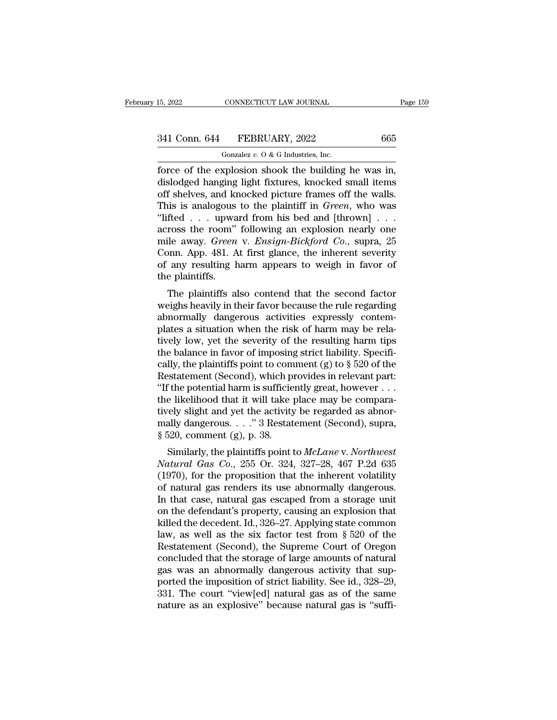# 15, 2022 CONNECTICUT LAW JOURNAL Page 159<br>341 Conn. 644 FEBRUARY, 2022 665<br>Gonzalez v. 0 & G Industries, Inc.

CONNECTICUT LAW JOURNAL<br>FEBRUARY, 2022<br>Gonzalez *v.* O & G Industries, Inc.<br>xplosion\_shook\_the\_building Force of the explosion shook the building he was independent of the explosion shook the building he was in, dislodged hanging light fixtures, knocked small items of shows and knocked picture frames of the walls  $\begin{array}{c} \text{341 Conn.}\ \text{644}\qquad \text{FEBRUARY, 2022}\qquad \qquad \text{665}\ \text{Gonzalez } v.\ 0\ \&\ \text{G Industries, Inc.}\ \end{array}$ <br>
force of the explosion shook the building he was in, dislodged hanging light fixtures, knocked small items off shelves, and knocked pi 341 Conn. 644 FEBRUARY, 2022 665<br>
Gonzalez v. 0 & G Industries, Inc.<br>
force of the explosion shook the building he was in,<br>
dislodged hanging light fixtures, knocked small items<br>
off shelves, and knocked picture frames of 341 Conn. 644 FEBRUARY, 2022 665<br>
Gonzalez v. 0 & G Industries, Inc.<br>
force of the explosion shook the building he was in,<br>
dislodged hanging light fixtures, knocked small items<br>
off shelves, and knocked picture frames of Gonzalez v. O & G Industries, Inc.<br>
force of the explosion shook the building he was in,<br>
dislodged hanging light fixtures, knocked small items<br>
off shelves, and knocked picture frames off the walls.<br>
This is analogous to Gonzalez v. O & G Industries, Inc.<br>
force of the explosion shook the building he was in,<br>
dislodged hanging light fixtures, knocked small items<br>
off shelves, and knocked picture frames off the walls.<br>
This is analogous to force of the explosion shook the building he was in,<br>dislodged hanging light fixtures, knocked small items<br>off shelves, and knocked picture frames off the walls.<br>This is analogous to the plaintiff in *Green*, who was<br>"lift dislodged hanging light fixtures, knocked small items<br>off shelves, and knocked picture frames off the walls.<br>This is analogous to the plaintiff in *Green*, who was<br>"lifted . . . upward from his bed and [thrown] . . .<br>acros off shelves, and knocked picture frames off the walls.<br>This is analogous to the plaintiff in *Green*, who was<br>"lifted . . . upward from his bed and [thrown] . . .<br>across the room" following an explosion nearly one<br>mile aw This is analogous<br>"lifted . . . upwa<br>across the room"<br>mile away. *Green*<br>Conn. App. 481. A<br>of any resulting h<br>the plaintiffs.<br>The plaintiffs al The plaintiffs also contend that the second factor<br>is heren were also contend that the second that the second factor<br>and resulting harm appears to weigh in favor of<br>e plaintiffs.<br>The plaintiffs also contend that the second across the room bolowing an explosion hearly one<br>mile away. *Green* v. *Ensign-Bickford Co.*, supra, 25<br>Conn. App. 481. At first glance, the inherent severity<br>of any resulting harm appears to weigh in favor of<br>the plaintif

Find away. Green V. Ensign-Bickford Co., supra, 25<br>Conn. App. 481. At first glance, the inherent severity<br>of any resulting harm appears to weigh in favor of<br>the plaintiffs.<br>The plaintiffs also contend that the second facto plant. App. 461. At first grance, the inherent severty<br>of any resulting harm appears to weigh in favor of<br>the plaintiffs.<br>The plaintiffs also contend that the second factor<br>weighs heavily in their favor because the rule re of any resulting narm appears to weight in favor of<br>the plaintiffs.<br>The plaintiffs also contend that the second factor<br>weighs heavily in their favor because the rule regarding<br>abnormally dangerous activities expressly con The plaintiffs also contend that the second factor<br>weighs heavily in their favor because the rule regarding<br>abnormally dangerous activities expressly contem-<br>plates a situation when the risk of harm may be rela-<br>tively lo The plaintiffs also contend that the second factor<br>weighs heavily in their favor because the rule regarding<br>abnormally dangerous activities expressly contem-<br>plates a situation when the risk of harm may be rela-<br>tively lo weighs heavily in their favor because the rule regarding<br>abnormally dangerous activities expressly contem-<br>plates a situation when the risk of harm may be rela-<br>tively low, yet the severity of the resulting harm tips<br>the b abnormally dangerous activities expressly contemplates a situation when the risk of harm may be relatively low, yet the severity of the resulting harm tips the balance in favor of imposing strict liability. Specifically, plates a situation when the risk of harm may be relatively low, yet the severity of the resulting harm tips<br>the balance in favor of imposing strict liability. Specifically, the plaintiffs point to comment (g) to  $\S 520$  o tively low, yet the severity of the resulting harm tips<br>the balance in favor of imposing strict liability. Specifi-<br>cally, the plaintiffs point to comment (g) to  $\S$  520 of the<br>Restatement (Second), which provides in rele the balance in favor of imposing strict liability. Specifically, the plaintiffs point to comment (g) to  $\S$  520 of the Restatement (Second), which provides in relevant part: "If the potential harm is sufficiently great, h cally, the plaintiffs point to com<br>Restatement (Second), which pi<br>"If the potential harm is sufficie<br>the likelihood that it will take p<br>tively slight and yet the activity<br>mally dangerous. . . . " 3 Restat<br>§ 520, comment (g Similarly, which provides in Felevalu part.<br>
The potential harm is sufficiently great, however . . .<br>
Le likelihood that it will take place may be compara-<br>
rely slight and yet the activity be regarded as abnor-<br>
abnoring *If* the likelihood that it will take place may be comparatively slight and yet the activity be regarded as abnormally dangerous. . . . " 3 Restatement (Second), supra, § 520, comment (g), p. 38.<br>Similarly, the plaintiffs

the intermood that it will take place hay be compara-<br>tively slight and yet the activity be regarded as abnor-<br>mally dangerous. . . . " 3 Restatement (Second), supra,<br> $\S 520$ , comment (g), p. 38.<br>Similarly, the plaintiffs tively siight and yet the activity be regarded as abilion-<br>mally dangerous. . . ." 3 Restatement (Second), supra,<br> $\S 520$ , comment (g), p. 38.<br>Similarly, the plaintiffs point to McLane v. Northwest<br>Natural Gas Co., 255 Or In that case, natural gas escaped from a storage unit<br>
In that case, natural Gas Co., 255 Or. 324, 327–28, 467 P.2d 635<br>
(1970), for the proposition that the inherent volatility<br>
of natural gas renders its use abnormally s 520, comment (g), p. 38.<br>
Similarly, the plaintiffs point to McLane v. Northwest<br>
Natural Gas Co., 255 Or. 324, 327–28, 467 P.2d 635<br>
(1970), for the proposition that the inherent volatility<br>
of natural gas renders its Similarly, the plaintiffs point to *McLane* v. *Northwest*<br>Natural Gas Co., 255 Or. 324, 327–28, 467 P.2d 635<br>(1970), for the proposition that the inherent volatility<br>of natural gas renders its use abnormally dangerous.<br>In Natural Gas Co., 255 Or. 324, 327–28, 467 P.2d 635<br>(1970), for the proposition that the inherent volatility<br>of natural gas renders its use abnormally dangerous.<br>In that case, natural gas escaped from a storage unit<br>on the (1970), for the proposition that the inherent volatility<br>of natural gas renders its use abnormally dangerous.<br>In that case, natural gas escaped from a storage unit<br>on the defendant's property, causing an explosion that<br>ki of natural gas renders its use abnormally dangerous.<br>In that case, natural gas escaped from a storage unit<br>on the defendant's property, causing an explosion that<br>killed the decedent. Id., 326–27. Applying state common<br>law In that case, natural gas escaped from a storage unit<br>on the defendant's property, causing an explosion that<br>killed the decedent. Id., 326–27. Applying state common<br>law, as well as the six factor test from  $\S 520$  of the<br> on the defendant's property, causing an explosion that<br>killed the decedent. Id., 326–27. Applying state common<br>law, as well as the six factor test from § 520 of the<br>Restatement (Second), the Supreme Court of Oregon<br>conclud killed the decedent. Id., 326–27. Applying state common<br>law, as well as the six factor test from § 520 of the<br>Restatement (Second), the Supreme Court of Oregon<br>concluded that the storage of large amounts of natural<br>gas was law, as well as the six factor test from  $\S$  520 of the Restatement (Second), the Supreme Court of Oregon concluded that the storage of large amounts of natural gas was an abnormally dangerous activity that supported the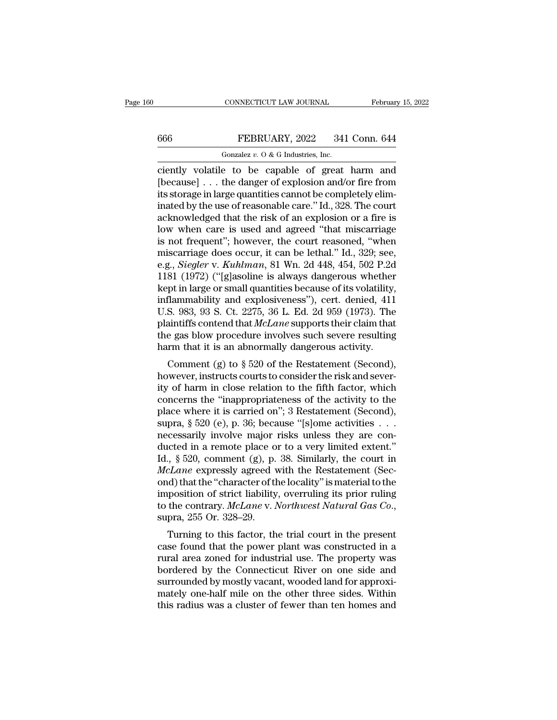## CONNECTICUT LAW JOURNAL February 15, 2022<br>666 FEBRUARY, 2022 341 Conn. 644<br>60121 Gonzalez v. 0 & G Industries, Inc. CONNECTICUT LAW JOURNAL<br>FEBRUARY, 2022 341<br>Gonzalez *v.* O & G Industries, Inc.<br>P to be canable of great

CONNECTICUT LAW JOURNAL February 15, 2022<br>
FEBRUARY, 2022 341 Conn. 644<br>
Gonzalez v. 0 & G Industries, Inc.<br>
Ciently volatile to be capable of great harm and<br>
[because] . . . the danger of explosion and/or fire from<br>
its  $\begin{array}{r} \hline \text{666} & \text{FEBRUARY, 2022} & \text{341 Conn. 644} \\ \hline \text{Gonzalez } v. 0 & \text{G Industries, Inc.} \\ \hline \text{ciently volatile to be capable of great harm and [because] . . . the danger of explosion and/or fire from its storage in large quantities cannot be completely eliminated by the use of reasonable care "Id. 328. The court$ 666 FEBRUARY, 2022 341 Conn. 644<br>
Gonzalez v. 0 & G Industries, Inc.<br>
ciently volatile to be capable of great harm and<br>
[because] . . . the danger of explosion and/or fire from<br>
its storage in large quantities cannot be c **EBRUARY**, 2022 341 Conn. 644<br>
Gonzalez v. 0 & G Industries, Inc.<br>
ciently volatile to be capable of great harm and<br>
[because] . . . the danger of explosion and/or fire from<br>
its storage in large quantities cannot be comp Gonzalez v.  $0$  & G Industries, Inc.<br>
ciently volatile to be capable of great harm and<br>
[because] . . . the danger of explosion and/or fire from<br>
its storage in large quantities cannot be completely elim-<br>
inated by the u Gonzalez v. O & G Industries, Inc.<br>
ciently volatile to be capable of great harm and<br>
[because]... the danger of explosion and/or fire from<br>
its storage in large quantities cannot be completely elim-<br>
inated by the use of ciently volatile to be capable of great harm and<br>[because] ... the danger of explosion and/or fire from<br>its storage in large quantities cannot be completely elim-<br>inated by the use of reasonable care." Id., 328. The court [because] . . . the danger of explosion and/or fire from<br>its storage in large quantities cannot be completely elim-<br>inated by the use of reasonable care." Id., 328. The court<br>acknowledged that the risk of an explosion or its storage in large quantities cannot be completely eliminated by the use of reasonable care." Id., 328. The court<br>acknowledged that the risk of an explosion or a fire is<br>low when care is used and agreed "that miscarriage inated by the use of reasonable care." Id., 328. The court<br>acknowledged that the risk of an explosion or a fire is<br>low when care is used and agreed "that miscarriage<br>is not frequent"; however, the court reasoned, "when<br>mis acknowledged that the risk of an explosion or a fire is<br>low when care is used and agreed "that miscarriage<br>is not frequent"; however, the court reasoned, "when<br>miscarriage does occur, it can be lethal." Id., 329; see,<br>e.g low when care is used and agreed "that miscarriage<br>is not frequent"; however, the court reasoned, "when<br>miscarriage does occur, it can be lethal." Id., 329; see,<br>e.g., *Siegler* v. *Kuhlman*, 81 Wn. 2d 448, 454, 502 P.2d<br>1 is not frequent"; however, the court reasoned, "when<br>miscarriage does occur, it can be lethal." Id., 329; see,<br>e.g., *Siegler* v. *Kuhlman*, 81 Wn. 2d 448, 454, 502 P.2d<br>1181 (1972) ("[g]asoline is always dangerous whether miscarriage does occur, it can be lethal." Id., 329; see, e.g., *Siegler v. Kuhlman*, 81 Wn. 2d 448, 454, 502 P.2d 1181 (1972) ("[g]asoline is always dangerous whether kept in large or small quantities because of its volat e.g., *Siegler* v. *Kuhlman*, 81 Wn. 2d 448, 454, 502 P.2d 1181 (1972) ("[g]asoline is always dangerous whether kept in large or small quantities because of its volatility, inflammability and explosiveness"), cert. denied, 1181 (1972) ("[g]asoline is always dangerous whether<br>kept in large or small quantities because of its volatility,<br>inflammability and explosiveness"), cert. denied, 411<br>U.S. 983, 93 S. Ct. 2275, 36 L. Ed. 2d 959 (1973). Th For an alge of small quantities because of its volatility,<br>flammability and explosiveness"), cert. denied, 411<br>S. 983, 93 S. Ct. 2275, 36 L. Ed. 2d 959 (1973). The<br>aintiffs contend that *McLane* supports their claim that<br> minalihability and exposiveness *f*, cert. denied, 411<br>U.S. 983, 93 S. Ct. 2275, 36 L. Ed. 2d 959 (1973). The<br>plaintiffs contend that *McLane* supports their claim that<br>the gas blow procedure involves such severe resultin

bis. 965, 95 S. Ct. 2210, 96 L. Ed. 2d 959 (1915). The<br>plaintiffs contend that *McLane* supports their claim that<br>the gas blow procedure involves such severe resulting<br>harm that it is an abnormally dangerous activity.<br>Com plantifis contend that *incluite* supports their claim that<br>the gas blow procedure involves such severe resulting<br>harm that it is an abnormally dangerous activity.<br>Comment (g) to  $\S 520$  of the Restatement (Second),<br>howev the gas blow procedule involves such severe resulting<br>harm that it is an abnormally dangerous activity.<br>Comment (g) to § 520 of the Restatement (Second),<br>however, instructs courts to consider the risk and sever-<br>ity of har Frame that it is an abilomially datgerous activity.<br>
Comment (g) to  $\S$  520 of the Restatement (Second),<br>
however, instructs courts to consider the risk and sever-<br>
ity of harm in close relation to the fifth factor, which Comment (g) to § 520 of the Restatement (Second),<br>however, instructs courts to consider the risk and sever-<br>ity of harm in close relation to the fifth factor, which<br>concerns the "inappropriateness of the activity to the<br>p however, instructs courts to consider the risk and sever-<br>ity of harm in close relation to the fifth factor, which<br>concerns the "inappropriateness of the activity to the<br>place where it is carried on"; 3 Restatement (Secon ity of harm in close relation to the fifth factor, which<br>concerns the "inappropriateness of the activity to the<br>place where it is carried on"; 3 Restatement (Second),<br>supra, § 520 (e), p. 36; because "[s]ome activities . . concerns the "inappropriateness of the activity to the place where it is carried on"; 3 Restatement (Second), supra, § 520 (e), p. 36; because "[s]ome activities . . . necessarily involve major risks unless they are conduc place where it is carried on"; 3 Restatement (Second),<br>supra, § 520 (e), p. 36; because "[s]ome activities . . .<br>necessarily involve major risks unless they are con-<br>ducted in a remote place or to a very limited extent."<br> supra, § 520 (e), p. 36; because "[s]ome activities . . . .<br>necessarily involve major risks unless they are con-<br>ducted in a remote place or to a very limited extent."<br>Id., § 520, comment (g), p. 38. Similarly, the court necessarily involve major risks unless they are conducted in a remote place or to a very limited extent."<br>Id., § 520, comment (g), p. 38. Similarly, the court in<br>*McLane* expressly agreed with the Restatement (Sec-<br>ond) th  $\alpha$ , s 520, comment (g), p. 56. Similarly, the court in  $\alpha$  and  $\alpha$  expressly agreed with the Restatement (Sec-<br>d) that the "character of the locality" is material to the prosition of strict liability, overruling its p metzune expressiy agreed with the nestatement (sec-<br>ond) that the "character of the locality" is material to the<br>imposition of strict liability, overruling its prior ruling<br>to the contrary. McLane v. Northwest Natural Gas

ond) that the character of the locality is hiaterial to the<br>imposition of strict liability, overruling its prior ruling<br>to the contrary. McLane v. Northwest Natural Gas Co.,<br>supra, 255 Or. 328–29.<br>Turning to this factor, t miposition of strict nabinty, overfuling its prior fulling<br>to the contrary. McLane v. Northwest Natural Gas Co.,<br>supra, 255 Or. 328–29.<br>Turning to this factor, the trial court in the present<br>case found that the power plant supra, 255 Or. 328–29.<br>
Turning to this factor, the trial court in the present<br>
case found that the power plant was constructed in a<br>
rural area zoned for industrial use. The property was<br>
bordered by the Connecticut River supra,  $255$  Or.  $325-25$ .<br>Turning to this factor, the trial court in the present case found that the power plant was constructed in a rural area zoned for industrial use. The property was bordered by the Connecticut Rive Turning to this factor, the trial court in the present case found that the power plant was constructed in a rural area zoned for industrial use. The property was bordered by the Connecticut River on one side and surrounded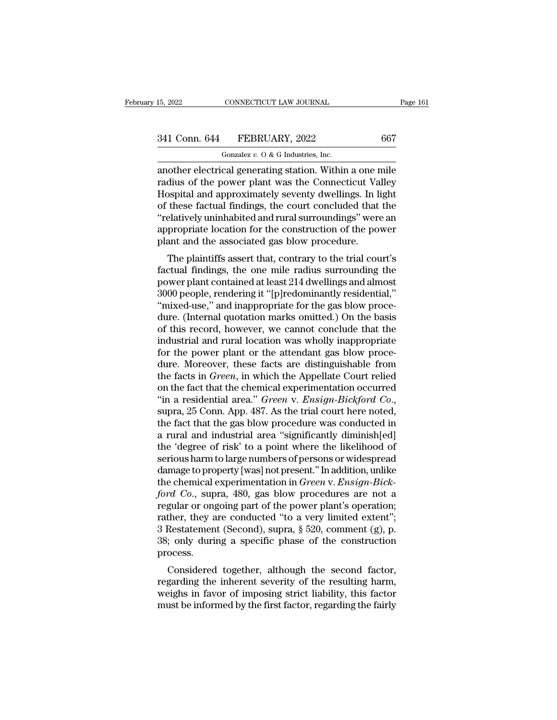## 15, 2022 CONNECTICUT LAW JOURNAL Page 161<br>341 Conn. 644 FEBRUARY, 2022 667<br>Gonzalez v. 0 & G Industries, Inc. CONNECTICUT LAW JOURNAL<br>FEBRUARY, 2022<br>Gonzalez *v.* O & G Industries, Inc.<br>cal generating station Within

15, 2022 CONNECTICUT LAW JOURNAL Page 161<br>
341 Conn. 644 FEBRUARY, 2022 667<br>
Gonzalez v. 0 & G Industries, Inc.<br>
another electrical generating station. Within a one mile<br>
radius of the power plant was the Connecticut Valle 341 Conn. 644 FEBRUARY, 2022 667<br>
Gonzalez v. 0 & G Industries, Inc.<br>
another electrical generating station. Within a one mile<br>
radius of the power plant was the Connecticut Valley<br>
Hospital and approximately seventy dwel 341 Conn. 644 FEBRUARY, 2022 667<br>
Gonzalez v. 0 & G Industries, Inc.<br>
another electrical generating station. Within a one mile<br>
radius of the power plant was the Connecticut Valley<br>
Hospital and approximately seventy dwel 341 Conn. 644 FEBRUARY, 2022 667<br>
Gonzalez v. 0 & G Industries, Inc.<br>
another electrical generating station. Within a one mile<br>
radius of the power plant was the Connecticut Valley<br>
Hospital and approximately seventy dwel  $\frac{1}{2}$   $\frac{1}{2}$   $\frac{1}{2}$   $\frac{1}{2}$   $\frac{1}{2}$   $\frac{1}{2}$   $\frac{1}{2}$   $\frac{1}{2}$   $\frac{1}{2}$   $\frac{1}{2}$   $\frac{1}{2}$   $\frac{1}{2}$  another electrical generating station. Within a one mile radius of the power plant was the Connecticu Gonzalez  $v$ . O & G Industries, Inc.<br>another electrical generating station. Within a one mile<br>radius of the power plant was the Connecticut Valley<br>Hospital and approximately seventy dwellings. In light<br>of these factual fi another electrical generating station. Within a one r<br>radius of the power plant was the Connecticut Va<br>Hospital and approximately seventy dwellings. In li<br>of these factual findings, the court concluded that<br>"relatively uni Solid and approximately seventy dwellings. In light<br>these factual findings, the court concluded that the<br>elatively uninhabited and rural surroundings" were an<br>propriate location for the construction of the power<br>ant and th Frospital and approximately seventy dwellings. In light<br>of these factual findings, the court concluded that the<br>"relatively uninhabited and rural surroundings" were an<br>appropriate location for the construction of the power

or these ractuar minings, the court concruded that the<br>"relatively uninhabited and rural surroundings" were an<br>appropriate location for the construction of the power<br>plant and the associated gas blow procedure.<br>The plainti relatively unimiabled and fural suffoundings were all<br>appropriate location for the construction of the power<br>plant and the associated gas blow procedure.<br>The plaintiffs assert that, contrary to the trial court's<br>factual fi appropriate focation for the construction of the power<br>plant and the associated gas blow procedure.<br>The plaintiffs assert that, contrary to the trial court's<br>factual findings, the one mile radius surrounding the<br>power plan plant and the associated gas blow procedure.<br>
The plaintiffs assert that, contrary to the trial court's<br>
factual findings, the one mile radius surrounding the<br>
power plant contained at least 214 dwellings and almost<br>
3000 The plaintiffs assert that, contrary to the trial court's<br>factual findings, the one mile radius surrounding the<br>power plant contained at least 214 dwellings and almost<br>3000 people, rendering it "[p]redominantly residential factual findings, the one mile radius surrounding the<br>power plant contained at least 214 dwellings and almost<br>3000 people, rendering it "[p]redominantly residential,"<br>"mixed-use," and inappropriate for the gas blow proce-<br> power plant contained at least 214 dwellings and almost 3000 people, rendering it "[p]redominantly residential," "mixed-use," and inappropriate for the gas blow proce-<br>dure. (Internal quotation marks omitted.) On the basis 3000 people, rendering it "[p]redominantly residential,"<br>"mixed-use," and inappropriate for the gas blow proce-<br>dure. (Internal quotation marks omitted.) On the basis<br>of this record, however, we cannot conclude that the<br>in "mixed-use," and inappropriate for the gas blow proce-<br>dure. (Internal quotation marks omitted.) On the basis<br>of this record, however, we cannot conclude that the<br>industrial and rural location was wholly inappropriate<br>for dure. (Internal quotation marks omitted.) On the basis<br>of this record, however, we cannot conclude that the<br>industrial and rural location was wholly inappropriate<br>for the power plant or the attendant gas blow proce-<br>dure. of this record, however, we cannot conclude that the industrial and rural location was wholly inappropriate for the power plant or the attendant gas blow procedure. Moreover, these facts are distinguishable from the facts for the power plant or the attendant gas blow proce-<br>dure. Moreover, these facts are distinguishable from<br>the facts in *Green*, in which the Appellate Court relied<br>on the fact that the chemical experimentation occurred<br>"in dure. Moreover, these facts are distinguishable from<br>the facts in *Green*, in which the Appellate Court relied<br>on the fact that the chemical experimentation occurred<br>"in a residential area." *Green* v. *Ensign-Bickford Co.* the facts in *Green*, in which the Appellate Court relied<br>on the fact that the chemical experimentation occurred<br>"in a residential area." *Green v. Ensign-Bickford Co.*,<br>supra, 25 Conn. App. 487. As the trial court here no on the fact that the chemical experimentation occurred<br>
"in a residential area." *Green v. Ensign-Bickford Co.*,<br>
supra, 25 Conn. App. 487. As the trial court here noted,<br>
the fact that the gas blow procedure was conducted "in a residential area." *Green v. Ensign-Bickford Co.*,<br>supra, 25 Conn. App. 487. As the trial court here noted,<br>the fact that the gas blow procedure was conducted in<br>a rural and industrial area "significantly diminish[e supra, 25 Conn. App. 487. As the trial court here noted,<br>the fact that the gas blow procedure was conducted in<br>a rural and industrial area "significantly diminish[ed]<br>the 'degree of risk' to a point where the likelihood of the fact that the gas blow procedure was conducted in<br>a rural and industrial area "significantly diminish[ed]<br>the 'degree of risk' to a point where the likelihood of<br>serious harm to large numbers of persons or widespread<br>d a rural and industrial area "significantly diminish[ed]<br>the 'degree of risk' to a point where the likelihood of<br>serious harm to large numbers of persons or widespread<br>damage to property [was] not present." In addition, un the 'degree of risk' to a point where the likelihood of<br>serious harm to large numbers of persons or widespread<br>damage to property [was] not present." In addition, unlike<br>the chemical experimentation in *Green* v. *Ensign-B* serious harm to large numbers of persons or widespread<br>damage to property [was] not present." In addition, unlike<br>the chemical experimentation in *Green* v. *Ensign-Bick-<br>ford Co.*, supra, 480, gas blow procedures are not damage to property [was] not present." In addition, unlike<br>the chemical experimentation in *Green* v. *Ensign-Bick-<br>ford Co.*, supra, 480, gas blow procedures are not a<br>regular or ongoing part of the power plant's operatio process. For Co., supra, 480, gas blow procedures are not a gular or ongoing part of the power plant's operation;<br>ther, they are conducted "to a very limited extent";<br>Restatement (Second), supra,  $\S$  520, comment (g), p.<br>; only du regular of ongoing part of the power plant s operation,<br>rather, they are conducted "to a very limited extent";<br>3 Restatement (Second), supra, § 520, comment (g), p.<br>38; only during a specific phase of the construction<br>proc

Framer, they are conducted to a very immedextent, and a Sestatement (Second), supra,  $\S$  520, comment (g), p. 38; only during a specific phase of the construction process.<br>Considered together, although the second factor, of Restatement (Second), supra,  $\frac{1}{2}$  320, comment (g), p.<br>38; only during a specific phase of the construction<br>process.<br>Considered together, although the second factor,<br>regarding the inherent severity of the resultin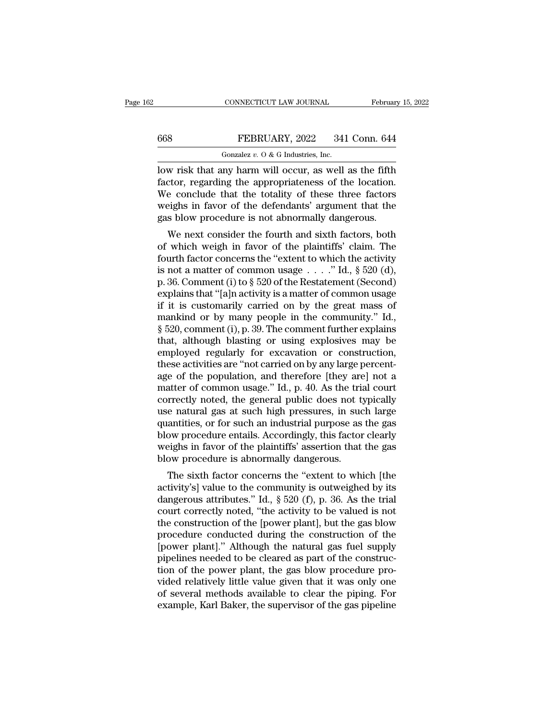## CONNECTICUT LAW JOURNAL February 15, 2022<br>668 FEBRUARY, 2022 341 Conn. 644<br>Gonzalez v. 0 & G Industries, Inc. CONNECTICUT LAW JOURNAL<br>FEBRUARY, 2022 341<br>Gonzalez *v.* O & G Industries, Inc.<br>nv harm will occur as well

CONNECTICUT LAW JOURNAL February 15, 2022<br>
FEBRUARY, 2022 341 Conn. 644<br>
Gonzalez v. 0 & G Industries, Inc.<br>
Iow risk that any harm will occur, as well as the fifth<br>
factor, regarding the appropriateness of the location.<br> FEBRUARY, 2022 341 Conn. 644<br>
Gonzalez v. 0 & G Industries, Inc.<br>
low risk that any harm will occur, as well as the fifth<br>
factor, regarding the appropriateness of the location.<br>
We conclude that the totality of these thr FEBRUARY, 2022 341 Conn. 644<br>
Conzalez v. O & G Industries, Inc.<br>
low risk that any harm will occur, as well as the fifth<br>
factor, regarding the appropriateness of the location.<br>
We conclude that the totality of these thr FEBRUARY, 2022 341 Conn. 644<br>
Gonzalez v. 0 & G Industries, Inc.<br>
low risk that any harm will occur, as well as the fifth<br>
factor, regarding the appropriateness of the location.<br>
We conclude that the totality of these thr Gonzalez  $v$ . O & G Industries, Inc.<br>
low risk that any harm will occur, as well as the fifth<br>
factor, regarding the appropriateness of the location.<br>
We conclude that the totality of these three factors<br>
weighs in favor We risk that any harm will occur, as well as the fifth<br>ctor, regarding the appropriateness of the location.<br>e conclude that the totality of these three factors<br>eighs in favor of the defendants' argument that the<br>s blow pro Fractor, regarding the appropriateness of the location.<br>We conclude that the totality of these three factors<br>weighs in favor of the defendants' argument that the<br>gas blow procedure is not abnormally dangerous.<br>We next con

factor, regarding the appropriateness of the location.<br>We conclude that the totality of these three factors<br>weighs in favor of the defendants' argument that the<br>gas blow procedure is not abnormally dangerous.<br>We next cons we conclude that the totality of these three factors<br>weighs in favor of the defendants' argument that the<br>gas blow procedure is not abnormally dangerous.<br>We next consider the fourth and sixth factors, both<br>of which weigh weighs in favor of the defendants argument that the<br>gas blow procedure is not abnormally dangerous.<br>We next consider the fourth and sixth factors, both<br>of which weigh in favor of the plaintiffs' claim. The<br>fourth factor c gas blow procedure is not abilion<br>halo sixth factors, both<br>of which weigh in favor of the plaintiffs' claim. The<br>fourth factor concerns the "extent to which the activity<br>is not a matter of common usage  $\dots$ ." Id., § 520 ( We next consider the fourth and sixth factors, both<br>of which weigh in favor of the plaintiffs' claim. The<br>fourth factor concerns the "extent to which the activity<br>is not a matter of common usage . . . ." Id., § 520 (d),<br>p of which weigh in favor of the plaintiffs' claim. The<br>fourth factor concerns the "extent to which the activity<br>is not a matter of common usage . . . ." Id., § 520 (d),<br>p. 36. Comment (i) to § 520 of the Restatement (Secon fourth factor concerns the "extent to which the activity<br>is not a matter of common usage . . . ." Id., § 520 (d),<br>p. 36. Comment (i) to § 520 of the Restatement (Second)<br>explains that "[a]n activity is a matter of common is not a matter of common usage  $\ldots$  ." Id., § 520 (d),<br>p. 36. Comment (i) to § 520 of the Restatement (Second)<br>explains that "[a]n activity is a matter of common usage<br>if it is customarily carried on by the great mass o p. 36. Comment (i) to  $\S$  520 of the Restatement (Second)<br>explains that "[a]n activity is a matter of common usage<br>if it is customarily carried on by the great mass of<br>mankind or by many people in the community." Id.,<br> $\S$ explains that "[a]n activity is a matter of common usage<br>if it is customarily carried on by the great mass of<br>mankind or by many people in the community." Id.,<br>§ 520, comment (i), p. 39. The comment further explains<br>that, if it is customarily carried on by the great mass of<br>mankind or by many people in the community." Id.,<br> $\S 520$ , comment (i), p. 39. The comment further explains<br>that, although blasting or using explosives may be<br>employed mankind or by many people in the community." Id.,  $\S$  520, comment (i), p. 39. The comment further explains that, although blasting or using explosives may be employed regularly for excavation or construction, these activ  $\S$  520, comment (i), p. 39. The comment further explains<br>that, although blasting or using explosives may be<br>employed regularly for excavation or construction,<br>these activities are "not carried on by any large percent-<br>ag that, although blasting or using explosives may be<br>employed regularly for excavation or construction,<br>these activities are "not carried on by any large percent-<br>age of the population, and therefore [they are] not a<br>matter employed regularly for excavation or construction,<br>these activities are "not carried on by any large percent-<br>age of the population, and therefore [they are] not a<br>matter of common usage." Id., p. 40. As the trial court<br>co these activities are "not carried on by any large percent-<br>age of the population, and therefore [they are] not a<br>matter of common usage." Id., p. 40. As the trial court<br>correctly noted, the general public does not typicall age of the population, and therefore [they are] not a<br>matter of common usage." Id., p. 40. As the trial court<br>correctly noted, the general public does not typically<br>use natural gas at such high pressures, in such large<br>qua matter of common usage." Id., p. 40. As the trial court<br>correctly noted, the general public does not typically<br>use natural gas at such high pressures, in such large<br>quantities, or for such an industrial purpose as the gas<br> Frectly hoted, the general public does not typically<br>
e natural gas at such high pressures, in such large<br>
antities, or for such an industrial purpose as the gas<br>
ow procedure entails. Accordingly, this factor clearly<br>
ei des natural gas at such high pressures, in such large<br>quantities, or for such an industrial purpose as the gas<br>blow procedure entails. Accordingly, this factor clearly<br>weighs in favor of the plaintiffs' assertion that the

quantities, or for such an industrial purpose as the gas<br>blow procedure entails. Accordingly, this factor clearly<br>weighs in favor of the plaintiffs' assertion that the gas<br>blow procedure is abnormally dangerous.<br>The sixth blow procedure entails. Accordingly, this factor clearly<br>weighs in favor of the plaintiffs' assertion that the gas<br>blow procedure is abnormally dangerous.<br>The sixth factor concerns the "extent to which [the<br>activity's] val weighs in favor of the plantifics assertion that the gas<br>blow procedure is abnormally dangerous.<br>The sixth factor concerns the "extent to which [the<br>activity's] value to the community is outweighed by its<br>dangerous attribu procedure is abnormally dangerous.<br>The sixth factor concerns the "extent to which [the activity's] value to the community is outweighed by its dangerous attributes." Id.,  $\S 520$  (f), p. 36. As the trial court correctly n The sixth factor concerns the "extent to which [the activity's] value to the community is outweighed by its dangerous attributes." Id.,  $\S 520$  (f), p. 36. As the trial court correctly noted, "the activity to be valued is activity's] value to the community is outweighed by its<br>dangerous attributes." Id., § 520 (f), p. 36. As the trial<br>court correctly noted, "the activity to be valued is not<br>the construction of the [power plant], but the gas dangerous attributes." Id.,  $\S$  520 (f), p. 36. As the trial court correctly noted, "the activity to be valued is not the construction of the [power plant], but the gas blow procedure conducted during the construction of court correctly noted, "the activity to be valued is not<br>the construction of the [power plant], but the gas blow<br>procedure conducted during the construction of the<br>[power plant]." Although the natural gas fuel supply<br>pipel the construction of the [power plant], but the gas blow<br>procedure conducted during the construction of the<br>[power plant]." Although the natural gas fuel supply<br>pipelines needed to be cleared as part of the construc-<br>tion o procedure conducted during the construction of the [power plant]." Although the natural gas fuel supply pipelines needed to be cleared as part of the construction of the power plant, the gas blow procedure provided relativ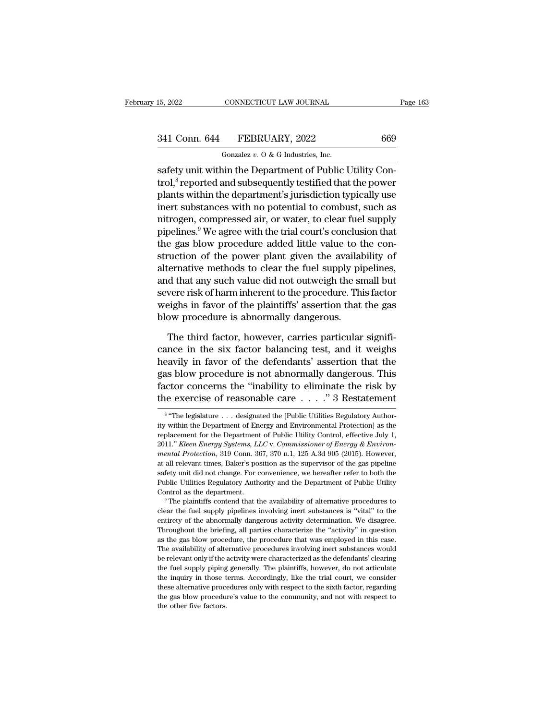# 15, 2022 CONNECTICUT LAW JOURNAL Page 163<br>341 Conn. 644 FEBRUARY, 2022 669<br>Gonzalez v. 0 & G Industries, Inc.

CONNECTICUT LAW JOURNAL<br>FEBRUARY, 2022<br>Gonzalez *v.* O & G Industries, Inc.<br>nin the Department of Public l  $\frac{15,2022}{1000}$  CONNECTICUT LAW JOURNAL<br>  $\frac{341 \text{ Conn. } 644 \qquad \text{FEBRUARY, } 2022 \qquad \qquad 669 \qquad \qquad \text{Gonzalez } v. \text{ O & G Industries, Inc.}$ <br>  $\frac{1}{2}$ <br>  $\frac{1}{2}$ <br>  $\frac{1}{2}$ <br>  $\frac{1}{2}$ <br>  $\frac{1}{2}$ <br>  $\frac{1}{2}$ <br>  $\frac{1}{2}$ <br>  $\frac{1}{2}$ <br>  $\frac{1}{2}$ <br>  $\frac$ 341 Conn. 644 FEBRUARY, 2022 669<br>
Gonzalez v. 0 & G Industries, Inc.<br>
safety unit within the Department of Public Utility Control,<sup>8</sup> reported and subsequently testified that the power<br>
plants within the department's juri 341 Conn. 644 FEBRUARY, 2022 669<br>
Conzalez v. 0 & G Industries, Inc.<br>
safety unit within the Department of Public Utility Control,<sup>8</sup> reported and subsequently testified that the power<br>
plants within the department's juri 341 Conn. 644 FEBRUARY, 2022 669<br>
Gonzalez v. 0 & G Industries, Inc.<br>
safety unit within the Department of Public Utility Con-<br>
trol,<sup>8</sup> reported and subsequently testified that the power<br>
plants within the department's j Gonzalez  $v$ . O & G Industries, Inc.<br>
safety unit within the Department of Public Utility Con-<br>
trol,<sup>8</sup> reported and subsequently testified that the power<br>
plants within the department's jurisdiction typically use<br>
inert safety unit within the Department of Public Utility Control,<sup>8</sup> reported and subsequently testified that the power<br>plants within the department's jurisdiction typically use<br>inert substances with no potential to combust, s safety unit within the Department of Public Utility Control,<sup>8</sup> reported and subsequently testified that the power<br>plants within the department's jurisdiction typically use<br>inert substances with no potential to combust, su trol,° reported and subsequently testified that the power<br>plants within the department's jurisdiction typically use<br>inert substances with no potential to combust, such as<br>nitrogen, compressed air, or water, to clear fuel s plants within the department's jurisdiction typically use<br>inert substances with no potential to combust, such as<br>nitrogen, compressed air, or water, to clear fuel supply<br>pipelines.<sup>9</sup> We agree with the trial court's conclu inert substances with no potential to combust, such as<br>nitrogen, compressed air, or water, to clear fuel supply<br>pipelines.<sup>9</sup> We agree with the trial court's conclusion that<br>the gas blow procedure added little value to the nitrogen, compressed air, or water, to clear fuel supply<br>pipelines.<sup>9</sup> We agree with the trial court's conclusion that<br>the gas blow procedure added little value to the con-<br>struction of the power plant given the availabili pipelines." We agree with the trial court's conclusion that<br>the gas blow procedure added little value to the con-<br>struction of the power plant given the availability of<br>alternative methods to clear the fuel supply pipeline the gas blow procedure added little value to t<br>struction of the power plant given the availal<br>alternative methods to clear the fuel supply pij<br>and that any such value did not outweigh the sr<br>severe risk of harm inherent to Exercrease is the third factor, the fuel supply pipelines,<br>
d that any such value did not outweigh the small but<br>
vere risk of harm inherent to the procedure. This factor<br>
eighs in favor of the plaintiffs' assertion that t and that any such value did not outweigh the small but<br>severe risk of harm inherent to the procedure. This factor<br>weighs in favor of the plaintiffs' assertion that the gas<br>blow procedure is abnormally dangerous.<br>The third

severe risk of harm inherent to the procedure. This factor<br>weighs in favor of the plaintiffs' assertion that the gas<br>blow procedure is abnormally dangerous.<br>The third factor, however, carries particular signifi-<br>cance in t weighs in favor of the plaintiffs' assertion that the gas<br>blow procedure is abnormally dangerous.<br>The third factor, however, carries particular signifi-<br>cance in the six factor balancing test, and it weighs<br>heavily in favo blow procedure is abnormally dangerous.<br>The third factor, however, carries particular significance in the six factor balancing test, and it weighs<br>heavily in favor of the defendants' assertion that the<br>gas blow procedure The third factor, however, carries particular significance in the six factor balancing test, and it weighs heavily in favor of the defendants' assertion that the gas blow procedure is not abnormally dangerous. This factor avily in favor of the defendants' assertion that the<br>
s blow procedure is not abnormally dangerous. This<br>
ctor concerns the "inability to eliminate the risk by<br>
exercise of reasonable care . . . . " 3 Restatement<br>
"The leg gas blow procedure is not abnormally dangerous. This<br>factor concerns the "inability to eliminate the risk by<br>the exercise of reasonable care  $\dots$ " 3 Restatement<br><sup>8</sup> "The legislature  $\dots$  designated the [Public Utilities R

<sup>8 &</sup>quot;The ' factor concerns the "inability to eliminate the risk by<br>the exercise of reasonable care . . . ." 3 Restatement<br><sup>8</sup> "The legislature . . . designated the [Public Utilities Regulatory Author-<br>ity within the Department of En 2011." **Commission Energy Systems, LCC** v. *Commissioner of Energy & Environmental Protection* as the replacement for the Department of Public Utility Control, effective July 1, 2011." *Kleen Energy Systems, LLC* v. *Commi mental Protection*, 319 Conn. 367, 370 n.1, 125 A.3d 905 (2015). However, all relevant times, Baker's position as the super-term of Public Utility Control, effective July 1, 2011." *Kleen Energy Systems, LLC* v. *Commissi* <sup>8</sup> "The legislature . . . designated the [Public Utilities Regulatory Authority within the Department of Energy and Environmental Protection] as the replacement for the Department of Public Utility Control, effective Jul ity within the Department of Energy and Environmental Protection] as the replacement for the Department of Public Utility Control, effective July 1, 2011." *Kleen Energy Systems, LLC* v. Commissioner of Energy & Environmen replacement for the Department of Public Utility Control, effective July 1, replacement for the Department of Public Utility Control, effective July 1, 2011." *Kleen Energy Systems, LLC* v. *Commissioner of Energy & Enviro* 2011." Kleen Energy Systems, LLC v. Commissioner of Energy & Environ-<br>mental Protection, 319 Conn. 367, 370 n.1, 125 A.3d 905 (2015). However,<br>at all relevant times, Baker's position as the supervisor of the gas pipeline<br> at all relevant times, Baker's position as the supervisor of the gas pipeline safety unit did not change. For convenience, we hereafter refer to both the Public Utilities Regulatory Authority and the Department of Public U

entirety unit did not change. For convenience, we hereafter refer to both the Public Utilities Regulatory Authority and the Department of Public Utility Control as the department.<br><sup>9</sup> The plaintiffs contend that the availa Public Utilities Regulatory Authority and the Department of Public Utility<br>Control as the department.<br><sup>9</sup> The plaintiffs contend that the availability of alternative procedures to<br>clear the fuel supply pipelines involving Control as the department.<br>
<sup>9</sup> The plaintiffs contend that the availability of alternative procedures to<br>
clear the fuel supply pipelines involving inert substances is "vital" to the<br>
entirety of the abnormally dangerous <sup>9</sup> The plaintiffs contend that the availability of alternative procedures to clear the fuel supply pipelines involving inert substances is "vital" to the entirety of the abnormally dangerous activity determination. We di clear the fuel supply pipelines involving inert substances is "vital" to the entirety of the abnormally dangerous activity determination. We disagree. Throughout the briefing, all parties characterize the "activity" in que entirety of the abnormally dangerous activity determination. We disagree.<br>Throughout the briefing, all parties characterize the "activity" in question<br>as the gas blow procedure, the procedure that was employed in this case Throughout the briefing, all parties characterize the "activity" in question<br>Throughout the briefing, all parties characterize the "activity" in question<br>as the gas blow procedure, the procedure that was employed in this c Factor and gas blow procedure, the procedure that was employed in this case.<br>The availability of alternative procedures involving inert substances would<br>be relevant only if the activity were characterized as the defendants The availability of alternative procedures involving inert substances would<br>be relevant only if the activity were characterized as the defendants' clearing<br>the fuel supply piping generally. The plaintiffs, however, do not The velocity of the elevant only if the<br>the fuel supply piping<br>the inquiry in those t<br>these alternative procedu<br>the gas blow procedu<br>the other five factors.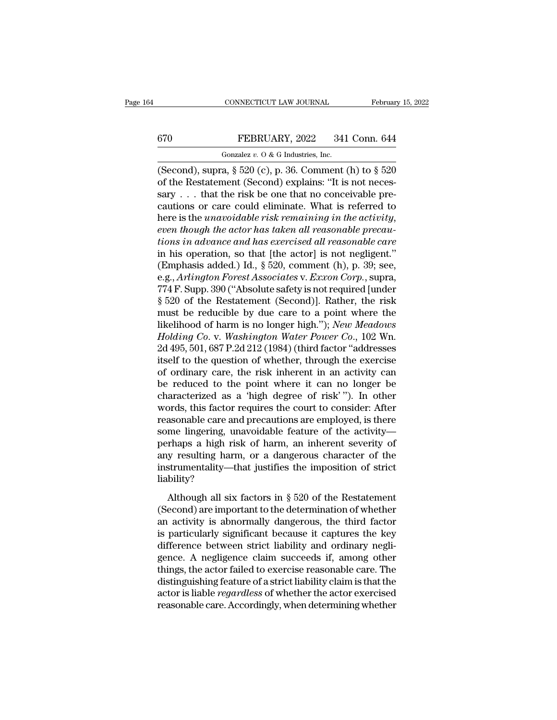# CONNECTICUT LAW JOURNAL February 15, 2022<br>
FEBRUARY, 2022 341 Conn. 644<br>
Gonzalez v. 0 & G Industries, Inc.

CONNECTICUT LAW JOURNAL<br>FEBRUARY, 2022 341<br>Gonzalez *v.* O & G Industries, Inc.<br>a  $8520$  (c) n 36 Comment ( (Second), supra, § 520 (c), p. 36. Comment (h) to § 520<br>
(Second), supra, § 520 (c), p. 36. Comment (h) to § 520<br>
(of the Restatement (Second) explains: "It is not necessary 670 FEBRUARY, 2022 341 Conn. 644<br>
Gonzalez v. 0 & G Industries, Inc.<br>
(Second), supra, § 520 (c), p. 36. Comment (h) to § 520<br>
of the Restatement (Second) explains: "It is not neces-<br>
sary . . . that the risk be one that 670 FEBRUARY, 2022 341 Conn. 644<br>
Gonzalez v. 0 & G Industries, Inc.<br>
(Second), supra, § 520 (c), p. 36. Comment (h) to § 520<br>
of the Restatement (Second) explains: "It is not necessary . . . that the risk be one that no 670 FEBRUARY, 2022 341 Conn. 644<br>
Gonzalez v. 0 & G Industries, Inc.<br>
(Second), supra, § 520 (c), p. 36. Comment (h) to § 520<br>
of the Restatement (Second) explains: "It is not neces-<br>
sary . . . that the risk be one that Gonzalez *v.* 0 & G Industries, Inc.<br>
(Second), supra, § 520 (c), p. 36. Comment (h) to § 520<br>
of the Restatement (Second) explains: "It is not necessary . . . that the risk be one that no conceivable pre-<br>
cautions or car (Second), supra, § 520 (c), p. 36. Comment (h) to § 520<br>of the Restatement (Second) explains: "It is not neces-<br>sary . . . that the risk be one that no conceivable pre-<br>cautions or care could eliminate. What is referred t of the Restatement (Second) explains: "It is not necessary . . . that the risk be one that no conceivable precautions or care could eliminate. What is referred to here is the *unavoidable risk remaining in the activity*, sary . . . that the risk be one that no conceivable pre-<br>cautions or care could eliminate. What is referred to<br>here is the *unavoidable risk remaining in the activity*,<br>*even though the actor has taken all reasonable prec* cautions or care could eliminate. What is referred to<br>here is the *unavoidable risk remaining in the activity*,<br>*even though the actor has taken all reasonable precau-<br>tions in advance and has exercised all reasonable care* here is the *unavoidable risk remaining in the activity,*<br>even though the actor has taken all reasonable precau-<br>tions in advance and has exercised all reasonable care<br>in his operation, so that [the actor] is not negligent even though the actor has taken all reasonable precautions in advance and has exercised all reasonable care<br>in his operation, so that [the actor] is not negligent."<br>(Emphasis added.) Id., § 520, comment (h), p. 39; see,<br>e. tions in advance and has exercised all reasonable care<br>in his operation, so that [the actor] is not negligent."<br>(Emphasis added.) Id., § 520, comment (h), p. 39; see,<br>e.g., *Arlington Forest Associates v. Exxon Corp.*, su in his operation, so that [the actor] is not negligent."<br>
(Emphasis added.) Id., § 520, comment (h), p. 39; see,<br>
e.g., *Arlington Forest Associates v. Exxon Corp.*, supra,<br>
774 F. Supp. 390 ("Absolute safety is not requir (Emphasis added.) Id., § 520, comment (h), p. 39; see, e.g., *Arlington Forest Associates v. Exxon Corp.*, supra, 774 F. Supp. 390 ("Absolute safety is not required [under § 520 of the Restatement (Second)]. Rather, the ri e.g., *Arlington Forest Associates v. Exxon Corp.*, supra,<br>774 F. Supp. 390 ("Absolute safety is not required [under  $\S$  520 of the Restatement (Second)]. Rather, the risk<br>must be reducible by due care to a point where the 774 F. Supp. 390 ("Absolute safety is not required [under  $\S$  520 of the Restatement (Second)]. Rather, the risk must be reducible by due care to a point where the likelihood of harm is no longer high."); *New Meadows Hol* § 520 of the Restatement (Second)]. Rather, the risk<br>must be reducible by due care to a point where the<br>likelihood of harm is no longer high."); *New Meadows*<br>*Holding Co.* v. *Washington Water Power Co.*, 102 Wn.<br>2d 495, must be reducible by due care to a point where the<br>likelihood of harm is no longer high."); *New Meadows*<br>*Holding Co.* v. *Washington Water Power Co.*, 102 Wn.<br>2d 495, 501, 687 P.2d 212 (1984) (third factor "addresses<br>its likelihood of harm is no longer high."); *New Meadows*<br>Holding Co. v. Washington Water Power Co., 102 Wn.<br>2d 495, 501, 687 P.2d 212 (1984) (third factor "addresses<br>itself to the question of whether, through the exercise<br>of Holding Co. v. Washington Water Power Co., 102 Wn.<br>2d 495, 501, 687 P.2d 212 (1984) (third factor "addresses<br>itself to the question of whether, through the exercise<br>of ordinary care, the risk inherent in an activity can<br>be 2d 495, 501, 687 P.2d 212 (1984) (third factor "addresses<br>itself to the question of whether, through the exercise<br>of ordinary care, the risk inherent in an activity can<br>be reduced to the point where it can no longer be<br>cha itself to the question of whether, through the exercise<br>of ordinary care, the risk inherent in an activity can<br>be reduced to the point where it can no longer be<br>characterized as a 'high degree of risk' "). In other<br>words, of ordinary care, the risk inherent in an activity can<br>be reduced to the point where it can no longer be<br>characterized as a 'high degree of risk' "). In other<br>words, this factor requires the court to consider: After<br>reason be reduced to the point where it can no longer be<br>characterized as a 'high degree of risk' "). In other<br>words, this factor requires the court to consider: After<br>reasonable care and precautions are employed, is there<br>some l characterized as a 'high degree of risk' "). In other words, this factor requires the court to consider: After reasonable care and precautions are employed, is there some lingering, unavoidable feature of the activity—perh liability? altionalist care and precidently are employed, is aftered me lingering, unavoidable feature of the activity—<br>rhaps a high risk of harm, an inherent severity of y resulting harm, or a dangerous character of the<br>strumentali Example in particularly clear of the determing perhaps a high risk of harm, an inherent severity of any resulting harm, or a dangerous character of the instrumentality—that justifies the imposition of strict liability?<br>Alt

permaps a right risk of harm, an interest severity of<br>any resulting harm, or a dangerous character of the<br>instrumentality—that justifies the imposition of strict<br>liability?<br>Although all six factors in § 520 of the Restatem instrumentality—that justifies the imposition of strict<br>liability?<br>Although all six factors in § 520 of the Restatement<br>(Second) are important to the determination of whether<br>an activity is abnormally dangerous, the third diability?<br>
diability?<br>
Although all six factors in  $\S$  520 of the Restatement<br>
(Second) are important to the determination of whether<br>
an activity is abnormally dangerous, the third factor<br>
is particularly significant be Although all six factors in  $\S$  520 of the Restatement<br>(Second) are important to the determination of whether<br>an activity is abnormally dangerous, the third factor<br>is particularly significant because it captures the key<br>d Although all six factors in  $\S$  520 of the Restatement<br>(Second) are important to the determination of whether<br>an activity is abnormally dangerous, the third factor<br>is particularly significant because it captures the key<br>d (Second) are important to the determination of whether<br>an activity is abnormally dangerous, the third factor<br>is particularly significant because it captures the key<br>difference between strict liability and ordinary negli-<br> an activity is abnormally dangerous, the third factor<br>is particularly significant because it captures the key<br>difference between strict liability and ordinary negli-<br>gence. A negligence claim succeeds if, among other<br>thing is particularly significant because it captures the key<br>difference between strict liability and ordinary negli-<br>gence. A negligence claim succeeds if, among other<br>things, the actor failed to exercise reasonable care. The<br>d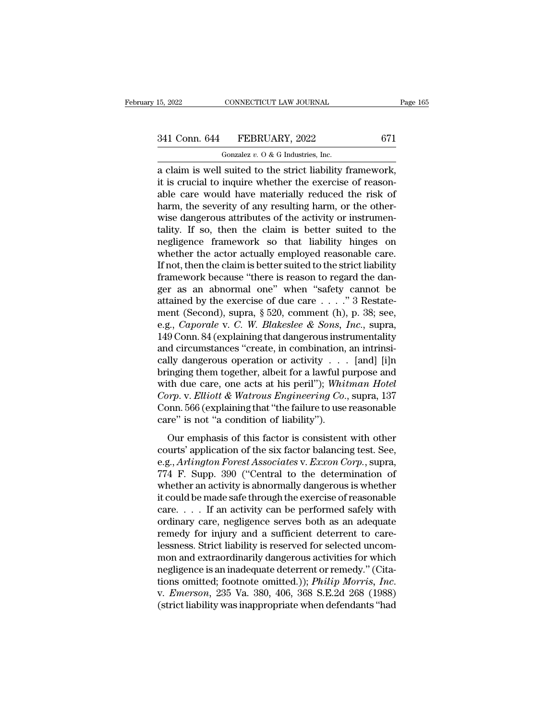# 15, 2022 CONNECTICUT LAW JOURNAL Page 165<br>341 Conn. 644 FEBRUARY, 2022 671<br>Gonzalez v. 0 & G Industries, Inc.

CONNECTICUT LAW JOURNAL<br>FEBRUARY, 2022<br>Gonzalez *v.* O & G Industries, Inc.<br>suited to the strict liability f 15, 2022 CONNECTICUT LAW JOURNAL Page<br>  $341$  Conn. 644 FEBRUARY, 2022 671<br>
Gonzalez v. 0 & G Industries, Inc.<br>
a claim is well suited to the strict liability framework,<br>
it is crucial to inquire whether the exercise of re 341 Conn. 644 FEBRUARY, 2022 671<br>
Gonzalez v. 0 & G Industries, Inc.<br>
a claim is well suited to the strict liability framework,<br>
it is crucial to inquire whether the exercise of reason-<br>
able care would have materially re 341 Conn. 644 FEBRUARY, 2022 671<br>
Gonzalez v. O & G Industries, Inc.<br>
a claim is well suited to the strict liability framework,<br>
it is crucial to inquire whether the exercise of reason-<br>
able care would have materially re 341 Conn. 644 FEBRUARY, 2022 671<br>
Gonzalez v. 0 & G Industries, Inc.<br>
a claim is well suited to the strict liability framework,<br>
it is crucial to inquire whether the exercise of reason-<br>
able care would have materially re Gonzalez v. O & G Industries, Inc.<br>
a claim is well suited to the strict liability framework,<br>
it is crucial to inquire whether the exercise of reason-<br>
able care would have materially reduced the risk of<br>
harm, the sever Gonzalez v. 0 & G maustries, inc.<br>
a claim is well suited to the strict liability framework,<br>
it is crucial to inquire whether the exercise of reason-<br>
able care would have materially reduced the risk of<br>
harm, the severi a claim is well suited to the strict liability framework,<br>it is crucial to inquire whether the exercise of reason-<br>able care would have materially reduced the risk of<br>harm, the severity of any resulting harm, or the otherit is crucial to inquire whether the exercise of reasonable care would have materially reduced the risk of harm, the severity of any resulting harm, or the otherwise dangerous attributes of the activity or instrumentality. able care would have materially reduced the risk of<br>harm, the severity of any resulting harm, or the other-<br>wise dangerous attributes of the activity or instrumen-<br>tality. If so, then the claim is better suited to the<br>negl harm, the severity of any resulting harm, or the otherwise dangerous attributes of the activity or instrumentality. If so, then the claim is better suited to the negligence framework so that liability hinges on whether the wise dangerous attributes of the activity or instrumentality. If so, then the claim is better suited to the negligence framework so that liability hinges on whether the actor actually employed reasonable care.<br>If not, the tality. If so, then the claim is better suited to the negligence framework so that liability hinges on whether the actor actually employed reasonable care. If not, then the claim is better suited to the strict liability f megligence framework so that liability hinges on<br>whether the actor actually employed reasonable care.<br>If not, then the claim is better suited to the strict liability<br>framework because "there is reason to regard the dan-<br>g whether the actor actually employed reasonable care.<br>If not, then the claim is better suited to the strict liability<br>framework because "there is reason to regard the dan-<br>ger as an abnormal one" when "safety cannot be<br>atta If not, then the claim is better suited to the strict liability<br>framework because "there is reason to regard the dan-<br>ger as an abnormal one" when "safety cannot be<br>attained by the exercise of due care . . . . "3 Restateframework because "there is reason to regard the danger as an abnormal one" when "safety cannot be attained by the exercise of due care . . . ." 3 Restatement (Second), supra, § 520, comment (h), p. 38; see, e.g., *Capora* ger as an abnormal one" when "safety cannot be<br>attained by the exercise of due care . . . . " 3 Restate-<br>ment (Second), supra, § 520, comment (h), p. 38; see,<br>e.g., *Caporale* v. *C. W. Blakeslee & Sons, Inc.*, supra,<br>149 attained by the exercise of due care . . . ." 3 Restatement (Second), supra, § 520, comment (h), p. 38; see, e.g., *Caporale* v. *C. W. Blakeslee & Sons, Inc.*, supra, 149 Conn. 84 (explaining that dangerous instrumentali ment (Second), supra, § 520, comment (h), p. 38; see,<br>e.g., *Caporale* v. *C. W. Blakeslee & Sons, Inc.*, supra,<br>149 Conn. 84 (explaining that dangerous instrumentality<br>and circumstances "create, in combination, an intrins *e.g., Caporale v. C. W. Blakeslee & Sons, Inc., supra,* 149 Conn. 84 (explaining that dangerous instrumentality and circumstances "create, in combination, an intrinsically dangerous operation or activity . . . [and] [i]n 149 Conn. 84 (explaining that dangerous instrumentality<br>and circumstances "create, in combination, an intrinsi-<br>cally dangerous operation or activity . . . [and] [i]n<br>bringing them together, albeit for a lawful purpose an and circumstances "create, in combination,<br>cally dangerous operation or activity . . . .<br>bringing them together, albeit for a lawful p<br>with due care, one acts at his peril"); Whit<br>Corp. v. Elliott & Watrous Engineering Co In the case of the settled of the six factor is consistent with other<br>than the care, one acts at his peril"); Whitman Hotel<br>prp. v. Elliott & Watrous Engineering Co., supra, 137<br>pnn. 566 (explaining that "the failure to u comparison of the six factor of the six factor of the six factor of the six factor of the six factor is consistent with other courts' application of the six factor is consistent with other courts' application of the six f

Forp. v. *Elliott* & *Watrous Engineering Co.*, supra, 137<br>Corp. v. *Elliott* & *Watrous Engineering Co.*, supra, 137<br>Conn. 566 (explaining that "the failure to use reasonable<br>care" is not "a condition of liability").<br>Our Form. 566 (explaining that "the failure to use reasonable<br>care" is not "a condition of liability").<br>Our emphasis of this factor is consistent with other<br>courts' application of the six factor balancing test. See,<br>e.g., *Ar* care" is not "a condition of liability").<br>
Our emphasis of this factor is consistent with other<br>
courts' application of the six factor balancing test. See,<br>
e.g., *Arlington Forest Associates v. Exxon Corp.*, supra,<br>
774 F Our emphasis of this factor is consistent with other<br>courts' application of the six factor balancing test. See,<br>e.g., *Arlington Forest Associates v. Exxon Corp.*, supra,<br>774 F. Supp. 390 ("Central to the determination of Our emphasis of this factor is consistent with other<br>courts' application of the six factor balancing test. See,<br>e.g., *Arlington Forest Associates v. Exxon Corp.*, supra,<br>774 F. Supp. 390 ("Central to the determination of courts' application of the six factor balancing test. See,<br>e.g., *Arlington Forest Associates* v. *Exxon Corp*., supra,<br>774 F. Supp. 390 ("Central to the determination of<br>whether an activity is abnormally dangerous is whet e.g., *Arlington Forest Associates* v. *Exxon Corp.*, supra, 774 F. Supp. 390 ("Central to the determination of whether an activity is abnormally dangerous is whether it could be made safe through the exercise of reasonabl 774 F. Supp. 390 ("Central to the determination of whether an activity is abnormally dangerous is whether it could be made safe through the exercise of reasonable care.... If an activity can be performed safely with ordin whether an activity is abnormally dangerous is whether<br>it could be made safe through the exercise of reasonable<br>care.... If an activity can be performed safely with<br>ordinary care, negligence serves both as an adequate<br>rem it could be made safe through the exercise of reasonable<br>care.... If an activity can be performed safely with<br>ordinary care, negligence serves both as an adequate<br>remedy for injury and a sufficient deterrent to care-<br>less care. . . . . If an activity can be performed safely with<br>ordinary care, negligence serves both as an adequate<br>remedy for injury and a sufficient deterrent to care-<br>lessness. Strict liability is reserved for selected uncom remedy for injury and a sufficient deterrent to care-<br>lessness. Strict liability is reserved for selected uncom-<br>mon and extraordinarily dangerous activities for which<br>negligence is an inadequate deterrent or remedy." (Cit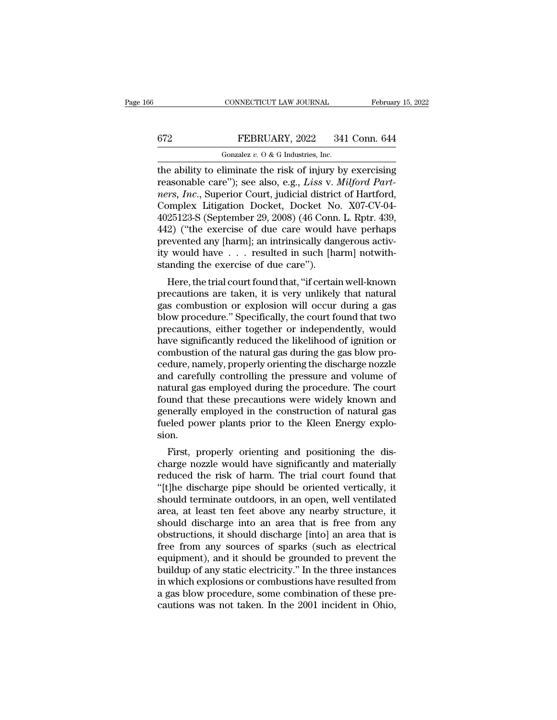CONNECTICUT LAW JOURNAL February 15, 2022<br>
FEBRUARY, 2022 341 Conn. 644<br>
Gonzalez v. 0 & G Industries, Inc.<br>
the ability to eliminate the risk of injury by exercising<br>
reasonable care''); see also, e.g., *Liss* v. *Milford* FEBRUARY, 2022 341 Conn. 644<br>
Gonzalez v. 0 & G Industries, Inc.<br>
the ability to eliminate the risk of injury by exercising<br>
reasonable care''); see also, e.g., *Liss* v. *Milford Part-<br>
ners, Inc.*, Superior Court, judici *ners of Temples in the ability to eliminate the risk of injury by exercising*<br>*neasonable care"*); see also, e.g., *Liss v. Milford Partners, Inc.*, Superior Court, judicial district of Hartford, Complex Litigation Docket FEBRUARY, 2022 341 Conn. 644<br>
Gonzalez v. 0 & G Industries, Inc.<br>
the ability to eliminate the risk of injury by exercising<br>
reasonable care"); see also, e.g., *Liss* v. *Milford Part-<br>
ners, Inc.*, Superior Court, judici Gonzalez v. O & G Industries, Inc.<br>
the ability to eliminate the risk of injury by exercising<br>
reasonable care"); see also, e.g., *Liss* v. *Milford Part-<br>
ners, Inc.*, Superior Court, judicial district of Hartford,<br>
Comp Gonzalez v. O & G Industries, Inc.<br>the ability to eliminate the risk of injury by exercising<br>reasonable care"); see also, e.g., *Liss* v. *Milford Part-<br>ners, Inc.*, Superior Court, judicial district of Hartford,<br>Complex the ability to eliminate the risk of injury by exercising<br>reasonable care"); see also, e.g., *Liss* v. *Milford Part-<br>ners, Inc.*, Superior Court, judicial district of Hartford,<br>Complex Litigation Docket, Docket No. X07-CV reasonable care"); see also, e.g., *Liss v. Milford Part-<br>ners, Inc.*, Superior Court, judicial district of Hartford,<br>Complex Litigation Docket, Docket No. X07-CV-04-<br>4025123-S (September 29, 2008) (46 Conn. L. Rptr. 439, ners, Inc., Superior Court, judicial distric<br>Complex Litigation Docket, Docket Nc<br>4025123-S (September 29, 2008) (46 Conn<br>442) ("the exercise of due care would l<br>prevented any [harm]; an intrinsically dar<br>ity would have . EXECTE: EXECTED MORRIT COONCIDE 25123-S (September 29, 2008) (46 Conn. L. Rptr. 439, 2) ("the exercise of due care would have perhaps evented any [harm]; an intrinsically dangerous activity would have  $\ldots$  resulted in su  $442$ ) ("the exercise of due care would have perhaps<br>prevented any [harm]; an intrinsically dangerous activ-<br>ity would have  $\ldots$  resulted in such [harm] notwith-<br>standing the exercise of due care").<br>Here, the trial court

 $442$ ) (The exercise of due care would have perhaps<br>prevented any [harm]; an intrinsically dangerous activ-<br>ity would have  $\ldots$  resulted in such [harm] notwith-<br>standing the exercise of due care").<br>Here, the trial court prevented any [harm], an intrinsically dangerous activity would have . . . resulted in such [harm] notwith-<br>standing the exercise of due care").<br>Here, the trial court found that, "if certain well-known<br>precautions are take requires the exercise of due care").<br>
Here, the trial court found that, "if certain well-known<br>
precautions are taken, it is very unlikely that natural<br>
gas combustion or explosion will occur during a gas<br>
blow procedure. standing the exercise of due care *)*.<br>
Here, the trial court found that, "if certain well-known<br>
precautions are taken, it is very unlikely that natural<br>
gas combustion or explosion will occur during a gas<br>
blow procedure Here, the trial court found that, "if certain well-known<br>precautions are taken, it is very unlikely that natural<br>gas combustion or explosion will occur during a gas<br>blow procedure." Specifically, the court found that two<br>p precautions are taken, it is very unlikely that natural<br>gas combustion or explosion will occur during a gas<br>blow procedure." Specifically, the court found that two<br>precautions, either together or independently, would<br>have gas combustion or explosion will occur during a gas<br>blow procedure." Specifically, the court found that two<br>precautions, either together or independently, would<br>have significantly reduced the likelihood of ignition or<br>comb blow procedure." Specifically, the court found that two<br>precautions, either together or independently, would<br>have significantly reduced the likelihood of ignition or<br>combustion of the natural gas during the gas blow pro-<br>c precautions, either together or independently, would<br>have significantly reduced the likelihood of ignition or<br>combustion of the natural gas during the gas blow pro-<br>cedure, namely, properly orienting the discharge nozzle<br>a have significantly reduced the likelihood of ignition or<br>combustion of the natural gas during the gas blow pro-<br>cedure, namely, properly orienting the discharge nozzle<br>and carefully controlling the pressure and volume of<br>n combustion of the natural gas during the gas blow procedure, namely, properly orienting the discharge nozzle and carefully controlling the pressure and volume of natural gas employed during the procedure. The court found t sion. In tural gas employed during the pressure and volume of<br>tural gas employed during the procedure. The court<br>und that these precautions were widely known and<br>nerally employed in the construction of natural gas<br>eled power pla ratural gas employed during the procedure. The court<br>found that these precautions were widely known and<br>generally employed in the construction of natural gas<br>fueled power plants prior to the Kleen Energy explo-<br>sion.<br>First

reduced the risk of harm. The trial court found that these precautions were widely known and<br>generally employed in the construction of natural gas<br>fueled power plants prior to the Kleen Energy explo-<br>sion.<br>First, properly Experiencially employed in the construction of natural gas<br>
fueled power plants prior to the Kleen Energy explosion.<br>
First, properly orienting and positioning the discharge nozzle would have significantly and materially<br> First, properly orienting and positioning the discharge nozzle would have significantly and materially<br>reduced the risk of harm. The trial court found that<br>"[t]he discharge pipe should be oriented vertically, it<br>should ter First, properly orienting and positioning the discharge nozzle would have significantly and materially reduced the risk of harm. The trial court found that "[t]he discharge pipe should be oriented vertically, it should ter First, properly orienting and positioning the discharge nozzle would have significantly and materially reduced the risk of harm. The trial court found that "[t]he discharge pipe should be oriented vertically, it should ter charge nozzle would have significantly and materially<br>reduced the risk of harm. The trial court found that<br>"[t]he discharge pipe should be oriented vertically, it<br>should terminate outdoors, in an open, well ventilated<br>area reduced the risk of harm. The trial court found that<br>"[t]he discharge pipe should be oriented vertically, it<br>should terminate outdoors, in an open, well ventilated<br>area, at least ten feet above any nearby structure, it<br>sho "[t]he discharge pipe should be oriented vertically, it should terminate outdoors, in an open, well ventilated area, at least ten feet above any nearby structure, it should discharge into an area that is free from any obst should terminate outdoors, in an open, well ventilated<br>area, at least ten feet above any nearby structure, it<br>should discharge into an area that is free from any<br>obstructions, it should discharge [into] an area that is<br>fre area, at least ten feet above any nearby structure, it<br>should discharge into an area that is free from any<br>obstructions, it should discharge [into] an area that is<br>free from any sources of sparks (such as electrical<br>equipm should discharge into an area that is free from any<br>obstructions, it should discharge [into] an area that is<br>free from any sources of sparks (such as electrical<br>equipment), and it should be grounded to prevent the<br>buildup obstructions, it should discharge [into] an area that is<br>free from any sources of sparks (such as electrical<br>equipment), and it should be grounded to prevent the<br>buildup of any static electricity." In the three instances<br>i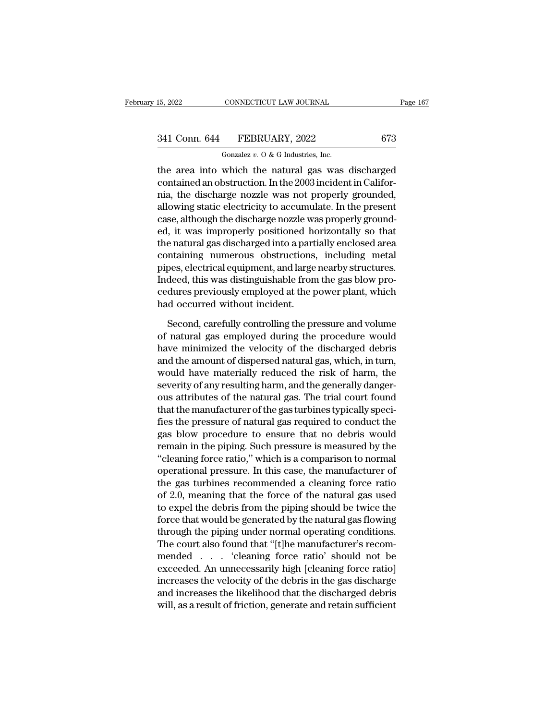# 15, 2022 CONNECTICUT LAW JOURNAL Page 167<br>341 Conn. 644 FEBRUARY, 2022 673<br>Gonzalez v. 0 & G Industries, Inc.

CONNECTICUT LAW JOURNAL<br>FEBRUARY, 2022<br>Gonzalez *v.* O & G Industries, Inc.<br>which the natural gas was TERRUARY, 2022 Page 167<br>
15, 2022 CONNECTICUT LAW JOURNAL Page 167<br>
341 Conn. 644 FEBRUARY, 2022 673<br>
600zalez v. 0 & G Industries, Inc.<br>
1990 The area into which the natural gas was discharged<br>
contained an obstruction. I 341 Conn. 644 FEBRUARY, 2022 673<br>
Gonzalez v. 0 & G Industries, Inc.<br>
the area into which the natural gas was discharged<br>
contained an obstruction. In the 2003 incident in Califor-<br>
nia, the discharge nozzle was not prope 341 Conn. 644 FEBRUARY, 2022 673<br>
Gonzalez v. 0 & G Industries, Inc.<br>
the area into which the natural gas was discharged<br>
contained an obstruction. In the 2003 incident in Califor-<br>
nia, the discharge nozzle was not prope 341 Conn. 644 FEBRUARY, 2022 673<br>
Gonzalez v. 0 & G Industries, Inc.<br>
the area into which the natural gas was discharged<br>
contained an obstruction. In the 2003 incident in Califor-<br>
nia, the discharge nozzle was not prope Gonzalez  $v$ .  $0$  &  $G$  Industries, Inc.<br>the area into which the natural gas was discharged<br>contained an obstruction. In the 2003 incident in Califor-<br>nia, the discharge nozzle was not properly grounded,<br>allowing static e educate  $v$ .  $\theta$  &  $\theta$  massles, me.<br>the area into which the natural gas was discharged<br>contained an obstruction. In the 2003 incident in Califor-<br>nia, the discharge nozzle was not properly grounded,<br>allowing static elec the area into which the natural gas was discharged<br>contained an obstruction. In the 2003 incident in Califor-<br>nia, the discharge nozzle was not properly grounded,<br>allowing static electricity to accumulate. In the present<br>c contained an obstruction. In the 2003 incident in California, the discharge nozzle was not properly grounded, allowing static electricity to accumulate. In the present case, although the discharge nozzle was properly groun nia, the discharge nozzle was not properly grounded,<br>allowing static electricity to accumulate. In the present<br>case, although the discharge nozzle was properly ground-<br>ed, it was improperly positioned horizontally so that<br> allowing static electricity to accumulate. In the present<br>case, although the discharge nozzle was properly ground-<br>ed, it was improperly positioned horizontally so that<br>the natural gas discharged into a partially enclosed case, although the discharge nozzle was properly ground-<br>ed, it was improperly positioned horizontally so that<br>the natural gas discharged into a partially enclosed area<br>containing numerous obstructions, including metal<br>pip ed, it was improperly positioned hothe natural gas discharged into a part<br>containing numerous obstructions,<br>pipes, electrical equipment, and large<br>Indeed, this was distinguishable from<br>cedures previously employed at the p<br> ntaining numerous obstructions, including metal<br>pes, electrical equipment, and large nearby structures.<br>deed, this was distinguishable from the gas blow pro-<br>dures previously employed at the power plant, which<br>d occurred w pipes, electrical equipment, and large nearby structures.<br>
Indeed, this was distinguishable from the gas blow procedures previously employed at the power plant, which<br>
had occurred without incident.<br>
Second, carefully cont

Indeed, this was distinguishable from the gas blow procedures previously employed at the power plant, which<br>had occurred without incident.<br>Second, carefully controlling the pressure and volume<br>of natural gas employed durin cedures previously employed at the power plant, which<br>had occurred without incident.<br>Second, carefully controlling the pressure and volume<br>of natural gas employed during the procedure would<br>have minimized the velocity of t had occurred without incident.<br>Second, carefully controlling the pressure and volume<br>of natural gas employed during the procedure would<br>have minimized the velocity of the discharged debris<br>and the amount of dispersed natur Second, carefully controlling the pressure and volume<br>of natural gas employed during the procedure would<br>have minimized the velocity of the discharged debris<br>and the amount of dispersed natural gas, which, in turn,<br>would h Second, carefully controlling the pressure and volume<br>of natural gas employed during the procedure would<br>have minimized the velocity of the discharged debris<br>and the amount of dispersed natural gas, which, in turn,<br>would h of natural gas employed during the procedure would<br>have minimized the velocity of the discharged debris<br>and the amount of dispersed natural gas, which, in turn,<br>would have materially reduced the risk of harm, the<br>severity have minimized the velocity of the discharged debris<br>and the amount of dispersed natural gas, which, in turn,<br>would have materially reduced the risk of harm, the<br>severity of any resulting harm, and the generally danger-<br>ou and the amount of dispersed natural gas, which, in turn,<br>would have materially reduced the risk of harm, the<br>severity of any resulting harm, and the generally danger-<br>ous attributes of the natural gas. The trial court foun would have materially reduced the risk of harm, the<br>severity of any resulting harm, and the generally danger-<br>ous attributes of the natural gas. The trial court found<br>that the manufacturer of the gas turbines typically spe severity of any resulting harm, and the generally danger-<br>ous attributes of the natural gas. The trial court found<br>that the manufacturer of the gas turbines typically speci-<br>fies the pressure of natural gas required to con ous attributes of the natural gas. The trial court found<br>that the manufacturer of the gas turbines typically speci-<br>fies the pressure of natural gas required to conduct the<br>gas blow procedure to ensure that no debris would that the manufacturer of the gas turbines typically specifies the pressure of natural gas required to conduct the gas blow procedure to ensure that no debris would remain in the piping. Such pressure is measured by the "cl fies the pressure of natural gas required to conduct the<br>gas blow procedure to ensure that no debris would<br>remain in the piping. Such pressure is measured by the<br>"cleaning force ratio," which is a comparison to normal<br>oper gas blow procedure to ensure that no debris would<br>remain in the piping. Such pressure is measured by the<br>"cleaning force ratio," which is a comparison to normal<br>operational pressure. In this case, the manufacturer of<br>the g remain in the piping. Such pressure is measured by the<br>"cleaning force ratio," which is a comparison to normal<br>operational pressure. In this case, the manufacturer of<br>the gas turbines recommended a cleaning force ratio<br>of "cleaning force ratio," which is a comparison to normal<br>operational pressure. In this case, the manufacturer of<br>the gas turbines recommended a cleaning force ratio<br>of 2.0, meaning that the force of the natural gas used<br>to operational pressure. In this case, the manufacturer of<br>the gas turbines recommended a cleaning force ratio<br>of 2.0, meaning that the force of the natural gas used<br>to expel the debris from the piping should be twice the<br>for the gas turbines recommended a cleaning force ratio<br>of 2.0, meaning that the force of the natural gas used<br>to expel the debris from the piping should be twice the<br>force that would be generated by the natural gas flowing<br>th of 2.0, meaning that the force of the natural gas used<br>to expel the debris from the piping should be twice the<br>force that would be generated by the natural gas flowing<br>through the piping under normal operating conditions.<br> to expel the debris from the piping should be twice the<br>force that would be generated by the natural gas flowing<br>through the piping under normal operating conditions.<br>The court also found that "[t]he manufacturer's recom-<br> force that would be generated by the natural gas flowing<br>through the piping under normal operating conditions.<br>The court also found that "[t]he manufacturer's recom-<br>mended . . . . 'cleaning force ratio' should not be<br>exce through the piping under normal operating conditions.<br>The court also found that "[t]he manufacturer's recommended . . . . 'cleaning force ratio' should not be exceeded. An unnecessarily high [cleaning force ratio]<br>increase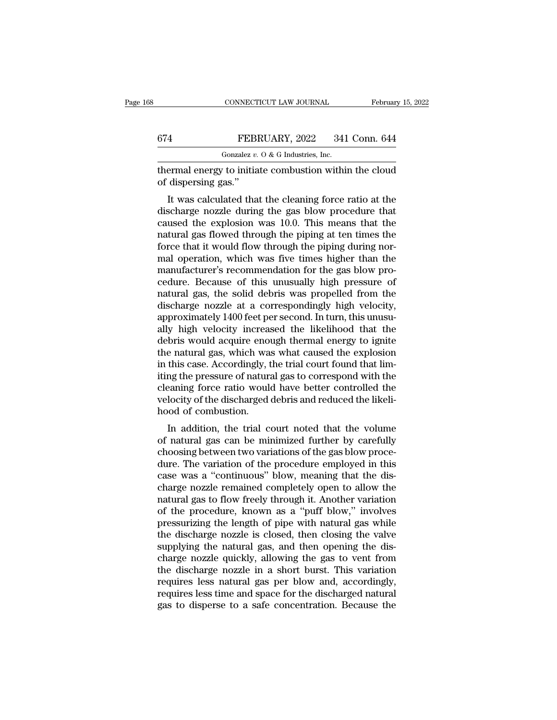|     | CONNECTICUT LAW JOURNAL                                | February 15, 2022 |
|-----|--------------------------------------------------------|-------------------|
|     |                                                        |                   |
| 674 | FEBRUARY, 2022                                         | 341 Conn. 644     |
|     | Gonzalez $v$ . O & G Industries, Inc.                  |                   |
|     | thermal energy to initiate combustion within the cloud |                   |

CONNECTICUT LAW JOURNAL February 15, 2022<br>
FEBRUARY, 2022 341 Conn. 644<br>
Gonzalez v. 0 & G Industries, Inc.<br>
thermal energy to initiate combustion within the cloud<br>
of dispersing gas." FEBI<br>
Gonzalez v.<br>
thermal energy to initia<br>
of dispersing gas."<br>
It was calculated tha

FEBRUARY, 2022 341 Conn. 644<br>
Gonzalez v. 0 & G Industries, Inc.<br>
ermal energy to initiate combustion within the cloud<br>
dispersing gas."<br>
It was calculated that the cleaning force ratio at the<br>
scharge nozzle during the g  $\begin{array}{ll}\n 674 & \text{FEBRUARY, } 2022 & 341 \text{ Conn. } 644 \\
 \hline\n \text{Gonzalez } v. 0 & \text{G Industries, Inc.} \\
 \text{thermal energy to initiate combustion within the cloud of dispersing gas.} \\
 \text{It was calculated that the cleaning force ratio at the discharge nozzle during the gas blow procedure that caused the explosion was 10.0. This means that the natural gas flow should be using at ten times the value of the original. \n\end{array}$ Gonzalez  $v$ . O & G Industries, Inc.<br>
thermal energy to initiate combustion within the cloud<br>
of dispersing gas."<br>
It was calculated that the cleaning force ratio at the<br>
discharge nozzle during the gas blow procedure tha thermal energy to initiate combustion within the cloud<br>of dispersing gas."<br>It was calculated that the cleaning force ratio at the<br>discharge nozzle during the gas blow procedure that<br>caused the explosion was 10.0. This mean for dispersing gas."<br>It was calculated that the cleaning force ratio at the<br>discharge nozzle during the gas blow procedure that<br>caused the explosion was 10.0. This means that the<br>natural gas flowed through the piping at te It was calculated that the cleaning force ratio at the<br>discharge nozzle during the gas blow procedure that<br>caused the explosion was 10.0. This means that the<br>natural gas flowed through the piping at ten times the<br>force tha It was calculated that the cleaning force ratio at the discharge nozzle during the gas blow procedure that caused the explosion was 10.0. This means that the natural gas flowed through the piping at ten times the force tha discharge nozzle during the gas blow procedure that<br>caused the explosion was 10.0. This means that the<br>natural gas flowed through the piping at ten times the<br>force that it would flow through the piping during nor-<br>mal oper caused the explosion was 10.0. This means that the<br>natural gas flowed through the piping at ten times the<br>force that it would flow through the piping during nor-<br>mal operation, which was five times higher than the<br>manufact natural gas flowed through the piping at ten times the<br>force that it would flow through the piping during nor-<br>mal operation, which was five times higher than the<br>manufacturer's recommendation for the gas blow pro-<br>cedure. force that it would flow through the piping during normal operation, which was five times higher than the manufacturer's recommendation for the gas blow procedure. Because of this unusually high pressure of natural gas, th mal operation, which was five times higher than the<br>manufacturer's recommendation for the gas blow pro-<br>cedure. Because of this unusually high pressure of<br>natural gas, the solid debris was propelled from the<br>discharge nozz manufacturer's recommendation for the gas blow procedure. Because of this unusually high pressure of natural gas, the solid debris was propelled from the discharge nozzle at a correspondingly high velocity, approximately 1 cedure. Because of this unusually high pressure of<br>natural gas, the solid debris was propelled from the<br>discharge nozzle at a correspondingly high velocity,<br>approximately 1400 feet per second. In turn, this unusu-<br>ally hig natural gas, the solid debris was propelled from the discharge nozzle at a correspondingly high velocity, approximately 1400 feet per second. In turn, this unusually high velocity increased the likelihood that the debris w discharge nozzle at a correspondingly high velocity,<br>approximately 1400 feet per second. In turn, this unusu-<br>ally high velocity increased the likelihood that the<br>debris would acquire enough thermal energy to ignite<br>the na approximately 1400 feet per second. In turn, this unusually high velocity increased the likelihood that the debris would acquire enough thermal energy to ignite the natural gas, which was what caused the explosion in this ally high velocity increased the likelihood that the debris would acquire enough thermal energy to ignite the natural gas, which was what caused the explosion in this case. Accordingly, the trial court found that limiting debris would acquire enothe natural gas, which was<br>in this case. Accordingly, t<br>iting the pressure of natural<br>cleaning force ratio would<br>velocity of the discharged<br>hood of combustion.<br>In addition, the trial c E hatural gas, which was what caused the explosion<br>this case. Accordingly, the trial court found that lim-<br>ng the pressure of natural gas to correspond with the<br>eaning force ratio would have better controlled the<br>locity of In this case. Accordingly, the that court found that infi-<br>iting the pressure of natural gas to correspond with the<br>cleaning force ratio would have better controlled the<br>velocity of the discharged debris and reduced the li

rang the pressure of natural gas to correspond while the<br>cleaning force ratio would have better controlled the<br>velocity of the discharged debris and reduced the likeli-<br>hood of combustion.<br>In addition, the trial court note detailing force ratio would have better controlled the<br>velocity of the discharged debris and reduced the likeli-<br>hood of combustion.<br>In addition, the trial court noted that the volume<br>of natural gas can be minimized furthe velocity of the uscharged debtis and reduced the inten-<br>hood of combustion.<br>In addition, the trial court noted that the volume<br>of natural gas can be minimized further by carefully<br>choosing between two variations of the gas In addition, the trial court noted that the volume<br>of natural gas can be minimized further by carefully<br>choosing between two variations of the gas blow proce-<br>dure. The variation of the procedure employed in this<br>case was In addition, the trial court noted that the volume<br>of natural gas can be minimized further by carefully<br>choosing between two variations of the gas blow proce-<br>dure. The variation of the procedure employed in this<br>case was of natural gas can be minimized further by carefully<br>choosing between two variations of the gas blow proce-<br>dure. The variation of the procedure employed in this<br>case was a "continuous" blow, meaning that the dis-<br>charge n choosing between two variations of the gas blow procedure. The variation of the procedure employed in this case was a "continuous" blow, meaning that the discharge nozzle remained completely open to allow the natural gas t dure. The variation of the procedure employed in this<br>case was a "continuous" blow, meaning that the dis-<br>charge nozzle remained completely open to allow the<br>natural gas to flow freely through it. Another variation<br>of the case was a "continuous" blow, meaning that the discharge nozzle remained completely open to allow the natural gas to flow freely through it. Another variation of the procedure, known as a "puff blow," involves pressurizing charge nozzle remained completely open to allow the<br>natural gas to flow freely through it. Another variation<br>of the procedure, known as a "puff blow," involves<br>pressurizing the length of pipe with natural gas while<br>the dis natural gas to flow freely through it. Another variation<br>of the procedure, known as a "puff blow," involves<br>pressurizing the length of pipe with natural gas while<br>the discharge nozzle is closed, then closing the valve<br>supp of the procedure, known as a "puff blow," involves<br>pressurizing the length of pipe with natural gas while<br>the discharge nozzle is closed, then closing the valve<br>supplying the natural gas, and then opening the dis-<br>charge n pressurizing the length of pipe with natural gas while<br>the discharge nozzle is closed, then closing the valve<br>supplying the natural gas, and then opening the dis-<br>charge nozzle quickly, allowing the gas to vent from<br>the di the discharge nozzle is closed, then closing the valve<br>supplying the natural gas, and then opening the dis-<br>charge nozzle quickly, allowing the gas to vent from<br>the discharge nozzle in a short burst. This variation<br>require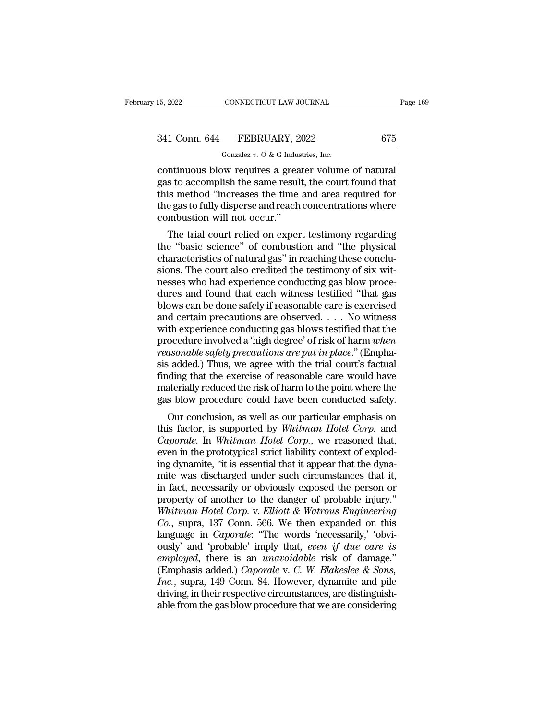## 15, 2022 CONNECTICUT LAW JOURNAL Page 169<br>341 Conn. 644 FEBRUARY, 2022 675<br>Gonzalez v. 0 & G Industries, Inc. CONNECTICUT LAW JOURNAL<br>FEBRUARY, 2022<br>Gonzalez *v.* O & G Industries, Inc.<br>We requires a greater volume

continuous blow requires a greater volume of natural<br>gas to accomplish the same result, the court found that<br>this method "increases the time and area required for<br>this method "increases the time and area required for 341 Conn. 644 FEBRUARY, 2022 675<br>
Gonzalez v. 0 & G Industries, Inc.<br>
continuous blow requires a greater volume of natural<br>
gas to accomplish the same result, the court found that<br>
this method "increases the time and area 341 Conn. 644 FEBRUARY, 2022 675<br>
Gonzalez v. 0 & G Industries, Inc.<br>
continuous blow requires a greater volume of natural<br>
gas to accomplish the same result, the court found that<br>
this method "increases the time and area 341 Conn. 644 FEBRUARY, 2022 675<br>
Gonzalez v. 0 & G Industries, Inc.<br>
continuous blow requires a greater volume of natural<br>
gas to accomplish the same result, the court found that<br>
this method "increases the time and area Gonzalez v. O & G Indus<br>
continuous blow requires a grea<br>
gas to accomplish the same resul<br>
this method "increases the time<br>
the gas to fully disperse and reach<br>
combustion will not occur."<br>
The trial court relied on exper ntinuous blow requires a greater volume of natural<br>s to accomplish the same result, the court found that<br>is method "increases the time and area required for<br>e gas to fully disperse and reach concentrations where<br>mbustion w continuous blow requires a greater volume of hatural<br>gas to accomplish the same result, the court found that<br>this method "increases the time and area required for<br>the gas to fully disperse and reach concentrations where<br>co

gas to accomplish the same result, the court found that<br>this method "increases the time and area required for<br>the gas to fully disperse and reach concentrations where<br>combustion will not occur."<br>The trial court relied on e the gas to fully disperse and reach concentrations where<br>combustion will not occur."<br>The trial court relied on expert testimony regarding<br>the "basic science" of combustion and "the physical<br>characteristics of natural gas" the gas to fully disperse and reach concentrations where<br>combustion will not occur."<br>The trial court relied on expert testimony regarding<br>the "basic science" of combustion and "the physical<br>characteristics of natural gas" The trial court relied on expert testimony regarding<br>the "basic science" of combustion and "the physical<br>characteristics of natural gas" in reaching these conclu-<br>sions. The court also credited the testimony of six wit-<br>ne The trial court relied on expert testimony regarding<br>the "basic science" of combustion and "the physical<br>characteristics of natural gas" in reaching these conclu-<br>sions. The court also credited the testimony of six wit-<br>ne the "basic science" of combustion and "the physical<br>characteristics of natural gas" in reaching these conclu-<br>sions. The court also credited the testimony of six wit-<br>nesses who had experience conducting gas blow proce-<br>du characteristics of natural gas" in reaching these conclusions. The court also credited the testimony of six witnesses who had experience conducting gas blow procedures and found that each witness testified "that gas blows sions. The court also credited the testimony of six wit-<br>nesses who had experience conducting gas blow proce-<br>dures and found that each witness testified "that gas<br>blows can be done safely if reasonable care is exercised<br>a reasses who had experience conducting gas blow procedures and found that each witness testified "that gas blows can be done safely if reasonable care is exercised and certain precautions are observed. . . . No witness with dures and found that each witness testified "that gas<br>blows can be done safely if reasonable care is exercised<br>and certain precautions are observed. . . . No witness<br>with experience conducting gas blows testified that the blows can be done safely if reasonable care is exercised<br>and certain precautions are observed. . . . No witness<br>with experience conducting gas blows testified that the<br>procedure involved a 'high degree' of risk of harm *w* and certain precautions are observed. . . . No witness<br>with experience conducting gas blows testified that the<br>procedure involved a 'high degree' of risk of harm *when*<br>reasonable safety precautions are put in place." (Em with experience conducting gas blows testified that the procedure involved a 'high degree' of risk of harm when reasonable safety precautions are put in place." (Emphasis added.) Thus, we agree with the trial court's factu oceanie involved a fight degree of risk of narm *uhen*<br>asonable safety precautions are put in place." (Empha-<br>i added.) Thus, we agree with the trial court's factual<br>ding that the exercise of reasonable care would have<br>ate reasonable sajety precautions are put in place. (Emphasis added.) Thus, we agree with the trial court's factual<br>finding that the exercise of reasonable care would have<br>materially reduced the risk of harm to the point where

Example 1.7 Thus, we agree with the that court's factual<br>finding that the exercise of reasonable care would have<br>materially reduced the risk of harm to the point where the<br>gas blow procedure could have been conducted safel miding that the exercise of reasonable care would have<br>materially reduced the risk of harm to the point where the<br>gas blow procedure could have been conducted safely.<br>Our conclusion, as well as our particular emphasis on<br>t materially reduced the risk of harm to the point where the<br>gas blow procedure could have been conducted safely.<br>Our conclusion, as well as our particular emphasis on<br>this factor, is supported by *Whitman Hotel Corp*. and<br> gas blow procedule collid have been conducted safely.<br>
Our conclusion, as well as our particular emphasis on<br>
this factor, is supported by *Whitman Hotel Corp*. and<br> *Caporale*. In *Whitman Hotel Corp*., we reasoned that,<br> Our conclusion, as well as our particular emphasis on<br>this factor, is supported by *Whitman Hotel Corp*. and<br>*Caporale*. In *Whitman Hotel Corp*., we reasoned that,<br>even in the prototypical strict liability context of expl this factor, is supported by *Whitman Hotel Corp.* and *Caporale.* In *Whitman Hotel Corp.*, we reasoned that, even in the prototypical strict liability context of exploding dynamite, "it is essential that it appear that t *Caporale.* In *Whitman Hotel Corp.*, we reasoned that, even in the prototypical strict liability context of exploding dynamite, "it is essential that it appear that the dynamite was discharged under such circumstances tha even in the prototypical strict liability context of exploding dynamite, "it is essential that it appear that the dynamite was discharged under such circumstances that it, in fact, necessarily or obviously exposed the pers ing dynamite, "it is essential that it appear that the dynamite was discharged under such circumstances that it,<br>in fact, necessarily or obviously exposed the person or<br>property of another to the danger of probable injury. mite was discharged under such circumstances that it,<br>in fact, necessarily or obviously exposed the person or<br>property of another to the danger of probable injury."<br>Whitman Hotel Corp. v. Elliott & Watrous Engineering<br>Co., in fact, necessarily or obviously exposed the person or<br>property of another to the danger of probable injury."<br>*Whitman Hotel Corp.* v. *Elliott & Watrous Engineering*<br>*Co.*, supra, 137 Conn. 566. We then expanded on this<br> property of another to the danger of probable injury."<br>
Whitman Hotel Corp. v. *Elliott* & Watrous *Engineering*<br>
Co., supra, 137 Conn. 566. We then expanded on this<br>
language in *Caporale*: "The words 'necessarily,' 'obvi *Inc.*, supra, 137 Conn. 566. We then expanded on this language in *Caporale*: "The words 'necessarily,' 'obviously' and 'probable' imply that, *even if due care is employed*, there is an *unavoidable* risk of damage." ( Co., supra, 137 Conn. 566. We then expanded on this language in *Caporale*: "The words 'necessarily,' 'obviously' and 'probable' imply that, *even* if due care is *employed*, there is an *unavoidable* risk of damage." (Emp language in *Caporale*: "The words 'necessarily,' 'obviously' and 'probable' imply that, *even if due care is employed*, there is an *unavoidable* risk of damage." (Emphasis added.) *Caporale* v. *C. W. Blakeslee & Sons, I*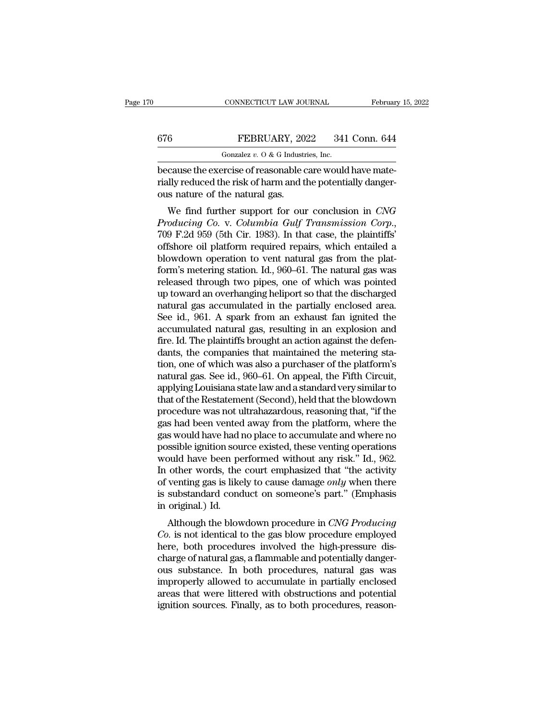CONNECTICUT LAW JOURNAL Februar<br>
676 FEBRUARY, 2022 341 Conn. 644<br>
600121 Gonzalez v. 0 & G Industries, Inc.<br>
because the exercise of reasonable care would have mate-<br>
rially reduced the risk of harm and the potentially da FEBRUARY, 2022 341 Conn. 644<br>
Gonzalez v. 0 & G Industries, Inc.<br>
because the exercise of reasonable care would have mate-<br>
rially reduced the risk of harm and the potentially danger-<br>
ous nature of the natural gas. 676 FEBRUARY, 20<br>
Gonzalez v. O & G Industribecause the exercise of reasonable corrially reduced the risk of harm and the natural gas.<br>
We find further support for our FEBRUARY, 2022 341 Conn. 644<br>
Gonzalez *v.* 0 & G Industries, Inc.<br>
cause the exercise of reasonable care would have mate-<br>
lly reduced the risk of harm and the potentially danger-<br>
is nature of the natural gas.<br>
We find

*Producing Co.* v. *Columbia Gulf Transmission Corp*., 709 F.2d 959 (5th Cir. 1983). In that case, the plaintiffs' because the exercise of reasonable care would have mate-<br>rially reduced the risk of harm and the potentially danger-<br>ous nature of the natural gas.<br>We find further support for our conclusion in *CNG*<br>Producing Co. v. Colum blow in the potentially danger-<br>ous nature of the natural gas.<br>We find further support for our conclusion in CNG<br>Producing Co. v. Columbia Gulf Transmission Corp.,<br>709 F.2d 959 (5th Cir. 1983). In that case, the plaintiffs bus hattle of the hattural gas.<br>
We find further support for our conclusion in CNG<br>
Producing Co. v. Columbia Gulf Transmission Corp.,<br>
709 F.2d 959 (5th Cir. 1983). In that case, the plaintiffs'<br>
offshore oil platform req We find further support for our conclusion in *CNG*<br>*Producing Co. v. Columbia Gulf Transmission Corp.*,<br>709 F.2d 959 (5th Cir. 1983). In that case, the plaintiffs'<br>offshore oil platform required repairs, which entailed a<br> Producing Co. v. Columbia Gulf Transmission Corp.,<br>709 F.2d 959 (5th Cir. 1983). In that case, the plaintiffs'<br>offshore oil platform required repairs, which entailed a<br>blowdown operation to vent natural gas from the plat-<br> 709 F.2d 959 (5th Cir. 1983). In that case, the plaintiffs'<br>offshore oil platform required repairs, which entailed a<br>blowdown operation to vent natural gas from the plat-<br>form's metering station. Id., 960–61. The natural g offshore oil platform required repairs, which entailed a<br>blowdown operation to vent natural gas from the plat-<br>form's metering station. Id., 960–61. The natural gas was<br>released through two pipes, one of which was pointed<br> blowdown operation to vent natural gas from the plat-<br>form's metering station. Id., 960–61. The natural gas was<br>released through two pipes, one of which was pointed<br>up toward an overhanging heliport so that the discharged<br> form's metering station. Id., 960–61. The natural gas was released through two pipes, one of which was pointed up toward an overhanging heliport so that the discharged natural gas accumulated in the partially enclosed area released through two pipes, one of which was pointed<br>up toward an overhanging heliport so that the discharged<br>natural gas accumulated in the partially enclosed area.<br>See id., 961. A spark from an exhaust fan ignited the<br>ac up toward an overhanging heliport so that the discharged<br>natural gas accumulated in the partially enclosed area.<br>See id., 961. A spark from an exhaust fan ignited the<br>accumulated natural gas, resulting in an explosion and<br> natural gas accumulated in the partially enclosed area.<br>See id., 961. A spark from an exhaust fan ignited the<br>accumulated natural gas, resulting in an explosion and<br>fire. Id. The plaintiffs brought an action against the de See id., 961. A spark from an exhaust fan ignited the<br>accumulated natural gas, resulting in an explosion and<br>fire. Id. The plaintiffs brought an action against the defen-<br>dants, the companies that maintained the metering s accumulated natural gas, resulting in an explosion and<br>fire. Id. The plaintiffs brought an action against the defen-<br>dants, the companies that maintained the metering sta-<br>tion, one of which was also a purchaser of the pla fire. Id. The plaintiffs brought an action against the defendants, the companies that maintained the metering station, one of which was also a purchaser of the platform's natural gas. See id., 960–61. On appeal, the Fifth dants, the companies that maintained the metering station, one of which was also a purchaser of the platform's natural gas. See id., 960–61. On appeal, the Fifth Circuit, applying Louisiana state law and a standard very si tion, one of which was also a purchaser of the platform's<br>natural gas. See id., 960–61. On appeal, the Fifth Circuit,<br>applying Louisiana state law and a standard very similar to<br>that of the Restatement (Second), held that natural gas. See id., 960–61. On appeal, the Fifth Circuit,<br>applying Louisiana state law and a standard very similar to<br>that of the Restatement (Second), held that the blowdown<br>procedure was not ultrahazardous, reasoning t applying Louisiana state law and a standard very similar to<br>that of the Restatement (Second), held that the blowdown<br>procedure was not ultrahazardous, reasoning that, "if the<br>gas had been vented away from the platform, whe that of the Restatement (Second), held that the blowdown<br>procedure was not ultrahazardous, reasoning that, "if the<br>gas had been vented away from the platform, where the<br>gas would have had no place to accumulate and where n procedure was not ultrahazardous, reasoning that, "if the<br>gas had been vented away from the platform, where the<br>gas would have had no place to accumulate and where no<br>possible ignition source existed, these venting operati gas had been vented away from the platform, where the<br>gas would have had no place to accumulate and where no<br>possible ignition source existed, these venting operations<br>would have been performed without any risk.'' Id., 962 gas would have had i<br>possible ignition sou<br>would have been pe<br>In other words, the<br>of venting gas is like<br>is substandard cond<br>in original.) Id.<br>Although the blow ssible ignition source existed, these venting operations<br>ould have been performed without any risk." Id., 962.<br>other words, the court emphasized that "the activity<br>venting gas is likely to cause damage *only* when there<br>su *Co.* is not identical to the gas blow procedure in *CNG Producing*<br>*Co.* is not identical to the gas blow procedure in *CNG Producing*<br>*Co.* is not identical to the gas blow procedure employed<br>here, both procedures involv

In other words, the court emphasized that the activity<br>of venting gas is likely to cause damage *only* when there<br>is substandard conduct on someone's part." (Emphasis<br>in original.) Id.<br>Although the blowdown procedure in *C* of venting gas is intery to cattle dantage *oncy* when there is substandard conduct on someone's part." (Emphasis in original.) Id.<br>
Although the blowdown procedure in *CNG Producing*<br> *Co*. is not identical to the gas blo is substantiand conduct on someone's part. (Emphasis<br>in original.) Id.<br>Although the blowdown procedure in *CNG Producing*<br>*Co*. is not identical to the gas blow procedure employed<br>here, both procedures involved the high-pr In original.) in.<br>
Although the blowdown procedure in *CNG Producing*<br>
Co. is not identical to the gas blow procedure employed<br>
here, both procedures involved the high-pressure dis-<br>
charge of natural gas, a flammable and Although the blowdown procedure in *CNG Producing*<br>Co. is not identical to the gas blow procedure employed<br>here, both procedures involved the high-pressure dis-<br>charge of natural gas, a flammable and potentially danger-<br>ou Co. is not identical to the gas blow procedure employed<br>here, both procedures involved the high-pressure dis-<br>charge of natural gas, a flammable and potentially danger-<br>ous substance. In both procedures, natural gas was<br>im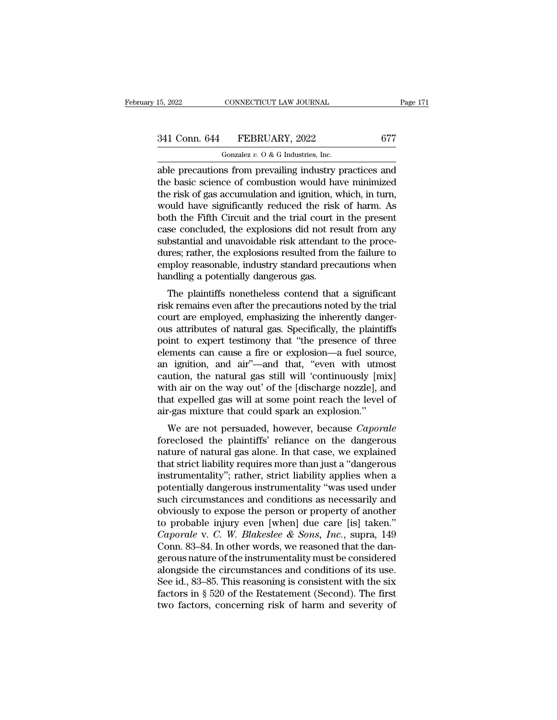15, 2022 CONNECTICUT LAW JOURNAL Page 171<br>
341 Conn. 644 FEBRUARY, 2022 677<br>
Gonzalez v. 0 & G Industries, Inc.<br>
able precautions from prevailing industry practices and<br>
the basic science of combustion would have minimized 341 Conn. 644 FEBRUARY, 2022 677<br>
Gonzalez v. 0 & G Industries, Inc.<br>
able precautions from prevailing industry practices and<br>
the basic science of combustion would have minimized<br>
the risk of gas accumulation and ignitio 341 Conn. 644 FEBRUARY, 2022 677<br>
Gonzalez v. 0 & G Industries, Inc.<br>
able precautions from prevailing industry practices and<br>
the basic science of combustion would have minimized<br>
the risk of gas accumulation and ignitio 341 Conn. 644 FEBRUARY, 2022 677<br>
Gonzalez v. 0 & G Industries, Inc.<br>
able precautions from prevailing industry practices and<br>
the basic science of combustion would have minimized<br>
the risk of gas accumulation and ignitio Gonzalez v.  $0$  & G Industries, Inc.<br>able precautions from prevailing industry practices and<br>the basic science of combustion would have minimized<br>the risk of gas accumulation and ignition, which, in turn,<br>would have signi Gonzalez v. O & G Industries, Inc.<br>able precautions from prevailing industry practices and<br>the basic science of combustion would have minimized<br>the risk of gas accumulation and ignition, which, in turn,<br>would have signifi able precautions from prevailing industry practices and<br>the basic science of combustion would have minimized<br>the risk of gas accumulation and ignition, which, in turn,<br>would have significantly reduced the risk of harm. As<br> the basic science of combustion would have minimized<br>the risk of gas accumulation and ignition, which, in turn,<br>would have significantly reduced the risk of harm. As<br>both the Fifth Circuit and the trial court in the presen the risk of gas accumulation and ignition, which, in turn,<br>would have significantly reduced the risk of harm. As<br>both the Fifth Circuit and the trial court in the present<br>case concluded, the explosions did not result from would have significantly reduced the risk<br>both the Fifth Circuit and the trial court i<br>case concluded, the explosions did not res<br>substantial and unavoidable risk attendant<br>dures; rather, the explosions resulted from<br>emplo See concluded, the explosions did not result from any<br>bstantial and unavoidable risk attendant to the proce-<br>res; rather, the explosions resulted from the failure to<br>uploy reasonable, industry standard precautions when<br>ndl case concluded, the explosions did not result from any<br>substantial and unavoidable risk attendant to the proce-<br>dures; rather, the explosions resulted from the failure to<br>employ reasonable, industry standard precautions wh

substantia and diavoidable risk attendant to the proce-<br>dures; rather, the explosions resulted from the failure to<br>employ reasonable, industry standard precautions when<br>handling a potentially dangerous gas.<br>The plaintiffs outes, rather, the explosions resulted from the rande to<br>employ reasonable, industry standard precautions when<br>handling a potentially dangerous gas.<br>The plaintiffs nonetheless contend that a significant<br>risk remains even a employ reasonable, industry standard precaditions when<br>handling a potentially dangerous gas.<br>The plaintiffs nonetheless contend that a significant<br>risk remains even after the precautions noted by the trial<br>court are employ randing a potentially dangerous gas.<br>
The plaintiffs nonetheless contend that a significant<br>
risk remains even after the precautions noted by the trial<br>
court are employed, emphasizing the inherently danger-<br>
ous attribute The plaintiffs nonetheless contend that a significant<br>risk remains even after the precautions noted by the trial<br>court are employed, emphasizing the inherently danger-<br>ous attributes of natural gas. Specifically, the plain risk remains even after the precautions noted by the trial<br>court are employed, emphasizing the inherently danger-<br>ous attributes of natural gas. Specifically, the plaintiffs<br>point to expert testimony that "the presence of court are employed, emphasizing the inherently danger-<br>ous attributes of natural gas. Specifically, the plaintiffs<br>point to expert testimony that "the presence of three<br>elements can cause a fire or explosion—a fuel source, ous attributes of natural gas. Specifically, the plaintiffs<br>point to expert testimony that "the presence of three<br>elements can cause a fire or explosion—a fuel source,<br>an ignition, and air"—and that, "even with utmost<br>caut point to expert testimony that "the presence of three<br>elements can cause a fire or explosion—a fuel source,<br>an ignition, and air"—and that, "even with utmost<br>caution, the natural gas still will 'continuously [mix]<br>with air Enterns can cause a me of explosion—a nuer source,<br>ignition, and air"—and that, "even with utmost<br>ution, the natural gas still will 'continuously [mix]<br>th air on the way out' of the [discharge nozzle], and<br>at expelled gas an ignition, and an —and that, even with diffused caution, the natural gas still will 'continuously [mix] with air on the way out' of the [discharge nozzle], and that expelled gas will at some point reach the level of air-

caution, the hatural gas still will continuously [hitx]<br>with air on the way out' of the [discharge nozzle], and<br>that expelled gas will at some point reach the level of<br>air-gas mixture that could spark an explosion."<br>We are with an on the way out of the [uscharge hozzle], and<br>that expelled gas will at some point reach the level of<br>air-gas mixture that could spark an explosion."<br>We are not persuaded, however, because *Caporale*<br>foreclosed the diatexpened gas will at some point reach the fever of<br>air-gas mixture that could spark an explosion."<br>We are not persuaded, however, because *Caporale*<br>foreclosed the plaintiffs' reliance on the dangerous<br>nature of natural an-gas mixture that could spark an explosion.<br>
We are not persuaded, however, because *Caporale*<br>
foreclosed the plaintiffs' reliance on the dangerous<br>
nature of natural gas alone. In that case, we explained<br>
that strict l We are not persuaded, however, because *Caporale*<br>foreclosed the plaintiffs' reliance on the dangerous<br>nature of natural gas alone. In that case, we explained<br>that strict liability requires more than just a "dangerous<br>inst foreclosed the plaintiffs' reliance on the dangerous<br>nature of natural gas alone. In that case, we explained<br>that strict liability requires more than just a "dangerous<br>instrumentality"; rather, strict liability applies wh nature of natural gas alone. In that case, we explained<br>that strict liability requires more than just a "dangerous<br>instrumentality"; rather, strict liability applies when a<br>potentially dangerous instrumentality "was used *Caporalisty requires more than just a "dangerous*<br> *Caporalisty"*; rather, strict liability applies when a<br>
potentially dangerous instrumentality "was used under<br>
such circumstances and conditions as necessarily and<br>
obvi instrumentality"; rather, strict liability applies when a<br>potentially dangerous instrumentality "was used under<br>such circumstances and conditions as necessarily and<br>obviously to expose the person or property of another<br>to potentially dangerous instrumentality "was used under<br>such circumstances and conditions as necessarily and<br>obviously to expose the person or property of another<br>to probable injury even [when] due care [is] taken."<br>*Caporal* such circumstances and conditions as necessarily and<br>obviously to expose the person or property of another<br>to probable injury even [when] due care [is] taken."<br>*Caporale* v. *C. W. Blakeslee & Sons, Inc.*, supra, 149<br>Conn obviously to expose the person or property of another<br>to probable injury even [when] due care [is] taken."<br>Caporale v. C. W. Blakeslee & Sons, Inc., supra, 149<br>Conn. 83–84. In other words, we reasoned that the dan-<br>gerous to probable injury even [when] due care [is] taken."<br>Caporale v. C. W. Blakeslee & Sons, Inc., supra, 149<br>Conn. 83–84. In other words, we reasoned that the dan-<br>gerous nature of the instrumentality must be considered<br>alon Caporale v. C. W. Blakeslee & Sons, Inc., supra, 149 Conn. 83–84. In other words, we reasoned that the dangerous nature of the instrumentality must be considered alongside the circumstances and conditions of its use. See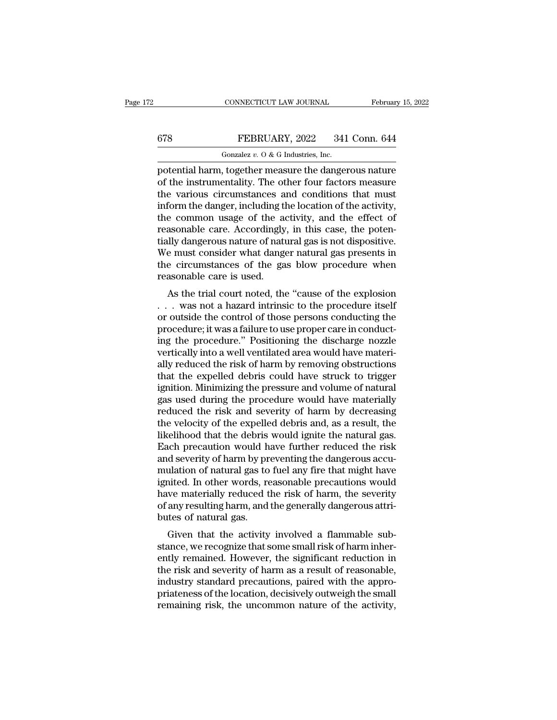## CONNECTICUT LAW JOURNAL February 15, 2022<br>678 FEBRUARY, 2022 341 Conn. 644<br>Gonzalez v. 0 & G Industries, Inc. CONNECTICUT LAW JOURNAL<br>FEBRUARY, 2022 341<br>Gonzalez *v.* O & G Industries, Inc.<br>together measure the danger

 $\begin{tabular}{ll} \multicolumn{1}{l}{{\small\bf CONNECTICUT LAW JOURNAL}} & \multicolumn{1}{l}{\small\bf February 15, 2022} \\ \hline \multicolumn{1}{l}{678} & \multicolumn{1}{l}{\small\bf FEBRUARY, 2022} & 341 & \multicolumn{1}{l}{\small\bf Conn. 644} \\ \hline \multicolumn{1}{l}{\small\bf Gonzalez}\ v.\ O \ \&\ G\ {\small\bf Industries, Inc.} \\ \hline \multicolumn{1}{l}{\bf potential harm, together measure the dangerous nature} \\ \hline \multicolumn{1}{l}{\bf of the instrumentality. The other four factors measure} \\ \hline$  $\begin{array}{r} \text{678} & \text{FEBRUARY, 2022} & \text{341 Conn. 644} \\ \text{Gonzalez } v. 0 & \text{G Industries, Inc.} \\ \text{potential harm, together measure the dangerous nature of the instrumentality. The other four factors measure the various circumstances and conditions that must inform the danger including the location of the activity.} \end{array}$ FEBRUARY, 2022 341 Conn. 644<br>
Conzalez v. O & G Industries, Inc.<br>
potential harm, together measure the dangerous nature<br>
of the instrumentality. The other four factors measure<br>
the various circumstances and conditions tha FEBRUARY, 2022 341 Conn. 644<br>
Gonzalez v. 0 & G Industries, Inc.<br>
potential harm, together measure the dangerous nature<br>
of the instrumentality. The other four factors measure<br>
the various circumstances and conditions tha Gonzalez v. O & G Industries, Inc.<br>potential harm, together measure the dangerous nature<br>of the instrumentality. The other four factors measure<br>the various circumstances and conditions that must<br>inform the danger, includi Gonzalez v. O & G Industries, Inc.<br>potential harm, together measure the dangerous nature<br>of the instrumentality. The other four factors measure<br>the various circumstances and conditions that must<br>inform the danger, includi potential harm, together measure the dangerous nature<br>of the instrumentality. The other four factors measure<br>the various circumstances and conditions that must<br>inform the danger, including the location of the activity,<br>the of the instrumentality. The other four factors measure<br>the various circumstances and conditions that must<br>inform the danger, including the location of the activity,<br>the common usage of the activity, and the effect of<br>reaso the various circumstances and conditions that must<br>inform the danger, including the location of the activity,<br>the common usage of the activity, and the effect of<br>reasonable care. Accordingly, in this case, the poten-<br>tiall inform the danger, including the<br>the common usage of the averasonable care. Accordingly<br>tially dangerous nature of nature what danger<br>the circumstances of the ga<br>reasonable care is used.<br>As the trial court noted, the Exploration disage of the activity, and the effect of<br>assonable care. Accordingly, in this case, the poten-<br>lly dangerous nature of natural gas is not dispositive.<br>e must consider what danger natural gas presents in<br>e circ reasonable care. Accordingly, in this case, the potentially dangerous nature of natural gas is not dispositive.<br>We must consider what danger natural gas presents in<br>the circumstances of the gas blow procedure when<br>reasonab

trany dangerous nature of natural gas is not dispositive.<br>We must consider what danger natural gas presents in<br>the circumstances of the gas blow procedure when<br>reasonable care is used.<br>As the trial court noted, the "cause we must consider what danger hadural gas presents in<br>the circumstances of the gas blow procedure when<br>reasonable care is used.<br>As the trial court noted, the "cause of the explosion<br>. . . was not a hazard intrinsic to the p Interactional care is used.<br>
As the trial court noted, the "cause of the explosion<br>
... was not a hazard intrinsic to the procedure itself<br>
or outside the control of those persons conducting the<br>
procedure; it was a failur Feasonable care is used.<br>
As the trial court noted, the "cause of the explosion  $\ldots$  was not a hazard intrinsic to the procedure itself<br>
or outside the control of those persons conducting the<br>
procedure; it was a failure As the trial court noted, the "cause of the explosion  $\ldots$  was not a hazard intrinsic to the procedure itself or outside the control of those persons conducting the procedure; it was a failure to use proper care in condu . . . was not a hazard intrinsic to the procedure itself<br>or outside the control of those persons conducting the<br>procedure; it was a failure to use proper care in conduct-<br>ing the procedure." Positioning the discharge nozzl or outside the control of those persons conducting the<br>procedure; it was a failure to use proper care in conduct-<br>ing the procedure." Positioning the discharge nozzle<br>vertically into a well ventilated area would have mater procedure; it was a failure to use proper care in conducting the procedure." Positioning the discharge nozzle vertically into a well ventilated area would have materially reduced the risk of harm by removing obstructions t ing the procedure." Positioning the discharge nozzle<br>vertically into a well ventilated area would have materi-<br>ally reduced the risk of harm by removing obstructions<br>that the expelled debris could have struck to trigger<br>ig vertically into a well ventilated area would have materially reduced the risk of harm by removing obstructions<br>that the expelled debris could have struck to trigger<br>ignition. Minimizing the pressure and volume of natural<br>g ally reduced the risk of harm by removing obstructions<br>that the expelled debris could have struck to trigger<br>ignition. Minimizing the pressure and volume of natural<br>gas used during the procedure would have materially<br>reduc that the expelled debris could have struck to trigger<br>ignition. Minimizing the pressure and volume of natural<br>gas used during the procedure would have materially<br>reduced the risk and severity of harm by decreasing<br>the velo ignition. Minimizing the pressure and volume of natural gas used during the procedure would have materially reduced the risk and severity of harm by decreasing the velocity of the expelled debris and, as a result, the like gas used during the procedure would have materially<br>reduced the risk and severity of harm by decreasing<br>the velocity of the expelled debris and, as a result, the<br>likelihood that the debris would ignite the natural gas.<br>Eac reduced the risk and severity of harm by decreasing<br>the velocity of the expelled debris and, as a result, the<br>likelihood that the debris would ignite the natural gas.<br>Each precaution would have further reduced the risk<br>and the velocity of the expelled debris and, as a result, the likelihood that the debris would ignite the natural gas.<br>Each precaution would have further reduced the risk and severity of harm by preventing the dangerous accumu likelihood that the debris would ignite the natural gas.<br>Each precaution would have further reduced the risk<br>and severity of harm by preventing the dangerous accu-<br>mulation of natural gas to fuel any fire that might have<br>i Each precaution would h<br>and severity of harm by pr<br>mulation of natural gas to<br>ignited. In other words, re<br>have materially reduced t<br>of any resulting harm, and<br>butes of natural gas.<br>Given that the activity In the activity of natural gas to fuel any fire that might have<br>inted. In other words, reasonable precautions would<br>we materially reduced the risk of harm, the severity<br>any resulting harm, and the generally dangerous attri mulation of hatural gas to fuer any fire that hught have<br>ignited. In other words, reasonable precautions would<br>have materially reduced the risk of harm, the severity<br>of any resulting harm, and the generally dangerous attri

ighted. In other words, reasonable precaduoris would<br>have materially reduced the risk of harm, the severity<br>of any resulting harm, and the generally dangerous attri-<br>butes of natural gas.<br>Given that the activity involved a the risk of harm, the severity<br>of any resulting harm, and the generally dangerous attri-<br>butes of natural gas.<br>Given that the activity involved a flammable sub-<br>stance, we recognize that some small risk of harm inher-<br>entl or any resulting harm, and the generally dangerous atti-<br>butes of natural gas.<br>Given that the activity involved a flammable sub-<br>stance, we recognize that some small risk of harm inher-<br>ently remained. However, the signifi butes of hatural gas.<br>
Given that the activity involved a flammable substance, we recognize that some small risk of harm inherently remained. However, the significant reduction in the risk and severity of harm as a result Given that the activity involved a flammable substance, we recognize that some small risk of harm inherently remained. However, the significant reduction in the risk and severity of harm as a result of reasonable, industry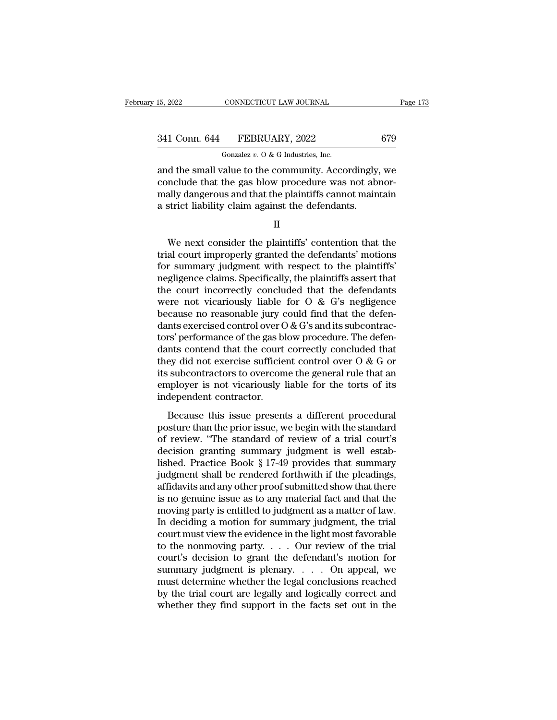15, 2022 CONNECTICUT LAW JOURNAL<br>
341 Conn. 644 FEBRUARY, 2022 679<br>
<sup>Gonzalez v. O & G Industries, Inc.<br>
and the small value to the community. Accordingly, we<br>
conclude that the gas blow procedure was not abnor-<br>
mally dan</sup>  $\begin{array}{r} \text{a} = 173, \text{a} = 173 \text{ m} \end{array}$ <br>  $\begin{array}{r} \text{a} = 173 \text{ m} \end{array}$ <br>  $\begin{array}{r} \text{a} = 173 \text{ m} \end{array}$ <br>  $\begin{array}{r} \text{a} = 173 \text{ m} \end{array}$ <br>  $\begin{array}{r} \text{a} = 173 \text{ m} \end{array}$ <br>  $\begin{array}{r} \text{a} = 173 \text{ m} \end{array}$ <br>  $\begin{array}{r} \text{a} = 173 \text{ m} \$ 341 Conn. 644 FEBRUARY, 2022 679<br>
Gonzalez v. 0 & G Industries, Inc.<br>
and the small value to the community. Accordingly, we<br>
conclude that the gas blow procedure was not abnormally dangerous and that the plaintiffs cannot 341 Conn. 644 FEBRUARY, 2022<br>  $\overline{\text{Gonzalez } v. 0 \& G \text{ Industries, Inc.}}$ <br>
and the small value to the community. Accordingly<br>
conclude that the gas blow procedure was not abidually dangerous and that the plaintiffs cannot main<br>
a stric d the small value to the community. Accordingly, we<br>nclude that the gas blow procedure was not abnor-<br>ally dangerous and that the plaintiffs cannot maintain<br>strict liability claim against the defendants.<br>II<br>We next conside

II

conclude that the gas blow procedure was not abnormally dangerous and that the plaintiffs cannot maintain<br>a strict liability claim against the defendants.<br>II<br>We next consider the plaintiffs' contention that the<br>trial court mally dangerous and that the plaintiffs cannot maintain<br>a strict liability claim against the defendants.<br>II<br>We next consider the plaintiffs' contention that the<br>trial court improperly granted the defendants' motions<br>for su a strict liability claim against the defendants.<br>
II<br>
We next consider the plaintiffs' contention that the<br>
trial court improperly granted the defendants' motions<br>
for summary judgment with respect to the plaintiffs'<br>
neg II<br>We next consider the plaintiffs' contention that the<br>trial court improperly granted the defendants' motions<br>for summary judgment with respect to the plaintiffs'<br>negligence claims. Specifically, the plaintiffs assert tha We next consider the plaintiffs' contention that the<br>trial court improperly granted the defendants' motions<br>for summary judgment with respect to the plaintiffs'<br>negligence claims. Specifically, the plaintiffs assert that<br> We next consider the plaintiffs' contention that the<br>trial court improperly granted the defendants' motions<br>for summary judgment with respect to the plaintiffs'<br>negligence claims. Specifically, the plaintiffs assert that<br> trial court improperly granted the defendants' motions<br>for summary judgment with respect to the plaintiffs'<br>negligence claims. Specifically, the plaintiffs assert that<br>the court incorrectly concluded that the defendants<br>w for summary judgment with respect to the plaintiffs'<br>negligence claims. Specifically, the plaintiffs assert that<br>the court incorrectly concluded that the defendants<br>were not vicariously liable for O & G's negligence<br>becau negligence claims. Specifically, the plaintiffs assert that<br>the court incorrectly concluded that the defendants<br>were not vicariously liable for O & G's negligence<br>because no reasonable jury could find that the defen-<br>dant the court incorrectly concluded that the defendants<br>were not vicariously liable for O & G's negligence<br>because no reasonable jury could find that the defen-<br>dants exercised control over O & G's and its subcontrac-<br>tors' p were not vicariously liable for O & G's negligence<br>because no reasonable jury could find that the defen-<br>dants exercised control over O & G's and its subcontrac-<br>tors' performance of the gas blow procedure. The defen-<br>dan because no reasonable jury could find that the defendants exercised control over  $O & G$ 's and its subcontractors' performance of the gas blow procedure. The defendants contend that the court correctly concluded that they d dants exercised control over C<br>tors' performance of the gas bl<br>dants contend that the court<br>they did not exercise sufficie<br>its subcontractors to overcom<br>employer is not vicariously l<br>independent contractor.<br>Because this is Because this issue presents a different procedural<br>Because that the court correctly concluded that<br>ey did not exercise sufficient control over  $O \& G$  or<br>subcontractors to overcome the general rule that an<br>apployer is not datas content and the court correctly concreased that<br>they did not exercise sufficient control over O & G or<br>its subcontractors to overcome the general rule that an<br>employer is not vicariously liable for the torts of its<br>i

The subcontractors to overcome the general rule that an employer is not vicariously liable for the torts of its independent contractor.<br>Because this issue presents a different procedural posture than the prior issue, we b decident contractors are general that that the memployer is not vicariously liable for the torts of its<br>independent contractor.<br>Because this issue presents a different procedural<br>posture than the prior issue, we begin wit independent contractor.<br>
Because this issue presents a different procedural<br>
posture than the prior issue, we begin with the standard<br>
of review. "The standard of review of a trial court's<br>
decision granting summary judgm Because this issue presents a different procedural<br>posture than the prior issue, we begin with the standard<br>of review. "The standard of review of a trial court's<br>decision granting summary judgment is well estab-<br>lished. Pr Because this issue presents a different procedural<br>posture than the prior issue, we begin with the standard<br>of review. "The standard of review of a trial court's<br>decision granting summary judgment is well estab-<br>lished. Pr posture than the prior issue, we begin with the standard<br>of review. "The standard of review of a trial court's<br>decision granting summary judgment is well estab-<br>lished. Practice Book § 17-49 provides that summary<br>judgment of review. "The standard of review of a trial court's<br>decision granting summary judgment is well estab-<br>lished. Practice Book § 17-49 provides that summary<br>judgment shall be rendered forthwith if the pleadings,<br>affidavits decision granting summary judgment is well established. Practice Book § 17-49 provides that summary<br>judgment shall be rendered forthwith if the pleadings,<br>affidavits and any other proof submitted show that there<br>is no gen lished. Practice Book § 17-49 provides that summary<br>judgment shall be rendered forthwith if the pleadings,<br>affidavits and any other proof submitted show that there<br>is no genuine issue as to any material fact and that the<br> judgment shall be rendered forthwith if the pleadings,<br>affidavits and any other proof submitted show that there<br>is no genuine issue as to any material fact and that the<br>moving party is entitled to judgment as a matter of affidavits and any other proof submitted show that there<br>is no genuine issue as to any material fact and that the<br>moving party is entitled to judgment as a matter of law.<br>In deciding a motion for summary judgment, the tri is no genuine issue as to any material fact and that the<br>moving party is entitled to judgment as a matter of law.<br>In deciding a motion for summary judgment, the trial<br>court must view the evidence in the light most favorab moving party is entitled to judgment as a matter of law.<br>In deciding a motion for summary judgment, the trial<br>court must view the evidence in the light most favorable<br>to the nonmoving party. . . . Our review of the trial<br> In deciding a motion for summary judgment, the trial<br>court must view the evidence in the light most favorable<br>to the nonmoving party.... Our review of the trial<br>court's decision to grant the defendant's motion for<br>summary court must view the evidence in the light most favorable<br>to the nonmoving party. . . . Our review of the trial<br>court's decision to grant the defendant's motion for<br>summary judgment is plenary. . . . On appeal, we<br>must det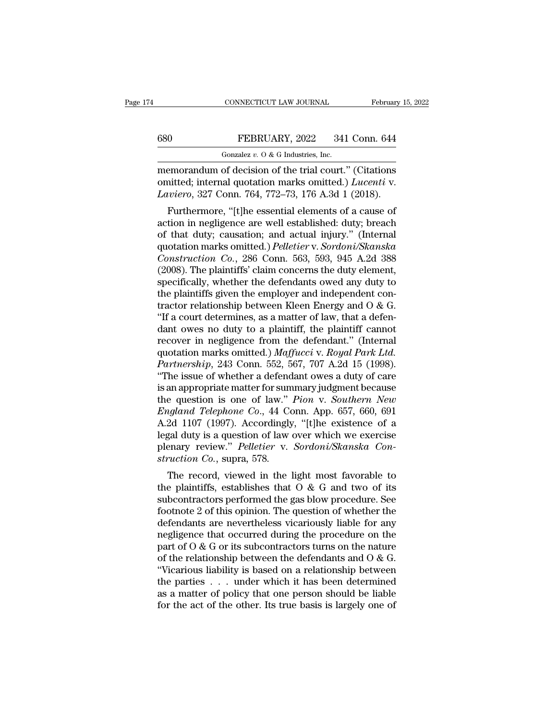CONNECTICUT LAW JOURNAL February 15, 2022<br>
FEBRUARY, 2022 341 Conn. 644<br>
Gonzalez v. 0 & G Industries, Inc.<br>
memorandum of decision of the trial court.'' (Citations<br>
omitted; internal quotation marks omitted.) *Lucenti* v. 680 **FEBRUARY**, 2022 341 Conn. 644<br>
Gonzalez v. 0 & G Industries, Inc.<br>
memorandum of decision of the trial court." (Citations<br>
omitted; internal quotation marks omitted.) *Lucenti* v.<br> *Laviero*, 327 Conn. 764, 772–73, 17 FEBRUARY, 2022 341 Conn. 644<br> *Gonzalez v. O & G Industries, Inc.*<br>
memorandum of decision of the trial court." (Citations<br>
omitted; internal quotation marks omitted.) *Lucenti* v.<br> *Laviero*, 327 Conn. 764, 772–73, 176 A. FEBRUARY, 2022 341 Conn. 644<br>
Gonzalez v. 0 & G Industries, Inc.<br>
emorandum of decision of the trial court." (Citations<br>
initted; internal quotation marks omitted.) *Lucenti* v.<br> *uviero*, 327 Conn. 764, 772–73, 176 A.3d

Gonzalez v. O & G Industries, Inc.<br>
memorandum of decision of the trial court." (Citations<br>
omitted; internal quotation marks omitted.) *Lucenti* v.<br> *Laviero*, 327 Conn. 764, 772–73, 176 A.3d 1 (2018).<br>
Furthermore, "[t] memorandum of decision of the trial court." (Citations<br>
omitted; internal quotation marks omitted.) *Lucenti* v.<br> *Laviero*, 327 Conn. 764, 772–73, 176 A.3d 1 (2018).<br>
Furthermore, "[t]he essential elements of a cause of<br> mentorantum of decision of the trial court. (Chanons<br>omitted; internal quotation marks omitted.) *Lucenti* v.<br>*Laviero*, 327 Conn. 764, 772–73, 176 A.3d 1 (2018).<br>Furthermore, "[t]he essential elements of a cause of<br>action *Construction Co.*, 286 Conn. 764, 772–73, 176 A.3d 1 (2018).<br> *Caviero*, 327 Conn. 764, 772–73, 176 A.3d 1 (2018).<br> *Furthermore*, "[t]he essential elements of a cause of<br>
action in negligence are well established: duty; *Lattero*, 527 Collit. 764, 772–75, 170 A.5d 1 (2016).<br>
Furthermore, "[t]he essential elements of a cause of<br>
action in negligence are well established: duty; breach<br>
of that duty; causation; and actual injury." (Internal Furthermore, "[t]he essential elements of a cause of<br>action in negligence are well established: duty; breach<br>of that duty; causation; and actual injury." (Internal<br>quotation marks omitted.) *Pelletier* v. *Sordoni/Skanska* action in negligence are well established: duty; breach of that duty; causation; and actual injury." (Internal quotation marks omitted.) *Pelletier* v. *Sordoni/Skanska Construction Co.*, 286 Conn. 563, 593, 945 A.2d 388 of that duty; causation; and actual injury." (Internal<br>quotation marks omitted.) *Pelletier* v. *Sordoni/Skanska*<br>*Construction Co.*, 286 Conn. 563, 593, 945 A.2d 388<br>(2008). The plaintiffs' claim concerns the duty elemen quotation marks omitted.) Pelletier v. Sordoni/Skanska<br>Construction Co., 286 Conn. 563, 593, 945 A.2d 388<br>(2008). The plaintiffs' claim concerns the duty element,<br>specifically, whether the defendants owed any duty to<br>the p Construction Co., 286 Conn. 563, 593, 945 A.2d 388 (2008). The plaintiffs' claim concerns the duty element, specifically, whether the defendants owed any duty to the plaintiffs given the employer and independent contracto (2008). The plaintiffs' claim concerns the duty element,<br>specifically, whether the defendants owed any duty to<br>the plaintiffs given the employer and independent con-<br>tractor relationship between Kleen Energy and O & G.<br>"I specifically, whether the defendants owed any duty to<br>the plaintiffs given the employer and independent con-<br>tractor relationship between Kleen Energy and O & G.<br>"If a court determines, as a matter of law, that a defen-<br>da the plaintiffs given the employer and independent contractor relationship between Kleen Energy and O & G.<br>
"If a court determines, as a matter of law, that a defendant owes no duty to a plaintiff, the plaintiff cannot<br>
rec tractor relationship between Kleen Energy and O & G.<br>
"If a court determines, as a matter of law, that a defendant owes no duty to a plaintiff, the plaintiff cannot<br>
recover in negligence from the defendant." (Internal<br>
q "If a court determines, as a matter of law, that a defendant owes no duty to a plaintiff, the plaintiff cannot recover in negligence from the defendant." (Internal quotation marks omitted.) *Maffucci* v. *Royal Park Ltd.* dant owes no duty to a plaintiff, the plaintiff cannot<br>recover in negligence from the defendant." (Internal<br>quotation marks omitted.) *Maffucci* v. *Royal Park Ltd.*<br>*Partnership*, 243 Conn. 552, 567, 707 A.2d 15 (1998).<br>" recover in negligence from the defendant." (Internal<br>quotation marks omitted.) *Maffucci* v. *Royal Park Ltd.*<br>*Partnership*, 243 Conn. 552, 567, 707 A.2d 15 (1998).<br>"The issue of whether a defendant owes a duty of care<br>is quotation marks omitted.) *Maffucci* v. *Royal Park Ltd.*<br> *Partnership*, 243 Conn. 552, 567, 707 A.2d 15 (1998).<br>
"The issue of whether a defendant owes a duty of care<br>
is an appropriate matter for summary judgment becau Partnership, 243 Conn. 552, 567, 707 A.2d 15 (1998).<br>
"The issue of whether a defendant owes a duty of care<br>
is an appropriate matter for summary judgment because<br>
the question is one of law." *Pion v. Southern New*<br> *Engl* "The issue of whether a defendant owes a duty of care<br>is an appropriate matter for summary judgment because<br>the question is one of law." *Pion* v. *Southern New*<br>*England Telephone Co.*, 44 Conn. App. 657, 660, 691<br>A.2d 11 is an appropriate matter for sum<br>the question is one of law."<br>*England Telephone Co.*, 44 Co.<br>A.2d 1107 (1997). Accordingly<br>legal duty is a question of law<br>plenary review." *Pelletier* v.<br>*struction Co.*, supra, 578.<br>The r *E* question is one of law. *Tion v*. *Southern New*<br>*igland Telephone Co., 44 Conn. App. 657, 660, 691*<br>2d 1107 (1997). Accordingly, "[t]he existence of a<br>gal duty is a question of law over which we exercise<br>enary re England Telephone Co., 44 Collic App. 057, 000, 051<br>A.2d 1107 (1997). Accordingly, "[t]he existence of a<br>legal duty is a question of law over which we exercise<br>plenary review." Pelletier v. Sordoni/Skanska Con-<br>struction

A.2d Tiot (1991). Accordingly, [t]he existence of a<br>legal duty is a question of law over which we exercise<br>plenary review." *Pelletier* v. *Sordoni/Skanska Con-<br>struction Co.*, supra, 578.<br>The record, viewed in the light for the same of this operator of the planary review." Pelletier v. Sordoni/Skanska Construction Co., supra, 578.<br>The record, viewed in the light most favorable to the plaintiffs, establishes that O & G and two of its subco plenary review. Teacher v. Soriaonoskanska Construction Co., supra, 578.<br>The record, viewed in the light most favorable to<br>the plaintiffs, establishes that O & G and two of its<br>subcontractors performed the gas blow proced Struction Co., supra, 578.<br>The record, viewed in the light most favorable to<br>the plaintiffs, establishes that O & G and two of its<br>subcontractors performed the gas blow procedure. See<br>footnote 2 of this opinion. The quest The record, viewed in the light most favorable to<br>the plaintiffs, establishes that O & G and two of its<br>subcontractors performed the gas blow procedure. See<br>footnote 2 of this opinion. The question of whether the<br>defendan the plaintiffs, establishes that O & G and two of its<br>subcontractors performed the gas blow procedure. See<br>footnote 2 of this opinion. The question of whether the<br>defendants are nevertheless vicariously liable for any<br>neg subcontractors performed the gas blow procedure. See<br>footnote 2 of this opinion. The question of whether the<br>defendants are nevertheless vicariously liable for any<br>negligence that occurred during the procedure on the<br>part footnote 2 of this opinion. The question of whether the<br>defendants are nevertheless vicariously liable for any<br>negligence that occurred during the procedure on the<br>part of  $O & G$  or its subcontractors turns on the nature<br>o defendants are nevertheless vicariously liable for any<br>negligence that occurred during the procedure on the<br>part of  $O & G$  or its subcontractors turns on the nature<br>of the relationship between the defendants and  $O & G$ .<br>"Vi megligence that occurred during the procedure on the part of  $O & G$  or its subcontractors turns on the nature of the relationship between the defendants and  $O & G$ .<br>"Vicarious liability is based on a relationship between th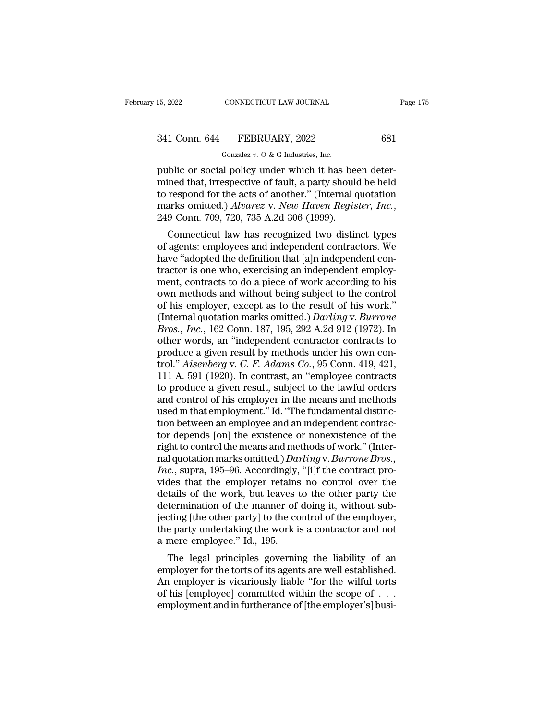CONNECTICUT LAW JOURNAL<br>FEBRUARY, 2022<br>Gonzalez *v.* O & G Industries, Inc.<br>al policy under which it has b 15, 2022 CONNECTICUT LAW JOURNAL<br>
341 Conn. 644 FEBRUARY, 2022 681<br>
681<br>
691<br>
691 Gonzalez v. 0 & G Industries, Inc.<br>
public or social policy under which it has been deter-<br>
mined that, irrespective of fault, a party shoul 341 Conn. 644 FEBRUARY, 2022 681<br>
Gonzalez v. 0 & G Industries, Inc.<br>
public or social policy under which it has been deter-<br>
mined that, irrespective of fault, a party should be held<br>
to respond for the acts of another." 341 Conn. 644 FEBRUARY, 2022 681<br>
Gonzalez v. 0 & G Industries, Inc.<br>
public or social policy under which it has been deter-<br>
mined that, irrespective of fault, a party should be held<br>
to respond for the acts of another.' <sup>2341</sup> Conn. 644 FEBRUARY, 2022 681<br>
<sup>Gonzalez v. 0 & G Industries, Inc.<br>
public or social policy under which it has been deter-<br>
mined that, irrespective of fault, a party should be held<br>
to respond for the acts of anothe</sup> which it has been deter-<br>ined that, irrespective of fault, a party should be held<br>respond for the acts of another." (Internal quotation<br>arks omitted.) Alvarez v. New Haven Register, Inc.,<br>9 Conn. 709, 720, 735 A.2d 306 (19 public of social policy under which it has been deter-<br>mined that, irrespective of fault, a party should be held<br>to respond for the acts of another." (Internal quotation<br>marks omitted.) Alvarez v. New Haven Register, Inc.,

have that, if espective of fault, a party should be flerd<br>to respond for the acts of another." (Internal quotation<br>marks omitted.) *Alvarez* v. *New Haven Register*, *Inc.*,<br>249 Conn. 709, 720, 735 A.2d 306 (1999).<br>Connect to respond for the acts of another. (Internal quotation<br>marks omitted.) Alvarez v. New Haven Register, Inc.,<br>249 Conn. 709, 720, 735 A.2d 306 (1999).<br>Connecticut law has recognized two distinct types<br>of agents: employees a marks onlined.) Alburez v. New Thibeh Register, The.,<br>249 Conn. 709, 720, 735 A.2d 306 (1999).<br>Connecticut law has recognized two distinct types<br>of agents: employees and independent contractors. We<br>have "adopted the defin Connecticut law has recognized two distinct types<br>of agents: employees and independent contractors. We<br>have "adopted the definition that [a]n independent con-<br>tractor is one who, exercising an independent employ-<br>ment, co Connecticut law has recognized two distinct types<br>of agents: employees and independent contractors. We<br>have "adopted the definition that [a]n independent con-<br>tractor is one who, exercising an independent employ-<br>ment, co of agents: employees and independent contractors. We<br>have "adopted the definition that [a]n independent con-<br>tractor is one who, exercising an independent employ-<br>ment, contracts to do a piece of work according to his<br>own have "adopted the definition that [a]n independent contractor is one who, exercising an independent employment, contracts to do a piece of work according to his own methods and without being subject to the control of his e tractor is one who, exercising an independent employment, contracts to do a piece of work according to his<br>own methods and without being subject to the control<br>of his employer, except as to the result of his work."<br>(Inter ment, contracts to do a piece of work according to his<br>own methods and without being subject to the control<br>of his employer, except as to the result of his work."<br>(Internal quotation marks omitted.) *Darling* v. *Burrone* own methods and without being subject to the control<br>of his employer, except as to the result of his work."<br>(Internal quotation marks omitted.) *Darling* v. *Burrone*<br>*Bros., Inc.*, 162 Conn. 187, 195, 292 A.2d 912 (1972). of his employer, except as to the result of his work."<br>(Internal quotation marks omitted.) *Darling* v. *Burrone*<br>*Bros., Inc.*, 162 Conn. 187, 195, 292 A.2d 912 (1972). In<br>other words, an "independent contractor contracts (Internal quotation marks omitted.) *Darling* v. *Burrone*<br>*Bros., Inc.*, 162 Conn. 187, 195, 292 A.2d 912 (1972). In<br>other words, an "independent contractor contracts to<br>produce a given result by methods under his own co Bros., *Inc.*, 162 Conn. 187, 195, 292 A.2d 912 (1972). In<br>other words, an "independent contractor contracts to<br>produce a given result by methods under his own con-<br>trol." *Aisenberg* v. *C. F. Adams Co.*, 95 Conn. 419, 42 other words, an "independent contractor contracts to<br>produce a given result by methods under his own con-<br>trol." Aisenberg v. C. F. Adams Co., 95 Conn. 419, 421,<br>111 A. 591 (1920). In contrast, an "employee contracts<br>to pr produce a given result by methods under his own control." *Aisenberg* v. *C. F. Adams Co.*, 95 Conn. 419, 421, 111 A. 591 (1920). In contrast, an "employee contracts to produce a given result, subject to the lawful orders trol." *Aisenberg* v. *C. F. Adams Co.*, 95 Conn. 419, 421,<br>111 A. 591 (1920). In contrast, an "employee contracts<br>to produce a given result, subject to the lawful orders<br>and control of his employer in the means and metho 111 A. 591 (1920). In contrast, an "employee contracts<br>to produce a given result, subject to the lawful orders<br>and control of his employer in the means and methods<br>used in that employment." Id. "The fundamental distinc-<br>t to produce a given result, subject to the lawful orders<br>and control of his employer in the means and methods<br>used in that employment." Id. "The fundamental distinc-<br>tion between an employee and an independent contrac-<br>tor and control of his employer in the means and methods<br>used in that employment." Id. "The fundamental distinc-<br>tion between an employee and an independent contrac-<br>tor depends [on] the existence or nonexistence of the<br>right used in that employment." Id. "The fundamental distinction between an employee and an independent contractor depends [on] the existence or nonexistence of the right to control the means and methods of work." (Internal quot tion between an employee and an independent contractor depends [on] the existence or nonexistence of the right to control the means and methods of work." (Internal quotation marks omitted.) *Darling* v. *Burrone Bros.*, *I* tor depends [on] the existence or nonexistence of the<br>right to control the means and methods of work." (Inter-<br>nal quotation marks omitted.) *Darling* v. *Burrone Bros.*,<br>*Inc.*, supra, 195–96. Accordingly, "[i]f the contr right to control the means and methods of work." (Inter-<br>nal quotation marks omitted.) *Darling* v. *Burrone Bros.*,<br>*Inc.*, supra, 195–96. Accordingly, "[i]f the contract pro-<br>vides that the employer retains no control ov nal quotation marks omitted.) *Darling* v. *Burrone Bros.*, *Inc.*, supra, 195–96. Accordingly, "[i]f the contract provides that the employer retains no control over the details of the work, but leaves to the other party t Inc., supra, 195–96. Accordingly,<br>vides that the employer retains<br>details of the work, but leaves t<br>determination of the manner of<br>jecting [the other party] to the co<br>the party undertaking the work is<br>a mere employee." Id. The legal principles governing the liability of an<br>termination of the manner of doing it, without sub-<br>ting [the other party] to the control of the employer,<br>e party undertaking the work is a contractor and not<br>mere employ determination of the manner of doing it, without sub-<br>jecting [the other party] to the control of the employer,<br>the party undertaking the work is a contractor and not<br>a mere employee." Id., 195.<br>The legal principles govern

determination of the mailiner of doing it, whilout sub-<br>jecting [the other party] to the control of the employer,<br>the party undertaking the work is a contractor and not<br>a mere employee." Id., 195.<br>The legal principles gove becting [the other party] to the control of the employer,<br>the party undertaking the work is a contractor and not<br>a mere employee." Id., 195.<br>The legal principles governing the liability of an<br>employer for the torts of its a mere employee." Id., 195.<br>
The legal principles governing the liability of an<br>
employer for the torts of its agents are well established.<br>
An employer is vicariously liable "for the wilful torts<br>
of his [employee] commit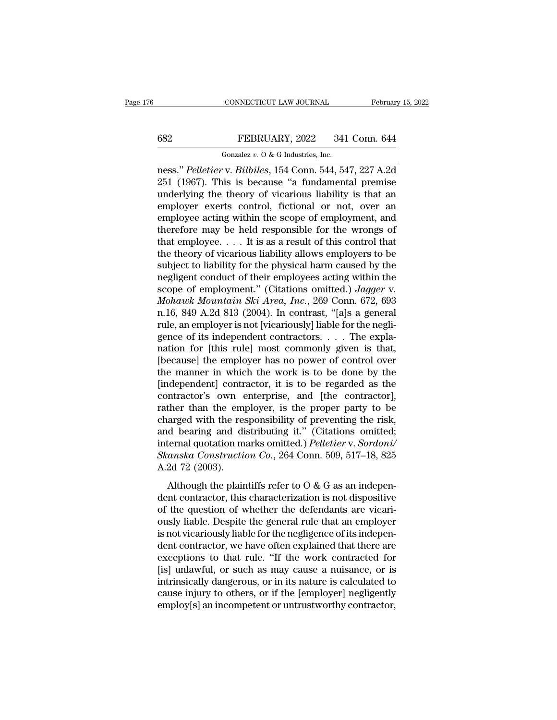## CONNECTICUT LAW JOURNAL February 15, 2022<br>682 FEBRUARY, 2022 341 Conn. 644<br>6012 Gonzalez v. 0 & G Industries, Inc. CONNECTICUT LAW JOURNAL<br>FEBRUARY, 2022 341<br>Gonzalez *v.* O & G Industries, Inc.<br>V. Rilhiles, 154 Conn. 544, 54

CONNECTICUT LAW JOURNAL February 15, 2022<br> **EEBRUARY**, 2022 341 Conn. 644<br>
Gonzalez v. 0 & G Industries, Inc.<br> **Ress.''** *Pelletier* v. *Bilbiles*, 154 Conn. 544, 547, 227 A.2d<br>
251 (1967). This is because "a fundamental p EXEMBRY, 2022 341 Conn. 644<br>
Gonzalez v. 0 & G Industries, Inc.<br>
ness." Pelletier v. Bilbiles, 154 Conn. 544, 547, 227 A.2d<br>
251 (1967). This is because "a fundamental premise<br>
underlying the theory of vicarious liability EXERUARY, 2022 341 Conn. 644<br>
Unress." Pelletier v. Bilbiles, 154 Conn. 544, 547, 227 A.2d<br>
251 (1967). This is because "a fundamental premise<br>
underlying the theory of vicarious liability is that an<br>
employer exerts cont EEBRUARY, 2022 341 Conn. 644<br>
Gonzalez v. 0 & G Industries, Inc.<br>
ness." Pelletier v. Bilbiles, 154 Conn. 544, 547, 227 A.2d<br>
251 (1967). This is because "a fundamental premise<br>
underlying the theory of vicarious liabilit Gonzalez v. 0 & G Industries, Inc.<br>
ness." Pelletier v. Bilbiles, 154 Conn. 544, 547, 227 A.2d<br>
251 (1967). This is because "a fundamental premise<br>
underlying the theory of vicarious liability is that an<br>
employer exerts Gonzalez v. 0 & G industries, inc.<br>
ness." Pelletier v. Bilbiles, 154 Conn. 544, 547, 227 A.2d<br>
251 (1967). This is because "a fundamental premise<br>
underlying the theory of vicarious liability is that an<br>
employer exerts ness." *Pelletier* v. *Bilbiles*, 154 Conn. 544, 547, 227 A.2d<br>251 (1967). This is because "a fundamental premise<br>underlying the theory of vicarious liability is that an<br>employer exerts control, fictional or not, over an<br>e 251 (1967). This is because "a fundamental premise<br>underlying the theory of vicarious liability is that an<br>employer exerts control, fictional or not, over an<br>employee acting within the scope of employment, and<br>therefore m underlying the theory of vicarious liability is that an employer exerts control, fictional or not, over an employee acting within the scope of employment, and therefore may be held responsible for the wrongs of that emplo employer exerts control, fictional or not, over an employee acting within the scope of employment, and therefore may be held responsible for the wrongs of that employee. . . . It is as a result of this control that the th employee acting within the scope of employment, and<br>therefore may be held responsible for the wrongs of<br>that employee. . . . It is as a result of this control that<br>the theory of vicarious liability allows employers to be<br>s *Mohawk Mountain Ski Area, Inc.*, 269 Conn. 672, 693<br> *Mohawk Mountain Ski Area, Inc.*, 269 Conn. 672, 693<br> *Mohawk Mountain Ski Area, Inc.*, 269 Conn. 672, 693<br> *Mohawk Mountain Ski Area, Inc.*, 269 Conn. 672, 693<br> *Mohaw* that employee. . . . It is as a result of this control that<br>the theory of vicarious liability allows employers to be<br>subject to liability for the physical harm caused by the<br>negligent conduct of their employees acting wit the theory of vicarious liability allows employers to be subject to liability for the physical harm caused by the negligent conduct of their employees acting within the scope of employment." (Citations omitted.) *Jagger v* subject to liability for the physical harm caused by the negligent conduct of their employees acting within the scope of employment." (Citations omitted.) *Jagger v. Mohawk Mountain Ski Area, Inc.*, 269 Conn. 672, 693 n.16 negligent conduct of their employees acting within the<br>scope of employment." (Citations omitted.) Jagger v.<br>Mohawk Mountain Ski Area, Inc., 269 Conn. 672, 693<br>n.16, 849 A.2d 813 (2004). In contrast, "[a]s a general<br>rule, a scope of employment." (Citations omitted.) *Jagger* v.<br> *Mohawk Mountain Ski Area, Inc.*, 269 Conn. 672, 693<br>
n.16, 849 A.2d 813 (2004). In contrast, "[a]s a general<br>
rule, an employer is not [vicariously] liable for the Mohawk Mountain Ski Area, Inc., 269 Conn. 672, 693<br>n.16, 849 A.2d 813 (2004). In contrast, "[a]s a general<br>rule, an employer is not [vicariously] liable for the negli-<br>gence of its independent contractors. . . . The expla n.16, 849 A.2d 813 (2004). In contrast, "[a]s a general<br>rule, an employer is not [vicariously] liable for the negli-<br>gence of its independent contractors. . . . The expla-<br>nation for [this rule] most commonly given is that rule, an employer is not [vicariously] liable for the negli-<br>gence of its independent contractors. . . . The expla-<br>nation for [this rule] most commonly given is that,<br>[because] the employer has no power of control over<br>t gence of its independent contractors.  $\ldots$  The explanation for [this rule] most commonly given is that, [because] the employer has no power of control over the manner in which the work is to be done by the [independent] nation for [this rule] most commonly given is that,<br>[because] the employer has no power of control over<br>the manner in which the work is to be done by the<br>[independent] contractor, it is to be regarded as the<br>contractor's o [because] the employer has no power of control over<br>the manner in which the work is to be done by the<br>[independent] contractor, it is to be regarded as the<br>contractor's own enterprise, and [the contractor],<br>rather than the the manner in which the work is to be done by the<br>[independent] contractor, it is to be regarded as the<br>contractor's own enterprise, and [the contractor],<br>rather than the employer, is the proper party to be<br>charged with th [independent] contractor, it is to be regarded as the contractor's own enterprise, and [the contractor], rather than the employer, is the proper party to be charged with the responsibility of preventing the risk, and beari contractor's own  $\epsilon$ <br>rather than the emp<br>charged with the res<br>and bearing and di<br>internal quotation m<br>*Skanska Constructie*<br>A.2d 72 (2003).<br>Although the plair although the responsibility of preventing the risk,<br>d bearing and distributing it." (Citations omitted;<br>ternal quotation marks omitted.) Pelletier v. Sordoni/<br>anska Construction Co., 264 Conn. 509, 517–18, 825<br>2d 72 (2003 and bearing and distributing it." (Citations omitted;<br>internal quotation marks omitted.) *Pelletier* v. Sordoni/<br>Skanska Construction Co., 264 Conn. 509, 517–18, 825<br>A.2d 72 (2003).<br>Although the plaintiffs refer to O & G

of the main setting and absorbed in the defendants sintered,<br>internal quotation marks omitted.) Pelletier v. Sordoni/<br>Skanska Construction Co., 264 Conn. 509, 517–18, 825<br>A.2d 72 (2003).<br>Although the plaintiffs refer to O Skanska Construction Co., 264 Conn. 509, 517–18, 825<br>A.2d 72 (2003).<br>Although the plaintiffs refer to O & G as an indepen-<br>dent contractor, this characterization is not dispositive<br>of the question of whether the defendant A.2d 72 (2003).<br>
Although the plaintiffs refer to O & G as an independent contractor, this characterization is not dispositive<br>
of the question of whether the defendants are vicari-<br>
ously liable. Despite the general rule Although the plaintiffs refer to  $O$  &  $G$  as an independent contractor, this characterization is not dispositive of the question of whether the defendants are vicariously liable. Despite the general rule that an employer Although the plaintiffs refer to  $O$  &  $G$  as an independent contractor, this characterization is not dispositive of the question of whether the defendants are vicariously liable. Despite the general rule that an employer dent contractor, this characterization is not dispositive<br>of the question of whether the defendants are vicari-<br>ously liable. Despite the general rule that an employer<br>is not vicariously liable for the negligence of its in of the question of whether the defendants are vicariously liable. Despite the general rule that an employer<br>is not vicariously liable for the negligence of its indepen-<br>dent contractor, we have often explained that there a ously liable. Despite the general rule that an employer<br>is not vicariously liable for the negligence of its indepen-<br>dent contractor, we have often explained that there are<br>exceptions to that rule. "If the work contracted is not vicariously liable for the negligence of its independent contractor, we have often explained that there are exceptions to that rule. "If the work contracted for [is] unlawful, or such as may cause a nuisance, or is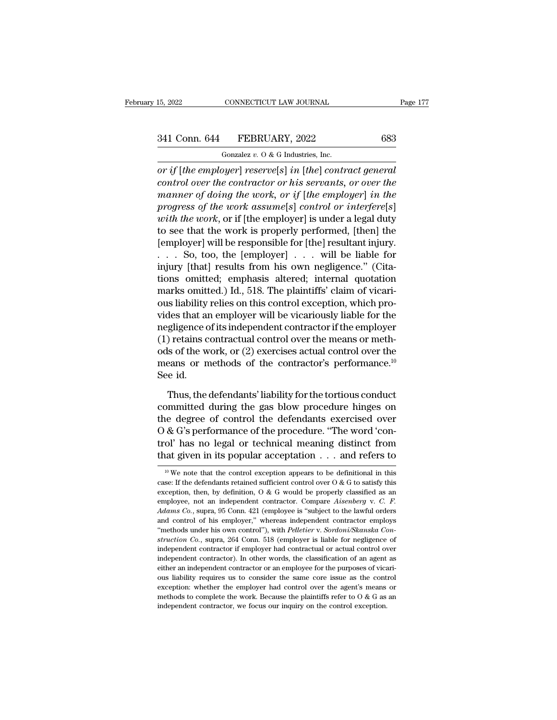# 15, 2022 CONNECTICUT LAW JOURNAL Page 177<br>341 Conn. 644 FEBRUARY, 2022 683<br>Gonzalez v. 0 & G Industries, Inc.

15, 2022 CONNECTICUT LAW JOURNAL<br>
341 Conn. 644 FEBRUARY, 2022 683<br>
Gonzalez *v.* O & G Industries, Inc.<br>
or if [the employer] reserve[s] in [the] contract general *or if* [*the employer*] *reserve*[*s*] *in* [*the*] *contract general*<br> *or if* [*the employer*] *reserve*[*s*] *in* [*the*] *contract general*<br> *control over the contractor or his servants, or over the*<br> *reserves of dei* <sup>241</sup> Conn. 644 FEBRUARY, 2022 683<br>
<sup>Gonzalez v. 0 & G Industries, Inc.<br> *control over the contractor or his servants, or over the*<br> *control over the contractor or his servants, or over the*<br> *manner of doing the work, or</sup> manner of doing the work, or if* [*the employer*] *in servels*] *in [the] contract general*<br> *or if [the employer] reserve[s] in [the] contract general*<br> *control over the contractor or his servants, or over the*<br> *imanne* <sup>241</sup> Conn. 644 FEBRUARY, 2022 683<br>
<sup>Gonzalez v. 0 & G Industries, Inc.<br> *provif* [*the employer*] *reserve*[*s*] *in* [*the*] *contract general*<br> *control over the contractor or his servants, or over the*<br> *manner of doin</sup>* **with the consists of the work** of the control over the contractor or his servants, or over the manner of doing the work, or if [the employer] in the progress of the work assume[s] control or interfere[s] with the work, or or if [the employer] reserve[s] in [the] contract general<br>control over the contractor or his servants, or over the<br>manner of doing the work, or if [the employer] in the<br>progress of the work assume[s] control or interfere[ or if [the employer] reserve[s] in [the] contract general<br>control over the contractor or his servants, or over the<br>manner of doing the work, or if [the employer] in the<br>progress of the work assume[s] control or interfere[ control over the contractor or his servants, or over the<br>manner of doing the work, or if [the employer] in the<br>progress of the work assume[s] control or interfere[s]<br>with the work, or if [the employer] is under a legal du manner of doing the work, or if [the employer] in the<br>progress of the work assume[s] control or interfere[s]<br>with the work, or if [the employer] is under a legal duty<br>to see that the work is properly performed, [then] the progress of the work assume[s] control or interfere[s]<br>with the work, or if [the employer] is under a legal duty<br>to see that the work is properly performed, [then] the<br>[employer] will be responsible for [the] resultant in with the work, or if [the employer] is under a legal duty<br>to see that the work is properly performed, [then] the<br>[employer] will be responsible for [the] resultant injury.<br> $\ldots$  So, too, the [employer]  $\ldots$  will be liabl to see that the work is properly performed, [then] the [employer] will be responsible for [the] resultant injury.<br>  $\dots$  So, too, the [employer]  $\dots$  will be liable for injury [that] results from his own negligence." (Cita [employer] will be responsible for [the] resultant injury.<br>  $\dots$  So, too, the [employer]  $\dots$  will be liable for<br>
injury [that] results from his own negligence." (Cita-<br>
tions omitted; emphasis altered; internal quotation ... So, too, the [employer] ... will be liable for<br>injury [that] results from his own negligence." (Cita-<br>tions omitted; emphasis altered; internal quotation<br>marks omitted.) Id., 518. The plaintiffs' claim of vicari-<br>ous injury [that] results from his own negligence." (Citations omitted; emphasis altered; internal quotation marks omitted.) Id., 518. The plaintiffs' claim of vicarious liability relies on this control exception, which provid tions omitted; emphasis altered; internal quotation<br>marks omitted.) Id., 518. The plaintiffs' claim of vicari-<br>ous liability relies on this control exception, which pro-<br>vides that an employer will be vicariously liable fo marks omitted.) Id., 518. The plaintiffs' claim of vicari-<br>ous liability relies on this control exception, which pro-<br>vides that an employer will be vicariously liable for the<br>negligence of its independent contractor if th ous liability<br>vides that are<br>negligence c<br>(1) retains c<br>ods of the w<br>means or n<br>See id.<br>Thus, the gligence of its independent contractor if the employer<br>) retains contractual control over the means or meth-<br>ls of the work, or (2) exercises actual control over the<br>eans or methods of the contractor's performance.<sup>10</sup><br>e i (1) retains contractual control over the means or methods of the work, or (2) exercises actual control over the<br>means or methods of the contractor's performance.<sup>10</sup><br>See id.<br>Thus, the defendants' liability for the tortiou

% ods of the work, or (2) exercises actual control over the<br>means or methods of the contractor's performance.<sup>10</sup><br>See id.<br>Thus, the defendants' liability for the tortious conduct<br>committed during the gas blow procedure hi means or methods of the contractor's performance.<sup>10</sup><br>See id.<br>Thus, the defendants' liability for the tortious conduct<br>committed during the gas blow procedure hinges on<br>the degree of control the defendants exercised over<br>O See id.<br>Thus, the defendants' liability for the tortious conduct<br>committed during the gas blow procedure hinges on<br>the degree of control the defendants exercised over<br> $O & G's$  performance of the procedure. "The word 'con-<br>t Thus, the defendants' liability for the tortious conduct<br>committed during the gas blow procedure hinges on<br>the degree of control the defendants exercised over<br> $O & G'$ s performance of the procedure. "The word 'con-<br>trol' ha the degree of control the defendants exercised over  $O & G$ 's performance of the procedure. "The word 'control' has no legal or technical meaning distinct from that given in its popular acceptation  $\ldots$  and refers to  $\frac{1$ O & G's performance of the procedure. "The word 'control' has no legal or technical meaning distinct from that given in its popular acceptation . . . and refers to  $\frac{10 \text{ W}}{10 \text{ W}}$  we note that the control exception a

trol' has no legal or technical meaning distinct from<br>that given in its popular acceptation . . . and refers to<br> $w = \frac{10}{10}$  we note that the control exception appears to be definitional in this<br>case: If the defendants r that given in its popular acceptation  $\ldots$  and refers to  $\frac{10 \text{ We}}{10 \text{ We}}$  mote that the control exception appears to be definitional in this case. If the defendants retained sufficient control over  $0 \& G$  to sati <sup>10</sup> We note that the control exception appears to be definitional in this case: If the defendants retained sufficient control over  $O \& G$  to satisfy this exception, then, by definition,  $O \& G$  would be properly class <sup>10</sup> We note that the control exception appears to be definitional in this case: If the defendants retained sufficient control over  $O \& G$  to satisfy this exception, then, by definition,  $O \& G$  would be properly class or control over O & G to satisfy this exception, then, by definition, O & G would be properly classified as an employee, not an independent contractor. Compare *Aisenberg* v. C. *F. Adams Co.*, supra, 95 Conn. 421 (emplo exception, then, by definition, O & G would be properly classified as an employee, not an independent contractor. Compare *Aisenberg* v. C. F. *Adams Co.*, supra, 95 Conn. 421 (employee is "subject to the lawful orders and employee, not an independent contractor. Compare *Aisenberg* v. C. F.<br>Adams Co., supra, 95 Conn. 421 (employee is "subject to the lawful orders<br>and control of his employer," whereas independent contractor employs<br>"methods *Adams Co.*, supra, 95 Conn. 421 (employee is "subject to the lawful orders and control of his employer," whereas independent contractor employs "methods under his own control"), with *Pelletier v. Sordoni/Skanska Construc* and control of his employer," whereas independent contractor employs "methods under his own control"), with *Pelletier* v. *Sordoni/Skanska Construction Co.*, supra, 264 Conn. 518 (employer is liable for negligence of ind "methods under his own control"), with *Pelletier* v. *Sordoni/Skanska Construction Co.*, supra, 264 Conn. 518 (employer is liable for negligence of independent contractor if employer had contractual or actual control ove struction Co., supra, 264 Conn. 518 (employer is liable for negligence of independent contractor if employer had contractual or actual control over independent contractor). In other words, the classification of an agent a independent contractor if employer had contractual or actual control over independent contractor). In other words, the classification of an agent as either an independent contractor or an employee for the purposes of vica independent contractor). In other words, the classification of an agent as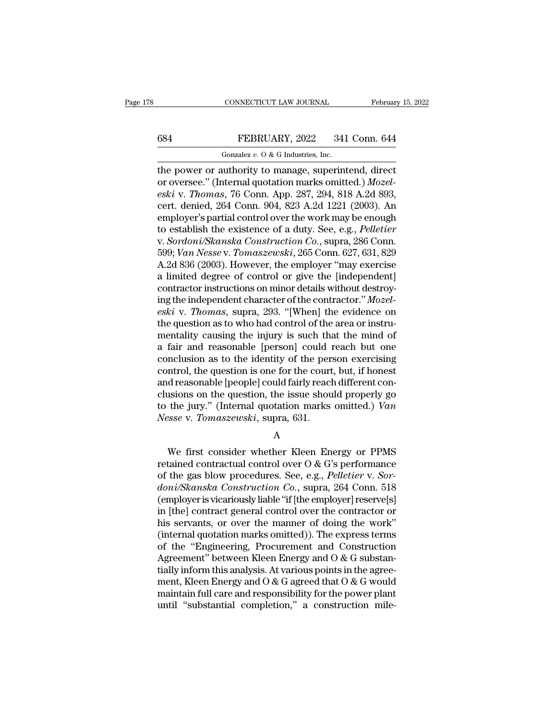## CONNECTICUT LAW JOURNAL February 15, 2022<br>684 FEBRUARY, 2022 341 Conn. 644<br>601 Gonzalez v. 0 & G Industries, Inc. CONNECTICUT LAW JOURNAL<br>FEBRUARY, 2022 341<br>Gonzalez *v.* O & G Industries, Inc.<br>uuthority to manage superint

CONNECTICUT LAW JOURNAL February 15, 202<br>
FEBRUARY, 2022 341 Conn. 644<br>
Gonzalez v. 0 & G Industries, Inc.<br>
the power or authority to manage, superintend, direct<br>
or oversee." (Internal quotation marks omitted.) *Mozel-*<br> **EBRUARY**, 2022 341 Conn. 644<br>
Gonzalez v. 0 & G Industries, Inc.<br>
the power or authority to manage, superintend, direct<br>
or oversee." (Internal quotation marks omitted.) *Mozel-*<br> *eski* v. *Thomas*, 76 Conn. App. 287, 29 *eski* v. *Thomas, 76* Conn. *PHEBRUARY*, 2022 341 Conn. 644<br> *especies v. 0 & G Industries, Inc.*<br> *eski* v. *Thomas*, 76 Conn. App. 287, 294, 818 A.2d 893,<br> *eski* v. *Thomas*, 76 Conn. App. 287, 294, 818 A.2d 893,<br> *ert* 684 FEBRUARY, 2022 341 Conn. 644<br>
Gonzalez v. 0 & G Industries, Inc.<br>
the power or authority to manage, superintend, direct<br>
or oversee." (Internal quotation marks omitted.) *Mozel-<br>
eski* v. *Thomas*, 76 Conn. App. 287, Gonzalez v.  $0$  & G Industries, Inc.<br>
the power or authority to manage, superintend, direct<br>
or oversee." (Internal quotation marks omitted.) *Mozel-*<br>
eski v. *Thomas*, 76 Conn. App. 287, 294, 818 A.2d 893,<br>
cert. denied Gonzalez v. O & G Industries, Inc.<br>the power or authority to manage, superintend, direct<br>or oversee." (Internal quotation marks omitted.) *Mozel-<br>eski* v. *Thomas*, 76 Conn. App. 287, 294, 818 A.2d 893,<br>cert. denied, 264 C the power or authority to manage, superintend, direct<br>or oversee." (Internal quotation marks omitted.) *Mozel-<br>eski* v. *Thomas*, 76 Conn. App. 287, 294, 818 A.2d 893,<br>cert. denied, 264 Conn. 904, 823 A.2d 1221 (2003). An<br> or oversee." (Internal quotation marks omitted.) *Mozel-*<br>eski v. *Thomas*, 76 Conn. App. 287, 294, 818 A.2d 893,<br>cert. denied, 264 Conn. 904, 823 A.2d 1221 (2003). An<br>employer's partial control over the work may be enough eski v. *Thomas*, 76 Conn. App. 287, 294, 818 A.2d 893,<br>cert. denied, 264 Conn. 904, 823 A.2d 1221 (2003). An<br>employer's partial control over the work may be enough<br>to establish the existence of a duty. See, e.g., *Pelleti* cert. denied, 264 Conn. 904, 823 A.2d 1221 (2003). An employer's partial control over the work may be enough to establish the existence of a duty. See, e.g., *Pelletier* v. *Sordoni/Skanska Construction Co.*, supra, 286 Co employer's partial control over the work may be enough<br>to establish the existence of a duty. See, e.g., *Pelletier*<br>v. *Sordoni/Skanska Construction Co.*, supra, 286 Conn.<br>599; *Van Nesse* v. *Tomaszewski*, 265 Conn. 627, to establish the existence of a duty. See, e.g., *Pelletier*<br>v. *Sordoni/Skanska Construction Co.*, supra, 286 Conn.<br>599; *Van Nesse* v. *Tomaszewski*, 265 Conn. 627, 631, 829<br>A.2d 836 (2003). However, the employer "may ex *v. Sordoni/Skanska Construction Co.*, supra, 286 Conn.<br>599; *Van Nesse v. Tomaszewski*, 265 Conn. 627, 631, 829<br>A.2d 836 (2003). However, the employer "may exercise<br>a limited degree of control or give the [independent]<br> 599; *Van Nesse* v. *Tomaszewski*, 265 Conn. 627, 631, 829<br>A.2d 836 (2003). However, the employer "may exercise<br>a limited degree of control or give the [independent]<br>contractor instructions on minor details without destro A.2d 836 (2003). However, the employer "may exercise<br>a limited degree of control or give the [independent]<br>contractor instructions on minor details without destroy-<br>ing the independent character of the contractor." Mozela limited degree of control or give the [independent]<br>contractor instructions on minor details without destroy-<br>ing the independent character of the contractor."  $Mozel-  
eski$  v. Thomas, supra, 293. "[When] the evidence on<br> contractor instructions on minor details without destroy-<br>ing the independent character of the contractor."  $Mozel-  
eski$  v. Thomas, supra, 293. "[When] the evidence on<br>the question as to who had control of the area or inst ing the independent character of the contractor." *Mozel-*<br>eski v. *Thomas*, supra, 293. "[When] the evidence on<br>the question as to who had control of the area or instru-<br>mentality causing the injury is such that the mind eski v. Thomas, supra, 293. "[When] the evidence on<br>the question as to who had control of the area or instru-<br>mentality causing the injury is such that the mind of<br>a fair and reasonable [person] could reach but one<br>conclu the question as to who had control of the area or instrumentality causing the injury is such that the mind of<br>a fair and reasonable [person] could reach but one<br>conclusion as to the identity of the person exercising<br>contr mentality causing the injury is such that the mind of<br>a fair and reasonable [person] could reach but one<br>conclusion as to the identity of the person exercising<br>control, the question is one for the court, but, if honest<br>and a fair and reasonable [person] could i<br>conclusion as to the identity of the per<br>control, the question is one for the court<br>and reasonable [people] could fairly reacl<br>clusions on the question, the issue shou<br>to the jury." ( d reasonable [people] could fairly reach different consions on the question, the issue should properly go<br>the jury." (Internal quotation marks omitted.) Van<br>sse v. Tomaszewski, supra, 631.<br>A<br>We first consider whether Klee

A

clusions on the question, the issue should properly go<br>to the jury." (Internal quotation marks omitted.) Van<br>Nesse v. Tomaszewski, supra, 631.<br>A<br>We first consider whether Kleen Energy or PPMS<br>retained contractual control to the jury." (Internal quotation marks omitted.) Van<br>
Nesse v. *Tomaszewski*, supra, 631.<br>
A<br>
We first consider whether Kleen Energy or PPMS<br>
retained contractual control over O & G's performance<br>
of the gas blow procedur *Nesse v. Tomaszewski*, supra, 631.<br> *d*<br> *doni doni doni doni doni doni doni doni contractual control over O & G's performance<br>
of the gas blow procedures. See, e.g., <i>Pelletier v. Sor-*<br> *doni/Skanska Con* A<br>
We first consider whether Kleen Energy or PPMS<br>
retained contractual control over O & G's performance<br>
of the gas blow procedures. See, e.g., *Pelletier* v. *Sor-*<br> *doni/Skanska Construction Co.*, supra, 264 Conn. 518<br> We first consider whether Kleen Energy or PPMS<br>retained contractual control over O & G's performance<br>of the gas blow procedures. See, e.g., *Pelletier v. Sor-<br>doni/Skanska Construction Co.*, supra, 264 Conn. 518<br>(employer We first consider whether Kleen Energy or PPMS<br>retained contractual control over  $O & G$ 's performance<br>of the gas blow procedures. See, e.g., *Pelletier* v. *Sor-<br>doni/Skanska Construction Co.*, supra, 264 Conn. 518<br>(employ retained contractual control over O & G's performance<br>of the gas blow procedures. See, e.g., *Pelletier v. Sor-<br>doni/Skanska Construction Co.*, supra, 264 Conn. 518<br>(employer is vicariously liable "if [the employer] reser of the gas blow procedures. See, e.g., *Pelletier v. Sor-<br>doni/Skanska Construction Co.*, supra, 264 Conn. 518<br>(employer is vicariously liable "if [the employer] reserve[s]<br>in [the] contract general control over the contr *doni/Skanska Construction Co.*, supra, 264 Conn. 518 (employer is vicariously liable "if [the employer] reserve[s] in [the] contract general control over the contractor or his servants, or over the manner of doing the wo (employer is vicariously liable "if [the employer] reserve[s]<br>in [the] contract general control over the contractor or<br>his servants, or over the manner of doing the work"<br>(internal quotation marks omitted)). The express t in [the] contract general control over the contractor or<br>his servants, or over the manner of doing the work"<br>(internal quotation marks omitted)). The express terms<br>of the "Engineering, Procurement and Construction<br>Agreeme his servants, or over the manner of doing the work"<br>(internal quotation marks omitted)). The express terms<br>of the "Engineering, Procurement and Construction<br>Agreement" between Kleen Energy and O & G substan-<br>tially inform (internal quotation marks omitted)). The express terms<br>of the "Engineering, Procurement and Construction<br>Agreement" between Kleen Energy and O & G substan-<br>tially inform this analysis. At various points in the agree-<br>ment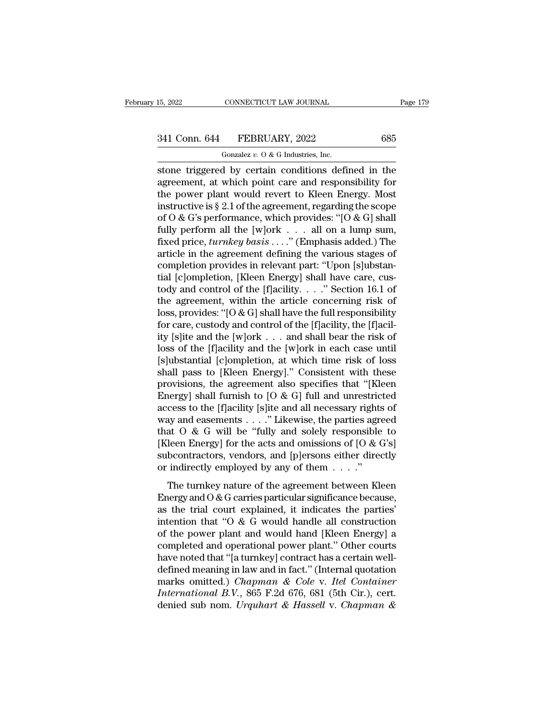# 15, 2022 CONNECTICUT LAW JOURNAL Page 179<br>341 Conn. 644 FEBRUARY, 2022 685<br>Gonzalez v. 0 & G Industries, Inc.

15, 2022 CONNECTICUT LAW JOURNAL<br>
341 Conn. 644 FEBRUARY, 2022 685<br>
Gonzalez *v.* O & G Industries, Inc.<br>
stone triggered by certain conditions defined in the stock and the connective triggered by certain conditions defined in the agreement, at which point care and responsibility for<br>the nonver plant would revert to Kleep Freewy Most 341 Conn. 644 FEBRUARY, 2022 685<br>
Gonzalez v. 0 & G Industries, Inc.<br>
stone triggered by certain conditions defined in the<br>
agreement, at which point care and responsibility for<br>
the power plant would revert to Kleen Ener 341 Conn. 644 FEBRUARY, 2022 685<br>
Gonzalez v. 0 & G Industries, Inc.<br>
stone triggered by certain conditions defined in the<br>
agreement, at which point care and responsibility for<br>
the power plant would revert to Kleen Ener 341 Conn. 644 FEBRUARY, 2022 685<br>
Gonzalez v. 0 & G Industries, Inc.<br>
stone triggered by certain conditions defined in the<br>
agreement, at which point care and responsibility for<br>
the power plant would revert to Kleen Ener Gonzalez v. O & G Industries, Inc.<br>
stone triggered by certain conditions defined in the<br>
agreement, at which point care and responsibility for<br>
the power plant would revert to Kleen Energy. Most<br>
instructive is § 2.1 of Fundames by certain conditions defined in the agreement, at which point care and responsibility for the power plant would revert to Kleen Energy. Most instructive is § 2.1 of the agreement, regarding the scope of O & G's stone triggered by certain conditions defined in the<br>agreement, at which point care and responsibility for<br>the power plant would revert to Kleen Energy. Most<br>instructive is § 2.1 of the agreement, regarding the scope<br>of O agreement, at which point care and responsibility for<br>the power plant would revert to Kleen Energy. Most<br>instructive is § 2.1 of the agreement, regarding the scope<br>of O & G's performance, which provides: "[O & G] shall<br>fu the power plant would revert to Kleen Energy. Most<br>instructive is § 2.1 of the agreement, regarding the scope<br>of O & G's performance, which provides: "[O & G] shall<br>fully perform all the [w]ork . . . all on a lump sum,<br>fi instructive is § 2.1 of the agreement, regarding the scope<br>of O & G's performance, which provides: "[O & G] shall<br>fully perform all the [w]ork . . . all on a lump sum,<br>fixed price, *turnkey basis* . . . " (Emphasis added. of O & G's performance, which provides: "[O & G] shall<br>fully perform all the [w]ork . . . . all on a lump sum,<br>fixed price, *turnkey basis* . . .." (Emphasis added.) The<br>article in the agreement defining the various stage fully perform all the [w]ork . . . all on a lump sum,<br>fixed price, *turnkey basis* . . . ." (Emphasis added.) The<br>article in the agreement defining the various stages of<br>completion provides in relevant part: "Upon [s]ubst fixed price, *turnkey basis* . . . ." (Emphasis added.) The<br>article in the agreement defining the various stages of<br>completion provides in relevant part: "Upon [s]ubstan-<br>tial [c]ompletion, [Kleen Energy] shall have care, article in the agreement defining the various stages of completion provides in relevant part: "Upon [s]ubstantial [c]ompletion, [Kleen Energy] shall have care, custody and control of the [f]acility. . . . " Section 16.1 o completion provides in relevant part: "Upon [s]ubstantial [c]ompletion, [Kleen Energy] shall have care, custody and control of the [f]acility. . . ." Section 16.1 of the agreement, within the article concerning risk of lo tial [c]ompletion, [Kleen Energy] shall have care, custody and control of the [f]acility. . . ." Section 16.1 of<br>the agreement, within the article concerning risk of<br>loss, provides: "[O & G] shall have the full responsibi tody and control of the [f]acility. . . ." Section 16.1 of<br>the agreement, within the article concerning risk of<br>loss, provides: "[O & G] shall have the full responsibility<br>for care, custody and control of the [f]acility, the agreement, within the article concerning risk of<br>loss, provides: "[O & G] shall have the full responsibility<br>for care, custody and control of the [f]acility, the [f]acil-<br>ity [s]ite and the [w]ork . . . and shall bear loss, provides: "[O & G] shall have the full responsibility<br>for care, custody and control of the [f]acility, the [f]acil-<br>ity [s]ite and the [w]ork . . . and shall bear the risk of<br>loss of the [f]acility and the [w]ork in for care, custody and control of the [f]acility, the [f]acility [s]ite and the [w]ork . . . and shall bear the risk of loss of the [f]acility and the [w]ork in each case until [s]ubstantial [c]ompletion, at which time ris ity [s]ite and the [w]ork . . . and shall bear the risk of<br>loss of the [f]acility and the [w]ork in each case until<br>[s]ubstantial [c]ompletion, at which time risk of loss<br>shall pass to [Kleen Energy]." Consistent with the loss of the [f]acility and the [w]ork in each case until<br>[s]ubstantial [c]ompletion, at which time risk of loss<br>shall pass to [Kleen Energy]." Consistent with these<br>provisions, the agreement also specifies that "[Kleen<br>En [s]ubstantial [c]ompletion, at which time risk of loss<br>shall pass to [Kleen Energy]." Consistent with these<br>provisions, the agreement also specifies that "[Kleen<br>Energy] shall furnish to [O & G] full and unrestricted<br>acce shall pass to [Kleen Energy]." Consistent with these<br>provisions, the agreement also specifies that "[Kleen<br>Energy] shall furnish to [O & G] full and unrestricted<br>access to the [f]acility [s]ite and all necessary rights of provisions, the agreement also specifies that "[Kleen Energy] shall furnish to [O & G] full and unrestricted access to the [f]acility [s]ite and all necessary rights of way and easements . . . . "Likewise, the parties agr Energy] shall furnish to [O & G] full and unrestric<br>access to the [f]acility [s]ite and all necessary rights<br>way and easements . . . ." Likewise, the parties agree<br>that O & G will be "fully and solely responsible<br>[Kleen E and easements . . . ." Likewise, the parties agreed<br>at O & G will be "fully and solely responsible to<br>leen Energy] for the acts and omissions of  $[0 & G's]$ <br>beontractors, vendors, and  $[p]$ ersons either directly<br>indirectly em that  $O \& G$  will be "fully and solely responsible to<br>[Kleen Energy] for the acts and omissions of  $[O \& G's]$ <br>subcontractors, vendors, and [p]ersons either directly<br>or indirectly employed by any of them . . . ."<br>The turnkey

Explanate of the trial court and omissions of  $[0 & 0 & 0$ <br>
[Kleen Energy] for the acts and omissions of  $[0 & 0 & 0$ 's]<br>
subcontractors, vendors, and [p]ersons either directly<br>
or indirectly employed by any of them  $\dots$ ."<br>
T subcontractors, vendors, and [p]ersons either directly<br>or indirectly employed by any of them  $\dots$ ."<br>The turnkey nature of the agreement between Kleen<br>Energy and O & G carries particular significance because,<br>as the trial or indirectly employed by any of them  $\dots$ ."<br>The turnkey nature of the agreement between Kleen<br>Energy and  $0 < G$  carries particular significance because,<br>as the trial court explained, it indicates the parties'<br>intention The turnkey nature of the agreement between Kleen<br>Energy and  $O & G$  carries particular significance because,<br>as the trial court explained, it indicates the parties'<br>intention that " $O & G$  would handle all construction<br>of th The turnkey nature of the agreement between Kleen<br>Energy and  $0 < G$  carries particular significance because,<br>as the trial court explained, it indicates the parties'<br>intention that " $0 < G$  would handle all construction<br>o Energy and O & G carries particular significance because,<br>as the trial court explained, it indicates the parties'<br>intention that "O & G would handle all construction<br>of the power plant and would hand [Kleen Energy] a<br>comp as the trial court explained, it indicates the parties'<br>intention that "O & G would handle all construction<br>of the power plant and would hand [Kleen Energy] a<br>completed and operational power plant." Other courts<br>have noted intention that "O & G would handle all construction<br>of the power plant and would hand [Kleen Energy] a<br>completed and operational power plant." Other courts<br>have noted that "[a turnkey] contract has a certain well-<br>defined of the power plant and would hand [Kleen Energy] a<br>completed and operational power plant." Other courts<br>have noted that "[a turnkey] contract has a certain well-<br>defined meaning in law and in fact." (Internal quotation<br>mar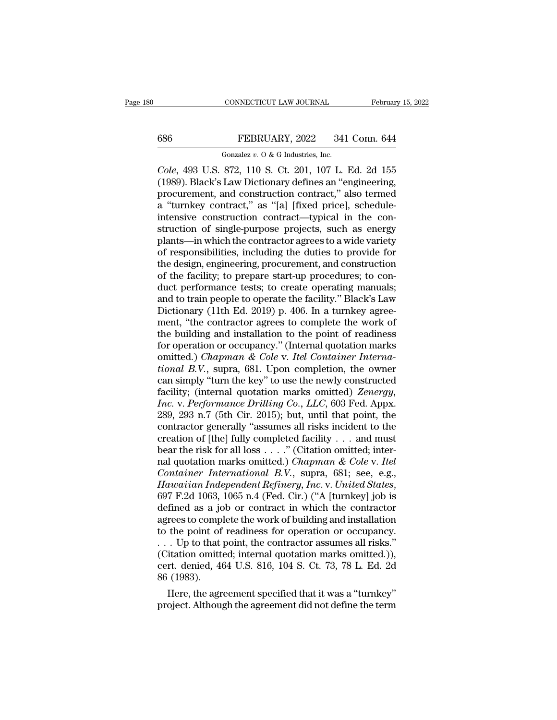# CONNECTICUT LAW JOURNAL February 15, 2022<br>686 FEBRUARY, 2022 341 Conn. 644<br>Gonzalez v. 0 & G Industries, Inc.

CONNECTICUT LAW JOURNAL<br>FEBRUARY, 2022 341<br>Gonzalez *v.* O & G Industries, Inc.<br>872 110 S Ct 201 107 L *CONNECTICUT LAW JOURNAL* February 15, 2022<br> **Cole**, 493 U.S. 872, 110 S. Ct. 201, 107 L. Ed. 2d 155<br> **Cole**, 493 U.S. 872, 110 S. Ct. 201, 107 L. Ed. 2d 155<br>
(1989). Black's Law Dictionary defines an "engineering, (1988). Black's Law Dictionary, 2022 341 Conn. 644<br>
(1989). Black's Law Dictionary defines an "engineering, procurement, and construction contract," also termed<br>
(1989). Black's Law Dictionary defines an "engineering, pro 686 FEBRUARY, 2022 341 Conn. 644<br>
Gonzalez v. 0 & G Industries, Inc.<br>
Cole, 493 U.S. 872, 110 S. Ct. 201, 107 L. Ed. 2d 155<br>
(1989). Black's Law Dictionary defines an "engineering,<br>
procurement, and construction contract, 686 FEBRUARY, 2022 341 Conn. 644<br>
Gonzalez v. 0 & G Industries, Inc.<br>
Cole, 493 U.S. 872, 110 S. Ct. 201, 107 L. Ed. 2d 155<br>
(1989). Black's Law Dictionary defines an "engineering,<br>
procurement, and construction contract, Gonzalez v. 0 & G Industries, Inc.<br>
Cole, 493 U.S. 872, 110 S. Ct. 201, 107 L. Ed. 2d 155<br>
(1989). Black's Law Dictionary defines an "engineering,<br>
procurement, and construction contract," also termed<br>
a "turnkey contract Gonzalez v. 0 & G Industries, Inc.<br>
Cole, 493 U.S. 872, 110 S. Ct. 201, 107 L. Ed. 2d 155<br>
(1989). Black's Law Dictionary defines an "engineering,<br>
procurement, and construction contract," also termed<br>
a "turnkey contract Cole, 493 U.S. 872, 110 S. Ct. 201, 107 L. Ed. 2d 155<br>(1989). Black's Law Dictionary defines an "engineering,<br>procurement, and construction contract," also termed<br>a "turnkey contract," as "[a] [fixed price], schedule-<br>inte (1989). Black's Law Dictionary defines an "engineering,<br>procurement, and construction contract," also termed<br>a "turnkey contract," as "[a] [fixed price], schedule-<br>intensive construction contract—typical in the con-<br>struct procurement, and construction contract," also termed<br>a "turnkey contract," as "[a] [fixed price], schedule-<br>intensive construction contract—typical in the con-<br>struction of single-purpose projects, such as energy<br>plants—in a "turnkey contract," as "[a] [fixed price], schedule-<br>intensive construction contract—typical in the con-<br>struction of single-purpose projects, such as energy<br>plants—in which the contractor agrees to a wide variety<br>of res intensive construction contract—typical in the construction of single-purpose projects, such as energy plants—in which the contractor agrees to a wide variety of responsibilities, including the duties to provide for the de struction of single-purpose projects, such as energy<br>plants—in which the contractor agrees to a wide variety<br>of responsibilities, including the duties to provide for<br>the design, engineering, procurement, and construction<br>o plants—in which the contractor agrees to a wide variety<br>of responsibilities, including the duties to provide for<br>the design, engineering, procurement, and construction<br>of the facility; to prepare start-up procedures; to co of responsibilities, including the duties to provide for<br>the design, engineering, procurement, and construction<br>of the facility; to prepare start-up procedures; to con-<br>duct performance tests; to create operating manuals;<br> the design, engineering, procurement, and construction<br>of the facility; to prepare start-up procedures; to con-<br>duct performance tests; to create operating manuals;<br>and to train people to operate the facility." Black's La of the facility; to prepare start-up procedures; to conduct performance tests; to create operating manuals; and to train people to operate the facility." Black's Law Dictionary (11th Ed. 2019) p. 406. In a turnkey agreemen duct performance tests; to create operating manuals;<br>and to train people to operate the facility." Black's Law<br>Dictionary (11th Ed. 2019) p. 406. In a turnkey agree-<br>ment, "the contractor agrees to complete the work of<br>the and to train people to operate the facility." Black's Law<br>Dictionary (11th Ed. 2019) p. 406. In a turnkey agree-<br>ment, "the contractor agrees to complete the work of<br>the building and installation to the point of readiness<br> Dictionary (11th Ed. 2019) p. 406. In a turnkey agreement, "the contractor agrees to complete the work of<br>the building and installation to the point of readiness<br>for operation or occupancy." (Internal quotation marks<br>omitt ment, "the contractor agrees to complete the work of<br>the building and installation to the point of readiness<br>for operation or occupancy." (Internal quotation marks<br>omitted.) *Chapman & Cole v. Itel Container Interna-*<br>*tio* the building and installation to the point of readiness<br>for operation or occupancy." (Internal quotation marks<br>omitted.) *Chapman & Cole v. Itel Container Interna-<br>tional B.V.*, supra, 681. Upon completion, the owner<br>can s for operation or occupancy." (Internal quotation marks<br>
omitted.) *Chapman & Cole v. Itel Container Interna-<br>
tional B.V.*, supra, 681. Upon completion, the owner<br>
can simply "turn the key" to use the newly constructed<br>
fa omitted.) *Chapman & Cole v. Itel Container International B.V.*, supra, 681. Upon completion, the owner can simply "turn the key" to use the newly constructed facility; (internal quotation marks omitted) *Zenergy*, *Inc. tional B.V.*, supra, 681. Upon completion, the owner<br>can simply "turn the key" to use the newly constructed<br>facility; (internal quotation marks omitted) *Zenergy*,<br>*Inc.* v. *Performance Drilling Co., LLC*, 603 Fed. Appx can simply "turn the key" to use the newly constructed<br>facility; (internal quotation marks omitted) Zenergy,<br>Inc. v. Performance Drilling Co., LLC, 603 Fed. Appx.<br>289, 293 n.7 (5th Cir. 2015); but, until that point, the<br>c facility; (internal quotation marks omitted) *Zenergy*,<br>*Inc.* v. *Performance Drilling Co.*, *LLC*, 603 Fed. Appx.<br>289, 293 n.7 (5th Cir. 2015); but, until that point, the<br>contractor generally "assumes all risks incident *Inc.* v. *Performance Drilling Co., LLC*, 603 Fed. Appx.<br>289, 293 n.7 (5th Cir. 2015); but, until that point, the contractor generally "assumes all risks incident to the creation of [the] fully completed facility . . . an 289, 293 n.7 (5th Cir. 2015); but, until that point, the<br>contractor generally "assumes all risks incident to the<br>creation of [the] fully completed facility . . . and must<br>bear the risk for all loss . . . . " (Citation omit creation of [the] fully completed facility . . . and must<br>bear the risk for all loss . . . ." (Citation omitted; inter-<br>nal quotation marks omitted.) *Chapman & Cole v. Itel*<br>*Container International B.V.*, supra, 681; se bear the risk for all loss . . . ." (Citation omitted; inter-<br>nal quotation marks omitted.) *Chapman & Cole v. Itel*<br>*Container International B.V.*, supra, 681; see, e.g.,<br>*Hawaiian Independent Refinery, Inc. v. United St* nal quotation marks omitted.) *Chapman & Cole v. Itel*<br> *Container International B.V.*, supra, 681; see, e.g.,<br> *Hawaiian Independent Refinery, Inc. v. United States*,<br>
697 F.2d 1063, 1065 n.4 (Fed. Cir.) ("A [turnkey] jo Container International B.V., supra, 681; see, e.g.,<br>Hawaiian Independent Refinery, Inc. v. United States,<br>697 F.2d 1063, 1065 n.4 (Fed. Cir.) ("A [turnkey] job is<br>defined as a job or contract in which the contractor<br>agre Hawaiian Independent Refinery, Inc. v. United States,<br>697 F.2d 1063, 1065 n.4 (Fed. Cir.) ("A [turnkey] job is<br>defined as a job or contract in which the contractor<br>agrees to complete the work of building and installation<br> 697 F.2d 1063, 1065 n.4 (Fed. Cir.) ("A [turnkey] job is defined as a job or contract in which the contractor agrees to complete the work of building and installation to the point of readiness for operation or occupancy.<br> defined as a jc<br>agrees to comp<br>to the point of<br>... Up to that<br>(Citation omitt<br>cert. denied, 46<br>86 (1983).<br>Here, the agr rees to complete the work of building and installation<br>the point of readiness for operation or occupancy.<br>. Up to that point, the contractor assumes all risks."<br>itation omitted; internal quotation marks omitted.)),<br>rt. den to the point of readiness for operation or occupancy.<br>
. . . Up to that point, the contractor assumes all risks."<br>
(Citation omitted; internal quotation marks omitted.)),<br>
cert. denied, 464 U.S. 816, 104 S. Ct. 73, 78 L. E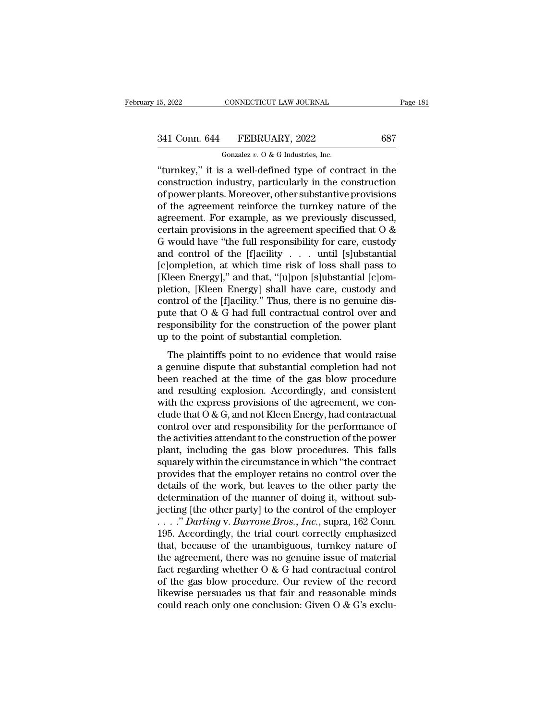| 15, 2022      | CONNECTICUT LAW JOURNAL                                | Page 181 |
|---------------|--------------------------------------------------------|----------|
| 341 Conn. 644 | FEBRUARY, 2022                                         | 687      |
|               | Gonzalez $v$ . O & G Industries, Inc.                  |          |
|               | "turnkey" it is a well-defined type of contract in the |          |

<sup>15, 2022</sup> CONNECTICUT LAW JOURNAL Page 181<br>
341 Conn. 644 FEBRUARY, 2022 687<br>
<sup>Gonzalez v. 0 & G Industries, Inc.<br>
"turnkey," it is a well-defined type of contract in the<br>
construction industry, particularly in the constr</sup> 341 Conn. 644 FEBRUARY, 2022 687<br>
Gonzalez v. 0 & G Industries, Inc.<br>
"turnkey," it is a well-defined type of contract in the construction industry, particularly in the construction<br>
of power plants. Moreover, other subst 341 Conn. 644 FEBRUARY, 2022 687<br>
Gonzalez v. 0 & G Industries, Inc.<br>
"turnkey," it is a well-defined type of contract in the<br>
construction industry, particularly in the construction<br>
of power plants. Moreover, other subs 341 Conn. 644 FEBRUARY, 2022 687<br>
Gonzalez v. 0 & G Industries, Inc.<br>
"turnkey," it is a well-defined type of contract in the<br>
construction industry, particularly in the construction<br>
of power plants. Moreover, other subs Gonzalez v. O & G Industries, Inc.<br>
"turnkey," it is a well-defined type of contract in the<br>
construction industry, particularly in the construction<br>
of power plants. Moreover, other substantive provisions<br>
of the agreeme Gonzalez v. 0 & G maustries, inc.<br>
"turnkey," it is a well-defined type of contract in the<br>
construction industry, particularly in the construction<br>
of power plants. Moreover, other substantive provisions<br>
of the agreemen "turnkey," it is a well-defined type of contract in the construction industry, particularly in the construction of power plants. Moreover, other substantive provisions of the agreement reinforce the turnkey nature of the construction industry, particularly in the construction<br>of power plants. Moreover, other substantive provisions<br>of the agreement reinforce the turnkey nature of the<br>agreement. For example, as we previously discussed,<br>cert of power plants. Moreover, other substantive provisions<br>of the agreement reinforce the turnkey nature of the<br>agreement. For example, as we previously discussed,<br>certain provisions in the agreement specified that O &<br>G woul of the agreement reinforce the turnkey nature of the agreement. For example, as we previously discussed, certain provisions in the agreement specified that O & G would have "the full responsibility for care, custody and co agreement. For example, as we previously discussed,<br>certain provisions in the agreement specified that O &<br>G would have "the full responsibility for care, custody<br>and control of the [f]acility . . . . until [s]ubstantial<br> certain provisions in the agreement specified that  $O$  &  $G$  would have "the full responsibility for care, custody and control of the [f]acility . . . until [s]ubstantial [c]ompletion, at which time risk of loss shall pas G would have "the full responsibility for care, custody<br>and control of the [f]acility  $\ldots$  until [s]ubstantial<br>[c]ompletion, at which time risk of loss shall pass to<br>[Kleen Energy]," and that, "[u]pon [s]ubstantial [c]om and control of the [f]acility  $\ldots$  until [s]ubstantial [c]ompletion, at which time risk of loss shall pass to [Kleen Energy]," and that, "[u]pon [s]ubstantial [c]ompletion, [Kleen Energy] shall have care, custody and con [c]ompletion, at which time risk of loss shall [Kleen Energy]," and that, "[u]pon [s]ubstantial pletion, [Kleen Energy] shall have care, custo control of the [f]acility." Thus, there is no genu pute that O & G had full con The plaintiffs point to no evidence that would raise<br>gradient place that  $O$  &  $G$  had full contractual control over and<br>sponsibility for the construction of the power plant<br>is to the point of substantial completion.<br>The predictive, these mergy for the care, easied, and<br>control of the [f]acility." Thus, there is no genuine dis-<br>pute that O & G had full contractual control over and<br>responsibility for the construction of the power plant<br>up

bethered at the construction of the power plant<br>pute that  $\theta \& G$  had full contractual control over and<br>responsibility for the construction of the power plant<br>up to the point of substantial completion.<br>The plaintiffs po pare and  $\sigma$  of a radian conduction of the power plant<br>up to the point of substantial completion.<br>The plaintiffs point to no evidence that would raise<br>a genuine dispute that substantial completion had not<br>been reached at Exponsionally for the constraction of the power plant<br>up to the point of substantial completion.<br>The plaintiffs point to no evidence that would raise<br>a genuine dispute that substantial completion had not<br>been reached at t The plaintiffs point to no evidence that would raise<br>a genuine dispute that substantial completion had not<br>been reached at the time of the gas blow procedure<br>and resulting explosion. Accordingly, and consistent<br>with the e The plaintiffs point to no evidence that would raise<br>a genuine dispute that substantial completion had not<br>been reached at the time of the gas blow procedure<br>and resulting explosion. Accordingly, and consistent<br>with the e a genuine dispute that substantial completion had not<br>been reached at the time of the gas blow procedure<br>and resulting explosion. Accordingly, and consistent<br>with the express provisions of the agreement, we con-<br>clude that been reached at the time of the gas blow procedure<br>and resulting explosion. Accordingly, and consistent<br>with the express provisions of the agreement, we con-<br>clude that O & G, and not Kleen Energy, had contractual<br>control and resulting explosion. Accordingly, and consistent<br>with the express provisions of the agreement, we con-<br>clude that  $O & G$ , and not Kleen Energy, had contractual<br>control over and responsibility for the performance of<br>the with the express provisions of the agreement, we conclude that  $O & G$ , and not Kleen Energy, had contractual<br>control over and responsibility for the performance of<br>the activities attendant to the construction of the power<br> clude that O & G, and not Kleen Energy, had contractual<br>control over and responsibility for the performance of<br>the activities attendant to the construction of the power<br>plant, including the gas blow procedures. This falls<br> control over and responsibility for the performance of<br>the activities attendant to the construction of the power<br>plant, including the gas blow procedures. This falls<br>squarely within the circumstance in which "the contract<br> the activities attendant to the construction of the power<br>plant, including the gas blow procedures. This falls<br>squarely within the circumstance in which "the contract<br>provides that the employer retains no control over the<br> plant, including the gas blow procedures. This falls<br>squarely within the circumstance in which "the contract<br>provides that the employer retains no control over the<br>details of the work, but leaves to the other party the<br>det squarely within the circumstance in which "the contract<br>provides that the employer retains no control over the<br>details of the work, but leaves to the other party the<br>determination of the manner of doing it, without sub-<br>j provides that the employer retains no control over the<br>details of the work, but leaves to the other party the<br>determination of the manner of doing it, without sub-<br>jecting [the other party] to the control of the employer<br> details of the work, but leaves to the other party the<br>determination of the manner of doing it, without sub-<br>jecting [the other party] to the control of the employer<br> $\ldots$ ." Darling v. Burrone Bros., Inc., supra, 162 Conn determination of the manner of doing it, without sub-<br>jecting [the other party] to the control of the employer<br>...." Darling v. Burrone Bros., Inc., supra, 162 Conn.<br>195. Accordingly, the trial court correctly emphasized<br> jecting [the other party] to the control of the employer<br>
...." Darling v. Burrone Bros., Inc., supra, 162 Conn.<br>
195. Accordingly, the trial court correctly emphasized<br>
that, because of the unambiguous, turnkey nature of ...." Darling v. Burrone Bros., Inc., supra, 162 Conn.<br>195. Accordingly, the trial court correctly emphasized<br>that, because of the unambiguous, turnkey nature of<br>the agreement, there was no genuine issue of material<br>fact 195. Accordingly, the trial court correctly emphasized<br>that, because of the unambiguous, turnkey nature of<br>the agreement, there was no genuine issue of material<br>fact regarding whether O & G had contractual control<br>of the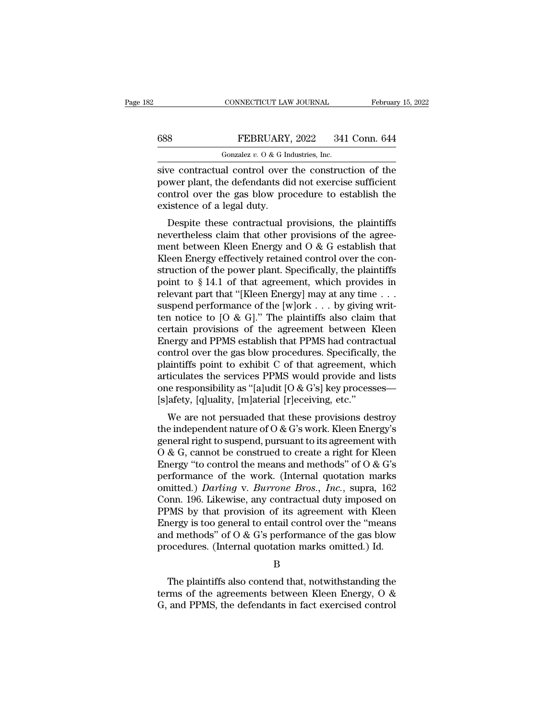## CONNECTICUT LAW JOURNAL February 15, 2022<br>688 FEBRUARY, 2022 341 Conn. 644<br>Gonzalez v. 0 & G Industries, Inc. CONNECTICUT LAW JOURNAL<br>FEBRUARY, 2022 341<br>Gonzalez *v.* O & G Industries, Inc.<br>al\_control\_over\_the\_construc

 $\begin{tabular}{ll} \multicolumn{2}{l}{{\small\textbf{COMRECTICUT LAW JOURNAL}}} & \multicolumn{2}{l}{\small\textbf{February 15, 2022}}\\ \hline \multicolumn{2}{l}{\small\textbf{688}} & \multicolumn{2}{l}{\small\textbf{FEBRUARY, 2022}} & \multicolumn{2}{l}{341}\; \textbf{Conn.}\; \mathbf{644}\\ \hline \multicolumn{2}{l}{\small\textbf{Gonzalez $v. O & G Industries, Inc.}}\\ \hline \multicolumn{2}{l}{\small\textbf{Sive contractual control over the construction of the}}\\ \hline \multicolumn{2}{l}{\small\$ FEBRUARY, 2022 341 Conn. 644<br>
Gonzalez v. 0 & G Industries, Inc.<br>
sive contractual control over the construction of the<br>
power plant, the defendants did not exercise sufficient<br>
control over the gas blow procedure to esta 688 FEBRUARY, 2022 341 Conn. 644<br>
Gonzalez v. 0 & G Industries, Inc.<br>
sive contractual control over the construction of the<br>
power plant, the defendants did not exercise sufficient<br>
control over the gas blow procedure to  $\begin{array}{ll}\n 688 & \text{FEBRUARY} \\
 \hline\n \text{Gonzalez } v. 0 & \text{G In} \\
 \hline\n \text{give contractual control over} \\
 \text{power plant, the defendants di control over the gas blow price} \\
 \text{existence of a legal duty.} \\
 \text{Despite these contractual p}\n \end{array}$ Gonzalez v. O & G Industries, Inc.<br>
ve contractual control over the construction of the<br>
wer plant, the defendants did not exercise sufficient<br>
ntrol over the gas blow procedure to establish the<br>
istence of a legal duty.<br> sive contractual control over the construction of the<br>power plant, the defendants did not exercise sufficient<br>control over the gas blow procedure to establish the<br>existence of a legal duty.<br>Despite these contractual provi

sive contractuar control over the construction of the<br>power plant, the defendants did not exercise sufficient<br>control over the gas blow procedure to establish the<br>existence of a legal duty.<br>Despite these contractual provis power plant, the defendants did not exercise sufficient<br>control over the gas blow procedure to establish the<br>existence of a legal duty.<br>Despite these contractual provisions, the plaintiffs<br>nevertheless claim that other pr Existence of a legal duty.<br>
Despite these contractual provisions, the plaintiffs<br>
nevertheless claim that other provisions of the agree-<br>
ment between Kleen Energy and O & G establish that<br>
Kleen Energy effectively retain Existence of a legal duty.<br>
Despite these contractual provisions, the plaintiffs<br>
nevertheless claim that other provisions of the agree-<br>
ment between Kleen Energy and O & G establish that<br>
Kleen Energy effectively retain Despite these contractual provisions, the plaintiffs<br>nevertheless claim that other provisions of the agree-<br>ment between Kleen Energy and O & G establish that<br>Kleen Energy effectively retained control over the con-<br>struct nevertheless claim that other provisions of the agreement between Kleen Energy and O & G establish that Kleen Energy effectively retained control over the construction of the power plant. Specifically, the plaintiffs poin ment between Kleen Energy and O & G establish that<br>Kleen Energy effectively retained control over the construction of the power plant. Specifically, the plaintiffs<br>point to § 14.1 of that agreement, which provides in<br>rele Kleen Energy effectively retained control over the construction of the power plant. Specifically, the plaintiffs<br>point to § 14.1 of that agreement, which provides in<br>relevant part that "[Kleen Energy] may at any time . . struction of the power plant. Specifically, the plaintiffs<br>point to § 14.1 of that agreement, which provides in<br>relevant part that "[Kleen Energy] may at any time . . .<br>suspend performance of the [w]ork . . . by giving wr point to § 14.1 of that agreement, which provides in relevant part that "[Kleen Energy] may at any time  $\dots$  suspend performance of the [w]ork  $\dots$  by giving written notice to [O & G]." The plaintiffs also claim that cert relevant part that "[Kleen Energy] may at any time . . .<br>suspend performance of the [w]ork . . . by giving writ-<br>ten notice to [O & G]." The plaintiffs also claim that<br>certain provisions of the agreement between Kleen<br>Ene suspend performance of the [w]ork . . . by giving writ-<br>ten notice to [O & G]." The plaintiffs also claim that<br>certain provisions of the agreement between Kleen<br>Energy and PPMS establish that PPMS had contractual<br>control ten notice to [O & G]." The plaintiffs also claim that<br>certain provisions of the agreement between Kleen<br>Energy and PPMS establish that PPMS had contractual<br>control over the gas blow procedures. Specifically, the<br>plaintiff certain provisions of the agreement between K<br>Energy and PPMS establish that PPMS had contraction<br>control over the gas blow procedures. Specifically<br>plaintiffs point to exhibit C of that agreement, we<br>articulates the servi ergy and 11 Ms establish that 11 Ms had contractual<br>introl over the gas blow procedures. Specifically, the<br>aintiffs point to exhibit C of that agreement, which<br>ticulates the services PPMS would provide and lists<br>is erespon control over the gas blow procedures. Specifically, the<br>plaintiffs point to exhibit C of that agreement, which<br>articulates the services PPMS would provide and lists<br>one responsibility as "[a]udit [O & G's] key processes—<br>

plantins point to exhibit C of that agreement, which<br>articulates the services PPMS would provide and lists<br>one responsibility as "[a]udit [O & G's] key processes—<br>[s]afety, [q]uality, [m]aterial [r]eceiving, etc."<br>We are ariculates the services 17 MS would provide and hsis<br>one responsibility as "[a]udit [O & G's] key processes—<br>[s]afety, [q]uality, [m]aterial [r]eceiving, etc."<br>We are not persuaded that these provisions destroy<br>the indepe Energy 'to control the means and methods' of O & G's<br>performance are not persuaded that these provisions destroy<br>the independent nature of O & G's work. Kleen Energy's<br>general right to suspend, pursuant to its agreement w Fiarcty, [q]uanty, [m]aterial [F]ecerving, etc.<br>
We are not persuaded that these provisions destroy<br>
the independent nature of O & G's work. Kleen Energy's<br>
general right to suspend, pursuant to its agreement with<br>
O & G, We are not persuaded that these provisions destroy<br>the independent nature of O & G's work. Kleen Energy's<br>general right to suspend, pursuant to its agreement with<br>O & G, cannot be construed to create a right for Kleen<br>Ener the independent nature of O & G's work. Kleen Energy's<br>general right to suspend, pursuant to its agreement with<br>O & G, cannot be construed to create a right for Kleen<br>Energy "to control the means and methods" of O & G's<br>p general right to suspend, pursuant to its agreement with<br>
O & G, cannot be construed to create a right for Kleen<br>
Energy "to control the means and methods" of O & G's<br>
performance of the work. (Internal quotation marks<br>
o O & G, cannot be construed to create a right for Kleen<br>Energy "to control the means and methods" of O & G's<br>performance of the work. (Internal quotation marks<br>omitted.) *Darling* v. *Burrone Bros., Inc.*, supra, 162<br>Conn. Energy "to control the means and methods" of O & G's<br>performance of the work. (Internal quotation marks<br>omitted.) *Darling* v. *Burrone Bros.*, *Inc.*, supra, 162<br>Conn. 196. Likewise, any contractual duty imposed on<br>PPMS performance of the work. (Internal quotation marks omitted.) *Darling* v. *Burrone Bros.*, *Inc.*, supra, 162 Conn. 196. Likewise, any contractual duty imposed on PPMS by that provision of its agreement with Kleen Energy i PMS by that provision of its agreement with Kleen<br>hergy is too general to entail control over the "means<br>d methods" of  $O & G$ 's performance of the gas blow<br>ocedures. (Internal quotation marks omitted.) Id.<br>B<br>The plaintiffs Energy is too general to entail control over the "means<br>and methods" of  $O \& G$ 's performance of the gas blow<br>procedures. (Internal quotation marks omitted.) Id.<br>B<br>The plaintiffs also contend that, notwithstanding the<br>term

B

and methods" of  $O$  &  $G$ 's performance of the gas blow procedures. (Internal quotation marks omitted.) Id.<br>B<br>The plaintiffs also contend that, notwithstanding the terms of the agreements between Kleen Energy,  $O$  &  $G$ ,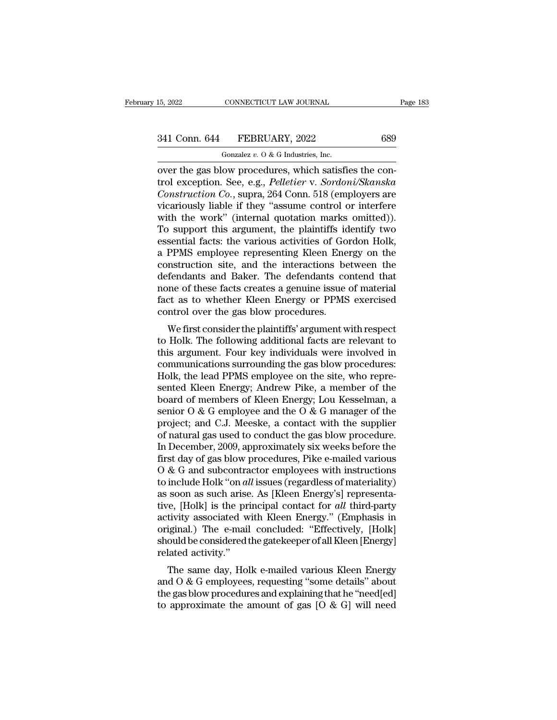# 15, 2022 CONNECTICUT LAW JOURNAL Page 183<br>341 Conn. 644 FEBRUARY, 2022 689<br>Gonzalez v. 0 & G Industries, Inc.

CONNECTICUT LAW JOURNAL<br>FEBRUARY, 2022<br>Gonzalez *v.* O & G Industries, Inc.<br>OW procedures, which satisfi 15, 2022 CONNECTICUT LAW JOURNAL<br>
341 Conn. 644 FEBRUARY, 2022 689<br>
600zalez v. 0 & G Industries, Inc.<br>
000 over the gas blow procedures, which satisfies the con-<br>
trol exception. See, e.g., *Pelletier v. Sordoni/Skanska*<br> 341 Conn. 644 FEBRUARY, 2022 689<br>
Gonzalez v. 0 & G Industries, Inc.<br>
over the gas blow procedures, which satisfies the control exception. See, e.g., *Pelletier* v. *Sordoni/Skanska*<br> *Construction Co.*, supra, 264 Conn. 5 **EXECUARY, 2022** 689<br> *Conzalez v. O & G Industries, Inc.*<br> **Conzalez v. O & G Industries, Inc.**<br> **Construction Co.**, supra, 264 Conn. 518 (employers are<br>
vicariously liable if they "assume control or interfere<br>
with the 341 Conn. 644 FEBRUARY, 2022 689<br>
Gonzalez v. 0 & G Industries, Inc.<br>
over the gas blow procedures, which satisfies the con-<br>
trol exception. See, e.g., *Pelletier* v. *Sordoni/Skanska*<br> *Construction Co.*, supra, 264 Con Gonzalez v. O & G Industries, Inc.<br>
over the gas blow procedures, which satisfies the con-<br>
trol exception. See, e.g., *Pelletier* v. *Sordoni/Skanska*<br> *Construction Co.*, supra, 264 Conn. 518 (employers are<br>
vicariously Gonzalez v. O & G Industries, Inc.<br>
over the gas blow procedures, which satisfies the con-<br>
trol exception. See, e.g., *Pelletier* v. *Sordoni/Skanska*<br> *Construction Co.*, supra, 264 Conn. 518 (employers are<br>
vicariously over the gas blow procedures, which satisfies the control exception. See, e.g., *Pelletier* v. *Sordoni/Skanska Construction Co.*, supra, 264 Conn. 518 (employers are vicariously liable if they "assume control or interfe trol exception. See, e.g., *Pelletier* v. *Sordoni/Skanska*<br>Construction Co., supra, 264 Conn. 518 (employers are<br>vicariously liable if they "assume control or interfere<br>with the work" (internal quotation marks omitted)).<br> Construction Co., supra, 264 Conn. 518 (employers are vicariously liable if they "assume control or interfere with the work" (internal quotation marks omitted)). To support this argument, the plaintiffs identify two essen vicariously liable if they "assume control or interfere<br>with the work" (internal quotation marks omitted)).<br>To support this argument, the plaintiffs identify two<br>essential facts: the various activities of Gordon Holk,<br>a PP with the work" (internal quotation marks omitted)).<br>To support this argument, the plaintiffs identify two<br>essential facts: the various activities of Gordon Holk,<br>a PPMS employee representing Kleen Energy on the<br>constructio To support this argument, the plaintiffs identify two<br>essential facts: the various activities of Gordon Holk,<br>a PPMS employee representing Kleen Energy on the<br>construction site, and the interactions between the<br>defendants essential facts: the various activities of Go<br>a PPMS employee representing Kleen Ene<br>construction site, and the interactions be<br>defendants and Baker. The defendants co<br>none of these facts creates a genuine issue<br>fact as to This employee representing meen Energy on the<br>instruction site, and the interactions between the<br>fendants and Baker. The defendants contend that<br>me of these facts creates a genuine issue of material<br>ct as to whether Kleen to Holk. The defendants and Baker. The defendants contend that<br>none of these facts creates a genuine issue of material<br>fact as to whether Kleen Energy or PPMS exercised<br>control over the gas blow procedures.<br>We first consid

defendants and Baker. The defendants contend that<br>none of these facts creates a genuine issue of material<br>fact as to whether Kleen Energy or PPMS exercised<br>control over the gas blow procedures.<br>We first consider the plaint Fract as to whether Kleen Energy or PPMS exercised<br>control over the gas blow procedures.<br>We first consider the plaintiffs' argument with respect<br>to Holk. The following additional facts are relevant to<br>this argument. Four k ract as to whether Kieen Energy of FFMs exercised<br>control over the gas blow procedures.<br>We first consider the plaintiffs' argument with respect<br>to Holk. The following additional facts are relevant to<br>this argument. Four ke We first consider the plaintiffs' argument with respect<br>to Holk. The following additional facts are relevant to<br>this argument. Four key individuals were involved in<br>communications surrounding the gas blow procedures:<br>Holk We first consider the plaintiffs' argument with respect<br>to Holk. The following additional facts are relevant to<br>this argument. Four key individuals were involved in<br>communications surrounding the gas blow procedures:<br>Holk to Holk. The following additional facts are relevant to<br>this argument. Four key individuals were involved in<br>communications surrounding the gas blow procedures:<br>Holk, the lead PPMS employee on the site, who repre-<br>sented K this argument. Four key individuals were involved in<br>communications surrounding the gas blow procedures:<br>Holk, the lead PPMS employee on the site, who repre-<br>sented Kleen Energy; Andrew Pike, a member of the<br>board of membe communications surrounding the gas blow procedures:<br>Holk, the lead PPMS employee on the site, who repre-<br>sented Kleen Energy; Andrew Pike, a member of the<br>board of members of Kleen Energy; Lou Kesselman, a<br>senior O & G emp Holk, the lead PPMS employee on the site, who represented Kleen Energy; Andrew Pike, a member of the board of members of Kleen Energy; Lou Kesselman, a senior O & G employee and the O & G manager of the project; and C.J. M sented Kleen Energy; Andrew Pike, a member of the<br>board of members of Kleen Energy; Lou Kesselman, a<br>senior O & G employee and the O & G manager of the<br>project; and C.J. Meeske, a contact with the supplier<br>of natural gas u board of members of Kleen Energy; Lou Kesselman, a<br>senior O & G employee and the O & G manager of the<br>project; and C.J. Meeske, a contact with the supplier<br>of natural gas used to conduct the gas blow procedure.<br>In Decembe senior O & G employee and the O & G manager of the<br>project; and C.J. Meeske, a contact with the supplier<br>of natural gas used to conduct the gas blow procedure.<br>In December, 2009, approximately six weeks before the<br>first da project; and C.J. Meeske, a contact with the supplier<br>of natural gas used to conduct the gas blow procedure.<br>In December, 2009, approximately six weeks before the<br>first day of gas blow procedures, Pike e-mailed various<br>O of natural gas used to conduct the gas blow procedure.<br>In December, 2009, approximately six weeks before the<br>first day of gas blow procedures, Pike e-mailed various<br>O & G and subcontractor employees with instructions<br>to in In December, 2009, approximately six weeks before the<br>first day of gas blow procedures, Pike e-mailed various<br>O & G and subcontractor employees with instructions<br>to include Holk "on *all* issues (regardless of materiality first day of gas blow procedures, Pike e-mailed various  $O \& G$  and subcontractor employees with instructions to include Holk "on *all* issues (regardless of materiality) as soon as such arise. As [Kleen Energy's] repres O & G and subcontractor employees with instructions<br>to include Holk "on *all* issues (regardless of materiality)<br>as soon as such arise. As [Kleen Energy's] representa-<br>tive, [Holk] is the principal contact for *all* thirdto include Holk "on *all* issues (regardless of materiality) as soon as such arise. As [Kleen Energy's] representative, [Holk] is the principal contact for *all* third-party activity associated with Kleen Energy." (Emphas Free Soon as such anse. As [Kreen Energy s] representative,<br>
The same principal contact for all third-party<br>
tivity associated with Kleen Energy." (Emphasis in<br>
iginal.) The e-mail concluded: "Effectively, [Holk]<br>
ould be activity associated with Kleen Energy." (Emphasis in<br>original.) The e-mail concluded: "Effectively, [Holk]<br>should be considered the gatekeeper of all Kleen [Energy]<br>related activity."<br>The same day, Holk e-mailed various Kl

activity associated with Kieen Energy. (Emphasis in<br>original.) The e-mail concluded: "Effectively, [Holk]<br>should be considered the gatekeeper of all Kleen [Energy]<br>related activity."<br>The same day, Holk e-mailed various Kle original,  $f$  the e-mail concluded. Effectively, [HoK] should be considered the gate<br>keeper of all Kleen [Energy] related activity."<br>The same day, Holk e-mailed various Kleen Energy<br>and O & G employees, requesting "some d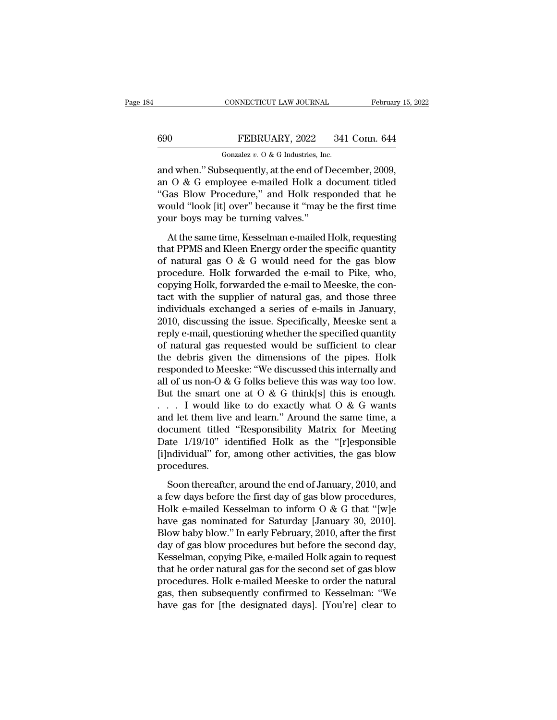## CONNECTICUT LAW JOURNAL February 15, 2022<br>
FEBRUARY, 2022 341 Conn. 644<br>
Gonzalez v. 0 & G Industries, Inc. CONNECTICUT LAW JOURNAL<br>FEBRUARY, 2022 341<br>Gonzalez *v.* O & G Industries, Inc.<br>Sequently at the end of Decen

CONNECTICUT LAW JOURNAL February 15, 2<br>
690 FEBRUARY, 2022 341 Conn. 644<br>
600 Gonzalez v. 0 & G Industries, Inc.<br>
and when.'' Subsequently, at the end of December, 2009,<br>
an O & G employee e-mailed Holk a document titled<br> 690 FEBRUARY, 2022 341 Conn. 644<br>
Gonzalez v. 0 & G Industries, Inc.<br>
and when." Subsequently, at the end of December, 2009,<br>
an O & G employee e-mailed Holk a document titled<br>
"Gas Blow Procedure," and Holk responded tha 690 FEBRUARY, 2022 341 Conn. 644<br>
Gonzalez v. 0 & G Industries, Inc.<br>
and when." Subsequently, at the end of December, 2009,<br>
an O & G employee e-mailed Holk a document titled<br>
"Gas Blow Procedure," and Holk responded tha 690 FEBRUARY, 2022 341 Conn. 644<br>
Gonzalez v. 0 & G Industries, Inc.<br>
and when." Subsequently, at the end of December, 2009,<br>
an O & G employee e-mailed Holk a document titled<br>
"Gas Blow Procedure," and Holk responded tha Gonzalez  $v$ . O & G Industries, Inc. and when." Subsequently, at the end of I<br>an O & G employee e-mailed Holk a c<br>"Gas Blow Procedure," and Holk resp<br>would "look [it] over" because it "may l<br>your boys may be turning valve d when." Subsequently, at the end of December, 2009,<br>  $\overline{O}$  & G employee e-mailed Holk a document titled<br>
tas Blow Procedure," and Holk responded that he<br>
buld "look [it] over" because it "may be the first time<br>
ur boy and Michael Sassequency, as the character coents expected.<br>
and O & G employee e-mailed Holk a document titled<br>
"Gas Blow Procedure," and Holk responded that he<br>
would "look [it] over" because it "may be the first time<br>
y

The contract of the same of the same of the space of the first time<br>
would "look [it] over" because it "may be the first time<br>
your boys may be turning valves."<br>
At the same time, Kesselman e-mailed Holk, requesting<br>
that provided the e-mail of the first time<br>would "look [it] over" because it "may be the first time<br>your boys may be turning valves."<br>At the same time, Kesselman e-mailed Holk, requesting<br>that PPMS and Kleen Energy order the sp count Foot performance of the e-mail of Holk, requesting<br>that PPMS and Kleen Energy order the specific quantity<br>of natural gas  $\overline{O}$  &  $\overline{G}$  would need for the gas blow<br>procedure. Holk forwarded the e-mail to Pike, At the same time, Kesselman e-mailed Holk, requesting<br>that PPMS and Kleen Energy order the specific quantity<br>of natural gas O & G would need for the gas blow<br>procedure. Holk forwarded the e-mail to Pike, who,<br>copying Holk, At the same time, Kesselman e-mailed Holk, requesting<br>that PPMS and Kleen Energy order the specific quantity<br>of natural gas O & G would need for the gas blow<br>procedure. Holk forwarded the e-mail to Pike, who,<br>copying Holk, that PPMS and Kleen Energy order the specific quantity<br>of natural gas O & G would need for the gas blow<br>procedure. Holk forwarded the e-mail to Pike, who,<br>copying Holk, forwarded the e-mail to Meeske, the con-<br>tact with th of natural gas O & G would need for the gas blow<br>procedure. Holk forwarded the e-mail to Pike, who,<br>copying Holk, forwarded the e-mail to Meeske, the con-<br>tact with the supplier of natural gas, and those three<br>individuals procedure. Holk forwarded the e-mail to Pike, who,<br>copying Holk, forwarded the e-mail to Meeske, the con-<br>tact with the supplier of natural gas, and those three<br>individuals exchanged a series of e-mails in January,<br>2010, d copying Holk, forwarded the e-mail to Meeske, the contact with the supplier of natural gas, and those three individuals exchanged a series of e-mails in January, 2010, discussing the issue. Specifically, Meeske sent a repl tact with the supplier of natural gas, and those three<br>individuals exchanged a series of e-mails in January,<br>2010, discussing the issue. Specifically, Meeske sent a<br>reply e-mail, questioning whether the specified quantity individuals exchanged a series of e-mails in January,<br>2010, discussing the issue. Specifically, Meeske sent a<br>reply e-mail, questioning whether the specified quantity<br>of natural gas requested would be sufficient to clear<br> 2010, discussing the issue. Specifically, Meeske sent a<br>reply e-mail, questioning whether the specified quantity<br>of natural gas requested would be sufficient to clear<br>the debris given the dimensions of the pipes. Holk<br>res reply e-mail, questioning whether the specified quantity<br>of natural gas requested would be sufficient to clear<br>the debris given the dimensions of the pipes. Holk<br>responded to Meeske: "We discussed this internally and<br>all of natural gas requested would be sufficient to clear<br>the debris given the dimensions of the pipes. Holk<br>responded to Meeske: "We discussed this internally and<br>all of us non-O & G folks believe this was way too low.<br>But t the debris given the dimensions of the pipes. Holk<br>responded to Meeske: "We discussed this internally and<br>all of us non-O & G folks believe this was way too low.<br>But the smart one at O & G think[s] this is enough.<br> $\dots$  I responded to Meeske: "We discussed this internally and<br>all of us non-O & G folks believe this was way too low.<br>But the smart one at O & G think[s] this is enough.<br>. . . . I would like to do exactly what O & G wants<br>and let all of us non-O & G folks believe this was way too low.<br>But the smart one at O & G think[s] this is enough.<br>. . . . I would like to do exactly what O & G wants<br>and let them live and learn." Around the same time, a<br>document procedures. d let them live and learn." Around the same time, a<br>ccument titled "Responsibility Matrix for Meeting<br>the 1/19/10" identified Holk as the "[r]esponsible<br>ndividual" for, among other activities, the gas blow<br>ocedures.<br>Soon t document titled "Responsibility Matrix for Meeting<br>Date 1/19/10" identified Holk as the "[r]esponsible<br>[i]ndividual" for, among other activities, the gas blow<br>procedures.<br>Soon thereafter, around the end of January, 2010,

Date  $1/19/10$ " identified Holk as the "[r]esponsible [i]ndividual" for, among other activities, the gas blow<br>procedures.<br>Soon thereafter, around the end of January, 2010, and<br>a few days before the first day of gas blow p [i]ndividual" for, among other activities, the gas blow<br>procedures.<br>Soon thereafter, around the end of January, 2010, and<br>a few days before the first day of gas blow procedures,<br>Holk e-mailed Kesselman to inform O & G tha procedures.<br>
Soon thereafter, around the end of January, 2010, and<br>
a few days before the first day of gas blow procedures,<br>
Holk e-mailed Kesselman to inform O & G that "[w]e<br>
have gas nominated for Saturday [January 30, Soon thereafter, around the end of January, 2010, and<br>a few days before the first day of gas blow procedures,<br>Holk e-mailed Kesselman to inform O & G that "[w]e<br>have gas nominated for Saturday [January 30, 2010].<br>Blow bab Soon thereafter, around the end of January, 2010, and<br>a few days before the first day of gas blow procedures,<br>Holk e-mailed Kesselman to inform O & G that "[w]e<br>have gas nominated for Saturday [January 30, 2010].<br>Blow bab a few days before the first day of gas blow procedures,<br>Holk e-mailed Kesselman to inform O & G that "[w]e<br>have gas nominated for Saturday [January 30, 2010].<br>Blow baby blow." In early February, 2010, after the first<br>day o Holk e-mailed Kesselman to inform O & G that "[w]e<br>have gas nominated for Saturday [January 30, 2010].<br>Blow baby blow." In early February, 2010, after the first<br>day of gas blow procedures but before the second day,<br>Kesselm have gas nominated for Saturday [January 30, 2010].<br>Blow baby blow." In early February, 2010, after the first<br>day of gas blow procedures but before the second day,<br>Kesselman, copying Pike, e-mailed Holk again to request<br>th Blow baby blow." In early February, 2010, after the first<br>day of gas blow procedures but before the second day,<br>Kesselman, copying Pike, e-mailed Holk again to request<br>that he order natural gas for the second set of gas bl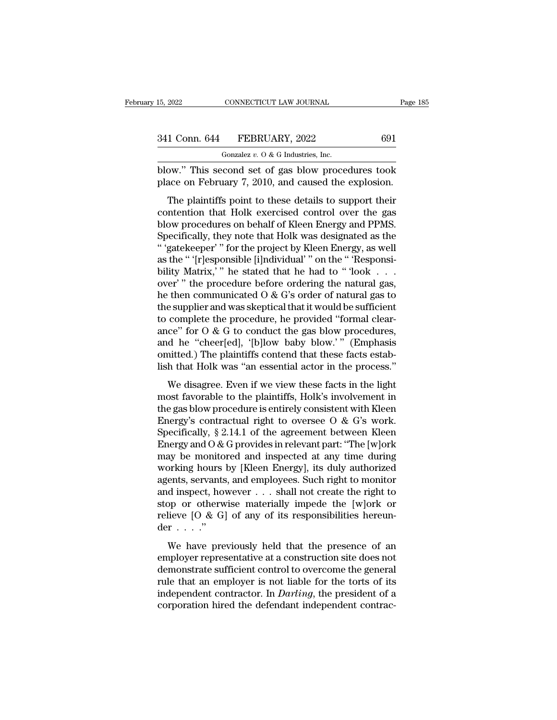| 15, 2022      | CONNECTICUT LAW JOURNAL                           | Page 185 |
|---------------|---------------------------------------------------|----------|
| 341 Conn. 644 | FEBRUARY, 2022                                    | 691      |
|               | Gonzalez $v$ . O & G Industries, Inc.             |          |
|               | hlow" This second set of gas hlow procedures took |          |

15, 2022 CONNECTICUT LAW JOURNAL Page 185<br>
341 Conn. 644 FEBRUARY, 2022 691<br>
Gonzalez v. 0 & G Industries, Inc.<br>
blow.'' This second set of gas blow procedures took<br>
place on February 7, 2010, and caused the explosion. 341 Conn. 644 FEBRUARY, 2022 691<br>
Gonzalez v. 0 & G Industries, Inc.<br>
blow." This second set of gas blow procedures took<br>
place on February 7, 2010, and caused the explosion.<br>
The plaintiffs point to these details to suppo

1 Conn. 644 FEBRUARY, 2022 691<br>
Gonzalez v. 0 & G Industries, Inc.<br>
ow." This second set of gas blow procedures took<br>
ace on February 7, 2010, and caused the explosion.<br>
The plaintiffs point to these details to support th 341 Conn. 644 FEBRUARY, 2022 691<br>
Conzalez v. 0 & G Industries, Inc.<br>
blow." This second set of gas blow procedures took<br>
place on February 7, 2010, and caused the explosion.<br>
The plaintiffs point to these details to supp Gonzalez  $v$ .  $0$  & G Industries, Inc.<br>
blow." This second set of gas blow procedures took<br>
place on February 7, 2010, and caused the explosion.<br>
The plaintiffs point to these details to support their<br>
contention that Hol blow." This second set of gas blow procedures took<br>place on February 7, 2010, and caused the explosion.<br>The plaintiffs point to these details to support their<br>contention that Holk exercised control over the gas<br>blow proced blow. This second set of gas blow procedures took<br>place on February 7, 2010, and caused the explosion.<br>The plaintiffs point to these details to support their<br>contention that Holk exercised control over the gas<br>blow procedu The plaintiffs point to these details to support their<br>contention that Holk exercised control over the gas<br>blow procedures on behalf of Kleen Energy and PPMS.<br>Specifically, they note that Holk was designated as the<br>"gateke The plaintiffs point to these details to support their<br>contention that Holk exercised control over the gas<br>blow procedures on behalf of Kleen Energy and PPMS.<br>Specifically, they note that Holk was designated as the<br>"'gate contention that Holk exercised control over the gas<br>blow procedures on behalf of Kleen Energy and PPMS.<br>Specifically, they note that Holk was designated as the<br>"gatekeeper" or the project by Kleen Energy, as well<br>as the " blow procedures on behalf of Kleen Energy and PPMS.<br>Specifically, they note that Holk was designated as the<br>"'gatekeeper'" for the project by Kleen Energy, as well<br>as the "'[r]esponsible [i]ndividual'" on the "'Responsi-<br>b Specifically, they note that Holk was designated as the "'gatekeeper'" for the project by Kleen Energy, as well<br>as the "'[r]esponsible [i]ndividual'" on the "'Responsibility Matrix,'" he stated that he had to "'look . . . "' "gatekeeper' " for the project by Kleen Energy, as well<br>as the "'[r]esponsible [i]ndividual' " on the "'Responsi-<br>bility Matrix,' " he stated that he had to "'look . . . .<br>over' " the procedure before ordering the natu as the "'(r]esponsible [i]ndividual'" on the "'Responsibility Matrix,'" he stated that he had to "'look . . .<br>over'" the procedure before ordering the natural gas,<br>he then communicated O & G's order of natural gas to<br>the bility Matrix,'" he stated that he had to "'look . . . .<br>over'" the procedure before ordering the natural gas,<br>he then communicated O & G's order of natural gas to<br>the supplier and was skeptical that it would be sufficien over'" the procedure before ordering the natural gas,<br>he then communicated  $O & G$ 's order of natural gas to<br>the supplier and was skeptical that it would be sufficient<br>to complete the procedure, he provided "formal clear-<br>a he then communicated  $O & G$ 's order of natural gas to<br>the supplier and was skeptical that it would be sufficient<br>to complete the procedure, he provided "formal clear-<br>ance" for  $O & G$  to conduct the gas blow procedures, complete the procedure, he provided "formal clear-<br>ce" for  $O \& G$  to conduct the gas blow procedures,<br>d he "cheer[ed], '[b]low baby blow.'" (Emphasis<br>nitted.) The plaintiffs contend that these facts estab-<br>h that Holk was ance" for  $0 \& G$  to conduct the gas blow procedures,<br>and he "cheer[ed], '[b]low baby blow.'" (Emphasis<br>omitted.) The plaintiffs contend that these facts estab-<br>lish that Holk was "an essential actor in the process."<br>We

ance for  $\sigma$  as a consider are gas blow procedures,<br>and he "cheer[ed], '[b]low baby blow.'" (Emphasis<br>omitted.) The plaintiffs contend that these facts estab-<br>lish that Holk was "an essential actor in the process."<br>We di energy's contractual right to oversee O & G's work.<br>See Stablish that Holk was "an essential actor in the process."<br>We disagree. Even if we view these facts in the light<br>most favorable to the plaintiffs, Holk's involvemen Shaked.) The plantants contend and dress hacks esdas<br>lish that Holk was "an essential actor in the process."<br>We disagree. Even if we view these facts in the light<br>most favorable to the plaintiffs, Holk's involvement in<br>th We disagree. Even if we view these facts in the light<br>most favorable to the plaintiffs, Holk's involvement in<br>the gas blow procedure is entirely consistent with Kleen<br>Energy's contractual right to oversee O & G's work.<br>Sp We disagree. Even if we view these facts in the light<br>most favorable to the plaintiffs, Holk's involvement in<br>the gas blow procedure is entirely consistent with Kleen<br>Energy's contractual right to oversee O & G's work.<br>Sp most favorable to the plaintiffs, Holk's involvement in<br>the gas blow procedure is entirely consistent with Kleen<br>Energy's contractual right to oversee O & G's work.<br>Specifically, § 2.14.1 of the agreement between Kleen<br>En the gas blow procedure is entirely consistent with Kleen<br>Energy's contractual right to oversee O & G's work.<br>Specifically, § 2.14.1 of the agreement between Kleen<br>Energy and O & G provides in relevant part: "The [w]ork<br>ma Energy's contractual right to oversee O & G's work.<br>Specifically, § 2.14.1 of the agreement between Kleen<br>Energy and O & G provides in relevant part: "The [w]ork<br>may be monitored and inspected at any time during<br>working h Specifically, § 2.14.1 of the agreement between Kleen<br>Energy and O & G provides in relevant part: "The [w]ork<br>may be monitored and inspected at any time during<br>working hours by [Kleen Energy], its duly authorized<br>agents, Energy and O & G provides in relevant part: "The [w]ork may be monitored and inspected at any time during working hours by [Kleen Energy], its duly authorized agents, servants, and employees. Such right to monitor and ins may be monito<br>working hours<br>agents, servants<br>and inspect, ho<br>stop or otherw<br>relieve  $[0 & G]$ <br>der . . . ."<br>We have pre because by the entrypy, as any analytical<br>ents, servants, and employees. Such right to monitor<br>d inspect, however . . . shall not create the right to<br>pp or otherwise materially impede the [w]ork or<br>lieve [O & G] of any of and inspect, however  $\dots$  shall not create the right to<br>stop or otherwise materially impede the [w]ork or<br>relieve [O & G] of any of its responsibilities hereun-<br>der  $\dots$ ."<br>We have previously held that the presence of an<br>e

dua mappeer, nowever  $\ldots$  stand not create are right to<br>stop or otherwise materially impede the [w]ork or<br>relieve [O & G] of any of its responsibilities hereun-<br>der  $\ldots$ ."<br>We have previously held that the presence of an relieve  $[0 & G]$  of any of its responsibilities hereunder . . . ."<br>We have previously held that the presence of an<br>employer representative at a construction site does not<br>demonstrate sufficient control to overcome the ge der . . . ."<br>We have previously held that the presence of an<br>employer representative at a construction site does not<br>demonstrate sufficient control to overcome the general<br>rule that an employer is not liable for the torts We have previously held that the presence of an employer representative at a construction site does not demonstrate sufficient control to overcome the general rule that an employer is not liable for the torts of its indep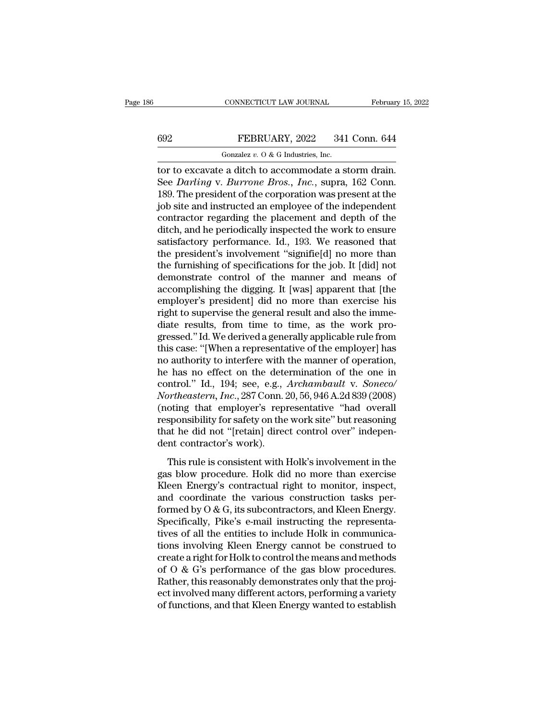## CONNECTICUT LAW JOURNAL February 15, 2022<br>
FEBRUARY, 2022 341 Conn. 644<br>
Gonzalez v. 0 & G Industries, Inc. CONNECTICUT LAW JOURNAL<br>FEBRUARY, 2022 341<br>Gonzalez *v.* O & G Industries, Inc.<br>A a ditch to accommodate a si

CONNECTICUT LAW JOURNAL February 15, 2002<br>
FEBRUARY, 2022 341 Conn. 644<br>
Gonzalez v. 0 & G Industries, Inc.<br>
tor to excavate a ditch to accommodate a storm drain.<br>
See Darling v. Burrone Bros., Inc., supra, 162 Conn.<br>
180 FEBRUARY, 2022 341 Conn. 644<br>
Gonzalez v. 0 & G Industries, Inc.<br>
tor to excavate a ditch to accommodate a storm drain.<br>
See *Darling* v. *Burrone Bros.*, *Inc.*, supra, 162 Conn.<br>
189. The president of the corporation was FEBRUARY, 2022 341 Conn. 644<br>
Conzalez v. 0 & G Industries, Inc.<br>
tor to excavate a ditch to accommodate a storm drain.<br>
See *Darling* v. *Burrone Bros., Inc.*, supra, 162 Conn.<br>
189. The president of the corporation was FEBRUARY, 2022 341 Conn. 644<br>
Gonzalez v. 0 & G Industries, Inc.<br>
tor to excavate a ditch to accommodate a storm drain.<br>
See *Darling* v. *Burrone Bros.*, *Inc.*, supra, 162 Conn.<br>
189. The president of the corporation wa Gonzalez v. O & G Industries, Inc.<br>tor to excavate a ditch to accommodate a storm drain.<br>See *Darling* v. *Burrone Bros.*, *Inc.*, supra, 162 Conn.<br>189. The president of the corporation was present at the<br>job site and ins Gonzaez v. 0 & G maustries, inc.<br>tor to excavate a ditch to accommodate a storm drain.<br>See *Darling* v. *Burrone Bros.*, *Inc.*, supra, 162 Conn.<br>189. The president of the corporation was present at the<br>job site and instr tor to excavate a ditch to accommodate a storm drain.<br>See *Darling* v. *Burrone Bros.*, *Inc.*, supra, 162 Conn.<br>189. The president of the corporation was present at the<br>job site and instructed an employee of the independe See *Darling* v. *Burrone Bros.*, *Inc.*, supra, 162 Conn.<br>189. The president of the corporation was present at the<br>job site and instructed an employee of the independent<br>contractor regarding the placement and depth of th 189. The president of the corporation was present at the<br>job site and instructed an employee of the independent<br>contractor regarding the placement and depth of the<br>ditch, and he periodically inspected the work to ensure<br>s job site and instructed an employee of the independent<br>contractor regarding the placement and depth of the<br>ditch, and he periodically inspected the work to ensure<br>satisfactory performance. Id., 193. We reasoned that<br>the pr contractor regarding the placement and depth of the<br>ditch, and he periodically inspected the work to ensure<br>satisfactory performance. Id., 193. We reasoned that<br>the president's involvement "signifie[d] no more than<br>the fur ditch, and he periodically inspected the work to ensure<br>satisfactory performance. Id., 193. We reasoned that<br>the president's involvement "signifie[d] no more than<br>the furnishing of specifications for the job. It [did] not<br> satisfactory performance. Id., 193. We reasoned that<br>the president's involvement "signifie[d] no more than<br>the furnishing of specifications for the job. It [did] not<br>demonstrate control of the manner and means of<br>accomplis the president's involvement "signifie[d] no more than<br>the furnishing of specifications for the job. It [did] not<br>demonstrate control of the manner and means of<br>accomplishing the digging. It [was] apparent that [the<br>employe the furnishing of specifications for the job. It [did] not<br>demonstrate control of the manner and means of<br>accomplishing the digging. It [was] apparent that [the<br>employer's president] did no more than exercise his<br>right to demonstrate control of the manner and means of<br>accomplishing the digging. It [was] apparent that [the<br>employer's president] did no more than exercise his<br>right to supervise the general result and also the imme-<br>diate resul accomplishing the digging. It [was] apparent that [the<br>employer's president] did no more than exercise his<br>right to supervise the general result and also the imme-<br>diate results, from time to time, as the work pro-<br>gresse employer's president] did no more than exercise his<br>right to supervise the general result and also the imme-<br>diate results, from time to time, as the work pro-<br>gressed." Id. We derived a generally applicable rule from<br>this right to supervise the general result and also the immediate results, from time to time, as the work progressed."Id. We derived a generally applicable rule from this case: "[When a representative of the employer] has no au diate results, from time to time, as the work progressed." Id. We derived a generally applicable rule from this case: "[When a representative of the employer] has no authority to interfere with the manner of operation, he gressed." Id. We derived a generally applicable rule from<br>this case: "[When a representative of the employer] has<br>no authority to interfere with the manner of operation,<br>he has no effect on the determination of the one in<br> this case: "[When a representative of the employer] has<br>no authority to interfere with the manner of operation,<br>he has no effect on the determination of the one in<br>control." Id., 194; see, e.g., *Archambault v. Soneco/*<br>No no authority to interfere with the manner of operation,<br>he has no effect on the determination of the one in<br>control." Id., 194; see, e.g., *Archambault* v. *Soneco/*<br>Northeastern, Inc., 287 Conn. 20, 56, 946 A.2d 839 (2008 he has no effect on the dete<br>control." Id., 194; see, e.g., .<br>Northeastern, Inc., 287 Conn. 2<br>(noting that employer's represponsibility for safety on the<br>that he did not "[retain] dired<br>dent contractor's work).<br>This rule i Final Final Final Final Final Final Final Final Final Final Final Spensibility for safety on the work site" but reasoning<br>sponsibility for safety on the work site" but reasoning<br>at he did not "[retain] direct control over" From Macadem, Holy, 201 Coldi. 26, 36, 8 for find overall<br>
responsibility for safety on the work site" but reasoning<br>
that he did not "[retain] direct control over" indepen-<br>
dent contractor's work).<br>
This rule is consiste

The mass contract of the work site." but reasoning<br>that he did not "[retain] direct control over" indepen-<br>dent contractor's work).<br>This rule is consistent with Holk's involvement in the<br>gas blow procedure. Holk did no mo responsionly for safety off are work site barreasoning<br>that he did not "[retain] direct control over" indepen-<br>dent contractor's work).<br>This rule is consistent with Holk's involvement in the<br>gas blow procedure. Holk did no Formed by O & G, its subcontractors, and Kleen Energy's contractual right to monitor, inspect,<br>and coordinate the various construction tasks per-<br>formed by O & G, its subcontractors, and Kleen Energy.<br>Specifically, Pike's This rule is consistent with Holk's involvement in the<br>gas blow procedure. Holk did no more than exercise<br>Kleen Energy's contractual right to monitor, inspect,<br>and coordinate the various construction tasks per-<br>formed by 0 This rule is consistent with Holk's involvement in the<br>gas blow procedure. Holk did no more than exercise<br>Kleen Energy's contractual right to monitor, inspect,<br>and coordinate the various construction tasks per-<br>formed by 0 gas blow procedure. Holk did no more than exercise<br>Kleen Energy's contractual right to monitor, inspect,<br>and coordinate the various construction tasks per-<br>formed by  $O & G$ , its subcontractors, and Kleen Energy.<br>Specifical Kleen Energy's contractual right to monitor, inspect,<br>and coordinate the various construction tasks per-<br>formed by  $O & G$ , its subcontractors, and Kleen Energy.<br>Specifically, Pike's e-mail instructing the representa-<br>tives and coordinate the various construction tasks performed by  $O & G$ , its subcontractors, and Kleen Energy.<br>Specifically, Pike's e-mail instructing the representatives of all the entities to include Holk in communications inv formed by  $O & G$ , its subcontractors, and Kleen Energy.<br>Specifically, Pike's e-mail instructing the representatives of all the entities to include Holk in communications involving Kleen Energy cannot be construed to crea Specifically, Pike's e-mail instructing the representatives of all the entities to include Holk in communications involving Kleen Energy cannot be construed to create a right for Holk to control the means and methods of O tives of all the entities to include Holk in communications involving Kleen Energy cannot be construed to create a right for Holk to control the means and methods of O & G's performance of the gas blow procedures.<br>Rather,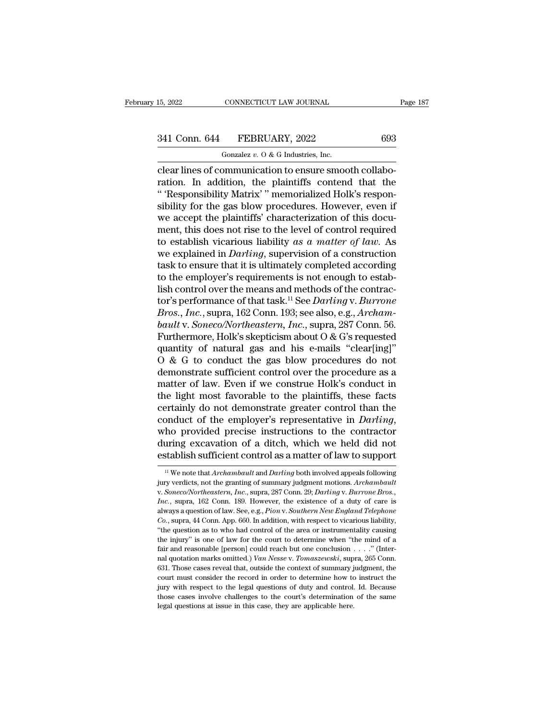## 15, 2022 CONNECTICUT LAW JOURNAL Page 187<br>341 Conn. 644 FEBRUARY, 2022 693<br>Gonzalez v. 0 & G Industries, Inc. CONNECTICUT LAW JOURNAL<br>FEBRUARY, 2022<br>Gonzalez *v.* O & G Industries, Inc.<br>Dominication to ensure smood

connectricut LAW JOURNAL<br>
341 Conn. 644 FEBRUARY, 2022 693<br>
693<br>
601 Gonzalez v. 0 & G Industries, Inc.<br>
clear lines of communication to ensure smooth collabo-<br>
72 Connection. In addition, the plaintiffs contend that the<br> 341 Conn. 644 FEBRUARY, 2022 693<br>
Gonzalez v. 0 & G Industries, Inc.<br>
Clear lines of communication to ensure smooth collaboration. In addition, the plaintiffs contend that the<br>
"Responsibility Matrix" memorialized Holk's r 341 Conn. 644 FEBRUARY, 2022 693<br>
Conzalez v. 0 & G Industries, Inc.<br>
Clear lines of communication to ensure smooth collaboration. In addition, the plaintiffs contend that the<br>
"Responsibility Matrix' " memorialized Holk' 341 Conn. 644 FEBRUARY, 2022 693<br>
Gonzalez v. 0 & G Industries, Inc.<br>
clear lines of communication to ensure smooth collabo-<br>
ration. In addition, the plaintiffs contend that the<br>
"Responsibility Matrix" memorialized Holk Gonzalez v. 0 & G Industries, Inc.<br>
Clear lines of communication to ensure smooth collabo-<br>
ration. In addition, the plaintiffs' contend that the<br>
"Responsibility Matrix'" memorialized Holk's responsibility for the gas bl Gonzalez v. O & G industries, inc.<br>
clear lines of communication to ensure smooth collaboration. In addition, the plaintiffs contend that the<br>
"Responsibility Matrix" memorialized Holk's responsibility for the gas blow pr clear lines of communication to ensure smooth collaboration. In addition, the plaintiffs contend that the "'Responsibility Matrix' " memorialized Holk's responsibility for the gas blow procedures. However, even if we accep ration. In addition, the plaintiffs contend that the<br>"'Responsibility Matrix'" memorialized Holk's respon-<br>sibility for the gas blow procedures. However, even if<br>we accept the plaintiffs' characterization of this docu-<br>men " 'Responsibility Matrix' " memorialized Holk's responsibility for the gas blow procedures. However, even if we accept the plaintiffs' characterization of this document, this does not rise to the level of control required sibility for the gas blow procedures. However, even if<br>we accept the plaintiffs' characterization of this docu-<br>ment, this does not rise to the level of control required<br>to establish vicarious liability as a matter of law we accept the plaintiffs' characterization of this document, this does not rise to the level of control required<br>to establish vicarious liability as a matter of law. As<br>we explained in *Darling*, supervision of a construc ment, this does not rise to the level of control required<br>to establish vicarious liability *as a matter of law*. As<br>we explained in *Darling*, supervision of a construction<br>task to ensure that it is ultimately completed ac to establish vicarious liability *as a matter of law*. As<br>we explained in *Darling*, supervision of a construction<br>task to ensure that it is ultimately completed according<br>to the employer's requirements is not enough to es *baulthearry we explained in Darling, supervision of a construction*<br>task to ensure that it is ultimately completed according<br>to the employer's requirements is not enough to estab-<br>lish control over the means and methods o task to ensure that it is ultimately completed according<br>to the employer's requirements is not enough to estab-<br>lish control over the means and methods of the contrac-<br>tor's performance of that task.<sup>11</sup> See *Darling* v. to the employer's requirements is not enough to establish control over the means and methods of the contractor's performance of that task.<sup>11</sup> See *Darling v. Burrone Bros., Inc.,* supra, 162 Conn. 193; see also, e.g., lish control over the means and methods of the contractor's performance of that task.<sup>11</sup> See *Darling* v. *Burrone*<br>*Bros., Inc.*, supra, 162 Conn. 193; see also, e.g., *Archam-*<br>*bault* v. *Soneco/Northeastern, Inc.*, su tor's performance of that task.<sup>11</sup> See *Darling* v. *Burrone*<br>*Bros., Inc.,* supra, 162 Conn. 193; see also, e.g., *Archam-*<br>*bault* v. *Soneco/Northeastern, Inc.*, supra, 287 Conn. 56.<br>Furthermore, Holk's skepticism abou *Bros., Inc.,* supra, 162 Conn. 193; see also, e.g., *Archam-*<br>bault v. *Soneco/Northeastern, Inc.*, supra, 287 Conn. 56.<br>Furthermore, Holk's skepticism about O & G's requested<br>quantity of natural gas and his e-mails "clea bault v. Soneco/Northeastern, Inc., supra, 287 Conn. 56.<br>Furthermore, Holk's skepticism about O & G's requested<br>quantity of natural gas and his e-mails "clear[ing]"<br>O & G to conduct the gas blow procedures do not<br>demonstr Furthermore, Holk's skepticism about O & G's requested<br>quantity of natural gas and his e-mails "clear[ing]"<br>O & G to conduct the gas blow procedures do not<br>demonstrate sufficient control over the procedure as a<br>matter of quantity of natural gas and his e-mails "clear[ing]"<br>
O & G to conduct the gas blow procedures do not<br>
demonstrate sufficient control over the procedure as a<br>
matter of law. Even if we construe Holk's conduct in<br>
the light demonstrate sufficient control over the procedure as a<br>matter of law. Even if we construe Holk's conduct in<br>the light most favorable to the plaintiffs, these facts<br>certainly do not demonstrate greater control than the<br>cond matter of law. Even if we construe Holk's conduct in<br>the light most favorable to the plaintiffs, these facts<br>certainly do not demonstrate greater control than the<br>conduct of the employer's representative in *Darling*,<br>who onduct of the employer's representative in *Darling*,<br>ho provided precise instructions to the contractor<br>uring excavation of a ditch, which we held did not<br>stablish sufficient control as a matter of law to support<br><sup>11</sup> We

who provided precise instructions to the contractor<br>during excavation of a ditch, which we held did not<br>establish sufficient control as a matter of law to support<br><sup>11</sup> We note that *Archambault* and *Darling* both involved during excavation of a ditch, which we held did not<br>establish sufficient control as a matter of law to support<br><sup>11</sup> We note that *Archambault* and *Darling* both involved appeals following<br>jury verdicts, not the granting o **ESLADILSH SUITCIENT CONTOT AS A HIATCE OF TAW TO Support**<br><sup>11</sup> We note that *Archambault* and *Darling* both involved appeals following<br>jury verdicts, not the granting of summary judgment motions. *Archambault*<br>v. *Soneco* <sup>11</sup> We note that *Archambault* and *Darling* both involved appeals following<br>jury verdicts, not the granting of summary judgment motions. *Archambault*<br>v. Soneco/Northeastern, Inc., supra, 287 Conn. 29; *Darling* v. *Bur* jury verdicts, not the granting of summary judgment motions. Archambault v. Soneco/Northeastern, Inc., supra, 287 Conn. 29; Darling v. Burrone Bros., Inc., supra, 162 Conn. 189. However, the existence of a duty of care is y. *Soneco/Northeastern, Inc.*, supra, 287 Conn. 29; *Darling v. Burrone Bros.*, *Inc.*, supra, 162 Conn. 189. However, the existence of a duty of care is always a question of law. See, e.g., *Pion v. Southern New England Inc.*, supra, 162 Conn. 189. However, the existence of a duty of care is always a question of law. See, e.g., *Pion v. Southern New England Telephone Co.*, supra, 44 Conn. App. 660. In addition, with respect to vicario nal and a station of law. See, e.g., *Pion v. Southern New England Telephone* Co., supra, 44 Conn. App. 660. In addition, with respect to vicarious liability, "the question as to who had control of the area or instrumental *Co.*, supra, 44 Conn. App. 660. In addition, with respect to vicarious liability, "the question as to who had control of the area or instrumentality causing the injury" is one of law for the court to determine when "the m <sup>court</sup>, we question as to who had control of the area or instrumentality causing the injury" is one of law for the court to determine when "the mind of a fair and reasonable [person] could reach but one conclusion . . . the injury" is one of law for the court to determine when "the mind of a fair and reasonable [person] could reach but one conclusion  $\ldots$ ." (Internal quotation marks omitted.) Van Nesse v. Tomaszewski, supra, 265 Conn. 6 the nyar, a second person] could reach but one conclusion  $\ldots$ . " (Inter-<br>nal quotation marks omitted.) Van Nesse v. Tomaszewski, supra, 265 Conn.<br>631. Those cases reveal that, outside the context of summary judgment, th fair and reasonable [person] could reach but one conclusion . . . . " (Internal quotation marks omitted.) *Van Nesse v. Tomaszewski*, supra, 265 Conn. 631. Those cases reveal that, outside the context of summary judgment,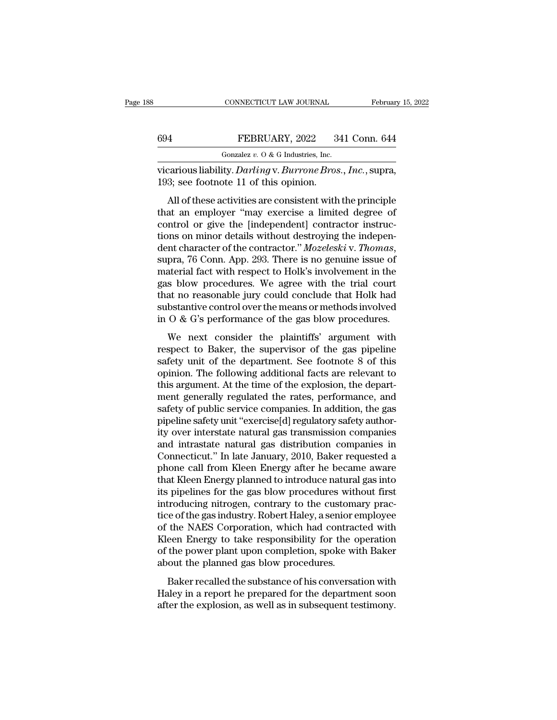vicarious liability. *Darling* v. *Burrone Bros., Inc.*, supra, 193; see footnote 11 of this opinion. 694 FEBRUARY, 2022 3<br>
Gonzalez v. 0 & G Industries, Inc.<br>
vicarious liability. *Darling* v. *Burrone Bros*<br>
193; see footnote 11 of this opinion.<br>
All of these activities are consistent with

FEBRUARY, 2022 341 Conn. 644<br>
Gonzalez v. 0 & G Industries, Inc.<br>
carious liability. *Darling* v. *Burrone Bros.*, *Inc.*, supra,<br>
3; see footnote 11 of this opinion.<br>
All of these activities are consistent with the princ FEBRUARY, 2022 341 Conn. 644<br>
Gonzalez v. 0 & G Industries, Inc.<br>
vicarious liability. *Darling* v. *Burrone Bros.*, *Inc.*, supra,<br>
193; see footnote 11 of this opinion.<br>
All of these activities are consistent with the p Gonzalez v. O & G Industries, Inc.<br>
vicarious liability. *Darling* v. *Burrone Bros.*, *Inc.*, supra,<br>
193; see footnote 11 of this opinion.<br>
All of these activities are consistent with the principle<br>
that an employer "ma vicarious liability. *Darling* v. *Burrone Bros.*, *Inc.*, supra, 193; see footnote 11 of this opinion.<br>All of these activities are consistent with the principle that an employer "may exercise a limited degree of control o dent character of the contractor.'' *Mozeleski* v. *The control Control Control Control Control Control control* or give the [independent] contractor instructions on minor details without destroying the indepen All of these activities are consistent with the principle<br>that an employer "may exercise a limited degree of<br>control or give the [independent] contractor instruc-<br>tions on minor details without destroying the indepen-<br>dent that an employer "may exercise a limited degree of<br>control or give the [independent] contractor instruc-<br>tions on minor details without destroying the indepen-<br>dent character of the contractor." Mozeleski v. Thomas,<br>supra, control or give the [independent] contractor instructions on minor details without destroying the independent character of the contractor." *Mozeleski* v. *Thomas*, supra, 76 Conn. App. 293. There is no genuine issue of m tions on minor details without destroying the independent character of the contractor." *Mozeleski* v. *Thomas*, supra, 76 Conn. App. 293. There is no genuine issue of material fact with respect to Holk's involvement in t dent character of the contractor." *Mozeleski* v. *Thomas*, supra, 76 Conn. App. 293. There is no genuine issue of material fact with respect to Holk's involvement in the gas blow procedures. We agree with the trial court play to some tipp. 250. There is no genant issue of<br>aterial fact with respect to Holk's involvement in the<br>s blow procedures. We agree with the trial court<br>at no reasonable jury could conclude that Holk had<br>bstantive contr respect to Baker, the supervisor of the gas blow procedures. We agree with the trial court<br>that no reasonable jury could conclude that Holk had<br>substantive control over the means or methods involved<br>in O & G's performance

safety unit of the department. See footnote 8 of this endpoint.<br>This area is the department of the department of the department with<br>respect to Baker, the supervisor of the gas pipeline<br>safety unit of the department. See substantive control over the means or methods involved<br>in O & G's performance of the gas blow procedures.<br>We next consider the plaintiffs' argument with<br>respect to Baker, the supervisor of the gas pipeline<br>safety unit of t in  $\overline{O}$  &  $\overline{G}$ 's performance of the gas blow procedures.<br>We next consider the plaintiffs' argument with respect to Baker, the supervisor of the gas pipeline safety unit of the department. See footnote 8 of this op We next consider the plaintiffs' argument with<br>respect to Baker, the supervisor of the gas pipeline<br>safety unit of the department. See footnote 8 of this<br>opinion. The following additional facts are relevant to<br>this argumen We next consider the plaintiffs' argument with<br>respect to Baker, the supervisor of the gas pipeline<br>safety unit of the department. See footnote 8 of this<br>opinion. The following additional facts are relevant to<br>this argumen respect to Baker, the supervisor of the gas pipeline<br>safety unit of the department. See footnote 8 of this<br>opinion. The following additional facts are relevant to<br>this argument. At the time of the explosion, the depart-<br>me safety unit of the department. See footnote 8 of this<br>opinion. The following additional facts are relevant to<br>this argument. At the time of the explosion, the depart-<br>ment generally regulated the rates, performance, and<br>sa opinion. The following additional facts are relevant to<br>this argument. At the time of the explosion, the depart-<br>ment generally regulated the rates, performance, and<br>safety of public service companies. In addition, the gas this argument. At the time of the explosion, the department generally regulated the rates, performance, and safety of public service companies. In addition, the gas pipeline safety unit "exercise[d] regulatory safety autho ment generally regulated the rates, performance, and<br>safety of public service companies. In addition, the gas<br>pipeline safety unit "exercise[d] regulatory safety author-<br>ity over interstate natural gas transmission compani safety of public service companies. In addition, the gas<br>pipeline safety unit "exercise[d] regulatory safety author-<br>ity over interstate natural gas transmission companies<br>and intrastate natural gas distribution companies pipeline safety unit "exercise[d] regulatory safety authority over interstate natural gas transmission companies<br>and intrastate natural gas distribution companies in<br>Connecticut." In late January, 2010, Baker requested a<br>p ity over interstate natural gas transmission companies<br>and intrastate natural gas distribution companies in<br>Connecticut." In late January, 2010, Baker requested a<br>phone call from Kleen Energy after he became aware<br>that Kle and intrastate natural gas distribution companies in Connecticut." In late January, 2010, Baker requested a phone call from Kleen Energy after he became aware that Kleen Energy planned to introduce natural gas into its pip Connecticut." In late January, 2010, Baker requested a<br>phone call from Kleen Energy after he became aware<br>that Kleen Energy planned to introduce natural gas into<br>its pipelines for the gas blow procedures without first<br>intr phone call from Kleen Energy after he became aware<br>that Kleen Energy planned to introduce natural gas into<br>its pipelines for the gas blow procedures without first<br>introducing nitrogen, contrary to the customary prac-<br>tice that Kleen Energy planned to introduce natural gas into<br>its pipelines for the gas blow procedures without first<br>introducing nitrogen, contrary to the customary prac-<br>tice of the gas industry. Robert Haley, a senior employe its pipelines for the gas blow procedures with introducing nitrogen, contrary to the custom:<br>tice of the gas industry. Robert Haley, a senior e<br>of the NAES Corporation, which had contrac<br>Kleen Energy to take responsibility recalled the substance of his conversation with the NAES Corporation, which had contracted with<br>the NAES Corporation, which had contracted with<br>the power plant upon completion, spoke with Baker<br>out the planned gas blow pro dece of ane gas industry. Reserve haloy, a senior employee of the NAES Corporation, which had contracted with Kleen Energy to take responsibility for the operation of the power plant upon completion, spoke with Baker about after the explosion, which had confluenced what<br>Kleen Energy to take responsibility for the operation<br>of the power plant upon completion, spoke with Baker<br>about the planned gas blow procedures.<br>Baker recalled the substance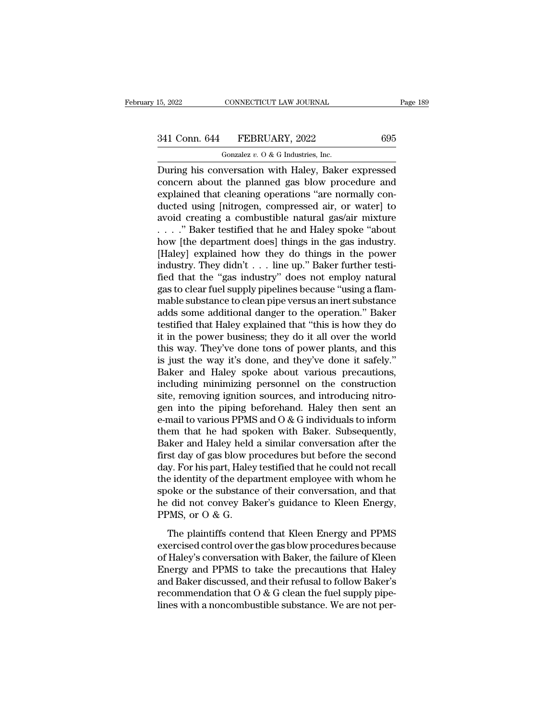# 15, 2022 CONNECTICUT LAW JOURNAL Page 189<br>341 Conn. 644 FEBRUARY, 2022 695<br>Gonzalez v. 0 & G Industries, Inc.

CONNECTICUT LAW JOURNAL<br>FEBRUARY, 2022<br>Gonzalez *v.* O & G Industries, Inc.<br>Wersation with Haley Baker EVALUARY HAW JOURNAL Page 189<br>
241 Conn. 644 FEBRUARY, 2022 695<br>
600zalez v. 0 & G Industries, Inc.<br>
During his conversation with Haley, Baker expressed<br>
concern about the planned gas blow procedure and<br>
explained that cle 341 Conn. 644 FEBRUARY, 2022 695<br>
Gonzalez v. 0 & G Industries, Inc.<br>
During his conversation with Haley, Baker expressed<br>
concern about the planned gas blow procedure and<br>
explained that cleaning operations "are normally 341 Conn. 644 FEBRUARY, 2022 695<br>
Conzalez v. 0 & G Industries, Inc.<br>
During his conversation with Haley, Baker expressed<br>
concern about the planned gas blow procedure and<br>
explained that cleaning operations "are normally 341 Conn. 644 FEBRUARY, 2022 695<br>
Gonzalez v. 0 & G Industries, Inc.<br>
During his conversation with Haley, Baker expressed<br>
concern about the planned gas blow procedure and<br>
explained that cleaning operations "are normally Gonzalez v. O & G Industries, Inc.<br>
During his conversation with Haley, Baker expressed<br>
concern about the planned gas blow procedure and<br>
explained that cleaning operations "are normally con-<br>
ducted using [nitrogen, com Gonzalez v. O & G Industries, Inc.<br>
During his conversation with Haley, Baker expressed<br>
concern about the planned gas blow procedure and<br>
explained that cleaning operations "are normally con-<br>
ducted using [nitrogen, com During his conversation with Haley, Baker expressed<br>concern about the planned gas blow procedure and<br>explained that cleaning operations "are normally con-<br>ducted using [nitrogen, compressed air, or water] to<br>avoid creating concern about the planned gas blow procedure and<br>explained that cleaning operations "are normally con-<br>ducted using [nitrogen, compressed air, or water] to<br>avoid creating a combustible natural gas/air mixture<br> $\ldots$  ." Bak explained that cleaning operations "are normally conducted using [nitrogen, compressed air, or water] to avoid creating a combustible natural gas/air mixture . . . . " Baker testified that he and Haley spoke "about how [t ducted using [nitrogen, compressed air, or water] to<br>avoid creating a combustible natural gas/air mixture<br>...." Baker testified that he and Haley spoke "about<br>how [the department does] things in the gas industry.<br>[Haley] e avoid creating a combustible natural gas/air mixture<br>  $\ldots$  ." Baker testified that he and Haley spoke "about<br>
how [the department does] things in the gas industry.<br>
[Haley] explained how they do things in the power<br>
indu . . . . . " Baker testified that he and Haley spoke "about<br>how [the department does] things in the gas industry.<br>[Haley] explained how they do things in the power<br>industry. They didn't . . . line up." Baker further testihow [the department does] things in the gas industry.<br>[Haley] explained how they do things in the power<br>industry. They didn't . . . line up." Baker further testi-<br>fied that the "gas industry" does not employ natural<br>gas to [Haley] explained how they do things in the power<br>industry. They didn't . . . line up." Baker further testi-<br>fied that the "gas industry" does not employ natural<br>gas to clear fuel supply pipelines because "using a flam-<br>ma industry. They didn't . . . line up." Baker further testified that the "gas industry" does not employ natural gas to clear fuel supply pipelines because "using a flammable substance to clean pipe versus an inert substance fied that the "gas industry" does not employ natural<br>gas to clear fuel supply pipelines because "using a flam-<br>mable substance to clean pipe versus an inert substance<br>adds some additional danger to the operation." Baker<br>te gas to clear fuel supply pipelines because "using a flam-<br>mable substance to clean pipe versus an inert substance<br>adds some additional danger to the operation." Baker<br>testified that Haley explained that "this is how they d mable substance to clean pipe versus an inert substance<br>adds some additional danger to the operation." Baker<br>testified that Haley explained that "this is how they do<br>it in the power business; they do it all over the world<br> adds some additional danger to the operation." Baker<br>testified that Haley explained that "this is how they do<br>it in the power business; they do it all over the world<br>this way. They've done tons of power plants, and this<br>is testified that Haley explained that "this is how they do<br>it in the power business; they do it all over the world<br>this way. They've done tons of power plants, and this<br>is just the way it's done, and they've done it safely." it in the power business; they do it all over the world<br>this way. They've done tons of power plants, and this<br>is just the way it's done, and they've done it safely."<br>Baker and Haley spoke about various precautions,<br>includi this way. They've done tons of power plants, and this<br>is just the way it's done, and they've done it safely."<br>Baker and Haley spoke about various precautions,<br>including minimizing personnel on the construction<br>site, removi is just the way it's done, and they've done it safely."<br>Baker and Haley spoke about various precautions,<br>including minimizing personnel on the construction<br>site, removing ignition sources, and introducing nitro-<br>gen into t Baker and Haley spoke about various precautions,<br>including minimizing personnel on the construction<br>site, removing ignition sources, and introducing nitro-<br>gen into the piping beforehand. Haley then sent an<br>e-mail to vario including minimizing personnel on the construction<br>site, removing ignition sources, and introducing nitro-<br>gen into the piping beforehand. Haley then sent an<br>e-mail to various PPMS and  $O & G$  individuals to inform<br>them tha site, removing ignition sources, and introducing nitro-<br>gen into the piping beforehand. Haley then sent an<br>e-mail to various PPMS and O & G individuals to inform<br>them that he had spoken with Baker. Subsequently,<br>Baker and gen into the piping beforehand. Haley then sent an<br>e-mail to various PPMS and O & G individuals to inform<br>them that he had spoken with Baker. Subsequently,<br>Baker and Haley held a similar conversation after the<br>first day of e-mail to various PPMS and O & G individuals to inform<br>them that he had spoken with Baker. Subsequently,<br>Baker and Haley held a similar conversation after the<br>first day of gas blow procedures but before the second<br>day. For them that he had spoken with Baker. Subsequently,<br>Baker and Haley held a similar conversation after the<br>first day of gas blow procedures but before the second<br>day. For his part, Haley testified that he could not recall<br>the Baker and Haley held<br>first day of gas blow p<br>day. For his part, Haley<br>the identity of the depa<br>spoke or the substanc<br>he did not convey Bal<br>PPMS, or O & G.<br>The plaintiffs conter be any or gas brow procedures satisfied the second<br>y. For his part, Haley testified that he could not recall<br>e identity of the department employee with whom he<br>oke or the substance of their conversation, and that<br>idd not c exercised control over the gas blow procedures because the identity of the department employee with whom he<br>spoke or the substance of their conversation, and that<br>he did not convey Baker's guidance to Kleen Energy,<br>PPMS, o

are factory of the deparation enproyee what when its<br>spoke or the substance of their conversation, and that<br>he did not convey Baker's guidance to Kleen Energy,<br>PPMS, or O & G.<br>The plaintiffs contend that Kleen Energy and P From the did not convey Baker's guidance to Kleen Energy,<br>
PPMS, or O & G.<br>
The plaintiffs contend that Kleen Energy and PPMS<br>
exercised control over the gas blow procedures because<br>
of Haley's conversation with Baker, th FPMS, or O & G.<br>The plaintiffs contend that Kleen Energy and PPMS<br>exercised control over the gas blow procedures because<br>of Haley's conversation with Baker, the failure of Kleen<br>Energy and PPMS to take the precautions that The plaintiffs contend that Kleen Energy and PPMS<br>exercised control over the gas blow procedures because<br>of Haley's conversation with Baker, the failure of Kleen<br>Energy and PPMS to take the precautions that Haley<br>and Baker The plaintiffs contend that Kleen Energy and PPMS<br>exercised control over the gas blow procedures because<br>of Haley's conversation with Baker, the failure of Kleen<br>Energy and PPMS to take the precautions that Haley<br>and Baker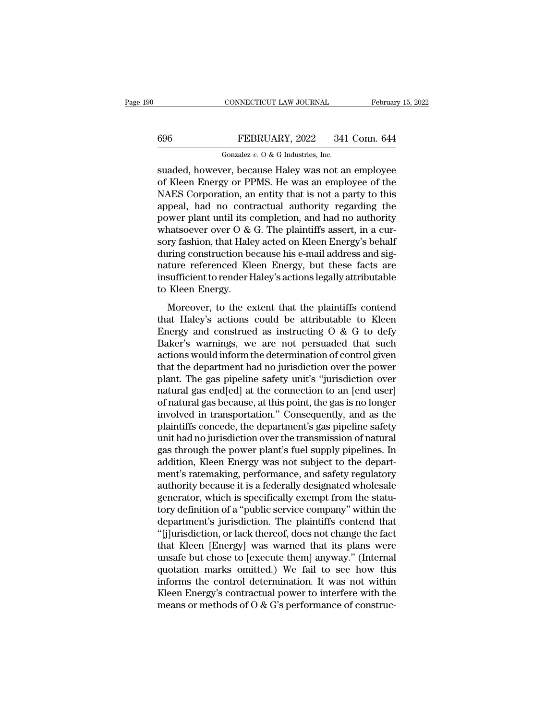## CONNECTICUT LAW JOURNAL February 15, 2022<br>696 FEBRUARY, 2022 341 Conn. 644<br>Gonzalez v. 0 & G Industries, Inc. CONNECTICUT LAW JOURNAL<br>FEBRUARY, 2022 341<br>Gonzalez *v.* O & G Industries, Inc.<br>Fert because Haley was not an

SUARY, 2022 341 Conn. 644<br>
Suaded, however, because Haley was not an employee<br>
Suaded, however, because Haley was not an employee<br>
Suaded, however, because Haley was not an employee<br>
of Kleen Energy or PPMS. He was an empl FEBRUARY, 2022 341 Conn. 644<br>
Gonzalez v. 0 & G Industries, Inc.<br>
suaded, however, because Haley was not an employee<br>
of Kleen Energy or PPMS. He was an employee of the<br>
NAES Corporation, an entity that is not a party to FEBRUARY, 2022 341 Conn. 644<br>
Conzalez v. 0 & G Industries, Inc.<br>
suaded, however, because Haley was not an employee<br>
of Kleen Energy or PPMS. He was an employee of the<br>
NAES Corporation, an entity that is not a party to 696 FEBRUARY, 2022 341 Conn. 644<br>
Gonzalez v. 0 & G Industries, Inc.<br>
suaded, however, because Haley was not an employee<br>
of Kleen Energy or PPMS. He was an employee of the<br>
NAES Corporation, an entity that is not a party For the consistent of the same of the same of the same of Kleen Energy or PPMS. He was an employee of the NAES Corporation, an entity that is not a party to this appeal, had no contractual authority regarding the power pl Gonzalez v. 0 & G maustries, inc.<br>
suaded, however, because Haley was not an employee<br>
of Kleen Energy or PPMS. He was an employee of the<br>
NAES Corporation, an entity that is not a party to this<br>
appeal, had no contractua suaded, however, because Haley was not an employee<br>of Kleen Energy or PPMS. He was an employee of the<br>NAES Corporation, an entity that is not a party to this<br>appeal, had no contractual authority regarding the<br>power plant u of Kleen Energy or PPMS. He was an employee of the<br>NAES Corporation, an entity that is not a party to this<br>appeal, had no contractual authority regarding the<br>power plant until its completion, and had no authority<br>whatsoeve NAES Corporation, an entity that is not a party to this<br>appeal, had no contractual authority regarding the<br>power plant until its completion, and had no authority<br>whatsoever over O & G. The plaintiffs assert, in a cur-<br>sory appeal, had no contractual authority regarding the<br>power plant until its completion, and had no authority<br>whatsoever over O & G. The plaintiffs assert, in a cur-<br>sory fashion, that Haley acted on Kleen Energy's behalf<br>duri power plant until its c<br>whatsoever over O &<br>sory fashion, that Hale<br>during construction be<br>nature referenced Kle<br>insufficient to render H<br>to Kleen Energy.<br>Moreover, to the e: Moreover, to the extent that the plaintiffs contend<br>ming construction because his e-mail address and sig-<br>ture referenced Kleen Energy, but these facts are<br>sufficient to render Haley's actions legally attributable<br>Kleen E Body hashed, and that y deced on these integry b behand<br>during construction because his e-mail address and signature referenced Kleen Energy, but these facts are<br>insufficient to render Haley's actions legally attributable

Figure 1.1 and the set of the method is the state of the state insufficient to render Haley's actions legally attributable<br>to Kleen Energy.<br>Moreover, to the extent that the plaintiffs contend<br>that Haley's actions could be matter referenced meet Energy, but arece races are<br>insufficient to render Haley's actions legally attributable<br>to Kleen Energy.<br>Moreover, to the extent that the plaintiffs contend<br>that Haley's actions could be attributabl and Kleen Energy.<br>
Moreover, to the extent that the plaintiffs contend<br>
that Haley's actions could be attributable to Kleen<br>
Energy and construed as instructing O & G to defy<br>
Baker's warnings, we are not persuaded that s Moreover, to the extent that the plaintiffs contend<br>that Haley's actions could be attributable to Kleen<br>Energy and construed as instructing  $O & G$  to defy<br>Baker's warnings, we are not persuaded that such<br>actions would info Moreover, to the extent that the plaintiffs contend<br>that Haley's actions could be attributable to Kleen<br>Energy and construed as instructing O & G to defy<br>Baker's warnings, we are not persuaded that such<br>actions would info that Haley's actions could be attributable to Kleen<br>Energy and construed as instructing  $O & G$  to defy<br>Baker's warnings, we are not persuaded that such<br>actions would inform the determination of control given<br>that the depar Energy and construed as instructing  $O & G$  to defy<br>Baker's warnings, we are not persuaded that such<br>actions would inform the determination of control given<br>that the department had no jurisdiction over the power<br>plant. Th Baker's warnings, we are not persuaded that such<br>actions would inform the determination of control given<br>that the department had no jurisdiction over the power<br>plant. The gas pipeline safety unit's "jurisdiction over<br>natur actions would inform the determination of control given<br>that the department had no jurisdiction over the power<br>plant. The gas pipeline safety unit's "jurisdiction over<br>natural gas end[ed] at the connection to an [end user] that the department had no jurisdiction over the power<br>plant. The gas pipeline safety unit's "jurisdiction over<br>natural gas end[ed] at the connection to an [end user]<br>of natural gas because, at this point, the gas is no lo plant. The gas pipeline safety unit's "jurisdiction over<br>natural gas end[ed] at the connection to an [end user]<br>of natural gas because, at this point, the gas is no longer<br>involved in transportation." Consequently, and as natural gas end[ed] at the connection to an [end user]<br>of natural gas because, at this point, the gas is no longer<br>involved in transportation." Consequently, and as the<br>plaintiffs concede, the department's gas pipeline saf of natural gas because, at this point, the gas is no longer<br>involved in transportation." Consequently, and as the<br>plaintiffs concede, the department's gas pipeline safety<br>unit had no jurisdiction over the transmission of n involved in transportation." Consequently, and as the plaintiffs concede, the department's gas pipeline safety unit had no jurisdiction over the transmission of natural gas through the power plant's fuel supply pipelines. plaintiffs concede, the department's gas pipeline safety<br>unit had no jurisdiction over the transmission of natural<br>gas through the power plant's fuel supply pipelines. In<br>addition, Kleen Energy was not subject to the depar unit had no jurisdiction over the transmission of natural<br>gas through the power plant's fuel supply pipelines. In<br>addition, Kleen Energy was not subject to the depart-<br>ment's ratemaking, performance, and safety regulatory<br> gas through the power plant's fuel supply pipelines. In<br>addition, Kleen Energy was not subject to the depart-<br>ment's ratemaking, performance, and safety regulatory<br>authority because it is a federally designated wholesale<br>g addition, Kleen Energy was not subject to the department's ratemaking, performance, and safety regulatory authority because it is a federally designated wholesale generator, which is specifically exempt from the statutory ment's ratemaking, performance, and safety regulatory<br>authority because it is a federally designated wholesale<br>generator, which is specifically exempt from the statu-<br>tory definition of a "public service company" within th authority because it is a federally designated wholesale<br>generator, which is specifically exempt from the statu-<br>tory definition of a "public service company" within the<br>department's jurisdiction. The plaintiffs contend th generator, which is specifically exempt from the statu-<br>tory definition of a "public service company" within the<br>department's jurisdiction. The plaintiffs contend that<br>"[j]urisdiction, or lack thereof, does not change the tory definition of a "public service company" within the<br>department's jurisdiction. The plaintiffs contend that<br>"[j]urisdiction, or lack thereof, does not change the fact<br>that Kleen [Energy] was warned that its plans were<br> department's jurisdiction. The plaintiffs contend that "[j]urisdiction, or lack thereof, does not change the fact that Kleen [Energy] was warned that its plans were unsafe but chose to [execute them] anyway." (Internal quo "[j]]urisdiction, or lack thereof, does not change the fact<br>that Kleen [Energy] was warned that its plans were<br>unsafe but chose to [execute them] anyway." (Internal<br>quotation marks omitted.) We fail to see how this<br>inform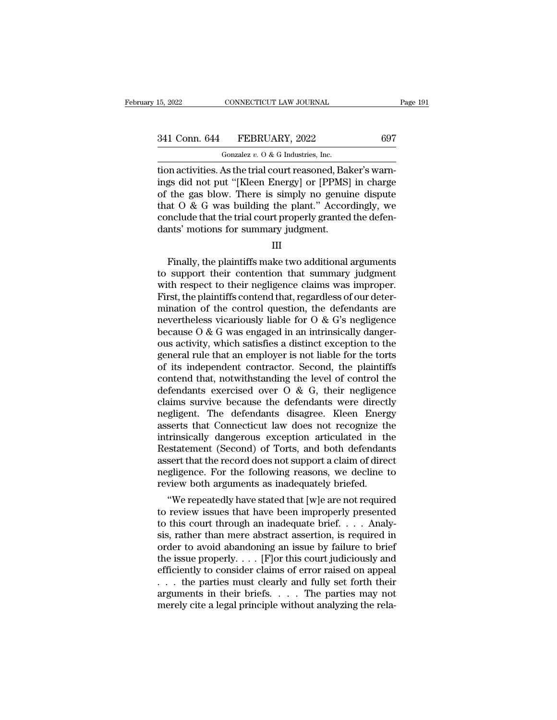15, 2022 CONNECTICUT LAW JOURNAL<br>
341 Conn. 644 FEBRUARY, 2022 697<br>
697<br>
601 Gonzalez v. 0 & G Industries, Inc.<br>
101 activities. As the trial court reasoned, Baker's warn-<br>
ings did not put "[Kleen Energy] or [PPMS] in cha 341 Conn. 644 FEBRUARY, 2022 697<br>
Gonzalez v. 0 & G Industries, Inc.<br>
tion activities. As the trial court reasoned, Baker's warnings did not put "[Kleen Energy] or [PPMS] in charge<br>
of the gas blow. There is simply no gen 341 Conn. 644 FEBRUARY, 2022 697<br>
Gonzalez v. 0 & G Industries, Inc.<br>
tion activities. As the trial court reasoned, Baker's warnings did not put "[Kleen Energy] or [PPMS] in charge<br>
of the gas blow. There is simply no gen 341 Conn. 644 FEBRUARY, 2022 697<br>
Gonzalez v. 0 & G Industries, Inc.<br>
tion activities. As the trial court reasoned, Baker's warnings did not put "[Kleen Energy] or [PPMS] in charge<br>
of the gas blow. There is simply no gen Gonzalez v. 0 & G Industries, Inc.<br>
tion activities. As the trial court reasoned, Baker's warnings did not put "[Kleen Energy] or [PPMS] in charge<br>
of the gas blow. There is simply no genuine dispute<br>
that O & G was build  $\frac{1}{100}$  Gonzalez v. O & G Industries, Inc.<br>tion activities. As the trial court reasoned, Bal<br>ings did not put "[Kleen Energy] or [PPMS]<br>of the gas blow. There is simply no genuin<br>that O & G was building the plant." Ac the gas blow. There is simply no genuine dispute<br>at  $0 < 0$  was building the plant." Accordingly, we<br>nclude that the trial court properly granted the defen-<br>nts' motions for summary judgment.<br>III<br>Finally, the plaintiffs

III

that  $\overline{O}$  &  $\overline{G}$  was building the plant." Accordingly, we conclude that the trial court properly granted the defendants' motions for summary judgment.<br>  $\overline{III}$ <br>
Finally, the plaintiffs make two additional argumen conclude that the trial court properly granted the defen-<br>dants' motions for summary judgment.<br>III<br>Finally, the plaintiffs make two additional arguments<br>to support their contention that summary judgment<br>with respect to the dants' motions for summary judgment.<br>
III<br>
Finally, the plaintiffs make two additional arguments<br>
to support their contention that summary judgment<br>
with respect to their negligence claims was improper.<br>
First, the plaint Finally, the plaintiffs make two additional arguments<br>to support their contention that summary judgment<br>with respect to their negligence claims was improper.<br>First, the plaintiffs contend that, regardless of our deter-<br>mi Finally, the plaintiffs make two additional arguments<br>to support their contention that summary judgment<br>with respect to their negligence claims was improper.<br>First, the plaintiffs contend that, regardless of our deter-<br>mi Finally, the plaintiffs make two additional arguments<br>to support their contention that summary judgment<br>with respect to their negligence claims was improper.<br>First, the plaintiffs contend that, regardless of our deter-<br>mi to support their contention that summary judgment<br>with respect to their negligence claims was improper.<br>First, the plaintiffs contend that, regardless of our deter-<br>mination of the control question, the defendants are<br>nev with respect to their negligence claims was improper.<br>First, the plaintiffs contend that, regardless of our determination of the control question, the defendants are<br>nevertheless vicariously liable for  $O & G$ 's negligence<br> First, the plaintiffs contend that, regardless of our deter-<br>mination of the control question, the defendants are<br>nevertheless vicariously liable for O & G's negligence<br>because O & G was engaged in an intrinsically danger mination of the control question, the defendants are<br>nevertheless vicariously liable for  $O \& G$ 's negligence<br>because  $O \& G$  was engaged in an intrinsically danger-<br>ous activity, which satisfies a distinct exception to the nevertheless vicariously liable for  $O$  &  $G$ 's negligence<br>because  $O$  &  $G$  was engaged in an intrinsically danger-<br>ous activity, which satisfies a distinct exception to the<br>general rule that an employer is not liable fo because O & G was engaged in an intrinsically danger-<br>ous activity, which satisfies a distinct exception to the<br>general rule that an employer is not liable for the torts<br>of its independent contractor. Second, the plaintif ous activity, which satisfies a distinct exception to the<br>general rule that an employer is not liable for the torts<br>of its independent contractor. Second, the plaintiffs<br>contend that, notwithstanding the level of control t general rule that an employer is not liable for the torts<br>of its independent contractor. Second, the plaintiffs<br>contend that, notwithstanding the level of control the<br>defendants exercised over O & G, their negligence<br>claim of its independent contractor. Second, the plaintiffs<br>contend that, notwithstanding the level of control the<br>defendants exercised over  $O & G$ , their negligence<br>claims survive because the defendants were directly<br>negligent. contend that, notwithstanding the level of control the<br>defendants exercised over O & G, their negligence<br>claims survive because the defendants were directly<br>negligent. The defendants disagree. Kleen Energy<br>asserts that Con defendants exercised over O & G, their negligence<br>claims survive because the defendants were directly<br>negligent. The defendants disagree. Kleen Energy<br>asserts that Connecticut law does not recognize the<br>intrinsically dange claims survive because the defendants were directly<br>negligent. The defendants disagree. Kleen Energy<br>asserts that Connecticut law does not recognize the<br>intrinsically dangerous exception articulated in the<br>Restatement (Sec regligent. The defendants disagree. Kleen Energ<br>asserts that Connecticut law does not recognize th<br>intrinsically dangerous exception articulated in th<br>Restatement (Second) of Torts, and both defendant<br>assert that the recor serts that Connecticut law does not recognize the<br>trinsically dangerous exception articulated in the<br>statement (Second) of Torts, and both defendants<br>sert that the record does not support a claim of direct<br>gligence. For th Intrinsically dangerous exception articulated in the<br>Restatement (Second) of Torts, and both defendants<br>assert that the record does not support a claim of direct<br>negligence. For the following reasons, we decline to<br>review

Restatement (Second) or Torts, and both defendants<br>assert that the record does not support a claim of direct<br>negligence. For the following reasons, we decline to<br>review both arguments as inadequately briefed.<br>"We repeatedl assert that the record does not support a claim of direct<br>negligence. For the following reasons, we decline to<br>review both arguments as inadequately briefed.<br>"We repeatedly have stated that [w]e are not required<br>to review negingence. For the following reasons, we decline to<br>review both arguments as inadequately briefed.<br>"We repeatedly have stated that [w]e are not required<br>to review issues that have been improperly presented<br>to this court t review both arguments as madequately briefed.<br>
"We repeatedly have stated that [w]e are not required<br>
to review issues that have been improperly presented<br>
to this court through an inadequate brief. . . . Analy-<br>
sis, rath "We repeatedly have stated that [w]e are not required<br>to review issues that have been improperly presented<br>to this court through an inadequate brief.... Analy-<br>sis, rather than mere abstract assertion, is required in<br>orde to review issues that have been improperly presented<br>to this court through an inadequate brief. . . . Analy-<br>sis, rather than mere abstract assertion, is required in<br>order to avoid abandoning an issue by failure to brief<br> to this court through an inadequate brief. . . . Analysis, rather than mere abstract assertion, is required in order to avoid abandoning an issue by failure to brief the issue properly. . . . [F]or this court judiciously sis, rather than mere abstract assertion, is required in order to avoid abandoning an issue by failure to brief the issue properly. . . . [F] or this court judiciously and efficiently to consider claims of error raised on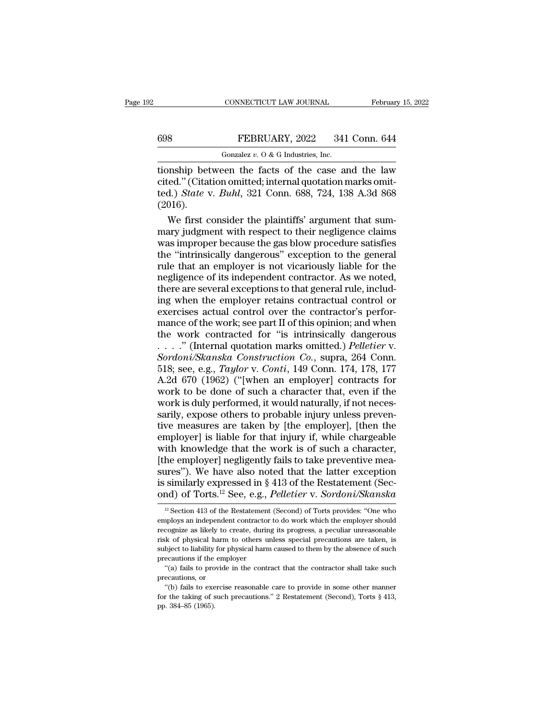CONNECTICUT LAW JOURNAL February 15, 2022<br>
FEBRUARY, 2022 341 Conn. 644<br>
Gonzalez v. 0 & G Industries, Inc.<br>
tionship between the facts of the case and the law<br>
cited." (Citation omitted; internal quotation marks omit-<br>
t 698 FEBRUARY, 2022 341 Conn. 644<br>
Gonzalez v. 0 & G Industries, Inc.<br>
tionship between the facts of the case and the law<br>
cited.'' (Citation omitted; internal quotation marks omit-<br>
ted.) *State* v. *Buhl*, 321 Conn. 688, FEBRUARY, 2022 341 Conn. 644<br>
Gonzalez v. 0 & G Industries, Inc.<br>
tionship between the facts of the case and the law<br>
cited.'' (Citation omitted; internal quotation marks omit-<br>
ted.) *State* v. *Buhl*, 321 Conn. 688, 724, (2016). Gonzalez v.  $0 \& G$  Industries, Inc.<br>
Subsetively between the facts of the case and the law<br>
ed." (Citation omitted; internal quotation marks omit-<br>
d.) *State* v. *Buhl*, 321 Conn. 688, 724, 138 A.3d 868<br>
016).<br>
We firs mark is the case and the law<br>cited." (Citation omitted; internal quotation marks omit-<br>ted.) *State v. Buhl*, 321 Conn. 688, 724, 138 A.3d 868<br>(2016).<br>We first consider the plaintiffs' argument that sum-<br>mary judgment wit

tionship between the facts of the case and the law<br>cited." (Citation omitted; internal quotation marks omit-<br>ted.) *State* v. *Buhl*, 321 Conn. 688, 724, 138 A.3d 868<br>(2016).<br>We first consider the plaintiffs' argument tha cited." (Citation omitted; internal quotation marks omit-<br>ted.) *State* v. *Buhl*, 321 Conn. 688, 724, 138 A.3d 868<br>(2016).<br>We first consider the plaintiffs' argument that sum-<br>mary judgment with respect to their negligenc ted.) *State v. Buhl*, 321 Conn. 688, 724, 138 A.3d 868<br>(2016).<br>We first consider the plaintiffs' argument that sum-<br>mary judgment with respect to their negligence claims<br>was improper because the gas blow procedure satisfi (2016).<br>We first consider the plaintiffs' argument that summary judgment with respect to their negligence claims<br>was improper because the gas blow procedure satisfies<br>the "intrinsically dangerous" exception to the general<br> We first consider the plaintiffs' argument that summary judgment with respect to their negligence claims<br>was improper because the gas blow procedure satisfies<br>the "intrinsically dangerous" exception to the general<br>rule tha mary judgment with respect to their negligence claims<br>was improper because the gas blow procedure satisfies<br>the "intrinsically dangerous" exception to the general<br>rule that an employer is not vicariously liable for the<br>neg was improper because the gas blow procedure satisfies<br>the "intrinsically dangerous" exception to the general<br>rule that an employer is not vicariously liable for the<br>negligence of its independent contractor. As we noted,<br>th the "intrinsically dangerous" exception to the general<br>rule that an employer is not vicariously liable for the<br>negligence of its independent contractor. As we noted,<br>there are several exceptions to that general rule, inclu rule that an employer is not vicariously liable for the<br>negligence of its independent contractor. As we noted,<br>there are several exceptions to that general rule, includ-<br>ing when the employer retains contractual control o negligence of its independent contractor. As we noted,<br>there are several exceptions to that general rule, includ-<br>ing when the employer retains contractual control or<br>exercises actual control over the contractor's perfor-<br> there are several exceptions to that general rule, includ-<br>ing when the employer retains contractual control or<br>exercises actual control over the contractor's perfor-<br>mance of the work; see part II of this opinion; and whe ing when the employer retains contractual control or<br>exercises actual control over the contractor's perfor-<br>mance of the work; see part II of this opinion; and when<br>the work contracted for "is intrinsically dangerous<br>...." exercises actual control over the contractor's performance of the work; see part II of this opinion; and when<br>the work contracted for "is intrinsically dangerous<br> $\ldots$ ." (Internal quotation marks omitted.) *Pelletier* v.<br> mance of the work; see part II of this opinion; and when<br>the work contracted for "is intrinsically dangerous<br>...." (Internal quotation marks omitted.) *Pelletier v.*<br>Sordoni/Skanska Construction Co., supra, 264 Conn.<br>518; the work contracted for "is intrinsically dangerous<br>  $\ldots$ ." (Internal quotation marks omitted.) *Pelletier* v.<br> *Sordoni/Skanska Construction Co.*, supra, 264 Conn.<br>
518; see, e.g., *Taylor* v. *Conti*, 149 Conn. 174, 17 ...." (Internal quotation marks omitted.) *Pelletier* v.<br>Sordoni/Skanska Construction Co., supra, 264 Conn.<br>518; see, e.g., *Taylor* v. Conti, 149 Conn. 174, 178, 177<br>A.2d 670 (1962) ("[when an employer] contracts for<br>wor Sordoni/Skanska Construction Co., supra, 264 Conn.<br>518; see, e.g., *Taylor* v. Conti, 149 Conn. 174, 178, 177<br>A.2d 670 (1962) ("[when an employer] contracts for<br>work to be done of such a character that, even if the<br>work is 518; see, e.g., *Taylor* v. *Conti*, 149 Conn. 174, 178, 177<br>A.2d 670 (1962) ("[when an employer] contracts for<br>work to be done of such a character that, even if the<br>work is duly performed, it would naturally, if not nece A.2d 670 (1962) ("[when an employer] contracts for<br>work to be done of such a character that, even if the<br>work is duly performed, it would naturally, if not neces-<br>sarily, expose others to probable injury unless preven-<br>ti work to be done of such a character that, even if the<br>work is duly performed, it would naturally, if not neces-<br>sarily, expose others to probable injury unless preven-<br>tive measures are taken by [the employer], [then the<br>e work is duly performed, it would naturally, if not necessarily, expose others to probable injury unless preventive measures are taken by [the employer], [then the employer] is liable for that injury if, while chargeable w sarily, expose others to probable injury unless preventive measures are taken by [the employer], [then the employer] is liable for that injury if, while chargeable with knowledge that the work is of such a character, [the tive measures are taken by [the employer], [then the<br>employer] is liable for that injury if, while chargeable<br>with knowledge that the work is of such a character,<br>[the employer] negligently fails to take preventive mea-<br>su he employer] negligently fails to take preventive mea-<br>ires"). We have also noted that the latter exception<br>similarly expressed in § 413 of the Restatement (Second)<br>of Torts.<sup>12</sup> See, e.g., *Pelletier* v. *Sordoni/Skanska* sures"). We have also noted that the latter exception<br>is similarly expressed in § 413 of the Restatement (Sec-<br>ond) of Torts.<sup>12</sup> See, e.g., *Pelletier* v. *Sordoni/Skanska*<br><sup>12</sup> Section 413 of the Restatement (Second) of

is similarly expressed in § 413 of the Restatement (Second) of Torts.<sup>12</sup> See, e.g., *Pelletier* v. *Sordoni/Skanska*<br><sup>12</sup> Section 413 of the Restatement (Second) of Torts provides: "One who employs an independent contrac ond) of Torts.<sup>12</sup> See, e.g., *Pelletier* v. *Sordoni/Skanska*<br>
<sup>12</sup> Section 413 of the Restatement (Second) of Torts provides: "One who<br>
employs an independent contractor to do work which the employer should ord for lines. See, e.g., *Pettetter V. Sordontuskanska*<br>
<sup>12</sup> Section 413 of the Restatement (Second) of Torts provides: "One who<br>
employs an independent contractor to do work which the employer should<br>
recognize as like <sup>12</sup> Section 413 of the Restatement<br>employs an independent contractor<br>recognize as likely to create, during<br>risk of physical harm to others ur<br>subject to liability for physical harm<br>precautions if the employer<br>"(a) fails ""(a) fails to provide in the contractor to do work which the employer should cognize as likely to create, during its progress, a peculiar unreasonable k of physical harm to others unless special precautions are taken, is recognize as likely to create, during its progress, a peculiar unreasonable<br>risk of physical harm to others unless special precautions are taken, is<br>subject to liability for physical harm caused to them by the absence of risk of physical harm to others unless special precautions are taken, is subject to liability for physical harm caused to them by the absence of such precautions if the employer "(a) fails to provide in the contract that subject to liability for physical harm caused to them by the absence of such precautions if the employer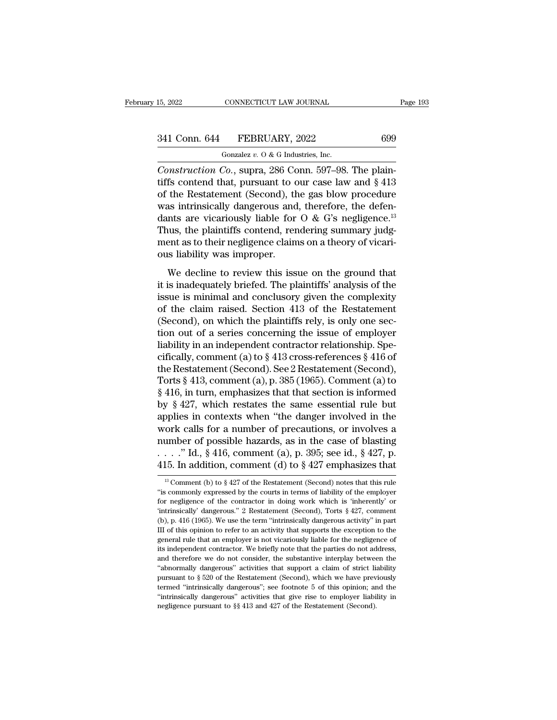| 15, 2022      | CONNECTICUT LAW JOURNAL              | Page 193 |
|---------------|--------------------------------------|----------|
| 341 Conn. 644 | FEBRUARY, 2022                       | 699      |
|               | Gonzalez $v.$ O & G Industries, Inc. |          |

15, 2022 CONNECTICUT LAW JOURNAL<br>
341 Conn. 644 FEBRUARY, 2022 699<br>
Gonzalez *v.* O & G Industries, Inc.<br>
Construction Co., supra, 286 Conn. 597–98. The plain-<sup>15, 2022</sup> CONNECTICUT LAW JOURNAL<br>
<sup>Gonzalez v. 0 & G Industries, Inc.<br> *Construction Co.*, supra, 286 Conn. 597–98. The plain-<br> *Construction Co.*, supra, 286 Conn. 597–98. The plain-<br>
of the Postatement (Second), the ga</sup> 341 Conn. 644 FEBRUARY, 2022 699<br>
Gonzalez v. 0 & G Industries, Inc.<br>
Construction Co., supra, 286 Conn. 597–98. The plain-<br>
tiffs contend that, pursuant to our case law and § 413<br>
of the Restatement (Second), the gas blo 341 Conn. 644 FEBRUARY, 2022 699<br>
Conzalez v. 0 & G Industries, Inc.<br>
Construction Co., supra, 286 Conn. 597–98. The plain-<br>
tiffs contend that, pursuant to our case law and § 413<br>
of the Restatement (Second), the gas blo 341 Conn. 644 FEBRUARY, 2022 699<br>
Gonzalez v. 0 & G Industries, Inc.<br>
Construction Co., supra, 286 Conn. 597–98. The plain-<br>
tiffs contend that, pursuant to our case law and § 413<br>
of the Restatement (Second), the gas blo Gonzalez v. 0 & G Industries, Inc.<br>
Construction Co., supra, 286 Conn. 597–98. The plain-<br>
tiffs contend that, pursuant to our case law and § 413<br>
of the Restatement (Second), the gas blow procedure<br>
was intrinsically dan Construction Co., supra, 286 Conn. 597–98. The plain-<br>tiffs contend that, pursuant to our case law and § 413<br>of the Restatement (Second), the gas blow procedure<br>was intrinsically dangerous and, therefore, the defen-<br>dants Construction Co., supra, 286 Conn. 597–98. The plaintiffs contend that, pursuant to our case law and  $\S$  413 of the Restatement (Second), the gas blow procedure was intrinsically dangerous and, therefore, the defendants a tiffs contend that, pursuant to c<br>of the Restatement (Second), th<br>was intrinsically dangerous and<br>dants are vicariously liable for<br>Thus, the plaintiffs contend, ren<br>ment as to their negligence clain<br>ous liability was impro as intrinsically dangerous and, therefore, the defen-<br>hts are vicariously liable for  $O \& G$ 's negligence.<sup>13</sup><br>nus, the plaintiffs contend, rendering summary judg-<br>ent as to their negligence claims on a theory of vicari-<br>i Final and sate of the plaintiffs contend, rendering summary judgment as to their negligence claims on a theory of vicarious liability was improper.<br>We decline to review this issue on the ground that it is inadequately bri

Thus, the plaintiffs contend, rendering summary judgment as to their negligence claims on a theory of vicarious liability was improper.<br>We decline to review this issue on the ground that it is inadequately briefed. The pl Friday are plantinus contently rendering summary judges ment as to their negligence claims on a theory of vicari-<br>ous liability was improper.<br>We decline to review this issue on the ground that<br>it is inadequately briefed. T (Second), on which the plaintiffs rely and that<br>it is inadequately briefed. The plaintiffs' analysis of the<br>issue is minimal and conclusory given the complexity<br>of the claim raised. Section 413 of the Restatement<br>(Second), We decline to review this issue on the ground that<br>it is inadequately briefed. The plaintiffs' analysis of the<br>issue is minimal and conclusory given the complexity<br>of the claim raised. Section 413 of the Restatement<br>(Seco We decline to review this issue on the ground that<br>it is inadequately briefed. The plaintiffs' analysis of the<br>issue is minimal and conclusory given the complexity<br>of the claim raised. Section 413 of the Restatement<br>(Seco it is inadequately briefed. The plaintiffs' analysis of the<br>issue is minimal and conclusory given the complexity<br>of the claim raised. Section 413 of the Restatement<br>(Second), on which the plaintiffs rely, is only one secissue is minimal and conclusory given the complexity<br>of the claim raised. Section 413 of the Restatement<br>(Second), on which the plaintiffs rely, is only one sec-<br>tion out of a series concerning the issue of employer<br>liabi of the claim raised. Section 413 of the Restatement<br>(Second), on which the plaintiffs rely, is only one sec-<br>tion out of a series concerning the issue of employer<br>liability in an independent contractor relationship. Spe-<br> (Second), on which the plaintiffs rely, is only one section out of a series concerning the issue of employer liability in an independent contractor relationship. Specifically, comment (a) to  $\S 413$  cross-references  $\S 41$ tion out of a series concerning the issue of employer<br>liability in an independent contractor relationship. Spe-<br>cifically, comment (a) to  $\S$  413 cross-references  $\S$  416 of<br>the Restatement (Second). See 2 Restatement (Se liability in an independent contractor relationship. Specifically, comment (a) to  $\S$  413 cross-references  $\S$  416 of<br>the Restatement (Second). See 2 Restatement (Second),<br>Torts  $\S$  413, comment (a), p. 385 (1965). Commen cifically, comment (a) to § 413 cross-references § 416 of<br>the Restatement (Second). See 2 Restatement (Second),<br>Torts § 413, comment (a), p. 385 (1965). Comment (a) to<br>§ 416, in turn, emphasizes that that section is infor the Restatement (Second). See 2 Restatement (Second),<br>Torts § 413, comment (a), p. 385 (1965). Comment (a) to<br>§ 416, in turn, emphasizes that that section is informed<br>by § 427, which restates the same essential rule but<br>a Torts § 413, comment (a), p. 385 (1965). Comment (a) to § 416, in turn, emphasizes that that section is informed by § 427, which restates the same essential rule but applies in contexts when "the danger involved in the wo § 416, in turn, emphasizes that that section is informed<br>by § 427, which restates the same essential rule but<br>applies in contexts when "the danger involved in the<br>work calls for a number of precautions, or involves a<br>numb For Calls for a number of precautions, or involves a umber of possible hazards, as in the case of blasting . . . " Id., § 416, comment (a), p. 395; see id., § 427, p. 15. In addition, comment (d) to § 427 emphasizes that number of possible hazards, as in the case of blasting<br>  $\ldots$  "'Id., § 416, comment (a), p. 395; see id., § 427, p.<br>
415. In addition, comment (d) to § 427 emphasizes that<br>
<sup>13</sup> Comment (b) to § 427 of the Restatement (Se

For negligence of the contractor in doing work which is 'inherently' or 'intrinsically' dangerous." 2 Restatement (Second) notes that this rule "is commonly expressed by the courts in terms of liability of the employer fo 415. In addition, comment (d) to  $\S$  427 emphasizes that<br>
<sup>13</sup> Comment (b) to  $\S$  427 of the Restatement (Second) notes that this rule<br>
"is commonly expressed by the courts in terms of liability of the employer<br>
for negli <sup>116</sup> (1965). In addition, Continent (d) to  $S$  427 emphasizes that  $\frac{1}{18}$  Comment (b) to  $\S$  427 of the Restatement (Second) notes that this rule "is commonly expressed by the courts in terms of liability of the empl <sup>13</sup> Comment (b) to  $\S$  427 of the Restatement (Second) notes that this rule "is commonly expressed by the courts in terms of liability of the employer for negligence of the contractor in doing work which is "inherently" "is commonly expressed by the courts in terms of liability of the employer for negligence of the contractor in doing work which is "inherently" or "intrinsically" dangerous." 2 Restatement (Second), Torts  $\S$  427, comment for negligence of the contractor in doing work which is 'inherently' or 'intrinsically' dangerous." 2 Restatement (Second), Torts  $\S$  427, comment (b), p. 416 (1965). We use the term "intrinsically dangerous activity" in For negative during the substantiant (Second), Torts § 427, comment (b), p. 416 (1965). We use the term "intrinsically dangerous activity" in part III of this opinion to refer to an activity that supports the exception to (b), p. 416 (1965). We use the term "intrinsically dangerous activity" in part III of this opinion to refer to an activity that supports the exception to the general rule that an employer is not vicariously liable for the III of this opinion to refer to an activity that supports the exception to the general rule that an employer is not vicariously liable for the negligence of its independent contractor. We briefly note that the parties do the example intrinsically dangerous''; see footnote 5 of this opinion; and therefore we do not consider, the substantive interplay between the "abnormally dangerous" activities that support a claim of strict liability purs Existinal example intrinsically note that the parties do not address, and therefore we do not consider, the substantive interplay between the "abnormally dangerous" activities that support a claim of strict liability purs its independent contractor. We briefly note that the parties do not address, and therefore we do not consider, the substantive interplay between the "abnormally dangerous" activities that support a claim of strict liabili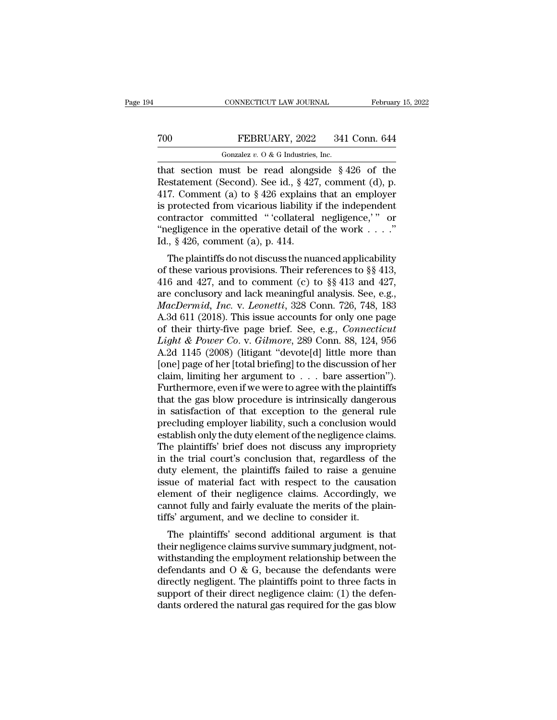TRESER CONNECTICUT LAW JOURNAL February 15, 2022<br>
TREBRUARY, 2022 341 Conn. 644<br>
Gonzalez v. 0 & G Industries, Inc.<br>
That section must be read alongside § 426 of the<br>
Restatement (Second). See id., § 427, comment (d), p.<br> The Same Technomics of the Secondary Consistency of the Gonzalez v. 0 & G Industries, Inc.<br>
That section must be read alongside § 426 of the Restatement (Second). See id., § 427, comment (d), p. 417. Comment (a) to § 426 700 FEBRUARY, 2022 341 Conn. 644<br>
Gonzalez v. 0 & G Industries, Inc.<br>
that section must be read alongside § 426 of the<br>
Restatement (Second). See id., § 427, comment (d), p.<br>
417. Comment (a) to § 426 explains that an emp To really a set of the consistency of the consistency of the Restatement (Second). See id., § 427, comment (d), p. 417. Comment (a) to § 426 explains that an employer is protected from vicarious liability if the independe Gonzalez v. 0 & G Industries, Inc.<br>
that section must be read alongside § 426 of the<br>
Restatement (Second). See id., § 427, comment (d), p.<br>
417. Comment (a) to § 426 explains that an employer<br>
is protected from vicarious Gonzalez v. 0 & G Industries, Inc.<br>
that section must be read alongside § 426 of the<br>
Restatement (Second). See id., § 427, comment (d), p.<br>
417. Comment (a) to § 426 explains that an employer<br>
is protected from vicarious that section must be read alongs<br>Restatement (Second). See id., § 427<br>417. Comment (a) to § 426 explains<br>is protected from vicarious liability<br>contractor committed "'collateral<br>"negligence in the operative detail o<br>Id., § The plaintiffs do not discuss the nuanced applicability<br>free values of the method of the independent<br>intractor committed "'collateral negligence,'" or<br>egligence in the operative detail of the work . . . ."<br> $\frac{1}{2}$ ,  $\frac{$ 417. Comment (a) to §420 exprains that an employer<br>is protected from vicarious liability if the independent<br>contractor committed "'collateral negligence,'" or<br>"negligence in the operative detail of the work . . . ."<br>Id.,

is protected nont vicarious habiny in the independent<br>contractor committed "'collateral negligence,'" or<br>"hegligence in the operative detail of the work . . . ."<br>Id., § 426, comment (a), p. 414.<br>The plaintiffs do not disc Contractor Committed Conateral negigence, or<br>
"negligence in the operative detail of the work . . . ."<br>
Id., § 426, comment (a), p. 414.<br>
The plaintiffs do not discuss the nuanced applicability<br>
of these various provision *MacDermid, Inc.* v. *Leonetti,* 328 Conn. 726, 748, 183<br>*MacDermid, Inc.* v. *Leonettical* 328 Connect *Leonettical* 33, 416 and 427, and to comment (c) to §§ 413 and 427, are conclusory and lack meaningful analysis. See, 1d.,  $\frac{1}{3}$  420, continent (*a*), p. 414.<br>
The plaintiffs do not discuss the nuanced applicability<br>
of these various provisions. Their references to §§ 413,<br>
416 and 427, and to comment (c) to §§ 413 and 427,<br>
are conc The plaintiffs do not discuss the nuanced applicability<br>of these various provisions. Their references to §§ 413,<br>416 and 427, and to comment (c) to §§ 413 and 427,<br>are conclusory and lack meaningful analysis. See, e.g.,<br>*M* of these various provisions. Their references to §§ 413,<br>416 and 427, and to comment (c) to §§ 413 and 427,<br>are conclusory and lack meaningful analysis. See, e.g.,<br>*MacDermid, Inc.* v. *Leonetti*, 328 Conn. 726, 748, 183<br>A 416 and 427, and to comment (c) to §§ 413 and 427,<br>are conclusory and lack meaningful analysis. See, e.g.,<br>*MacDermid, Inc.* v. *Leonetti*, 328 Conn. 726, 748, 183<br>A.3d 611 (2018). This issue accounts for only one page<br>of are conclusory and lack meaningful analysis. See, e.g.,<br> *MacDermid, Inc.* v. *Leonetti*, 328 Conn. 726, 748, 183<br>
A.3d 611 (2018). This issue accounts for only one page<br>
of their thirty-five page brief. See, e.g., *Conne* MacDermid, Inc. v. Leonetti, 328 Conn. 726, 748, 183<br>A.3d 611 (2018). This issue accounts for only one page<br>of their thirty-five page brief. See, e.g., *Connecticut*<br>Light & Power Co. v. Gilmore, 289 Conn. 88, 124, 956<br>A.2 A.3d 611 (2018). This issue accounts for only one page<br>of their thirty-five page brief. See, e.g., *Connecticut*<br>Light & Power Co. v. Gilmore, 289 Conn. 88, 124, 956<br>A.2d 1145 (2008) (litigant "devote[d] little more than<br> of their thirty-five page brief. See, e.g., *Connecticut*<br> *Light & Power Co.* v. *Gilmore*, 289 Conn. 88, 124, 956<br>
A.2d 1145 (2008) (litigant "devote[d] little more than<br>
[one] page of her [total briefing] to the discus Light & Power Co. v. Gilmore, 289 Conn. 88, 124, 956<br>A.2d 1145 (2008) (litigant "devote[d] little more than<br>[one] page of her [total briefing] to the discussion of her<br>claim, limiting her argument to  $\ldots$  bare assertion" A.2d 1145 (2008) (litigant "devote[d] little more than<br>[one] page of her [total briefing] to the discussion of her<br>claim, limiting her argument to  $\ldots$  bare assertion").<br>Furthermore, even if we were to agree with the pla [one] page of her [total briefing] to the discussion of her claim, limiting her argument to  $\ldots$  bare assertion").<br>Furthermore, even if we were to agree with the plaintiffs that the gas blow procedure is intrinsically da claim, limiting her argument to  $\ldots$  bare assertion").<br>Furthermore, even if we were to agree with the plaintiffs<br>that the gas blow procedure is intrinsically dangerous<br>in satisfaction of that exception to the general rul Furthermore, even if we were to agree with the plaintiffs<br>that the gas blow procedure is intrinsically dangerous<br>in satisfaction of that exception to the general rule<br>precluding employer liability, such a conclusion would<br> that the gas blow procedure is intrinsically dangerous<br>in satisfaction of that exception to the general rule<br>precluding employer liability, such a conclusion would<br>establish only the duty element of the negligence claims.<br> in satisfaction of that exception to the general rule<br>precluding employer liability, such a conclusion would<br>establish only the duty element of the negligence claims.<br>The plaintiffs' brief does not discuss any impropriety<br> precluding employer liability, such a conclusion would<br>establish only the duty element of the negligence claims.<br>The plaintiffs' brief does not discuss any impropriety<br>in the trial court's conclusion that, regardless of th establish only the duty element of the negligence claims.<br>The plaintiffs' brief does not discuss any impropriety<br>in the trial court's conclusion that, regardless of the<br>duty element, the plaintiffs failed to raise a genuin The plaintiffs' brief does not discuss any impropri<br>in the trial court's conclusion that, regardless of<br>duty element, the plaintiffs failed to raise a genu<br>issue of material fact with respect to the causat<br>element of their In the trial court's conclusion that, regardless of the<br>ty element, the plaintiffs failed to raise a genuine<br>sue of material fact with respect to the causation<br>ement of their negligence claims. Accordingly, we<br>mnot fully a the painting issue of material fact with respect to the causation<br>element of their negligence claims. Accordingly, we<br>cannot fully and fairly evaluate the merits of the plain-<br>tiffs' argument, and we decline to consider i

issue of inaterial fact with respect to the causation<br>element of their negligence claims. Accordingly, we<br>cannot fully and fairly evaluate the merits of the plain-<br>tiffs' argument, and we decline to consider it.<br>The plaint element of their hegigence claims. Accordingly, we<br>cannot fully and fairly evaluate the merits of the plain-<br>tiffs' argument, and we decline to consider it.<br>The plaintiffs' second additional argument is that<br>their negligen calliffs' argument, and we decline to consider it.<br>The plaintiffs' second additional argument is that<br>their negligence claims survive summary judgment, not-<br>withstanding the employment relationship between the<br>defendants a The plaintiffs' second additional argument is that<br>their negligence claims survive summary judgment, not-<br>withstanding the employment relationship between the<br>defendants and  $0 & G$ , because the defendants were<br>directly neg The plaintiffs' second additional argument is that<br>their negligence claims survive summary judgment, not-<br>withstanding the employment relationship between the<br>defendants and  $O & G$ , because the defendants were<br>directly neg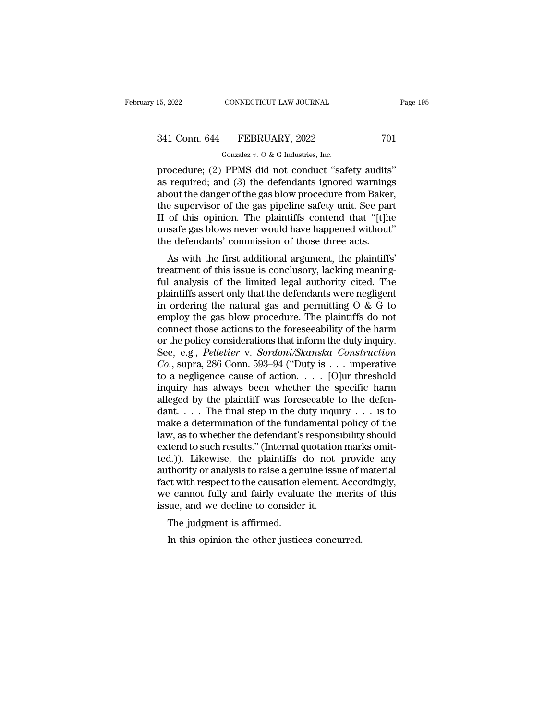| 15, 2022 | CONNECTICUT LAW JOURNAL              | Page 195 |
|----------|--------------------------------------|----------|
|          | 341 Conn. 644 FEBRUARY, 2022         | 701      |
|          | Gonzalez $v.$ O & G Industries, Inc. |          |

15, 2022 CONNECTICUT LAW JOURNAL<br>
341 Conn. 644 FEBRUARY, 2022 701<br>
Gonzalez *v.* O & G Industries, Inc.<br>
procedure; (2) PPMS did not conduct "safety audits" 15, 2022 CONNECTICUT LAW JOURNAL Page<br>
341 Conn. 644 FEBRUARY, 2022 701<br>
Gonzalez v. 0 & G Industries, Inc.<br>
procedure; (2) PPMS did not conduct "safety audits"<br>
as required; and (3) the defendants ignored warnings<br>
about 341 Conn. 644 FEBRUARY, 2022 701<br>
Gonzalez v. 0 & G Industries, Inc.<br>
procedure; (2) PPMS did not conduct "safety audits"<br>
as required; and (3) the defendants ignored warnings<br>
about the danger of the gas blow procedure f 341 Conn. 644 FEBRUARY, 2022 701<br>
Gonzalez v. 0 & G Industries, Inc.<br>
procedure; (2) PPMS did not conduct "safety audits"<br>
as required; and (3) the defendants ignored warnings<br>
about the danger of the gas blow procedure f 341 Conn. 644 FEBRUARY, 2022 701<br>
Gonzalez v. 0 & G Industries, Inc.<br>
procedure; (2) PPMS did not conduct "safety audits"<br>
as required; and (3) the defendants ignored warnings<br>
about the danger of the gas blow procedure f Gonzalez v. O & G Industries, Inc.<br>
procedure; (2) PPMS did not conduct "safety audits"<br>
as required; and (3) the defendants ignored warnings<br>
about the danger of the gas blow procedure from Baker,<br>
the supervisor of the Gonzalez v. O & G Industries, Inc.<br>procedure; (2) PPMS did not conduct "safety audits"<br>as required; and (3) the defendants ignored warnings<br>about the danger of the gas blow procedure from Baker,<br>the supervisor of the gas procedure; (2) PPMS did not conduct "safety audits<br>as required; and (3) the defendants ignored warning<br>about the danger of the gas blow procedure from Baker<br>the supervisor of the gas pipeline safety unit. See par<br>II of thi required, and (3) the defendants ignored warnings<br>out the danger of the gas blow procedure from Baker,<br>e supervisor of the gas pipeline safety unit. See part<br>of this opinion. The plaintiffs contend that "[t]he<br>safe gas blo about the danger of the gas blow procedule from Baker,<br>the supervisor of the gas pipeline safety unit. See part<br>II of this opinion. The plaintiffs contend that "[t]he<br>unsafe gas blows never would have happened without"<br>the

If of this opinion. The plaintiffs contend that "[t]he<br>unsafe gas blows never would have happened without"<br>the defendants' commission of those three acts.<br>As with the first additional argument, the plaintiffs'<br>treatment o If of this opinon. The plaintiffs contend that [t]<br>the defendants' commission of those three acts.<br>As with the first additional argument, the plaintiffs'<br>treatment of this issue is conclusory, lacking meaning-<br>ful analysi in order in order with the defendants' commission of those three acts.<br>As with the first additional argument, the plaintiffs'<br>treatment of this issue is conclusory, lacking meaning-<br>ful analysis of the limited legal autho As with the first additional argument, the plaintiffs'<br>treatment of this issue is conclusory, lacking meaning-<br>ful analysis of the limited legal authority cited. The<br>plaintiffs assert only that the defendants were neglige As with the first additional argument, the plaintiffs'<br>treatment of this issue is conclusory, lacking meaning-<br>ful analysis of the limited legal authority cited. The<br>plaintiffs assert only that the defendants were neglige treatment of this issue is conclusory, lacking meaning-<br>ful analysis of the limited legal authority cited. The<br>plaintiffs assert only that the defendants were negligent<br>in ordering the natural gas and permitting  $O & G$  to<br> ful analysis of the limited legal authority cited. The<br>plaintiffs assert only that the defendants were negligent<br>in ordering the natural gas and permitting O & G to<br>employ the gas blow procedure. The plaintiffs do not<br>conn plaintiffs assert only that the defendants were negligent<br>in ordering the natural gas and permitting O & G to<br>employ the gas blow procedure. The plaintiffs do not<br>connect those actions to the foreseeability of the harm<br>or in ordering the natural gas and permitting  $O & G$  to employ the gas blow procedure. The plaintiffs do not connect those actions to the foreseeability of the harm or the policy considerations that inform the duty inquiry. employ the gas blow procedure. The plaintiffs do not<br>connect those actions to the foreseeability of the harm<br>or the policy considerations that inform the duty inquiry.<br>See, e.g., *Pelletier* v. *Sordoni/Skanska Constructi* connect those actions to the foreseeability of the harm<br>or the policy considerations that inform the duty inquiry.<br>See, e.g., *Pelletier* v. *Sordoni/Skanska Construction*<br> $Co.$ , supra, 286 Conn. 593–94 ("Duty is . . . imp or the policy considerations that inform the duty inquiry.<br>See, e.g., *Pelletier* v. *Sordoni/Skanska Construction*<br>*Co.*, supra, 286 Conn. 593–94 ("Duty is . . . imperative<br>to a negligence cause of action. . . . [O]ur thr See, e.g., *Pelletier* v. *Sordoni/Skanska Construction*<br>Co., supra, 286 Conn. 593–94 ("Duty is . . . imperative<br>to a negligence cause of action. . . . . [O]ur threshold<br>inquiry has always been whether the specific harm<br>a *Co.*, supra, 286 Conn. 593–94 ("Duty is . . . imperative<br>to a negligence cause of action. . . . [O]ur threshold<br>inquiry has always been whether the specific harm<br>alleged by the plaintiff was foreseeable to the defen-<br>dan to a negligence cause of action. . . . . [O]ur threshold<br>inquiry has always been whether the specific harm<br>alleged by the plaintiff was foreseeable to the defen-<br>dant. . . . The final step in the duty inquiry . . . is to<br> inquiry has always been whether the specific harm<br>alleged by the plaintiff was foreseeable to the defen-<br>dant.....The final step in the duty inquiry ... is to<br>make a determination of the fundamental policy of the<br>law, as alleged by the plaintiff was foreseeable to the defendant. . . . The final step in the duty inquiry . . . is to make a determination of the fundamental policy of the law, as to whether the defendant's responsibility shoul dant. . . . The final step in the duty inquiry . . . is to make a determination of the fundamental policy of the law, as to whether the defendant's responsibility should extend to such results." (Internal quotation marks make a determination of the fundamental policy of the<br>law, as to whether the defendant's responsibility should<br>extend to such results." (Internal quotation marks omit-<br>ted.)). Likewise, the plaintiffs do not provide any<br>au law, as to whether the defendant's respons<br>extend to such results." (Internal quotation<br>ted.)). Likewise, the plaintiffs do not<br>authority or analysis to raise a genuine issu<br>fact with respect to the causation element.<br>we c The judgment is affirmed.<br>The plaintiffs<br>thority or analysis to raise a genct with respect to the causation<br>of e cannot fully and fairly evalua<br>sue, and we decline to consider<br>The judgment is affirmed.<br>In this opinion the In the state of the causation element. According the control of the causation element. According to concurred.<br>The judgment is affirmed.<br>In this opinion the other justices concurred.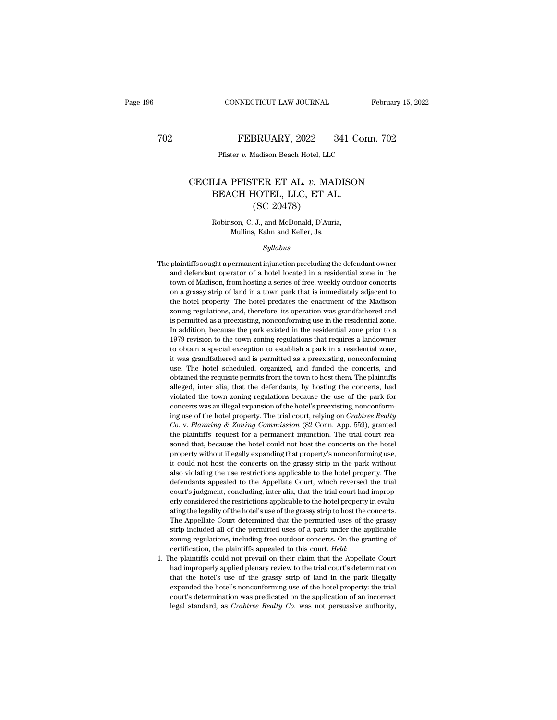## CONNECTICUT LAW JOURNAL February 15, 2022<br> **FEBRUARY**, 2022 341 Conn. 702<br>
Pfister v. Madison Beach Hotel, LLC CONNECTICUT LAW JOURNAL Fe<br>FEBRUARY, 2022 341 Conn.<br>Pfister *v.* Madison Beach Hotel, LLC

### FEBRUARY, 2022 341 Conn. 702<br>
Pfister v. Madison Beach Hotel, LLC<br>
CECILIA PFISTER ET AL. v. MADISON<br>
BEACH HOTEL, LLC, ET AL.<br>
CSC 20478)  $\begin{tabular}{ c c c} \multicolumn{1}{c}{\textbf{FEBRUARY, 2022 \quad \ \ \, 341 Co}}\\ \hline \multicolumn{1}{c}{\textbf{Pfister $v$. Madison Beach Hotel, LLC}}\\ \multicolumn{1}{c}{\textbf{LIA PFTSTER ET AL. $v$. MADISON} }\\ \multicolumn{1}{c}{\textbf{BEACH HOTEL, LLC, ET AL.}}\\ \multicolumn{1}{c}{(\text{SC 20478})} \end{tabular}$ BRUARY, 2022<br>
Madison Beach Hotel, LLC<br>
TER ET AL. v. MA<br>
HOTEL, LLC, ET AI<br>
(SC 20478)<br>
J., and McDonald, D'Auri LIA PFISTER ET AL. *v*. MADISO<br>BEACH HOTEL, LLC, ET AL.<br>(SC 20478)<br>Robinson, C. J., and McDonald, D'Auria,<br>Mullins, Kahn and Keller, Js. PFISTER ET AL. *v*. MAI<br>CH HOTEL, LLC, ET AL<br>(SC 20478)<br>son, C. J., and McDonald, D'Auria<br>Mullins, Kahn and Keller, Js.<br>Sullabus

### *Syllabus*

 $\left(\text{SC 20478}\right) \vspace{-0.2cm} \begin{minipage}[t]{0.5\textwidth} \begin{tabular}{l} \textbf{Robinson, C. J., and McDonald, D'Auria,} \\ \textbf{Mullins, Kahn and Keller, Js.} \end{tabular} \end{minipage} \begin{minipage}[t]{0.5\textwidth} \begin{tabular}{l} \textbf{The plaintiff's sought a permanent injection precluding the defendant owner and defendant operator of a hotel located in a residential zone in the town of Madison, from hosting a series of free, weekly outdoor concepts.} \end{tabular} \end{minipage} \end{minipage} \begin{minipage}[t]{0.5\textwidth} \begin{tabular}[t]{l@{}} \textbf{New$ Robinson, C. J., and McDonald, D'Auria,<br>Mullins, Kahn and Keller, Js.<br>Syllabus<br>plaintiffs sought a permanent injunction precluding the defendant owner<br>and defendant operator of a hotel located in a residential zone in the<br> Mullins, Kahn and Keller, Js.<br>
Syllabus<br>
plaintiffs sought a permanent injunction precluding the defendant owner<br>
and defendant operator of a hotel located in a residential zone in the<br>
town of Madison, from hosting a seri Syllabus<br>plaintiffs sought a permanent injunction precluding the defendant owner<br>and defendant operator of a hotel located in a residential zone in the<br>town of Madison, from hosting a series of free, weekly outdoor concert Syttabus<br>plaintiffs sought a permanent injunction precluding the defendant owner<br>and defendant operator of a hotel located in a residential zone in the<br>town of Madison, from hosting a series of free, weekly outdoor concert plaintiffs sought a permanent injunction precluding the defendant owner<br>and defendant operator of a hotel located in a residential zone in the<br>town of Madison, from hosting a series of free, weekly outdoor concerts<br>on a gr permitted as a precisting, nonconforming use in the residential zone in the town of Madison, from hosting a series of free, weekly outdoor concerts on a grassy strip of land in a town park that is immediately adjacent to t In addition, from hosting a series of free, weekly outdoor concerts<br>on a grassy strip of land in a town park that is immediately adjacent to<br>the hotel property. The hotel predates the enactment of the Madison<br>zoning regula on a grassy strip of land in a town park that is immediately adjacent to the hotel property. The hotel predates the enactment of the Madison zoning regulations, and, therefore, its operation was grandfathered and is permit of a botel property. The hotel predates the enactment of the Madison zoning regulations, and, therefore, its operation was grandfathered and is permitted as a preexisting, nonconforming use in the residential zone. In addi zoning regulations, and, therefore, its operation was grandfathered and is permitted as a preexisting, nonconforming use in the residential zone. In addition, because the park existed in the residential zone prior to a 197 is permitted as a preexisting, nonconforming use in the residential zone.<br>In addition, because the park existed in the residential zone prior to a<br>1979 revision to the town zoning regulations that requires a landowner<br>to o Let permit and the residential zone prior to a 1979 revision to the town zoning regulations that requires a landowner to obtain a special exception to establish a park in a residential zone, it was grandfathered and is per 1979 revision to the town zoning regulations that requires a landowner to obtain a special exception to establish a park in a residential zone, it was grandfathered and is permitted as a preexisting, nonconforming use. The to obtain a special exception to establish a park in a residential zone, it was grandfathered and is permitted as a preexisting, nonconforming use. The hotel scheduled, organized, and funded the concerts, and obtained the to obtain a special exception to establish a park in a residential zone, it was grandfathered and is permitted as a preexisting, nonconforming use. The hotel scheduled, organized, and funded the concerts, and obtained the ing use. The hotel scheduled, organized, and funded the concerts, and obtained the requisite permits from the town to host them. The plaintiffs alleged, inter alia, that the defendants, by hosting the concerts, had violate *Co. Planning the requisite permits from the town to host them. The plaintiffs* alleged, inter alia, that the defendants, by hosting the concerts, had violated the town zoning regulations because the use of the park for concerts was an illegal expansion of the hotel's preexisting, nonconforming use of the hotel property. The trial court, relying on *Crabtree Realty Co.* v. *Planning & Zoning Commission* (82 Conn. App. 559), granted the p solved the town zoning regulations because the use of the park for concerts was an illegal expansion of the hotel's preexisting, nonconforming use of the hotel property. The trial court, relying on *Crabtree Realty* Co. v. concerts was an illegal expansion of the hotel's preexisting, nonconforming use of the hotel property. The trial court, relying on *Crabtree Realty* Co. v. Planning & Zoning Commission (82 Conn. App. 559), granted the plai ing use of the hotel property. The trial court, relying on *Crabtree Realty*  $Co$ . v. Planning & Zoning Commission (82 Conn. App. 559), granted the plaintiffs' request for a permanent injunction. The trial court reasoned t also violating the use restrictions (32 Conn. App. 559), granted the plaintiffs' request for a permanent injunction. The trial court reasoned that, because the hotel could not host the concerts on the hotel property witho the plaintiffs' request for a permanent injunction. The trial court reasoned that, because the hotel could not host the concerts on the hotel property without illegally expanding that property's nonconforming use, it could soned that, because the hotel could not host the concerts on the hotel<br>property without illegally expanding that property's nonconforming use,<br>it could not host the concerts on the grassy strip in the park without<br>also vio erly without illegally expanding that property's nonconforming use, it could not host the concerts on the grassy strip in the park without also violating the use restrictions applicable to the hotel property. The defendant property mature and procents on the grassy strip in the park without it could not host the concerts on the grassy strip in the park without also violating the use restrictions applicable to the hotel property. The defendan also violating the use restrictions applicable to the hotel property. The defendants appealed to the Appellate Court, which reversed the trial court's judgment, concluding, inter alia, that the trial court had improperly c defendants appealed to the Appellate Court, which reversed the trial court's judgment, concluding, inter alia, that the trial court had improperly considered the restrictions applicable to the hotel property in evaluating court's judgment, concluding, inter alia, that the trial court had improperly considered the restrictions applicable to the hotel property in evaluating the legality of the hotel's use of the grassy strip to host the conce erty considered the restrictions applicable to the hotel property in evaluating the legality of the hotel's use of the grassy strip to host the concerts. The Appellate Court determined that the permitted uses of the grassy The Appellate Court determined that the permitted uses of the grassy<br>strip included all of the permitted uses of a park under the applicable<br>zoning regulations, including free outdoor concerts. On the granting of<br>certifica

strip included all of the permitted uses of a park under the applicable zoning regulations, including free outdoor concerts. On the granting of certification, the plaintiffs appealed to this court. *Held*: the plaintiffs c strip included all of the permitted uses of a park under the applicable zoning regulations, including free outdoor concerts. On the granting of certification, the plaintiffs appealed to this court. *Held*: The plaintiffs certification, the plaintiffs appealed to this court. *Held*:<br>he plaintiffs could not prevail on their claim that the Appellate Court<br>had improperly applied plenary review to the trial court's determination<br>that the hotel' be plaintiffs could not prevail on their claim that the Appellate Court<br>had improperly applied plenary review to the trial court's determination<br>that the hotel's use of the grassy strip of land in the park illegally<br>expand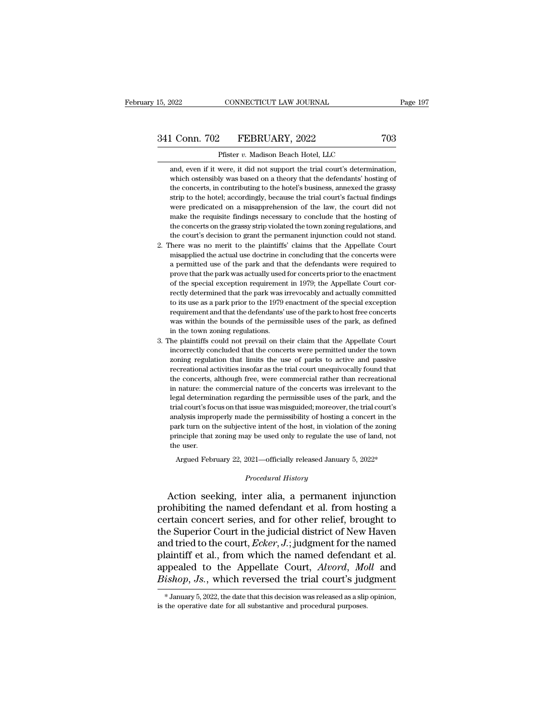## 15, 2022 CONNECTICUT LAW JOURNAL Page 197<br>341 Conn. 702 FEBRUARY, 2022 703<br>Pfister v. Madison Beach Hotel, LLC 15, 2022 CONNECTICUT LAW JOURNAL<br>
241 Conn. 702 FEBRUARY, 2022 703<br>
Pfister *v.* Madison Beach Hotel, LLC<br>
and, even if it were, it did not support the trial court's determination.

1 Conn. 702 FEBRUARY, 2022 703<br>
Pfister v. Madison Beach Hotel, LLC<br>
and, even if it were, it did not support the trial court's determination,<br>
which ostensibly was based on a theory that the defendants' hosting of Conn. 702 FEBRUARY, 2022 703<br>
Pfister v. Madison Beach Hotel, LLC<br>
and, even if it were, it did not support the trial court's determination,<br>
which ostensibly was based on a theory that the defendants' hosting of<br>
the conc 1 Conn. 702 FEBRUARY, 2022 703<br>
Pfister v. Madison Beach Hotel, LLC<br>
and, even if it were, it did not support the trial court's determination,<br>
which ostensibly was based on a theory that the defendants' hosting of<br>
the co Pfister v. Madison Beach Hotel, LLC<br>and, even if it were, it did not support the trial court's determination,<br>which ostensibly was based on a theory that the defendants' hosting of<br>the concerts, in contributing to the hote Pfister v. Madison Beach Hotel, LLC<br>and, even if it were, it did not support the trial court's determination,<br>which ostensibly was based on a theory that the defendants' hosting of<br>the concerts, in contributing to the hote and, even if it were, it did not support the trial court's determination, which ostensibly was based on a theory that the defendants' hosting of the concerts, in contributing to the hotel's business, annexed the grassy str which ostensibly was based on a theory that the defendants' hosting of<br>the concerts, in contributing to the hotel's business, annexed the grassy<br>strip to the hotel; accordingly, because the trial court's factual findings<br>w the concerts, in contributing to the hotel's business, annexed the grassy<br>strip to the hotel; accordingly, because the trial court's factual findings<br>were predicated on a misapprehension of the law, the court did not<br>make 12. There was no merit to the plaintiffs' claims that the concerts were predicated on a misapprehension of the law, the court did not make the requisite findings necessary to conclude that the hosting of the concerts on th were predicated on a misapprehension of the law, the court did not make the requisite findings necessary to conclude that the hosting of the concerts on the grassy strip violated the town zoning regulations, and the court'

- make the requisite findings necessary to conclude that the hosting of the concerts on the grassy strip violated the town zoning regulations, and the court's decision to grant the permanent injunction could not stand. here the concerts on the grassy strip violated the town zoning regulations, and the concerts on the grassy strip violated the town zoning regulations, and the court's decision to grant the permanent injunction could not stand. the concerts on the grassy strip violated the town zoning regulations, and<br>the court's decision to grant the permanent injunction could not stand.<br>2. There was no merit to the plaintiffs' claims that the Appellate Court<br>mi here was no merit to the plaintiffs' claims that the Appellate Court<br>misapplied the actual use doctrine in concluding that the concerts were<br>a permitted use of the park and that the defendants were required to<br>prove that t misapplied the actual use doctrine in concluding that the concerts were<br>a permitted use of the park and that the defendants were required to<br>prove that the park was actually used for concerts prior to the enactment<br>of the requirement and that the defendants were required to prove that the park was actually used for concerts prior to the enactment of the special exception requirement in 1979; the Appellate Court correctly determined that the prove that the park was actually used for concerts prior to the enactment<br>of the special exception requirement in 1979; the Appellate Court cor-<br>rectly determined that the park was irrevocably and actually committed<br>to its For the special exception requirement<br>rectly determined that the park was is<br>to its use as a park prior to the 1979 e<br>requirement and that the defendants'<br>was within the bounds of the permis<br>in the town zoning regulations. rectly determined that the park was irrevocably and actually committed<br>to its use as a park prior to the 1979 enactment of the special exception<br>requirement and that the defendants' use of the park to host free concerts<br>wa to its use as a park prior to the 1979 enactment of the special exception requirement and that the defendants' use of the park to host free concerts was within the bounds of the permissible uses of the park, as defined in
- requirement and that the defendants' use of the park to host free concerts<br>was within the bounds of the permissible uses of the park, as defined<br>in the town zoning regulations.<br>he plaintiffs could not prevail on their clai was within the bounds of the permissible uses of the park, as defined in the town zoning regulations.<br>He plaintiffs could not prevail on their claim that the Appellate Court incorrectly concluded that the concerts were per in the town zoning regulations.<br>
the plaintiffs could not prevail on their claim that the Appellate Court<br>
incorrectly concluded that the concerts were permitted under the town<br>
zoning regulation that limits the use of par he plaintiffs could not prevail on their claim that the Appellate Court<br>incorrectly concluded that the concerts were permitted under the town<br>zoning regulation that limits the use of parks to active and passive<br>recreationa legal determination regarding the concerts were permitted under the town zoning regulation that limits the use of parks to active and passive recreational activities insofar as the trial court unequivocally found that the zoning regulation that limits the use of parks to active and passive recreational activities insofar as the trial court unequivocally found that the concerts, although free, were commercial rather than recreational in natu and analysis improperly made the permissibility of hosting a concert in the concerts, although free, were commercial rather than recreational in nature: the commercial nature of the concerts was irrelevant to the legal det the concerts, although free, were commercial rather than recreational<br>in nature: the commercial nature of the concerts was irrelevant to the<br>legal determination regarding the permissible uses of the park, and the<br>trial cou in nature: the commercial nature of the concerts was irrelevant to the legal determination regarding the permissible uses of the park, and the trial court's focus on that issue was misguided; moreover, the trial court's an legal determined<br>trial court's foot<br>analysis impropark turn on t<br>principle that<br>the user.<br>Argued Feb ial court's focus on that issue was misguided; moreover, the trial court's<br>alysis improperly made the permissibility of hosting a concert in the<br>ark turn on the subjective intent of the host, in violation of the zoning<br>inc Figure intent of the host, in violati<br> *Procedural History*<br> *Procedural History*<br> **Procedural History** park turn on the subjective intent of the host, in violation of the zoning<br>principle that zoning may be used only to regulate the use of land, not<br>the user.<br>Argued February 22, 2021—officially released January 5, 2022\*<br>*Pr*

principle that zoning may be used only to regulate the use of land, not<br>the user.<br>Argued February 22, 2021—officially released January 5, 2022\*<br>*Procedural History*<br>Action seeking, inter alia, a permanent injunction<br>prohib the user.<br>
Argued February 22, 2021—officially released January 5, 2022\*<br>
Procedural History<br>
Action seeking, inter alia, a permanent injunction<br>
prohibiting the named defendant et al. from hosting a<br>
certain concert serie Argued February 22, 2021—officially released January 5, 2022\*<br>
Procedural History<br>
Action seeking, inter alia, a permanent injunction<br>
prohibiting the named defendant et al. from hosting a<br>
certain concert series, and for *Procedural History*<br>Action seeking, inter alia, a permanent injunction<br>prohibiting the named defendant et al. from hosting a<br>certain concert series, and for other relief, brought to<br>the Superior Court in the judicial dist Action seeking, inter alia, a permanent injunction<br>prohibiting the named defendant et al. from hosting a<br>certain concert series, and for other relief, brought to<br>the Superior Court in the judicial district of New Haven<br>and Action seeking, inter alia, a permanent injunction<br>prohibiting the named defendant et al. from hosting a<br>certain concert series, and for other relief, brought to<br>the Superior Court in the judicial district of New Haven<br>and prohibiting the named defendant et al. from hosting a<br>certain concert series, and for other relief, brought to<br>the Superior Court in the judicial district of New Haven<br>and tried to the court, *Ecker*, *J*.; judgment for th and tried to the court, *Ecker*, *J*.; judgment for the named<br>plaintiff et al., from which the named defendant et al.<br>appealed to the Appellate Court, *Alvord*, *Moll* and<br>*Bishop*, *Js.*, which reversed the trial court's Bishop, Js., which reversed the trial court's judgment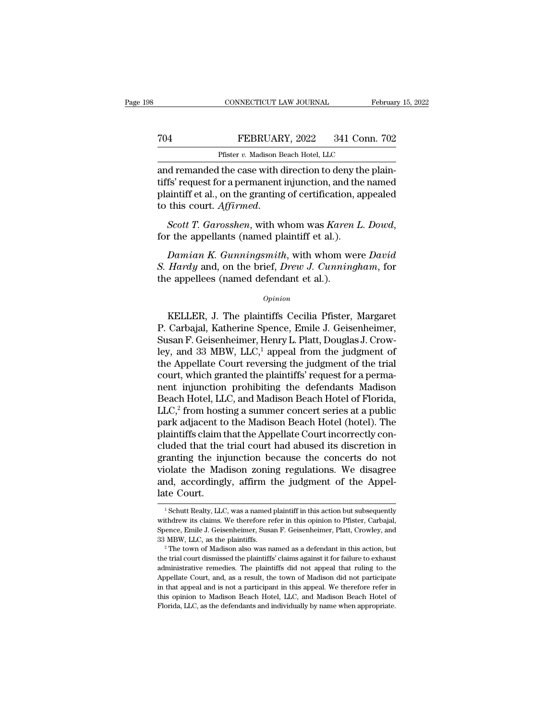# CONNECTICUT LAW JOURNAL February 15, 2022<br> **704** FEBRUARY, 2022 341 Conn. 702<br>
Pfister v. Madison Beach Hotel, LLC

Februar<br>
Pister *v.* Madison Beach Hotel, LLC<br>
Pister *v.* Madison Beach Hotel, LLC<br>
and remanded the case with direction to deny the plain-<br>
tiffs' request for a permanent injunction, and the named<br>
plaintiff of al. on th TO4 FEBRUARY, 2022 341 Conn. 702<br>Pfister v. Madison Beach Hotel, LLC<br>and remanded the case with direction to deny the plain-<br>tiffs' request for a permanent injunction, and the named<br>plaintiff et al., on the granting of cer FEBRUARY, 2022 341 Conn. 702<br>
Pfister v. Madison Beach Hotel, LLC<br>
and remanded the case with direction to deny the plain-<br>
tiffs' request for a permanent injunction, and the named<br>
plaintiff et al., on the granting of ce To this court. *The Pister v. Madison Beach Hotel, LLC*<br> **And remanded the case with direction to deny the plaintiffs' request for a permanent injunction, and the named plaintiff et al., on the granting of certification, a** *fs'* request for a permanent injunction, and the named<br>aintiff et al., on the granting of certification, appealed<br>this court. *Affirmed.*<br>*Scott T. Garosshen*, with whom was *Karen L. Dowd*,<br>r the appellants (named plaint

plaintiff et al., on the granting of certification, appealed<br>to this court. *Affirmed.*<br>Scott T. Garosshen, with whom was Karen L. Dowd,<br>for the appellants (named plaintiff et al.).<br>Damian K. Gunningsmith, with whom were D to this court. Affirmed.<br>
Scott T. Garosshen, with whom was Karen<br>
for the appellants (named plaintiff et al.).<br>
Damian K. Gunningsmith, with whom w<br>
S. Hardy and, on the brief, Drew J. Cunning<br>
the appellees (named defen Damian K. Gunningsmith, with whom were David<br>
Hardy and, on the brief, Drew J. Cunningham, for<br>
e appellees (named defendant et al.).<br>  $\frac{Opinion}{P}$ <br>
KELLER, J. The plaintiffs Cecilia Pfister, Margaret<br>
Carbajal, Katherine

### *Opinion*

Damian K. Gunningsmith, with whom were David<br>
S. Hardy and, on the brief, Drew J. Cunningham, for<br>
the appellees (named defendant et al.).<br>  $o_{pinion}$ <br>
KELLER, J. The plaintiffs Cecilia Pfister, Margaret<br>
P. Carbajal, Kather S. *Hardy* and, on the brief, *Drew J. Cunningham*, for<br>the appellees (named defendant et al.).<br> $\frac{opinion}{opinion}$ <br>KELLER, J. The plaintiffs Cecilia Pfister, Margaret<br>P. Carbajal, Katherine Spence, Emile J. Geisenheimer,<br>Susan F. opinion<br>
(opinion<br>
(opinion<br>
KELLER, J. The plaintiffs Cecilia Pfister, Margaret<br>
P. Carbajal, Katherine Spence, Emile J. Geisenheimer,<br>
Susan F. Geisenheimer, Henry L. Platt, Douglas J. Crow-<br>
ley, and 33 MBW, LLC,<sup>1</sup> app Opinion<br>
WELLER, J. The plaintiffs Cecilia Pfister, Margaret<br>
P. Carbajal, Katherine Spence, Emile J. Geisenheimer,<br>
Susan F. Geisenheimer, Henry L. Platt, Douglas J. Crow-<br>
ley, and 33 MBW, LLC,<sup>1</sup> appeal from the judgmen EREG. J. The plaintiffs Cecilia Pfister, Margaret<br>P. Carbajal, Katherine Spence, Emile J. Geisenheimer,<br>Susan F. Geisenheimer, Henry L. Platt, Douglas J. Crow-<br>ley, and 33 MBW, LLC,<sup>1</sup> appeal from the judgment of<br>the Appel KELLER, J. The plaintiffs Cecilia Pfister, Margaret<br>P. Carbajal, Katherine Spence, Emile J. Geisenheimer,<br>Susan F. Geisenheimer, Henry L. Platt, Douglas J. Crow-<br>ley, and 33 MBW, LLC,<sup>1</sup> appeal from the judgment of<br>the Ap P. Carbajal, Katherine Spence, Emile J. Geisenheimer,<br>Susan F. Geisenheimer, Henry L. Platt, Douglas J. Crow-<br>ley, and 33 MBW, LLC,<sup>1</sup> appeal from the judgment of<br>the Appellate Court reversing the judgment of the trial<br>cou Susan F. Geisenheimer, Henry L. Platt, Douglas J. Crow-<br>ley, and 33 MBW, LLC,<sup>1</sup> appeal from the judgment of<br>the Appellate Court reversing the judgment of the trial<br>court, which granted the plaintiffs' request for a permaley, and 33 MBW, LLC,<sup>1</sup> appeal from the judgment of<br>the Appellate Court reversing the judgment of the trial<br>court, which granted the plaintiffs' request for a perma-<br>nent injunction prohibiting the defendants Madison<br>Beac the Appellate Court reversing the judgment of the trial court, which granted the plaintiffs' request for a perma-<br>nent injunction prohibiting the defendants Madison<br>Beach Hotel, LLC, and Madison Beach Hotel of Florida,<br>LLC court, which granted the plaintiffs' request for a perma-<br>nent injunction prohibiting the defendants Madison<br>Beach Hotel, LLC, and Madison Beach Hotel of Florida,<br>LLC,<sup>2</sup> from hosting a summer concert series at a public<br>pa nent injunction prohibiting the defendants Madison<br>Beach Hotel, LLC, and Madison Beach Hotel of Florida,<br>LLC,<sup>2</sup> from hosting a summer concert series at a public<br>park adjacent to the Madison Beach Hotel (hotel). The<br>plaint Beach Hotel, LLC, and Madison Beach Hotel of Florida,<br>LLC,<sup>2</sup> from hosting a summer concert series at a public<br>park adjacent to the Madison Beach Hotel (hotel). The<br>plaintiffs claim that the Appellate Court incorrectly con LLC, $^2$  from hosting a summer concert series at a public<br>park adjacent to the Madison Beach Hotel (hotel). The<br>plaintiffs claim that the Appellate Court incorrectly con-<br>cluded that the trial court had abused its discret park adjacent to<br>plaintiffs claim t<br>cluded that the<br>granting the inj<br>violate the Mac<br>and, accordingl<br>late Court. ranting the injunction because the concerts do not<br>olate the Madison zoning regulations. We disagree<br>nd, accordingly, affirm the judgment of the Appel-<br>te Court.<br><sup>1</sup> Schutt Realty, LLC, was a named plaintiff in this action violate the Madison zoning regulations. We disagree<br>and, accordingly, affirm the judgment of the Appel-<br>late Court.<br><sup>1</sup> Schutt Realty, LLC, was a named plaintiff in this action but subsequently<br>withdrew its claims. We ther

and, accordingly, affirm the judgment of the Appel-<br>late Court.<br><br><sup>1</sup> Schutt Realty, LLC, was a named plaintiff in this action but subsequently<br>withdrew its claims. We therefore refer in this opinion to Pfister, Carbajal,<br>S 23 MBW, LLC, as a named plaintiff in this action but subsequently<br>withdrew its claims. We therefore refer in this opinion to Pfister, Carbajal,<br>Spence, Emile J. Geisenheimer, Susan F. Geisenheimer, Platt, Crowley, and<br>33 <sup>1</sup> Schutt Realty, LLC, was a named plaintiff in this action but subsequently with<br>drew its claims. We therefore refer in this opinion to Pfister, Carbajal, Spence, Emile J. Geisenheimer, Susan F. Geisenheimer, Platt, Cro

with drew its claims. We therefore refer in this opinion to Pfister, Carbajal, Spence, Emile J. Geisenheimer, Susan F. Geisenheimer, Platt, Crowley, and 33 MBW, LLC, as the plaintiffs.<br><sup>2</sup> The town of Madison also was name Appendix and September Court, and, as a result, the town of Madison did not appendix and as MBW, LLC, as the plaintiffs.<br>
<sup>2</sup> The town of Madison also was named as a defendant in this action, but the trial court dismissed 33 MBW, LLC, as the plaintiffs.<br><sup>2</sup> The town of Madison also was named as a defendant in this action, but<br><sup>2</sup> The town of Madison also was named as a defendant in this action, but<br>the trial court dismissed the plaintiffs' <sup>2</sup> The town of Madison also was named as a defendant in this action, but the trial court dismissed the plaintiffs' claims against it for failure to exhaust administrative remedies. The plaintiffs did not appeal that ruli Florida, LLC, as the defendants and individually by name when appropriate.<br>Final court dismissed the plaintiffs' claims against it for failure to exhaust<br>administrative remedies. The plaintiffs did not appeal that ruling t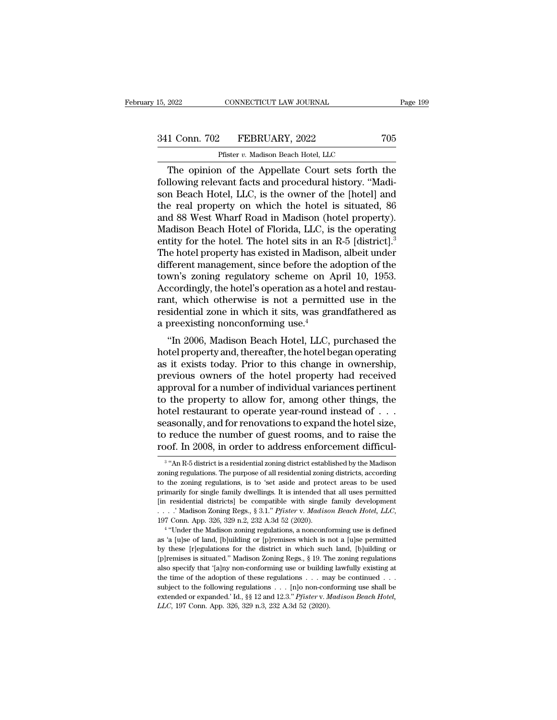# 15, 2022 CONNECTICUT LAW JOURNAL Page 199<br>341 Conn. 702 FEBRUARY, 2022 705<br>Pfister v. Madison Beach Hotel, LLC

CONNECTICUT LAW JOURNAL<br>
Pfister *v.* Madison Beach Hotel, LLC<br>
a of the Appellate Court sets forth The opinion of the Appellate Court sets forth the Appellate Court sets forth the appear Represent facts and procedural history. "Madi-341 Conn. 702 FEBRUARY, 2022 705<br>
Pfister v. Madison Beach Hotel, LLC<br>
The opinion of the Appellate Court sets forth the<br>
following relevant facts and procedural history. "Madi-<br>
son Beach Hotel, LLC, is the owner of the 341 Conn. 702 FEBRUARY, 2022 705<br>
Pfister v. Madison Beach Hotel, LLC<br>
The opinion of the Appellate Court sets forth the<br>
following relevant facts and procedural history. "Madi-<br>
son Beach Hotel, LLC, is the owner of the 341 Conn. 702 FEBRUARY, 2022 705<br>
Pfister v. Madison Beach Hotel, LLC<br>
The opinion of the Appellate Court sets forth the<br>
following relevant facts and procedural history. "Madi-<br>
son Beach Hotel, LLC, is the owner of the Pfister v. Madison Beach Hotel, LLC<br>
The opinion of the Appellate Court sets forth the<br>
following relevant facts and procedural history. "Madi-<br>
son Beach Hotel, LLC, is the owner of the [hotel] and<br>
the real property on w Phister v. Madison Beach Hotel, LLC<br>
The opinion of the Appellate Court sets forth the<br>
following relevant facts and procedural history. "Madi-<br>
son Beach Hotel, LLC, is the owner of the [hotel] and<br>
the real property on The opinion of the Appellate Court sets forth the<br>following relevant facts and procedural history. "Madi-<br>son Beach Hotel, LLC, is the owner of the [hotel] and<br>the real property on which the hotel is situated, 86<br>and 88 We following relevant facts and procedural history. "Madison Beach Hotel, LLC, is the owner of the [hotel] and<br>the real property on which the hotel is situated, 86<br>and 88 West Wharf Road in Madison (hotel property).<br>Madison B son Beach Hotel, LLC, is the owner of the [hotel] and<br>the real property on which the hotel is situated, 86<br>and 88 West Wharf Road in Madison (hotel property).<br>Madison Beach Hotel of Florida, LLC, is the operating<br>entity fo the real property on which the hotel is situated, 86<br>and 88 West Wharf Road in Madison (hotel property).<br>Madison Beach Hotel of Florida, LLC, is the operating<br>entity for the hotel. The hotel sits in an R-5 [district].<sup>3</sup><br>T and 88 West Wharf Road in Madison (hotel property).<br>Madison Beach Hotel of Florida, LLC, is the operating<br>entity for the hotel. The hotel sits in an R-5 [district].<sup>3</sup><br>The hotel property has existed in Madison, albeit unde Madison Beach Hotel of Florida, LLC, is the operating<br>entity for the hotel. The hotel sits in an R-5 [district].<sup>3</sup><br>The hotel property has existed in Madison, albeit under<br>different management, since before the adoption o entity for the hotel. The hotel sits in an R-5 [district].<sup>3</sup><br>The hotel property has existed in Madison, albeit under<br>different management, since before the adoption of the<br>town's zoning regulatory scheme on April 10, 195 The hotel property has existed in Madison<br>different management, since before the a<br>town's zoning regulatory scheme on A<br>Accordingly, the hotel's operation as a ho<br>rant, which otherwise is not a permitt<br>residential zone in Freeht management, since before the adoption of the<br>
wn's zoning regulatory scheme on April 10, 1953.<br>
cordingly, the hotel's operation as a hotel and restau-<br>
nt, which otherwise is not a permitted use in the<br>
sidential z hown's zoning regulatory scheme on April 10, 1955.<br>Accordingly, the hotel's operation as a hotel and restaurant, which otherwise is not a permitted use in the<br>residential zone in which it sits, was grandfathered as<br>a preex

Accordingly, the hotel s operation as a hotel and restaurant, which otherwise is not a permitted use in the residential zone in which it sits, was grandfathered as a preexisting nonconforming use.<sup>4</sup><br>"In 2006, Madison Beac rant, which otherwise is not a permitted use in the<br>residential zone in which it sits, was grandfathered as<br>a preexisting nonconforming use.<sup>4</sup><br>"In 2006, Madison Beach Hotel, LLC, purchased the<br>hotel property and, thereaft residential zone in which it sits, was grandiathered as<br>a preexisting nonconforming use.<sup>4</sup><br>"In 2006, Madison Beach Hotel, LLC, purchased the<br>hotel property and, thereafter, the hotel began operating<br>as it exists today. Pr a preexisting noncomorning use.<br>
"In 2006, Madison Beach Hotel, LLC, purchased the<br>
hotel property and, thereafter, the hotel began operating<br>
as it exists today. Prior to this change in ownership,<br>
previous owners of the "In 2006, Madison Beach Hotel, LLC, purchased the<br>hotel property and, thereafter, the hotel began operating<br>as it exists today. Prior to this change in ownership,<br>previous owners of the hotel property had received<br>approva hotel property and, thereafter, the hotel began operating<br>as it exists today. Prior to this change in ownership,<br>previous owners of the hotel property had received<br>approval for a number of individual variances pertinent<br>to as it exists today. Prior to this change in ownership,<br>previous owners of the hotel property had received<br>approval for a number of individual variances pertinent<br>to the property to allow for, among other things, the<br>hotel previous owners of the hotel property had received<br>approval for a number of individual variances pertinent<br>to the property to allow for, among other things, the<br>hotel restaurant to operate year-round instead of . . .<br>seaso tel restaurant to operate year-round instead of . . .<br>asonally, and for renovations to expand the hotel size,<br>reduce the number of guest rooms, and to raise the<br>of. In 2008, in order to address enforcement difficul-<br>"An Rseasonally, and for renovations to expand the hotel size,<br>to reduce the number of guest rooms, and to raise the<br>roof. In 2008, in order to address enforcement difficul-<br><sup>3</sup> "An R-5 district is a residential zoning district

<sup>&</sup>lt;sup>3</sup> "An R-5 district is a residential zoning district established by the Madison to reduce the number of guest rooms, and to raise the roof. In 2008, in order to address enforcement difficul-<br> $\frac{3}{4}$  "An R-5 district is a residential zoning district established by the Madison<br>zoning regulations. The proof. In 2008, in order to address enforcement difficul-<br> $\frac{3}{4}$  "An R-5 district is a residential zoning district established by the Madison<br>zoning regulations. The purpose of all residential zoning districts, accordi FOOL. IIT 2008, IIT OTGET TO additioned and protectified the Madison<br>
<sup>3</sup> "An R-5 district is a residential zoning district established by the Madison<br>
zoning regulations. The purpose of all residential zoning districts, <sup>3</sup> "An R-5 district is a residential zoning district established by the Madison zoning regulations. The purpose of all residential zoning districts, according to the zoning regulations, is to 'set aside and protect areas The Madisons, is to 'set aside and protect areas to be used<br>
marily for single family dwellings. It is intended that all uses permitted<br>
residential districts] be compatible with single family development<br>
.' Madison Zoni primarily for single family dwellings. It is intended that all uses permitted [in residential districts] be compatible with single family development . . . .' Madison Zoning Regs., § 3.1." *Pfister v. Madison Beach Hotel,* 

For the final districts for compatible with single family development  $\ldots$ . *Nadison Zoning Regs.*, § 3.1." *Pfister v. Madison Beach Hotel, LLC*, 197 Conn. App. 326, 329 n.2, 232 A.3d 52 (2020).<br><sup>4</sup> "Under the Madison z [p]remises is situated.'' Madison Zoning Regs., § 3.1." *Pfister v. Madison Beach Hotel, LLC*, 197 Conn. App. 326, 329 n.2, 232 A.3d 52 (2020).<br>
<sup>4</sup> "Under the Madison zoning regulations, a nonconforming use is defined as 197 Conn. App. 326, 329 n.2, 232 A.3d 52 (2020).<br>
<sup>4</sup> "Under the Madison zoning regulations, a nonconforming use is defined as 'a [u]se of land, [b]uilding or [p]remises which is not a [u]se permitted by these [r]egulatio <sup>1</sup> "Under the Madison zoning regulations, a nonconforming use is defined as 'a [u]se of land, [b]uilding or [p]remises which is not a [u]se permitted by these [r]egulations for the district in which such land, [b]uilding as 'a [u]se of land, [b]uilding or [p]remises which is not a [u]se permitted by these [r]egulations for the district in which such land, [b]uilding or [p]remises is situated." Madison Zoning Regs., § 19. The zoning regula by these [r]egulations for the district in which such land, [b]uilding or [p]<br>remises is situated." Madison Zoning Regs., § 19. The zoning regulations<br>also specify that '[a]<br>ny non-conforming use or building lawfully exis [p]remises is situated." Madison Zoning Regs., § 19. The zoning regulations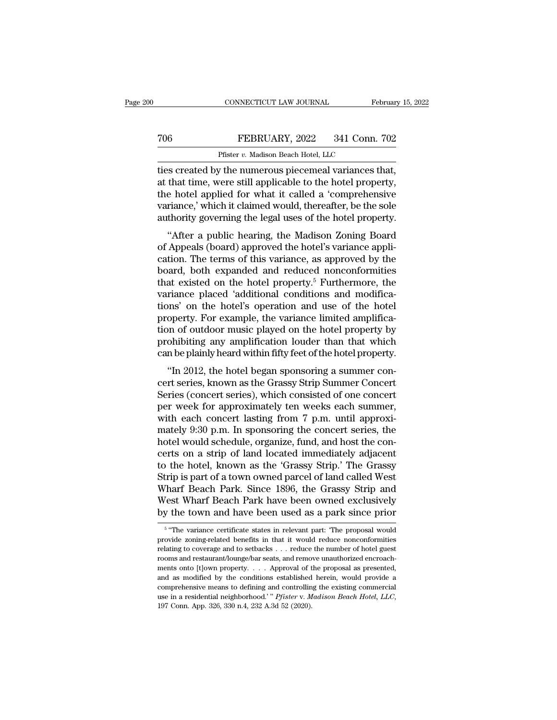## CONNECTICUT LAW JOURNAL February 15, 2022<br>
T06 FEBRUARY, 2022 341 Conn. 702<br>
Pfister v. Madison Beach Hotel, LLC CONNECTICUT LAW JOURNAL Fe<br>FEBRUARY, 2022 341 Conn.<br>Pfister *v.* Madison Beach Hotel, LLC<br>*v*. the numerous niecemeal variances t

CONNECTICUT LAW JOURNAL February 15, 2<br>
TO6 FEBRUARY, 2022 341 Conn. 702<br>
Pfister v. Madison Beach Hotel, LLC<br>
The created by the numerous piecemeal variances that,<br>
at that time, were still applicable to the hotel propert The Technom Technom Technom Technom Technom Technom Peach Hotel, LLC<br>The time of the numerous piecemeal variances that,<br>at that time, were still applicable to the hotel property,<br>the hotel applied for what it called a 'com To reduced by the numerous piecemeal variances that,<br>ties created by the numerous piecemeal variances that,<br>at that time, were still applicable to the hotel property,<br>the hotel applied for what it called a 'comprehensive<br> The FEBRUARY, 2022 341 Conn. 702<br>
Pfister v. Madison Beach Hotel, LLC<br>
ties created by the numerous piecemeal variances that,<br>
at that time, were still applicable to the hotel property,<br>
the hotel applied for what it call Pfister *v.* Madison Beach Hotel, LLC<br>ties created by the numerous piecemeal variances that,<br>at that time, were still applicable to the hotel property,<br>the hotel applied for what it called a 'comprehensive<br>variance,' which So created by the numerous piecemeal variances that,<br>
that time, were still applicable to the hotel property,<br>
e hotel applied for what it called a 'comprehensive<br>
riance,' which it claimed would, thereafter, be the sole<br> all that time, were still applicable to the hotel property,<br>at that time, were still applicable to the hotel property,<br>the hotel applied for what it called a 'comprehensive<br>variance,' which it claimed would, thereafter, be

at that this, were still applicable to the hotel property,<br>the hotel applied for what it called a 'comprehensive<br>variance,' which it claimed would, thereafter, be the sole<br>authority governing the legal uses of the hotel p the noter applied for what it cannot a complements ve<br>variance,' which it claimed would, thereafter, be the sole<br>authority governing the legal uses of the hotel property.<br>"After a public hearing, the Madison Zoning Board<br>o variance, which it claimed would, thereafter, be the sole authority governing the legal uses of the hotel property.<br>
"After a public hearing, the Madison Zoning Board<br>
of Appeals (board) approved the hotel's variance appli additionly governing the legal uses of the hotel property.<br>
"After a public hearing, the Madison Zoning Board<br>
of Appeals (board) approved the hotel's variance appli-<br>
cation. The terms of this variance, as approved by the "After a public hearing, the Madison Zoning Board<br>of Appeals (board) approved the hotel's variance appli-<br>cation. The terms of this variance, as approved by the<br>board, both expanded and reduced nonconformities<br>that existe of Appeals (board) approved the hotel's variance application. The terms of this variance, as approved by the board, both expanded and reduced nonconformities that existed on the hotel property.<sup>5</sup> Furthermore, the variance cation. The terms of this variance, as approved by the<br>board, both expanded and reduced nonconformities<br>that existed on the hotel property.<sup>5</sup> Furthermore, the<br>variance placed 'additional conditions and modifica-<br>tions' on board, both expanded and reduced nonconformities<br>that existed on the hotel property.<sup>5</sup> Furthermore, the<br>variance placed 'additional conditions and modifica-<br>tions' on the hotel's operation and use of the hotel<br>property. F that existed on the hotel property.<sup>5</sup> Furthermore, the variance placed 'additional conditions and modifications' on the hotel's operation and use of the hotel property. For example, the variance limited amplification of o France placed additional conditions and modifica-<br>
noise on the hotel's operation and use of the hotel<br>
operty. For example, the variance limited amplifica-<br>
noise plane in the hotel property by<br>
ohibiting any amplificatio property. For example, the variance limited amplifica-<br>property. For example, the variance limited amplifica-<br>tion of outdoor music played on the hotel property by<br>prohibiting any amplification louder than that which<br>can b

property. For example, the variance initiate amplification of outdoor music played on the hotel property by prohibiting any amplification louder than that which can be plainly heard within fifty feet of the hotel property. prohibiting any amplification louder than that which<br>can be plainly heard within fifty feet of the hotel property.<br>"In 2012, the hotel began sponsoring a summer con-<br>cert series, known as the Grassy Strip Summer Concert<br>S can be plainly heard within fifty feet of the hotel property.<br>
"In 2012, the hotel began sponsoring a summer concert series, known as the Grassy Strip Summer Concert<br>
Series (concert series), which consisted of one concert can be plantly heatd within mity feet of the hotel property.<br>
"In 2012, the hotel began sponsoring a summer concert<br>
series (concert series), which consisted of one concert<br>
per week for approximately ten weeks each summer "In 2012, the hotel began sponsoring a summer concert series, known as the Grassy Strip Summer Concert Series (concert series), which consisted of one concert per week for approximately ten weeks each summer, with each con cert series, known as the Grassy Strip Summer Concert<br>Series (concert series), which consisted of one concert<br>per week for approximately ten weeks each summer,<br>with each concert lasting from 7 p.m. until approxi-<br>mately 9: Series (concert series), which consisted of one concert<br>per week for approximately ten weeks each summer,<br>with each concert lasting from 7 p.m. until approxi-<br>mately 9:30 p.m. In sponsoring the concert series, the<br>hotel wo per week for approximately ten weeks each summer,<br>with each concert lasting from 7 p.m. until approxi-<br>mately 9:30 p.m. In sponsoring the concert series, the<br>hotel would schedule, organize, fund, and host the con-<br>certs on with each concert lasting from 7 p.m. until approximately 9:30 p.m. In sponsoring the concert series, the hotel would schedule, organize, fund, and host the concerts on a strip of land located immediately adjacent to the h mately 9:30 p.m. In sponsoring the concert series, the<br>hotel would schedule, organize, fund, and host the con-<br>certs on a strip of land located immediately adjacent<br>to the hotel, known as the 'Grassy Strip.' The Grassy<br>Str hotel would schedule, organize, fund, and host the concerts on a strip of land located immediately adjacent<br>to the hotel, known as the 'Grassy Strip.' The Grassy<br>Strip is part of a town owned parcel of land called West<br>Wha The variance certificate states in relevant part: 'The proposal would be variance certificate states in relevant part: 'The proposal would wide zoning-related benefits in that it would reduce proconformities Wharf Beach Park. Since 1896, the Grassy Strip and<br>West Wharf Beach Park have been owned exclusively<br>by the town and have been used as a park since prior<br> $\frac{1}{5}$  "The variance certificate states in relevant part: "The p

 $5$  "The West Wharf Beach Park have been owned exclusively<br>by the town and have been used as a park since prior<br><sup>5</sup> "The variance certificate states in relevant part: The proposal would<br>provide zoning-related benefits in that it wo by the town and have been used as a park since prior<br>  $\frac{1}{5}$  "The variance certificate states in relevant part: "The proposal would<br>
provide zoning-related benefits in that it would reduce nonconformities<br>
relating to by the town and have been used as a park since prior<br>  $\frac{1}{5}$  "The variance certificate states in relevant part: "The proposal would<br>
provide zoning-related benefits in that it would reduce nonconformities<br>
relating to <sup>5</sup> "The variance certificate states in relevant part: "The proposal would provide zoning-related benefits in that it would reduce nonconformities relating to coverage and to setbacks . . . reduce the number of hotel gues provide zoning-related benefits in that it would reduce nonconformities relating to coverage and to set<br>backs . . . reduce the number of hotel guest rooms and restaurant/lounge/bar seats, and remove unauthorized encroach<br> relating to coverage and to setbacks . . . reduce the number of hotel guest<br>rooms and restaurant/lounge/bar seats, and remove unauthorized encroach-<br>ments onto [t]own property. . . . Approval of the proposal as presented,<br>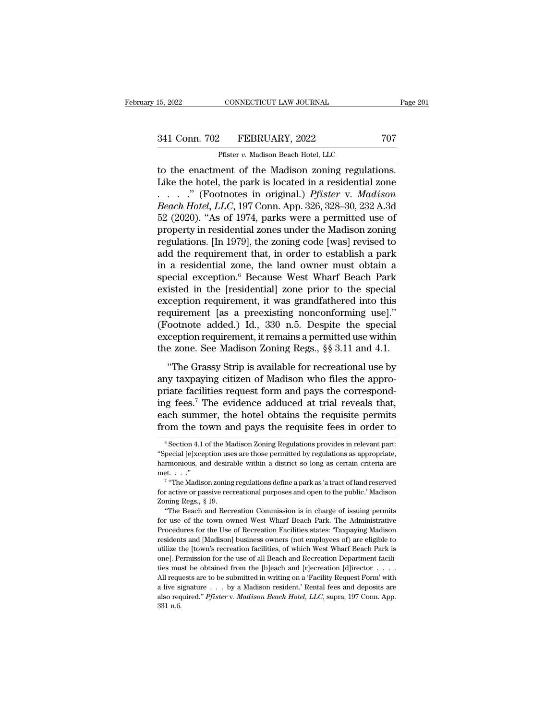15, 2022 CONNECTICUT LAW JOURNAL<br>
241 Conn. 702 FEBRUARY, 2022 707<br>
Pfister *v.* Madison Beach Hotel, LLC<br>
to the enactment of the Madison zoning regulations. 15, 2022 CONNECTICUT LAW JOURNAL Page 1<br>
341 Conn. 702 FEBRUARY, 2022 707<br>
Pfister v. Madison Beach Hotel, LLC<br>
to the enactment of the Madison zoning regulations.<br>
Like the hotel, the park is located in a residential zone Like the hotel, the park is located in a residential zone 341 Conn. 702 FEBRUARY, 2022 707<br>
Pfister *v.* Madison Beach Hotel, LLC<br>
to the enactment of the Madison zoning regulations.<br>
Like the hotel, the park is located in a residential zone<br>
......" (Footnotes in original.) *Pfi* <sup>941</sup> Conn. 702 FEBRUARY, 2022 707<br>
<sup>Pfister v. Madison Beach Hotel, LLC<br> **EXECUTE:** The enactment of the Madison zoning regulations.<br>
Like the hotel, the park is located in a residential zone<br>
......" (Footnotes in origin</sup> Pfister v. Madison Beach Hotel, LLC<br>
to the enactment of the Madison zoning regulations.<br>
Like the hotel, the park is located in a residential zone<br>  $\ldots$  ." (Footnotes in original.) *Pfister v. Madison<br>
Beach Hotel, LLC* Prister v. Madison Beach Hotel, LLC<br>to the enactment of the Madison zoning regulations.<br>Like the hotel, the park is located in a residential zone<br> $\ldots$  ... (Footnotes in original.) *Pfister v. Madison<br>Beach Hotel, LLC*, 1 to the enactment of the Madison zoning regulations.<br>Like the hotel, the park is located in a residential zone<br>......" (Footnotes in original.) *Pfister v. Madison*<br>*Beach Hotel, LLC*, 197 Conn. App. 326, 328–30, 232 A.3d<br> Like the hotel, the park is located in a residential zone<br>  $\ldots$   $\ldots$  " (Footnotes in original.) *Pfister* v. *Madison*<br> *Beach Hotel*, *LLC*, 197 Conn. App. 326, 328–30, 232 A.3d<br>
52 (2020). "As of 1974, parks were a pe in a residential zone, the land owner must obtain a Beach Hotel, LLC, 197 Conn. App. 326, 328–30, 232 A.3d<br>52 (2020). "As of 1974, parks were a permitted use of<br>property in residential zones under the Madison zoning<br>regulations. [In 1979], the zoning code [was] revised to<br>a 52 (2020). "As of 1974, parks were a permitted use of<br>property in residential zones under the Madison zoning<br>regulations. [In 1979], the zoning code [was] revised to<br>add the requirement that, in order to establish a park<br> property in residential zones under the Madison zoning<br>regulations. [In 1979], the zoning code [was] revised to<br>add the requirement that, in order to establish a park<br>in a residential zone, the land owner must obtain a<br>spe regulations. [In 1979], the zoning code [was] revised to<br>add the requirement that, in order to establish a park<br>in a residential zone, the land owner must obtain a<br>special exception.<sup>6</sup> Because West Wharf Beach Park<br>existe add the requirement that, in order to establish a park<br>in a residential zone, the land owner must obtain a<br>special exception.<sup>6</sup> Because West Wharf Beach Park<br>existed in the [residential] zone prior to the special<br>excepti in a residential zone, the land owner must obtain a<br>special exception.<sup>6</sup> Because West Wharf Beach Park<br>existed in the [residential] zone prior to the special<br>exception requirement, it was grandfathered into this<br>requirem special exception.<sup>6</sup> Because West Wharf Beach Park<br>existed in the [residential] zone prior to the special<br>exception requirement, it was grandfathered into this<br>requirement [as a preexisting nonconforming use]."<br>(Footnote resea in the presidential softe prior to the special<br>
ception requirement, it was grandfathered into this<br>
quirement [as a preexisting nonconforming use]."<br>
cotnote added.) Id., 330 n.5. Despite the special<br>
ception requir requirement [as a preexisting nonconforming use]."<br>
(Footnote added.) Id., 330 n.5. Despite the special<br>
exception requirement, it remains a permitted use within<br>
the zone. See Madison Zoning Regs., §§ 3.11 and 4.1.<br>
"The

produce added.) Id., 330 n.5. Despite the special exception requirement, it remains a permitted use within the zone. See Madison Zoning Regs.,  $\S$  3.11 and 4.1. "The Grassy Strip is available for recreational use by any t exerption requirement, it remains a permitted use within<br>the zone. See Madison Zoning Regs., §§ 3.11 and 4.1.<br>"The Grassy Strip is available for recreational use by<br>any taxpaying citizen of Madison who files the appro-<br>pr the zone. See Madison Zoning Regs., §§ 3.11 and 4.1.<br>
"The Grassy Strip is available for recreational use by<br>
any taxpaying citizen of Madison who files the appro-<br>
priate facilities request form and pays the correspond-<br> "The Grassy Strip is available for recreational use by<br>any taxpaying citizen of Madison who files the appro-<br>priate facilities request form and pays the correspond-<br>ing fees.<sup>7</sup> The evidence adduced at trial reveals that,<br> riate raculties request form and pays the corresponding fees.<sup>7</sup> The evidence adduced at trial reveals that, ach summer, the hotel obtains the requisite permits om the town and pays the requisite fees in order to  $\frac{6}{5}$ ing fees.<sup>7</sup> The evidence adduced at trial reveals that, each summer, the hotel obtains the requisite permits from the town and pays the requisite fees in order to  $\frac{1}{\pi}$  Section 4.1 of the Madison Zoning Regulations

each summer, the hotel obtains the requisite permits<br>from the town and pays the requisite fees in order to<br> $\frac{1}{\sqrt{2}}$ <br> $\frac{1}{\sqrt{2}}$ <br> $\frac{1}{\sqrt{2}}$ <br> $\frac{1}{\sqrt{2}}$ <br> $\frac{1}{\sqrt{2}}$ <br> $\frac{1}{\sqrt{2}}$ <br> $\frac{1}{\sqrt{2}}$ <br> $\frac{1}{\sqrt{2}}$ <br> $\frac{1}{\sqrt{2$ from the town and pays the requisite fees in order to<br>  $\overline{ }$ <sup>6</sup> Section 4.1 of the Madison Zoning Regulations provides in relevant part:<br>
"Special [e]xception uses are those permitted by regulations as appropriate,<br>
har Section 4.1 of the Madison Zoning Regulations provides in relevant particle<br>
Section 4.1 of the Madison Zoning Regulations provides in relevant particle:<br>
Figure a park as 'a tract of land reserved<br>
E...................... <sup>6</sup> Section 4.1 of the Madison Zoning Regulations provides in relevant part:<br>
"Special [e]xception uses are those permitted by regulations as appropriate, harmonious, and desirable within a district so long as certain cri "Special [e]xception use<br>harmonious, and desira<br>met...."<br><sup>7</sup> "The Madison zoning<br>for active or passive rec<br>Zoning Regs., § 19.<br>"The Beach and Recr

From the Beach and desirable within a district so long as certain criteria are thromonous, and desirable within a district so long as certain criteria are et. . . ."<br>The Madison zoning regulations define a park as 'a tract

met...."<br>
The Madison zoning regulations define a park as 'a tract of land reserved<br>
for active or passive recreational purposes and open to the public.' Madison<br>
Zoning Regs., § 19.<br>
"The Beach and Recreation Commission i The Madison zoning regulations define a park as 'a tract of land reserved<br>for active or passive recreational purposes and open to the public.' Madison<br>Zoning Regs., § 19.<br>"The Beach and Recreation Commission is in charge for active or passive recreational purposes and open to the public.' Madison<br>Zoning Regs., § 19.<br>"The Beach and Recreation Commission is in charge of issuing permits<br>for use of the town owned West Wharf Beach Park. The Adm Example Register 2011 and Recreation Commission is in charge of issuing permits for use of the town owned West Wharf Beach Park. The Administrative Procedures for the Use of Recreation Facilities states: "Taxpaying Madiso The Beach and Recreation Commission is in charge of issuing permits<br>for use of the town owned West Wharf Beach Park. The Administrative<br>Procedures for the Use of Recreation Facilities states: 'Taxpaying Madison<br>residents a for use of the town owned West Wharf Beach Park. The Administrative Procedures for the Use of Recreation Facilities states: "Taxpaying Madison residents and [Madison] business owners (not employees of) are eligible to util Procedures for the Use of Recreation Facilities states: "Taxpaying Madison<br>residents and [Madison] business owners (not employees of) are eligible to<br>utilize the [town's recreation facilities, of which West Wharf Beach Par residents and [Madison] business owners (not employees of) are eligible to utilize the [town's recreation facilities, of which West Wharf Beach Park is one]. Permission for the use of all Beach and Recreation Department f restacting and platalsong basiness o where (not employees or) are engine to utilize the [town's recreation facilities, of which West Wharf Beach Park is one]. Permission for the use of all Beach and [r]ecreation [d]irector utilize the [town's recreation facilities, of which West Wharf Beach Park is one]. Permission for the use of all Beach and Recreation Department facilities must be obtained from the [b]each and [r]ecreation [d]irector  $\dots$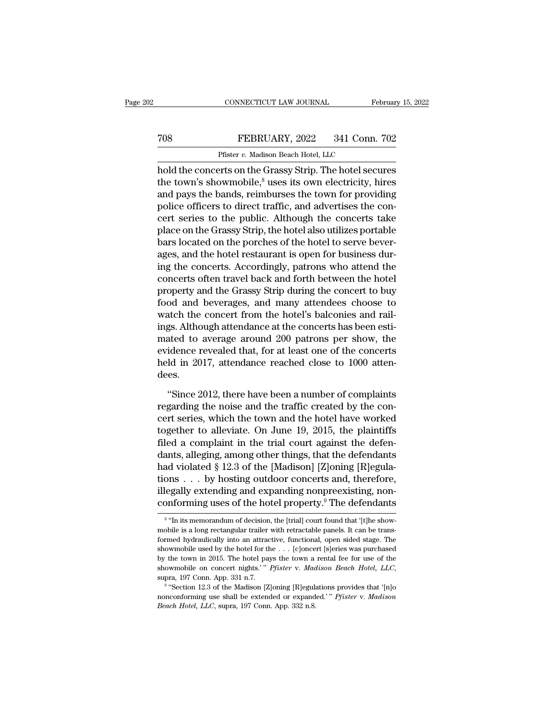## CONNECTICUT LAW JOURNAL February 15, 2022<br>
TO8 FEBRUARY, 2022 341 Conn. 702<br>
Pfister v. Madison Beach Hotel, LLC CONNECTICUT LAW JOURNAL<br>FEBRUARY, 2022 341 Conn.<br>Pfister *v.* Madison Beach Hotel, LLC<br>Prister on the Grassy Strip. The hotel sect

CONNECTICUT LAW JOURNAL February 15, 2022<br>
TOS FEBRUARY, 2022 341 Conn. 702<br>
Pfister v. Madison Beach Hotel, LLC<br>
hold the concerts on the Grassy Strip. The hotel secures<br>
the town's showmobile,<sup>8</sup> uses its own electricity TOS FEBRUARY, 2022 341 Conn. 702<br>Pfister v. Madison Beach Hotel, LLC<br>hold the concerts on the Grassy Strip. The hotel secures<br>the town's showmobile,<sup>8</sup> uses its own electricity, hires<br>and pays the bands, reimburses the to TOS FEBRUARY, 2022 341 Conn. 702<br>
Pfister v. Madison Beach Hotel, LLC<br>
hold the concerts on the Grassy Strip. The hotel secures<br>
the town's showmobile,  ${}^8$  uses its own electricity, hires<br>
and pays the bands, reimburses FEBRUARY, 2022 341 Conn. 702<br>
Pfister v. Madison Beach Hotel, LLC<br>
hold the concerts on the Grassy Strip. The hotel secures<br>
the town's showmobile,<sup>8</sup> uses its own electricity, hires<br>
and pays the bands, reimburses the to Pfister v. Madison Beach Hotel, LLC<br>hold the concerts on the Grassy Strip. The hotel secures<br>the town's showmobile,<sup>8</sup> uses its own electricity, hires<br>and pays the bands, reimburses the town for providing<br>police officers Plaster *t*. Maalson Beach Hotel, LLC<br>hold the concerts on the Grassy Strip. The hotel secures<br>the town's showmobile,<sup>8</sup> uses its own electricity, hires<br>and pays the bands, reimburses the town for providing<br>police officer hold the concerts on the Grassy Strip. The hotel secures<br>the town's showmobile,<sup>8</sup> uses its own electricity, hires<br>and pays the bands, reimburses the town for providing<br>police officers to direct traffic, and advertises the the town's showmobile,<sup>8</sup> uses its own electricity, hires<br>and pays the bands, reimburses the town for providing<br>police officers to direct traffic, and advertises the con-<br>cert series to the public. Although the concerts ta and pays the bands, reimburses the town for providing<br>police officers to direct traffic, and advertises the con-<br>cert series to the public. Although the concerts take<br>place on the Grassy Strip, the hotel also utilizes port police officers to direct traffic, and advertises the concert series to the public. Although the concerts take<br>place on the Grassy Strip, the hotel also utilizes portable<br>bars located on the porches of the hotel to serve b cert series to the public. Although the concerts take<br>place on the Grassy Strip, the hotel also utilizes portable<br>bars located on the porches of the hotel to serve bever-<br>ages, and the hotel restaurant is open for business place on the Grassy Strip, the hotel also utilizes portable<br>bars located on the porches of the hotel to serve bever-<br>ages, and the hotel restaurant is open for business dur-<br>ing the concerts. Accordingly, patrons who atten bars located on the porches of the hotel to serve bever-<br>ages, and the hotel restaurant is open for business dur-<br>ing the concerts. Accordingly, patrons who attend the<br>concerts often travel back and forth between the hotel ages, and the hotel restaurant is open for business during the concerts. Accordingly, patrons who attend the concerts often travel back and forth between the hotel property and the Grassy Strip during the concert to buy fo ing the concerts. Accordingly, patrons who attend the<br>concerts often travel back and forth between the hotel<br>property and the Grassy Strip during the concert to buy<br>food and beverages, and many attendees choose to<br>watch th concerts often travel back and forth between the hotel<br>property and the Grassy Strip during the concert to buy<br>food and beverages, and many attendees choose to<br>watch the concert from the hotel's balconies and rail-<br>ings. A property and the Grassy Strip during the concert to buy<br>food and beverages, and many attendees choose to<br>watch the concert from the hotel's balconies and rail-<br>ings. Although attendance at the concerts has been esti-<br>mated dees. gs. Although attendance at the concerts has been estiated to average around 200 patrons per show, the idence revealed that, for at least one of the concerts ld in 2017, attendance reached close to 1000 attenes.<br>"Since 2012 mated to average around 200 patrons per show, the evidence revealed that, for at least one of the concerts held in 2017, attendance reached close to 1000 attendees.<br>
"Since 2012, there have been a number of complaints rega

evidence revealed that, for at least one of the concerts<br>held in 2017, attendance reached close to 1000 atten-<br>dees.<br>"Since 2012, there have been a number of complaints<br>regarding the noise and the traffic created by the co held in 2017, attendance reached close to 1000 atten-<br>dees.<br>"Since 2012, there have been a number of complaints<br>regarding the noise and the traffic created by the con-<br>cert series, which the town and the hotel have worked<br> dees.<br>
"Since 2012, there have been a number of complaints<br>
regarding the noise and the traffic created by the con-<br>
cert series, which the town and the hotel have worked<br>
together to alleviate. On June 19, 2015, the plai "Since 2012, there have been a number of complaints<br>regarding the noise and the traffic created by the concert series, which the town and the hotel have worked<br>together to alleviate. On June 19, 2015, the plaintiffs<br>filed "Since 2012, there have been a number of complaints<br>regarding the noise and the traffic created by the con-<br>cert series, which the town and the hotel have worked<br>together to alleviate. On June 19, 2015, the plaintiffs<br>fil regarding the noise and the traffic created by the concert series, which the town and the hotel have worked<br>together to alleviate. On June 19, 2015, the plaintiffs<br>filed a complaint in the trial court against the defen-<br>da cert series, which the town and the hotel have worked<br>together to alleviate. On June 19, 2015, the plaintiffs<br>filed a complaint in the trial court against the defen-<br>dants, alleging, among other things, that the defendants together to alleviate. On June 19, 2015, the plaintiffs<br>filed a complaint in the trial court against the defen-<br>dants, alleging, among other things, that the defendants<br>had violated § 12.3 of the [Madison] [Z]oning [R]egu had violated § 12.3 of the [Madison] [Z]oning [R]egulations . . . by hosting outdoor concerts and, therefore, illegally extending and expanding nonpreexisting, nonconforming uses of the hotel property.<sup>9</sup> The defendants tions  $\dots$  by hosting outdoor concerts and, therefore, illegally extending and expanding nonpreexisting, non-conforming uses of the hotel property.<sup>9</sup> The defendants  $\frac{1}{\pi}$  it is memorandum of decision, the [trial] co

<sup>&</sup>lt;sup>8</sup> "In its memorandum of decision, the [trial] court found that '[t]he showillegally extending and expanding nonpreexisting, non-<br>conforming uses of the hotel property.<sup>9</sup> The defendants<br><sup>8</sup> "In its memorandum of decision, the [trial] court found that '[t]he show-<br>mobile is a long rectangular tra conforming uses of the hotel property.<sup>9</sup> The defendants<br>
<sup>8</sup> "In its memorandum of decision, the [trial] court found that '[t]he show-<br>
mobile is a long rectangular trailer with retractable panels. It can be trans-<br>
form For the town in 2015. The determining uses of the total property. The determinis  $\frac{1}{s}$  in its memorandum of decision, the [trial] court found that '[t]he show-<br>mobile is a long rectangular trailer with retractable pan <sup>8</sup> "In its memorandum of decision, the [trial] court found that '[t]he showmobile is a long rectangular trailer with retractable panels. It can be transformed hydraulically into an attractive, functional, open sided stag and hydraulically into an attractive, functional, open sided stage. The wmobile used by the hotel for the . . . [c]oncert [s]eries was purchased the town in 2015. The hotel pays the town a rental fee for use of the wmobil nonconforming use shall be extended or expanded.'" *Pfister* v. *Madison* Behavior in 2015. The hotel pays the town a rental fee for use of the showmobile on concert nights.'" *Pfister* v. *Madison Beach Hotel*, *LLC*, su show<br>mobile used by the hotel for the . . . [c]<br>oncert [s]eries was purchased by the town in 2015. The hotel pays the town a rental fee for use of the show<br>mobile on concert nights.'" *Pfister* v. *Madison Beach Hotel*,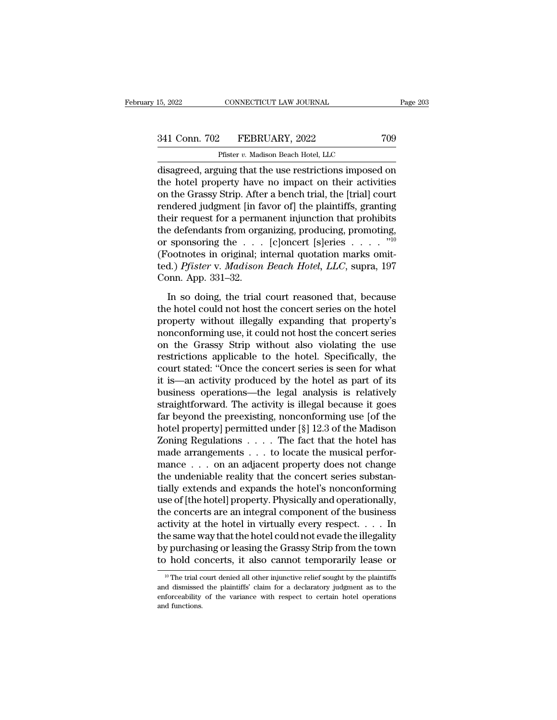# 15, 2022 CONNECTICUT LAW JOURNAL Page 203<br>341 Conn. 702 FEBRUARY, 2022 709<br>Pfister v. Madison Beach Hotel, LLC

15, 2022 CONNECTICUT LAW JOURNAL<br>
241 Conn. 702 FEBRUARY, 2022 709<br>
Pfister *v.* Madison Beach Hotel, LLC<br>
disagreed, arguing that the use restrictions imposed on 15, 2022 CONNECTICUT LAW JOURNAL Page 203<br>
341 Conn. 702 FEBRUARY, 2022 709<br>
Pfister v. Madison Beach Hotel, LLC<br>
disagreed, arguing that the use restrictions imposed on<br>
the hotel property have no impact on their activiti 341 Conn. 702 FEBRUARY, 2022 709<br>
Pfister *v. Madison Beach Hotel, LLC*<br>
disagreed, arguing that the use restrictions imposed on<br>
the hotel property have no impact on their activities<br>
on the Grassy Strip. After a bench t 341 Conn. 702 FEBRUARY, 2022 709<br>
Pfister *v.* Madison Beach Hotel, LLC<br>
disagreed, arguing that the use restrictions imposed on<br>
the hotel property have no impact on their activities<br>
on the Grassy Strip. After a bench t 341 Conn. 702 FEBRUARY, 2022 709<br>
Pfister v. Madison Beach Hotel, LLC<br>
disagreed, arguing that the use restrictions imposed on<br>
the hotel property have no impact on their activities<br>
on the Grassy Strip. After a bench tri Pfister *v.* Madison Beach Hotel, LLC<br>
disagreed, arguing that the use restrictions imposed on<br>
the hotel property have no impact on their activities<br>
on the Grassy Strip. After a bench trial, the [trial] court<br>
rendered Firster v. Maalson Beach Hotel, LLC<br>disagreed, arguing that the use restrictions imposed on<br>the hotel property have no impact on their activities<br>on the Grassy Strip. After a bench trial, the [trial] court<br>rendered judgme disagreed, arguing that the use restrictions imposed on<br>the hotel property have no impact on their activities<br>on the Grassy Strip. After a bench trial, the [trial] court<br>rendered judgment [in favor of] the plaintiffs, gra the hotel property have no impact on their activities<br>on the Grassy Strip. After a bench trial, the [trial] court<br>rendered judgment [in favor of] the plaintiffs, granting<br>their request for a permanent injunction that proh on the Grassy Strip. After a bench trial, the [trial] court<br>rendered judgment [in favor of] the plaintiffs, granting<br>their request for a permanent injunction that prohibits<br>the defendants from organizing, producing, promot rendered judgment [in fa<br>their request for a perma<br>the defendants from orga<br>or sponsoring the . . . .<br>(Footnotes in original; it<br>ted.) *Pfister* v. *Madison*<br>Conn. App. 331–32.<br>In so doing, the trial Let defendants from organizing, producing, promoting,<br>
sponsoring the  $\ldots$  [c]oncert [s]eries  $\ldots$  .  $\overset{\text{10}}{\text{10}}$ <br>
ootnotes in original; internal quotation marks omit-<br>
d.) *Pfister v. Madison Beach Hotel*, *LLC*, or sponsoring the  $\ldots$  [c]oncert [s]eries  $\ldots$   $\ldots$   $\overset{\text{v10}}{\text{10}}$ <br>(Footnotes in original; internal quotation marks omitted.) *Pfister* v. *Madison Beach Hotel*, *LLC*, supra, 197<br>Conn. App. 331–32.<br>In so doing, th

probability and the repeation of the control of the control (Footnotes in original; internal quotation marks omitted.) *Pfister* v. *Madison Beach Hotel*, *LLC*, supra, 197 Conn. App. 331–32.<br>In so doing, the trial court nonconforming use, it could not hotel, LLC, supra, 197<br>
In so doing, the trial court reasoned that, because<br>
the hotel could not host the concert series on the hotel<br>
property without illegally expanding that property's<br>
n Conn. App. 331–32.<br>
In so doing, the trial court reasoned that, because<br>
the hotel could not host the concert series on the hotel<br>
property without illegally expanding that property's<br>
nonconforming use, it could not host In so doing, the trial court reasoned that, because<br>the hotel could not host the concert series on the hotel<br>property without illegally expanding that property's<br>nonconforming use, it could not host the concert series<br>on t In so doing, the trial court reasoned that, because<br>the hotel could not host the concert series on the hotel<br>property without illegally expanding that property's<br>nonconforming use, it could not host the concert series<br>on t the hotel could not host the concert series on the hotel<br>property without illegally expanding that property's<br>nonconforming use, it could not host the concert series<br>con the Grassy Strip without also violating the use<br>rest property without illegally expanding that property's<br>nonconforming use, it could not host the concert series<br>on the Grassy Strip without also violating the use<br>restrictions applicable to the hotel. Specifically, the<br>court nonconforming use, it could not host the concert series<br>on the Grassy Strip without also violating the use<br>restrictions applicable to the hotel. Specifically, the<br>court stated: "Once the concert series is seen for what<br>it on the Grassy Strip without also violating the use<br>restrictions applicable to the hotel. Specifically, the<br>court stated: "Once the concert series is seen for what<br>it is—an activity produced by the hotel as part of its<br>busi restrictions applicable to the hotel. Specifically, the<br>court stated: "Once the concert series is seen for what<br>it is—an activity produced by the hotel as part of its<br>business operations—the legal analysis is relatively<br>st court stated: "Once the concert series is seen for what<br>it is—an activity produced by the hotel as part of its<br>business operations—the legal analysis is relatively<br>straightforward. The activity is illegal because it goes<br>f it is—an activity produced by the hotel as part of its<br>business operations—the legal analysis is relatively<br>straightforward. The activity is illegal because it goes<br>far beyond the preexisting, nonconforming use [of the<br>hot business operations—the legal analysis is relatively<br>straightforward. The activity is illegal because it goes<br>far beyond the preexisting, nonconforming use [of the<br>hotel property] permitted under [§] 12.3 of the Madison<br>Zo straightforward. The activity is illegal because it goes<br>far beyond the preexisting, nonconforming use [of the<br>hotel property] permitted under [§] 12.3 of the Madison<br>Zoning Regulations . . . . The fact that the hotel has<br> far beyond the preexisting, nonconforming use [of the<br>hotel property] permitted under [§] 12.3 of the Madison<br>Zoning Regulations  $\ldots$  . The fact that the hotel has<br>made arrangements  $\ldots$  to locate the musical perfor-<br>ma hotel property] permitted under [§] 12.3 of the Madison<br>Zoning Regulations  $\,\ldots\,$ . The fact that the hotel has<br>made arrangements  $\,\ldots\,$  to locate the musical perfor-<br>mance  $\,\ldots\,$  on an adjacent property does not cha Zoning Regulations  $\dots$  . The fact that the hotel has<br>made arrangements  $\dots$  to locate the musical perfor-<br>mance  $\dots$  on an adjacent property does not change<br>the undeniable reality that the concert series substan-<br>tially made arrangements . . . to locate the musical perfor-<br>mance . . . on an adjacent property does not change<br>the undeniable reality that the concert series substan-<br>tially extends and expands the hotel's nonconforming<br>use of mance  $\ldots$  on an adjacent property does not change<br>the undeniable reality that the concert series substan-<br>tially extends and expands the hotel's nonconforming<br>use of [the hotel] property. Physically and operationally,<br>t the undeniable reality that the concert series substantially extends and expands the hotel's nonconforming<br>use of [the hotel] property. Physically and operationally,<br>the concerts are an integral component of the business<br>a tially extends and expands the hotel's nonconforming<br>use of [the hotel] property. Physically and operationally,<br>the concerts are an integral component of the business<br>activity at the hotel in virtually every respect. . . Extry at the hotel in virtually every respect.  $\ldots$  in the same way that the hotel could not evade the illegality by purchasing or leasing the Grassy Strip from the town bold concerts, it also cannot temporarily lease or the same way that the hotel could not evade the illegality<br>by purchasing or leasing the Grassy Strip from the town<br>to hold concerts, it also cannot temporarily lease or<br><sup>10</sup> The trial court denied all other injunctive reli

by purchasing or leasing the Grassy Strip from the town<br>to hold concerts, it also cannot temporarily lease or<br> $\frac{10 \text{ T/h}}{10 \text{ T/h}}$  The trial court denied all other injunctive relief sought by the plaintiffs<br>and dismisse to hold complete the trial complete that  $\frac{10}{10}$  The trial contributions.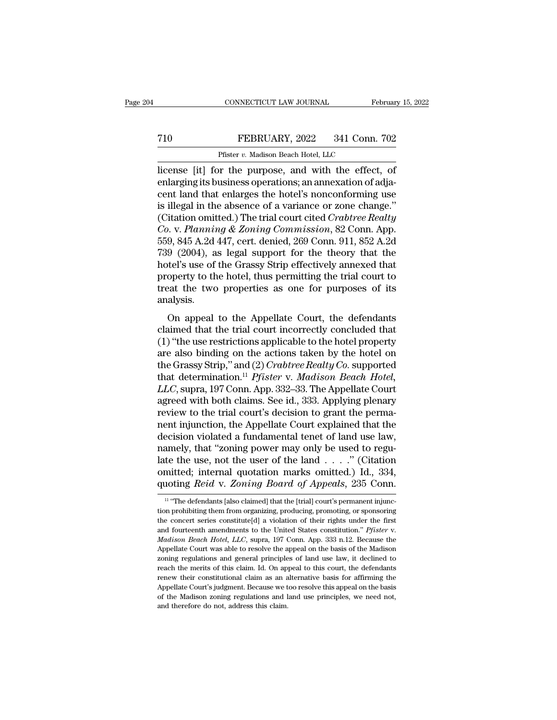## CONNECTICUT LAW JOURNAL February 15, 2022<br>
T10 FEBRUARY, 2022 341 Conn. 702<br>
Pfister v. Madison Beach Hotel, LLC CONNECTICUT LAW JOURNAL Fe<br>FEBRUARY, 2022 341 Conn.<br>Pfister *v.* Madison Beach Hotel, LLC<br>or the nurnose and with the effect

CONNECTICUT LAW JOURNAL February 15, 202<br>
FEBRUARY, 2022 341 Conn. 702<br>
Pfister v. Madison Beach Hotel, LLC<br>
license [it] for the purpose, and with the effect, of<br>
enlarging its business operations; an annexation of adja-<br> FEBRUARY, 2022 341 Conn. 702<br>
Pfister v. Madison Beach Hotel, LLC<br>
license [it] for the purpose, and with the effect, of<br>
enlarging its business operations; an annexation of adja-<br>
cent land that enlarges the hotel's nonco T10 FEBRUARY, 2022 341 Conn. 702<br>
Pfister v. Madison Beach Hotel, LLC<br>
license [it] for the purpose, and with the effect, of<br>
enlarging its business operations; an annexation of adja-<br>
cent land that enlarges the hotel's FEBRUARY, 2022 341 Conn. 702<br>
Pfister v. Madison Beach Hotel, LLC<br>
license [it] for the purpose, and with the effect, of<br>
enlarging its business operations; an annexation of adja-<br>
cent land that enlarges the hotel's nonc Plastic Reader Medicine Countries<br>
Fister v. Madison Beach Hotel, LLC<br>
license [it] for the purpose, and with the effect, of<br>
enlarging its business operations; an annexation of adja-<br>
cent land that enlarges the hotel's n *Planning Baach Hotel, LLC*<br>
license [it] for the purpose, and with the effect, of<br>
enlarging its business operations; an annexation of adja-<br>
cent land that enlarges the hotel's nonconforming use<br>
is illegal in the absenc license [it] for the purpose, and with the effect, of<br>enlarging its business operations; an annexation of adja-<br>cent land that enlarges the hotel's nonconforming use<br>is illegal in the absence of a variance or zone change." enlarging its business operations; an annexation of adjacent land that enlarges the hotel's nonconforming use<br>is illegal in the absence of a variance or zone change."<br>(Citation omitted.) The trial court cited *Crabtree Rea* cent land that enlarges the hotel's nonconforming use<br>is illegal in the absence of a variance or zone change."<br>(Citation omitted.) The trial court cited *Crabtree Realty*<br>*Co.* v. *Planning & Zoning Commission*, 82 Conn. A is illegal in the absence of a variance or zone change."<br>(Citation omitted.) The trial court cited *Crabtree Realty*<br> $Co. v.$  *Planning & Zoning Commission*, 82 Conn. App.<br>559, 845 A.2d 447, cert. denied, 269 Conn. 911, 852 (Citation omitted.) The trial court cited *Crabtree Realty*  $Co$ . v. *Planning & Zoning Commission*, 82 Conn. App. 559, 845 A.2d 447, cert. denied, 269 Conn. 911, 852 A.2d 739 (2004), as legal support for the theory that t analysis.  $(9, 049 \text{ A}.2d 44)$ , eer. denied, 200 Conit. 911, 002 A.2d<br>  $(2004)$ , as legal support for the theory that the<br>
tel's use of the Grassy Strip effectively annexed that<br>
operty to the hotel, thus permitting the trial court For  $(2004)$ , as regal support for the theory that the<br>hotel's use of the Grassy Strip effectively annexed that<br>property to the hotel, thus permitting the trial court to<br>treat the two properties as one for purposes of its

moter's use of the crassy strip encervery annexed that<br>property to the hotel, thus permitting the trial court to<br>treat the two properties as one for purposes of its<br>analysis.<br>On appeal to the Appellate Court, the defendan property to the hotel, thus permitting the that court to<br>treat the two properties as one for purposes of its<br>analysis.<br>On appeal to the Appellate Court, the defendants<br>claimed that the trial court incorrectly concluded th treat the two properties as one for purposes of its<br>analysis.<br>On appeal to the Appellate Court, the defendants<br>claimed that the trial court incorrectly concluded that<br>(1) "the use restrictions applicable to the hotel prope on appeal to the Appellate Court, the defendants<br>claimed that the trial court incorrectly concluded that<br>(1) "the use restrictions applicable to the hotel property<br>are also binding on the actions taken by the hotel on<br>the On appeal to the Appellate Court, the defendants<br>claimed that the trial court incorrectly concluded that<br>(1) "the use restrictions applicable to the hotel property<br>are also binding on the actions taken by the hotel on<br>the claimed that the trial court incorrectly concluded that<br>(1) "the use restrictions applicable to the hotel property<br>are also binding on the actions taken by the hotel on<br>the Grassy Strip," and (2) *Crabtree Realty Co*. supp (1) "the use restrictions applicable to the hotel property<br>are also binding on the actions taken by the hotel on<br>the Grassy Strip," and (2) *Crabtree Realty Co*. supported<br>that determination.<sup>11</sup> *Pfister v. Madison Beach* are also binding on the actions taken by the hotel on<br>the Grassy Strip," and (2) *Crabtree Realty Co*. supported<br>that determination.<sup>11</sup> *Pfister v. Madison Beach Hotel,*<br>*LLC*, supra, 197 Conn. App. 332–33. The Appellate the Grassy Strip," and (2) *Crabtree Realty Co.* supported<br>that determination.<sup>11</sup> *Pfister* v. *Madison Beach Hotel,*<br>*LLC*, supra, 197 Conn. App. 332–33. The Appellate Court<br>agreed with both claims. See id., 333. Applyin that determination.<sup>11</sup> *Pfister* v. *Madison Beach Hotel, LLC*, supra, 197 Conn. App. 332–33. The Appellate Court agreed with both claims. See id., 333. Applying plenary review to the trial court's decision to grant th LLC, supra, 197 Conn. App. 332–33. The Appellate Court<br>agreed with both claims. See id., 333. Applying plenary<br>review to the trial court's decision to grant the perma-<br>nent injunction, the Appellate Court explained that th agreed with both claims. See id., 333. Applying plenary<br>review to the trial court's decision to grant the perma-<br>nent injunction, the Appellate Court explained that the<br>decision violated a fundamental tenet of land use law review to the trial court's decision to grant the perma-<br>nent injunction, the Appellate Court explained that the<br>decision violated a fundamental tenet of land use law,<br>namely, that "zoning power may only be used to regu-<br>l namely, that "zoning power may only be used to regulate the use, not the user of the land . . . ." (Citation omitted; internal quotation marks omitted.) Id., 334, quoting *Reid* v. *Zoning Board of Appeals*, 235 Conn. late the use, not the user of the land . . . . " (Citation omitted; internal quotation marks omitted.) Id., 334, quoting *Reid* v. *Zoning Board of Appeals*, 235 Conn.<br><sup>11</sup> "The defendants [also claimed] that the [trial]

omitted; internal quotation marks omitted.) Id., 334, quoting *Reid* v. Zoning Board of Appeals, 235 Conn.<br>
<sup>11</sup> "The defendants [also claimed] that the [trial] court's permanent injunction prohibiting them from organizing and fourteenth amendments to the United States constitution prohibiting them from organizing, producing, promoting, or sponsoring the concert series constituted a violation of their rights under the first and fourteenth am <sup>11</sup> "The defendants [also claimed] that the [trial] court's permanent injunction prohibiting them from organizing, producing, promoting, or sponsoring the concert series constitute[d] a violation of their rights under th tion prohibiting them from organizing, producing, promoting, or sponsoring the concert series constitute[d] a violation of their rights under the first and fourteenth amendments to the United States constitution." *Pfiste* the concert series constitute[d] a violation of their rights under the first and fourteenth amendments to the United States constitution." *Pfister* v. *Madison Beach Hotel, LLC*, supra, 197 Conn. App. 333 n.12. Because t and fourteenth amendments to the United States constitution." *Pfister* v.<br>Madison Beach Hotel, LLC, supra, 197 Conn. App. 333 n.12. Because the<br>Appellate Court was able to resolve the appeal on the basis of the Madison<br>zo *Madison Beach Hotel, LLC*, supra, 197 Conn. App. 333 n.12. Because the Appellate Court was able to resolve the appeal on the basis of the Madison zoning regulations and general principles of land use law, it declined to r Appellate Court was able to resolve the appeal on the basis of the Madison zoning regulations and general principles of land use law, it declined to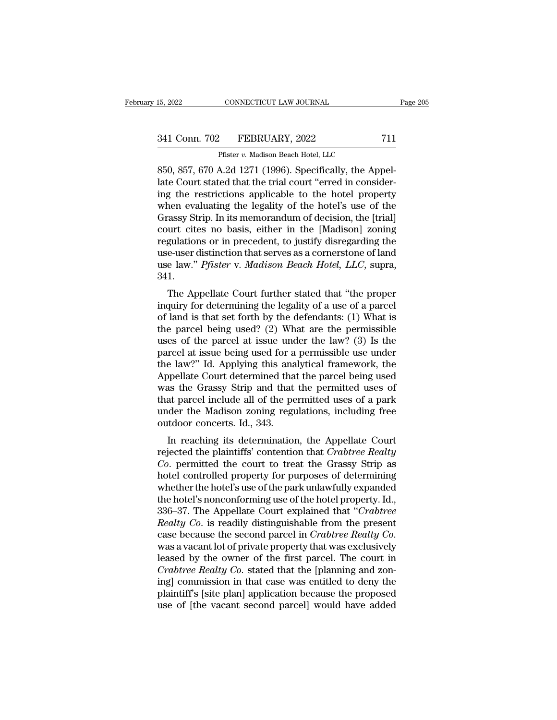CONNECTICUT LAW JOURNAL<br>
Pfister *v.* Madison Beach Hotel, LLC<br>
A 2d 1271 (1996) Specifically the An 85, 2022 CONNECTICUT LAW JOURNAL<br>
841 Conn. 702 FEBRUARY, 2022 711<br>
Pfister v. Madison Beach Hotel, LLC<br>
850, 857, 670 A.2d 1271 (1996). Specifically, the Appel-<br>
late Court stated that the trial court "erred in consider-<br> 341 Conn. 702 FEBRUARY, 2022 711<br>
Pfister v. Madison Beach Hotel, LLC<br>
850, 857, 670 A.2d 1271 (1996). Specifically, the Appellate Court stated that the trial court "erred in consider-<br>
ing the restrictions applicable to t 341 Conn. 702 FEBRUARY, 2022 711<br>
Pfister v. Madison Beach Hotel, LLC<br>
850, 857, 670 A.2d 1271 (1996). Specifically, the Appellate Court stated that the trial court "erred in consider-<br>
ing the restrictions applicable to 341 Conn. 702 FEBRUARY, 2022 711<br>
Pfister v. Madison Beach Hotel, LLC<br>
850, 857, 670 A.2d 1271 (1996). Specifically, the Appellate Court stated that the trial court "erred in consider-<br>
ing the restrictions applicable to Pfister v. Madison Beach Hotel, LLC<br>
850, 857, 670 A.2d 1271 (1996). Specifically, the Appel-<br>
late Court stated that the trial court "erred in consider-<br>
ing the restrictions applicable to the hotel property<br>
when evalua Phister v. Madison Beach Hotel, LLC<br>850, 857, 670 A.2d 1271 (1996). Specifically, the Appel-<br>late Court stated that the trial court "erred in consider-<br>ing the restrictions applicable to the hotel property<br>when evaluating 850, 857, 670 A.2d 1271 (1996). Specifically, the Appellate Court stated that the trial court "erred in considering the restrictions applicable to the hotel property when evaluating the legality of the hotel's use of the late Court stated that the trial court "erred in considering the restrictions applicable to the hotel property<br>when evaluating the legality of the hotel's use of the<br>Grassy Strip. In its memorandum of decision, the [trial] ing the restrictions applicable to the hotel property<br>when evaluating the legality of the hotel's use of the<br>Grassy Strip. In its memorandum of decision, the [trial]<br>court cites no basis, either in the [Madison] zoning<br>reg 341. assy strip. in its inemotation of decision, the [triar]<br>urt cites no basis, either in the [Madison] zoning<br>gulations or in precedent, to justify disregarding the<br>e-user distinction that serves as a cornerstone of land<br>e la regulations or in precedent, to justify disregarding the<br>use-user distinction that serves as a cornerstone of land<br>use law." *Pfister v. Madison Beach Hotel, LLC*, supra,<br>341.<br>The Appellate Court further stated that "the

regulations of in precedent, to justify distegarding the<br>use-user distinction that serves as a cornerstone of land<br>use law." *Pfister* v. *Madison Beach Hotel*, *LLC*, supra,<br>341.<br>The Appellate Court further stated that " use-user ulstriction that serves as a corrieration of failule use law." *Pfister v. Madison Beach Hotel, LLC*, supra, 341.<br>The Appellate Court further stated that "the proper inquiry for determining the legality of a use o use faw. *Thister* v. *maatson Beach Trotet*, *EEC*, supra,<br>341.<br>The Appellate Court further stated that "the proper<br>inquiry for determining the legality of a use of a parcel<br>of land is that set forth by the defendants: ( before the Appellate Court further stated that "the proper<br>inquiry for determining the legality of a use of a parcel<br>of land is that set forth by the defendants: (1) What is<br>the parcel being used? (2) What are the permissi The Appellate Court further stated that "the proper<br>inquiry for determining the legality of a use of a parcel<br>of land is that set forth by the defendants: (1) What is<br>the parcel being used? (2) What are the permissible<br>use inquiry for determining the legality of a use of a parcel<br>of land is that set forth by the defendants: (1) What is<br>the parcel being used? (2) What are the permissible<br>uses of the parcel at issue under the law? (3) Is the<br>p of land is that set forth by the defendants: (1) What is<br>the parcel being used? (2) What are the permissible<br>uses of the parcel at issue under the law? (3) Is the<br>parcel at issue being used for a permissible use under<br>the the parcel being used? (2) What are the permissible<br>uses of the parcel at issue under the law? (3) Is the<br>parcel at issue being used for a permissible use under<br>the law?" Id. Applying this analytical framework, the<br>Appell uses of the parcel at issue under the law? (3) Is the parcel at issue being used for a permissible use under the law?" Id. Applying this analytical framework, the Appellate Court determined that the parcel being used was t parcel at issue being used for a<br>the law?" Id. Applying this ana<br>Appellate Court determined tha<br>was the Grassy Strip and that<br>that parcel include all of the pe<br>under the Madison zoning regu<br>outdoor concerts. Id., 343.<br>In r E law: The Applying this analytical framework, the oppellate Court determined that the parcel being used as the Grassy Strip and that the permitted uses of a park der the Madison zoning regulations, including free tradoor reflection to the particle that the particle uses of<br>that parcel include all of the permitted uses of a park<br>under the Madison zoning regulations, including free<br>outdoor concerts. Id., 343.<br>In reaching its determination, t

was the Grassy Strip and that the permitted uses of<br>that parcel include all of the permitted uses of a park<br>under the Madison zoning regulations, including free<br>outdoor concerts. Id., 343.<br>In reaching its determination, th that parter include an of the perintied uses of a park<br>under the Madison zoning regulations, including free<br>outdoor concerts. Id., 343.<br>In reaching its determination, the Appellate Court<br>rejected the plaintiffs' contention under the madison zoning regulations, including the<br>outdoor concerts. Id., 343.<br>In reaching its determination, the Appellate Court<br>rejected the plaintiffs' contention that *Crabtree Realty*<br>*Co.* permitted the court to tre In reaching its determination, the Appellate Court<br>rejected the plaintiffs' contention that *Crabtree Realty*<br>*Co*. permitted the court to treat the Grassy Strip as<br>hotel controlled property for purposes of determining<br>wh In reaching its determination, the Appellate Court<br>rejected the plaintiffs' contention that *Crabtree Realty*<br>*Co.* permitted the court to treat the Grassy Strip as<br>hotel controlled property for purposes of determining<br>whe rejected the plaintiffs' contention that *Crabtree Realty*<br>*Co*. permitted the court to treat the Grassy Strip as<br>hotel controlled property for purposes of determining<br>whether the hotel's use of the park unlawfully expande *Co.* permitted the court to treat the Grassy Strip as<br>hotel controlled property for purposes of determining<br>whether the hotel's use of the park unlawfully expanded<br>the hotel's nonconforming use of the hotel property. Id., whether the hotel's use of the park unlawfully expanded<br>the hotel's nonconforming use of the hotel property. Id.,<br>336–37. The Appellate Court explained that "*Crabtree*<br>Realty Co. is readily distinguishable from the presen the hotel's nonconforming use of the hotel property. Id., 336–37. The Appellate Court explained that "*Crabtree Realty Co.* is readily distinguishable from the present case because the second parcel in *Crabtree Realty Co.* 336–37. The Appellate Court explained that "*Crabtree*<br>Realty Co. is readily distinguishable from the present<br>case because the second parcel in Crabtree Realty Co.<br>was a vacant lot of private property that was exclusively<br> Realty Co. is readily distinguishable from the present<br>case because the second parcel in Crabtree Realty Co.<br>was a vacant lot of private property that was exclusively<br>leased by the owner of the first parcel. The court in<br>C case because the second parcel in *Crabtree Realty Co*.<br>was a vacant lot of private property that was exclusively<br>leased by the owner of the first parcel. The court in<br>*Crabtree Realty Co*. stated that the [planning and zo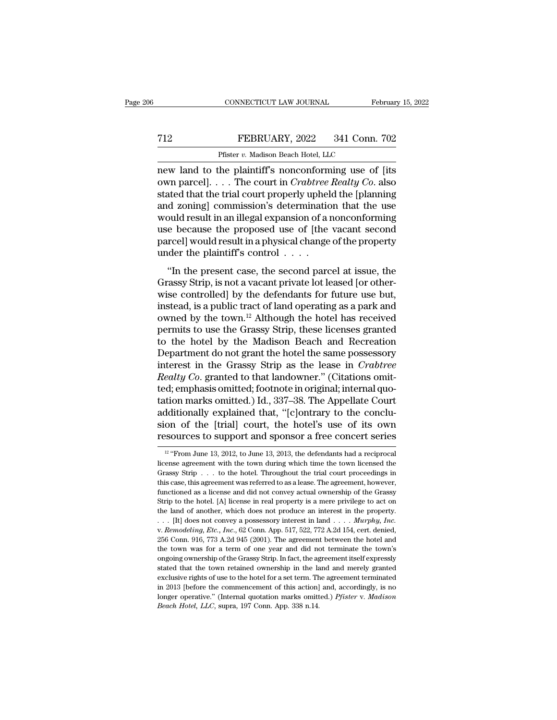# EXECUTE CONNECTICUT LAW JOURNAL February 15, 2022<br>
FEBRUARY, 2022 341 Conn. 702<br>
Pfister v. Madison Beach Hotel, LLC

CONNECTICUT LAW JOURNAL February 15, 2022<br>
Pfister *v.* Madison Beach Hotel, LLC<br>
Represents the plaintiff's nonconforming use of [its CONNECTICUT LAW JOURNAL February 15, 2022<br>
T12 FEBRUARY, 2022 341 Conn. 702<br>
Pfister v. Madison Beach Hotel, LLC<br>
new land to the plaintiff's nonconforming use of [its<br>
own parcel]. . . . The court in *Crabtree Realty Co*. The FEBRUARY, 2022 341 Conn. 702<br>
Pfister v. Madison Beach Hotel, LLC<br>
The court in *Crabtree Realty Co*. also<br>
Stated that the trial court properly upheld the [planning<br>
and zoning] commission's dotermination that the use FEBRUARY, 2022 341 Conn. 702<br>
Pfister v. Madison Beach Hotel, LLC<br>
new land to the plaintiff's nonconforming use of [its<br>
own parcel]. . . . The court in *Crabtree Realty Co*. also<br>
stated that the trial court properly up FEBRUARY, 2022 341 Conn. 702<br>
Pfister v. Madison Beach Hotel, LLC<br>
new land to the plaintiff's nonconforming use of [its<br>
own parcel].... The court in *Crabtree Realty Co*. also<br>
stated that the trial court properly uphel Pfister v. Madison Beach Hotel, LLC<br>
new land to the plaintiff's nonconforming use of [its<br>
own parcel].... The court in *Crabtree Realty Co*. also<br>
stated that the trial court properly upheld the [planning<br>
and zoning] c Phister v. Madison Beach Hotel, LLC<br>new land to the plaintiff's nonconforming use of [its<br>own parcel]. . . . The court in *Crabtree Realty Co*. also<br>stated that the trial court properly upheld the [planning<br>and zoning] co new land to the plaintiff's nonconforming use of [its own parcel]. . . . The court in *Crabtree Realty Co*. also stated that the trial court properly upheld the [planning and zoning] commission's determination that the use own parcel]. . . . The court in *Crabtree* stated that the trial court properly uphel and zoning] commission's determinatio would result in an illegal expansion of a nuse because the proposed use of [the parcel] would res In the branching determination that the use<br>
ould result in an illegal expansion of a nonconforming<br>
e because the proposed use of [the vacant second<br>
rcel] would result in a physical change of the property<br>
der the plaint and zoning] commission's determination that the use<br>would result in an illegal expansion of a nonconforming<br>use because the proposed use of [the vacant second<br>parcel] would result in a physical change of the property<br>under

would result in an inegal expansion of a noncombining<br>use because the proposed use of [the vacant second<br>parcel] would result in a physical change of the property<br>under the plaintiff's control  $\ldots$ .<br>"In the present case, figure is a proposed use of the vacant second<br>parcel] would result in a physical change of the property<br>under the plaintiff's control  $\dots$ .<br>"In the present case, the second parcel at issue, the<br>Grassy Strip, is not a vaca parecif would result in a physical change of the property<br>under the plaintiff's control . . . .<br>"In the present case, the second parcel at issue, the<br>Grassy Strip, is not a vacant private lot leased [or other-<br>wise contro "In the present case, the second parcel at issue, the<br>Grassy Strip, is not a vacant private lot leased [or other-<br>wise controlled] by the defendants for future use but,<br>instead, is a public tract of land operating as a pa "In the present case, the second parcel at issue, the<br>Grassy Strip, is not a vacant private lot leased [or other-<br>wise controlled] by the defendants for future use but,<br>instead, is a public tract of land operating as a pa Grassy Strip, is not a vacant private lot leased [or otherwise controlled] by the defendants for future use but, instead, is a public tract of land operating as a park and owned by the town.<sup>12</sup> Although the hotel has rec wise controlled] by the defendants for future use but,<br>instead, is a public tract of land operating as a park and<br>owned by the town.<sup>12</sup> Although the hotel has received<br>permits to use the Grassy Strip, these licenses grant instead, is a public tract of land operating as a park and<br>owned by the town.<sup>12</sup> Although the hotel has received<br>permits to use the Grassy Strip, these licenses granted<br>to the hotel by the Madison Beach and Recreation<br>Dep owned by the town.<sup>12</sup> Although the hotel has received<br>permits to use the Grassy Strip, these licenses granted<br>to the hotel by the Madison Beach and Recreation<br>Department do not grant the hotel the same possessory<br>interest permits to use the Grassy Strip, these licenses granted<br>to the hotel by the Madison Beach and Recreation<br>Department do not grant the hotel the same possessory<br>interest in the Grassy Strip as the lease in *Crabtree*<br>Realty to the hotel by the Madison Beach and Recreation<br>Department do not grant the hotel the same possessory<br>interest in the Grassy Strip as the lease in *Crabtree<br>Realty Co*. granted to that landowner." (Citations omit-<br>ted; em Department do not grant the hotel the same possessory<br>interest in the Grassy Strip as the lease in *Crabtree*<br>Realty Co. granted to that landowner." (Citations omit-<br>ted; emphasis omitted; footnote in original; internal qu interest in the Grassy Strip as the lease in *Crabtree*<br>Realty Co. granted to that landowner." (Citations omit-<br>ted; emphasis omitted; footnote in original; internal quo-<br>tation marks omitted.) Id., 337–38. The Appellate 12 that it is considered that, "[c] ontrary to the conclusionally explained that, "[c] ontrary to the conclusion of the [trial] court, the hotel's use of its own ssources to support and sponsor a free concert series  $\frac{1$ additionally explained that, "[c]ontrary to the conclusion of the [trial] court, the hotel's use of its own resources to support and sponsor a free concert series  $\frac{12 \text{ °From June 13, 2012}}{12 \text{ °From June 13, 2012, to June 13, 2013, the defendants$ 

sion of the [trial] court, the hotel's use of its own<br>resources to support and sponsor a free concert series<br> $\frac{12 \text{ °F}$ rom June 13, 2012, to June 13, 2013, the defendants had a reciprocal<br>license agreement with the tow **resources to support and sponsor a free concert series**<br>
<sup>12</sup> "From June 13, 2012, to June 13, 2013, the defendants had a reciprocal license agreement with the town during which time the town licensed the Grassy Strip  $\$ FUNCTES CO SUPPOLE AND SPOISOT A THEE CONCETT SETIES<br>
<sup>12</sup> "From June 13, 2012, to June 13, 2013, the defendants had a reciprocal<br>
license agreement with the town during which time the town licensed the<br>
Grassy Strip . . <sup>12</sup> "From June 13, 2012, to June 13, 2013, the defendants had a reciprocal license agreement with the town during which time the town licensed the Grassy Strip  $\ldots$  to the hotel. Throughout the trial court proceedings i The license agreement with the town during which time the town licensed the Grassy Strip . . . to the hotel. Throughout the trial court proceedings in this case, this agreement was referred to as a lease. The agreement, h Example 1. . . . to the hotel. Throughout the trial court proceedings in this case, this agreement was referred to as a lease. The agreement, however, functioned as a license and did not convey actual ownership of the Gras functioned as a license and did not convey actual ownership of the Grassy<br>Strip to the hotel. [A] license in real property is a mere privilege to act on<br>the land of another, which does not produce an interest in the prope Strip to the hotel. [A] license in real property is a mere privilege to act on the land of another, which does not produce an interest in the property.<br>
. . . [It] does not convey a possessory interest in land . . . . *Mu* but the land of another, which does not produce an interest in the property.<br>
. . . [It] does not convey a possessory interest in land . . . . *Murphy, Inc.*<br>
v. *Remodeling, Etc., Inc.*, 62 Conn. App. 517, 522, 772 A.2d stated that the town retained ownership in the land and merely granted exclusive rights of the town was for a term of one year and did not terminate the town's ongoing ownership of the Grassy Strip. In fact, the agreement exclusive rights of use to the hotel for a set term. The agreement terminated the town was for a term of one year and did not terminate the town's ongoing ownership of the Grassy Strip. In fact, the agreement itself expre 256 Conn. 916, 773 A.2d 945 (2001). The agreement between the hotel and the town was for a term of one year and did not terminate the town's ongoing ownership of the Grassy Strip. In fact, the agreement itself expressly s Longton Marks for a term of one year and did not terminate the town's<br>ongoing ownership of the Grassy Strip. In fact, the agreement itself expressly<br>stated that the town retained ownership in the land and merely granted<br>ex the town was for a term of one year and did not terminate the town's ongoing ownership of the Grassy Strip. In fact, the agreement itself expressly stated that the town retained ownership in the land and merely granted exc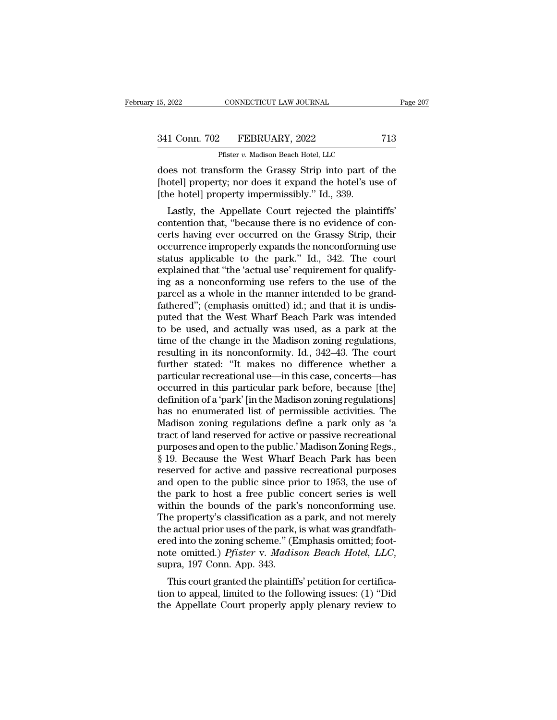| 15, 2022      | CONNECTICUT LAW JOURNAL             | Page 207 |
|---------------|-------------------------------------|----------|
|               |                                     |          |
| 341 Conn. 702 | FEBRUARY, 2022                      | 713      |
|               | Pfister v. Madison Beach Hotel, LLC |          |

CONNECTICUT LAW JOURNAL<br>
Pfister *v.* Madison Beach Hotel, LLC<br>
Sorm the Grassy Strip into part of 15, 2022 CONNECTICUT LAW JOURNAL Page 207<br>
341 Conn. 702 FEBRUARY, 2022 713<br>
Pfister v. Madison Beach Hotel, LLC<br>
does not transform the Grassy Strip into part of the<br>
[hotel] property; nor does it expand the hotel's use o († 1341 Conn. 702 FEBRUARY, 2022 713<br>Pfister v. Madison Beach Hotel, LLC<br>does not transform the Grassy Strip into part of the<br>[hotel] property; nor does it expand the hotel's use of<br>[the hotel] property impermissibly." Id.  $\frac{341 \text{ Conn. } 702 \qquad \text{FEBRUARY, } 2022}{\text{Pfister } v. \text{ Madison Beach Hotel, } \text{LLC}}$ <br>does not transform the Grassy Strip into part of<br>[hotel] property; nor does it expand the hotel's us<br>[the hotel] property impermissibly." Id., 339.<br>Lastly, the A 1 Conn. 702 FEBRUARY, 2022 713<br>
Pfister *v.* Madison Beach Hotel, LLC<br>
less not transform the Grassy Strip into part of the<br>
otel] property; nor does it expand the hotel's use of<br>
ne hotel] property impermissibly." Id., 3

Pfister  $v$ . Madison Beach Hotel, LLC<br>does not transform the Grassy Strip into part of the<br>[hotel] property; nor does it expand the hotel's use of<br>[the hotel] property impermissibly." Id., 339.<br>Lastly, the Appellate Court does not transform the Grassy Strip into part of the<br>[hotel] property; nor does it expand the hotel's use of<br>[the hotel] property impermissibly." Id., 339.<br>Lastly, the Appellate Court rejected the plaintiffs'<br>contention th does not transform the crassy strip into part of the<br>[hotel] property; nor does it expand the hotel's use of<br>[the hotel] property impermissibly." Id., 339.<br>Lastly, the Appellate Court rejected the plaintiffs'<br>contention th [hote] property, not does it expand the noter's use of<br>
[the hotel] property impermissibly." Id., 339.<br>
Lastly, the Appellate Court rejected the plaintiffs'<br>
contention that, "because there is no evidence of con-<br>
certs ha Lastly, the Appellate Court rejected the plaintiffs'<br>contention that, "because there is no evidence of concerts having ever occurred on the Grassy Strip, their<br>occurrence improperly expands the nonconforming use<br>status app Lastly, the Appellate Court rejected the plaintiffs'<br>contention that, "because there is no evidence of con-<br>certs having ever occurred on the Grassy Strip, their<br>occurrence improperly expands the nonconforming use<br>status contention that, "because there is no evidence of concerts having ever occurred on the Grassy Strip, their occurrence improperly expands the nonconforming use status applicable to the park." Id., 342. The court explained t certs having ever occurred on the Grassy Strip, their<br>occurrence improperly expands the nonconforming use<br>status applicable to the park." Id., 342. The court<br>explained that "the 'actual use' requirement for qualify-<br>ing as occurrence improperly expands the nonconforming use<br>status applicable to the park." Id., 342. The court<br>explained that "the 'actual use' requirement for qualify-<br>ing as a nonconforming use refers to the use of the<br>parcel a status applicable to the park." Id., 342. The court<br>explained that "the 'actual use' requirement for qualify-<br>ing as a nonconforming use refers to the use of the<br>parcel as a whole in the manner intended to be grand-<br>fathe explained that "the 'actual use' requirement for qualify-<br>ing as a nonconforming use refers to the use of the<br>parcel as a whole in the manner intended to be grand-<br>fathered"; (emphasis omitted) id.; and that it is undis-<br>p ing as a nonconforming use refers to the use of the<br>parcel as a whole in the manner intended to be grand-<br>fathered"; (emphasis omitted) id.; and that it is undis-<br>puted that the West Wharf Beach Park was intended<br>to be use parcel as a whole in the manner intended to be grand-<br>fathered"; (emphasis omitted) id.; and that it is undis-<br>puted that the West Wharf Beach Park was intended<br>to be used, and actually was used, as a park at the<br>time of t fathered"; (emphasis omitted) id.; and that it is undis-<br>puted that the West Wharf Beach Park was intended<br>to be used, and actually was used, as a park at the<br>time of the change in the Madison zoning regulations,<br>resulting puted that the West Wharf Beach Park was intended<br>to be used, and actually was used, as a park at the<br>time of the change in the Madison zoning regulations,<br>resulting in its nonconformity. Id., 342–43. The court<br>further sta to be used, and actually was used, as a park at the<br>time of the change in the Madison zoning regulations,<br>resulting in its nonconformity. Id., 342–43. The court<br>further stated: "It makes no difference whether a<br>particular time of the change in the Madison zoning regulations,<br>resulting in its nonconformity. Id., 342–43. The court<br>further stated: "It makes no difference whether a<br>particular recreational use—in this case, concerts—has<br>occurred resulting in its nonconformity. Id., 342–43. The court<br>further stated: "It makes no difference whether a<br>particular recreational use—in this case, concerts—has<br>occurred in this particular park before, because [the]<br>definit further stated: "It makes no difference whether a<br>particular recreational use—in this case, concerts—has<br>occurred in this particular park before, because [the]<br>definition of a 'park' [in the Madison zoning regulations]<br>has particular recreational use—in this case, concerts—has<br>occurred in this particular park before, because [the]<br>definition of a 'park' [in the Madison zoning regulations]<br>has no enumerated list of permissible activities. The occurred in this particular park before, because [the]<br>definition of a 'park' [in the Madison zoning regulations]<br>has no enumerated list of permissible activities. The<br>Madison zoning regulations define a park only as 'a<br>tr definition of a 'park' [in the Madison zoning regulations]<br>has no enumerated list of permissible activities. The<br>Madison zoning regulations define a park only as 'a<br>tract of land reserved for active or passive recreational has no enumerated list of permissible activities. The<br>Madison zoning regulations define a park only as 'a<br>tract of land reserved for active or passive recreational<br>purposes and open to the public.' Madison Zoning Regs.,<br>§ Madison zoning regulations define a park only as 'a<br>tract of land reserved for active or passive recreational<br>purposes and open to the public.' Madison Zoning Regs.,<br>§ 19. Because the West Wharf Beach Park has been<br>reserve tract of land reserved for active or passive recreational<br>purposes and open to the public.' Madison Zoning Regs.,<br>§ 19. Because the West Wharf Beach Park has been<br>reserved for active and passive recreational purposes<br>and o purposes and open to the public.' Madison Zoning Regs.,<br>§ 19. Because the West Wharf Beach Park has been<br>reserved for active and passive recreational purposes<br>and open to the public since prior to 1953, the use of<br>the park § 19. Because the West Wharf Beach Park has been<br>reserved for active and passive recreational purposes<br>and open to the public since prior to 1953, the use of<br>the park to host a free public concert series is well<br>within th reserved for active and passive recreational purposes<br>and open to the public since prior to 1953, the use of<br>the park to host a free public concert series is well<br>within the bounds of the park's nonconforming use.<br>The prop and open to the public since prior to 1953, the use of<br>the park to host a free public concert series is well<br>within the bounds of the park's nonconforming use.<br>The property's classification as a park, and not merely<br>the ac thin the bounds of the park's honcomorning use.<br>
ee property's classification as a park, and not merely<br>
e actual prior uses of the park, is what was grandfath-<br>
ed into the zoning scheme." (Emphasis omitted; foot-<br>
the om The property's classification as a park, and not inerefy<br>the actual prior uses of the park, is what was grandfath-<br>ered into the zoning scheme." (Emphasis omitted; foot-<br>note omitted.) *Pfister* v. *Madison Beach Hotel*, the actual prior uses of the park, is what was grandian-<br>ered into the zoning scheme." (Emphasis omitted; foot-<br>note omitted.) *Pfister* v. *Madison Beach Hotel*, *LLC*,<br>supra, 197 Conn. App. 343.<br>This court granted the pl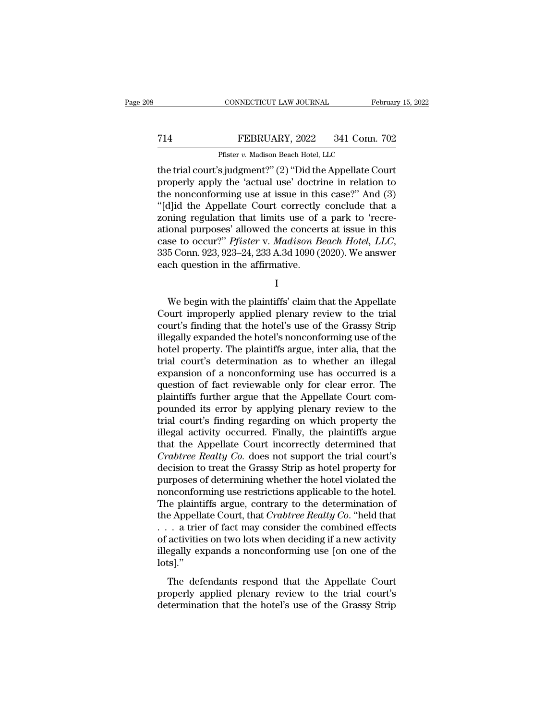## CONNECTICUT LAW JOURNAL February 15, 2022<br>
T14 FEBRUARY, 2022 341 Conn. 702<br>
Pfister v. Madison Beach Hotel, LLC CONNECTICUT LAW JOURNAL<br>FEBRUARY, 2022 341 Conn.<br>Pfister *v.* Madison Beach Hotel, LLC<br>s iudgment?" (2) "Did the Annellate Co

CONNECTICUT LAW JOURNAL February 15, 202<br>
T14 FEBRUARY, 2022 341 Conn. 702<br>
Pfister v. Madison Beach Hotel, LLC<br>
the trial court's judgment?'' (2) "Did the Appellate Court<br>
properly apply the 'actual use' doctrine in relat FEBRUARY, 2022 341 Conn. 702<br>
Pfister v. Madison Beach Hotel, LLC<br>
the trial court's judgment?" (2) "Did the Appellate Court<br>
properly apply the 'actual use' doctrine in relation to<br>
the nonconforming use at issue in this T14 FEBRUARY, 2022 341 Conn. 702<br>
Pfister v. Madison Beach Hotel, LLC<br>
the trial court's judgment?" (2) "Did the Appellate Court<br>
properly apply the 'actual use' doctrine in relation to<br>
the nonconforming use at issue in T14 FEBRUARY, 2022 341 Conn. 702<br>
Pfister v. Madison Beach Hotel, LLC<br>
the trial court's judgment?" (2) "Did the Appellate Court<br>
properly apply the 'actual use' doctrine in relation to<br>
the nonconforming use at issue in Pfister v. Madison Beach Hotel, LLC<br>the trial court's judgment?" (2) "Did the Appellate Court<br>properly apply the 'actual use' doctrine in relation to<br>the nonconforming use at issue in this case?" And (3)<br>"[d]id the Appell Phister v. Madison Beach Hotel, LLC<br>the trial court's judgment?" (2) "Did the Appellate Court<br>properly apply the 'actual use' doctrine in relation to<br>the nonconforming use at issue in this case?" And (3)<br>"[d]id the Appell the trial court's judgment?" (2) "Did the Appellate Court<br>properly apply the 'actual use' doctrine in relation to<br>the nonconforming use at issue in this case?" And (3)<br>"[d]id the Appellate Court correctly conclude that a<br>z the nonconforming use at issue in thi<br>
"[d]id the Appellate Court correctly<br>
zoning regulation that limits use of a<br>
ational purposes' allowed the concert<br>
case to occur?" Pfister v. Madison B<br>
335 Conn. 923, 923–24, 233 A For the concerts at issue in this<br>se to occur?" Pfister v. Madison Beach Hotel, LLC,<br>5 Conn. 923, 923–24, 233 A.3d 1090 (2020). We answer<br>ch question in the affirmative.<br> $I$ <br>We begin with the plaintiffs' claim that the Ap

I and the set of  $\mathbf I$ 

case to occur?" Pfister v. Madison Beach Hotel, LLC,<br>335 Conn. 923, 923–24, 233 A.3d 1090 (2020). We answer<br>each question in the affirmative.<br>I<br>We begin with the plaintiffs' claim that the Appellate<br>Court improperly applie 335 Conn. 923, 923–24, 233 A.3d 1090 (2020). We answer<br>each question in the affirmative.<br> $I$ <br>We begin with the plaintiffs' claim that the Appellate<br>Court improperly applied plenary review to the trial<br>court's finding that illegally expanded the plaintiffs' claim that the Appellate<br>Court improperly applied plenary review to the trial<br>court's finding that the hotel's use of the Grassy Strip<br>illegally expanded the hotel's nonconforming use of I<br>We begin with the plaintiffs' claim that the Appellate<br>Court improperly applied plenary review to the trial<br>court's finding that the hotel's use of the Grassy Strip<br>illegally expanded the hotel's nonconforming use of the We begin with the plaintiffs' claim that the Appellate<br>Court improperly applied plenary review to the trial<br>court's finding that the hotel's use of the Grassy Strip<br>illegally expanded the hotel's nonconforming use of the<br>h We begin with the plaintiffs' claim that the Appellate<br>Court improperly applied plenary review to the trial<br>court's finding that the hotel's use of the Grassy Strip<br>illegally expanded the hotel's nonconforming use of the<br>h Court improperly applied plenary review to the trial<br>court's finding that the hotel's use of the Grassy Strip<br>illegally expanded the hotel's nonconforming use of the<br>hotel property. The plaintiffs argue, inter alia, that t court's finding that the hotel's use of the Grassy Strip<br>illegally expanded the hotel's nonconforming use of the<br>hotel property. The plaintiffs argue, inter alia, that the<br>trial court's determination as to whether an illeg illegally expanded the hotel's nonconforming use of the<br>hotel property. The plaintiffs argue, inter alia, that the<br>trial court's determination as to whether an illegal<br>expansion of a nonconforming use has occurred is a<br>que hotel property. The plaintiffs argue, inter alia, that the<br>trial court's determination as to whether an illegal<br>expansion of a nonconforming use has occurred is a<br>question of fact reviewable only for clear error. The<br>plain trial court's determination as to whether an illegal<br>expansion of a nonconforming use has occurred is a<br>question of fact reviewable only for clear error. The<br>plaintiffs further argue that the Appellate Court com-<br>pounded i expansion of a nonconforming use has occurred is a<br>question of fact reviewable only for clear error. The<br>plaintiffs further argue that the Appellate Court com-<br>pounded its error by applying plenary review to the<br>trial cour question of fact reviewable only for clear error. The<br>plaintiffs further argue that the Appellate Court com-<br>pounded its error by applying plenary review to the<br>trial court's finding regarding on which property the<br>illegal plaintiffs further argue that the Appellate Court compounded its error by applying plenary review to the trial court's finding regarding on which property the illegal activity occurred. Finally, the plaintiffs argue that t pounded its error by applying plenary review to the<br>trial court's finding regarding on which property the<br>illegal activity occurred. Finally, the plaintiffs argue<br>that the Appellate Court incorrectly determined that<br>*Crabt* trial court's finding regarding on which property the<br>illegal activity occurred. Finally, the plaintiffs argue<br>that the Appellate Court incorrectly determined that<br>*Crabtree Realty Co*. does not support the trial court's<br>d illegal activity occurred. Finally, the plaintiffs argue<br>that the Appellate Court incorrectly determined that<br>*Crabtree Realty Co*. does not support the trial court's<br>decision to treat the Grassy Strip as hotel property fo that the Appellate Court incorrectly determined that<br> *Crabtree Realty Co*. does not support the trial court's<br>
decision to treat the Grassy Strip as hotel property for<br>
purposes of determining whether the hotel violated t Crabtree Realty Co. does not support the trial court's<br>decision to treat the Grassy Strip as hotel property for<br>purposes of determining whether the hotel violated the<br>nonconforming use restrictions applicable to the hotel decision to treat the Grassy Strip as hotel property for<br>purposes of determining whether the hotel violated the<br>nonconforming use restrictions applicable to the hotel.<br>The plaintiffs argue, contrary to the determination of purposes of determining whether the hotel violated the<br>nonconforming use restrictions applicable to the hotel.<br>The plaintiffs argue, contrary to the determination of<br>the Appellate Court, that *Crabtree Realty Co*. "held th lots].'' re Appellate Court, that *Crabtree Realty Co*. "held that<br>
a trier of fact may consider the combined effects<br>
activities on two lots when deciding if a new activity<br>
regally expands a nonconforming use [on one of the<br>
s]." are appendice court, that chaothed recating on. Their and the trial control of activities on two lots when deciding if a new activity illegally expands a nonconforming use [on one of the lots]."<br>The defendants respond that determination that the hotel's use of the Grassy Stripture detector of activities on two lots when deciding if a new activity illegally expands a nonconforming use [on one of the lots]."<br>The defendants respond that the Ap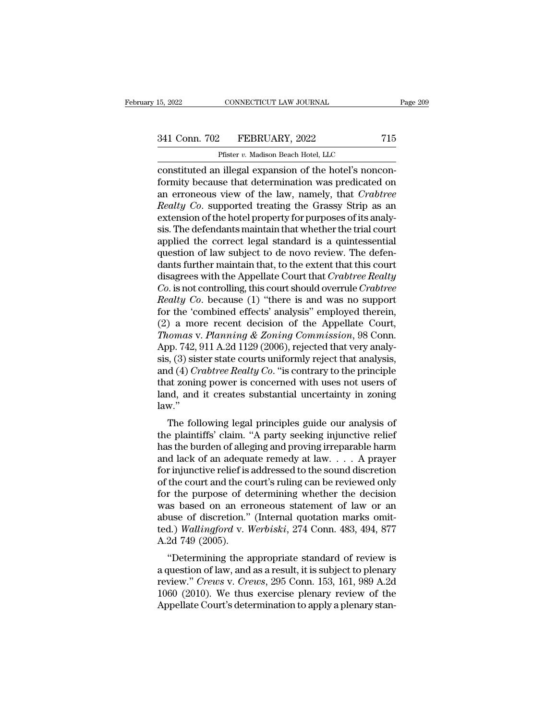# 15, 2022 CONNECTICUT LAW JOURNAL Page 209<br>341 Conn. 702 FEBRUARY, 2022 715<br>Pfister v. Madison Beach Hotel, LLC

CONNECTICUT LAW JOURNAL<br>
Pfister *v.* Madison Beach Hotel, LLC<br>
1 illegal expansion of the hotel's none EXECTE AN SOURNAL<br>
EXECTE AN OURNAL<br>
SALE CONNECTICUT LAW JOURNAL<br>
Prister v. Madison Beach Hotel, LLC<br>
CONSTITUTED An illegal expansion of the hotel's noncon-<br>
formity because that determination was predicated on<br>
The pro 341 Conn. 702 FEBRUARY, 2022 715<br>
Pfister v. Madison Beach Hotel, LLC<br>
constituted an illegal expansion of the hotel's nonconformity because that determination was predicated on<br>
an erroneous view of the law, namely, that 341 Conn. 702 FEBRUARY, 2022 715<br>
Pfister *v.* Madison Beach Hotel, LLC<br>
constituted an illegal expansion of the hotel's noncon-<br>
formity because that determination was predicated on<br>
an erroneous view of the law, namely, <sup>241</sup> Conn. 702 FEBRUARY, 2022 715<br>
Pfister *v.* Madison Beach Hotel, LLC<br>
constituted an illegal expansion of the hotel's nonconformity because that determination was predicated on<br>
an erroneous view of the law, namely, t Pfister *v.* Madison Beach Hotel, LLC<br>
constituted an illegal expansion of the hotel's noncon-<br>
formity because that determination was predicated on<br>
an erroneous view of the law, namely, that *Crabtree*<br> *Realty Co.* supp Pluster v. Madison Beach Hotel, LLC<br>
constituted an illegal expansion of the hotel's noncon-<br>
formity because that determination was predicated on<br>
an erroneous view of the law, namely, that *Crabtree<br>
Realty Co*. support constituted an illegal expansion of the hotel's nonconformity because that determination was predicated on<br>an erroneous view of the law, namely, that *Crabtree*<br>Realty Co. supported treating the Grassy Strip as an<br>extensio formity because that determination was predicated on<br>an erroneous view of the law, namely, that *Crabtree*<br>Realty Co. supported treating the Grassy Strip as an<br>extension of the hotel property for purposes of its analy-<br>sis an erroneous view of the law, namely, that *Crabtree*<br>Realty Co. supported treating the Grassy Strip as an<br>extension of the hotel property for purposes of its analy-<br>sis. The defendants maintain that whether the trial cour Realty Co. supported treating the Grassy Strip as an extension of the hotel property for purposes of its analysis. The defendants maintain that whether the trial court applied the correct legal standard is a quintessential extension of the hotel property for purposes of its analysis. The defendants maintain that whether the trial court<br>applied the correct legal standard is a quintessential<br>question of law subject to de novo review. The defen sis. The defendants maintain that whether the trial court<br>applied the correct legal standard is a quintessential<br>question of law subject to de novo review. The defen-<br>dants further maintain that, to the extent that this co applied the correct legal standard is a quintessential<br>question of law subject to de novo review. The defen-<br>dants further maintain that, to the extent that this court<br>disagrees with the Appellate Court that *Crabtree Rea* question of law subject to de novo review. The defendants further maintain that, to the extent that this court<br>disagrees with the Appellate Court that *Crabtree Realty*<br>*Co*. is not controlling, this court should overrule dants further maintain that, to the extent that this court<br>disagrees with the Appellate Court that *Crabtree Realty*<br>*Co.* is not controlling, this court should overrule *Crabtree<br>Realty Co.* because (1) "there is and was disagrees with the Appellate Court that *Crabtree Realty*<br>Co. is not controlling, this court should overrule Crabtree<br>Realty Co. because (1) "there is and was no support<br>for the 'combined effects' analysis" employed therei Co. is not controlling, this court should overrule Crabtree<br>Realty Co. because (1) "there is and was no support<br>for the 'combined effects' analysis" employed therein,<br>(2) a more recent decision of the Appellate Court,<br>Tho Realty Co. because (1) "there is and was no support<br>for the 'combined effects' analysis" employed therein,<br>(2) a more recent decision of the Appellate Court,<br>Thomas v. Planning & Zoning Commission, 98 Conn.<br>App. 742, 911 A for the 'combined effects' analysis" employed therein,<br>
(2) a more recent decision of the Appellate Court,<br> *Thomas v. Planning & Zoning Commission*, 98 Conn.<br>
App. 742, 911 A.2d 1129 (2006), rejected that very analy-<br>
si (2) a more recent decision of the Appellate Court,<br>Thomas v. Planning & Zoning Commission, 98 Conn.<br>App. 742, 911 A.2d 1129 (2006), rejected that very analy-<br>sis, (3) sister state courts uniformly reject that analysis,<br>an law.'' by.  $742$ ,  $911$  A.2d  $1129$  (2000), rejected that very analysis, (3) sister state courts uniformly reject that analysis, d (4) *Crabtree Realty Co*. "is contrary to the principle at zoning power is concerned with uses no sis, (3) sister state courts uniformly reject that analysis,<br>and (4) *Crabtree Realty Co*. "is contrary to the principle<br>that zoning power is concerned with uses not users of<br>land, and it creates substantial uncertainty i

and (4) Craotree heatty Co. is contrary to the principle<br>that zoning power is concerned with uses not users of<br>land, and it creates substantial uncertainty in zoning<br>law."<br>The following legal principles guide our analysis and, and it creates substantial uncertainty in zoning<br>law."<br>The following legal principles guide our analysis of<br>the plaintiffs' claim. "A party seeking injunctive relief<br>has the burden of alleging and proving irreparable fand, and it creates substantial uncertainty in zoning<br>law."<br>The following legal principles guide our analysis of<br>the plaintiffs' claim. "A party seeking injunctive relief<br>has the burden of alleging and proving irreparabl The following legal principles guide our analysis of<br>the plaintiffs' claim. "A party seeking injunctive relief<br>has the burden of alleging and proving irreparable harm<br>and lack of an adequate remedy at  $law$ .... A prayer<br>fo The following legal principles guide our analysis of<br>the plaintiffs' claim. "A party seeking injunctive relief<br>has the burden of alleging and proving irreparable harm<br>and lack of an adequate remedy at law.  $\ldots$  A prayer<br> the plaintiffs' claim. "A party seeking injunctive relief<br>has the burden of alleging and proving irreparable harm<br>and lack of an adequate remedy at law. . . . A prayer<br>for injunctive relief is addressed to the sound discr has the burden of alleging and proving irreparable harm<br>and lack of an adequate remedy at law. . . . A prayer<br>for injunctive relief is addressed to the sound discretion<br>of the court and the court's ruling can be reviewed and lack of an adequate remedy at law. . . . A prayer<br>for injunctive relief is addressed to the sound discretion<br>of the court and the court's ruling can be reviewed only<br>for the purpose of determining whether the decision<br> for injunctive relief is<br>of the court and the co<br>for the purpose of d<br>was based on an ern<br>abuse of discretion."<br>ted.) *Wallingford* v. I<br>A.2d 749 (2005).<br>"Determining the a The purpose of determining vhether the decision<br>
as based on an erroneous statement of law or an<br>
use of discretion." (Internal quotation marks omit-<br>
d.) *Wallingford* v. *Werbiski*, 274 Conn. 483, 494, 877<br>
2d 749 (2005 For the purpose of determining whether the decision<br>was based on an erroneous statement of law or an<br>abuse of discretion." (Internal quotation marks omit-<br>ted.) Wallingford v. Werbiski, 274 Conn. 483, 494, 877<br>A.2d 749 (2

was based of air erroneous statement of faw of an<br>abuse of discretion." (Internal quotation marks omit-<br>ted.) *Wallingford* v. *Werbiski*, 274 Conn. 483, 494, 877<br>A.2d 749 (2005).<br>"Determining the appropriate standard of r abuse of uscretion. (Internal quotation marks onlited.) Wallingford v. Werbiski, 274 Conn. 483, 494, 877<br>A.2d 749 (2005).<br>"Determining the appropriate standard of review is<br>a question of law, and as a result, it is subject Led.) Waatingford V. Werbiski, 274 Collif. 465, 494, 677<br>A.2d 749 (2005).<br>"Determining the appropriate standard of review is<br>a question of law, and as a result, it is subject to plenary<br>review." Crews v. Crews, 295 Conn. 1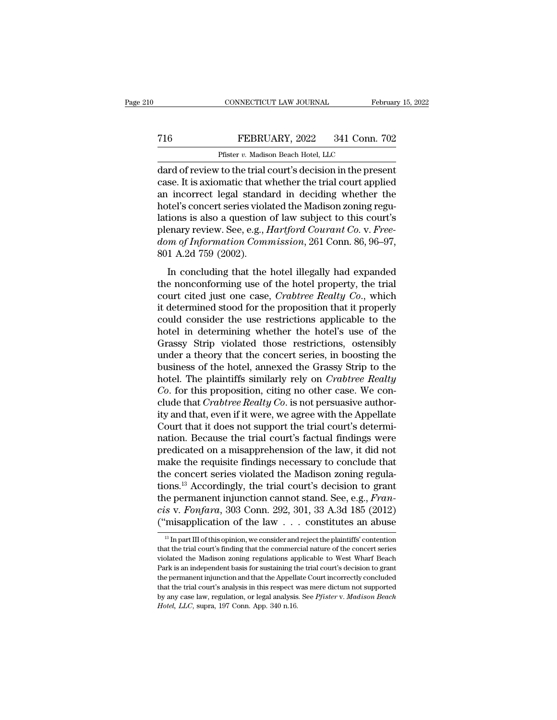## CONNECTICUT LAW JOURNAL February 15, 2022<br>
T16 FEBRUARY, 2022 341 Conn. 702<br>
Pfister v. Madison Beach Hotel, LLC CONNECTICUT LAW JOURNAL<br>FEBRUARY, 2022 341 Conn.<br>Pfister *v.* Madison Beach Hotel, LLC<br>To the trial court's decision in the pre-

CONNECTICUT LAW JOURNAL February 15, 202<br>
FEBRUARY, 2022 341 Conn. 702<br>
Pfister v. Madison Beach Hotel, LLC<br>
dard of review to the trial court's decision in the present<br>
case. It is axiomatic that whether the trial court a The Team of Technology (FEBRUARY, 2022 and 1 Conn. 702<br>
Pfister v. Madison Beach Hotel, LLC<br>
dard of review to the trial court's decision in the present<br>
case. It is axiomatic that whether the trial court applied<br>
an incor FEBRUARY, 2022 341 Conn. 702<br>
Pfister v. Madison Beach Hotel, LLC<br>
dard of review to the trial court's decision in the present<br>
case. It is axiomatic that whether the trial court applied<br>
an incorrect legal standard in de FEBRUARY, 2022 341 Conn. 702<br>
Pfister v. Madison Beach Hotel, LLC<br>
dard of review to the trial court's decision in the present<br>
case. It is axiomatic that whether the trial court applied<br>
an incorrect legal standard in de Pfister v. Madison Beach Hotel, LLC<br>
dard of review to the trial court's decision in the present<br>
case. It is axiomatic that whether the trial court applied<br>
an incorrect legal standard in deciding whether the<br>
hotel's co Phister *v.* Madison Beach Hotel, LLC<br>dard of review to the trial court's decision in the present<br>case. It is axiomatic that whether the trial court applied<br>an incorrect legal standard in deciding whether the<br>hotel's conce dard of review to the trial court's decision in the present case. It is axiomatic that whether the trial court applied an incorrect legal standard in deciding whether the hotel's concert series violated the Madison zoning case. It is axiomatic that w<br>an incorrect legal standa<br>hotel's concert series viola<br>lations is also a question<br>plenary review. See, e.g., *l*<br>dom of Information Com<br>801 A.2d 759 (2002).<br>In concluding that the In concert separation of the Madison zoning reguitions is also a question of law subject to this court's<br>enary review. See, e.g., *Hartford Courant Co. v. Free-<br>m of Information Commission*, 261 Conn. 86, 96–97,<br>1 A.2d 759 the noncontractive conduct and mathematic protect is determined the hotel properties over the property person of Information Commission, 261 Conn. 86, 96–97, 801 A.2d 759 (2002).<br>In concluding that the hotel illegally had

court cited just one case, *Crabtree Realty Co.*, which<br>is plenary review. See, e.g., *Hartford Courant Co.* v. *Free-dom of Information Commission*, 261 Conn. 86, 96–97,<br>801 A.2d 759 (2002).<br>In concluding that the hotel i from the proposition of Information Commission, 261 Conn. 86, 96–97,<br>801 A.2d 759 (2002).<br>In concluding that the hotel illegally had expanded<br>the nonconforming use of the hotel property, the trial<br>court cited just one cas could consider the hotel illegally had expanded<br>the nonconforming use of the hotel property, the trial<br>court cited just one case, *Crabtree Realty Co.*, which<br>it determined stood for the proposition that it properly<br>could In concluding that the hotel illegally had expanded<br>the nonconforming use of the hotel property, the trial<br>court cited just one case, *Crabtree Realty Co.*, which<br>it determined stood for the proposition that it properly<br>c In concluding that the hotel illegally had expanded<br>the nonconforming use of the hotel property, the trial<br>court cited just one case, *Crabtree Realty Co.*, which<br>it determined stood for the proposition that it properly<br>co the nonconforming use of the hotel property, the trial<br>court cited just one case, *Crabtree Realty Co.*, which<br>it determined stood for the proposition that it properly<br>could consider the use restrictions applicable to the<br> court cited just one case, *Crabtree Realty Co.*, which<br>it determined stood for the proposition that it properly<br>could consider the use restrictions applicable to the<br>hotel in determining whether the hotel's use of the<br>Gra it determined stood for the proposition that it properly<br>could consider the use restrictions applicable to the<br>hotel in determining whether the hotel's use of the<br>Grassy Strip violated those restrictions, ostensibly<br>under could consider the use restrictions applicable to the<br>hotel in determining whether the hotel's use of the<br>Grassy Strip violated those restrictions, ostensibly<br>under a theory that the concert series, in boosting the<br>busines hotel in determining whether the hotel's use of the Grassy Strip violated those restrictions, ostensibly under a theory that the concert series, in boosting the business of the hotel, annexed the Grassy Strip to the hotel. Grassy Strip violated those restrictions, ostensibly<br>under a theory that the concert series, in boosting the<br>business of the hotel, annexed the Grassy Strip to the<br>hotel. The plaintiffs similarly rely on *Crabtree Realty*<br> under a theory that the concert series, in boosting the<br>business of the hotel, annexed the Grassy Strip to the<br>hotel. The plaintiffs similarly rely on *Crabtree Realty*<br>*Co*. for this proposition, citing no other case. We business of the hotel, annexed the Grassy Strip to the<br>hotel. The plaintiffs similarly rely on *Crabtree Realty*<br>*Co*. for this proposition, citing no other case. We con-<br>clude that *Crabtree Realty Co*. is not persuasive hotel. The plaintiffs similarly rely on *Crabtree Realty*<br>Co. for this proposition, citing no other case. We con-<br>clude that *Crabtree Realty* Co. is not persuasive author-<br>ity and that, even if it were, we agree with the Co. for this proposition, citing no other case. We conclude that *Crabtree Realty Co*. is not persuasive authority and that, even if it were, we agree with the Appellate Court that it does not support the trial court's de clude that *Crabtree Realty Co*. is not persuasive authority and that, even if it were, we agree with the Appellate Court that it does not support the trial court's determination. Because the trial court's factual finding ity and that, even if it were, we agree with the Appellate<br>Court that it does not support the trial court's determi-<br>nation. Because the trial court's factual findings were<br>predicated on a misapprehension of the law, it d Court that it does not support the trial court's determination. Because the trial court's factual findings were predicated on a misapprehension of the law, it did not make the requisite findings necessary to conclude that ration. Because the trial court's factual findings were<br>predicated on a misapprehension of the law, it did not<br>make the requisite findings necessary to conclude that<br>the concert series violated the Madison zoning regula-<br> predicated on a misapprehension of the law, it did not<br>make the requisite findings necessary to conclude that<br>the concert series violated the Madison zoning regula-<br>tions.<sup>13</sup> Accordingly, the trial court's decision to gr the permanent injunction cannot stand. See, e.g., *Francis* v. *Fonfara*, 303 Conn. 292, 301, 33 A.3d 185 (2012)<br>("misapplication of the law . . . constitutes an abuse<br> $\frac{13 \text{ In part III of this opinion, we consider and reject the plaintiffs' contention}$ <br>that the trial court's fin the permanent injunction cannot stand. See, e.g., *Francis v. Fonfara*, 303 Conn. 292, 301, 33 A.3d 185 (2012)<br>("misapplication of the law . . . constitutes an abuse<br> $\frac{1}{13}$  In part III of this opinion, we consider and

cis v. Fonfara, 303 Conn. 292, 301, 33 A.3d 185 (2012)<br>
("misapplication of the law . . . constitutes an abuse<br>  $\frac{18 \text{ In part III of this opinion, we consider and reject the plaintiffs' contention}}{16 \text{ that the trial court's finding that the commercial nature of the concert series}$ <br>
violated the Madison zoning regulations applicable to West W ("misapplication of the law  $\ldots$  constitutes an abuse<br>  $\frac{1}{13}$  In part III of this opinion, we consider and reject the plaintiffs' contention<br>
that the trial court's finding that the commercial nature of the concert s The permanent injunction and that the Appellate Court incorrectly contention<br>that the trial court's finding that the commercial nature of the concert series<br>violated the Madison zoning regulations applicable to West Wharf <sup>13</sup> In part III of this opinion, we consider and reject the plaintiffs' contention that the trial court's finding that the commercial nature of the concert series violated the Madison zoning regulations applicable to Wes that the trial court's finding that the commercial nature of the concert series<br>violated the Madison zoning regulations applicable to West Wharf Beach<br>Park is an independent basis for sustaining the trial court's decision violated the Madison zoning regulations applicable to West Wharf Beach Park is an independent basis for sustaining the trial court's decision to grant the permanent injunction and that the Appellate Court incorrectly concl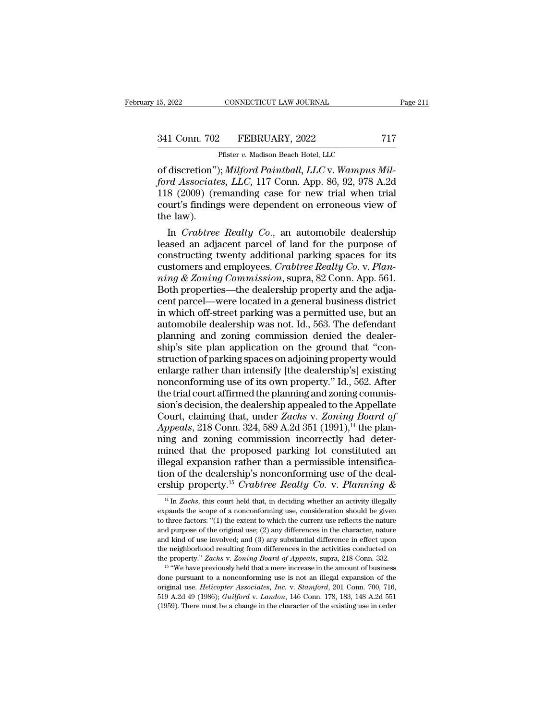CONNECTICUT LAW JOURNAL<br>
Pfister *v.* Madison Beach Hotel, LLC<br>
Pfister *v.* Madison Beach Hotel, LLC<br>
V. *Milford Painthall, LLC v. Wammus* om Connectricut LAW JOURNAL<br>
341 Conn. 702 FEBRUARY, 2022 717<br>
Pfister v. Madison Beach Hotel, LLC<br>
of discretion''); *Milford Paintball, LLC* v. *Wampus Milford Associates, LLC,* 117 Conn. App. 86, 92, 978 A.2d<br>
118 (2009 *ford Associates, LLC*, 117 Conn. App. 2022<br>*ford Associates, LLC*, 117 Conn. App. 86, 92, 978 A.2d<br>118 (2009) (remanding case for new trial when trial<br>court's findings were dependent on erroneous view of 341 Conn. 702 FEBRUARY, 2022 717<br>
Pfister v. Madison Beach Hotel, LLC<br>
of discretion"); *Milford Paintball, LLC* v. Wampus Milford Associates, LLC, 117 Conn. App. 86, 92, 978 A.2d<br>
118 (2009) (remanding case for new trial 341 Conn. 702 FEBRUARY, 2022 717<br>
Pfister v. Madison Beach Hotel, LLC<br>
of discretion''); *Milford Paintball, LLC* v. Wampus Milford Associates, LLC, 117 Conn. App. 86, 92, 978 A.2d<br>
118 (2009) (remanding case for new trial onder to the law).<br>The discretion"<br>ford Associate<br>118 (2009) (recourt's finding<br>the law).<br>In *Crabtree* Instanting Community, and<br>discretion"); *Milford Paintball*, *LLC* v. *Wampus Mil-*<br>rd Associates, *LLC*, 117 Conn. App. 86, 92, 978 A.2d<br>8 (2009) (remanding case for new trial when trial<br>urt's findings were dependent on e of discretion"); *Milford Paintball*, *LLC* v. *Wampus Milford Associates, LLC*, 117 Conn. App. 86, 92, 978 A.2d<br>118 (2009) (remanding case for new trial when trial<br>court's findings were dependent on erroneous view of<br>the

ford Associates, LLC, 117 Conn. App. 86, 92, 978 A.2d<br>118 (2009) (remanding case for new trial when trial<br>court's findings were dependent on erroneous view of<br>the law).<br>In *Crabtree Realty Co.*, an automobile dealership<br>l 118 (2009) (remanding case for new trial when trial<br>court's findings were dependent on erroneous view of<br>the law).<br>In *Crabtree Realty Co.*, an automobile dealership<br>leased an adjacent parcel of land for the purpose of<br>con court's findings were dependent on erroneous view of<br>the law).<br>In *Crabtree Realty Co.*, an automobile dealership<br>leased an adjacent parcel of land for the purpose of<br>constructing twenty additional parking spaces for its<br>c the law).<br>
In *Crabtree Realty Co.*, an automobile dealership<br>
leased an adjacent parcel of land for the purpose of<br>
constructing twenty additional parking spaces for its<br>
customers and employees. *Crabtree Realty Co. v. P* In *Crabtree Realty Co.*, an automobile dealership<br>leased an adjacent parcel of land for the purpose of<br>constructing twenty additional parking spaces for its<br>customers and employees. *Crabtree Realty Co. v. Plan-*<br>*ning &* leased an adjacent parcel of land for the purpose of<br>constructing twenty additional parking spaces for its<br>customers and employees. *Crabtree Realty Co.* v. *Plan-*<br>*ning & Zoning Commission*, supra, 82 Conn. App. 561.<br>Bot constructing twenty additional parking spaces for its<br>customers and employees. *Crabtree Realty Co. v. Plan-*<br>*ning & Zoning Commission*, supra, 82 Conn. App. 561.<br>Both properties—the dealership property and the adja-<br>cent customers and employees. *Crabtree Realty Co.* v. *Planning & Zoning Commission*, supra, 82 Conn. App. 561.<br>Both properties—the dealership property and the adjacent parcel—were located in a general business district<br>in whi ming & Zoning Commission, supra, 82 Conn. App. 561.<br>Both properties—the dealership property and the adjacent parcel—were located in a general business district<br>in which off-street parking was a permitted use, but an<br>autom Both properties—the dealership property and the adja-<br>cent parcel—were located in a general business district<br>in which off-street parking was a permitted use, but an<br>automobile dealership was not. Id., 563. The defendant<br>p cent parcel—were located in a general business district<br>in which off-street parking was a permitted use, but an<br>automobile dealership was not. Id., 563. The defendant<br>planning and zoning commission denied the dealer-<br>ship' in which off-street parking was a permitted use, but an automobile dealership was not. Id., 563. The defendant planning and zoning commission denied the dealership's site plan application on the ground that "construction o automobile dealership was not. Id., 563. The defendant planning and zoning commission denied the dealership's site plan application on the ground that "construction of parking spaces on adjoining property would enlarge rat planning and zoning commission denied the dealer-<br>ship's site plan application on the ground that "con-<br>struction of parking spaces on adjoining property would<br>enlarge rather than intensify [the dealership's] existing<br>nonc ship's site plan application on the ground that "construction of parking spaces on adjoining property would<br>enlarge rather than intensify [the dealership's] existing<br>nonconforming use of its own property." Id., 562. After<br> struction of parking spaces on adjoining property would<br>enlarge rather than intensify [the dealership's] existing<br>nonconforming use of its own property." Id., 562. After<br>the trial court affirmed the planning and zoning com enlarge rather than intensify [the dealership's] existing<br>nonconforming use of its own property." Id., 562. After<br>the trial court affirmed the planning and zoning commis-<br>sion's decision, the dealership appealed to the Ap monconforming use of its own property." Id., 562. After<br>the trial court affirmed the planning and zoning commis-<br>sion's decision, the dealership appealed to the Appellate<br>Court, claiming that, under Zachs v. Zoning Board the trial court affirmed the planning and zoning commission's decision, the dealership appealed to the Appellate Court, claiming that, under *Zachs* v. *Zoning Board of Appeals*, 218 Conn. 324, 589 A.2d 351 (1991),<sup>14</sup> th sion's decision, the dealership appealed to the Appellate Court, claiming that, under *Zachs* v. *Zoning Board of Appeals*, 218 Conn. 324, 589 A.2d 351 (1991),<sup>14</sup> the planning and zoning commission incorrectly had determ Court, claiming that, under Zachs v. Zoning Board of<br>Appeals, 218 Conn. 324, 589 A.2d 351 (1991),<sup>14</sup> the plan-<br>ning and zoning commission incorrectly had deter-<br>mined that the proposed parking lot constituted an<br>illegal e ined that the proposed parking lot constituted an legal expansion rather than a permissible intensification of the dealership's nonconforming use of the dealership property.<sup>15</sup> Crabtree Realty Co. v. Planning  $\&$ <sup>14</sup> In illegal expansion rather than a permissible intensifica-<br>tion of the dealership's nonconforming use of the deal-<br>ership property.<sup>15</sup> Crabtree Realty Co. v. Planning &<br> $\frac{14 \text{ In } Zachs, \text{ this court held that, in deciding whether an activity illegally  
expands the scope of a nonconforming use, consideration should be given  
to three factors: "$ 

tion of the dealership's nonconforming use of the dealership property.<sup>15</sup> Crabtree Realty Co. v. Planning &  $\frac{14 \text{ In } Zachs}$ , this court held that, in deciding whether an activity illegally expands the scope of a nonconfo **EXECUTE:** The vectors of the original use; (2) any differences in the character, nature and purpose of the original use; (2) any differences in the character, nature and kind of use involved; and (3) any substantial diff **ETSIND DIODETLY.** Crabtree Realty Co. V. Flamming  $\alpha$ <br><sup>14</sup> In *Zachs*, this court held that, in deciding whether an activity illegally expands the scope of a nonconforming use, consideration should be given to three fac <sup>14</sup> In *Zachs*, this court held that, in deciding whether an activity illegally expands the scope of a nonconforming use, consideration should be given to three factors: "(1) the extent to which the current use reflects expands the scope of a nonconforming use, consideration should be given<br>to three factors: "(1) the extent to which the current use reflects the nature<br>and purpose of the original use; (2) any differences in the character, and purpose of the original use; (2) any differences in the character, nature and kind of use involved; and (3) any substantial difference in effect upon the neighborhood resulting from differences in the activities condu the property." Zachs v. Zoning Board of Appeals, supra, 218 Conn. 332.

and purpose of the original use; (2) any differences in the character, nature and kind of use involved; and (3) any substantial difference in effect upon the neighborhood resulting from differences in the activities condu the neighborhood resulting from differences in the activities conducted on<br>the property." Zachs v. Zoning Board of Appeals, supra, 218 Conn. 332.<br><sup>15</sup> "We have previously held that a mere increase in the amount of business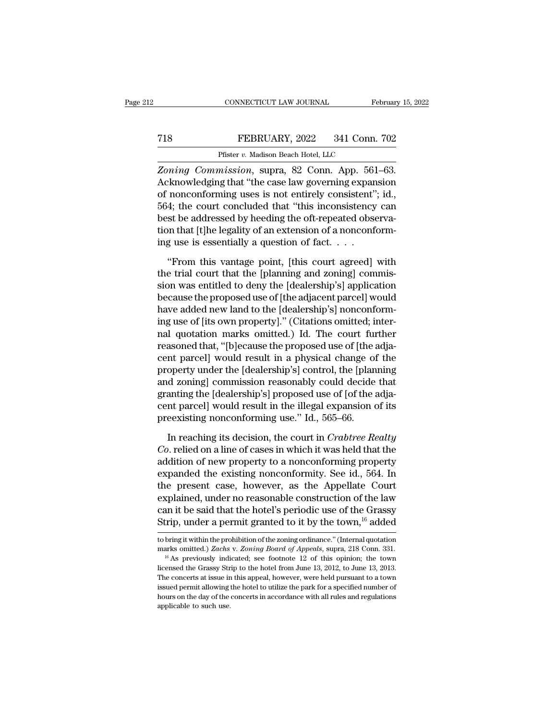## CONNECTICUT LAW JOURNAL February 15, 2022<br> **718** FEBRUARY, 2022 341 Conn. 702<br>
Pfister v. Madison Beach Hotel, LLC CONNECTICUT LAW JOURNAL<br>FEBRUARY, 2022 341 Conn.<br>Pfister *v.* Madison Beach Hotel, LLC<br>mission... sunra... 82. Conn... Ann... 561.

*CONNECTICUT LAW JOURNAL* February 15, 2<br> *Zoning Commission*, supra, 82 Conn. App. 561–63.<br> *Zoning Commission*, supra, 82 Conn. App. 561–63.<br> *Acknowledging that "the case law governing expansion* T18 FEBRUARY, 2022 341 Conn. 702<br>
Pfister v. Madison Beach Hotel, LLC<br>
Zoning Commission, supra, 82 Conn. App. 561–63.<br>
Acknowledging that "the case law governing expansion<br>
of nonconforming uses is not entirely consistent T18 FEBRUARY, 2022 341 Conn. 702<br>
Pfister v. Madison Beach Hotel, LLC<br>
Zoning Commission, supra, 82 Conn. App. 561–63.<br>
Acknowledging that "the case law governing expansion<br>
of nonconforming uses is not entirely consisten FEBRUARY, 2022 341 Conn. 702<br>
Pfister v. Madison Beach Hotel, LLC<br>
Zoning Commission, supra, 82 Conn. App. 561–63.<br>
Acknowledging that "the case law governing expansion<br>
of nonconforming uses is not entirely consistent"; Pfister v. Madison Beach Hotel, LLC<br>
Zoning Commission, supra, 82 Conn. App. 561–63.<br>
Acknowledging that "the case law governing expansion<br>
of nonconforming uses is not entirely consistent"; id.,<br>
564; the court concluded Firster *v.* Maalson Beach Hotel, LLC<br> *Zoning Commission*, supra, 82 Conn. App. 561–63.<br>
Acknowledging that "the case law governing expansion<br>
of nonconforming uses is not entirely consistent"; id.,<br>
564; the court concl Zoning Commission, supra, 82 Conn. App. 561<br>Acknowledging that "the case law governing expan<br>of nonconforming uses is not entirely consistent"<br>564; the court concluded that "this inconsistency<br>best be addressed by heeding nonconforming uses is not entirely consistent"; id.,<br>4; the court concluded that "this inconsistency can<br>st be addressed by heeding the oft-repeated observa-<br>on that [t]he legality of an extension of a nonconform-<br>g use i 564; the court concluded that "this inconsistency can<br>best be addressed by heeding the oft-repeated observa-<br>tion that [t]he legality of an extension of a nonconform-<br>ing use is essentially a question of fact....<br>"From th

best be addressed by heeding the oft-repeated observation that [t]he legality of an extension of a nonconforming use is essentially a question of fact. . . . .<br>"From this vantage point, [this court agreed] with the trial c tion that [t]he legality of an extension of a nonconforming use is essentially a question of fact.  $\dots$ <br>
"From this vantage point, [this court agreed] with the trial court that the [planning and zoning] commission was ent ing use is essentially a question of fact.  $\dots$ <br>
"From this vantage point, [this court agreed] with<br>
the trial court that the [planning and zoning] commis-<br>
sion was entitled to deny the [dealership's] application<br>
becaus "From this vantage point, [this court agreed] with<br>the trial court that the [planning and zoning] commis-<br>sion was entitled to deny the [dealership's] application<br>because the proposed use of [the adjacent parcel] would<br>hav "From this vantage point, [this court agreed] with<br>the trial court that the [planning and zoning] commis-<br>sion was entitled to deny the [dealership's] application<br>because the proposed use of [the adjacent parcel] would<br>hav the trial court that the [planning and zoning] commission was entitled to deny the [dealership's] application<br>because the proposed use of [the adjacent parcel] would<br>have added new land to the [dealership's] nonconform-<br>in sion was entitled to deny the [dealership's] application<br>because the proposed use of [the adjacent parcel] would<br>have added new land to the [dealership's] nonconform-<br>ing use of [its own property]." (Citations omitted; int because the proposed use of [the adjacent parcel] would<br>have added new land to the [dealership's] nonconform-<br>ing use of [its own property]." (Citations omitted; inter-<br>nal-quotation-marks-omitted.) Id. The court-further<br>r have added new land to the [dealership's] nonconform-<br>ing use of [its own property]." (Citations omitted; inter-<br>nal-quotation marks-omitted.) Id. The court further<br>reasoned that, "[b]ecause the proposed use of [the adja-<br> ing use of [its own property]." (Citations omitted; inter-<br>nal quotation marks omitted.) Id. The court further<br>reasoned that, "[b]ecause the proposed use of [the adja-<br>cent parcel] would result in a physical change of the<br> nal quotation marks omitted.) Id. The court further<br>reasoned that, "[b]ecause the proposed use of [the adja-<br>cent parcel] would result in a physical change of the<br>property under the [dealership's] control, the [planning<br>an reasoned that, "[b]ecause the proposed use of [the a<br>cent parcel] would result in a physical change of<br>property under the [dealership's] control, the [plan<br>and zoning] commission reasonably could decide<br>granting the [deale operty under the [dealership's] control, the [planning<br>d zoning] commission reasonably could decide that<br>anting the [dealership's] proposed use of [of the adja-<br>nt parcel] would result in the illegal expansion of its<br>eexis and zoning] commission reasonably could decide that<br>granting the [dealership's] proposed use of [of the adja-<br>cent parcel] would result in the illegal expansion of its<br>preexisting nonconforming use." Id., 565–66.<br>In reachi

granting the [dealership's] proposed use of [of the adja-<br>cent parcel] would result in the illegal expansion of its<br>preexisting nonconforming use." Id., 565–66.<br>In reaching its decision, the court in *Crabtree Realty*<br>*Co* cent parcel] would result in the illegal expansion of its<br>preexisting nonconforming use." Id., 565–66.<br>In reaching its decision, the court in *Crabtree Realty*<br>*Co*. relied on a line of cases in which it was held that the<br> preexisting nonconforming use." Id., 565–66.<br>In reaching its decision, the court in *Crabtree Realty*<br>*Co*. relied on a line of cases in which it was held that the<br>addition of new property to a nonconforming property<br>expan In reaching its decision, the court in *Crabtree Realty*<br>Co. relied on a line of cases in which it was held that the<br>addition of new property to a nonconforming property<br>expanded the existing nonconformity. See id., 564. In reaching its decision, the court in *Crabtree Realty*<br>Co. relied on a line of cases in which it was held that the<br>addition of new property to a nonconforming property<br>expanded the existing nonconformity. See id., 564. *Co.* relied on a line of cases in which it was held that the addition of new property to a nonconforming property expanded the existing nonconformity. See id., 564. In the present case, however, as the Appellate Court ex the present case, nowever, as the Appellate Court<br>explained, under no reasonable construction of the law<br>can it be said that the hotel's periodic use of the Grassy<br>Strip, under a permit granted to it by the town,<sup>16</sup> adde explained, under no reasonable construction of the law<br>can it be said that the hotel's periodic use of the Grassy<br>Strip, under a permit granted to it by the town,<sup>16</sup> added<br>to bring it within the prohibition of the zoning

marks omitted.) Zachs v. Zoning Board of Appeals, supra, 218 Conn. 331.

**Strip, under a permit granted to it by the town, <sup>16</sup> added to bring it within the prohibition of the zoning ordinance." (Internal quotation marks omitted.) Zachs v. Zoning Board of Appeals, supra, 218 Conn. 331. <sup>16</sup> As** Surp, under a pernint granted to it by the town, added<br>to bring it within the prohibition of the zoning ordinance." (Internal quotation<br>marks omitted.) Zachs v. Zoning Board of Appeals, supra, 218 Conn. 331.<br><sup>16</sup> As previo to bring it within the prohibition of the zoning ordinance." (Internal quotation marks omitted.) Zachs v. Zoning Board of Appeals, supra, 218 Conn. 331. <sup>16</sup> As previously indicated; see footnote 12 of this opinion; the t licensed the Grassy Strip to the hotel from June 13, 2012, to June 13, 2013.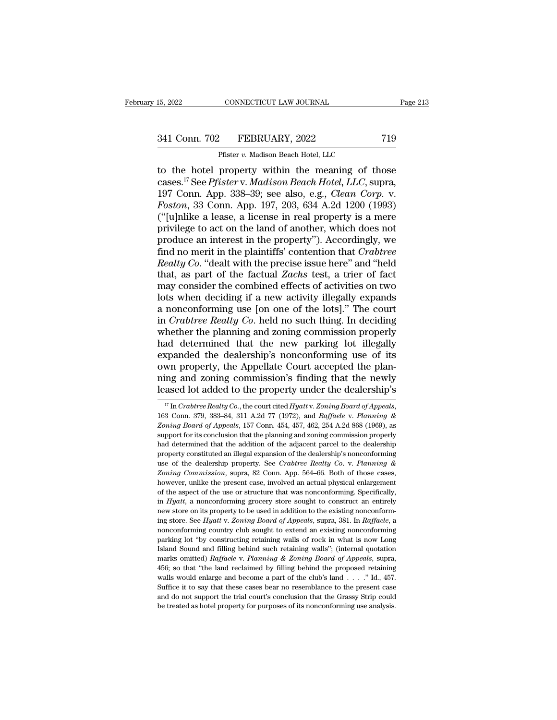# 15, 2022 CONNECTICUT LAW JOURNAL Page 213<br>341 Conn. 702 FEBRUARY, 2022 719<br>Pfister v. Madison Beach Hotel, LLC

CONNECTICUT LAW JOURNAL<br>
Pfister *v.* Madison Beach Hotel, LLC<br>
property within the meaning of the 15, 2022 CONNECTICUT LAW JOURNAL Page 213<br>
341 Conn. 702 FEBRUARY, 2022 719<br>
Pfister v. Madison Beach Hotel, LLC<br>
to the hotel property within the meaning of those<br>
cases.<sup>17</sup> See Pfister v. Madison Beach Hotel, LLC, supra 341 Conn. 702 FEBRUARY, 2022 719<br>
Pfister *v.* Madison Beach Hotel, LLC<br>
to the hotel property within the meaning of those<br>
cases.<sup>17</sup> See *Pfister* v. *Madison Beach Hotel, LLC*, supra,<br>
197 Conn. App. 338–39; see also, e 341 Conn. 702 FEBRUARY, 2022 719<br>
Pfister *v.* Madison Beach Hotel, LLC<br>
to the hotel property within the meaning of those<br>
cases.<sup>17</sup> See *Pfister* v. *Madison Beach Hotel, LLC*, supra,<br>
197 Conn. App. 338–39; see also, e <sup>241</sup> Conn. 702 FEBRUARY, 2022 719<br> *Fister v. Madison Beach Hotel, LLC*<br> **For to the hotel property within the meaning of those**<br>
cases.<sup>17</sup> See *Pfister* v. *Madison Beach Hotel, LLC*, supra,<br>
197 Conn. App. 338–39; see Firster v. Madison Beach Hotel, LLC<br>
to the hotel property within the meaning of those<br>
cases.<sup>17</sup> See *Pfister* v. *Madison Beach Hotel, LLC*, supra,<br>
197 Conn. App. 338–39; see also, e.g., *Clean Corp.* v.<br> *Foston*, 33 Pfister *v.* Madison Beach Hotel, LLC<br>to the hotel property within the meaning of those<br>cases.<sup>17</sup> See *Pfister* v. *Madison Beach Hotel*, *LLC*, supra,<br>197 Conn. App. 338–39; see also, e.g., *Clean Corp.* v.<br>*Foston*, 33 to the hotel property within the meaning of those cases.<sup>17</sup> See *Pfister* v. *Madison Beach Hotel, LLC*, supra, 197 Conn. App. 338–39; see also, e.g., *Clean Corp.* v. *Foston*, 33 Conn. App. 197, 203, 634 A.2d 1200 (199 cases.<sup>17</sup> See *Pfister* v. *Madison Beach Hotel, LLC*, supra,<br>197 Conn. App. 338–39; see also, e.g., *Clean Corp.* v.<br>*Foston*, 33 Conn. App. 197, 203, 634 A.2d 1200 (1993)<br>("[u]nlike a lease, a license in real property i 197 Conn. App. 338–39; see also, e.g., *Clean Corp.* v.<br>*Foston*, 33 Conn. App. 197, 203, 634 A.2d 1200 (1993)<br>("[u]nlike a lease, a license in real property is a mere<br>privilege to act on the land of another, which does no Foston, 33 Conn. App. 197, 203, 634 A.2d 1200 (1993)<br>("[u]nlike a lease, a license in real property is a mere<br>privilege to act on the land of another, which does not<br>produce an interest in the property"). Accordingly, we<br>f ("[u]nlike a lease, a license in real property is a mere<br>privilege to act on the land of another, which does not<br>produce an interest in the property"). Accordingly, we<br>find no merit in the plaintiffs' contention that *Cra* privilege to act on the land of another, which does not<br>produce an interest in the property"). Accordingly, we<br>find no merit in the plaintiffs' contention that *Crabtree*<br>Realty Co. "dealt with the precise issue here" and produce an interest in the property"). Accordingly, we<br>find no merit in the plaintiffs' contention that *Crabtree*<br>Realty Co. "dealt with the precise issue here" and "held<br>that, as part of the factual Zachs test, a trier ind no merit in the plaintiffs' contention that *Crabtree*<br>Realty Co. "dealt with the precise issue here" and "held<br>that, as part of the factual Zachs test, a trier of fact<br>may consider the combined effects of activities o Realty Co. "dealt with the precise issue here" and "held<br>that, as part of the factual Zachs test, a trier of fact<br>may consider the combined effects of activities on two<br>lots when deciding if a new activity illegally expand that, as part of the factual *Zachs* test, a trier of fact<br>may consider the combined effects of activities on two<br>lots when deciding if a new activity illegally expands<br>a nonconforming use [on one of the lots]." The court<br> may consider the combined effects of activities on two<br>lots when deciding if a new activity illegally expands<br>a nonconforming use [on one of the lots]." The court<br>in *Crabtree Realty Co*. held no such thing. In deciding<br>wh lots when deciding if a new activity illegally expands<br>a nonconforming use [on one of the lots]." The court<br>in *Crabtree Realty Co*. held no such thing. In deciding<br>whether the planning and zoning commission properly<br>had d a nonconforming use [on one of the lots]." The court<br>in *Crabtree Realty Co*. held no such thing. In deciding<br>whether the planning and zoning commission properly<br>had determined that the new parking lot illegally<br>expanded t in *Crabtree Realty Co*. held no such thing. In deciding<br>whether the planning and zoning commission properly<br>had determined that the new parking lot illegally<br>expanded the dealership's nonconforming use of its<br>own propert expanded the dealership's nonconforming use of its<br>own property, the Appellate Court accepted the plan-<br>ning and zoning commission's finding that the newly<br>leased lot added to the property under the dealership's<br> $\frac{17}{17}$ 

**Zoning and zoning commission's finding that the newly leased lot added to the property under the dealership's**<br>
<sup>*IT</sup> In Crabtree Realty Co.*, the court cited *Hyatt* v. *Zoning Board of Appeals*, 163 Conn. 379, 383–84, 3</sup> leased lot added to the property under the dealership's<br>
<sup>17</sup> In Crabtree Realty Co., the court cited Hyatt v. Zoning Board of Appeals,<br>
163 Conn. 379, 383–84, 311 A.2d 77 (1972), and Raffaele v. Planning &<br>
Zoning Board Heased 10t added to the property under the dealership s<br>
<sup>17</sup> In Crabtree Realty Co., the court cited Hyattv. Zoning Board of Appeals,<br>
163 Conn. 379, 383–84, 311 A.2d 77 (1972), and Raffaele v. Planning &<br>
Zoning Board o <sup>17</sup> In Crabtree Realty Co., the court cited Hyatt v. Zoning Board of Appeals, 163 Conn. 379, 383–84, 311 A.2d 77 (1972), and Raffaele v. Planning & Zoning Board of Appeals, 157 Conn. 454, 457, 462, 254 A.2d 868 (1969), a 163 Conn. 379, 383–84, 311 A.2d 77 (1972), and *Raffaele v. Planning &*<br>Zoning Board of Appeals, 157 Conn. 454, 457, 462, 254 A.2d 868 (1969), as<br>support for its conclusion that the planning and zoning commission properly<br> 163 Conn. 379, 383–84, 311 A.2d 77 (1972), and *Raffaele v. Planning & Zoning Board of Appeals*, 157 Conn. 454, 457, 462, 254 A.2d 868 (1969), as support for its conclusion that the planning and zoning commission properly support for its conclusion that the planning and zoning commission properly<br>had determined that the addition of the adjacent parcel to the dealership<br>property constituted an illegal expansion of the dealership's nonconfor and determined that the addition of the adjacent parcel to the dealership<br>property constituted an illegal expansion of the dealership's nonconforming<br>use of the dealership property. See *Crabtree Realty Co.* v. *Planning* property constituted an illegal expansion of the dealership's nonconforming<br>use of the dealership property. See *Crabtree Realty Co.* v. *Planning &*<br>*Zoning Commission*, supra, 82 Conn. App. 564–66. Both of those cases,<br>h group of the dealership property. See *Crabtree Realty Co.* v. Planning & *Zoning Commission*, supra, 82 Conn. App. 564–66. Both of those cases, however, unlike the present case, involved an actual physical enlargement of *Zoning Commission*, supra, 82 Conn. App. 564–66. Both of those cases, however, unlike the present case, involved an actual physical enlargement of the aspect of the use or structure that was nonconforming. Specifically, i however, unlike the present case, involved an actual physical enlargement of the aspect of the use or structure that was nonconforming. Specifically, in *Hyatt*, a nonconforming grocery store sought to construct an entirel of the aspect of the use or structure that was nonconforming. Specifically, in  $Hyatt$ , a nonconforming grocery store sought to construct an entirely new store on its property to be used in addition to the existing nonconfor in *Hyatt*, a nonconforming grocery store sought to construct an entirely new store on its property to be used in addition to the existing nonconforming store. See *Hyatt* v. Zoning Board of Appeals, supra, 381. In *Raffa* marks omitted) *Raffaele* v. *Planning* Several substrates the existing nonconforming store. See *Hyatt* v. *Zoning Board of Appeals*, supra, 381. In *Raffaele*, a nonconforming country club sought to extend an existing no ing store. See *Hyatt* v. Zoning Board of Appeals, supra, 381. In Raffaele, a nonconforming country club sought to extend an existing nonconforming parking lot "by constructing retaining walls of rock in what is now Long nonconforming country club sought to extend an existing nonconforming parking lot "by constructing retaining walls of rock in what is now Long Island Sound and filling behind such retaining walls"; (internal quotation mar parking lot "by constructing retaining walls of rock in what is now Long Island Sound and filling behind such retaining walls"; (internal quotation marks omitted) *Raffaele* v. *Planning & Zoning Board of Appeals*, supra, Fraction Sound and filling behind such retaining walls"; (internal quotation marks omitted) *Raffaele* v. *Planning* & Zoning Board of Appeals, supra, 456; so that "the land reclaimed by filling behind the proposed retain marks omitted) Raffaele v. Planning & Zoning Board of Appeals, supra, 456; so that "the land reclaimed by filling behind the proposed retaining walls would enlarge and become a part of the club's land . . . . " Id., 457.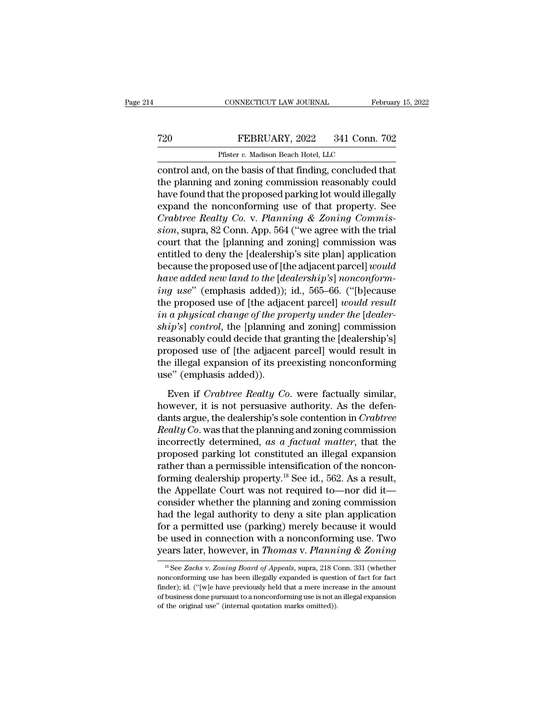## CONNECTICUT LAW JOURNAL February 15, 2022<br> **720** FEBRUARY, 2022 341 Conn. 702<br>
Pfister v. Madison Beach Hotel, LLC CONNECTICUT LAW JOURNAL<br>FEBRUARY, 2022 341 Conn.<br>Pfister *v.* Madison Beach Hotel, LLC<br>In the basis of that finding concluded

CONNECTICUT LAW JOURNAL February 15, 202<br>
FEBRUARY, 2022 341 Conn. 702<br>
Pfister v. Madison Beach Hotel, LLC<br>
Control and, on the basis of that finding, concluded that<br>
the planning and zoning commission reasonably could<br>
h T20 FEBRUARY, 2022 341 Conn. 702<br>Pfister v. Madison Beach Hotel, LLC<br>control and, on the basis of that finding, concluded that<br>the planning and zoning commission reasonably could<br>have found that the proposed parking lot wo FEBRUARY, 2022 341 Conn. 702<br>
Pfister v. Madison Beach Hotel, LLC<br>
control and, on the basis of that finding, concluded that<br>
the planning and zoning commission reasonably could<br>
have found that the proposed parking lot w FEBRUARY, 2022 341 Conn. 702<br>
Pfister v. Madison Beach Hotel, LLC<br>
control and, on the basis of that finding, concluded that<br>
the planning and zoning commission reasonably could<br>
have found that the proposed parking lot w Pfister *v*. Madison Beach Hotel, LLC<br>
control and, on the basis of that finding, concluded that<br>
the planning and zoning commission reasonably could<br>
have found that the proposed parking lot would illegally<br>
expand the no *FISET 0. Maalson Beach Hotel, LLC*<br>
control and, on the basis of that finding, concluded that<br>
the planning and zoning commission reasonably could<br>
have found that the proposed parking lot would illegally<br>
expand the nonc control and, on the basis of that finding, concluded that<br>the planning and zoning commission reasonably could<br>have found that the proposed parking lot would illegally<br>expand the nonconforming use of that property. See<br>*Cra* the planning and zoning commission reasonably could<br>have found that the proposed parking lot would illegally<br>expand the nonconforming use of that property. See<br>*Crabtree Realty Co.* v. *Planning & Zoning Commis-<br>sion*, sup have found that the proposed parking lot would illegally<br>expand the nonconforming use of that property. See<br>*Crabtree Realty Co.* v. *Planning & Zoning Commis-<br>sion*, supra, 82 Conn. App. 564 ("we agree with the trial<br>cour expand the nonconforming use of that property. See<br> *Crabtree Realty Co.* v. *Planning & Zoning Commission*, supra, 82 Conn. App. 564 ("we agree with the trial<br>
court that the [planning and zoning] commission was<br>
entitled *Crabtree Realty Co.* v. *Planning & Zoning Commission*, supra, 82 Conn. App. 564 ("we agree with the trial court that the [planning and zoning] commission was entitled to deny the [dealership's site plan] application beca sion, supra, 82 Conn. App. 564 ("we agree with the trial<br>court that the [planning and zoning] commission was<br>entitled to deny the [dealership's site plan] application<br>because the proposed use of [the adjacent parcel] *woul* court that the [planning and zoning] commission was<br>entitled to deny the [dealership's site plan] application<br>because the proposed use of [the adjacent parcel] *would*<br>have added new land to the [dealership's] nonconform-<br> entitled to deny the [dealership's site plan] application<br>because the proposed use of [the adjacent parcel] *would*<br>have added new land to the [dealership's] nonconform-<br>ing use" (emphasis added)); id., 565–66. ("[b]ecause because the proposed use of [the adjacent parcel] *would*<br>have added new land to the [dealership's] nonconform-<br>ing use" (emphasis added)); id., 565–66. ("[b]ecause<br>the proposed use of [the adjacent parcel] *would result*<br> have added new land to the [dealership's] nonconform-<br>ing use" (emphasis added)); id., 565–66. ("[b]ecause<br>the proposed use of [the adjacent parcel] would result<br>in a physical change of the property under the [dealer-<br>ship ing use" (emphasis added)); id., 565–66. ("[b]ecause<br>the proposed use of [the adjacent parcel] would result<br>in a physical change of the property under the [dealer-<br>ship's] control, the [planning and zoning] commission<br>reas the proposed use of [the adja*o*<br>*in a physical change of the pr*<br>*ship's*] *control*, the [planning<br>reasonably could decide that g<br>proposed use of [the adjacen<br>the illegal expansion of its pr<br>use" (emphasis added)).<br>Even Even if *Crabtree Realty Co.* were factually similar, it is not personally could decide that granting the [dealership's] oposed use of [the adjacent parcel] would result in e illegal expansion of its preexisting nonconform reasonably could decide that granting the [dealership's]<br>proposed use of [the adjacent parcel] would result in<br>the illegal expansion of its preexisting nonconforming<br>use" (emphasis added)).<br>Even if *Crabtree Realty Co*. w

proposed use of [the adjacent parcel] would result in<br>the illegal expansion of its preexisting nonconforming<br>use" (emphasis added)).<br>Even if *Crabtree Realty Co*. were factually similar,<br>however, it is not persuasive autho *Realty Co.* were factually similar,<br>the illegal expansion of its preexisting nonconforming<br>use" (emphasis added)).<br>Even if *Crabtree Realty Co*. were factually similar,<br>however, it is not persuasive authority. As the defe incorrectly (emphasis added)).<br>
Even if *Crabtree Realty Co*. were factually similar,<br>
however, it is not persuasive authority. As the defen-<br>
dants argue, the dealership's sole contention in *Crabtree*<br> *Realty Co*. was t Even if *Crabtree Realty Co*. were factually similar,<br>however, it is not persuasive authority. As the defen-<br>dants argue, the dealership's sole contention in *Crabtree*<br>*Realty Co*. was that the planning and zoning commis Even if *Crabtree Realty Co*. were factually similar,<br>however, it is not persuasive authority. As the defen-<br>dants argue, the dealership's sole contention in *Crabtree*<br>*Realty Co*. was that the planning and zoning commis however, it is not persuasive authority. As the defendants argue, the dealership's sole contention in *Crabtree* Realty Co. was that the planning and zoning commission incorrectly determined, as a factual matter, that the dants argue, the dealership's sole contention in *Crabtree*<br>Realty Co. was that the planning and zoning commission<br>incorrectly determined, as a factual matter, that the<br>proposed parking lot constituted an illegal expansio Realty Co. was that the planning and zoning commission<br>incorrectly determined, as a factual matter, that the<br>proposed parking lot constituted an illegal expansion<br>rather than a permissible intensification of the noncon-<br>fo incorrectly determined, as a factual matter, that the<br>proposed parking lot constituted an illegal expansion<br>rather than a permissible intensification of the noncon-<br>forming dealership property.<sup>18</sup> See id., 562. As a resu proposed parking lot constituted an illegal expansion<br>rather than a permissible intensification of the noncon-<br>forming dealership property.<sup>18</sup> See id., 562. As a result,<br>the Appellate Court was not required to—nor did it rather than a permissible intensification of the nonconforming dealership property.<sup>18</sup> See id., 562. As a result, the Appellate Court was not required to—nor did it—consider whether the planning and zoning commission had forming dealership property.<sup>18</sup> See id., 562. As a result,<br>the Appellate Court was not required to—nor did it—<br>consider whether the planning and zoning commission<br>had the legal authority to deny a site plan application<br>fo and the legal authority to deny a site plan application<br>or a permitted use (parking) merely because it would<br>e used in connection with a nonconforming use. Two<br>ears later, however, in *Thomas* v. *Planning & Zoning*<br> $^{18}$ for a permitted use (parking) merely because it would<br>be used in connection with a nonconforming use. Two<br>years later, however, in *Thomas v. Planning & Zoning*<br> $\frac{18}{18}$  See *Zachs v. Zoning Board of Appeals*, supra, 2

be used in connection with a nonconforming use. Two<br>years later, however, in *Thomas v. Planning & Zoning*<br><sup>18</sup> See *Zachs v. Zoning Board of Appeals*, supra, 218 Conn. 331 (whether<br>nonconforming use has been illegally exp **years later, however, in Thomas v. Planning & Zoning**<br>
<sup>18</sup> See Zachs v. Zoning Board of Appeals, supra, 218 Conn. 331 (whether nonconforming use has been illegally expanded is question of fact for fact finder); id. ("[w <sup>18</sup> See *Zachs v. Zoning Board of Appeals*, supra, 218 Conn. 331 (whether nonconforming use has been illegally expanded is question of fact for fact finder); id. ("[w]e have previously held that a mere increase in the am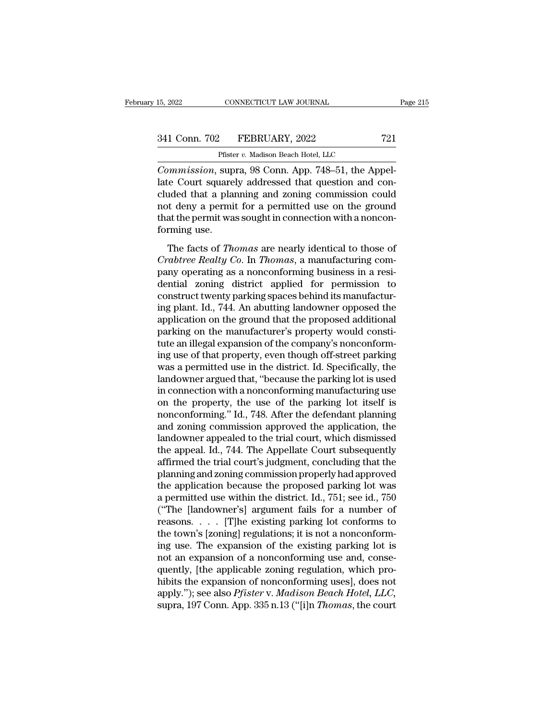CONNECTICUT LAW JOURNAL<br>
Pfister *v.* Madison Beach Hotel, LLC<br>
Supra 98 Conn. App. 748–51, the Ap <sup>15, 2022</sup> CONNECTICUT LAW JOURNAL<br>
<sup>21</sup> Conn. 702 FEBRUARY, 2022 721<br>
<sup>Pfister</sup> v. Madison Beach Hotel, LLC<br> *Commission*, supra, 98 Conn. App. 748–51, the Appel-<br>
late Court squarely addressed that question and con-341 Conn. 702 FEBRUARY, 2022 721<br>
Pfister v. Madison Beach Hotel, LLC<br>
Commission, supra, 98 Conn. App. 748–51, the Appellate Court squarely addressed that question and con-<br>
cluded that a planning and zoning commission co 341 Conn. 702 FEBRUARY, 2022 721<br>
Pfister v. Madison Beach Hotel, LLC<br>
Commission, supra, 98 Conn. App. 748–51, the Appellate Court squarely addressed that question and concluded that a planning and zoning commission coul 341 Conn. 702 FEBRUARY, 2022 721<br>
Pfister v. Madison Beach Hotel, LLC<br>
Commission, supra, 98 Conn. App. 748–51, the Appellate Court squarely addressed that question and concluded that a planning and zoning commission coul Prister v. Madison Beach Hotel, LLC<br>
Commission, supra, 98 Conn. App. 748–51, the Appellate Court squarely addressed that question and con-<br>
cluded that a planning and zoning commission could<br>
not deny a permit for a permi First<br>Commission, sup<br>late Court square<br>cluded that a plan<br>not deny a permi<br>that the permit wa<br>forming use.<br>The facts of *Th* mentioner, supra, so Colma Tipp. 110 31, are Tipper<br>te Court squarely addressed that question and con-<br>ided that a planning and zoning commission could<br>at the permit for a permitted use on the ground<br>at the permit was soug *Co. Co. I. Co. I. Squarery addressed that question and correlated that a planning and zoning commission could not deny a permit for a permitted use on the ground that the permit was sought in connection with a nonconfor* 

pand and a planting and ability conducts of the ground<br>not deny a permit for a permitted use on the ground<br>that the permit was sought in connection with a noncon-<br>forming use.<br>The facts of *Thomas* are nearly identical to dentity a permit for a permitted also of the ground<br>that the permit was sought in connection with a noncon-<br>forming use.<br>The facts of *Thomas* are nearly identical to those of<br>*Crabtree Realty Co.* In *Thomas*, a manufact forming use.<br>
The facts of *Thomas* are nearly identical to those of<br>
Crabtree Realty Co. In *Thomas*, a manufacturing com-<br>
pany operating as a nonconforming business in a resi-<br>
dential zoning district applied for permis The facts of *Thomas* are nearly identical to those of<br> *Crabtree Realty Co.* In *Thomas*, a manufacturing com-<br>
pany operating as a nonconforming business in a resi-<br>
dential zoning district applied for permission to<br>
con The facts of *Thomas* are nearly identical to those of *Crabtree Realty Co.* In *Thomas*, a manufacturing company operating as a nonconforming business in a residential zoning district applied for permission to construct t Crabtree Realty Co. In Thomas, a manufacturing company operating as a nonconforming business in a residential zoning district applied for permission to construct twenty parking spaces behind its manufacturing plant. Id., 7 pany operating as a nonconforming business in a residential zoning district applied for permission to construct twenty parking spaces behind its manufacturing plant. Id., 744. An abutting landowner opposed the application dential zoning district applied for permission to<br>construct twenty parking spaces behind its manufactur-<br>ing plant. Id., 744. An abutting landowner opposed the<br>application on the ground that the proposed additional<br>parking construct twenty parking spaces behind its manufacturing plant. Id., 744. An abutting landowner opposed the application on the ground that the proposed additional parking on the manufacturer's property would constitute an ing plant. Id., 744. An abutting landowner opposed the<br>application on the ground that the proposed additional<br>parking on the manufacturer's property would consti-<br>tute an illegal expansion of the company's nonconform-<br>ing application on the ground that the proposed additional<br>parking on the manufacturer's property would consti-<br>tute an illegal expansion of the company's nonconform-<br>ing use of that property, even though off-street parking<br>wa parking on the manufacturer's property would constitute an illegal expansion of the company's nonconforming use of that property, even though off-street parking was a permitted use in the district. Id. Specifically, the la tute an illegal expansion of the company's nonconforming use of that property, even though off-street parking<br>was a permitted use in the district. Id. Specifically, the<br>landowner argued that, "because the parking lot is us ing use of that property, even though off-street parking<br>was a permitted use in the district. Id. Specifically, the<br>landowner argued that, "because the parking lot is used<br>in connection with a nonconforming manufacturing u was a permitted use in the district. Id. Specifically, the<br>landowner argued that, "because the parking lot is used<br>in connection with a nonconforming manufacturing use<br>on the property, the use of the parking lot itself is<br> landowner argued that, "because the parking lot is used<br>in connection with a nonconforming manufacturing use<br>on the property, the use of the parking lot itself is<br>nonconforming." Id., 748. After the defendant planning<br>and in connection with a nonconforming manufacturing use<br>on the property, the use of the parking lot itself is<br>nonconforming." Id., 748. After the defendant planning<br>and zoning commission approved the application, the<br>landowne on the property, the use of the parking lot itself is<br>nonconforming." Id., 748. After the defendant planning<br>and zoning commission approved the application, the<br>landowner appealed to the trial court, which dismissed<br>the ap nonconforming." Id., 748. After the defendant planning<br>and zoning commission approved the application, the<br>landowner appealed to the trial court, which dismissed<br>the appeal. Id., 744. The Appellate Court subsequently<br>affir and zoning commission approved the application, the<br>landowner appealed to the trial court, which dismissed<br>the appeal. Id., 744. The Appellate Court subsequently<br>affirmed the trial court's judgment, concluding that the<br>pla landowner appealed to the trial court, which dismissed<br>the appeal. Id., 744. The Appellate Court subsequently<br>affirmed the trial court's judgment, concluding that the<br>planning and zoning commission properly had approved<br>th the appeal. Id., 744. The Appellate Court subsequently<br>affirmed the trial court's judgment, concluding that the<br>planning and zoning commission properly had approved<br>the application because the proposed parking lot was<br>a pe affirmed the trial court's judgment, concluding that the planning and zoning commission properly had approved<br>the application because the proposed parking lot was<br>a permitted use within the district. Id., 751; see id., 750 planning and zoning commission properly had approved<br>the application because the proposed parking lot was<br>a permitted use within the district. Id., 751; see id., 750<br>("The [landowner's] argument fails for a number of<br>reaso the application because the proposed parking lot was<br>a permitted use within the district. Id., 751; see id., 750<br>("The [landowner's] argument fails for a number of<br>reasons. . . . [T]he existing parking lot conforms to<br>the a permitted use within the district. Id., 751; see id., 750<br>("The [landowner's] argument fails for a number of<br>reasons. . . . [T]he existing parking lot conforms to<br>the town's [zoning] regulations; it is not a nonconform-("The [landowner's] argument fails for a number of<br>reasons. . . . [T]he existing parking lot conforms to<br>the town's [zoning] regulations; it is not a nonconform-<br>ing use. The expansion of the existing parking lot is<br>not a reasons. . . . . [T]he existing parking lot conforms to<br>the town's [zoning] regulations; it is not a nonconform-<br>ing use. The expansion of the existing parking lot is<br>not an expansion of a nonconforming use and, conse-<br>que the town's [zoning] regulations; it is not a nonconforming use. The expansion of the existing parking lot is not an expansion of a nonconforming use and, consequently, [the applicable zoning regulation, which prohibits the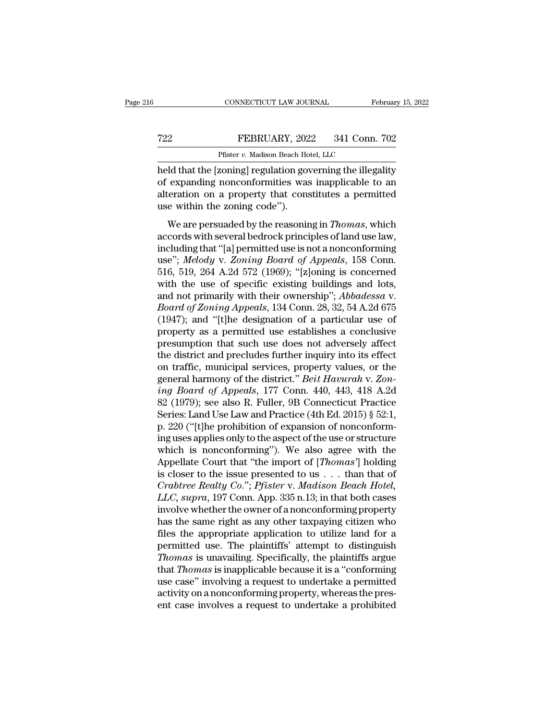## EXECUTE CONNECTICUT LAW JOURNAL February 15, 2022<br>
FEBRUARY, 2022 341 Conn. 702<br>
Pfister v. Madison Beach Hotel, LLC CONNECTICUT LAW JOURNAL<br>FEBRUARY, 2022 341 Conn.<br>Pfister *v.* Madison Beach Hotel, LLC<br>zoningl regulation governing the illegs

CONNECTICUT LAW JOURNAL February 15, 2022<br>
FEBRUARY, 2022 341 Conn. 702<br>
Pfister v. Madison Beach Hotel, LLC<br>
held that the [zoning] regulation governing the illegality<br>
of expanding nonconformities was inapplicable to an<br> T22 FEBRUARY, 2022 341 Conn. 702<br>
Pfister v. Madison Beach Hotel, LLC<br>
held that the [zoning] regulation governing the illegality<br>
of expanding nonconformities was inapplicable to an<br>
alteration on a property that constitu FEBRUARY, 2022 341 Conn. 702<br>
Pfister v. Madison Beach Hotel, LLC<br>
held that the [zoning] regulation governing the illegality<br>
of expanding nonconformities was inapplicable to an<br>
alteration on a property that constitutes  $\begin{tabular}{ll} \bf 722 & \bf 722 & \bf 722 \\ & \bf 723 & \bf 724 \\ \bf 724 & \bf 725 & \bf 724 \\ \bf 725 & \bf 726 & \bf 724 \\ \bf 726 & \bf 727 & \bf 728 \\ \bf 727 & \bf 728 & \bf 728 \\ \bf 728 & \bf 728 & \bf 728 \\ \bf 729 & \bf 729 & \bf 728 \\ \bf 720 & \bf 728 & \bf 728 \\ \bf 720 & \bf 728 & \bf 728 \\ \bf 721 & \$ Pfister *v*. Madison Beach Hotel, LLC<br>
ld that the [zoning] regulation governing the illegality<br>
expanding nonconformities was inapplicable to an<br>
eration on a property that constitutes a permitted<br>
e within the zoning cod held that the [zoning] regulation governing the illegality<br>of expanding nonconformities was inapplicable to an<br>alteration on a property that constitutes a permitted<br>use within the zoning code").<br>We are persuaded by the rea

including incommutions was inapplicable to an<br>alteration on a property that constitutes a permitted<br>use within the zoning code").<br>We are persuaded by the reasoning in *Thomas*, which<br>accords with several bedrock principles or expansing nonconominates was mapprecise to an<br>alteration on a property that constitutes a permitted<br>use within the zoning code").<br>We are persuaded by the reasoning in *Thomas*, which<br>accords with several bedrock princip we within the zoning code").<br>We are persuaded by the reasoning in *Thomas*, which<br>accords with several bedrock principles of land use law,<br>including that "[a] permitted use is not a nonconforming<br>use"; Melody v. Zoning Boa We are persuaded by the reasoning in *Thomas*, which<br>accords with several bedrock principles of land use law,<br>including that "[a] permitted use is not a nonconforming<br>use"; *Melody* v. *Zoning Board of Appeals*, 158 Conn. We are persuaded by the reasoning in *Thomas*, which<br>accords with several bedrock principles of land use law,<br>including that "[a] permitted use is not a nonconforming<br>use"; *Melody* v. *Zoning Board of Appeals*, 158 Conn.<br> accords with several bedrock principles of land use law,<br>including that "[a] permitted use is not a nonconforming<br>use"; *Melody* v. *Zoning Board of Appeals*, 158 Conn.<br>516, 519, 264 A.2d 572 (1969); "[z]oning is concerned including that "[a] permitted use is not a nonconforming<br>use"; Melody v. Zoning Board of Appeals, 158 Conn.<br>516, 519, 264 A.2d 572 (1969); "[z]oning is concerned<br>with the use of specific existing buildings and lots,<br>and no use"; Melody v. Zoning Board of Appeals, 158 Conn.<br>516, 519, 264 A.2d 572 (1969); "[z]oning is concerned<br>with the use of specific existing buildings and lots,<br>and not primarily with their ownership"; Abbadessa v.<br>Board of 516, 519, 264 A.2d 572 (1969); "[z]oning is concerned<br>with the use of specific existing buildings and lots,<br>and not primarily with their ownership"; *Abbadessa* v.<br>*Board of Zoning Appeals*, 134 Conn. 28, 32, 54 A.2d 675<br> with the use of specific existing buildings and lots,<br>and not primarily with their ownership"; *Abbadessa* v.<br>*Board of Zoning Appeals*, 134 Conn. 28, 32, 54 A.2d 675<br>(1947); and "[t]he designation of a particular use of<br> and not primarily with their ownership"; *Abbadessa v.*<br>Board of Zoning Appeals, 134 Conn. 28, 32, 54 A.2d 675<br>(1947); and "[t]he designation of a particular use of<br>property as a permitted use establishes a conclusive<br>pres *Board of Zoning Appeals*, 134 Conn. 28, 32, 54 A.2d 675 (1947); and "[t]he designation of a particular use of property as a permitted use establishes a conclusive presumption that such use does not adversely affect the di (1947); and "[t]he designation of a particular use of<br>property as a permitted use establishes a conclusive<br>presumption that such use does not adversely affect<br>the district and precludes further inquiry into its effect<br>on t property as a permitted use establishes a conclusive<br>presumption that such use does not adversely affect<br>the district and precludes further inquiry into its effect<br>on traffic, municipal services, property values, or the<br>ge presumption that such use does not adversely affect<br>the district and precludes further inquiry into its effect<br>on traffic, municipal services, property values, or the<br>general harmony of the district." *Beit Havurah* v. Zon the district and precludes further inquiry into its effect<br>on traffic, municipal services, property values, or the<br>general harmony of the district." *Beit Havurah* v. Zon-<br>ing Board of Appeals, 177 Conn. 440, 443, 418 A.2d on traffic, municipal services, property values, or the<br>general harmony of the district." *Beit Havurah* v. Zon-<br>ing Board of Appeals, 177 Conn. 440, 443, 418 A.2d<br>82 (1979); see also R. Fuller, 9B Connecticut Practice<br>Ser general harmony of the district." *Beit Havurah* v. Zon-<br>ing Board of Appeals, 177 Conn. 440, 443, 418 A.2d<br>82 (1979); see also R. Fuller, 9B Connecticut Practice<br>Series: Land Use Law and Practice (4th Ed. 2015) § 52:1,<br>p. ing Board of Appeals, 177 Conn. 440, 443, 418 A.2d<br>82 (1979); see also R. Fuller, 9B Connecticut Practice<br>Series: Land Use Law and Practice (4th Ed. 2015) § 52:1,<br>p. 220 ("[t]he prohibition of expansion of nonconform-<br>ing 82 (1979); see also R. Fuller, 9B Connecticut Practice<br>Series: Land Use Law and Practice (4th Ed. 2015) § 52:1,<br>p. 220 ("[t]he prohibition of expansion of nonconform-<br>ing uses applies only to the aspect of the use or stru Series: Land Use Law and Practice (4th Ed. 2015) § 52:1,<br>p. 220 ("[t]he prohibition of expansion of nonconform-<br>ing uses applies only to the aspect of the use or structure<br>which is nonconforming"). We also agree with the<br>A p. 220 ("[t]he prohibition of expansion of nonconform-<br>ing uses applies only to the aspect of the use or structure<br>which is nonconforming"). We also agree with the<br>Appellate Court that "the import of [*Thomas*'] holding<br>is ing uses applies only to the aspect of the use or structure<br>which is nonconforming"). We also agree with the<br>Appellate Court that "the import of [*Thomas*'] holding<br>is closer to the issue presented to us . . . than that o which is nonconforming"). We also agree with the<br>Appellate Court that "the import of [*Thomas*'] holding<br>is closer to the issue presented to us . . . than that of<br>*Crabtree Realty Co.*"; *Pfister* v. *Madison Beach Hotel* Appellate Court that "the import of [*Thomas*'] holding<br>is closer to the issue presented to us . . . than that of<br>*Crabtree Realty Co.*"; *Pfister v. Madison Beach Hotel*,<br>*LLC*, *supra*, 197 Conn. App. 335 n.13; in that is closer to the issue presented to us . . . than that of Crabtree Realty Co."; Pfister v. Madison Beach Hotel, LLC, supra, 197 Conn. App. 335 n.13; in that both cases involve whether the owner of a nonconforming property *Crabtree Realty Co.*"; *Pfister* v. *Madison Beach Hotel,*<br>*LLC, supra,* 197 Conn. App. 335 n.13; in that both cases<br>involve whether the owner of a nonconforming property<br>has the same right as any other taxpaying citizen LLC, supra, 197 Conn. App. 335 n.13; in that both cases<br>involve whether the owner of a nonconforming property<br>has the same right as any other taxpaying citizen who<br>files the appropriate application to utilize land for a<br>pe involve whether the owner of a nonconforming property<br>has the same right as any other taxpaying citizen who<br>files the appropriate application to utilize land for a<br>permitted use. The plaintiffs' attempt to distinguish<br>*Tho* has the same right as any other taxpaying citizen who<br>files the appropriate application to utilize land for a<br>permitted use. The plaintiffs' attempt to distinguish<br>*Thomas* is unavailing. Specifically, the plaintiffs argu files the appropriate application to utilize land for a<br>permitted use. The plaintiffs' attempt to distinguish<br>*Thomas* is unavailing. Specifically, the plaintiffs argue<br>that *Thomas* is inapplicable because it is a "confor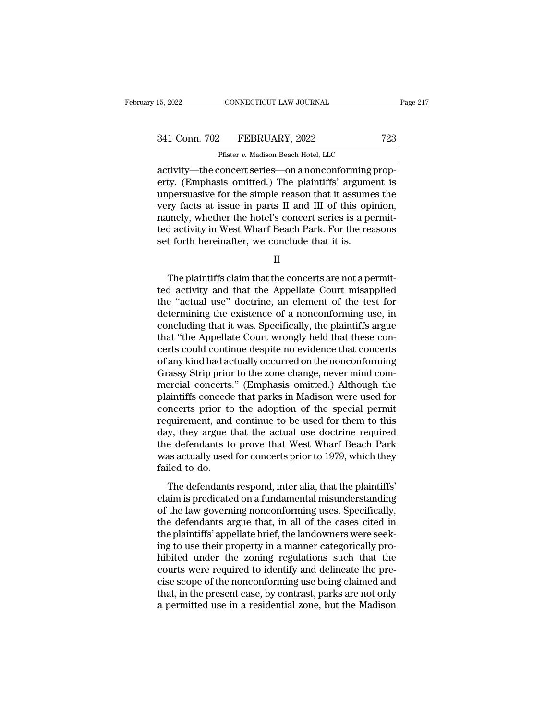| 15, 2022      | CONNECTICUT LAW JOURNAL                              | Page 217 |
|---------------|------------------------------------------------------|----------|
| 341 Conn. 702 | FEBRUARY, 2022                                       | 723      |
|               | Pfister v. Madison Beach Hotel, LLC                  |          |
|               | activity—the concert series—on a nonconforming prop- |          |

15, 2022 CONNECTICUT LAW JOURNAL<br>
341 Conn. 702 FEBRUARY, 2022 723<br>
Pfister v. Madison Beach Hotel, LLC<br>
activity—the concert series—on a nonconforming prop-<br>
erty. (Emphasis omitted.) The plaintiffs' argument is<br>
unnorgue 341 Conn. 702 FEBRUARY, 2022 723<br>
Pfister v. Madison Beach Hotel, LLC<br>
activity—the concert series—on a nonconforming prop-<br>
erty. (Emphasis omitted.) The plaintiffs' argument is<br>
unpersuasive for the simple reason that i 341 Conn. 702 FEBRUARY, 2022 723<br>
Pfister v. Madison Beach Hotel, LLC<br>
activity—the concert series—on a nonconforming prop-<br>
erty. (Emphasis omitted.) The plaintiffs' argument is<br>
unpersuasive for the simple reason that i 341 Conn. 702 FEBRUARY, 2022 723<br>
Pfister v. Madison Beach Hotel, LLC<br>
activity—the concert series—on a nonconforming prop-<br>
erty. (Emphasis omitted.) The plaintiffs' argument is<br>
unpersuasive for the simple reason that i Prister v. Madison Beach Hotel, LLC<br>activity—the concert series—on a nonconforming prop-<br>erty. (Emphasis omitted.) The plaintiffs' argument is<br>unpersuasive for the simple reason that it assumes the<br>very facts at issue in p Phister v. Madison Beach Hotel, LLC<br>activity—the concert series—on a nonconforming prop-<br>erty. (Emphasis omitted.) The plaintiffs' argument is<br>unpersuasive for the simple reason that it assumes the<br>very facts at issue in activity—the concert series—on a nonconforming<br>erty. (Emphasis omitted.) The plaintiffs' argume<br>unpersuasive for the simple reason that it assume<br>very facts at issue in parts II and III of this opi<br>namely, whether the hote ry facts at issue in parts II and III of this opinion,<br>mely, whether the hotel's concert series is a permit-<br>d activity in West Wharf Beach Park. For the reasons<br>t forth hereinafter, we conclude that it is.<br>II<br>The plaintif

II

namely, whether the hotel's concert series is a permit-<br>ted activity in West Wharf Beach Park. For the reasons<br>set forth hereinafter, we conclude that it is.<br>II<br>The plaintiffs claim that the concerts are not a permit-<br>ted ted activity in West Wharf Beach Park. For the reasons<br>set forth hereinafter, we conclude that it is.<br>II<br>The plaintiffs claim that the concerts are not a permit-<br>ted activity and that the Appellate Court misapplied<br>the "ac set forth hereinafter, we conclude that it is.<br>
II<br>
The plaintiffs claim that the concerts are not a permit-<br>
ted activity and that the Appellate Court misapplied<br>
the "actual use" doctrine, an element of the test for<br>
det II<br>The plaintiffs claim that the concerts are not a permit-<br>ted activity and that the Appellate Court misapplied<br>the "actual use" doctrine, an element of the test for<br>determining the existence of a nonconforming use, in<br>co The plaintiffs claim that the concerts are not a permit-<br>ted activity and that the Appellate Court misapplied<br>the "actual use" doctrine, an element of the test for<br>determining the existence of a nonconforming use, in<br>concl The plaintiffs claim that the concerts are not a permit-<br>ted activity and that the Appellate Court misapplied<br>the "actual use" doctrine, an element of the test for<br>determining the existence of a nonconforming use, in<br>concl ted activity and that the Appellate Court misapplied<br>the "actual use" doctrine, an element of the test for<br>determining the existence of a nonconforming use, in<br>concluding that it was. Specifically, the plaintiffs argue<br>tha the "actual use" doctrine, an element of the test for<br>determining the existence of a nonconforming use, in<br>concluding that it was. Specifically, the plaintiffs argue<br>that "the Appellate Court wrongly held that these con-<br>c determining the existence of a nonconforming use, in<br>concluding that it was. Specifically, the plaintiffs argue<br>that "the Appellate Court wrongly held that these con-<br>certs could continue despite no evidence that concerts<br> concluding that it was. Specifically, the plaintiffs argue<br>that "the Appellate Court wrongly held that these con-<br>certs could continue despite no evidence that concerts<br>of any kind had actually occurred on the nonconformin that "the Appellate Court wrongly held that these concerts could continue despite no evidence that concerts<br>of any kind had actually occurred on the nonconforming<br>Grassy Strip prior to the zone change, never mind com-<br>merc certs could continue despite no evidence that concerts<br>of any kind had actually occurred on the nonconforming<br>Grassy Strip prior to the zone change, never mind com-<br>mercial concerts." (Emphasis omitted.) Although the<br>plain of any kind had actually occurred on the nonconforming<br>Grassy Strip prior to the zone change, never mind com-<br>mercial concerts." (Emphasis omitted.) Although the<br>plaintiffs concede that parks in Madison were used for<br>conce Grassy Strip prior to the zone change, never mind commercial concerts." (Emphasis omitted.) Although the plaintiffs concede that parks in Madison were used for concerts prior to the adoption of the special permit requireme mercial concerts." (Emphasis omitted.) Although the plaintiffs concede that parks in Madison were used for concerts prior to the adoption of the special permit requirement, and continue to be used for them to this day, the plaintiffs concede<br>concerts prior to<br>requirement, and<br>day, they argue t<br>the defendants to<br>was actually used<br>failed to do.<br>The defendants The defendants respond is the defection of the set of them to this weak actually argue that the actual use doctrine required<br>a defendants to prove that West Wharf Beach Park as actually used for concerts prior to 1979, whi requirement, and continue to be disear for ditem to any<br>day, they argue that the actual use doctrine required<br>the defendants to prove that West Wharf Beach Park<br>was actually used for concerts prior to 1979, which they<br>fail

day, andy argue that are actual ase absenting required<br>the defendants to prove that West Wharf Beach Park<br>was actually used for concerts prior to 1979, which they<br>failed to do.<br>The defendants respond, inter alia, that the the defendants argue that west what beach tank<br>was actually used for concerts prior to 1979, which they<br>failed to do.<br>The defendants respond, inter alia, that the plaintiffs'<br>claim is predicated on a fundamental misunderst The defendants respond, inter alia, that the plaintiffs'<br>claim is predicated on a fundamental misunderstanding<br>of the law governing nonconforming uses. Specifically,<br>the defendants argue that, in all of the cases cited in<br> The defendants respond, inter alia, that the plaintiffs'<br>claim is predicated on a fundamental misunderstanding<br>of the law governing nonconforming uses. Specifically,<br>the defendants argue that, in all of the cases cited in<br> The defendants respond, inter alia, that the plaintiffs'<br>claim is predicated on a fundamental misunderstanding<br>of the law governing nonconforming uses. Specifically,<br>the defendants argue that, in all of the cases cited in<br> claim is predicated on a fundamental misunderstanding<br>of the law governing nonconforming uses. Specifically,<br>the defendants argue that, in all of the cases cited in<br>the plaintiffs' appellate brief, the landowners were seek of the law governing nonconforming uses. Specifically,<br>the defendants argue that, in all of the cases cited in<br>the plaintiffs' appellate brief, the landowners were seek-<br>ing to use their property in a manner categorically the defendants argue that, in all of the cases cited in<br>the plaintiffs' appellate brief, the landowners were seek-<br>ing to use their property in a manner categorically pro-<br>hibited under the zoning regulations such that the the plaintiffs' appellate brief, the landowners were seeking to use their property in a manner categorically pro-<br>hibited under the zoning regulations such that the<br>courts were required to identify and delineate the pre-<br>c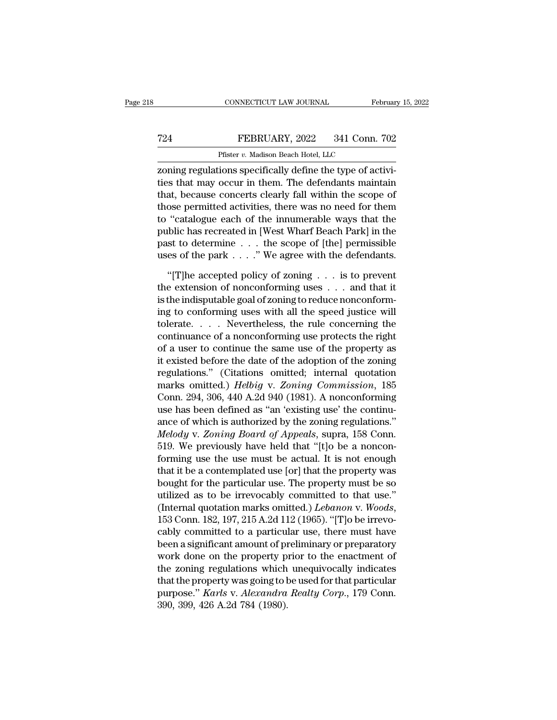## EXECUTE CONNECTICUT LAW JOURNAL February 15, 2022<br>
FEBRUARY, 2022 341 Conn. 702<br>
Pfister v. Madison Beach Hotel, LLC CONNECTICUT LAW JOURNAL<br>FEBRUARY, 2022 341 Conn.<br>Pfister *v.* Madison Beach Hotel, LLC<br>ions specifically define the type of ac

CONNECTICUT LAW JOURNAL Februar<br>
T24 FEBRUARY, 2022 341 Conn. 702<br>
Pfister v. Madison Beach Hotel, LLC<br>
Tenning regulations specifically define the type of activi-<br>
ties that may occur in them. The defendants maintain<br>
tha T24 FEBRUARY, 2022 341 Conn. 702<br>
Pfister  $v$ . Madison Beach Hotel, LLC<br>
zoning regulations specifically define the type of activi-<br>
ties that may occur in them. The defendants maintain<br>
that, because concerts clearly fal T24 FEBRUARY, 2022 341 Conn. 702<br>
Pfister *v.* Madison Beach Hotel, LLC<br>
zoning regulations specifically define the type of activi-<br>
ties that may occur in them. The defendants maintain<br>
that, because concerts clearly fal T24 FEBRUARY, 2022 341 Conn. 702<br>
Pfister v. Madison Beach Hotel, LLC<br>
zoning regulations specifically define the type of activi-<br>
ties that may occur in them. The defendants maintain<br>
that, because concerts clearly fall Pfister  $v$ . Madison Beach Hotel, LLC<br>
zoning regulations specifically define the type of activi-<br>
ties that may occur in them. The defendants maintain<br>
that, because concerts clearly fall within the scope of<br>
those permi public has recreated in the scheen in the type of activities that may occur in them. The defendants maintain that, because concerts clearly fall within the scope of those permitted activities, there was no need for them t zoning regulations specifically define the type of activities that may occur in them. The defendants maintain that, because concerts clearly fall within the scope of those permitted activities, there was no need for them ties that may occur in them. The defendants maintain<br>that, because concerts clearly fall within the scope of<br>those permitted activities, there was no need for them<br>to "catalogue each of the innumerable ways that the<br>publi ose permitted activities, there was no need for them<br>
"catalogue each of the innumerable ways that the<br>
blic has recreated in [West Wharf Beach Park] in the<br>
st to determine . . . the scope of [the] permissible<br>
es of the to "catalogue each of the innumerable ways that the<br>public has recreated in [West Wharf Beach Park] in the<br>past to determine . . . the scope of [the] permissible<br>uses of the park . . . ." We agree with the defendants.<br>"[T

public has recreated in [West Wharf Beach Park] in the past to determine . . . the scope of [the] permissible uses of the park . . . ." We agree with the defendants. "[T]he accepted policy of zoning . . . is to prevent th past to determine  $\dots$  the scope of [the] permissible<br>uses of the park  $\dots$ ." We agree with the defendants.<br>"[T]he accepted policy of zoning  $\dots$  is to prevent<br>the extension of nonconforming uses  $\dots$  and that it<br>is the i uses of the park  $\ldots$  ." We agree with the defendants.<br>
"[T]he accepted policy of zoning  $\ldots$  is to prevent<br>
the extension of nonconforming uses  $\ldots$  and that it<br>
is the indisputable goal of zoning to reduce nonconform "[T]he accepted policy of zoning  $\ldots$  is to prevent<br>the extension of nonconforming uses  $\ldots$  and that it<br>is the indisputable goal of zoning to reduce nonconform-<br>ing to conforming uses with all the speed justice will<br>to "[T]he accepted policy of zoning  $\dots$  is to prevent<br>the extension of nonconforming uses  $\dots$  and that it<br>is the indisputable goal of zoning to reduce nonconform-<br>ing to conforming uses with all the speed justice will<br>tole the extension of nonconforming uses  $\ldots$  and that it<br>is the indisputable goal of zoning to reduce nonconform-<br>ing to conforming uses with all the speed justice will<br>tolerate.  $\ldots$  Nevertheless, the rule concerning the<br>c is the indisputable goal of zoning to reduce nonconform-<br>ing to conforming uses with all the speed justice will<br>tolerate.....Nevertheless, the rule concerning the<br>continuance of a nonconforming use protects the right<br>of a ing to conforming uses with all the speed justice will<br>tolerate.....Nevertheless, the rule concerning the<br>continuance of a nonconforming use protects the right<br>of a user to continue the same use of the property as<br>it exist tolerate. . . . . Nevertheless, the rule concerning the<br>continuance of a nonconforming use protects the right<br>of a user to continue the same use of the property as<br>it existed before the date of the adoption of the zoning<br>r continuance of a nonconforming use protects the right<br>of a user to continue the same use of the property as<br>it existed before the date of the adoption of the zoning<br>regulations." (Citations omitted; internal quotation<br>mark of a user to continue the same use of the property as<br>it existed before the date of the adoption of the zoning<br>regulations.'' (Citations omitted; internal quotation<br>marks omitted.) *Helbig* v. *Zoning Commission*, 185<br>Conn it existed before the date of the adoption of the zoning<br>regulations." (Citations omitted; internal quotation<br>marks omitted.) *Helbig* v. *Zoning Commission*, 185<br>Conn. 294, 306, 440 A.2d 940 (1981). A nonconforming<br>use ha regulations." (Citations omitted; internal quotation<br>marks omitted.) *Helbig* v. Zoning Commission, 185<br>Conn. 294, 306, 440 A.2d 940 (1981). A nonconforming<br>use has been defined as "an 'existing use' the continu-<br>ance of w marks omitted.) *Helbig v. Zoning Commission*, 185<br>Conn. 294, 306, 440 A.2d 940 (1981). A nonconforming<br>use has been defined as "an 'existing use' the continu-<br>ance of which is authorized by the zoning regulations."<br>*Melod* Conn. 294, 306, 440 A.2d 940 (1981). A nonconforming<br>use has been defined as "an 'existing use' the continu-<br>ance of which is authorized by the zoning regulations."<br>*Melody v. Zoning Board of Appeals*, supra, 158 Conn.<br>51 use has been defined as "an 'existing use' the continu-<br>ance of which is authorized by the zoning regulations."<br>*Melody v. Zoning Board of Appeals*, supra, 158 Conn.<br>519. We previously have held that "[t]o be a noncon-<br>fo ance of which is authorized by the zoning regulations."<br> *Melody* v. *Zoning Board of Appeals*, supra, 158 Conn.<br>
519. We previously have held that "[t]o be a noncon-<br>
forming use the use must be actual. It is not enough<br> Melody v. *Zoning Board of Appeals*, supra, 158 Conn.<br>519. We previously have held that "[t]o be a noncon-<br>forming use the use must be actual. It is not enough<br>that it be a contemplated use [or] that the property was<br>bough forming use the use must be actual. It is not enough<br>that it be a contemplated use [or] that the property was<br>bought for the particular use. The property must be so<br>utilized as to be irrevocably committed to that use."<br>(I that it be a contemplated use [or] that the property was<br>bought for the particular use. The property must be so<br>utilized as to be irrevocably committed to that use."<br>(Internal quotation marks omitted.) *Lebanon* v. Woods,<br> bought for the particular use. The property must be so<br>utilized as to be irrevocably committed to that use."<br>(Internal quotation marks omitted.) *Lebanon* v. Woods,<br>153 Conn. 182, 197, 215 A.2d 112 (1965). "[T]o be irrevoutilized as to be irrevocably committed to that use."<br>(Internal quotation marks omitted.) *Lebanon* v. Woods,<br>153 Conn. 182, 197, 215 A.2d 112 (1965). "[T]o be irrevo-<br>cably committed to a particular use, there must have<br> (Internal quotation marks omitted.) *Lebanon* v. Woods,<br>153 Conn. 182, 197, 215 A.2d 112 (1965). "[T]o be irrevo-<br>cably committed to a particular use, there must have<br>been a significant amount of preliminary or preparator 153 Conn. 182, 197, 215 A.2d 112 (1965). "[T]o be irrevo-<br>cably committed to a particular use, there must have<br>been a significant amount of preliminary or preparatory<br>work done on the property prior to the enactment of<br>the cably committed to a particul<br>been a significant amount of pi<br>work done on the property p<br>the zoning regulations which<br>that the property was going to b<br>purpose." *Karls v. Alexandra*<br>390, 399, 426 A.2d 784 (1980).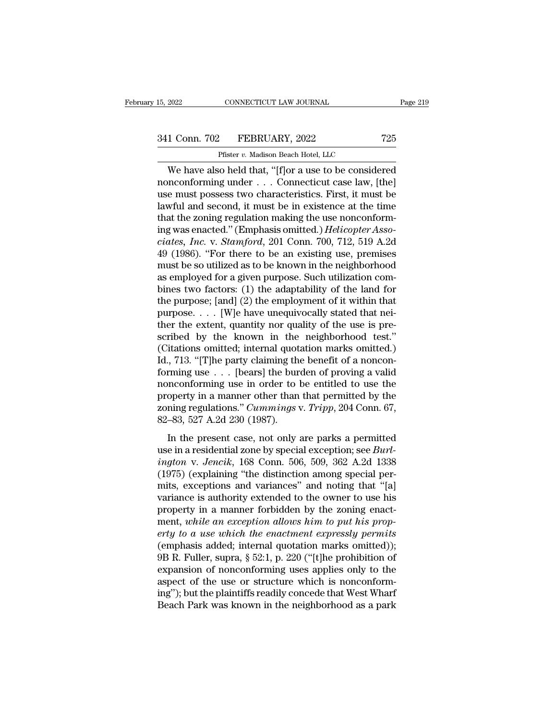# 15, 2022 CONNECTICUT LAW JOURNAL Page 219<br>341 Conn. 702 FEBRUARY, 2022 725<br>Pfister v. Madison Beach Hotel, LLC

CONNECTICUT LAW JOURNAL<br>
Pfister *v.* Madison Beach Hotel, LLC<br>
Co held that "[flor a use to be conside CONNECTICUT LAW JOURNAL Page 219<br>
1 Conn. 702 FEBRUARY, 2022 725<br>
Pfister v. Madison Beach Hotel, LLC<br>
We have also held that, "[f]or a use to be considered<br>
neconforming under . . . Connecticut case law, [the]<br>
a must pos 341 Conn. 702 FEBRUARY, 2022 725<br>
Pfister v. Madison Beach Hotel, LLC<br>
We have also held that, "[f]or a use to be considered<br>
nonconforming under . . . Connecticut case law, [the]<br>
use must possess two characteristics. Fir 341 Conn. 702 FEBRUARY, 2022 725<br>
Pfister v. Madison Beach Hotel, LLC<br>
We have also held that, "[f]or a use to be considered<br>
nonconforming under . . . Connecticut case law, [the]<br>
use must possess two characteristics. Fi 341 Conn. 702 FEBRUARY, 2022 725<br>
Pfister v. Madison Beach Hotel, LLC<br>
We have also held that, "[f]or a use to be considered<br>
nonconforming under . . . Connecticut case law, [the]<br>
use must possess two characteristics. Fi Prister *v.* Madison Beach Hotel, LLC<br>
We have also held that, "[f]or a use to be considered<br>
nonconforming under . . . Connecticut case law, [the]<br>
use must possess two characteristics. First, it must be<br>
lawful and secon Fister *v.* Madison Beach Hotel, LLC<br>We have also held that, "[f]or a use to be considered<br>nonconforming under . . . Connecticut case law, [the]<br>use must possess two characteristics. First, it must be<br>lawful and second, it We have also held that, "[f]or a use to be considered<br>nonconforming under . . . Connecticut case law, [the]<br>use must possess two characteristics. First, it must be<br>lawful and second, it must be in existence at the time<br>tha nonconforming under . . . Connecticut case law, [the]<br>use must possess two characteristics. First, it must be<br>lawful and second, it must be in existence at the time<br>that the zoning regulation making the use nonconform-<br>in use must possess two characteristics. First, it must be lawful and second, it must be in existence at the time<br>that the zoning regulation making the use nonconform-<br>ing was enacted." (Emphasis omitted.) *Helicopter Asso-*<br> lawful and second, it must be in existence at the time<br>that the zoning regulation making the use nonconform-<br>ing was enacted." (Emphasis omitted.) *Helicopter Asso-*<br>ciates, *Inc.* v. *Stamford*, 201 Conn. 700, 712, 519 A. that the zoning regulation making the use nonconform-<br>ing was enacted." (Emphasis omitted.) *Helicopter Asso-*<br>*ciates, Inc.* v. *Stamford*, 201 Conn. 700, 712, 519 A.2d<br>49 (1986). "For there to be an existing use, premis ing was enacted." (Emphasis omitted.) *Helicopter Asso-*<br>ciates, *Inc.* v. *Stamford*, 201 Conn. 700, 712, 519 A.2d<br>49 (1986). "For there to be an existing use, premises<br>must be so utilized as to be known in the neighborho ciates, Inc. v. Stamford, 201 Conn. 700, 712, 519 A.2d<br>49 (1986). "For there to be an existing use, premises<br>must be so utilized as to be known in the neighborhood<br>as employed for a given purpose. Such utilization com-<br>bi 49 (1986). "For there to be an existing use, premises<br>must be so utilized as to be known in the neighborhood<br>as employed for a given purpose. Such utilization com-<br>bines two factors: (1) the adaptability of the land for<br>t must be so utilized as to be known in the neighborhood<br>as employed for a given purpose. Such utilization com-<br>bines two factors: (1) the adaptability of the land for<br>the purpose,  $[and]$  (2) the employment of it within that as employed for a given purpose. Such utilization combines two factors: (1) the adaptability of the land for<br>the purpose; [and] (2) the employment of it within that<br>purpose. . . . [W]e have unequivocally stated that nei-<br> bines two factors: (1) the adaptability of the land for<br>the purpose; [and] (2) the employment of it within that<br>purpose. . . . [W]e have unequivocally stated that nei-<br>ther the extent, quantity nor quality of the use is p the purpose; [and] (2) the employment of it within that<br>purpose. . . . [W]e have unequivocally stated that nei-<br>ther the extent, quantity nor quality of the use is pre-<br>scribed by the known in the neighborhood test."<br>(Cit purpose. . . . [W]e have unequivocally stated that nei-<br>ther the extent, quantity nor quality of the use is pre-<br>scribed by the known in the neighborhood test."<br>(Citations omitted; internal quotation marks omitted.)<br>Id., ther the extent, quantity nor quality of the use is pre-<br>scribed by the known in the neighborhood test."<br>(Citations omitted; internal quotation marks omitted.)<br>Id., 713. "[T]he party claiming the benefit of a noncon-<br>form scribed by the known in the neighborhood test."<br>(Citations omitted; internal quotation marks omitted.)<br>Id., 713. "[T]he party claiming the benefit of a noncon-<br>forming use . . . [bears] the burden of proving a valid<br>noncon (Citations omitted; internal quot Id., 713. "[T]he party claiming the forming use  $\ldots$  [bears] the bur nonconforming use in order to property in a manner other than zoning regulations." *Cummings* v 82–83, 527 A.2d 230 ( In the present case, not only are parks a permitted by the present of a nonconforming use in order to be entitled to use the operty in a manner other than that permitted by the ning regulations." *Cummings v. Tripp*, 204 nonconforming use in order to be entitled to use the<br>property in a manner other than that permitted by the<br>zoning regulations." *Cummings v. Tripp*, 204 Conn. 67,<br>82–83, 527 A.2d 230 (1987).<br>In the present case, not only

*i*<br>*i*ndata v. *Jencentoning asc in otaci to be entated to disting<br>property in a manner other than that permitted by the<br>zoning regulations." <i>Cummings v. Tripp*, 204 Conn. 67,<br>82–83, 527 A.2d 230 (1987).<br>In the present c groperty in a manner state than that permitted by the zoning regulations." *Cummings v. Tripp*, 204 Conn. 67, 82–83, 527 A.2d 230 (1987).<br>In the present case, not only are parks a permitted use in a residential zone by sp mits, exceptions and variances' and noting that "[a]<br>
m the present case, not only are parks a permitted<br>
use in a residential zone by special exception; see *Burl-*<br> *ington* v. *Jencik*, 168 Conn. 506, 509, 362 A.2d 133 In the present case, not only are parks a permitted<br>use in a residential zone by special exception; see *Burl-*<br>ington v. Jencik, 168 Conn. 506, 509, 362 A.2d 1338<br>(1975) (explaining "the distinction among special per-<br>mi In the present case, not only are parks a permitted<br>use in a residential zone by special exception; see *Burl-*<br>ington v. Jencik, 168 Conn. 506, 509, 362 A.2d 1338<br>(1975) (explaining "the distinction among special per-<br>mi use in a residential zone by special exception; see *Burl-*<br>*ington v. Jencik*, 168 Conn. 506, 509, 362 A.2d 1338<br>(1975) (explaining "the distinction among special per-<br>mits, exceptions and variances" and noting that "[a]<br> *erty ington v. Jencik*, 168 Conn. 506, 509, 362 A.2d 1338<br>
(1975) (explaining "the distinction among special permits, exceptions and variances" and noting that "[a]<br>
variance is authority extended to the owner to use his<br> (1975) (explaining "the distinction among special permits, exceptions and variances" and noting that "[a] variance is authority extended to the owner to use his property in a manner forbidden by the zoning enactment, whil mits, exceptions and variances" and noting that "[a]<br>variance is authority extended to the owner to use his<br>property in a manner forbidden by the zoning enact-<br>ment, while an exception allows him to put his prop-<br>erty to a variance is authority extended to the owner to use his<br>property in a manner forbidden by the zoning enact-<br>ment, *while an exception allows him to put his prop-*<br>erty to a use which the enactment expressly permits<br>(emphas property in a manner forbidden by the zoning enact-<br>ment, while an exception allows him to put his prop-<br>erty to a use which the enactment expressly permits<br>(emphasis added; internal quotation marks omitted));<br>9B R. Fulle ment, while an exception allows him to put his prop-<br>erty to a use which the enactment expressly permits<br>(emphasis added; internal quotation marks omitted));<br> $9B$  R. Fuller, supra,  $\S 52:1$ , p. 220 ("[t]he prohibition of<br> erty to a use which the enactment expressly permits<br>(emphasis added; internal quotation marks omitted));<br>9B R. Fuller, supra, § 52:1, p. 220 ("[t]he prohibition of<br>expansion of nonconforming uses applies only to the<br>aspect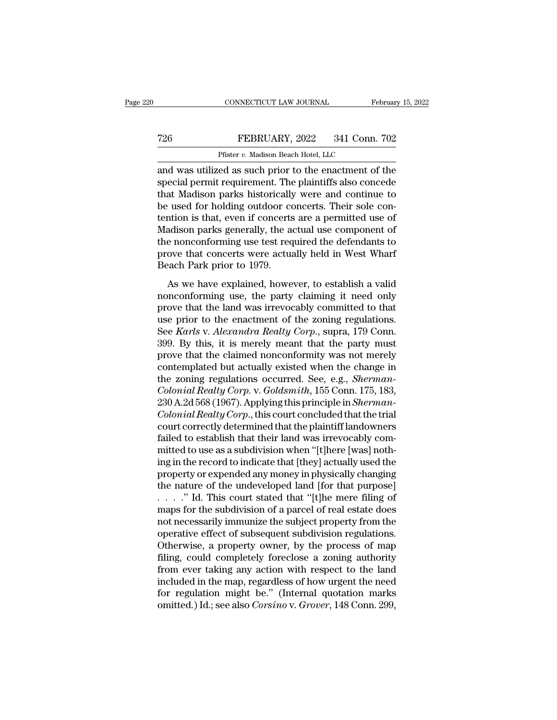## CONNECTICUT LAW JOURNAL February 15, 2022<br>
T26 FEBRUARY, 2022 341 Conn. 702<br>
Pfister v. Madison Beach Hotel, LLC CONNECTICUT LAW JOURNAL<br>FEBRUARY, 2022 341 Conn.<br>Pfister *v.* Madison Beach Hotel, LLC<br>ed as such prior to the enactment of

CONNECTICUT LAW JOURNAL February 15, 2022<br>
T26 FEBRUARY, 2022 341 Conn. 702<br>
Pfister v. Madison Beach Hotel, LLC<br>
and was utilized as such prior to the enactment of the<br>
special permit requirement. The plaintiffs also conc The FEBRUARY, 2022 341 Conn. 702<br>
Pfister v. Madison Beach Hotel, LLC<br>
and was utilized as such prior to the enactment of the<br>
special permit requirement. The plaintiffs also concede<br>
that Madison parks historically were a T26 FEBRUARY, 2022 341 Conn. 702<br>
Pfister v. Madison Beach Hotel, LLC<br>
and was utilized as such prior to the enactment of the<br>
special permit requirement. The plaintiffs also concede<br>
that Madison parks historically were FEBRUARY, 2022 341 Conn. 702<br>
Pfister v. Madison Beach Hotel, LLC<br>
and was utilized as such prior to the enactment of the<br>
special permit requirement. The plaintiffs also concede<br>
that Madison parks historically were and Pfister *v.* Madison Beach Hotel, LLC<br>
and was utilized as such prior to the enactment of the<br>
special permit requirement. The plaintiffs also concede<br>
that Madison parks historically were and continue to<br>
be used for hol Pluster v. Madison Beach Hotel, LLC<br>and was utilized as such prior to the enactment of the<br>special permit requirement. The plaintiffs also concede<br>that Madison parks historically were and continue to<br>be used for holding o and was utilized as such prior to the enactment of the<br>special permit requirement. The plaintiffs also concede<br>that Madison parks historically were and continue to<br>be used for holding outdoor concerts. Their sole con-<br>tent special permit requirement. The plaintiffs also concede<br>that Madison parks historically were and continue to<br>be used for holding outdoor concerts. Their sole con-<br>tention is that, even if concerts are a permitted use of<br>Ma that Madison parks historically<br>be used for holding outdoor co<br>tention is that, even if concerts<br>Madison parks generally, the a<br>the nonconforming use test req<br>prove that concerts were actua<br>Beach Park prior to 1979.<br>As we As we have explained, however, to establish a valid and that the land was irreversible and the defendants to over that concerts were actually held in West Wharf and Park prior to 1979.<br>As we have explained, however, to est noncomparison is also, even in concerns are a permissed ase of<br>Madison parks generally, the actual use component of<br>the nonconforming use test required the defendants to<br>prove that concerts were actually held in West Wharf

matason parts generally, are actual ase component of<br>the nonconforming use test required the defendants to<br>prove that concerts were actually held in West Wharf<br>Beach Park prior to 1979.<br>As we have explained, however, to e move that concerts were actually held in West Wharf<br>Beach Park prior to 1979.<br>As we have explained, however, to establish a valid<br>nonconforming use, the party claiming it need only<br>prove that the land was irrevocably commi Beach Park prior to 1979.<br>
As we have explained, however, to establish a valid<br>
nonconforming use, the party claiming it need only<br>
prove that the land was irrevocably committed to that<br>
use prior to the enactment of the z As we have explained, however, to establish a valid<br>nonconforming use, the party claiming it need only<br>prove that the land was irrevocably committed to that<br>use prior to the enactment of the zoning regulations.<br>See *Karls* As we have explained, however, to establish a valid<br>nonconforming use, the party claiming it need only<br>prove that the land was irrevocably committed to that<br>use prior to the enactment of the zoning regulations.<br>See *Karls* nonconforming use, the party claiming it need only<br>prove that the land was irrevocably committed to that<br>use prior to the enactment of the zoning regulations.<br>See *Karls* v. *Alexandra Realty Corp.*, supra, 179 Conn.<br>399. prove that the land was irrevocably committed to that<br>use prior to the enactment of the zoning regulations.<br>See *Karls* v. *Alexandra Realty Corp.*, supra, 179 Conn.<br>399. By this, it is merely meant that the party must<br>pro use prior to the enactment of the zoning regulations.<br>
See *Karls* v. *Alexandra Realty Corp.*, supra, 179 Conn.<br>
399. By this, it is merely meant that the party must<br>
prove that the claimed nonconformity was not merely<br>
c See *Karls* v. *Alexandra Realty Corp.*, supra, 179 Conn.<br>399. By this, it is merely meant that the party must<br>prove that the claimed nonconformity was not merely<br>contemplated but actually existed when the change in<br>the zo 399. By this, it is merely meant that the party must<br>prove that the claimed nonconformity was not merely<br>contemplated but actually existed when the change in<br>the zoning regulations occurred. See, e.g., *Sherman-<br>Colonial R* prove that the claimed nonconformity was not merely<br>contemplated but actually existed when the change in<br>the zoning regulations occurred. See, e.g., *Sherman-<br>Colonial Realty Corp.* v. *Goldsmith*, 155 Conn. 175, 183,<br>230 contemplated but actually existed when the change in<br>the zoning regulations occurred. See, e.g., *Sherman-<br>Colonial Realty Corp.* v. *Goldsmith*, 155 Conn. 175, 183,<br>230 A.2d 568 (1967). Applying this principle in *Sherman* the zoning regulations occurred. See, e.g., *Sherman-Colonial Realty Corp.* v. *Goldsmith*, 155 Conn. 175, 183, 230 A.2d 568 (1967). Applying this principle in *Sherman-Colonial Realty Corp.*, this court concluded that the Colonial Realty Corp. v. Goldsmith, 155 Conn. 175, 183,<br>230 A.2d 568 (1967). Applying this principle in *Sherman-Colonial Realty Corp.*, this court concluded that the trial<br>court correctly determined that the plaintiff lan 230 A.2d 568 (1967). Applying this principle in *Sherman-Colonial Realty Corp*., this court concluded that the trial court correctly determined that the plaintiff landowners failed to establish that their land was irrevoc Colonial Realty Corp., this court concluded that the trial<br>court correctly determined that the plaintiff landowners<br>failed to establish that their land was irrevocably com-<br>mitted to use as a subdivision when "[t]here [wa court correctly determined that the plaintiff landowners<br>failed to establish that their land was irrevocably com-<br>mitted to use as a subdivision when "[t]here [was] noth-<br>ing in the record to indicate that [they] actually failed to establish that their land was irrevocably committed to use as a subdivision when "[t]here [was] nothing in the record to indicate that [they] actually used the property or expended any money in physically changi mitted to use as a subdivision when "[t]here [was] nothing in the record to indicate that [they] actually used the property or expended any money in physically changing the nature of the undeveloped land [for that purpose] ing in the record to indicate that [they] actually used the<br>property or expended any money in physically changing<br>the nature of the undeveloped land [for that purpose]<br>. . . . ." Id. This court stated that "[t]he mere fili property or expended any money in physically changing<br>the nature of the undeveloped land [for that purpose]<br>. . . . ." Id. This court stated that "[t]he mere filing of<br>maps for the subdivision of a parcel of real estate d the nature of the undeveloped land [for that purpose]<br>  $\ldots$  ." Id. This court stated that "[t]he mere filing of<br>
maps for the subdivision of a parcel of real estate does<br>
not necessarily immunize the subject property fro From every file were filing of maps for the subdivision of a parcel of real estate does not necessarily immunize the subject property from the operative effect of subsequent subdivision regulations. Otherwise, a property maps for the subdivision of a parcel of real estate does<br>not necessarily immunize the subject property from the<br>operative effect of subsequent subdivision regulations.<br>Otherwise, a property owner, by the process of map<br>fil not necessarily immunize the subject property from the<br>operative effect of subsequent subdivision regulations.<br>Otherwise, a property owner, by the process of map<br>filing, could completely foreclose a zoning authority<br>from e operative effect of subsequent subdivision regulations.<br>Otherwise, a property owner, by the process of map<br>filing, could completely foreclose a zoning authority<br>from ever taking any action with respect to the land<br>included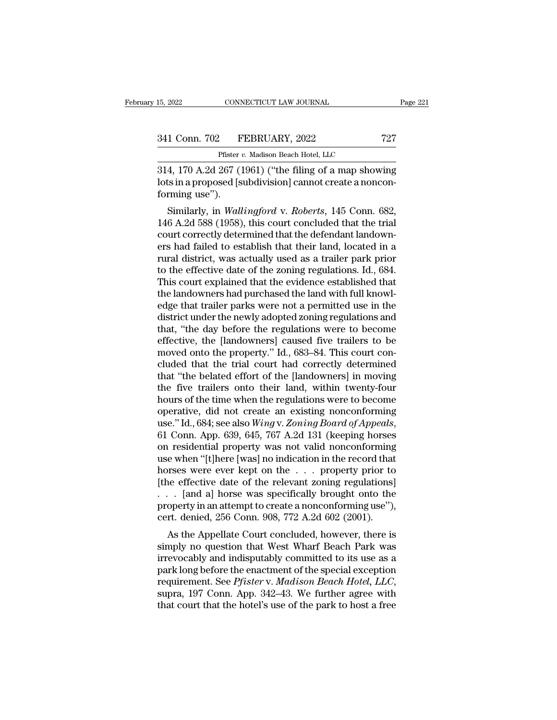CONNECTICUT LAW JOURNAL<br>
Pfister *v.* Madison Beach Hotel, LLC<br>
267 (1961) ("the filing of a man show" 15, 2022 CONNECTICUT LAW JOURNAL Page 221<br>
341 Conn. 702 FEBRUARY, 2022 727<br>
Pfister v. Madison Beach Hotel, LLC<br>
314, 170 A.2d 267 (1961) ("the filing of a map showing<br>
lots in a proposed [subdivision] cannot create a non 341 Conn. 702 FEBRUARY, 2022 727<br>Pfister v. Madison Beach Hotel, LLC<br>314, 170 A.2d 267 (1961) ("the filing of a map showing<br>lots in a proposed [subdivision] cannot create a noncon-<br>forming use"). 341 Conn. 702<br>Pfister *t*<br>314, 170 A.2d 267 (1<br>lots in a proposed [s<br>forming use'').<br>Similarly, in *Wall* 1 Conn. 702 FEBRUARY, 2022 727<br>
Pfister *v.* Madison Beach Hotel, LLC<br>
4, 170 A.2d 267 (1961) ("the filing of a map showing<br>
is in a proposed [subdivision] cannot create a noncon-<br>
rming use").<br>
Similarly, in *Wallingford* 

Pfister v. Madison Beach Hotel, LLC<br>
146 A.2d 267 (1961) ("the filing of a map showing<br>
lots in a proposed [subdivision] cannot create a noncon-<br>
forming use").<br>
Similarly, in *Wallingford* v. *Roberts*, 145 Conn. 682,<br>
14  $\overline{0.314}$ , 170 A.2d 267 (1961) ("the filing of a map showing<br>lots in a proposed [subdivision] cannot create a noncon-<br>forming use").<br>Similarly, in *Wallingford* v. *Roberts*, 145 Conn. 682,<br>146 A.2d 588 (1958), this co 914, 170 A.2d 207 (1901) ( the filling of a hiap showing<br>lots in a proposed [subdivision] cannot create a noncon-<br>forming use").<br>Similarly, in *Wallingford* v. *Roberts*, 145 Conn. 682,<br>146 A.2d 588 (1958), this court con rots in a proposed [subdivision] cannot create a noncon-<br>forming use").<br>Similarly, in *Wallingford* v. *Roberts*, 145 Conn. 682,<br>146 A.2d 588 (1958), this court concluded that the trial<br>court correctly determined that the Similarly, in *Wallingford* v. *Roberts*, 145 Conn. 682,<br>146 A.2d 588 (1958), this court concluded that the trial<br>court correctly determined that the defendant landown-<br>ers had failed to establish that their land, located Similarly, in *Wallingford* v. *Roberts*, 145 Conn. 682, 146 A.2d 588 (1958), this court concluded that the trial court correctly determined that the defendant landowners had failed to establish that their land, located in 146 A.2d 588 (1958), this court concluded that the trial court correctly determined that the defendant landowners had failed to establish that their land, located in a rural district, was actually used as a trailer park pr court correctly determined that the defendant landowners had failed to establish that their land, located in a<br>rural district, was actually used as a trailer park prior<br>to the effective date of the zoning regulations. Id., ers had failed to establish that their land, located in a<br>rural district, was actually used as a trailer park prior<br>to the effective date of the zoning regulations. Id., 684.<br>This court explained that the evidence establis rural district, was actually used as a trailer park prior<br>to the effective date of the zoning regulations. Id., 684.<br>This court explained that the evidence established that<br>the landowners had purchased the land with full k to the effective date of the zoning regulations. Id., 684.<br>This court explained that the evidence established that<br>the landowners had purchased the land with full knowl-<br>edge that trailer parks were not a permitted use in This court explained that the evidence established that<br>the landowners had purchased the land with full knowl-<br>edge that trailer parks were not a permitted use in the<br>district under the newly adopted zoning regulations and the landowners had purchased the land with full knowledge that trailer parks were not a permitted use in the district under the newly adopted zoning regulations and that, "the day before the regulations were to become effe edge that trailer parks were not a permitted use in the<br>district under the newly adopted zoning regulations and<br>that, "the day before the regulations were to become<br>effective, the [landowners] caused five trailers to be<br>mo district under the newly adopted zoning regulations and<br>that, "the day before the regulations were to become<br>effective, the [landowners] caused five trailers to be<br>moved onto the property." Id., 683–84. This court con-<br>clu that, "the day before the regulations were to become<br>effective, the [landowners] caused five trailers to be<br>moved onto the property." Id., 683–84. This court con-<br>cluded that the trial court had correctly determined<br>that " effective, the [landowners] caused five trailers to be<br>moved onto the property." Id., 683–84. This court con-<br>cluded that the trial court had correctly determined<br>that "the belated effort of the [landowners] in moving<br>the moved onto the property." Id., 683–84. This court concluded that the trial court had correctly determined that "the belated effort of the [landowners] in moving the five trailers onto their land, within twenty-four hours o that "the belated effort of the [landowners] in moving<br>the five trailers onto their land, within twenty-four<br>hours of the time when the regulations were to become<br>operative, did not create an existing nonconforming<br>use." I the five trailers onto their land, within twenty-four<br>hours of the time when the regulations were to become<br>operative, did not create an existing nonconforming<br>use." Id., 684; see also *Wing* v. Zoning Board of Appeals,<br>6 hours of the time when the regulations were to become<br>operative, did not create an existing nonconforming<br>use."Id., 684; see also *Wing* v. Zoning Board of Appeals,<br>61 Conn. App. 639, 645, 767 A.2d 131 (keeping horses<br>on operative, did not create an existing nonconforming<br>use." Id., 684; see also *Wing* v. Zoning Board of Appeals,<br>61 Conn. App. 639, 645, 767 A.2d 131 (keeping horses<br>on residential property was not valid nonconforming<br>use use." Id., 684; see also *Wing* v. *Zoning Board of Appeals*,<br>61 Conn. App. 639, 645, 767 A.2d 131 (keeping horses<br>on residential property was not valid nonconforming<br>use when "[t]here [was] no indication in the record th 61 Conn. App. 639, 645, 767 A.2d 131 (keeping horses<br>on residential property was not valid nonconforming<br>use when "[t]here [was] no indication in the record that<br>horses were ever kept on the . . . property prior to<br>[the e % on residential property was not valid nonconforming<br>use when "[t]here [was] no indication in the record that<br>horses were ever kept on the  $\ldots$  property prior to<br>[the effective date of the relevant zoning regulations]<br>e when [t]here [was] ho mucation in the record that<br>preses were ever kept on the . . . property prior to<br>the effective date of the relevant zoning regulations]<br>. [and a] horse was specifically brought onto the<br>operty in an shorter that we see the set of the relevant zoning regulations]<br>  $\ldots$  [and a] horse was specifically brought onto the<br>
property in an attempt to create a nonconforming use"),<br>
cert. denied, 256 Conn. 908, 772 A.2d 602 (2

First energy date of the Felevalt zoning regulations]<br>  $\ldots$  [and a] horse was specifically brought onto the<br>
property in an attempt to create a nonconforming use"),<br>
cert. denied, 256 Conn. 908, 772 A.2d 602 (2001).<br>
As before the enactment of the specifically solution the<br>property in an attempt to create a nonconforming use"),<br>cert. denied, 256 Conn. 908, 772 A.2d 602 (2001).<br>As the Appellate Court concluded, however, there is<br>simply no property in an attempt to create a nonconforming use *f*, cert. denied, 256 Conn. 908, 772 A.2d 602 (2001).<br>As the Appellate Court concluded, however, there is simply no question that West Wharf Beach Park was irrevocably As the Appellate Court concluded, however, there is<br>simply no question that West Wharf Beach Park was<br>irrevocably and indisputably committed to its use as a<br>park long before the enactment of the special exception<br>requireme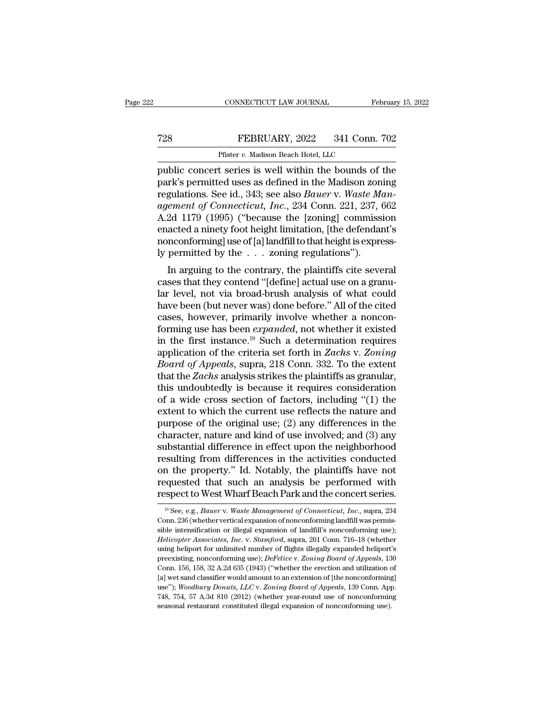## EXECUTE CONNECTICUT LAW JOURNAL February 15, 2022<br>
FEBRUARY, 2022 341 Conn. 702<br>
Pfister v. Madison Beach Hotel, LLC CONNECTICUT LAW JOURNAL<br>FEBRUARY, 2022 341 Conn.<br>Pfister *v.* Madison Beach Hotel, LLC<br>It series is well within the bounds of

February 15, 2022<br>
Public concert series is well within the bounds of the<br>
public concert series is well within the bounds of the<br>
park's permitted uses as defined in the Madison zoning<br>
regulations. See id. 343: see also FEBRUARY, 2022 341 Conn. 702<br>
Pfister v. Madison Beach Hotel, LLC<br>
public concert series is well within the bounds of the<br>
park's permitted uses as defined in the Madison zoning<br>
regulations. See id., 343; see also *Bauer* FEBRUARY, 2022 341 Conn. 702<br>
Pfister *v.* Madison Beach Hotel, LLC<br>
public concert series is well within the bounds of the<br>
park's permitted uses as defined in the Madison zoning<br>
regulations. See id., 343; see also *Baue FEBRUARY, 2022* 341 Conn. 702<br> *Pfister v. Madison Beach Hotel, LLC*<br>
public concert series is well within the bounds of the<br>
park's permitted uses as defined in the Madison zoning<br>
regulations. See id., 343; see also *Ba* Pfister v. Madison Beach Hotel, LLC<br>
public concert series is well within the bounds of the<br>
park's permitted uses as defined in the Madison zoning<br>
regulations. See id., 343; see also *Bauer* v. *Waste Man-<br>
agement of C* Phister v. Madison Beach Hotel, LLC<br>public concert series is well within the bounds of the<br>park's permitted uses as defined in the Madison zoning<br>regulations. See id., 343; see also *Bauer* v. *Waste Man-<br>agement of Conne* public concert series is well within the bounds of the park's permitted uses as defined in the Madison zoning regulations. See id., 343; see also *Bauer* v. *Waste Management of Connecticut, Inc.*, 234 Conn. 221, 237, 662 park's permitted uses as defined in the Madison zon<br>regulations. See id., 343; see also *Bauer* v. Waste Mandment of Connecticut, Inc., 234 Conn. 221, 237, 6<br>A.2d 1179 (1995) ("because the [zoning] commissien<br>acted a nine guiations. See id., 343, see also *Batter* v. *waste mannement of Connecticut, Inc.*, 234 Conn. 221, 237, 662<br>2d 1179 (1995) ("because the [zoning] commission<br>acted a ninety foot height limitation, [the defendant's<br>mconfor different by Connectical, The., 254 Coluit 221, 257, 002<br>A.2d 1179 (1995) ("because the [zoning] commission<br>enacted a ninety foot height limitation, [the defendant's<br>nonconforming] use of [a] landfill to that height is ex

A.2d T179 (1999) (because the pronting) commission<br>enacted a ninety foot height limitation, [the defendant's<br>nonconforming] use of [a] landfill to that height is express-<br>ly permitted by the  $\ldots$  zoning regulations").<br>In enacted a ninety foot neight initiation, [the defendant s<br>nonconforming] use of [a] landfill to that height is express-<br>ly permitted by the  $\ldots$  zoning regulations").<br>In arguing to the contrary, the plaintiffs cite sever Fraction III and the Unit of the Haintings is expressed<br>by permitted by the . . . zoning regulations").<br>In arguing to the contrary, the plaintiffs cite several<br>cases that they contend "[define] actual use on a granu-<br>lar forming use has been *expanded*, not whether a position of the criteria cases that they contend "[define] actual use on a granular level, not via broad-brush analysis of what could have been (but never was) done before." A In arguing to the contrary, the plaintiffs cite several<br>cases that they contend "[define] actual use on a granu-<br>lar level, not via broad-brush analysis of what could<br>have been (but never was) done before." All of the cit cases that they contend "[define] actual use on a granular level, not via broad-brush analysis of what could have been (but never was) done before." All of the cited cases, however, primarily involve whether a nonconformin *Box lare level, not via broad-brush analysis of what could have been (but never was) done before." All of the cited cases, however, primarily involve whether a nonconforming use has been <i>expanded*, not whether it existed have been (but never was) done before." All of the cited cases, however, primarily involve whether a nonconforming use has been *expanded*, not whether it existed in the first instance.<sup>19</sup> Such a determination requires ap cases, however, primarily involve whether a noncon-<br>forming use has been *expanded*, not whether it existed<br>in the first instance.<sup>19</sup> Such a determination requires<br>application of the criteria set forth in *Zachs* v. *Zon* forming use has been *expanded*, not whether it existed<br>in the first instance.<sup>19</sup> Such a determination requires<br>application of the criteria set forth in *Zachs* v. Zoning<br>*Board of Appeals*, supra, 218 Conn. 332. To the in the first instance.<sup>19</sup> Such a determination requires<br>application of the criteria set forth in *Zachs* v. *Zoning*<br>*Board of Appeals*, supra, 218 Conn. 332. To the extent<br>that the *Zachs* analysis strikes the plaintiff application of the criteria set forth in Zachs v. Zoning<br>Board of Appeals, supra, 218 Conn. 332. To the extent<br>that the Zachs analysis strikes the plaintiffs as granular,<br>this undoubtedly is because it requires considerati Board of Appeals, supra, 218 Conn. 332. To the extent<br>that the Zachs analysis strikes the plaintiffs as granular,<br>this undoubtedly is because it requires consideration<br>of a wide cross section of factors, including "(1) the that the *Zachs* analysis strikes the plaintiffs as granular,<br>this undoubtedly is because it requires consideration<br>of a wide cross section of factors, including "(1) the<br>extent to which the current use reflects the natur this undoubtedly is because it requires consideration<br>of a wide cross section of factors, including "(1) the<br>extent to which the current use reflects the nature and<br>purpose of the original use; (2) any differences in the<br>c of a wide cross section of factors, including "(1) the extent to which the current use reflects the nature and purpose of the original use; (2) any differences in the character, nature and kind of use involved; and (3) an extent to which the current use reflects the nature and<br>purpose of the original use; (2) any differences in the<br>character, nature and kind of use involved; and (3) any<br>substantial difference in effect upon the neighborhood purpose of the original use; (2) any differences in the character, nature and kind of use involved; and (3) any substantial difference in effect upon the neighborhood resulting from differences in the activities conducted ssulting from differences in the activities conducted<br>in the property." Id. Notably, the plaintiffs have not<br>equested that such an analysis be performed with<br>spect to West Wharf Beach Park and the concert series.<br><sup>19</sup> See, on the property." Id. Notably, the plaintiffs have not requested that such an analysis be performed with respect to West Wharf Beach Park and the concert series.<br>
<sup>19</sup> See, e.g., *Bauer* v. *Waste Management of Connecticu* 

requested that such an analysis be performed with<br>respect to West Wharf Beach Park and the concert series.<br><sup>19</sup> See, e.g., *Bauer* v. *Waste Management of Connecticut*, *Inc.*, supra, 234<br>Conn. 236 (whether vertical expans **Helicopter Associates, Inc.** v. *Stamford*, supra, 201 Connection, Theoryton Connection, 236 (whether vertical expansion of nonconforming landfill was permissible intensification or illegal expansion of landfill's nonconf ESPECT TO WEST WHATT DEACTT AT A ATTU THE CONCETT SETTES.<br>
<sup>19</sup> See, e.g., *Bauer v. Waste Management of Connecticut*, *Inc.*, supra, 234<br>
Conn. 236 (whether vertical expansion of nonconforming landfill was permis-<br>
sible <sup>19</sup> See, e.g., *Bauer* v. *Waste Management of Connecticut, Inc.*, supra, 234<br>Conn. 236 (whether vertical expansion of nonconforming landfill was permis-<br>sible intensification or illegal expansion of landfill's nonconform Conn. 236 (whether vertical expansion of nonconforming landfill was permissible intensification or illegal expansion of landfill's nonconforming use); *Helicopter Associates, Inc.* v. *Stamford*, supra, 201 Conn. 716–18 ( sible intensification or illegal expansion of landfill's nonconforming use);<br> *Helicopter Associates, Inc.* v. *Stamford*, supra, 201 Conn. 716–18 (whether<br>
using heliport for unlimited number of flights illegally expande Helicopter Associates, Inc. v. *Stamford*, supra, 201 Conn. 716–18 (whether using heliport for unlimited number of flights illegally expanded heliport's preexisting, nonconforming use); *DeFelice v. Zoning Board of Appeals* using heliport for unlimited number of flights illegally expanded heliport's<br>preexisting, nonconforming use); *DeFelice v. Zoning Board of Appeals*, 130<br>Conn. 156, 158, 32 A.2d 635 (1943) ("whether the erection and utiliza preexisting, nonconforming use); DeFelice v. Zoning Board of Appeals, 130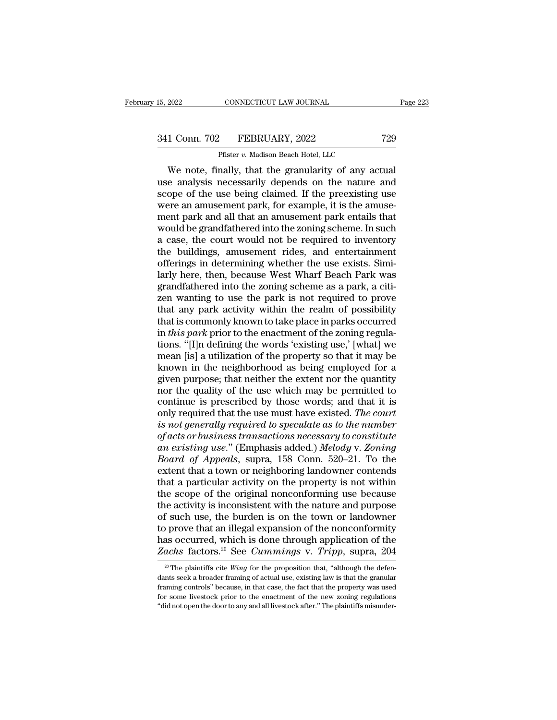# 15, 2022 CONNECTICUT LAW JOURNAL Page 223<br>341 Conn. 702 FEBRUARY, 2022 729<br>Pfister v. Madison Beach Hotel, LLC

CONNECTICUT LAW JOURNAL<br>
Pfister *v.* Madison Beach Hotel, LLC<br>
pally that the granularity of any ac CONNECTICUT LAW JOURNAL Page 2<br>
1 Conn. 702 FEBRUARY, 2022 729<br>
Pfister v. Madison Beach Hotel, LLC<br>
We note, finally, that the granularity of any actual<br>
e analysis necessarily depends on the nature and<br>
one of the use be 341 Conn. 702 FEBRUARY, 2022 729<br>
Pfister v. Madison Beach Hotel, LLC<br>
We note, finally, that the granularity of any actual<br>
use analysis necessarily depends on the nature and<br>
scope of the use being claimed. If the preexi 341 Conn. 702 FEBRUARY, 2022 729<br>
Pfister v. Madison Beach Hotel, LLC<br>
We note, finally, that the granularity of any actual<br>
use analysis necessarily depends on the nature and<br>
scope of the use being claimed. If the preex were an amusement park, for example, it is the amuse-Firster v. Madison Beach Hotel, LLC<br>
We note, finally, that the granularity of any actual<br>
use analysis necessarily depends on the nature and<br>
scope of the use being claimed. If the preexisting use<br>
were an amusement park Pfister  $v$ . Madison Beach Hotel, LLC<br>We note, finally, that the granularity of any actual<br>use analysis necessarily depends on the nature and<br>scope of the use being claimed. If the preexisting use<br>were an amusement park, We note, finally, that the granularity of any actual<br>use analysis necessarily depends on the nature and<br>scope of the use being claimed. If the preexisting use<br>were an amusement park, for example, it is the amuse-<br>ment park use analysis necessarily depends on the nature and<br>scope of the use being claimed. If the preexisting use<br>were an amusement park, for example, it is the amuse-<br>ment park and all that an amusement park entails that<br>would be scope of the use being claimed. If the preexisting use<br>were an amusement park, for example, it is the amuse-<br>ment park and all that an amusement park entails that<br>would be grandfathered into the zoning scheme. In such<br>a ca were an amusement park, for example, it is the amusement park and all that an amusement park entails that<br>would be grandfathered into the zoning scheme. In such<br>a case, the court would not be required to inventory<br>the buil ment park and all that an amusement park entails that<br>would be grandfathered into the zoning scheme. In such<br>a case, the court would not be required to inventory<br>the buildings, amusement rides, and entertainment<br>offerings would be grandfathered into the zoning scheme. In such<br>a case, the court would not be required to inventory<br>the buildings, amusement rides, and entertainment<br>offerings in determining whether the use exists. Simi-<br>larly her a case, the court would not be required to inventory<br>the buildings, amusement rides, and entertainment<br>offerings in determining whether the use exists. Simi-<br>larly here, then, because West Wharf Beach Park was<br>grandfathere the buildings, amusement rides, and entertainment<br>offerings in determining whether the use exists. Similarly here, then, because West Wharf Beach Park was<br>grandfathered into the zoning scheme as a park, a citi-<br>zen wanting offerings in determining whether the use exists. Similarly here, then, because West Wharf Beach Park was grandfathered into the zoning scheme as a park, a citizen wanting to use the park is not required to prove that any p larly here, then, because West Wharf Beach Park was<br>grandfathered into the zoning scheme as a park, a citi-<br>zen wanting to use the park is not required to prove<br>that any park activity within the realm of possibility<br>that i grandfathered into the zoning scheme as a park, a citizen wanting to use the park is not required to prove<br>that any park activity within the realm of possibility<br>that is commonly known to take place in parks occurred<br>in *t* zen wanting to use the park is not required to prove<br>that any park activity within the realm of possibility<br>that is commonly known to take place in parks occurred<br>in *this park* prior to the enactment of the zoning regula that any park activity within the realm of possibility<br>that is commonly known to take place in parks occurred<br>in *this park* prior to the enactment of the zoning regula-<br>tions. "[I]n defining the words 'existing use,' [wh that is commonly known to take place in parks occurred<br>in *this park* prior to the enactment of the zoning regula-<br>tions. "[I]n defining the words 'existing use,' [what] we<br>mean [is] a utilization of the property so that in *this park* prior to the enactment of the zoning regulations. "[I]n defining the words 'existing use,' [what] we mean [is] a utilization of the property so that it may be known in the neighborhood as being employed for tions. "[I]n defining the words 'existing use,' [what] we<br>mean [is] a utilization of the property so that it may be<br>known in the neighborhood as being employed for a<br>given purpose; that neither the extent nor the quantity<br> mean [is] a utilization of the property so that it may be<br>known in the neighborhood as being employed for a<br>given purpose; that neither the extent nor the quantity<br>nor the quality of the use which may be permitted to<br>conti known in the neighborhood as being employed for a<br>given purpose; that neither the extent nor the quantity<br>nor the quality of the use which may be permitted to<br>continue is prescribed by those words; and that it is<br>only requ given purpose; that neither the extent nor the quantity<br>nor the quality of the use which may be permitted to<br>continue is prescribed by those words; and that it is<br>only required that the use must have existed. *The court<br>is* nor the quality of the use which may be permitted to<br>continue is prescribed by those words; and that it is<br>only required that the use must have existed. *The court*<br>is not generally required to speculate as to the number<br>o continue is prescribed by those words; and that it is<br>only required that the use must have existed. The court<br>is not generally required to speculate as to the number<br>of acts or business transactions necessary to constitute only required that the use must have existed. The court<br>is not generally required to speculate as to the number<br>of acts or business transactions necessary to constitute<br>an existing use." (Emphasis added.) Melody v. Zoning<br> is not generally required to speculate as to the number<br>of acts or business transactions necessary to constitute<br>an existing use." (Emphasis added.) Melody v. Zoning<br>Board of Appeals, supra, 158 Conn. 520–21. To the<br>exten of acts or business transactions necessary to constitute<br>an existing use." (Emphasis added.) Melody v. Zoning<br>Board of Appeals, supra, 158 Conn. 520–21. To the<br>extent that a town or neighboring landowner contends<br>that a pa an existing use." (Emphasis added.) Melody v. Zoning<br>Board of Appeals, supra, 158 Conn. 520–21. To the<br>extent that a town or neighboring landowner contends<br>that a particular activity on the property is not within<br>the scope *Board of Appeals*, supra, 158 Conn. 520–21. To the extent that a town or neighboring landowner contends that a particular activity on the property is not within the scope of the original nonconforming use because the act extent that a town or neighboring landowner contends<br>that a particular activity on the property is not within<br>the scope of the original nonconforming use because<br>the activity is inconsistent with the nature and purpose<br>of that a particular activity on the property is not within<br>the scope of the original nonconforming use because<br>the activity is inconsistent with the nature and purpose<br>of such use, the burden is on the town or landowner<br>to p f such use, the burden is on the town or landowner<br>prove that an illegal expansion of the nonconformity<br>as occurred, which is done through application of the<br>achs factors.<sup>20</sup> See *Cummings* v. *Tripp*, supra, 204<br><sup>20</sup> The to prove that an illegal expansion of the nonconformity<br>has occurred, which is done through application of the<br>Zachs factors.<sup>20</sup> See *Cummings v. Tripp*, supra, 204<br><sup>20</sup> The plaintiffs cite *Wing* for the proposition tha

has occurred, which is done through application of the Zachs factors.<sup>20</sup> See *Cummings v. Tripp*, supra, 204 <sup>20</sup> The plaintiffs cite *Wing* for the proposition that, "although the defendants seek a broader framing of ac Eachs factors.<sup>20</sup> See *Cummings* v. *Tripp*, supra, 204<br>
<sup>20</sup> The plaintiffs cite *Wing* for the proposition that, "although the defendants seek a broader framing of actual use, existing law is that the granular framing <sup>20</sup> The plaintiffs cite *Wing* for the proposition that, "although the defendants seek a broader framing of actual use, existing law is that the granular framing controls" because, in that case, the fact that the propert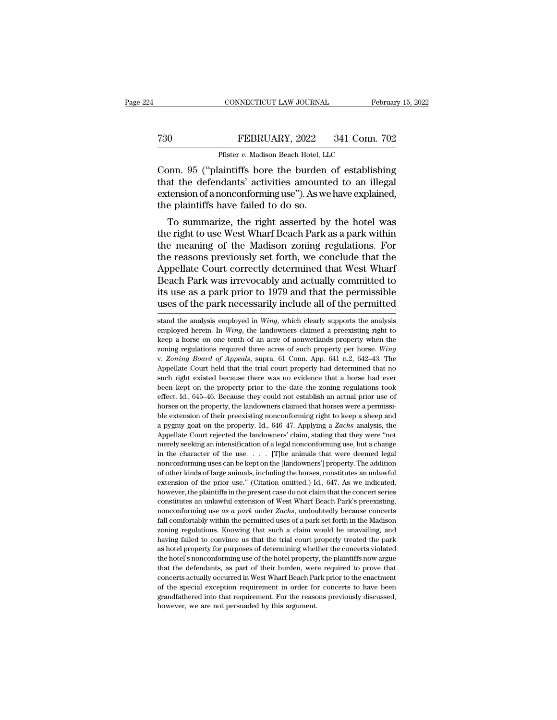## CONNECTICUT LAW JOURNAL February 15, 2022<br> **730** FEBRUARY, 2022 341 Conn. 702<br>
Pfister v. Madison Beach Hotel, LLC CONNECTICUT LAW JOURNAL<br>FEBRUARY, 2022 341 Conn.<br>Pfister *v.* Madison Beach Hotel, LLC<br>aintiffs hore the burden of establish

CONNECTICUT LAW JOURNAL February 15, 2022<br>
T30 FEBRUARY, 2022 341 Conn. 702<br>
Pfister v. Madison Beach Hotel, LLC<br>
Conn. 95 ("plaintiffs bore the burden of establishing<br>
that the defendants' activities amounted to an illega That the defendants' activities amounted to an illegal<br>that the defendants' activities amounted to an illegal<br>extension of a nonconforming use"). As we have explained,<br>the plaintiffs have failed to do so. FEBRUARY, 2022 341 Conn. 702<br>
Pfister v. Madison Beach Hotel, LLC<br>
Conn. 95 ("plaintiffs bore the burden of establishing<br>
that the defendants' activities amounted to an illegal<br>
extension of a nonconforming use"). As we h The FEBRUARY, 2022<br>
Pfister v. Madison Beach Hotel, LL<br>
Conn. 95 ("plaintiffs bore the burden<br>
that the defendants' activities amount<br>
extension of a nonconforming use"). As we<br>
the plaintiffs have failed to do so.<br>
To su Pfister  $v$ . Madison Beach Hotel, LLC<br>Dnn. 95 ("plaintiffs bore the burden of establishing<br>at the defendants' activities amounted to an illegal<br>tension of a nonconforming use"). As we have explained,<br>e plaintiffs have fai Conn. 95 ("plaintiffs bore the burden of establishing<br>that the defendants' activities amounted to an illegal<br>extension of a nonconforming use"). As we have explained,<br>the plaintiffs have failed to do so.<br>To summarize, the

Conn. 95 ( plaintins bore the burden of establishing<br>that the defendants' activities amounted to an illegal<br>extension of a nonconforming use"). As we have explained,<br>the plaintiffs have failed to do so.<br>To summarize, the r that the defendants activities amounted to an linegal<br>extension of a nonconforming use"). As we have explained,<br>the plaintiffs have failed to do so.<br>To summarize, the right asserted by the hotel was<br>the right to use West W extension of a nonconforming use ). As we have explained,<br>the plaintiffs have failed to do so.<br>To summarize, the right asserted by the hotel was<br>the right to use West Wharf Beach Park as a park within<br>the meaning of the Ma To summarize, the right asserted by the hotel was<br>the right to use West Wharf Beach Park as a park within<br>the meaning of the Madison zoning regulations. For<br>the reasons previously set forth, we conclude that the<br>Appellate To summarize, the right asserted by the hotel was<br>the right to use West Wharf Beach Park as a park within<br>the meaning of the Madison zoning regulations. For<br>the reasons previously set forth, we conclude that the<br>Appellate the right to use West Wharf Beach Park as a park within<br>the meaning of the Madison zoning regulations. For<br>the reasons previously set forth, we conclude that the<br>Appellate Court correctly determined that West Wharf<br>Beach P Appellate Court correctly determined that West Wharf<br>Beach Park was irrevocably and actually committed to<br>its use as a park prior to 1979 and that the permissible<br>uses of the park necessarily include all of the permitted<br>s Beach Park was irrevocably and actually committed to<br>its use as a park prior to 1979 and that the permissible<br>uses of the park necessarily include all of the permitted<br>stand the analysis employed in *Wing*, which clearly s

its use as a park prior to 1979 and that the permissible<br>uses of the park necessarily include all of the permitted<br>stand the analysis employed in *Wing*, which clearly supports the analysis<br>employed herein. In *Wing*, the zoning regulations required three acress required three acress reployed in *Wing*, which clearly supports the analysis employed herein. In *Wing*, the landowners claimed a preexisting right to keep a horse on one tenth of uses of the park necessarily include all of the permitted<br>stand the analysis employed in *Wing*, which clearly supports the analysis<br>employed herein. In *Wing*, the landowners claimed a preexisting right to<br>keep a horse on stand the analysis employed in *Wing*, which clearly supports the analysis employed herein. In *Wing*, the landowners claimed a preexisting right to keep a horse on one tenth of an acre of nonwetlands property when the zon sum and a horse on one tenth of an acre of nonwetlands property when the employed herein. In *Wing*, the landowners claimed a preexisting right to keep a horse on one tenth of an acre of nonwetlands property when the zoni ength on the property and the matter of nonwetlands property when the zoning regulations required three acres of such property per horse. Wing v. Zoning Board of Appeals, supra, 61 Conn. App. 641 n.2, 642–43. The Appellate reflue and the acres of such property per horse. Wing<br>v. Zoning regulations required three acres of such property per horse. Wing<br>v. Zoning Board of Appeals, supra, 61 Conn. App. 641 n.2, 642–43. The<br>Appellate Court held t zoning regulations required three acres of such property per horse. Wing v. Zoning Board of Appeals, supra, 61 Conn. App. 641 n.2, 642–43. The Appellate Court held that the trial court properly had determined that no such ble extension of their preexisting nonconforming right to keep a sheep and a pygmy goat on the property, the landowners claimed that horses had ever been kept on the property prior to the date the zoning regulations took e right existed because there was no evidence that a horse had ever<br>such right existed because there was no evidence that a horse had ever<br>effect. Id., 645–46. Because they could not establish an actual prior use of<br>horses o been kept on the property prior to the date the zoning regulations took<br>effect. Id., 645–46. Because they could not establish an actual prior use of<br>horses on the property, the landowners claimed that horses were a permiss effect. Id., 645–46. Because they could not establish an actual prior use of horses on the property, the landowners claimed that horses were a permissible extension of their preexisting nonconforming right to keep a sheep horses on the property, the landowners claimed that horses were a permissible extension of their preexisting nonconforming right to keep a sheep and a pygmy goat on the property. Id., 646–47. Applying a *Zachs* analysis, hole extension of their preexisting nonconforming right to keep a sheep and a pygmy goat on the property. Id., 646–47. Applying a *Zachs* analysis, the Appellate Court rejected the landowners' claim, stating that they wer a pygmy goat on the property. Id., 646–47. Applying a Zachs analysis, the Appellate Court rejected the landowners' claim, stating that they were "not merely seeking an intensification of a legal nonconforming use, but a c Appellate Court rejected the landowners' claim, stating that they were "not Appellate Court rejected the landowners' claim, stating that they were "not merely seeking an intensification of a legal nonconforming use, but a repeative being an intensification of a legal nonconforming use, but a change<br>in the character of the use.... [T]he animals that were deemed legal<br>nonconforming uses can be kept on the [landowners'] property. The addition in the character of the use.  $\ldots$  [T]he animals that were deemed legal<br>nonconforming uses can be kept on the [landowners'] property. The addition<br>of other kinds of large animals, including the horses, constitutes an unla in the character of the tase.  $\cdots$   $\cdots$  [F] in diminisheral webvertual regard nonconforming uses can be kept on the [landowners'] property. The addition of other kinds of large animals, including the horses, constitutes for other kinds of large animals, including the horses, constitutes an unlawful extension of the prior use." (Citation omitted.) Id., 647. As we indicated, however, the plaintiffs in the present case do not claim that the extension of the prior use." (Citation omitted.) Id., 647. As we indicated, however, the plaintiffs in the present case do not claim that the concert series constitutes an unlawful extension of West Wharf Beach Park's pre however, the plaintiffs in the present case do not claim that the concert series constitutes an unlawful extension of West Wharf Beach Park's preexisting, nonconforming use  $as a park$  under Zachs, undoubtedly because concerts constitutes an unlawful extension of West Wharf Beach Park's preexisting, nonconforming use as a park under Zachs, undoubtedly because concerts fall comfortably within the permitted uses of a park set forth in the Madison nonconforming use *as a park* under Zachs, undoubtedly because concerts fall comfortably within the permitted uses of a park set forth in the Madison zoning regulations. Knowing that such a claim would be unavailing, and fall comfortably within the permitted uses of a park set forth in the Madison zoning regulations. Knowing that such a claim would be unavailing, and having failed to convince us that the trial court properly treated the pa zoning regulations. Knowing that such a claim would be unavailing, and having failed to convince us that the trial court properly treated the park as hotel property for purposes of determining whether the concerts violated betwing failed to convince us that the trial court properly treated the park as hotel property for purposes of determining whether the concerts violated the hotel's nonconforming use of the hotel property, the plaintiffs n as hotel property for purposes of determining whether the concerts violated<br>the hotel's nonconforming use of the hotel property, the plaintiffs now argue<br>that the defendants, as part of their burden, were required to prove the hotel's nonconforming use of the hotel property, the plaintiffs now argue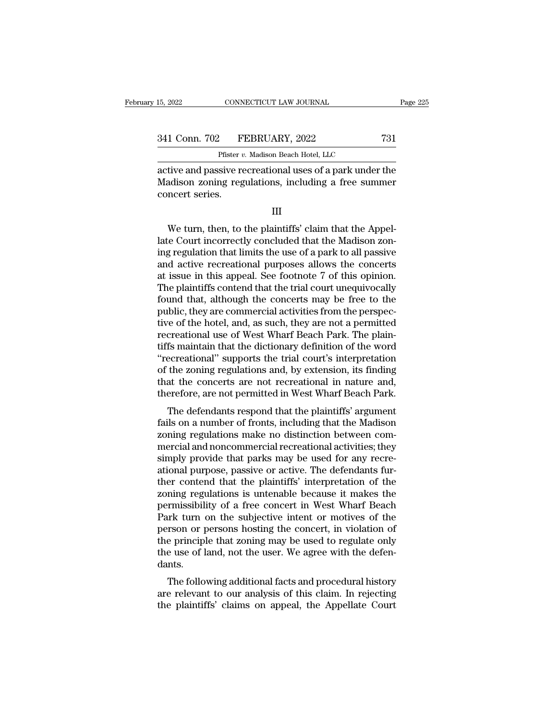15, 2022 CONNECTICUT LAW JOURNAL Page 225<br>341 Conn. 702 FEBRUARY, 2022 731<br>Pfister v. Madison Beach Hotel, LLC

CONNECTICUT LAW JOURNAL<br>
Pfister *v.* Madison Beach Hotel, LLC<br>
Sive recreational uses of a park under 15, 2022 CONNECTICUT LAW JOURNAL Page 225<br>
341 Conn. 702 FEBRUARY, 2022 731<br>
Pfister v. Madison Beach Hotel, LLC<br>
active and passive recreational uses of a park under the<br>
Madison zoning regulations, including a free summe 341 Conn. 702 FEBRUARY, 2022 731<br>Pfister v. Madison Beach Hotel, LLC<br>active and passive recreational uses of a park under the<br>Madison zoning regulations, including a free summer<br>concert series.  $\frac{341 \text{ Conn. } 702 \qquad \text{F}}{\text{active and passive re}}$ <br>active and passive re<br>Madison zoning reg<br>concert series. Pfister v. Madison Beach Hotel, LLC<br>tive and passive recreational uses of a park under the<br>adison zoning regulations, including a free summer<br>ncert series.<br>III<br>We turn, then, to the plaintiffs' claim that the Appel-<br>e Cour

III

active and passive recreational uses of a park under the<br>Madison zoning regulations, including a free summer<br>concert series.<br>III<br>We turn, then, to the plaintiffs' claim that the Appel-<br>late Court incorrectly concluded that Madison zoning regulations, including a free summer<br>concert series.<br>III<br>We turn, then, to the plaintiffs' claim that the Appel-<br>late Court incorrectly concluded that the Madison zon-<br>ing regulation that limits the use of a III<br>
We turn, then, to the plaintiffs' claim that the Appel-<br>
late Court incorrectly concluded that the Madison zon-<br>
ing regulation that limits the use of a park to all passive<br>
and active recreational purposes allows the III<br>We turn, then, to the plaintiffs' claim that the Appel-<br>late Court incorrectly concluded that the Madison zon-<br>ing regulation that limits the use of a park to all passive<br>and active recreational purposes allows the con The plaintiffs' claim that the Appellate Court incorrectly concluded that the Madison zoning regulation that limits the use of a park to all passive and active recreational purposes allows the concerts at issue in this app We turn, then, to the plaintiffs' claim that the Appellate Court incorrectly concluded that the Madison zoning regulation that limits the use of a park to all passive and active recreational purposes allows the concerts at late Court incorrectly concluded that the Madison zoning regulation that limits the use of a park to all passive<br>and active recreational purposes allows the concerts<br>at issue in this appeal. See footnote 7 of this opinion. ing regulation that limits the use of a park to all passive<br>and active recreational purposes allows the concerts<br>at issue in this appeal. See footnote 7 of this opinion.<br>The plaintiffs contend that the trial court unequivo and active recreational purposes allows the concerts<br>at issue in this appeal. See footnote 7 of this opinion.<br>The plaintiffs contend that the trial court unequivocally<br>found that, although the concerts may be free to the<br>p at issue in this appeal. See footnote 7 of this opinion.<br>The plaintiffs contend that the trial court unequivocally<br>found that, although the concerts may be free to the<br>public, they are commercial activities from the perspe The plaintiffs contend that the trial court unequivocally<br>found that, although the concerts may be free to the<br>public, they are commercial activities from the perspec-<br>tive of the hotel, and, as such, they are not a permit found that, although the concerts may be free to the<br>public, they are commercial activities from the perspec-<br>tive of the hotel, and, as such, they are not a permitted<br>recreational use of West Wharf Beach Park. The plain-<br> public, they are commercial activities from the perspective of the hotel, and, as such, they are not a permitted recreational use of West Wharf Beach Park. The plaintiffs maintain that the dictionary definition of the word tive of the hotel, and, as such, they are not a permitted<br>recreational use of West Wharf Beach Park. The plain-<br>tiffs maintain that the dictionary definition of the word<br>"recreational" supports the trial court's interpreta Exercisional use of west what Deach Tark. The plane-<br>fs maintain that the dictionary definition of the word<br>ecreational" supports the trial court's interpretation<br>the zoning regulations and, by extension, its finding<br>at th fails manual that the dictionary definition of the word<br>
"recreational" supports the trial court's interpretation<br>
of the zoning regulations and, by extension, its finding<br>
that the concerts are not recreational in nature

recreational supports the trial court's interpretation<br>of the zoning regulations and, by extension, its finding<br>that the concerts are not recreational in nature and,<br>therefore, are not permitted in West Wharf Beach Park.<br>T of the zoning regulations and, by extension, its initial<br>that the concerts are not recreational in nature and,<br>therefore, are not permitted in West Wharf Beach Park.<br>The defendants respond that the plaintiffs' argument<br>fai therefore, are not permitted in West Wharf Beach Park.<br>The defendants respond that the plaintiffs' argument<br>fails on a number of fronts, including that the Madison<br>zoning regulations make no distinction between com-<br>mercia The defendants respond that the plaintiffs' argument<br>fails on a number of fronts, including that the Madison<br>zoning regulations make no distinction between com-<br>mercial and noncommercial recreational activities; they<br>simpl The defendants respond that the plaintiffs' argument<br>fails on a number of fronts, including that the Madison<br>zoning regulations make no distinction between com-<br>mercial and noncommercial recreational activities; they<br>simpl fails on a number of fronts, including that the Madison<br>zoning regulations make no distinction between com-<br>mercial and noncommercial recreational activities; they<br>simply provide that parks may be used for any recre-<br>ation zoning regulations make no distinction between com-<br>mercial and noncommercial recreational activities; they<br>simply provide that parks may be used for any recre-<br>ational purpose, passive or active. The defendants fur-<br>ther mercial and noncommercial recreational activities; they<br>simply provide that parks may be used for any recre-<br>ational purpose, passive or active. The defendants fur-<br>ther contend that the plaintiffs' interpretation of the<br>z simply provide that parks may be used for any recreational purpose, passive or active. The defendants further contend that the plaintiffs' interpretation of the zoning regulations is untenable because it makes the permissi ational purpose, passive or active. The defendants fur-<br>ther contend that the plaintiffs' interpretation of the<br>zoning regulations is untenable because it makes the<br>permissibility of a free concert in West Wharf Beach<br>Park ther contend that the plaintiffs' interpretation of the zoning regulations is untenable because it makes the permissibility of a free concert in West Wharf Beach Park turn on the subjective intent or motives of the person dants. Thussionly of a free concert in west what beach<br>trk turn on the subjective intent or motives of the<br>rson or persons hosting the concert, in violation of<br>e principle that zoning may be used to regulate only<br>e use of land, n Fark turn on the subjective intent of motives of the<br>person or persons hosting the concert, in violation of<br>the principle that zoning may be used to regulate only<br>the use of land, not the user. We agree with the defen-<br>dan person of persons nosting the concert, in violation of<br>the principle that zoning may be used to regulate only<br>the use of land, not the user. We agree with the defen-<br>dants.<br>The following additional facts and procedural his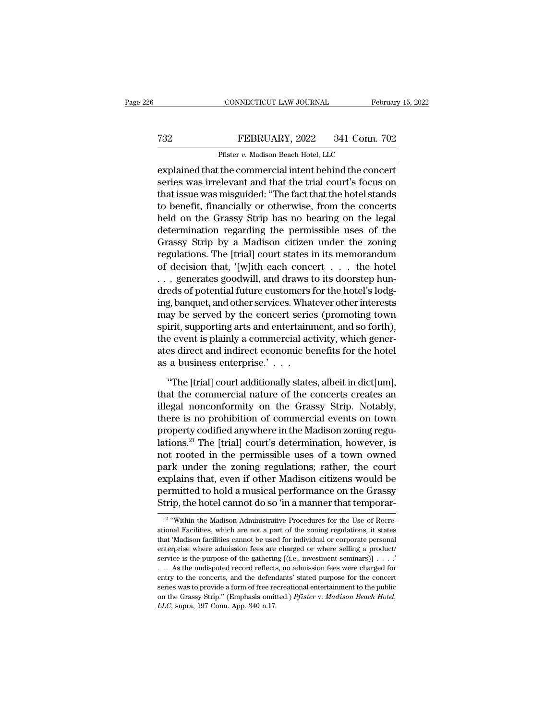## CONNECTICUT LAW JOURNAL February 15, 2022<br> **FEBRUARY**, 2022 341 Conn. 702<br>
Pfister v. Madison Beach Hotel, LLC CONNECTICUT LAW JOURNAL<br>FEBRUARY, 2022 341 Conn.<br>Pfister *v.* Madison Beach Hotel, LLC<br>the commercial intent behind the con

EXPLAINE THE CONNECTICUT LAW JOURNAL February 15, 202<br>
FEBRUARY, 2022 341 Conn. 702<br>
Pfister v. Madison Beach Hotel, LLC<br>
explained that the commercial intent behind the concert<br>
series was irrelevant and that the trial co TREBRUARY, 2022 341 Conn. 702<br>
Pfister v. Madison Beach Hotel, LLC<br>
explained that the commercial intent behind the concert<br>
series was irrelevant and that the trial court's focus on<br>
that issue was misguided: "The fact th T32 FEBRUARY, 2022 341 Conn. 702<br>
Pfister v. Madison Beach Hotel, LLC<br>
explained that the commercial intent behind the concert<br>
series was irrelevant and that the trial court's focus on<br>
that issue was misguided: "The fac T32 FEBRUARY, 2022 341 Conn. 702<br>
Pfister v. Madison Beach Hotel, LLC<br>
explained that the commercial intent behind the concert<br>
series was irrelevant and that the trial court's focus on<br>
that issue was misguided: "The fac Pfister *v*. Madison Beach Hotel, LLC<br>explained that the commercial intent behind the concert<br>series was irrelevant and that the trial court's focus on<br>that issue was misguided: "The fact that the hotel stands<br>to benefit, Pilster *v.* Maalson Beach Hotel, LLC<br>explained that the commercial intent behind the concert<br>series was irrelevant and that the trial court's focus on<br>that issue was misguided: "The fact that the hotel stands<br>to benefit, explained that the commercial intent behind the concert<br>series was irrelevant and that the trial court's focus on<br>that issue was misguided: "The fact that the hotel stands<br>to benefit, financially or otherwise, from the con series was irrelevant and that the trial court's focus on<br>that issue was misguided: "The fact that the hotel stands<br>to benefit, financially or otherwise, from the concerts<br>held on the Grassy Strip has no bearing on the leg that issue was misguided: "The fact that the hotel stands<br>to benefit, financially or otherwise, from the concerts<br>held on the Grassy Strip has no bearing on the legal<br>determination regarding the permissible uses of the<br>Gra to benefit, financially or otherwise, from the concerts<br>held on the Grassy Strip has no bearing on the legal<br>determination regarding the permissible uses of the<br>Grassy Strip by a Madison citizen under the zoning<br>regulation held on the Grassy Strip has no bearing on the legal<br>determination regarding the permissible uses of the<br>Grassy Strip by a Madison citizen under the zoning<br>regulations. The [trial] court states in its memorandum<br>of decisio determination regarding the permissible uses of the<br>Grassy Strip by a Madison citizen under the zoning<br>regulations. The [trial] court states in its memorandum<br>of decision that, '[w]ith each concert . . . the hotel<br>. . . ge Grassy Strip by a Madison citizen under the zoning<br>regulations. The [trial] court states in its memorandum<br>of decision that, '[w]ith each concert  $\dots$  the hotel<br> $\dots$  generates goodwill, and draws to its doorstep hun-<br>dred regulations. The [trial] court states in its memorandum<br>of decision that, '[w]ith each concert . . . the hotel<br>. . . generates goodwill, and draws to its doorstep hun-<br>dreds of potential future customers for the hotel's lo of decision that, '[w]ith each concert . . . the hotel<br>. . . generates goodwill, and draws to its doorstep hun-<br>dreds of potential future customers for the hotel's lodg-<br>ing, banquet, and other services. Whatever other int ... generates goodwill, and draws to its doorstep hundreds of potential future customers for the hotel's lodging, banquet, and other services. Whatever other interests may be served by the concert series (promoting town s dreds of potential future customers<br>ing, banquet, and other services. What<br>may be served by the concert serie<br>spirit, supporting arts and entertaini<br>the event is plainly a commercial ac<br>ates direct and indirect economic be By be served by the concert series (promoting town<br>
irit, supporting arts and entertainment, and so forth),<br>
be event is plainly a commercial activity, which gener-<br>
es direct and indirect economic benefits for the hotel<br> spirit, supporting arts and entertainment, and so forth),<br>the event is plainly a commercial activity, which gener-<br>ates direct and indirect economic benefits for the hotel<br>as a business enterprise.' . . .<br>"The [trial] cour

the event is plainly a commercial activity, which generates direct and indirect economic benefits for the hotel<br>as a business enterprise.'  $\dots$ <br>"The [trial] court additionally states, albeit in dict[um],<br>that the commerci ates direct and indirect economic benefits for the hotel<br>as a business enterprise.'  $\ldots$ <br>"The [trial] court additionally states, albeit in dict[um],<br>that the commercial nature of the concerts creates an<br>illegal nonconfor as a business enterprise.'  $\ldots$ <br>
"The [trial] court additionally states, albeit in dict[um],<br>
that the commercial nature of the concerts creates an<br>
illegal nonconformity on the Grassy Strip. Notably,<br>
there is no prohib "The [trial] court additionally states, albeit in dict[um],<br>that the commercial nature of the concerts creates an<br>illegal nonconformity on the Grassy Strip. Notably,<br>there is no prohibition of commercial events on town<br>pr "The [trial] court additionally states, albeit in dict[um],<br>that the commercial nature of the concerts creates an<br>illegal nonconformity on the Grassy Strip. Notably,<br>there is no prohibition of commercial events on town<br>pr that the commercial nature of the concerts creates an<br>illegal nonconformity on the Grassy Strip. Notably,<br>there is no prohibition of commercial events on town<br>property codified anywhere in the Madison zoning regu-<br>lations. illegal nonconformity on the Grassy Strip. Notably,<br>there is no prohibition of commercial events on town<br>property codified anywhere in the Madison zoning regu-<br>lations.<sup>21</sup> The [trial] court's determination, however, is<br>no there is no prohibition of commercial events on town<br>property codified anywhere in the Madison zoning regu-<br>lations.<sup>21</sup> The [trial] court's determination, however, is<br>not rooted in the permissible uses of a town owned<br>par property codified anywhere in the Madison zoning regulations.<sup>21</sup> The [trial] court's determination, however, is not rooted in the permissible uses of a town owned park under the zoning regulations; rather, the court expla park under the zoning regulations; rather, the court explains that, even if other Madison citizens would be permitted to hold a musical performance on the Grassy Strip, the hotel cannot do so 'in a manner that temporar-<br> explains that, even if other Madison citizens would be<br>permitted to hold a musical performance on the Grassy<br>Strip, the hotel cannot do so 'in a manner that temporar-<br><sup>21</sup> "Within the Madison Administrative Procedures for

permitted to hold a musical performance on the Grassy<br>Strip, the hotel cannot do so 'in a manner that temporar-<br><sup>21</sup> "Within the Madison Administrative Procedures for the Use of Recre-<br>ational Facilities, which are not a p **Example 18 Follows Control Correct Strip, the hotel cannot do so 'in a manner that temporar-**<br><sup>21</sup> "Within the Madison Administrative Procedures for the Use of Recreational Facilities, which are not a part of the zoning Surp, the Hotel Califorty to So III a Intainer that temporar-<br>
<sup>21</sup> "Within the Madison Administrative Procedures for the Use of Recre-<br>
ational Facilities, which are not a part of the zoning regulations, it states<br>
that <sup>21</sup> "Within the Madison Administrative Procedures for the Use of Recreational Facilities, which are not a part of the zoning regulations, it states that 'Madison facilities cannot be used for individual or corporate pers ational Facilities, which are not a part of the zoning regulations, it states<br>that 'Madison facilities cannot be used for individual or corporate personal<br>enterprise where admission fees are charged or where selling a pro that 'Madison facilities cannot be used for individual or corporate personal enterprise where admission fees are charged or where selling a product/service is the purpose of the gathering [(i.e., investment seminars)] . . enterprise where admission fees are charged or where selling a product/<br>service is the purpose of the gathering [(i.e., investment seminars)] . . . .'<br>. . . As the undisputed record reflects, no admission fees were charged service is the purpose of the gathering [(i.e., investment seminars)]  $\ldots$   $\ldots$  As the undisputed record reflects, no admission fees were charged for entry to the concerts, and the defendants' stated purpose for the con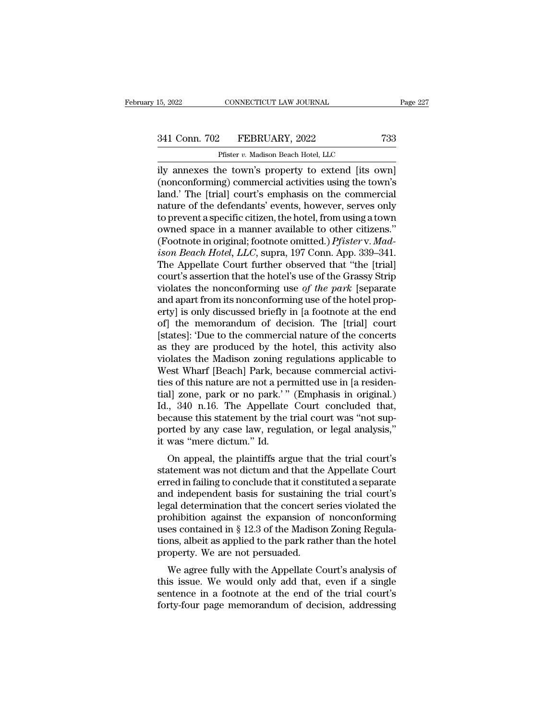# 15, 2022 CONNECTICUT LAW JOURNAL Page 227<br>341 Conn. 702 FEBRUARY, 2022 733<br>Pfister v. Madison Beach Hotel, LLC

CONNECTICUT LAW JOURNAL<br>
Pfister *v.* Madison Beach Hotel, LLC<br>
Pfister *v.* Madison Beach Hotel, LLC<br>
he town's property to extend lits o 15, 2022 CONNECTICUT LAW JOURNAL Page 22<br>
341 Conn. 702 FEBRUARY, 2022 733<br>
Pfister v. Madison Beach Hotel, LLC<br>
Ily annexes the town's property to extend [its own]<br>
(nonconforming) commercial activities using the town's<br> (1) 341 Conn. 702 FEBRUARY, 2022 733<br>
Pfister v. Madison Beach Hotel, LLC<br>
(nonconforming) commercial activities using the town's<br>
(nonconforming) commercial activities using the town's<br>
land.' The [trial] court's emphasis 341 Conn. 702 FEBRUARY, 2022 733<br>
Pfister v. Madison Beach Hotel, LLC<br>
ily annexes the town's property to extend [its own]<br>
(nonconforming) commercial activities using the town's<br>
land.' The [trial] court's emphasis on th 341 Conn. 702 FEBRUARY, 2022 733<br>
Pfister v. Madison Beach Hotel, LLC<br>
ily annexes the town's property to extend [its own]<br>
(nonconforming) commercial activities using the town's<br>
land.' The [trial] court's emphasis on th Pfister v. Madison Beach Hotel, LLC<br>
ily annexes the town's property to extend [its own]<br>
(nonconforming) commercial activities using the town's<br>
land.' The [trial] court's emphasis on the commercial<br>
nature of the defend Pluster v. Madison Beach Hotel, LLC<br>ily annexes the town's property to extend [its own]<br>(nonconforming) commercial activities using the town's<br>land.' The [trial] court's emphasis on the commercial<br>nature of the defendants ily annexes the town's property to extend [its own] (nonconforming) commercial activities using the town's land.' The [trial] court's emphasis on the commercial nature of the defendants' events, however, serves only to pre (nonconforming) commercial activities using the town's<br>land.' The [trial] court's emphasis on the commercial<br>nature of the defendants' events, however, serves only<br>to prevent a specific citizen, the hotel, from using a tow land.' The [trial] court's emphasis on the commercial<br>nature of the defendants' events, however, serves only<br>to prevent a specific citizen, the hotel, from using a town<br>owned space in a manner available to other citizens." nature of the defendants' events, however, serves only<br>to prevent a specific citizen, the hotel, from using a town<br>owned space in a manner available to other citizens."<br>(Footnote in original; footnote omitted.) *Pfister* v to prevent a specific citizen, the hotel, from using a town<br>owned space in a manner available to other citizens."<br>(Footnote in original; footnote omitted.) *Pfister* v. *Mad-*<br>*ison Beach Hotel*, *LLC*, supra, 197 Conn. Ap owned space in a manner available to other citizens."<br>(Footnote in original; footnote omitted.) *Pfister* v. *Madison Beach Hotel*, *LLC*, supra, 197 Conn. App. 339–341.<br>The Appellate Court further observed that "the [tri (Footnote in original; footnote omitted.) *Pfister* v. *Madison Beach Hotel*, *LLC*, supra, 197 Conn. App. 339–341.<br>The Appellate Court further observed that "the [trial]<br>court's assertion that the hotel's use of the Gras *ison Beach Hotel, LLC*, supra, 197 Conn. App. 339–341.<br>The Appellate Court further observed that "the [trial]<br>court's assertion that the hotel's use of the Grassy Strip<br>violates the nonconforming use of the park [separat The Appellate Court further observed that "the [trial]<br>court's assertion that the hotel's use of the Grassy Strip<br>violates the nonconforming use of the park [separate<br>and apart from its nonconforming use of the hotel prop court's assertion that the hotel's use of the Grassy Strip<br>violates the nonconforming use of the park [separate<br>and apart from its nonconforming use of the hotel prop-<br>erty] is only discussed briefly in [a footnote at the violates the nonconforming use of the park [separate and apart from its nonconforming use of the hotel property] is only discussed briefly in [a footnote at the end of] the memorandum of decision. The [trial] court [state and apart from its nonconforming use of the hotel property] is only discussed briefly in [a footnote at the end of] the memorandum of decision. The [trial] court [states]: 'Due to the commercial nature of the concerts as t erty] is only discussed briefly in [a footnote at the end<br>of] the memorandum of decision. The [trial] court<br>[states]: Due to the commercial nature of the concerts<br>as they are produced by the hotel, this activity also<br>viola of] the memorandum of decision. The [trial] court<br>[states]: 'Due to the commercial nature of the concerts<br>as they are produced by the hotel, this activity also<br>violates the Madison zoning regulations applicable to<br>West Wha [states]: 'Due to the commercial nature of the concerts<br>as they are produced by the hotel, this activity also<br>violates the Madison zoning regulations applicable to<br>West Wharf [Beach] Park, because commercial activi-<br>ties o as they are produced by the hotel, this activity also<br>violates the Madison zoning regulations applicable to<br>West Wharf [Beach] Park, because commercial activi-<br>ties of this nature are not a permitted use in [a residen-<br>tia violates the Madison zoning regulations applicable to<br>West Wharf [Beach] Park, because commercial activi-<br>ties of this nature are not a permitted use in [a residen-<br>tial] zone, park or no park.'" (Emphasis in original.)<br>Id West Wharf [Beach] Park, bec<br>ties of this nature are not a per<br>tial] zone, park or no park.'"<br>Id., 340 n.16. The Appellate<br>because this statement by the t<br>ported by any case law, regula<br>it was "mere dictum." Id.<br>On appeal, If you, park or no park.'" (Emphasis in original.)<br>
1, 340 n.16. The Appellate Court concluded that,<br>
cause this statement by the trial court was "not sup-<br>
priced by any case law, regulation, or legal analysis,"<br>
was "mer Elementary 2016, park of 110 park. (Elementary Id., 340 n.16. The Appellate Court concluded that, because this statement by the trial court was "not supported by any case law, regulation, or legal analysis," it was "mere d

id., 540 fi.10. The Appenate Court concluded that,<br>because this statement by the trial court was "not sup-<br>ported by any case law, regulation, or legal analysis,"<br>it was "mere dictum." Id.<br>On appeal, the plaintiffs argue t because this statement by the trial court was 'not sup-<br>ported by any case law, regulation, or legal analysis,"<br>it was "mere dictum." Id.<br>On appeal, the plaintiffs argue that the trial court's<br>statement was not dictum and ported by any case law, regulation, or legal analysis,<br>it was "mere dictum." Id.<br>On appeal, the plaintiffs argue that the trial court's<br>statement was not dictum and that the Appellate Court<br>erred in failing to conclude th It was intereductuant. Id:<br>
On appeal, the plaintiffs argue that the trial court's<br>
statement was not dictum and that the Appellate Court<br>
erred in failing to conclude that it constituted a separate<br>
and independent basis On appeal, the plaintiffs argue that the trial court's<br>statement was not dictum and that the Appellate Court<br>erred in failing to conclude that it constituted a separate<br>and independent basis for sustaining the trial court' statement was not dictum and that the Appellate Court<br>erred in failing to conclude that it constituted a separate<br>and independent basis for sustaining the trial court's<br>legal determination that the concert series violated erred in failing to conclude that it constand independent basis for sustaining<br>legal determination that the concert se<br>prohibition against the expansion of<br>uses contained in § 12.3 of the Madiso<br>tions, albeit as applied to and determination that the concert series violated the<br>ohibition against the expansion of nonconforming<br>es contained in § 12.3 of the Madison Zoning Regula-<br>ons, albeit as applied to the park rather than the hotel<br>operty. the prohibition against the expansion of nonconforming<br>uses contained in § 12.3 of the Madison Zoning Regula-<br>tions, albeit as applied to the park rather than the hotel<br>property. We are not persuaded.<br>We agree fully with t

promotion against the expansion of noncomorning<br>uses contained in § 12.3 of the Madison Zoning Regula-<br>tions, albeit as applied to the park rather than the hotel<br>property. We are not persuaded.<br>We agree fully with the Appe dions, albeit as applied to the park rather than the hotel<br>property. We are not persuaded.<br>We agree fully with the Appellate Court's analysis of<br>this issue. We would only add that, even if a single<br>sentence in a footnote a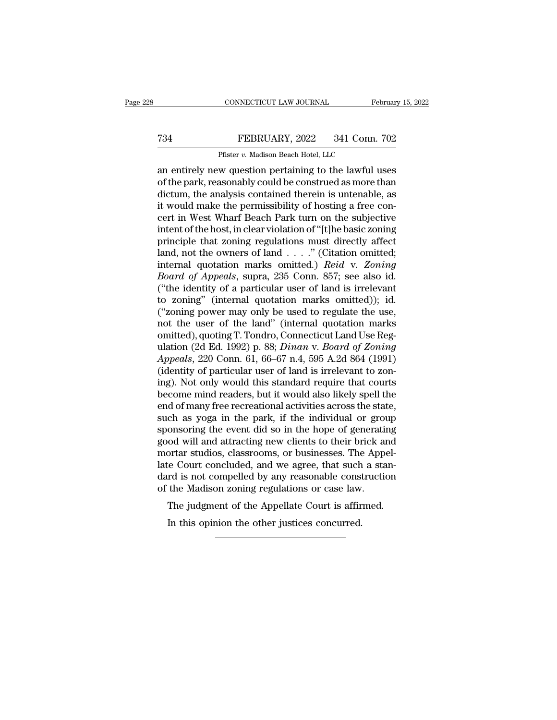## CONNECTICUT LAW JOURNAL February 15, 2022<br> **FEBRUARY**, 2022 341 Conn. 702<br>
Pfister v. Madison Beach Hotel, LLC CONNECTICUT LAW JOURNAL<br>FEBRUARY, 2022 341 Conn.<br>Pfister *v.* Madison Beach Hotel, LLC<br>w question pertaining to the lawful l

CONNECTICUT LAW JOURNAL February 15, 2022<br>
T34 FEBRUARY, 2022 341 Conn. 702<br>
Pfister v. Madison Beach Hotel, LLC<br>
an entirely new question pertaining to the lawful uses<br>
of the park, reasonably could be construed as more t T34 FEBRUARY, 2022 341 Conn. 702<br>Pfister v. Madison Beach Hotel, LLC<br>an entirely new question pertaining to the lawful uses<br>of the park, reasonably could be construed as more than<br>dictum, the analysis contained therein is T34 FEBRUARY, 2022 341 Conn. 702<br>
Pfister v. Madison Beach Hotel, LLC<br>
an entirely new question pertaining to the lawful uses<br>
of the park, reasonably could be construed as more than<br>
dictum, the analysis contained therei FEBRUARY, 2022 341 Conn. 702<br>
Pfister *v.* Madison Beach Hotel, LLC<br>
an entirely new question pertaining to the lawful uses<br>
of the park, reasonably could be construed as more than<br>
dictum, the analysis contained therein Pfister v. Madison Beach Hotel, LLC<br>an entirely new question pertaining to the lawful uses<br>of the park, reasonably could be construed as more than<br>dictum, the analysis contained therein is untenable, as<br>it would make the p Pister v. Madison Beach Hotel, LLC<br>an entirely new question pertaining to the lawful uses<br>of the park, reasonably could be construed as more than<br>dictum, the analysis contained therein is untenable, as<br>it would make the pe an entirely new question pertaining to the lawful uses<br>of the park, reasonably could be construed as more than<br>dictum, the analysis contained therein is untenable, as<br>it would make the permissibility of hosting a free con of the park, reasonably could be construed as more than<br>dictum, the analysis contained therein is untenable, as<br>it would make the permissibility of hosting a free con-<br>cert in West Wharf Beach Park turn on the subjective<br> dictum, the analysis contained therein is untenable, as<br>it would make the permissibility of hosting a free con-<br>cert in West Wharf Beach Park turn on the subjective<br>intent of the host, in clear violation of "[t]he basic zo it would make the permissibility of hosting a free concert in West Wharf Beach Park turn on the subjective<br>intent of the host, in clear violation of "[t]he basic zoning<br>principle that zoning regulations must directly affec cert in West Wharf Beach Park turn on the subjective<br>intent of the host, in clear violation of "[t]he basic zoning<br>principle that zoning regulations must directly affect<br>land, not the owners of land . . . . " (Citation om intent of the host, in clear violation of "[t]he basic zoning<br>principle that zoning regulations must directly affect<br>land, not the owners of land  $\ldots$ ." (Citation omitted;<br>internal quotation marks omitted.) *Reid* v. Zon principle that zoning regulations must directly affect<br>land, not the owners of land  $\ldots$ ." (Citation omitted;<br>internal quotation marks omitted.) *Reid* v. Zoning<br>*Board of Appeals*, supra, 235 Conn. 857; see also id.<br>("t land, not the owners of land . . . ." (Citation omitted;<br>internal quotation marks omitted.) *Reid* v. Zoning<br>*Board of Appeals*, supra, 235 Conn. 857; see also id.<br>("the identity of a particular user of land is irrelevant internal quotation marks omitted.) *Reid* v. Zoning *Board of Appeals*, supra, 235 Conn. 857; see also id. ("the identity of a particular user of land is irrelevant to zoning" (internal quotation marks omitted)); id. ("zo Board of Appeals, supra, 235 Conn. 857; see also id.<br>("the identity of a particular user of land is irrelevant<br>to zoning" (internal quotation marks omitted)); id.<br>("zoning power may only be used to regulate the use,<br>not th ("the identity of a particular user of land is irrelevant<br>to zoning" (internal quotation marks omitted)); id.<br>("zoning power may only be used to regulate the use,<br>not the user of the land" (internal quotation marks<br>omitted to zoning" (internal quotation marks omitted)); id.<br>("zoning power may only be used to regulate the use,<br>not the user of the land" (internal quotation marks<br>omitted), quoting T. Tondro, Connecticut Land Use Reg-<br>ulation ( ("zoning power may only be used to regulate the use,<br>not the user of the land" (internal quotation marks<br>omitted), quoting T. Tondro, Connecticut Land Use Reg-<br>ulation (2d Ed. 1992) p. 88; *Dinan v. Board of Zoning*<br>Appea not the user of the land" (internal quotation marks<br>omitted), quoting T. Tondro, Connecticut Land Use Reg-<br>ulation (2d Ed. 1992) p. 88; *Dinan v. Board of Zoning*<br>Appeals, 220 Conn. 61, 66–67 n.4, 595 A.2d 864 (1991)<br>(iden omitted), quoting T. Tondro, Connecticut Land Use Regulation (2d Ed. 1992) p. 88; *Dinan v. Board of Zoning Appeals*, 220 Conn. 61, 66–67 n.4, 595 A.2d 864 (1991) (identity of particular user of land is irrelevant to zonin ulation (2d Ed. 1992) p. 88; *Dinan v. Board of Zoning*<br>Appeals, 220 Conn. 61, 66–67 n.4, 595 A.2d 864 (1991)<br>(identity of particular user of land is irrelevant to zon-<br>ing). Not only would this standard require that court Appeals, 220 Conn. 61, 66–67 n.4, 595 A.2d 864 (1991)<br>(identity of particular user of land is irrelevant to zon-<br>ing). Not only would this standard require that courts<br>become mind readers, but it would also likely spell th (identity of particular user of land is irrelevant to zoning). Not only would this standard require that courts<br>become mind readers, but it would also likely spell the<br>end of many free recreational activities across the st ing). Not only would this standard require that courts<br>become mind readers, but it would also likely spell the<br>end of many free recreational activities across the state,<br>such as yoga in the park, if the individual or group become mind readers, but it would also likely spell the<br>end of many free recreational activities across the state,<br>such as yoga in the park, if the individual or group<br>sponsoring the event did so in the hope of generating<br> end of many free recreational activities across the state,<br>such as yoga in the park, if the individual or group<br>sponsoring the event did so in the hope of generating<br>good will and attracting new clients to their brick and<br> such as yoga in the park, if the individual or grous<br>ponsoring the event did so in the hope of generating<br>ood will and attracting new clients to their brick an<br>mortar studios, classrooms, or businesses. The Appo<br>late Court onsoring the event that so in the hope or generating<br>od will and attracting new clients to their brick and<br>ortar studios, classrooms, or businesses. The Appel-<br>te Court concluded, and we agree, that such a stan-<br>rd is not ortar studios, classrooms, or businesses. The<br>te Court concluded, and we agree, that such<br>rd is not compelled by any reasonable const<br>the Madison zoning regulations or case law<br>The judgment of the Appellate Court is affir<br>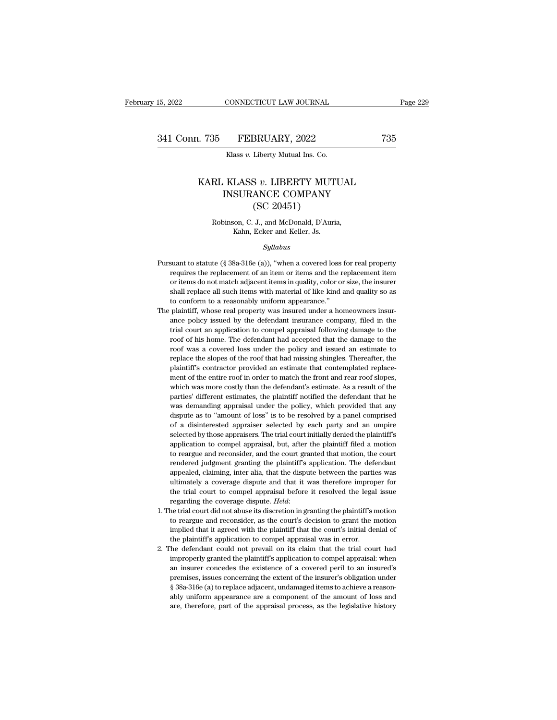### L. 735 FEBRUARY, 2022 735<br>Klass *v*. Liberty Mutual Ins. Co.<br>KARL KLASS *v*. LIBERTY MUTUAL<br>INSURANCE COMPANY<br>CSC 20451) FEBRUARY, 2022<br>
Klass v. Liberty Mutual Ins. Co.<br>
KLASS v. LIBERTY MUTUAL<br>
INSURANCE COMPANY (SC 20451) SRUARY, 2022<br>
Liberty Mutual Ins. Co.<br>
S v. LIBERTY MUT<br>
ANCE COMPANY<br>
(SC 20451)<br>
J., and McDonald, D'Auri KARL KLASS v. LIBERTY MUTUAL<br>INSURANCE COMPANY<br>(SC 20451)<br>Robinson, C. J., and McDonald, D'Auria,<br>Kahn, Ecker and Keller, Js. INSURANCE COMPANY

### *Syllabus*

- Robinson, C. J., and McDonald, D'Auria,<br>Kahn, Ecker and Keller, Js.<br>Syllabus<br>Pursuant to statute (§ 38a-316e (a)), "when a covered loss for real property<br>requires the replacement of an item or items and the replacement ite Robinson, C. J., and McDonald, D'Auria,<br>Kahn, Ecker and Keller, Js.<br>Syllabus<br>suant to statute (§ 38a-316e (a)), "when a covered loss for real property<br>requires the replacement of an item or items and the replacement item<br>o Kahn, Ecker and Keller, Js.<br>
Syllabus<br>
suant to statute (§ 38a-316e (a)), "when a covered loss for real property<br>
requires the replacement of an item or items and the replacement item<br>
or items do not match adjacent items Syllabus<br>
suant to statute (§ 38a-316e (a)), "when a covered loss for real property<br>
requires the replacement of an item or items and the replacement item<br>
or items do not match adjacent items in quality, color or size, th Syllabus<br>
suant to statute (§ 38a-316e (a)), "when a covered loss<br>
requires the replacement of an item or items and the r<br>
or items do not match adjacent items in quality, color or<br>
shall replace all such items with materi Pursuant to statute ( $\S$  38a-316e (a)), "when a covered loss for real property requires the replacement of an item or items and the replacement item or items do not match adjacent items in quality, color or size, the insu requires the replacement of an item or items and the replacement item<br>or items do not match adjacent items in quality, color or size, the insurer<br>shall replace all such items with material of like kind and quality so as<br>to
- or items do not match adjacent items in quality, color or size, the insurer shall replace all such items with material of like kind and quality so as to conform to a reasonably uniform appearance."<br>plaintiff, whose real pr shall replace all such items with material of like kind and quality so as to conform to a reasonably uniform appearance."<br>plaintiff, whose real property was insured under a homeowners insurance policy issued by the defenda to conform to a reasonably uniform appearance."<br>plaintiff, whose real property was insured under a homeowners insur-<br>ance policy issued by the defendant insurance company, filed in the<br>trial court an application to compel plaintiff, whose real property was insured under a homeowners insurance policy issued by the defendant insurance company, filed in the trial court an application to compel appraisal following damage to the roof of his home plaintiff's contractor provided an estimate or application to company, filed in the trial court an application to compel appraisal following damage to the roof of his home. The defendant had accepted that the damage to the ment of the home. The defendant had accepted that the damage to the roof of his home. The defendant had accepted that the damage to the roof was a covered loss under the policy and issued an estimate to replace the slopes roof of his home. The defendant had accepted that the damage to the roof was a covered loss under the policy and issued an estimate to replace the slopes of the roof that had missing shingles. Thereafter, the plaintiff's c parties' different estimates, the plaintiff's contractor proof was a covered loss under the policy and issued an estimate to replace the slopes of the roof that had missing shingles. Thereafter, the plaintiff's contractor replace the slopes of the roof that had missing shingles. Thereafter, the plaintiff's contractor provided an estimate that contemplated replacement of the entire roof in order to match the front and rear roof slopes, which plaintiff's contractor provided an estimate that contemplated replacement of the entire roof in order to match the front and rear roof slopes, which was more costly than the defendant's estimate. As a result of the parties ment of the entire roof in order to match the front and rear roof slopes, which was more costly than the defendant's estimate. As a result of the parties' different estimates, the plaintiff notified the defendant that he w which was more costly than the defendant's estimate. As a result of the parties' different estimates, the plaintiff notified the defendant that he was demanding appraisal under the policy, which provided that any dispute a parties' different estimates, the plaintiff notified the defendant that he was demanding appraisal under the policy, which provided that any dispute as to "amount of loss" is to be resolved by a panel comprised of a disint was demanding appraisal under the policy, which provided that any dispute as to "amount of loss" is to be resolved by a panel comprised of a disinterested appraiser selected by each party and an umpire selected by those ap rendered and we increase the plaintiff's dispute as to "amount of loss" is to be resolved by a panel comprised<br>of a disinterested appraisers selected by each party and an umpire<br>selected by those appraisers. The trial cour and a disinterested appraiser selected by each party and an umpire selected by those appraisers. The trial court initially denied the plaintiff's application to compel appraisal, but, after the plaintiff filed a motion to selected by those appraisers. The trial court initially denied the plaintiff's application to compel appraisal, but, after the plaintiff filed a motion to reargue and reconsider, and the court granted that motion, the cour application to compel appraisal, but, after the plaintiff filed a motion to reargue and reconsider, and the court granted that motion, the court rendered judgment granting the plaintiff's application. The defendant appeal to reargue and reconsider, and the court granted that motion, the court<br>rendered judgment granting the plaintiff's application. The defendant<br>appealed, claiming, inter alia, that the dispute between the parties was<br>ultimat appealed, claiming, inter alia, that the dispute between the parties was ultimately a coverage dispute and that it was therefore improper for the trial court to compel appraisal before it resolved the legal issue regarding
- ultimately a coverage dispute and that it was therefore improper for the trial court to compel appraisal before it resolved the legal issue regarding the coverage dispute. *Held*: the trial court did not abuse its discreti the trial court to compel appraisal before it resolved the legal<br>regarding the coverage dispute. *Held*:<br>he trial court did not abuse its discretion in granting the plaintiff's r<br>to reargue and reconsider, as the court's d regarding the coverage dispute. Held:<br>
1. The trial court did not abuse its discretion in granting the plaintiff's motion<br>
to reargue and reconsider, as the court's decision to grant the motion<br>
implied that it agreed wit improperly as the consider, as the court's decision to grant the motion to reargue and reconsider, as the court's decision to grant the motion implied that it agreed with the plaintiff that the court's initial denial of th
- to reargue and reconsider, as the court's decision to grant the motion implied that it agreed with the plaintiff that the court's initial denial of the plaintiff's application to compel appraisal was in error. The defenda implied that it agreed with the plaintiff that the court's initial denial of<br>the plaintiff's application to compel appraisal was in error.<br>The defendant could not prevail on its claim that the trial court had<br>improperly gr 2. The defendant could not prevail on its claim that the trial court had improperly granted the plaintiff's application to compel appraisal: when an insurer concedes the existence of a covered peril to an insured's premise The defendant could not prevail on its claim that the trial court had improperly granted the plaintiff's application to compel appraisal: when an insurer concedes the existence of a covered peril to an insured's premises, improperly granted the plaintiff's application to compel appraisal: when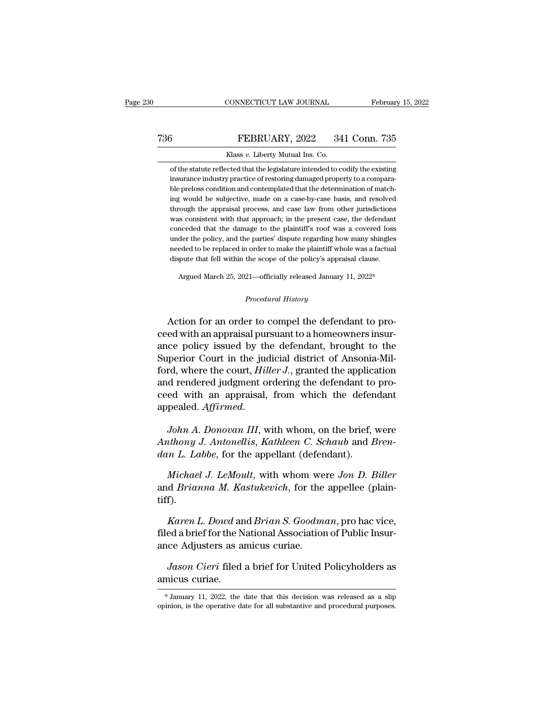## CONNECTICUT LAW JOURNAL February 15, 2022<br>
T36 FEBRUARY, 2022 341 Conn. 735<br>
Klass v. Liberty Mutual Ins. Co. EONNECTICUT LAW JOURNAL<br>FEBRUARY, 2022 34<br>Klass *v*. Liberty Mutual Ins. Co.<br>ccted that the legislature intended to co

of the statute reflected that the legislature intended to codify the existing insurance industry practice of restoring damaged property to a comparation FEBRUARY, 2022 341 Conn. 735<br>Klass v. Liberty Mutual Ins. Co.<br>of the statute reflected that the legislature intended to codify the existing<br>insurance industry practice of restoring damaged property to a compara-<br>ble prelo  $\begin{array}{r} \text{5} & \text{FEBRUARY, 2022} \quad 341 \text{ Conn.} \text{735} \\ \text{Klass } v. & \text{Liberty Mutual Ins. Co.} \end{array}$  of the statute reflected that the legislature intended to codify the existing insurance industry practice of restoring damaged property to a comp Klass  $v$ . Liberty Mutual Ins. Co.<br>
of the statute reflected that the legislature intended to codify the existing<br>
insurance industry practice of restoring damaged property to a compara-<br>
ble preloss condition and contemp Klass v. Liberty Mutual Ins. Co.<br>
of the statute reflected that the legislature intended to codify the existing<br>
insurance industry practice of restoring damaged property to a compara-<br>
ble preloss condition and contemplat of the statute reflected that the legislature intended to codify the existing<br>insurance industry practice of restoring damaged property to a compara-<br>ble preloss condition and contemplated that the determination of match-<br> insurance industry practice of restoring damaged property to a compara-<br>ble preloss condition and contemplated that the determination of match-<br>ing would be subjective, made on a case-by-case basis, and resolved<br>through th ble preloss condition and contemplated that the determination of matching would be subjective, made on a case-by-case basis, and resolved through the appraisal process, and case law from other jurisdictions was consistent ing would be subjective, made on a case-by-case basis, and resolved through the appraisal process, and case law from other jurisdictions was consistent with that approach; in the present case, the defendant conceded that t was consistent with that approach; in the present case, the defendant conceded that the damage to the plaintiff's roof was a covered loss under the policy, and the parties' dispute regarding how many shingles needed to be conceded that the damage to the plaintiff's roof was a covered loss % dispute that fell within the scope of the policy's appraisal clause.<br> *Argued March 25, 2021—officially released January 11, 2022\**<br> *Procedural History* 

needed to be replaced in order to make the plaintiff whole was a factual<br>dispute that fell within the scope of the policy's appraisal clause.<br>Argued March 25, 2021—officially released January 11, 2022\*<br>*Procedural History* dependent and the scope of the policy's appraisal clause.<br>Argued March 25, 2021—officially released January 11, 2022\*<br>*Procedural History*<br>Action for an order to compel the defendant to pro-<br>ceed with an appraisal pursuant Argued March 25, 2021—officially released January 11, 2022\*<br>
Procedural History<br>
Action for an order to compel the defendant to pro-<br>
ceed with an appraisal pursuant to a homeowners insur-<br>
ance policy issued by the defend *Procedural History*<br>Action for an order to compel the defendant to pro-<br>ceed with an appraisal pursuant to a homeowners insur-<br>ance policy issued by the defendant, brought to the<br>Superior Court in the judicial district of Frocedural History<br>Action for an order to compel the defendant to pro-<br>ceed with an appraisal pursuant to a homeowners insur-<br>ance policy issued by the defendant, brought to the<br>Superior Court in the judicial district of A Action for an order to compel the defendant to proceed with an appraisal pursuant to a homeowners insurance policy issued by the defendant, brought to the Superior Court in the judicial district of Ansonia-Milford, where t Action for an order to compel the defendant to pro-<br>ceed with an appraisal pursuant to a homeowners insur-<br>ance policy issued by the defendant, brought to the<br>Superior Court in the judicial district of Ansonia-Mil-<br>ford, w Superior Court in the judicial district of Ansonia-Milford, where the court, *Hiller J*., granted the application<br>and rendered judgment ordering the defendant to proceed with an appraisal, from which the defendant<br>appealed Ford, where the court, *Hiller J.*, granted the application<br>and rendered judgment ordering the defendant to pro-<br>ceed with an appraisal, from which the defendant<br>appealed. *Affirmed.*<br>John A. Donovan III, with whom, on the and rendered judgment ordering the defendant to<br>ceed with an appraisal, from which the defer<br>appealed. *Affirmed*.<br>*John A. Donovan III*, with whom, on the brief,<br>*Anthony J. Antonellis, Kathleen C. Schaub* and *L*<br>dan L.

pealed. *Affirmed.*<br> *John A. Donovan III*, with whom, on the brief, were<br> *thony J. Antonellis, Kathleen C. Schaub* and *Bren*-<br> *m L. Labbe*, for the appellant (defendant).<br> *Michael J. LeMoult*, with whom were *Jon D. B* 

John A. Donovan III, with whom, on the brief, were<br>Anthony J. Antonellis, Kathleen C. Schaub and Bren-<br>dan L. Labbe, for the appellant (defendant).<br>Michael J. LeMoult, with whom were Jon D. Biller<br>and Brianna M. Kastukevic tiff). *Karen L. Labbe,* for the appellant (defendant).<br> *Kichael J. LeMoult,* with whom were *Jon D. Biller*<br> *Karen L. Dowd* and *Brian S. Goodman,* pro hac vice,<br>
ed a brief for the National Association of Public Insur-<br>
and d *Michael J. LeMoult,* with whom were *Jon D. Biller*<br>and *Brianna M. Kastukevich*, for the appellee (plain-<br>tiff).<br>*Karen L. Dowd* and *Brian S. Goodman*, pro hac vice,<br>filed a brief for the National Association of Public Michael J. LeMoult, with whom we<br>and *Brianna M. Kastukevich*, for the<br>tiff).<br>*Karen L. Dowd* and *Brian S. Goodm*<br>filed a brief for the National Association<br>ance Adjusters as amicus curiae.<br>Jason Cieri filed a brief for U

*Jason Cieri* filed a brief for United Policyholders as<br>*Jason Cieri* filed a brief for United Policyholders as<br>*Jason Cieri* filed a brief for United Policyholders as<br>incus curiae. *Karen L. Dowd* and *Brian S. Goodman*, pro hac vice, filed a brief for the National Association of Public Insurance Adjusters as amicus curiae.<br>*Jason Cieri* filed a brief for United Policyholders as amicus curiae.<br> $*$  J

Jason Cieri filed a brief for United Policyholders as<br>amicus curiae.<br>\*January 11, 2022, the date that this decision was released as a slip<br>opinion, is the operative date for all substantive and procedural purposes.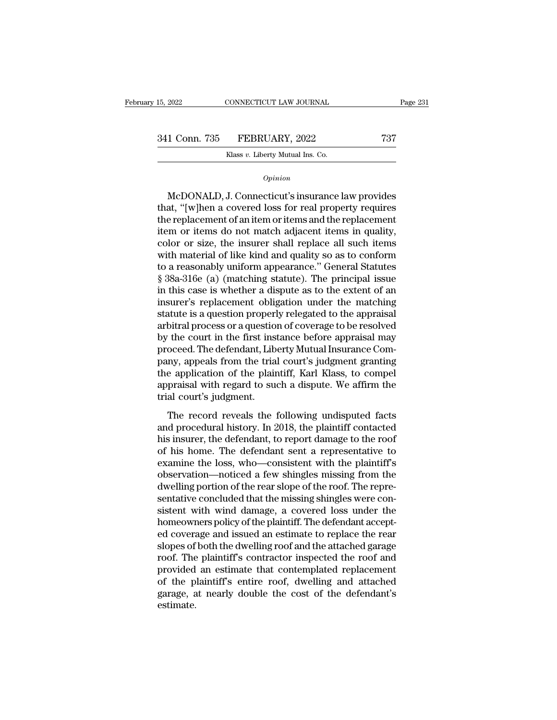15, 2022 CONNECTICUT LAW JOURNAL Page 231<br>341 Conn. 735 FEBRUARY, 2022 737<br>Klass v. Liberty Mutual Ins. Co. EXTECTICUT LAW JOURNAL<br>FEBRUARY, 2022<br>Klass *v.* Liberty Mutual Ins. Co.

### *Opinion*

1 Conn. 735 FEBRUARY, 2022 737<br>
Klass v. Liberty Mutual Ins. Co.<br>
Opinion<br>
McDONALD, J. Connecticut's insurance law provides<br>
at, "[w]hen a covered loss for real property requires<br>
a roplacement of an item or items and the 341 Conn. 735 FEBRUARY, 2022 737<br>
Klass v. Liberty Mutual Ins. Co.<br> *Opinion*<br>
McDONALD, J. Connecticut's insurance law provides<br>
that, "[w]hen a covered loss for real property requires<br>
the replacement of an item or item Klass v. Liberty Mutual Ins. Co.<br>
Opinion<br>
McDONALD, J. Connecticut's insurance law provides<br>
that, "[w]hen a covered loss for real property requires<br>
the replacement of an item or items and the replacement<br>
item or items opinion<br>
McDONALD, J. Connecticut's insurance law provides<br>
that, "[w]hen a covered loss for real property requires<br>
the replacement of an item or items and the replacement<br>
item or items do not match adjacent items in qua opinion<br>
McDONALD, J. Connecticut's insurance law provides<br>
that, "[w]hen a covered loss for real property requires<br>
the replacement of an item or items and the replacement<br>
item or items do not match adjacent items in qua McDONALD, J. Connecticut's insurance law provides<br>that, "[w]hen a covered loss for real property requires<br>the replacement of an item or items and the replacement<br>item or items do not match adjacent items in quality,<br>color McDONALD, J. Connecticut's insurance law provides<br>that, "[w]hen a covered loss for real property requires<br>the replacement of an item or items and the replacement<br>item or items do not match adjacent items in quality,<br>color that, "[w]hen a covered loss for real property requires<br>the replacement of an item or items and the replacement<br>item or items do not match adjacent items in quality,<br>color or size, the insurer shall replace all such items<br> the replacement of an item or items and the replacement<br>item or items do not match adjacent items in quality,<br>color or size, the insurer shall replace all such items<br>with material of like kind and quality so as to conform<br> item or items do not match adjacent items in quality,<br>color or size, the insurer shall replace all such items<br>with material of like kind and quality so as to conform<br>to a reasonably uniform appearance." General Statutes<br>§ color or size, the insurer shall replace all such items<br>with material of like kind and quality so as to conform<br>to a reasonably uniform appearance." General Statutes<br>§ 38a-316e (a) (matching statute). The principal issue<br>i with material of like kind and quality so as to conform<br>to a reasonably uniform appearance." General Statutes<br>§ 38a-316e (a) (matching statute). The principal issue<br>in this case is whether a dispute as to the extent of an<br> to a reasonably uniform appearance." General Statutes<br>§ 38a-316e (a) (matching statute). The principal issue<br>in this case is whether a dispute as to the extent of an<br>insurer's replacement obligation under the matching<br>stat § 38a-316e (a) (matching statute). The principal issue<br>in this case is whether a dispute as to the extent of an<br>insurer's replacement obligation under the matching<br>statute is a question properly relegated to the appraisal<br> in this case is whether a dispute as to the extent of an<br>insurer's replacement obligation under the matching<br>statute is a question properly relegated to the appraisal<br>arbitral process or a question of coverage to be resolv insurer's replacement obligation under the matching<br>statute is a question properly relegated to the appraisal<br>arbitral process or a question of coverage to be resolved<br>by the court in the first instance before appraisal ma statute is a question properly relegated to the appraisal<br>arbitral process or a question of coverage to be resolved<br>by the court in the first instance before appraisal may<br>proceed. The defendant, Liberty Mutual Insurance C arbitral process or a questio<br>by the court in the first ins<br>proceed. The defendant, Lib<br>pany, appeals from the tria<br>the application of the plain<br>appraisal with regard to sue<br>trial court's judgment.<br>The record reveals the 1 are coard in the first instance before apprusian may<br>oceed. The defendant, Liberty Mutual Insurance Com-<br>ny, appeals from the trial court's judgment granting<br>e application of the plaintiff, Karl Klass, to compel<br>praisal wi particles at the distribution of the plaintiff, Karl Klass, to compel<br>appraisal with regard to such a dispute. We affirm the<br>trial court's judgment.<br>The record reveals the following undisputed facts<br>and procedural history.

party, appears from are and coards jaagnent granting<br>the application of the plaintiff, Karl Klass, to compel<br>appraisal with regard to such a dispute. We affirm the<br>trial court's judgment.<br>The record reveals the following u appraisal with regard to such a dispute. We affirm the<br>trial court's judgment.<br>The record reveals the following undisputed facts<br>and procedural history. In 2018, the plaintiff contacted<br>his insurer, the defendant, to repor expression with regard to stead a dispute. We diffinite trial court's judgment.<br>The record reveals the following undisputed facts<br>and procedural history. In 2018, the plaintiff contacted<br>his insurer, the defendant, to repo The record reveals the following undisputed facts<br>and procedural history. In 2018, the plaintiff contacted<br>his insurer, the defendant, to report damage to the roof<br>of his home. The defendant sent a representative to<br>examin The record reveals the following undisputed facts<br>and procedural history. In 2018, the plaintiff contacted<br>his insurer, the defendant, to report damage to the roof<br>of his home. The defendant sent a representative to<br>examin and procedural history. In 2018, the plaintiff contacted<br>his insurer, the defendant, to report damage to the roof<br>of his home. The defendant sent a representative to<br>examine the loss, who—consistent with the plaintiff's<br>ob his insurer, the defendant, to report damage to the roof<br>of his home. The defendant sent a representative to<br>examine the loss, who—consistent with the plaintiff's<br>observation—noticed a few shingles missing from the<br>dwellin of his home. The defendant sent a representative to examine the loss, who—consistent with the plaintiff's observation—noticed a few shingles missing from the dwelling portion of the rear slope of the roof. The representati examine the loss, who—consistent with the plaintiff's<br>observation—noticed a few shingles missing from the<br>dwelling portion of the rear slope of the roof. The repre-<br>sentative concluded that the missing shingles were con-<br>s observation—noticed a few shingles missing from the<br>dwelling portion of the rear slope of the roof. The repre-<br>sentative concluded that the missing shingles were con-<br>sistent with wind damage, a covered loss under the<br>home dwelling portion of the rear slope of the roof. The representative concluded that the missing shingles were consistent with wind damage, a covered loss under the homeowners policy of the plaintiff. The defendant accepted c sentative concluded that the missing shingles were consistent with wind damage, a covered loss under the homeowners policy of the plaintiff. The defendant accepted coverage and issued an estimate to replace the rear slopes sistent with wind damage, a covered loss under the<br>homeowners policy of the plaintiff. The defendant accept-<br>ed coverage and issued an estimate to replace the rear<br>slopes of both the dwelling roof and the attached garage<br>r homeowners policy of the plaintiff. The defendant accept-<br>ed coverage and issued an estimate to replace the rear<br>slopes of both the dwelling roof and the attached garage<br>roof. The plaintiff's contractor inspected the roof estimate.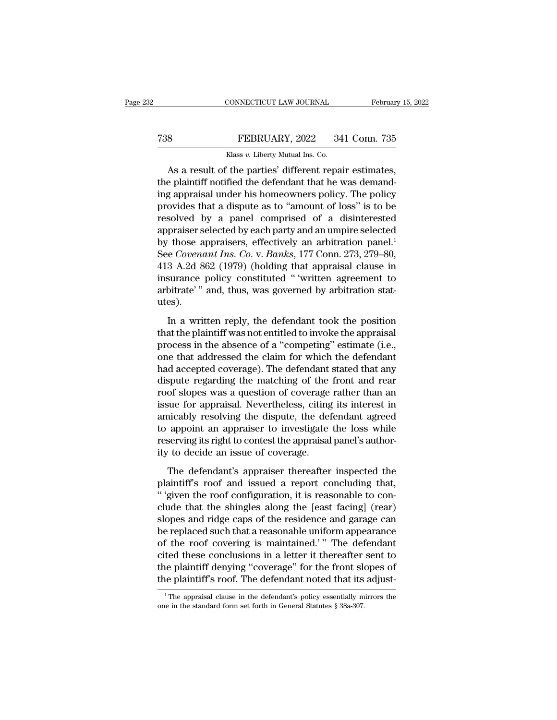## CONNECTICUT LAW JOURNAL February 15, 2022<br> **738** FEBRUARY, 2022 341 Conn. 735<br>
Klass v. Liberty Mutual Ins. Co. CONNECTICUT LAW JOURNAL<br>FEBRUARY, 2022 34<br>Klass *v.* Liberty Mutual Ins. Co.<br>The narties' different renai

CONNECTICUT LAW JOURNAL February 15, 2<br>
8<br> **As a result of the parties' different repair estimates,**<br> **As a result of the parties' different repair estimates,**<br> **As a result of the parties' different repair estimates,**<br> **A** The FEBRUARY, 2022 341 Conn. 735<br>
Klass v. Liberty Mutual Ins. Co.<br>
As a result of the parties' different repair estimates,<br>
the plaintiff notified the defendant that he was demand-<br>
ing appraisal under his homeowners pol T38 FEBRUARY, 2022 341 Conn. 735<br>
Klass v. Liberty Mutual Ins. Co.<br>
As a result of the parties' different repair estimates,<br>
the plaintiff notified the defendant that he was demand-<br>
ing appraisal under his homeowners pol FEBRUARY, 2022 341 Conn. 735<br>
Klass v. Liberty Mutual Ins. Co.<br>
As a result of the parties' different repair estimates,<br>
the plaintiff notified the defendant that he was demand-<br>
ing appraisal under his homeowners policy. Klass v. Liberty Mutual Ins. Co.<br>
As a result of the parties' different repair estimates,<br>
the plaintiff notified the defendant that he was demand-<br>
ing appraisal under his homeowners policy. The policy<br>
provides that a d As a result of the parties' different repair estimates,<br>the plaintiff notified the defendant that he was demand-<br>ing appraisal under his homeowners policy. The policy<br>provides that a dispute as to "amount of loss" is to b As a result of the parties' different repair estimates,<br>the plaintiff notified the defendant that he was demand-<br>ing appraisal under his homeowners policy. The policy<br>provides that a dispute as to "amount of loss" is to b the plaintiff notified the defendant that he was demand-<br>ing appraisal under his homeowners policy. The policy<br>provides that a dispute as to "amount of loss" is to be<br>resolved by a panel comprised of a disinterested<br>apprai ing appraisal under his homeowners policy. The policy<br>provides that a dispute as to "amount of loss" is to be<br>resolved by a panel comprised of a disinterested<br>appraiser selected by each party and an umpire selected<br>by thos provides that a dispute as to "amount of loss" is to be<br>resolved by a panel comprised of a disinterested<br>appraiser selected by each party and an umpire selected<br>by those appraisers, effectively an arbitration panel.<sup>1</sup><br>See resolved by a panel comprised of a disinterested<br>appraiser selected by each party and an umpire selected<br>by those appraisers, effectively an arbitration panel.<sup>1</sup><br>See *Covenant Ins. Co. v. Banks*, 177 Conn. 273, 279–80,<br>4 utes). Example 1.2 and Ins. Co. v. Banks, 177 Conn. 273, 279–80,<br>
3 A.2d 862 (1979) (holding that appraisal clause in<br>
surance policy constituted " 'written agreement to<br>
bitrate' " and, thus, was governed by arbitration stat-<br>
e 413 A.2d 862 (1979) (holding that appraisal clause in<br>insurance policy constituted "'written agreement to<br>arbitrate'" and, thus, was governed by arbitration stat-<br>utes).<br>In a written reply, the defendant took the position

process in the absence of a "competition state" insurance policy constituted "'written agreement to arbitratie" and, thus, was governed by arbitration statures).<br>In a written reply, the defendant took the position that the and that a matrice and the claim for the claim statures).<br>
In a written reply, the defendant took the position<br>
that the plaintiff was not entitled to invoke the appraisal<br>
process in the absence of a "competing" estimate had accepted coverage). The defendant state of a series of a series of a "competing" estimate (i.e., one that addressed the claim for which the defendant had accepted coverage). The defendant stated that any dispute regard In a written reply, the defendant took the position<br>that the plaintiff was not entitled to invoke the appraisal<br>process in the absence of a "competing" estimate (i.e.,<br>one that addressed the claim for which the defendant<br>h In a written reply, the defendant took the position<br>that the plaintiff was not entitled to invoke the appraisal<br>process in the absence of a "competing" estimate (i.e.,<br>one that addressed the claim for which the defendant<br>h that the plaintiff was not entitled to invoke the appraisal<br>process in the absence of a "competing" estimate (i.e.,<br>one that addressed the claim for which the defendant<br>had accepted coverage). The defendant stated that any process in the absence of a "competing" estimate (i.e.,<br>one that addressed the claim for which the defendant<br>had accepted coverage). The defendant stated that any<br>dispute regarding the matching of the front and rear<br>roof s one that addressed the claim for which the defendant<br>had accepted coverage). The defendant stated that any<br>dispute regarding the matching of the front and rear<br>roof slopes was a question of coverage rather than an<br>issue fo had accepted coverage). The defendant stated that any dispute regarding the matching of the front and rear roof slopes was a question of coverage rather than an issue for appraisal. Nevertheless, citing its interest in ami dispute regarding the matching of the<br>roof slopes was a question of coverage<br>issue for appraisal. Nevertheless, citing<br>amicably resolving the dispute, the def<br>to appoint an appraiser to investigate<br>reserving its right to c The defendant's approaches, citing its interest in<br>incably resolving the dispute, the defendant agreed<br>appoint an appraiser to investigate the loss while<br>serving its right to contest the appraisal panel's author-<br>to decide plantifft and interest and interest and a reported and a report of appoint an appraiser to investigate the loss while reserving its right to contest the appraisal panel's authority to decide an issue of coverage.<br>The defen

anneasty resormig are anguated, are according to appoint to appoint an appraiser to investigate the loss while<br>reserving its right to contest the appraisal panel's author-<br>ity to decide an issue of coverage.<br>The defendant' complete that the shingles alone that the shingles alone that the shingles alone provide an issue of coverage.<br>The defendant's appraiser thereafter inspected the plaintiff's roof and issued a report concluding that, "'give slopes and respective the repeated particle and ridge caps of coverage.<br>The defendant's appraiser thereafter inspected the plaintiff's roof and issued a report concluding that,<br>"'given the roof configuration, it is reasona be replaced an issue of our engage.<br>The defendant's appraiser thereafter inspected the<br>plaintiff's roof and issued a report concluding that,<br>"'given the roof configuration, it is reasonable to con-<br>clude that the shingles The defendant's appraiser thereafter inspected the<br>plaintiff's roof and issued a report concluding that,<br>"'given the roof configuration, it is reasonable to con-<br>clude that the shingles along the [east facing] (rear)<br>slope plaintiff's roof and issued a report concluding that,<br>"'given the roof configuration, it is reasonable to conclude that the shingles along the [east facing] (rear)<br>slopes and ridge caps of the residence and garage can<br>be r " 'given the roof configuration, it is reasonable to conclude that the shingles along the [east facing] (rear) slopes and ridge caps of the residence and garage can be replaced such that a reasonable uniform appearance of clude that the shingles along the [east facing] (rear)<br>slopes and ridge caps of the residence and garage can<br>be replaced such that a reasonable uniform appearance<br>of the roof covering is maintained.'" The defendant<br>cited t % of the roof covering is maintained.'" The defendant cited these conclusions in a letter it thereafter sent to the plaintiff denying "coverage" for the front slopes of the plaintiff's roof. The defendant noted that its a the plaintiff's roof. The defendant noted that its adjust-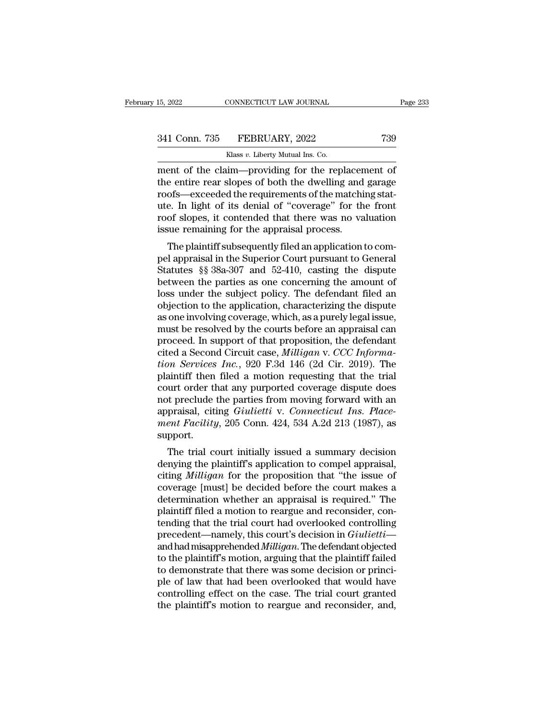| 15, 2022      | CONNECTICUT LAW JOURNAL                            | Page 233 |
|---------------|----------------------------------------------------|----------|
|               |                                                    |          |
| 341 Conn. 735 | FEBRUARY, 2022                                     | 739      |
|               | Klass v. Liberty Mutual Ins. Co.                   |          |
|               | ment of the claim—providing for the replacement of |          |

EXERCT LAW JOURNAL Page 23:<br>
241 Conn. 735 FEBRUARY, 2022 739<br>
2341 Conn. 735 FEBRUARY, 2022 739<br>
2341 Conn. 735 FEBRUARY, 2022 739<br>
241 Conn. 735 FEBRUARY, 2022 739<br>
241 Conn. 735 FEBRUARY, 2022 739<br>
25 Nass v. Liberty Mu 341 Conn. 735 FEBRUARY, 2022 739<br>
Klass v. Liberty Mutual Ins. Co.<br>
The entire rear slopes of both the dwelling and garage<br>
The entire rear slopes of both the dwelling and garage<br>
The dwelling and garage<br>
The Light of its 341 Conn. 735 FEBRUARY, 2022 739<br>
Klass v. Liberty Mutual Ins. Co.<br>
ment of the claim—providing for the replacement of<br>
the entire rear slopes of both the dwelling and garage<br>
roofs—exceeded the requirements of the matchi 341 Conn. 735 FEBRUARY, 2022 739<br>
Klass v. Liberty Mutual Ins. Co.<br>
ment of the claim—providing for the replacement of<br>
the entire rear slopes of both the dwelling and garage<br>
roofs—exceeded the requirements of the matchi Klass v. Liberty Mutual Ins. Co.<br>
ment of the claim—providing for the replacement of<br>
the entire rear slopes of both the dwelling and garage<br>
roofs—exceeded the requirements of the matching stat-<br>
ute. In light of its deni Klass  $v$ . Liberty Mutual Ins. Co.<br>
ment of the claim—providing for the replacen<br>
the entire rear slopes of both the dwelling and<br>
roofs—exceeded the requirements of the matchi<br>
ute. In light of its denial of "coverage" f e entire rear slopes of both the dwelling and garage<br>ofs—exceeded the requirements of the matching stat-<br>e. In light of its denial of "coverage" for the front<br>of slopes, it contended that there was no valuation<br>sue remaini the entire rear slopes of both the uwening and garage<br>roofs—exceeded the requirements of the matching stat-<br>ute. In light of its denial of "coverage" for the front<br>roof slopes, it contended that there was no valuation<br>issu

From Society and the Helmentenis of the matching statute. In light of its denial of "coverage" for the front roof slopes, it contended that there was no valuation issue remaining for the appraisal process.<br>The plaintiff su the find of the montroof slopes, it contended that there was no valuation<br>issue remaining for the appraisal process.<br>The plaintiff subsequently filed an application to com-<br>pel appraisal in the Superior Court pursuant to G loss under the subject policial and the subjects.<br>
The plaintiff subsequently filed an application to compel<br>
appraisal in the Superior Court pursuant to General<br>
Statutes §§ 38a-307 and 52-410, casting the dispute<br>
betwee Solar Fentanting for the appraisal process.<br>
The plaintiff subsequently filed an application to compel appraisal in the Superior Court pursuant to General<br>
Statutes §§ 38a-307 and 52-410, casting the dispute<br>
between the p The plaintiff subsequently filed an application to compel appraisal in the Superior Court pursuant to General<br>Statutes §§ 38a-307 and 52-410, casting the dispute<br>between the parties as one concerning the amount of<br>loss und pel appraisal in the Superior Court pursuant to General<br>Statutes §§ 38a-307 and 52-410, casting the dispute<br>between the parties as one concerning the amount of<br>loss under the subject policy. The defendant filed an<br>objectio Statutes §§ 38a-307 and 52-410, casting the dispute<br>between the parties as one concerning the amount of<br>loss under the subject policy. The defendant filed an<br>objection to the application, characterizing the dispute<br>as one between the parties as one concerning the amount of loss under the subject policy. The defendant filed an objection to the application, characterizing the dispute as one involving coverage, which, as a purely legal issue, loss under the subject policy. The defendant filed an objection to the application, characterizing the dispute as one involving coverage, which, as a purely legal issue, must be resolved by the courts before an appraisal c objection to the application, characterizing the dispute<br>as one involving coverage, which, as a purely legal issue,<br>must be resolved by the courts before an appraisal can<br>proceed. In support of that proposition, the defend as one involving coverage, which, as a purely legal issue,<br>must be resolved by the courts before an appraisal can<br>proceed. In support of that proposition, the defendant<br>cited a Second Circuit case, *Milligan* v. *CCC Info* must be resolved by the courts before an appraisal can<br>proceed. In support of that proposition, the defendant<br>cited a Second Circuit case, *Milligan v. CCC Informa-<br>tion Services Inc.*, 920 F.3d 146 (2d Cir. 2019). The<br>pla proceed. In support of that proposition, the defendant cited a Second Circuit case, *Milligan v. CCC Information Services Inc.*, 920 F.3d 146 (2d Cir. 2019). The plaintiff then filed a motion requesting that the trial cour cited a Second Circuit case, *Milligan* v. *CCC Informa-<br>tion Services Inc.*, 920 F.3d 146 (2d Cir. 2019). The<br>plaintiff then filed a motion requesting that the trial<br>court order that any purported coverage dispute does<br>no support. Figure 1.1 The trial court initially issued a summary decision<br>network the trial court of the parties from moving forward with an<br>praisal, citing *Giulietti* v. *Connecticut Ins. Place-*<br>ent *Facility*, 205 Conn. 424, 534 court ofder that any purported coverage usptite does<br>not preclude the parties from moving forward with an<br>appraisal, citing *Giulietti* v. *Connecticut Ins. Place-<br>ment Facility*, 205 Conn. 424, 534 A.2d 213 (1987), as<br>sup

not precide the parties from moving forward with an<br>appraisal, citing *Giulietti* v. *Connecticut Ins. Place-<br>ment Facility*, 205 Conn. 424, 534 A.2d 213 (1987), as<br>support.<br>The trial court initially issued a summary decis appraisal, ching Grattett v. Connecticat Ins. Tuce-<br>ment Facility, 205 Conn. 424, 534 A.2d 213 (1987), as<br>support.<br>The trial court initially issued a summary decision<br>denying the plaintiff's application to compel appraisal ment Pactury, 200 Conn. 424, 004 A.2d 210 (1967), as<br>support.<br>The trial court initially issued a summary decision<br>denying the plaintiff's application to compel appraisal,<br>citing *Milligan* for the proposition that "the iss The trial court initially issued a summary decision<br>denying the plaintiff's application to compel appraisal,<br>citing *Milligan* for the proposition that "the issue of<br>coverage [must] be decided before the court makes a<br>det The trial court initially issued a summary decision<br>denying the plaintiff's application to compel appraisal,<br>citing *Milligan* for the proposition that "the issue of<br>coverage [must] be decided before the court makes a<br>dete denying the plaintiff's application to compel appraisal,<br>citing *Milligan* for the proposition that "the issue of<br>coverage [must] be decided before the court makes a<br>determination whether an appraisal is required." The<br>pla citing *Milligan* for the proposition that "the issue of<br>coverage [must] be decided before the court makes a<br>determination whether an appraisal is required." The<br>plaintiff filed a motion to reargue and reconsider, con-<br>ten coverage [must] be decided before the court makes a<br>determination whether an appraisal is required." The<br>plaintiff filed a motion to reargue and reconsider, con-<br>tending that the trial court had overlooked controlling<br>prec determination whether an appraisal is required." The plaintiff filed a motion to reargue and reconsider, contending that the trial court had overlooked controlling precedent—namely, this court's decision in *Giulietti*—and plaintiff filed a motion to reargue and reconsider, contending that the trial court had overlooked controlling<br>precedent—namely, this court's decision in *Giulietti*—<br>and had misapprehended *Milligan*. The defendant object tending that the trial court had overlooked controlling<br>precedent—namely, this court's decision in *Giulietti*—<br>and had misapprehended *Milligan*. The defendant objected<br>to the plaintiff's motion, arguing that the plaintif precedent—namely, this court's decision in *Giulietti*—and had misapprehended *Milligan*. The defendant objected to the plaintiff's motion, arguing that the plaintiff failed to demonstrate that there was some decision or p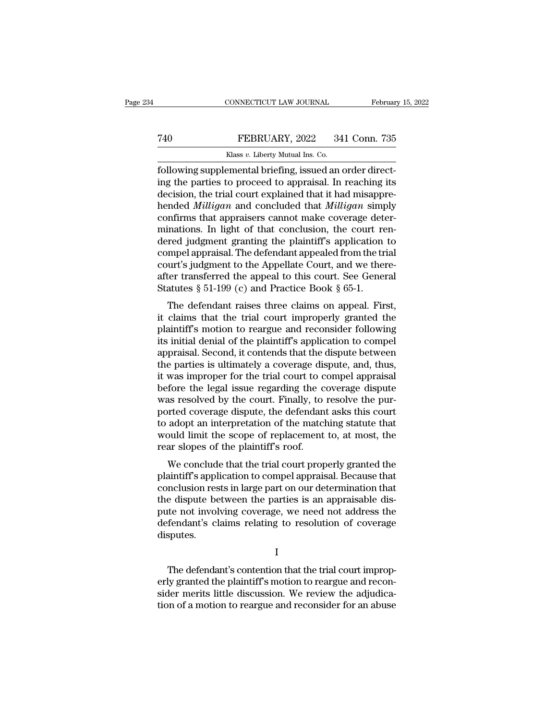## CONNECTICUT LAW JOURNAL February 15, 2022<br>
T40 FEBRUARY, 2022 341 Conn. 735<br>
Klass v. Liberty Mutual Ins. Co. CONNECTICUT LAW JOURNAL<br>FEBRUARY, 2022 34<br>Klass *v.* Liberty Mutual Ins. Co.<br>Pemental briefing issued and

Februar<br>FEBRUARY, 2022 341 Conn. 735<br>Klass v. Liberty Mutual Ins. Co.<br>Following supplemental briefing, issued an order direct-<br>ing the parties to proceed to appraisal. In reaching its<br>docision the trial court evoluted that T40 FEBRUARY, 2022 341 Conn. 735<br>
Klass v. Liberty Mutual Ins. Co.<br>
following supplemental briefing, issued an order direct-<br>
ing the parties to proceed to appraisal. In reaching its<br>
decision, the trial court explained th  $\begin{tabular}{ll} 740 & FEBRUARY, 2022 & 341 Conn. 735 \\ & \text{Klass } v. \text{ Library Mutual Ins. Co.} \\ \hline \end{tabular} \end{tabular} \begin{tabular}{ll} \hline \\ \text{following supplemental briefly, issued an order directly from the data of the data. In reaching its decision, the trial court explained that it had misapprehended *Milligan* and concluded that *Milligan* simply confirms that anpraisors cannot make covered other.$ FEBRUARY, 2022 341 Conn. 735<br>
Klass *v*. Liberty Mutual Ins. Co.<br>
following supplemental briefing, issued an order direct-<br>
ing the parties to proceed to appraisal. In reaching its<br>
decision, the trial court explained that EXECTIVE, 2022 COME ON COME TO THE CORRECT TRANSFERIMATE (FOR THE CONFIDENTITY) THE CONFIDENTITY OF THE APPRAISE OF THE APPRAISE DETECT AND RELEVANT OF THE MAKE COVER AN AVAILITY CONFIDENT CONFIDENT CONFIDENT CONFIDENT CO Klass v. Liberty Mutual Ins. Co.<br>
following supplemental briefing, issued an order direct-<br>
ing the parties to proceed to appraisal. In reaching its<br>
decision, the trial court explained that it had misappre-<br>
hended *Milli* following supplemental briefing, issued an order direct-<br>ing the parties to proceed to appraisal. In reaching its<br>decision, the trial court explained that it had misappre-<br>hended *Milligan* and concluded that *Milligan* si ing the parties to proceed to appraisal. In reaching its<br>decision, the trial court explained that it had misappre-<br>hended *Milligan* and concluded that *Milligan* simply<br>confirms that appraisers cannot make coverage deterdecision, the trial court explained that it had misapprehended *Milligan* and concluded that *Milligan* simply confirms that appraisers cannot make coverage determinations. In light of that conclusion, the court rendered hended *Milligan* and concluded that *Milligan* simply<br>confirms that appraisers cannot make coverage deter-<br>minations. In light of that conclusion, the court ren-<br>dered judgment granting the plaintiff's application to<br>com confirms that appraisers cannot make coverage det<br>minations. In light of that conclusion, the court re<br>dered judgment granting the plaintiff's application<br>compel appraisal. The defendant appealed from the tr<br>court's judgme mations. In fight of that conclusion, the court ren-<br>red judgment granting the plaintiff's application to<br>mpel appraisal. The defendant appealed from the trial<br>urt's judgment to the Appellate Court, and we there-<br>ter trans dered judgment granting the plaintin's application to<br>compel appraisal. The defendant appealed from the trial<br>court's judgment to the Appellate Court, and we there-<br>after transferred the appeal to this court. See General<br>S

comperappraisal. The defendant appeared from the trial<br>court's judgment to the Appellate Court, and we there-<br>after transferred the appeal to this court. See General<br>Statutes § 51-199 (c) and Practice Book § 65-1.<br>The defe court's judgment to the Appenate Court, and we thereafter transferred the appeal to this court. See General<br>Statutes § 51-199 (c) and Practice Book § 65-1.<br>The defendant raises three claims on appeal. First,<br>it claims that anter transferred the appear to this court. See General<br>Statutes § 51-199 (c) and Practice Book § 65-1.<br>The defendant raises three claims on appeal. First,<br>it claims that the trial court improperly granted the<br>plaintiff's The defendant raises three claims on appeal. First,<br>it claims that the trial court improperly granted the<br>plaintiff's motion to reargue and reconsider following<br>its initial denial of the plaintiff's application to compel<br> The defendant raises three claims on appeal. First,<br>it claims that the trial court improperly granted the<br>plaintiff's motion to reargue and reconsider following<br>its initial denial of the plaintiff's application to compel<br>a it claims that the trial court improperly granted the plaintiff's motion to reargue and reconsider following its initial denial of the plaintiff's application to compel appraisal. Second, it contends that the dispute betwe plaintiff's motion to reargue and reconsider following<br>its initial denial of the plaintiff's application to compel<br>appraisal. Second, it contends that the dispute between<br>the parties is ultimately a coverage dispute, and, its initial denial of the plaintiff's application to compel<br>appraisal. Second, it contends that the dispute between<br>the parties is ultimately a coverage dispute, and, thus,<br>it was improper for the trial court to compel app appraisal. Second, it contends that the dispute between<br>the parties is ultimately a coverage dispute, and, thus,<br>it was improper for the trial court to compel appraisal<br>before the legal issue regarding the coverage dispute the parties is ultimately a coverage dispute, and, thus,<br>it was improper for the trial court to compel appraisal<br>before the legal issue regarding the coverage dispute<br>was resolved by the court. Finally, to resolve the purit was improper for the trial court to c<br>before the legal issue regarding the c<br>was resolved by the court. Finally, to<br>ported coverage dispute, the defendan<br>to adopt an interpretation of the matcl<br>would limit the scope of Frole the legal issue regarding the coverage dispute<br>as resolved by the court. Finally, to resolve the pur-<br>priced coverage dispute, the defendant asks this court<br>adopt an interpretation of the matching statute that<br>build was resolved by the court. Finally, to resolve the pur-<br>ported coverage dispute, the defendant asks this court<br>to adopt an interpretation of the matching statute that<br>would limit the scope of replacement to, at most, the<br>r

ported coverage uspute, the defendant assess this court<br>to adopt an interpretation of the matching statute that<br>would limit the scope of replacement to, at most, the<br>rear slopes of the plaintiff's roof.<br>We conclude that th to adopt an interpretation of the matching statute that<br>would limit the scope of replacement to, at most, the<br>rear slopes of the plaintiff's roof.<br>We conclude that the trial court properly granted the<br>plaintiff's applicati would mint the scope of replacement to, at most, the<br>rear slopes of the plaintiff's roof.<br>We conclude that the trial court properly granted the<br>plaintiff's application to compel appraisal. Because that<br>conclusion rests in rear slopes of the plantificant of the conclude that the trial court properly granted the plaintiff's application to compel appraisal. Because that conclusion rests in large part on our determination that the dispute betwe disputes. External the parties is an appraisable distributed not involving coverage, we need not address the fendant's claims relating to resolution of coverage<br>sputes.<br>The defendant's contention that the trial court improp-<br>ly gran

I

pute not involving coverage, we need not address the<br>defendant's claims relating to resolution of coverage<br>disputes.<br>I<br>The defendant's contention that the trial court improp-<br>erly granted the plaintiff's motion to reargue defendant's claims relating to resolution of coverage<br>disputes.<br>I<br>The defendant's contention that the trial court improp-<br>erly granted the plaintiff's motion to reargue and recon-<br>sider merits little discussion. We review I<br>I<br>The defendant's contention that the trial court improp-<br>erly granted the plaintiff's motion to reargue and reconsider<br>merits little discussion. We review the adjudica-<br>tion of a motion to reargue and reconsider for an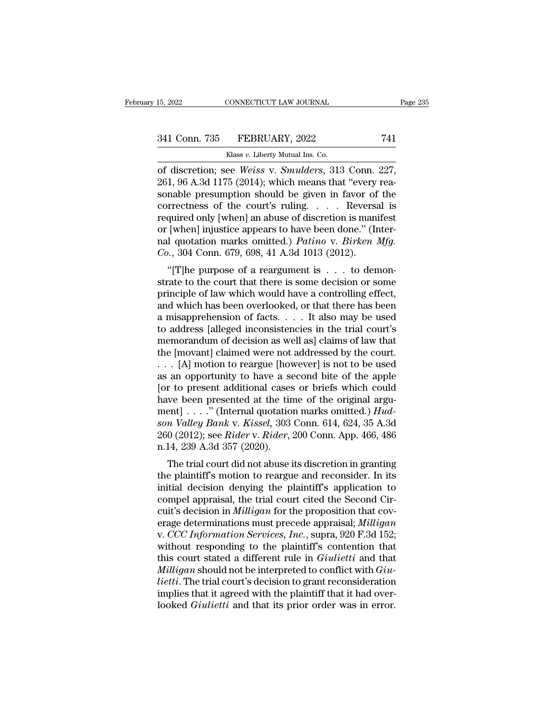of discretion; see *Weiss* v. *Smulders*, 313 Conn. 227, 261, 96 A.3d 1175 (2014); which means that "every reasonable procumption should be given in favor of the 241 Conn. 735 FEBRUARY, 2022 741<br>
Klass v. Liberty Mutual Ins. Co.<br>
261, 96 A.3d 1175 (2014); which means that "every rea-<br>
261, 96 A.3d 1175 (2014); which means that "every rea-<br>
sonable presumption should be given in fav 341 Conn. 735 FEBRUARY, 2022 741<br>
Klass v. Liberty Mutual Ins. Co.<br>
of discretion; see *Weiss* v. *Smulders*, 313 Conn. 227,<br>
261, 96 A.3d 1175 (2014); which means that "every reasonable presumption should be given in fav 341 Conn. 735 FEBRUARY, 2022 741<br>
Klass v. Liberty Mutual Ins. Co.<br>
of discretion; see *Weiss* v. *Smulders*, 313 Conn. 227,<br>
261, 96 A.3d 1175 (2014); which means that "every reasonable presumption should be given in fav Rass v. Liberty Mutual Ins. Co.<br>
of discretion; see *Weiss v. Smulders*, 313 Conn. 227,<br>
261, 96 A.3d 1175 (2014); which means that "every reasonable presumption should be given in favor of the<br>
correctness of the court's Klass v. Liberty Mutual Ins. Co.<br>
of discretion; see *Weiss* v. *Smulders*, 313 Conn. 227,<br>
261, 96 A.3d 1175 (2014); which means that "every rea-<br>
sonable presumption should be given in favor of the<br>
correctness of the c of discretion; see *Weiss* v. *Smulders*, 313 Conn. 227, 261, 96 A.3d 1175 (2014); which means that "every reasonable presumption should be given in favor of the correctness of the court's ruling. . . . Reversal is require 261, 96 A.3d 1175 (2014); which means that "every sonable presumption should be given in favor of correctness of the court's ruling. . . . . Reverse required only [when] an abuse of discretion is manior [when] injustice a The presumption should be given in favor of the rrectness of the court's ruling. . . . . Reversal is quired only [when] an abuse of discretion is manifest [when] injustice appears to have been done." (Inter-<br>1 quotation m required only [when] an abuse of discretion is manifest<br>or [when] injustice appears to have been done." (Inter-<br>nal quotation marks omitted.) *Patino* v. *Birken Mfg.*<br> $Co.$ , 304 Conn. 679, 698, 41 A.3d 1013 (2012).<br>"[T]he

produced only [when] an abuse of discretion is maintest<br>or [when] injustice appears to have been done." (Inter-<br>nal quotation marks omitted.) *Patino* v. *Birken Mfg.*<br> $Co.$ , 304 Conn. 679, 698, 41 A.3d 1013 (2012).<br>"[T]he or [when] injustice appears to have been done. (Inter-<br>nal quotation marks omitted.) *Patino* v. *Birken Mfg.*<br> $Co.$ , 304 Conn. 679, 698, 41 A.3d 1013 (2012).<br>"[T]he purpose of a reargument is  $\dots$  to demon-<br>strate to the Fraction marks of fitted.) Tattino v. Birken my.<br>
Co., 304 Conn. 679, 698, 41 A.3d 1013 (2012).<br>
"[T]he purpose of a reargument is . . . to demonstrate to the court that there is some decision or some<br>
principle of law wh to a solution of a reargument is  $\ldots$  to demonstrate to the court that there is some decision or some principle of law which would have a controlling effect, and which has been overlooked, or that there has been a misapp "[T]he purpose of a reargument is  $\dots$  to demonstrate to the court that there is some decision or some principle of law which would have a controlling effect, and which has been overlooked, or that there has been a misapp strate to the court that there is some decision or some<br>principle of law which would have a controlling effect,<br>and which has been overlooked, or that there has been<br>a misapprehension of facts. . . . It also may be used<br>to principle of law which would have a controlling effect,<br>and which has been overlooked, or that there has been<br>a misapprehension of facts. . . . It also may be used<br>to address [alleged inconsistencies in the trial court's<br>m and which has been overlooked, or that there has been<br>a misapprehension of facts. . . . It also may be used<br>to address [alleged inconsistencies in the trial court's<br>memorandum of decision as well as] claims of law that<br>th a misapprehension of facts. . . . It also may be used<br>to address [alleged inconsistencies in the trial court's<br>memorandum of decision as well as] claims of law that<br>the [movant] claimed were not addressed by the court.<br>. to address [alleged inconsistencies in the trial court's<br>memorandum of decision as well as] claims of law that<br>the [movant] claimed were not addressed by the court.<br>. . . [A] motion to reargue [however] is not to be used<br> memorandum of decision as well as] claims of law that<br>the [movant] claimed were not addressed by the court.<br>... [A] motion to reargue [however] is not to be used<br>as an opportunity to have a second bite of the apple<br>[or to the [movant] claimed were not addressed by the court.<br> *some VAP* is not to be used<br>
as an opportunity to have a second bite of the apple<br>
[or to present additional cases or briefs which could<br>
have been presented at the t . . . [A] motion to reargue [however] is not to be used<br>as an opportunity to have a second bite of the apple<br>[or to present additional cases or briefs which could<br>have been presented at the time of the original argu-<br>ment] as an opportunity to have a selence to present additional cases<br>have been presented at the tin<br>ment] . . . ." (Internal quotatio<br>son Valley Bank v. Kissel, 303<br>260 (2012); see Rider v. Rider, :<br>n.14, 239 A.3d 357 (2020).<br> The trial countries is different and the time of the original arguent] . . . ." (Internal quotation marks omitted.)  $Hud-n$  Valley Bank v. Kissel, 303 Conn. 614, 624, 35 A.3d 0 (2012); see *Rider* v. *Rider*, 200 Conn. App. have been presented at the time of the original argument] . . . ." (Internal quotation marks omitted.) *Hudson Valley Bank v. Kissel*, 303 Conn. 614, 624, 35 A.3d 260 (2012); see *Rider v. Rider*, 200 Conn. App. 466, 486

inent can be a simulated of the plantificant of the plant of the plant of the plaintiff's motion to reargue and reconsider. In its initial decision denying the plaintiff's application to compel appraisal, the trial court son valuey Bank v. Kissel, 303 Collit. 014, 024, 35 A.3d<br>260 (2012); see *Rider* v. *Rider*, 200 Conn. App. 466, 486<br>n.14, 239 A.3d 357 (2020).<br>The trial court did not abuse its discretion in granting<br>the plaintiff's moti 200 (2012), see *Kider V. Kider*, 200 Collit. App. 400, 400<br>n.14, 239 A.3d 357 (2020).<br>The trial court did not abuse its discretion in granting<br>the plaintiff's motion to reargue and reconsider. In its<br>initial decision deny fi.14, 259 A.5d 357 (2020).<br>
The trial court did not abuse its discretion in granting<br>
the plaintiff's motion to reargue and reconsider. In its<br>
initial decision denying the plaintiff's application to<br>
compel appraisal, th The trial court did not abuse its discretion in granting<br>the plaintiff's motion to reargue and reconsider. In its<br>initial decision denying the plaintiff's application to<br>compel appraisal, the trial court cited the Second C the plaintiff's motion to reargue and reconsider. In its<br>initial decision denying the plaintiff's application to<br>compel appraisal, the trial court cited the Second Cir-<br>cuit's decision in *Milligan* for the proposition tha initial decision denying the plaintiff's application to<br>compel appraisal, the trial court cited the Second Cir-<br>cuit's decision in *Milligan* for the proposition that cov-<br>erage determinations must precede appraisal; *Mill* compel appraisal, the trial court cited the Second Circuit's decision in *Milligan* for the proposition that coverage determinations must precede appraisal; *Milligan* v. *CCC Information Services, Inc.*, supra, 920 F.3d 1 cuit's decision in *Milligan* for the proposition that coverage determinations must precede appraisal; *Milligan*<br>v. *CCC Information Services, Inc.*, supra, 920 F.3d 152;<br>without responding to the plaintiff's contention t erage determinations must precede appraisal; *Milligan* v. *CCC Information Services, Inc.*, supra, 920 F.3d 152; without responding to the plaintiff's contention that this court stated a different rule in *Giulietti* and v. *CCC Information Services, Inc.*, supra, 920 F.3d 152; without responding to the plaintiff's contention that this court stated a different rule in *Giulietti* and that *Milligan* should not be interpreted to conflict wi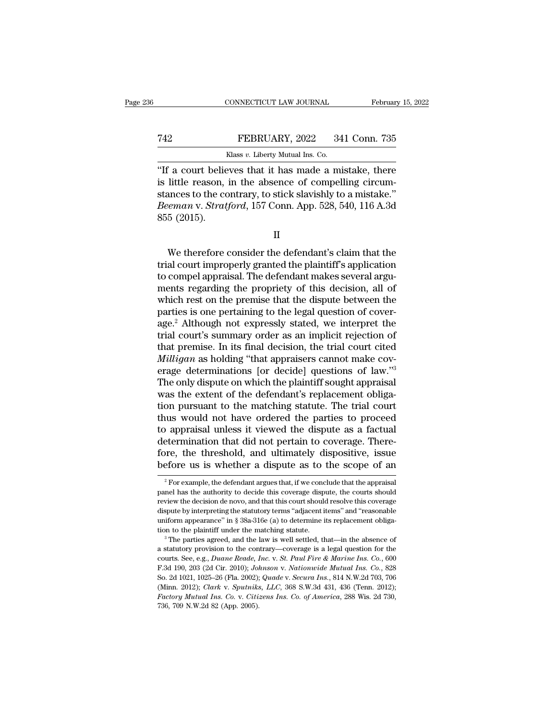## EXECUTE CONNECTICUT LAW JOURNAL February 15, 2022<br>
FEBRUARY, 2022 341 Conn. 735<br>
Klass v. Liberty Mutual Ins. Co. CONNECTICUT LAW JOURNAL Februar<br>
T42 FEBRUARY, 2022 341 Conn. 735<br>
Klass *v.* Liberty Mutual Ins. Co.<br>
"If a court believes that it has made a mistake, there

CONNECTICUT LAW JOURNAL February 15, 2022<br>
T42 FEBRUARY, 2022 341 Conn. 735<br>
Klass v. Liberty Mutual Ins. Co.<br>
"If a court believes that it has made a mistake, there<br>
is little reason, in the absence of compelling circum-T42 FEBRUARY, 2022 341 Conn. 735<br>
Klass v. Liberty Mutual Ins. Co.<br>
"If a court believes that it has made a mistake, there<br>
is little reason, in the absence of compelling circum-<br>
stances to the contrary, to stick slavishl Term of the contrary,  $2022$  and Conn. 735<br>
stances to the court believes that it has made a mistake, there<br>
is little reason, in the absence of compelling circum-<br>
stances to the contrary, to stick slavishly to a mistake **FEBRUARY**, 2022 341 Conn. 735<br> **EXECUARY**, 2022 341 Conn. 735<br> **IF a court believes that it has made a mistake**, there<br>
is little reason, in the absence of compelling circum-<br>
stances to the contrary, to stick slavishly t Fig. 1.1 The Court belies is little reason, stances to the contract of the contract of the state of the state of the state of the state of the state of the state of the state of the state of the state of the state of the s little reason, in the absence of compelling circum-<br>
incres to the contrary, to stick slavishly to a mistake."<br> *eman* v. *Stratford*, 157 Conn. App. 528, 540, 116 A.3d<br>
5 (2015).<br>
II<br>
We therefore consider the defendant's

II

stances to the contrary, to stick slavishly to a mistake."<br> *Beeman v. Stratford*, 157 Conn. App. 528, 540, 116 A.3d<br>
855 (2015).<br>
II<br>
We therefore consider the defendant's claim that the<br>
trial court improperly granted th Beeman v. Stratford, 157 Conn. App. 528, 540, 116 A.3d<br>855 (2015).<br>II<br>We therefore consider the defendant's claim that the<br>trial court improperly granted the plaintiff's application<br>to compel appraisal. The defendant makes Menter the defendant's claim that the<br>we therefore consider the defendant's claim that the<br>trial court improperly granted the plaintiff's application<br>to compel appraisal. The defendant makes several argu-<br>ments regarding t II<br>We therefore consider the defendant's claim that the<br>trial court improperly granted the plaintiff's application<br>to compel appraisal. The defendant makes several argu-<br>ments regarding the propriety of this decision, all We therefore consider the defendant's claim that the<br>trial court improperly granted the plaintiff's application<br>to compel appraisal. The defendant makes several argu-<br>ments regarding the propriety of this decision, all of<br> We therefore consider the defendant's claim that the<br>trial court improperly granted the plaintiff's application<br>to compel appraisal. The defendant makes several argu-<br>ments regarding the propriety of this decision, all of<br> trial court improperly granted the plaintiff's application<br>to compel appraisal. The defendant makes several argu-<br>ments regarding the propriety of this decision, all of<br>which rest on the premise that the dispute between th to compel appraisal. The defendant makes several arguments regarding the propriety of this decision, all of which rest on the premise that the dispute between the parties is one pertaining to the legal question of coverage ments regarding the propriety of this decision, all of which rest on the premise that the dispute between the parties is one pertaining to the legal question of coverage.<sup>2</sup> Although not expressly stated, we interpret the which rest on the premise that the dispute between the<br>parties is one pertaining to the legal question of cover-<br>age.<sup>2</sup> Although not expressly stated, we interpret the<br>trial court's summary order as an implicit rejection parties is one pertaining to the legal question of cover-<br>age.<sup>2</sup> Although not expressly stated, we interpret the<br>trial court's summary order as an implicit rejection of<br>that premise. In its final decision, the trial court age.<sup>2</sup> Although not expressly stated, we interpret the trial court's summary order as an implicit rejection of that premise. In its final decision, the trial court cited *Milligan* as holding "that appraisers cannot make trial court's summary order as an implicit rejection of<br>that premise. In its final decision, the trial court cited<br>*Milligan* as holding "that appraisers cannot make cov-<br>erage determinations [or decide] questions of law." that premise. In its final decision, the trial court cited *Milligan* as holding "that appraisers cannot make coverage determinations [or decide] questions of law."<sup>3</sup><br>The only dispute on which the plaintiff sought apprais Milligan as holding "that appraisers cannot make coverage determinations [or decide] questions of law."<sup>3</sup><br>The only dispute on which the plaintiff sought appraisal<br>was the extent of the defendant's replacement obliga-<br>tion erage determinations [or decide] questions of law."<sup>3</sup><br>The only dispute on which the plaintiff sought appraisal<br>was the extent of the defendant's replacement obliga-<br>tion pursuant to the matching statute. The trial court<br>t The only dispute on which the plaintiff sought appraisal<br>was the extent of the defendant's replacement obliga-<br>tion pursuant to the matching statute. The trial court<br>thus would not have ordered the parties to proceed<br>to ap was the extent of the defendant's replacement obligation pursuant to the matching statute. The trial court thus would not have ordered the parties to proceed to appraisal unless it viewed the dispute as a factual determin 2 For example, the defendant argues that, if we conclude that the appraisal argues that, if we conclude that the appraisal  $\frac{2}{3}$  For example, the defendant argues that, if we conclude that the appraisal are has the au determination that did not pertain to coverage. Therefore, the threshold, and ultimately dispositive, issue before us is whether a dispute as to the scope of an  $\frac{1}{2}$  For example, the defendant argues that, if we conc

fore, the threshold, and ultimately dispositive, issue<br>before us is whether a dispute as to the scope of an<br> $\frac{1}{2}$  For example, the defendant argues that, if we conclude that the appraisal<br>panel has the authority to de before us is whether a dispute as to the scope of an  $\frac{1}{2}$  For example, the defendant argues that, if we conclude that the appraisal panel has the authority to decide this coverage dispute, the courts should review th  $^2$  For example, the defendant argues that, if we conclude that the appraisal panel has the authority to decide this coverage dispute, the courts should review the decision de novo, and that this court should resolve thi <sup>2</sup> For example, the defendant argues that, if we conclude that the appraisal panel has the authority to decide this coverage dispute, the courts should review the decision de novo, and that this court should resolve this review the decision de novo, and that this court should resolve this coverage dispute by interpreting the statutory terms "adjacent items" and "reasonable uniform appearance" in § 38a-316e (a) to determine its replacement

courts. See, e.g., *Duane Reade, Inc.* v. *St. Paul Fire & Marine Ins. Co.*, 600<br>F.3d 190, 203 (201) *Control appearance* in § 38a-316e (a) to determine its replacement obliga-<br>tion to the plaintiff under the matching st Example by mearance" in § 38a-316e (a) to determine its replacement obligation to the plaintiff under the matching statute.<br><sup>3</sup> The parties agreed, and the law is well settled, that—in the absence of a statutory provision tion to the plaintiff under the matching statute.<br><sup>3</sup> The parties agreed, and the law is well settled, that—in the absence of<br>a statutory provision to the contrary—coverage is a legal question for the<br>courts. See, e.g., *D* <sup>3</sup> The parties agreed, and the law is well settled, that—in the absence of a statutory provision to the contrary—coverage is a legal question for the courts. See, e.g., *Duane Reade, Inc. v. St. Paul Fire & Marine Ins. Co Factory provision to the contrary—coverage is a legal question for the courts. See, e.g., Duane Reade, Inc. v. St. Paul Fire & Marine Ins. Co., 600 F.3d 190, 203 (2d Cir. 2010); Johnson v. Nationwide Mutual Ins. Co., 828* courts. See, e.g., *Duane Reade, Inc. v. St. Paul Fire & Marine Ins. Co.*, 600 F.3d 190, 203 (2d Cir. 2010); *Johnson v. Nationwide Mutual Ins. Co.*, 828 So. 2d 1021, 1025–26 (Fla. 2002); *Quade v. Secura Ins.*, 814 N.W.2d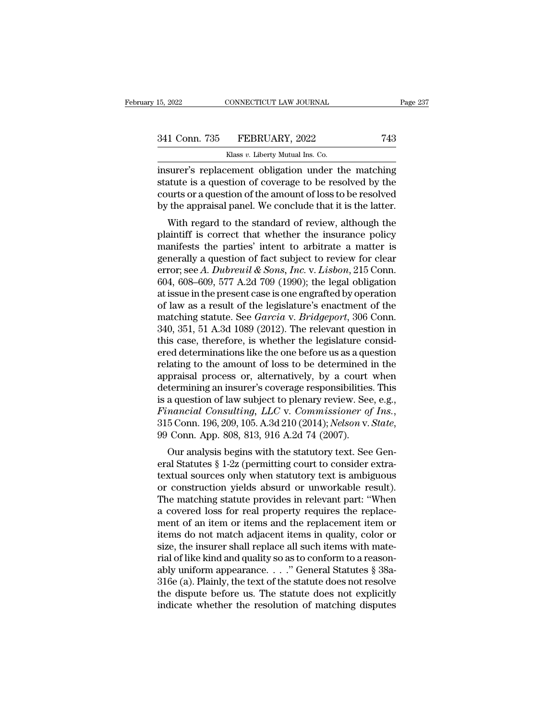| 15, 2022      | CONNECTICUT LAW JOURNAL          | Page 237 |
|---------------|----------------------------------|----------|
| 341 Conn. 735 | FEBRUARY, 2022                   | 743      |
|               | Klass v. Liberty Mutual Ins. Co. |          |

15, 2022 CONNECTICUT LAW JOURNAL<br>
341 Conn. 735 FEBRUARY, 2022 743<br>
Klass *v.* Liberty Mutual Ins. Co.<br>
insurer's replacement obligation under the matching 15, 2022 CONNECTICUT LAW JOURNAL Page 237<br>
341 Conn. 735 FEBRUARY, 2022 743<br>
Klass v. Liberty Mutual Ins. Co.<br>
insurer's replacement obligation under the matching<br>
statute is a question of coverage to be resolved by the<br>
c 341 Conn. 735 FEBRUARY, 2022 743<br>
Klass v. Liberty Mutual Ins. Co.<br>
insurer's replacement obligation under the matching<br>
statute is a question of coverage to be resolved by the<br>
courts or a question of the amount of loss t 341 Conn. 735 FEBRUARY, 2022 743<br>
Klass v. Liberty Mutual Ins. Co.<br>
insurer's replacement obligation under the matching<br>
statute is a question of coverage to be resolved by the<br>
courts or a question of the amount of loss 341 Conn. 735 FEBRUARY, 2022 743<br>
Klass v. Liberty Mutual Ins. Co.<br>
insurer's replacement obligation under the matching<br>
statute is a question of coverage to be resolved by the<br>
courts or a question of the amount of loss Klass  $v$ . Liberty Mutual Ins. Co.<br>
surer's replacement obligation under the matching<br>
atute is a question of coverage to be resolved by the<br>
urts or a question of the amount of loss to be resolved<br>
the appraisal panel. W insurer's replacement obligation under the matching<br>statute is a question of coverage to be resolved by the<br>courts or a question of the amount of loss to be resolved<br>by the appraisal panel. We conclude that it is the latte

msurer's replacement obigation under the matching<br>statute is a question of coverage to be resolved by the<br>courts or a question of the amount of loss to be resolved<br>by the appraisal panel. We conclude that it is the latter statute is a question of coverage to be resolved by the<br>courts or a question of the amount of loss to be resolved<br>by the appraisal panel. We conclude that it is the latter.<br>With regard to the standard of review, although error; see *A. Dubreuil & Sons, Inc.* v. *Lisbon*, 215 Conn.<br>604, 608–609, 577 A.2d 709 (1990); the leader of seview and the plaintiff is correct that whether the insurance policy<br>manifests the parties' intent to arbitrate by the appraisal panel. We conclude that it is the latter.<br>
With regard to the standard of review, although the<br>
plaintiff is correct that whether the insurance policy<br>
manifests the parties' intent to arbitrate a matter With regard to the standard of review, although the plaintiff is correct that whether the insurance policy manifests the parties' intent to arbitrate a matter is generally a question of fact subject to review for clear er plaintiff is correct that whether the insurance policy<br>manifests the parties' intent to arbitrate a matter is<br>generally a question of fact subject to review for clear<br>error; see A. Dubreuil & Sons, Inc. v. Lisbon, 215 Con manifests the parties' intent to arbitrate a matter is<br>generally a question of fact subject to review for clear<br>error; see *A. Dubreuil & Sons, Inc.* v. *Lisbon*, 215 Conn.<br>604, 608–609, 577 A.2d 709 (1990); the legal obli generally a question of fact subject to review for clear<br>error; see A. Dubreuil & Sons, Inc. v. Lisbon, 215 Conn.<br>604, 608–609, 577 A.2d 709 (1990); the legal obligation<br>at issue in the present case is one engrafted by ope error; see A. Dubreuil & Sons, Inc. v. Lisbon, 215 Conn.<br>604, 608–609, 577 A.2d 709 (1990); the legal obligation<br>at issue in the present case is one engrafted by operation<br>of law as a result of the legislature's enactment 604, 608–609, 577 A.2d 709 (1990); the legal obligation<br>at issue in the present case is one engrafted by operation<br>of law as a result of the legislature's enactment of the<br>matching statute. See *Garcia* v. *Bridgeport*, 3 at issue in the present case is one engrafted by operation<br>of law as a result of the legislature's enactment of the<br>matching statute. See *Garcia* v. *Bridgeport*, 306 Conn.<br>340, 351, 51 A.3d 1089 (2012). The relevant ques of law as a result of the legislature's enactment of the<br>matching statute. See *Garcia* v. *Bridgeport*, 306 Conn.<br>340, 351, 51 A.3d 1089 (2012). The relevant question in<br>this case, therefore, is whether the legislature co matching statute. See *Garcia* v. *Bridgeport*, 306 Conn.<br>340, 351, 51 A.3d 1089 (2012). The relevant question in<br>this case, therefore, is whether the legislature consid-<br>ered determinations like the one before us as a que 340, 351, 51 A.3d 1089 (2012). The relevant question in<br>this case, therefore, is whether the legislature consid-<br>ered determinations like the one before us as a question<br>relating to the amount of loss to be determined in *Financial Considered determinations like the one before us as a question relating to the amount of loss to be determined in the appraisal process or, alternatively, by a court when determining an insurer's coverage respon* praisar process or, atternatively, by a court when<br>termining an insurer's coverage responsibilities. This<br>a question of law subject to plenary review. See, e.g.,<br>*nancial Consulting, LLC* v. *Commissioner of Ins.*,<br>5 Conn. determining an insular s coverage responsibilities. This<br>is a question of law subject to plenary review. See, e.g.,<br>*Financial Consulting, LLC* v. *Commissioner of Ins.*,<br>315 Conn. 196, 209, 105. A.3d 210 (2014); *Nelson v* 

is a question of faw subject to pienary feview. See, e.g.,<br>Financial Consulting, LLC v. Commissioner of Ins.,<br>315 Conn. 196, 209, 105. A.3d 210 (2014); Nelson v. State,<br>99 Conn. App. 808, 813, 916 A.2d 74 (2007).<br>Our analy *Friancial Constituting, EEC v. Commissioner bj 1ns.,*<br>315 Conn. 196, 209, 105. A.3d 210 (2014); *Nelson v. State,*<br>99 Conn. App. 808, 813, 916 A.2d 74 (2007).<br>Our analysis begins with the statutory text. See Gen-<br>eral Sta  $515$  Collit. 150, 205, 105. A.5d 210 (2014), Netson v. State,<br>99 Conn. App. 808, 813, 916 A.2d 74 (2007).<br>Our analysis begins with the statutory text. See General Statutes § 1-2z (permitting court to consider extra-<br>text by Collichtrophyton, 815, 910 A.2d 74 (2007).<br>
Our analysis begins with the statutory text. See General Statutes  $\S 1-2z$  (permitting court to consider extra-<br>
textual sources only when statutory text is ambiguous<br>
or con Our analysis begins with the statutory text. See General Statutes § 1-2z (permitting court to consider extra-<br>textual sources only when statutory text is ambiguous<br>or construction yields absurd or unworkable result).<br>The m eral Statutes § 1-2z (permitting court to consider extra-<br>textual sources only when statutory text is ambiguous<br>or construction yields absurd or unworkable result).<br>The matching statute provides in relevant part: "When<br>a c textual sources only when statutory text is ambiguous<br>or construction yields absurd or unworkable result).<br>The matching statute provides in relevant part: "When<br>a covered loss for real property requires the replace-<br>ment o or construction yields absurd or unworkable result).<br>The matching statute provides in relevant part: "When<br>a covered loss for real property requires the replace-<br>ment of an item or items and the replacement item or<br>items The matching statute provides in relevant part: "When<br>a covered loss for real property requires the replace-<br>ment of an item or items and the replacement item or<br>items do not match adjacent items in quality, color or<br>size a covered loss for real property requires the replacement of an item or items and the replacement item or items do not match adjacent items in quality, color or size, the insurer shall replace all such items with material ment of an item or items and the replacement item or<br>items do not match adjacent items in quality, color or<br>size, the insurer shall replace all such items with mate-<br>rial of like kind and quality so as to conform to a reas items do not match adjacent items in quality, color or size, the insurer shall replace all such items with mate-<br>rial of like kind and quality so as to conform to a reason-<br>ably uniform appearance...." General Statutes §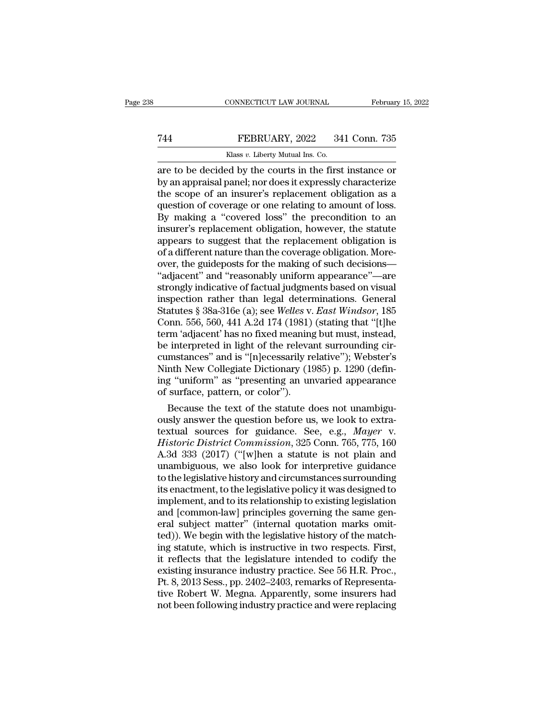## EXECUTE CONNECTICUT LAW JOURNAL February 15, 2022<br>
Tas FEBRUARY, 2022 341 Conn. 735<br>
Klass v. Liberty Mutual Ins. Co. CONNECTICUT LAW JOURNAL<br>FEBRUARY, 2022 34<br>Klass *v.* Liberty Mutual Ins. Co.<br>Pd by the courts in the first

CONNECTICUT LAW JOURNAL February 15, 2022<br>
FEBRUARY, 2022 341 Conn. 735<br>
Klass v. Liberty Mutual Ins. Co.<br>
The decided by the courts in the first instance or<br>
by an appraisal panel; nor does it expressly characterize<br>
the by an appraisal panel; nor does it expressly characterize Term of an insurer's replacement obligation to an inverse of an insurer's replacement obligation as a question of coverage or one relating to amount of loss. Term of Coverage or one relating to an insure  $\frac{735}{100}$  Klass v. Liberty Mutual Ins. Co.<br>
The courts in the first instance or by an appraisal panel; nor does it expressly characterize the scope of an insurer's replace EXPLANCE SERVICE SAT COMMATES<br>
THE COVERT ON THE CONSUMIT SERVICE THE REAL ANDREW THE SCREEN OF AN appraisal panel; nor does it expressly characterize<br>
the scope of an insurer's replacement obligation as a question of cov Klass v. Liberty Mutual Ins. Co.<br>
are to be decided by the courts in the first instance or<br>
by an appraisal panel; nor does it expressly characterize<br>
the scope of an insurer's replacement obligation as a<br>
question of cov are to be decided by the courts in the first instance or<br>by an appraisal panel; nor does it expressly characterize<br>the scope of an insurer's replacement obligation as a<br>question of coverage or one relating to amount of los by an appraisal panel; nor does it expressly characterize<br>the scope of an insurer's replacement obligation as a<br>question of coverage or one relating to amount of loss.<br>By making a "covered loss" the precondition to an<br>insu the scope of an insurer's replacement obligation as a<br>question of coverage or one relating to amount of loss.<br>By making a "covered loss" the precondition to an<br>insurer's replacement obligation, however, the statute<br>appears question of coverage or one relating to amount of loss.<br>By making a "covered loss" the precondition to an<br>insurer's replacement obligation, however, the statute<br>appears to suggest that the replacement obligation is<br>of a di By making a "covered loss" the precondition to an<br>insurer's replacement obligation, however, the statute<br>appears to suggest that the replacement obligation is<br>of a different nature than the coverage obligation. More-<br>over insurer's replacement obligation, however, the statute<br>appears to suggest that the replacement obligation is<br>of a different nature than the coverage obligation. More-<br>over, the guideposts for the making of such decisions appears to suggest that the replacement obligation is<br>of a different nature than the coverage obligation. More-<br>over, the guideposts for the making of such decisions—<br>"adjacent" and "reasonably uniform appearance"—are<br>stro of a different nature than the coverage obligation. More-<br>over, the guideposts for the making of such decisions—<br>"adjacent" and "reasonably uniform appearance"—are<br>strongly indicative of factual judgments based on visual<br>i over, the guideposts for the making of such decisions—<br>
"adjacent" and "reasonably uniform appearance"—are<br>
strongly indicative of factual judgments based on visual<br>
inspection rather than legal determinations. General<br>
St "adjacent" and "reasonably uniform appearance"—are<br>strongly indicative of factual judgments based on visual<br>inspection rather than legal determinations. General<br>Statutes § 38a-316e (a); see *Welles v. East Windsor*, 185<br>Co strongly indicative of factual judgments based on visual<br>inspection rather than legal determinations. General<br>Statutes § 38a-316e (a); see *Welles v. East Windsor*, 185<br>Conn. 556, 560, 441 A.2d 174 (1981) (stating that "[t inspection rather than legal determinations. General<br>Statutes § 38a-316e (a); see *Welles v. East Windsor*, 185<br>Conn. 556, 560, 441 A.2d 174 (1981) (stating that "[t]he<br>term 'adjacent' has no fixed meaning but must, instea Statutes § 38a-316e (a); see Welles v. *East Windsor*, 185<br>Conn. 556, 560, 441 A.2d 174 (1981) (stating that "[t]he<br>term 'adjacent' has no fixed meaning but must, instead,<br>be interpreted in light of the relevant surroundin Conn. 556, 560, 441 A.2d 174 (1981)<br>term 'adjacent' has no fixed meaning<br>be interpreted in light of the releva<br>cumstances" and is "[n]ecessarily re<br>Ninth New Collegiate Dictionary (19<br>ing "uniform" as "presenting an un<br>of rm 'adjacent' has no fixed meaning but must, instead,<br>
interpreted in light of the relevant surrounding cir-<br>
mstances" and is "[n]ecessarily relative"); Webster's<br>
nth New Collegiate Dictionary (1985) p. 1290 (defin-<br>
g be interpreted in light of the relevant surrounding circumstances" and is "[n]ecessarily relative"); Webster's<br>Ninth New Collegiate Dictionary (1985) p. 1290 (defin-<br>ing "uniform" as "presenting an unvaried appearance<br>of s

cumstances" and is "[n]ecessarily relative"); webster's<br>Ninth New Collegiate Dictionary (1985) p. 1290 (defin-<br>ing "uniform" as "presenting an unvaried appearance<br>of surface, pattern, or color").<br>Because the text of the st Ninth New Collegiate Dictionary (1985) p. 1290 (defin-<br>ing "uniform" as "presenting an unvaried appearance<br>of surface, pattern, or color").<br>Because the text of the statute does not unambigu-<br>ously answer the question befor ing "uniform" as "presenting an unvaried appearance<br>of surface, pattern, or color").<br>Because the text of the statute does not unambigu-<br>ously answer the question before us, we look to extra-<br>textual sources for guidance. S or surrace, pattern, or color").<br>
Because the text of the statute does not unambiguously answer the question before us, we look to extra-<br>
textual sources for guidance. See, e.g., *Mayer* v.<br>
Historic District Commission, Because the text of the statute does not unambiguously answer the question before us, we look to extra-<br>textual sources for guidance. See, e.g., *Mayer* v.<br>*Historic District Commission*, 325 Conn. 765, 775, 160<br>A.3d 333 ( ously answer the question before us, we look to extra-<br>textual sources for guidance. See, e.g., *Mayer* v.<br>*Historic District Commission*, 325 Conn. 765, 775, 160<br>A.3d 333 (2017) ("[w]hen a statute is not plain and<br>unambig textual sources for guidance. See, e.g., *Mayer* v.<br>*Historic District Commission*, 325 Conn. 765, 775, 160<br>A.3d 333 (2017) ("[w]hen a statute is not plain and<br>unambiguous, we also look for interpretive guidance<br>to the leg Historic District Commission, 325 Conn. 765, 775, 160<br>A.3d 333 (2017) ("[w]hen a statute is not plain and<br>unambiguous, we also look for interpretive guidance<br>to the legislative history and circumstances surrounding<br>its ena A.3d 333 (2017) ("[w]hen a statute is not plain and<br>unambiguous, we also look for interpretive guidance<br>to the legislative history and circumstances surrounding<br>its enactment, to the legislative policy it was designed to<br>i unambiguous, we also look for interpretive guidance<br>to the legislative history and circumstances surrounding<br>its enactment, to the legislative policy it was designed to<br>implement, and to its relationship to existing legisl to the legislative history and circumstances surrounding<br>its enactment, to the legislative policy it was designed to<br>implement, and to its relationship to existing legislation<br>and [common-law] principles governing the same its enactment, to the legislative policy it was designed to<br>implement, and to its relationship to existing legislation<br>and [common-law] principles governing the same gen-<br>eral subject matter" (internal quotation marks omit implement, and to its relationship to existing legislation<br>and [common-law] principles governing the same gen-<br>eral subject matter" (internal quotation marks omit-<br>ted)). We begin with the legislative history of the matchand [common-law] principles governing the same general subject matter" (internal quotation marks omitted)). We begin with the legislative history of the matching statute, which is instructive in two respects. First, it ref eral subject matter" (internal quotation marks omit-<br>ted)). We begin with the legislative history of the match-<br>ing statute, which is instructive in two respects. First,<br>it reflects that the legislature intended to codify ted)). We begin with the legislative history of the matching statute, which is instructive in two respects. First, it reflects that the legislature intended to codify the existing insurance industry practice. See 56 H.R. P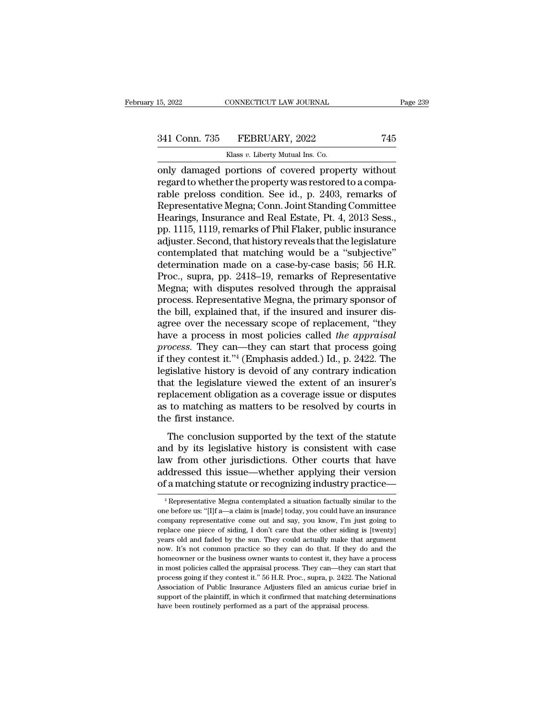## 15, 2022 CONNECTICUT LAW JOURNAL Page 239<br>341 Conn. 735 FEBRUARY, 2022 745<br>Klass v. Liberty Mutual Ins. Co.  $\begin{minipage}{0.9\linewidth} \vspace{1mm} \vspace{1mm} \vspace{1mm} \vspace{1mm} \vspace{1mm} \vspace{1mm} \vspace{1mm} \vspace{1mm} \vspace{1mm} \vspace{1mm} \vspace{1mm} \vspace{1mm} \vspace{1mm} \vspace{1mm} \vspace{1mm} \vspace{1mm} \vspace{1mm} \vspace{1mm} \vspace{1mm} \vspace{1mm} \vspace{1mm} \vspace{1mm} \vspace{1mm} \vspace{1mm} \vspace{1mm} \vspace{1mm} \vspace{1mm} \vspace{1mm} \vspace{1mm} \vspace{1$

only damaged portions of covered property without<br>
regard to whether the property was restored to a comparable proloss condition. See id. a 2403 remarks of coversion and property without regard to whether the property was 341 Conn. 735 FEBRUARY, 2022 745<br>Klass v. Liberty Mutual Ins. Co.<br>Only damaged portions of covered property without<br>regard to whether the property was restored to a compa-<br>rable preloss condition. See id., p. 2403, remarks 341 Conn. 735 FEBRUARY, 2022 745<br>
Klass v. Liberty Mutual Ins. Co.<br>
only damaged portions of covered property without<br>
regard to whether the property was restored to a compa-<br>
rable preloss condition. See id., p. 2403, re 341 Conn. 735 FEBRUARY, 2022 745<br>
Klass v. Liberty Mutual Ins. Co.<br>
only damaged portions of covered property without<br>
regard to whether the property was restored to a compa-<br>
rable preloss condition. See id., p. 2403, re Klass v. Liberty Mutual Ins. Co.<br>
Only damaged portions of covered property without<br>
regard to whether the property was restored to a compa-<br>
rable preloss condition. See id., p. 2403, remarks of<br>
Representative Megna; Con Klass v. Liberty Mutual Ins. Co.<br>
only damaged portions of covered property without<br>
regard to whether the property was restored to a compa-<br>
rable preloss condition. See id., p. 2403, remarks of<br>
Representative Megna; Con only damaged portions of covered property without<br>regard to whether the property was restored to a compa-<br>rable preloss condition. See id., p. 2403, remarks of<br>Representative Megna; Conn. Joint Standing Committee<br>Hearings, regard to whether the property was restored to a comparable preloss condition. See id., p. 2403, remarks of Representative Megna; Conn. Joint Standing Committee Hearings, Insurance and Real Estate, Pt. 4, 2013 Sess., pp. 1 rable preloss condition. See id., p. 2403, remarks of<br>Representative Megna; Conn. Joint Standing Committee<br>Hearings, Insurance and Real Estate, Pt. 4, 2013 Sess.,<br>pp. 1115, 1119, remarks of Phil Flaker, public insurance<br>ad Representative Megna; Conn. Joint Standing Committee<br>Hearings, Insurance and Real Estate, Pt. 4, 2013 Sess.,<br>pp. 1115, 1119, remarks of Phil Flaker, public insurance<br>adjuster. Second, that history reveals that the legislat Hearings, Insurance and Real Estate, Pt. 4, 2013 Sess.,<br>pp. 1115, 1119, remarks of Phil Flaker, public insurance<br>adjuster. Second, that history reveals that the legislature<br>contemplated that matching would be a "subjective pp. 1115, 1119, remarks of Phil Flaker, public insurance<br>adjuster. Second, that history reveals that the legislature<br>contemplated that matching would be a "subjective"<br>determination made on a case-by-case basis; 56 H.R.<br>Pr adjuster. Second, that history reveals that the legislature<br>contemplated that matching would be a "subjective"<br>determination made on a case-by-case basis; 56 H.R.<br>Proc., supra, pp. 2418–19, remarks of Representative<br>Megna; contemplated that matching would be a "subjective"<br>determination made on a case-by-case basis; 56 H.R.<br>Proc., supra, pp. 2418–19, remarks of Representative<br>Megna; with disputes resolved through the appraisal<br>process. Repre determination made on a case-by-case basis; 56 H.R.<br>Proc., supra, pp. 2418–19, remarks of Representative<br>Megna; with disputes resolved through the appraisal<br>process. Representative Megna, the primary sponsor of<br>the bill, e Proc., supra, pp. 2418–19, remarks of Representative<br>Megna; with disputes resolved through the appraisal<br>process. Representative Megna, the primary sponsor of<br>the bill, explained that, if the insured and insurer dis-<br>agree Megna; with disputes resolved through the appraisal process. Representative Megna, the primary sponsor of the bill, explained that, if the insured and insurer disagree over the necessary scope of replacement, "they have a process. Representative Megna, the primary sponsor of<br>the bill, explained that, if the insured and insurer dis-<br>agree over the necessary scope of replacement, "they<br>have a process in most policies called *the appraisal*<br>*p* the bill, explained that, if the insured and insurer dis-<br>agree over the necessary scope of replacement, "they<br>have a process in most policies called *the appraisal*<br>process. They can—they can start that process going<br>if agree over the necessary scope of replacement, "they<br>have a process in most policies called *the appraisal*<br>process. They can—they can start that process going<br>if they contest it."<sup>4</sup> (Emphasis added.) Id., p. 2422. The<br>le have a process in most policies called *the appraisal* process. They can—they can start that process going if they contest it."<sup>4</sup> (Emphasis added.) Id., p. 2422. The legislative history is devoid of any contrary indicati process. They can—th<br>if they contest it."<sup>4</sup> (En<br>legislative history is de<br>that the legislature vie<br>replacement obligation<br>as to matching as mat<br>the first instance.<br>The conclusion supp gislative history is devoid of any contrary indication<br>at the legislature viewed the extent of an insurer's<br>placement obligation as a coverage issue or disputes<br>to matching as matters to be resolved by courts in<br>e first i registance mistory is devoted of any contrary indication<br>that the legislature viewed the extent of an insurer's<br>replacement obligation as a coverage issue or disputes<br>as to matching as matters to be resolved by courts in<br>t

replacement obligation as a coverage issue or disputes<br>as to matching as matters to be resolved by courts in<br>the first instance.<br>The conclusion supported by the text of the statute<br>and by its legislative history is consist replacement obligation as a coverage issue of displaces<br>as to matching as matters to be resolved by courts in<br>the first instance.<br>The conclusion supported by the text of the statute<br>and by its legislative history is consis The conclusion supported by the text of the statute<br>and by its legislative history is consistent with case<br>law from other jurisdictions. Other courts that have<br>addressed this issue—whether applying their version<br>of a match and by its legislative history is consistent with case<br>law from other jurisdictions. Other courts that have<br>addressed this issue—whether applying their version<br>of a matching statute or recognizing industry practice—<br> $\frac{4$ law from other jurisdictions. Other courts that have<br>addressed this issue—whether applying their version<br>of a matching statute or recognizing industry practice—<br><sup>4</sup> Representative Megna contemplated a situation factually s

addressed this issue—whether applying their version<br>of a matching statute or recognizing industry practice—<br><sup>4</sup>Representative Megna contemplated a situation factually similar to the<br>one before us: "[I]f a—a claim is [made] of a matching statute or recognizing industry practice—<br>
<sup>4</sup> Representative Megna contemplated a situation factually similar to the<br>
one before us: "[I]f a—a claim is [made] today, you could have an insurance<br>
company repr or a matching statute of recognizing mutstry practice—<br>
<sup>4</sup> Representative Megna contemplated a situation factually similar to the<br>
one before us: "[I]f a—a claim is [made] today, you could have an insurance<br>
company repre <sup>4</sup> Representative Megna contemplated a situation factually similar to the one before us: "[I]f  $a$ —a claim is [made] today, you could have an insurance company representative come out and say, you know, I'm just going to one before us: "[I]f a—a claim is [made] today, you could have an insurance company representative come out and say, you know, I'm just going to replace one piece of siding, I don't care that the other siding is [twenty] y company representative come out and say, you know, I'm just going to replace one piece of siding, I don't care that the other siding is [twenty] years old and faded by the sun. They could actually make that argument now. I replace one piece of siding, I don't care that the other siding is [twenty] years old and faded by the sun. They could actually make that argument now. It's not common practice so they can do that. If they do and the homeo repars old and faded by the sun. They could actually make that argument now. It's not common practice so they can do that. If they do and the homeowner or the business owner wants to contest it, they have a process in most now. It's not common practice so they can do that. If they do and the homeowner or the business owner wants to contest it, they have a process in most policies called the appraisal process. They can—they can start that pro in most policies called the appraisal process. They can—they can start that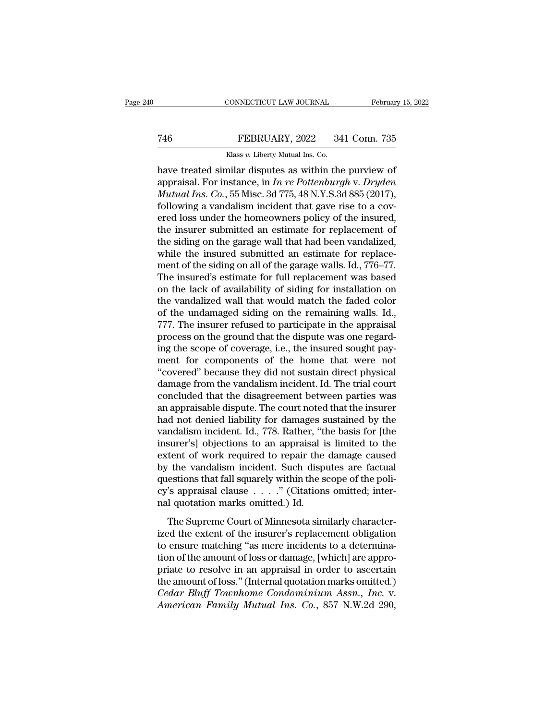## CONNECTICUT LAW JOURNAL February 15, 2022<br>
T46 FEBRUARY, 2022 341 Conn. 735<br>
Klass v. Liberty Mutual Ins. Co. EONNECTICUT LAW JOURNAL<br>FEBRUARY, 2022 34<br>Klass *v.* Liberty Mutual Ins. Co.<br>milar disputes as within the

CONNECTICUT LAW JOURNAL February 15, 202<br>
T46 FEBRUARY, 2022 341 Conn. 735<br>
Klass v. Liberty Mutual Ins. Co.<br>
have treated similar disputes as within the purview of<br>
appraisal. For instance, in In re Pottenburgh v. Dryden<br> FEBRUARY, 2022 341 Conn. 735<br>
Klass v. Liberty Mutual Ins. Co.<br>
have treated similar disputes as within the purview of<br>
appraisal. For instance, in *In re Pottenburgh* v. *Dryden*<br> *Mutual Ins. Co.*, 55 Misc. 3d 775, 48 N. *Mutual Ins. Co.*<br> *Mass v. Liberty Mutual Ins. Co.*<br> *Mass v. Liberty Mutual Ins. Co.*<br> *Mass v. Liberty Mutual Ins. Co.*<br> *Mutual Ins. Co.*, 55 Misc. 3d 775, 48 N.Y.S.3d 885 (2017),<br> *Mutual Ins. Co.*, 55 Misc. 3d 775, 4 FEBRUARY, 2022 341 Conn. 735<br>
Klass v. Liberty Mutual Ins. Co.<br>
have treated similar disputes as within the purview of<br>
appraisal. For instance, in *In re Pottenburgh v. Dryden*<br> *Mutual Ins. Co.*, 55 Misc. 3d 775, 48 N.Y Example 1222 Fig. 2.1 Fig. 2.1 Fig. 2.1 Fig. 2.1 Fig. 2.1 Fig. 2.1 For instance, in *In re Pottenburgh v. Dryden Mutual Ins. Co.*, 55 Misc. 3d 775, 48 N.Y.S.3d 885 (2017), following a vandalism incident that gave rise to Klass v. Liberty Mutual Ins. Co.<br>
have treated similar disputes as within the purview of<br>
appraisal. For instance, in *In re Pottenburgh* v. *Dryden*<br> *Mutual Ins. Co.*, 55 Misc. 3d 775, 48 N.Y.S.3d 885 (2017),<br>
following have treated similar disputes as within the purview of<br>appraisal. For instance, in *In re Pottenburgh v. Dryden*<br>*Mutual Ins. Co.*, 55 Misc. 3d 775, 48 N.Y.S.3d 885 (2017),<br>following a vandalism incident that gave rise to appraisal. For instance, in *In re Pottenburgh v. Dryden Mutual Ins.* Co., 55 Misc. 3d 775, 48 N.Y.S.3d 885 (2017), following a vandalism incident that gave rise to a covered loss under the homeowners policy of the insure *Mutual Ins. Co.*, 55 Misc. 3d 775, 48 N.Y.S.3d 885 (2017), following a vandalism incident that gave rise to a covered loss under the homeowners policy of the insured, the insurer submitted an estimate for replacement of t following a vandalism incident that gave rise to a covered loss under the homeowners policy of the insured,<br>the insurer submitted an estimate for replacement of<br>the siding on the garage wall that had been vandalized,<br>while ered loss under the homeowners policy of the insured,<br>the insurer submitted an estimate for replacement of<br>the siding on the garage wall that had been vandalized,<br>while the insured submitted an estimate for replace-<br>ment o the insurer submitted an estimate for replacement of<br>the siding on the garage wall that had been vandalized,<br>while the insured submitted an estimate for replace-<br>ment of the siding on all of the garage walls. Id., 776–77.<br> the siding on the garage wall that had been vandalized,<br>while the insured submitted an estimate for replace-<br>ment of the siding on all of the garage walls. Id., 776–77.<br>The insured's estimate for full replacement was based while the insured submitted an estimate for replacement of the siding on all of the garage walls. Id., 776–77.<br>The insured's estimate for full replacement was based<br>on the lack of availability of siding for installation on ment of the siding on all of the garage walls. Id., 776–77.<br>The insured's estimate for full replacement was based<br>on the lack of availability of siding for installation on<br>the vandalized wall that would match the faded col The insured's estimate for full replacement was based<br>on the lack of availability of siding for installation on<br>the vandalized wall that would match the faded color<br>of the undamaged siding on the remaining walls. Id.,<br>777. on the lack of availability of siding for installation on<br>the vandalized wall that would match the faded color<br>of the undamaged siding on the remaining walls. Id.,<br>777. The insurer refused to participate in the appraisal<br>p the vandalized wall that would match the faded color<br>of the undamaged siding on the remaining walls. Id.,<br>777. The insurer refused to participate in the appraisal<br>process on the ground that the dispute was one regard-<br>ing of the undamaged siding on the remaining walls. Id.,<br>777. The insurer refused to participate in the appraisal<br>process on the ground that the dispute was one regard-<br>ing the scope of coverage, i.e., the insured sought pay-<br> 777. The insurer refused to participate in the appraisal process on the ground that the dispute was one regard-<br>ing the scope of coverage, i.e., the insured sought pay-<br>ment for components of the home that were not<br>"covere process on the ground that the dispute was one regard-<br>ing the scope of coverage, i.e., the insured sought pay-<br>ment for components of the home that were not<br>"covered" because they did not sustain direct physical<br>damage fr ing the scope of coverage, i.e., the insured sought payment for components of the home that were not "covered" because they did not sustain direct physical damage from the vandalism incident. Id. The trial court concluded ment for components of the home that were not<br>"covered" because they did not sustain direct physical<br>damage from the vandalism incident. Id. The trial court<br>concluded that the disagreement between parties was<br>an appraisabl "covered" because they did not sustain direct physical<br>damage from the vandalism incident. Id. The trial court<br>concluded that the disagreement between parties was<br>an appraisable dispute. The court noted that the insurer<br>ha damage from the vandalism incident. Id. The trial court<br>concluded that the disagreement between parties was<br>an appraisable dispute. The court noted that the insurer<br>had not denied liability for damages sustained by the<br>van concluded that the disagreement between parties was<br>an appraisable dispute. The court noted that the insurer<br>had not denied liability for damages sustained by the<br>vandalism incident. Id., 778. Rather, "the basis for [the<br>i an appraisable dispute. The court noted that the insurer<br>had not denied liability for damages sustained by the<br>vandalism incident. Id., 778. Rather, "the basis for [the<br>insurer's] objections to an appraisal is limited to had not denied liability for damages sustained by the vandalism incident. Id., 778. Rather, "the basis for [the insurer's] objections to an appraisal is limited to the extent of work required to repair the damage caused by vandalism incident. Id., 778. Rather, "tl<br>insurer's] objections to an appraisal i<br>extent of work required to repair the<br>by the vandalism incident. Such disp<br>questions that fall squarely within the s<br>cy's appraisal clause . The Supreme Court of Minnesota similarly character-<br>The vandalism incident. Such disputes are factual<br>estions that fall squarely within the scope of the poli-<br>
is appraisal clause  $\ldots$  ." (Citations omitted; inter-<br>
I qu by the vandalism incident. Such disputes are factual<br>questions that fall squarely within the scope of the poli-<br>cy's appraisal clause  $\ldots$ ." (Citations omitted; inter-<br>nal quotation marks omitted.) Id.<br>The Supreme Court

by the vandalism included back and displace are factored<br>questions that fall squarely within the scope of the poli-<br>cy's appraisal clause  $\ldots$ ." (Citations omitted; inter-<br>nal quotation marks omitted.) Id.<br>The Supreme Co  $\alpha$  is appraisal clause  $\ldots$ ." (Citations omitted; inter-<br>nal quotation marks omitted.) Id.<br>The Supreme Court of Minnesota similarly character-<br>ized the extent of the insurer's replacement obligation<br>to ensure matching priority is dependent on marks omitted.) Id.<br>
The Supreme Court of Minnesota similarly characterized the extent of the insurer's replacement obligation<br>
to ensure matching "as mere incidents to a determination of the amou The Supreme Court of Minnesota similarly characterized the extent of the insurer's replacement obligation<br>to ensure matching "as mere incidents to a determination of the amount of loss or damage, [which] are appro-<br>priate The Supreme Court of Minnesota similarly character-<br>ized the extent of the insurer's replacement obligation<br>to ensure matching "as mere incidents to a determina-<br>tion of the amount of loss or damage, [which] are appro-<br>pri ized the extent of the insurer's replacement obligation<br>to ensure matching "as mere incidents to a determina-<br>tion of the amount of loss or damage, [which] are appro-<br>priate to resolve in an appraisal in order to ascertain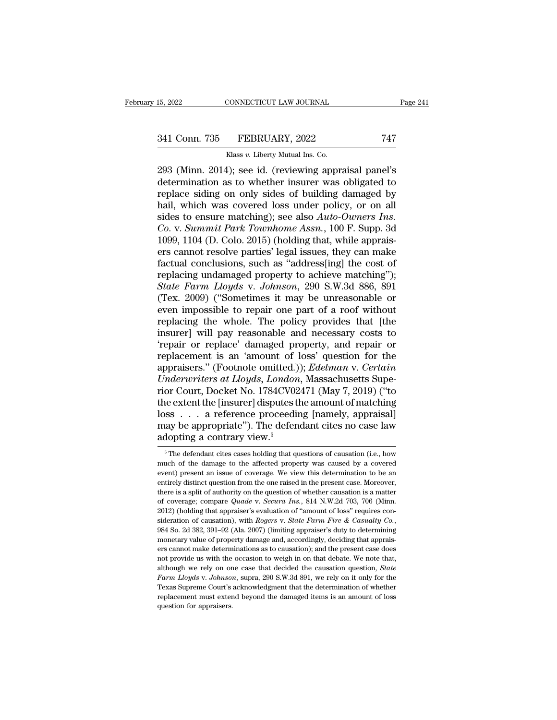## 15, 2022 CONNECTICUT LAW JOURNAL Page 241<br>341 Conn. 735 FEBRUARY, 2022 747<br>Klass v. Liberty Mutual Ins. Co. CONNECTICUT LAW JOURNAL<br>FEBRUARY, 2022<br>Klass *v.* Liberty Mutual Ins. Co.<br>4): see id. (reviewing appr

2022 CONNECTICUT LAW JOURNAL Page 241<br>
293 (Minn. 2014); see id. (reviewing appraisal panel's<br>
293 (Minn. 2014); see id. (reviewing appraisal panel's<br>
determination as to whether insurer was obligated to<br>
roplace siding on 341 Conn. 735 FEBRUARY, 2022 747<br>
Klass v. Liberty Mutual Ins. Co.<br>
293 (Minn. 2014); see id. (reviewing appraisal panel's<br>
determination as to whether insurer was obligated to<br>
replace siding on only sides of building dam 341 Conn. 735 FEBRUARY, 2022 747<br>
Klass v. Liberty Mutual Ins. Co.<br>
293 (Minn. 2014); see id. (reviewing appraisal panel's determination as to whether insurer was obligated to replace siding on only sides of building dama 341 Conn. 735 FEBRUARY, 2022 747<br>
Klass v. Liberty Mutual Ins. Co.<br>
293 (Minn. 2014); see id. (reviewing appraisal panel's<br>
determination as to whether insurer was obligated to<br>
replace siding on only sides of building da Klass *v*. Liberty Mutual Ins. Co.<br>
293 (Minn. 2014); see id. (reviewing appraisal panel's<br>
determination as to whether insurer was obligated to<br>
replace siding on only sides of building damaged by<br>
hail, which was covered *Co. Co. Co. Co. Co. Co. Co. Co. Co. Co. Co. Co. Co. Co. Co. Co. Co. Co. Co. Co. Co. Co. Co. Co. Co. Co. Co. Co. Co. Co. Co. Co. Co. Co. Co. Co. Co.* 293 (Minn. 2014); see id. (reviewing appraisal panel's<br>determination as to whether insurer was obligated to<br>replace siding on only sides of building damaged by<br>hail, which was covered loss under policy, or on all<br>sides to determination as to whether insurer was obligated to<br>replace siding on only sides of building damaged by<br>hail, which was covered loss under policy, or on all<br>sides to ensure matching); see also  $Auto-Owners$  Ins.<br>Co. v. Summit Pa replace siding on only sides of building damaged by<br>hail, which was covered loss under policy, or on all<br>sides to ensure matching); see also Auto-Owners Ins.<br>Co. v. Summit Park Townhome Assn., 100 F. Supp. 3d<br>1099, 1104 (D hail, which was covered loss under policy, or on all<br>sides to ensure matching); see also Auto-Owners Ins.<br>Co. v. Summit Park Townhome Assn., 100 F. Supp. 3d<br>1099, 1104 (D. Colo. 2015) (holding that, while apprais-<br>ers cann sides to ensure matching); see also *Auto-Owners Ins.*<br>*Co.* v. *Summit Park Townhome Assn.*, 100 F. Supp. 3d<br>1099, 1104 (D. Colo. 2015) (holding that, while apprais-<br>ers cannot resolve parties' legal issues, they can make Co. v. Summit Park Townhome Assn., 100 F. Supp. 3d<br>1099, 1104 (D. Colo. 2015) (holding that, while apprais-<br>ers cannot resolve parties' legal issues, they can make<br>factual conclusions, such as "address[ing] the cost of<br>rep 1099, 1104 (D. Colo. 2015) (holding that, while appraisers cannot resolve parties' legal issues, they can make factual conclusions, such as "address[ing] the cost of replacing undamaged property to achieve matching"); Sta ers cannot resolve parties' legal issues, they can make<br>factual conclusions, such as "address[ing] the cost of<br>replacing undamaged property to achieve matching");<br>*State Farm Lloyds* v. *Johnson*, 290 S.W.3d 886, 891<br>(Tex. factual conclusions, such as "address[ing] the cost of<br>replacing undamaged property to achieve matching");<br>*State Farm Lloyds v. Johnson*, 290 S.W.3d 886, 891<br>(Tex. 2009) ("Sometimes it may be unreasonable or<br>even impossib replacing undamaged property to achieve matching");<br>
State Farm Lloyds v. Johnson, 290 S.W.3d 886, 891<br>
(Tex. 2009) ("Sometimes it may be unreasonable or<br>
even impossible to repair one part of a roof without<br>
replacing the State Farm Lloyds v. Johnson, 290 S.W.3d 886, 891<br>(Tex. 2009) ("Sometimes it may be unreasonable or<br>even impossible to repair one part of a roof without<br>replacing the whole. The policy provides that [the<br>insurer] will pay (Tex. 2009) ("Sometimes it may be unreasonable or<br>even impossible to repair one part of a roof without<br>replacing the whole. The policy provides that [the<br>insurer] will pay reasonable and necessary costs to<br>'repair or repla even impossible to repair one part of a roof without<br>replacing the whole. The policy provides that [the<br>insurer] will pay reasonable and necessary costs to<br>'repair or replace' damaged property, and repair or<br>replacement is replacing the whole. The policy provides that [the<br>insurer] will pay reasonable and necessary costs to<br>'repair or replace 'damaged property, and repair or<br>replacement is an 'amount of loss' question for the<br>appraisers." (F insurer] will pay reasonable and necessary costs to<br>
"tepair or replace" damaged property, and repair or<br>
replacement is an 'amount of loss' question for the<br>
appraisers." (Footnote omitted.)); *Edelman v. Certain*<br>
Underw "repair or replace" damaged property, and repair or replacement is an "amount of loss" question for the appraisers." (Footnote omitted.)); *Edelman v. Certain Underwriters at Lloyds, London*, Massachusetts Superior Court, replacement is an 'amount of loss' question for the<br>appraisers." (Footnote omitted.)); *Edelman* v. *Certain*<br>Underwriters at Lloyds, London, Massachusetts Supe-<br>rior Court, Docket No. 1784CV02471 (May 7, 2019) ("to<br>the ex appraisers." (Footnote omitted.)<br>
Underwriters at Lloyds, London<br>
rior Court, Docket No. 1784CV02<br>
the extent the [insurer] disputes tl<br>
loss . . . a reference proceedin<br>
may be appropriate"). The defen-<br>
adopting a contra is extent the [insurer] disputes the amount of matching<br>ss  $\dots$  a reference proceeding [namely, appraisal]<br>ay be appropriate"). The defendant cites no case law<br>dopting a contrary view.<sup>5</sup><br> $\frac{5 \text{ The defendant cities cases holding that questions of causation (i.e., how}$ <br>uch of loss . . . . a reference proceeding [namely, appraisal]<br>may be appropriate"). The defendant cites no case law<br>adopting a contrary view.<sup>5</sup><br> $\frac{1}{\pi}$  The defendant cites cases holding that questions of causation (i.e., ho

may be appropriate"). The defendant cites no case law<br>adopting a contrary view.<sup>5</sup><br> $\frac{1}{\sqrt{2}}$  The defendant cites cases holding that questions of causation (i.e., how<br>much of the damage to the affected property was caus adopting a contrary view.<sup>5</sup><br>adopting a contrary view.<sup>5</sup><br> $\frac{1}{2}$  The defendant cites cases holding that questions of causation (i.e., how<br>much of the damage to the affected property was caused by a covered<br>event) prese The defendant cites cases holding that questions of causation (i.e., how much of the damage to the affected property was caused by a covered event) present an issue of coverage. We view this determination to be an entirel <sup>5</sup> The defendant cites cases holding that questions of causation (i.e., how much of the damage to the affected property was caused by a covered event) present an issue of coverage. We view this determination to be an ent much of the damage to the affected property was caused by a covered<br>event) present an issue of coverage. We view this determination to be an<br>entirely distinct question from the one raised in the present case. Moreover,<br>th sideration of causation from the one raised *in* and *Rogerschier different case. Moreover,* there is a split of authority on the question of whether causation is a matter of coverage; compare *Quade* v. *Secura Ins.*, 814 there is a split of authority on the question of whether causation is a matter of coverage; compare *Quade* v. *Secura Ins.*, 814 N.W.2d 703, 706 (Minn. 2012) (holding that appraiser's evaluation of "amount of loss" requi of coverage; compare *Quade v. Secura Ins.*, 814 N.W.2d 703, 706 (Minn. 2012) (holding that appraiser's evaluation of "amount of loss" requires consideration of causation), with *Rogers v. State Farm Fire & Casualty Co.*, 2012) (holding that appraiser's evaluation of "amount of loss" requires consideration of causation), with *Rogers* v. *State Farm Fire & Casualty Co.*, 984 So. 2d 382, 391–92 (Ala. 2007) (limiting appraiser's duty to dete sideration of causation), with *Rogers* v. *State Farm Fire & Casualty Co.*, 984 So. 2d 382, 391–92 (Ala. 2007) (limiting appraiser's duty to determining monetary value of property damage and, accordingly, deciding that a *Face Softer Softer Caucation), what resigner i. State I ame I to* a caustaing out, 984 So. 2d 382, 391–92 (Ala. 2007) (limiting appraiser's duty to determining monetary value of property damage and, accordingly, decidin monetary value of property damage and, accordingly, deciding that appraisers cannot make determinations as to causation); and the present case does not provide us with the occasion to weigh in on that debate. We note that ers cannot make determinations as to causation); and the present case does not provide us with the occasion to weigh in on that debate. We note that,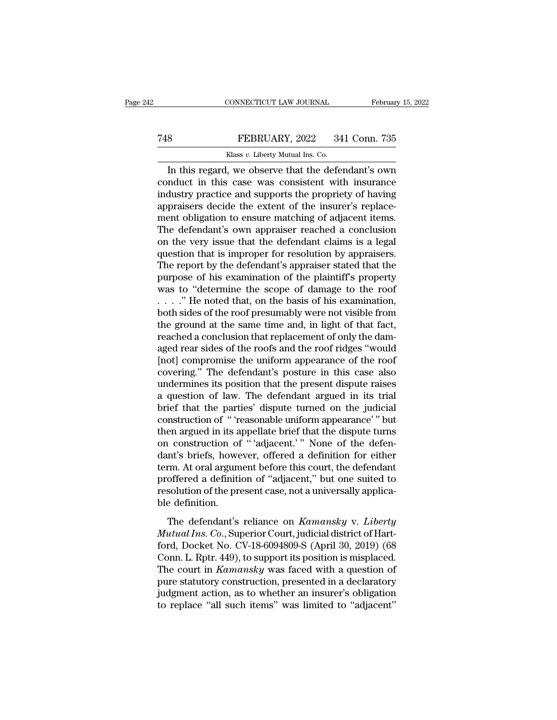## EXECUTE CONNECTICUT LAW JOURNAL February 15, 2022<br>
FEBRUARY, 2022 341 Conn. 735<br>
Klass v. Liberty Mutual Ins. Co. CONNECTICUT LAW JOURNAL Februar<br>
Reduced Branch FEBRUARY, 2022 341 Conn. 735<br>
Klass *v*. Liberty Mutual Ins. Co.<br>
In this regard, we observe that the defendant's own

### CONNECTICUT LAW JOURNAL February 15, 2022<br>
S<br>
S<br>
FEBRUARY, 2022 341 Conn. 735<br>
Klass v. Liberty Mutual Ins. Co.<br>
In this regard, we observe that the defendant's own<br>
mduct in this case was consistent with insurance<br>
dustry conduct in this case was consistent with insurance The Term of Term and ST and ST and ST and ST and ST and ST and ST and ST and ST and ST and ST and ST and ST and ST and ST and ST and ST and ST and ST appraisers decide the extent of the insurer's replacement obligation to The approximation of the extent of the insurance of the defendant's own conduct in this case was consistent with insurance industry practice and supports the propriety of having appraisers decide the extent of the insurer Klass v. Liberty Mutual Ins. Co.<br>
In this regard, we observe that the defendant's own<br>
conduct in this case was consistent with insurance<br>
industry practice and supports the propriety of having<br>
appraisers decide the exte Kass v. Liberty Mutual ins. Co.<br>
In this regard, we observe that the defendant's own<br>
conduct in this case was consistent with insurance<br>
industry practice and supports the propriety of having<br>
appraisers decide the exten In this regard, we observe that the defendant's own<br>conduct in this case was consistent with insurance<br>industry practice and supports the propriety of having<br>appraisers decide the extent of the insurer's replace-<br>ment obli conduct in this case was consistent with insurance<br>industry practice and supports the propriety of having<br>appraisers decide the extent of the insurer's replace-<br>ment obligation to ensure matching of adjacent items.<br>The def industry practice and supports the propriety of having<br>appraisers decide the extent of the insurer's replace-<br>ment obligation to ensure matching of adjacent items.<br>The defendant's own appraiser reached a conclusion<br>on the appraisers decide the extent of the insurer's replacement obligation to ensure matching of adjacent items.<br>The defendant's own appraiser reached a conclusion<br>on the very issue that the defendant claims is a legal<br>question ment obligation to ensure matching of adjacent items.<br>The defendant's own appraiser reached a conclusion<br>on the very issue that the defendant claims is a legal<br>question that is improper for resolution by appraisers.<br>The re The defendant's own appraiser reached a conclusion<br>on the very issue that the defendant claims is a legal<br>question that is improper for resolution by appraisers.<br>The report by the defendant's appraiser stated that the<br>pur on the very issue that the defendant claims is a legal<br>question that is improper for resolution by appraisers.<br>The report by the defendant's appraiser stated that the<br>purpose of his examination of the plaintiff's property question that is improper for resolution by appraisers.<br>The report by the defendant's appraiser stated that the<br>purpose of his examination of the plaintiff's property<br>was to "determine the scope of damage to the roof<br> $\ldots$ The report by the defendant's appraiser stated that the<br>purpose of his examination of the plaintiff's property<br>was to "determine the scope of damage to the roof<br> $\ldots$ ." He noted that, on the basis of his examination,<br>both purpose of his examination of the plaintiff's property<br>was to "determine the scope of damage to the roof<br> $\ldots$ ". "He noted that, on the basis of his examination,<br>both sides of the roof presumably were not visible from<br>the was to "determine the scope of damage to the roof ...." He noted that, on the basis of his examination, both sides of the roof presumably were not visible from the ground at the same time and, in light of that fact, reach ...." He noted that, on the basis of his examination,<br>both sides of the roof presumably were not visible from<br>the ground at the same time and, in light of that fact,<br>reached a conclusion that replacement of only the dam-<br> both sides of the roof presumably were not visible from<br>the ground at the same time and, in light of that fact,<br>reached a conclusion that replacement of only the dam-<br>aged rear sides of the roofs and the roof ridges "would the ground at the same time and, in light of that fact,<br>reached a conclusion that replacement of only the dam-<br>aged rear sides of the roofs and the roof ridges "would<br>[not] compromise the uniform appearance of the roof<br>cov reached a conclusion that replacement of only the dam-<br>aged rear sides of the roofs and the roof ridges "would<br>[not] compromise the uniform appearance of the roof<br>covering." The defendant's posture in this case also<br>underm aged rear sides of the roofs and the roof ridges "would<br>[not] compromise the uniform appearance of the roof<br>covering." The defendant's posture in this case also<br>undermines its position that the present dispute raises<br>a que [not] compromise the uniform appearance of the roof covering." The defendant's posture in this case also undermines its position that the present dispute raises a question of law. The defendant argued in its trial brief th covering." The defendant's posture in this case also undermines its position that the present dispute raises a question of law. The defendant argued in its trial brief that the parties' dispute turned on the judicial const undermines its position that the present dispute raises<br>a question of law. The defendant argued in its trial<br>brief that the parties' dispute turned on the judicial<br>construction of "'reasonable uniform appearance'" but<br>then a question of law. The defendant argued in its trial<br>brief that the parties' dispute turned on the judicial<br>construction of " 'reasonable uniform appearance' " but<br>then argued in its appellate brief that the dispute turns<br> brief that the parties' dispute turned on the judicial construction of "'reasonable uniform appearance'" but<br>then argued in its appellate brief that the dispute turns<br>on construction of "'adjacent.'" None of the defen-<br>dan construction of "'reasonable uniform appearance'" but<br>then argued in its appellate brief that the dispute turns<br>on construction of "'adjacent.'" None of the defen-<br>dant's briefs, however, offered a definition for either<br>te then argued in its a<br>on construction of<br>dant's briefs, howe<br>term. At oral argum<br>proffered a definiti<br>resolution of the pre<br>ble definition.<br>The defendant's The definition of adjacent transferred and the definition of either<br>transferred a definition of "adjacent," but one suited to<br>solution of the present case, not a universally applica-<br>e definition.<br>The defendant's reliance *Mutual Ins. Co.*, Superior Court, the defendant<br> *Mutual Ins. Co.*, Superior Case, not a universally applica-<br> *Mutual Ins. Co.*, Superior Court, judicial district of Hart-<br> *Mutual Ins. Co.*, Superior Court, judicial dis

form, The stall algament server ans essai, the actoriaant<br>proffered a definition of "adjacent," but one suited to<br>resolution of the present case, not a universally applica-<br>ble definition.<br>The defendant's reliance on *Kama* resolution of the present case, not a universally applicable definition.<br>The defendant's reliance on *Kamansky* v. *Liberty*<br>*Mutual Ins. Co.*, Superior Court, judicial district of Hart-<br>ford, Docket No. CV-18-6094809-S (A The definition.<br>The defendant's reliance on *Kamansky* v. *Liberty*<br>*Mutual Ins. Co.*, Superior Court, judicial district of Hart-<br>ford, Docket No. CV-18-6094809-S (April 30, 2019) (68<br>Conn. L. Rptr. 449), to support its po The defendant's reliance on *Kamansky* v. *Liberty*<br> *Mutual Ins. Co.*, Superior Court, judicial district of Hart-<br>
ford, Docket No. CV-18-6094809-S (April 30, 2019) (68<br>
Conn. L. Rptr. 449), to support its position is mis The defendant's reliance on *Kamansky* v. *Liberty*<br>Mutual Ins. Co., Superior Court, judicial district of Hart-<br>ford, Docket No. CV-18-6094809-S (April 30, 2019) (68<br>Conn. L. Rptr. 449), to support its position is misplace Mutual Ins. Co., Superior Court, judicial district of Hartford, Docket No. CV-18-6094809-S (April 30, 2019) (68 Conn. L. Rptr. 449), to support its position is misplaced. The court in *Kamansky* was faced with a question o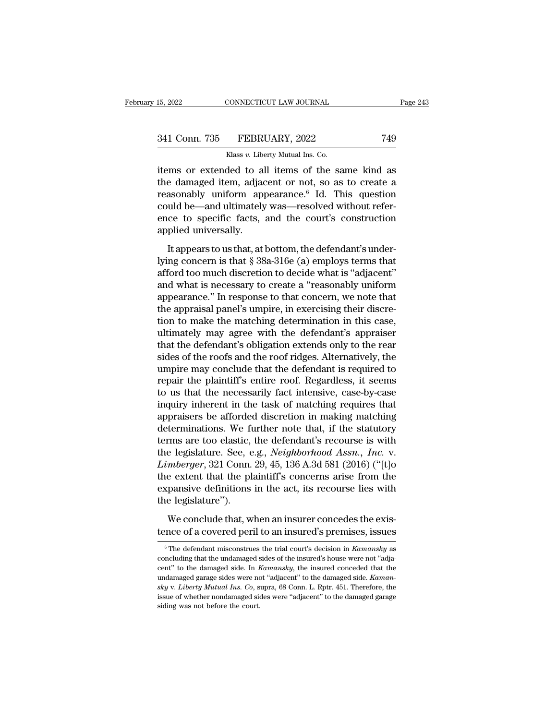| 15, 2022      | CONNECTICUT LAW JOURNAL                            | Page 243 |
|---------------|----------------------------------------------------|----------|
| 341 Conn. 735 | FEBRUARY, 2022                                     | 749      |
|               | Klass v. Liberty Mutual Ins. Co.                   |          |
|               | items or extended to all items of the same kind as |          |

15, 2022 CONNECTICUT LAW JOURNAL Page 243<br>
341 Conn. 735 FEBRUARY, 2022 749<br>
Klass v. Liberty Mutual Ins. Co.<br>
items or extended to all items of the same kind as<br>
the damaged item, adjacent or not, so as to create a<br>
reaso 341 Conn. 735 FEBRUARY, 2022 749<br>
Klass v. Liberty Mutual Ins. Co.<br>
items or extended to all items of the same kind as<br>
the damaged item, adjacent or not, so as to create a<br>
reasonably uniform appearance.<sup>6</sup> Id. This ques 341 Conn. 735 FEBRUARY, 2022 749<br>
Klass v. Liberty Mutual Ins. Co.<br>
items or extended to all items of the same kind as<br>
the damaged item, adjacent or not, so as to create a<br>
reasonably uniform appearance. <sup>6</sup> Id. This que 341 Conn. 735 FEBRUARY, 2022 749<br>
Klass v. Liberty Mutual Ins. Co.<br>
items or extended to all items of the same kind as<br>
the damaged item, adjacent or not, so as to create a<br>
reasonably uniform appearance. <sup>6</sup> Id. This que Klass v. Liberty Mutual Ins. Co.<br>
items or extended to all items of the same kind as<br>
the damaged item, adjacent or not, so as to create a<br>
reasonably uniform appearance.<sup>6</sup> Id. This question<br>
could be—and ultimately was—  $\begin{array}{ll}\n & \text{Mass } v. \text{ Lboe} \\
 \text{items or extended to all the damaged item, adjac} \\
 \text{reasonably uniform and could be—and ultimately} \\
 \text{ence to specific facts, applied universally.} \\
 & \text{It appears to us that, at}\n \end{array}$ items or extended to all items of the same kind as<br>the damaged item, adjacent or not, so as to create a<br>reasonably uniform appearance.<sup>6</sup> Id. This question<br>could be—and ultimately was—resolved without refer-<br>ence to speci reasonably uniform appearance.<sup>6</sup> Id. This question<br>could be—and ultimately was—resolved without refer-<br>ence to specific facts, and the court's construction<br>applied universally.<br>It appears to us that, at bottom, the defen

For the discretion of the court's construction<br>could be—and ultimately was—resolved without refer-<br>ence to specific facts, and the court's construction<br>applied universally.<br>It appears to us that, at bottom, the defendant's beams be dira diamately was "Tessives white a reception<br>ence to specific facts, and the court's construction<br>applied universally.<br>It appears to us that, at bottom, the defendant's under-<br>lying concern is that § 38a-316e (a applied universally.<br>
It appears to us that, at bottom, the defendant's under-<br>
lying concern is that § 38a-316e (a) employs terms that<br>
afford too much discretion to decide what is "adjacent"<br>
and what is necessary to cre It appears to us that, at bottom, the defendant's under-<br>lying concern is that  $\S$  38a-316e (a) employs terms that<br>afford too much discretion to decide what is "adjacent"<br>and what is necessary to create a "reasonably unif It appears to us that, at bottom, the defendant's under-<br>lying concern is that § 38a-316e (a) employs terms that<br>afford too much discretion to decide what is "adjacent"<br>and what is necessary to create a "reasonably uniform lying concern is that § 38a-316e (a) employs terms that<br>afford too much discretion to decide what is "adjacent"<br>and what is necessary to create a "reasonably uniform<br>appearance." In response to that concern, we note that<br>t afford too much discretion to decide what is "adjacent"<br>and what is necessary to create a "reasonably uniform<br>appearance." In response to that concern, we note that<br>the appraisal panel's umpire, in exercising their discreand what is necessary to create a "reasonably uniform<br>appearance." In response to that concern, we note that<br>the appraisal panel's umpire, in exercising their discre-<br>tion to make the matching determination in this case,<br>u appearance." In response to that concern, we note that<br>the appraisal panel's umpire, in exercising their discre-<br>tion to make the matching determination in this case,<br>ultimately may agree with the defendant's appraiser<br>tha the appraisal panel's umpire, in exercising their discretion to make the matching determination in this case, ultimately may agree with the defendant's appraiser that the defendant's obligation extends only to the rear sid tion to make the matching determination in this case,<br>ultimately may agree with the defendant's appraiser<br>that the defendant's obligation extends only to the rear<br>sides of the roofs and the roof ridges. Alternatively, the<br> ultimately may agree with the defendant's appraiser<br>that the defendant's obligation extends only to the rear<br>sides of the roofs and the roof ridges. Alternatively, the<br>umpire may conclude that the defendant is required to<br> that the defendant's obligation extends only to the rear<br>sides of the roofs and the roof ridges. Alternatively, the<br>umpire may conclude that the defendant is required to<br>repair the plaintiff's entire roof. Regardless, it s sides of the roofs and the roof ridges. Alternatively, the<br>umpire may conclude that the defendant is required to<br>repair the plaintiff's entire roof. Regardless, it seems<br>to us that the necessarily fact intensive, case-by-c umpire may conclude that the defendant is required to<br>repair the plaintiff's entire roof. Regardless, it seems<br>to us that the necessarily fact intensive, case-by-case<br>inquiry inherent in the task of matching requires that<br> repair the plaintiff's entire roof. Regardless, it seems<br>to us that the necessarily fact intensive, case-by-case<br>inquiry inherent in the task of matching requires that<br>appraisers be afforded discretion in making matching<br>d to us that the necessarily fact intensive, case-by-case<br>inquiry inherent in the task of matching requires that<br>appraisers be afforded discretion in making matching<br>determinations. We further note that, if the statutory<br>ter inquiry inherent in the task of matching requires that<br>appraisers be afforded discretion in making matching<br>determinations. We further note that, if the statutory<br>terms are too elastic, the defendant's recourse is with<br>the appraisers be afforded discretion in making matching<br>determinations. We further note that, if the statutory<br>terms are too elastic, the defendant's recourse is with<br>the legislature. See, e.g., *Neighborhood Assn., Inc.* v.<br> determinations. We fit<br>terms are too elastic,<br>the legislature. See, e<br>*Limberger*, 321 Conn.<br>the extent that the pl<br>expansive definitions<br>the legislature'').<br>We conclude that, w e legislature. See, e.g., *Neighborhood Assn.*, *Inc.* v.<br>mberger, 321 Conn. 29, 45, 136 A.3d 581 (2016) ("[t]o<br>e extent that the plaintiff's concerns arise from the<br>pansive definitions in the act, its recourse lies with<br>e *Limberger*, 321 Conn. 29, 45, 136 A.3d 581 (2016) ("[t]o<br>the extent that the plaintiff's concerns arise from the<br>expansive definitions in the act, its recourse lies with<br>the legislature").<br>We conclude that, when an insur

the legislature").<br>We conclude that, when an insurer concedes the existence of a covered peril to an insured's premises, issues<br><sup>6</sup> The defendant misconstrues the trial court's decision in *Kamansky* as<br>concluding that the We conclude that, when an insurer concedes the existence of a covered peril to an insured's premises, issues<br>
<sup>6</sup> The defendant misconstrues the trial court's decision in *Kamansky* as<br>
concluding that the undamaged sides tence of a covered peril to an insured's premises, issues<br>
<sup>6</sup> The defendant misconstrues the trial court's decision in *Kamansky* as<br>
concluding that the undamaged sides of the insured's house were not "adja-<br>
cent" to th <sup>6</sup> The defendant misconstrues the trial court's decision in *Kamansky* as<br>
concluding that the undamaged sides of the insured's house were not "adja-<br>
cent" to the damaged side. In *Kamansky*, the insured conceded that th <sup>6</sup> The defendant misconstrues the trial court's decision in *Kamansky* as concluding that the undamaged sides of the insured's house were not "adjacent" to the damaged garage sides were not "adjacent" to the damaged side concluding that the undamaged sides of the insured's house were not "adjacent" to the damaged side. In  $Kamansky$ , the insured conceded that the undamaged garage sides were not "adjacent" to the damaged side.  $Kamansky$  v. *Liber*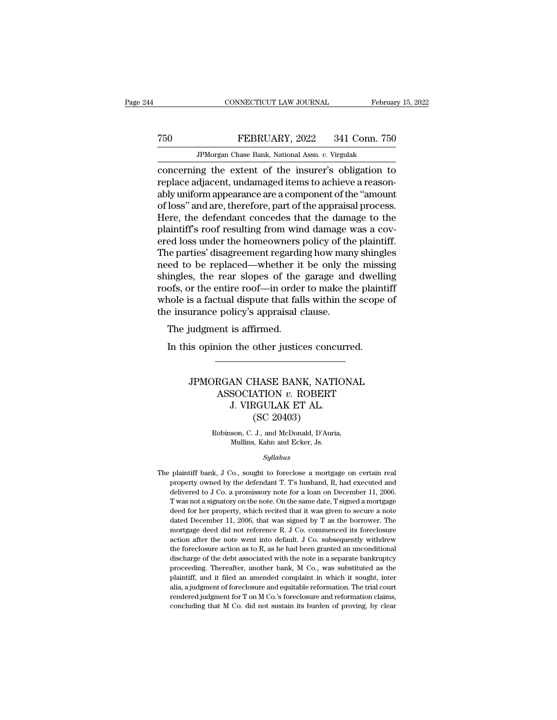## MONETICUT LAW JOURNAL February 15, 2022<br>
T50 FEBRUARY, 2022 341 Conn. 750<br>
JPMorgan Chase Bank, National Assn. v. Virgulak CONNECTICUT LAW JOURNAL Februa<br>FEBRUARY, 2022 341 Conn. 750<br>JPMorgan Chase Bank, National Assn. *v.* Virgulak<br>ng the extent of the insurer's obligation to

connectricut LAW JOURNAL February 15, 2022<br>
The FEBRUARY, 2022 341 Conn. 750<br>
TPMorgan Chase Bank, National Assn. v. Virgulak<br>
concerning the extent of the insurer's obligation to<br>
replace adjacent, undamaged items to achi T50 FEBRUARY, 2022 341 Conn. 750<br>
JPMorgan Chase Bank, National Assn. v. Virgulak<br>
concerning the extent of the insurer's obligation to<br>
replace adjacent, undamaged items to achieve a reason-<br>
ably uniform appearance are a T50 FEBRUARY, 2022 341 Conn. 750<br>
FMorgan Chase Bank, National Assn.  $v$ . Virgulak<br>
concerning the extent of the insurer's obligation to<br>
replace adjacent, undamaged items to achieve a reason-<br>
ably uniform appearance are TEBRUARY, 2022 341 Conn. 750<br>
JPMorgan Chase Bank, National Assn. v. Virgulak<br>
concerning the extent of the insurer's obligation to<br>
replace adjacent, undamaged items to achieve a reason-<br>
ably uniform appearance are a com JPMorgan Chase Bank, National Assn.  $v$ . Virgulak<br>
concerning the extent of the insurer's obligation to<br>
replace adjacent, undamaged items to achieve a reason-<br>
ably uniform appearance are a component of the "amount<br>
of l  $\begin{array}{l} \hbox{JPhorgan Chase Bank, National Assn. } v.\ \hbox{Vrgulak} \hbox{concerning the extent of the insurer's obligation to replace adjacent, undamaged items to achieve a reasonably uniform appearance are a component of the "amount of loss" and are, therefore, part of the appraisal process. Here, the defendant proceeds that the damage to the plaintiff's roof resulting from wind damage was a covered loss under the home owners policy of the plaintiff. The part of the algorithm is not provided by many shindles. \hbox{NLP} \hbox{NLP} \hbox{NLP} \hbox{NLP} \hbox{NLP} \hbox{NLP} \hbox{NLP} \hbox{NLP} \hbox{NLP} \hbox{NLP} \hbox{NLP} \hbox{NLP} \hbox{NLP} \h$ concerning the extent of the insurer's obligation to<br>replace adjacent, undamaged items to achieve a reason-<br>ably uniform appearance are a component of the "amount<br>of loss" and are, therefore, part of the appraisal process. replace adjacent, undamaged items to achieve a reason-<br>ably uniform appearance are a component of the "amount<br>of loss" and are, therefore, part of the appraisal process.<br>Here, the defendant concedes that the damage to the<br> ably uniform appearance are a component of the "amount<br>of loss" and are, therefore, part of the appraisal process.<br>Here, the defendant concedes that the damage to the<br>plaintiff's roof resulting from wind damage was a cov-<br> of loss" and are, therefore, part of the appraisal process.<br>Here, the defendant concedes that the damage to the<br>plaintiff's roof resulting from wind damage was a cov-<br>ered loss under the homeowners policy of the plaintiff. Here, the defendant concedes that the damage to the plaintiff's roof resulting from wind damage was a covered loss under the homeowners policy of the plaintiff.<br>The parties' disagreement regarding how many shingles need to plaintiff's roof resulting from wind damage was a covered loss under the homeowners policy of the plaintiff.<br>The parties' disagreement regarding how many shingles<br>need to be replaced—whether it be only the missing<br>shingles ered loss under the homeowners policy of the The parties' disagreement regarding how man need to be replaced—whether it be only the shingles, the rear slopes of the garage and roofs, or the entire roof—in order to make the e parties usagreement regarding<br>ed to be replaced—whether it<br>ingles, the rear slopes of the<br>ofs, or the entire roof—in order<br>nole is a factual dispute that fall<br>e insurance policy's appraisal c<br>The judgment is affirmed.<br>In Im this opinion the same and dwellingtons, or the entire roof—in order to make the plaint<br>nole is a factual dispute that falls within the scope<br>insurance policy's appraisal clause.<br>The judgment is affirmed.<br>In this opinion

### France policy's appraisal clause.<br>
indigment is affirmed.<br>
is opinion the other justices concurred.<br>
JPMORGAN CHASE BANK, NATIONAL<br>
ASSOCIATION v. ROBERT<br>
I VIBGULAK ET AL ASSOCIATION *v.* ROBERT I the other justices concurned.<br>AN CHASE BANK, NATIO<br>SOCIATION v. ROBERT<br>J. VIRGULAK ET AL.<br>(SC 20403) other justices concerned the HASE BANK, NATI<br>HASE BANK, NATI<br>ATION v. ROBERT<br>GULAK ET AL.<br>(SC 20403)<br>J., and McDonald, D'Auri JPMORGAN CHASE BANK, NATIONAL<br>ASSOCIATION v. ROBERT<br>J. VIRGULAK ET AL.<br>(SC 20403)<br>Robinson, C. J., and McDonald, D'Auria,<br>Mullins, Kahn and Ecker, Js. J. VIRGULAK ET AL.

*Syllabus*

(SC 20405)<br>Robinson, C. J., and McDonald, D'Auria,<br>Mullins, Kahn and Ecker, Js.<br>Syllabus<br>The plaintiff bank, J Co., sought to foreclose a mortgage on certain real<br>property owned by the defendant T. T's husband, R, had exec Robinson, C. J., and McDonald, D'Auria,<br>Mullins, Kahn and Ecker, Js.<br>Syllabus<br>plaintiff bank, J Co., sought to foreclose a mortgage on certain real<br>property owned by the defendant T. T's husband, R, had executed and<br>delive Mullins, Kahn and Ecker, Js.<br>
Syllabus<br>
plaintiff bank, J Co., sought to foreclose a mortgage on certain real<br>
property owned by the defendant T. T's husband, R, had executed and<br>
delivered to J Co. a promissory note for a Syllabus<br>
plaintiff bank, J Co., sought to foreclose a mortgage on certain real<br>
property owned by the defendant T. T's husband, R, had executed and<br>
delivered to J Co. a promissory note for a loan on December 11, 2006.<br>
T *Syllabus*<br>plaintiff bank, J Co., sought to foreclose a mortgage on certain real<br>property owned by the defendant T. T's husband, R, had executed and<br>delivered to J Co. a promissory note for a loan on December 11, 2006.<br>T plaintiff bank, J Co., sought to foreclose a mortgage on certain real<br>property owned by the defendant T. T's husband, R, had executed and<br>delivered to J Co. a promissory note for a loan on December 11, 2006.<br>T was not a si property owned by the defendant T. T's husband, R, had executed and delivered to J Co. a promissory note for a loan on December 11, 2006. T was not a signatory on the note. On the same date, T signed a mortgage deed for he delivered to J Co. a promissory note for a loan on December 11, 2006.<br>T was not a signatory on the note. On the same date, T signed a mortgage deed for her property, which recited that it was given to secure a note dated delivered to J Co. a promissory note for a loan on December 11, 2006. T was not a signatory on the note. On the same date, T signed a mortgage deed for her property, which recited that it was given to secure a note dated discharge of the discharge of the debt associated with the note in a separate bankruptcy deed for her property, which recited that it was given to secure a note dated December 11, 2006, that was signed by T as the borrowe dated December 11, 2006, that was signed by T as the borrower. The mortgage deed did not reference R. J Co. commenced its foreclosure action after the note went into default. J Co. subsequently withdrew the foreclosure act mortgage deed did not reference R. J Co. commenced its foreclosure action after the note went into default. J Co. subsequently with<br>drew the foreclosure action as to R, as he had been granted an unconditional discharge of action after the note went into default. J Co. subsequently withdrew<br>the foreclosure action as to R, as he had been granted an unconditional<br>discharge of the debt associated with the note in a separate bankruptcy<br>proceedin the foreclosure action as to R, as he had been granted an unconditional discharge of the debt associated with the note in a separate bankruptcy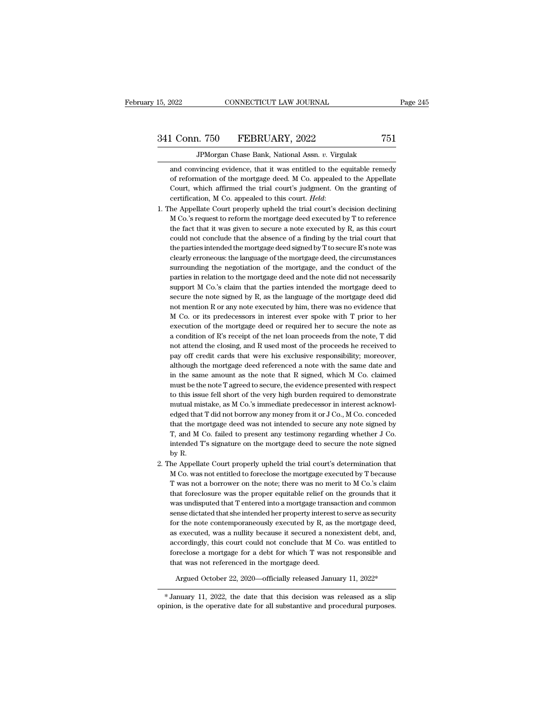# 341 Conn. 750 FEBRUARY, 2022 <sup>751</sup>

JPMorgan Chase Bank, National Assn. *v.* Virgulak 1 Conn. 750 FEBRUARY, 2022 751<br>JPMorgan Chase Bank, National Assn. v. Virgulak<br>and convincing evidence, that it was entitled to the equitable remedy<br>of reformation of the mortgage deed. M Co. appealed to the Appellate Conn. 750 FEBRUARY, 2022 751<br>
JPMorgan Chase Bank, National Assn. v. Virgulak<br>
and convincing evidence, that it was entitled to the equitable remedy<br>
of reformation of the mortgage deed. M Co. appealed to the Appellate<br>
Co Conn. 750 FEBRUARY, 2022 751<br>JPMorgan Chase Bank, National Assn. v. Virgulak<br>and convincing evidence, that it was entitled to the equitable remedy<br>of reformation of the mortgage deed. M Co. appealed to the Appellate<br>Court, JPMorgan Chase Bank, National Assn. *v*. Virgulak<br>and convincing evidence, that it was entitled to the equitable remedy<br>of reformation of the mortgage deed. M Co. appealed to the Appellate<br>Court, which affirmed the trial c and convincing evidence, that it was entitled to the equitable remedy<br>of reformation of the mortgage deed. M Co. appealed to the Appellate<br>Court, which affirmed the trial court's judgment. On the granting of<br>certification,

- of reformation of the mortgage deed. M Co. appealed to the Appellate Court, which affirmed the trial court's judgment. On the granting of certification, M Co. appealed to this court. *Held*: he Appellate Court properly uph Court, which affirmed the trial court's judgment. On the granting of certification, M Co. appealed to this court. *Held:*<br>he Appellate Court properly upheld the trial court's decision declining M Co.'s request to reform th certification, M Co. appealed to this court. *Held*:<br>he Appellate Court properly upheld the trial court's decision declining<br>M Co.'s request to reform the mortgage deed executed by T to reference<br>the fact that it was given he Appellate Court properly upheld the trial court's decision declining M Co.'s request to reform the mortgage deed executed by T to reference the fact that it was given to secure a note executed by R, as this court could M Co.'s request to reform the mortgage deed executed by T to reference<br>the fact that it was given to secure a note executed by R, as this court<br>could not conclude that the absence of a finding by the trial court that<br>the p the fact that it was given to secure a note executed by R, as this court<br>could not conclude that the absence of a finding by the trial court that<br>the parties intended the mortgage deed signed by T to secure R's note was<br>cl could not conclude that the absence of a finding by the trial court that<br>the parties intended the mortgage deed signed by T to secure R's note was<br>clearly erroneous: the language of the mortgage deed, the circumstances<br>sur the parties intended the mortgage deed signed by T to secure R's note was<br>clearly erroneous: the language of the mortgage deed, the circumstances<br>surrounding the negotiation of the mortgage, and the conduct of the<br>parties clearly erroneous: the language of the mortgage deed, the circumstances<br>surrounding the negotiation of the mortgage, and the conduct of the<br>parties in relation to the mortgage deed and the note did not necessarily<br>support surrounding the negotiation of the mortgage, and the conduct of the parties in relation to the mortgage deed and the note did not necessarily support M Co.'s claim that the parties intended the mortgage deed to secure the parties in relation to the mortgage deed and the note did not necessarily support M Co.'s claim that the parties intended the mortgage deed to secure the note signed by R, as the language of the mortgage deed did not menti support M Co.'s claim that the parties intended the mortgage deed to secure the note signed by R, as the language of the mortgage deed did not mention R or any note executed by him, there was no evidence that M Co. or its secure the note signed by R, as the language of the mortgage deed did<br>not mention R or any note executed by him, there was no evidence that<br>M Co. or its predecessors in interest ever spoke with T prior to her<br>execution of not mention R or any note executed by him, there was no evidence that M Co. or its predecessors in interest ever spoke with T prior to her execution of the mortgage deed or required her to secure the note as a condition of M Co. or its predecessors in interest ever spoke with T prior to her execution of the mortgage deed or required her to secure the note as a condition of R's receipt of the net loan proceeds from the note, T did not attend execution of the mortgage deed or required her to secure the note as<br>a condition of R's receipt of the net loan proceeds from the note, T did<br>not attend the closing, and R used most of the proceeds he received to<br>pay off c a condition of R's receipt of the net loan proceeds from the note, T did<br>not attend the closing, and R used most of the proceeds he received to<br>pay off credit cards that were his exclusive responsibility; moreover,<br>althoug not attend the closing, and R used most of the proceeds he received to pay off credit cards that were his exclusive responsibility; moreover, although the mortgage deed referenced a note with the same date and in the same pay off credit cards that were his exclusive responsibility; moreover, although the mortgage deed referenced a note with the same date and in the same amount as the note that R signed, which M Co. claimed must be the note although the mortgage deed referenced a note with the same date and<br>in the same amount as the note that R signed, which M Co. claimed<br>must be the note T agreed to secure, the evidence presented with respect<br>to this issue f in the same amount as the note that R signed, which M Co. claimed<br>must be the note T agreed to secure, the evidence presented with respect<br>to this issue fell short of the very high burden required to demonstrate<br>mutual mi in the same amount as the note that R signed, which M Co. claimed<br>must be the note T agreed to secure, the evidence presented with respect<br>to this issue fell short of the very high burden required to demonstrate<br>mutual mi to this issue fell short of the very high burden required to demonstrate mutual mistake, as M Co.'s immediate predecessor in interest acknowledged that T did not borrow any money from it or  $J$  Co., M Co. conceded that th T, and M Co. failed to present any testimony regarding whether J Co. intended T's signature on the mortgage deed to secure the note signed by R.<br>The Appellate Court properly upheld the trial court's determination that M C that the mortgage deed was not intended to secure any note signed by T, and M Co. failed to present any testimony regarding whether J Co.<br>intended T's signature on the mortgage deed to secure the note signed<br>by R.<br>he Appel
- 2. The Appellate Court properly upheld the trial court's determination that T, and M Co. failed to present any testimony regarding whether J Co.<br>intended T's signature on the mortgage deed to secure the note signed<br>by R.<br>he Appellate Court properly upheld the trial court's determination that<br>M Co. intended T's signature on the mortgage deed to secure the note signed<br>by R.<br>he Appellate Court properly upheld the trial court's determination that<br>M Co. was not entitled to foreclose the mortgage executed by T because<br>T w by R.<br>
he Appellate Court properly upheld the trial court's determination that<br>
M Co. was not entitled to foreclose the mortgage executed by T because<br>
T was not a borrower on the note; there was no merit to M Co.'s claim<br> he Appellate Court properly upheld the trial court's determination that M Co. was not entitled to foreclose the mortgage executed by T because T was not a borrower on the note; there was no merit to M Co.'s claim that fore M Co. was not entitled to foreclose the mortgage executed by T because<br>T was not a borrower on the note; there was no merit to M Co.'s claim<br>that foreclosure was the proper equitable relief on the grounds that it<br>was undis T was not a borrower on the note; there was no merit to M Co.'s claim<br>that foreclosure was the proper equitable relief on the grounds that it<br>was undisputed that T entered into a mortgage transaction and common<br>sense dict that foreclosure was the proper equitable relief on the grounds that it was undisputed that  $T$  entered into a mortgage transaction and common sense dictated that she intended her property interest to serve as security fo was undisputed that T entered into a mortgage transaction and common<br>sense dictated that she intended her property interest to serve as security<br>for the note contemporaneously executed by R, as the mortgage deed,<br>as execut sense dictated that she intended her property interest<br>for the note contemporaneously executed by R, as t<br>as executed, was a nullity because it secured a non<br>accordingly, this court could not conclude that M (<br>foreclose a Argued October 22, 2020—officially released January 11, 2022\*<br>
The secured of the secured a nonexistent debt, and,<br>
coordingly, this court could not conclude that M Co. was entitled to<br>
reclose a mortgage for a debt for w accordingly, this court could not conclude that  $M$  Co. was entitled to foreclose a mortgage for a debt for which  $T$  was not responsible and that was not referenced in the mortgage deed.<br>Argued October 22, 2020—officiall % foreclose a mortgage for a debt for which T was not responsible and<br>that was not referenced in the mortgage deed.<br>Argued October 22, 2020—officially released January 11, 2022\*<br> $*$  January 11, 2022, the date that this de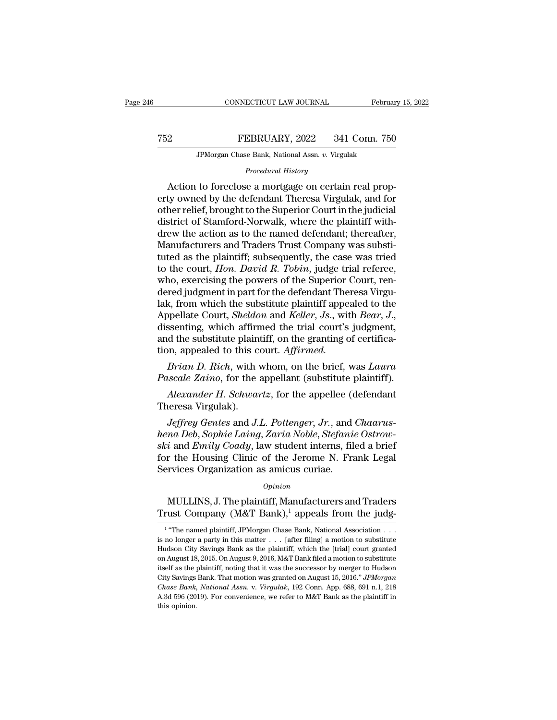### MONETICUT LAW JOURNAL February 15, 2022<br>
FEBRUARY, 2022 341 Conn. 750<br>
JPMorgan Chase Bank, National Assn. v. Virgulak EXERUARY, 2022 341 Conn. 750<br>FEBRUARY, 2022 341 Conn. 750<br>JPMorgan Chase Bank, National Assn. *v.* Virgulak *PEBRUARY*, 2022 341 Conn. 750<br>*PMorgan Chase Bank, National Assn. v. Virgulak*<br>*Procedural History*<br>*Procedural History*<br>*Action to foreclose a mortgage on certain real prop-*

FEBRUARY, 2022 341 Conn. 750<br>
JPMorgan Chase Bank, National Assn. v. Virgulak<br>
Procedural History<br>
Action to foreclose a mortgage on certain real prop-<br>
ty owned by the defendant Theresa Virgulak, and for<br>
the relief broug FEBRUARY, 2022 341 Conn. 750<br>
JPMorgan Chase Bank, National Assn. v. Virgulak<br>
Procedural History<br>
Action to foreclose a mortgage on certain real property<br>
owned by the defendant Theresa Virgulak, and for<br>
other relief, br TEBRUARY, 2022 341 Conn. 750<br>
JPMorgan Chase Bank, National Assn. v. Virgulak<br>
Procedural History<br>
Action to foreclose a mortgage on certain real prop-<br>
erty owned by the defendant Theresa Virgulak, and for<br>
other relief, JPMorgan Chase Bank, National Assn. *v. Virgulak*<br>Procedural History<br>Action to foreclose a mortgage on certain real prop-<br>erty owned by the defendant Theresa Virgulak, and for<br>other relief, brought to the Superior Court in Procedural History<br>
Action to foreclose a mortgage on certain real prop-<br>
erty owned by the defendant Theresa Virgulak, and for<br>
other relief, brought to the Superior Court in the judicial<br>
district of Stamford-Norwalk, wh *Procedural History*<br>Action to foreclose a mortgage on certain real prop-<br>erty owned by the defendant Theresa Virgulak, and for<br>other relief, brought to the Superior Court in the judicial<br>district of Stamford-Norwalk, wher Action to foreclose a mortgage on certain real property owned by the defendant Theresa Virgulak, and for other relief, brought to the Superior Court in the judicial district of Stamford-Norwalk, where the plaintiff with-<br>d erty owned by the defendant Theresa Virgulak, and for<br>other relief, brought to the Superior Court in the judicial<br>district of Stamford-Norwalk, where the plaintiff with-<br>drew the action as to the named defendant; thereafte other relief, brought to the Superior Court in the judicial<br>district of Stamford-Norwalk, where the plaintiff with-<br>drew the action as to the named defendant; thereafter,<br>Manufacturers and Traders Trust Company was substidistrict of Stamford-Norwalk, where the plaintiff with-<br>drew the action as to the named defendant; thereafter,<br>Manufacturers and Traders Trust Company was substi-<br>tuted as the plaintiff; subsequently, the case was tried<br>to drew the action as to the named defendant; thereafter,<br>Manufacturers and Traders Trust Company was substituted as the plaintiff; subsequently, the case was tried<br>to the court, *Hon. David R. Tobin*, judge trial referee,<br>wh Manufacturers and Traders Trust Company was substituted as the plaintiff; subsequently, the case was tried to the court, *Hon. David R. Tobin*, judge trial referee, who, exercising the powers of the Superior Court, rendere to the court, *Hon. David R. Tobin*, judge trial referee, who, exercising the powers of the Superior Court, rendered judgment in part for the defendant Theresa Virgulak, from which the substitute plaintiff appealed to the who, exercising the powers of the Superior (dered judgment in part for the defendant Thenlak, from which the substitute plaintiff appeal. Appellate Court, *Sheldon* and *Keller*, *Js.*, with dissenting, which affirmed the red judgment in part for the defendant Theresa Virgu-<br>*k*, from which the substitute plaintiff appealed to the<br>ppellate Court, *Sheldon* and *Keller*, *Js.*, with *Bear*, *J.*,<br>ssenting, which affirmed the trial court's ju rak, from which the substitute plaintiff appealed to the Appellate Court, *Sheldon* and *Keller*, *Js.*, with *Bear*, *J.*, dissenting, which affirmed the trial court's judgment, and the substitute plaintiff, on the granti Fundally, which affirmed the trial court's judgment,<br>*Alexander H. Alexander H. Schwartz, appealed to this court. Affirmed.*<br>*Brian D. Rich*, with whom, on the brief, was *Laura* uscale Zaino, for the appellant (substitute and the substitute plaint<br>tion, appealed to this contained by Brian D. Rich, with<br>Pascale Zaino, for the :<br>Alexander H. Schwar<br>Theresa Virgulak).<br>Jeffrey Gentes and J.

*Jeffrem D. Rich, with whom, on the brief, was Laura iscale Zaino, for the appellant (substitute plaintiff).*<br>*Alexander H. Schwartz, for the appellee (defendant incresa Virgulak).*<br>*Jeffrey Gentes and J.L. Pottenger, Jr., Brian D. Rich*, with whom, on the brief, was *Laura*<br>*Pascale Zaino*, for the appellant (substitute plaintiff).<br>*Alexander H. Schwartz*, for the appellee (defendant<br>Theresa Virgulak).<br>*Jeffrey Gentes* and *J.L. Pottenger Pascale Zaino,* for the appellant (substitute plaintiff).<br> *Alexander H. Schwartz*, for the appellee (defendant<br>
Theresa Virgulak).<br> *Jeffrey Gentes* and *J.L. Pottenger, Jr.*, and *Chaarus-<br>
hena Deb, Sophie Laing, Zaria* Alexander H. Schwartz, for the appellee (defendant<br>Theresa Virgulak).<br>Jeffrey Gentes and J.L. Pottenger, Jr., and Chaarus-<br>hena Deb, Sophie Laing, Zaria Noble, Stefanie Ostrow-<br>ski and Emily Coady, law student interns, fil Alexander H. Schwartz, for the appellee (C<br>Theresa Virgulak).<br>Jeffrey Gentes and J.L. Pottenger, Jr., and<br>hena Deb, Sophie Laing, Zaria Noble, Stefania<br>ski and Emily Coady, law student interns, file<br>for the Housing Clinic  $\begin{array}{l} na\,Deb,\, Sophie\,Laing,\,Zaria\,Noble,\,Stefanie\,Ostrow-\\ i\,\,\text{and}\,Emily\,Coady,\,\text{law}\,\,\text{student}\,\,\text{in} \text{erns},\,\,\text{field}\,\,a\,\,\text{brief}\,r\,\,\text{the}\,\,\text{Housing}\,\,\text{Clinic}\,\,\text{of}\,\,\text{the}\,\,\text{Jerome}\,\,\text{N}.\,\,\text{Frank}\,\,\text{Legal}\ \text{rvices}\,\,\text{Organization}\,\,\text{as}\,\,\text{amicus}\,\,\text{curiae}.\ \text{\normalsize}\ \text{Opinion} \ \text{MULLINS},\$ *ski* and *Emily Coady*, law student interns, filed a brief for the Housing Clinic of the Jerome N. Frank Legal Services Organization as amicus curiae.<br>  $\frac{Opinion}{1.5}$  MULLINS, J. The plaintiff, Manufacturers and Traders T

### *Opinion*

 $1$  "Tho-MULLINS, J. The plaintiff, Manufacturers and Traders<br>
Trust Company (M&T Bank),<sup>1</sup> appeals from the judg-<br>
<sup>1</sup> "The named plaintiff, JPMorgan Chase Bank, National Association . . .<br>
is no longer a party in this matter . . *Opinion*<br> **is no longer a party in the plaintiff, Manufacturers and Traders<br>
Trust Company (M&T Bank),<sup>1</sup> appeals from the judg-<br>
<b>i** "The named plaintiff, JPMorgan Chase Bank, National Association . . .<br>
is no longer a MULLINS, J. The plaintiff, Manufacturers and Traders<br>Trust Company (M&T Bank),<sup>1</sup> appeals from the judg-<br><sup>1</sup> "The named plaintiff, JPMorgan Chase Bank, National Association . . .<br>is no longer a party in this matter . . . Trust Company (M&T Bank),<sup>1</sup> appeals from the judg-<br><sup>1</sup> "The named plaintiff, JPMorgan Chase Bank, National Association . . .<br>is no longer a party in this matter . . . [after filing] a motion to substitute<br>Hudson City Sav **i** "The named plaintiff, JPMorgan Chase Bank, National Association . . . is no longer a party in this matter . . . [after filing] a motion to substitute Hudson City Savings Bank as the plaintiff, which the [trial] court <sup>1</sup> "The named plaintiff, JPMorgan Chase Bank, National Association . . .<br>is no longer a party in this matter . . . [after filing] a motion to substitute<br>Hudson City Savings Bank as the plaintiff, which the [trial] court *Chase Bank, National Assn. Chase Bank, National Association City Savings Bank as the plaintiff, which the [trial] court granted* on August 18, 2015. On August 9, 2016, M&T Bank filed a motion to substitute itself as t Eudson City Savings Bank as the plaintiff, which the [trial] court granted on August 18, 2015. On August 9, 2016, M&T Bank filed a motion to substitute itself as the plaintiff, noting that it was the successor by merger to on August 18, 2015. On August 9, 2016, M&T Bank filed a motion to substitute itself as the plaintiff, noting that it was the successor by merger to Hudson City Savings Bank. That motion was granted on August 15, 2016." *J*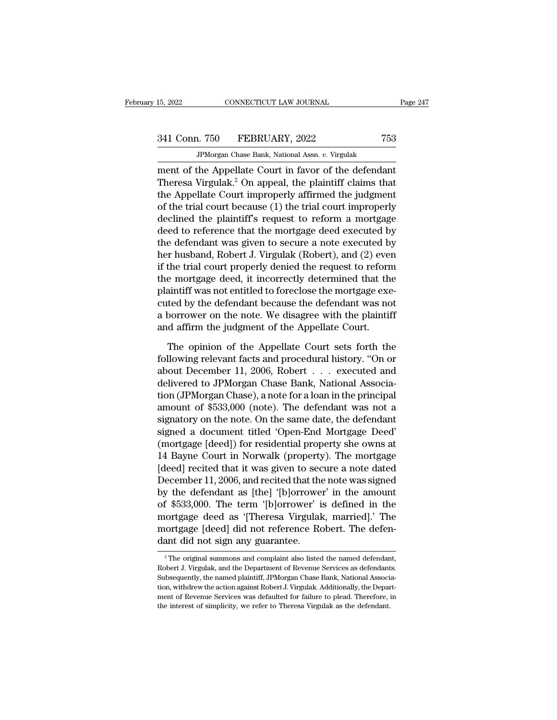# 341 Conn. 750 FEBRUARY, 2022 <sup>753</sup>

15, 2022 CONNECTICUT LAW JOURNAL<br>
341 Conn. 750 FEBRUARY, 2022 753<br>
JPMorgan Chase Bank, National Assn. *v.* Virgulak<br>
ment of the Appellate Court in favor of the defendant ER 15, 2022<br>
The Connect Court LAW JOURNAL<br>
The Appellate Court in favor of the defendant<br>
Theresa Virgulak.<sup>2</sup> On appeal, the plaintiff claims that<br>
the Appellate Court impropely offirmed the judgment  $341$  Conn. 750 FEBRUARY, 2022 753<br>
JPMorgan Chase Bank, National Assn. v. Virgulak<br>
ment of the Appellate Court in favor of the defendant<br>
Theresa Virgulak.<sup>2</sup> On appeal, the plaintiff claims that<br>
the Appellate Court im 341 Conn. 750 FEBRUARY, 2022 753<br>
FMorgan Chase Bank, National Assn. v. Virgulak<br>
ment of the Appellate Court in favor of the defendant<br>
Theresa Virgulak.<sup>2</sup> On appeal, the plaintiff claims that<br>
the Appellate Court impro 341 Conn. 750 FEBRUARY, 2022 753<br>
JPMorgan Chase Bank, National Assn. v. Virgulak<br>
ment of the Appellate Court in favor of the defendant<br>
Theresa Virgulak.<sup>2</sup> On appeal, the plaintiff claims that<br>
the Appellate Court impr JPMorgan Chase Bank, National Assn.  $v$ . Virgulak<br>
ment of the Appellate Court in favor of the defendant<br>
Theresa Virgulak.<sup>2</sup> On appeal, the plaintiff claims that<br>
the Appellate Court improperly affirmed the judgment<br>
of  $\frac{d}{dt}$  armorgan chase Bank, National Assn.  $v$ . Virginal Mercelline of the Appellate Court in favor of the defendant Theresa Virgulak.<sup>2</sup> On appeal, the plaintiff claims that the Appellate Court improperly affirmed the ment of the Appellate Court in favor of the defendant<br>Theresa Virgulak.<sup>2</sup> On appeal, the plaintiff claims that<br>the Appellate Court improperly affirmed the judgment<br>of the trial court because (1) the trial court improperly Theresa Virgulak.<sup>2</sup> On appeal, the plaintiff claims that<br>the Appellate Court improperly affirmed the judgment<br>of the trial court because (1) the trial court improperly<br>declined the plaintiff's request to reform a mortgage the Appellate Court improperly affirmed the judgment<br>of the trial court because (1) the trial court improperly<br>declined the plaintiff's request to reform a mortgage<br>deed to reference that the mortgage deed executed by<br>the of the trial court because (1) the trial court improperly<br>declined the plaintiff's request to reform a mortgage<br>deed to reference that the mortgage deed executed by<br>the defendant was given to secure a note executed by<br>her declined the plaintiff's request to reform a mortgage<br>deed to reference that the mortgage deed executed by<br>the defendant was given to secure a note executed by<br>her husband, Robert J. Virgulak (Robert), and (2) even<br>if the deed to reference that the mortgage deed executed by<br>the defendant was given to secure a note executed by<br>her husband, Robert J. Virgulak (Robert), and (2) even<br>if the trial court properly denied the request to reform<br>the the defendant was given to secure a note executed by<br>her husband, Robert J. Virgulak (Robert), and (2) even<br>if the trial court properly denied the request to reform<br>the mortgage deed, it incorrectly determined that the<br>pla her husband, Robert J. Virgulak (Robert), and (2) even<br>if the trial court properly denied the request to reform<br>the mortgage deed, it incorrectly determined that th<br>plaintiff was not entitled to foreclose the mortgage exe<br> e mortgage deed, it incorrectly determined that the<br>aintiff was not entitled to foreclose the mortgage exe-<br>ted by the defendant because the defendant was not<br>borrower on the note. We disagree with the plaintiff<br>d affirm t plaintiff was not entitled to foreclose the mortgage executed by the defendant because the defendant was not<br>a borrower on the note. We disagree with the plaintiff<br>and affirm the judgment of the Appellate Court.<br>The opinio

cuted by the defendant because the defendant was not<br>a borrower on the note. We disagree with the plaintiff<br>and affirm the judgment of the Appellate Court.<br>The opinion of the Appellate Court sets forth the<br>following releva a borrower on the note. We disagree with the plaintiff<br>and affirm the judgment of the Appellate Court.<br>The opinion of the Appellate Court sets forth the<br>following relevant facts and procedural history. "On or<br>about Decemb and affirm the judgment of the Appellate Court.<br>The opinion of the Appellate Court sets forth the<br>following relevant facts and procedural history. "On or<br>about December 11, 2006, Robert . . . executed and<br>delivered to JPMo The opinion of the Appellate Court sets forth the<br>following relevant facts and procedural history. "On or<br>about December 11, 2006, Robert  $\ldots$  executed and<br>delivered to JPMorgan Chase Bank, National Associa-<br>tion (JPMorg The opinion of the Appellate Court sets forth the<br>following relevant facts and procedural history. "On or<br>about December 11, 2006, Robert . . . executed and<br>delivered to JPMorgan Chase Bank, National Associa-<br>tion (JPMorga following relevant facts and procedural history. "On or<br>about December 11, 2006, Robert . . . executed and<br>delivered to JPMorgan Chase Bank, National Associa-<br>tion (JPMorgan Chase), a note for a loan in the principal<br>amoun about December 11, 2006, Robert . . . executed and<br>delivered to JPMorgan Chase Bank, National Associa-<br>tion (JPMorgan Chase), a note for a loan in the principal<br>amount of \$533,000 (note). The defendant was not a<br>signatory delivered to JPMorgan Chase Bank, National Association (JPMorgan Chase), a note for a loan in the principal<br>amount of \$533,000 (note). The defendant was not a<br>signatory on the note. On the same date, the defendant<br>signed a tion (JPMorgan Chase), a note for a loan in the principal<br>amount of \$533,000 (note). The defendant was not a<br>signatory on the note. On the same date, the defendant<br>signed a document titled 'Open-End Mortgage Deed'<br>(mortgag amount of \$533,000 (note). The defendant was not a<br>signatory on the note. On the same date, the defendant<br>signed a document titled 'Open-End Mortgage Deed'<br>(mortgage [deed]) for residential property she owns at<br>14 Bayne Co signatory on the note. On the same date, the defendant<br>signed a document titled 'Open-End Mortgage Deed'<br>(mortgage [deed]) for residential property she owns at<br>14 Bayne Court in Norwalk (property). The mortgage<br>[deed] reci signed a document titled 'Open-End Mortgage Deed'<br>(mortgage [deed]) for residential property she owns at<br>14 Bayne Court in Norwalk (property). The mortgage<br>[deed] recited that it was given to secure a note dated<br>December 1 (mortgage [deed]) for residential property she owns at<br>14 Bayne Court in Norwalk (property). The mortgage<br>[deed] recited that it was given to secure a note dated<br>December 11, 2006, and recited that the note was signed<br>by t 14 Bayne Court in Norwalk (property). The mortgage<br>[deed] recited that it was given to secure a note dated<br>December 11, 2006, and recited that the note was signed<br>by the defendant as [the] '[b]orrower' in the amount<br>of \$53 [deed] recited that it was given to sec<br>December 11, 2006, and recited that the<br>by the defendant as [the] '[b]orrower' is<br>of \$533,000. The term '[b]orrower' is<br>mortgage deed as '[Theresa Virgulak<br>mortgage [deed] did not re  $\tau$   $\approx$  The original summons and complaint also listed the named defendant,<br>  $\tau$  The original summons and complaint also listed the named defendant,<br>  $\tau$ <sup>2</sup> The original summons and complaint also listed the named def mortgage deed as '[Theresa Virgulak, married].' The<br>mortgage [deed] did not reference Robert. The defen-<br>dant did not sign any guarantee.<br><sup>2</sup> The original summons and complaint also listed the named defendant,<br>Robert J. Vi

mortgage [deed] did not reference Robert. The defendant did not sign any guarantee.<br><sup>2</sup> The original summons and complaint also listed the named defendant, Robert J. Virgulak, and the Department of Revenue Services as defe The original summons and complaint also listed the named defendant,<br>
<sup>2</sup> The original summons and complaint also listed the named defendant,<br>
Robert J. Virgulak, and the Department of Revenue Services as defendants.<br>
Subse The original summons and complaint also listed the named defendant,<br>
Robert J. Virgulak, and the Department of Revenue Services as defendants.<br>
Subsequently, the named plaintiff, JPMorgan Chase Bank, National Associa-<br>
tio <sup>2</sup> The original summons and complaint also listed the named defendant Robert J. Virgulak, and the Department of Revenue Services as defendant Subsequently, the named plaintiff, JPMorgan Chase Bank, National Assocition, w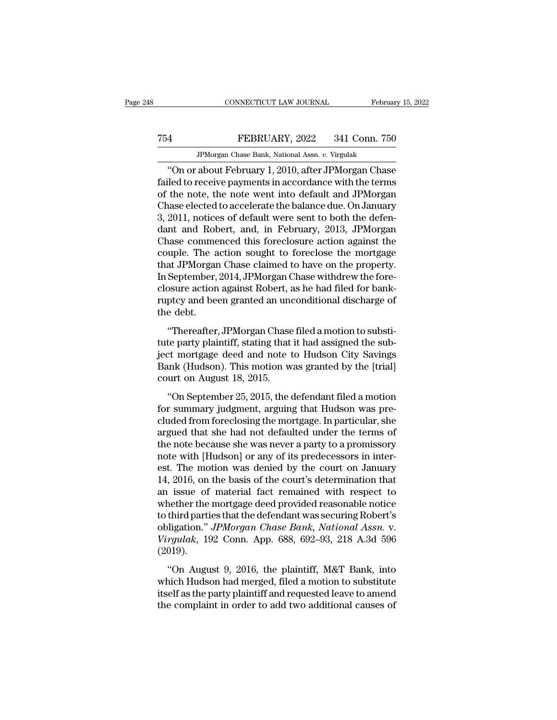## MONETICUT LAW JOURNAL February 15, 2022<br>
TEBRUARY, 2022 341 Conn. 750<br>
JPMorgan Chase Bank, National Assn. v. Virgulak EXERUARY, 2022 341 Conn. 750<br>FEBRUARY, 2022 341 Conn. 750<br>JPMorgan Chase Bank, National Assn. *v.* Virgulak<br>about February 1 2010, after JPMorgan Chase

CONNECTICUT LAW JOURNAL February 15, 2022<br>
4<br>
FEBRUARY, 2022 341 Conn. 750<br>
JPMorgan Chase Bank, National Assn. v. Virgulak<br>
"On or about February 1, 2010, after JPMorgan Chase<br>
iled to receive payments in accordance with FEBRUARY, 2022 341 Conn. 750<br>
FMorgan Chase Bank, National Assn. v. Virgulak<br>
"On or about February 1, 2010, after JPMorgan Chase<br>
failed to receive payments in accordance with the terms<br>
of the note, the note went into de T54 FEBRUARY, 2022 341 Conn. 750<br>
FMorgan Chase Bank, National Assn. v. Virgulak<br>
"On or about February 1, 2010, after JPMorgan Chase<br>
failed to receive payments in accordance with the terms<br>
of the note, the note went int T54 FEBRUARY, 2022 341 Conn. 750<br>
JPMorgan Chase Bank, National Assn. v. Virgulak<br>
"On or about February 1, 2010, after JPMorgan Chase<br>
failed to receive payments in accordance with the terms<br>
of the note, the note went in  $754$  FEBRUARY, 2022 341 Conn. 750<br>JPMorgan Chase Bank, National Assn. v. Virgulak<br>"On or about February 1, 2010, after JPMorgan Chase<br>failed to receive payments in accordance with the terms<br>of the note, the note went int JPMorgan Chase Bank, National Assn.  $v$ . Virgulak<br>
"On or about February 1, 2010, after JPMorgan Chase<br>
failed to receive payments in accordance with the terms<br>
of the note, the note went into default and JPMorgan<br>
Chase "On or about February 1, 2010, after JPMorgan Chase<br>failed to receive payments in accordance with the terms<br>of the note, the note went into default and JPMorgan<br>Chase elected to accelerate the balance due. On January<br>3, 20 failed to receive payments in accordance with the terms<br>of the note, the note went into default and JPMorgan<br>Chase elected to accelerate the balance due. On January<br>3, 2011, notices of default were sent to both the defen-<br> of the note, the note went into default and JPMorgan<br>Chase elected to accelerate the balance due. On January<br>3, 2011, notices of default were sent to both the defen-<br>dant and Robert, and, in February, 2013, JPMorgan<br>Chase Chase elected to accelerate the balance due. On January<br>3, 2011, notices of default were sent to both the defen-<br>dant and Robert, and, in February, 2013, JPMorgan<br>Chase commenced this foreclosure action against the<br>couple. 3, 2011, notices of default were sent to both the defendant and Robert, and, in February, 2013, JPMorgan Chase commenced this foreclosure action against the couple. The action sought to foreclose the mortgage that JPMorgan dant and Robert, and, in February, 2013, JPMorgan<br>Chase commenced this foreclosure action against the<br>couple. The action sought to foreclose the mortgage<br>that JPMorgan Chase claimed to have on the property.<br>In September, 2 Chase comme<br>couple. The a<br>that JPMorgar<br>In September,<br>closure action<br>ruptcy and bee<br>the debt.<br>"Thereafter, and JPMorgan Chase claimed to have on the property.<br>September, 2014, JPMorgan Chase withdrew the fore-<br>osure action against Robert, as he had filed for bank-<br>ptcy and been granted an unconditional discharge of<br>e debt.<br>"The In September, 2014, JPMorgan Chase withdrew the fore-<br>closure action against Robert, as he had filed for bank-<br>ruptcy and been granted an unconditional discharge of<br>the debt.<br>"Thereafter, JPMorgan Chase filed a motion to s

morpermor, 2011, or morgan chase what<br>are when the tote closure action against Robert, as he had filed for bank-<br>ruptcy and been granted an unconditional discharge of<br>the debt.<br>"Thereafter, JPMorgan Chase filed a motion to ruptcy and been granted an unconditional discharge of<br>the debt.<br>"Thereafter, JPMorgan Chase filed a motion to substi-<br>tute party plaintiff, stating that it had assigned the sub-<br>ject mortgage deed and note to Hudson City S raptey and seen granted an and<br>the debt.<br>"Thereafter, JPMorgan Chase<br>tute party plaintiff, stating that<br>ject mortgage deed and note t<br>Bank (Hudson). This motion w<br>court on August 18, 2015.<br>"On September 25, 2015, the o "Thereafter, JPMorgan Chase filed a motion to substite<br>te party plaintiff, stating that it had assigned the sub-<br>ext mortgage deed and note to Hudson City Savings<br>unk (Hudson). This motion was granted by the [trial]<br>urt on Friendrer, or morgan endse med amodon to substant<br>tute party plaintiff, stating that it had assigned the sub-<br>ject mortgage deed and note to Hudson City Savings<br>Bank (Hudson). This motion was granted by the [trial]<br>court o

clude from foreclosing that that assigned the state<br>ject mortgage deed and note to Hudson City Savings<br>Bank (Hudson). This motion was granted by the [trial]<br>court on August 18, 2015.<br>"On September 25, 2015, the defendant f Bank (Hudson). This motion was granted by the [trial]<br>court on August 18, 2015.<br>"On September 25, 2015, the defendant filed a motion<br>for summary judgment, arguing that Hudson was pre-<br>cluded from foreclosing the mortgage. Each (Fractson). First model was granted by the [driar]<br>court on August 18, 2015.<br>"On September 25, 2015, the defendant filed a motion<br>for summary judgment, arguing that Hudson was pre-<br>cluded from foreclosing the mortgag "On September 25, 2015, the defendant filed a motion<br>for summary judgment, arguing that Hudson was pre-<br>cluded from foreclosing the mortgage. In particular, she<br>argued that she had not defaulted under the terms of<br>the not "On September 25, 2015, the defendant filed a motion<br>for summary judgment, arguing that Hudson was pre-<br>cluded from foreclosing the mortgage. In particular, she<br>argued that she had not defaulted under the terms of<br>the not for summary judgment, arguing that Hudson was pre-<br>cluded from foreclosing the mortgage. In particular, she<br>argued that she had not defaulted under the terms of<br>the note because she was never a party to a promissory<br>note w cluded from foreclosing the mortgage. In particular, she<br>argued that she had not defaulted under the terms of<br>the note because she was never a party to a promissory<br>note with [Hudson] or any of its predecessors in inter-<br>e argued that she had not defaulted under the terms of<br>the note because she was never a party to a promissory<br>note with [Hudson] or any of its predecessors in inter-<br>est. The motion was denied by the court on January<br>14, 201 the note because she was never a party to a promissory<br>note with [Hudson] or any of its predecessors in inter-<br>est. The motion was denied by the court on January<br>14, 2016, on the basis of the court's determination that<br>an note with [Hudson] or any of its predecessors in interest. The motion was denied by the court on January 14, 2016, on the basis of the court's determination that an issue of material fact remained with respect to whether t est. The motion was denied by the court on January 14, 2016, on the basis of the court's determination that an issue of material fact remained with respect to whether the mortgage deed provided reasonable notice to third p (2019). The mortgage deed provided reasonable notice<br>
third parties that the defendant was securing Robert's<br>
ligation." *JPMorgan Chase Bank*, *National Assn.* v.<br> *rgulak*, 192 Conn. App. 688, 692–93, 218 A.3d 596<br>
019).<br>
"On Au which the mortgage deca provided reasonable holder<br>to third parties that the defendant was securing Robert's<br>obligation." *JPMorgan Chase Bank*, *National Assn.* v.<br>Virgulak, 192 Conn. App. 688, 692–93, 218 A.3d 596<br>(2019)

itself as the determinant was seeding reserves obligation." *JPMorgan Chase Bank*, *National Assn.* v. *Virgulak*, 192 Conn. App. 688, 692–93, 218 A.3d 596 (2019).<br>"On August 9, 2016, the plaintiff, M&T Bank, into which Hu Ultransfer of the complete to add two additional causes of the complaint in order to add two additional causes of the complaint in order to add two additional causes of the complaint in order to add two additional causes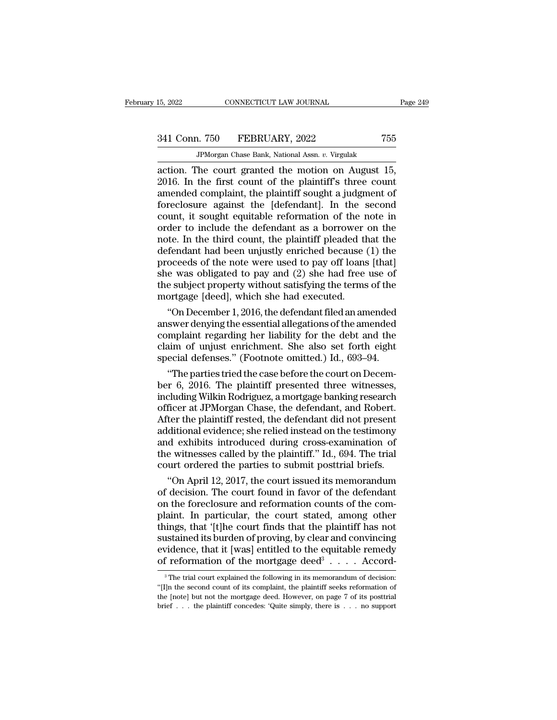# 341 Conn. 750 FEBRUARY, 2022 <sup>755</sup>

1. 750 FEBRUARY, 2022 758<br>1. 750 FEBRUARY, 2022 758<br>JPMorgan Chase Bank, National Assn. *v.* Virgulak<br>The court granted the motion on August 15 2022 CONNECTICUT LAW JOURNAL Page :<br>
341 Conn. 750 FEBRUARY, 2022 755<br>
PMorgan Chase Bank, National Assn. v. Virgulak<br>
2016. In the first count of the plaintiff's three count<br>
2016. In the first count of the plaintiff's th 2016. In the first count of the Jahren of the second foreclesure against the Idefendantly In the second foreclesure against the Idefendantly In the second 341 Conn. 750 FEBRUARY, 2022 755<br>
PMorgan Chase Bank, National Assn. v. Virgulak<br>
action. The court granted the motion on August 15,<br>
2016. In the first count of the plaintiff's three count<br>
amended complaint, the plainti  $341$  Conn. 750 FEBRUARY, 2022 755<br>
FMorgan Chase Bank, National Assn. v. Virgulak<br>
action. The court granted the motion on August 15,<br>
2016. In the first count of the plaintiff's three count<br>
amended complaint, the plain TPMorgan Chase Bank, National Assn. v. Virgulak<br>action. The court granted the motion on August 15,<br>2016. In the first count of the plaintiff's three count<br>amended complaint, the plaintiff sought a judgment of<br>foreclosure JPMorgan Chase Bank, National Assn.  $v$ . Virgulak<br>action. The court granted the motion on August 15,<br>2016. In the first count of the plaintiff's three count<br>amended complaint, the plaintiff sought a judgment of<br>foreclosur action. The court granted the motion on August 15,<br>2016. In the first count of the plaintiff's three count<br>amended complaint, the plaintiff sought a judgment of<br>foreclosure against the [defendant]. In the second<br>count, it 2016. In the first count of the plaintiff's three count<br>amended complaint, the plaintiff sought a judgment of<br>foreclosure against the [defendant]. In the second<br>count, it sought equitable reformation of the note in<br>order amended complaint, the plaintiff sought a judgment of<br>foreclosure against the [defendant]. In the second<br>count, it sought equitable reformation of the note in<br>order to include the defendant as a borrower on the<br>note. In th foreclosure against the [defendant]. In the second<br>count, it sought equitable reformation of the note in<br>order to include the defendant as a borrower on the<br>note. In the third count, the plaintiff pleaded that the<br>defendan count, it sought equitable reformation of the note in<br>order to include the defendant as a borrower on the<br>note. In the third count, the plaintiff pleaded that the<br>defendant had been unjustly enriched because (1) the<br>procee order to include the defendant as a borrower<br>note. In the third count, the plaintiff pleaded th<br>defendant had been unjustly enriched because<br>proceeds of the note were used to pay off loans<br>she was obligated to pay and (2) the. In the third count, the plaintiff pleaded that the fendant had been unjustly enriched because (1) the oceeds of the note were used to pay off loans [that] e was obligated to pay and (2) she had free use of e subject p defendant had been unjustly enriched because (1) the<br>proceeds of the note were used to pay off loans [that]<br>she was obligated to pay and (2) she had free use of<br>the subject property without satisfying the terms of the<br>mort

proceeds of the note were used to pay off loans [that]<br>she was obligated to pay and (2) she had free use of<br>the subject property without satisfying the terms of the<br>mortgage [deed], which she had executed.<br>"On December 1, she was obligated to pay and (2) she had free use of<br>the subject property without satisfying the terms of the<br>mortgage [deed], which she had executed.<br>"On December 1, 2016, the defendant filed an amended<br>answer denying th the subject property without satisfying the terms of the<br>mortgage [deed], which she had executed.<br>"On December 1, 2016, the defendant filed an amended<br>answer denying the essential allegations of the amended<br>complaint regar "On December 1, 2016, the defendant filed an amended<br>swer denying the essential allegations of the amended<br>mplaint regarding her liability for the debt and the<br>aim of unjust enrichment. She also set forth eight<br>ecial defe "On December 1, 2016, the defendant filed an amended<br>answer denying the essential allegations of the amended<br>complaint regarding her liability for the debt and the<br>claim of unjust enrichment. She also set forth eight<br>speci

answer denying the essential allegations of the amended<br>complaint regarding her liability for the debt and the<br>claim of unjust enrichment. She also set forth eight<br>special defenses." (Footnote omitted.) Id., 693–94.<br>"The p complaint regarding her liability for the debt and the<br>claim of unjust enrichment. She also set forth eight<br>special defenses." (Footnote omitted.) Id., 693–94.<br>"The parties tried the case before the court on Decem-<br>ber 6, claim of unjust enrichment. She also set forth eight<br>special defenses." (Footnote omitted.) Id., 693–94.<br>"The parties tried the case before the court on Decem-<br>ber 6, 2016. The plaintiff presented three witnesses,<br>includin special defenses." (Footnote omitted.) Id., 693–94.<br>
"The parties tried the case before the court on December 6, 2016. The plaintiff presented three witnesses,<br>
including Wilkin Rodriguez, a mortgage banking research<br>
offi "The parties tried the case before the court on December 6, 2016. The plaintiff presented three witnesses, including Wilkin Rodriguez, a mortgage banking research officer at JPMorgan Chase, the defendant, and Robert. Afte ber 6, 2016. The plaintiff presented three witnesses,<br>including Wilkin Rodriguez, a mortgage banking research<br>officer at JPMorgan Chase, the defendant, and Robert.<br>After the plaintiff rested, the defendant did not present<br> including Wilkin Rodriguez, a mortgage banking research<br>officer at JPMorgan Chase, the defendant, and Robert.<br>After the plaintiff rested, the defendant did not present<br>additional evidence; she relied instead on the testimo ficer at JPMorgan Chase, the defendant, and Robert.<br>
ter the plaintiff rested, the defendant did not present<br>
ditional evidence; she relied instead on the testimony<br>
d exhibits introduced during cross-examination of<br>
e wit After the plaintiff rested, the defendant did not present<br>additional evidence; she relied instead on the testimony<br>and exhibits introduced during cross-examination of<br>the witnesses called by the plaintiff." Id., 694. The t

additional evidence; she relied instead on the testimony<br>and exhibits introduced during cross-examination of<br>the witnesses called by the plaintiff." Id., 694. The trial<br>court ordered the parties to submit posttrial briefs. and exhibits introduced during cross-examination of<br>the witnesses called by the plaintiff." Id., 694. The trial<br>court ordered the parties to submit posttrial briefs.<br>"On April 12, 2017, the court issued its memorandum<br>of d the witnesses called by the plaintiff." Id., 694. The trial<br>court ordered the parties to submit posttrial briefs.<br>"On April 12, 2017, the court issued its memorandum<br>of decision. The court found in favor of the defendant<br>o court ordered the parties to submit posttrial briefs.<br>
"On April 12, 2017, the court issued its memorandum<br>
of decision. The court found in favor of the defendant<br>
on the foreclosure and reformation counts of the com-<br>
pl "On April 12, 2017, the court issued its memorandum<br>of decision. The court found in favor of the defendant<br>on the foreclosure and reformation counts of the com-<br>plaint. In particular, the court stated, among other<br>things, of decision. The court found in favor of the<br>on the foreclosure and reformation counts o<br>plaint. In particular, the court stated, am<br>things, that '[t]he court finds that the plaint<br>sustained its burden of proving, by clea f the defendant<br>nts of the com-<br>, among other<br>laintiff has not<br>and convincing<br>uitable remedy<br>.....Accord-<br>randum of decision: impter in the trial court explained its burden of proving, by clear and convincing<br>increase that it [was] entitled to the equitable remedy<br>f reformation of the mortgage deed<sup>3</sup> . . . . Accord-<br><sup>3</sup>The trial court explained sustained its burden of proving, by clear and convincing<br>
evidence, that it [was] entitled to the equitable remedy<br>
of reformation of the mortgage deed<sup>3</sup> . . . . Accord-<br>
<sup>3</sup>The trial court explained the following in its of reformation of the mortgage deed<sup>3</sup>....  $\text{Accord-}$ 

evidence, that it [was] entitled to the equitable remedy<br>of reformation of the mortgage deed<sup>3</sup> . . . . Accord-<br><sup>3</sup>The trial court explained the following in its memorandum of decision:<br>"[I]n the second count of its compl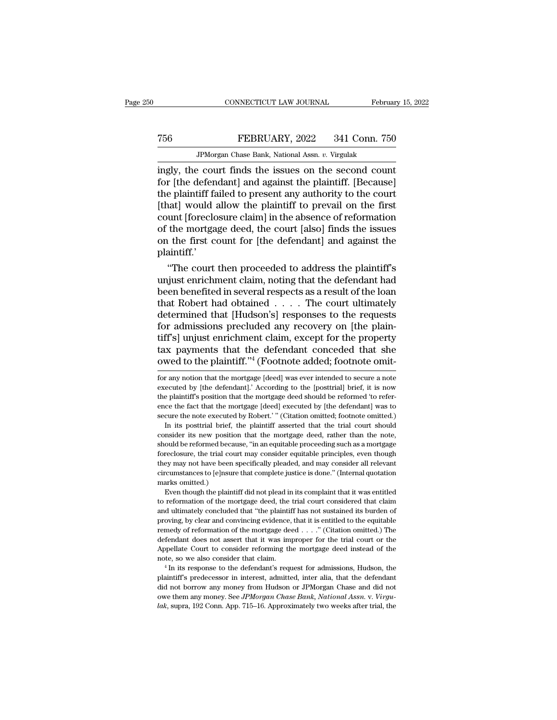## MONETICUT LAW JOURNAL February 15, 2022<br>
TEBRUARY, 2022 341 Conn. 750<br>
JPMorgan Chase Bank, National Assn. v. Virgulak CONNECTICUT LAW JOURNAL Februa<br>FEBRUARY, 2022 341 Conn. 750<br>JPMorgan Chase Bank, National Assn. *v.* Virgulak<br>Prount finds the issues on the second council

CONNECTICUT LAW JOURNAL February 15, 202<br>
FEBRUARY, 2022 341 Conn. 750<br>
IPMorgan Chase Bank, National Assn. v. Virgulak<br>
ingly, the court finds the issues on the second count<br>
for [the defendant] and against the plaintiff. FEBRUARY, 2022 341 Conn. 750<br>
FEBRUARY, 2022 341 Conn. 750<br>
IPMorgan Chase Bank, National Assn. v. Virgulak<br>
ingly, the court finds the issues on the second count<br>
for [the defendant] and against the plaintiff. [Because]<br> The FEBRUARY, 2022 341 Conn. 750<br>
TPMorgan Chase Bank, National Assn. v. Virgulak<br>
ingly, the court finds the issues on the second count<br>
for [the defendant] and against the plaintiff. [Because]<br>
the plaintiff failed to p TEBRUARY, 2022 341 Conn. 750<br>
JPMorgan Chase Bank, National Assn.  $v$ . Virgulak<br>
ingly, the court finds the issues on the second count<br>
for [the defendant] and against the plaintiff. [Because]<br>
the plaintiff failed to pre FEDECTRET, 2022 FORT COTATIONS<br>
IPMorgan Chase Bank, National Assn. v. Virgulak<br>
for [the defendant] and against the plaintiff. [Because]<br>
the plaintiff failed to present any authority to the court<br>
[that] would allow the JPMorgan Chase Bank, National Assn. v. Virgulak<br>ingly, the court finds the issues on the second count<br>for [the defendant] and against the plaintiff. [Because]<br>the plaintiff failed to present any authority to the court<br>[tha ingly, the court finds the issues on the second count<br>for [the defendant] and against the plaintiff. [Because]<br>the plaintiff failed to present any authority to the court<br>[that] would allow the plaintiff to prevail on the f plaintiff.' e plaintiff railed to present any authority to the court<br>
hat] would allow the plaintiff to prevail on the first<br>
unt [foreclosure claim] in the absence of reformation<br>
the mortgage deed, the court [also] finds the issues<br> [that] would allow the plaintiff to prevail on the first<br>count [foreclosure claim] in the absence of reformation<br>of the mortgage deed, the court [also] finds the issues<br>on the first count for [the defendant] and against th

count [foreclosure claim] in the absence of reformation<br>of the mortgage deed, the court [also] finds the issues<br>on the first count for [the defendant] and against the<br>plaintiff.'<br>"The court then proceeded to address the p of the mortgage deed, the court [also] finds the issues<br>on the first count for [the defendant] and against the<br>plaintiff.'<br>"The court then proceeded to address the plaintiff's<br>unjust enrichment claim, noting that the defen on the first count for [the defendant] and against the<br>plaintiff.'<br>"The court then proceeded to address the plaintiff's<br>unjust enrichment claim, noting that the defendant had<br>been benefited in several respects as a result plaintiff.<br>
"The court then proceeded to address the plaintiff's<br>
unjust enrichment claim, noting that the defendant had<br>
been benefited in several respects as a result of the loan<br>
that Robert had obtained . . . . The cou "The court then proceeded to address the plaintiff's<br>unjust enrichment claim, noting that the defendant had<br>been benefited in several respects as a result of the loan<br>that Robert had obtained  $\ldots$ . The court ultimately<br>d unjust enrichment claim, noting that the defendant had<br>been benefited in several respects as a result of the loan<br>that Robert had obtained  $\ldots$ . The court ultimately<br>determined that [Hudson's] responses to the requests<br>f been benefited in several respects as a result of the loan<br>that Robert had obtained . . . . The court ultimately<br>determined that [Hudson's] responses to the requests<br>for admissions precluded any recovery on [the plain-<br>tif for admissions precluded any recovery on [the plaintiff's] unjust enrichment claim, except for the property tax payments that the defendant conceded that she owed to the plaintiff."<sup>4</sup> (Footnote added; footnote omit-<br>for a tiff's] unjust enrichment claim, except for the property<br>tax payments that the defendant conceded that she<br>owed to the plaintiff."<sup>4</sup> (Footnote added; footnote omit-<br>for any notion that the mortgage [deed] was ever intende

the plaintiff's position that the mortgage deed should be reformed 'to reference the fact that the mortgage [deed] executed by [the defendant] was to secure the note executed by Robert.'" (Citation omitted; footnote omitte ence the fact that the mortgage [deed] executed by [the defendant] was to secure the note executed by Robert.'" (Citation omitted; footnote omitted.) In its posttrial brief, the plaintiff asserted that the trial court shou secure the note executed by Robert.'" (Citation omitted; footnote omitted.)<br>In its posttrial brief, the plaintiff asserted that the trial court should<br>consider its new position that the mortgage deed, rather than the note, In its posttrial brief, the plaintiff asserted that the trial court should consider its new position that the mortgage deed, rather than the note, should be reformed because, "in an equitable proceeding such as a mortgage consider its new position that the mortgage deed, rather than the note, should be reformed because, "in an equitable proceeding such as a mortgage foreclosure, the trial court may consider equitable principles, even though From the plaintiff did not plead in its complaint that it was entitled proceeding such as a mortgage reclosure, the trial court may consider equitable principles, even though they may not have been specifically pleaded, an foreclosure, the trial court may consider equitable principles, even though<br>they may not have been specifically pleaded, and may consider all relevant<br>circumstances to [e]nsure that complete justice is done." (Internal quo

and ultimately concluded that "the plaintiff has not sustained its burden of proving, by clear and convincing evidence, that it is entitled to the equitable proving, by clear and complete justice is done." (Internal quotation marks omitted.)<br>Even though the plaintiff did not plead in its complaint that it was entitled to reformation of the mortgage deed, the trial court consi remeats omitted.)<br>
Even though the plaintiff did not plead in its complaint that it was entitled<br>
to reformation of the mortgage deed, the trial court considered that claim<br>
and ultimately concluded that "the plaintiff has Even though the plaintiff did not plead in its complaint that it was entitled to reformation of the mortgage deed, the trial court considered that claim and ultimately concluded that "the plaintiff has not sustained its b to reformation of the mortgage deed, the trial court considered that claim<br>and ultimately concluded that "the plaintiff has not sustained its burden of<br>proving, by clear and convincing evidence, that it is entitled to the and ultimately concluded that "the plaintiff has not sustained its burden of proving, by clear and convincing evidence, that it is entitled to the equitable remedy of reformation of the mortgage deed  $\ldots$ ." (Citation omi remedy of reformation of the mortgage deed . . . ." (Citation omitted.) The defendant does not assert that it was improper for the trial court or the Appellate Court to consider reforming the mortgage deed instead of the Appellate Court to consider reforming the mortgage deed instead of the

defendant does not assert that it was improper for the trial court or the Appellate Court to consider reforming the mortgage deed instead of the note, so we also consider that claim.<br>
<sup>4</sup> In its response to the defendant' <sup>4</sup> In its response to the defendant's request for admissions, Hudson, the

tax payments that the defendant conceded that she<br>owed to the plaintiff."<sup>4</sup> (Footnote added; footnote omit-<br>for any notion that the mortgage [deed] was ever intended to secure a note<br>executed by [the defendant].' Accordin owed to the plaintiff."<sup>4</sup> (Footnote added; footnote omit-<br>for any notion that the mortgage [deed] was ever intended to secure a note<br>executed by [the defendant].' According to the [posttrial] brief, it is now<br>the plaintif secure to the plantimal. The note added; hootnote omit-<br>for any notion that the mortgage [deed] was ever intended to secure a note<br>executed by [the defendant].' According to the [posttrial] brief, it is now<br>the plaintiff's In the mortgage (deed) was ever intended to secure a note eccuted by [the defendant].' According to the [posttrial] brief, it is now e plaintiff's position that the mortgage deed should be reformed 'to refer-<br>ce the fact t executed by [the defendant].' According to the [posttrial] brief, it is now the plaintiff's position that the mortgage deed should be reformed 'to reference the fact that the mortgage [deed] executed by [the defendant] was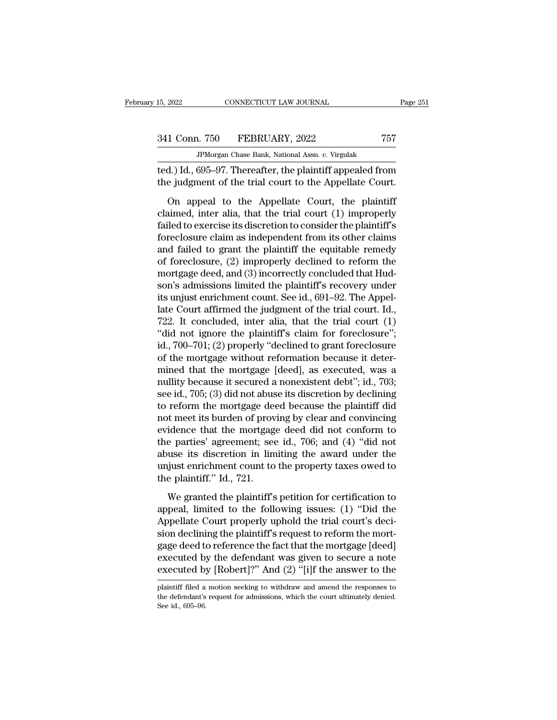JPMorgan Chase Bank, National Assn. *v.* Virgulak 15, 2022 CONNECTICUT LAW JOURNAL Page 251<br>
341 Conn. 750 FEBRUARY, 2022 757<br>
JPMorgan Chase Bank, National Assn. v. Virgulak<br>
ted.) Id., 695–97. Thereafter, the plaintiff appealed from<br>
the judgment of the trial court to t 341 Conn. 750 FEBRUARY, 2022 757<br>
JPMorgan Chase Bank, National Assn. v. Virgulak<br>
ted.) Id., 695–97. Thereafter, the plaintiff appealed from<br>
the judgment of the trial court to the Appellate Court.<br>
On appeal to the Appel

1 Conn. 750 FEBRUARY, 2022 757<br>
JPMorgan Chase Bank, National Assn. v. Virgulak<br>
(d.) Id., 695–97. Thereafter, the plaintiff appealed from<br>
e judgment of the trial court to the Appellate Court.<br>
On appeal to the Appellate 341 Conn. 750 FEBRUARY, 2022 767<br>
FMorgan Chase Bank, National Assn. v. Virgulak<br>
ted.) Id., 695–97. Thereafter, the plaintiff appealed from<br>
the judgment of the trial court to the Appellate Court.<br>
On appeal to the Appel JPMorgan Chase Bank, National Assn.  $v$ . Virgulak<br>ted.) Id., 695–97. Thereafter, the plaintiff appealed from<br>the judgment of the trial court to the Appellate Court.<br>On appeal to the Appellate Court, the plaintiff<br>claimed, fed.) Id., 695–97. Thereafter, the plaintiff appealed from<br>the judgment of the trial court to the Appellate Court.<br>On appeal to the Appellate Court, the plaintiff<br>claimed, inter alia, that the trial court (1) improperly<br>f the judgment of the trial court to the Appellate Court.<br>
On appeal to the Appellate Court, the plaintiff<br>
claimed, inter alia, that the trial court (1) improperly<br>
failed to exercise its discretion to consider the plainti of foreclosure in the Appellate Court, the plaintiff<br>claimed, inter alia, that the trial court (1) improperly<br>failed to exercise its discretion to consider the plaintiff's<br>foreclosure claim as independent from its other cl On appeal to the Appellate Court, the plaintiff<br>claimed, inter alia, that the trial court (1) improperly<br>failed to exercise its discretion to consider the plaintiff's<br>foreclosure claim as independent from its other claims claimed, inter alia, that the trial court (1) improperly<br>failed to exercise its discretion to consider the plaintiff's<br>foreclosure claim as independent from its other claims<br>and failed to grant the plaintiff the equitable failed to exercise its discretion to consider the plaintiff's<br>foreclosure claim as independent from its other claims<br>and failed to grant the plaintiff the equitable remedy<br>of foreclosure, (2) improperly declined to reform foreclosure claim as independent from its other claims<br>and failed to grant the plaintiff the equitable remedy<br>of foreclosure, (2) improperly declined to reform the<br>mortgage deed, and (3) incorrectly concluded that Hud-<br>son and failed to grant the plaintiff the equitable remedy<br>of foreclosure, (2) improperly declined to reform the<br>mortgage deed, and (3) incorrectly concluded that Hud-<br>son's admissions limited the plaintiff's recovery under<br>it of foreclosure, (2) improperly declined to reform the<br>
mortgage deed, and (3) incorrectly concluded that Hud-<br>
son's admissions limited the plaintiff's recovery under<br>
its unjust enrichment count. See id., 691–92. The Appe mortgage deed, and (3) incorrectly concluded that Hudson's admissions limited the plaintiff's recovery under<br>its unjust enrichment count. See id., 691–92. The Appel-<br>late Court affirmed the judgment of the trial court. Id. son's admissions limited the plaintiff's recovery under<br>its unjust enrichment count. See id., 691–92. The Appel-<br>late Court affirmed the judgment of the trial court. Id.,<br>722. It concluded, inter alia, that the trial court its unjust enrichment count. See id., 691–92. The Appellate Court affirmed the judgment of the trial court. Id., 722. It concluded, inter alia, that the trial court (1) "did not ignore the plaintiff's claim for foreclosur late Court affirmed the judgment of the trial court. Id.,<br>722. It concluded, inter alia, that the trial court (1)<br>"did not ignore the plaintiff's claim for foreclosure";<br>id., 700–701; (2) properly "declined to grant forecl 722. It concluded, inter alia, that the trial court  $(1)$ <br>"did not ignore the plaintiff's claim for foreclosure";<br>id., 700–701; (2) properly "declined to grant foreclosure<br>of the mortgage without reformation because it de "did not ignore the plaintiff's claim for foreclosure";<br>id., 700–701; (2) properly "declined to grant foreclosure<br>of the mortgage without reformation because it deter-<br>mined that the mortgage [deed], as executed, was a<br>nu id., 700–701; (2) properly "declined to grant foreclosure<br>of the mortgage without reformation because it deter-<br>mined that the mortgage [deed], as executed, was a<br>nullity because it secured a nonexistent debt"; id., 703;<br> of the mortgage without reformation because it deter-<br>mined that the mortgage [deed], as executed, was a<br>nullity because it secured a nonexistent debt"; id., 703;<br>see id., 705; (3) did not abuse its discretion by declining mined that the mortgage [deed], as executed, was a<br>nullity because it secured a nonexistent debt"; id., 703;<br>see id., 705; (3) did not abuse its discretion by declining<br>to reform the mortgage deed because the plaintiff did nullity because it secured a nonexistent debt"; id., 703;<br>see id., 705; (3) did not abuse its discretion by declining<br>to reform the mortgage deed because the plaintiff did<br>not meet its burden of proving by clear and convin see id., 705; (3) did not abuse its discretion by declining<br>to reform the mortgage deed because the plaintiff did<br>not meet its burden of proving by clear and convincing<br>evidence that the mortgage deed did not conform to<br>th to reform the mortgage denot meet its burden of provevidence that the mortgag<br>the parties' agreement; see<br>abuse its discretion in lim<br>unjust enrichment count to<br>the plaintiff.'' Id., 721.<br>We granted the plaintiff's idence that the mortgage deed did not conform to<br>e parties' agreement; see id., 706; and (4) "did not<br>use its discretion in limiting the award under the<br>ijust enrichment count to the property taxes owed to<br>e plaintiff." Id the parties' agreement; see id., 706; and (4) "did not<br>abuse its discretion in limiting the award under the<br>unjust enrichment count to the property taxes owed to<br>the plaintiff." Id., 721.<br>We granted the plaintiff's petitio

abuse its discretion in limiting the award under the<br>unjust enrichment count to the property taxes owed to<br>the plaintiff." Id., 721.<br>We granted the plaintiff's petition for certification to<br>appeal, limited to the following unjust enrichment count to the property taxes owed to<br>the plaintiff." Id., 721.<br>We granted the plaintiff's petition for certification to<br>appeal, limited to the following issues: (1) "Did the<br>Appellate Court properly uphold the plaintiff." Id., 721.<br>We granted the plaintiff's petition for certification to<br>appeal, limited to the following issues: (1) "Did the<br>Appellate Court properly uphold the trial court's deci-<br>sion declining the plaintiff We granted the plaintiff's petition for certification to<br>appeal, limited to the following issues: (1) "Did the<br>Appellate Court properly uphold the trial court's deci-<br>sion declining the plaintiff's request to reform the mo We granted the plaintiff's petition for certification to<br>appeal, limited to the following issues: (1) "Did the<br>Appellate Court properly uphold the trial court's deci-<br>sion declining the plaintiff's request to reform the mo sion declining the plaintiff s request to reform the mortgage deed to reference the fact that the mortgage [deed] executed by the defendant was given to secure a note executed by [Robert]?" And (2) "[i]f the answer to the gage deed to reference the fact that the mortgage [deed] executed by the defendant was given to secure a note executed by [Robert]?" And (2) "[i]f the answer to the plaintiff filed a motion seeking to withdraw and amend th executed b<br>Executed b<br>plaintiff filed a<br>the defendant's<br>See id., 695–96.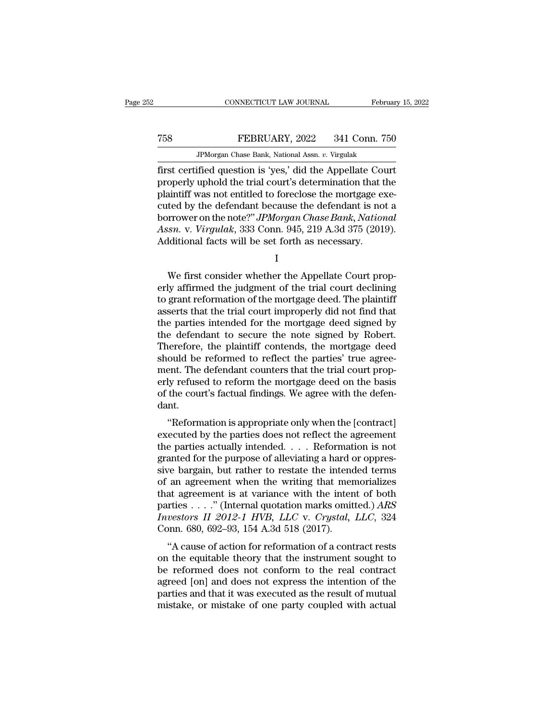## MONETICUT LAW JOURNAL February 15, 2022<br>
TEBRUARY, 2022 341 Conn. 750<br>
JPMorgan Chase Bank, National Assn. v. Virgulak MONNECTICUT LAW JOURNAL Februa<br>FEBRUARY, 2022 341 Conn. 756<br>JPMorgan Chase Bank, National Assn. *v.* Virgulak<br>JFMorgan Chase Bank, National Assn. *v.* Virgulak

February 15, 202<br>
FEBRUARY, 2022 341 Conn. 750<br>
FEBRUARY, 2022 341 Conn. 750<br>
FEBRUARY, 2022 341 Conn. 750<br>
FEBRUARY, 2022 341 Conn. 750<br>
FEBRUARY, 2022 341 Conn. 750<br>
FIRST CERTIFIED TO THE APPEL OF THE APPEL OF THE APPEL FEBRUARY, 2022 341 Conn. 750<br>
PMorgan Chase Bank, National Assn. v. Virgulak<br>
first certified question is 'yes,' did the Appellate Court<br>
properly uphold the trial court's determination that the<br>
plaintiff was not entitled FEBRUARY, 2022 341 Conn. 750<br>
PMorgan Chase Bank, National Assn. v. Virgulak<br>
first certified question is 'yes,' did the Appellate Court<br>
properly uphold the trial court's determination that the<br>
plaintiff was not entitled TEBRUARY, 2022 341 Conn. 750<br>
JPMorgan Chase Bank, National Assn. v. Virgulak<br>
first certified question is 'yes,' did the Appellate Court<br>
properly uphold the trial court's determination that the<br>
plaintiff was not entitl **Borrower, 2022 Canal 100**<br> **Borrower on the IPMorgan Chase Bank, National Assn. v. Virgulak**<br> **first certified question is 'yes,' did the Appellate Court**<br>
properly uphold the trial court's determination that the<br>
plain *APMorgan Chase Bank, National Assn. v. Virgulak*<br> *Assn. v. Virgulak*<br> *Assn. Court*<br> *Assn. Assn. Assn. Assn. Assn. Assn. Assn. Assn. V. Virgulak,* 333 Conn. 945, 219 A.3d 375 (2019).<br> *Additional f* first certified question is 'yes,' did the Appellate Courropperly uphold the trial court's determination that the plaintiff was not entitled to foreclose the mortgage exceed by the defendant because the defendant is no bor ted by the defendant because the defendant is not a<br>prrower on the note?" JPMorgan Chase Bank, National<br>ssn. v. Virgulak, 333 Conn. 945, 219 A.3d 375 (2019).<br>lditional facts will be set forth as necessary.<br>I<br>We first consi

I

borrower on the note?" *JPMorgan Chase Bank*, *National*<br>Assn. v. *Virgulak*, 333 Conn. 945, 219 A.3d 375 (2019).<br>Additional facts will be set forth as necessary.<br>I<br>We first consider whether the Appellate Court prop-<br>erly Assn. v. *Virgulak*, 333 Conn. 945, 219 A.3d 375 (2019).<br>Additional facts will be set forth as necessary.<br>I<br>We first consider whether the Appellate Court prop-<br>erly affirmed the judgment of the trial court declining<br>to gra Additional facts will be set forth as necessary.<br>
I<br>
We first consider whether the Appellate Court properly<br>
affirmed the judgment of the trial court declining<br>
to grant reformation of the mortgage deed. The plaintiff<br>
ass I<br>I<br>We first consider whether the Appellate Court prop-<br>erly affirmed the judgment of the trial court declining<br>to grant reformation of the mortgage deed. The plaintiff<br>asserts that the trial court improperly did not find We first consider whether the Appellate Court properly affirmed the judgment of the trial court declining to grant reformation of the mortgage deed. The plaintiff asserts that the trial court improperly did not find that t We first consider whether the Appellate Court properly affirmed the judgment of the trial court declining<br>to grant reformation of the mortgage deed. The plaintiff<br>asserts that the trial court improperly did not find that<br>t erly affirmed the judgment of the trial court declining<br>to grant reformation of the mortgage deed. The plaintiff<br>asserts that the trial court improperly did not find that<br>the parties intended for the mortgage deed signed b to grant reformation of the mortgage deed. The plaintiff<br>asserts that the trial court improperly did not find that<br>the parties intended for the mortgage deed signed by<br>the defendant to secure the note signed by Robert.<br>The asserts that the trial court improperly did not find that<br>the parties intended for the mortgage deed signed by<br>the defendant to secure the note signed by Robert.<br>Therefore, the plaintiff contends, the mortgage deed<br>should the parties intended for the mortgage deed signed by<br>the defendant to secure the note signed by Robert.<br>Therefore, the plaintiff contends, the mortgage deed<br>should be reformed to reflect the parties' true agree-<br>ment. The dant. ererore, the plantific collections, the inortgage deed<br>
ould be reformed to reflect the parties' true agree-<br>
ent. The defendant counters that the trial court prop-<br>
ly refused to reform the mortgage deed on the basis<br>
the should be reformed to reflect the parties true agreement. The defendant counters that the trial court properly refused to reform the mortgage deed on the basis of the court's factual findings. We agree with the defendant.<br>

thent. The defendant counters that the that court properly refused to reform the mortgage deed on the basis<br>of the court's factual findings. We agree with the defen-<br>dant.<br>"Reformation is appropriate only when the [contrac erly relased to reform the mortgage deed on the basis<br>of the court's factual findings. We agree with the defen-<br>dant.<br>"Reformation is appropriate only when the [contract]<br>executed by the parties does not reflect the agreem or the court's ractual midnigs. We agree while the defendant.<br>
"Reformation is appropriate only when the [contract]<br>
executed by the parties does not reflect the agreement<br>
the parties actually intended . . . . Reformation "Reformation is appropriate only when the [contract]<br>executed by the parties does not reflect the agreement<br>the parties actually intended. . . . Reformation is not<br>granted for the purpose of alleviating a hard or oppres-<br> "Reformation is appropriate only when the [contract]<br>executed by the parties does not reflect the agreement<br>the parties actually intended.... Reformation is not<br>granted for the purpose of alleviating a hard or oppres-<br>siv executed by the parties does not reflect the agreement<br>the parties actually intended. . . . Reformation is not<br>granted for the purpose of alleviating a hard or oppres-<br>sive bargain, but rather to restate the intended terms the parties actually intended. . . . Reformation is not<br>granted for the purpose of alleviating a hard or oppres-<br>sive bargain, but rather to restate the intended terms<br>of an agreement when the writing that memorializes<br>tha granted for the purpose of alleviating a hard or oppressive bargain, but rather to restate the intended terms of an agreement when the writing that memorializes that agreement is at variance with the intent of both partie The bargain, but rather to restate the intentiod terms<br>an agreement is at variance with the intent of both<br>rties . . . ." (Internal quotation marks omitted.) ARS<br>vestors II 2012-1 HVB, LLC v. Crystal, LLC, 324<br>pnn. 680, 6 on an agreement when the writing that inemorializes<br>that agreement is at variance with the intent of both<br>parties . . . ." (Internal quotation marks omitted.) ARS<br>Investors II 2012-1 HVB, LLC v. Crystal, LLC, 324<br>Conn. 68

be a set of the reformation marks omitted.) ARS<br> *Investors II 2012-1 HVB*, *LLC* v. *Crystal*, *LLC*, 324<br>
Conn. 680, 692–93, 154 A.3d 518 (2017).<br>
"A cause of action for reformation of a contract rests<br>
on the equitable parties  $\ldots$  (internal quotation matks onlited.) And *Investors II 2012-1 HVB*, *LLC* v. *Crystal*, *LLC*, 324 Conn. 680, 692–93, 154 A.3d 518 (2017).<br>
"A cause of action for reformation of a contract rests on the equita particular and that it was executed as the result of mutual mistake, or mistake of action for reformation of a contract rests on the equitable theory that the instrument sought to be reformed does not conform to the real "A cause of action for reformation of a contract rests<br>on the equitable theory that the instrument sought to<br>be reformed does not conform to the real contract<br>agreed [on] and does not express the intention of the<br>parties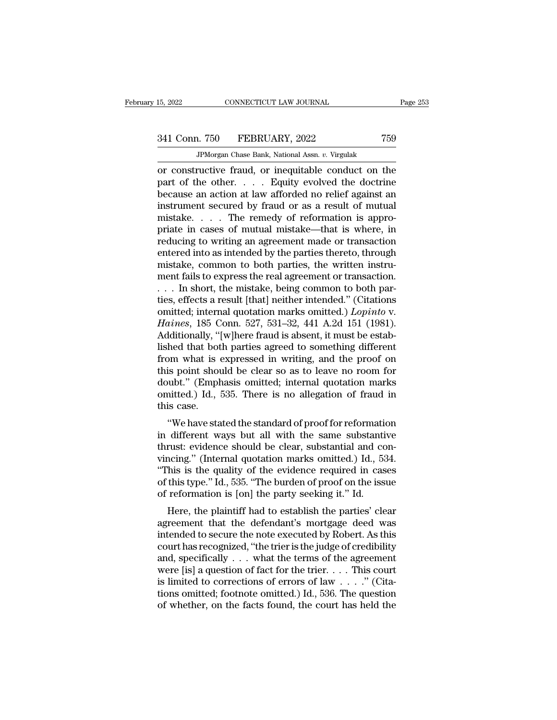# 341 Conn. 750 FEBRUARY, 2022 <sup>759</sup>

JPMorgan Chase Bank, National Assn. *v.* Virgulak THE 2022 CONNECTICUT LAW JOURNAL Page 253<br>
341 Conn. 750 FEBRUARY, 2022 759<br>
37 JPM organ Chase Bank, National Assn. v. Virgulak<br>
TPM organ Chase Bank, National Assn. v. Virgulak<br>
2011 Constructive fraud, or inequitable co 341 Conn. 750 FEBRUARY, 2022 759<br>
PMorgan Chase Bank, National Assn. v. Virgulak<br>
or constructive fraud, or inequitable conduct on the<br>
part of the other. . . . . Equity evolved the doctrine<br>
because an action at law affor  $\begin{array}{c} \text{341 Conn.} \text{750} \quad \text{FEBRUARY, 2022} \quad \text{759} \ \text{JPMorgan Chase Bank, National Assn. } v. \text{ Virgulak} \ \text{or constructive fraud, or inequitable conduct on the part of the other.} \quad . \quad . \quad \text{Equity evolved the doctrine} \text{because an action at law afforded no relief against an instrument secured by fraud or as a result of mutual mictale.} \end{array}$ 341 Conn. 750 FEBRUARY, 2022 759<br>
FPMorgan Chase Bank, National Assn. v. Virgulak<br>
or constructive fraud, or inequitable conduct on the<br>
part of the other. . . . . Equity evolved the doctrine<br>
because an action at law aff JPMorgan Chase Bank, National Assn.  $v$ . Virgulak<br>
or constructive fraud, or inequitable conduct on the<br>
part of the other. . . . . Equity evolved the doctrine<br>
because an action at law afforded no relief against an<br>
inst **PMorgan Chase Bank, National Assn.** v. Virgulak<br>
or constructive fraud, or inequitable conduct on the<br>
part of the other. . . . . Equity evolved the doctrine<br>
because an action at law afforded no relief against an<br>
instr or constructive fraud, or inequitable conduct on the<br>part of the other. . . . . Equity evolved the doctrine<br>because an action at law afforded no relief against an<br>instrument secured by fraud or as a result of mutual<br>mista part of the other.  $\ldots$  Equity evolved the doctrine<br>because an action at law afforded no relief against an<br>instrument secured by fraud or as a result of mutual<br>mistake.  $\ldots$  The remedy of reformation is appro-<br>priate in because an action at law afforded no relief against an instrument secured by fraud or as a result of mutual mistake.... The remedy of reformation is appropriate in cases of mutual mistake—that is where, in reducing to wri instrument secured by fraud or as a result of mutual<br>mistake.... The remedy of reformation is appro-<br>priate in cases of mutual mistake—that is where, in<br>reducing to writing an agreement made or transaction<br>entered into as mistake. . . . . The remedy of reformation is appropriate in cases of mutual mistake—that is where, in reducing to writing an agreement made or transaction entered into as intended by the parties thereto, through mistake, priate in cases of mutual mistake—that is where, in<br>reducing to writing an agreement made or transaction<br>entered into as intended by the parties thereto, through<br>mistake, common to both parties, the written instru-<br>ment f reducing to writing an agreement made or transaction<br>entered into as intended by the parties thereto, through<br>mistake, common to both parties, the written instru-<br>ment fails to express the real agreement or transaction.<br>.. entered into as intended by the parties thereto, through<br>mistake, common to both parties, the written instru-<br>ment fails to express the real agreement or transaction.<br>... In short, the mistake, being common to both par-<br>ti mistake, common to both parties, the written instrument fails to express the real agreement or transaction.<br>  $\dots$  In short, the mistake, being common to both parties, effects a result [that] neither intended." (Citations ment fails to express the real agreement or transaction.<br>  $\ldots$  In short, the mistake, being common to both parties, effects a result [that] neither intended." (Citations<br>
omitted; internal quotation marks omitted.) *Lopi* ... In short, the mistake, being common to both parties, effects a result [that] neither intended." (Citations omitted; internal quotation marks omitted.) *Lopinto* v.<br>*Haines*, 185 Conn. 527, 531–32, 441 A.2d 151 (1981).<br> ties, effects a result [that] neither intended." (Citations<br>omitted; internal quotation marks omitted.) *Lopinto* v.<br>*Haines*, 185 Conn. 527, 531–32, 441 A.2d 151 (1981).<br>Additionally, "[w]here fraud is absent, it must be omitted; internal quotation marks omitted.) *Lopinto* v.<br>Haines, 185 Conn. 527, 531–32, 441 A.2d 151 (1981).<br>Additionally, "[w]here fraud is absent, it must be estab-<br>lished that both parties agreed to something different<br> Haines, 185 Conn. 527, 531–32, 441 A.2d 151 (1981).<br>Additionally, "[w]here fraud is absent, it must be estab-<br>lished that both parties agreed to something different<br>from what is expressed in writing, and the proof on<br>this Additionally, "<br>lished that bot<br>from what is<br>this point shou<br>doubt." (Empl<br>omitted.) Id.,<br>this case.<br>"We have sta The diat bout parties agreed to someting different<br>om what is expressed in writing, and the proof on<br>is point should be clear so as to leave no room for<br>ubt." (Emphasis omitted; internal quotation marks<br>nitted.) Id., 535. from what is expressed in whing, and the proof on<br>this point should be clear so as to leave no room for<br>doubt." (Emphasis omitted; internal quotation marks<br>omitted.) Id., 535. There is no allegation of fraud in<br>this case.

thrustical point should be clear so as to leave no foont for<br>doubt." (Emphasis omitted; internal quotation marks<br>omitted.) Id., 535. There is no allegation of fraud in<br>this case.<br>"We have stated the standard of proof for r vincity. The same divided, internal quotation marks<br>
omitted.) Id., 535. There is no allegation of fraud in<br>
this case.<br>
"We have stated the standard of proof for reformation<br>
in different ways but all with the same substa ommeted.) Tu., 555. There is no anegation of fratium this case.<br>
"We have stated the standard of proof for reformation<br>
in different ways but all with the same substantive<br>
thrust: evidence should be clear, substantial and "We have stated the standard of proof for reformation<br>in different ways but all with the same substantive<br>thrust: evidence should be clear, substantial and con-<br>vincing." (Internal quotation marks omitted.) Id., 534.<br>"This "We have stated the standard of proof for reformation<br>in different ways but all with the same substantit<br>thrust: evidence should be clear, substantial and co<br>vincing." (Internal quotation marks omitted.) Id., 5:<br>"This is t unferent ways but an with the same substantive<br>rust: evidence should be clear, substantial and con-<br>ncing." (Internal quotation marks omitted.) Id., 534.<br>his is the quality of the evidence required in cases<br>this type." Id. Final and Constrainers. Evidence should be clear, substantial and Convincing." (Internal quotation marks omitted.) Id., 534.<br>"This is the quality of the evidence required in cases<br>of this type." Id., 535. "The burden of pr

Finited to secure the note executed by Robert. As this court has recognized, "the burden of proof on the issue<br>of reformation is [on] the party seeking it." Id.<br>Here, the plaintiff had to establish the parties' clear<br>agree This is the quanty of the evidence required in cases<br>of this type." Id., 535. "The burden of proof on the issue<br>of reformation is [on] the party seeking it." Id.<br>Here, the plaintiff had to establish the parties' clear<br>agr of this type. 1d., 555. The burden of proof on the issue<br>of reformation is [on] the party seeking it." Id.<br>Here, the plaintiff had to establish the parties' clear<br>agreement that the defendant's mortgage deed was<br>intended or reformation is [off] the party seeking it. To:<br>
Here, the plaintiff had to establish the parties' clear<br>
agreement that the defendant's mortgage deed was<br>
intended to secure the note executed by Robert. As this<br>
court Here, the plaintiff had to establish the parties' clear<br>agreement that the defendant's mortgage deed was<br>intended to secure the note executed by Robert. As this<br>court has recognized, "the trier is the judge of credibility agreement that the defendant's mortgage deed was<br>intended to secure the note executed by Robert. As this<br>court has recognized, "the trier is the judge of credibility<br>and, specifically . . . what the terms of the agreement<br> intended to secure the note executed by Robert. As this court has recognized, "the trier is the judge of credibility and, specifically  $\dots$  what the terms of the agreement were [is] a question of fact for the trier.  $\dots$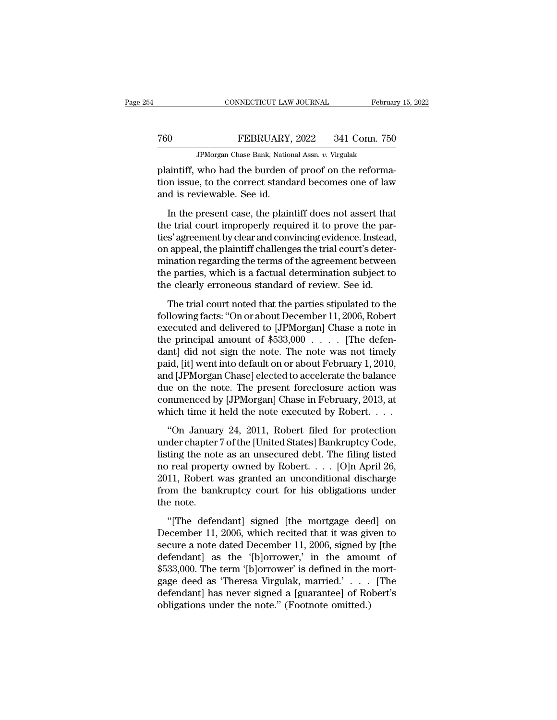|     | CONNECTICUT LAW JOURNAL                               | February 15, 2022 |
|-----|-------------------------------------------------------|-------------------|
| 760 | FEBRUARY, 2022                                        | 341 Conn. 750     |
|     | JPM organ Chase Bank, National Assn. v. Virgulak      |                   |
|     | plaintiff who had the burden of proof on the reforma- |                   |

CONNECTICUT LAW JOURNAL Februar<br>
FEBRUARY, 2022 341 Conn. 750<br>
PMorgan Chase Bank, National Assn. v. Virgulak<br>
plaintiff, who had the burden of proof on the reforma-<br>
tion issue, to the correct standard becomes one of law<br> tion issue, to the correct standard becomes one of law The Team of Team Chase Bank, Nation<br>Telaintiff, who had the burden correct stand:<br>and is reviewable. See id.<br>In the present case, the plain IFEBRUARY, 2022 341 Conn. 750<br>IPMorgan Chase Bank, National Assn.  $v$ . Virgulak<br>aintiff, who had the burden of proof on the reforma-<br>on issue, to the correct standard becomes one of law<br>d is reviewable. See id.<br>In the pre

JPMorgan Chase Bank, National Assn.  $v$ . Virgulak<br>plaintiff, who had the burden of proof on the reforma-<br>tion issue, to the correct standard becomes one of law<br>and is reviewable. See id.<br>In the present case, the plaintiff plaintiff, who had the burden of proof on the reformation issue, to the correct standard becomes one of law<br>and is reviewable. See id.<br>In the present case, the plaintiff does not assert that<br>the trial court improperly requ plantary and the burden of proof on the recommention issue, to the correct standard becomes one of law<br>and is reviewable. See id.<br>In the present case, the plaintiff does not assert that<br>the trial court improperly required most about, the correct beathed a second of the critical<br>and is reviewable. See id.<br>In the present case, the plaintiff does not assert that<br>the trial court improperly required it to prove the par-<br>ties' agreement by clear In the present case, the plaintiff does not assert that<br>the trial court improperly required it to prove the par-<br>ties' agreement by clear and convincing evidence. Instead,<br>on appeal, the plaintiff challenges the trial cour In the present case, the plaintiff does not assert that<br>the trial court improperly required it to prove the par-<br>ties' agreement by clear and convincing evidence. Instead,<br>on appeal, the plaintiff challenges the trial cour The trial court of the parties of the parties stipulated to the parties of appeal, the plaintiff challenges the trial court's determination regarding the terms of the agreement between<br>e parties, which is a factual determi following facts: ''On or about December 11, 2006, Robert<br>example facts: ''on or about December 11, 2006, Robert<br>following facts: ''On or about December 11, 2006, Robert<br>executed and delivered to [JPMorgan] Chase a note in<br>

executed and delivered to [JPMorgan] Chase a note in<br>the parties, which is a factual determination subject to<br>the clearly erroneous standard of review. See id.<br>The trial court noted that the parties stipulated to the<br>foll the parties, which is a factual determination subject to<br>the clearly erroneous standard of review. See id.<br>The trial court noted that the parties stipulated to the<br>following facts: "On or about December 11, 2006, Robert<br>e the clearly erroneous standard of review. See id.<br>
The trial court noted that the parties stipulated to the<br>
following facts: "On or about December 11, 2006, Robert<br>
executed and delivered to [JPMorgan] Chase a note in<br>
t The trial court noted that the parties stipulated to the<br>following facts: "On or about December 11, 2006, Robert<br>executed and delivered to [JPMorgan] Chase a note in<br>the principal amount of \$533,000 . . . . [The defen-<br>dan The trial court noted that the parties stipulated to the<br>following facts: "On or about December 11, 2006, Robert<br>executed and delivered to [JPMorgan] Chase a note in<br>the principal amount of \$533,000  $\ldots$ . [The defen-<br>dan following facts: "On or about December 11, 2006, Robert<br>executed and delivered to [JPMorgan] Chase a note in<br>the principal amount of \$533,000  $\ldots$ . [The defen-<br>dant] did not sign the note. The note was not timely<br>paid, [ executed and delivered to [JPMorgan] Chase a note in<br>the principal amount of \$533,000 . . . . . [The defen-<br>dant] did not sign the note. The note was not timely<br>paid, [it] went into default on or about February 1, 2010,<br>a the principal amount of  $$533,000$ ..... [The defendant] did not sign the note. The note was not timely paid, [it] went into default on or about February 1, 2010, and [JPMorgan Chase] elected to accelerate the balance due id, [it] went into default on or about February 1, 2010,<br>
d [JPMorgan Chase] elected to accelerate the balance<br>
ue on the note. The present foreclosure action was<br>
mmenced by [JPMorgan] Chase in February, 2013, at<br>
nich ti para, [14] wenture derivative or as said estated, 2, 2020,<br>and [JPMorgan Chase] elected to accelerate the balance<br>due on the note. The present foreclosure action was<br>commenced by [JPMorgan] Chase in February, 2013, at<br>whic

due on the note. The present foreclosure action was<br>commenced by [JPMorgan] Chase in February, 2013, at<br>which time it held the note executed by Robert. . . .<br>"On January 24, 2011, Robert filed for protection<br>under chapter commenced by [JPMorgan] Chase in February, 2013, at<br>which time it held the note executed by Robert. . . .<br>"On January 24, 2011, Robert filed for protection<br>under chapter 7 of the [United States] Bankruptcy Code,<br>listing th which time it held the note executed by Robert. . . .<br>
"On January 24, 2011, Robert filed for protection<br>
under chapter 7 of the [United States] Bankruptcy Code,<br>
listing the note as an unsecured debt. The filing listed<br> "On January 24, 2011, Robert filed for protection<br>under chapter 7 of the [United States] Bankruptcy Code,<br>listing the note as an unsecured debt. The filing listed<br>no real property owned by Robert. . . . [O]n April 26,<br>201 "On Januar"<br>under chapter<br>listing the not<br>no real proper<br>2011, Robert<br>from the banl<br>the note.<br>"[The defer ting the note as an unsecured debt. The filing listed<br>  $\alpha$  real property owned by Robert. . . . [O]n April 26,<br>
11, Robert was granted an unconditional discharge<br>
om the bankruptcy court for his obligations under<br>
e note mo real property owned by Robert.  $\ldots$  [O]n April 26,<br>2011, Robert was granted an unconditional discharge<br>from the bankruptcy court for his obligations under<br>the note.<br>"[The defendant] signed [the mortgage deed] on<br>Decem

secure a property stated an unconditional discharge<br>from the bankruptcy court for his obligations under<br>the note.<br>"[The defendant] signed [the mortgage deed] on<br>December 11, 2006, which recited that it was given to<br>secure From the bankruptcy court for his obligations under<br>the note.<br>"[The defendant] signed [the mortgage deed] on<br>December 11, 2006, which recited that it was given to<br>secure a note dated December 11, 2006, signed by [the<br>defen <sup>111</sup> The defendant] signed [the mortgage deed] on<br>December 11, 2006, which recited that it was given to<br>secure a note dated December 11, 2006, signed by [the<br>defendant] as the '[b]orrower,' in the amount of<br>\$533,000. The "[The defendant] signed [the mortgage deed] on<br>December 11, 2006, which recited that it was given to<br>secure a note dated December 11, 2006, signed by [the<br>defendant] as the '[b]orrower,' in the amount of<br>\$533,000. The ter "[The defendant] signed [the mortgage deed] on<br>December 11, 2006, which recited that it was given to<br>secure a note dated December 11, 2006, signed by [the<br>defendant] as the "[b]orrower," in the amount of<br>\$533,000. The ter December 11, 2006, which recited that it was gives secure a note dated December 11, 2006, signed b defendant] as the '[b]orrower,' in the amou \$533,000. The term '[b]orrower' is defined in the gage deed as 'Theresa Virgula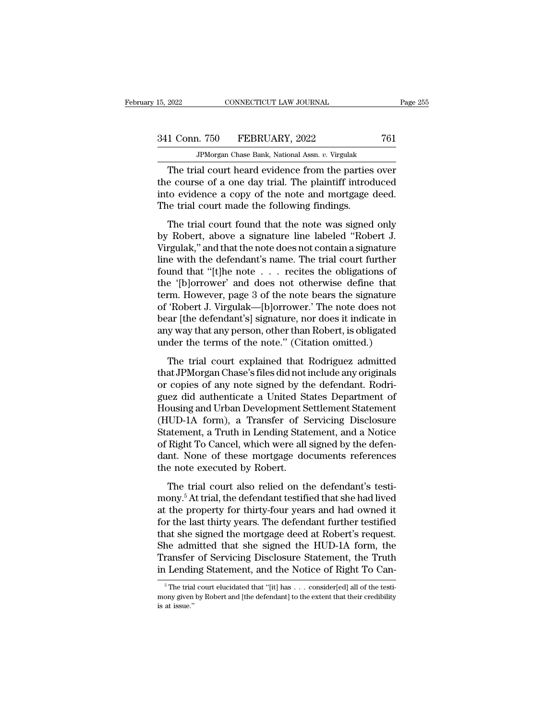JPMorgan Chase Bank, National Assn. *v.* Virgulak The trial court heard evidence from the parties over<br>
The trial court heard evidence from the parties over<br>
the trial court heard evidence from the parties over<br>
the course of a one day trial. The plaintiff introduced<br>
to 341 Conn. 750 FEBRUARY, 2022 761<br>
JPMorgan Chase Bank, National Assn. v. Virgulak<br>
The trial court heard evidence from the parties over<br>
the course of a one day trial. The plaintiff introduced<br>
into evidence a copy of the 341 Conn. 750 FEBRUARY, 2022 761<br>
FMorgan Chase Bank, National Assn. v. Virgulak<br>
The trial court heard evidence from the parties over<br>
the course of a one day trial. The plaintiff introduced<br>
into evidence a copy of the n  $341$  Conn. 750 FEBRUARY, 2022<br>
FPMorgan Chase Bank, National Assn.  $v$ . Virgulak<br>
The trial court heard evidence from the parties<br>
the course of a one day trial. The plaintiff introc<br>
into evidence a copy of the note and JPMorgan Chase Bank, National Assn.  $v$ . Virgulak<br>
The trial court heard evidence from the parties over<br>
e course of a one day trial. The plaintiff introduced<br>
to evidence a copy of the note and mortgage deed.<br>
e trial co The trial court heard evidence from the parties over<br>the course of a one day trial. The plaintiff introduced<br>into evidence a copy of the note and mortgage deed.<br>The trial court made the following findings.<br>The trial court

The trial court heard evidence from the parties over<br>the course of a one day trial. The plaintiff introduced<br>into evidence a copy of the note and mortgage deed.<br>The trial court made the following findings.<br>The trial court into evidence a copy of the note and mortgage deed.<br>The trial court made the following findings.<br>The trial court found that the note was signed only<br>by Robert, above a signature line labeled "Robert J.<br>Virgulak," and that The trial court made the following findings.<br>The trial court made the following findings.<br>The trial court found that the note was signed only<br>by Robert, above a signature line labeled "Robert J.<br>Virgulak," and that the no The trial court made the following mantgo.<br>
Use the trial court found that the note was signed only<br>
by Robert, above a signature line labeled "Robert J.<br>
Uirgulak," and that the note does not contain a signature<br>
line wi The trial court found that the note was signed only<br>by Robert, above a signature line labeled "Robert J.<br>Virgulak," and that the note does not contain a signature<br>line with the defendant's name. The trial court further<br>fou by Robert, above a signature line labeled "Robert J.<br>Virgulak," and that the note does not contain a signature<br>line with the defendant's name. The trial court further<br>found that "[t]he note . . . recites the obligations of Virgulak," and that the note does not contain a signature<br>line with the defendant's name. The trial court further<br>found that "[t]he note . . . recites the obligations of<br>the '[b]orrower' and does not otherwise define that<br> line with the defendant's name. The trial court further<br>found that "[t]he note . . . recites the obligations of<br>the '[b]orrower' and does not otherwise define that<br>term. However, page 3 of the note bears the signature<br>of ' found that "[t]he note . . . recites the obligations of<br>the '[b]orrower' and does not otherwise define that<br>term. However, page 3 of the note bears the signature<br>of 'Robert J. Virgulak—[b]orrower.' The note does not<br>bear [ The trial court explained that Rodriguez admitted<br>and The trial course in the signature<br>"Robert J. Virgulak—[b]orrower.' The note does not<br>ar [the defendant's] signature, nor does it indicate in<br>y way that any person, othe term: However, page 5 of are note beam are lignature<br>of 'Robert J. Virgulak—[b]orrower.' The note does not<br>bear [the defendant's] signature, nor does it indicate in<br>any way that any person, other than Robert, is obligated<br>

or Roseros. Tigatak [b]orrower. The note does not<br>bear [the defendant's] signature, nor does it indicate in<br>any way that any person, other than Robert, is obligated<br>under the terms of the note." (Citation omitted.)<br>The tri gues did authorized in the terms of the note." (Citation omitted.)<br>The trial court explained that Rodriguez admitted<br>that JPMorgan Chase's files did not include any originals<br>or copies of any note signed by the defendant. Fourtheaters of the note." (Citation omitted.)<br>The trial court explained that Rodriguez admitted<br>that JPMorgan Chase's files did not include any originals<br>or copies of any note signed by the defendant. Rodri-<br>guez did auth The trial court explained that Rodriguez admitted<br>that JPMorgan Chase's files did not include any originals<br>or copies of any note signed by the defendant. Rodri-<br>guez did authenticate a United States Department of<br>Housing The trial court explained that Rodriguez admitted<br>that JPMorgan Chase's files did not include any originals<br>or copies of any note signed by the defendant. Rodri-<br>guez did authenticate a United States Department of<br>Housing that JPMorgan Chase's files did not include any originals<br>or copies of any note signed by the defendant. Rodri-<br>guez did authenticate a United States Department of<br>Housing and Urban Development Settlement Statement<br>(HUD-1A or copies of any note signed by the defendant. Rodriguez did authenticate a United States Department of Housing and Urban Development Settlement Statement (HUD-1A form), a Transfer of Servicing Disclosure Statement, a Trut guez did authenticate a United St<br>Housing and Urban Development S<br>(HUD-1A form), a Transfer of S<br>Statement, a Truth in Lending Stat<br>of Right To Cancel, which were all<br>dant. None of these mortgage do<br>the note executed by Ro The trial court also related to the defendant in the defendant of the defendant, a Truth in Lending Statement, and a Notice Right To Cancel, which were all signed by the defendant. None of these mortgage documents referenc (Helen Hamm), a Transfer of Serventy Essensiant Statement, a Truth in Lending Statement, and a Notice of Right To Cancel, which were all signed by the defendant. None of these mortgage documents references the note execute

but the property for thirty-four years and had owned it<br>for the property. The trial court also relied on the defendant's testi-<br>mony.<sup>5</sup> At trial, the defendant testified that she had lived<br>at the property for thirty-four of ragnet to called, which were all signed by and defendant. None of these mortgage documents references<br>the note executed by Robert.<br>The trial court also relied on the defendant's testi-<br>mony.<sup>5</sup> At trial, the defendant the note executed by Robert.<br>The trial court also relied on the defendant's testi-<br>mony.<sup>5</sup> At trial, the defendant testified that she had lived<br>at the property for thirty-four years and had owned it<br>for the last thirty ye The trial court also relied on the defendant's testi-<br>mony.<sup>5</sup> At trial, the defendant testified that she had lived<br>at the property for thirty-four years and had owned it<br>for the last thirty years. The defendant further te The trial court also relied on the defendant's testi-<br>mony.<sup>5</sup> At trial, the defendant testified that she had lived<br>at the property for thirty-four years and had owned it<br>for the last thirty years. The defendant further te mony.<sup>5</sup> At trial, the defendant testified that she had lived<br>at the property for thirty-four years and had owned it<br>for the last thirty years. The defendant further testified<br>that she signed the mortgage deed at Robert's at she signed the mortgage deed at Robert's request.<br>he admitted that she signed the HUD-1A form, the<br>ransfer of Servicing Disclosure Statement, the Truth<br>Lending Statement, and the Notice of Right To Can-<br><sup>5</sup>The trial cou She admitted that she signed the HUD-1A form, the Transfer of Servicing Disclosure Statement, the Truth in Lending Statement, and the Notice of Right To Canterly for the trial court elucidated that "[it] has ... consider[e

Transfer<br>in Lendin<br><sup>5</sup>The trial<br>mony given<br>is at issue.''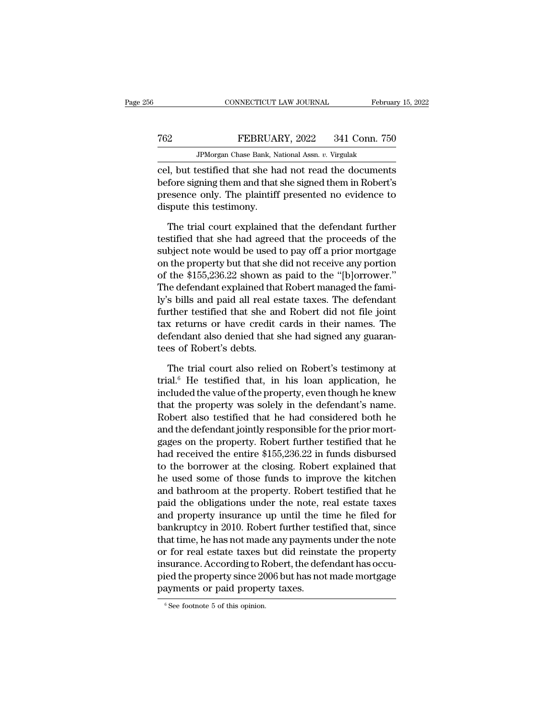|     | CONNECTICUT LAW JOURNAL                               | February 15, 2022 |
|-----|-------------------------------------------------------|-------------------|
| 762 | FEBRUARY, 2022                                        | 341 Conn. 750     |
|     | JPM organ Chase Bank, National Assn. v. Virgulak      |                   |
|     | cel but testified that she had not read the documents |                   |

CONNECTICUT LAW JOURNAL February 15, 2022<br>
FEBRUARY, 2022 341 Conn. 750<br>
JPMorgan Chase Bank, National Assn. v. Virgulak<br>
Cel, but testified that she had not read the documents<br>
before signing them and that she signed them FEBRUARY, 2022 341 Conn. 750<br>
JPMorgan Chase Bank, National Assn. v. Virgulak<br>
cel, but testified that she had not read the documents<br>
before signing them and that she signed them in Robert's<br>
presence only. The plaintiff FEBRUARY, 2022 341 Conn. 750<br>
FMorgan Chase Bank, National Assn. v. Virgulak<br>
cel, but testified that she had not read the documents<br>
before signing them and that she signed them in Robert's<br>
presence only. The plaintiff p Textual Textual Textual Textual Cel, but testified that she has<br>before signing them and that<br>presence only. The plaintiff<br>dispute this testimony.<br>The trial court explained JPMorgan Chase Bank, National Assn.  $v$ . Virgulak<br>
1, but testified that she had not read the documents<br>
fore signing them and that she signed them in Robert's<br>
esence only. The plaintiff presented no evidence to<br>
spute t cel, but testified that she had not read the documents<br>before signing them and that she signed them in Robert's<br>presence only. The plaintiff presented no evidence to<br>dispute this testimony.<br>The trial court explained that t

before signing them and that she signed them in Robert's<br>presence only. The plaintiff presented no evidence to<br>dispute this testimony.<br>The trial court explained that the defendant further<br>testified that she had agreed that presence only. The plaintiff presented no evidence to<br>dispute this testimony.<br>The trial court explained that the defendant further<br>testified that she had agreed that the proceeds of the<br>subject note would be used to pay of dispute this testimony.<br>The trial court explained that the defendant further<br>testified that she had agreed that the proceeds of the<br>subject note would be used to pay off a prior mortgage<br>on the property but that she did no The trial court explained that the defendant further<br>testified that she had agreed that the proceeds of the<br>subject note would be used to pay off a prior mortgage<br>on the property but that she did not receive any portion<br>of The trial court explained that the defendant further<br>testified that she had agreed that the proceeds of the<br>subject note would be used to pay off a prior mortgage<br>on the property but that she did not receive any portion<br>of testified that she had agreed that the proceeds of the<br>subject note would be used to pay off a prior mortgage<br>on the property but that she did not receive any portion<br>of the \$155,236.22 shown as paid to the "[b]orrower."<br>T subject note would be used to pay off a prior mortgage<br>on the property but that she did not receive any portion<br>of the \$155,236.22 shown as paid to the "[b]orrower."<br>The defendant explained that Robert managed the fami-<br>ly on the property but that she did not receive any portion<br>of the \$155,236.22 shown as paid to the "[b]orrower."<br>The defendant explained that Robert managed the fami-<br>ly's bills and paid all real estate taxes. The defendant<br> of the \$155,236.22 shown as<br>The defendant explained tha<br>ly's bills and paid all real e<br>further testified that she an<br>tax returns or have credit<br>defendant also denied that s<br>tees of Robert's debts.<br>The trial court also reli s bills and paid all real estate taxes. The defendant<br>ther testified that she and Robert did not file joint<br>x returns or have credit cards in their names. The<br>fendant also denied that she had signed any guaran-<br>es of Rober further testified that she and Robert did not file joint<br>tax returns or have credit cards in their names. The<br>defendant also denied that she had signed any guaran-<br>tees of Robert's debts.<br>The trial court also relied on Rob

tax returns or have credit cards in their names. The<br>defendant also denied that she had signed any guaran-<br>tees of Robert's debts.<br>The trial court also relied on Robert's testimony at<br>trial.<sup>6</sup> He testified that, in his lo defendant also denied that she had signed any guarantees of Robert's debts.<br>The trial court also relied on Robert's testimony at<br>trial.<sup>6</sup> He testified that, in his loan application, he<br>included the value of the property, tees of Robert's debts.<br>The trial court also relied on Robert's testimony at<br>trial.<sup>6</sup> He testified that, in his loan application, he<br>included the value of the property, even though he knew<br>that the property was solely in The trial court also relied on Robert's testimony at trial.<sup>6</sup> He testified that, in his loan application, he included the value of the property, even though he knew that the property was solely in the defendant's name. R The trial court also relied on Robert's testimony at<br>trial.<sup>6</sup> He testified that, in his loan application, he<br>included the value of the property, even though he knew<br>that the property was solely in the defendant's name.<br>R trial.<sup>6</sup> He testified that, in his loan application, he<br>included the value of the property, even though he knew<br>that the property was solely in the defendant's name.<br>Robert also testified that he had considered both he<br>an included the value of the property, even though he knew<br>that the property was solely in the defendant's name.<br>Robert also testified that he had considered both he<br>and the defendant jointly responsible for the prior mort-<br>g that the property was solely in the defendant's name.<br>Robert also testified that he had considered both he<br>and the defendant jointly responsible for the prior mort-<br>gages on the property. Robert further testified that he<br>h Robert also testified that he had considered both he<br>and the defendant jointly responsible for the prior mort-<br>gages on the property. Robert further testified that he<br>had received the entire \$155,236.22 in funds disbursed<br> and the defendant jointly responsible for the prior mort-<br>gages on the property. Robert further testified that he<br>had received the entire \$155,236.22 in funds disbursed<br>to the borrower at the closing. Robert explained that gages on the property. Robert further testified that he<br>had received the entire \$155,236.22 in funds disbursed<br>to the borrower at the closing. Robert explained that<br>he used some of those funds to improve the kitchen<br>and ba had received the entire \$155,236.22 in funds disbursed<br>to the borrower at the closing. Robert explained that<br>he used some of those funds to improve the kitchen<br>and bathroom at the property. Robert testified that he<br>paid th to the borrower at the closing. Robert explained that<br>he used some of those funds to improve the kitchen<br>and bathroom at the property. Robert testified that he<br>paid the obligations under the note, real estate taxes<br>and pro he used some of those funds to improve the kitchen<br>and bathroom at the property. Robert testified that he<br>paid the obligations under the note, real estate taxes<br>and property insurance up until the time he filed for<br>bankrup and bathroom at the property. Robert testified that he<br>paid the obligations under the note, real estate taxes<br>and property insurance up until the time he filed for<br>bankruptcy in 2010. Robert further testified that, since<br>t paid the obligations under the note, real estate taxes<br>and property insurance up until the time he filed for<br>bankruptcy in 2010. Robert further testified that, since<br>that time, he has not made any payments under the note<br>o and property insurance up until the ti<br>bankruptcy in 2010. Robert further test<br>that time, he has not made any payment<br>or for real estate taxes but did reinsta<br>insurance. According to Robert, the defe<br>pied the property sinc or for real estate taxes but did reinstate the property<br>insurance. According to Robert, the defendant has occu-<br>pied the property since 2006 but has not made mortgage<br>payments or paid property taxes.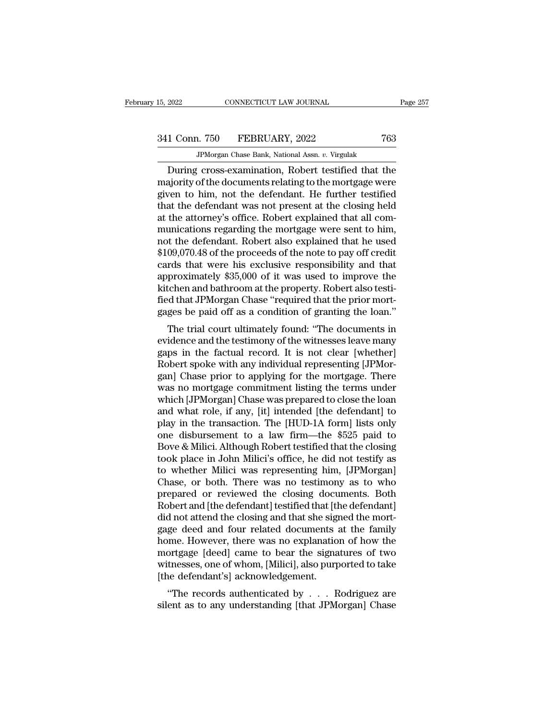341 Conn. 750 FEBRUARY, 2022 <sup>763</sup>

JPMorgan Chase Bank, National Assn. *v.* Virgulak EXECUTE 2022 2022<br>
During Cross-examination, Robert testified that the<br>
during cross-examination, Robert testified that the<br>
during cross-examination, Robert testified that the<br>
during cross-examination, Robert testified t 341 Conn. 750 FEBRUARY, 2022 763<br>
JPMorgan Chase Bank, National Assn. v. Virgulak<br>
During cross-examination, Robert testified that the<br>
majority of the documents relating to the mortgage were<br>
given to him, not the defenda  $\begin{array}{r} \text{341 Conn.} \text{750} \quad \text{FEBRUARY, 2022} \quad \text{763} \ \text{JPMorgan Chase Bank, National Assn. } v. \text{ Virgulak} \ \text{During cross-examination, Robert testified that the majority of the documents relating to the mortgage were given to him, not the defendant. He further testified that the defendant was not present at the closing held at the attempt of the astronomy's office. Robert explained that all com-$ 341 Conn. 750 FEBRUARY, 2022 763<br>
JPMorgan Chase Bank, National Assn.  $v$ . Virgulak<br>
During cross-examination, Robert testified that the<br>
majority of the documents relating to the mortgage were<br>
given to him, not the defe THERTORITY, 2022<br>TPMorgan Chase Bank, National Assn. v. Virgulak<br>During cross-examination, Robert testified that the<br>majority of the documents relating to the mortgage were<br>given to him, not the defendant. He further testi JPMorgan Chase Bank, National Assn.  $v$ . Virgulak<br>During cross-examination, Robert testified that the<br>majority of the documents relating to the mortgage were<br>given to him, not the defendant. He further testified<br>that the During cross-examination, Robert testified that the<br>majority of the documents relating to the mortgage were<br>given to him, not the defendant. He further testified<br>that the defendant was not present at the closing held<br>at th majority of the documents relating to the mortgage were<br>given to him, not the defendant. He further testified<br>that the defendant was not present at the closing held<br>at the attorney's office. Robert explained that all com-<br> given to him, not the defendant. He further testified<br>that the defendant was not present at the closing held<br>at the attorney's office. Robert explained that all com-<br>munications regarding the mortgage were sent to him,<br>not that the defendant was not present at the closing held<br>at the attorney's office. Robert explained that all com-<br>munications regarding the mortgage were sent to him,<br>not the defendant. Robert also explained that he used<br>\$10 at the attorney's office. Robert explained that all communications regarding the mortgage were sent to him, not the defendant. Robert also explained that he used \$109,070.48 of the proceeds of the note to pay off credit ca munications regarding the mortgage were sent to him,<br>not the defendant. Robert also explained that he used<br>\$109,070.48 of the proceeds of the note to pay off credit<br>cards that were his exclusive responsibility and that<br>app not the defendant. Robert also explained that he used<br>\$109,070.48 of the proceeds of the note to pay off credit<br>cards that were his exclusive responsibility and that<br>approximately \$35,000 of it was used to improve the<br>kitc 09,070.45 of the proceeds of the note to pay on credit<br>rds that were his exclusive responsibility and that<br>proximately \$35,000 of it was used to improve the<br>tchen and bathroom at the property. Robert also testi-<br>d that JPM cards that were his exclusive responsibility and that<br>approximately \$35,000 of it was used to improve the<br>kitchen and bathroom at the property. Robert also testi-<br>fied that JPMorgan Chase "required that the prior mort-<br>gag

approximately \$55,000 of it was used to improve the<br>kitchen and bathroom at the property. Robert also testi-<br>fied that JPMorgan Chase "required that the prior mort-<br>gages be paid off as a condition of granting the loan."<br>T Kitchen and bathroom at the property. Robert also test-<br>fied that JPMorgan Chase "required that the prior mort-<br>gages be paid off as a condition of granting the loan."<br>The trial court ultimately found: "The documents in<br>ev red that Jr Morgan Chase Tequired that the prior mort-<br>gages be paid off as a condition of granting the loan."<br>The trial court ultimately found: "The documents in<br>evidence and the testimony of the witnesses leave many<br>gaps gages be paid on as a condition of granting the loan.<br>The trial court ultimately found: "The documents in<br>evidence and the testimony of the witnesses leave many<br>gaps in the factual record. It is not clear [whether]<br>Robert The trial court ultimately found: "The documents in<br>evidence and the testimony of the witnesses leave many<br>gaps in the factual record. It is not clear [whether]<br>Robert spoke with any individual representing [JPMor-<br>gan] Ch evidence and the testimony of the witnesses leave many<br>gaps in the factual record. It is not clear [whether]<br>Robert spoke with any individual representing [JPMor-<br>gan] Chase prior to applying for the mortgage. There<br>was no gaps in the factual record. It is not clear [whether]<br>Robert spoke with any individual representing [JPMorgan] Chase prior to applying for the mortgage. There<br>was no mortgage commitment listing the terms under<br>which [JPMor Robert spoke with any individual representing [JPMorgan] Chase prior to applying for the mortgage. There was no mortgage commitment listing the terms under which [JPMorgan] Chase was prepared to close the loan and what rol gan] Chase prior to applying for the mortgage. There<br>was no mortgage commitment listing the terms under<br>which [JPMorgan] Chase was prepared to close the loan<br>and what role, if any, [it] intended [the defendant] to<br>play in was no mortgage commitment listing the terms under<br>which [JPMorgan] Chase was prepared to close the loan<br>and what role, if any, [it] intended [the defendant] to<br>play in the transaction. The [HUD-1A form] lists only<br>one dis which [JPMorgan] Chase was prepared to close the loan<br>and what role, if any, [it] intended [the defendant] to<br>play in the transaction. The [HUD-1A form] lists only<br>one disbursement to a law firm—the \$525 paid to<br>Bove & Mil and what role, if any, [it] intended [the defendant] to<br>play in the transaction. The [HUD-1A form] lists only<br>one disbursement to a law firm—the \$525 paid to<br>Bove & Milici. Although Robert testified that the closing<br>took p play in the transaction. The [HUD-1A form] lists only<br>one disbursement to a law firm—the \$525 paid to<br>Bove & Milici. Although Robert testified that the closing<br>took place in John Milici's office, he did not testify as<br>to w one disbursement to a law firm—the \$525 paid to<br>Bove & Milici. Although Robert testified that the closing<br>took place in John Milici's office, he did not testify as<br>to whether Milici was representing him, [JPMorgan]<br>Chase, Bove & Milici. Although Robert testified that the closing<br>took place in John Milici's office, he did not testify as<br>to whether Milici was representing him, [JPMorgan]<br>Chase, or both. There was no testimony as to who<br>prepar took place in John Milici's office, he did not testify as<br>to whether Milici was representing him, [JPMorgan]<br>Chase, or both. There was no testimony as to who<br>prepared or reviewed the closing documents. Both<br>Robert and [the to whether Milici was representing him, [JPMorgan]<br>Chase, or both. There was no testimony as to who<br>prepared or reviewed the closing documents. Both<br>Robert and [the defendant] testified that [the defendant]<br>did not attend Chase, or both. There was no testimony as to who<br>prepared or reviewed the closing documents. Both<br>Robert and [the defendant] testified that [the defendant]<br>did not attend the closing and that she signed the mort-<br>gage deed prepared or reviewed the closing documents. Both<br>Robert and [the defendant] testified that [the defendant]<br>did not attend the closing and that she signed the mort-<br>gage deed and four related documents at the family<br>home. H Robert and [the defendant] testified that [t]<br>did not attend the closing and that she sign<br>gage deed and four related documents :<br>home. However, there was no explanatio<br>mortgage [deed] came to bear the signa<br>witnesses, one The records authorized by . . . Rodriguez are end as the signature of how the ortgage [deed] came to bear the signatures of two tnesses, one of whom, [Milici], also purported to take the defendant's] acknowledgement.<br>"The gage deed and four related documents at the family<br>home. However, there was no explanation of how the<br>mortgage [deed] came to bear the signatures of two<br>witnesses, one of whom, [Milici], also purported to take<br>[the defenda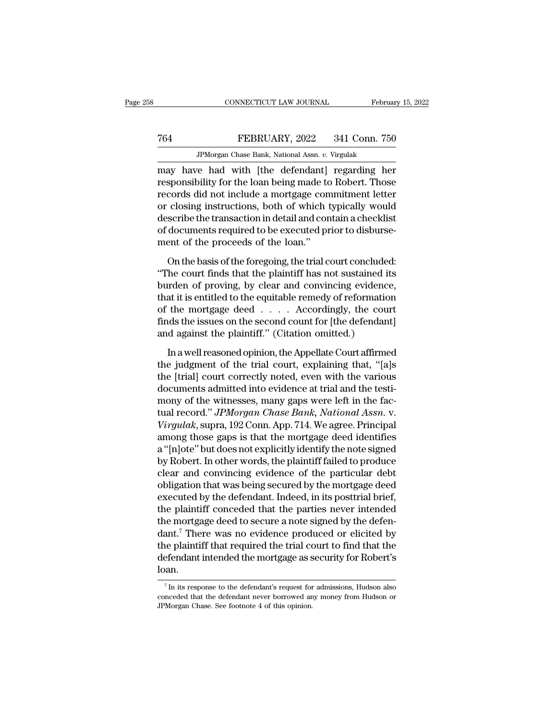### MONETICUT LAW JOURNAL February 15, 2022<br>
Technology FEBRUARY, 2022 341 Conn. 750<br>
Technology FEBRUARY, 2022 341 Conn. 750<br>
Technology February 15, 2022 341 Conn. 750 CONNECTICUT LAW JOURNAL Februa<br>FEBRUARY, 2022 341 Conn. 756<br>JPMorgan Chase Bank, National Assn. *v.* Virgulak<br>JPMorgan Chase Bank, National Assn. *v.* Virgulak

CONNECTICUT LAW JOURNAL February 15, 2022<br>
Technology 15, 2022<br>
Technology 15, 2022<br>
Technology 15, 2022<br>
Technology 16, 2022<br>
Technology 16, 2022<br>
Technology 16, 2022<br>
Technology 16, 2022<br>
Technology 16, 2022<br>
Technology responsibility for the loan being made to Robert. Those Text FEBRUARY, 2022 341 Conn. 750<br>
FMorgan Chase Bank, National Assn. v. Virgulak<br>
may have had with [the defendant] regarding her<br>
responsibility for the loan being made to Robert. Those<br>
records did not include a mortgag Term of Terms of the SERUARY, 2022 and the Connectors, 750<br>
Terms in the Search of With [the defendant] regarding her responsibility for the loan being made to Robert. Those records did not include a mortgage commitment l JPMorgan Chase Bank, National Assn.  $v$ . Virgulak<br>may have had with [the defendant] regarding her<br>responsibility for the loan being made to Robert. Those<br>records did not include a mortgage commitment letter<br>or closing ins  $\frac{d}{d}$  armorgan chase Bank, National Assn.  $v$ . Virgulat may have had with [the defendant] regarding her responsibility for the loan being made to Robert. Those records did not include a mortgage commitment letter or c may have had with [the defendant]<br>responsibility for the loan being made to<br>records did not include a mortgage con<br>or closing instructions, both of which t<br>describe the transaction in detail and con<br>of documents required t For the basis of the basis of the basis of the plantificant concluded:<br>
Seribe the transaction in detail and contain a checklist<br>
documents required to be executed prior to disburse-<br>
ent of the proceeds of the loan."<br>
On The court finds that the courtship and contain a checklist<br>of documents required to be executed prior to disbursement of the proceeds of the loan."<br>On the basis of the foregoing, the trial court concluded:<br>"The court finds

bursting and according to the transaction in detail and contain a checklist<br>of documents required to be executed prior to disburse-<br>ment of the proceeds of the loan."<br>On the basis of the foregoing, the trial court conclude of documents required to be executed prior to disbursement of the proceeds of the loan."<br>On the basis of the foregoing, the trial court concluded:<br>"The court finds that the plaintiff has not sustained its<br>burden of proving ment of the proceeds of the loan."<br>
On the basis of the foregoing, the trial court concluded:<br>
"The court finds that the plaintiff has not sustained its<br>
burden of proving, by clear and convincing evidence,<br>
that it is ent On the basis of the foregoing, the trial court concluded:<br>
"The court finds that the plaintiff has not sustained its<br>
burden of proving, by clear and convincing evidence,<br>
that it is entitled to the equitable remedy of re On the basis of the foregoing, the trial court conclude<br>
"The court finds that the plaintiff has not sustained it<br>
burden of proving, by clear and convincing evidence<br>
that it is entitled to the equitable remedy of reforma In a well reasoned opinion, the Appellate Court affirmed the mortgage deed . . . . . Accordingly, the court ds the issues on the second count for [the defendant] d against the plaintiff." (Citation omitted.) In a well reas that it is entitled to the equitable remedy of reformation<br>of the mortgage deed  $\ldots$ . Accordingly, the court<br>finds the issues on the second count for [the defendant]<br>and against the plaintiff." (Citation omitted.)<br>In a w

of the mortgage deed  $\ldots$  . Accordingly, the court<br>finds the issues on the second count for [the defendant]<br>and against the plaintiff." (Citation omitted.)<br>In a well reasoned opinion, the Appellate Court affirmed<br>the jud finds the issues on the second count for [the defendant]<br>and against the plaintiff." (Citation omitted.)<br>In a well reasoned opinion, the Appellate Court affirmed<br>the judgment of the trial court, explaining that, "[a]s<br>the and against the plaintiff." (Citation omitted.)<br>In a well reasoned opinion, the Appellate Court affirmed<br>the judgment of the trial court, explaining that, "[a]s<br>the [trial] court correctly noted, even with the various<br>doc In a well reasoned opinion, the Appellate Court affirmed<br>the judgment of the trial court, explaining that, "[a]s<br>the [trial] court correctly noted, even with the various<br>documents admitted into evidence at trial and the te In a well reasoned opinion, the Appellate Court affirmed<br>the judgment of the trial court, explaining that, "[a]s<br>the [trial] court correctly noted, even with the various<br>documents admitted into evidence at trial and the te the judgment of the trial court, explaining that, "[a]s<br>the [trial] court correctly noted, even with the various<br>documents admitted into evidence at trial and the testi-<br>mony of the witnesses, many gaps were left in the fa the [trial] court correctly noted, even with the various<br>documents admitted into evidence at trial and the testi-<br>mony of the witnesses, many gaps were left in the fac-<br>tual record." *JPMorgan Chase Bank*, *National Assn.* documents admitted into evidence at trial and the testi-<br>mony of the witnesses, many gaps were left in the fac-<br>tual record." *JPMorgan Chase Bank, National Assn.* v.<br>Virgulak, supra, 192 Conn. App. 714. We agree. Principa mony of the witnesses, many gaps were left in the factual record." *JPMorgan Chase Bank*, *National Assn.* v.<br>Virgulak, supra, 192 Conn. App. 714. We agree. Principal<br>among those gaps is that the mortgage deed identifies<br>a tual record." *JPMorgan Chase Bank*, *National Assn.* v.<br>Virgulak, supra, 192 Conn. App. 714. We agree. Principal<br>among those gaps is that the mortgage deed identifies<br>a "[n]ote" but does not explicitly identify the note s Virgulak, supra, 192 Conn. App. 714. We agree. Principal<br>among those gaps is that the mortgage deed identifies<br>a "[n]ote" but does not explicitly identify the note signed<br>by Robert. In other words, the plaintiff failed to among those gaps is that the mortgage deed identifies<br>a "[n]ote" but does not explicitly identify the note signed<br>by Robert. In other words, the plaintiff failed to produce<br>clear and convincing evidence of the particular d a "[n]ote" but does not explicitly identify the note signed<br>by Robert. In other words, the plaintiff failed to produce<br>clear and convincing evidence of the particular debt<br>obligation that was being secured by the mortgage by Robert. In other words, the plaintiff failed to produce<br>clear and convincing evidence of the particular debt<br>obligation that was being secured by the mortgage deed<br>executed by the defendant. Indeed, in its posttrial bri clear and convincing evidence of the particular debt<br>obligation that was being secured by the mortgage deed<br>executed by the defendant. Indeed, in its posttrial brief,<br>the plaintiff conceded that the parties never intended<br> obligation that was being secured by the mortgage deed<br>executed by the defendant. Indeed, in its posttrial brief,<br>the plaintiff conceded that the parties never intended<br>the mortgage deed to secure a note signed by the defe loan. ant.' There was no evidence produced or elicited by<br>the plaintiff that required the trial court to find that the<br>efendant intended the mortgage as security for Robert's<br>an.<br>This response to the defendant's request for admi the plaintiff that required the trial court to find that the defendant intended the mortgage as security for Robert's loan.<br>
<sup>7</sup> In its response to the defendant's request for admissions, Hudson also conceded that the defe

defendant intended the mortgage as s<br>loan.<br>This response to the defendant's request for<br>conceded that the defendant never borrowed an<br>JPMorgan Chase. See footnote 4 of this opinion.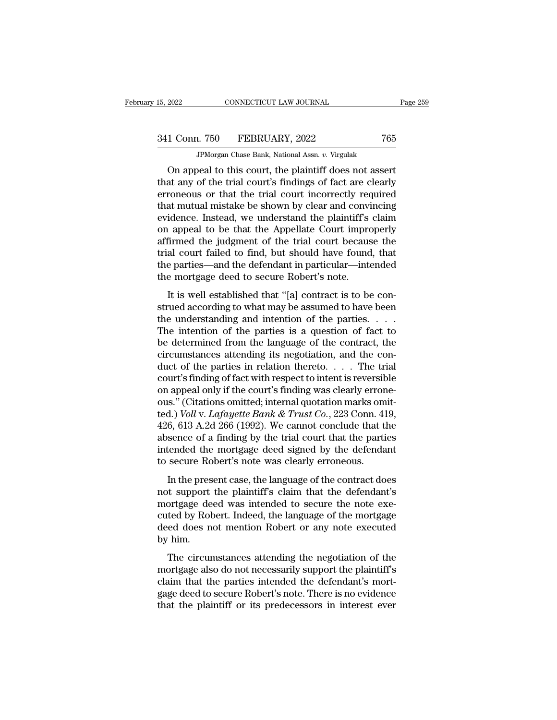JPMorgan Chase Bank, National Assn. *v.* Virgulak CONNECTICUT LAW JOURNAL Page 25!<br>
1 Conn. 750 FEBRUARY, 2022 765<br>
JPMorgan Chase Bank, National Assn. v. Virgulak<br>
On appeal to this court, the plaintiff does not assert<br>
at any of the trial court's findings of fact are cl 341 Conn. 750 FEBRUARY, 2022 765<br>
JPMorgan Chase Bank, National Assn. v. Virgulak<br>
On appeal to this court, the plaintiff does not assert<br>
that any of the trial court's findings of fact are clearly<br>
erroneous or that the t 341 Conn. 750 FEBRUARY, 2022 765<br>
FMorgan Chase Bank, National Assn.  $v$ . Virgulak<br>
On appeal to this court, the plaintiff does not assert<br>
that any of the trial court's findings of fact are clearly<br>
erroneous or that the 341 Conn. 750 FEBRUARY, 2022 765<br>
JPMorgan Chase Bank, National Assn. v. Virgulak<br>
On appeal to this court, the plaintiff does not assert<br>
that any of the trial court's findings of fact are clearly<br>
erroneous or that the t JPMorgan Chase Bank, National Assn.  $v$ . Virgulak<br>
On appeal to this court, the plaintiff does not assert<br>
that any of the trial court's findings of fact are clearly<br>
erroneous or that the trial court incorrectly required JPMorgan Chase Bank, National Assn.  $v$ . Virgulak<br>
On appeal to this court, the plaintiff does not assert<br>
that any of the trial court's findings of fact are clearly<br>
erroneous or that the trial court incorrectly required On appeal to this court, the plaintiff does not assert<br>that any of the trial court's findings of fact are clearly<br>erroneous or that the trial court incorrectly required<br>that mutual mistake be shown by clear and convincing<br> that any of the trial court's findings of fact are clearly<br>erroneous or that the trial court incorrectly required<br>that mutual mistake be shown by clear and convincing<br>evidence. Instead, we understand the plaintiff's claim<br> erroneous or that the trial court incorrectly required<br>that mutual mistake be shown by clear and convincing<br>evidence. Instead, we understand the plaintiff's claim<br>on appeal to be that the Appellate Court improperly<br>affirme that mutual mistake be shown by clear and convievidence. Instead, we understand the plaintiff's on appeal to be that the Appellate Court improaffirmed the judgment of the trial court becaus trial court failed to find, but It is well established that "[a] contract is to be con-<br>It is well established to find, but should have found, that<br>e parties—and the defendant in particular—intended<br>e mortgage deed to secure Robert's note.<br>It is well es of appear to be and are rippenate coard improperty<br>affirmed the judgment of the trial court because the<br>trial court failed to find, but should have found, that<br>the parties—and the defendant in particular—intended<br>the mortg

the understanding and intention of the parties.<br>The understanding and the defendant in particular—intended the mortgage deed to secure Robert's note.<br>It is well established that "[a] contract is to be construed according The parties—and the defendant in particular—intended<br>the parties—and the defendant in particular—intended<br>the mortgage deed to secure Robert's note.<br>It is well established that "[a] contract is to be con-<br>strued according the mortgage deed to secure Robert's note.<br>
It is well established that "[a] contract is to be construed according to what may be assumed to have been<br>
the understanding and intention of the parties....<br>
The intention of t It is well established that "[a] contract is to be construed according to what may be assumed to have been the understanding and intention of the parties.  $\dots$ . The intention of the parties is a question of fact to be det It is well established that "[a] contract is to be construed according to what may be assumed to have been<br>the understanding and intention of the parties. . . . .<br>The intention of the parties is a question of fact to<br>be d strued according to what may be assumed to have been<br>the understanding and intention of the parties. . . . .<br>The intention of the parties is a question of fact to<br>be determined from the language of the contract, the<br>circu the understanding and intention of the parties. . . . The intention of the parties is a question of fact to be determined from the language of the contract, the circumstances attending its negotiation, and the conduct of The intention of the parties is a question of fact to<br>be determined from the language of the contract, the<br>circumstances attending its negotiation, and the con-<br>duct of the parties in relation thereto. . . . The trial<br>cou be determined from the language of the contract, the circumstances attending its negotiation, and the conduct of the parties in relation thereto. . . . The trial court's finding of fact with respect to intent is reversible circumstances attending its negotiation, and the conduct of the parties in relation thereto. . . . The trial<br>court's finding of fact with respect to intent is reversible<br>on appeal only if the court's finding was clearly e duct of the parties in relation thereto. . . . The trial court's finding of fact with respect to intent is reversible<br>on appeal only if the court's finding was clearly errone-<br>ous." (Citations omitted; internal quotation court's finding of fact with respect to intent is reversible<br>on appeal only if the court's finding was clearly errone-<br>ous." (Citations omitted; internal quotation marks omit-<br>ted.) Voll v. Lafayette Bank & Trust Co., 223 on appeal only if the court's finding was clearly error<br>ous." (Citations omitted; internal quotation marks om<br>ted.) *Voll v. Lafayette Bank & Trust Co.*, 223 Conn. 41<br>426, 613 A.2d 266 (1992). We cannot conclude that t<br>abs In the present case, the language of the contract does the series of a finding by the trial court that the parties sence of a finding by the trial court that the parties tended the mortgage deed signed by the defendant se not suppose the plant of the cost, 225 comments, 426, 613 A.2d 266 (1992). We cannot conclude that the absence of a finding by the trial court that the parties intended the mortgage deed signed by the defendant to secure R

mortgage deed signal and also the trial court that the parties<br>intended the mortgage deed signed by the defendant<br>to secure Robert's note was clearly erroneous.<br>In the present case, the language of the contract does<br>not su intended the mortgage deed signed by the defendant<br>to secure Robert's note was clearly erroneous.<br>In the present case, the language of the contract does<br>not support the plaintiff's claim that the defendant's<br>mortgage deed In the present case, the language of the contract does<br>not support the plaintiff's claim that the defendant's<br>mortgage deed was intended to secure the note exe-<br>cuted by Robert. Indeed, the language of the mortgage<br>deed do In the press<br>not support<br>mortgage de<br>cuted by Rob<br>deed does n<br>by him.<br>The circur In the present class, the haightight of the container does<br>to support the plaintiff's claim that the defendant's<br>ortgage deed was intended to secure the note exe-<br>ted by Robert. Indeed, the language of the mortgage<br>ed does mortgage deed was intended to secure the note executed by Robert. Indeed, the language of the mortgage deed does not mention Robert or any note executed by him.<br>The circumstances attending the negotiation of the mortgage a

recuted by Robert. Indeed, the language of the mortgage<br>deed does not mention Robert or any note executed<br>by him.<br>The circumstances attending the negotiation of the<br>mortgage also do not necessarily support the plaintiff's<br> deed does not mention Robert or any note executed<br>by him.<br>The circumstances attending the negotiation of the<br>mortgage also do not necessarily support the plaintiff's<br>claim that the parties intended the defendant's mort-<br>ga that the plaintiff or its predecessors in interest of the mortgage also do not necessarily support the plaintiff's claim that the parties intended the defendant's mortgage deed to secure Robert's note. There is no evidence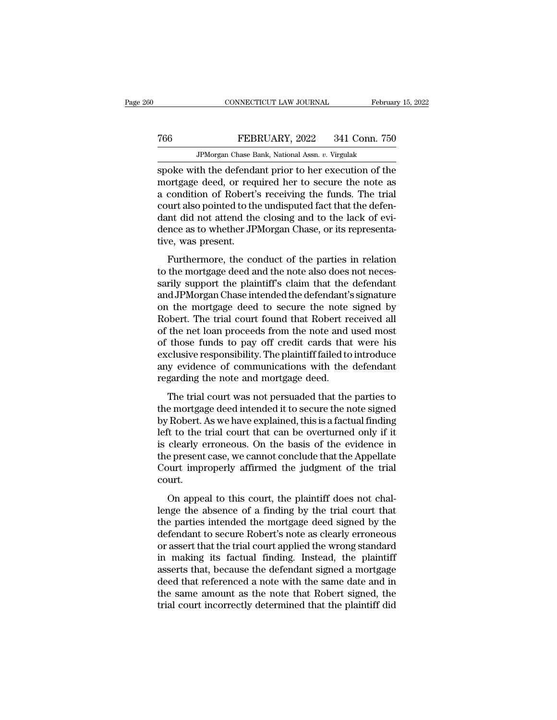### MONETICUT LAW JOURNAL February 15, 2022<br>
Technary 15, 2022<br>
Technary 15, 2022<br>
Technary 15, 2022<br>
Technary 15, 2022<br>
Technary 15, 2022<br>
Technary 15, 2022<br>
Technary 15, 2022<br>
Technary 15, 2022<br>
Technary 15, 2022<br>
Technary 1 CONNECTICUT LAW JOURNAL Februa<br>FEBRUARY, 2022 341 Conn. 750<br>JPMorgan Chase Bank, National Assn. *v.* Virgulak<br>th the defendant prior to her execution of the

Spoke with the defendant prior to her execution of the mortgage deed, or required her to secure the note as<br>a condition of Pobert's required the funds. The trial T66 FEBRUARY, 2022 341 Conn. 750<br>
JPMorgan Chase Bank, National Assn. v. Virgulak<br>
spoke with the defendant prior to her execution of the<br>
mortgage deed, or required her to secure the note as<br>
a condition of Robert's recei a condition of Robert's receiving the funds. The trial The Termin also pointed to the undisputed to the understandant spoke with the defendant prior to her execution of the undisputed fact that the defendant did not attend the undisputed fact that the defendant did not attend JPMorgan Chase Bank, National Assn. v. Virgulak<br>spoke with the defendant prior to her execution of the<br>mortgage deed, or required her to secure the note as<br>a condition of Robert's receiving the funds. The trial<br>court also JPMorgan Chase Bank, National Assn. v. Virgulak<br>spoke with the defendant prior to her execution of the<br>mortgage deed, or required her to secure the note as<br>a condition of Robert's receiving the funds. The trial<br>court also spoke with the defenda<br>mortgage deed, or req<br>a condition of Robert'<br>court also pointed to th<br>dant did not attend the<br>dence as to whether JP<br>tive, was present.<br>Furthermore, the co Fugage decd, of required her to secure the hote as<br>condition of Robert's receiving the funds. The trial<br>urt also pointed to the undisputed fact that the defen-<br>nt did not attend the closing and to the lack of evi-<br>nce as t to conduct of notice is receiving the runds. The that<br>court also pointed to the undisputed fact that the defen-<br>dant did not attend the closing and to the lack of evi-<br>dence as to whether JPMorgan Chase, or its representa-

sarily supported to the distinguished fact that the defendant<br>dant did not attend the closing and to the lack of evidence as to whether JPMorgan Chase, or its representa-<br>tive, was present.<br>Furthermore, the conduct of the dance as to whether JPMorgan Chase, or its representa-<br>tive, was present.<br>Furthermore, the conduct of the parties in relation<br>to the mortgage deed and the note also does not neces-<br>sarily support the plaintiff's claim that dence as as wheater of hosgan enase, or as representative, was present.<br>
Furthermore, the conduct of the parties in relation<br>
to the mortgage deed and the note also does not neces-<br>
sarily support the plaintiff's claim tha Furthermore, the conduct of the parties in relation<br>to the mortgage deed and the note also does not neces-<br>sarily support the plaintiff's claim that the defendant<br>and JPMorgan Chase intended the defendant's signature<br>on th Furthermore, the conduct of the parties in relation<br>to the mortgage deed and the note also does not neces-<br>sarily support the plaintiff's claim that the defendant<br>and JPMorgan Chase intended the defendant's signature<br>on th to the mortgage deed and the note also does not necessarily support the plaintiff's claim that the defendant<br>and JPMorgan Chase intended the defendant's signature<br>on the mortgage deed to secure the note signed by<br>Robert. T sarily support the plaintiff's claim that the defendant<br>and JPMorgan Chase intended the defendant's signature<br>on the mortgage deed to secure the note signed by<br>Robert. The trial court found that Robert received all<br>of the and JPMorgan Chase intended the defendant's signature<br>on the mortgage deed to secure the note signed by<br>Robert. The trial court found that Robert received all<br>of the net loan proceeds from the note and used most<br>of those f on the mortgage deed to secure the note<br>Robert. The trial court found that Robert re<br>of the net loan proceeds from the note and<br>of those funds to pay off credit cards that<br>exclusive responsibility. The plaintiff failed to<br> Boch. The trial court found that hosett received and<br>the net loan proceeds from the note and used most<br>those funds to pay off credit cards that were his<br>clusive responsibility. The plaintiff failed to introduce<br>y evidence of those funds to pay off credit cards that were his<br>exclusive responsibility. The plaintiff failed to introduce<br>any evidence of communications with the defendant<br>regarding the note and mortgage deed.<br>The trial court was n

by a factor range of a factor range exclusive responsibility. The plaintiff failed to introduce<br>any evidence of communications with the defendant<br>regarding the note and mortgage deed.<br>The trial court was not persuaded that Exercisive responsionary. The plantial rance to introduce<br>any evidence of communications with the defendant<br>regarding the note and mortgage deed.<br>The trial court was not persuaded that the parties to<br>the mortgage deed inte regarding the note and mortgage deed.<br>The trial court was not persuaded that the parties to<br>the mortgage deed intended it to secure the note signed<br>by Robert. As we have explained, this is a factual finding<br>left to the tri The trial court was not persuaded that the parties to<br>the mortgage deed intended it to secure the note signed<br>by Robert. As we have explained, this is a factual finding<br>left to the trial court that can be overturned only i The trial court was not persuaded that the parties to<br>the mortgage deed intended it to secure the note signed<br>by Robert. As we have explained, this is a factual finding<br>left to the trial court that can be overturned only i court. The total that can be overturned only if it<br>dearly erroneous. On the basis of the evidence in<br>e present case, we cannot conclude that the Appellate<br>ourt improperly affirmed the judgment of the trial<br>urt.<br>On appeal to this lend to the and court and can be overturned only if no<br>is clearly erroneous. On the basis of the evidence in<br>the present case, we cannot conclude that the Appellate<br>Court improperly affirmed the judgment of the trial<br>court

the present case, we cannot conclude that the Appellate<br>Court improperly affirmed the judgment of the trial<br>court.<br>On appeal to this court, the plaintiff does not chal-<br>lenge the absence of a finding by the trial court tha defendant case, we cannot concrided and are appended Court improperly affirmed the judgment of the trial court.<br>
On appeal to this court, the plaintiff does not challenge the absence of a finding by the trial court that<br>
t out interpreted the standard court.<br>
On appeal to this court, the plaintiff does not chal-<br>
lenge the absence of a finding by the trial court that<br>
the parties intended the mortgage deed signed by the<br>
defendant to secure On appeal to this court, the plaintiff does not chal-<br>lenge the absence of a finding by the trial court that<br>the parties intended the mortgage deed signed by the<br>defendant to secure Robert's note as clearly erroneous<br>or as On appeal to this court, the plaintiff does not chal-<br>lenge the absence of a finding by the trial court that<br>the parties intended the mortgage deed signed by the<br>defendant to secure Robert's note as clearly erroneous<br>or as lenge the absence of a finding by the trial court that<br>the parties intended the mortgage deed signed by the<br>defendant to secure Robert's note as clearly erroneous<br>or assert that the trial court applied the wrong standard<br>i the parties intended the mortgage deed signed by the<br>defendant to secure Robert's note as clearly erroneous<br>or assert that the trial court applied the wrong standard<br>in making its factual finding. Instead, the plaintiff<br>as defendant to secure Robert's note as clearly erroneous<br>or assert that the trial court applied the wrong standard<br>in making its factual finding. Instead, the plaintiff<br>asserts that, because the defendant signed a mortgage<br>d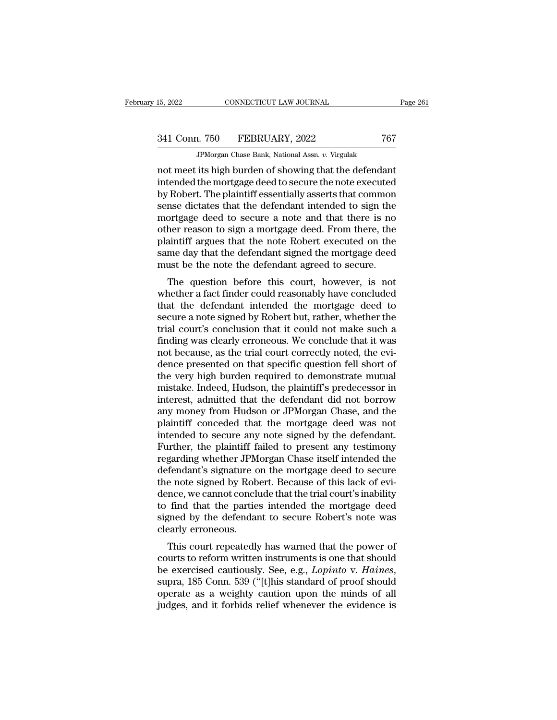JPMorgan Chase Bank, National Assn. *v.* Virgulak not meet its high burden of showing that the defendant<br>
and meet its high burden of showing that the defendant<br>
intended the mortgage deed to secure the note executed<br>
by Pobert The plaintiff essentially asserts that commo 341 Conn. 750 FEBRUARY, 2022 767<br>
IPMorgan Chase Bank, National Assn. v. Virgulak<br>
not meet its high burden of showing that the defendant<br>
intended the mortgage deed to secure the note executed<br>
by Robert. The plaintiff es  $\begin{array}{r} \text{341 Conn.} \text{750} \quad \text{FEBRUARY, 2022} \quad \text{767} \ \text{JPMorgan Chase Bank, National Assn. } v. \text{ Virgulak} \ \text{not meet its high burden of showing that the defendant intended the mortgage deed to secure the note executed by Robert. The plaintiff essentially asserts that common sense dictates that the defendant intended to sign the mort936, dood to secure a note and that there is no.} \end{array}$ 341 Conn. 750 FEBRUARY, 2022 767<br>
FPMorgan Chase Bank, National Assn. v. Virgulak<br>
not meet its high burden of showing that the defendant<br>
intended the mortgage deed to secure the note executed<br>
by Robert. The plaintiff es  $\begin{array}{l} \hline \text{JPhorgan Case Bank, National Assn. } v. \text{ Virgulak} \\ \hline \text{mot meet its high burden of showing that the defendant intended the mortgage deed to secure the note executed by Robert. The plaintiff essentially asserts that common sense dictates that the defendant intended to sign the mortgage deed to secure a note and that there is no other reason to sign a mortgage deed. From there, the plaintiff argues that the note Robert overcuted on the object.} \end{array}$ JPMorgan Chase Bank, National Assn.  $v$ . Virgulak<br>not meet its high burden of showing that the defendant<br>intended the mortgage deed to secure the note executed<br>by Robert. The plaintiff essentially asserts that common<br>sens not meet its high burden of showing that the defendant<br>intended the mortgage deed to secure the note executed<br>by Robert. The plaintiff essentially asserts that common<br>sense dictates that the defendant intended to sign the<br> intended the mortgage deed to secure the note executed<br>by Robert. The plaintiff essentially asserts that common<br>sense dictates that the defendant intended to sign the<br>mortgage deed to secure a note and that there is no<br>oth by Robert. The plaintiff essentially asserts that common<br>sense dictates that the defendant intended to sign the<br>mortgage deed to secure a note and that there is no<br>other reason to sign a mortgage deed. From there, the<br>plai Insert dictates that the defendant intended to sign the<br>ortgage deed to secure a note and that there is no<br>her reason to sign a mortgage deed. From there, the<br>aintiff argues that the note Robert executed on the<br>me day that mortgage deed to secure a note and that there is no<br>other reason to sign a mortgage deed. From there, the<br>plaintiff argues that the note Robert executed on the<br>same day that the defendant signed the mortgage deed<br>must be t

buter reason to sign a mortgage deed. From there, the<br>plaintiff argues that the note Robert executed on the<br>same day that the defendant signed the mortgage deed<br>must be the note the defendant agreed to secure.<br>The question plantif argues that the hote Robert executed on the<br>same day that the defendant signed the mortgage deed<br>must be the note the defendant agreed to secure.<br>The question before this court, however, is not<br>whether a fact finde same day that the defendant sighed the inortgage deed<br>
must be the note the defendant agreed to secure.<br>
The question before this court, however, is not<br>
whether a fact finder could reasonably have concluded<br>
that the defe findst be the note the defendant agreed to secure.<br>The question before this court, however, is not<br>whether a fact finder could reasonably have concluded<br>that the defendant intended the mortgage deed to<br>secure a note signed The question before this court, however, is not whether a fact finder could reasonably have concluded that the defendant intended the mortgage deed to secure a note signed by Robert but, rather, whether the trial court's c whether a fact finder could reasonably have concluded<br>that the defendant intended the mortgage deed to<br>secure a note signed by Robert but, rather, whether the<br>trial court's conclusion that it could not make such a<br>finding that the defendant intended the mortgage deed to<br>secure a note signed by Robert but, rather, whether the<br>trial court's conclusion that it could not make such a<br>finding was clearly erroneous. We conclude that it was<br>not bec secure a note signed by Robert but, rather, whether the<br>trial court's conclusion that it could not make such a<br>finding was clearly erroneous. We conclude that it was<br>not because, as the trial court correctly noted, the evi trial court's conclusion that it could not make such a<br>finding was clearly erroneous. We conclude that it was<br>not because, as the trial court correctly noted, the evi-<br>dence presented on that specific question fell short o finding was clearly erroneous. We conclude that it was<br>not because, as the trial court correctly noted, the evi-<br>dence presented on that specific question fell short of<br>the very high burden required to demonstrate mutual<br>m not because, as the trial court correctly noted, the evidence presented on that specific question fell short of<br>the very high burden required to demonstrate mutual<br>mistake. Indeed, Hudson, the plaintiff's predecessor in<br>in dence presented on that specific question fell short of<br>the very high burden required to demonstrate mutual<br>mistake. Indeed, Hudson, the plaintiff's predecessor in<br>interest, admitted that the defendant did not borrow<br>any m the very high burden required to demonstrate mutual<br>mistake. Indeed, Hudson, the plaintiff's predecessor in<br>interest, admitted that the defendant did not borrow<br>any money from Hudson or JPMorgan Chase, and the<br>plaintiff co mistake. Indeed, Hudson, the plaintiff's predecessor in<br>interest, admitted that the defendant did not borrow<br>any money from Hudson or JPMorgan Chase, and the<br>plaintiff conceded that the mortgage deed was not<br>intended to se interest, admitted that the defendant did not borrow<br>any money from Hudson or JPMorgan Chase, and the<br>plaintiff conceded that the mortgage deed was not<br>intended to secure any note signed by the defendant.<br>Further, the plai any money from Hudson or JPMorgan Chase, and the plaintiff conceded that the mortgage deed was not intended to secure any note signed by the defendant. Further, the plaintiff failed to present any testimony regarding wheth plaintiff conceded that the mortgage deed was not<br>intended to secure any note signed by the defendant.<br>Further, the plaintiff failed to present any testimony<br>regarding whether JPMorgan Chase itself intended the<br>defendant's intended to secure any note signed by the defendant.<br>Further, the plaintiff failed to present any testimony<br>regarding whether JPMorgan Chase itself intended the<br>defendant's signature on the mortgage deed to secure<br>the note Further, the plaintiff failed to present any testimony<br>regarding whether JPMorgan Chase itself intended the<br>defendant's signature on the mortgage deed to secure<br>the note signed by Robert. Because of this lack of evi-<br>dence regarding whether JPM<br>defendant's signature of<br>the note signed by Rob<br>dence, we cannot conclu<br>to find that the partie<br>signed by the defendar<br>clearly erroneous.<br>This court repeatedly Fendant's signature on the mortgage deed to secure<br>
e note signed by Robert. Because of this lack of evi-<br>
nce, we cannot conclude that the trial court's inability<br>
find that the parties intended the mortgage deed<br>
gned by the note signed by nobert. Because of this fack of evidence, we cannot conclude that the trial court's inability<br>to find that the parties intended the mortgage deed<br>signed by the defendant to secure Robert's note was<br>clear

be first detail of conclude that the that court sthability<br>to find that the parties intended the mortgage deed<br>signed by the defendant to secure Robert's note was<br>clearly erroneous.<br>This court repeatedly has warned that th signed by the defendant to secure nobert's note was<br>clearly erroneous.<br>This court repeatedly has warned that the power of<br>courts to reform written instruments is one that should<br>be exercised cautiously. See, e.g., *Lopinto* clearly erroneous.<br>This court repeatedly has warned that the power of<br>courts to reform written instruments is one that should<br>be exercised cautiously. See, e.g., *Lopinto* v. *Haines*,<br>supra, 185 Conn. 539 ("[t]his standar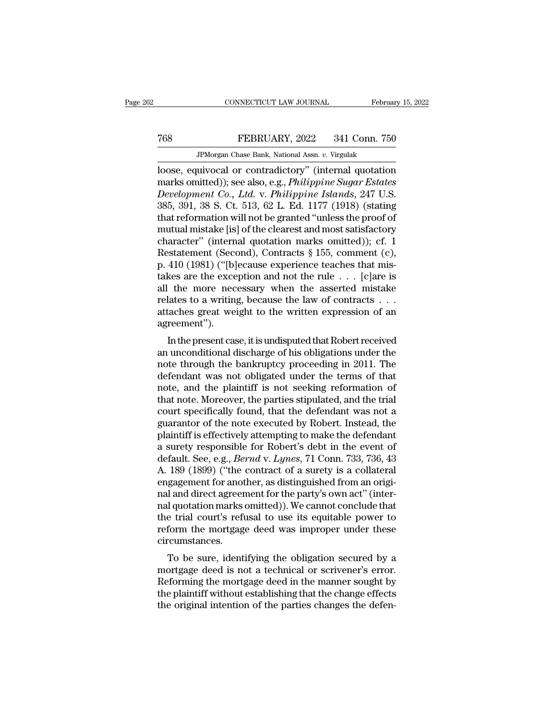# MONETICUT LAW JOURNAL February 15, 2022<br>
Technary 15, 2022<br>
Technary 15, 2022<br>
Technary 15, 2022<br>
Technary 15, 2022<br>
Technary 15, 2022<br>
Technary 15, 2022<br>
Technary 15, 2022<br>
Technary 15, 2022<br>
Technary 15, 2022<br>
Technary 1

MONECTICUT LAW JOURNAL Februa<br>FEBRUARY, 2022 341 Conn. 756<br>JPMorgan Chase Bank, National Assn. *v.* Virgulak<br>IPMorgan Chase Bank, National Assn. *v.* Virgulak<br>IPMorgan Chase Bank, National Assn. *v.* Virgulak CONNECTICUT LAW JOURNAL February 15, 2022<br>
Technary 15, 2022<br>
JPMorgan Chase Bank, National Assn. v. Virgulak<br>
Dose, equivocal or contradictory'' (internal quotation<br>
marks omitted)); see also, e.g., *Philippine Sugar Esta* marks omitted)); see also, e.g., *Philippine Sugar Estates*<br>
Development Co., *Ltd.* v. *Philippine Sugar Estates*<br>
Development Co., *Ltd.* v. *Philippine Islands*, 247 U.S.<br>
285, 301, 38 S. Ct. 513, 62 J. Ed. 1177 (1918) *FEBRUARY, 2022* 341 Conn. 750<br> *Development Co., Ltd.* v. *Philippine Sugar Estates*<br> *Development Co., Ltd.* v. *Philippine Sugar Estates*<br> *Development Co., Ltd.* v. *Philippine Islands*, 247 U.S.<br>
385, 391, 38 S. Ct. 5 TEBRUARY, 2022 341 Conn. 750<br>
JPMorgan Chase Bank, National Assn. v. Virgulak<br>
loose, equivocal or contradictory" (internal quotation<br>
marks omitted)); see also, e.g., *Philippine Sugar Estates<br>
Development Co., Ltd.* v. JPMorgan Chase Bank, National Assn. v. Virgulak<br>
loose, equivocal or contradictory" (internal quotation<br>
marks omitted)); see also, e.g., *Philippine Sugar Estates*<br> *Development Co., Ltd.* v. *Philippine Islands*, 247 U. JPMorgan Chase Bank, National Assn. v. Virgulak<br>
loose, equivocal or contradictory" (internal quotation<br>
marks omitted)); see also, e.g., *Philippine Sugar Estates*<br> *Development Co., Ltd.* v. *Philippine Islands*, 247 U. loose, equivocal or contradictory" (internal quotation<br>marks omitted)); see also, e.g., *Philippine Sugar Estates*<br>Development Co., Ltd. v. Philippine Islands, 247 U.S.<br>385, 391, 38 S. Ct. 513, 62 L. Ed. 1177 (1918) (stati marks omitted)); see also, e.g., *Philippine Sugar Estates*<br>Development Co., Ltd. v. *Philippine Islands*, 247 U.S.<br>385, 391, 38 S. Ct. 513, 62 L. Ed. 1177 (1918) (stating<br>that reformation will not be granted "unless the p Development Co., Ltd. v. Philippine Islands, 247 U.S.<br>385, 391, 38 S. Ct. 513, 62 L. Ed. 1177 (1918) (stating<br>that reformation will not be granted "unless the proof of<br>mutual mistake [is] of the clearest and most satisfact 385, 391, 38 S. Ct. 513, 62 L. Ed. 1177 (1918) (stating<br>that reformation will not be granted "unless the proof of<br>mutual mistake [is] of the clearest and most satisfactory<br>character" (internal quotation marks omitted)); c that reformation will not be granted "unless the proof of<br>mutual mistake [is] of the clearest and most satisfactory<br>character" (internal quotation marks omitted)); cf. 1<br>Restatement (Second), Contracts § 155, comment (c), mutual mistake [is] of the clearest and most satisfactory<br>character" (internal quotation marks omitted)); cf. 1<br>Restatement (Second), Contracts § 155, comment (c),<br>p. 410 (1981) ("[b]ecause experience teaches that mis-<br>tak character" (internal quotation marks omitted)); cf. 1<br>Restatement (Second), Contracts § 155, comment (c),<br>p. 410 (1981) ("[b]ecause experience teaches that mis-<br>takes are the exception and not the rule  $\dots$  [c]are is<br>all agreement'').  $110 (1381)$  (pecause experience teaches that his-<br>kes are the exception and not the rule . . . [c]are is<br>the more necessary when the asserted mistake<br>lates to a writing, because the law of contracts . . .<br>taches great wei takes are the exception and not the rule  $\ldots$  [c]are is<br>all the more necessary when the asserted mistake<br>relates to a writing, because the law of contracts  $\ldots$ <br>attaches great weight to the written expression of an<br>agre

an the more necessary when the asserted mistake<br>relates to a writing, because the law of contracts . . .<br>attaches great weight to the written expression of an<br>agreement").<br>In the present case, it is undisputed that Robert relates to a writing, because the law of contracts . . .<br>attaches great weight to the written expression of an<br>agreement").<br>In the present case, it is undisputed that Robert received<br>an unconditional discharge of his oblig attaches great weight to the written expression of an<br>agreement").<br>In the present case, it is undisputed that Robert received<br>an unconditional discharge of his obligations under the<br>note through the bankruptcy proceeding i agreement ).<br>
In the present case, it is undisputed that Robert received<br>
an unconditional discharge of his obligations under the<br>
note through the bankruptcy proceeding in 2011. The<br>
defendant was not obligated under the In the present case, it is undisputed that Robert received<br>an unconditional discharge of his obligations under the<br>note through the bankruptcy proceeding in 2011. The<br>defendant was not obligated under the terms of that<br>not an unconditional discharge of his obligations under the<br>note through the bankruptcy proceeding in 2011. The<br>defendant was not obligated under the terms of that<br>note, and the plaintiff is not seeking reformation of<br>that not note through the bankruptcy proceeding in 2011. The<br>defendant was not obligated under the terms of that<br>note, and the plaintiff is not seeking reformation of<br>that note. Moreover, the parties stipulated, and the trial<br>court defendant was not obligated under the terms of that<br>note, and the plaintiff is not seeking reformation of<br>that note. Moreover, the parties stipulated, and the trial<br>court specifically found, that the defendant was not a<br>gu note, and the plaintiff is not seeking reformation of<br>that note. Moreover, the parties stipulated, and the trial<br>court specifically found, that the defendant was not a<br>guarantor of the note executed by Robert. Instead, the that note. Moreover, the parties stipulated, and the trial<br>court specifically found, that the defendant was not a<br>guarantor of the note executed by Robert. Instead, the<br>plaintiff is effectively attempting to make the defen court specifically found, that the defendant was not a<br>guarantor of the note executed by Robert. Instead, the<br>plaintiff is effectively attempting to make the defendant<br>a surety responsible for Robert's debt in the event of guarantor of the note executed by Robert. Instead, the plaintiff is effectively attempting to make the defendant a surety responsible for Robert's debt in the event of default. See, e.g., *Bernd* v. *Lynes*, 71 Conn. 733, plaintiff is effectively attempting to make the defendant<br>a surety responsible for Robert's debt in the event of<br>default. See, e.g., *Bernd* v. *Lynes*, 71 Conn. 733, 736, 43<br>A. 189 (1899) ("the contract of a surety is a c a surety responsible for Robert's debt in the event of<br>default. See, e.g., *Bernd* v. *Lynes*, 71 Conn. 733, 736, 43<br>A. 189 (1899) ("the contract of a surety is a collateral<br>engagement for another, as distinguished from an default. See, e.g., *Bernd* v. *Lynes*, 71 Conn. 733, 736, 43<br>A. 189 (1899) ("the contract of a surety is a collateral<br>engagement for another, as distinguished from an origi-<br>nal and direct agreement for the party's own ac circumstances. gagement for another, as usunguished front an origi-<br>I and direct agreement for the party's own act'' (inter-<br>I quotation marks omitted)). We cannot conclude that<br>e-trial court's refusal to use its equitable power to<br>form marand unfect agreement for the party sown act (inter-<br>nal quotation marks omitted)). We cannot conclude that<br>the trial court's refusal to use its equitable power to<br>reform the mortgage deed was improper under these<br>circum

ranguotation manks omitted)). We cannot conclude that<br>the trial court's refusal to use its equitable power to<br>reform the mortgage deed was improper under these<br>circumstances.<br>To be sure, identifying the obligation secured the that courts fertisal to use its equitable power to<br>reform the mortgage deed was improper under these<br>circumstances.<br>To be sure, identifying the obligation secured by a<br>mortgage deed is not a technical or scrivener's er The original intentional intention of the parties circumstances.<br>To be sure, identifying the obligation secured by a mortgage deed is not a technical or scrivener's error.<br>Reforming the mortgage deed in the manner sought b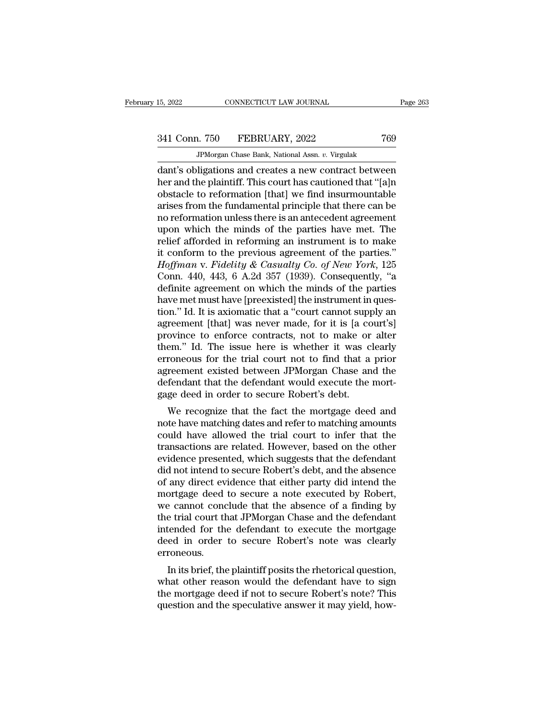341 Conn. 750 FEBRUARY, 2022 <sup>769</sup>

JPMorgan Chase Bank, National Assn. *v.* Virgulak 15, 2022 CONNECTICUT LAW JOURNAL Page 263<br>
341 Conn. 750 FEBRUARY, 2022 769<br>
JPMorgan Chase Bank, National Assn. v. Virgulak<br>
dant's obligations and creates a new contract between<br>
her and the plaintiff. This court has cau 341 Conn. 750 FEBRUARY, 2022 769<br>
JPMorgan Chase Bank, National Assn. v. Virgulak<br>
dant's obligations and creates a new contract between<br>
her and the plaintiff. This court has cautioned that "[a]n<br>
obstacle to reformation 341 Conn. 750 FEBRUARY, 2022 769<br>
FMorgan Chase Bank, National Assn. v. Virgulak<br>
dant's obligations and creates a new contract between<br>
her and the plaintiff. This court has cautioned that "[a]n<br>
obstacle to reformation 341 Conn. 750 FEBRUARY, 2022 769<br>
FPMorgan Chase Bank, National Assn. v. Virgulak<br>
dant's obligations and creates a new contract between<br>
her and the plaintiff. This court has cautioned that "[a]n<br>
obstacle to reformation JPMorgan Chase Bank, National Assn.  $v$ . Virgulak<br>dant's obligations and creates a new contract between<br>her and the plaintiff. This court has cautioned that "[a]n<br>obstacle to reformation [that] we find insurmountable<br>aris JPMorgan Chase Bank, National Assn.  $v$ . Virgulak<br>dant's obligations and creates a new contract between<br>her and the plaintiff. This court has cautioned that "[a]n<br>obstacle to reformation [that] we find insurmountable<br>aris dant's obligations and creates a new contract between<br>her and the plaintiff. This court has cautioned that "[a]n<br>obstacle to reformation [that] we find insurmountable<br>arises from the fundamental principle that there can be her and the plaintiff. This court has cautioned that "[a]n<br>obstacle to reformation [that] we find insurmountable<br>arises from the fundamental principle that there can be<br>no reformation unless there is an antecedent agreeme obstacle to reformation [that] we find insurmountable<br>arises from the fundamental principle that there can be<br>no reformation unless there is an antecedent agreement<br>upon which the minds of the parties have met. The<br>relief arises from the fundamental principle that there can be<br>no reformation unless there is an antecedent agreement<br>upon which the minds of the parties have met. The<br>relief afforded in reforming an instrument is to make<br>it conf no reformation unless there is an antecedent agreement<br>upon which the minds of the parties have met. The<br>relief afforded in reforming an instrument is to make<br>it conform to the previous agreement of the parties."<br> $H\!o\!f$ upon which the minds of the parties have met. The relief afforded in reforming an instrument is to make it conform to the previous agreement of the parties." *Hoffman* v. *Fidelity & Casualty Co. of New York*, 125 Conn. 4 relief afforded in reforming an instrument is to make<br>it conform to the previous agreement of the parties."<br>Hoffman v. Fidelity & Casualty Co. of New York, 125<br>Conn. 440, 443, 6 A.2d 357 (1939). Consequently, "a<br>definite a it conform to the previous agreement of the parties."<br> *Hoffman* v. *Fidelity* & *Casualty Co. of New York*, 125<br>
Conn. 440, 443, 6 A.2d 357 (1939). Consequently, "a<br>
definite agreement on which the minds of the parties Hoffman v. Fidelity & Casualty Co. of New York, 125<br>Conn. 440, 443, 6 A.2d 357 (1939). Consequently, "a<br>definite agreement on which the minds of the parties<br>have met must have [preexisted] the instrument in ques-<br>tion." I Conn. 440, 443, 6 A.2d 357 (1939). Consequently, "a<br>definite agreement on which the minds of the parties<br>have met must have [preexisted] the instrument in ques-<br>tion." Id. It is axiomatic that a "court cannot supply an<br>agr definite agreement on which the minds of the parties<br>have met must have [preexisted] the instrument in ques-<br>tion." Id. It is axiomatic that a "court cannot supply an<br>agreement [that] was never made, for it is [a court's]<br> have met must have [preexisted] the instrument in question." Id. It is axiomatic that a "court cannot supply an agreement [that] was never made, for it is [a court's] province to enforce contracts, not to make or alter the tion." Id. It is axiomatic that a "court cannot supply an agreement [that] was never made, for it is [a court's] province to enforce contracts, not to make or alter them." Id. The issue here is whether it was clearly erron agreement [that] was never made, for it is [a co province to enforce contracts, not to make or them." Id. The issue here is whether it was c erroneous for the trial court not to find that a agreement existed between JPMorg by the issue here is whether it was clearly<br>em." Id. The issue here is whether it was clearly<br>roneous for the trial court not to find that a prior<br>reement existed between JPMorgan Chase and the<br>fendant that the defendant w notent. The issue here is whether it was clearly<br>erroneous for the trial court not to find that a prior<br>agreement existed between JPMorgan Chase and the<br>defendant that the defendant would execute the mort-<br>gage deed in ord

erforeous for the that court not to find that a phor<br>agreement existed between JPMorgan Chase and the<br>defendant that the defendant would execute the mort-<br>gage deed in order to secure Robert's debt.<br>We recognize that the f defendant that the defendant would execute the mort-<br>defendant that the defendant would execute the mort-<br>gage deed in order to secure Robert's debt.<br>We recognize that the fact the mortgage deed and<br>note have matching date defendant that the defendant would execute the hort-<br>gage deed in order to secure Robert's debt.<br>We recognize that the fact the mortgage deed and<br>note have matching dates and refer to matching amounts<br>could have allowed th We recognize that the fact the mortgage deed and<br>note have matching dates and refer to matching amounts<br>could have allowed the trial court to infer that the<br>transactions are related. However, based on the other<br>evidence pr We recognize that the fact the mortgage deed and<br>note have matching dates and refer to matching amounts<br>could have allowed the trial court to infer that the<br>transactions are related. However, based on the other<br>evidence pr note have matching dates and refer to matching amounts<br>could have allowed the trial court to infer that the<br>transactions are related. However, based on the other<br>evidence presented, which suggests that the defendant<br>did no could have allowed the trial court to infer that the transactions are related. However, based on the other evidence presented, which suggests that the defendant did not intend to secure Robert's debt, and the absence of an transactions are related. However, based on the other<br>evidence presented, which suggests that the defendant<br>did not intend to secure Robert's debt, and the absence<br>of any direct evidence that either party did intend the<br>mo evidence presented, which suggests that the defendant<br>did not intend to secure Robert's debt, and the absence<br>of any direct evidence that either party did intend the<br>mortgage deed to secure a note executed by Robert,<br>we ca did not intend to secure Robert's debt, and the absence<br>of any direct evidence that either party did intend the<br>mortgage deed to secure a note executed by Robert,<br>we cannot conclude that the absence of a finding by<br>the tri erroneous. In its brief, the plaintiff posits the rhetorical question,<br>In its brief, the defendant to execute the mortgage<br>ed in order to secure Robert's note was clearly<br>roneous.<br>In its brief, the plaintiff posits the rhetorical que We cannot conclude that the absence of a miding by<br>the trial court that JPMorgan Chase and the defendant<br>intended for the defendant to execute the mortgage<br>deed in order to secure Robert's note was clearly<br>erroneous.<br>In it

the that court that 31 Morgan Chase and the defendant<br>intended for the defendant to execute the mortgage<br>deed in order to secure Robert's note was clearly<br>erroneous.<br>In its brief, the plaintiff posits the rhetorical questi mended for the defendant to execute the mortgage<br>deed in order to secure Robert's note was clearly<br>erroneous.<br>In its brief, the plaintiff posits the rhetorical question,<br>what other reason would the defendant have to sign<br>t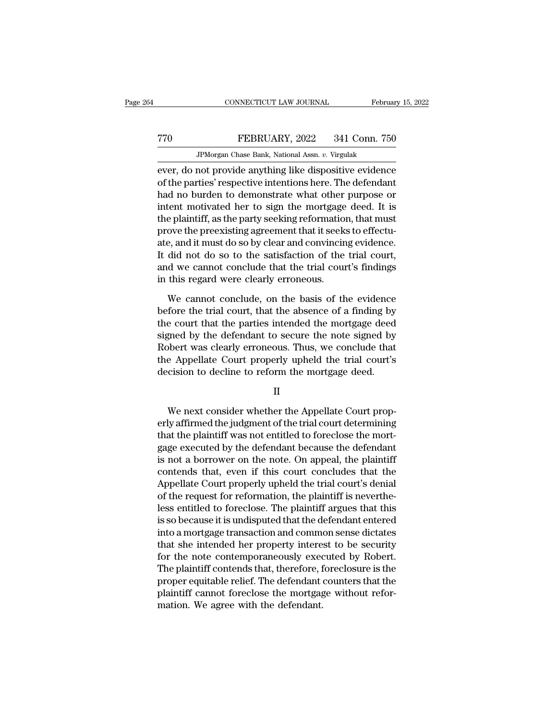### EXECUTE CONNECTICUT LAW JOURNAL February 15, 2022<br>Transfer behavior of FEBRUARY, 2022 341 Conn. 750<br>JPMorgan Chase Bank, National Assn. v. Virgulak MONNECTICUT LAW JOURNAL Februa<br>FEBRUARY, 2022 341 Conn. 756<br>JPMorgan Chase Bank, National Assn. *v.* Virgulak<br>not provide anything like dispositive evidence

EVERT CONNECTICUT LAW JOURNAL February 15, 2022<br>
FEBRUARY, 2022 341 Conn. 750<br>
JPMorgan Chase Bank, National Assn. v. Virgulak<br>
EVET, do not provide anything like dispositive evidence<br>
of the parties' respective intentions TREBRUARY, 2022 341 Conn. 750<br>
JPMorgan Chase Bank, National Assn. v. Virgulak<br>
ever, do not provide anything like dispositive evidence<br>
of the parties' respective intentions here. The defendant<br>
had no burden to demonstra FEBRUARY, 2022 341 Conn. 750<br>
FMorgan Chase Bank, National Assn. v. Virgulak<br>
ever, do not provide anything like dispositive evidence<br>
of the parties' respective intentions here. The defendant<br>
had no burden to demonstrate FEBRUARY, 2022 341 Conn. 750<br>
FMorgan Chase Bank, National Assn.  $v$ . Virgulak<br>
ever, do not provide anything like dispositive evidence<br>
of the parties' respective intentions here. The defendant<br>
had no burden to demonstr JPMorgan Chase Bank, National Assn.  $v$ . Virgulak<br>
ever, do not provide anything like dispositive evidence<br>
of the parties' respective intentions here. The defendant<br>
had no burden to demonstrate what other purpose or<br>
in *F-Morgan Chase Bank, National ASSIt. 0.* Viguax<br>ever, do not provide anything like dispositive evidence<br>of the parties' respective intentions here. The defendant<br>had no burden to demonstrate what other purpose or<br>intent m ever, do not provide anything like dispositive evidence<br>of the parties' respective intentions here. The defendant<br>had no burden to demonstrate what other purpose or<br>intent motivated her to sign the mortgage deed. It is<br>the of the parties' respective intentions here. The defendant<br>had no burden to demonstrate what other purpose or<br>intent motivated her to sign the mortgage deed. It is<br>the plaintiff, as the party seeking reformation, that must<br> had no burden to demonstrate what other purpose or<br>intent motivated her to sign the mortgage deed. It is<br>the plaintiff, as the party seeking reformation, that must<br>prove the preexisting agreement that it seeks to effectu-<br> intent motivated her to sign the mortgage<br>the plaintiff, as the party seeking reformation<br>prove the preexisting agreement that it seeks<br>ate, and it must do so by clear and convincin<br>It did not do so to the satisfaction of ove the preexisting agreement that it seeks to effectu-<br>e, and it must do so by clear and convincing evidence.<br>did not do so to the satisfaction of the trial court,<br>d we cannot conclude that the trial court's findings<br>this ate, and it must do so by clear and convincing evidence.<br>It did not do so to the satisfaction of the trial court,<br>and we cannot conclude that the trial court's findings<br>in this regard were clearly erroneous.<br>We cannot conc

It did not do so to the satisfaction of the trial court,<br>and we cannot conclude that the trial court's findings<br>in this regard were clearly erroneous.<br>We cannot conclude, on the basis of the evidence<br>before the trial court and we cannot conclude that the trial court's findings<br>in this regard were clearly erroneous.<br>We cannot conclude, on the basis of the evidence<br>before the trial court, that the absence of a finding by<br>the court that the par in this regard were clearly erroneous.<br>We cannot conclude, on the basis of the evidence<br>before the trial court, that the absence of a finding by<br>the court that the parties intended the mortgage deed<br>signed by the defendant We cannot conclude, on the basis of the evidence<br>before the trial court, that the absence of a finding by<br>the court that the parties intended the mortgage deed<br>signed by the defendant to secure the note signed by<br>Robert wa We cannot conclude, on the basis of the evidence<br>before the trial court, that the absence of a finding by<br>the court that the parties intended the mortgage deed<br>signed by the defendant to secure the note signed by<br>Robert wa ghed by the defendant to secure the hote sighed by<br>bbert was clearly erroneous. Thus, we conclude that<br>e Appellate Court properly upheld the trial court's<br>cision to decline to reform the mortgage deed.<br>II<br>We next consider

II

refluences and the Appellate Court properly upheld the trial court's<br>decision to decline to reform the mortgage deed.<br>II<br>We next consider whether the Appellate Court prop-<br>erly affirmed the judgment of the trial court dete the Appenae Court property upheld the trial court's<br>decision to decline to reform the mortgage deed.<br>II<br>We next consider whether the Appellate Court prop-<br>erly affirmed the judgment of the trial court determining<br>that the II<br>II<br>We next consider whether the Appellate Court properly<br>affirmed the judgment of the trial court determining<br>that the plaintiff was not entitled to foreclose the mort-<br>gage executed by the defendant because the defenda II<br>We next consider whether the Appellate Court prop-<br>erly affirmed the judgment of the trial court determining<br>that the plaintiff was not entitled to foreclose the mort-<br>gage executed by the defendant because the defendan We next consider whether the Appellate Court properly affirmed the judgment of the trial court determining<br>that the plaintiff was not entitled to foreclose the mort-<br>gage executed by the defendant because the defendant<br>is We next consider whether the Appellate Court properly affirmed the judgment of the trial court determining that the plaintiff was not entitled to foreclose the mortgage executed by the defendant because the defendant is no erly affirmed the judgment of the trial court determining<br>that the plaintiff was not entitled to foreclose the mort-<br>gage executed by the defendant because the defendant<br>is not a borrower on the note. On appeal, the plaint that the plaintiff was not entitled to foreclose the mort-<br>gage executed by the defendant because the defendant<br>is not a borrower on the note. On appeal, the plaintiff<br>contends that, even if this court concludes that the<br>A gage executed by the defendant because the defendant<br>is not a borrower on the note. On appeal, the plaintiff<br>contends that, even if this court concludes that the<br>Appellate Court properly upheld the trial court's denial<br>of is not a borrower on the note. On appeal, the plaintiff<br>contends that, even if this court concludes that the<br>Appellate Court properly upheld the trial court's denial<br>of the request for reformation, the plaintiff is neverth contends that, even if this court concludes that the<br>Appellate Court properly upheld the trial court's denial<br>of the request for reformation, the plaintiff is neverthe-<br>less entitled to foreclose. The plaintiff argues that Appellate Court properly upheld the trial court's denial<br>of the request for reformation, the plaintiff is neverthe-<br>less entitled to foreclose. The plaintiff argues that this<br>is so because it is undisputed that the defenda of the request for reformation, the plaintiff is neverthe-<br>less entitled to foreclose. The plaintiff argues that this<br>is so because it is undisputed that the defendant entered<br>into a mortgage transaction and common sense d less entitled to foreclose. The plaintiff argues that this<br>is so because it is undisputed that the defendant entered<br>into a mortgage transaction and common sense dictates<br>that she intended her property interest to be secur is so because it is undisputed that the defendant entered<br>into a mortgage transaction and common sense dictates<br>that she intended her property interest to be security<br>for the note contemporaneously executed by Robert.<br>The into a mortgage transaction and commethat she intended her property interestion the note contemporaneously exect<br>The plaintiff contends that, therefore, f<br>proper equitable relief. The defendant eplaintiff cannot foreclose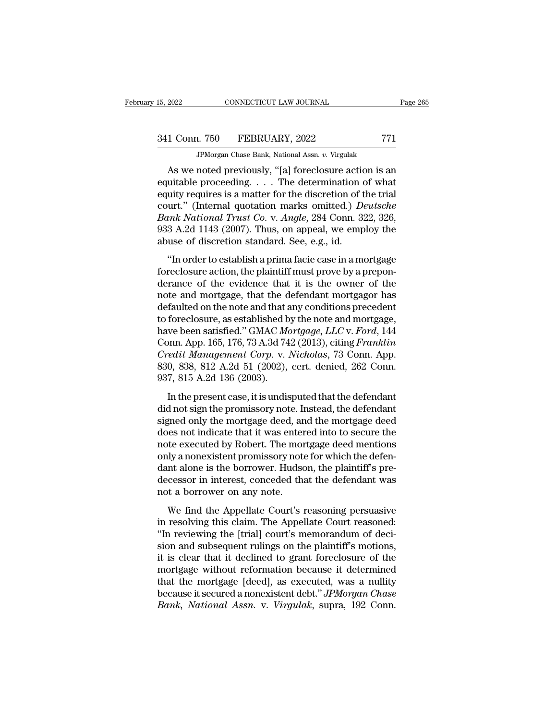# 341 Conn. 750 FEBRUARY, 2022 <sup>771</sup>

JPMorgan Chase Bank, National Assn. *v.* Virgulak

CONNECTICUT LAW JOURNAL Page 265<br>
1 Conn. 750 FEBRUARY, 2022 771<br>
JPMorgan Chase Bank, National Assn. v. Virgulak<br>
As we noted previously, "[a] foreclosure action is an<br>
uitable proceeding. . . . The determination of what<br> 341 Conn. 750 FEBRUARY, 2022 771<br>
JPMorgan Chase Bank, National Assn. v. Virgulak<br>
As we noted previously, "[a] foreclosure action is an<br>
equitable proceeding. . . . The determination of what<br>
equity requires is a matter 341 Conn. 750 FEBRUARY, 2022 771<br>
FMorgan Chase Bank, National Assn. v. Virgulak<br>
As we noted previously, "[a] foreclosure action is an<br>
equitable proceeding. . . . The determination of what<br>
equity requires is a matter f 341 Conn. 750 FEBRUARY, 2022 771<br> *JPMorgan Chase Bank, National Assn. v. Virgulak*<br>
As we noted previously, "[a] foreclosure action is an<br>
equitable proceeding. . . . The determination of what<br>
equity requires is a matter *BANCERRY,* 2022<br> *BANCERRY, National Assn. v. Virgulak*<br> **As we noted previously, "[a] foreclosure action is an**<br>
equitable proceeding. . . . The determination of what<br>
equity requires is a matter for the discretion of th JPMorgan Chase Bank, National Assn.  $v$ . Virgulak<br>
As we noted previously, "[a] foreclosure action is an<br>
equitable proceeding. . . . The determination of what<br>
equity requires is a matter for the discretion of the trial<br> As we noted previously, "[a] foreclosure actic<br>equitable proceeding. . . . The determination of<br>equity requires is a matter for the discretion of t<br>court." (Internal quotation marks omitted.)  $D_6$ <br> $Bank National Trust Co. v. Angle, 284$  Conn. 3 uitable proceeding.  $\cdots$  The determination of what<br>uity requires is a matter for the discretion of the trial<br>urt." (Internal quotation marks omitted.) *Deutsche*<br> $mk$  *National Trust Co.* v. *Angle*, 284 Conn. 322, 326,<br>3 equity requires is a matter for the discretion of the trial<br>court." (Internal quotation marks omitted.) *Deutsche*<br>Bank National Trust Co. v. Angle, 284 Conn. 322, 326,<br>933 A.2d 1143 (2007). Thus, on appeal, we employ the<br>

Bank National Trust Co. v. Angle, 284 Conn. 322, 326,<br>933 A.2d 1143 (2007). Thus, on appeal, we employ the<br>abuse of discretion standard. See, e.g., id.<br>"In order to establish a prima facie case in a mortgage<br>foreclosure ac Band Mattonal Trast 65. V. Ingle, 251 Collit. 522, 526,<br>933 A.2d 1143 (2007). Thus, on appeal, we employ the<br>abuse of discretion standard. See, e.g., id.<br>"In order to establish a prima facie case in a mortgage<br>foreclosure definited on the note and that any conditions precedent<br>that are not defined as  $\epsilon$  and  $\epsilon$  and  $\epsilon$  and  $\epsilon$  are  $\epsilon$  and  $\epsilon$  are  $\epsilon$  and  $\epsilon$  are  $\epsilon$  and  $\epsilon$  and  $\epsilon$  and  $\epsilon$  and  $\epsilon$  and  $\epsilon$  and  $\epsilon$  and  $\epsilon$  a "In order to establish a prima facie case in a mortgage<br>foreclosure action, the plaintiff must prove by a prepon-<br>derance of the evidence that it is the owner of the<br>note and mortgage, that the defendant mortgagor has<br>def "In order to establish a prima facie case in a mortgage<br>foreclosure action, the plaintiff must prove by a prepon-<br>derance of the evidence that it is the owner of the<br>note and mortgage, that the defendant mortgagor has<br>defa foreclosure action, the plaintiff must prove by a prepon-<br>derance of the evidence that it is the owner of the<br>note and mortgage, that the defendant mortgagor has<br>defaulted on the note and that any conditions precedent<br>to f derance of the evidence that it is the owner of the<br>note and mortgage, that the defendant mortgagor has<br>defaulted on the note and that any conditions precedent<br>to foreclosure, as established by the note and mortgage,<br>have note and mortgage, that the defendant mortgagor has<br>defaulted on the note and that any conditions precedent<br>to foreclosure, as established by the note and mortgage,<br>have been satisfied." GMAC *Mortgage, LLC* v. *Ford*, 144 defaulted on the note and that a<br>to foreclosure, as established b<br>have been satisfied." GMAC Mc<br>Conn. App. 165, 176, 73 A.3d 74<br>*Credit Management Corp.* v. 1<br>830, 838, 812 A.2d 51 (2002),<br>937, 815 A.2d 136 (2003).<br>In the In the present case, it is undisputed that the defendant<br>In the present case, it is understanded that the present case, it is under<br>an App. 165, 176, 73 A.3d 742 (2013), citing *Franklin*<br>edit Management Corp. v. Nicholas, did not sign the promissory and the mortgage, the extra one, 11<br>Conn. App. 165, 176, 73 A.3d 742 (2013), citing *Franklin*<br>Credit Management Corp. v. Nicholas, 73 Conn. App.<br>830, 838, 812 A.2d 51 (2002), cert. denied, 262

Credit Management Corp. v. Nicholas, 73 Conn. App.<br>
830, 838, 812 A.2d 51 (2002), cert. denied, 262 Conn.<br>
937, 815 A.2d 136 (2003).<br>
In the present case, it is undisputed that the defendant<br>
did not sign the promissory n  $\overline{330}$ ,  $\overline{838}$ ,  $\overline{812}$  A.2d  $\overline{51}$  (2002), cert. denied, 262 Conn.<br>937,  $\overline{815}$  A.2d  $\overline{136}$  (2003).<br>In the present case, it is undisputed that the defendant<br>did not sign the promissory note. Instead, 937, 815 A.2d 136 (2003).<br>937, 815 A.2d 136 (2003).<br>In the present case, it is undisputed that the defendant<br>did not sign the promissory note. Instead, the defendant<br>signed only the mortgage deed, and the mortgage deed<br>do In the present case, it is undisputed that the defendant<br>did not sign the promissory note. Instead, the defendant<br>signed only the mortgage deed, and the mortgage deed<br>does not indicate that it was entered into to secure th In the present case, it is undisputed that the defendant<br>did not sign the promissory note. Instead, the defendant<br>signed only the mortgage deed, and the mortgage deed<br>does not indicate that it was entered into to secure th did not sign the promissory note. Instead, the defendant<br>signed only the mortgage deed, and the mortgage deed<br>does not indicate that it was entered into to secure the<br>note executed by Robert. The mortgage deed mentions<br>onl signed only the mortgage deed, an<br>does not indicate that it was enter<br>note executed by Robert. The mor<br>only a nonexistent promissory not<br>dant alone is the borrower. Hudse<br>decessor in interest, conceded tha<br>not a borrower o Eles not maleade and he was entered mile to solective and<br>the executed by Robert. The mortgage deed mentions<br>ly a nonexistent promissory note for which the defen-<br>nt alone is the borrower. Hudson, the plaintiff's pre-<br>cess in a monexistent promissory note for which the defendant alone is the borrower. Hudson, the plaintiff's pre-<br>decessor in interest, conceded that the defendant was<br>not a borrower on any note.<br>We find the Appellate Court's r

only anoncalisative promissory note for which are determined<br>dant alone is the borrower. Hudson, the plaintiff's pre-<br>decessor in interest, conceded that the defendant was<br>not a borrower on any note.<br>We find the Appellate since is the software. Hallson, the plaintiff is predecessor in interest, conceded that the defendant was<br>not a borrower on any note.<br>We find the Appellate Court's reasoning persuasive<br>in resolving this claim. The Appellat is a borrower on any note.<br>
We find the Appellate Court's reasoning persuasive<br>
in resolving this claim. The Appellate Court reasoned:<br>
"In reviewing the [trial] court's memorandum of decision<br>
and subsequent rulings on th We find the Appellate Court's reasoning persuasive<br>in resolving this claim. The Appellate Court reasoned:<br>"In reviewing the [trial] court's memorandum of deci-<br>sion and subsequent rulings on the plaintiff's motions,<br>it is We find the Appellate Court's reasoning persuasive<br>in resolving this claim. The Appellate Court reasoned:<br>"In reviewing the [trial] court's memorandum of deci-<br>sion and subsequent rulings on the plaintiff's motions,<br>it is in resolving this claim. The Appellate Court reasoned:<br>"In reviewing the [trial] court's memorandum of decision and subsequent rulings on the plaintiff's motions,<br>it is clear that it declined to grant foreclosure of the<br>mo "In reviewing the [trial] court's memorandum of decision and subsequent rulings on the plaintiff's motions, it is clear that it declined to grant foreclosure of the mortgage without reformation because it determined that t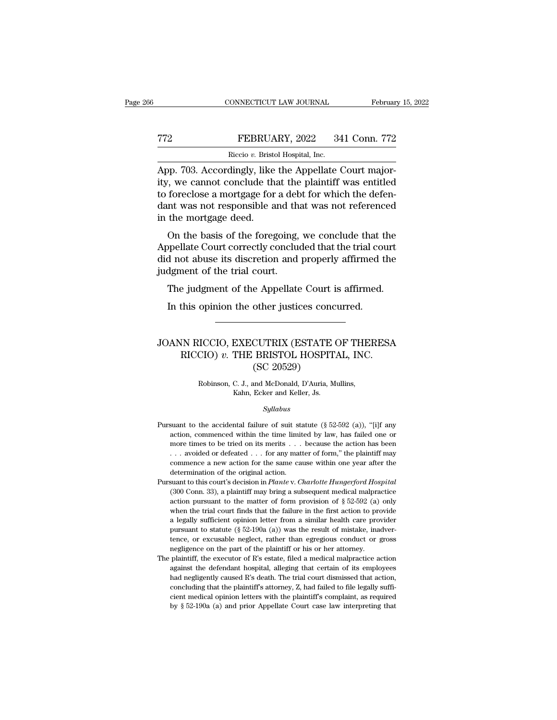## EXECUTE CONNECTICUT LAW JOURNAL February 15, 2022<br>
FEBRUARY, 2022 341 Conn. 772<br>
Riccio v. Bristol Hospital, Inc. CONNECTICUT LAW JOURNAL Februar<br>
T2<br>
Riccio *v*. Bristol Hospital, Inc.<br>
App. 703. Accordingly, like the Appellate Court major-

CONNECTICUT LAW JOURNAL Februar<br>
FEBRUARY, 2022 341 Conn. 772<br>
Riccio v. Bristol Hospital, Inc.<br>
App. 703. Accordingly, like the Appellate Court major-<br>
ity, we cannot conclude that the plaintiff was entitled<br>
to forcelose ity, we cannot conclude that the plaintiff was entitled TT2 FEBRUARY, 2022 341 Conn. 772<br>
Riccio v. Bristol Hospital, Inc.<br>
App. 703. Accordingly, like the Appellate Court major-<br>
ity, we cannot conclude that the plaintiff was entitled<br>
to foreclose a mortgage for a debt for w  $\begin{tabular}{ll} \bf 772 & \bf FEBRUARY, 2022 & 341 Conn. 772 \\ \hline \bf Riccio $v$. Bristol Hospital, Inc. \\ \bf App. 703. Accordingly, like the Appellate Court majority, we cannot conclude that the plaintiff was entitled to forcelose a mortgage for a debt for which the defendant was not responsible and that was not referenced in the mortgage deed. \end{tabular}$  $\begin{tabular}{l} \hline \textbf{Ricci}\textbf{0}\textbf{v. Bristol}\\ \hline \textbf{App. 703. Accordingly, like} \\ \hline \textbf{hyp. 703. Accordingly, like} \\ \textbf{ity, we cannot conclude that} \\ \textbf{to forcelose a mortgage for} \\ \textbf{dant was not responsible a} \\ \hline \textbf{in the mortgage deed.} \\ \textbf{On the basis of the force} \end{tabular}$ pp. 703. Accordingly, like the Appellate Court major-<br>
i, we cannot conclude that the plaintiff was entitled<br>
foreclose a mortgage for a debt for which the defen-<br>
int was not responsible and that was not referenced<br>
the m Appellate Court conclude that the plaintiff was entitled<br>to foreclose a mortgage for a debt for which the defen-<br>dant was not responsible and that was not referenced<br>in the mortgage deed.<br>On the basis of the foregoing, we

did for a did not conclude that the plant. The vast statistic did not responsible and that was not referenced<br>in the mortgage deed.<br>On the basis of the foregoing, we conclude that the<br>Appellate Court correctly concluded th to forecose a mortgage for a decreased and the dant was not responsible and the in the mortgage deed.<br>On the basis of the foregoing, Appellate Court correctly concluded not abuse its discretion and judgment of the trial co the mortgage deed.<br>
On the basis of the foregoing, we conclude that the<br>
opellate Court correctly concluded that the trial court<br>
d not abuse its discretion and properly affirmed the<br>
dgment of the trial court.<br>
The judgme On the basis of the foregoing, we conclude that the popellate Court correctly concluded that the trial cound not abuse its discretion and properly affirmed the dynametric of the trial court.<br>The judgment of the Appellate C

### % judgment of the trial court.<br>
The judgment of the Appellate Court is affirmed.<br>
In this opinion the other justices concurred.<br>
JOANN RICCIO, EXECUTRIX (ESTATE OF THERESA<br>
RICCIO) v. THE BRISTOL HOSPITAL, INC.<br>
(SC 20520) Equipment of the Appellate Court is affirmed.<br>
This opinion the other justices concurred.<br>
NIN RICCIO, EXECUTRIX (ESTATE OF THERESA<br>
RICCIO) v. THE BRISTOL HOSPITAL, INC.<br>
(SC 20529) other justices concerned the contractor of the BRISTOL HOSPIT<br>(SC 20529)<br>and McDonald, D'Auria, M EXECUTRIX (ESTATE OF THE CIO) v. THE BRISTOL HOSPITAL, INC.<br>(SC 20529)<br>Robinson, C. J., and McDonald, D'Auria, Mullins,<br>Kahn, Ecker and Keller, Js. EXECUTRIX (ESTATE CHERE ERISTOL HOSPIT.<br>
(SC 20529)<br>
C. J., and McDonald, D'Auria, Mixahn, Ecker and Keller, Js.<br>
Syllabus

### *Syllabus*

- Robinson, C. J., and McDonald, D'Auria, Mullins,<br>Kahn, Ecker and Keller, Js.<br>Syllabus<br>Pursuant to the accidental failure of suit statute (§ 52-592 (a)), "[i]f any<br>action, commenced within the time limited by law, has fail Robinson, C. J., and McDonald, D'Auria, Mullins,<br>Kahn, Ecker and Keller, Js.<br>Syllabus<br>suant to the accidental failure of suit statute (§ 52-592 (a)), "[i]f any<br>action, commenced within the time limited by law, has failed Example 19 Kahn, Ecker and Keller, Js.<br>
Syllabus<br>
suant to the accidental failure of suit statute (§ 52-592 (a)), "[i]f any<br>
action, commenced within the time limited by law, has failed one or<br>
more times to be tried on i . . . avoided or defeated . . . for any matter of form,'' the plaintiff may suant to the accidental failure of suit statute (§ 52-592 (a)), "[i]f any action, commenced within the time limited by law, has failed one or more times to be tried on its merits . . . because the action has been . . . av Pursuant to the accidental failure of suit statute (§ 52-592 (a)), "[i]f any action, commenced within the time limited by law, has failed one or more times to be tried on its merits . . . because the action has been . . . action, commenced within the time limited by law, has failed one or more times to be tried on its merits . . . because the action has been . . . avoided or defeated . . . for any matter of form," the plaintiff may commence more times to be tried on its merits . . . because the action has been . . . avoided or defeated . . . for any matter of form," the plaintiff may commence a new action for the same cause within one year after the determin
- ... avoided or defeated ... for any matter of form," the plaintiff may commence a new action for the same cause within one year after the determination of the original action.<br>suant to this court's decision in *Plante* v. commence a new action for the same cause within one year after the determination of the original action.<br>suant to this court's decision in *Plante v. Charlotte Hungerford Hospital* (300 Conn. 33), a plaintiff may bring a determination of the original action.<br>suant to this court's decision in *Plante* v. *Charlotte Hungerford Hospital* (300 Conn. 33), a plaintiff may bring a subsequent medical malpractice<br>action pursuant to the matter of f suant to this court's decision in *Plante* v. *Charlotte Hungerford Hospital* (300 Conn. 33), a plaintiff may bring a subsequent medical malpractice action pursuant to the matter of form provision of § 52-592 (a) only whe (300 Conn. 33), a plaintiff may bring a subsequent medical malpractice action pursuant to the matter of form provision of  $\S 52-592$  (a) only when the trial court finds that the failure in the first action to provide a le action pursuant to the matter of form provision of § 52-592 (a) when the trial court finds that the failure in the first action to provision a legally sufficient opinion letter from a similar health care propursuant to st when the trial court finds that the failure in the first action to provide<br>a legally sufficient opinion letter from a similar health care provider<br>pursuant to statute (§ 52-190a (a)) was the result of mistake, inadver-<br>te a legally sufficient opinion letter from a similar health care provider pursuant to statute ( $\S$  52-190a (a)) was the result of mistake, inadvertence, or excusable neglect, rather than egregious conduct or gross negligenc
- pursuant to statute ( $\S$  52-190a (a)) was the result of mistake, inadvertence, or excusable neglect, rather than egregious conduct or gross negligence on the part of the plaintiff or his or her attorney. plaintiff, the ex tence, or excusable neglect, rather than egregious conduct or gross<br>negligence on the part of the plaintiff or his or her attorney.<br>plaintiff, the executor of R's estate, filed a medical malpractice action<br>against the def negligence on the part of the plaintiff or his or her attorney.<br>
plaintiff, the executor of R's estate, filed a medical malpractice action<br>
against the defendant hospital, alleging that certain of its employees<br>
had negli The plaintiff, the executor of R's estate, filed a medical malpractice action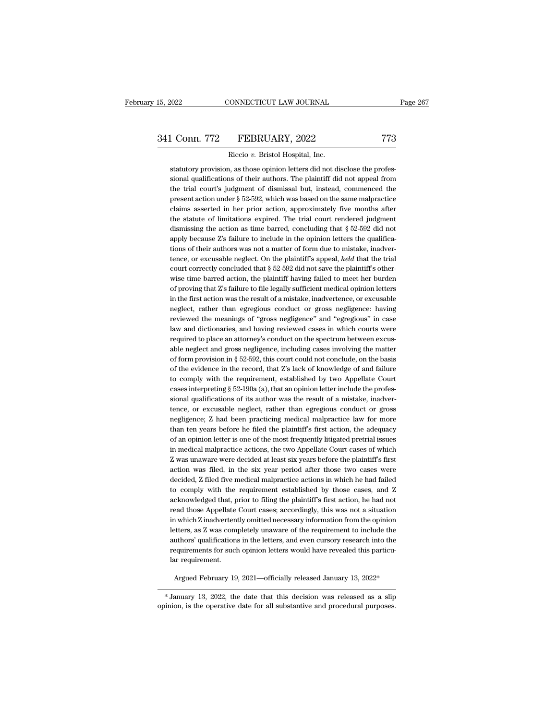# 15, 2022 CONNECTICUT LAW JOURNAL Page 267<br>341 Conn. 772 FEBRUARY, 2022 773<br>Riccio v. Bristol Hospital, Inc.

Riccio *v.* Bristol Hospital, Inc. statutory provision, as those opinion letters did not disclose the profes-<br>statutory provision, as those opinion letters did not disclose the profes-<br>sional qualifications of their authors. The plaintiff did not appeal fro sional Gradier of their authors. The plaintiff did not disclose the profes-<br>statutory provision, as those opinion letters did not disclose the profes-<br>sional qualifications of their authors. The plaintiff did not appeal fr 1 Conn. 772 FEBRUARY, 2022 773<br>
Riccio v. Bristol Hospital, Inc.<br>
statutory provision, as those opinion letters did not disclose the profes-<br>
sional qualifications of their authors. The plaintiff did not appeal from<br>
the t Riccio v. Bristol Hospital, Inc.<br>statutory provision, as those opinion letters did not disclose the profes-<br>sional qualifications of their authors. The plaintiff did not appeal from<br>the trial court's judgment of dismissal  $\frac{1}{100}$  Kicclo  $v$ . Bristol Hospital, inc.<br>statutory provision, as those opinion letters did not disclose the profes-<br>sional qualifications of their authors. The plaintiff did not appeal from<br>the trial court's judgmen statutory provision, as those opinion letters did not disclose the professional qualifications of their authors. The plaintiff did not appeal from the trial court's judgment of dismissal but, instead, commenced the presen sional qualifications of their authors. The plaintiff did not appeal from<br>the trial court's judgment of dismissal but, instead, commenced the<br>present action under  $\S 52-592$ , which was based on the same malpractice<br>claims the trial court's judgment of dismissal but, instead, commenced the present action under  $\S 52-592$ , which was based on the same malpractice claims asserted in her prior action, approximately five months after the statute present action under  $\S$  52-592, which was based on the same malpractice claims asserted in her prior action, approximately five months after the statute of limitations expired. The trial court rendered judgment dismissin claims asserted in her prior action, approximately five months after<br>the statute of limitations expired. The trial court rendered judgment<br>dismissing the action as time barred, concluding that  $\S 52-592$  did not<br>apply bec the statute of limitations expired. The trial court rendered judgment<br>dismissing the action as time barred, concluding that § 52-592 did not<br>apply because  $Z$ 's failure to include in the opinion letters the qualifica-<br>tio dismissing the action as time barred, concluding that  $\S 52-592$  did not apply because  $Z$ 's failure to include in the opinion letters the qualifications of their authors was not a matter of form due to mistake, inadverte apply because  $Z$ 's failure to include in the opinion letters the qualifications of their authors was not a matter of form due to mistake, inadvertence, or excusable neglect. On the plaintiff's appeal, *held* that the tri tions of their authors was not a matter of form due to mistake, inadvertence, or excusable neglect. On the plaintiff's appeal, *held* that the trial court correctly concluded that  $\S 52-592$  did not save the plaintiff's o tence, or excusable neglect. On the plaintiff's appeal, *held* that the trial court correctly concluded that  $\S 52-592$  did not save the plaintiff's otherwise time barred action, the plaintiff having failed to meet her bu court correctly concluded that § 52-592 did not save the plaintiff's otherwise time barred action, the plaintiff having failed to meet her burden of proving that Z's failure to file legally sufficient medical opinion lette wise time barred action, the plaintiff having failed to meet her burden<br>of proving that Z's failure to file legally sufficient medical opinion letters<br>in the first action was the result of a mistake, inadvertence, or excus of proving that Z's failure to file legally sufficient medical opinion letters<br>in the first action was the result of a mistake, inadvertence, or excusable<br>neglect, rather than egregious conduct or gross negligence: having<br> in the first action was the result of a mistake, inadvertence, or excusable neglect, rather than egregious conduct or gross negligence: having reviewed the meanings of "gross negligence" and "egregious" in case law and dic neglect, rather than egregious conduct or gross negligence: having<br>reviewed the meanings of "gross negligence" and "egregious" in case<br>law and dictionaries, and having reviewed cases in which courts were<br>required to place reviewed the meanings of "gross negligence" and "egregious" in case<br>law and dictionaries, and having reviewed cases in which courts were<br>required to place an attorney's conduct on the spectrum between excus-<br>able neglect a law and dictionaries, and having reviewed cases in which courts were<br>required to place an attorney's conduct on the spectrum between excus-<br>able neglect and gross negligence, including cases involving the matter<br>of form pr required to place an attorney's conduct on the spectrum between excus-<br>able neglect and gross negligence, including cases involving the matter<br>of form provision in § 52-592, this court could not conclude, on the basis<br>of t able neglect and gross negligence, including cases involving the matter of form provision in  $\S$  52-592, this court could not conclude, on the basis of the evidence in the record, that  $Z$ 's lack of knowledge of and failu of form provision in § 52-592, this court could not conclude, on the basis<br>of the evidence in the record, that  $Z$ 's lack of knowledge of and failure<br>to comply with the requirement, established by two Appellate Court<br>case of the evidence in the record, that Z's lack of knowledge of and failure<br>to comply with the requirement, established by two Appellate Court<br>cases interpreting § 52-190a (a), that an opinion letter include the profes-<br>siona to comply with the requirement, established by two Appellate Court cases interpreting  $\S$  52-190a (a), that an opinion letter include the professional qualifications of its author was the result of a mistake, inadvertence cases interpreting  $\S$  52-190a (a), that an opinion letter include the professional qualifications of its author was the result of a mistake, inadvertence, or excusable neglect, rather than egregious conduct or gross negl sional qualifications of its author was the result of a mistake, inadvertence, or excusable neglect, rather than egregious conduct or gross negligence; Z had been practicing medical malpractice law for more than ten years tence, or excusable neglect, rather than egregious conduct or gross<br>negligence; Z had been practicing medical malpractice law for more<br>than ten years before he filed the plaintiff's first action, the adequacy<br>of an opinion negligence; Z had been practicing medical malpractice law for more<br>than ten years before he filed the plaintiff's first action, the adequacy<br>of an opinion letter is one of the most frequently litigated pretrial issues<br>in m than ten years before he filed the plaintiff's first action, the adequacy of an opinion letter is one of the most frequently litigated pretrial issues in medical malpractice actions, the two Appellate Court cases of which of an opinion letter is one of the most frequently litigated pretrial issues<br>in medical malpractice actions, the two Appellate Court cases of which<br>Z was unaware were decided at least six years before the plaintiff's first in medical malpractice actions, the two Appellate Court cases of which Z was unaware were decided at least six years before the plaintiff's first action was filed, in the six year period after those two cases were decided Z was unaware were decided at least six years before the plaintiff's first action was filed, in the six year period after those two cases were decided, Z filed five medical malpractice actions in which he had failed to com action was filed, in the six year period after those two cases were<br>decided, Z filed five medical malpractice actions in which he had failed<br>to comply with the requirement established by those cases, and Z<br>acknowledged tha decided, Z filed five medical malpractice actions in which he had failed<br>to comply with the requirement established by those cases, and Z<br>acknowledged that, prior to filing the plaintiff's first action, he had not<br>read tho to comply with the requirement established by those cases, and Z<br>acknowledged that, prior to filing the plaintiff's first action, he had not<br>read those Appellate Court cases; accordingly, this was not a situation<br>in which acknowledged that, prior to filing the plaintiff's first action, he had not read those Appellate Court cases; accordingly, this was not a situation in which Z inadvertently omitted necessary information from the opinion le read those Appellate<br>in which Z inadverten<br>letters, as Z was com<br>authors' qualification<br>requirements for such<br>lar requirement. etters, as Z was completely unaware of the requirement to include the<br>uthors' qualifications in the letters, and even cursory research into the<br>equirements for such opinion letters would have revealed this particu-<br>argued requirements for such opinion letters would have revealed this particular requirement.<br>Argued February 19, 2021—officially released January 13, 2022\*<br>FJanuary 13, 2022, the date that this decision was released as a slip-<br>i

dependent date for all substantive date for all substantive and procedural purposes.<br>
For all substantive and procedural purposes.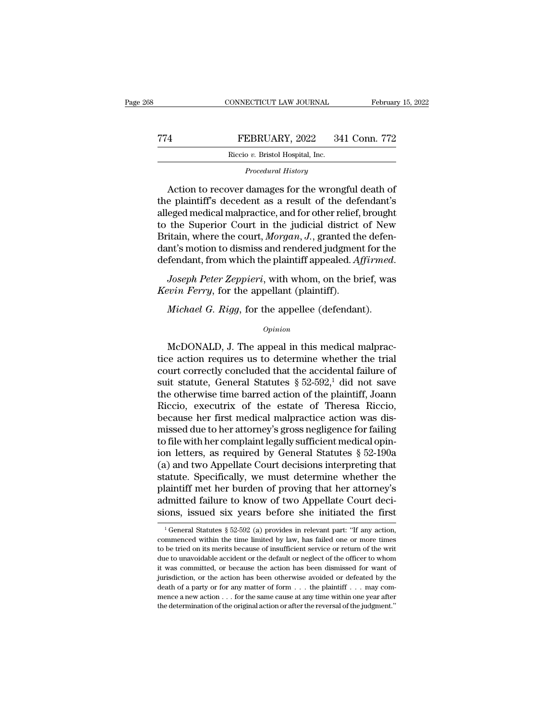|     | CONNECTICUT LAW JOURNAL                                             | February 15, 2022 |
|-----|---------------------------------------------------------------------|-------------------|
| 774 | FEBRUARY, 2022                                                      | 341 Conn. 772     |
|     | Riccio v. Bristol Hospital, Inc.                                    |                   |
|     | Procedural History                                                  |                   |
|     | $\Lambda$ at an term access desception from the consequent death of |                   |

FEBRUARY, 2022 341 Conn. 772<br>
Riccio v. Bristol Hospital, Inc.<br>
Procedural History<br>
Action to recover damages for the wrongful death of<br>
e plaintiff's decedent as a result of the defendant's<br>
and modical main ractice, and TT4 FEBRUARY, 2022 341 Conn. 772<br>
Riccio v. Bristol Hospital, Inc.<br>
Procedural History<br>
Action to recover damages for the wrongful death of<br>
the plaintiff's decedent as a result of the defendant's<br>
alleged medical malpract FEBRUARY, 2022 341 Conn. 772<br>
Riccio v. Bristol Hospital, Inc.<br>
Procedural History<br>
Action to recover damages for the wrongful death of<br>
the plaintiff's decedent as a result of the defendant's<br>
alleged medical malpractice Riccio v. Bristol Hospital, Inc.<br>
Procedural History<br>
Action to recover damages for the wrongful death of<br>
the plaintiff's decedent as a result of the defendant's<br>
alleged medical malpractice, and for other relief, brought *Procedural History*<br>Action to recover damages for the wrongful death of<br>the plaintiff's decedent as a result of the defendant's<br>alleged medical malpractice, and for other relief, brought<br>to the Superior Court in the judic Action to recover damages for the wrongful death of<br>the plaintiff's decedent as a result of the defendant's<br>alleged medical malpractice, and for other relief, brought<br>to the Superior Court in the judicial district of New<br>B Action to recover damages for the wrongful death of<br>the plaintiff's decedent as a result of the defendant's<br>alleged medical malpractice, and for other relief, brought<br>to the Superior Court in the judicial district of New<br>B *Kevin Ferry*, for the appellant (plaintiff).<br>*Kevin Ferry*, to the Superior Court in the judicial district Britain, where the court, *Morgan*, *J*., granted the dant's motion to dismiss and rendered judgmen defendant, fro *Morgan, J., granted the defenant's motion to dismiss and rendered judgment for the fendant, from which the plaintiff appealed. Affirmed.<br>Joseph Peter Zeppieri, with whom, on the brief, was <i>win Ferry*, for the appellant (

### *Opinion*

Joseph Peter Zeppieri, with whom, on the brief, was<br> *win Ferry*, for the appellant (plaintiff).<br> *Michael G. Rigg*, for the appellee (defendant).<br> *Opinion*<br>
McDONALD, J. The appeal in this medical malprac-<br>
re action req Kevin Ferry, for the appellant (plaintiff).<br>
Michael G. Rigg, for the appellee (defendant).<br>  $\frac{1}{\text{opinion}}$ <br>
McDONALD, J. The appeal in this medical malpractice action requires us to determine whether the trial<br>
court corr Michael G. Rigg, for the appellee (defendant).<br>
opinion<br>
McDONALD, J. The appeal in this medical malpractice action requires us to determine whether the trial<br>
court correctly concluded that the accidental failure of<br>
sui Michael G. Rigg, for the appellee (defendant).<br>  $\omega_{pinion}$ <br>
McDONALD, J. The appeal in this medical malpractice action requires us to determine whether the trial<br>
court correctly concluded that the accidental failure of<br>
su opinion<br>
McDONALD, J. The appeal in this medical malpractice action requires us to determine whether the trial<br>
court correctly concluded that the accidental failure of<br>
suit statute, General Statutes § 52-592,<sup>1</sup> did not McDONALD, J. The appeal in this medical malpractice action requires us to determine whether the trial court correctly concluded that the accidental failure of suit statute, General Statutes  $\S 52-592,1$  did not save the o McDONALD, J. The appeal in this medical malpractice action requires us to determine whether the trial court correctly concluded that the accidental failure of suit statute, General Statutes  $\S 52-592,1$  did not save the o tice action requires us to determine whether the trial<br>court correctly concluded that the accidental failure of<br>suit statute, General Statutes  $\S 52-592$ ,<sup>1</sup> did not save<br>the otherwise time barred action of the plaintiff, court correctly concluded that the accidental failure of<br>suit statute, General Statutes  $\S 52-592,1$  did not save<br>the otherwise time barred action of the plaintiff, Joann<br>Riccio, executrix of the estate of Theresa Riccio, suit statute, General Statutes § 52-592,<sup>1</sup> did not save<br>the otherwise time barred action of the plaintiff, Joann<br>Riccio, executrix of the estate of Theresa Riccio,<br>because her first medical malpractice action was dis-<br>mi the otherwise time barred action of the plaintiff, Joann<br>Riccio, executrix of the estate of Theresa Riccio,<br>because her first medical malpractice action was dis-<br>missed due to her attorney's gross negligence for failing<br>to Riccio, executrix of the estate of Theresa Riccio,<br>because her first medical malpractice action was dis-<br>missed due to her attorney's gross negligence for failing<br>to file with her complaint legally sufficient medical opinbecause her first medical malpractice action was dismissed due to her attorney's gross negligence for failing<br>to file with her complaint legally sufficient medical opin-<br>ion letters, as required by General Statutes § 52-19 missed due to her attorney's gross negligence for failing<br>to file with her complaint legally sufficient medical opin-<br>ion letters, as required by General Statutes § 52-190a<br>(a) and two Appellate Court decisions interpretin to file with her complaint legally sufficient medical opin-<br>ion letters, as required by General Statutes  $\S$  52-190a<br>(a) and two Appellate Court decisions interpreting that<br>statute. Specifically, we must determine whether statute. Specifically, we must determine whether the plaintiff met her burden of proving that her attorney's admitted failure to know of two Appellate Court decisions, issued six years before she initiated the first  $\frac{1$ plaintiff met her burden of proving that her attorney's admitted failure to know of two Appellate Court decisions, issued six years before she initiated the first  $\frac{1}{1}$  General Statutes § 52-592 (a) provides in releva

admitted failure to know of two Appellate Court decisions, issued six years before she initiated the first  $\frac{1}{1}$  General Statutes § 52-592 (a) provides in relevant part: "If any action, commenced within the time limit sions, issued six years before she initiated the first  $\frac{1}{1}$  General Statutes § 52-592 (a) provides in relevant part: "If any action, commenced within the time limited by law, has failed one or more times to be tried Figure 3.1 System Statutes  $\S$  52-592 (a) provides in relevant part: "If any action,<br><sup>1</sup> General Statutes  $\S$  52-592 (a) provides in relevant part: "If any action,<br>commenced within the time limited by law, has failed one <sup>1</sup> General Statutes § 52-592 (a) provides in relevant part: "If any action, commenced within the time limited by law, has failed one or more times to be tried on its merits because of insufficient service or return of th commenced within the time limited by law, has failed one or more times,<br>to be tried on its merits because of insufficient service or return of the writ<br>due to unavoidable accident or the default or neglect of the officer to be tried on its merits because of insufficient service or return of the writ<br>due to unavoidable accident or the default or neglect of the officer to whom<br>it was committed, or because the action has been dismissed for w due to unavoidable accident or the default or neglect of the officer to whom<br>it was committed, or because the action has been dismissed for want of<br>jurisdiction, or the action has been otherwise avoided or defeated by the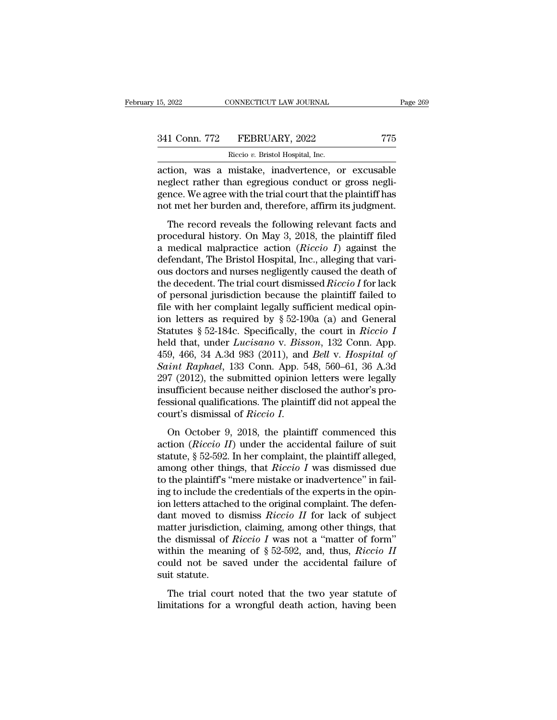| 15, 2022      | CONNECTICUT LAW JOURNAL          | Page 269 |
|---------------|----------------------------------|----------|
| 341 Conn. 772 | FEBRUARY, 2022                   | 775      |
|               | Riccio v. Bristol Hospital, Inc. |          |

15, 2022 CONNECTICUT LAW JOURNAL<br>
241 Conn. 772 FEBRUARY, 2022 775<br>
Riccio *v*. Bristol Hospital, Inc.<br>
action, was a mistake, inadvertence, or excusable 15, 2022 CONNECTICUT LAW JOURNAL Page 269<br>
341 Conn. 772 FEBRUARY, 2022 775<br>
Riccio v. Bristol Hospital, Inc.<br>
action, was a mistake, inadvertence, or excusable<br>
neglect rather than egregious conduct or gross negli-341 Conn. 772 FEBRUARY, 2022 775<br>Riccio v. Bristol Hospital, Inc.<br>action, was a mistake, inadvertence, or excusable<br>neglect rather than egregious conduct or gross negli-<br>gence. We agree with the trial court that the plaint  $\begin{tabular}{ll} \multicolumn{1}{l}{{\bf 341 Conn. 772} & \multicolumn{1}{l}{\bf FEBRUARY, 2022} & \multicolumn{1}{l}{\bf 775} \\\hline \multicolumn{1}{l}{\bf Riccio $v$. Bristol Hospital, Inc.} \end{tabular} \end{tabular} \begin{tabular}{ll} \multicolumn{1}{l}{\bf 341 Conf. 775} \\\hline \multicolumn{1}{l}{\bf 2022} & \multicolumn{1}{l}{\bf 775} \\\hline \multicolumn{1}{l}{\bf 2022} & \multicolumn{1}{l}{\bf 775} \\\h$ 341 Conn. 772 FEBRUARY, 2022 775<br>
Riccio v. Bristol Hospital, Inc.<br>
action, was a mistake, inadvertence, or excusable<br>
neglect rather than egregious conduct or gross negli-<br>
gence. We agree with the trial court that the pl Fraction was a mistake, inadvertence, or excusable<br>glect rather than egregious conduct or gross negli-<br>nce. We agree with the trial court that the plaintiff has<br>t met her burden and, therefore, affirm its judgment.<br>The re action, was a mistake, inadvertence, or excusable<br>neglect rather than egregious conduct or gross negli-<br>gence. We agree with the trial court that the plaintiff has<br>not met her burden and, therefore, affirm its judgment.<br>T

action, was a mistake, madvertence, or excussion<br>neglect rather than egregious conduct or gross negli-<br>gence. We agree with the trial court that the plaintiff has<br>not met her burden and, therefore, affirm its judgment.<br>The defined a medical manitogregious conduct of gross right<br>gence. We agree with the trial court that the plaintiff has<br>not met her burden and, therefore, affirm its judgment.<br>The record reveals the following relevant facts a not met her burden and, therefore, affirm its judgment.<br>The record reveals the following relevant facts and<br>procedural history. On May 3, 2018, the plaintiff filed<br>a medical malpractice action (*Riccio I*) against the<br>def The record reveals the following relevant facts and<br>procedural history. On May 3, 2018, the plaintiff filed<br>a medical malpractice action *(Riccio I)* against the<br>defendant, The Bristol Hospital, Inc., alleging that vari-<br>o The record reveals the following relevant facts and<br>procedural history. On May 3, 2018, the plaintiff filed<br>a medical malpractice action (*Riccio I*) against the<br>defendant, The Bristol Hospital, Inc., alleging that vari-<br> procedural history. On May 3, 2018, the plaintiff filed<br>a medical malpractice action (*Riccio I*) against the<br>defendant, The Bristol Hospital, Inc., alleging that vari-<br>ous doctors and nurses negligently caused the death a medical malpractice action (*Riccio I*) against the defendant, The Bristol Hospital, Inc., alleging that various doctors and nurses negligently caused the death of the decedent. The trial court dismissed *Riccio I* for defendant, The Bristol Hospital, Inc., alleging that various doctors and nurses negligently caused the death of<br>the decedent. The trial court dismissed *Riccio I* for lack<br>of personal jurisdiction because the plaintiff fai ous doctors and nurses negligently caused the death of<br>the decedent. The trial court dismissed *Riccio I* for lack<br>of personal jurisdiction because the plaintiff failed to<br>file with her complaint legally sufficient medical the decedent. The trial court dismissed *Riccio I* for lack<br>of personal jurisdiction because the plaintiff failed to<br>file with her complaint legally sufficient medical opin-<br>ion letters as required by § 52-190a (a) and Gen of personal jurisdiction because the plaintiff failed to<br>file with her complaint legally sufficient medical opin-<br>ion letters as required by § 52-190a (a) and General<br>Statutes § 52-184c. Specifically, the court in *Riccio* file with her complaint legally sufficient medical opin-<br>ion letters as required by § 52-190a (a) and General<br>Statutes § 52-184c. Specifically, the court in *Riccio I*<br>held that, under *Lucisano* v. *Bisson*, 132 Conn. App ion letters as required by § 52-190a (a) and General Statutes § 52-184c. Specifically, the court in *Riccio I* held that, under *Lucisano* v. *Bisson*, 132 Conn. App. 459, 466, 34 A.3d 983 (2011), and *Bell* v. *Hospital* Statutes § 52-184c. Specifically, the court in *Riccio I*<br>held that, under *Lucisano* v. *Bisson*, 132 Conn. App.<br>459, 466, 34 A.3d 983 (2011), and *Bell* v. *Hospital of*<br>*Saint Raphael*, 133 Conn. App. 548, 560–61, 36 A held that, under *Lucisano* v. *Bisson*, 132 Conn. App.<br>459, 466, 34 A.3d 983 (2011), and *Bell v. Hospital of*<br>*Saint Raphael*, 133 Conn. App. 548, 560–61, 36 A.3d<br>297 (2012), the submitted opinion letters were legally<br>in 297 (2012), the submitted opinion letters were legally<br>insufficient because neither disclosed the author's pro-<br>fessional qualifications. The plaintiff did not appeal the<br>court's dismissal of *Riccio I*.<br>On October 9, 201

insufficient because neither disclosed the author's pro-<br>fessional qualifications. The plaintiff did not appeal the<br>court's dismissal of *Riccio I*.<br>On October 9, 2018, the plaintiff commenced this<br>action (*Riccio II*) un msunnerin secalise neither disclosed are during s pro<br>fessional qualifications. The plaintiff did not appeal the<br>court's dismissal of *Riccio I*.<br>On October 9, 2018, the plaintiff commenced this<br>action (*Riccio II*) under Followit's dismissal of *Riccio I*.<br>
On October 9, 2018, the plaintiff commenced this<br>
action (*Riccio II*) under the accidental failure of suit<br>
statute, § 52-592. In her complaint, the plaintiff alleged,<br>
among other th on October 9, 2018, the plaintiff commenced this<br>action (*Riccio II*) under the accidental failure of suit<br>statute, § 52-592. In her complaint, the plaintiff alleged,<br>among other things, that *Riccio I* was dismissed due<br> On October 9, 2018, the plaintiff commenced this<br>action (*Riccio II*) under the accidental failure of suit<br>statute, § 52-592. In her complaint, the plaintiff alleged,<br>among other things, that *Riccio I* was dismissed due<br> action (*Riccio II*) under the accidental failure of suit statute,  $\S$  52-592. In her complaint, the plaintiff alleged, among other things, that *Riccio I* was dismissed due to the plaintiff's "mere mistake or inadvertenc statute, § 52-592. In her complaint, the plaintiff alleged,<br>among other things, that *Riccio I* was dismissed due<br>to the plaintiff's "mere mistake or inadvertence" in fail-<br>ing to include the credentials of the experts in among other things, that *Riccio I* was dismissed due<br>to the plaintiff's "mere mistake or inadvertence" in fail-<br>ing to include the credentials of the experts in the opin-<br>ion letters attached to the original complaint. T to the plaintiff's "mere mistake or inadvertence" in fail-<br>ing to include the credentials of the experts in the opin-<br>ion letters attached to the original complaint. The defen-<br>dant moved to dismiss *Riccio II* for lack o ing to include the credentials of the experts in the opin-<br>ion letters attached to the original complaint. The defen-<br>dant moved to dismiss  $Riccio II$  for lack of subject<br>matter jurisdiction, claiming, among other things, tha ion letters attache<br>dant moved to c<br>matter jurisdictic<br>the dismissal of<br>within the mean<br>could not be sa<br>suit statute.<br>The trial cour The trial court noted to distinguish allows the two status distinct distinguish atter jurisdiction, claiming, among other things, that e dismissal of *Riccio*  $I$  was not a "matter of form" thin the meaning of  $\S 52-592$ , the dismissal of *Riccio I* was not a "matter of form" within the meaning of  $\S$  52-592, and, thus, *Riccio II* could not be saved under the accidental failure of suit statute.<br>The trial court noted that the two year stat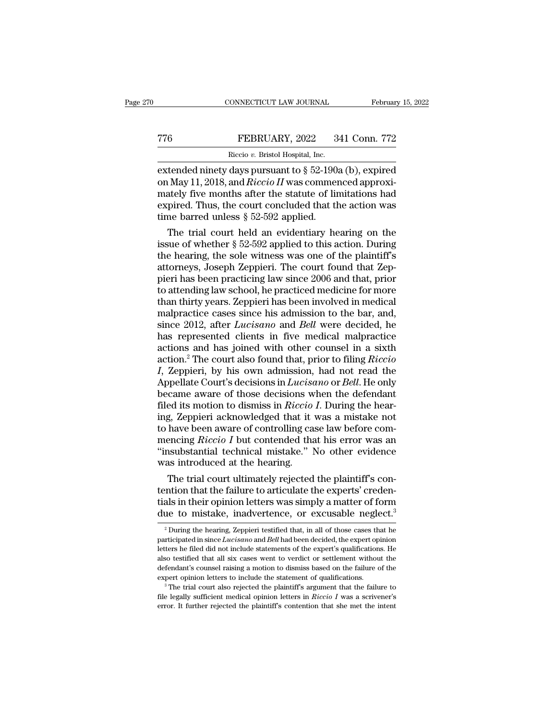## CONNECTICUT LAW JOURNAL February 15, 2022<br>
TT6 FEBRUARY, 2022 341 Conn. 772<br>
Riccio v. Bristol Hospital, Inc. CONNECTICUT LAW JOURNAL Februar<br>
TT6 FEBRUARY, 2022 341 Conn. 772<br>
Riccio *v*. Bristol Hospital, Inc.<br>
extended ninety days pursuant to § 52-190a (b), expired

cONNECTICUT LAW JOURNAL February 15, 2022<br>
FEBRUARY, 2022 341 Conn. 772<br>
Riccio v. Bristol Hospital, Inc.<br>
extended ninety days pursuant to § 52-190a (b), expired<br>
on May 11, 2018, and *Riccio II* was commenced approximate The Team of Team of Team of Team of Team of Team of Team of Team of Team of Team of Team of Team of Team of Team of Team of Team of Team of Team of Team of Team of Team of Team of Team of Team of Team of Team of Team of Te FEBRUARY, 2022 341 Conn. 772<br>
Riccio v. Bristol Hospital, Inc.<br>
extended ninety days pursuant to  $\S$  52-190a (b), expired<br>
on May 11, 2018, and *Riccio II* was commenced approxi-<br>
mately five months after the statute of l FEBRUARY, 2022 341 Conn. 772<br>
Riccio v. Bristol Hospital, Inc.<br>
extended ninety days pursuant to  $\S 52-190a$  (b), expired<br>
on May 11, 2018, and *Riccio II* was commenced approxi-<br>
mately five months after the statute of l FERICALLY, 2022<br>
Riccio v. Bristol Hospital, Inc.<br>
extended ninety days pursuant to  $\S$  52-190.<br>
on May 11, 2018, and *Riccio II* was commentately five months after the statute of linexpired. Thus, the court concluded tha The trial court held an evidentiary hearing on the space of the plantiff's<br>tended ninety days pursuant to  $\S$  52-190a (b), expired<br>and pired. Thus, the court concluded that the action was<br>me barred unless  $\S$  52-592 appli extended ninety days pursuant to  $\S$  52-190a (b), expired<br>on May 11, 2018, and *Riccio II* was commenced approxi-<br>mately five months after the statute of limitations had<br>expired. Thus, the court concluded that the action

on May 11, 2018, and *Riccio II* was commenced approximately five months after the statute of limitations had expired. Thus, the court concluded that the action was time barred unless  $\S 52-592$  applied.<br>The trial court h mately five months after the statute of limitations had<br>expired. Thus, the court concluded that the action was<br>time barred unless  $\S~52\textrm{-}592$  applied.<br>The trial court held an evidentiary hearing on the<br>issue of whether expired. Thus, the court concluded that the action was<br>time barred unless § 52-592 applied.<br>The trial court held an evidentiary hearing on the<br>issue of whether § 52-592 applied to this action. During<br>the hearing, the sole time barred unless  $\S$  52-592 applied.<br>The trial court held an evidentiary hearing on the<br>issue of whether  $\S$  52-592 applied to this action. During<br>the hearing, the sole witness was one of the plaintiff's<br>attorneys, Jose The trial court held an evidentiary hearing on the<br>issue of whether  $\S 52-592$  applied to this action. During<br>the hearing, the sole witness was one of the plaintiff's<br>attorneys, Joseph Zeppieri. The court found that Zep-<br> issue of whether  $\S$  52-592 applied to this action. During<br>the hearing, the sole witness was one of the plaintiff's<br>attorneys, Joseph Zeppieri. The court found that Zep-<br>pieri has been practicing law since 2006 and that, the hearing, the sole witness was one of the plaintiff's<br>attorneys, Joseph Zeppieri. The court found that Zep-<br>pieri has been practicing law since 2006 and that, prior<br>to attending law school, he practiced medicine for mor attorneys, Joseph Zeppieri. The court found that Zeppieri has been practicing law since 2006 and that, prior<br>to attending law school, he practiced medicine for more<br>than thirty years. Zeppieri has been involved in medical<br> pieri has been practicing law since 2006 and that, prior<br>to attending law school, he practiced medicine for more<br>than thirty years. Zeppieri has been involved in medical<br>malpractice cases since his admission to the bar, an to attending law school, he practiced medicine for more<br>than thirty years. Zeppieri has been involved in medical<br>malpractice cases since his admission to the bar, and,<br>since 2012, after *Lucisano* and *Bell* were decided, *I*, than thirty years. Zeppieri has been involved in medical<br>*I* malpractice cases since his admission to the bar, and,<br>since 2012, after *Lucisano* and *Bell* were decided, he<br>has represented clients in five medical malp malpractice cases since his admission to the bar, and,<br>since 2012, after *Lucisano* and *Bell* were decided, he<br>has represented clients in five medical malpractice<br>actions and has joined with other counsel in a sixth<br>actio since 2012, after *Lucisano* and *Bell* were decided, he<br>has represented clients in five medical malpractice<br>actions and has joined with other counsel in a sixth<br>action.<sup>2</sup> The court also found that, prior to filing *Ricci* has represented clients in five medical malpractice<br>actions and has joined with other counsel in a sixth<br>action.<sup>2</sup> The court also found that, prior to filing *Riccio*<br>*I*, Zeppieri, by his own admission, had not read the<br> actions and has joined with other counsel in a sixth<br>action.<sup>2</sup> The court also found that, prior to filing *Riccio*<br>*I*, Zeppieri, by his own admission, had not read the<br>Appellate Court's decisions in *Lucisano* or *Bell*. action.<sup>2</sup> The court also found that, prior to filing *Riccio I*, Zeppieri, by his own admission, had not read the Appellate Court's decisions in *Lucisano* or *Bell*. He only became aware of those decisions when the def *I*, Zeppieri, by his own admission, had not read the Appellate Court's decisions in *Lucisano* or *Bell*. He only became aware of those decisions when the defendant filed its motion to dismiss in *Riccio I*. During the he Appellate Court's decisions in *Lucisano* or *Bell*. He only<br>became aware of those decisions when the defendant<br>filed its motion to dismiss in *Riccio I*. During the hear-<br>ing, Zeppieri acknowledged that it was a mistake n became aware of those decisions w<br>filed its motion to dismiss in  $Riccio$ <br>ing, Zeppieri acknowledged that it<br>to have been aware of controlling ca<br>mencing  $Riccio I$  but contended tha<br>"insubstantial technical mistake." I<br>was intr ed its motion to dismiss in *Riccio 1*. During the hearg, Zeppieri acknowledged that it was a mistake not have been aware of controlling case law before comencing *Riccio I* but contended that his error was an substantial ing, Zeppieri acknowledged that it was a mistake not<br>to have been aware of controlling case law before com-<br>mencing  $Riccio I$  but contended that his error was an<br>"insubstantial technical mistake." No other evidence<br>was intro

to have been aware of controlling case law before com-<br>mencing  $Riccio I$  but contended that his error was an<br>"insubstantial technical mistake." No other evidence<br>was introduced at the hearing.<br>The trial court ultimately reje mencing *Riccio 1* but contended that his error was an "insubstantial technical mistake." No other evidence was introduced at the hearing.<br>The trial court ultimately rejected the plaintiff's contention that the failure to The trial court ultimately rejected the plaintiff's con-<br>ntion that the failure to articulate the experts' creden-<br>als in their opinion letters was simply a matter of form<br>ue to mistake, inadvertence, or excusable neglect tention that the failure to articulate the experts' credentials in their opinion letters was simply a matter of form due to mistake, inadvertence, or excusable neglect.<sup>3</sup><br><sup>2</sup> During the hearing, Zeppieri testified that, i

tials in their opinion letters was simply a matter of form<br>due to mistake, inadvertence, or excusable neglect.<sup>3</sup><br><sup>2</sup>During the hearing, Zeppieri testified that, in all of those cases that he<br>participated in since *Lucisa* due to mistake, inadvertence, or excusable neglect.<sup>3</sup><br><sup>2</sup> During the hearing, Zeppieri testified that, in all of those cases that he<br>participated in since *Lucisano* and *Bell* had been decided, the expert opinion<br>letter due to finistake, inadvertience, or excusable neglect.<br>
<sup>2</sup> During the hearing, Zeppieri testified that, in all of those cases that he<br>
participated in since *Lucisano* and *Bell* had been decided, the expert opinion<br>
let <sup>2</sup> During the hearing, Zeppieri testified that, in all of those cases that he participated in since *Lucisano* and *Bell* had been decided, the expert opinion letters he filed did not include statements of the expert's q flection is also the cluster medical of the expert's qualifications. He lalso testified that all six cases went to verdict or settlement without the defendant's counsel raising a motion to dismiss based on the failure of t letters he filed did not include statements of the expert's qualifications. He also testified that all six cases went to verdict or settlement without the defendant's counsel raising a motion to dismiss based on the failu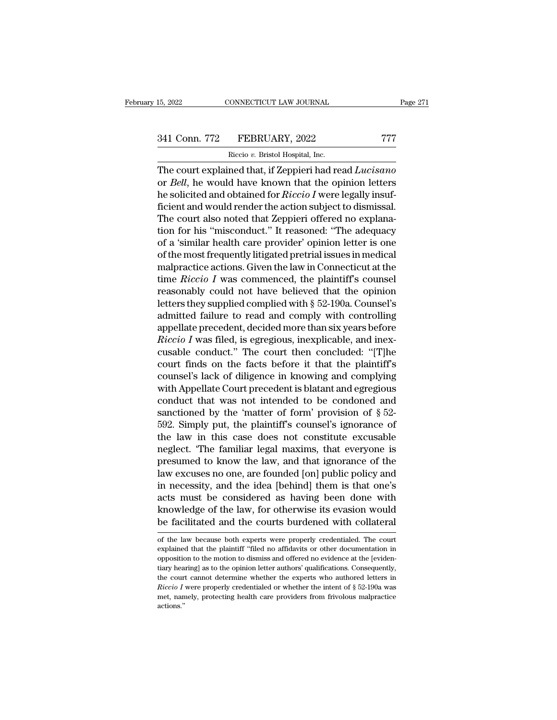# 15, 2022 CONNECTICUT LAW JOURNAL Page 271<br>341 Conn. 772 FEBRUARY, 2022 777<br>Riccio v. Bristol Hospital, Inc.

15, 2022 CONNECTICUT LAW JOURNAL<br>
241 Conn. 772 FEBRUARY, 2022 777<br>
Riccio *v*. Bristol Hospital, Inc.<br>
The court explained that, if Zeppieri had read *Lucisano* The court explained that, if Zeppieri had read *Lucisano*<br>
The court explained that, if Zeppieri had read *Lucisano*<br>
The court explained that, if Zeppieri had read *Lucisano*<br>
or *Bell*, he would have known that the opini 341 Conn. 772 FEBRUARY, 2022 777<br>
Riccio v. Bristol Hospital, Inc.<br>
The court explained that, if Zeppieri had read *Lucisano*<br>
or *Bell*, he would have known that the opinion letters<br>
the solicited and obtained for *Riccio* FEBRUARY, 2022 777<br>
Riccio v. Bristol Hospital, Inc.<br>
The court explained that, if Zeppieri had read *Lucisano*<br>
or *Bell*, he would have known that the opinion letters<br>
he solicited and obtained for *Riccio I* were legall 341 Conn. 772 FEBRUARY, 2022 777<br>
Riccio v. Bristol Hospital, Inc.<br>
The court explained that, if Zeppieri had read *Lucisano*<br>
or *Bell*, he would have known that the opinion letters<br>
the solicited and obtained for *Ricci* Riccio v. Bristol Hospital, Inc.<br>The court explained that, if Zeppieri had read Lucisano<br>or Bell, he would have known that the opinion letters<br>he solicited and obtained for Riccio I were legally insuf-<br>ficient and would re Reco<sup>n</sup>. Biston hospital, the.<br>The court explained that, if Zeppieri had read *Lucisano*<br>or *Bell*, he would have known that the opinion letters<br>he solicited and obtained for *Riccio I* were legally insuf-<br>ficient and woul The court explained that, if Zeppieri had read *Lucisano*<br>or *Bell*, he would have known that the opinion letters<br>he solicited and obtained for *Riccio I* were legally insuf-<br>ficient and would render the action subject to or *Bell*, he would have known that the opinion letters<br>he solicited and obtained for *Riccio I* were legally insuf-<br>ficient and would render the action subject to dismissal.<br>The court also noted that Zeppieri offered no he solicited and obtained for *Riccio I* were legally insuf-<br>ficient and would render the action subject to dismissal.<br>The court also noted that Zeppieri offered no explana-<br>tion for his "misconduct." It reasoned: "The ad ficient and would render the action subject to dismissal.<br>The court also noted that Zeppieri offered no explanation for his "misconduct." It reasoned: "The adequacy<br>of a 'similar health care provider' opinion letter is one The court also noted that Zeppieri offered no explanation for his "misconduct." It reasoned: "The adequacy of a 'similar health care provider' opinion letter is one of the most frequently litigated pretrial issues in medi tion for his "misconduct." It reasoned: "The adequacy<br>of a 'similar health care provider' opinion letter is one<br>of the most frequently litigated pretrial issues in medical<br>malpractice actions. Given the law in Connecticut of a 'similar health care provider' opinion letter is one<br>of the most frequently litigated pretrial issues in medical<br>malpractice actions. Given the law in Connecticut at the<br>time  $Riccio I$  was commenced, the plaintiff's cou of the most frequently litigated pretrial issues in medical<br>malpractice actions. Given the law in Connecticut at the<br>time *Riccio I* was commenced, the plaintiff's counsel<br>reasonably could not have believed that the opini malpractice actions. Given the law in Connecticut at the<br>time *Riccio I* was commenced, the plaintiff's counsel<br>reasonably could not have believed that the opinion<br>letters they supplied complied with § 52-190a. Counsel's<br>a time *Riccio I* was commenced, the plaintiff's counsel<br>reasonably could not have believed that the opinion<br>letters they supplied complied with  $\S$  52-190a. Counsel's<br>admitted failure to read and comply with controlling<br>ap reasonably could not have believed that the opinion<br>letters they supplied complied with § 52-190a. Counsel's<br>admitted failure to read and comply with controlling<br>appellate precedent, decided more than six years before<br>*Ric* letters they supplied complied with § 52-190a. Counsel's<br>admitted failure to read and comply with controlling<br>appellate precedent, decided more than six years before<br>*Riccio I* was filed, is egregious, inexplicable, and in admitted failure to read and comply with controlling<br>appellate precedent, decided more than six years before<br>*Riccio I* was filed, is egregious, inexplicable, and inex-<br>cusable conduct." The court then concluded: "[T]he<br>c appellate precedent, decided more than six years before<br>*Riccio I* was filed, is egregious, inexplicable, and inex-<br>cusable conduct." The court then concluded: "[T]he<br>court finds on the facts before it that the plaintiff' Riccio I was filed, is egregious, inexplicable, and inex-<br>cusable conduct." The court then concluded: "[T]he<br>court finds on the facts before it that the plaintiff's<br>counsel's lack of diligence in knowing and complying<br>with cusable conduct." The court then concluded: "[T]he<br>court finds on the facts before it that the plaintiff's<br>counsel's lack of diligence in knowing and complying<br>with Appellate Court precedent is blatant and egregious<br>conduc court finds on the facts before it that the plaintiff's<br>counsel's lack of diligence in knowing and complying<br>with Appellate Court precedent is blatant and egregious<br>conduct that was not intended to be condoned and<br>sanctio counsel's lack of diligence in knowing and complying<br>with Appellate Court precedent is blatant and egregious<br>conduct that was not intended to be condoned and<br>sanctioned by the 'matter of form' provision of  $\S$  52-<br>592. Si with Appellate Court precedent is blatant and egregious<br>conduct that was not intended to be condoned and<br>sanctioned by the 'matter of form' provision of  $\S$  52-<br>592. Simply put, the plaintiff's counsel's ignorance of<br>the conduct that was not intended to be condoned and<br>sanctioned by the 'matter of form' provision of  $\S$  52-<br>592. Simply put, the plaintiff's counsel's ignorance of<br>the law in this case does not constitute excusable<br>neglect. sanctioned by the 'matter of form' provision of  $\S$  52-592. Simply put, the plaintiff's counsel's ignorance of the law in this case does not constitute excusable neglect. 'The familiar legal maxims, that everyone is presu 592. Simply put, the plaintiff's counsel's ignorance of<br>the law in this case does not constitute excusable<br>neglect. "The familiar legal maxims, that everyone is<br>presumed to know the law, and that ignorance of the<br>law excus the law in this case does not constitute excusable<br>neglect. "The familiar legal maxims, that everyone is<br>presumed to know the law, and that ignorance of the<br>law excuses no one, are founded [on] public policy and<br>in necessi neglect. "The familiar legal maxims, that everyone is<br>presumed to know the law, and that ignorance of the<br>law excuses no one, are founded [on] public policy and<br>in necessity, and the idea [behind] them is that one's<br>acts m in necessity, and the idea [behind] them is that one's<br>acts must be considered as having been done with<br>knowledge of the law, for otherwise its evasion would<br>be facilitated and the courts burdened with collateral<br>of the la acts must be considered as having been done with<br>knowledge of the law, for otherwise its evasion would<br>be facilitated and the courts burdened with collateral<br>of the law because both experts were properly credentialed. The

knowledge of the law, for otherwise its evasion would<br>be facilitated and the courts burdened with collateral<br>of the law because both experts were properly credentialed. The court<br>explained that the plaintiff "filed no affi be facilitated and the courts burdened with collateral<br>of the law because both experts were properly credentialed. The court<br>explained that the plaintiff "filed no affidavits or other documentation in<br>opposition to the mo or the law because both experts were properly credentialed. The court<br>of the law because both experts were properly credentialed. The court<br>explained that the plaintiff "filed no affidavits or other documentation in<br>opposi of the law because both experts were properly credentialed. The court explained that the plaintiff "filed no affidavits or other documentation in opposition to the motion to dismiss and offered no evidence at the [evident explained that the plaintiff "filed no affidavits or other documentation in opposition to the motion to dismiss and offered no evidence at the [evidentiary hearing] as to the opinion letter authors' qualifications. Conseq actions.''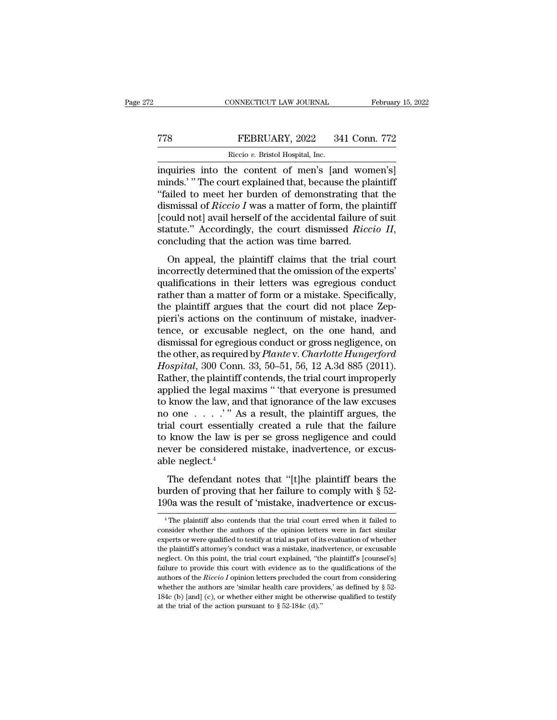## CONNECTICUT LAW JOURNAL February 15, 2022<br>
TT8 FEBRUARY, 2022 341 Conn. 772<br>
Riccio v. Bristol Hospital, Inc. CONNECTICUT LAW JOURNAL Februar<br>
Riccio *v.* Bristol Hospital, Inc.<br>
Riccio *v.* Bristol Hospital, Inc.<br> **EXECUARY, 2022** 341 Conn. 772<br> **EXECUARY, 2022** 341 Conn. 772<br> **EXECUARY, 2022** 341 Conn. 772

CONNECTICUT LAW JOURNAL February 15, 202<br>
FEBRUARY, 2022 341 Conn. 772<br>
Riccio v. Bristol Hospital, Inc.<br>
inquiries into the content of men's [and women's]<br>
minds.'" The court explained that, because the plaintiff<br>
"foiled THE THE THE CONSIDER THE CONFIDENT THE COURT THE COURT PRICISE IN THE COURT EXPLAINING THE COURT COURT COURT COURT COURT COURT COURT COURT COURT COURT COURT COURT COURT COURT COURT COURT COURT COURT COURT COURT COURT COURT TREBRUARY, 2022 341 Conn. 772<br>
Riccio v. Bristol Hospital, Inc.<br>
inquiries into the content of men's [and women's]<br>
minds.' "The court explained that, because the plaintiff<br>
"failed to meet her burden of demonstrating tha FEBRUARY, 2022 341 Conn. 772<br>
Riccio *v*. Bristol Hospital, Inc.<br>
inquiries into the content of men's [and women's]<br>
minds.' "The court explained that, because the plaintiff<br>
"failed to meet her burden of demonstrating tha FIGURE 1992 COLOMBITY AND RECOVERT ON STRINGT THE COUNTROLLARY CONTROLLARY INTERNATIONAL INCOLUTION ("Tailed to meet her burden of demonstrating that the dismissal of *Riccio I* was a matter of form, the plaintiff (could statute.<sup>''</sup> According the content of men's [and women's]<br>
minds.' "The court explained that, because the plaintiff<br>
"failed to meet her burden of demonstrating that the<br>
dismissal of *Riccio I* was a matter of form, the p illed to meet her burden of demonstrating that the smissal of *Riccio I* was a matter of form, the plaintiff ould not] avail herself of the accidental failure of suit atute." Accordingly, the court dismissed *Riccio II*, dismissal of *Riccio I* was a matter of form, the plaintiff [could not] avail herself of the accidental failure of suit statute." Accordingly, the court dismissed *Riccio II*, concluding that the action was time barred.<br>O

dishibisal of *Riceto* 1 was a matter of form, the plantificant conducts in the accidental failure of suit statute." Accordingly, the court dismissed *Riccio II*, concluding that the action was time barred.<br>On appeal, the rather." Accordingly, the court dismissed *Riccio II*,<br>statute." Accordingly, the court dismissed *Riccio II*,<br>concluding that the action was time barred.<br>On appeal, the plaintiff claims that the trial court<br>incorrectly d concluding that the action was time barred.<br>
On appeal, the plaintiff claims that the trial court<br>
incorrectly determined that the omission of the experts'<br>
qualifications in their letters was egregious conduct<br>
rather th oncluding that are action was affile barred.<br>
On appeal, the plaintiff claims that the trial court<br>
incorrectly determined that the omission of the experts'<br>
qualifications in their letters was egregious conduct<br>
rather th On appeal, the plaintiff claims that the trial court<br>incorrectly determined that the omission of the experts'<br>qualifications in their letters was egregious conduct<br>rather than a matter of form or a mistake. Specifically,<br>t incorrectly determined that the omission of the experts'<br>qualifications in their letters was egregious conduct<br>rather than a matter of form or a mistake. Specifically,<br>the plaintiff argues that the court did not place Zep qualifications in their letters was egregious conduct<br>rather than a matter of form or a mistake. Specifically,<br>the plaintiff argues that the court did not place Zep-<br>pieri's actions on the continuum of mistake, inadver-<br>te rather than a matter of form or a mistake. Specifically,<br>the plaintiff argues that the court did not place Zep-<br>pieri's actions on the continuum of mistake, inadver-<br>tence, or excusable neglect, on the one hand, and<br>dismis the plaintiff argues that the court did not place Zeppieri's actions on the continuum of mistake, inadvertence, or excusable neglect, on the one hand, and dismissal for egregious conduct or gross negligence, on the other, pieri's actions on the continuum of mistake, inadver-<br>tence, or excusable neglect, on the one hand, and<br>dismissal for egregious conduct or gross negligence, on<br>the other, as required by *Plante* v. *Charlotte Hungerford*<br> tence, or excusable neglect, on the one hand, and<br>dismissal for egregious conduct or gross negligence, on<br>the other, as required by *Plante* v. *Charlotte Hungerford*<br>*Hospital*, 300 Conn. 33, 50–51, 56, 12 A.3d 885 (2011 dismissal for egregious conduct or gross negligence, on<br>the other, as required by *Plante* v. *Charlotte Hungerford*<br>*Hospital*, 300 Conn. 33, 50–51, 56, 12 A.3d 885 (2011).<br>Rather, the plaintiff contends, the trial court the other, as required by *Plante* v. *Charlotte Hungerford*<br>*Hospital*, 300 Conn. 33, 50–51, 56, 12 A.3d 885 (2011).<br>Rather, the plaintiff contends, the trial court improperly<br>applied the legal maxims " that everyone is Hospital, 300 Conn. 33, 50–51, 56, 12 A.3d 885 (2011).<br>Rather, the plaintiff contends, the trial court improperly<br>applied the legal maxims " that everyone is presumed<br>to know the law, and that ignorance of the law excuses Rather, the plaintiff contends, the trial court improperly applied the legal maxims " that everyone is presumed to know the law, and that ignorance of the law excuses no one  $\ldots$  "." As a result, the plaintiff argues, th applied the legal mato know the law, an<br>no one  $\dots$   $\cdot$  " Atrial court essentia<br>to know the law is<br>never be considere<br>able neglect.<sup>4</sup><br>The defendant n From the faw, and that ignorated of the faw excluses<br>
o one . . . .'" As a result, the plaintiff argues, the<br>
al court essentially created a rule that the failure<br>
know the law is per se gross negligence and could<br>
ver be burden of  $\alpha$  is that the paint. The article, that the failure to know the law is per se gross negligence and could never be considered mistake, inadvertence, or excussible neglect.<sup>4</sup><br>The defendant notes that "[t]he pla that court essentially created a rule that the randic to know the law is per se gross negligence and could never be considered mistake, inadvertence, or excus-<br>able neglect.<sup>4</sup><br>The defendant notes that "[t]he plaintiff be

The defendant notes that "[t]he plaintiff bears the urden of proving that her failure to comply with  $\S$  52-00a was the result of 'mistake, inadvertence or excus-<br><sup>4</sup>The plaintiff also contends that the trial court erred The defendant notes that "[t]he plaintiff bears the<br>burden of proving that her failure to comply with  $\S$  52-<br>190a was the result of 'mistake, inadvertence or excus-<br><sup>4</sup>The plaintiff also contends that the trial court err

burden of proving that her failure to comply with  $\S$  52-<br>190a was the result of 'mistake, inadvertence or excus-<br><sup>4</sup>The plaintiff also contends that the trial court erred when it failed to<br>consider whether the authors of The plaintiff also contends that the trial court erred when it failed to consider whether the authors of the opinion letters were in fact similar experts or were qualified to testify at trial as part of its evaluation of w consider whether the authors of the opinion letters were in fact similar experts or were qualified to testify at trial as part of its evaluation of whether the plaintiff's attorney's conduct was a mistake, inadvertence, o <sup>4</sup> The plaintiff also contends that the trial court erred when it failed to consider whether the authors of the opinion letters were in fact similar experts or were qualified to testify at trial as part of its evaluation The plantaria and content of the *Riccio* I opinion letters were in fact similar experts or were qualified to testify at trial as part of its evaluation of whether the plaintiff's attorney's conduct was a mistake, inadvert experts or were qualified to testify at trial as part of its evaluation of whether<br>the plaintiff's attorney's conduct was a mistake, inadvertence, or excusable<br>neglect. On this point, the trial court explained, "the plain the plaintiff's attorney's conduct was a mistake, inadvertence, or excusable neglect. On this point, the trial court explained, "the plaintiff's [counsel's] failure to provide this court with evidence as to the qualificat neglect. On this point, the trial court explained, "the plaintiff's [counsel's]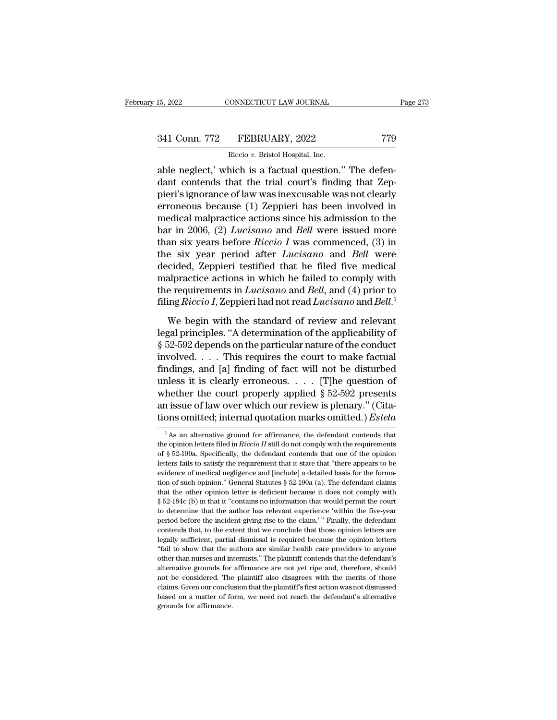# 15, 2022 CONNECTICUT LAW JOURNAL Page 273<br>341 Conn. 772 FEBRUARY, 2022 779<br>Riccio v. Bristol Hospital, Inc.

15, 2022 CONNECTICUT LAW JOURNAL<br>
241 Conn. 772 FEBRUARY, 2022 779<br>
Riccio *v*. Bristol Hospital, Inc.<br>
able neglect,' which is a factual question." The defenable neglect,' which is a factual question.'' The defendant contends that the trial court's finding that Zep-<br>
The defendant contends that the trial court's finding that Zep-341 Conn. 772 FEBRUARY, 2022 779<br>
Riccio v. Bristol Hospital, Inc.<br>
able neglect,' which is a factual question." The defen-<br>
dant contends that the trial court's finding that Zep-<br>
pieri's ignorance of law was inexcusable 341 Conn. 772 FEBRUARY, 2022 779<br>
Riccio v. Bristol Hospital, Inc.<br>
able neglect,' which is a factual question." The defendant contends that the trial court's finding that Zeppieri's ignorance of law was inexcusable was n 341 Conn. 772 FEBRUARY, 2022 779<br>
Riccio v. Bristol Hospital, Inc.<br>
able neglect,' which is a factual question." The defendant contends that the trial court's finding that Zeppieri's ignorance of law was inexcusable was n Riccio v. Bristol Hospital, Inc.<br>
able neglect,' which is a factual question." The defen-<br>
dant contends that the trial court's finding that Zep-<br>
pieri's ignorance of law was inexcusable was not clearly<br>
erroneous becaus Recio *v*. Bristol Hospital, inc.<br>able neglect,' which is a factual question." The defen-<br>dant contends that the trial court's finding that Zep-<br>pieri's ignorance of law was inexcusable was not clearly<br>erroneous because (1 able neglect,' which is a factual question." The defen-<br>dant contends that the trial court's finding that Zep-<br>pieri's ignorance of law was inexcusable was not clearly<br>erroneous because (1) Zeppieri has been involved in<br>me dant contends that the trial court's finding that Zeppieri's ignorance of law was inexcusable was not clearly<br>erroneous because (1) Zeppieri has been involved in<br>medical malpractice actions since his admission to the<br>bar i pieri's ignorance of law was inexcusable was not clearly<br>erroneous because (1) Zeppieri has been involved in<br>medical malpractice actions since his admission to the<br>bar in 2006, (2) *Lucisano* and *Bell* were issued more<br>th erroneous because (1) Zeppieri has been involved in<br>medical malpractice actions since his admission to the<br>bar in 2006, (2) *Lucisano* and *Bell* were issued more<br>than six years before *Riccio I* was commenced, (3) in<br>the medical malpractice actions since his admission to the<br>bar in 2006, (2) *Lucisano* and *Bell* were issued more<br>than six years before *Riccio I* was commenced, (3) in<br>the six year period after *Lucisano* and *Bell* were<br>d bar in 2006, (2) *Lucisano* and *Bell* were issued more<br>than six years before *Riccio I* was commenced, (3) in<br>the six year period after *Lucisano* and *Bell* were<br>decided, Zeppieri testified that he filed five medical<br>mal e six year period after *Lucisano* and *Bell* were<br>cided, Zeppieri testified that he filed five medical<br>alpractice actions in which he failed to comply with<br>e requirements in *Lucisano* and *Bell*, and (4) prior to<br>ing *R* decided, Zeppieri testified that he filed five medical<br>malpractice actions in which he failed to comply with<br>the requirements in *Lucisano* and *Bell*, and (4) prior to<br>filing *Riccio I*, Zeppieri had not read *Lucisano*

malpractice actions in which he failed to comply with<br>the requirements in *Lucisano* and *Bell*, and (4) prior to<br>filing *Riccio I*, Zeppieri had not read *Lucisano* and *Bell*.<sup>5</sup><br>We begin with the standard of review and the requirements in *Lucisano* and *Bell*, and (4) prior to<br>filing *Riccio I*, Zeppieri had not read *Lucisano* and *Bell*.<sup>5</sup><br>We begin with the standard of review and relevant<br>legal principles. "A determination of the ap filing *Riccio I*, Zeppieri had not read *Lucisano* and *Bell*.<sup>5</sup><br>We begin with the standard of review and relevant<br>legal principles. "A determination of the applicability of<br>§ 52-592 depends on the particular nature of We begin with the standard of review and relevant<br>legal principles. "A determination of the applicability of<br>§ 52-592 depends on the particular nature of the conduct<br>involved. . . . This requires the court to make factual We begin with the standard of review and relevant<br>legal principles. "A determination of the applicability of<br>§ 52-592 depends on the particular nature of the conduct<br>involved.... This requires the court to make factual<br>fi legal principles. "A determination of the applicability of  $\S$  52-592 depends on the particular nature of the conduct involved. . . . This requires the court to make factual findings, and [a] finding of fact will not be d § 52-592 depends on the particular nature of the conduct<br>involved. . . . This requires the court to make factual<br>findings, and [a] finding of fact will not be disturbed<br>unless it is clearly erroneous. . . . [T]he question unless it is clearly erroneous. . . . [T]he question of<br>whether the court properly applied § 52-592 presents<br>an issue of law over which our review is plenary." (Cita-<br>tions omitted; internal quotation marks omitted.) *Est* whether the court properly applied § 52-592 presents<br>an issue of law over which our review is plenary." (Cita-<br>tions omitted; internal quotation marks omitted.) *Estela*<br> $\frac{1}{100}$  s an alternative ground for affirmance,

an issue of law over which our review is plenary." (Citations omitted; internal quotation marks omitted.) *Estela*<br>
<sup>5</sup> As an alternative ground for affirmance, the defendant contends that the opinion letters filed in *Ri* tions omitted; internal quotation marks omitted.) Estela<br>
<sup>5</sup> As an alternative ground for affirmance, the defendant contends that<br>
the opinion letters filed in *Riccio II* still do not comply with the requirements<br>
of §  $^5$  As an alternative ground for affirmance, the defendant contends that the opinion letters filed in *Riccio II* still do not comply with the requirements of  $\S$  52-190a. Specifically, the defendant contends that one of <sup>5</sup> As an alternative ground for affirmance, the defendant contends that the opinion letters filed in *Riccio II* still do not comply with the requirements of  $\S$  52-190a. Specifically, the defendant contends that one of the opinion letters filed in *Riccio II* still do not comply with the requirements of § 52-190a. Specifically, the defendant contends that one of the opinion letters fails to satisfy the requirement that it state that "th for  $\S$  52-190a. Specifically, the defendant contends that one of the opinion eletters fails to satisfy the requirement that it state that "there appears to be evidence of medical negligence and [include] a detailed basis betters fails to satisfy the requirement that it state that "there appears to be evidence of medical negligence and [include] a detailed basis for the formation of such opinion." General Statutes  $\S$  52-190a (a). The defe evidence of medical negligence and [include] a detailed basis for the formation of such opinion." General Statutes  $\S 52-190a$  (a). The defendant claims that the other opinion letter is deficient because it does not compl comes that, to the extent that we conclude that those opinion." General Statutes  $\S 52-190a$  (a). The defendant claims that the other opinion letter is deficient because it does not comply with  $\S 52-184c$  (b) in that it that the other opinion letter is deficient because it does not comply with  $\S$  52-184c (b) in that it "contains no information that would permit the court to determine that the author has relevant experience 'within the f § 52-184c (b) in that it "contains no information that would permit the court<br>to determine that the author has relevant experience 'within the five-year<br>period before the incident giving rise to the claim.' " Finally, the so determine that the author has relevant experience 'within the five-year<br>period before the incident giving rise to the claim.' " Finally, the defendant<br>contends that, to the extent that we conclude that those opinion let period before the incident giving rise to the claim.'" Finally, the defendant contends that, to the extent that we conclude that those opinion letters are legally sufficient, partial dismissal is required because the opini prontends that, to the extent that we conclude that those opinion letters are legally sufficient, partial dismissal is required because the opinion letters "fail to show that the authors are similar health care providers t begally sufficient, partial dismissal is required because the opinion letters<br>"fail to show that the authors are similar health care providers to anyone<br>other than nurses and internists." The plaintiff contends that the de **Example on a matter on a matter of form,** we say that the authors are similar health care providers to anyone other than nurses and internists." The plaintiff contends that the defendant's alternative grounds for affirman "fail to show that the authors are similar health care providers to anyone other than nurses and internists." The plaintiff contends that the defendant's alternative grounds for affirmance are not yet ripe and, therefore,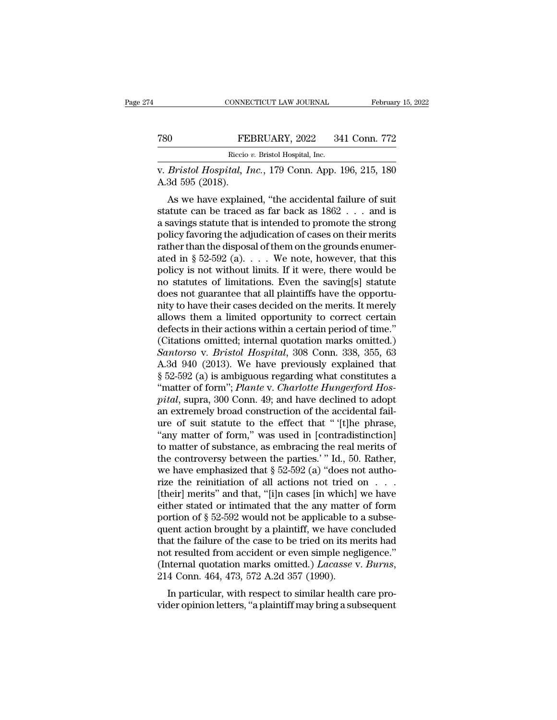### CONNECTICUT LAW JOURNAL February 15, 2022<br>
T80 FEBRUARY, 2022 341 Conn. 772<br>
Riccio v. Bristol Hospital, Inc. EXECTICUT LAW JOURNAL<br>FEBRUARY, 2022 34<br>Riccio *v.* Bristol Hospital, Inc.<br>*tal. Inc.* 179 Conn. App.

v. 6780<br>
FEBRUARY, 2022 341 Conn. 772<br>
Riccio v. Bristol Hospital, Inc.<br>
V. *Bristol Hospital, Inc.*, 179 Conn. App. 196, 215, 180<br>
A.3d 595 (2018). TE<br>
THE<br>
THE<br>
THE<br>
THE<br>
THE<br>
THE<br>
R.3d 595 (2018).<br>
As we have explain

FEBRUARY, 2022 341 Conn. 772<br>
Riccio v. Bristol Hospital, Inc.<br>
Bristol Hospital, Inc., 179 Conn. App. 196, 215, 180<br>
3d 595 (2018).<br>
As we have explained, "the accidental failure of suit<br>
atute can be traced as far back FEBRUARY, 2022 341 Conn. 772<br>
Riccio v. Bristol Hospital, Inc.<br>
v. *Bristol Hospital, Inc.*, 179 Conn. App. 196, 215, 180<br>
A.3d 595 (2018).<br>
As we have explained, "the accidental failure of suit<br>
statute can be traced as Recio v. Bristol Hospital, Inc.<br>
W. *Bristol Hospital*, Inc., 179 Conn. App. 196, 215, 180<br>
A.3d 595 (2018).<br>
As we have explained, "the accidental failure of suit<br>
statute can be traced as far back as 1862 . . . and is<br>
a policy *Hospital, Inc., 179 Conn. App. 196, 215, 180*<br>A.3d 595 (2018).<br>As we have explained, "the accidental failure of suit<br>statute can be traced as far back as  $1862...$  and is<br>a savings statute that is intended to promot v. *Bristol Hospital*, *Hic.*, 179 Collif. App. 190, 215, 160<br>A.3d 595 (2018).<br>As we have explained, "the accidental failure of suit<br>statute can be traced as far back as 1862 . . . and is<br>a savings statute that is intende A.5d 535 (2016).<br>
As we have explained, "the accidental failure of suit<br>
statute can be traced as far back as  $1862...$  and is<br>
a savings statute that is intended to promote the strong<br>
policy favoring the adjudication of c As we have explained, "the accidental failure of suit<br>statute can be traced as far back as  $1862...$  and is<br>a savings statute that is intended to promote the strong<br>policy favoring the adjudication of cases on their merits<br> statute can be traced as far back as  $1862...$  and is<br>a savings statute that is intended to promote the strong<br>policy favoring the adjudication of cases on their merits<br>rather than the disposal of them on the grounds enumer a savings statute that is intended to promote the strong<br>policy favoring the adjudication of cases on their merits<br>rather than the disposal of them on the grounds enumer-<br>ated in § 52-592 (a).  $\ldots$  We note, however, that policy favoring the adjudication of cases on their merits<br>rather than the disposal of them on the grounds enumer-<br>ated in § 52-592 (a). . . . We note, however, that this<br>policy is not without limits. If it were, there woul rather than the disposal of them on the grounds enumerated in § 52-592 (a).  $\ldots$  We note, however, that this policy is not without limits. If it were, there would be no statutes of limitations. Even the saving[s] statute ated in § 52-592 (a).  $\ldots$  We note, however, that this policy is not without limits. If it were, there would be no statutes of limitations. Even the saving[s] statute does not guarantee that all plaintiffs have the oppor policy is not without limits. If it were, there would be<br>no statutes of limitations. Even the saving[s] statute<br>does not guarantee that all plaintiffs have the opportu-<br>nity to have their cases decided on the merits. It me no statutes of limitations. Even the saving[s] statute<br>does not guarantee that all plaintiffs have the opportu-<br>nity to have their cases decided on the merits. It merely<br>allows them a limited opportunity to correct certain does not guarantee that all plaintiffs have the opportunity to have their cases decided on the merits. It merely allows them a limited opportunity to correct certain defects in their actions within a certain period of time mity to have their cases decided on the merits. It merely<br>allows them a limited opportunity to correct certain<br>defects in their actions within a certain period of time."<br>(Citations omitted; internal quotation marks omitted allows them a limited opportunity to correct certain defects in their actions within a certain period of time."<br>(Citations omitted; internal quotation marks omitted.)<br>*Santorso* v. *Bristol Hospital*, 308 Conn. 338, 355, 6 defects in their actions within a certain period of time."<br>
(Citations omitted; internal quotation marks omitted.)<br> *Santorso* v. *Bristol Hospital*, 308 Conn. 338, 355, 63<br>
A.3d 940 (2013). We have previously explained th (Citations omitted; internal quotation marks omitted.)<br>
Santorso v. Bristol Hospital, 308 Conn. 338, 355, 63<br>
A.3d 940 (2013). We have previously explained that<br>
§ 52-592 (a) is ambiguous regarding what constitutes a<br>
"ma Santorso v. Bristol Hospital, 308 Conn. 338, 355, 63<br>A.3d 940 (2013). We have previously explained that<br> $§$  52-592 (a) is ambiguous regarding what constitutes a<br>"matter of form"; *Plante* v. *Charlotte Hungerford Hos-<br>pit* A.3d 940 (2013). We have previously explained that  $\S$  52-592 (a) is ambiguous regarding what constitutes a "matter of form"; *Plante* v. *Charlotte Hungerford Hospital*, supra, 300 Conn. 49; and have declined to adopt an § 52-592 (a) is ambiguous regarding what constitutes a<br>
"matter of form"; *Plante* v. *Charlotte Hungerford Hos-*<br> *pital*, supra, 300 Conn. 49; and have declined to adopt<br>
an extremely broad construction of the accidenta "matter of form"; *Plante* v. *Charlotte Hungerford Hos-<br>pital*, supra, 300 Conn. 49; and have declined to adopt<br>an extremely broad construction of the accidental fail-<br>ure of suit statute to the effect that " '[t]he phra pital, supra, 300 Conn. 49; and have declined to adopt<br>an extremely broad construction of the accidental fail-<br>ure of suit statute to the effect that "[t]he phrase,<br>"any matter of form," was used in [contradistinction]<br>to an extremely broad construction of the accidental fail-<br>ure of suit statute to the effect that " '[t]he phrase,<br>"any matter of form," was used in [contradistinction]<br>to matter of substance, as embracing the real merits of ure of suit statute to the effect that " '[t]he phrase,<br>"any matter of form," was used in [contradistinction]<br>to matter of substance, as embracing the real merits of<br>the controversy between the parties.' " Id., 50. Rather "any matter of form," was used in [contradistinction]<br>to matter of substance, as embracing the real merits of<br>the controversy between the parties.' "Id., 50. Rather,<br>we have emphasized that  $\S 52-592$  (a) "does not authoto matter of substance, as embracing the real merits of the controversy between the parties.'" Id., 50. Rather, we have emphasized that  $\S$  52-592 (a) "does not authorize the reinitiation of all actions not tried on . . . the controversy between the parties.' " Id., 50. Rather,<br>we have emphasized that  $\S 52-592$  (a) "does not autho-<br>rize the reinitiation of all actions not tried on . . .<br>[their] merits" and that, "[i]n cases [in which] we we have emphasized that  $\S$  52-592 (a) "does not authorize the reinitiation of all actions not tried on  $\ldots$ .<br>[their] merits" and that, "[i]n cases [in which] we have either stated or intimated that the any matter of for rize the reinitiation of all actions not tried on  $\dots$ <br>[their] merits" and that, "[i]n cases [in which] we have<br>either stated or intimated that the any matter of form<br>portion of § 52-592 would not be applicable to a subse [their] merits" and that, "[i]n cases [in which] we have<br>either stated or intimated that the any matter of form<br>portion of § 52-592 would not be applicable to a subse-<br>quent action brought by a plaintiff, we have concluded In particular, with respect to similar to the application of a subsetent action brought by a plaintiff, we have concluded at the failure of the case to be tried on its merits had to resulted from accident or even simple ne quent action brought by a plantiff, we have concluded<br>that the failure of the case to be tried on its merits had<br>not resulted from accident or even simple negligence."<br>(Internal quotation marks omitted.) *Lacasse* v. *Burn*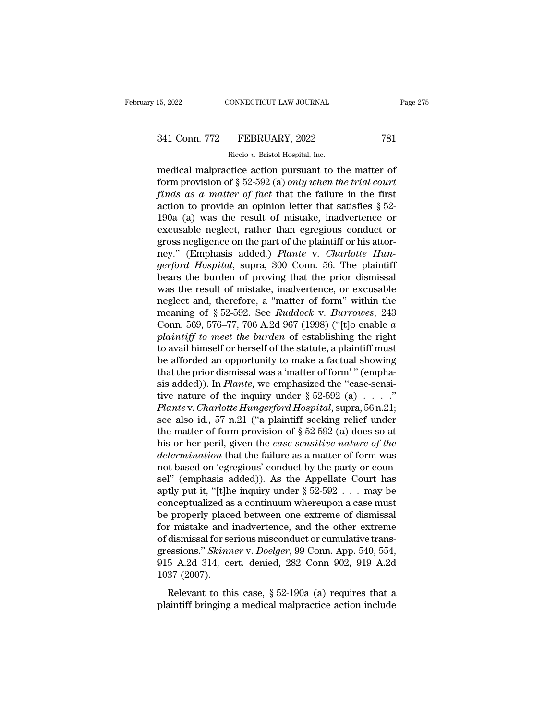# 15, 2022 CONNECTICUT LAW JOURNAL Page 275<br>341 Conn. 772 FEBRUARY, 2022 781<br>Riccio v. Bristol Hospital, Inc.

15, 2022 CONNECTICUT LAW JOURNAL<br>
241 Conn. 772 FEBRUARY, 2022 781<br>
Riccio *v*. Bristol Hospital, Inc.<br>
medical malpractice action pursuant to the matter of 15, 2022 CONNECTICUT LAW JOURNAL Page 27!<br>
341 Conn. 772 FEBRUARY, 2022 781<br>
Riccio v. Bristol Hospital, Inc.<br>
medical malpractice action pursuant to the matter of<br>
form provision of § 52-592 (a) *only when the trial court* FORM PROVISION 2022<br>
FORM PROVISION 2022<br>
FROM PROVISION 2022<br>
FROM PROVISION OF § 52-592 (a) *only when the trial court*<br>
finds as a matter of fact that the failure in the first<br>
pation to provide an opinion letter that s <sup>341</sup> Conn. 772 FEBRUARY, 2022 781<br> *Riccio v. Bristol Hospital, Inc.*<br>
medical malpractice action pursuant to the matter of<br>
form provision of § 52-592 (a) *only when the trial court*<br> *finds as a matter of fact* that the 341 Conn. 772 FEBRUARY, 2022 781<br>
Riccio v. Bristol Hospital, Inc.<br>
medical malpractice action pursuant to the matter of<br>
form provision of § 52-592 (a) *only when the trial court<br>
finds as a matter of fact* that the fail Riccio v. Bristol Hospital, Inc.<br>
medical malpractice action pursuant to the matter of<br>
form provision of § 52-592 (a) *only when the trial court*<br>
finds as a matter of fact that the failure in the first<br>
action to provid Exces v. Bristol Hospital, inc.<br>
medical malpractice action pursuant to the matter of<br>
form provision of § 52-592 (a) *only when the trial court*<br>
finds as a matter of fact that the failure in the first<br>
action to provide medical malpractice action pursuant to the matter of<br>form provision of § 52-592 (a) *only when the trial court*<br>finds as a matter of fact that the failure in the first<br>action to provide an opinion letter that satisfies § form provision of § 52-592 (a) *only when the trial court* finds as a matter of fact that the failure in the first action to provide an opinion letter that satisfies § 52-190a (a) was the result of mistake, inadvertence o *finds as a matter of fact* that the failure in the first action to provide an opinion letter that satisfies § 52-190a (a) was the result of mistake, inadvertence or excusable neglect, rather than egregious conduct or gros action to provide an opinion letter that satisfies  $\S$  52-<br>190a (a) was the result of mistake, inadvertence or<br>excusable neglect, rather than egregious conduct or<br>gross negligence on the part of the plaintiff or his attor 190a (a) was the result of mistake, inadvertence or excusable neglect, rather than egregious conduct or gross negligence on the part of the plaintiff or his attor-<br>ney." (Emphasis added.) *Plante v. Charlotte Hungerford H* excusable neglect, rather than egregious conduct or<br>gross negligence on the part of the plaintiff or his attor-<br>ney." (Emphasis added.) *Plante* v. *Charlotte Hun-<br>gerford Hospital*, supra, 300 Conn. 56. The plaintiff<br>bear gross negligence on the part of the plaintiff or his attor-<br>ney." (Emphasis added.) *Plante v. Charlotte Hun-*<br>*gerford Hospital*, supra, 300 Conn. 56. The plaintiff<br>bears the burden of proving that the prior dismissal<br>was ney." (Emphasis added.) *Plante* v. *Charlotte Hun-*<br>*gerford Hospital*, supra, 300 Conn. 56. The plaintiff<br>bears the burden of proving that the prior dismissal<br>was the result of mistake, inadvertence, or excusable<br>neglect *gerford Hospital*, supra, 300 Conn. 56. The plaintiff<br>bears the burden of proving that the prior dismissal<br>was the result of mistake, inadvertence, or excusable<br>neglect and, therefore, a "matter of form" within the<br>meanin bears the burden of proving that the prior dismissal<br>was the result of mistake, inadvertence, or excusable<br>neglect and, therefore, a "matter of form" within the<br>meaning of  $\S 52-592$ . See *Ruddock v. Burrowes*, 243<br>Conn. was the result of mistake, inadvertence, or excusable<br>neglect and, therefore, a "matter of form" within the<br>meaning of § 52-592. See *Ruddock* v. *Burrowes*, 243<br>Conn. 569, 576–77, 706 A.2d 967 (1998) ("[t]o enable *a*<br>pl neglect and, therefore, a "matter of form" within the<br>meaning of § 52-592. See *Ruddock v. Burrowes*, 243<br>Conn. 569, 576–77, 706 A.2d 967 (1998) ("[t]o enable *a*<br>plaintiff to meet the burden of establishing the right<br>to meaning of  $\S$  52-592. See *Ruddock v. Burrowes*, 243<br>Conn. 569, 576–77, 706 A.2d 967 (1998) ("[t]o enable *a*<br>*plaintiff to meet the burden* of establishing the right<br>to avail himself or herself of the statute, a plainti Conn. 569, 576–77, 706 A.2d 967 (1998) ("[t]o enable *a*<br>plaintiff to meet the burden of establishing the right<br>to avail himself or herself of the statute, a plaintiff must<br>be afforded an opportunity to make a factual sho *Plaintiff to meet the burden* of establishing the right<br>to avail himself or herself of the statute, a plaintiff must<br>be afforded an opportunity to make a factual showing<br>that the prior dismissal was a 'matter of form' " ( to avail himself or herself of the statute, a plaintiff must<br>be afforded an opportunity to make a factual showing<br>that the prior dismissal was a 'matter of form' " (empha-<br>sis added)). In *Plante*, we emphasized the "case be afforded an opportunity to make a factual showing<br>that the prior dismissal was a 'matter of form' " (empha-<br>sis added)). In *Plante*, we emphasized the "case-sensi-<br>tive nature of the inquiry under  $\S 52-592$  (a) . . . that the prior dismissal was a 'matter of form' " (emphasis added)). In *Plante*, we emphasized the "case-sensitive nature of the inquiry under  $\S 52-592$  (a) . . . ."<br>*Plante* v. *Charlotte Hungerford Hospital*, supra, 5 sis added)). In *Plante*, we emphasized the "case-sensitive nature of the inquiry under  $\S 52-592$  (a) . . . ."<br>*Plante* v. *Charlotte Hungerford Hospital*, supra, 56 n.21;<br>see also id., 57 n.21 ("a plaintiff seeking reli tive nature of the inquiry under  $\S 52-592$  (a) . . . . ."<br>*Plante* v. *Charlotte Hungerford Hospital*, supra, 56 n.21;<br>see also id., 57 n.21 ("a plaintiff seeking relief under<br>the matter of form provision of  $\S 52-592$  ( Plante v. Charlotte Hungerford Hospital, supra, 56 n.21;<br>see also id., 57 n.21 ("a plaintiff seeking relief under<br>the matter of form provision of § 52-592 (a) does so at<br>his or her peril, given the *case-sensitive nature* see also id., 57 n.21 ("a plaintiff seeking relief under<br>the matter of form provision of  $\S 52-592$  (a) does so at<br>his or her peril, given the *case-sensitive nature of the*<br>determination that the failure as a matter of f the matter of form provision of § 52-592 (a) does so at<br>his or her peril, given the *case-sensitive nature of the*<br>determination that the failure as a matter of form was<br>not based on 'egregious' conduct by the party or co his or her peril, given the *case-sensitive nature of the*<br>determination that the failure as a matter of form was<br>not based on 'egregious' conduct by the party or coun-<br>sel" (emphasis added)). As the Appellate Court has<br>a determination that the failure as a matter of form was<br>not based on 'egregious' conduct by the party or coun-<br>sel" (emphasis added)). As the Appellate Court has<br>aptly put it, "[t]he inquiry under  $\S 52-592$ ... may be<br>conc not based on 'egregious' conduct by the party or counsel" (emphasis added)). As the Appellate Court has aptly put it, "[t]he inquiry under  $\S 52-592$  . . . may be conceptualized as a continuum whereupon a case must be pro sel" (emphasis added)). As the Appellate Court has<br>aptly put it, "[t]he inquiry under § 52-592 . . . may be<br>conceptualized as a continuum whereupon a case must<br>be properly placed between one extreme of dismissal<br>for mistak aptly put it, "[t]he inquiry under  $\S 52-592$ ... may be<br>conceptualized as a continuum whereupon a case must<br>be properly placed between one extreme of dismissal<br>for mistake and inadvertence, and the other extreme<br>of dismis conceptualized as<br>be properly place<br>for mistake and i<br>of dismissal for se<br>gressions." *Skinn*<br>915 A.2d 314, ce<br>1037 (2007).<br>Relevant to thi r mistake and inadvertence, and the other extreme<br>dismissal for serious misconduct or cumulative trans-<br>essions." *Skinner* v. *Doelger*, 99 Conn. App. 540, 554,<br>5 A.2d 314, cert. denied, 282 Conn 902, 919 A.2d<br>37 (2007). plantiff bringing a medical malpractice action include<br>plasming a medical matrix of dismissal for serious misconduct or cumulative trans-<br>gressions." Skinner v. Doelger, 99 Conn. App. 540, 554,<br>915 A.2d 314, cert. denied,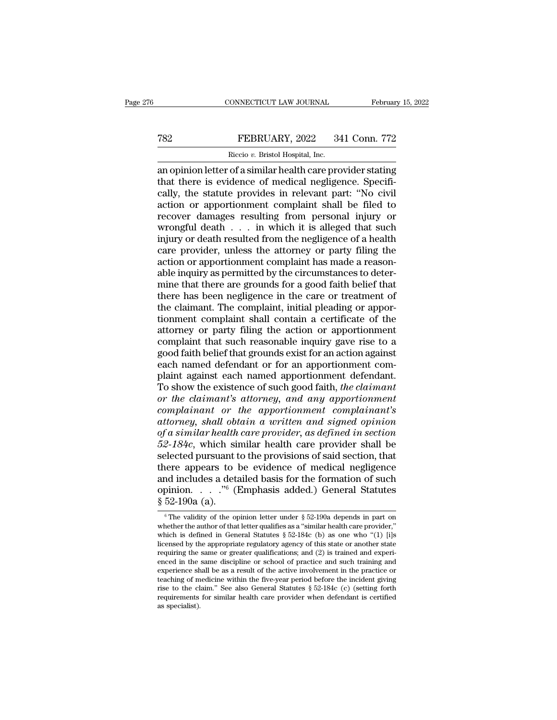### EXECUTE CONNECTICUT LAW JOURNAL February 15, 2022<br>
FEBRUARY, 2022 341 Conn. 772<br>
Riccio v. Bristol Hospital, Inc. FEBRUARY, 2022<br>FEBRUARY, 2022<br>Riccio *v.* Bristol Hospital, Inc.<br>of a similar health care pro

CONNECTICUT LAW JOURNAL February 15, 2022<br>
FEBRUARY, 2022 341 Conn. 772<br>
Riccio v. Bristol Hospital, Inc.<br>
an opinion letter of a similar health care provider stating<br>
that there is evidence of medical negligence. Specifithat there is evidence of medical negligence. Specifi-TREPRUARY, 2022 341 Conn. 772<br>
Riccio v. Bristol Hospital, Inc.<br>
an opinion letter of a similar health care provider stating<br>
that there is evidence of medical negligence. Specifi-<br>
cally, the statute provides in relevant FEBRUARY, 2022 341 Conn. 772<br>
Riccio v. Bristol Hospital, Inc.<br>
an opinion letter of a similar health care provider stating<br>
that there is evidence of medical negligence. Specifi-<br>
cally, the statute provides in relevant FEBROART, 2022 FORT COME 122<br>
Riccio v. Bristol Hospital, Inc.<br>
an opinion letter of a similar health care provider stating<br>
that there is evidence of medical negligence. Specifi-<br>
cally, the statute provides in relevant Riccio v. Bristol Hospital, Inc.<br>
an opinion letter of a similar health care provider stating<br>
that there is evidence of medical negligence. Specifi-<br>
cally, the statute provides in relevant part: "No civil<br>
action or app an opinion letter of a similar health care provider stating<br>that there is evidence of medical negligence. Specifi-<br>cally, the statute provides in relevant part: "No civil<br>action or apportionment complaint shall be filed to that there is evidence of medical negligence. Specifically, the statute provides in relevant part: "No civil<br>action or apportionment complaint shall be filed to<br>recover damages resulting from personal injury or<br>wrongful de cally, the statute provides in relevant part: "No civil<br>action or apportionment complaint shall be filed to<br>recover damages resulting from personal injury or<br>wrongful death  $\ldots$  in which it is alleged that such<br>injury or action or apportionment complaint shall be filed to<br>recover damages resulting from personal injury or<br>wrongful death  $\dots$  in which it is alleged that such<br>injury or death resulted from the negligence of a health<br>care prov recover damages resulting from personal injury or<br>wrongful death  $\dots$  in which it is alleged that such<br>injury or death resulted from the negligence of a health<br>care provider, unless the attorney or party filing the<br>action wrongful death  $\ldots$  in which it is alleged that such injury or death resulted from the negligence of a health care provider, unless the attorney or party filing the action or apportionment complaint has made a reasonable injury or death resulted from the negligence of a health<br>care provider, unless the attorney or party filing the<br>action or apportionment complaint has made a reason-<br>able inquiry as permitted by the circumstances to deter-<br> care provider, unless the attorney or party filing the<br>action or apportionment complaint has made a reason-<br>able inquiry as permitted by the circumstances to deter-<br>mine that there are grounds for a good faith belief that<br> action or apportionment complaint has made a reasonable inquiry as permitted by the circumstances to determine that there are grounds for a good faith belief that there has been negligence in the care or treatment of the c able inquiry as permitted by the circumstances to deter-<br>mine that there are grounds for a good faith belief that<br>there has been negligence in the care or treatment of<br>the claimant. The complaint, initial pleading or appor mine that there are grounds for a good faith belief that<br>there has been negligence in the care or treatment of<br>the claimant. The complaint, initial pleading or appor-<br>tionment complaint shall contain a certificate of the<br>a there has been negligence in the care or treatment of<br>the claimant. The complaint, initial pleading or appor-<br>tionment complaint shall contain a certificate of the<br>attorney or party filing the action or apportionment<br>compl the claimant. The complaint, initial pleading or apportionment complaint shall contain a certificate of the attorney or party filing the action or apportionment complaint that such reasonable inquiry gave rise to a good fa tionment complaint shall contain a certificate of the<br>attorney or party filing the action or apportionment<br>complaint that such reasonable inquiry gave rise to a<br>good faith belief that grounds exist for an action against<br>ea attorney or party filing the action or apportionment<br>
complaint that such reasonable inquiry gave rise to a<br>
good faith belief that grounds exist for an action against<br>
each named defendant or for an apportionment com-<br>
pl complaint that such reasonable inquiry gave rise to a<br>good faith belief that grounds exist for an action against<br>each named defendant or for an apportionment com-<br>plaint against each named apportionment defendant.<br>To show good faith belief that grounds exist for an action against<br>each named defendant or for an apportionment com-<br>plaint against each named apportionment defendant.<br>To show the existence of such good faith, *the claimant*<br>or th each named defendant or for an apportionment complaint against each named apportionment defendant.<br>To show the existence of such good faith, *the claimant* or the claimant's attorney, and any apportionment complainant's at plaint against each named apportionment defendant.<br>To show the existence of such good faith, *the claimant*<br>or *the claimant's attorney, and any apportionment*<br>complainant or *the apportionment complainant's*<br>attorney, sha To show the existence of such good faith, *the claimant*<br>or *the claimant's attorney, and any apportionment*<br>complainant or *the apportionment complainant's*<br>attorney, shall obtain a written and signed opinion<br>of a simila or the claimant's attorney, and any apportionment<br>complainant or the apportionment complainant's<br>attorney, shall obtain a written and signed opinion<br>of a similar health care provider, as defined in section<br> $52-184c$ , whic complainant or the apportionment complainant's<br>attorney, shall obtain a written and signed opinion<br>of a similar health care provider, as defined in section<br>52-184c, which similar health care provider shall be<br>selected pur attorney, shall obtain a written and signed opinion<br>of a similar health care provider, as defined in section<br>52-184c, which similar health care provider shall be<br>selected pursuant to the provisions of said section, that<br>t § 52-190a (a). Fraction and includes a detailed basis for the formation of such<br>pinion. . . . ."<sup>6</sup> (Emphasis added.) General Statutes<br>52-190a (a).<br><sup>6</sup> The validity of the opinion letter under § 52-190a depends in part on<br>hether the aut and includes a detailed basis for the formation of such opinion. . . . ."<sup>6</sup> (Emphasis added.) General Statutes  $\frac{1}{5}$  52-190a (a).<br>
<sup>6</sup> The validity of the opinion letter under  $\frac{1}{5}$  52-190a depends in part on whe

which is defined in General Statutes § 52-184c (b) as one who ''(1) [i]s licensed by the appropriate regulatory agency of this state or another state  $\frac{8}{6}$  52-190a (a).<br>  $\frac{8}{6}$ The validity of the opinion letter under  $\frac{8}{6}$  52-190a depends in part on whether the author of that letter qualifies as a "similar health care provider," which is defined in General S <sup>6</sup> The validity of the opinion letter under § 52-190a depends in part on whether the author of that letter qualifies as a "similar health care provider," which is defined in General Statutes § 52-184c (b) as one who "(1) <sup>o</sup> The validity of the opinion letter under § 52-190a depends in part on whether the author of that letter qualifies as a "similar health care provider," which is defined in General Statutes § 52-184c (b) as one who "(1) whether the author of that letter qualifies as a "similar health care provider,"<br>which is defined in General Statutes § 52-184c (b) as one who "(1) [i]s<br>licensed by the appropriate regulatory agency of this state or anoth which is defined in General Statutes § 52-184c (b) as one who "(1) [i]s licensed by the appropriate regulatory agency of this state or another state requiring the same or greater qualifications; and (2) is trained and exp licensed by the appropriate regulatory agency of this state or another state requiring the same or greater qualifications; and  $(2)$  is trained and experienced in the same discipline or school of practice and such trainin requiring the<br>enced in the<br>experience sh<br>teaching of m<br>rise to the cl<br>requirements<br>as specialist).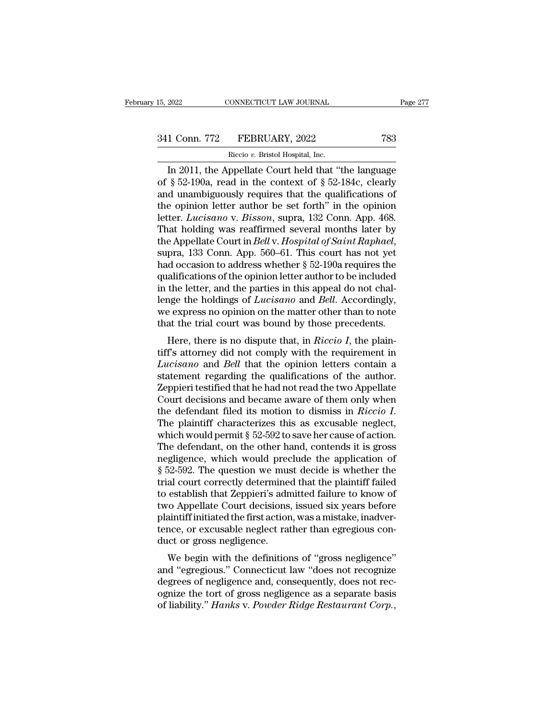CONNECTICUT LAW JOURNAL Page 277<br>
1 Conn. 772 FEBRUARY, 2022 783<br>
Riccio v. Bristol Hospital, Inc.<br>
In 2011, the Appellate Court held that "the language<br>
§ 52-190a, read in the context of § 52-184c, clearly<br>
dunambiguously 341 Conn. 772 FEBRUARY, 2022 783<br>
Riccio v. Bristol Hospital, Inc.<br>
In 2011, the Appellate Court held that "the language<br>
of § 52-190a, read in the context of § 52-184c, clearly<br>
and unambiguously requires that the qualifi 341 Conn. 772 FEBRUARY, 2022 783<br>
Riccio v. Bristol Hospital, Inc.<br>
In 2011, the Appellate Court held that "the language<br>
of § 52-190a, read in the context of § 52-184c, clearly<br>
and unambiguously requires that the qualif 341 Conn. 772 FEBRUARY, 2022 783<br>
Riccio v. Bristol Hospital, Inc.<br>
In 2011, the Appellate Court held that "the language<br>
of § 52-190a, read in the context of § 52-184c, clearly<br>
and unambiguously requires that the qualif Riccio *v.* Bristol Hospital, Inc.<br>
In 2011, the Appellate Court held that "the language<br>
of § 52-190a, read in the context of § 52-184c, clearly<br>
and unambiguously requires that the qualifications of<br>
the opinion letter a Recio v. Bristol Hospital, Inc.<br>
In 2011, the Appellate Court held that "the language<br>
of § 52-190a, read in the context of § 52-184c, clearly<br>
and unambiguously requires that the qualifications of<br>
the opinion letter aut In 2011, the Appellate Court held that "the language<br>of § 52-190a, read in the context of § 52-184c, clearly<br>and unambiguously requires that the qualifications of<br>the opinion letter author be set forth" in the opinion<br>lett and unambiguously requires that the qualifications of<br>the opinion letter author be set forth" in the opinion<br>letter. *Lucisano* v. *Bisson*, supra, 132 Conn. App. 468.<br>That holding was reaffirmed several months later by<br>th the opinion letter author be set forth" in the opinion<br>letter. *Lucisano* v. *Bisson*, supra, 132 Conn. App. 468.<br>That holding was reaffirmed several months later by<br>the Appellate Court in *Bell* v. *Hospital of Saint Raph* letter. *Lucisano* v. *Bisson*, supra, 132 Conn. App. 468.<br>That holding was reaffirmed several months later by<br>the Appellate Court in *Bell* v. *Hospital of Saint Raphael*,<br>supra, 133 Conn. App. 560–61. This court has not That holding was reaffirmed several months later by<br>the Appellate Court in *Bell* v. *Hospital of Saint Raphael*,<br>supra, 133 Conn. App. 560–61. This court has not yet<br>had occasion to address whether § 52-190a requires the<br> the Appellate Court in *Bell* v. *Hospital of Saint Raphael*,<br>supra, 133 Conn. App. 560–61. This court has not yet<br>had occasion to address whether § 52-190a requires the<br>qualifications of the opinion letter author to be in supra, 133 Conn. App. 560–61. This court has not yet had occasion to address whether  $\S$  52-190a requires the qualifications of the opinion letter author to be included in the letter, and the parties in this appeal do not diffications of the opinion letter author to be included<br>the letter, and the parties in this appeal do not chal-<br>nge the holdings of *Lucisano* and *Bell*. Accordingly,<br>e express no opinion on the matter other than to note quantications of the optition letter attribed in the letter, and the parties in this appeal do not challenge the holdings of *Lucisano* and *Bell*. Accordingly, we express no opinion on the matter other than to note that

In the letter, and the parties in this appear to not challenge the holdings of *Lucisano* and *Bell*. Accordingly, we express no opinion on the matter other than to note that the trial court was bound by those precedents.<br> statement regarding of *Luctsum* and *Beu*. Accordingly, we express no opinion on the matter other than to note that the trial court was bound by those precedents.<br>Here, there is no dispute that, in *Riccio I*, the plainti we express no opmort on the matter other than to note<br>that the trial court was bound by those precedents.<br>Here, there is no dispute that, in *Riccio I*, the plain-<br>tiff's attorney did not comply with the requirement in<br>*L* Here, there is no dispute that, in *Riccio I*, the plaintiff's attorney did not comply with the requirement in *Lucisano* and *Bell* that the opinion letters contain a statement regarding the qualifications of the author. Here, there is no dispute that, in *Riccio I*, the plaintiff's attorney did not comply with the requirement in *Lucisano* and *Bell* that the opinion letters contain a statement regarding the qualifications of the author. *Lucisano* and *Bell* that the opinion letters contain a<br>statement regarding the qualifications of the author.<br>Zeppieri testified that he had not read the two Appellate<br>Court decisions and became aware of them only when<br>th statement regarding the qualifications of the author.<br>Zeppieri testified that he had not read the two Appellate<br>Court decisions and became aware of them only when<br>the defendant filed its motion to dismiss in *Riccio I*.<br>Th Zeppieri testified that he had not read the two Appellate<br>Court decisions and became aware of them only when<br>the defendant filed its motion to dismiss in *Riccio I*.<br>The plaintiff characterizes this as excusable neglect,<br> Court decisions and became aware of them only when<br>the defendant filed its motion to dismiss in *Riccio I*.<br>The plaintiff characterizes this as excusable neglect,<br>which would permit  $\S 52-592$  to save her cause of action. the defendant filed its motion to dismiss in *Riccio I*.<br>The plaintiff characterizes this as excusable neglect,<br>which would permit  $\S 52-592$  to save her cause of action.<br>The defendant, on the other hand, contends it is g The plaintiff characterizes this as excusable neglect,<br>which would permit  $\S 52-592$  to save her cause of action.<br>The defendant, on the other hand, contends it is gross<br>negligence, which would preclude the application of<br> which would permit  $\S 52-592$  to save her cause of action.<br>The defendant, on the other hand, contends it is gross<br>negligence, which would preclude the application of<br> $\S 52-592$ . The question we must decide is whether the<br> The defendant, on the other hand, contends it is gross<br>negligence, which would preclude the application of<br>§ 52-592. The question we must decide is whether the<br>trial court correctly determined that the plaintiff failed<br>to negligence, which would preclude the application of § 52-592. The question we must decide is whether the trial court correctly determined that the plaintiff failed to establish that Zeppieri's admitted failure to know of t § 52-592. The question we mustrial court correctly determine<br>to establish that Zeppieri's adn<br>two Appellate Court decisions<br>plaintiff initiated the first action<br>tence, or excusable neglect rat<br>duct or gross negligence.<br>We at court correctly determined that the plaintin raned<br>establish that Zeppieri's admitted failure to know of<br>o Appellate Court decisions, issued six years before<br>aintiff initiated the first action, was a mistake, inadver-<br>n to establish that zeppiert's admitted lantife to Khow of<br>two Appellate Court decisions, issued six years before<br>plaintiff initiated the first action, was a mistake, inadver-<br>tence, or excusable neglect rather than egregiou

degrees of negligence as a separate basis<br>of liantiff initiated the first action, was a mistake, inadver-<br>tence, or excusable neglect rather than egregious con-<br>duct or gross negligence.<br>We begin with the definitions of "g plantificant initiated the first action, was a filstake, matter-<br>tence, or excusable neglect rather than egregious con-<br>duct or gross negligence.<br>We begin with the definitions of "gross negligence"<br>and "egregious." Connect duct or gross negligence.<br>We begin with the definitions of "gross negligence"<br>and "egregious." Connecticut law "does not recognize<br>degrees of negligence and, consequently, does not rec-<br>ognize the tort of gross negligence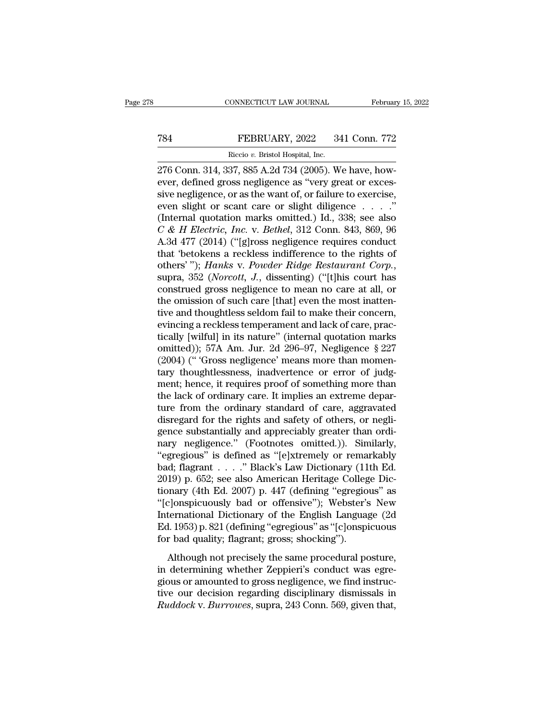### EXECUTE CONNECTICUT LAW JOURNAL February 15, 2022<br>
FEBRUARY, 2022 341 Conn. 772<br>
Riccio v. Bristol Hospital, Inc. FEBRUARY, 2022 34<br>FEBRUARY, 2022 34<br>Riccio *v.* Bristol Hospital, Inc.<br>37 885 A 2d 734 (2005) W

CONNECTICUT LAW JOURNAL Februar<br>
276 Conn. 314, 337, 885 A.2d 734 (2005). We have, how-<br>
276 Conn. 314, 337, 885 A.2d 734 (2005). We have, how-<br>
276 Conn. 314, 337, 885 A.2d 734 (2005). We have, how-<br>
276 Conn. 314, 337, 8 FEBRUARY, 2022 341 Conn. 772<br>
Riccio v. Bristol Hospital, Inc.<br>
276 Conn. 314, 337, 885 A.2d 734 (2005). We have, how-<br>
ever, defined gross negligence as "very great or exces-<br>
sive negligence, or as the want of, or failur FEBRUARY, 2022 341 Conn. 772<br>Riccio v. Bristol Hospital, Inc.<br>276 Conn. 314, 337, 885 A.2d 734 (2005). We have, how-<br>ever, defined gross negligence as "very great or exces-<br>sive negligence, or as the want of, or failure t FEBRUARY, 2022 341 Conn. 772<br>
Riccio v. Bristol Hospital, Inc.<br>
276 Conn. 314, 337, 885 A.2d 734 (2005). We have, how-<br>
ever, defined gross negligence as "very great or exces-<br>
sive negligence, or as the want of, or failu Riccio v. Bristol Hospital, Inc.<br>
276 Conn. 314, 337, 885 A.2d 734 (2005). We have, how-<br>
ever, defined gross negligence as "very great or exces-<br>
sive negligence, or as the want of, or failure to exercise,<br>
even slight o *Receo v. Bristol Hospital, Inc.*<br>
276 Conn. 314, 337, 885 A.2d 734 (2005). We have, how-<br>
ever, defined gross negligence as "very great or exces-<br>
sive negligence, or as the want of, or failure to exercise,<br>
even slight o 276 Conn. 314, 337, 885 A.2d 734 (2005). We have, how-<br>ever, defined gross negligence as "very great or exces-<br>sive negligence, or as the want of, or failure to exercise,<br>even slight or scant care or slight diligence  $\ldots$ ever, defined gross negligence as "very great or excessive negligence, or as the want of, or failure to exercise,<br>even slight or scant care or slight diligence . . . . ."<br>(Internal quotation marks omitted.) Id., 338; see sive negligence, or as the want of, or failure to exercise,<br>even slight or scant care or slight diligence . . . . "<br>(Internal quotation marks omitted.) Id., 338; see also<br>C & *H Electric, Inc.* v. *Bethel*, 312 Conn. 843, (Internal quotation marks omitted.) Id., 338; see also  $C \& H$  *Electric, Inc.* v. *Bethel*, 312 Conn. 843, 869, 96<br>A.3d 477 (2014) ("[g]ross negligence requires conduct<br>that 'betokens a reckless indifference to the rights C & H Electric, Inc. v. Bethel, 312 Conn. 843, 869, 96<br>A.3d 477 (2014) ("[g]ross negligence requires conduct<br>that 'betokens a reckless indifference to the rights of<br>others' "); Hanks v. Powder Ridge Restaurant Corp.,<br>supr A.3d 477 (2014) ("[g]ross negligence requires conduct<br>that 'betokens a reckless indifference to the rights of<br>others' "); *Hanks v. Powder Ridge Restaurant Corp.*,<br>supra, 352 (*Norcott*, *J.*, dissenting) ("[t]his court ha that 'betokens a reckless indifference to the rights of others' "); *Hanks v. Powder Ridge Restaurant Corp.*, supra, 352 (*Norcott, J.*, dissenting) ("[t]his court has construed gross negligence to mean no care at all, or others' "); *Hanks v. Powder Ridge Restaurant Corp.*,<br>supra, 352 (*Norcott*, *J.*, dissenting) ("[t]his court has<br>construed gross negligence to mean no care at all, or<br>the omission of such care [that] even the most inatten supra, 352 (*Norcott*, *J.*, dissenting) ("[t]his court has<br>construed gross negligence to mean no care at all, or<br>the omission of such care [that] even the most inatten-<br>tive and thoughtless seldom fail to make their conce construed gross negligence to mean no care at all, or<br>the omission of such care [that] even the most inatten-<br>tive and thoughtless seldom fail to make their concern,<br>evincing a reckless temperament and lack of care, prac-<br> the omission of such care [that] even the most inattentive and thoughtless seldom fail to make their concern,<br>evincing a reckless temperament and lack of care, practically [wilful] in its nature" (internal quotation marks<br> tive and thoughtless seldom fail to make their concern,<br>evincing a reckless temperament and lack of care, prac-<br>tically [wilful] in its nature" (internal quotation marks<br>omitted)); 57A Am. Jur. 2d 296–97, Negligence § 227<br> evincing a reckless temperament and lack of care, practically [wilful] in its nature" (internal quotation marks omitted)); 57A Am. Jur. 2d 296–97, Negligence § 227<br>(2004) (" 'Gross negligence' means more than momentary tho tically [wilful] in its nature" (internal quotation marks<br>omitted)); 57A Am. Jur. 2d 296–97, Negligence § 227<br>(2004) ("Gross negligence' means more than momen-<br>tary thoughtlessness, inadvertence or error of judg-<br>ment; hen omitted)); 57A Am. Jur. 2d 296–97, Negligence § 227 (2004) ("'Gross negligence' means more than momentary thoughtlessness, inadvertence or error of judgment; hence, it requires proof of something more than the lack of ordi (2004) (" Gross negligence' means more than momentary thoughtlessness, inadvertence or error of judgment; hence, it requires proof of something more than the lack of ordinary care. It implies an extreme departure from the tary thoughtlessness, inadvertence or error of judgment; hence, it requires proof of something more than<br>the lack of ordinary care. It implies an extreme departure from the ordinary standard of care, aggravated<br>disregard f ment; hence, it requires proof of something more than<br>the lack of ordinary care. It implies an extreme departure from the ordinary standard of care, aggravated<br>disregard for the rights and safety of others, or negli-<br>gence the lack of ordinary care. It implies an extreme departure from the ordinary standard of care, aggravated disregard for the rights and safety of others, or negligence substantially and appreciably greater than ordinary neg ture from the ordinary standard of care, aggravated<br>disregard for the rights and safety of others, or negli-<br>gence substantially and appreciably greater than ordi-<br>nary negligence." (Footnotes omitted.)). Similarly,<br>"egreg disregard for the rights and safety of others, or negligence substantially and appreciably greater than ordinary negligence." (Footnotes omitted.)). Similarly, "egregious" is defined as "[e]xtremely or remarkably bad; flag gence substantially and appreciably greater than ordinary negligence." (Footnotes omitted.)). Similarly,<br>"egregious" is defined as "[e]xtremely or remarkably<br>bad; flagrant . . . . " Black's Law Dictionary (11th Ed.<br>2019) p nary negligence." (Footnotes omitted.)). Similarly,<br>"egregious" is defined as "[e]xtremely or remarkably<br>bad; flagrant . . . . " Black's Law Dictionary (11th Ed.<br>2019) p. 652; see also American Heritage College Dic-<br>tionar "egregious" is defined as "[e]xtremely or remarkably<br>bad; flagrant . . . . " Black's Law Dictionary (11th Ed.<br>2019) p. 652; see also American Heritage College Dic-<br>tionary (4th Ed. 2007) p. 447 (defining "egregious" as<br>"[c bad; flagrant . . . . " Black's Law Dictionary (11<br>2019) p. 652; see also American Heritage Colleg<br>tionary (4th Ed. 2007) p. 447 (defining "egregio<br>"[c]onspicuously bad or offensive"); Webster's<br>International Dictionary of For precisely and and the same procedural posture<br>
anary (4th Ed. 2007) p. 447 (defining "egregious" as<br>
clonspicuously bad or offensive"); Webster's New<br>
ternational Dictionary of the English Language (2d<br>
1. 1953) p. 821 in determining whether Zeppieri's conductionary<br>
"[c]onspicuously bad or offensive"); Webster's New<br>
International Dictionary of the English Language (2d<br>
Ed. 1953) p. 821 (defining "egregious" as "[c]onspicuous<br>
for bad q

International Dictionary of the English Language (2d Ed. 1953) p. 821 (defining "egregious" as "[c]onspicuous<br>for bad quality; flagrant; gross; shocking").<br>Although not precisely the same procedural posture,<br>in determinin The English Ecclerial of the English Eclopage (24<br>Ed. 1953) p. 821 (defining "egregious" as "[c]onspicuous<br>for bad quality; flagrant; gross; shocking").<br>Although not precisely the same procedural posture,<br>in determining wh *Ruddock* v. *Burrowes*, supra, 243 Conn. 569, given that, and dock v. *Burrowes*, supra, 243 Conn. 569, given that,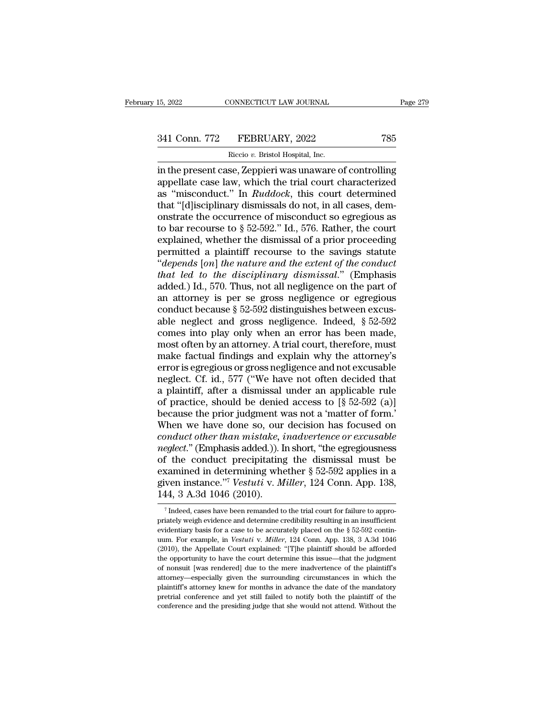# 15, 2022 CONNECTICUT LAW JOURNAL Page 279<br>341 Conn. 772 FEBRUARY, 2022 785<br>Riccio v. Bristol Hospital, Inc.

EXAMPLE TO THE TERRUARY, 2022<br>Riccio *v.* Bristol Hospital, Inc.<br>Riccio *v.* Bristol Hospital, Inc.<br>Se Zennieri was unaware c 15, 2022 CONNECTICUT LAW JOURNAL Page 279<br>
341 Conn. 772 FEBRUARY, 2022 785<br>
Riccio v. Bristol Hospital, Inc.<br>
in the present case, Zeppieri was unaware of controlling<br>
appellate case law, which the trial court characteriz 341 Conn. 772 FEBRUARY, 2022 785<br>Riccio v. Bristol Hospital, Inc.<br>in the present case, Zeppieri was unaware of controlling<br>appellate case law, which the trial court characterized<br>as "misconduct." In *Ruddock*, this court d 341 Conn. 772 FEBRUARY, 2022 785<br>
Riccio v. Bristol Hospital, Inc.<br>
in the present case, Zeppieri was unaware of controlling<br>
appellate case law, which the trial court characterized<br>
as "misconduct." In *Ruddock*, this cou 341 Conn. 772 FEBRUARY, 2022 785<br>
Riccio v. Bristol Hospital, Inc.<br>
in the present case, Zeppieri was unaware of controlling<br>
appellate case law, which the trial court characterized<br>
as "misconduct." In *Ruddock*, this co Riccio v. Bristol Hospital, Inc.<br>
in the present case, Zeppieri was unaware of controlling<br>
appellate case law, which the trial court characterized<br>
as "misconduct." In *Ruddock*, this court determined<br>
that "[d]isciplina Riccio v. Bristol Hospital, Inc.<br>
in the present case, Zeppieri was unaware of controlling<br>
appellate case law, which the trial court characterized<br>
as "misconduct." In *Ruddock*, this court determined<br>
that "[d]isciplina in the present case, Zeppieri was unaware of controlling<br>appellate case law, which the trial court characterized<br>as "misconduct." In  $Ruddock$ , this court determined<br>that "[d]isciplinary dismissals do not, in all cases, dem-<br> appellate case law, which the trial court characterized<br>as "misconduct." In *Ruddock*, this court determined<br>that "[d]isciplinary dismissals do not, in all cases, dem-<br>onstrate the occurrence of misconduct so egregious as as "misconduct." In *Ruddock*, this court determined<br>that "[d]isciplinary dismissals do not, in all cases, demonstrate the occurrence of misconduct so egregious as<br>to bar recourse to § 52-592." Id., 576. Rather, the court<br> that "[d]isciplinary dismissals do not, in all cases, demonstrate the occurrence of misconduct so egregious as<br>to bar recourse to § 52-592." Id., 576. Rather, the court<br>explained, whether the dismissal of a prior proceedin onstrate the occurrence of misconduct so egregious as<br>to bar recourse to  $\S$  52-592." Id., 576. Rather, the court<br>explained, whether the dismissal of a prior proceeding<br>permitted a plaintiff recourse to the savings statut to bar recourse to  $\S$  52-592." Id., 576. Rather, the court<br>explained, whether the dismissal of a prior proceeding<br>permitted a plaintiff recourse to the savings statute<br>"depends [on] the nature and the extent of the condu explained, whether the dismissal of a prior proceeding<br>permitted a plaintiff recourse to the savings statute<br>"depends [on] the nature and the extent of the conduct<br>that led to the disciplinary dismissal." (Emphasis<br>added. permitted a plaintiff recourse to the savings statute<br>
"depends [on] the nature and the extent of the conduct<br>
that led to the disciplinary dismissal." (Emphasis<br>
added.) Id., 570. Thus, not all negligence on the part of<br> "depends [on] the nature and the extent of the conduct<br>that led to the disciplinary dismissal." (Emphasis<br>added.) Id., 570. Thus, not all negligence on the part of<br>an attorney is per se gross negligence or egregious<br>condu that led to the disciplinary dismissal." (Emphasis added.) Id., 570. Thus, not all negligence on the part of an attorney is per se gross negligence or egregious conduct because  $\S 52-592$  distinguishes between excusable n added.) Id., 570. Thus, not all negligence on the part of<br>an attorney is per se gross negligence or egregious<br>conduct because § 52-592 distinguishes between excus-<br>able neglect and gross negligence. Indeed, § 52-592<br>comes an attorney is per se gross negligence or egregious<br>conduct because  $\S 52-592$  distinguishes between excus-<br>able neglect and gross negligence. Indeed,  $\S 52-592$ <br>comes into play only when an error has been made,<br>most ofte conduct because § 52-592 distinguishes between excus-<br>able neglect and gross negligence. Indeed, § 52-592<br>comes into play only when an error has been made,<br>most often by an attorney. A trial court, therefore, must<br>make fa able neglect and gross negligence. Indeed,  $\S 52-592$ <br>comes into play only when an error has been made,<br>most often by an attorney. A trial court, therefore, must<br>make factual findings and explain why the attorney's<br>error comes into play only when an error has been made,<br>most often by an attorney. A trial court, therefore, must<br>make factual findings and explain why the attorney's<br>error is egregious or gross negligence and not excusable<br>negl most often by an attorney. A trial court, therefore, must<br>make factual findings and explain why the attorney's<br>error is egregious or gross negligence and not excusable<br>neglect. Cf. id., 577 ("We have not often decided tha make factual findings and explain why the attorney's<br>error is egregious or gross negligence and not excusable<br>neglect. Cf. id., 577 ("We have not often decided that<br>a plaintiff, after a dismissal under an applicable rule<br> error is egregious or gross negligence and not excusable<br>neglect. Cf. id., 577 ("We have not often decided that<br>a plaintiff, after a dismissal under an applicable rule<br>of practice, should be denied access to [§ 52-592 (a)] neglect. Cf. id., 577 ("We have not often decided that<br>a plaintiff, after a dismissal under an applicable rule<br>of practice, should be denied access to [§ 52-592 (a)]<br>because the prior judgment was not a 'matter of form.'<br>W a plaintiff, after a dismissal under an applicable rule<br>of practice, should be denied access to  $[\S$  52-592 (a)]<br>because the prior judgment was not a 'matter of form.'<br>When we have done so, our decision has focused on<br>*co* of practice, should be denied access to  $[\S$  52-592 (a)]<br>because the prior judgment was not a 'matter of form.'<br>When we have done so, our decision has focused on<br>*conduct other than mistake, inadvertence or excusable*<br>*ne* because the prior judgment was not a 'matter of form.'<br>When we have done so, our decision has focused on<br>*conduct other than mistake, inadvertence or excusable*<br>*neglect.*" (Emphasis added.)). In short, "the egregiousness<br> When we have done so, our decision has focused on *conduct other than mistake*, *inadvertence or excusable neglect.*" (Emphasis added.)). In short, "the egregiousness of the conduct precipitating the dismissal must be exa f the conduct precipitating the dismissal must be vanimed in determining whether  $\S 52-592$  applies in a ven instance."<sup>7</sup> Vestuti v. Miller, 124 Conn. App. 138, 14, 3 A.3d 1046 (2010).<br><sup>7</sup> Indeed, cases have been remande examined in determining whether § 52-592 applies in a<br>given instance."<sup>7</sup> Vestuti v. Miller, 124 Conn. App. 138,<br>144, 3 A.3d 1046 (2010).<br><sup>7</sup> Indeed, cases have been remanded to the trial court for failure to appro-<br>priat

given instance."<sup>7</sup> Vestuti v. Miller, 124 Conn. App. 138, 144, 3 A.3d 1046 (2010).<br>
<sup>7</sup> Indeed, cases have been remanded to the trial court for failure to appropriately weigh evidence and determine credibility resulting 144, 3 A.3d 1046 (2010).<br>
<sup>7</sup> Indeed, cases have been remanded to the trial court for failure to appropriately weigh evidence and determine credibility resulting in an insufficient evidentiary basis for a case to be accura THE APPENDICATE THEORY COLLOP.<br>
The Appendicular of the Appendicular Court for failure to appropriately weigh evidence and determine credibility resulting in an insufficient evidentiary basis for a case to be accurately p <sup>7</sup> Indeed, cases have been remanded to the trial court for failure to appropriately weigh evidence and determine credibility resulting in an insufficient evidentiary basis for a case to be accurately placed on the  $\S$  52 priately weigh evidence and determine credibility resulting in an insufficient evidentiary basis for a case to be accurately placed on the  $\S$  52-592 continuum. For example, in *Vestuti* v. *Miller*, 124 Conn. App. 138, 3 evidentiary basis for a case to be accurately placed on the § 52-592 continuum. For example, in *Vestuti* v. *Miller*, 124 Conn. App. 138, 3 A.3d 1046 (2010), the Appellate Court explained: "[T]he plaintiff should be affo blaming blands are the Walter, 124 Conn. App. 138, 3 A.3d 1046 (2010), the Appellate Court explained: "[T]he plaintiff should be afforded the opportunity to have the court determine this issue—that the judgment of nonsuit and the Appellate Court explained: "[T]he plaintiff should be afforded the opportunity to have the court determine this issue—that the judgment of nonsuit [was rendered] due to the mere inadvertence of the plaintiff's atto (2010), the Appellate Court explained: "[T]he plaintiff should be afforded the opportunity to have the court determine this issue—that the judgment of nonsuit [was rendered] due to the mere inadvertence of the plaintiff's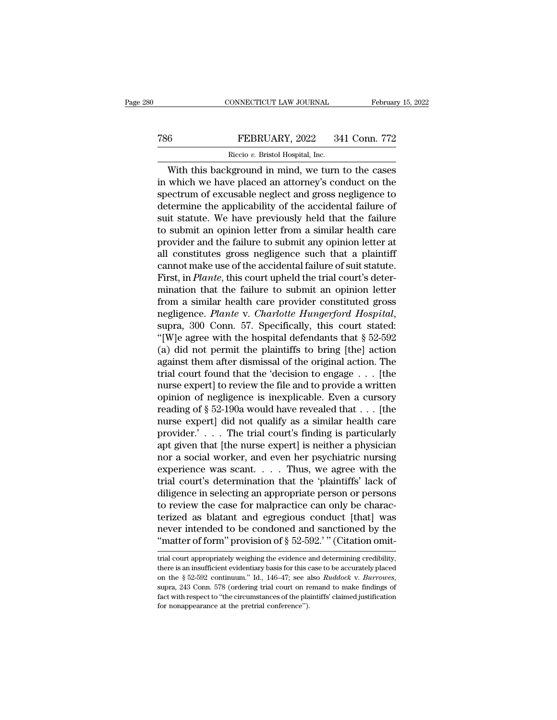## CONNECTICUT LAW JOURNAL February 15, 2022<br>
T86 FEBRUARY, 2022 341 Conn. 772<br>
Riccio v. Bristol Hospital, Inc. CONNECTICUT LAW JOURNAL Februar<br>
FEBRUARY, 2022 341 Conn. 772<br>
Riccio *v.* Bristol Hospital, Inc.<br>
With this background in mind, we turn to the cases

CONNECTICUT LAW JOURNAL February 15, 2022<br>
FEBRUARY, 2022 341 Conn. 772<br>
Riccio v. Bristol Hospital, Inc.<br>
With this background in mind, we turn to the cases<br>
which we have placed an attorney's conduct on the<br>
setrum of ex FEBRUARY, 2022 341 Conn. 772<br>
Riccio v. Bristol Hospital, Inc.<br>
With this background in mind, we turn to the cases<br>
in which we have placed an attorney's conduct on the<br>
spectrum of excusable neglect and gross negligence t  $\begin{tabular}{l} 786 & FEBRUARY, 2022 & 341 Conn. 772 \\ \hline & Riccio v. Bristol Hospital, Inc. \\ \hline \end{tabular}$  With this background in mind, we turn to the cases<br>in which we have placed an attorney's conduct on the spectrum of excusable neglect and gross negligence to<br>de  $\begin{tabular}{ll} 786 & FEBRUARY, 2022 & 341 Conn. 772 \\ \hline & Riccio v. Bristol Hospital, Inc. \\ \hline \end{tabular}$  With this background in mind, we turn to the cases<br>in which we have placed an attorney's conduct on the spectrum of excusable neglect and gross negligence to<br>d  $\begin{tabular}{l} \hline \textbf{Riccio } v. Bristol Hospital, Inc. \end{tabular} \end{tabular} \begin{tabular}{l} \hline \textbf{Witch this background in mind, we turn to the cases in which we have placed an attorney's conduct on the spectrum of exclusive and gross negligible. The effect and gross negligible, the application of the application of the application of the application of the failure to submit an opinion letter from a similar health care. The required of the following to submit any opinion letter at the time. \end{tabular}$  $\frac{1}{100}$  and  $\frac{1}{100}$  and  $\frac{1}{100}$  and  $\frac{1}{100}$  and  $\frac{1}{100}$  and  $\frac{1}{100}$  are the spectrum of excusable neglect and gross negligence to determine the applicability of the accidental failure of suit statu With this background in mind, we turn to the cases<br>in which we have placed an attorney's conduct on the<br>spectrum of excusable neglect and gross negligence to<br>determine the applicability of the accidental failure of<br>suit st in which we have placed an attorney's conduct on the<br>spectrum of excusable neglect and gross negligence to<br>determine the applicability of the accidental failure of<br>suit statute. We have previously held that the failure<br>to spectrum of excusable neglect and gross negligence to<br>determine the applicability of the accidental failure of<br>suit statute. We have previously held that the failure<br>to submit an opinion letter from a similar health care<br>p determine the applicability of the accidental failure of<br>suit statute. We have previously held that the failure<br>to submit an opinion letter from a similar health care<br>provider and the failure to submit any opinion letter a suit statute. We have previously held that the failure<br>to submit an opinion letter from a similar health care<br>provider and the failure to submit any opinion letter at<br>all constitutes gross negligence such that a plaintiff<br> to submit an opinion letter from a similar health care<br>provider and the failure to submit any opinion letter at<br>all constitutes gross negligence such that a plaintiff<br>cannot make use of the accidental failure of suit statu provider and the failure to submit any opinion letter at<br>all constitutes gross negligence such that a plaintiff<br>cannot make use of the accidental failure of suit statute.<br>First, in *Plante*, this court upheld the trial cou cannot make use of the accidental failure of suit statute.<br>
First, in *Plante*, this court upheld the trial court's deter-<br>
mination that the failure to submit an opinion letter<br>
from a similar health care provider consti First, in *Plante*, this court upheld the trial court's deter-<br>mination that the failure to submit an opinion letter<br>from a similar health care provider constituted gross<br>negligence. *Plante* v. *Charlotte Hungerford Hosp* mination that the failure to submit an opinion letter<br>from a similar health care provider constituted gross<br>negligence. Plante v. Charlotte Hungerford Hospital,<br>supra, 300 Conn. 57. Specifically, this court stated:<br>"[W]e from a similar health care provider constituted gross<br>negligence. Plante v. Charlotte Hungerford Hospital,<br>supra, 300 Conn. 57. Specifically, this court stated:<br>"[W]e agree with the hospital defendants that § 52-592<br>(a) d negligence. *Plante* v. *Charlotte Hungerford Hospital*,<br>supra, 300 Conn. 57. Specifically, this court stated:<br>"[W]e agree with the hospital defendants that § 52-592<br>(a) did not permit the plaintiffs to bring [the] action supra, 300 Conn. 57. Specifically, this court stated:<br>
"[W]e agree with the hospital defendants that  $\S$  52-592<br>
(a) did not permit the plaintiffs to bring [the] action<br>
against them after dismissal of the original action "[W]e agree with the hospital defendants that  $\S 52-592$ <br>(a) did not permit the plaintiffs to bring [the] action<br>against them after dismissal of the original action. The<br>trial court found that the 'decision to engage . . (a) did not permit the plaintiffs to bring [the] action<br>against them after dismissal of the original action. The<br>trial court found that the 'decision to engage  $\ldots$  [the<br>nurse expert] to review the file and to provide a against them after dismissal of the original action. The<br>trial court found that the 'decision to engage . . . [the<br>nurse expert] to review the file and to provide a written<br>opinion of negligence is inexplicable. Even a cu trial court found that the 'decision to engage  $\ldots$  [the<br>nurse expert] to review the file and to provide a written<br>opinion of negligence is inexplicable. Even a cursory<br>reading of § 52-190a would have revealed that  $\ldots$ nurse expert] to review the file and to provide a written<br>opinion of negligence is inexplicable. Even a cursory<br>reading of § 52-190a would have revealed that . . . [the<br>nurse expert] did not qualify as a similar health car opinion of negligence is inexplicable. Even a cursory<br>reading of § 52-190a would have revealed that . . . [the<br>nurse expert] did not qualify as a similar health care<br>provider.' . . . The trial court's finding is particula reading of § 52-190a would have revealed that . . . [the<br>nurse expert] did not qualify as a similar health care<br>provider.' . . . The trial court's finding is particularly<br>apt given that [the nurse expert] is neither a phy nurse expert] did not qualify as a similar health care<br>provider.'... The trial court's finding is particularly<br>apt given that [the nurse expert] is neither a physician<br>nor a social worker, and even her psychiatric nursing provider.'  $\ldots$  The trial court's finding is particularly<br>apt given that [the nurse expert] is neither a physician<br>nor a social worker, and even her psychiatric nursing<br>experience was scant.  $\ldots$  Thus, we agree with the apt given that [the nurse expert] is neither a physician<br>nor a social worker, and even her psychiatric nursing<br>experience was scant. . . . Thus, we agree with the<br>trial court's determination that the 'plaintiffs' lack of<br> nor a social worker, and even her psychiatric nursing<br>experience was scant. . . . Thus, we agree with the<br>trial court's determination that the 'plaintiffs' lack of<br>diligence in selecting an appropriate person or persons<br>t experience was scant. . . . Thus, we agree with the trial court's determination that the 'plaintiffs' lack of diligence in selecting an appropriate person or persons to review the case for malpractice can only be characte to review the case for malpractice can only be characterized as blatant and egregious conduct [that] was never intended to be condoned and sanctioned by the "matter of form" provision of  $\S 52-592$ ." (Citation omittinial

never intended to be condoned and sanctioned by the "matter of form" provision of  $\S$  52-592." " (Citation omittial court appropriately weighing the evidence and determining credibility, there is an insufficient evidentia never intended to be condoned and sanctioned by the<br>"matter of form" provision of § 52-592.'" (Citation omit-<br>trial court appropriately weighing the evidence and determining credibility,<br>there is an insufficient evidentiar Firal court appropriately weighing the evidence and determining credibility,<br>there is an insufficient evidentiary basis for this case to be accurately placed<br>on the  $\S 52-592$  continuum." Id., 146–47; see also *Ruddock v.* trial court appropriately weighing the evidence and determining credibility, there is an insufficient evidentiary basis for this case to be accurately placed on the  $\S$  52-592 continuum." Id., 146–47; see also *Ruddock* v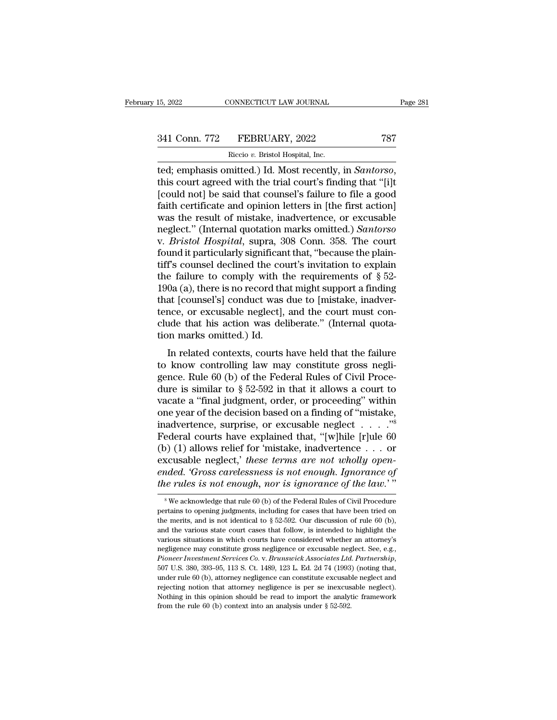15, 2022 CONNECTICUT LAW JOURNAL Page 281<br>341 Conn. 772 FEBRUARY, 2022 787<br>Riccio v. Bristol Hospital, Inc.

15, 2022 CONNECTICUT LAW JOURNAL<br>
241 Conn. 772 FEBRUARY, 2022 787<br>
Riccio *v*. Bristol Hospital, Inc.<br>
1997 Riccio *v.* Bristol Hospital, Inc.<br>
1997 Riccio *v.* Bristol Hospital, Inc. ted; emphasis omitted.) Id. Most recently, in *Santorso*, this court agreed with the trial court's finding that ''[i]t]<br>[could not] be said that counsel's failure to file a good faith cortificate and opinion letters in [th  $\begin{array}{c} \text{341 Conn.} \text{772} \qquad \text{FEBRUARY, 2022} \qquad \text{787} \ \text{Riccio } v. \text{ Bristol Hospital, Inc.} \ \text{ted; emphasis omitted.)} \text{Id. Most recently, in *Santorso*, this court agreed with the trial court's finding that "[j]t [could not] be said that course's failure to file a good faith certificate and opinion letters in [the first action] was the result of mistake inadvortance, or available.} \end{array}$  $\begin{array}{r} \text{341 Conn. 772} \end{array}$  FEBRUARY, 2022 787<br>
Riccio v. Bristol Hospital, Inc.<br>
The first action is court agreed with the trial court's finding that "[i]t<br>
[could not] be said that counsel's failure to file a good<br>
fait Riccio v. Bristol Hospital, Inc.<br>
The result of Mission Hospital, Inc.<br>
ted; emphasis omitted.) Id. Most recently, in *Santorso*,<br>
this court agreed with the trial court's finding that "[i]t<br>
[could not] be said that couns Recco v. Bristol Hospital, Inc.<br>
ted; emphasis omitted.) Id. Most recently, in *Santorso*,<br>
this court agreed with the trial court's finding that "[i]t<br>
[could not] be said that counsel's failure to file a good<br>
faith cert ted; emphasis omitted.) Id. Most recently, in *Santorso*, this court agreed with the trial court's finding that "[i]t [could not] be said that counsel's failure to file a good faith certificate and opinion letters in [the this court agreed with the trial court's finding that "[i]t [could not] be said that counsel's failure to file a good faith certificate and opinion letters in [the first action] was the result of mistake, inadvertence, or [could not] be said that counsel's failure to file a good<br>faith certificate and opinion letters in [the first action]<br>was the result of mistake, inadvertence, or excusable<br>neglect." (Internal quotation marks omitted.) *Sa* faith certificate and opinion letters in [the first action]<br>was the result of mistake, inadvertence, or excusable<br>neglect." (Internal quotation marks omitted.) *Santorso*<br>v. *Bristol Hospital*, supra, 308 Conn. 358. The c was the result of mistake, inadvertence, or excusable<br>neglect." (Internal quotation marks omitted.) *Santorso*<br>v. *Bristol Hospital*, supra, 308 Conn. 358. The court<br>found it particularly significant that, "because the pl neglect." (Internal quotation marks omitted.) *Santorso*<br>v. *Bristol Hospital*, supra, 308 Conn. 358. The court<br>found it particularly significant that, "because the plain-<br>tiff's counsel declined the court's invitation to v. *Bristol Hospital*, supra, 308 Conn. 358. The court<br>found it particularly significant that, "because the plain-<br>tiff's counsel declined the court's invitation to explain<br>the failure to comply with the requirements of found it particularly significant that, "because the plaintiff's counsel declined the court's invitation to explain<br>the failure to comply with the requirements of  $\S$  52-<br>190a (a), there is no record that might support a tiff's counsel declined the co<br>the failure to comply with t<br>190a (a), there is no record the<br>that [counsel's] conduct was<br>tence, or excusable neglect],<br>clude that his action was de<br>tion marks omitted.) Id.<br>In related conte Le randic to Compty what the requirements of  $\frac{1}{8}$  or  $\frac{1}{2}$  condextance, or excusable neglect], and the court must conder that his action was deliberate." (Internal quota-<br>on marks omitted.) Id.<br>In related context tool (a), there is no record that hight support a miding<br>that [counsel's] conduct was due to [mistake, inadver-<br>tence, or excusable neglect], and the court must con-<br>clude that his action was deliberate." (Internal quota-

tence, or excusable neglect], and the court must conclude that his action was deliberate." (Internal quotation marks omitted.) Id.<br>In related contexts, courts have held that the failure to know controlling law may constit dude that his action was deliberate." (Internal quotation marks omitted.) Id.<br>In related contexts, courts have held that the failure<br>to know controlling law may constitute gross negli-<br>gence. Rule 60 (b) of the Federal Ru Fraction marks omitted.) Id.<br>
In related contexts, courts have held that the failure<br>
to know controlling law may constitute gross negli-<br>
gence. Rule 60 (b) of the Federal Rules of Civil Proce-<br>
dure is similar to  $\S 52-$ In related contexts, courts have held that the failure<br>to know controlling law may constitute gross negli-<br>gence. Rule 60 (b) of the Federal Rules of Civil Proce-<br>dure is similar to  $\S 52-592$  in that it allows a court to In related contexts, courts have held that the failure<br>to know controlling law may constitute gross negli-<br>gence. Rule 60 (b) of the Federal Rules of Civil Proce-<br>dure is similar to  $\S 52-592$  in that it allows a court to to know controlling law may constitute gross negli-<br>gence. Rule 60 (b) of the Federal Rules of Civil Proce-<br>dure is similar to  $\S 52-592$  in that it allows a court to<br>vacate a "final judgment, order, or proceeding" within gence. Rule 60 (b) of the Federal Rules of Civil Procedure is similar to § 52-592 in that it allows a court to vacate a "final judgment, order, or proceeding" within one year of the decision based on a finding of "mistake dure is similar to § 52-592 in that it allows a court to vacate a "final judgment, order, or proceeding" within one year of the decision based on a finding of "mistake, inadvertence, surprise, or excusable neglect . . . . vacate a "final judgment, order, or proceeding" within<br>one year of the decision based on a finding of "mistake,<br>inadvertence, surprise, or excusable neglect  $\ldots$ ."<sup>8</sup><br>Federal courts have explained that, "[w]hile [r]ule 6 one year of the decision based on a finding of "mistake, inadvertence, surprise, or excusable neglect . . . . ."<sup>8</sup><br>*Federal courts have explained that,* "[w]hile [r]ule 60 (b) (1) allows relief for 'mistake, inadvertence (1) allows relief for 'mistake, inadvertence . . . or<br>
scusable neglect,' these terms are not wholly open-<br>
ided. 'Gross carelessness is not enough. Ignorance of<br>
ie rules is not enough, nor is ignorance of the law.'"<br>  $\$ excusable neglect,' these terms are not wholly open-<br>ended. 'Gross carelessness is not enough. Ignorance of<br>the rules is not enough, nor is ignorance of the law.'"<br><sup>8</sup>We acknowledge that rule 60 (b) of the Federal Rules o

ended. 'Gross carelessness is not enough. Ignorance of<br>the rules is not enough, nor is ignorance of the law.'"<br>
\*We acknowledge that rule 60 (b) of the Federal Rules of Civil Procedure<br>
pertains to opening judgments, incl the rules is not enough, nor is ignorance of the law.'"<br>
<sup>8</sup> We acknowledge that rule 60 (b) of the Federal Rules of Civil Procedure<br>
pertains to opening judgments, including for cases that have been tried on<br>
the merits, We acknowledge that rule 60 (b) of the Federal Rules of Civil Procedure<br>pertains to opening judgments, including for cases that have been tried on<br>the merits, and is not identical to § 52-592. Our discussion of rule 60 (b <sup>8</sup> We acknowledge that rule 60 (b) of the Federal Rules of Civil Procedure pertains to opening judgments, including for cases that have been tried on the merits, and is not identical to  $\S$  52-592. Our discussion of rule *Pretains to opening judgments, including for cases that have been tried on* the merits, and is not identical to § 52-592. Our discussion of rule 60 (b), and the various state court cases that follow, is intended to highli and the various state court cases that follow, is intended to highlight the various situations in which courts have considered whether an attorney's negligence may constitute gross negligence or excusable neglect. See, e. and the various state court cases that follow, is intended to highlight the various situations in which courts have considered whether an attorney's negligence may constitute gross negligence or excusable neglect. See, e. Noting in this opinion should be read to import the analytic framework from the rule of 0. b),  $Pioneer Investment Services Co. v. Brunswick Associates Ltd. Partership, 507 U.S. 380, 393–95, 113 S. Ct. 1489, 123 L. Ed. 2d 74 (1993) (noting that, under rule 60 (b), attorney negligible area constitute exclusive needle and rejecting notion that attorney negligible. Nothing in this opinion should be read to import the analytic framework from the rule 60 (b) context$ Pioneer Investment Services Co. v. Brunswick Associates Ltd. Partnership,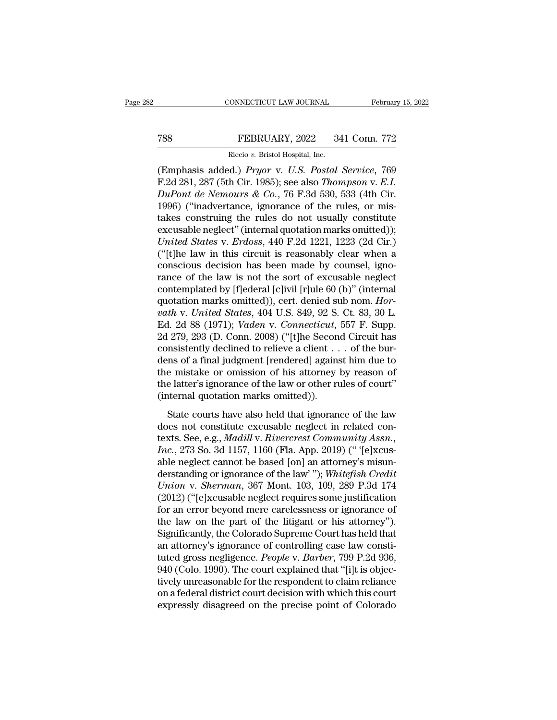### CONNECTICUT LAW JOURNAL February 15, 2022<br>
TEBRUARY, 2022 341 Conn. 772<br>
Riccio v. Bristol Hospital, Inc. FEBRUARY, 2022<br>FEBRUARY, 2022<br>Riccio *v.* Bristol Hospital, Inc.<br>d ) Pruor v. U.S. Postal.

(EMP) CONNECTICUT LAW JOURNAL February 15, 2022<br>
(EMP) FEBRUARY, 2022 341 Conn. 772<br>
Riccio v. Bristol Hospital, Inc.<br>
(Emphasis added.) *Pryor* v. *U.S. Postal Service*, 769<br>
F.2d 281, 287 (5th Cir. 1985); see also *Thomp* FEBRUARY, 2022 341 Conn. 772<br>
Riccio v. Bristol Hospital, Inc.<br>
(Emphasis added.) *Pryor* v. *U.S. Postal Service*, 769<br>
F.2d 281, 287 (5th Cir. 1985); see also *Thompson* v. *E.I.*<br> *DuPont de Nemours & Co.*, 76 F.3d 530, *Publication State of the Nemours & Co.*, 76 F.3d 530, 533 (4th Cir. 1996) ("inadvertance, ignorance of the rules, or mistakes construing the rules denotes usually constituted the constraints the rules denotes usually cons FEBRUARY, 2022 341 Conn. 772<br>
Riccio v. Bristol Hospital, Inc.<br>
(Emphasis added.) *Pryor* v. U.S. Postal Service, 769<br>
F.2d 281, 287 (5th Cir. 1985); see also Thompson v. E.I.<br>
DuPont de Nemours & Co., 76 F.3d 530, 533 (4t Riccio v. Bristol Hospital, Inc.<br>
(Emphasis added.) *Pryor* v. *U.S. Postal Service*, 769<br>
F.2d 281, 287 (5th Cir. 1985); see also *Thompson* v. *E.I.*<br> *DuPont de Nemours & Co.*, 76 F.3d 530, 533 (4th Cir.<br>
1996) ("inadv Excuse v. Bristol Hospital, Inc.<br>
(Emphasis added.) *Pryor* v. *U.S. Postal Service*, 769<br>
F.2d 281, 287 (5th Cir. 1985); see also Thompson v. *E.I.*<br> *DuPont de Nemours & Co.*, 76 F.3d 530, 533 (4th Cir.<br>
1996) ("inadver *(Emphasis added.) Pryor v. U.S. Postal Service, 769* F.2d 281, 287 (5th Cir. 1985); see also *Thompson v. E.I.*<br> *DuPont de Nemours & Co.*, 76 F.3d 530, 533 (4th Cir. 1996) ("inadvertance, ignorance of the rules, or mista F.2d 281, 287 (5th Cir. 1985); see also *Thompson v. E.I.*<br> *DuPont de Nemours & Co.*, 76 F.3d 530, 533 (4th Cir.<br>
1996) ("inadvertance, ignorance of the rules, or mis-<br>
takes construing the rules do not usually constitut DuPont de Nemours & Co., 76 F.3d 530, 533 (4th Cir.<br>1996) ("inadvertance, ignorance of the rules, or mis-<br>takes construing the rules do not usually constitute<br>excusable neglect" (internal quotation marks omitted));<br>United 1996) ("inadvertance, ignorance of the rules, or mis-<br>takes construing the rules do not usually constitute<br>excusable neglect" (internal quotation marks omitted));<br>*United States* v. *Erdoss*, 440 F.2d 1221, 1223 (2d Cir.) takes construing the rules do not usually constitute<br>excusable neglect" (internal quotation marks omitted));<br>*United States v. Erdoss*, 440 F.2d 1221, 1223 (2d Cir.)<br>("[t]he law in this circuit is reasonably clear when a<br> excusable neglect" (internal quotation marks omitted));<br>
United States v. Erdoss, 440 F.2d 1221, 1223 (2d Cir.)<br>
("[t]he law in this circuit is reasonably clear when a<br>
conscious decision has been made by counsel, igno-<br>
r *Vnited States* v. *Erdoss*, 440 F.2d 1221, 1223 (2d Cir.)<br>("[t]he law in this circuit is reasonably clear when a<br>conscious decision has been made by counsel, igno-<br>rance of the law is not the sort of excusable neglect<br>con ("[t]he law in this circuit is reasonably clear when a conscious decision has been made by counsel, ignorance of the law is not the sort of excusable neglect contemplated by [f]ederal [c]ivil [r]ule 60 (b)" (internal quota conscious decision has been made by counsel, ignorance of the law is not the sort of excusable neglect contemplated by [f]ederal [c]ivil [r]ule 60 (b)" (internal quotation marks omitted)), cert. denied sub nom. *Horvath v* rance of the law is not the sort of excusable neglect<br>contemplated by [f]ederal [c]ivil [r]ule 60 (b)" (internal<br>quotation marks omitted)), cert. denied sub nom. *Hor-*<br>*vath* v. *United States*, 404 U.S. 849, 92 S. Ct. 8 contemplated by [f]ederal [c]ivil [r]ule 60 (b)" (internal<br>quotation marks omitted)), cert. denied sub nom.  $Horvath$  v. United States, 404 U.S. 849, 92 S. Ct. 83, 30 L.<br>Ed. 2d 88 (1971); Vaden v. Connecticut, 557 F. Supp.<br>2d quotation marks omitted)), cert. denied sub nom. Horvath v. United States, 404 U.S. 849, 92 S. Ct. 83, 30 L.<br>Ed. 2d 88 (1971); Vaden v. Connecticut, 557 F. Supp.<br>2d 279, 293 (D. Conn. 2008) ("[t]he Second Circuit has<br>cons vath v. United States, 404 U.S. 849, 92 S. Ct. 83, 30 L.<br>Ed. 2d 88 (1971); Vaden v. Connecticut, 557 F. Supp.<br>2d 279, 293 (D. Conn. 2008) ("[t]he Second Circuit has<br>consistently declined to relieve a client  $\ldots$  of the b Ed. 2d 88 (1971); *Vaden v. Connecticut*,<br>2d 279, 293 (D. Conn. 2008) ("[t]he Secon<br>consistently declined to relieve a client . .<br>dens of a final judgment [rendered] agains<br>the mistake or omission of his attorney<br>the latte State courts have also held that ignorance of the law<br>ensistently declined to relieve a client . . . of the bur-<br>ns of a final judgment [rendered] against him due to<br>e mistake or omission of his attorney by reason of<br>e la dens of a final judgment [rendered] against him due to<br>the mistake or omission of his attorney by reason of<br>the latter's ignorance of the law or other rules of court"<br>(internal quotation marks omitted)).<br>State courts have

texts of a man jaagment penaeted<sub>l</sub> against rimt due to<br>the mistake or omission of his attorney by reason of<br>the latter's ignorance of the law or other rules of court"<br>(internal quotation marks omitted)).<br>State courts have *Inc.* 273 So. 3d 1157, 1160 (Fla. App. 2019) (" '[e]xcus-<br>able hatter's ignorance of the law or other rules of court"<br>(internal quotation marks omitted)).<br>State courts have also held that ignorance of the law<br>does not con the latter's ignorance of the law or other rules of court"<br>(internal quotation marks omitted)).<br>State courts have also held that ignorance of the law<br>does not constitute excusable neglect in related con-<br>texts. See, e.g., State courts have also held that ignorance of the law<br>does not constitute excusable neglect in related con-<br>texts. See, e.g., *Madill* v. *Rivercrest Community Assn.*,<br>*Inc.*, 273 So. 3d 1157, 1160 (Fla. App. 2019) (" '[e] State courts have also held that ignorance of the law<br>does not constitute excusable neglect in related con-<br>texts. See, e.g., *Madill v. Rivercrest Community Assn.*,<br>*Inc.*, 273 So. 3d 1157, 1160 (Fla. App. 2019) (" '(e)xc does not constitute excusable neglect in related con-<br>texts. See, e.g., *Madill* v. *Rivercrest Community Assn.*,<br>*Inc.*, 273 So. 3d 1157, 1160 (Fla. App. 2019) (" '[e]xcus-<br>able neglect cannot be based [on] an attorney's texts. See, e.g., *Madill* v. *Rivercrest Community Assn.*,<br>*Inc.*, 273 So. 3d 1157, 1160 (Fla. App. 2019) (" '[e]xcus-<br>able neglect cannot be based [on] an attorney's misun-<br>derstanding or ignorance of the law' "); *White* Inc., 273 So. 3d 1157, 1160 (Fla. App. 2019) ("'[e]xcus-<br>able neglect cannot be based [on] an attorney's misun-<br>derstanding or ignorance of the law' "); *Whitefish Credit*<br>Union v. Sherman, 367 Mont. 103, 109, 289 P.3d 174 able neglect cannot be based [on] an attorney's misun-<br>derstanding or ignorance of the law' "); *Whitefish Credit*<br>*Union v. Sherman*, 367 Mont. 103, 109, 289 P.3d 174<br>(2012) ("[e]xcusable neglect requires some justificati derstanding or ignorance of the law'"); Whitefish Credit Union v. Sherman, 367 Mont. 103, 109, 289 P.3d 174 (2012) ("[e]xcusable neglect requires some justification for an error beyond mere carelessness or ignorance of the Union v. *Sherman*, 367 Mont. 103, 109, 289 P.3d 174<br>(2012) ("[e]xcusable neglect requires some justification<br>for an error beyond mere carelessness or ignorance of<br>the law on the part of the litigant or his attorney").<br>Sig (2012) ("[e]xcusable neglect requires some justification<br>for an error beyond mere carelessness or ignorance of<br>the law on the part of the litigant or his attorney").<br>Significantly, the Colorado Supreme Court has held that for an error beyond mere carelessness or ignorance of<br>the law on the part of the litigant or his attorney").<br>Significantly, the Colorado Supreme Court has held that<br>an attorney's ignorance of controlling case law consti-<br>t the law on the part of the litigant or his attorney").<br>Significantly, the Colorado Supreme Court has held that<br>an attorney's ignorance of controlling case law consti-<br>tuted gross negligence. *People* v. *Barber*, 799 P.2d Significantly, the Colorado Supreme Court has held that<br>an attorney's ignorance of controlling case law consti-<br>tuted gross negligence. *People* v. *Barber*, 799 P.2d 936,<br>940 (Colo. 1990). The court explained that "[i]t i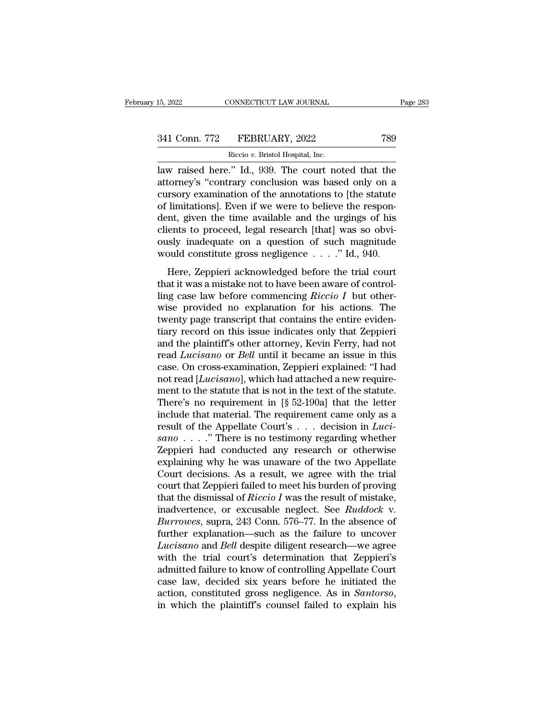| 15, 2022            | CONNECTICUT LAW JOURNAL          | Page 283 |
|---------------------|----------------------------------|----------|
| 341 Conn. 772       | FEBRUARY, 2022                   | 789      |
|                     | Riccio v. Bristol Hospital, Inc. |          |
| law raised here" Id | 939. The court noted that the    |          |

15, 2022 CONNECTICUT LAW JOURNAL Page 283<br>
341 Conn. 772 FEBRUARY, 2022 789<br>
Riccio v. Bristol Hospital, Inc.<br>
Iaw raised here.'' Id., 939. The court noted that the<br>
attorney's "contrary conclusion was based only on a 341 Conn. 772 FEBRUARY, 2022 789<br>Riccio v. Bristol Hospital, Inc.<br>Law raised here." Id., 939. The court noted that the<br>attorney's "contrary conclusion was based only on a<br>cursory examination of the annotations to [the stat 341 Conn. 772 FEBRUARY, 2022 789<br>
Riccio v. Bristol Hospital, Inc.<br>
law raised here." Id., 939. The court noted that the<br>
attorney's "contrary conclusion was based only on a<br>
cursory examination of the annotations to [the 341 Conn. 772 FEBRUARY, 2022 789<br>
Riccio v. Bristol Hospital, Inc.<br>
law raised here." Id., 939. The court noted that the<br>
attorney's "contrary conclusion was based only on a<br>
cursory examination of the annotations to [the Riccio v. Bristol Hospital, Inc.<br>
law raised here." Id., 939. The court noted that the<br>
attorney's "contrary conclusion was based only on a<br>
cursory examination of the annotations to [the statute<br>
of limitations]. Even if kecio v. Bristol Hospital, Inc.<br>law raised here." Id., 939. The court noted that the<br>attorney's "contrary conclusion was based only on a<br>cursory examination of the annotations to [the statute<br>of limitations]. Even if we we law raised here." Id., 939. The court noted that the attorney's "contrary conclusion was based only on a cursory examination of the annotations to [the statute of limitations]. Even if we were to believe the respondent, g attorney's "contrary conclusion was based only on a<br>cursory examination of the annotations to [the statute<br>of limitations]. Even if we were to believe the respon-<br>dent, given the time available and the urgings of his<br>clien limitations]. Even if we were to believe the respon-<br>t, given the time available and the urgings of his<br>ents to proceed, legal research [that] was so obvi-<br>sly inadequate on a question of such magnitude<br>ould constitute gr of minialized is proceed, legal research [that] was so obviously inadequate on a question of such magnitude would constitute gross negligence  $\dots$  " Id., 940.<br>Here, Zeppieri acknowledged before the trial court that it was

dent, given the time avalable and the dignity of his<br>clients to proceed, legal research [that] was so obvi-<br>ously inadequate on a question of such magnitude<br>would constitute gross negligence  $\dots$ ." Id., 940.<br>Here, Zeppier ously inadequate on a question of such magnitude<br>would constitute gross negligence  $\dots$ ." Id., 940.<br>Here, Zeppieri acknowledged before the trial court<br>that it was a mistake not to have been aware of control-<br>ling case law would constitute gross negligence  $\ldots$  ." Id., 940.<br>Here, Zeppieri acknowledged before the trial court<br>that it was a mistake not to have been aware of control-<br>ling case law before commencing *Riccio I* but other-<br>wise p Here, Zeppieri acknowledged before the trial court<br>that it was a mistake not to have been aware of control-<br>ling case law before commencing *Riccio I* but other-<br>wise provided no explanation for his actions. The<br>twenty pa Here, Zeppieri acknowledged before the trial court<br>that it was a mistake not to have been aware of control-<br>ling case law before commencing  $Riccio I$  but other-<br>wise provided no explanation for his actions. The<br>twenty page t that it was a mistake not to have been aware of controlling case law before commencing *Riccio I* but otherwise provided no explanation for his actions. The twenty page transcript that contains the entire evidentiary recor ling case law before commencing  $Riccio I$  but otherwise provided no explanation for his actions. The twenty page transcript that contains the entire evidentiary record on this issue indicates only that Zeppieri and the plain wise provided no explanation for his actions. The<br>twenty page transcript that contains the entire eviden-<br>tiary record on this issue indicates only that Zeppieri<br>and the plaintiff's other attorney, Kevin Ferry, had not<br>rea twenty page transcript that contains the entire evidentiary record on this issue indicates only that Zeppieri<br>and the plaintiff's other attorney, Kevin Ferry, had not<br>read *Lucisano* or *Bell* until it became an issue in tiary record on this issue indicates only that Zeppieri<br>and the plaintiff's other attorney, Kevin Ferry, had not<br>read *Lucisano* or *Bell* until it became an issue in this<br>case. On cross-examination, Zeppieri explained: " and the plaintiff's other attorney, Kevin Ferry, had not<br>read *Lucisano* or *Bell* until it became an issue in this<br>case. On cross-examination, Zeppieri explained: "I had<br>not read [*Lucisano*], which had attached a new re read *Lucisano* or *Bell* until it became an issue in this case. On cross-examination, Zeppieri explained: "I had not read [*Lucisano*], which had attached a new requirement to the statute that is not in the text of the st case. On cross-examination, Zeppieri explained: "I had<br>not read [*Lucisano*], which had attached a new require-<br>ment to the statute that is not in the text of the statute.<br>There's no requirement in [§ 52-190a] that the le not read [*Lucisano*], which had attached a new requirement to the statute that is not in the text of the statute.<br>There's no requirement in [§ 52-190a] that the letter include that material. The requirement came only as ment to the statute that is not in the text of the statute.<br>There's no requirement in [§ 52-190a] that the letter<br>include that material. The requirement came only as a<br>result of the Appellate Court's . . . decision in *Lu* There's no requirement in [§ 52-190a] that the letter<br>include that material. The requirement came only as a<br>result of the Appellate Court's . . . decision in *Luci-*<br>sano . . . ." There is no testimony regarding whether<br>Z include that material. The requirement came only as a<br>result of the Appellate Court's . . . decision in *Luci-*<br>sano . . . . ." There is no testimony regarding whether<br>Zeppieri had conducted any research or otherwise<br>expl result of the Appellate Court's . . . decision in *Lucisano* . . . ." There is no testimony regarding whether Zeppieri had conducted any research or otherwise explaining why he was unaware of the two Appellate Court decis sano . . . . . " There is no testimony regarding whether Zeppieri had conducted any research or otherwise explaining why he was unaware of the two Appellate Court decisions. As a result, we agree with the trial court that Zeppieri had conducted any research or otherwise<br>explaining why he was unaware of the two Appellate<br>Court decisions. As a result, we agree with the trial<br>court that Zeppieri failed to meet his burden of proving<br>that the di explaining why he was unaware of the two Appellate<br>Court decisions. As a result, we agree with the trial<br>court that Zeppieri failed to meet his burden of proving<br>that the dismissal of *Riccio I* was the result of mistake, Court decisions. As a result, we agree with the trial<br>court that Zeppieri failed to meet his burden of proving<br>that the dismissal of *Riccio I* was the result of mistake,<br>inadvertence, or excusable neglect. See *Ruddock* v court that Zeppieri failed to meet his burden of proving<br>that the dismissal of *Riccio I* was the result of mistake,<br>inadvertence, or excusable neglect. See *Ruddock* v.<br>*Burrowes*, supra, 243 Conn. 576–77. In the absence that the dismissal of *Riccio I* was the result of mistake,<br>inadvertence, or excusable neglect. See *Ruddock* v.<br>*Burrowes*, supra, 243 Conn. 576–77. In the absence of<br>further explanation—such as the failure to uncover<br>*L* inadvertence, or excusable neglect. See *Ruddock* v.<br> *Burrowes*, supra, 243 Conn. 576–77. In the absence of<br>
further explanation—such as the failure to uncover<br> *Lucisano* and *Bell* despite diligent research—we agree<br>
wi Burrowes, supra, 243 Conn. 576–77. In the absence of further explanation—such as the failure to uncover *Lucisano* and *Bell* despite diligent research—we agree with the trial court's determination that Zeppieri's admitted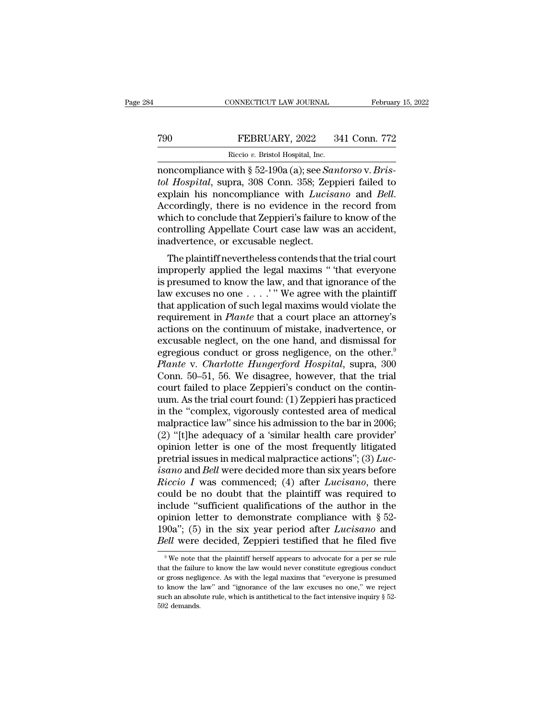### CONNECTICUT LAW JOURNAL February 15, 2022<br>
T90 FEBRUARY, 2022 341 Conn. 772<br>
Riccio v. Bristol Hospital, Inc. FEBRUARY, 2022<br>FEBRUARY, 2022<br>Riccio *v.* Bristol Hospital, Inc.<br>with 8 52-190a (a): see *Sam*

CONNECTICUT LAW JOURNAL February 1:<br>
T90 FEBRUARY, 2022 341 Conn. 772<br>
Riccio v. Bristol Hospital, Inc.<br>
noncompliance with § 52-190a (a); see *Santorso* v. *Bris-*<br> *tol Hospital*, supra, 308 Conn. 358; Zeppieri failed to *FEBRUARY, 2022* 341 Conn. 772<br> *Riccio v. Bristol Hospital, Inc.*<br> **tol Hospital, supra, 308 Conn. 358; Zeppieri failed to**<br> **explain his noncompliance with** *Lucisano* **and** *Bell.***<br>
Accordingly there is no evidence in the** FEBRUARY, 2022 341 Conn. 772<br>
Riccio v. Bristol Hospital, Inc.<br>
noncompliance with § 52-190a (a); see *Santorso* v. *Bristol Hospital*, supra, 308 Conn. 358; Zeppieri failed to<br>
explain his noncompliance with *Lucisano* an Riccio v. Bristol Hospital, Inc.<br>
noncompliance with § 52-190a (a); see *Santorso* v. Bristol Hospital, supra, 308 Conn. 358; Zeppieri failed to<br>
explain his noncompliance with *Lucisano* and *Bell*.<br>
Accordingly, there i Recio v. Bristol Hospital, Inc.<br>
noncompliance with § 52-190a (a); see *Santorso* v. *Bristol Hospital*, supra, 308 Conn. 358; Zeppieri failed to<br>
explain his noncompliance with *Lucisano* and *Bell*.<br>
Accordingly, there noncompliance with  $\S$  52-190a (a); see *Santol Hospital*, supra, 308 Conn. 358; Zeppexplain his noncompliance with *Lucise* Accordingly, there is no evidence in the which to conclude that Zeppieri's failure to controllin The plaintiff nevertheless contends that the trial court<br>movement is noncompliance with *Lucisano* and *Bell*.<br>cordingly, there is no evidence in the record from<br>nich to conclude that Zeppieri's failure to know of the<br>ntro Explain his honcomphance with *Euctsuho* and *Beu*.<br>Accordingly, there is no evidence in the record from<br>which to conclude that Zeppieri's failure to know of the<br>controlling Appellate Court case law was an accident,<br>inadve

Accordingly, there is no evidence in the record from<br>which to conclude that Zeppieri's failure to know of the<br>controlling Appellate Court case law was an accident,<br>inadvertence, or excusable neglect.<br>The plaintiff neverthe which to conclude that zeppiers standie to know of the<br>controlling Appellate Court case law was an accident,<br>inadvertence, or excusable neglect.<br>The plaintiff nevertheless contends that the trial court<br>improperly applied to individually appenate Court case faw was an accident,<br>inadvertence, or excusable neglect.<br>The plaintiff nevertheless contends that the trial court<br>improperly applied the legal maxims " that everyone<br>is presumed to know requiremently applied the legal maxims " that everyone<br>is presumed to know the lagal maxims " that everyone<br>is presumed to know the law, and that ignorance of the<br>law excuses no one . . . . " We agree with the plaintiff<br>th The plaintiff nevertheless contends that the trial court<br>improperly applied the legal maxims " that everyone<br>is presumed to know the law, and that ignorance of the<br>law excuses no one  $\dots$ ." We agree with the plaintiff<br>tha improperly applied the legal maxims " that everyone<br>is presumed to know the law, and that ignorance of the<br>law excuses no one  $\ldots$ ." We agree with the plaintiff<br>that application of such legal maxims would violate the<br>req is presumed to know the law, and that ignorance of the<br>law excuses no one  $\dots$ ." We agree with the plaintiff<br>that application of such legal maxims would violate the<br>requirement in *Plante* that a court place an attorney's law excuses no one . . . . " We agree with the plaintiff<br>that application of such legal maxims would violate the<br>requirement in *Plante* that a court place an attorney's<br>actions on the continuum of mistake, inadvertence, o that application of such legal maxims would violate the<br>requirement in *Plante* that a court place an attorney's<br>actions on the continuum of mistake, inadvertence, or<br>excusable neglect, on the one hand, and dismissal for<br>e requirement in *Plante* that a court place an attorney's actions on the continuum of mistake, inadvertence, or excusable neglect, on the one hand, and dismissal for egregious conduct or gross negligence, on the other.<sup>9</sup> actions on the continuum of mistake, inadvertence, or<br>excusable neglect, on the one hand, and dismissal for<br>egregious conduct or gross negligence, on the other.<sup>9</sup><br>*Plante* v. *Charlotte Hungerford Hospital*, supra, 300<br>Co excusable neglect, on the one hand, and dismissal for<br>egregious conduct or gross negligence, on the other.<sup>9</sup><br>*Plante* v. *Charlotte Hungerford Hospital*, supra, 300<br>Conn. 50–51, 56. We disagree, however, that the trial<br>co egregious conduct or gross negligence, on the other.<sup>9</sup><br>Plante v. Charlotte Hungerford Hospital, supra, 300<br>Conn. 50–51, 56. We disagree, however, that the trial<br>court failed to place Zeppieri's conduct on the contin-<br>uum. Plante v. Charlotte Hungerford Hospital, supra, 300<br>Conn. 50–51, 56. We disagree, however, that the trial<br>court failed to place Zeppieri's conduct on the contin-<br>uum. As the trial court found: (1) Zeppieri has practiced<br>in Conn. 50–51, 56. We disagree, however, that the trial<br>court failed to place Zeppieri's conduct on the contin-<br>uum. As the trial court found: (1) Zeppieri has practiced<br>in the "complex, vigorously contested area of medical court failed to place Zeppieri's conduct on the contin-<br>uum. As the trial court found: (1) Zeppieri has practiced<br>in the "complex, vigorously contested area of medical<br>malpractice law" since his admission to the bar in 20 *i* um. As the trial court found: (1) Zeppieri has practiced<br>in the "complex, vigorously contested area of medical<br>malpractice law" since his admission to the bar in 2006;<br>(2) "[t]he adequacy of a 'similar health care prov in the "complex, vigorously contested area of medical<br>malpractice law" since his admission to the bar in 2006;<br>(2) "[t]he adequacy of a 'similar health care provider'<br>opinion letter is one of the most frequently litigated malpractice law" since his admission to the bar in 2006;<br>(2) "[t]he adequacy of a 'similar health care provider'<br>opinion letter is one of the most frequently litigated<br>pretrial issues in medical malpractice actions"; (3) (2) "[t]he adequacy of a 'similar health care provider'<br>opinion letter is one of the most frequently litigated<br>pretrial issues in medical malpractice actions"; (3)  $Luc-  
isano$  and Bell were decided more than six years befor opinion letter is one of the most frequently litigated<br>pretrial issues in medical malpractice actions"; (3) *Luc-*<br>isano and *Bell* were decided more than six years before<br>*Riccio* I was commenced; (4) after *Lucisano*, t pretrial issues in medical malpractice actions";  $(3)$  *Luc*-<br>*isano* and *Bell* were decided more than six years before<br>*Riccio I* was commenced; (4) after *Lucisano*, there<br>could be no doubt that the plaintiff was req *isano* and *Bell* were decided more than six years before *Riccio I* was commenced; (4) after *Lucisano*, there could be no doubt that the plaintiff was required to include "sufficient qualifications of the author in t iclude "sufficient qualifications of the author in the pinion letter to demonstrate compliance with  $\S 52-90a$ "; (5) in the six year period after *Lucisano* and *ell* were decided, Zeppieri testified that he filed five  $\S$ opinion letter to demonstrate compliance with § 52-<br>190a"; (5) in the six year period after *Lucisano* and<br>*Bell* were decided, Zeppieri testified that he filed five<br><sup>9</sup>We note that the plaintiff herself appears to advoca

<sup>190</sup>a"; (5) in the six year period after *Lucisano* and *Bell* were decided, Zeppieri testified that he filed five  $\sqrt{ }$  we note that the plaintiff herself appears to advocate for a per se rule that the failure to know th Bell were decided, Zeppieri testified that he filed five<br>  $\sqrt[9]{w}$  we note that the plaintiff herself appears to advocate for a per se rule<br>
that the failure to know the law would never constitute egregious conduct<br>
or g Such a absolute rule, we have been absoluted that the filed five in  $\frac{1}{2}$  we note that the plaintiff herself appears to advocate for a per se rule that the failure to know the law would never constitute egregious cond <sup>9</sup> We note the failur or gross neglicol know the such an absolution and soles.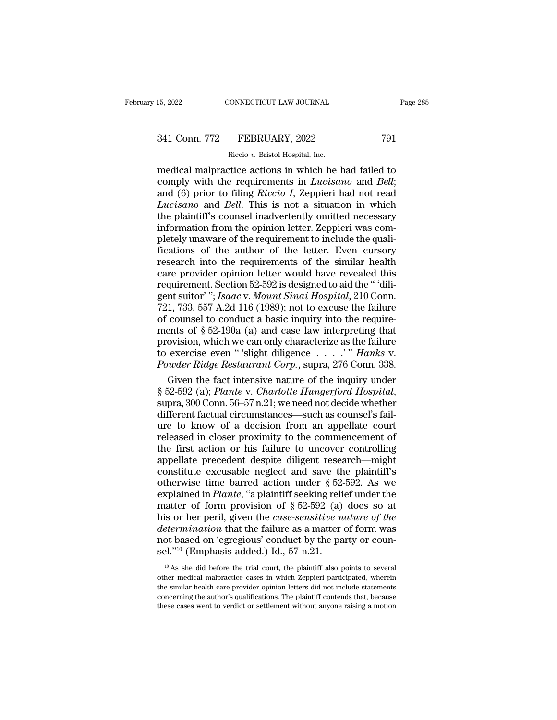# 15, 2022 CONNECTICUT LAW JOURNAL Page 285<br>341 Conn. 772 FEBRUARY, 2022 791<br>Riccio v. Bristol Hospital, Inc.

FEBRUARY, 2022<br>FEBRUARY, 2022<br>Riccio *v.* Bristol Hospital, Inc.<br>Tice actions in which he EXECTIVE THE MUNIVEL Page 285<br>
15, 2022 T91<br>
16. The Riccio v. Bristol Hospital, Inc.<br>
16. The medical malpractice actions in which he had failed to<br>
16. The requirements in *Lucisano* and *Bell*;<br>
16. The requirements in 341 Conn. 772 FEBRUARY, 2022 791<br>
Riccio v. Bristol Hospital, Inc.<br>
medical malpractice actions in which he had failed to<br>
comply with the requirements in *Lucisano* and *Bell*;<br>
and (6) prior to filing *Riccio I*, Zeppier 341 Conn. 772 FEBRUARY, 2022 791<br>
Riccio v. Bristol Hospital, Inc.<br>
medical malpractice actions in which he had failed to<br>
comply with the requirements in *Lucisano* and *Bell*;<br>
and (6) prior to filing *Riccio I*, Zeppier <sup>241</sup> Conn. 772 FEBRUARY, 2022 791<br>
<sup>Riccio</sup> *v*. Bristol Hospital, Inc.<br>
medical malpractice actions in which he had failed to<br>
comply with the requirements in *Lucisano* and *Bell*;<br>
and (6) prior to filing *Riccio I*, Z FIRENCIALT, 2022<br>
Riccio v. Bristol Hospital, Inc.<br>
medical malpractice actions in which he had failed to<br>
comply with the requirements in *Lucisano* and *Bell*;<br>
and (6) prior to filing *Riccio I*, Zeppieri had not read<br> Riccio v. Bristol Hospital, Inc.<br>
medical malpractice actions in which he had failed to<br>
comply with the requirements in *Lucisano* and *Bell*;<br>
and (6) prior to filing *Riccio I*, Zeppieri had not read<br> *Lucisano* and *Be* medical malpractice actions in which he had failed to<br>comply with the requirements in *Lucisano* and *Bell*;<br>and (6) prior to filing *Riccio I*, Zeppieri had not read<br>*Lucisano* and *Bell*. This is not a situation in which comply with the requirements in *Lucisano* and *Bell*;<br>and (6) prior to filing *Riccio I*, Zeppieri had not read<br>*Lucisano* and *Bell*. This is not a situation in which<br>the plaintiff's counsel inadvertently omitted necessa and (6) prior to filing *Riccio I*, Zeppieri had not read *Lucisano* and *Bell*. This is not a situation in which the plaintiff's counsel inadvertently omitted necessary information from the opinion letter. Zeppieri was c *Lucisano* and *Bell*. This is not a situation in which<br>the plaintiff's counsel inadvertently omitted necessary<br>information from the opinion letter. Zeppieri was com-<br>pletely unaware of the requirement to include the qual the plaintiff's counsel inadvertently omitted necessary<br>information from the opinion letter. Zeppieri was com-<br>pletely unaware of the requirement to include the quali-<br>fications of the author of the letter. Even cursory<br>re information from the opinion letter. Zeppieri was completely unaware of the requirement to include the qualifications of the author of the letter. Even cursory research into the requirements of the similar health care prov pletely unaware of the requirement to include the quali-<br>fications of the author of the letter. Even cursory<br>research into the requirements of the similar health<br>care provider opinion letter would have revealed this<br>requir fications of the author of the letter. Even cursory<br>research into the requirements of the similar health<br>care provider opinion letter would have revealed this<br>requirement. Section 52-592 is designed to aid the "dili-<br>gent research into the requirements of the similar health<br>care provider opinion letter would have revealed this<br>requirement. Section 52-592 is designed to aid the "dili-<br>gent suitor"; *Isaac* v. *Mount Sinai Hospital*, 210 Conn care provider opinion letter would have revealed this<br>requirement. Section 52-592 is designed to aid the "dili-<br>gent suitor"; Isaac v. Mount Sinai Hospital, 210 Conn.<br>721, 733, 557 A.2d 116 (1989); not to excuse the failu requirement. Section 52-592 is designed to aid the " 'diligent suitor' "; *Isaac v. Mount Sinai Hospital*, 210 Conn.<br>721, 733, 557 A.2d 116 (1989); not to excuse the failure<br>of counsel to conduct a basic inquiry into the r gent suitor' "; *Isaac v. Mount Sinai Hospital*, 210 Conn.<br>721, 733, 557 A.2d 116 (1989); not to excuse the failure<br>of counsel to conduct a basic inquiry into the require-<br>ments of § 52-190a (a) and case law interpreting t 1, 733, 557 A.2d 116 (1989); not to excuse the failure<br>counsel to conduct a basic inquiry into the require-<br>ents of § 52-190a (a) and case law interpreting that<br>ovision, which we can only characterize as the failure<br>exerc of counsel to conduct a basic inquiry into the require-<br>ments of § 52-190a (a) and case law interpreting that<br>provision, which we can only characterize as the failure<br>to exercise even "'slight diligence . . . .'" *Hanks* v

provision, which we can only characterize as the failure<br>to exercise even "'slight diligence . . . .'" Hanks v.<br>Powder Ridge Restaurant Corp., supra, 276 Conn. 338.<br>Given the fact intensive nature of the inquiry under<br>§ 5 to exercise even "'slight diligence  $\ldots$ '" Hanks v.<br>
Powder Ridge Restaurant Corp., supra, 276 Conn. 338.<br>
Given the fact intensive nature of the inquiry under<br>
§ 52-592 (a); Plante v. Charlotte Hungerford Hospital,<br>
sup Powder Ridge Restaurant Corp., supra, 276 Conn. 338.<br>
Given the fact intensive nature of the inquiry under<br>
§ 52-592 (a); Plante v. Charlotte Hungerford Hospital,<br>
supra, 300 Conn. 56–57 n.21; we need not decide whether<br>
d Given the fact intensive nature of the inquiry under<br>
§ 52-592 (a); *Plante* v. *Charlotte Hungerford Hospital*,<br>
supra, 300 Conn. 56–57 n.21; we need not decide whether<br>
different factual circumstances—such as counsel's § 52-592 (a); *Plante v. Charlotte Hungerford Hospital*,<br>supra, 300 Conn. 56–57 n.21; we need not decide whether<br>different factual circumstances—such as counsel's fail-<br>ure to know of a decision from an appellate court<br>re supra, 300 Conn. 56–57 n.21; we need not decide whether<br>different factual circumstances—such as counsel's fail-<br>ure to know of a decision from an appellate court<br>released in closer proximity to the commencement of<br>the fir different factual circumstances—such as counsel's fail-<br>ure to know of a decision from an appellate court<br>released in closer proximity to the commencement of<br>the first action or his failure to uncover controlling<br>appellat ure to know of a decision from an appellate court<br>released in closer proximity to the commencement of<br>the first action or his failure to uncover controlling<br>appellate precedent despite diligent research—might<br>constitute ex released in closer proximity to the commencement of<br>the first action or his failure to uncover controlling<br>appellate precedent despite diligent research—might<br>constitute excusable neglect and save the plaintiff's<br>otherwis the first action or his failure to uncover controlling<br>appellate precedent despite diligent research—might<br>constitute excusable neglect and save the plaintiff's<br>otherwise time barred action under § 52-592. As we<br>explained appellate precedent despite diligent research—might<br>constitute excusable neglect and save the plaintiff's<br>otherwise time barred action under  $\S 52-592$ . As we<br>explained in *Plante*, "a plaintiff seeking relief under the<br>m constitute excusable neglect and save the plaintiff's otherwise time barred action under § 52-592. As we explained in *Plante*, "a plaintiff seeking relief under the matter of form provision of § 52-592 (a) does so at his otherwise time barred action under § 52-<br>explained in *Plante*, "a plaintiff seeking reliant matter of form provision of § 52-592 (a)<br>his or her peril, given the *case-sensitive n*<br>determination that the failure as a matt is or her peril, given the *case-sensitive nature of the*<br>*etermination* that the failure as a matter of form was<br>ot based on 'egregious' conduct by the party or coun-<br> $1^{10}$ <sup>10</sup> (Emphasis added.) Id., 57 n.21.<br><sup>10</sup> As s determination that the failure as a matter of form was<br>not based on 'egregious' conduct by the party or coun-<br>sel."<sup>10</sup> (Emphasis added.) Id., 57 n.21.<br><sup>10</sup> As she did before the trial court, the plaintiff also points to s

not based on 'egregious' conduct by the party or counsel."<sup>10</sup> (Emphasis added.) Id., 57 n.21.<br> $\frac{10}{10}$  As she did before the trial court, the plaintiff also points to several other medical malpractice cases in which Z sel."<sup>10</sup> (Emphasis added.) Id., 57 n.21.<br> $^{10}$  As she did before the trial court, the plaintiff also points to several<br>other medical malpractice cases in which Zeppieri participated, wherein<br>the similar health care prov sel."<sup>10</sup> (Emphasis added.) Id., 57 n.21.<br>
<sup>10</sup> As she did before the trial court, the plaintiff also points to several<br>
other medical malpractice cases in which Zeppieri participated, wherein<br>
the similar health care pro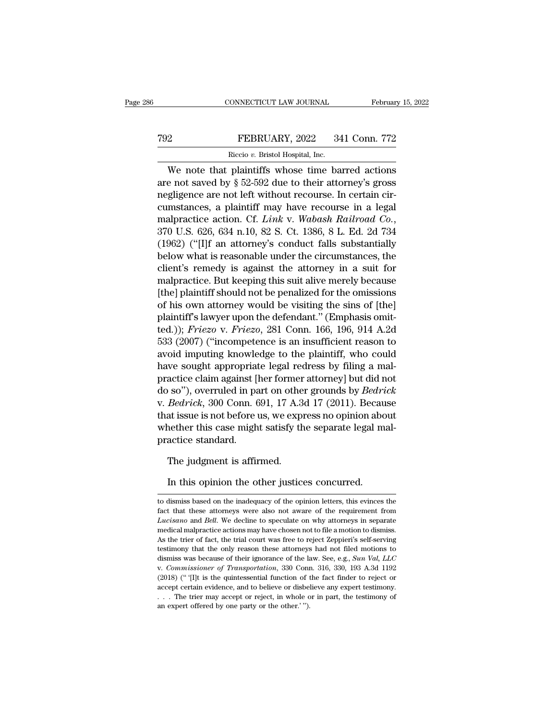### EXECUTE CONNECTICUT LAW JOURNAL February 15, 2022<br>
FEBRUARY, 2022 341 Conn. 772<br>
Riccio v. Bristol Hospital, Inc. FEBRUARY, 2022<br>FEBRUARY, 2022<br>Riccio *v.* Bristol Hospital, Inc.<br>plaintiffs whose time ba

CONNECTICUT LAW JOURNAL February 15, 2022<br>
PEBRUARY, 2022 341 Conn. 772<br>
Riccio v. Bristol Hospital, Inc.<br>
We note that plaintiffs whose time barred actions<br>
e not saved by § 52-592 due to their attorney's gross THE THE THE NUARY, 2022 341 Conn. 772<br>
Riccio v. Bristol Hospital, Inc.<br>
We note that plaintiffs whose time barred actions<br>
are not saved by § 52-592 due to their attorney's gross<br>
regligence are not left without recourse. Term Terms and Terms are not saved by  $\S 52-592$  due to their attorney's gross<br>negligence are not left without recourse. In certain cir-<br>cumstances, a plaintiff may have recourse in a legal<br>malmetian estion. Of Lighty, Wa FEBRUARY, 2022 341 Conn. 772<br>
Riccio v. Bristol Hospital, Inc.<br>
We note that plaintiffs whose time barred actions<br>
are not saved by § 52-592 due to their attorney's gross<br>
negligence are not left without recourse. In cert Riccio v. Bristol Hospital, Inc.<br>We note that plaintiffs whose time barred actions<br>are not saved by § 52-592 due to their attorney's gross<br>negligence are not left without recourse. In certain cir-<br>cumstances, a plaintiff m We note that plaintiffs whose time barred actions<br>are not saved by  $\S$  52-592 due to their attorney's gross<br>negligence are not left without recourse. In certain cir-<br>cumstances, a plaintiff may have recourse in a legal<br>ma are not saved by § 52-592 due to their attorney's gross<br>negligence are not left without recourse. In certain cir-<br>cumstances, a plaintiff may have recourse in a legal<br>malpractice action. Cf. *Link* v. *Wabash Railroad Co.* negligence are not left without recourse. In certain circumstances, a plaintiff may have recourse in a legal<br>malpractice action. Cf. *Link* v. *Wabash Railroad Co.*,<br>370 U.S. 626, 634 n.10, 82 S. Ct. 1386, 8 L. Ed. 2d 734<br> cumstances, a plaintiff may have recourse in a legal<br>malpractice action. Cf. *Link* v. *Wabash Railroad Co.*,<br>370 U.S. 626, 634 n.10, 82 S. Ct. 1386, 8 L. Ed. 2d 734<br>(1962) ("[I]f an attorney's conduct falls substantially<br> malpractice action. Cf. *Link* v. *Wabash Railroad Co.*,<br>370 U.S. 626, 634 n.10, 82 S. Ct. 1386, 8 L. Ed. 2d 734<br>(1962) ("[I]f an attorney's conduct falls substantially<br>below what is reasonable under the circumstances, th  $370$  U.S. 626, 634 n.10, 82 S. Ct. 1386, 8 L. Ed. 2d 734<br>(1962) ("[I]f an attorney's conduct falls substantially<br>below what is reasonable under the circumstances, the<br>client's remedy is against the attorney in a suit for (1962) ("[1]f an attorney's conduct falls substantially<br>below what is reasonable under the circumstances, the<br>client's remedy is against the attorney in a suit for<br>malpractice. But keeping this suit alive merely because<br>[ below what is reasonable under the circumstances, the<br>client's remedy is against the attorney in a suit for<br>malpractice. But keeping this suit alive merely because<br>[the] plaintiff should not be penalized for the omissions<br> client's remedy is against the attorney in a suit for<br>malpractice. But keeping this suit alive merely because<br>[the] plaintiff should not be penalized for the omissions<br>of his own attorney would be visiting the sins of [the malpractice. But keeping this suit alive merely because<br>[the] plaintiff should not be penalized for the omissions<br>of his own attorney would be visiting the sins of [the]<br>plaintiff's lawyer upon the defendant." (Emphasis om [the] plaintiff should not be penalized for the omissions<br>of his own attorney would be visiting the sins of [the]<br>plaintiff's lawyer upon the defendant." (Emphasis omit-<br>ted.)); *Friezo* v. *Friezo*, 281 Conn. 166, 196, 9 of his own attorney would be visiting the sins of [the]<br>plaintiff's lawyer upon the defendant." (Emphasis omit-<br>ted.)); *Friezo* v. *Friezo*, 281 Conn. 166, 196, 914 A.2d<br>533 (2007) ("incompetence is an insufficient reaso plaintiff's lawyer upon the defendant." (Emphasis omit-<br>ted.)); *Friezo v. Friezo*, 281 Conn. 166, 196, 914 A.2d<br>533 (2007) ("incompetence is an insufficient reason to<br>avoid imputing knowledge to the plaintiff, who could<br>h ted.)); *Friezo* v. *Friezo*, 281 Conn. 166, 196, 914 A.2d<br>533 (2007) ("incompetence is an insufficient reason to<br>avoid imputing knowledge to the plaintiff, who could<br>have sought appropriate legal redress by filing a mal-<br> 533 (2007) ("incompetence is an insufficient reason to<br>avoid imputing knowledge to the plaintiff, who could<br>have sought appropriate legal redress by filing a mal-<br>practice claim against [her former attorney] but did not<br>do avoid imputing knowledge to the plaintiff, who could<br>have sought appropriate legal redress by filing a mal-<br>practice claim against [her former attorney] but did not<br>do so"), overruled in part on other grounds by *Bedrick*<br> have sought appropriat<br>practice claim against []<br>do so"), overruled in pa<br>v. *Bedrick*, 300 Conn. 6<br>that issue is not before i<br>whether this case migh<br>practice standard.<br>The iudgment is affir  $(9 \text{ s})$ , overruled in part on othe<br>*Bedrick*, 300 Conn. 691, 17 A.3<br>at issue is not before us, we exprese ther this case might satisfy the<br>actice standard.<br>The judgment is affirmed.<br>In this opinion the other justice In this opinion the other justices concurred.<br>In this order this case might satisfy the separate legal m<br>actice standard.<br>The judgment is affirmed.<br>In this opinion the other justices concurred.

The judgment is affirmed.<br>In this opinion the other justices concurred.<br>to dismiss based on the inadequacy of the opinion letters, this evinces the<br>fact that these attorneys were also not aware of the requirement from The judgment is affirmed.<br>In this opinion the other justices concurred.<br>to dismiss based on the inadequacy of the opinion letters, this evinces the<br>fact that these attorneys were also not aware of the requirement from<br>Luci In this opinion the other justices concurred.<br> *Lucisano* and *Bell*. We decline to speculate on why attorneys in separate medical malpractice actions may have chosen not to file a motion to dismiss. In this opinion the other justices concurred.<br>to dismiss based on the inadequacy of the opinion letters, this evinces the<br>fact that these attorneys were also not aware of the requirement from<br>*Lucisano* and *Bell*. We decl The trial oppricial criter outer Judities:<br>
to dismiss based on the inadequacy of the opinion letters, this evinces the<br>
fact that these attorneys were also not aware of the requirement from<br> *Lucisano* and *Bell*. We decl to dismiss based on the inadequacy of the opinion letters, this evinces the fact that these attorneys were also not aware of the requirement from *Lucisano* and *Bell*. We decline to speculate on why attorneys in separate fact that these attorneys were also not aware of the requirement from *Lucisano* and *Bell*. We decline to speculate on why attorneys in separate medical malpractice actions may have chosen not to file a motion to dismiss. *Lucisano* and *Bell.* We decline to speculate on why attorneys in separate medical malpractice actions may have chosen not to file a motion to dismiss. As the trier of fact, the trial court was free to reject Zeppieri's s medical malpractice actions may have chosen not to file a motion to dismiss.<br>As the trier of fact, the trial court was free to reject Zeppieri's self-serving<br>testimony that the only reason these attorneys had not filed mo As the trier of fact, the trial court was free to reject Zeppieri's self-serving that the only reason these attorneys had not filed motions to dismiss was because of their ignorance of the law. See, e.g., *Sun Val*, *LLC* testimony that the only reason these attorneys had not filed motions to dismiss was because of their ignorance of the law. See, e.g., *Sun Val*, *LLC* v. *Commissioner of Transportation*, 330 Conn. 316, 330, 193 A.3d 1192 dismiss was because of their ignorance of the law. See, e.g., Sun Val, LLC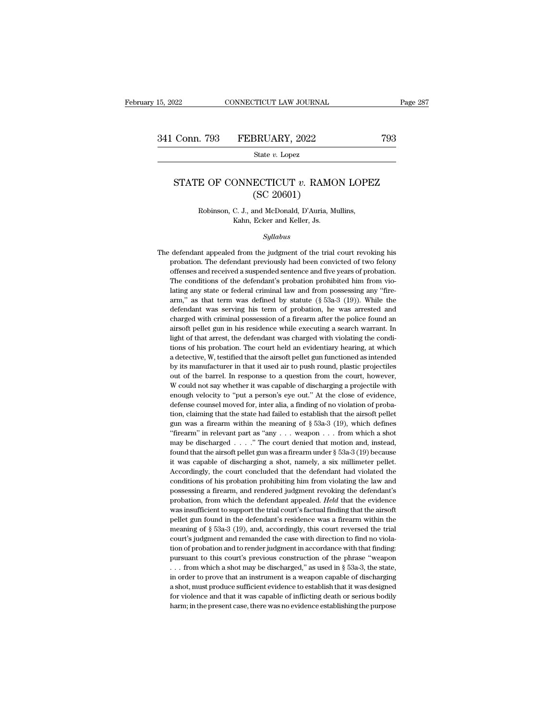State *v.* Lopez

### Conn. 793 FEBRUARY, 2022 793<br>
State *v*. Lopez<br>
STATE OF CONNECTICUT *v*. RAMON LOPEZ<br>
(SC 20601) SRUARY, 2022<br>
State v. Lopez<br>
ECTICUT v. RAMC<br>
(SC 20601)<br>
and McDonald, D'Auria, M E OF CONNECTICUT v. RAMON LOPE<br>
(SC 20601)<br>
Robinson, C. J., and McDonald, D'Auria, Mullins,<br>
Kahn, Ecker and Keller, Js.  $\begin{array}{ll} \text{ONNECTICUT} \textit{v. RAMC} \ \text{(SC 20601)} \ \text{C. J., and McDonald, D'Auria, M-Kahn, Ecker and Keller, JS.} \ \textit{Sultabus} \end{array}$

*Syllabus*

Robinson, C. J., and McDonald, D'Auria, Mullins,<br>Kahn, Ecker and Keller, Js.<br>Syllabus<br>The defendant appealed from the judgment of the trial court revoking his<br>probation. The defendant previously had been convicted of two f Robinson, C. J., and McDonald, D'Auria, Mullins,<br>Kahn, Ecker and Keller, Js.<br>Syllabus<br>defendant appealed from the judgment of the trial court revoking his<br>probation. The defendant previously had been convicted of two felon Kahn, Ecker and Keller, Js.<br>
Syllabus<br>
defendant appealed from the judgment of the trial court revoking his<br>
probation. The defendant previously had been convicted of two felony<br>
offenses and received a suspended sentence Syllabus<br>defendant appealed from the judgment of the trial court revoking his<br>probation. The defendant previously had been convicted of two felony<br>offenses and received a suspended sentence and five years of probation.<br>The *Sylabus*<br>defendant appealed from the judgment of the trial court revoking his<br>probation. The defendant previously had been convicted of two felony<br>offenses and received a suspended sentence and five years of probation.<br>Th defendant appealed from the judgment of the trial court revoking his<br>probation. The defendant previously had been convicted of two felony<br>offenses and received a suspended sentence and five years of probation.<br>The conditio probation. The defendant previously had been convicted of two felony<br>offenses and received a suspended sentence and five years of probation.<br>The conditions of the defendant's probation prohibited him from vio-<br>lating any s potenses and received a suspended sentence and five years of probation.<br>The conditions of the defendant's probation prohibited him from violating any state or federal criminal law and from possessing any "fire-<br>arm," as th The conditions of the defendant's probation prohibited him from violating any state or federal criminal law and from possessing any "fire-<br>arm," as that term was defined by statute  $(\S$  53a-3 (19)). While the<br>defendant wa lating any state or federal criminal law and from possessing any "fire-<br>arm," as that term was defined by statute  $(\S$  53a-3  $(19)$ ). While the<br>defendant was serving his term of probation, he was arrested and<br>charged with arm," as that term was defined by statute  $(\S$  53a-3 (19)). While the defendant was serving his term of probation, he was arrested and charged with criminal possession of a firearm after the police found an airsoft pellet defendant was serving his term of probation, he was arrested and charged with criminal possession of a firearm after the police found an airsoft pellet gun in his residence while executing a search warrant. In light of tha charged with criminal possession of a firearm after the police found an airsoft pellet gun in his residence while executing a search warrant. In light of that arrest, the defendant was charged with violating the conditions airsoft pellet gun in his residence while executing a search warrant. In light of that arrest, the defendant was charged with violating the conditions of his probation. The court held an evidentiary hearing, at which a det light of that arrest, the defendant was charged with violating the conditions of his probation. The court held an evidentiary hearing, at which a detective, W, testified that the airsoft pellet gun functioned as intended b right on the and the court held an evidentiary hearing, at which inductions of his probation. The court held an evidentiary hearing, at which a detective, W, testified that the airsoft pellet gun functioned as intended by tions of his probation. The court held an evidentiary hearing, at which a detective, W, testified that the airsoft pellet gun functioned as intended by its manufacturer in that it used air to push round, plastic projectil the state of the barrel in that it used air to push round, plastic projectiles<br>out of the barrel. In response to a question from the court, however,<br>W could not say whether it was capable of discharging a projectile with<br> gun was a firearm within the meaning of § 53a-3 (19), which defines "frequency" would not say whether it was capable of discharging a projectile with enough velocity to "put a person's eye out." At the close of evidence, W could not say whether it was capable of discharging a projectile with enough velocity to "put a person's eye out." At the close of evidence, defense counsel moved for, inter alia, a finding of no violation of probation, enough velocity to "put a person's eye out." At the close of evidence, defense counsel moved for, inter alia, a finding of no violation of probation, claiming that the state had failed to establish that the airsoft pellet defense counsel moved for, inter alia, a finding of no violation of probation, claiming that the state had failed to establish that the airsoft pellet gun was a firearm within the meaning of § 53a-3 (19), which defines "f tion, claiming that the state had failed to establish that the airsoft pellet gun was a firearm within the meaning of  $\S$  53a-3 (19), which defines "firearm" in relevant part as "any . . . weapon . . . from which a shot m gun was a firearm within the meaning of  $\S$  53a-3 (19), which defines "firearm" in relevant part as "any . . . weapon . . . from which a shot may be discharged . . . ." The court denied that motion and, instead, found tha "firearm" in relevant part as "any  $\dots$  weapon  $\dots$  from which a shot may be discharged  $\dots$ ." The court denied that motion and, instead, found that the airsoft pellet gun was a firearm under  $\S$  53a-3 (19) because it was may be discharged  $\ldots$ ." The court denied that motion and, instead, found that the airsoft pellet gun was a firearm under  $\S$  53a-3 (19) because it was capable of discharging a shot, namely, a six millimeter pellet. Acco found that the airsoft pellet gun was a firearm under § 53a-3 (19) because<br>it was capable of discharging a shot, namely, a six millimeter pellet.<br>Accordingly, the court concluded that the defendant had violated the<br>conditi it was capable of discharging a shot, namely, a six millimeter pellet.<br>Accordingly, the court concluded that the defendant had violated the<br>conditions of his probation prohibiting him from violating the law and<br>possessing Accordingly, the court concluded that the defendant had violated the conditions of his probation prohibiting him from violating the law and possessing a firearm, and rendered judgment revoking the defendant's probation, f conditions of his probation prohibiting him from violating the law and possessing a firearm, and rendered judgment revoking the defendant's probation, from which the defendant appealed. *Held* that the evidence was insuff conditions of his probation prohibiting him from violating the law and possessing a firearm, and rendered judgment revoking the defendant's probation, from which the defendant appealed. *Held* that the evidence was insuff probation, from which the defendant appealed. *Held* that the evidence was insufficient to support the trial court's factual finding that the airsoft pellet gun found in the defendant's residence was a firearm within the m was insufficient to support the trial court's factual finding that the airsoft<br>pellet gun found in the defendant's residence was a firearm within the<br>meaning of  $\S$  53a-3 (19), and, accordingly, this court reversed the tr pellet gun found in the defendant's residence was a firearm within the meaning of § 53a-3 (19), and, accordingly, this court reversed the trial court's judgment and remanded the case with direction to find no violation of meaning of § 53a-3 (19), and, accordingly, this court reversed the trial court's judgment and remanded the case with direction to find no violation of probation and to render judgment in accordance with that finding: purs court's judgment and remanded the case with direction to find no violation of probation and to render judgment in accordance with that finding:<br>pursuant to this court's previous construction of the phrase "weapon<br>... from tion of probation and to render judgment in accordance with that finding:<br>pursuant to this court's previous construction of the phrase "weapon<br>... from which a shot may be discharged," as used in  $\S$  53a-3, the state,<br>in pursuant to this court's previous construction of the phrase "weapon ... from which a shot may be discharged," as used in  $\S$  53a-3, the state, in order to prove that an instrument is a weapon capable of discharging a sho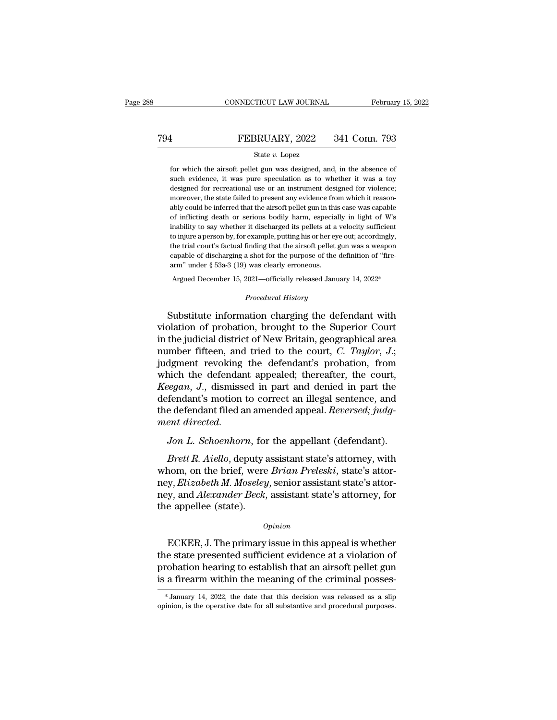### State *v.* Lopez

FEBRUARY, 2022 341 Conn. 793<br>
State v. Lopez<br>
for which the airsoft pellet gun was designed, and, in the absence of<br>
such evidence, it was pure speculation as to whether it was a toy FEBRUARY, 2022 341 Conn. 793<br>
State v. Lopez<br>
for which the airsoft pellet gun was designed, and, in the absence of<br>
such evidence, it was pure speculation as to whether it was a toy<br>
designed for recreational use or an in FEBRUARY, 2022 341 Conn. 793<br>
State v. Lopez<br>
for which the airsoft pellet gun was designed, and, in the absence of<br>
such evidence, it was pure speculation as to whether it was a toy<br>
designed for recreational use or an in State  $v$ . Lopez<br>for which the airsoft pellet gun was designed, and, in the absence of<br>such evidence, it was pure speculation as to whether it was a toy<br>designed for recreational use or an instrument designed for violence State v. Lopez<br>
for which the airsoft pellet gun was designed, and, in the absence of<br>
such evidence, it was pure speculation as to whether it was a toy<br>
designed for recreational use or an instrument designed for violence for which the airsoft pellet gun was designed, and, in the absence of such evidence, it was pure speculation as to whether it was a toy designed for recreational use or an instrument designed for violence; moreover, the st such evidence, it was pure speculation as to whether it was a toy designed for recreational use or an instrument designed for violence; moreover, the state failed to present any evidence from which it reasonably could be i designed for recreational use or an instrument designed for violence;<br>moreover, the state failed to present any evidence from which it reason-<br>ably could be inferred that the airsoft pellet gun in this case was capable<br>of moreover, the state failed to present any evidence from which it reasonably could be inferred that the airsoft pellet gun in this case was capable of inflicting death or serious bodily harm, especially in light of W's inab moreover, the state failed to present any evidence from which it reasonably could be inferred that the airsoft pellet gun in this case was capable of inflicting death or serious bodily harm, especially in light of W's ina arm of inflicting death or serious bodily harm, especial inability to say whether it discharged its pellets at a to injure a person by, for example, putting his or her eye the trial court's factual finding that the airsof nability to say whether it discharged its pellets at a velocity sufficient<br>o injure a person by, for example, putting his or her eye out; accordingly,<br>he trial court's factual finding that the airsoft pellet gun was a weap Finding that the airsoft pellet guass a shot for the purpose of the de vasa clearly erroneous.<br> **Procedural History**<br> **Procedural History** the trial court's factual finding that the airsoft pellet gun was a weapon<br>capable of discharging a shot for the purpose of the definition of "fire-<br>arm" under § 53a-3 (19) was clearly erroneous.<br>Argued December 15, 2021—o

capable of discharging a shot for the purpose of the definition of "fire-<br>arm" under § 53a-3 (19) was clearly erroneous.<br>Argued December 15, 2021—officially released January 14, 2022\*<br> $Procedural History$ <br>Substitute information chargi arm" under § 53a-3 (19) was clearly erroneous.<br>
Argued December 15, 2021—officially released January 14, 2022\*<br>
Procedural History<br>
Substitute information charging the defendant with<br>
violation of probation, brought to the Argued December 15, 2021—officially released January 14, 2022\*<br> *Procedural History*<br>
Substitute information charging the defendant with<br>
violation of probation, brought to the Superior Court<br>
in the judicial district of N Frocedural History<br>Substitute information charging the defendant with<br>violation of probation, brought to the Superior Court<br>in the judicial district of New Britain, geographical area<br>number fifteen, and tried to the court, Substitute information charging the defendant with<br>violation of probation, brought to the Superior Court<br>in the judicial district of New Britain, geographical area<br>number fifteen, and tried to the court, C. Taylor, J.;<br>ju Substitute information charging the defendant with<br>violation of probation, brought to the Superior Court<br>in the judicial district of New Britain, geographical area<br>number fifteen, and tried to the court, *C. Taylor*, *J.*; violation of probation, brought to the Superior Court<br>in the judicial district of New Britain, geographical area<br>number fifteen, and tried to the court, *C. Taylor*, *J.*;<br>judgment revoking the defendant's probation, from in the judicial district of New Britain, geographical area<br>number fifteen, and tried to the court, *C. Taylor*, *J*.;<br>judgment revoking the defendant's probation, from<br>which the defendant appealed; thereafter, the court,<br> *number fifteen, and*<br>*judgment revoking*<br>which the defendan<br>*Keegan, J.*, dismisse<br>defendant's motion t<br>the defendant filed a<br>*ment directed.*<br>Jon L. Schoenhorn *Jon L. Schoenhorn*, for the appellant (defendant).<br>*Jon L. Schoenhorn*, for the appellant (defendant).<br>*Jon L. Schoenhorn*, for the appellant (defendant).<br>*Jon L. Schoenhorn*, for the appellant (defendant).<br>*Brett R. Aiel Bretan, J.*, dismissed in part and denied in part the<br>fendant's motion to correct an illegal sentence, and<br>e defendant filed an amended appeal. *Reversed*; *judg-*<br>*Brett R. Aiello*, deputy assistant state's attorney, wit

defendant's motion to correct an illegal sentence, and<br>the defendant filed an amended appeal. *Reversed*; judg-<br>ment directed.<br>Jon L. Schoenhorn, for the appellant (defendant).<br>Brett R. Aiello, deputy assistant state's att the defendant filed an amended appeal. *Reversed; judgment directed.*<br> *Jon L. Schoenhorn*, for the appellant (defendant).<br> *Brett R. Aiello*, deputy assistant state's attorney, with<br>
whom, on the brief, were *Brian Preles* ment directed.<br>Jon L. Schoenhorn, for the appellant (defendant).<br>Brett R. Aiello, deputy assistant state's attorney, with<br>whom, on the brief, were Brian Preleski, state's attor-<br>ney, Elizabeth M. Moseley, senior assistant Jon L. Schoenhorn, for<br>Brett R. Aiello, deputy a<br>whom, on the brief, were<br>ney, Elizabeth M. Moseley<br>ney, and Alexander Beck,<br>the appellee (state). nom, on the brief, were *Brian Preleski*, state's attor-<br>y, *Elizabeth M. Moseley*, senior assistant state's attor-<br>y, and *Alexander Beck*, assistant state's attorney, for<br>e appellee (state).<br> $opinion$ <br>ECKER, J. The primary is

### *Opinion*

the state state state is attorney, *Elizabeth M. Moseley*, senior assistant state's attorney, for<br>the appellee (state).<br>*Opinion*<br>ECKER, J. The primary issue in this appeal is whether<br>the state presented sufficient evidenc probation and *Alexander Beck*, assistant state's attorney, for<br>the appellee (state).<br> $opinion$ <br>ECKER, J. The primary issue in this appeal is whether<br>the state presented sufficient evidence at a violation of<br>probation hearing t *Opinion*<br>  $Opinion$ <br>
ECKER, J. The primary issue in this appeal is whether<br>
the state presented sufficient evidence at a violation of<br>
probation hearing to establish that an airsoft pellet gun<br>
is a firearm within the meanin the state presented sufficient evidence at a violation of probation hearing to establish that an airsoft pellet gun is a firearm within the meaning of the criminal posses-<br>\*January 14, 2022, the date that this decision was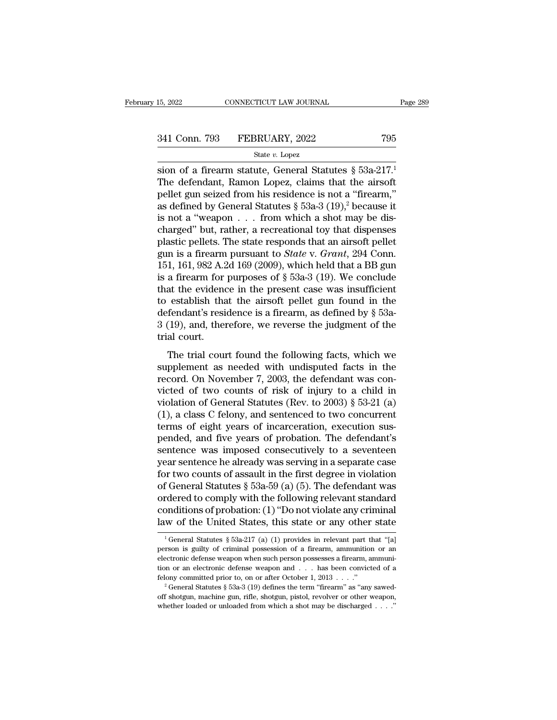### State *v.* Lopez

15, 2022 CONNECTICUT LAW JOURNAL Page 28<br>
341 Conn. 793 FEBRUARY, 2022 795<br>  $\frac{\text{State } v. \text{ Lopez}}{2}$ <br>
sion of a firearm statute, General Statutes § 53a-217.<sup>1</sup><br>
The defendant, Ramon Lopez, claims that the airsoft<br>
mollet gun s 341 Conn. 793 FEBRUARY, 2022 795<br>
State v. Lopez<br>
State v. Lopez<br>
State v. Lopez<br>
The defendant, Ramon Lopez, claims that the airsoft<br>
pellet gun seized from his residence is not a "firearm,"<br>
as defined by General Statut 341 Conn. 793 FEBRUARY, 2022 795<br>
State v. Lopez<br>
State v. Lopez<br>
State v. Lopez<br>
State v. Lopez<br>
The defendant, Ramon Lopez, claims that the airsoft<br>
pellet gun seized from his residence is not a "firearm,"<br>
as defined b 341 Conn. 793 FEBRUARY, 2022 795<br>
State v. Lopez<br>
State v. Lopez<br>
State v. Lopez<br>
Statutes § 53a-217.<sup>1</sup><br>
The defendant, Ramon Lopez, claims that the airsoft<br>
pellet gun seized from his residence is not a "firearm,"<br>
as d State v. Lopez<br>
sion of a firearm statute, General Statutes § 53a-217.<sup>1</sup><br>
The defendant, Ramon Lopez, claims that the airsoft<br>
pellet gun seized from his residence is not a "firearm,"<br>
as defined by General Statutes § 53 sion of a firearm statute, General Statutes § 53a-217.<sup>1</sup><br>The defendant, Ramon Lopez, claims that the airsoft<br>pellet gun seized from his residence is not a "firearm,"<br>as defined by General Statutes § 53a-3 (19),<sup>2</sup> becaus sion of a firearm statute, General Statutes § 53a-217.<sup>1</sup><br>The defendant, Ramon Lopez, claims that the airsoft<br>pellet gun seized from his residence is not a "firearm,"<br>as defined by General Statutes § 53a-3 (19),<sup>2</sup> becaus The defendant, Ramon Lopez, claims that the airsoft<br>pellet gun seized from his residence is not a "firearm,"<br>as defined by General Statutes  $\S$  53a-3 (19),<sup>2</sup> because it<br>is not a "weapon . . . from which a shot may be dis pellet gun seized from his residence is not a "firearm,"<br>as defined by General Statutes § 53a-3 (19),<sup>2</sup> because it<br>is not a "weapon . . . from which a shot may be dis-<br>charged" but, rather, a recreational toy that dispen as defined by General Statutes  $\S$  53a-3 (19),<sup>2</sup> because it<br>is not a "weapon . . . from which a shot may be dis-<br>charged" but, rather, a recreational toy that dispenses<br>plastic pellets. The state responds that an airsoft is not a "weapon . . . from which a shot may be dis-<br>charged" but, rather, a recreational toy that dispenses<br>plastic pellets. The state responds that an airsoft pellet<br>gun is a firearm pursuant to *State* v. *Grant*, 294 charged" but, rather, a recreational toy that dispenses<br>plastic pellets. The state responds that an airsoft pellet<br>gun is a firearm pursuant to *State* v. *Grant*, 294 Conn.<br>151, 161, 982 A.2d 169 (2009), which held that plastic pellets. The state responds that an airsoft pellet<br>gun is a firearm pursuant to *State* v. *Grant*, 294 Conn.<br>151, 161, 982 A.2d 169 (2009), which held that a BB gun<br>is a firearm for purposes of § 53a-3 (19). We c gun is a firearm pursuant to *State* v. *Grant*, 294 Conn.<br>151, 161, 982 A.2d 169 (2009), which held that a BB gun<br>is a firearm for purposes of § 53a-3 (19). We conclude<br>that the evidence in the present case was insuffici 151, 161, 982 A.2<br>is a firearm for<br>that the evidend<br>to establish tha<br>defendant's resi<br>3 (19), and, the<br>trial court.<br>The trial cour at the evidence in the present case was insufficient<br>at the evidence in the present case was insufficient<br>establish that the airsoft pellet gun found in the<br>fendant's residence is a firearm, as defined by § 53a-<br>(19), and supplement as needed with undisputed facts in the record of two counts of risk of intervals and the record. On November 7, 2003, the defendant was convicted of two counts of risk of injury to a child in

defendant's residence is a firearm, as defined by § 53a-<br>3 (19), and, therefore, we reverse the judgment of the<br>trial court.<br>The trial court found the following facts, which we<br>supplement as needed with undisputed facts i 3 (19), and, therefore, we reverse the judgment of the<br>trial court.<br>The trial court found the following facts, which we<br>supplement as needed with undisputed facts in the<br>record. On November 7, 2003, the defendant was con-First trial court.<br>The trial court found the following facts, which we<br>supplement as needed with undisputed facts in the<br>record. On November 7, 2003, the defendant was con-<br>victed of two counts of risk of injury to a chil The trial court found the following facts, which we supplement as needed with undisputed facts in the record. On November 7, 2003, the defendant was convicted of two counts of risk of injury to a child in violation of Gen The trial court found the following facts, which we<br>supplement as needed with undisputed facts in the<br>record. On November 7, 2003, the defendant was con-<br>victed of two counts of risk of injury to a child in<br>violation of G supplement as needed with undisputed facts in the<br>record. On November 7, 2003, the defendant was con-<br>victed of two counts of risk of injury to a child in<br>violation of General Statutes (Rev. to 2003) § 53-21 (a)<br>(1), a cla record. On November 7, 2003, the defendant was convicted of two counts of risk of injury to a child in violation of General Statutes (Rev. to 2003) § 53-21 (a) (1), a class C felony, and sentenced to two concurrent terms o victed of two counts of risk of injury to a child in<br>violation of General Statutes (Rev. to 2003) § 53-21 (a)<br>(1), a class C felony, and sentenced to two concurrent<br>terms of eight years of incarceration, execution sus-<br>pe violation of General Statutes (Rev. to 2003) § 53-21 (a)<br>(1), a class C felony, and sentenced to two concurrent<br>terms of eight years of incarceration, execution sus-<br>pended, and five years of probation. The defendant's<br>se (1), a class C felony, and sentenced to two concurrent<br>terms of eight years of incarceration, execution sus-<br>pended, and five years of probation. The defendant's<br>sentence was imposed consecutively to a seventeen<br>year sent terms of eight years of incarceration, execution sus-<br>pended, and five years of probation. The defendant's<br>sentence was imposed consecutively to a seventeen<br>year sentence he already was serving in a separate case<br>for two c pended, and five years of probation. The defendant's<br>sentence was imposed consecutively to a seventeen<br>year sentence he already was serving in a separate case<br>for two counts of assault in the first degree in violation<br>of G sentence was imposed consecutively to a seventeen<br>year sentence he already was serving in a separate case<br>for two counts of assault in the first degree in violation<br>of General Statutes § 53a-59 (a) (5). The defendant was<br> 1 General Statutes § 53a-59 (a) (5). The derendant was<br>rdered to comply with the following relevant standard<br>ponditions of probation: (1) "Do not violate any criminal<br>w of the United States, this state or any other state<br> ordered to comply with the following relevant standard<br>conditions of probation: (1) "Do not violate any criminal<br>law of the United States, this state or any other state<br> $\frac{1}{1}$ General Statutes § 53a-217 (a) (1) provides

conditions of probation: (1) "Do not violate any criminal<br>law of the United States, this state or any other state<br> $\frac{1}{1}$ General Statutes § 53a-217 (a) (1) provides in relevant part that "[a]<br>person is guilty of crimina law of the United States, this state or any other state  $\frac{1}{1}$  General Statutes § 53a-217 (a) (1) provides in relevant part that "[a] person is guilty of criminal possession of a firearm, ammunition or an electronic de Felony committed prior to, on or after or any other state of a freezen is guilty of criminal possession of a firearm, ammunition or an electronic defense weapon when such person possesses a firearm, ammunition or an elect person is guilty of criminal possession of a firearm, ammunition or an electronic defense weapon when such person possesses a firearm, ammunition or an electronic defense weapon and . . . has been convicted of a felony co electronic defense weapon when such person possesses a firearm, ammuni-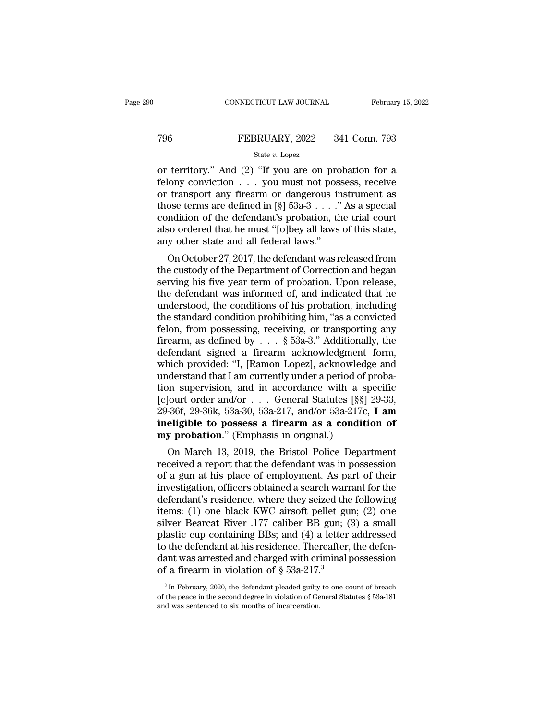# CONNECTICUT LAW JOURNAL February 15, 2022<br>
T96 FEBRUARY, 2022 341 Conn. 793<br>
State v. Lopez

### State *v.* Lopez

CONNECTICUT LAW JOURNAL February 15, 2022<br>
T96 FEBRUARY, 2022 341 Conn. 793<br>
State v. Lopez<br>
or territory." And (2) "If you are on probation for a<br>
felony conviction . . . you must not possess, receive<br>
or transport any fi FEBRUARY, 2022 341 Conn. 793<br>
State v. Lopez<br>
or territory." And (2) "If you are on probation for a<br>
felony conviction . . . you must not possess, receive<br>
or transport any firearm or dangerous instrument as<br>
those terms The Technomics of the defendant's probation the trial condition of the defendant's probation the trial condition of the defendant's probation the trial condition of the defendant's probation the trial court those terms are defined in [§] 53a-3 . . . .'' As a special State v. Lopez<br>
or territory." And (2) "If you are on probation for a<br>
felony conviction . . . you must not possess, receive<br>
or transport any firearm or dangerous instrument as<br>
those terms are defined in [§] 53a-3 . . . state v. Lopez<br>or territory." And (2) "If you are on probation for a<br>felony conviction . . . you must not possess, receive<br>or transport any firearm or dangerous instrument as<br>those terms are defined in [§] 53a-3 . . . ." or territory." And  $(2)$  "If you are on profelony conviction . . . you must not pos<br>or transport any firearm or dangerous in<br>those terms are defined in  $[\S]$  53a-3 . . . ."<br>condition of the defendant's probation, th<br>also only conviction  $\ldots$  you must not possess, receive<br>transport any firearm or dangerous instrument as<br>ose terms are defined in [§] 53a-3  $\ldots$ ." As a special<br>ndition of the defendant's probation, the trial court<br>so ordered of transport any firearm of dangerous instrument as<br>those terms are defined in [§]  $53a-3...$ ." As a special<br>condition of the defendant's probation, the trial court<br>also ordered that he must "[o]bey all laws of this state,<br>

shows terms are defined in [8]  $35a-3...$  As a special condition of the defendant's probation, the trial court also ordered that he must "[o]bey all laws of this state, any other state and all federal laws."<br>On October 27, condition of the defendant s probation, the trial court<br>also ordered that he must "[o]bey all laws of this state,<br>any other state and all federal laws."<br>On October 27, 2017, the defendant was released from<br>the custody of t also ordered that he must [o]bey an laws of this state,<br>any other state and all federal laws."<br>On October 27, 2017, the defendant was released from<br>the custody of the Department of Correction and began<br>serving his five yea In the state and an lederal raws.<br>
On October 27, 2017, the defendant was released from<br>
the custody of the Department of Correction and began<br>
serving his five year term of probation. Upon release,<br>
the defendant was inf On October 27, 2017, the defendant was released from<br>the custody of the Department of Correction and began<br>serving his five year term of probation. Upon release,<br>the defendant was informed of, and indicated that he<br>unders the custody of the Department of Correction and began<br>serving his five year term of probation. Upon release,<br>the defendant was informed of, and indicated that he<br>understood, the conditions of his probation, including<br>the s serving his five year term of probation. Upon release,<br>the defendant was informed of, and indicated that he<br>understood, the conditions of his probation, including<br>the standard condition prohibiting him, "as a convicted<br>fe the defendant was informed of, and indicated that he<br>understood, the conditions of his probation, including<br>the standard condition prohibiting him, "as a convicted<br>felon, from possessing, receiving, or transporting any<br>fi understood, the conditions of his probation, including<br>the standard condition prohibiting him, "as a convicted<br>felon, from possessing, receiving, or transporting any<br>firearm, as defined by  $\ldots$  § 53a-3." Additionally, th the standard condition prohibiting him, "as a convicted<br>felon, from possessing, receiving, or transporting any<br>firearm, as defined by  $\ldots$  § 53a-3." Additionally, the<br>defendant signed a firearm acknowledgement form,<br>whic felon, from possessing, receiving, or transporting any<br>firearm, as defined by . . . § 53a-3." Additionally, the<br>defendant signed a firearm acknowledgment form,<br>which provided: "I, [Ramon Lopez], acknowledge and<br>understand firearm, as defined by . . . § 53a-3." Additionally, the<br>defendant signed a firearm acknowledgment form,<br>which provided: "I, [Ramon Lopez], acknowledge and<br>understand that I am currently under a period of proba-<br>tion super defendant signed a firearm acknowledgment form,<br>which provided: "I, [Ramon Lopez], acknowledge and<br>understand that I am currently under a period of proba-<br>tion supervision, and in accordance with a specific<br>[c]ourt order a which provided: "I, [Ramon Lopez], acknowled;<br>understand that I am currently under a period of<br>tion supervision, and in accordance with a s<sub>[C</sub>]<br>ourt order and/or . . . General Statutes [§§]<br>29-36f, 29-36k, 53a-30, 53a-217 derstand that I am currently under a period of proba-<br>
n supervision, and in accordance with a specific<br>
[ourt order and/or . . . General Statutes [§§] 29-33,<br>
-36f, 29-36k, 53a-30, 53a-217, and/or 53a-217c, **I am**<br> **eligi** received a report of a given a received a report of a given a report of a given and  $\frac{1}{2}$  and  $\frac{1}{2}$  and  $\frac{1}{2}$  and  $\frac{1}{2}$  and  $\frac{1}{2}$  and  $\frac{1}{2}$  and  $\frac{1}{2}$  and  $\frac{1}{2}$  and  $\frac{1}{2}$  and  $\frac{1}{2}$  a

point of a gun at his place of employment. As part of the defendant's residence where the defendant of a gun at his place of employment. As part of their investigation, officers obtained a search warrant for the defendant investigation, officers a stream as a condition of<br>my probation." (Emphasis in original.)<br>On March 13, 2019, the Bristol Police Department<br>received a report that the defendant was in possession<br>of a gun at his place of em mengione to possess a friearm as a condition of<br>my probation." (Emphasis in original.)<br>On March 13, 2019, the Bristol Police Department<br>received a report that the defendant was in possession<br>of a gun at his place of emplo Iny probation. (Emphasis in original.)<br>
On March 13, 2019, the Bristol Police Department<br>
received a report that the defendant was in possession<br>
of a gun at his place of employment. As part of their<br>
investigation, offic On March 13, 2019, the Bristol Police Department<br>received a report that the defendant was in possession<br>of a gun at his place of employment. As part of their<br>investigation, officers obtained a search warrant for the<br>defend received a report that the defendant was in possession<br>of a gun at his place of employment. As part of their<br>investigation, officers obtained a search warrant for the<br>defendant's residence, where they seized the following<br> of a gun at his place of employment. As part of their<br>investigation, officers obtained a search warrant for the<br>defendant's residence, where they seized the following<br>items: (1) one black KWC airsoft pellet gun; (2) one<br>s investigation, officers obtained a search warrant for the<br>defendant's residence, where they seized the following<br>items: (1) one black KWC airsoft pellet gun; (2) one<br>silver Bearcat River .177 caliber BB gun; (3) a small<br>p defendant's residence, where they seized the<br>items: (1) one black KWC airsoft pellet gu<br>silver Bearcat River .177 caliber BB gun; (<br>plastic cup containing BBs; and (4) a letter<br>to the defendant at his residence. Thereafte dastic cup containing BBs; and (4) a letter addressed<br>of the defendant at his residence. Thereafter, the defen-<br>ant was arrested and charged with criminal possession<br>f a firearm in violation of  $\S 53a-217.<sup>3</sup>$ <br> $\frac{3}{10$ to the defendant at his residence. Thereafter, the defendant was arrested and charged with criminal possession of a firearm in violation of  $\S 53a-217.^3$ <br><sup>3</sup> In February, 2020, the defendant pleaded guilty to one count of

of a firearm in violation of § 53a-217.<sup>3</sup><br>
<sup>3</sup>In February, 2020, the defendant pleaded guilty to one count of breach<br>
of the peace in the second degree in violation of General Statutes § 53a-181<br>
and was sentenced to six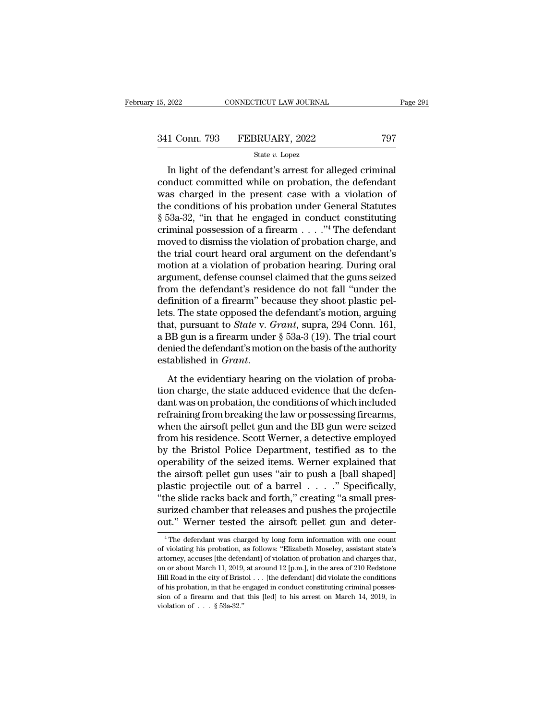Fage 2<br>
1 Conn. 793 FEBRUARY, 2022 797<br>
State v. Lopez<br>
In light of the defendant's arrest for alleged criminal<br>
nduct committed while on probation, the defendant 341 Conn. 793 FEBRUARY, 2022 797<br>
State v. Lopez<br>
In light of the defendant's arrest for alleged criminal<br>
conduct committed while on probation, the defendant<br>
was charged in the present case with a violation of<br>
the cond 341 Conn. 793 FEBRUARY, 2022 797<br>
State v. Lopez<br>
In light of the defendant's arrest for alleged criminal<br>
conduct committed while on probation, the defendant<br>
was charged in the present case with a violation of<br>
the cond 341 Conn. 793 FEBRUARY, 2022 797<br>
State v. Lopez<br>
In light of the defendant's arrest for alleged criminal<br>
conduct committed while on probation, the defendant<br>
was charged in the present case with a violation of<br>
the cond State v. Lopez<br>
State v. Lopez<br>
In light of the defendant's arrest for alleged criminal<br>
conduct committed while on probation, the defendant<br>
was charged in the present case with a violation of<br>
the conditions of his prob State v. Lopez<br>In light of the defendant's arrest for alleged criminal<br>conduct committed while on probation, the defendant<br>was charged in the present case with a violation of<br>the conditions of his probation under General In light of the defendant's arrest for alleged criminal<br>conduct committed while on probation, the defendant<br>was charged in the present case with a violation of<br>the conditions of his probation under General Statutes<br> $\S 53a$ conduct committed while on probation, the defendant<br>was charged in the present case with a violation of<br>the conditions of his probation under General Statutes<br> $§ 53a-32$ , "in that he engaged in conduct constituting<br>crimin was charged in the present case with a violation of<br>the conditions of his probation under General Statutes<br> $\S$  53a-32, "in that he engaged in conduct constituting<br>criminal possession of a firearm . . . ."<sup>4</sup> The defendant the conditions of his probation under General Statutes<br>
§ 53a-32, "in that he engaged in conduct constituting<br>
criminal possession of a firearm  $\dots$ ."<sup>4</sup> The defendant<br>
moved to dismiss the violation of probation charge,  $\S$  53a-32, "in that he engaged in conduct constituting<br>criminal possession of a firearm . . . ."<sup>4</sup> The defendant<br>moved to dismiss the violation of probation charge, and<br>the trial court heard oral argument on the defenda criminal possession of a firearm  $\ldots$  ."<sup>4</sup> The defendant<br>moved to dismiss the violation of probation charge, and<br>the trial court heard oral argument on the defendant's<br>motion at a violation of probation hearing. During moved to dismiss the violation of probation charge, and<br>the trial court heard oral argument on the defendant's<br>motion at a violation of probation hearing. During oral<br>argument, defense counsel claimed that the guns seized the trial court heard oral argument on the defendant's<br>motion at a violation of probation hearing. During oral<br>argument, defense counsel claimed that the guns seized<br>from the defendant's residence do not fall "under the<br>de motion at a violation of probation hearing. During oral<br>argument, defense counsel claimed that the guns seized<br>from the defendant's residence do not fall "under the<br>definition of a firearm" because they shoot plastic pel-<br> argument, defense counsel claimed that the guns seized<br>from the defendant's residence do not fall "under the<br>definition of a firearm" because they shoot plastic pel-<br>lets. The state opposed the defendant's motion, arguing<br> from the defendant's residence do not fall "under the definition of a firearm" because they shoot plastic pel-<br>lets. The state opposed the defendant's motion, arguing that, pursuant to *State* v. *Grant*, supra, 294 Conn. that, pursuant to *State v. Grant*, supra, 294 Conn. 161, a BB gun is a firearm under § 53a-3 (19). The trial court denied the defendant's motion on the basis of the authority established in *Grant*.<br>At the evidentiary hea

and, parsial was on proton, supplying 25 F conditions,<br>a BB gun is a firearm under § 53a-3 (19). The trial court<br>denied the defendant's motion on the basis of the authority<br>established in *Grant*.<br>At the evidentiary heari a BB gan is a fried in direct  $\frac{1}{3}$  sold  $\frac{1}{2}$  (19). The diameter denied the defendant's motion on the basis of the authority established in *Grant*.<br>At the evidentiary hearing on the violation of probation charge established in *Grant.*<br>At the evidentiary hearing on the violation of probation charge, the state adduced evidence that the defendant was on probation, the conditions of which included refraining from breaking the law or At the evidentiary hearing on the violation of probation charge, the state adduced evidence that the defendant was on probation, the conditions of which included refraining from breaking the law or possessing firearms, whe At the evidentiary hearing on the violation of probation charge, the state adduced evidence that the defendant was on probation, the conditions of which included refraining from breaking the law or possessing firearms, whe tion charge, the state adduced evidence that the defen-<br>dant was on probation, the conditions of which included<br>refraining from breaking the law or possessing firearms,<br>when the airsoft pellet gun and the BB gun were seize dant was on probation, the conditions of which included<br>refraining from breaking the law or possessing firearms,<br>when the airsoft pellet gun and the BB gun were seized<br>from his residence. Scott Werner, a detective employed refraining from breaking the law or possessing firearms,<br>when the airsoft pellet gun and the BB gun were seized<br>from his residence. Scott Werner, a detective employed<br>by the Bristol Police Department, testified as to the<br>o when the airsoft pellet gun and the BB gun were seized<br>from his residence. Scott Werner, a detective employed<br>by the Bristol Police Department, testified as to the<br>operability of the seized items. Werner explained that<br>the from his residence. Scott Werner, a detective employed<br>by the Bristol Police Department, testified as to the<br>operability of the seized items. Werner explained that<br>the airsoft pellet gun uses "air to push a [ball shaped]<br>p by the Bristol Police Department, testified as to the operability of the seized items. Werner explained that the airsoft pellet gun uses "air to push a [ball shaped] plastic projectile out of a barrel  $\ldots$  ." Specificall plastic projectile out of a barrel  $\ldots$  ." Specifically, "the slide racks back and forth," creating "a small pressurized chamber that releases and pushes the projectile out." Werner tested the airsoft pellet gun and dete "the slide racks back and forth," creating "a small pressurized chamber that releases and pushes the projectile<br>out." Werner tested the airsoft pellet gun and deter-<br><sup>4</sup>The defendant was charged by long form information wi

surized chamber that releases and pushes the projectile<br>out." Werner tested the airsoft pellet gun and deter-<br><sup>4</sup>The defendant was charged by long form information with one count<br>of violating his probation, as follows: "E out." Werner tested the airsoft pellet gun and deter-<br>
"The defendant was charged by long form information with one count<br>
of violating his probation, as follows: "Elizabeth Moseley, assistant state's<br>
attorney, accuses [ The defendant was charged by long form information with one count of violating his probation, as follows: "Elizabeth Moseley, assistant state's attorney, accuses [the defendant] of violation of probation and charges that, <sup>4</sup> The defendant was charged by long form information with one count of violating his probation, as follows: "Elizabeth Moseley, assistant state's attorney, accuses [the defendant] of violation of probation and charges t of violating his probation, as follows: "Elizabeth Moseley, assistant state's attorney, accuses [the defendant] of violation of probation and charges that, on or about March 11, 2019, at around 12 [p.m.], in the area of 2 attorney, accuses [the defendant] of violation of probation and charges that, on or about March 11, 2019, at around 12 [p.m.], in the area of 210 Redstone Hill Road in the city of Bristol . . . [the defendant] did violate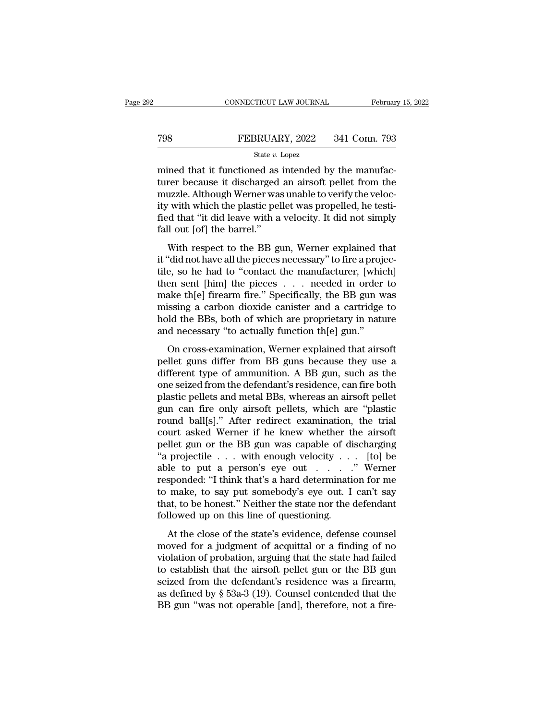# CONNECTICUT LAW JOURNAL February 15, 2022<br>
FEBRUARY, 2022 341 Conn. 793<br>
State v. Lopez

### State *v.* Lopez

 $\begin{tabular}{ll} \multicolumn{2}{l}{{\small \textbf{COMPECTICUT LAW JOURNAL}}} & \multicolumn{2}{l}{\small \textbf{February}}\\ \hline \multicolumn{2}{l}{\small \textbf{798}} & \multicolumn{2}{l}{\small \textbf{FEBRUARY, 2022}} & \multicolumn{2}{l}{341}\; \textbf{Conn. 793} \\ & \multicolumn{2}{l}{\small \textbf{State $v$. Lopez}}\\ \hline \multicolumn{2}{l}{\small \textbf{mined that it functioned as intended by the manufacturer because it discharged an airsoft pellet from the muyzle. Although Werner was unable to verify the video.} \end{tabular}$ The FEBRUARY, 2022 341 Conn. 793<br>
State v. Lopez<br>
mined that it functioned as intended by the manufac-<br>
turer because it discharged an airsoft pellet from the<br>
muzzle. Although Werner was unable to verify the veloc-<br>
tive The FEBRUARY, 2022 341 Conn. 793<br>
State v. Lopez<br>
mined that it functioned as intended by the manufac-<br>
turer because it discharged an airsoft pellet from the<br>
muzzle. Although Werner was unable to verify the veloc-<br>
tity FEBRUARY, 2022 341 Conn. 793<br>
state v. Lopez<br>
mined that it functioned as intended by the manufac-<br>
turer because it discharged an airsoft pellet from the<br>
muzzle. Although Werner was unable to verify the veloc-<br>
ity with State v. Lopez<br>
State v. Lopez<br>
mined that it functioned as intended by the manufac-<br>
turer because it discharged an airsoft pellet from the<br>
muzzle. Although Werner was unable to verify the veloc-<br>
tity with which the pl  $\begin{array}{l} \text{state } v. \\ \text{mined that it functioned as} \\ \text{turer because it discharged} \\ \text{muzzle. Although Werner was} \\ \text{ity with which the plastic pel} \\ \text{field that ``it did leave with a fall out [of] the barrel." \\ \text{With respect to the BB g} \end{array}$ rer because it discharged an airsoft pellet from the<br>uzzle. Although Werner was unable to verify the veloc-<br>vith which the plastic pellet was propelled, he testi-<br>d that "it did leave with a velocity. It did not simply<br>ll it and the plastic and above perfect from the<br>
muzzle. Although Werner was unable to verify the veloc-<br>
ity with which the plastic pellet was propelled, he testi-<br>
fied that "it did leave with a velocity. It did not simply

thuzze. Thinough wenter was unable to verty the velocity<br>tity with which the plastic pellet was propelled, he testi-<br>fied that "it did leave with a velocity. It did not simply<br>fall out [of] the barrel."<br>With respect to the then sent in the phastic perfect was proposed, the test<br>fied that "it did leave with a velocity. It did not simply<br>fall out [of] the barrel."<br>With respect to the BB gun, Werner explained that<br>it "did not have all the piec make the barrel."<br>
With respect to the BB gun, Werner explained that<br>
it "did not have all the pieces necessary" to fire a projec-<br>
tile, so he had to "contact the manufacturer, [which]<br>
then sent [him] the pieces . . . . With respect to the BB gun, Werner explained that<br>it "did not have all the pieces necessary" to fire a projec-<br>tile, so he had to "contact the manufacturer, [which]<br>then sent [him] the pieces  $\dots$  needed in order to<br>make With respect to the BB gun, Werner explained that<br>it "did not have all the pieces necessary" to fire a projec-<br>tile, so he had to "contact the manufacturer, [which]<br>then sent [him] the pieces  $\dots$  needed in order to<br>make it "did not have all the pieces necessary" to fire a proj<br>tile, so he had to "contact the manufacturer, [whit<br>then sent [him] the pieces . . . needed in order<br>make th[e] firearm fire." Specifically, the BB gun w<br>missing a Eq. 35 The had to contact the manufactured, [Which, the same sent [him] the pieces  $\ldots$  heeded in order to ake th[e] firearm fire." Specifically, the BB gun was issing a carbon dioxide canister and a cartridge to ld the make th[e] firearm fire." Specifically, the BB gun was<br>missing a carbon dioxide canister and a cartridge to<br>hold the BBs, both of which are proprietary in nature<br>and necessary "to actually function th[e] gun."<br>On cross-ex

missing a carbon dioxide canister and a cartridge to<br>missing a carbon dioxide canister and a cartridge to<br>hold the BBs, both of which are proprietary in nature<br>and necessary "to actually function th[e] gun."<br>On cross-exami missing a carson disinted cancere and a caractige to<br>hold the BBs, both of which are proprietary in nature<br>and necessary "to actually function th[e] gun."<br>On cross-examination, Werner explained that airsoft<br>pellet guns dif and necessary "to actually function th[e] gun."<br>
On cross-examination, Werner explained that airsoft<br>
pellet guns differ from BB guns because they use a<br>
different type of ammunition. A BB gun, such as the<br>
one seized from on cross-examination, Werner explained that airsoft<br>pellet guns differ from BB guns because they use a<br>different type of ammunition. A BB gun, such as the<br>one seized from the defendant's residence, can fire both<br>plastic pe On cross-examination, Werner explained that airsoft<br>pellet guns differ from BB guns because they use a<br>different type of ammunition. A BB gun, such as the<br>one seized from the defendant's residence, can fire both<br>plastic pe pellet guns differ from BB guns because they use a<br>different type of ammunition. A BB gun, such as the<br>one seized from the defendant's residence, can fire both<br>plastic pellets and metal BBs, whereas an airsoft pellet<br>gun c different type of ammunition. A BB gun, such as the<br>one seized from the defendant's residence, can fire both<br>plastic pellets and metal BBs, whereas an airsoft pellet<br>gun can fire only airsoft pellets, which are "plastic<br>ro one seized from the defendant's residence, can fire both<br>plastic pellets and metal BBs, whereas an airsoft pellet<br>gun can fire only airsoft pellets, which are "plastic<br>round ball[s]." After redirect examination, the trial<br> plastic pellets and metal BBs, whereas an airsoft pellet<br>gun can fire only airsoft pellets, which are "plastic<br>round ball[s]." After redirect examination, the trial<br>court asked Werner if he knew whether the airsoft<br>pellet gun can fire only airsoft pellets, which are "plastic<br>round ball[s]." After redirect examination, the trial<br>court asked Werner if he knew whether the airsoft<br>pellet gun or the BB gun was capable of discharging<br>"a projectil round ball[s]." After redirect examination, the trial<br>court asked Werner if he knew whether the airsoft<br>pellet gun or the BB gun was capable of discharging<br>"a projectile . . . with enough velocity . . . [to] be<br>able to pu court asked Werner if he knew whether the airsoft<br>pellet gun or the BB gun was capable of discharging<br>"a projectile . . . with enough velocity . . . [to] be<br>able to put a person's eye out . . . . ." Werner<br>responded: "I t pellet gun or the BB gun was capable of discharging "a projectile . . . with enough velocity . . . [to] be able to put a person's eye out . . . . ." Werner responded: "I think that's a hard determination for me to make, t Fregeeme  $\ldots$  and enough velocity  $\ldots$  [to] be<br>le to put a person's eye out  $\ldots$   $\ldots$  " Werner<br>sponded: "I think that's a hard determination for me<br>make, to say put somebody's eye out. I can't say<br>at, to be honest." N moved in this set of parallel in the state is a hard determination for me<br>to make, to say put somebody's eye out. I can't say<br>that, to be honest." Neither the state nor the defendant<br>followed up on this line of questionin

responded. Thank data is a nard determination for the<br>to make, to say put somebody's eye out. I can't say<br>that, to be honest." Neither the state nor the defendant<br>followed up on this line of questioning.<br>At the close of th that, to be honest." Neither the state nor the defendant<br>followed up on this line of questioning.<br>At the close of the state's evidence, defense counsel<br>moved for a judgment of acquittal or a finding of no<br>violation of pro followed up on this line of questioning.<br>At the close of the state's evidence, defense counsel<br>moved for a judgment of acquittal or a finding of no<br>violation of probation, arguing that the state had failed<br>to establish th At the close of the state's evidence, defense counsel<br>moved for a judgment of acquittal or a finding of no<br>violation of probation, arguing that the state had failed<br>to establish that the airsoft pellet gun or the BB gun<br>se At the close of the state's evidence, defense counsel<br>moved for a judgment of acquittal or a finding of no<br>violation of probation, arguing that the state had failed<br>to establish that the airsoft pellet gun or the BB gun<br>se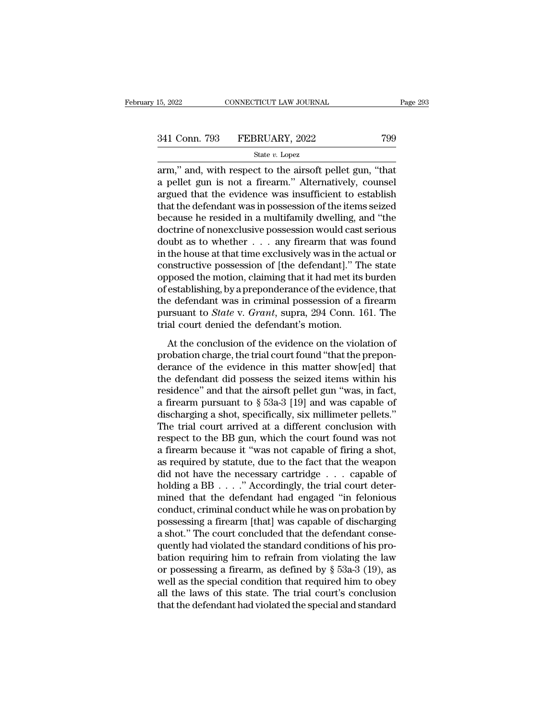15, 2022 CONNECTICUT LAW JOURNAL Page 29:<br>
341 Conn. 793 FEBRUARY, 2022 799<br>
<sup>341</sup> State v. Lopez<br>
arm," and, with respect to the airsoft pellet gun, "that<br>
a pellet gun is not a firearm." Alternatively, counsel<br>
argued th 341 Conn. 793 FEBRUARY, 2022 799<br>
State v. Lopez<br>
arm," and, with respect to the airsoft pellet gun, "that<br>
a pellet gun is not a firearm." Alternatively, counsel<br>
argued that the evidence was insufficient to establish<br>
t 341 Conn. 793 FEBRUARY, 2022 799<br>
State v. Lopez<br>
arm," and, with respect to the airsoft pellet gun, "that<br>
a pellet gun is not a firearm." Alternatively, counsel<br>
argued that the evidence was insufficient to establish<br>
t 341 Conn. 793 FEBRUARY, 2022 799<br>  $\frac{\text{State } v. \text{ Lopez}}{\text{arm,}}$  and, with respect to the airsoft pellet gun, "that<br>
a pellet gun is not a firearm." Alternatively, counsel<br>
argued that the evidence was insufficient to establish<br> State v. Lopez<br>
arm," and, with respect to the airsoft pellet gun, "that<br>
a pellet gun is not a firearm." Alternatively, counsel<br>
argued that the evidence was insufficient to establish<br>
that the defendant was in possessio state v. Lopez<br>arm," and, with respect to the airsoft pellet gun, "that<br>a pellet gun is not a firearm." Alternatively, counsel<br>argued that the evidence was insufficient to establish<br>that the defendant was in possession of arm," and, with respect to the airsoft pellet gun, "that<br>a pellet gun is not a firearm." Alternatively, counsel<br>argued that the evidence was insufficient to establish<br>that the defendant was in possession of the items seiz a pellet gun is not a firearm." Alternatively, counsel<br>argued that the evidence was insufficient to establish<br>that the defendant was in possession of the items seized<br>because he resided in a multifamily dwelling, and "the<br> argued that the evidence was insufficient to establish<br>that the defendant was in possession of the items seized<br>because he resided in a multifamily dwelling, and "the<br>doctrine of nonexclusive possession would cast serious<br> that the defendant was in possession of the items seized<br>because he resided in a multifamily dwelling, and "the<br>doctrine of nonexclusive possession would cast serious<br>doubt as to whether  $\dots$  any firearm that was found<br>in because he resided in a multifamily dwelling, and "the doctrine of nonexclusive possession would cast serious<br>doubt as to whether  $\ldots$  any firearm that was found<br>in the house at that time exclusively was in the actual or doctrine of nonexclusive possession would cast serious<br>doubt as to whether  $\dots$  any firearm that was found<br>in the house at that time exclusively was in the actual or<br>constructive possession of [the defendant]." The state<br> doubt as to whether . . . any firearm that was found<br>in the house at that time exclusively was in the actual or<br>constructive possession of [the defendant]." The state<br>opposed the motion, claiming that it had met its burden in the house at that time exclusively was in the a<br>constructive possession of [the defendant]." Th<br>opposed the motion, claiming that it had met its<br>of establishing, by a preponderance of the eviden<br>the defendant was in cri more possession of the detendant, The state<br>posed the motion, claiming that it had met its burden<br>establishing, by a preponderance of the evidence, that<br>e defendant was in criminal possession of a firearm<br>rsuant to *State* by by a preponderance of the evidence, that<br>of establishing, by a preponderance of the evidence, that<br>the defendant was in criminal possession of a firearm<br>pursuant to *State* v. *Grant*, supra, 294 Conn. 161. The<br>trial co

derivatively a proponalization of a firearm<br>the defendant was in criminal possession of a firearm<br>pursuant to *State* v. *Grant*, supra, 294 Conn. 161. The<br>trial court denied the defendant's motion.<br>At the conclusion of t pursuant to *State* v. *Grant*, supra, 294 Conn. 161. The<br>trial court denied the defendant's motion.<br>At the conclusion of the evidence on the violation of<br>probation charge, the trial court found "that the prepon-<br>derance Furstian to state v. State, stapped, 251 comments that that the conclusion of the evidence on the violation of probation charge, the trial court found "that the preponderance of the evidence in this matter show[ed] that t A final coal defined are determined in substituted.<br>
At the conclusion of the evidence on the violation of<br>
probation charge, the trial court found "that the prepon-<br>
derance of the evidence in this matter show[ed] that<br> At the conclusion of the evidence on the violation of<br>probation charge, the trial court found "that the prepon-<br>derance of the evidence in this matter show[ed] that<br>the defendant did possess the seized items within his<br>re probation charge, the trial court found "that the prepon-<br>derance of the evidence in this matter show[ed] that<br>the defendant did possess the seized items within his<br>residence" and that the airsoft pellet gun "was, in fact, derance of the evidence in this matter show[ed] that<br>the defendant did possess the seized items within his<br>residence" and that the airsoft pellet gun "was, in fact,<br>a firearm pursuant to § 53a-3 [19] and was capable of<br>dis the defendant did possess the seized items within his<br>residence" and that the airsoft pellet gun "was, in fact,<br>a firearm pursuant to  $\S$  53a-3 [19] and was capable of<br>discharging a shot, specifically, six millimeter pell residence" and that the airsoft pellet gun "was, in fact,<br>a firearm pursuant to  $\S$  53a-3 [19] and was capable of<br>discharging a shot, specifically, six millimeter pellets."<br>The trial court arrived at a different conclusio a firearm pursuant to § 53a-3 [19] and was capable of discharging a shot, specifically, six millimeter pellets."<br>The trial court arrived at a different conclusion with respect to the BB gun, which the court found was not discharging a shot, specifically, six millimeter pellets."<br>The trial court arrived at a different conclusion with<br>respect to the BB gun, which the court found was not<br>a firearm because it "was not capable of firing a shot The trial court arrived at a different conclusion with<br>respect to the BB gun, which the court found was not<br>a firearm because it "was not capable of firing a shot,<br>as required by statute, due to the fact that the weapon<br>d respect to the BB gun, which the court found was not<br>a firearm because it "was not capable of firing a shot,<br>as required by statute, due to the fact that the weapon<br>did not have the necessary cartridge  $\ldots$  capable of<br>ho a firearm because it "was not capable of firing a shot,<br>as required by statute, due to the fact that the weapon<br>did not have the necessary cartridge  $\ldots$  capable of<br>holding a BB  $\ldots$ ." Accordingly, the trial court deter as required by statute, due to the fact that the weapon<br>
did not have the necessary cartridge  $\ldots$  capable of<br>
holding a BB  $\ldots$ ." Accordingly, the trial court deter-<br>
mined that the defendant had engaged "in felonious<br> did not have the necessary cartridge . . . . capable of<br>holding a BB . . . ." Accordingly, the trial court deter-<br>mined that the defendant had engaged "in felonious<br>conduct, criminal conduct while he was on probation by<br>p holding a BB  $\ldots$ ." Accordingly, the trial court deter-<br>mined that the defendant had engaged "in felonious<br>conduct, criminal conduct while he was on probation by<br>possessing a firearm [that] was capable of discharging<br>a s mined that the defendant had engaged "in felonious<br>conduct, criminal conduct while he was on probation by<br>possessing a firearm [that] was capable of discharging<br>a shot." The court concluded that the defendant conse-<br>quent conduct, criminal conduct while he was on probation by<br>possessing a firearm [that] was capable of discharging<br>a shot." The court concluded that the defendant conse-<br>quently had violated the standard conditions of his pro-<br> possessing a firearm [that] was capable of discharging<br>a shot." The court concluded that the defendant conse-<br>quently had violated the standard conditions of his pro-<br>bation requiring him to refrain from violating the law<br> a shot." The court concluded that the defendant consequently had violated the standard conditions of his probation requiring him to refrain from violating the law or possessing a firearm, as defined by § 53a-3 (19), as wel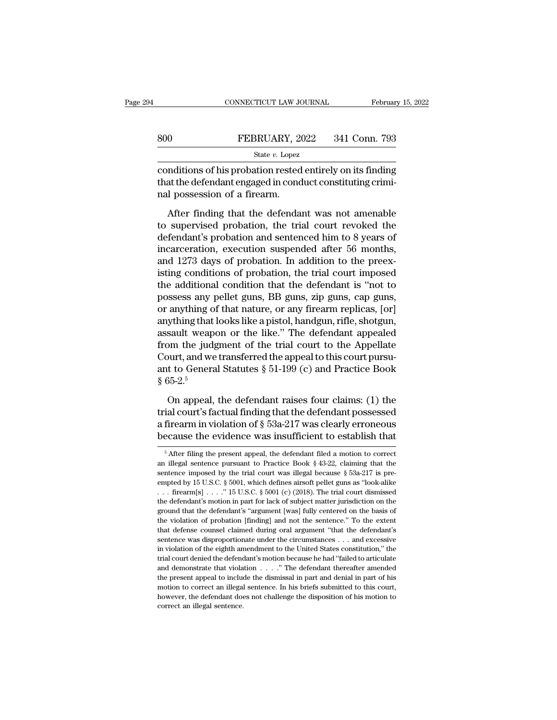|     | CONNECTICUT LAW JOURNAL                                                                                                                              | February 15, 2022 |
|-----|------------------------------------------------------------------------------------------------------------------------------------------------------|-------------------|
|     |                                                                                                                                                      |                   |
| 800 | FEBRUARY, 2022                                                                                                                                       | 341 Conn. 793     |
|     | State $v$ . Lopez                                                                                                                                    |                   |
|     | conditions of his probation rested entirely on its finding<br>that the defendant engaged in conduct constituting crimi-<br>not pococcion of a fironm |                   |

 $\begin{tabular}{ll} 800 & FEBRUARY, 2022 & 341 Conn. 793 \\ \hline \textbf{State } v. \textbf{Lopez} \\ \textbf{conditions of his problem rested entirely on its finding that the defendant engaged in conduct constituting criminal possession of a firearm.} \end{tabular}$  $\begin{array}{ll} \hline \text{800} & \text{FEBRUARY, 20} \\ & \\ \text{State $v$. Lopez} \\ \text{conditions of his production rested} \\ \text{that the defendant engaged in cond} \\ \text{nal possession of a firearm.} \\ \hline \end{array}$  $\frac{\text{SEBRUAKI}}{\text{State } v.\text{ Lopez}}$ <br>  $\frac{\text{State } v.\text{ Lopez}}{\text{Mditions of his problem nested entirely on its finding}}$ <br>
at the defendant engaged in conduct constituting crimi-<br>
I possession of a firearm.<br>
After finding that the defendant was not amenable<br>
supervised probation, the t

State  $v$ . Lopez<br>
conditions of his probation rested entirely on its finding<br>
that the defendant engaged in conduct constituting crimi-<br>
nal possession of a firearm.<br>
After finding that the defendant was not amenable<br>
to conditions of his probation rested entirely on its finding<br>that the defendant engaged in conduct constituting crimi-<br>nal possession of a firearm.<br>After finding that the defendant was not amenable<br>to supervised probation, t Example of the probability conduct constituting criminal possession of a firearm.<br>
After finding that the defendant was not amenable<br>
to supervised probation, the trial court revoked the<br>
defendant's probation and sentence and possession of a firearm.<br>
After finding that the defendant was not amenable<br>
to supervised probation, the trial court revoked the<br>
defendant's probation and sentenced him to 8 years of<br>
incarceration, execution suspend After finding that the defendant was not amenable<br>to supervised probation, the trial court revoked the<br>defendant's probation and sentenced him to 8 years of<br>incarceration, execution suspended after 56 months,<br>and 1273 days After finding that the defendant was not amenable<br>to supervised probation, the trial court revoked the<br>defendant's probation and sentenced him to 8 years of<br>incarceration, execution suspended after 56 months,<br>and 1273 days to supervised probation, the trial court revoked the<br>defendant's probation and sentenced him to 8 years of<br>incarceration, execution suspended after 56 months,<br>and 1273 days of probation. In addition to the preex-<br>isting co defendant's probation and sentenced him to 8 years of<br>incarceration, execution suspended after 56 months,<br>and 1273 days of probation. In addition to the preex-<br>isting conditions of probation, the trial court imposed<br>the ad incarceration, execution suspended after 56 months,<br>and 1273 days of probation. In addition to the preex-<br>isting conditions of probation, the trial court imposed<br>the additional condition that the defendant is "not to<br>posse and 1273 days of probation. In addition to the preexisting conditions of probation, the trial court imposed<br>the additional condition that the defendant is "not to<br>possess any pellet guns, BB guns, zip guns, cap guns,<br>or an isting conditions of probation, the trial court imposed<br>the additional condition that the defendant is "not to<br>possess any pellet guns, BB guns, zip guns, cap guns,<br>or anything of that nature, or any firearm replicas, [or the additional condition that the defendant is "not to possess any pellet guns, BB guns, zip guns, cap guns, or anything of that nature, or any firearm replicas, [or] anything that looks like a pistol, handgun, rifle, sho possess any pellet guns, BB guns, zip guns, cap guns,<br>or anything of that nature, or any firearm replicas, [or]<br>anything that looks like a pistol, handgun, rifle, shotgun,<br>assault weapon or the like." The defendant appeal or anything of<br>anything that<br>assault weap<br>from the jud;<br>Court, and we<br>ant to Genera<br>§ 65-2.<sup>5</sup><br>On appeal, sault weapon or the like." The defendant appealed<br>om the judgment of the trial court to the Appellate<br>ourt, and we transferred the appeal to this court pursu-<br>t to General Statutes  $\S 51-199$  (c) and Practice Book<br> $55-2.^5$ from the judgment of the trial court to the Appellate<br>Court, and we transferred the appeal to this court pursu-<br>ant to General Statutes  $\S 51-199$  (c) and Practice Book<br> $\S 65-2.^5$ <br>On appeal, the defendant raises four clai

Court, and we transferred the appeal to this court pursu-<br>ant to General Statutes § 51-199 (c) and Practice Book<br>§ 65-2.<sup>5</sup><br>On appeal, the defendant raises four claims: (1) the<br>trial court's factual finding that the defen ant to General Statutes § 51-199 (c) and Practice Book § 65-2.<sup>5</sup><br>
On appeal, the defendant raises four claims: (1) the trial court's factual finding that the defendant possessed<br>
a firearm in violation of § 53a-217 was c On appeal, the defendant raises four claims: (1) the<br>ial court's factual finding that the defendant possessed<br>firearm in violation of § 53a-217 was clearly erroneous<br>ecause the evidence was insufficient to establish that<br> trial court's factual finding that the defendant possessed<br>a firearm in violation of § 53a-217 was clearly erroneous<br>because the evidence was insufficient to establish that<br> $\frac{1}{5}$  After filing the present appeal, the d

a firearm in violation of § 53a-217 was clearly erroneous<br>because the evidence was insufficient to establish that<br> $\frac{5}{10}$  After filing the present appeal, the defendant filed a motion to correct<br>an illegal sentence pur because the evidence was insufficient to establish that<br>  $\frac{1}{100}$  After filing the present appeal, the defendant filed a motion to correct<br>
an illegal sentence pursuant to Practice Book § 43-22, claiming that the<br>
sent because the evidence was insufficient to establish that<br>
<sup>5</sup> After filing the present appeal, the defendant filed a motion to correct<br>
an illegal sentence pursuant to Practice Book § 43-22, claiming that the<br>
sentence imp <sup>5</sup> After filing the present appeal, the defendant filed a motion to correct an illegal sentence pursuant to Practice Book § 43-22, claiming that the sentence imposed by the trial court was illegal because § 53a-217 is pr an illegal sentence pursuant to Practice Book § 43-22, claiming that the sentence imposed by the trial court was illegal because § 53a-217 is pre-<br>empted by 15 U.S.C. § 5001, which defines airsoft pellet guns as "look-ali and metallical the trial court was illegal because § 53a-217 is pre-<br>empted by 15 U.S.C. § 5001, which defines airsoft pellet guns as "look-alike<br>... firearm[s] ...." 15 U.S.C. § 5001 (c) (2018). The trial court dismissed empted by 15 U.S.C. § 5001, which defines airsoft pellet guns as "look-alike ... firearm[s] ...." 15 U.S.C. § 5001 (c) (2018). The trial court dismissed the defendant's motion in part for lack of subject matter jurisdicti . . . firearm[s] . . . . " 15 U.S.C. § 5001 (c) (2018). The trial court dismissed the defendant's motion in part for lack of subject matter jurisdiction on the ground that the defendant's "argument [was] fully centered on in the defendant's motion in part for lack of subject matter jurisdiction on the ground that the defendant's "argument [was] fully centered on the basis of the violation of probation [finding] and not the sentence." To the are understanded the defendant's "argument [was] fully centered on the basis of the violation of probation [finding] and not the sentence." To the extent that defense counsel claimed during oral argument "that the defenda the violation of probation [finding] and not the sentence." To the extent that defense counsel claimed during oral argument "that the defendant's sentence was disproportionate under the circumstances . . . and excessive i that defense counsel claimed during oral argument "that the defendant's sentence was disproportionate under the circumstances . . . and excessive in violation of the eighth amendment to the United States constitution," th sentence was disproportionate under the circumstances . . . and excessive in violation of the eighth amendment to the United States constitution," the trial court denied the defendant's motion because he had "failed to ar in violation of the eighth amendment to the United States constitution," the trial court denied the defendant's motion because he had "failed to articulate and demonstrate that violation  $\ldots$ ." The defendant thereafter a and demonstrate that violation  $\ldots$ ." The defendant thereafter amended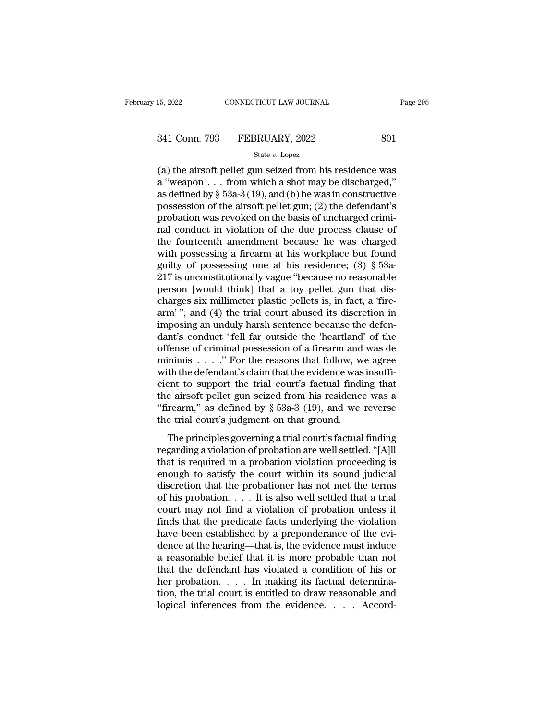# 15, 2022 CONNECTICUT LAW JOURNAL Page 295<br>341 Conn. 793 FEBRUARY, 2022 801<br>State v. Lopez

### State *v.* Lopez

(a) the airsoft pellet gun seized from his residence was 341 Conn. 793 FEBRUARY, 2022 801<br>
State v. Lopez<br>
(a) the airsoft pellet gun seized from his residence was<br>
a "weapon . . . from which a shot may be discharged,"<br>
as defined by § 53a-3 (19), and (b) he was in constructive 341 Conn. 793 FEBRUARY, 2022 801<br>
State v. Lopez<br>
(a) the airsoft pellet gun seized from his residence was<br>
a "weapon . . . from which a shot may be discharged,"<br>
as defined by § 53a-3 (19), and (b) he was in constructive 341 Conn. 793 FEBRUARY, 2022 801<br>
State v. Lopez<br>
(a) the airsoft pellet gun seized from his residence was<br>
a "weapon . . . from which a shot may be discharged,"<br>
as defined by § 53a-3 (19), and (b) he was in constructive State v. Lopez<br>
(a) the airsoft pellet gun seized from his residence was<br>
a "weapon . . . from which a shot may be discharged,"<br>
as defined by § 53a-3 (19), and (b) he was in constructive<br>
possession of the airsoft pellet state v. Lopez<br>
(a) the airsoft pellet gun seized from his residence was<br>
a "weapon . . . from which a shot may be discharged,"<br>
as defined by § 53a-3 (19), and (b) he was in constructive<br>
possession of the airsoft pellet (a) the airsoft pellet gun seized from his residence was<br>a "weapon . . . from which a shot may be discharged,"<br>as defined by § 53a-3 (19), and (b) he was in constructive<br>possession of the airsoft pellet gun; (2) the defen a "weapon . . . from which a shot may be discharged,"<br>as defined by § 53a-3 (19), and (b) he was in constructive<br>possession of the airsoft pellet gun; (2) the defendant's<br>probation was revoked on the basis of uncharged cr as defined by  $\S$  53a-3 (19), and (b) he was in constructive<br>possession of the airsoft pellet gun; (2) the defendant's<br>probation was revoked on the basis of uncharged crimi-<br>nal conduct in violation of the due process cla possession of the airsoft pellet gun; (2) the defendant's<br>probation was revoked on the basis of uncharged crimi-<br>nal conduct in violation of the due process clause of<br>the fourteenth amendment because he was charged<br>with p probation was revoked on the basis of uncharged crimi-<br>nal conduct in violation of the due process clause of<br>the fourteenth amendment because he was charged<br>with possessing a firearm at his workplace but found<br>guilty of p nal conduct in violation of the due process clause of<br>the fourteenth amendment because he was charged<br>with possessing a firearm at his workplace but found<br>guilty of possessing one at his residence; (3)  $\S$  53a-<br>217 is unc the fourteenth amendment because he was charged<br>with possessing a firearm at his workplace but found<br>guilty of possessing one at his residence; (3)  $\S$  53a-<br>217 is unconstitutionally vague "because no reasonable<br>person [w with possessing a firearm at his workplace but found<br>guilty of possessing one at his residence;  $(3) \S 53a-217$  is unconstitutionally vague "because no reasonable<br>person [would think] that a toy pellet gun that dis-<br>charg guilty of possessing one at his residence; (3) § 53a-<br>217 is unconstitutionally vague "because no reasonable<br>person [would think] that a toy pellet gun that dis-<br>charges six millimeter plastic pellets is, in fact, a 'fire-217 is unconstitutionally vague "because no reasonable<br>person [would think] that a toy pellet gun that dis-<br>charges six millimeter plastic pellets is, in fact, a 'fire-<br>arm' "; and (4) the trial court abused its discretio person [would think] that a toy pellet gun that discharges six millimeter plastic pellets is, in fact, a 'fire-<br>arm' "; and (4) the trial court abused its discretion in<br>imposing an unduly harsh sentence because the defen-<br> charges six millimeter plastic pellets is, in fact, a 'fire-<br>arm'"; and (4) the trial court abused its discretion in<br>imposing an unduly harsh sentence because the defen-<br>dant's conduct "fell far outside the 'heartland' of arm'"; and (4) the trial court abused its discretion in<br>imposing an unduly harsh sentence because the defen-<br>dant's conduct "fell far outside the 'heartland' of the<br>offense of criminal possession of a firearm and was de<br>m imposing an unduly harsh sentence because the defendant's conduct "fell far outside the 'heartland' of the offense of criminal possession of a firearm and was de minimis . . . . " For the reasons that follow, we agree wit dant's conduct "fell far outside the 'heartland' of the<br>offense of criminal possession of a firearm and was de<br>minimis . . . . " For the reasons that follow, we agree<br>with the defendant's claim that the evidence was insuf offense of criminal possession of a firearm and<br>minimis  $\ldots$ ." For the reasons that follow, w<br>with the defendant's claim that the evidence was<br>cient to support the trial court's factual findi<br>the airsoft pellet gun seize The principles governing a trial court's factual finding that<br>the defendant's claim that the evidence was insuffi-<br>ent to support the trial court's factual finding that<br>e airsoft pellet gun seized from his residence was a regarding a violation of probation are within its count.<br>
The principles governing a trial court's factual finding that<br>
"firearm," as defined by  $\S$  53a-3 (19), and we reverse<br>
the trial court's judgment on that ground.<br>

the airsoft pellet gun seized from his residence was a "firearm," as defined by  $\S$  53a-3 (19), and we reverse<br>the trial court's judgment on that ground.<br>The principles governing a trial court's factual finding<br>regarding "firearm," as defined by § 53a-3 (19), and we reverse<br>the trial court's judgment on that ground.<br>The principles governing a trial court's factual finding<br>regarding a violation of probation are well settled. "[A]ll<br>that is The trial court's judgment on that ground.<br>The principles governing a trial court's factual finding<br>regarding a violation of probation are well settled. "[A]ll<br>that is required in a probation violation proceeding is<br>enoug The principles governing a trial court's factual finding<br>regarding a violation of probation are well settled. "[A]ll<br>that is required in a probation violation proceeding is<br>enough to satisfy the court within its sound judi The principles governing a trial court's factual finding<br>regarding a violation of probation are well settled. "[A]ll<br>that is required in a probation violation proceeding is<br>enough to satisfy the court within its sound jud regarding a violation of probation are well settled. "[A]ll<br>that is required in a probation violation proceeding is<br>enough to satisfy the court within its sound judicial<br>discretion that the probationer has not met the term that is required in a probation violation proceeding is<br>enough to satisfy the court within its sound judicial<br>discretion that the probationer has not met the terms<br>of his probation.... It is also well settled that a trial enough to satisfy the court within its sound judicial<br>discretion that the probationer has not met the terms<br>of his probation. . . . It is also well settled that a trial<br>court may not find a violation of probation unless i discretion that the probationer has not met the terms<br>of his probation.... It is also well settled that a trial<br>court may not find a violation of probation unless it<br>finds that the predicate facts underlying the violation of his probation. . . . It is also well settled that a trial<br>court may not find a violation of probation unless it<br>finds that the predicate facts underlying the violation<br>have been established by a preponderance of the ev court may not find a violation of probation unless it<br>finds that the predicate facts underlying the violation<br>have been established by a preponderance of the evi-<br>dence at the hearing—that is, the evidence must induce<br>a r finds that the predicate facts underlying the violation<br>have been established by a preponderance of the evi-<br>dence at the hearing—that is, the evidence must induce<br>a reasonable belief that it is more probable than not<br>tha have been established by a preponderance of the evidence at the hearing—that is, the evidence must induce a reasonable belief that it is more probable than not that the defendant has violated a condition of his or her pro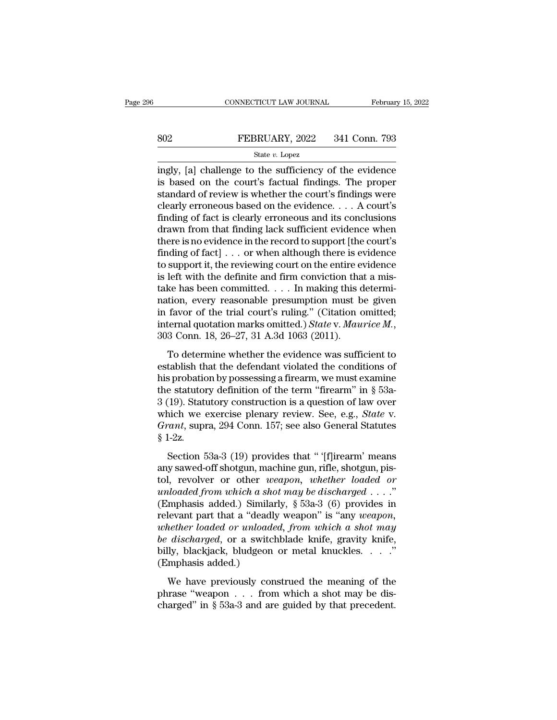# EXECUTE CONNECTICUT LAW JOURNAL February 15, 2022<br>802 FEBRUARY, 2022 341 Conn. 793<br>812 State v. Lopez

### State *v.* Lopez

CONNECTICUT LAW JOURNAL February 15, 2022<br>
SO2 FEBRUARY, 2022 341 Conn. 793<br>
State v. Lopez<br>
ingly, [a] challenge to the sufficiency of the evidence<br>
is based on the court's factual findings. The proper<br>
standard of ravia FEBRUARY, 2022 341 Conn. 793<br>
state v. Lopez<br>
ingly, [a] challenge to the sufficiency of the evidence<br>
is based on the court's factual findings. The proper<br>
standard of review is whether the court's findings were<br>
closely Someton of review is whether the court's finding of fort is closely expressed in the court's factual findings. The proper standard of review is whether the court's findings were clearly erroneous based on the evidence.... Someton State v. Lopez<br>
State v. Lopez<br>
ingly, [a] challenge to the sufficiency of the evidence<br>
is based on the court's factual findings. The proper<br>
standard of review is whether the court's findings were<br>
clearly erron State v. Lopez<br>
ingly, [a] challenge to the sufficiency of the evidence<br>
is based on the court's factual findings. The proper<br>
standard of review is whether the court's findings were<br>
clearly erroneous based on the eviden state v. Lopez<br>
ingly, [a] challenge to the sufficiency of the evidence<br>
is based on the court's factual findings. The proper<br>
standard of review is whether the court's findings were<br>
clearly erroneous based on the eviden ingly, [a] challenge to the sufficiency of the evidence<br>is based on the court's factual findings. The proper<br>standard of review is whether the court's findings were<br>clearly erroneous based on the evidence. . . . A court's<br> is based on the court's factual findings. The proper<br>standard of review is whether the court's findings were<br>clearly erroneous based on the evidence. . . . A court's<br>finding of fact is clearly erroneous and its conclusion standard of review is whether the court's findings were<br>clearly erroneous based on the evidence. . . . A court's<br>finding of fact is clearly erroneous and its conclusions<br>drawn from that finding lack sufficient evidence wh clearly erroneous based on the evidence. . . . A court's<br>finding of fact is clearly erroneous and its conclusions<br>drawn from that finding lack sufficient evidence when<br>there is no evidence in the record to support [the co finding of fact is clearly erroneous and its conclusions<br>drawn from that finding lack sufficient evidence when<br>there is no evidence in the record to support [the court's<br>finding of fact] . . . or when although there is ev drawn from that finding lack sufficient evidence when<br>there is no evidence in the record to support [the court's<br>finding of fact] . . . or when although there is evidence<br>to support it, the reviewing court on the entire e there is no evidence in the record to support [the court's<br>finding of fact] . . . or when although there is evidence<br>to support it, the reviewing court on the entire evidence<br>is left with the definite and firm conviction finding of fact] . . . or when although there is evidence<br>to support it, the reviewing court on the entire evidence<br>is left with the definite and firm conviction that a mis-<br>take has been committed. . . . In making this de East what are definite and first convection that a ring<br>ke has been committed. . . . In making this determi-<br>tion, every reasonable presumption must be given<br>favor of the trial court's ruling." (Citation omitted;<br>termal q ration, every reasonable presumption must be given<br>in favor of the trial court's ruling." (Citation omitted;<br>internal quotation marks omitted.) *State v. Maurice M.*,<br>303 Conn. 18, 26–27, 31 A.3d 1063 (2011).<br>To determine

haven, every reasonable presumption mase se given<br>in favor of the trial court's ruling." (Citation omitted;<br>internal quotation marks omitted.) *State v. Maurice M.*,<br>303 Conn. 18, 26–27, 31 A.3d 1063 (2011).<br>To determine In favor of the that coards raints. (Chalafor of the term<br>internal quotation marks omitted.) State v. Maurice M.,<br>303 Conn. 18, 26–27, 31 A.3d 1063 (2011).<br>To determine whether the evidence was sufficient to<br>establish tha 303 Conn. 18, 26–27, 31 A.3d 1063 (2011).<br>
To determine whether the evidence was sufficient to<br>
establish that the defendant violated the conditions of<br>
his probation by possessing a firearm, we must examine<br>
the statutor To determine whether the evidence was sufficient to<br>establish that the defendant violated the conditions of<br>his probation by possessing a firearm, we must examine<br>the statutory definition of the term "firearm" in § 53a-<br>3 To determine whether the evidence was sufficient to<br>establish that the defendant violated the conditions of<br>his probation by possessing a firearm, we must examine<br>the statutory definition of the term "firearm" in § 53a-<br>3 establish the<br>his probatic<br>the statutor<br>3 (19). Statu<br>which we<br>Grant, supp<br>§ 1-2z.<br>Section 5 is estatutory definition of the term "firearm" in § 53a-<br>
19). Statutory construction is a question of law over<br>
nich we exercise plenary review. See, e.g., *State* v.<br> *ant*, supra, 294 Conn. 157; see also General Statut and statutely definition of the term include in  $\frac{1}{3}$  of  $\frac{3}{4}$  (19). Statutory construction is a question of law over which we exercise plenary review. See, e.g., *State v. Grant*, supra, 294 Conn. 157; see also G

or (1*0)*. Baladory construction is a question or law over<br>which we exercise plenary review. See, e.g., *State* v.<br>*Grant*, supra, 294 Conn. 157; see also General Statutes<br>§ 1-2z.<br>Section 53a-3 (19) provides that " '[f]ire *Grant*, supra, 294 Conn. 157; see also General Statutes § 1-2z.<br>
Section 53a-3 (19) provides that " '[f]irearm' means<br>
any sawed-off shotgun, machine gun, rifle, shotgun, pis-<br>
tol, revolver or other *weapon*, *whether lo* Similarly, separation, separation, see also secured seats<br>
Similarly, see also secured seatses<br>
Similarly, see also secured means<br>
any sawed-off shotgun, machine gun, rifle, shotgun, pis-<br>
tol, revolver or other *weapon*, s 1 22.<br>
Section 53a-3 (19) provides that "'[f]irearm' means<br>
any sawed-off shotgun, machine gun, rifle, shotgun, pis-<br>
tol, revolver or other *weapon, whether loaded or*<br> *unloaded from which a shot may be discharged* ... Section 53a-3 (19) provides that " '[f]irearm' means<br>any sawed-off shotgun, machine gun, rifle, shotgun, pis-<br>tol, revolver or other *weapon*, *whether loaded or*<br>*unloaded from which a shot may be discharged* . . . ."<br>(Em any sawed-off shotgun, machine gun, rifle, shotgun, pistol, revolver or other *weapon*, *whether loaded or unloaded from which a shot may be discharged* . . . ."<br>(Emphasis added.) Similarly, § 53a-3 (6) provides in relev tol, revolver or other *weapon*, *whether loaded or unloaded from which a shot may be discharged* . . . ." (Emphasis added.) Similarly,  $\S$  53a-3 (6) provides in relevant part that a "deadly weapon" is "any *weapon*, *w* unloaded from which a show<br>(Emphasis added.) Similar<br>relevant part that a "deadl<br>whether loaded or unloade<br>be discharged, or a switcl<br>billy, blackjack, bludgeon<br>(Emphasis added.)<br>We have previously cor Hevant part that a "deadly weapon" is "any *weapon*,<br>hether loaded or *unloaded*, from *which* a shot may<br>discharged, or a switchblade knife, gravity knife,<br>lly, blackjack, bludgeon or metal knuckles...."<br>mphasis added.)<br> phrase that a deality weapon is dry acceptive,<br>whether loaded or unloaded, from which a shot may<br>be discharged, or a switchblade knife, gravity knife,<br>billy, blackjack, bludgeon or metal knuckles. . . . "<br>(Emphasis added. *be discharged*, or a switchblade knife, gravity knife, billy, blackjack, bludgeon or metal knuckles.  $\ldots$ ."<br>(Emphasis added.)<br>We have previously construed the meaning of the phrase "weapon  $\ldots$  from which a shot may be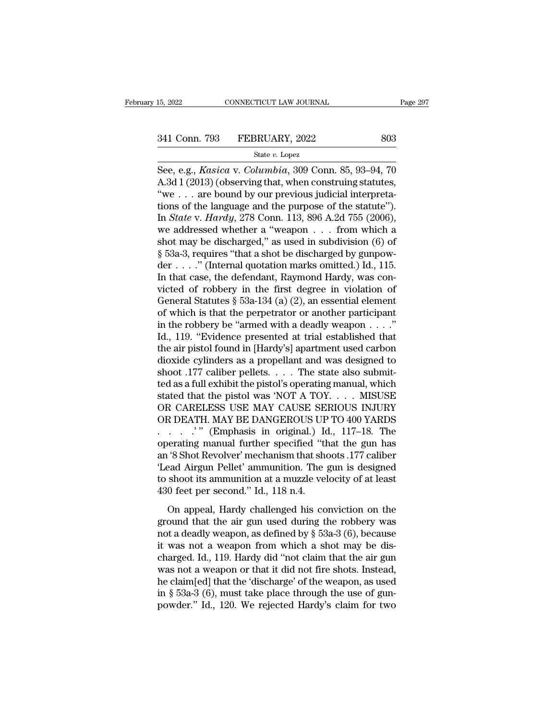# 15, 2022 CONNECTICUT LAW JOURNAL Page 297<br>341 Conn. 793 FEBRUARY, 2022 803<br>341 State v. Lopez

### State *v.* Lopez

EXECTIVE LAW JOURNAL Page 297<br>
See, e.g., *Kasica* v. *Columbia*, 309 Conn. 85, 93–94, 70<br>
A.3d 1 (2013) (observing that, when construing statutes,  $\frac{1}{2}$  are bound by our provious indicial interpretation 341 Conn. 793 FEBRUARY, 2022 803<br>
State v. Lopez<br>
See, e.g., *Kasica v. Columbia*, 309 Conn. 85, 93–94, 70<br>
A.3d 1 (2013) (observing that, when construing statutes,<br>
"we . . . are bound by our previous judicial interpreta 341 Conn. 793 FEBRUARY, 2022 803<br>
State v. Lopez<br>
See, e.g., *Kasica* v. *Columbia*, 309 Conn. 85, 93–94, 70<br>
A.3d 1 (2013) (observing that, when construing statutes,<br>
"we ... are bound by our previous judicial interpreta 341 Conn. 793 FEBRUARY, 2022 803<br>
State v. Lopez<br>
See, e.g., *Kasica* v. *Columbia*, 309 Conn. 85, 93–94, 70<br>
A.3d 1 (2013) (observing that, when construing statutes,<br>
"we . . . are bound by our previous judicial interpre State *v*. Lopez<br>
State *v*. Lopez<br>
See, e.g., *Kasica* v. *Columbia*, 309 Conn. 85, 93–94, 70<br>
A.3d 1 (2013) (observing that, when construing statutes,<br>
"we . . . are bound by our previous judicial interpreta-<br>
tions of t State v. Lopez<br>See, e.g., *Kasica* v. *Columbia*, 309 Conn. 85, 93–94, 70<br>A.3d 1 (2013) (observing that, when construing statutes,<br>"we . . . are bound by our previous judicial interpreta-<br>tions of the language and the pur See, e.g., *Kasica* v. *Columbia*, 309 Conn. 85, 93–94, 70<br>A.3d 1 (2013) (observing that, when construing statutes,<br>"we ... are bound by our previous judicial interpreta-<br>tions of the language and the purpose of the statu A.3d 1 (2013) (observing that, when construing statutes, "we . . . are bound by our previous judicial interpretations of the language and the purpose of the statute"). In *State* v. *Hardy*, 278 Conn. 113, 896 A.2d 755 (2 "we . . . are bound by our previous judicial interpretations of the language and the purpose of the statute").<br>In *State* v. *Hardy*, 278 Conn. 113, 896 A.2d 755 (2006), we addressed whether a "weapon . . . from which a s tions of the language and the purpose of the statute").<br>In *State* v. *Hardy*, 278 Conn. 113, 896 A.2d 755 (2006),<br>we addressed whether a "weapon . . . from which a<br>shot may be discharged," as used in subdivision (6) of<br>§ In *State* v. *Hardy*, 278 Conn. 113, 896 A.2d 755 (2006),<br>we addressed whether a "weapon . . . from which a<br>shot may be discharged," as used in subdivision (6) of<br> $\S$  53a-3, requires "that a shot be discharged by gunpowwe addressed whether a "weapon  $\ldots$  from which a<br>shot may be discharged," as used in subdivision (6) of<br>§ 53a-3, requires "that a shot be discharged by gunpow-<br>der  $\ldots$  ." (Internal quotation marks omitted.) Id., 115.<br>I shot may be discharged," as used in subdivision (6) of  $\S$  53a-3, requires "that a shot be discharged by gunpowder . . . ." (Internal quotation marks omitted.) Id., 115.<br>In that case, the defendant, Raymond Hardy, was con  $\S$  53a-3, requires "that a shot be discharged by gunpowder . . . ." (Internal quotation marks omitted.) Id., 115.<br>In that case, the defendant, Raymond Hardy, was convicted of robbery in the first degree in violation of G der . . . . . " (Internal quotation marks omitted.) Id., 115.<br>In that case, the defendant, Raymond Hardy, was convicted of robbery in the first degree in violation of<br>General Statutes § 53a-134 (a) (2), an essential elemen In that case, the defendant, Raymond Hardy, was convicted of robbery in the first degree in violation of General Statutes  $\S$  53a-134 (a) (2), an essential element of which is that the perpetrator or another participant i victed of robbery in the first degree in violation of<br>General Statutes § 53a-134 (a) (2), an essential element<br>of which is that the perpetrator or another participant<br>in the robbery be "armed with a deadly weapon  $\dots$ ."<br>I General Statutes § 53a-134 (a) (2), an essential element<br>of which is that the perpetrator or another participant<br>in the robbery be "armed with a deadly weapon . . . ."<br>Id., 119. "Evidence presented at trial established th of which is that the perpetrator or another participant<br>in the robbery be "armed with a deadly weapon . . . ."<br>Id., 119. "Evidence presented at trial established that<br>the air pistol found in [Hardy's] apartment used carbo in the robbery be "armed with a deadly weapon . . . ."<br>Id., 119. "Evidence presented at trial established that<br>the air pistol found in [Hardy's] apartment used carbon<br>dioxide cylinders as a propellant and was designed to<br> Id., 119. "Evidence presented at trial established that<br>the air pistol found in [Hardy's] apartment used carbon<br>dioxide cylinders as a propellant and was designed to<br>shoot .177 caliber pellets. . . . . The state also submi the air pistol found in [Hardy's] apartment used carbon<br>dioxide cylinders as a propellant and was designed to<br>shoot .177 caliber pellets. . . . . The state also submit-<br>ted as a full exhibit the pistol's operating manual, dioxide cylinders as a propellant and was designed to<br>shoot .177 caliber pellets. . . . The state also submit-<br>ted as a full exhibit the pistol's operating manual, which<br>stated that the pistol was 'NOT A TOY. . . . MISUSE<br> shoot .177 caliber pellets. . . . . The state also submitted as a full exhibit the pistol's operating manual, which<br>stated that the pistol was 'NOT A TOY. . . . MISUSE<br>OR CARELESS USE MAY CAUSE SERIOUS INJURY<br>OR DEATH. MAY ted as a full exhibit the pistol's operating manual, which<br>stated that the pistol was 'NOT A TOY. . . . MISUSE<br>OR CARELESS USE MAY CAUSE SERIOUS INJURY<br>OR DEATH. MAY BE DANGEROUS UP TO 400 YARDS<br>. . . . . . . " (Emphasis i stated that the pistol was 'NOT A TOY. . . . MISUSE<br>
OR CARELESS USE MAY CAUSE SERIOUS INJURY<br>
OR DEATH. MAY BE DANGEROUS UP TO 400 YARDS<br>
. . . . . . " (Emphasis in original.) Id., 117–18. The<br>
operating manual further sp to shoot its ammunition at a muzzle velocity of at least OR DEATH. MAY BE DANGEROUS UP TO 400 YARDS<br>  $\ldots$   $\ldots$  " (Emphasis in original.) Id., 117–18. The<br>
operating manual further specified "that the gun has<br>
an '8 Shot Revolver' mechanism that shoots .177 caliber<br>
'Lead Airg on appearing manual further specified "that the gun has<br>
"S Shot Revolver" mechanism that shoots .177 caliber<br>
ead Airgun Pellet' ammunition. The gun is designed<br>
shoot its ammunition at a muzzle velocity of at least<br>
0 f an '8 Shot Revolver' mechanism that shoots .177 caliber<br>
"Lead Airgun Pellet' ammunition. The gun is designed<br>
to shoot its ammunition at a muzzle velocity of at least<br>
430 feet per second." Id., 118 n.4.<br>
On appeal, Hard

Lead Airgun Pellet' ammunition. The gun is designed<br>to shoot its ammunition at a muzzle velocity of at least<br>430 feet per second." Id., 118 n.4.<br>On appeal, Hardy challenged his conviction on the<br>ground that the air gun us from the same interest and a muzzle velocity of at least<br>to shoot its ammunition at a muzzle velocity of at least<br>430 feet per second." Id., 118 n.4.<br>On appeal, Hardy challenged his conviction on the<br>ground that the air g 430 feet per second." Id., 118 n.4.<br>430 feet per second." Id., 118 n.4.<br>On appeal, Hardy challenged his conviction on the<br>ground that the air gun used during the robbery was<br>not a deadly weapon, as defined by  $\S$  53a-3 (6 On appeal, Hardy challenged his conviction on the<br>ground that the air gun used during the robbery was<br>not a deadly weapon, as defined by  $\S$  53a-3 (6), because<br>it was not a weapon from which a shot may be dis-<br>charged. Id On appeal, Hardy challenged his conviction on the<br>ground that the air gun used during the robbery was<br>not a deadly weapon, as defined by  $\S$  53a-3 (6), because<br>it was not a weapon from which a shot may be dis-<br>charged. Id ground that the air gun used during the robbery was<br>not a deadly weapon, as defined by  $\S$  53a-3 (6), because<br>it was not a weapon from which a shot may be dis-<br>charged. Id., 119. Hardy did "not claim that the air gun<br>was not a deadly weapon, as defined by  $\S$  53a-3 (6), because<br>it was not a weapon from which a shot may be dis-<br>charged. Id., 119. Hardy did "not claim that the air gun<br>was not a weapon or that it did not fire shots. Instead,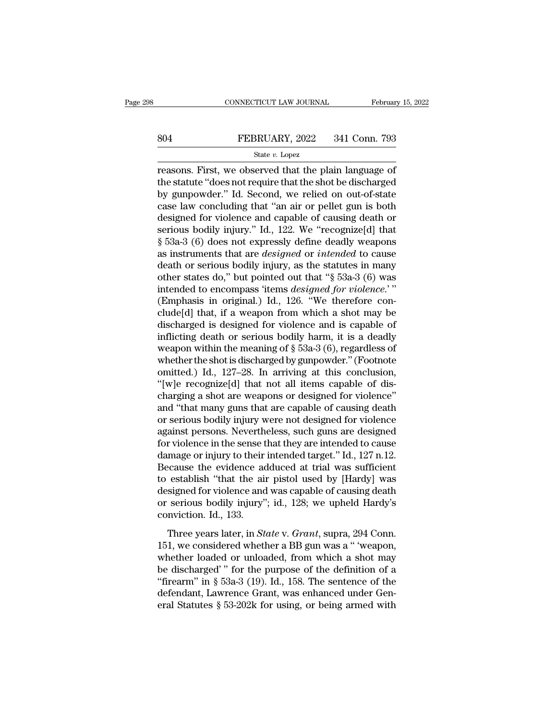# EXECUTE CONNECTICUT LAW JOURNAL February 15, 2022<br>804 FEBRUARY, 2022 341 Conn. 793<br>814 State v. Lopez

### State *v.* Lopez

CONNECTICUT LAW JOURNAL February 15, 202<br>
FEBRUARY, 2022 341 Conn. 793<br>
State v. Lopez<br>
Feasons. First, we observed that the plain language of<br>
the statute "does not require that the shot be discharged<br>
by gunpowder." Id. FEBRUARY, 2022 341 Conn. 793<br>
State  $v$ . Lopez<br>
Teasons. First, we observed that the plain language of<br>
the statute "does not require that the shot be discharged<br>
by gunpowder." Id. Second, we relied on out-of-state<br>
asso Both Both Both Both State v. Lopez<br>
State v. Lopez<br>
State v. Lopez<br>
Treasons. First, we observed that the plain language of<br>
the statute "does not require that the shot be discharged<br>
by gunpowder." Id. Second, we relied SO4 FEBRUARY, 2022 341 Conn. 793<br>
State v. Lopez<br>
reasons. First, we observed that the plain language of<br>
the statute "does not require that the shot be discharged<br>
by gunpowder." Id. Second, we relied on out-of-state<br>
ca State v. Lopez<br>
reasons. First, we observed that the plain language of<br>
the statute "does not require that the shot be discharged<br>
by gunpowder." Id. Second, we relied on out-of-state<br>
case law concluding that "an air or state v. Lopez<br>
reasons. First, we observed that the plain language of<br>
the statute "does not require that the shot be discharged<br>
by gunpowder." Id. Second, we relied on out-of-state<br>
case law concluding that "an air or reasons. First, we observed that the plain language of<br>the statute "does not require that the shot be discharged<br>by gunpowder." Id. Second, we relied on out-of-state<br>case law concluding that "an air or pellet gun is both<br>d the statute "does not require that the shot be discharged<br>by gunpowder." Id. Second, we relied on out-of-state<br>case law concluding that "an air or pellet gun is both<br>designed for violence and capable of causing death or<br>se by gunpowder." Id. Second, we relied on out-of-state<br>case law concluding that "an air or pellet gun is both<br>designed for violence and capable of causing death or<br>serious bodily injury." Id., 122. We "recognize[d] that<br>§ 53 case law concluding that "an air or pellet gun is both<br>designed for violence and capable of causing death or<br>serious bodily injury." Id., 122. We "recognize[d] that<br> $$53a-3$  (6) does not expressly define deadly weapons<br>as designed for violence and capable of causing death or<br>serious bodily injury." Id., 122. We "recognize[d] that<br>§ 53a-3 (6) does not expressly define deadly weapons<br>as instruments that are *designed* or *intended* to cause<br>d serious bodily injury." Id., 122. We "recognize[d] that  $\S$  53a-3 (6) does not expressly define deadly weapons<br>as instruments that are *designed* or *intended* to cause<br>death or serious bodily injury, as the statutes in m § 53a-3 (6) does not expressly define deadly weapons<br>as instruments that are *designed* or *intended* to cause<br>death or serious bodily injury, as the statutes in many<br>other states do," but pointed out that "§ 53a-3 (6) wa as instruments that are *designed* or *intended* to cause<br>death or serious bodily injury, as the statutes in many<br>other states do," but pointed out that "§ 53a-3 (6) was<br>intended to encompass 'items *designed for violence* death or serious bodily injury, as the statutes in many<br>other states do," but pointed out that " $\S$  53a-3 (6) was<br>intended to encompass 'items *designed for violence*.'"<br>(Emphasis in original.) Id., 126. "We therefore con other states do," but pointed out that "§ 53a-3 (6) was<br>intended to encompass 'items *designed for violence*."<br>(Emphasis in original.) Id., 126. "We therefore con-<br>clude[d] that, if a weapon from which a shot may be<br>disch intended to encompass 'items *designed for violence.*'"<br>(Emphasis in original.) Id., 126. "We therefore conclude[d] that, if a weapon from which a shot may be<br>discharged is designed for violence and is capable of<br>inflictin (Emphasis in original.) Id., 126. "We therefore conclude[d] that, if a weapon from which a shot may be discharged is designed for violence and is capable of inflicting death or serious bodily harm, it is a deadly weapon w clude[d] that, if a weapon from which a shot may be<br>discharged is designed for violence and is capable of<br>inflicting death or serious bodily harm, it is a deadly<br>weapon within the meaning of § 53a-3 (6), regardless of<br>whet discharged is designed for violence and is capable of<br>inflicting death or serious bodily harm, it is a deadly<br>weapon within the meaning of § 53a-3 (6), regardless of<br>whether the shot is discharged by gunpowder." (Footnote<br> inflicting death or serious bodily harm, it is a deadly<br>weapon within the meaning of  $\S$  53a-3 (6), regardless of<br>whether the shot is discharged by gunpowder." (Footnote<br>omitted.) Id., 127–28. In arriving at this conclusi weapon within the meaning of  $\S$  53a-3 (6), regardless of<br>whether the shot is discharged by gunpowder." (Footnote<br>omitted.) Id., 127–28. In arriving at this conclusion,<br>"[w]e recognize[d] that not all items capable of dis whether the shot is discharged by gunpowder." (Footnote<br>omitted.) Id., 127–28. In arriving at this conclusion,<br>"[w]e recognize[d] that not all items capable of dis-<br>charging a shot are weapons or designed for violence"<br>and omitted.) Id., 127–28. In arriving at this conclusion,<br>"[w]e recognize[d] that not all items capable of discharging a shot are weapons or designed for violence"<br>and "that many guns that are capable of causing death<br>or seri "[w]e recognize[d] that not all items capable of discharging a shot are weapons or designed for violence"<br>and "that many guns that are capable of causing death<br>or serious bodily injury were not designed for violence<br>agains charging a shot are weapons or designed for violence"<br>and "that many guns that are capable of causing death<br>or serious bodily injury were not designed for violence<br>against persons. Nevertheless, such guns are designed<br>for and "that many guns that are capable of causing death<br>or serious bodily injury were not designed for violence<br>against persons. Nevertheless, such guns are designed<br>for violence in the sense that they are intended to cause<br> or serious bodily injury were not designed for violence<br>against persons. Nevertheless, such guns are designed<br>for violence in the sense that they are intended to cause<br>damage or injury to their intended target." Id., 127 n against persons. Nevertheless, such guns are designed<br>for violence in the sense that they are intended to cause<br>damage or injury to their intended target." Id., 127 n.12.<br>Because the evidence adduced at trial was sufficien for violence in the sense t<br>damage or injury to their<br>Because the evidence ac<br>to establish "that the air<br>designed for violence and<br>or serious bodily injury"<br>conviction. Id., 133.<br>Three years later, in  $St$ Example of Hydry to distributed angles from the cause the evidence adduced at trial was sufficient establish "that the air pistol used by [Hardy] was signed for violence and was capable of causing death serious bodily inju Lecales are critative attacted at that was summer<br>to establish "that the air pistol used by [Hardy] was<br>designed for violence and was capable of causing death<br>or serious bodily injury"; id., 128; we upheld Hardy's<br>convicti

designed for violence and was capable of causing death<br>or serious bodily injury"; id., 128; we upheld Hardy's<br>conviction. Id., 133.<br>Three years later, in *State* v. *Grant*, supra, 294 Conn.<br>151, we considered whether a B or serious bodily injury"; id., 128; we upheld Hardy's conviction. Id., 133.<br>Three years later, in *State* v. *Grant*, supra, 294 Conn.<br>151, we considered whether a BB gun was a " 'weapon, whether loaded or unloaded, from Three years later, in *State v. Grant*, supra, 294 Conn.<br>
151, we considered whether a BB gun was a " weapon,<br>
whether loaded or unloaded, from which a shot may<br>
be discharged' " for the purpose of the definition of a<br>
"f Three years later, in *State* v. *Grant*, supra, 294 Conn.<br>151, we considered whether a BB gun was a " 'weapon,<br>whether loaded or unloaded, from which a shot may<br>be discharged' " for the purpose of the definition of a<br>"fi Three years later, in *State* v. *Grant*, supra, 294 Conn.<br>151, we considered whether a BB gun was a " 'weapon,<br>whether loaded or unloaded, from which a shot may<br>be discharged' " for the purpose of the definition of a<br>"fi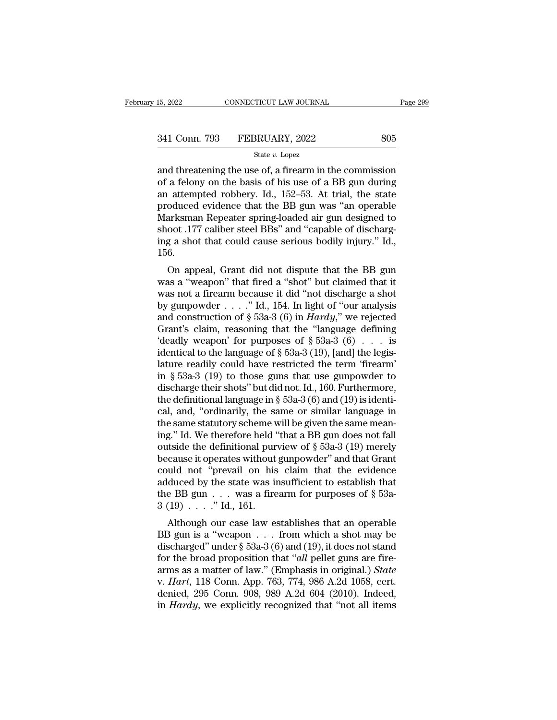15, 2022 CONNECTICUT LAW JOURNAL Page 299<br>  $\frac{341 \text{ Conn. } 793 \qquad \text{FEBRUARY, } 2022 \qquad \qquad 805}{\text{State } v. \text{ Lopez}}$ <br>
and threatening the use of, a firearm in the commission<br>
of a felony on the basis of his use of a BB gun during<br>
an at 341 Conn. 793 FEBRUARY, 2022 805<br>
state v. Lopez<br>
and threatening the use of, a firearm in the commission<br>
of a felony on the basis of his use of a BB gun during<br>
an attempted robbery. Id., 152–53. At trial, the state<br>
pr 341 Conn. 793 FEBRUARY, 2022 805<br>
State *v*. Lopez<br>
and threatening the use of, a firearm in the commission<br>
of a felony on the basis of his use of a BB gun during<br>
an attempted robbery. Id., 152–53. At trial, the state<br> 341 Conn. 793 FEBRUARY, 2022 805<br>
state *v*. Lopez<br>
and threatening the use of, a firearm in the commission<br>
of a felony on the basis of his use of a BB gun during<br>
an attempted robbery. Id., 152–53. At trial, the state<br> State v. Lopez<br>
State v. Lopez<br>
and threatening the use of, a firearm in the commission<br>
of a felony on the basis of his use of a BB gun during<br>
an attempted robbery. Id., 152–53. At trial, the state<br>
produced evidence th state *v*. Lopez<br>and threatening the use of, a firearm in the commission<br>of a felony on the basis of his use of a BB gun during<br>an attempted robbery. Id., 152–53. At trial, the state<br>produced evidence that the BB gun was " and threatening the use of, a firearm in the commission<br>of a felony on the basis of his use of a BB gun during<br>an attempted robbery. Id., 152–53. At trial, the state<br>produced evidence that the BB gun was "an operable<br>Marks 156. attempted robbery. Id., 152–55. At that, the state<br>oduced evidence that the BB gun was "an operable<br>arksman Repeater spring-loaded air gun designed to<br>oot .177 caliber steel BBs" and "capable of discharg-<br>g a shot that cou produced evidence that the BB gult was all operable<br>Marksman Repeater spring-loaded air gun designed to<br>shoot .177 caliber steel BBs" and "capable of discharg-<br>ing a shot that could cause serious bodily injury." Id.,<br>156.<br>

was a shot that could cause serious bodily injury." Id.,<br>shoot .177 caliber steel BBs" and "capable of discharg-<br>ing a shot that could cause serious bodily injury." Id.,<br>156.<br>On appeal, Grant did not dispute that the BB g shoot .177 cannel steel DDS and Capable of uschang-<br>ing a shot that could cause serious bodily injury." Id.,<br>156.<br>On appeal, Grant did not dispute that the BB gun<br>was a "weapon" that fired a "shot" but claimed that it<br>was and count cause serious bouny injury. Tu.,<br>156.<br>
On appeal, Grant did not dispute that the BB gun<br>
was a "weapon" that fired a "shot" but claimed that it<br>
was not a firearm because it did "not discharge a shot<br>
by gunpowd Too.<br>
On appeal, Grant did not dispute that the BB gun<br>
was a "weapon" that fired a "shot" but claimed that it<br>
was not a firearm because it did "not discharge a shot<br>
by gunpowder . . . . " Id., 154. In light of "our ana On appeal, Grant did not dispute that the BB gun<br>was a "weapon" that fired a "shot" but claimed that it<br>was not a firearm because it did "not discharge a shot<br>by gunpowder . . . . " Id., 154. In light of "our analysis<br>and was a "weapon" that fired a "shot" but claimed that it<br>was not a firearm because it did "not discharge a shot<br>by gunpowder . . . ." Id., 154. In light of "our analysis<br>and construction of § 53a-3 (6) in *Hardy*," we rejec was not a firearm because it did "not discharge a shot<br>by gunpowder . . . . " Id., 154. In light of "our analysis<br>and construction of § 53a-3 (6) in *Hardy*," we rejected<br>Grant's claim, reasoning that the "language defini by gunpowder . . . ." Id., 154. In light of "our analysis<br>and construction of § 53a-3 (6) in *Hardy*," we rejected<br>Grant's claim, reasoning that the "language defining<br>"deadly weapon" for purposes of § 53a-3 (6) . . . is<br> and construction of § 53a-3 (6) in *Hardy*," we rejected<br>Grant's claim, reasoning that the "language defining<br>'deadly weapon' for purposes of § 53a-3 (6) . . . is<br>identical to the language of § 53a-3 (19), [and] the legis Grant's claim, reasoning that the "language defining"<br>
deadly weapon' for purposes of  $\S 53a-3 (6) \ldots$  is<br>
identical to the language of  $\S 53a-3 (19)$ , [and] the legis-<br>
lature readily could have restricted the term "firear 'deadly weapon' for purposes of  $\S$  53a-3 (6) . . . is<br>identical to the language of  $\S$  53a-3 (19), [and] the legis-<br>lature readily could have restricted the term 'firearm'<br>in  $\S$  53a-3 (19) to those guns that use gunpowd identical to the language of § 53a-3 (19), [and] the legis-<br>lature readily could have restricted the term 'firearm'<br>in § 53a-3 (19) to those guns that use gunpowder to<br>discharge their shots" but did not. Id., 160. Further lature readily could have restricted the term 'firearm'<br>
in § 53a-3 (19) to those guns that use gunpowder to<br>
discharge their shots" but did not. Id., 160. Furthermore,<br>
the definitional language in § 53a-3 (6) and (19) i in § 53a-3 (19) to those guns that use gunpowder to<br>discharge their shots" but did not. Id., 160. Furthermore,<br>the definitional language in § 53a-3 (6) and (19) is identi-<br>cal, and, "ordinarily, the same or similar langua discharge their shots" but did not. Id., 160. Furthermore,<br>the definitional language in § 53a-3 (6) and (19) is identi-<br>cal, and, "ordinarily, the same or similar language in<br>the same statutory scheme will be given the sa the definitional language in § 53a-3 (6) and (19) is identi-<br>cal, and, "ordinarily, the same or similar language in<br>the same statutory scheme will be given the same mean-<br>ing." Id. We therefore held "that a BB gun does no cal, and, "ordinarily, the same or similar language in<br>the same statutory scheme will be given the same mean-<br>ing." Id. We therefore held "that a BB gun does not fall<br>outside the definitional purview of  $\S$  53a-3 (19) mer the same statutory scheme will be given the same meaning." Id. We therefore held "that a BB gun does not fall outside the definitional purview of  $\S$  53a-3 (19) merely because it operates without gunpowder" and that Grant ing." Id. We therefore held '<br>outside the definitional pur<br>because it operates without<br>could not "prevail on his<br>adduced by the state was in<br>the BB gun . . . was a fire<br>3 (19) . . . . " Id., 161.<br>Although our case law es Example the definitional purview of  $\S$  55a-5 (19) lietery<br>cause it operates without gunpowder" and that Grant<br>uld not "prevail on his claim that the evidence<br>duced by the state was insufficient to establish that<br>e BB gun because it operates without guitpowder and that draft<br>could not "prevail on his claim that the evidence<br>adduced by the state was insufficient to establish that<br>the BB gun . . . was a firearm for purposes of  $\S$  53a-<br>3 (19

could not prevair on his claim that the evidence<br>adduced by the state was insufficient to establish that<br>the BB gun . . . was a firearm for purposes of § 53a-<br>3 (19) . . . . "Id., 161.<br>Although our case law establishes th for the BB gun  $\ldots$  was a firearm for purposes of § 53a-<br>3 (19)  $\ldots$  ." Id., 161.<br>Although our case law establishes that an operable<br>BB gun is a "weapon  $\ldots$  from which a shot may be<br>discharged" under § 53a-3 (6) and ( are BD gun  $\ldots$  was a meant for purposes or  $\S$  35a-3 (19)  $\ldots$ ." Id., 161.<br>
Although our case law establishes that an operable<br>
BB gun is a "weapon  $\ldots$  from which a shot may be<br>
discharged" under  $\S$  53a-3 (6) and (1 Although our case law establishes that an operable<br>BB gun is a "weapon  $\ldots$  from which a shot may be<br>discharged" under § 53a-3 (6) and (19), it does not stand<br>for the broad proposition that "*all* pellet guns are fire-<br>a Although our case law establishes that an operable BB gun is a "weapon . . . from which a shot may be discharged" under  $\S$  53a-3 (6) and (19), it does not stand for the broad proposition that "*all* pellet guns are firea BB gun is a "weapon . . . from which a shot may be discharged" under § 53a-3 (6) and (19), it does not stand for the broad proposition that "*all* pellet guns are firearms as a matter of law." (Emphasis in original.) *Stat*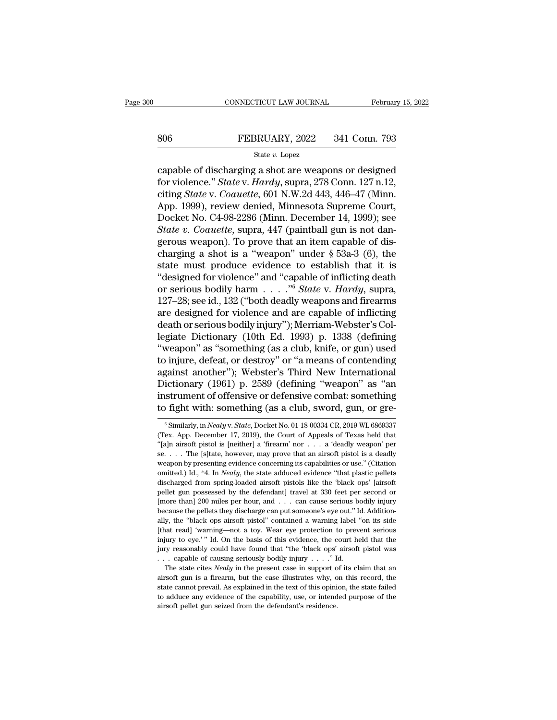# EXECUTE CONNECTICUT LAW JOURNAL February 15, 2022<br>806 FEBRUARY, 2022 341 Conn. 793<br>81 State v. Lopez

### State *v.* Lopez

CONNECTICUT LAW JOURNAL February 15, 2022<br>
State v. Lopez<br>
State v. Lopez<br>
Capable of discharging a shot are weapons or designed<br>
for violence." State v. Hardy, supra, 278 Conn. 127 n.12,<br>
citing State v. Coquette, 601 N W FEBRUARY, 2022 341 Conn. 793<br>
State v. Lopez<br>
capable of discharging a shot are weapons or designed<br>
for violence." *State* v. *Hardy*, supra, 278 Conn. 127 n.12,<br>
citing *State* v. *Coauette*, 601 N.W.2d 443, 446–47 (Minn 806 FEBRUARY, 2022 341 Conn. 793<br>
State *v*. Lopez<br>
capable of discharging a shot are weapons or designed<br>
for violence." *State* v. *Hardy*, supra, 278 Conn. 127 n.12,<br>
citing *State* v. *Coauette*, 601 N.W.2d 443, 446–47 806 FEBRUARY, 2022 341 Conn. 793<br>
State v. Lopez<br>
capable of discharging a shot are weapons or designed<br>
for violence." State v. Hardy, supra, 278 Conn. 127 n.12,<br>
citing State v. Coauette, 601 N.W.2d 443, 446–47 (Minn.<br> State v. Lopez<br>
State v. Lopez<br>
capable of discharging a shot are weapons or designed<br>
for violence." State v. Hardy, supra, 278 Conn. 127 n. 12,<br>
citing State v. Coauette, 601 N.W.2d 443, 446–47 (Minn.<br>
App. 1999), revie *State v. Lopez*<br> *State v. Lopez*<br> *State v. Hardy, supra, 278 Conn. 127 n.12,*<br> *Citing State v. Coauette,* 601 N.W.2d 443, 446–47 (Minn.<br>
App. 1999), review denied, Minnesota Supreme Court,<br>
Docket No. C4-98-2286 (Minn. capable of discharging a shot are weapons or designed<br>for violence." *State* v. *Hardy*, supra, 278 Conn. 127 n.12,<br>citing *State* v. *Coauette*, 601 N.W.2d 443, 446–47 (Minn.<br>App. 1999), review denied, Minnesota Supreme for violence." *State* v. *Hardy*, supra, 278 Conn. 127 n.12,<br>citing *State* v. *Coauette*, 601 N.W.2d 443, 446–47 (Minn.<br>App. 1999), review denied, Minnesota Supreme Court,<br>Docket No. C4-98-2286 (Minn. December 14, 1999) citing *State* v. *Coauette*, 601 N.W.2d 443, 446–47 (Minn.<br>App. 1999), review denied, Minnesota Supreme Court,<br>Docket No. C4-98-2286 (Minn. December 14, 1999); see<br>*State v. Coauette*, supra, 447 (paintball gun is not da App. 1999), review denied, Minnesota Supreme Court,<br>Docket No. C4-98-2286 (Minn. December 14, 1999); see<br>*State v. Coauette*, supra, 447 (paintball gun is not dan-<br>gerous weapon). To prove that an item capable of dis-<br>cha Docket No. C4-98-2286 (Minn. December 14, 1999); see<br>State v. Coauette, supra, 447 (paintball gun is not dan-<br>gerous weapon). To prove that an item capable of dis-<br>charging a shot is a "weapon" under § 53a-3 (6), the<br>state State v. Coauette, supra, 447 (paintball gun is not dangerous weapon). To prove that an item capable of discharging a shot is a "weapon" under § 53a-3 (6), the state must produce evidence to establish that it is "designed gerous weapon). To prove that an item capable of dis-<br>charging a shot is a "weapon" under § 53a-3 (6), the<br>state must produce evidence to establish that it is<br>"designed for violence" and "capable of inflicting death<br>or se charging a shot is a "weapon" under § 53a-3 (6), the state must produce evidence to establish that it is "designed for violence" and "capable of inflicting death or serious bodily harm  $\ldots$ " State v. Hardy, supra, 127–28 state must produce evidence to establish that it is<br>
"designed for violence" and "capable of inflicting death<br>
or serious bodily harm  $\ldots$ ."<sup>6</sup> *State* v. *Hardy*, supra,<br>
127–28; see id., 132 ("both deadly weapons and f "designed for violence" and "capable of inflicting death<br>or serious bodily harm  $\ldots$ ." "<sup>6</sup> *State* v. *Hardy*, supra,<br>127–28; see id., 132 ("both deadly weapons and firearms<br>are designed for violence and are capable of or serious bodily harm  $\ldots$  ."<sup>6</sup> *State* v. *Hardy*, supra,<br>127–28; see id., 132 ("both deadly weapons and firearms<br>are designed for violence and are capable of inflicting<br>death or serious bodily injury"); Merriam-Webst 127–28; see id., 132 ("both deadly weapons and firearms<br>are designed for violence and are capable of inflicting<br>death or serious bodily injury"); Merriam-Webster's Col-<br>legiate Dictionary (10th Ed. 1993) p. 1338 (defining<br> are designed for violence and are capable of inflicting<br>death or serious bodily injury"); Merriam-Webster's Col-<br>legiate Dictionary (10th Ed. 1993) p. 1338 (defining<br>"weapon" as "something (as a club, knife, or gun) used<br>t death or serious bodily injury"); Merriam-Webster's Collegiate Dictionary (10th Ed. 1993) p. 1338 (defining "weapon" as "something (as a club, knife, or gun) used to injure, defeat, or destroy" or "a means of contending ag legiate Dictionary (10th Ed. 1993) p. 1338 (defining<br>"weapon" as "something (as a club, knife, or gun) used<br>to injure, defeat, or destroy" or "a means of contending<br>against another"); Webster's Third New International<br>Dict gainst another"); Webster's Third New International<br>ictionary (1961) p. 2589 (defining "weapon" as "an<br>istrument of offensive or defensive combat: something<br>fight with: something (as a club, sword, gun, or gre-<br><sup>6</sup>Similarl Dictionary (1961) p. 2589 (defining "weapon" as "an instrument of offensive or defensive combat: something to fight with: something (as a club, sword, gun, or gre-<br>  $\frac{1}{6}$  Similarly, in *Nealy v. State*, Docket No. 01-

instrument of offensive or defensive combat: something<br>to fight with: something (as a club, sword, gun, or gre-<br> $\frac{1}{6}$ Similarly, in *Nealy v. State*, Docket No. 01-18-00334-CR, 2019 WL 6869337<br>(Tex. App. December 17, 2 to fight with: something (as a club, sword, gun, or gre-<br>
<sup>6</sup> Similarly, in *Nealy v. State*, Docket No. 01-18-00334-CR, 2019 WL 6869337<br>
(Tex. App. December 17, 2019), the Court of Appeals of Texas held that<br>
"[a]n airsof WE BE Similarly, in *Nealy v. State*, Docket No. 01-18-00334-CR, 2019 WL 6869337<br>
(Tex. App. December 17, 2019), the Court of Appeals of Texas held that<br>
"[a]n airsoft pistol is [neither] a 'firearm' nor . . . a 'deadly w <sup>6</sup> Similarly, in *Nealy* v. *State*, Docket No. 01-18-00334-CR, 2019 WL 6869337 (Tex. App. December 17, 2019), the Court of Appeals of Texas held that "[a]n airsoft pistol is [neither] a 'firearm' nor . . . a 'deadly wea (Tex. App. December 17, 2019), the Court of Appeals of Texas held that "[a]n airsoft pistol is [neither] a 'firearm' nor  $\ldots$  a 'deadly weapon' per se.  $\ldots$  The [s]tate, however, may prove that an airsoft pistol is a de "(all airsoft pistol is [neither] a 'firearm' nor  $\ldots$  a 'deadly weapon' per se.  $\ldots$  The [s]tate, however, may prove that an airsoft pistol is a deadly weapon by presenting evidence concerning its capabilities or use." Eq. all the perture of the perture of the perturbation of the series of the series of the series of the series per hour, the state adduced evidence "that plastic pellets discharged from spring-loaded airsoft pistols like because the pellets they discharge can put someone's eye." (Citation omitted.) Id.,  $*4$ . In *Nealy*, the state adduced evidence "that plastic pellets discharged from spring-loaded airsoft pistols like the 'black ops' [ai methed.) Id., <sup>\*4</sup>. In *Nealy*, the state adduced evidence "that plastic pellets discharged from spring-loaded airsoft pistols like the 'black ops' [airsoft pellet gun possessed by the defendant] travel at 330 feet per sec discharged from spring-loaded airsoft pistols like the 'black ops' [airsoft pellet gun possessed by the defendant] travel at 330 feet per second or [more than] 200 miles per hour, and . . . can cause serious bodily injury ingular possessed by the defendant] travel at 330 feet per second or [more than] 200 miles per hour, and . . . can cause serious bodily injury because the pellets they discharge can put someone's eye out." Id. Additionally [more than] 200 miles per hour, and . . . can cause serious bodily injury because the pellets they discharge can put someone's eye out." Id. Additionally, the "black ops airsoft pistol" contained a warning label "on its s Exercise the pellets they discharge can put someone's eye out." If because the pellets they discharge can put someone's eye out." I ally, the "black ops airsoft pistol" contained a warning label '(that read) 'warning—not y, the "black ops airsoft pistol" contained a warning label "on its side<br>at read] 'warning—not a toy. Wear eye protection to prevent serious<br>iury to eye." Id. On the basis of this evidence, the court held that the<br>ry reaso any, and a firearm, but the basis of this evidence, the court held that the jury to eye.'" Id. On the basis of this evidence, the court held that the jury reasonably could have found that "the 'black ops' airsoft pistol w

funct be explained in the basis of this evidence, the court held that the jury reasonably could have found that "the 'black ops' airsoft pistol was ... capable of causing seriously bodily injury ...." Id. The state cites the constant of the capabily could have found that "the 'black ops' airsoft pistol was  $\ldots$  capable of causing seriously bodily injury  $\ldots$ ." Id.<br>The state cites *Nealy* in the present case in support of its claim that jury reasonably could have found that "the 'black ops' airsoft pistol was . . . capable of causing seriously bodily injury . . . ." Id. The state cites *Nealy* in the present case in support of its claim that an airsoft g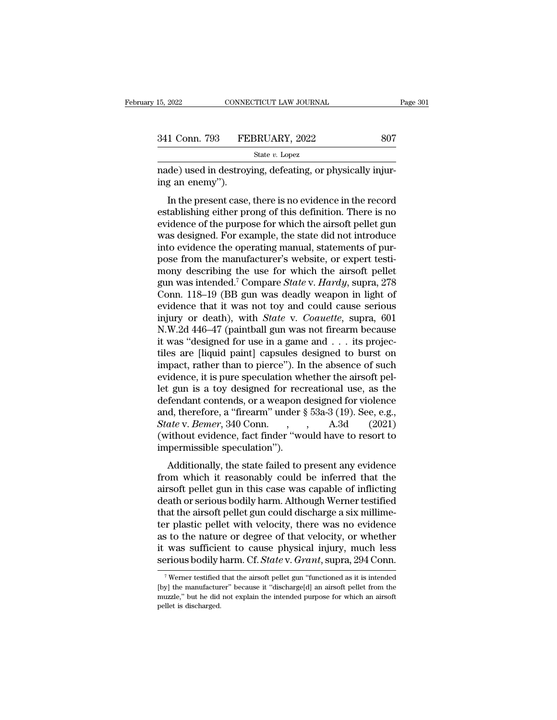| 15, 2022      | CONNECTICUT LAW JOURNAL | Page 301 |  |
|---------------|-------------------------|----------|--|
|               |                         |          |  |
| 341 Conn. 793 | FEBRUARY, 2022          | 807      |  |
|               | State v. Lopez          |          |  |

nade) used in destroying, defeating, or physically injuring an enemy"). 341 Conn. 793 FE<br>
made) used in destroy<br>
ing an enemy'').<br>
In the present case,

1 Conn. 793 FEBRUARY, 2022 807<br>
State v. Lopez<br>
de) used in destroying, defeating, or physically injur-<br>
g an enemy").<br>
In the present case, there is no evidence in the record<br>
tablishing either prong of this definition. 341 Conn. 793 FEBRUARY, 2022 807<br>
State v. Lopez<br>
made) used in destroying, defeating, or physically injur-<br>
ing an enemy").<br>
In the present case, there is no evidence in the record<br>
establishing either prong of this defi State  $v$ . Lopez<br>
made) used in destroying, defeating, or physically injur-<br>
ing an enemy").<br>
In the present case, there is no evidence in the record<br>
establishing either prong of this definition. There is no<br>
evidence of made) used in destroying, defeating, or physically injuring an enemy").<br>In the present case, there is no evidence in the record<br>establishing either prong of this definition. There is no<br>evidence of the purpose for which th rade) used in destroying, deteating, or physically hiju-<br>ing an enemy").<br>In the present case, there is no evidence in the record<br>establishing either prong of this definition. There is no<br>evidence of the purpose for which t In the present case, there is no evidence in the record establishing either prong of this definition. There is no evidence of the purpose for which the airsoft pellet gun was designed. For example, the state did not intro In the present case, there is no evidence in the record<br>establishing either prong of this definition. There is no<br>evidence of the purpose for which the airsoft pellet gun<br>was designed. For example, the state did not intro establishing either prong of this definition. There is no<br>evidence of the purpose for which the airsoft pellet gun<br>was designed. For example, the state did not introduce<br>into evidence the operating manual, statements of pu evidence of the purpose for which the airsoft pellet gun<br>was designed. For example, the state did not introduce<br>into evidence the operating manual, statements of pur-<br>pose from the manufacturer's website, or expert testi-<br> was designed. For example, the state did not introduce<br>into evidence the operating manual, statements of pur-<br>pose from the manufacturer's website, or expert testi-<br>mony describing the use for which the airsoft pellet<br>gun into evidence the operating manual, statements of pur-<br>pose from the manufacturer's website, or expert testi-<br>mony describing the use for which the airsoft pellet<br>gun was intended.<sup>7</sup> Compare *State* v. *Hardy*, supra, 278 pose from the manufacturer's website, or expert testi-<br>mony describing the use for which the airsoft pellet<br>gun was intended.<sup>7</sup> Compare *State* v. *Hardy*, supra, 278<br>Conn. 118–19 (BB gun was deadly weapon in light of<br>evi mony describing the use for which the airsoft pellet<br>gun was intended.<sup>7</sup> Compare *State* v. *Hardy*, supra, 278<br>Conn. 118–19 (BB gun was deadly weapon in light of<br>evidence that it was not toy and could cause serious<br>inju gun was intended.<sup>7</sup> Compare *State* v. *Hardy*, supra, 278<br>Conn. 118–19 (BB gun was deadly weapon in light of<br>evidence that it was not toy and could cause serious<br>injury or death), with *State* v. *Coauette*, supra, 601<br>N Conn. 118–19 (BB gun was deadly weapon in light of<br>evidence that it was not toy and could cause serious<br>injury or death), with *State* v. *Coauette*, supra, 601<br>N.W.2d 446–47 (paintball gun was not firearm because<br>it was evidence that it was not toy and could cause serious<br>injury or death), with *State* v. *Coauette*, supra, 601<br>N.W.2d 446–47 (paintball gun was not firearm because<br>it was "designed for use in a game and . . . its projec-<br>ti injury or death), with *State* v. *Coauette*, supra, 601<br>N.W.2d 446–47 (paintball gun was not firearm because<br>it was "designed for use in a game and . . . its projec-<br>tiles are [liquid paint] capsules designed to burst on N.W.2d 446–47 (paintball gun was not firearm because<br>it was "designed for use in a game and . . . its projec-<br>tiles are [liquid paint] capsules designed to burst on<br>impact, rather than to pierce"). In the absence of such<br> it was "designed for use in a game and . . . its projectiles are [liquid paint] capsules designed to burst on impact, rather than to pierce"). In the absence of such evidence, it is pure speculation whether the airsoft pe tiles are [liquid paint] capsules designed to burst on<br>impact, rather than to pierce"). In the absence of such<br>evidence, it is pure speculation whether the airsoft pel-<br>let gun is a toy designed for recreational use, as th impact, rather than to pierce"). In the absence of such<br>evidence, it is pure speculation whether the airsoft pel-<br>let gun is a toy designed for recreational use, as the<br>defendant contends, or a weapon designed for violenc evidence, it is pure speculation where gun is a toy designed for reculation is a toy designed for reculational, therefore, a "firearm" under  $\frac{State}{State}$  v. *Bemer*, 340 Conn. , (without evidence, fact finder "we impermissibl Equal is a toy designed for recreational disc, as the fendant contends, or a weapon designed for violence d, therefore, a "firearm" under  $\S$  53a-3 (19). See, e.g., ate v. Bemer, 340 Conn. , , , , , , A.3d (2021) ithout e from which it reasonably could be inferred that the

and, therefore, a meaning under  $\frac{1}{2}$  boa<sup>5</sup> (15). Sec, e.g.,<br>State v. Bemer, 340 Conn. , , , A.3d (2021)<br>(without evidence, fact finder "would have to resort to<br>impermissible speculation").<br>Additionally, the state fa death or series, see colline and the material (without evidence, fact finder "would have to resort to impermissible speculation").<br>Additionally, the state failed to present any evidence from which it reasonably could be in (whilout evidence, fact filder would have to resort to<br>impermissible speculation").<br>Additionally, the state failed to present any evidence<br>from which it reasonably could be inferred that the<br>airsoft pellet gun in this case Additionally, the state failed to present any evidence<br>from which it reasonably could be inferred that the<br>airsoft pellet gun in this case was capable of inflicting<br>death or serious bodily harm. Although Werner testified<br>t Additionally, the state failed to present any evidence<br>from which it reasonably could be inferred that the<br>airsoft pellet gun in this case was capable of inflicting<br>death or serious bodily harm. Although Werner testified<br>t from which it reasonably could be inferred that the<br>airsoft pellet gun in this case was capable of inflicting<br>death or serious bodily harm. Although Werner testified<br>that the airsoft pellet gun could discharge a six millim airsoft pellet gun in this case was capable of inflicting<br>death or serious bodily harm. Although Werner testified<br>that the airsoft pellet gun could discharge a six millime-<br>ter plastic pellet with velocity, there was no ev For plastic pellet with velocity, there was no evidence<br>s to the nature or degree of that velocity, or whether<br>was sufficient to cause physical injury, much less<br>prious bodily harm. Cf. State v. Grant, supra, 294 Conn.<br> $\$ as to the nature or degree of that velocity, or whether<br>it was sufficient to cause physical injury, much less<br>serious bodily harm. Cf. *State* v. *Grant*, supra, 294 Conn.<br><sup>7</sup> Werner testified that the airsoft pellet gun

it was sufficient to cause physical injury, much less<br>serious bodily harm. Cf. *State* v. *Grant*, supra, 294 Conn.<br><sup>7</sup>Werner testified that the airsoft pellet gun "functioned as it is intended<br>[by] the manufacturer" becau perious bodily l<br>
Five a set in the manufacture<br>
pellet is discharged.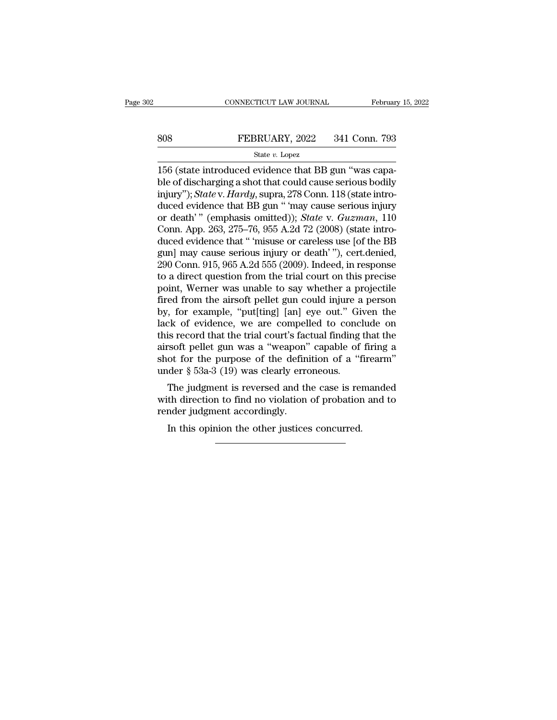# EXECUTE CONNECTICUT LAW JOURNAL February 15, 2022<br>808 FEBRUARY, 2022 341 Conn. 793<br>81 State v. Lopez

### State *v.* Lopez

CONNECTICUT LAW JOURNAL Februar<br>
156 (state introduced evidence that BB gun "was capa-<br>
156 (state introduced evidence that BB gun "was capa-<br>
ble of discharging a shot that could cause serious bodily<br>
injury"): Statey Har Blue of discharging a shot that could cause serious bodily<br>blue of discharging a shot that could cause serious bodily<br>injury"); *State* v. *Hardy*, supra, 278 Conn. 118 (state introduced ovidence that BB gun " may cause se FEBRUARY, 2022 341 Conn. 793<br>
State *v*. Lopez<br>
156 (state introduced evidence that BB gun "was capa-<br>
ble of discharging a shot that could cause serious bodily<br>
injury"); *State* v. *Hardy*, supra, 278 Conn. 118 (state in SO8 FEBRUARY, 2022 341 Conn. 793<br>
State *v*. Lopez<br>
156 (state introduced evidence that BB gun "was capa-<br>
ble of discharging a shot that could cause serious bodily<br>
injury"); *State v. Hardy*, supra, 278 Conn. 118 (state State *v.* Lopez<br>
State *v.* Lopez<br>
156 (state introduced evidence that BB gun "was capa-<br>
ble of discharging a shot that could cause serious bodily<br>
injury"); *State* v. *Hardy*, supra, 278 Conn. 118 (state intro-<br>
duced state *v*. Lopez<br>156 (state introduced evidence that BB gun "was capa-<br>ble of discharging a shot that could cause serious bodily<br>injury"); *State* v. *Hardy*, supra, 278 Conn. 118 (state intro-<br>duced evidence that BB gun 156 (state introduced evidence that BB gun "was capa-<br>ble of discharging a shot that could cause serious bodily<br>injury"); *State* v. *Hardy*, supra, 278 Conn. 118 (state intro-<br>duced evidence that BB gun " 'may cause seri ble of discharging a shot that could cause serious bodily<br>injury"); *State* v. *Hardy*, supra, 278 Conn. 118 (state intro-<br>duced evidence that BB gun " 'may cause serious injury<br>or death' " (emphasis omitted)); *State* v. injury"); *State* v. *Hardy*, supra, 278 Conn. 118 (state introduced evidence that BB gun " 'may cause serious injury<br>or death' " (emphasis omitted)); *State* v. *Guzman*, 110<br>Conn. App. 263, 275–76, 955 A.2d 72 (2008) (st duced evidence that BB gun " 'may cause serious injury<br>or death' " (emphasis omitted)); *State* v. *Guzman*, 110<br>Conn. App. 263, 275–76, 955 A.2d 72 (2008) (state intro-<br>duced evidence that " 'misuse or careless use [of th or death'" (emphasis omitted)); *State* v. *Guzman*, 110<br>Conn. App. 263, 275–76, 955 A.2d 72 (2008) (state intro-<br>duced evidence that " 'misuse or careless use [of the BB<br>gun] may cause serious injury or death'"), cert.de Conn. App. 263, 275–76, 955 A.2d 72 (2008) (state intro-<br>duced evidence that " 'misuse or careless use [of the BB<br>gun] may cause serious injury or death' "), cert.denied,<br>290 Conn. 915, 965 A.2d 555 (2009). Indeed, in resp duced evidence that " 'misuse or careless use [of the BB<br>gun] may cause serious injury or death' "), cert.denied,<br>290 Conn. 915, 965 A.2d 555 (2009). Indeed, in response<br>to a direct question from the trial court on this pr gun] may cause serious injury or death'"), cert.denied,<br>290 Conn. 915, 965 A.2d 555 (2009). Indeed, in response<br>to a direct question from the trial court on this precise<br>point, Werner was unable to say whether a projectile 290 Conn. 915, 965 A.2d 555 (2009). Indeed, in response<br>to a direct question from the trial court on this precise<br>point, Werner was unable to say whether a projectile<br>fired from the airsoft pellet gun could injure a person to a direct question from the trial court on this precise<br>point, Werner was unable to say whether a projectile<br>fired from the airsoft pellet gun could injure a person<br>by, for example, "put[ting] [an] eye out." Given the<br>l point, Werner was unable to say whether a projectile<br>fired from the airsoft pellet gun could injure a person<br>by, for example, "put[ting] [an] eye out." Given the<br>lack of evidence, we are compelled to conclude on<br>this recor fired from the airsoft pellet gun could injure a person<br>by, for example, "put[ting] [an] eye out." Given the<br>lack of evidence, we are compelled to conclude on<br>this record that the trial court's factual finding that the<br>ai the video of evidence, we are compelled to conclude on<br>is record that the trial court's factual finding that the<br>rsoft pellet gun was a "weapon" capable of firing a<br>ot for the purpose of the definition of a "firearm"<br>der § rack of evidence, we are compened to conclude on<br>this record that the trial court's factual finding that the<br>airsoft pellet gun was a "weapon" capable of firing a<br>shot for the purpose of the definition of a "firearm"<br>under render that the that courts factorized<br>airsoft pellet gun was a "weapon"<br>shot for the purpose of the definit<br>under  $\S$  53a-3 (19) was clearly error<br>The judgment is reversed and the<br>with direction to find no violation<br>rende

ot for the purpose of the definition of a "fuder § 53a-3 (19) was clearly erroneous.<br>The judgment is reversed and the case is reach the direction to find no violation of probation<br>mder judgment accordingly.<br>In this opinion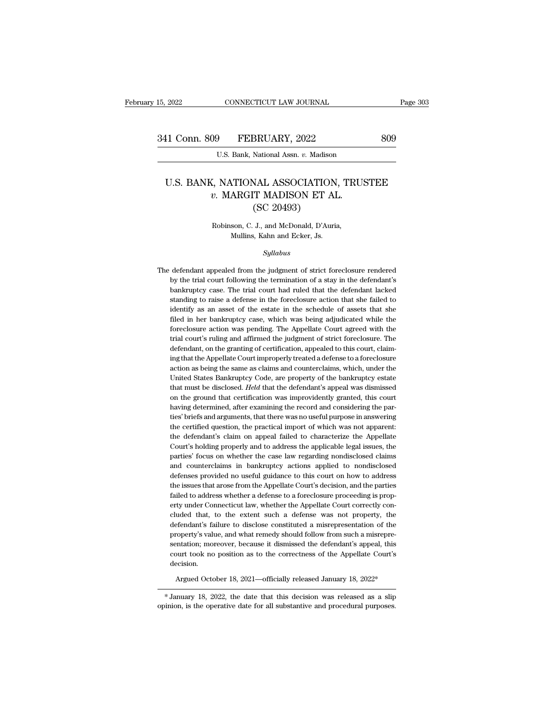### 11 Conn. 809 FEBRUARY, 2022 809<br>U.S. Bank, National Assn. v. Madison<br>U.S. BANK, NATIONAL ASSOCIATION, TRUSTEE<br>v. MARGIT MADISON ET AL. *v.* Maximal Assn. *v.* Maximal Assn. *v.* Maximal Assn. *v.* Maximal Association, TRUS<br>*v.* MARGIT MADISON ET AL. (SC 20493) BRUARY, 2022<br>
National Assn. v. Madison<br>
NAL ASSOCIATION<br>
T MADISON ET Al<br>
(SC 20493)<br>
J., and McDonald, D'Auri U.S. BANK, NATIONAL ASSOCIATION, TRUSTEE<br>  $v.$  MARGIT MADISON ET AL.<br>
(SC 20493)<br>
Robinson, C. J., and McDonald, D'Auria,<br>
Mullins, Kahn and Ecker, Js.  $v$ . MARGIT MADISON ET AL.

### *Syllabus*

Robinson, C. J., and McDonald, D'Auria,<br>Mullins, Kahn and Ecker, Js.<br>Syllabus<br>The defendant appealed from the judgment of strict foreclosure rendered<br>by the trial court following the termination of a stay in the defendant' by the trial court following the termination of a stay in the defendant appealed from the judgment of strict foreclosure rendered<br>by the trial court following the termination of a stay in the defendant's<br>bankruptcy case. T Mullins, Kann and Ecker, Js.<br>
Syllabus<br>
defendant appealed from the judgment of strict foreclosure rendered<br>
by the trial court following the termination of a stay in the defendant's<br>
bankruptcy case. The trial court had r  $\label{eq:22} Syllabus$  defendant appealed from the judgment of strict fore<br>closure rendered by the trial court following the termination of a stay in the defendant's bank<br>ruptcy case. The trial court had ruled that the defendant l defendant appealed from the judgment of strict foreclosure rendered<br>by the trial court following the termination of a stay in the defendant's<br>bankruptcy case. The trial court had ruled that the defendant lacked<br>standing to defendant appealed from the judgment of strict foreclosure rendered<br>by the trial court following the termination of a stay in the defendant's<br>bankruptcy case. The trial court had ruled that the defendant lacked<br>standing to by the trial court following the termination of a stay in the defendant's bankruptcy case. The trial court had ruled that the defendant lacked standing to raise a defense in the foreclosure action that she failed to identi bankruptcy case. The trial court had ruled that the defendant lacked standing to raise a defense in the foreclosure action that she filed to identify as an asset of the estate in the schedule of assets that she filed in he bankruptcy case. The trial court had ruled that the defendant lacked standing to raise a defense in the foreclosure action that she failed to identify as an asset of the estate in the schedule of assets that she filed in identify as an asset of the estate in the schedule of assets that she<br>filed in her bankruptcy case, which was being adjudicated while the<br>foreclosure action was pending. The Appellate Court agreed with the<br>trial court's ru filed in her bankruptcy case, which was being adjudicated while the foreclosure action was pending. The Appellate Court agreed with the trial court's ruling and affirmed the judgment of strict foreclosure. The defendant, o foreclosure action was pending. The Appellate Court agreed with the trial court's ruling and affirmed the judgment of strict foreclosure. The defendant, on the granting of certification, appealed to this court, claiming th trial court's ruling and affirmed the judgment of strict foreclosure. The defendant, on the granting of certification, appealed to this court, claiming that the Appellate Court improperly treated a defense to a foreclosure defendant, on the granting of certification, appealed to this court, claiming that the Appellate Court improperly treated a defense to a foreclosure action as being the same as claims and counterclaims, which, under the Un ing that the Appellate Court improperly treated a defense to a foreclosure action as being the same as claims and counterclaims, which, under the United States Bankruptcy Code, are property of the bankruptcy estate that mu action as being the same as claims and counterclaims, which, under the United States Bankruptcy Code, are property of the bankruptcy estate that must be disclosed. Held that the defendant's appeal was dismissed on the grou United States Bankruptcy Code, are property of the bankruptcy estate<br>that must be disclosed. *Held* that the defendant's appeal was dismissed<br>on the ground that certification was improvidently granted, this court<br>having de that must be disclosed. *Held* that the defendant's appeal was dismissed<br>on the ground that certification was improvidently granted, this court<br>having determined, after examining the record and considering the par-<br>ties' b on the ground that certification was improvidently granted, this court<br>having determined, after examining the record and considering the par-<br>ties' briefs and arguments, that there was no useful purpose in answering<br>the ce having determined, after examining the record and considering the parties' briefs and arguments, that there was no useful purpose in answering the certified question, the practical import of which was not apparent: the def ties' briefs and arguments, that there was no useful purpose in answering<br>the certified question, the practical import of which was not apparent:<br>the defendant's claim on appeal failed to characterize the Appellate<br>Court's the certified question, the practical import of which was not apparent:<br>the defendant's claim on appeal failed to characterize the Appellate<br>Court's holding properly and to address the applicable legal issues, the<br>parties' the defendant's claim on appeal failed to characterize the Appellate Court's holding properly and to address the applicable legal issues, the parties' focus on whether the case law regarding nondisclosed claims and counter Court's holding properly and to address the applicable legal issues, the parties' focus on whether the case law regarding nondisclosed claims and counterclaims in bankruptcy actions applied to nondisclosed defenses provide parties' focus on whether the case law regarding nondisclosed claims<br>and counterclaims in bankruptcy actions applied to nondisclosed<br>defenses provided no useful guidance to this court on how to address<br>the issues that aro and counterclaims in bankruptcy actions applied to nondisclosed<br>defenses provided no useful guidance to this court on how to address<br>the issues that arose from the Appellate Court's decision, and the parties<br>failed to addr defenses provided no useful guidance to this court on how to address<br>the issues that arose from the Appellate Court's decision, and the parties<br>failed to address whether a defense to a foreclosure proceeding is prop-<br>erty the issues that arose from the Appellate Court's decision, and the parties failed to address whether a defense to a foreclosure proceeding is property under Connecticut law, whether the Appellate Court correctly concluded failed to address whether a defense to a foreclosure proceeding is property under Connecticut law, whether the Appellate Court correctly concluded that, to the extent such a defense was not property, the defendant's failur erty under Connecticut law, whether the Appellate Court correctly concluded that, to the extent such a defense was not property, the defendant's failure to disclose constituted a misrepresentation of the property's value, decision. sentation; moreover, because it dismissed the defendant's appeal, this<br>court took no position as to the correctness of the Appellate Court's<br>decision.<br>Argued October 18, 2021—officially released January 18, 2022\*<br>\*January sentation; moreover, because it dismissed the defendant's appeal, this<br>court took no position as to the correctness of the Appellate Court's<br>decision.<br>Argued October 18, 2021—officially released January 18, 2022\*<br>Manuary 1

ourt took no position as to the correctness of the Appellate Court's<br>decision.<br>Argued October 18, 2021—officially released January 18, 2022\*<br>\*January 18, 2022, the date that this decision was released as a slip<br>opinion, is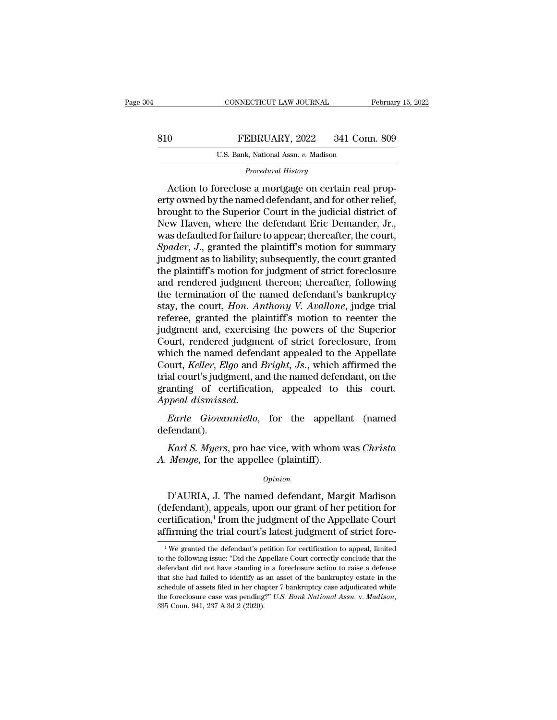### EXECUTE CONNECTICUT LAW JOURNAL February 15, 2022<br>810 FEBRUARY, 2022 341 Conn. 809<br>U.S. Bank, National Assn. v. Madison EXECTICUT LAW JOURNAL<br>
FEBRUARY, 2022 341 Conr<br>
U.S. Bank, National Assn. *v.* Madison<br>
Procedural History *PEBRUARY*, 2022 341 Conn. 809<br> *U.S. Bank, National Assn. v. Madison*<br> *Procedural History*<br> *Procedural History*<br> *Procedural History*

O<br>
FEBRUARY, 2022 341 Conn. 809<br>
U.S. Bank, National Assn. v. Madison<br>
Procedural History<br>
Action to foreclose a mortgage on certain real prop-<br>
ty owned by the named defendant, and for other relief,<br>
evant to the Superior ERRUARY, 2022 341 Conn. 809<br>
U.S. Bank, National Assn. v. Madison<br>
Procedural History<br>
Action to foreclose a mortgage on certain real property<br>
owned by the named defendant, and for other relief,<br>
brought to the Superior C Browner, Maximid Assn. v. Madison<br>
U.S. Bank, National Assn. v. Madison<br>
Procedural History<br>
Action to foreclose a mortgage on certain real property<br>
owned by the named defendant, and for other relief,<br>
brought to the Sup U.S. Bank, National Assn. v. Madison<br>
Procedural History<br>
Action to foreclose a mortgage on certain real prop-<br>
erty owned by the named defendant, and for other relief,<br>
brought to the Superior Court in the judicial distri *Procedural History*<br>Action to foreclose a mortgage on certain real prop-<br>erty owned by the named defendant, and for other relief,<br>brought to the Superior Court in the judicial district of<br>New Haven, where the defendant Er *Frocedural History*<br>Action to foreclose a mortgage on certain real prop-<br>erty owned by the named defendant, and for other relief,<br>brought to the Superior Court in the judicial district of<br>New Haven, where the defendant Er Action to foreclose a mortgage on certain real property owned by the named defendant, and for other relief, brought to the Superior Court in the judicial district of New Haven, where the defendant Eric Demander, Jr., was d erty owned by the named defendant, and for other relief,<br>brought to the Superior Court in the judicial district of<br>New Haven, where the defendant Eric Demander, Jr.,<br>was defaulted for failure to appear; thereafter, the cou brought to the Superior Court in the judicial district of<br>New Haven, where the defendant Eric Demander, Jr.,<br>was defaulted for failure to appear; thereafter, the court,<br>Spader, J., granted the plaintiff's motion for summar New Haven, where the defendant Eric Demander, Jr.,<br>was defaulted for failure to appear; thereafter, the court,<br>*Spader*, J., granted the plaintiff's motion for summary<br>judgment as to liability; subsequently, the court gran was defaulted for failure to appear; thereafter, the court, *Spader*, *J.*, granted the plaintiff's motion for summary judgment as to liability; subsequently, the court granted the plaintiff's motion for judgment of strict Spader, J., granted the plaintiff's motion for summary<br>judgment as to liability; subsequently, the court granted<br>the plaintiff's motion for judgment of strict foreclosure<br>and rendered judgment thereon; thereafter, followin judgment as to liability; subsequently, the court granted<br>the plaintiff's motion for judgment of strict foreclosure<br>and rendered judgment thereon; thereafter, following<br>the termination of the named defendant's bankruptcy<br>s the plaintiff's motion for judgment of strict foreclosure<br>and rendered judgment thereon; thereafter, following<br>the termination of the named defendant's bankruptcy<br>stay, the court, *Hon. Anthony V. Avallone*, judge trial<br>re and rendered judgment thereon; thereafter, following<br>the termination of the named defendant's bankruptcy<br>stay, the court, *Hon. Anthony V. Avallone*, judge trial<br>referee, granted the plaintiff's motion to reenter the<br>judgm the termination of the named defendant's bankruptcy<br>stay, the court, *Hon. Anthony V. Avallone*, judge trial<br>referee, granted the plaintiff's motion to reenter the<br>judgment and, exercising the powers of the Superior<br>Court, stay, the court, *Hon. Anthony V. Avallone*, judge trial<br>referee, granted the plaintiff's motion to reenter the<br>judgment and, exercising the powers of the Superior<br>Court, rendered judgment of strict foreclosure, from<br>which referee, granted the plaintiff's motion to reenter the<br>judgment and, exercising the powers of the Superior<br>Court, rendered judgment of strict foreclosure, from<br>which the named defendant appealed to the Appellate<br>Court, *Ke* judgment and, exercising the powers of the Superior<br>Court, rendered judgment of strict foreclosure, from<br>which the named defendant appealed to the Appellate<br>Court, *Keller, Elgo* and *Bright*, *Js.*, which affirmed the<br>tri al court's judgment, and the named defendant, on the<br>anting of certification, appealed to this court.<br>*peal dismissed.*<br>*Karl Giovanniello*, for the appellant (named<br>fendant).<br>*Karl S. Myers*, pro hac vice, with whom was *Areal dismissed.*<br>*Appeal dismissed.*<br>*Earle Giovanniello*, for the appellant (named defendant).<br>*Karl S. Myers*, pro hac vice, with whom was *Christa A. Menge*, for the appellee (plaintiff).

defendant).

### *Opinion*

Early decompresses, for the appenant (named<br>fendant).<br> *Karl S. Myers*, pro hac vice, with whom was *Christa<br>
Menge*, for the appellee (plaintiff).<br>  $\frac{Opinion}{D'AURIA}$ , J. The named defendant, Margit Madison<br>
efendant), appeal *Karl S. Myers*, pro hac vice, with whom was *Christa*<br>A. *Menge*, for the appellee (plaintiff).<br> $o_{pinion}$ <br>D'AURIA, J. The named defendant, Margit Madison<br>(defendant), appeals, upon our grant of her petition for<br>certificati *Karl S. Myers*, pro hac vice, with whom was *Christa*<br>*A. Menge*, for the appellee (plaintiff).<br>*Opinion*<br> $D'AURIA$ , J. The named defendant, Margit Madison<br>(defendant), appeals, upon our grant of her petition for<br>certifica *A. Menge,* for the appellee (plaintiff).<br>  $\frac{Opinion}{P}$ <br>
D'AURIA, J. The named defendant, Margit Madison<br>
(defendant), appeals, upon our grant of her petition for<br>
certification,<sup>1</sup> from the judgment of the Appellate Court D'AURIA, J. The named detendant, Margit Madison<br>lefendant), appeals, upon our grant of her petition for<br>ertification,<sup>1</sup> from the judgment of the Appellate Court<br>firming the trial court's latest judgment of strict fore-<br><sup></sup> (defendant), appeals, upon our grant of her petition for certification,<sup>1</sup> from the judgment of the Appellate Court affirming the trial court's latest judgment of strict fore-<br> $\frac{1}{1}$ We granted the defendant's petition

certification,<sup>1</sup> from the judgment of the Appellate Court affirming the trial court's latest judgment of strict fore-<br> $\frac{1}{1}$ We granted the defendant's petition for certification to appeal, limited to the following iss affirming the trial court's latest judgment of strict fore-<br><sup>1</sup>We granted the defendant's petition for certification to appeal, limited<br>to the following issue: "Did the Appellate Court correctly conclude that the<br>defendant Figure 112 and 16 and 16 and 16 and 16 and 16 and 16 and 16 and 16 and 16 and 16 and 16 and 16 and 16 and 16 and 16 and 16 and 16 and 16 and 16 and 16 and 16 and 16 and 16 and 16 and 16 and 16 and 16 and 16 and 16 and 16 <sup>1</sup> We granted the defendant's petition for certification to appeal, limited to the following issue: "Did the Appellate Court correctly conclude that the defendant did not have standing in a foreclosure action to raise a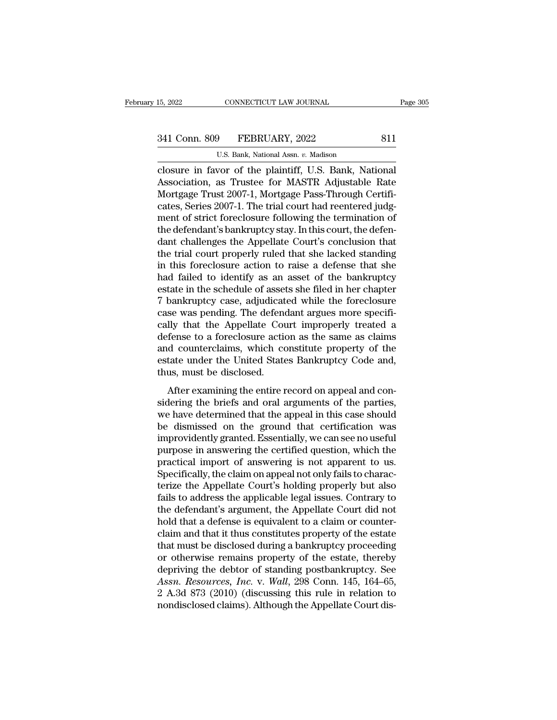# 15, 2022 CONNECTICUT LAW JOURNAL Page 305<br>341 Conn. 809 FEBRUARY, 2022 811<br>U.S. Bank, National Assn. v. Madison

CONNECTICUT LAW JOURNAL<br>
P<br>
P<br>
FEBRUARY, 2022<br>
U.S. Bank, National Assn. *v.* Madison<br>
VOT Of the plaintiff U.S. Bank Nat ER US DE THE CONNECTICUT LAW JOURNAL Page 3<br>
341 Conn. 809 FEBRUARY, 2022 811<br>
U.S. Bank, National Assn. v. Madison<br>
Closure in favor of the plaintiff, U.S. Bank, National<br>
Association, as Trustee for MASTR Adjustable Rate 341 Conn. 809 FEBRUARY, 2022 811<br>U.S. Bank, National Assn. v. Madison<br>Closure in favor of the plaintiff, U.S. Bank, National<br>Association, as Trustee for MASTR Adjustable Rate<br>Mortgage Trust 2007-1, Mortgage Pass-Through Ce 341 Conn. 809 FEBRUARY, 2022 811<br>U.S. Bank, National Assn. v. Madison<br>Closure in favor of the plaintiff, U.S. Bank, National<br>Association, as Trustee for MASTR Adjustable Rate<br>Mortgage Trust 2007-1, Mortgage Pass-Through Ce 341 Conn. 809 FEBRUARY, 2022 811<br>U.S. Bank, National Assn. v. Madison<br>closure in favor of the plaintiff, U.S. Bank, National<br>Association, as Trustee for MASTR Adjustable Rate<br>Mortgage Trust 2007-1, Mortgage Pass-Through Ce U.S. Bank, National Assn. v. Madison<br>Closure in favor of the plaintiff, U.S. Bank, National<br>Association, as Trustee for MASTR Adjustable Rate<br>Mortgage Trust 2007-1, Mortgage Pass-Through Certifi-<br>cates, Series 2007-1. The U.S. Bank, National Assn.  $v$ . Madison<br>closure in favor of the plaintiff, U.S. Bank, National<br>Association, as Trustee for MASTR Adjustable Rate<br>Mortgage Trust 2007-1, Mortgage Pass-Through Certifi-<br>cates, Series 2007-1. T closure in favor of the plaintiff, U.S. Bank, National<br>Association, as Trustee for MASTR Adjustable Rate<br>Mortgage Trust 2007-1, Mortgage Pass-Through Certifi-<br>cates, Series 2007-1. The trial court had reentered judg-<br>ment Association, as Trustee for MASTR Adjustable Rate<br>Mortgage Trust 2007-1, Mortgage Pass-Through Certificates, Series 2007-1. The trial court had reentered judgment of strict foreclosure following the termination of<br>the defe Mortgage Trust 2007-1, Mortgage Pass-Through Certificates, Series 2007-1. The trial court had reentered judgment of strict foreclosure following the termination of the defendant's bankruptcy stay. In this court, the defend cates, Series 2007-1. The trial court had reentered judgment of strict foreclosure following the termination of<br>the defendant's bankruptcy stay. In this court, the defen-<br>dant challenges the Appellate Court's conclusion th ment of strict foreclosure following the termination of<br>the defendant's bankruptcy stay. In this court, the defen-<br>dant challenges the Appellate Court's conclusion that<br>the trial court properly ruled that she lacked standi the defendant's bankruptcy stay. In this court, the defendant challenges the Appellate Court's conclusion that<br>the trial court properly ruled that she lacked standing<br>in this foreclosure action to raise a defense that she<br> dant challenges the Appellate Court's conclusion that<br>the trial court properly ruled that she lacked standing<br>in this foreclosure action to raise a defense that she<br>had failed to identify as an asset of the bankruptcy<br>esta the trial court properly ruled that she lacked standing<br>in this foreclosure action to raise a defense that she<br>had failed to identify as an asset of the bankruptcy<br>estate in the schedule of assets she filed in her chapter<br> in this foreclosure action to raise a defense that she<br>had failed to identify as an asset of the bankruptcy<br>estate in the schedule of assets she filed in her chapter<br>7 bankruptcy case, adjudicated while the foreclosure<br>cas had failed to identify as an asset of the bankruptcy<br>estate in the schedule of assets she filed in her chapter<br>7 bankruptcy case, adjudicated while the foreclosure<br>case was pending. The defendant argues more specifi-<br>cally estate in the schedule of assets she filed in her chapter 7 bankruptcy case, adjudicated while the foreclosure case was pending. The defendant argues more specifically that the Appellate Court improperly treated a defense 7 bankruptcy case, adjudicat<br>case was pending. The defend<br>cally that the Appellate Cou<br>defense to a foreclosure action<br>and counterclaims, which contacts<br>estate under the United State<br>thus, must be disclosed.<br>After examinin Ly that the Appellate Court improperly treated a<br>fense to a foreclosure action as the same as claims<br>d counterclaims, which constitute property of the<br>tate under the United States Bankruptcy Code and,<br>us, must be disclosed sidering the estate interpretation as the same as claims<br>and counterclaims, which constitute property of the<br>estate under the United States Bankruptcy Code and,<br>thus, must be disclosed.<br>After examining the entire record on

and counterclaims, which constitute property of the<br>estate under the United States Bankruptcy Code and,<br>thus, must be disclosed.<br>After examining the entire record on appeal and con-<br>sidering the briefs and oral arguments o and countertains, which constructe property of the<br>estate under the United States Bankruptcy Code and,<br>thus, must be disclosed.<br>After examining the entire record on appeal and con-<br>sidering the briefs and oral arguments of thus, must be disclosed.<br>
After examining the entire record on appeal and considering the briefs and oral arguments of the parties,<br>
we have determined that the appeal in this case should<br>
be dismissed on the ground that c After examining the entire record on appeal and considering the briefs and oral arguments of the parties, we have determined that the appeal in this case should be dismissed on the ground that certification was improvident After examining the entire record on appeal and considering the briefs and oral arguments of the parties, we have determined that the appeal in this case should be dismissed on the ground that certification was improvident sidering the briefs and oral arguments of the parties,<br>we have determined that the appeal in this case should<br>be dismissed on the ground that certification was<br>improvidently granted. Essentially, we can see no useful<br>purpo we have determined that the appeal in this case should<br>be dismissed on the ground that certification was<br>improvidently granted. Essentially, we can see no useful<br>purpose in answering the certified question, which the<br>pract be dismissed on the ground that certification was<br>improvidently granted. Essentially, we can see no useful<br>purpose in answering the certified question, which the<br>practical import of answering is not apparent to us.<br>Specifi improvidently granted. Essentially, we can see no useful<br>purpose in answering the certified question, which the<br>practical import of answering is not apparent to us.<br>Specifically, the claim on appeal not only fails to chara purpose in answering the certified question, which the practical import of answering is not apparent to us.<br>Specifically, the claim on appeal not only fails to characterize the Appellate Court's holding properly but also<br>f practical import of answering is not apparent to us.<br>Specifically, the claim on appeal not only fails to characterize the Appellate Court's holding properly but also<br>fails to address the applicable legal issues. Contrary t Specifically, the claim on appeal not only fails to characterize the Appellate Court's holding properly but also<br>fails to address the applicable legal issues. Contrary to<br>the defendant's argument, the Appellate Court did n terize the Appellate Court's holding properly but also<br>fails to address the applicable legal issues. Contrary to<br>the defendant's argument, the Appellate Court did not<br>hold that a defense is equivalent to a claim or counte fails to address the applicable legal issues. Contrary to<br>the defendant's argument, the Appellate Court did not<br>hold that a defense is equivalent to a claim or counter-<br>claim and that it thus constitutes property of the e the defendant's argument, the Appellate Court did not<br>
hold that a defense is equivalent to a claim or counter-<br>
claim and that it thus constitutes property of the estate<br>
that must be disclosed during a bankruptcy proceed hold that a defense is equivalent to a claim or counter-<br>claim and that it thus constitutes property of the estate<br>that must be disclosed during a bankruptcy proceeding<br>or otherwise remains property of the estate, thereby<br> claim and that it thus constitutes property of the estate<br>that must be disclosed during a bankruptcy proceeding<br>or otherwise remains property of the estate, thereby<br>depriving the debtor of standing postbankruptcy. See<br> $Assn$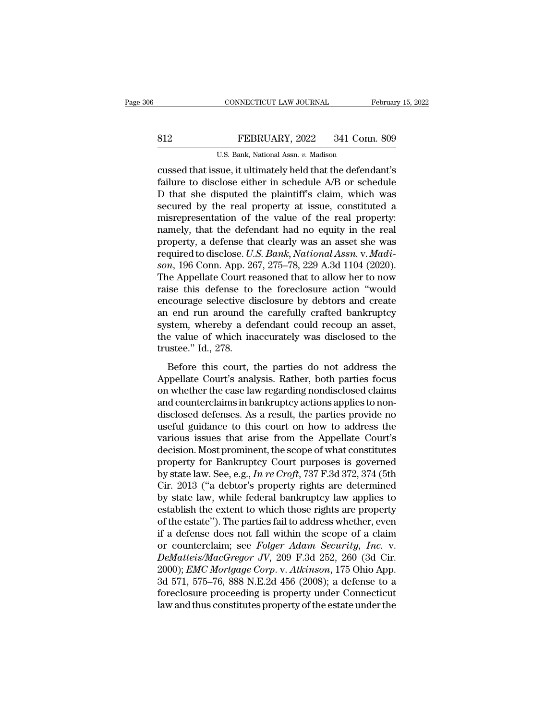# EXECUTE CONNECTICUT LAW JOURNAL February 15, 2022<br>812 FEBRUARY, 2022 341 Conn. 809<br>U.S. Bank, National Assn. v. Madison

CONNECTICUT LAW JOURNAL February 15, 2022<br> **ELERUARY**, 2022 341 Conn. 809<br>
U.S. Bank, National Assn. *v.* Madison<br>
Cussed that issue, it ultimately held that the defendant's CONNECTICUT LAW JOURNAL February 15, 2022<br>
FEBRUARY, 2022 341 Conn. 809<br>
U.S. Bank, National Assn. v. Madison<br>
Cussed that issue, it ultimately held that the defendant's<br>
failure to disclose either in schedule A/B or sched FEBRUARY, 2022 341 Conn. 809<br>U.S. Bank, National Assn. v. Madison<br>Cussed that issue, it ultimately held that the defendant's<br>failure to disclose either in schedule A/B or schedule<br>D that she disputed the plaintiff's claim, B12 FEBRUARY, 2022 341 Conn. 809<br>U.S. Bank, National Assn.  $v$ . Madison<br>Cussed that issue, it ultimately held that the defendant's<br>failure to disclose either in schedule A/B or schedule<br>D that she disputed the plaintiff's S12 FEBRUARY, 2022 341 Conn. 809<br>U.S. Bank, National Assn.  $v$ . Madison<br>cussed that issue, it ultimately held that the defendant's<br>failure to disclose either in schedule  $A/B$  or schedule<br>D that she disputed the plaintiff' U.S. Bank, National Assn. v. Madison<br>
cussed that issue, it ultimately held that the defendant's<br>
failure to disclose either in schedule  $\Delta/B$  or schedule<br>
D that she disputed the plaintiff's claim, which was<br>
secured by U.S. Bank, National Assn. v. Madison<br>cussed that issue, it ultimately held that the defendant's<br>failure to disclose either in schedule A/B or schedule<br>D that she disputed the plaintiff's claim, which was<br>secured by the re cussed that issue, it ultimately held that the defendant's<br>failure to disclose either in schedule A/B or schedule<br>D that she disputed the plaintiff's claim, which was<br>secured by the real property at issue, constituted a<br>m failure to disclose either in schedule A/B or schedule D that she disputed the plaintiff's claim, which was secured by the real property at issue, constituted a misrepresentation of the value of the real property: namely, D that she disputed the plaintiff's claim, which was<br>secured by the real property at issue, constituted a<br>misrepresentation of the value of the real property:<br>namely, that the defendant had no equity in the real<br>property, secured by the real property at issue, constituted a<br>misrepresentation of the value of the real property:<br>namely, that the defendant had no equity in the real<br>property, a defense that clearly was an asset she was<br>required misrepresentation of the value of the real property:<br>namely, that the defendant had no equity in the real<br>property, a defense that clearly was an asset she was<br>required to disclose. U.S. Bank, National Assn. v. Madi-<br>son, namely, that the defendant had no equity in the real<br>property, a defense that clearly was an asset she was<br>required to disclose. U.S. Bank, National Assn. v. Madi-<br>son, 196 Conn. App. 267, 275–78, 229 A.3d 1104 (2020).<br>The property, a defense that clearly was an asset she was<br>required to disclose. U.S. Bank, National Assn. v. Madi-<br>son, 196 Conn. App. 267, 275–78, 229 A.3d 1104 (2020).<br>The Appellate Court reasoned that to allow her to now<br>ra required to disclose. U.S. Bank, National Assn. v. Madi-<br>son, 196 Conn. App. 267, 275–78, 229 A.3d 1104 (2020).<br>The Appellate Court reasoned that to allow her to now<br>raise this defense to the foreclosure action "would<br>enco son, 196 Conn. App. 267, 275–78, 229 A.3d 1104 (2020).<br>The Appellate Court reasoned that to allow her to now<br>raise this defense to the foreclosure action "would<br>encourage selective disclosure by debtors and create<br>an end r The Appellate Court re<br>raise this defense to<br>encourage selective d<br>an end run around th<br>system, whereby a de<br>the value of which in:<br>trustee." Id., 278.<br>Before this court, 1 Before this courage selective disclosure by debtors and create<br>courage selective disclosure by debtors and create<br>end run around the carefully crafted bankruptcy<br>stem, whereby a defendant could recoup an asset,<br>e value of Encourage selective disclosure by desided and create<br>an end run around the carefully crafted bankruptcy<br>system, whereby a defendant could recoup an asset,<br>the value of which inaccurately was disclosed to the<br>trustee." Id.,

an end fan aroana are earerary erarced bandaptey<br>system, whereby a defendant could recoup an asset,<br>the value of which inaccurately was disclosed to the<br>trustee." Id., 278.<br>Before this court, the parties do not address the by seem, where y a detendant could recoup an asset,<br>the value of which inaccurately was disclosed to the<br>trustee." Id., 278.<br>Before this court, the parties do not address the<br>Appellate Court's analysis. Rather, both partie disclosed defenses.<br>
However, the parties do not address the<br>
Appellate Court's analysis. Rather, both parties focus<br>
on whether the case law regarding nondisclosed claims<br>
and counterclaims in bankruptcy actions applies t Before this court, the parties do not address the<br>Appellate Court's analysis. Rather, both parties focus<br>on whether the case law regarding nondisclosed claims<br>and counterclaims in bankruptcy actions applies to non-<br>disclos Before this court, the parties do not address the<br>Appellate Court's analysis. Rather, both parties focus<br>on whether the case law regarding nondisclosed claims<br>and counterclaims in bankruptcy actions applies to non-<br>disclos Appellate Court's analysis. Rather, both parties focus<br>on whether the case law regarding nondisclosed claims<br>and counterclaims in bankruptcy actions applies to non-<br>disclosed defenses. As a result, the parties provide no<br> on whether the case law regarding nondisclosed claims<br>and counterclaims in bankruptcy actions applies to non-<br>disclosed defenses. As a result, the parties provide no<br>useful guidance to this court on how to address the<br>var and counterclaims in bankruptcy actions applies to non-<br>disclosed defenses. As a result, the parties provide no<br>useful guidance to this court on how to address the<br>various issues that arise from the Appellate Court's<br>decis disclosed defenses. As a result, the parties provide no<br>useful guidance to this court on how to address the<br>various issues that arise from the Appellate Court's<br>decision. Most prominent, the scope of what constitutes<br>prope useful guidance to this court on how to address the<br>various issues that arise from the Appellate Court's<br>decision. Most prominent, the scope of what constitutes<br>property for Bankruptcy Court purposes is governed<br>by state l various issues that arise from the Appellate Court's<br>decision. Most prominent, the scope of what constitutes<br>property for Bankruptcy Court purposes is governed<br>by state law. See, e.g., In re Croft, 737 F.3d 372, 374 (5th<br>C decision. Most prominent, the scope of what constitutes<br>property for Bankruptcy Court purposes is governed<br>by state law. See, e.g., In re Croft, 737 F.3d 372, 374 (5th<br>Cir. 2013 ("a debtor's property rights are determined<br> property for Bankruptcy Court purposes is governed<br>by state law. See, e.g., *In re Croft*, 737 F.3d 372, 374 (5th<br>Cir. 2013 ("a debtor's property rights are determined<br>by state law, while federal bankruptcy law applies to by state law. See, e.g., *In re Croft*, 737 F.3d 372, 374 (5th Cir. 2013 ("a debtor's property rights are determined by state law, while federal bankruptcy law applies to establish the extent to which those rights are prop Cir. 2013 ("a debtor's property rights are determined<br>by state law, while federal bankruptcy law applies to<br>establish the extent to which those rights are property<br>of the estate"). The parties fail to address whether, even by state law, while federal bankruptcy law applies to<br>establish the extent to which those rights are property<br>of the estate"). The parties fail to address whether, even<br>if a defense does not fall within the scope of a clai establish the extent to which those rights are property<br>of the estate"). The parties fail to address whether, even<br>if a defense does not fall within the scope of a claim<br>or counterclaim; see *Folger Adam Security, Inc.* v. of the estate"). The parties fail to address whether, even<br>if a defense does not fall within the scope of a claim<br>or counterclaim; see *Folger Adam Security, Inc.* v.<br>DeMatteis/MacGregor JV, 209 F.3d 252, 260 (3d Cir.<br>2000 if a defense does not fall within the scope of a claim<br>or counterclaim; see *Folger Adam Security*, *Inc.* v.<br>*DeMatteis/MacGregor JV*, 209 F.3d 252, 260 (3d Cir.<br>2000); *EMC Mortgage Corp.* v. *Atkinson*, 175 Ohio App.<br>3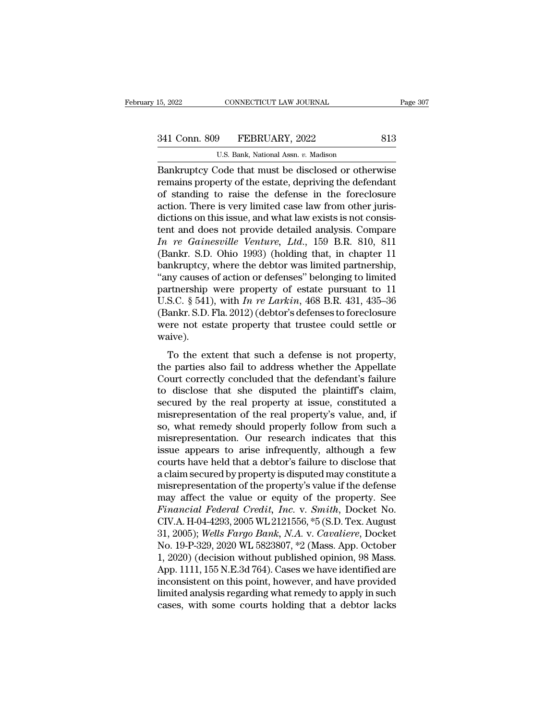# 15, 2022 CONNECTICUT LAW JOURNAL Page 307<br>341 Conn. 809 FEBRUARY, 2022 813<br>U.S. Bank, National Assn. v. Madison

CONNECTICUT LAW JOURNAL<br>
P<br>
FEBRUARY, 2022<br>
U.S. Bank, National Assn. *v.* Madison<br>
Code that must be disclosed or other EREGALE CONNECTICUT LAW JOURNAL Page 307<br>
Bankruptcy Code that must be disclosed or otherwise<br>
Temains property of the estate, depriving the defendant<br>
Consider the defense in the foredosure 341 Conn. 809 FEBRUARY, 2022 813<br>U.S. Bank, National Assn. v. Madison<br>Bankruptcy Code that must be disclosed or otherwise<br>remains property of the estate, depriving the defendant<br>of standing to raise the defense in the fore 341 Conn. 809 FEBRUARY, 2022 813<br>
U.S. Bank, National Assn.  $v$ . Madison<br>
Bankruptcy Code that must be disclosed or otherwise<br>
remains property of the estate, depriving the defendant<br>
of standing to raise the defense in t 341 Conn. 809 FEBRUARY, 2022 813<br>U.S. Bank, National Assn. v. Madison<br>Bankruptcy Code that must be disclosed or otherwise<br>remains property of the estate, depriving the defendant<br>of standing to raise the defense in the fore U.S. Bank, National Assn. v. Madison<br>
Bankruptcy Code that must be disclosed or otherwise<br>
remains property of the estate, depriving the defendant<br>
of standing to raise the defense in the foreclosure<br>
action. There is ver U.S. Bank, National Assn.  $v$ . Madison<br>
Bankruptcy Code that must be disclosed or otherwise<br>
remains property of the estate, depriving the defendant<br>
of standing to raise the defense in the foreclosure<br>
action. There is v Bankruptcy Code that must be disclosed or otherwise<br>remains property of the estate, depriving the defendant<br>of standing to raise the defense in the foreclosure<br>action. There is very limited case law from other juris-<br>dicti remains property of the estate, depriving the defendant<br>of standing to raise the defense in the foreclosure<br>action. There is very limited case law from other juris-<br>dictions on this issue, and what law exists is not consi of standing to raise the defense in the foreclosure<br>action. There is very limited case law from other juris-<br>dictions on this issue, and what law exists is not consis-<br>tent and does not provide detailed analysis. Compare<br> action. There is very limited case law from other juris-<br>
dictions on this issue, and what law exists is not consis-<br>
tent and does not provide detailed analysis. Compare<br>  $In$   $re$   $Gainesville$   $Venture$ ,  $Ltd$ ,  $159$  B.R.  $810$ ,  $811$ dictions on this issue, and what law exists is not consistent and does not provide detailed analysis. Compare  $In$   $re$   $Gainesville$   $Venture$ ,  $Ltd$ ,  $159$  B.R. 810, 811 (Bankr. S.D. Ohio 1993) (holding that, in chapter 11 bankruptcy tent and does not provide detailed analysis. Compare<br>
In re Gainesville Venture, Ltd., 159 B.R. 810, 811<br>
(Bankr. S.D. Ohio 1993) (holding that, in chapter 11<br>
bankruptcy, where the debtor was limited partnership,<br>
"any ca In re Gainesville Venture, Ltd., 159 B.R. 810, 811 (Bankr. S.D. Ohio 1993) (holding that, in chapter 11 bankruptcy, where the debtor was limited partnership, "any causes of action or defenses" belonging to limited partner (Bankr. S.D. Ohio 1993) (holding that, in chapter 11 bankruptcy, where the debtor was limited partnership, "any causes of action or defenses" belonging to limited partnership were property of estate pursuant to 11 U.S.C. waive). The extent of details is not property of extate pursuant to 11<br>S.C. § 541), with *In re Larkin*, 468 B.R. 431, 435–36<br>ankr. S.D. Fla. 2012) (debtor's defenses to foreclosure<br>pre- not estate property that trustee could set U.S.C. § 541), with *In re Larkin*, 468 B.R. 431, 435–36 (Bankr. S.D. Fla. 2012) (debtor's defenses to foreclosure were not estate property that trustee could settle or waive).<br>To the extent that such a defense is not pro

Court correctly concluded that the defendant's failure<br>to the extent that such a defense is not property,<br>the parties also fail to address whether the Appellate<br>Court correctly concluded that the defendant's failure<br>to di (Band: S.E.) Ta: 2012) (destor successes to rotecrssare<br>were not estate property that trustee could settle or<br>waive).<br>To the extent that such a defense is not property,<br>the parties also fail to address whether the Appella waive).<br>
To the extent that such a defense is not property,<br>
the parties also fail to address whether the Appellate<br>
Court correctly concluded that the defendant's failure<br>
to disclose that she disputed the plaintiff's cla mare).<br>To the extent that such a defense is not property,<br>the parties also fail to address whether the Appellate<br>Court correctly concluded that the defendant's failure<br>to disclose that she disputed the plaintiff's claim,<br>s To the extent that such a defense is not property,<br>the parties also fail to address whether the Appellate<br>Court correctly concluded that the defendant's failure<br>to disclose that she disputed the plaintiff's claim,<br>secured the parties also fail to address whether the Appellate<br>Court correctly concluded that the defendant's failure<br>to disclose that she disputed the plaintiff's claim,<br>secured by the real property at issue, constituted a<br>misrep Court correctly concluded that the defendant's failure<br>to disclose that she disputed the plaintiff's claim,<br>secured by the real property at issue, constituted a<br>misrepresentation of the real property's value, and, if<br>so, w to disclose that she disputed the plaintiff's claim,<br>secured by the real property at issue, constituted a<br>misrepresentation of the real property's value, and, if<br>so, what remedy should properly follow from such a<br>misrepres secured by the real property at issue, constituted a<br>misrepresentation of the real property's value, and, if<br>so, what remedy should properly follow from such a<br>misrepresentation. Our research indicates that this<br>issue appe misrepresentation of the real property's value, and, if<br>so, what remedy should properly follow from such a<br>misrepresentation. Our research indicates that this<br>issue appears to arise infrequently, although a few<br>courts have so, what remedy should properly follow from such a<br>misrepresentation. Our research indicates that this<br>issue appears to arise infrequently, although a few<br>courts have held that a debtor's failure to disclose that<br>a claim misrepresentation. Our research indicates that this<br>issue appears to arise infrequently, although a few<br>courts have held that a debtor's failure to disclose that<br>a claim secured by property is disputed may constitute a<br>mis issue appears to arise infrequently, although a few<br>courts have held that a debtor's failure to disclose that<br>a claim secured by property is disputed may constitute a<br>misrepresentation of the property's value if the defens courts have held that a debtor's failure to disclose that<br>a claim secured by property is disputed may constitute a<br>misrepresentation of the property's value if the defense<br>may affect the value or equity of the property. Se a claim secured by property is disputed may constitute a<br>misrepresentation of the property's value if the defense<br>may affect the value or equity of the property. See<br>Financial Federal Credit, Inc. v. Smith, Docket No.<br>CIV. misrepresentation of the property's value if the defense<br>may affect the value or equity of the property. See<br>Financial Federal Credit, Inc. v. Smith, Docket No.<br>CIV.A. H-04-4293, 2005 WL 2121556, \*5 (S.D. Tex. August<br>31, 2 may affect the value or equity of the property. See<br>Financial Federal Credit, Inc. v. Smith, Docket No.<br>CIV.A. H-04-4293, 2005 WL 2121556, \*5 (S.D. Tex. August<br>31, 2005); Wells Fargo Bank, N.A. v. Cavaliere, Docket<br>No. 19-Financial Federal Credit, Inc. v. Smith, Docket No.<br>CIV.A. H-04-4293, 2005 WL 2121556, \*5 (S.D. Tex. August<br>31, 2005); Wells Fargo Bank, N.A. v. Cavaliere, Docket<br>No. 19-P-329, 2020 WL 5823807, \*2 (Mass. App. October<br>1, 20 CIV.A. H-04-4293, 2005 WL 2121556, \*5 (S.D. Tex. August<br>31, 2005); *Wells Fargo Bank*, *N.A.* v. *Cavaliere*, Docket<br>No. 19-P-329, 2020 WL 5823807, \*2 (Mass. App. October<br>1, 2020) (decision without published opinion, 98 Ma 31, 2005); Wells Fargo Bank, N.A. v. Cavaliere, Docket No. 19-P-329, 2020 WL 5823807,  $*2$  (Mass. App. October 1, 2020) (decision without published opinion, 98 Mass. App. 1111, 155 N.E.3d 764). Cases we have identified ar